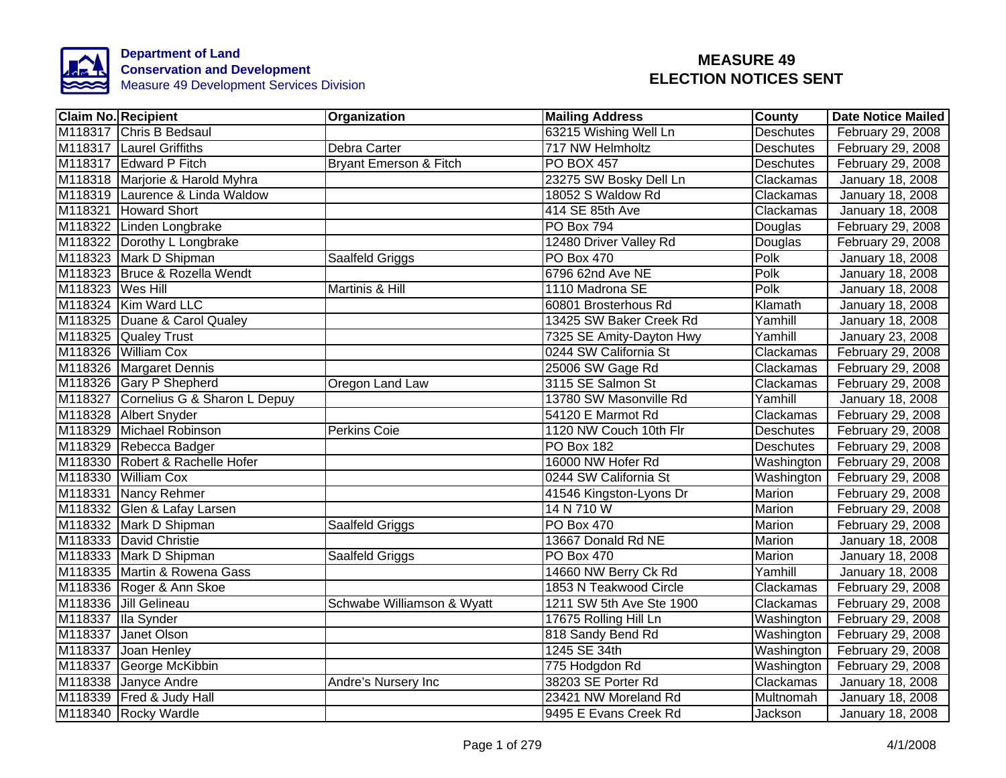

|                  | <b>Claim No. Recipient</b>           | <b>Organization</b>               | <b>Mailing Address</b>   | County           | <b>Date Notice Mailed</b> |
|------------------|--------------------------------------|-----------------------------------|--------------------------|------------------|---------------------------|
|                  | M118317 Chris B Bedsaul              |                                   | 63215 Wishing Well Ln    | <b>Deschutes</b> | February 29, 2008         |
|                  | M118317 Laurel Griffiths             | Debra Carter                      | 717 NW Helmholtz         | <b>Deschutes</b> | February 29, 2008         |
|                  | M118317 Edward P Fitch               | <b>Bryant Emerson &amp; Fitch</b> | <b>PO BOX 457</b>        | <b>Deschutes</b> | February 29, 2008         |
|                  | M118318 Marjorie & Harold Myhra      |                                   | 23275 SW Bosky Dell Ln   | Clackamas        | January 18, 2008          |
|                  | M118319 Laurence & Linda Waldow      |                                   | 18052 S Waldow Rd        | Clackamas        | January 18, 2008          |
|                  | M118321 Howard Short                 |                                   | 414 SE 85th Ave          | Clackamas        | January 18, 2008          |
|                  | M118322 Linden Longbrake             |                                   | PO Box 794               | Douglas          | February 29, 2008         |
|                  | M118322 Dorothy L Longbrake          |                                   | 12480 Driver Valley Rd   | Douglas          | February 29, 2008         |
|                  | M118323 Mark D Shipman               | Saalfeld Griggs                   | PO Box 470               | Polk             | January 18, 2008          |
|                  | M118323 Bruce & Rozella Wendt        |                                   | 6796 62nd Ave NE         | Polk             | January 18, 2008          |
| M118323 Wes Hill |                                      | Martinis & Hill                   | 1110 Madrona SE          | Polk             | January 18, 2008          |
|                  | M118324 Kim Ward LLC                 |                                   | 60801 Brosterhous Rd     | Klamath          | January 18, 2008          |
|                  | M118325 Duane & Carol Qualey         |                                   | 13425 SW Baker Creek Rd  | Yamhill          | January 18, 2008          |
|                  | M118325 Qualey Trust                 |                                   | 7325 SE Amity-Dayton Hwy | Yamhill          | January 23, 2008          |
|                  | M118326 William Cox                  |                                   | 0244 SW California St    | Clackamas        | February 29, 2008         |
|                  | M118326 Margaret Dennis              |                                   | 25006 SW Gage Rd         | Clackamas        | February 29, 2008         |
|                  | M118326 Gary P Shepherd              | Oregon Land Law                   | 3115 SE Salmon St        | Clackamas        | February 29, 2008         |
|                  | M118327 Cornelius G & Sharon L Depuy |                                   | 13780 SW Masonville Rd   | Yamhill          | January 18, 2008          |
|                  | M118328 Albert Snyder                |                                   | 54120 E Marmot Rd        | Clackamas        | February 29, 2008         |
|                  | M118329 Michael Robinson             | <b>Perkins Coie</b>               | 1120 NW Couch 10th Flr   | Deschutes        | February 29, 2008         |
|                  | M118329 Rebecca Badger               |                                   | <b>PO Box 182</b>        | <b>Deschutes</b> | February 29, 2008         |
|                  | M118330 Robert & Rachelle Hofer      |                                   | 16000 NW Hofer Rd        | Washington       | February 29, 2008         |
|                  | M118330 William Cox                  |                                   | 0244 SW California St    | Washington       | February 29, 2008         |
|                  | M118331 Nancy Rehmer                 |                                   | 41546 Kingston-Lyons Dr  | <b>Marion</b>    | February 29, 2008         |
|                  | M118332 Glen & Lafay Larsen          |                                   | 14 N 710 W               | Marion           | February 29, 2008         |
|                  | M118332 Mark D Shipman               | Saalfeld Griggs                   | <b>PO Box 470</b>        | Marion           | February 29, 2008         |
|                  | M118333 David Christie               |                                   | 13667 Donald Rd NE       | <b>Marion</b>    | January 18, 2008          |
|                  | M118333 Mark D Shipman               | Saalfeld Griggs                   | <b>PO Box 470</b>        | Marion           | January 18, 2008          |
|                  | M118335 Martin & Rowena Gass         |                                   | 14660 NW Berry Ck Rd     | Yamhill          | January 18, 2008          |
|                  | M118336 Roger & Ann Skoe             |                                   | 1853 N Teakwood Circle   | Clackamas        | February 29, 2008         |
|                  | M118336 Jill Gelineau                | Schwabe Williamson & Wyatt        | 1211 SW 5th Ave Ste 1900 | Clackamas        | February 29, 2008         |
|                  | M118337 Ila Synder                   |                                   | 17675 Rolling Hill Ln    | Washington       | February 29, 2008         |
| M118337          | Janet Olson                          |                                   | 818 Sandy Bend Rd        | Washington       | February 29, 2008         |
|                  | M118337 Joan Henley                  |                                   | 1245 SE 34th             | Washington       | February 29, 2008         |
|                  | M118337 George McKibbin              |                                   | 775 Hodgdon Rd           | Washington       | February 29, 2008         |
|                  | M118338 Janyce Andre                 | Andre's Nursery Inc               | 38203 SE Porter Rd       | Clackamas        | January 18, 2008          |
|                  | M118339   Fred & Judy Hall           |                                   | 23421 NW Moreland Rd     | Multnomah        | January 18, 2008          |
|                  | M118340 Rocky Wardle                 |                                   | 9495 E Evans Creek Rd    | Jackson          | January 18, 2008          |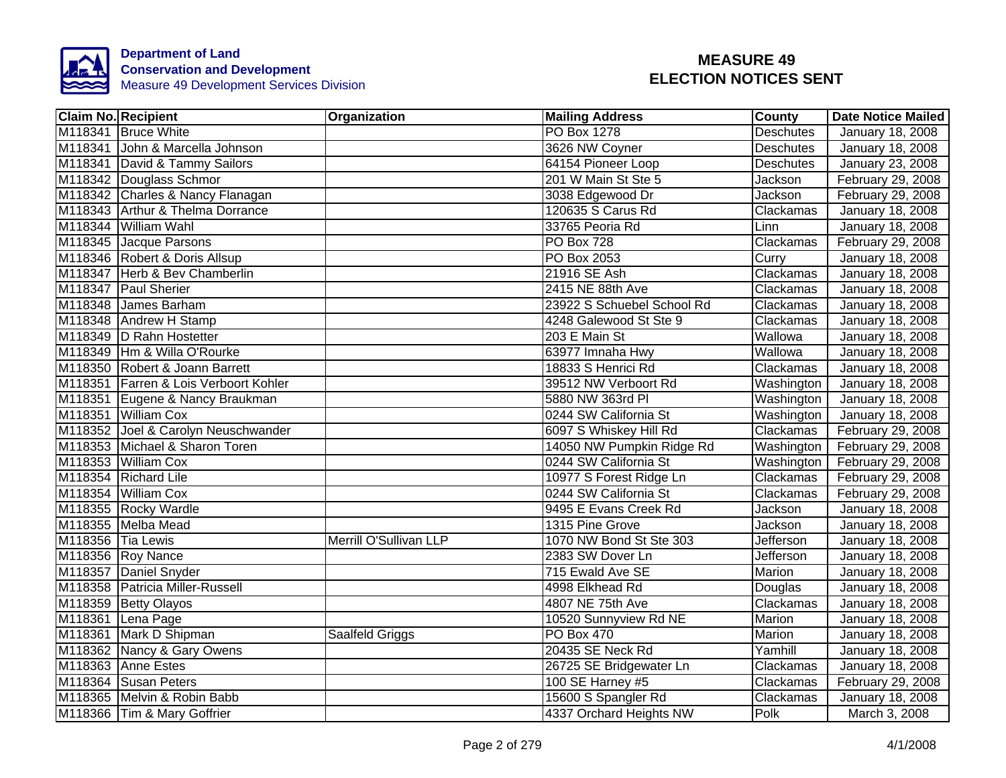

|                   | <b>Claim No. Recipient</b>            | Organization           | <b>Mailing Address</b>     | <b>County</b>    | <b>Date Notice Mailed</b> |
|-------------------|---------------------------------------|------------------------|----------------------------|------------------|---------------------------|
|                   | M118341 Bruce White                   |                        | <b>PO Box 1278</b>         | <b>Deschutes</b> | January 18, 2008          |
|                   | M118341 John & Marcella Johnson       |                        | 3626 NW Coyner             | <b>Deschutes</b> | January 18, 2008          |
|                   | M118341 David & Tammy Sailors         |                        | 64154 Pioneer Loop         | <b>Deschutes</b> | January 23, 2008          |
|                   | M118342 Douglass Schmor               |                        | 201 W Main St Ste 5        | Jackson          | February 29, 2008         |
|                   | M118342 Charles & Nancy Flanagan      |                        | 3038 Edgewood Dr           | Jackson          | February 29, 2008         |
|                   | M118343 Arthur & Thelma Dorrance      |                        | 120635 S Carus Rd          | Clackamas        | January 18, 2008          |
|                   | M118344 William Wahl                  |                        | 33765 Peoria Rd            | Linn             | January 18, 2008          |
|                   | M118345 Jacque Parsons                |                        | <b>PO Box 728</b>          | Clackamas        | February 29, 2008         |
|                   | M118346 Robert & Doris Allsup         |                        | PO Box 2053                | Curry            | January 18, 2008          |
|                   | M118347 Herb & Bev Chamberlin         |                        | 21916 SE Ash               | Clackamas        | January 18, 2008          |
|                   | M118347 Paul Sherier                  |                        | 2415 NE 88th Ave           | Clackamas        | January 18, 2008          |
|                   | M118348 James Barham                  |                        | 23922 S Schuebel School Rd | Clackamas        | January 18, 2008          |
|                   | M118348 Andrew H Stamp                |                        | 4248 Galewood St Ste 9     | Clackamas        | January 18, 2008          |
|                   | M118349  D Rahn Hostetter             |                        | 203 E Main St              | Wallowa          | January 18, 2008          |
|                   | M118349 Hm & Willa O'Rourke           |                        | 63977 Imnaha Hwy           | Wallowa          | <b>January 18, 2008</b>   |
|                   | M118350 Robert & Joann Barrett        |                        | 18833 S Henrici Rd         | Clackamas        | January 18, 2008          |
|                   | M118351 Farren & Lois Verboort Kohler |                        | 39512 NW Verboort Rd       | Washington       | January 18, 2008          |
|                   | M118351 Eugene & Nancy Braukman       |                        | 5880 NW 363rd PI           | Washington       | January 18, 2008          |
|                   | M118351 William Cox                   |                        | 0244 SW California St      | Washington       | January 18, 2008          |
|                   | M118352 Joel & Carolyn Neuschwander   |                        | 6097 S Whiskey Hill Rd     | Clackamas        | February 29, 2008         |
|                   | M118353 Michael & Sharon Toren        |                        | 14050 NW Pumpkin Ridge Rd  | Washington       | February 29, 2008         |
|                   | M118353 William Cox                   |                        | 0244 SW California St      | Washington       | February 29, 2008         |
|                   | M118354 Richard Lile                  |                        | 10977 S Forest Ridge Ln    | Clackamas        | February 29, 2008         |
|                   | M118354 William Cox                   |                        | 0244 SW California St      | Clackamas        | February 29, 2008         |
|                   | M118355 Rocky Wardle                  |                        | 9495 E Evans Creek Rd      | Jackson          | January 18, 2008          |
|                   | M118355 Melba Mead                    |                        | 1315 Pine Grove            | Jackson          | January 18, 2008          |
| M118356 Tia Lewis |                                       | Merrill O'Sullivan LLP | 1070 NW Bond St Ste 303    | <b>Jefferson</b> | January 18, 2008          |
|                   | M118356 Roy Nance                     |                        | 2383 SW Dover Ln           | Jefferson        | January 18, 2008          |
|                   | M118357 Daniel Snyder                 |                        | 715 Ewald Ave SE           | Marion           | January 18, 2008          |
|                   | M118358 Patricia Miller-Russell       |                        | 4998 Elkhead Rd            | Douglas          | January 18, 2008          |
|                   | M118359 Betty Olayos                  |                        | 4807 NE 75th Ave           | Clackamas        | January 18, 2008          |
|                   | M118361 Lena Page                     |                        | 10520 Sunnyview Rd NE      | Marion           | January 18, 2008          |
|                   | M118361 Mark D Shipman                | Saalfeld Griggs        | <b>PO Box 470</b>          | Marion           | January 18, 2008          |
|                   | M118362 Nancy & Gary Owens            |                        | 20435 SE Neck Rd           | Yamhill          | January 18, 2008          |
|                   | M118363 Anne Estes                    |                        | 26725 SE Bridgewater Ln    | Clackamas        | January 18, 2008          |
|                   | M118364 Susan Peters                  |                        | 100 SE Harney #5           | Clackamas        | February 29, 2008         |
|                   | M118365 Melvin & Robin Babb           |                        | 15600 S Spangler Rd        | Clackamas        | January 18, 2008          |
|                   | M118366 Tim & Mary Goffrier           |                        | 4337 Orchard Heights NW    | Polk             | March 3, 2008             |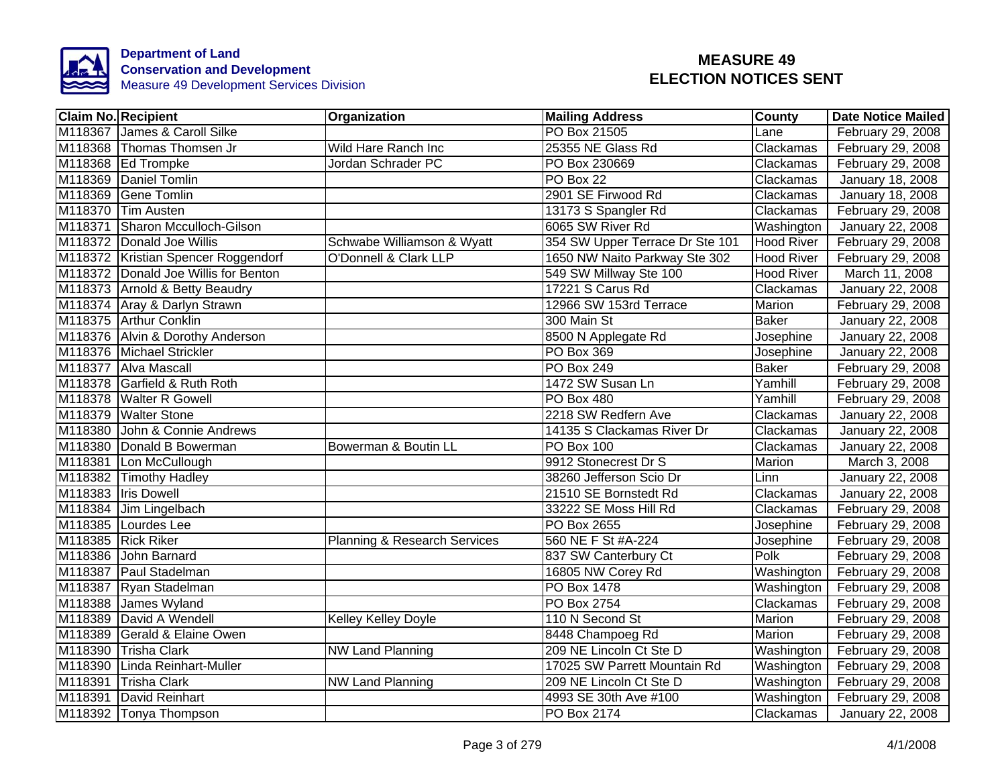

|         | Claim No. Recipient                  | Organization                 | <b>Mailing Address</b>          | County            | <b>Date Notice Mailed</b> |
|---------|--------------------------------------|------------------------------|---------------------------------|-------------------|---------------------------|
|         | M118367 James & Caroll Silke         |                              | PO Box 21505                    | Lane              | February 29, 2008         |
|         | M118368 Thomas Thomsen Jr            | Wild Hare Ranch Inc          | 25355 NE Glass Rd               | Clackamas         | February 29, 2008         |
|         | M118368 Ed Trompke                   | Jordan Schrader PC           | PO Box 230669                   | Clackamas         | February 29, 2008         |
|         | M118369 Daniel Tomlin                |                              | PO Box 22                       | Clackamas         | January 18, 2008          |
|         | M118369 Gene Tomlin                  |                              | 2901 SE Firwood Rd              | Clackamas         | January 18, 2008          |
|         | M118370 Tim Austen                   |                              | 13173 S Spangler Rd             | Clackamas         | February 29, 2008         |
| M118371 | Sharon Mcculloch-Gilson              |                              | 6065 SW River Rd                | Washington        | <b>January 22, 2008</b>   |
|         | M118372 Donald Joe Willis            | Schwabe Williamson & Wyatt   | 354 SW Upper Terrace Dr Ste 101 | <b>Hood River</b> | February 29, 2008         |
|         | M118372 Kristian Spencer Roggendorf  | O'Donnell & Clark LLP        | 1650 NW Naito Parkway Ste 302   | <b>Hood River</b> | February 29, 2008         |
|         | M118372 Donald Joe Willis for Benton |                              | 549 SW Millway Ste 100          | <b>Hood River</b> | March 11, 2008            |
|         | M118373 Arnold & Betty Beaudry       |                              | 17221 S Carus Rd                | Clackamas         | January 22, 2008          |
|         | M118374 Aray & Darlyn Strawn         |                              | 12966 SW 153rd Terrace          | Marion            | February 29, 2008         |
|         | M118375 Arthur Conklin               |                              | 300 Main St                     | <b>Baker</b>      | January 22, 2008          |
|         | M118376 Alvin & Dorothy Anderson     |                              | 8500 N Applegate Rd             | Josephine         | January 22, 2008          |
|         | M118376 Michael Strickler            |                              | PO Box 369                      | Josephine         | January 22, 2008          |
|         | M118377 Alva Mascall                 |                              | <b>PO Box 249</b>               | <b>Baker</b>      | February 29, 2008         |
|         | M118378 Garfield & Ruth Roth         |                              | 1472 SW Susan Ln                | Yamhill           | February 29, 2008         |
|         | M118378 Walter R Gowell              |                              | PO Box 480                      | Yamhill           | February 29, 2008         |
|         | M118379 Walter Stone                 |                              | 2218 SW Redfern Ave             | Clackamas         | <b>January 22, 2008</b>   |
|         | M118380 John & Connie Andrews        |                              | 14135 S Clackamas River Dr      | Clackamas         | <b>January 22, 2008</b>   |
|         | M118380 Donald B Bowerman            | Bowerman & Boutin LL         | PO Box 100                      | Clackamas         | January 22, 2008          |
|         | M118381 Lon McCullough               |                              | 9912 Stonecrest Dr S            | Marion            | March 3, 2008             |
|         | M118382 Timothy Hadley               |                              | 38260 Jefferson Scio Dr         | Linn              | January 22, 2008          |
|         | M118383 Iris Dowell                  |                              | 21510 SE Bornstedt Rd           | Clackamas         | <b>January 22, 2008</b>   |
|         | M118384 Jim Lingelbach               |                              | 33222 SE Moss Hill Rd           | Clackamas         | February 29, 2008         |
|         | M118385 Lourdes Lee                  |                              | <b>PO Box 2655</b>              | Josephine         | February 29, 2008         |
|         | M118385 Rick Riker                   | Planning & Research Services | 560 NE F St #A-224              | Josephine         | February 29, 2008         |
|         | M118386 John Barnard                 |                              | 837 SW Canterbury Ct            | Polk              | February 29, 2008         |
|         | M118387 Paul Stadelman               |                              | 16805 NW Corey Rd               | Washington        | February 29, 2008         |
|         | M118387 Ryan Stadelman               |                              | PO Box 1478                     | Washington        | February 29, 2008         |
|         | M118388 James Wyland                 |                              | PO Box 2754                     | Clackamas         | February 29, 2008         |
|         | M118389 David A Wendell              | Kelley Kelley Doyle          | 110 N Second St                 | Marion            | February 29, 2008         |
|         | M118389 Gerald & Elaine Owen         |                              | 8448 Champoeg Rd                | Marion            | February 29, 2008         |
|         | M118390 Trisha Clark                 | <b>NW Land Planning</b>      | 209 NE Lincoln Ct Ste D         | Washington        | February 29, 2008         |
|         | M118390 Linda Reinhart-Muller        |                              | 17025 SW Parrett Mountain Rd    | Washington        | February 29, 2008         |
|         | M118391 Trisha Clark                 | <b>NW Land Planning</b>      | 209 NE Lincoln Ct Ste D         | Washington        | February 29, 2008         |
| M118391 | David Reinhart                       |                              | 4993 SE 30th Ave #100           | Washington        | February 29, 2008         |
|         | M118392 Tonya Thompson               |                              | PO Box 2174                     | Clackamas         | January 22, 2008          |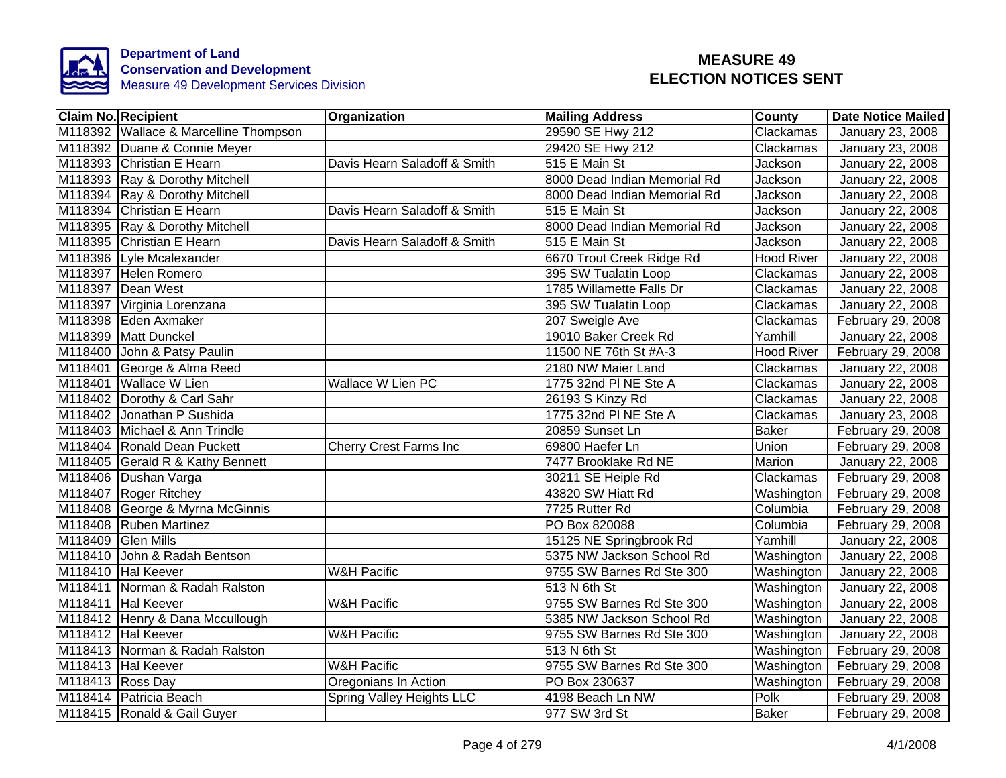

| <b>Claim No. Recipient</b>            | Organization                  | <b>Mailing Address</b>       | <b>County</b>     | <b>Date Notice Mailed</b> |
|---------------------------------------|-------------------------------|------------------------------|-------------------|---------------------------|
| M118392 Wallace & Marcelline Thompson |                               | 29590 SE Hwy 212             | Clackamas         | <b>January 23, 2008</b>   |
| M118392 Duane & Connie Meyer          |                               | 29420 SE Hwy 212             | Clackamas         | January 23, 2008          |
| M118393 Christian E Hearn             | Davis Hearn Saladoff & Smith  | 515 E Main St                | Jackson           | January 22, 2008          |
| M118393 Ray & Dorothy Mitchell        |                               | 8000 Dead Indian Memorial Rd | Jackson           | January 22, 2008          |
| M118394 Ray & Dorothy Mitchell        |                               | 8000 Dead Indian Memorial Rd | Jackson           | January 22, 2008          |
| M118394 Christian E Hearn             | Davis Hearn Saladoff & Smith  | 515 E Main St                | Jackson           | January 22, 2008          |
| M118395 Ray & Dorothy Mitchell        |                               | 8000 Dead Indian Memorial Rd | Jackson           | January 22, 2008          |
| M118395 Christian E Hearn             | Davis Hearn Saladoff & Smith  | 515 E Main St                | Jackson           | January 22, 2008          |
| M118396 Lyle Mcalexander              |                               | 6670 Trout Creek Ridge Rd    | <b>Hood River</b> | January 22, 2008          |
| M118397 Helen Romero                  |                               | 395 SW Tualatin Loop         | Clackamas         | January 22, 2008          |
| M118397 Dean West                     |                               | 1785 Willamette Falls Dr     | Clackamas         | January 22, 2008          |
| M118397 Virginia Lorenzana            |                               | 395 SW Tualatin Loop         | Clackamas         | January 22, 2008          |
| M118398 Eden Axmaker                  |                               | 207 Sweigle Ave              | Clackamas         | February 29, 2008         |
| M118399 Matt Dunckel                  |                               | 19010 Baker Creek Rd         | Yamhill           | January 22, 2008          |
| M118400 John & Patsy Paulin           |                               | 11500 NE 76th St #A-3        | <b>Hood River</b> | February 29, 2008         |
| M118401 George & Alma Reed            |                               | 2180 NW Maier Land           | Clackamas         | January 22, 2008          |
| M118401 Wallace W Lien                | <b>Wallace W Lien PC</b>      | 1775 32nd PI NE Ste A        | Clackamas         | January 22, 2008          |
| M118402 Dorothy & Carl Sahr           |                               | 26193 S Kinzy Rd             | Clackamas         | January 22, 2008          |
| M118402 Jonathan P Sushida            |                               | 1775 32nd PI NE Ste A        | Clackamas         | January 23, 2008          |
| M118403 Michael & Ann Trindle         |                               | 20859 Sunset Ln              | <b>Baker</b>      | February 29, 2008         |
| M118404 Ronald Dean Puckett           | <b>Cherry Crest Farms Inc</b> | 69800 Haefer Ln              | Union             | February 29, 2008         |
| M118405 Gerald R & Kathy Bennett      |                               | 7477 Brooklake Rd NE         | <b>Marion</b>     | January 22, 2008          |
| M118406 Dushan Varga                  |                               | 30211 SE Heiple Rd           | Clackamas         | February 29, 2008         |
| M118407 Roger Ritchey                 |                               | 43820 SW Hiatt Rd            | Washington        | February 29, 2008         |
| M118408 George & Myrna McGinnis       |                               | 7725 Rutter Rd               | Columbia          | February 29, 2008         |
| M118408 Ruben Martinez                |                               | PO Box 820088                | Columbia          | February 29, 2008         |
| M118409 Glen Mills                    |                               | 15125 NE Springbrook Rd      | Yamhill           | January 22, 2008          |
| M118410 John & Radah Bentson          |                               | 5375 NW Jackson School Rd    | Washington        | January 22, 2008          |
| M118410 Hal Keever                    | <b>W&amp;H Pacific</b>        | 9755 SW Barnes Rd Ste 300    | Washington        | January 22, 2008          |
| M118411 Norman & Radah Ralston        |                               | 513 N 6th St                 | Washington        | January 22, 2008          |
| M118411 Hal Keever                    | <b>W&amp;H Pacific</b>        | 9755 SW Barnes Rd Ste 300    | Washington        | January 22, 2008          |
| M118412 Henry & Dana Mccullough       |                               | 5385 NW Jackson School Rd    | Washington        | January 22, 2008          |
| M118412 Hal Keever                    | <b>W&amp;H Pacific</b>        | 9755 SW Barnes Rd Ste 300    | Washington        | January 22, 2008          |
| M118413 Norman & Radah Ralston        |                               | 513 N 6th St                 | Washington        | February 29, 2008         |
| M118413 Hal Keever                    | <b>W&amp;H Pacific</b>        | 9755 SW Barnes Rd Ste 300    | Washington        | February 29, 2008         |
| M118413 Ross Day                      | Oregonians In Action          | PO Box 230637                | Washington        | February 29, 2008         |
| M118414 Patricia Beach                | Spring Valley Heights LLC     | 4198 Beach Ln NW             | Polk              | February 29, 2008         |
| M118415 Ronald & Gail Guyer           |                               | 977 SW 3rd St                | <b>Baker</b>      | February 29, 2008         |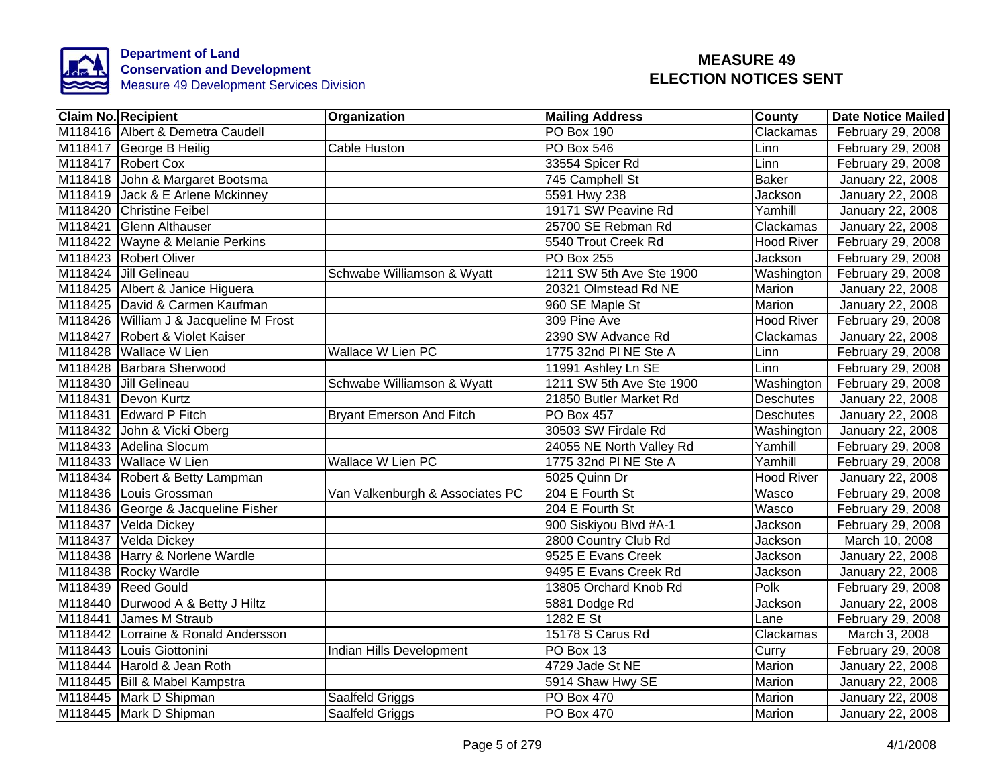

|         | <b>Claim No. Recipient</b>             | Organization                    | <b>Mailing Address</b>   | <b>County</b>     | <b>Date Notice Mailed</b> |
|---------|----------------------------------------|---------------------------------|--------------------------|-------------------|---------------------------|
|         | M118416 Albert & Demetra Caudell       |                                 | PO Box 190               | Clackamas         | February 29, 2008         |
|         | M118417 George B Heilig                | Cable Huston                    | <b>PO Box 546</b>        | Linn              | February 29, 2008         |
|         | M118417 Robert Cox                     |                                 | 33554 Spicer Rd          | Linn              | February 29, 2008         |
|         | M118418 John & Margaret Bootsma        |                                 | 745 Camphell St          | <b>Baker</b>      | January 22, 2008          |
|         | M118419 Jack & E Arlene Mckinney       |                                 | 5591 Hwy 238             | Jackson           | January 22, 2008          |
|         | M118420 Christine Feibel               |                                 | 19171 SW Peavine Rd      | Yamhill           | January 22, 2008          |
|         | M118421 Glenn Althauser                |                                 | 25700 SE Rebman Rd       | Clackamas         | January 22, 2008          |
|         | M118422 Wayne & Melanie Perkins        |                                 | 5540 Trout Creek Rd      | <b>Hood River</b> | February 29, 2008         |
|         | M118423 Robert Oliver                  |                                 | PO Box 255               | Jackson           | February 29, 2008         |
|         | M118424 Jill Gelineau                  | Schwabe Williamson & Wyatt      | 1211 SW 5th Ave Ste 1900 | Washington        | February 29, 2008         |
|         | M118425 Albert & Janice Higuera        |                                 | 20321 Olmstead Rd NE     | Marion            | January 22, 2008          |
|         | M118425 David & Carmen Kaufman         |                                 | 960 SE Maple St          | Marion            | January 22, 2008          |
|         | M118426 William J & Jacqueline M Frost |                                 | 309 Pine Ave             | <b>Hood River</b> | February 29, 2008         |
|         | M118427 Robert & Violet Kaiser         |                                 | 2390 SW Advance Rd       | Clackamas         | January 22, 2008          |
|         | M118428 Wallace W Lien                 | <b>Wallace W Lien PC</b>        | 1775 32nd PI NE Ste A    | Linn              | February 29, 2008         |
|         | M118428 Barbara Sherwood               |                                 | 11991 Ashley Ln SE       | Linn              | February 29, 2008         |
|         | M118430 Jill Gelineau                  | Schwabe Williamson & Wyatt      | 1211 SW 5th Ave Ste 1900 | Washington        | February 29, 2008         |
|         | M118431 Devon Kurtz                    |                                 | 21850 Butler Market Rd   | <b>Deschutes</b>  | January 22, 2008          |
|         | M118431 Edward P Fitch                 | <b>Bryant Emerson And Fitch</b> | <b>PO Box 457</b>        | <b>Deschutes</b>  | January 22, 2008          |
|         | M118432 John & Vicki Oberg             |                                 | 30503 SW Firdale Rd      | Washington        | January 22, 2008          |
|         | M118433 Adelina Slocum                 |                                 | 24055 NE North Valley Rd | Yamhill           | February 29, 2008         |
|         | M118433 Wallace W Lien                 | <b>Wallace W Lien PC</b>        | 1775 32nd PI NE Ste A    | Yamhill           | February 29, 2008         |
|         | M118434 Robert & Betty Lampman         |                                 | 5025 Quinn Dr            | <b>Hood River</b> | January 22, 2008          |
|         | M118436 Louis Grossman                 | Van Valkenburgh & Associates PC | 204 E Fourth St          | Wasco             | February 29, 2008         |
|         | M118436 George & Jacqueline Fisher     |                                 | 204 E Fourth St          | Wasco             | February 29, 2008         |
|         | M118437 Velda Dickey                   |                                 | 900 Siskiyou Blvd #A-1   | Jackson           | February 29, 2008         |
|         | M118437 Velda Dickey                   |                                 | 2800 Country Club Rd     | Jackson           | March 10, 2008            |
|         | M118438 Harry & Norlene Wardle         |                                 | 9525 E Evans Creek       | Jackson           | January 22, 2008          |
|         | M118438 Rocky Wardle                   |                                 | 9495 E Evans Creek Rd    | Jackson           | January 22, 2008          |
|         | M118439 Reed Gould                     |                                 | 13805 Orchard Knob Rd    | Polk              | February 29, 2008         |
| M118440 | Durwood A & Betty J Hiltz              |                                 | 5881 Dodge Rd            | Jackson           | January 22, 2008          |
| M118441 | James M Straub                         |                                 | 1282 E St                | Lane              | February 29, 2008         |
|         | M118442 Lorraine & Ronald Andersson    |                                 | 15178 S Carus Rd         | Clackamas         | March 3, 2008             |
|         | M118443 Louis Giottonini               | <b>Indian Hills Development</b> | PO Box 13                | Curry             | February 29, 2008         |
|         | M118444 Harold & Jean Roth             |                                 | 4729 Jade St NE          | Marion            | January 22, 2008          |
|         | M118445   Bill & Mabel Kampstra        |                                 | 5914 Shaw Hwy SE         | Marion            | January 22, 2008          |
|         | M118445 Mark D Shipman                 | Saalfeld Griggs                 | PO Box 470               | Marion            | January 22, 2008          |
|         | M118445 Mark D Shipman                 | Saalfeld Griggs                 | PO Box 470               | Marion            | January 22, 2008          |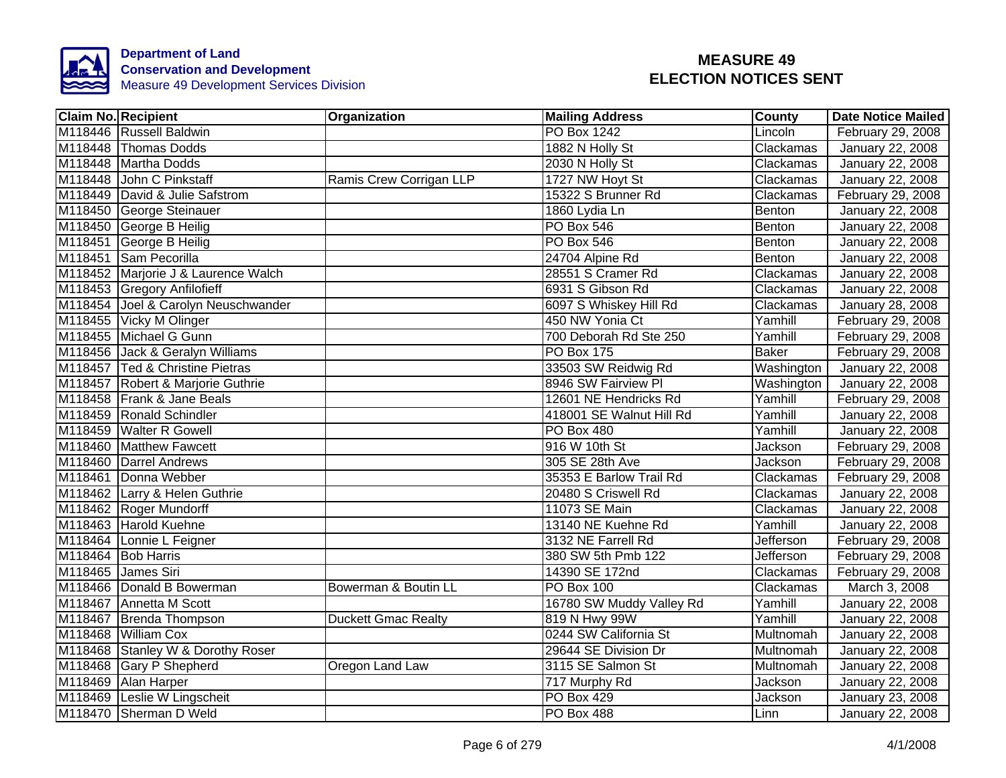

| <b>Claim No. Recipient</b>          | Organization               | <b>Mailing Address</b>   | <b>County</b>    | <b>Date Notice Mailed</b> |
|-------------------------------------|----------------------------|--------------------------|------------------|---------------------------|
| M118446 Russell Baldwin             |                            | <b>PO Box 1242</b>       | Lincoln          | February 29, 2008         |
| M118448 Thomas Dodds                |                            | 1882 N Holly St          | Clackamas        | January 22, 2008          |
| M118448 Martha Dodds                |                            | 2030 N Holly St          | Clackamas        | January 22, 2008          |
| M118448 John C Pinkstaff            | Ramis Crew Corrigan LLP    | 1727 NW Hoyt St          | Clackamas        | January 22, 2008          |
| M118449 David & Julie Safstrom      |                            | 15322 S Brunner Rd       | Clackamas        | February 29, 2008         |
| M118450 George Steinauer            |                            | 1860 Lydia Ln            | Benton           | January 22, 2008          |
| M118450 George B Heilig             |                            | PO Box 546               | Benton           | January 22, 2008          |
| M118451 George B Heilig             |                            | PO Box 546               | Benton           | January 22, 2008          |
| M118451 Sam Pecorilla               |                            | 24704 Alpine Rd          | Benton           | January 22, 2008          |
| M118452 Marjorie J & Laurence Walch |                            | 28551 S Cramer Rd        | Clackamas        | January 22, 2008          |
| M118453 Gregory Anfilofieff         |                            | 6931 S Gibson Rd         | Clackamas        | January 22, 2008          |
| M118454 Joel & Carolyn Neuschwander |                            | 6097 S Whiskey Hill Rd   | Clackamas        | January 28, 2008          |
| M118455 Vicky M Olinger             |                            | 450 NW Yonia Ct          | Yamhill          | February 29, 2008         |
| M118455 Michael G Gunn              |                            | 700 Deborah Rd Ste 250   | Yamhill          | February 29, 2008         |
| M118456 Jack & Geralyn Williams     |                            | <b>PO Box 175</b>        | <b>Baker</b>     | February 29, 2008         |
| M118457 Ted & Christine Pietras     |                            | 33503 SW Reidwig Rd      | Washington       | January 22, 2008          |
| M118457 Robert & Marjorie Guthrie   |                            | 8946 SW Fairview Pl      | Washington       | January 22, 2008          |
| M118458 Frank & Jane Beals          |                            | 12601 NE Hendricks Rd    | Yamhill          | February 29, 2008         |
| M118459 Ronald Schindler            |                            | 418001 SE Walnut Hill Rd | Yamhill          | January 22, 2008          |
| M118459 Walter R Gowell             |                            | PO Box 480               | Yamhill          | January 22, 2008          |
| M118460 Matthew Fawcett             |                            | 916 W 10th St            | Jackson          | February 29, 2008         |
| M118460 Darrel Andrews              |                            | 305 SE 28th Ave          | <b>Jackson</b>   | February 29, 2008         |
| M118461 Donna Webber                |                            | 35353 E Barlow Trail Rd  | Clackamas        | February 29, 2008         |
| M118462 Larry & Helen Guthrie       |                            | 20480 S Criswell Rd      | Clackamas        | January 22, 2008          |
| M118462 Roger Mundorff              |                            | 11073 SE Main            | Clackamas        | <b>January 22, 2008</b>   |
| M118463 Harold Kuehne               |                            | 13140 NE Kuehne Rd       | Yamhill          | January 22, 2008          |
| M118464 Lonnie L Feigner            |                            | 3132 NE Farrell Rd       | <b>Jefferson</b> | February 29, 2008         |
| M118464 Bob Harris                  |                            | 380 SW 5th Pmb 122       | Jefferson        | February 29, 2008         |
| M118465 James Siri                  |                            | 14390 SE 172nd           | Clackamas        | February 29, 2008         |
| M118466 Donald B Bowerman           | Bowerman & Boutin LL       | <b>PO Box 100</b>        | Clackamas        | March 3, 2008             |
| M118467 Annetta M Scott             |                            | 16780 SW Muddy Valley Rd | Yamhill          | January 22, 2008          |
| M118467 Brenda Thompson             | <b>Duckett Gmac Realty</b> | 819 N Hwy 99W            | Yamhill          | January 22, 2008          |
| M118468 William Cox                 |                            | 0244 SW California St    | Multnomah        | January 22, 2008          |
| M118468 Stanley W & Dorothy Roser   |                            | 29644 SE Division Dr     | Multnomah        | January 22, 2008          |
| M118468 Gary P Shepherd             | Oregon Land Law            | 3115 SE Salmon St        | Multnomah        | January 22, 2008          |
| M118469 Alan Harper                 |                            | 717 Murphy Rd            | Jackson          | January 22, 2008          |
| M118469 Leslie W Lingscheit         |                            | PO Box 429               | Jackson          | January 23, 2008          |
| M118470 Sherman D Weld              |                            | PO Box 488               | Linn             | January 22, 2008          |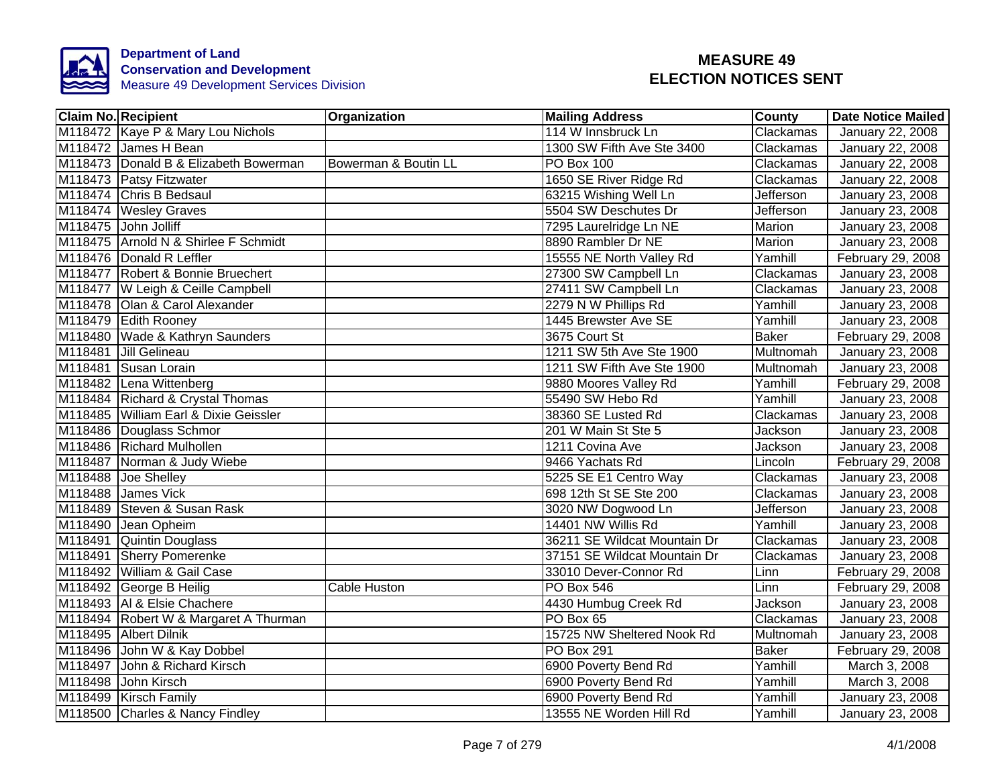

| <b>Claim No. Recipient</b> |                                       | Organization         | <b>Mailing Address</b>       | County           | <b>Date Notice Mailed</b> |
|----------------------------|---------------------------------------|----------------------|------------------------------|------------------|---------------------------|
|                            | M118472 Kaye P & Mary Lou Nichols     |                      | 114 W Innsbruck Ln           | Clackamas        | January 22, 2008          |
|                            | M118472 James H Bean                  |                      | 1300 SW Fifth Ave Ste 3400   | Clackamas        | January 22, 2008          |
|                            | M118473 Donald B & Elizabeth Bowerman | Bowerman & Boutin LL | PO Box 100                   | Clackamas        | January 22, 2008          |
|                            | M118473 Patsy Fitzwater               |                      | 1650 SE River Ridge Rd       | Clackamas        | January 22, 2008          |
|                            | M118474 Chris B Bedsaul               |                      | 63215 Wishing Well Ln        | Jefferson        | January 23, 2008          |
|                            | M118474 Wesley Graves                 |                      | 5504 SW Deschutes Dr         | Jefferson        | January 23, 2008          |
|                            | M118475 John Jolliff                  |                      | 7295 Laurelridge Ln NE       | Marion           | January 23, 2008          |
|                            | M118475 Arnold N & Shirlee F Schmidt  |                      | 8890 Rambler Dr NE           | Marion           | January 23, 2008          |
|                            | M118476 Donald R Leffler              |                      | 15555 NE North Valley Rd     | Yamhill          | February 29, 2008         |
|                            | M118477 Robert & Bonnie Bruechert     |                      | 27300 SW Campbell Ln         | Clackamas        | January 23, 2008          |
|                            | M118477 W Leigh & Ceille Campbell     |                      | 27411 SW Campbell Ln         | Clackamas        | January 23, 2008          |
|                            | M118478 Olan & Carol Alexander        |                      | 2279 N W Phillips Rd         | Yamhill          | January 23, 2008          |
|                            | M118479 Edith Rooney                  |                      | 1445 Brewster Ave SE         | Yamhill          | January 23, 2008          |
|                            | M118480 Wade & Kathryn Saunders       |                      | 3675 Court St                | <b>Baker</b>     | February 29, 2008         |
|                            | M118481 Jill Gelineau                 |                      | 1211 SW 5th Ave Ste 1900     | <b>Multnomah</b> | January 23, 2008          |
|                            | M118481 Susan Lorain                  |                      | 1211 SW Fifth Ave Ste 1900   | Multnomah        | January 23, 2008          |
|                            | M118482 Lena Wittenberg               |                      | 9880 Moores Valley Rd        | Yamhill          | February 29, 2008         |
|                            | M118484 Richard & Crystal Thomas      |                      | 55490 SW Hebo Rd             | Yamhill          | January 23, 2008          |
|                            | M118485 William Earl & Dixie Geissler |                      | 38360 SE Lusted Rd           | Clackamas        | January 23, 2008          |
|                            | M118486 Douglass Schmor               |                      | 201 W Main St Ste 5          | Jackson          | January 23, 2008          |
|                            | M118486 Richard Mulhollen             |                      | 1211 Covina Ave              | Jackson          | January 23, 2008          |
|                            | M118487 Norman & Judy Wiebe           |                      | 9466 Yachats Rd              | Lincoln          | February 29, 2008         |
|                            | M118488 Joe Shelley                   |                      | 5225 SE E1 Centro Way        | Clackamas        | January 23, 2008          |
|                            | M118488 James Vick                    |                      | 698 12th St SE Ste 200       | Clackamas        | January 23, 2008          |
|                            | M118489 Steven & Susan Rask           |                      | 3020 NW Dogwood Ln           | Jefferson        | January 23, 2008          |
|                            | M118490 Jean Opheim                   |                      | 14401 NW Willis Rd           | Yamhill          | January 23, 2008          |
|                            | M118491 Quintin Douglass              |                      | 36211 SE Wildcat Mountain Dr | Clackamas        | January 23, 2008          |
|                            | M118491 Sherry Pomerenke              |                      | 37151 SE Wildcat Mountain Dr | Clackamas        | January 23, 2008          |
|                            | M118492 William & Gail Case           |                      | 33010 Dever-Connor Rd        | Linn             | February 29, 2008         |
|                            | M118492 George B Heilig               | Cable Huston         | <b>PO Box 546</b>            | Linn             | February 29, 2008         |
|                            | M118493 Al & Elsie Chachere           |                      | 4430 Humbug Creek Rd         | Jackson          | January 23, 2008          |
|                            | M118494 Robert W & Margaret A Thurman |                      | PO Box 65                    | Clackamas        | January 23, 2008          |
|                            | M118495 Albert Dilnik                 |                      | 15725 NW Sheltered Nook Rd   | Multnomah        | January 23, 2008          |
|                            | M118496 John W & Kay Dobbel           |                      | <b>PO Box 291</b>            | <b>Baker</b>     | February 29, 2008         |
|                            | M118497 John & Richard Kirsch         |                      | 6900 Poverty Bend Rd         | Yamhill          | March 3, 2008             |
|                            | M118498 John Kirsch                   |                      | 6900 Poverty Bend Rd         | Yamhill          | March 3, 2008             |
|                            | M118499 Kirsch Family                 |                      | 6900 Poverty Bend Rd         | Yamhill          | January 23, 2008          |
|                            | M118500 Charles & Nancy Findley       |                      | 13555 NE Worden Hill Rd      | Yamhill          | January 23, 2008          |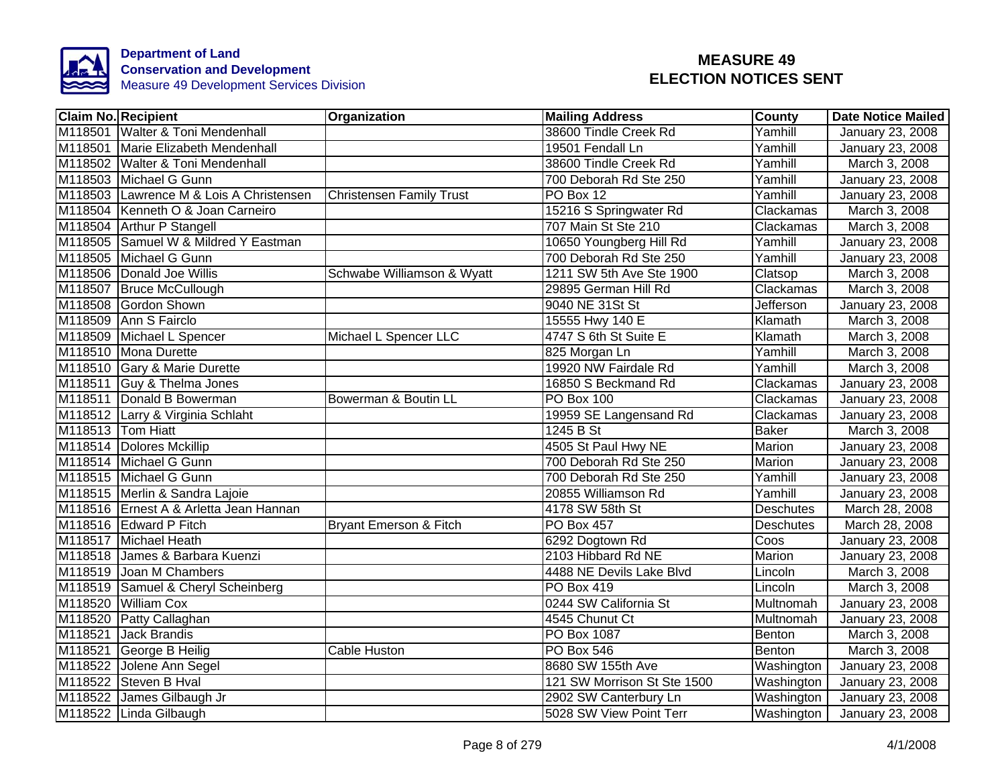

|         | <b>Claim No. Recipient</b>              | Organization                      | <b>Mailing Address</b>      | <b>County</b>    | <b>Date Notice Mailed</b> |
|---------|-----------------------------------------|-----------------------------------|-----------------------------|------------------|---------------------------|
|         | M118501 Walter & Toni Mendenhall        |                                   | 38600 Tindle Creek Rd       | Yamhill          | January 23, 2008          |
|         | M118501 Marie Elizabeth Mendenhall      |                                   | 19501 Fendall Ln            | Yamhill          | January 23, 2008          |
|         | M118502 Walter & Toni Mendenhall        |                                   | 38600 Tindle Creek Rd       | Yamhill          | March 3, 2008             |
|         | M118503 Michael G Gunn                  |                                   | 700 Deborah Rd Ste 250      | Yamhill          | January 23, 2008          |
|         | M118503 Lawrence M & Lois A Christensen | <b>Christensen Family Trust</b>   | PO Box 12                   | Yamhill          | January 23, 2008          |
|         | M118504 Kenneth O & Joan Carneiro       |                                   | 15216 S Springwater Rd      | Clackamas        | March 3, 2008             |
|         | M118504 Arthur P Stangell               |                                   | 707 Main St Ste 210         | Clackamas        | March 3, 2008             |
|         | M118505 Samuel W & Mildred Y Eastman    |                                   | 10650 Youngberg Hill Rd     | Yamhill          | January 23, 2008          |
|         | M118505 Michael G Gunn                  |                                   | 700 Deborah Rd Ste 250      | Yamhill          | January 23, 2008          |
|         | M118506 Donald Joe Willis               | Schwabe Williamson & Wyatt        | 1211 SW 5th Ave Ste 1900    | Clatsop          | March 3, 2008             |
|         | M118507 Bruce McCullough                |                                   | 29895 German Hill Rd        | Clackamas        | March 3, 2008             |
|         | M118508 Gordon Shown                    |                                   | 9040 NE 31St St             | Jefferson        | January 23, 2008          |
|         | M118509 Ann S Fairclo                   |                                   | 15555 Hwy 140 E             | Klamath          | March 3, 2008             |
|         | M118509 Michael L Spencer               | Michael L Spencer LLC             | 4747 S 6th St Suite E       | Klamath          | March 3, 2008             |
|         | M118510 Mona Durette                    |                                   | 825 Morgan Ln               | Yamhill          | March 3, 2008             |
|         | M118510 Gary & Marie Durette            |                                   | 19920 NW Fairdale Rd        | Yamhill          | March 3, 2008             |
|         | M118511 Guy & Thelma Jones              |                                   | 16850 S Beckmand Rd         | Clackamas        | January 23, 2008          |
|         | M118511 Donald B Bowerman               | Bowerman & Boutin LL              | PO Box 100                  | Clackamas        | January 23, 2008          |
|         | M118512 Larry & Virginia Schlaht        |                                   | 19959 SE Langensand Rd      | Clackamas        | January 23, 2008          |
|         | M118513 Tom Hiatt                       |                                   | 1245 B St                   | <b>Baker</b>     | March 3, 2008             |
|         | M118514 Dolores Mckillip                |                                   | 4505 St Paul Hwy NE         | Marion           | <b>January 23, 2008</b>   |
|         | M118514 Michael G Gunn                  |                                   | 700 Deborah Rd Ste 250      | Marion           | January 23, 2008          |
|         | M118515 Michael G Gunn                  |                                   | 700 Deborah Rd Ste 250      | Yamhill          | January 23, 2008          |
|         | M118515 Merlin & Sandra Lajoie          |                                   | 20855 Williamson Rd         | Yamhill          | January 23, 2008          |
|         | M118516 Ernest A & Arletta Jean Hannan  |                                   | 4178 SW 58th St             | <b>Deschutes</b> | March 28, 2008            |
|         | M118516 Edward P Fitch                  | <b>Bryant Emerson &amp; Fitch</b> | <b>PO Box 457</b>           | Deschutes        | March 28, 2008            |
|         | M118517 Michael Heath                   |                                   | 6292 Dogtown Rd             | Coos             | <b>January 23, 2008</b>   |
|         | M118518 James & Barbara Kuenzi          |                                   | 2103 Hibbard Rd NE          | Marion           | January 23, 2008          |
|         | M118519 Joan M Chambers                 |                                   | 4488 NE Devils Lake Blvd    | Lincoln          | March 3, 2008             |
|         | M118519 Samuel & Cheryl Scheinberg      |                                   | PO Box 419                  | Lincoln          | March 3, 2008             |
| M118520 | <b>William Cox</b>                      |                                   | 0244 SW California St       | Multnomah        | January 23, 2008          |
|         | M118520 Patty Callaghan                 |                                   | 4545 Chunut Ct              | Multnomah        | January 23, 2008          |
| M118521 | <b>Jack Brandis</b>                     |                                   | PO Box 1087                 | Benton           | March 3, 2008             |
|         | M118521 George B Heilig                 | Cable Huston                      | PO Box 546                  | Benton           | March 3, 2008             |
|         | M118522 Jolene Ann Segel                |                                   | 8680 SW 155th Ave           | Washington       | January 23, 2008          |
|         | M118522 Steven B Hval                   |                                   | 121 SW Morrison St Ste 1500 | Washington       | January 23, 2008          |
|         | M118522 James Gilbaugh Jr               |                                   | 2902 SW Canterbury Ln       | Washington       | January 23, 2008          |
|         | M118522 Linda Gilbaugh                  |                                   | 5028 SW View Point Terr     | Washington       | January 23, 2008          |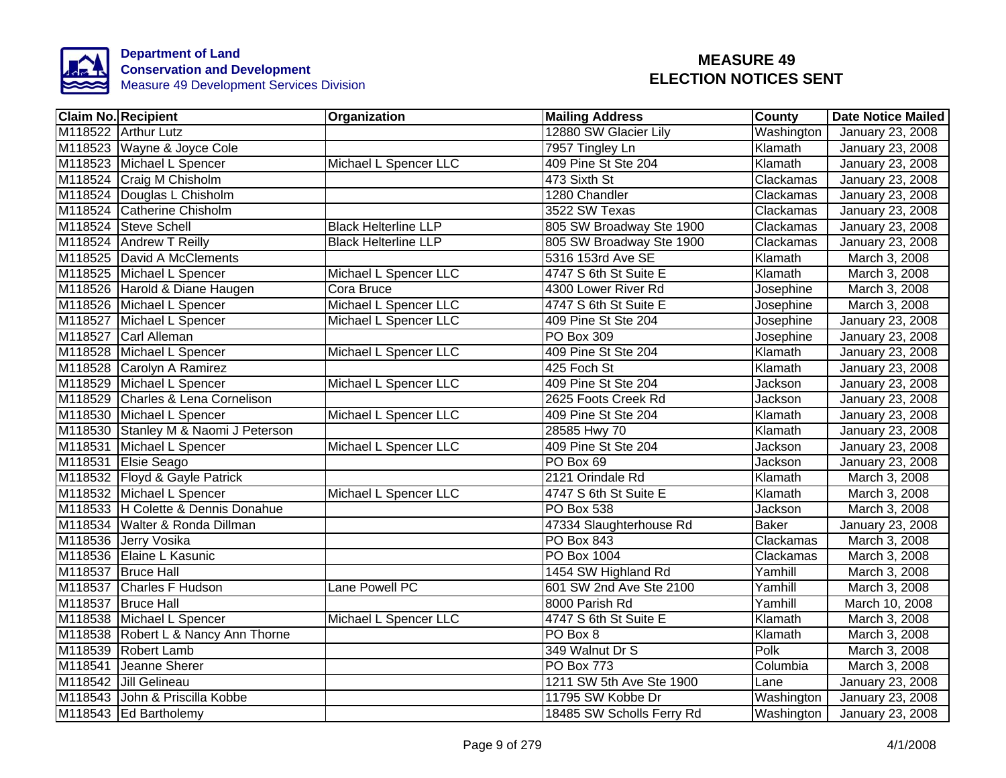

| <b>Claim No. Recipient</b>           | Organization                | <b>Mailing Address</b>    | <b>County</b>  | <b>Date Notice Mailed</b> |
|--------------------------------------|-----------------------------|---------------------------|----------------|---------------------------|
| M118522 Arthur Lutz                  |                             | 12880 SW Glacier Lily     | Washington     | January 23, 2008          |
| M118523 Wayne & Joyce Cole           |                             | 7957 Tingley Ln           | Klamath        | January 23, 2008          |
| M118523 Michael L Spencer            | Michael L Spencer LLC       | 409 Pine St Ste 204       | Klamath        | January 23, 2008          |
| M118524 Craig M Chisholm             |                             | 473 Sixth St              | Clackamas      | January 23, 2008          |
| M118524 Douglas L Chisholm           |                             | 1280 Chandler             | Clackamas      | January 23, 2008          |
| M118524 Catherine Chisholm           |                             | 3522 SW Texas             | Clackamas      | January 23, 2008          |
| M118524 Steve Schell                 | <b>Black Helterline LLP</b> | 805 SW Broadway Ste 1900  | Clackamas      | January 23, 2008          |
| M118524 Andrew T Reilly              | <b>Black Helterline LLP</b> | 805 SW Broadway Ste 1900  | Clackamas      | January 23, 2008          |
| M118525 David A McClements           |                             | 5316 153rd Ave SE         | Klamath        | March 3, 2008             |
| M118525 Michael L Spencer            | Michael L Spencer LLC       | 4747 S 6th St Suite E     | Klamath        | March 3, 2008             |
| M118526 Harold & Diane Haugen        | Cora Bruce                  | 4300 Lower River Rd       | Josephine      | March 3, 2008             |
| M118526 Michael L Spencer            | Michael L Spencer LLC       | 4747 S 6th St Suite E     | Josephine      | March 3, 2008             |
| M118527 Michael L Spencer            | Michael L Spencer LLC       | 409 Pine St Ste 204       | Josephine      | January 23, 2008          |
| M118527 Carl Alleman                 |                             | PO Box 309                | Josephine      | January 23, 2008          |
| M118528 Michael L Spencer            | Michael L Spencer LLC       | 409 Pine St Ste 204       | Klamath        | January 23, 2008          |
| M118528 Carolyn A Ramirez            |                             | 425 Foch St               | Klamath        | January 23, 2008          |
| M118529 Michael L Spencer            | Michael L Spencer LLC       | 409 Pine St Ste 204       | Jackson        | January 23, 2008          |
| M118529 Charles & Lena Cornelison    |                             | 2625 Foots Creek Rd       | Jackson        | January 23, 2008          |
| M118530 Michael L Spencer            | Michael L Spencer LLC       | 409 Pine St Ste 204       | Klamath        | January 23, 2008          |
| M118530 Stanley M & Naomi J Peterson |                             | 28585 Hwy 70              | Klamath        | January 23, 2008          |
| M118531 Michael L Spencer            | Michael L Spencer LLC       | 409 Pine St Ste 204       | Jackson        | January 23, 2008          |
| M118531 Elsie Seago                  |                             | PO Box 69                 | Jackson        | January 23, 2008          |
| M118532 Floyd & Gayle Patrick        |                             | 2121 Orindale Rd          | Klamath        | March 3, 2008             |
| M118532 Michael L Spencer            | Michael L Spencer LLC       | 4747 S 6th St Suite E     | Klamath        | March 3, 2008             |
| M118533 H Colette & Dennis Donahue   |                             | <b>PO Box 538</b>         | <b>Jackson</b> | March 3, 2008             |
| M118534 Walter & Ronda Dillman       |                             | 47334 Slaughterhouse Rd   | <b>Baker</b>   | <b>January 23, 2008</b>   |
| M118536 Jerry Vosika                 |                             | <b>PO Box 843</b>         | Clackamas      | March 3, 2008             |
| M118536 Elaine L Kasunic             |                             | <b>PO Box 1004</b>        | Clackamas      | March 3, 2008             |
| M118537 Bruce Hall                   |                             | 1454 SW Highland Rd       | Yamhill        | March 3, 2008             |
| M118537 Charles F Hudson             | Lane Powell PC              | 601 SW 2nd Ave Ste 2100   | Yamhill        | March 3, 2008             |
| M118537 Bruce Hall                   |                             | 8000 Parish Rd            | Yamhill        | March 10, 2008            |
| M118538 Michael L Spencer            | Michael L Spencer LLC       | 4747 S 6th St Suite E     | Klamath        | March 3, 2008             |
| M118538 Robert L & Nancy Ann Thorne  |                             | PO Box 8                  | Klamath        | March 3, 2008             |
| M118539 Robert Lamb                  |                             | 349 Walnut Dr S           | Polk           | March 3, 2008             |
| M118541 Jeanne Sherer                |                             | <b>PO Box 773</b>         | Columbia       | March 3, 2008             |
| M118542 Jill Gelineau                |                             | 1211 SW 5th Ave Ste 1900  | Lane           | January 23, 2008          |
| M118543 John & Priscilla Kobbe       |                             | 11795 SW Kobbe Dr         | Washington     | January 23, 2008          |
| M118543 Ed Bartholemy                |                             | 18485 SW Scholls Ferry Rd | Washington     | January 23, 2008          |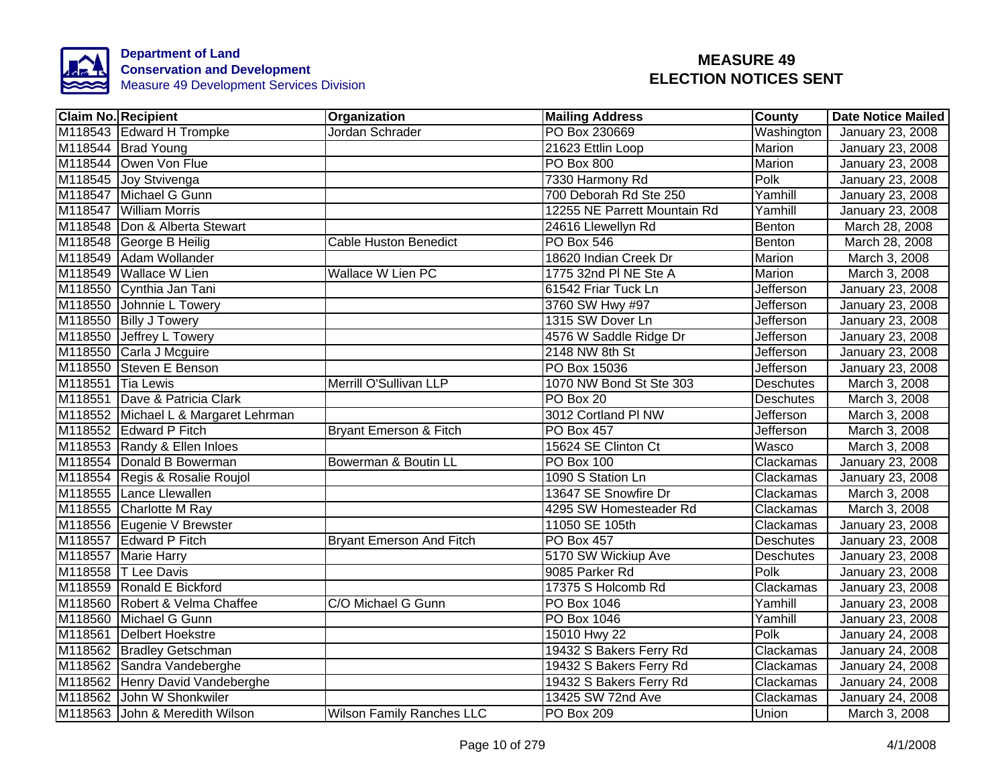

| <b>Claim No. Recipient</b>           | Organization                     | <b>Mailing Address</b>       | <b>County</b>    | <b>Date Notice Mailed</b> |
|--------------------------------------|----------------------------------|------------------------------|------------------|---------------------------|
| M118543 Edward H Trompke             | Jordan Schrader                  | PO Box 230669                | Washington       | January 23, 2008          |
| M118544 Brad Young                   |                                  | 21623 Ettlin Loop            | Marion           | January 23, 2008          |
| M118544 Owen Von Flue                |                                  | <b>PO Box 800</b>            | <b>Marion</b>    | January 23, 2008          |
| M118545 Joy Stvivenga                |                                  | 7330 Harmony Rd              | Polk             | January 23, 2008          |
| M118547 Michael G Gunn               |                                  | 700 Deborah Rd Ste 250       | Yamhill          | January 23, 2008          |
| M118547 William Morris               |                                  | 12255 NE Parrett Mountain Rd | Yamhill          | January 23, 2008          |
| M118548 Don & Alberta Stewart        |                                  | 24616 Llewellyn Rd           | Benton           | March 28, 2008            |
| M118548 George B Heilig              | <b>Cable Huston Benedict</b>     | <b>PO Box 546</b>            | Benton           | March 28, 2008            |
| M118549 Adam Wollander               |                                  | 18620 Indian Creek Dr        | Marion           | March 3, 2008             |
| M118549 Wallace W Lien               | Wallace W Lien PC                | 1775 32nd PI NE Ste A        | Marion           | March 3, 2008             |
| M118550 Cynthia Jan Tani             |                                  | 61542 Friar Tuck Ln          | <b>Jefferson</b> | January 23, 2008          |
| M118550 Johnnie L Towery             |                                  | 3760 SW Hwy #97              | <b>Jefferson</b> | January 23, 2008          |
| M118550 Billy J Towery               |                                  | 1315 SW Dover Ln             | <b>Jefferson</b> | January 23, 2008          |
| M118550 Jeffrey L Towery             |                                  | 4576 W Saddle Ridge Dr       | <b>Jefferson</b> | January 23, 2008          |
| M118550 Carla J Mcguire              |                                  | 2148 NW 8th St               | Jefferson        | January 23, 2008          |
| M118550 Steven E Benson              |                                  | PO Box 15036                 | <b>Jefferson</b> | January 23, 2008          |
| M118551 Tia Lewis                    | Merrill O'Sullivan LLP           | 1070 NW Bond St Ste 303      | <b>Deschutes</b> | March 3, 2008             |
| M118551 Dave & Patricia Clark        |                                  | PO Box 20                    | <b>Deschutes</b> | March 3, 2008             |
| M118552 Michael L & Margaret Lehrman |                                  | 3012 Cortland PI NW          | <b>Jefferson</b> | March 3, 2008             |
| M118552 Edward P Fitch               | Bryant Emerson & Fitch           | <b>PO Box 457</b>            | Jefferson        | March 3, 2008             |
| M118553 Randy & Ellen Inloes         |                                  | 15624 SE Clinton Ct          | Wasco            | March 3, 2008             |
| M118554 Donald B Bowerman            | Bowerman & Boutin LL             | <b>PO Box 100</b>            | Clackamas        | January 23, 2008          |
| M118554 Regis & Rosalie Roujol       |                                  | 1090 S Station Ln            | Clackamas        | January 23, 2008          |
| M118555 Lance Llewallen              |                                  | 13647 SE Snowfire Dr         | Clackamas        | March 3, 2008             |
| M118555 Charlotte M Ray              |                                  | 4295 SW Homesteader Rd       | Clackamas        | March 3, 2008             |
| M118556 Eugenie V Brewster           |                                  | 11050 SE 105th               | Clackamas        | <b>January 23, 2008</b>   |
| M118557 Edward P Fitch               | <b>Bryant Emerson And Fitch</b>  | <b>PO Box 457</b>            | <b>Deschutes</b> | January 23, 2008          |
| M118557 Marie Harry                  |                                  | 5170 SW Wickiup Ave          | <b>Deschutes</b> | January 23, 2008          |
| M118558 T Lee Davis                  |                                  | 9085 Parker Rd               | Polk             | January 23, 2008          |
| M118559 Ronald E Bickford            |                                  | 17375 S Holcomb Rd           | Clackamas        | January 23, 2008          |
| M118560 Robert & Velma Chaffee       | C/O Michael G Gunn               | <b>PO</b> Box 1046           | Yamhill          | January 23, 2008          |
| M118560 Michael G Gunn               |                                  | PO Box 1046                  | Yamhill          | January 23, 2008          |
| M118561 Delbert Hoekstre             |                                  | 15010 Hwy 22                 | Polk             | January 24, 2008          |
| M118562 Bradley Getschman            |                                  | 19432 S Bakers Ferry Rd      | Clackamas        | January 24, 2008          |
| M118562 Sandra Vandeberghe           |                                  | 19432 S Bakers Ferry Rd      | Clackamas        | January 24, 2008          |
| M118562 Henry David Vandeberghe      |                                  | 19432 S Bakers Ferry Rd      | Clackamas        | January 24, 2008          |
| M118562 John W Shonkwiler            |                                  | 13425 SW 72nd Ave            | Clackamas        | January 24, 2008          |
| M118563 John & Meredith Wilson       | <b>Wilson Family Ranches LLC</b> | PO Box 209                   | Union            | March 3, 2008             |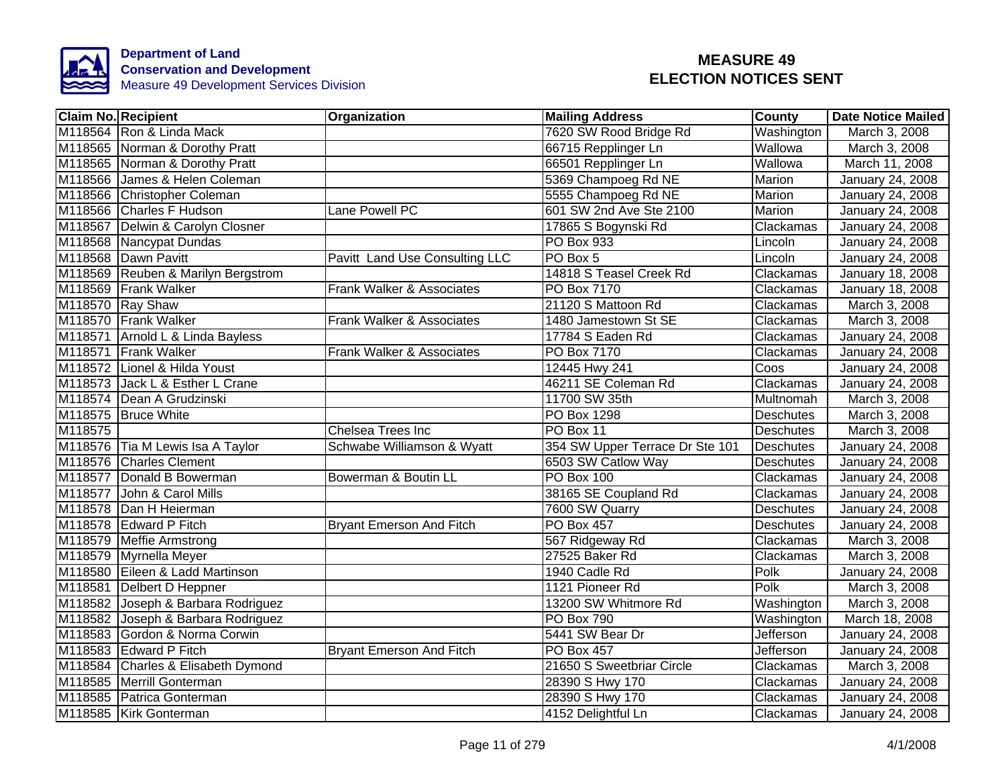

|         | Claim No. Recipient                | <b>Organization</b>                  | <b>Mailing Address</b>          | <b>County</b>    | Date Notice Mailed      |
|---------|------------------------------------|--------------------------------------|---------------------------------|------------------|-------------------------|
|         | M118564 Ron & Linda Mack           |                                      | 7620 SW Rood Bridge Rd          | Washington       | March 3, 2008           |
|         | M118565 Norman & Dorothy Pratt     |                                      | 66715 Repplinger Ln             | Wallowa          | March 3, 2008           |
|         | M118565 Norman & Dorothy Pratt     |                                      | 66501 Repplinger Ln             | Wallowa          | March 11, 2008          |
|         | M118566 James & Helen Coleman      |                                      | 5369 Champoeg Rd NE             | Marion           | January 24, 2008        |
|         | M118566 Christopher Coleman        |                                      | 5555 Champoeg Rd NE             | Marion           | January 24, 2008        |
|         | M118566 Charles F Hudson           | Lane Powell PC                       | 601 SW 2nd Ave Ste 2100         | Marion           | January 24, 2008        |
|         | M118567 Delwin & Carolyn Closner   |                                      | 17865 S Bogynski Rd             | Clackamas        | January 24, 2008        |
|         | M118568 Nancypat Dundas            |                                      | PO Box 933                      | Lincoln          | January 24, 2008        |
|         | M118568 Dawn Pavitt                | Pavitt Land Use Consulting LLC       | PO Box 5                        | Lincoln          | January 24, 2008        |
|         | M118569 Reuben & Marilyn Bergstrom |                                      | 14818 S Teasel Creek Rd         | Clackamas        | January 18, 2008        |
|         | M118569 Frank Walker               | Frank Walker & Associates            | <b>PO Box 7170</b>              | Clackamas        | January 18, 2008        |
|         | M118570 Ray Shaw                   |                                      | 21120 S Mattoon Rd              | Clackamas        | March 3, 2008           |
|         | M118570 Frank Walker               | Frank Walker & Associates            | 1480 Jamestown St SE            | Clackamas        | March 3, 2008           |
| M118571 | Arnold L & Linda Bayless           |                                      | 17784 S Eaden Rd                | Clackamas        | January 24, 2008        |
|         | M118571 Frank Walker               | <b>Frank Walker &amp; Associates</b> | <b>PO Box 7170</b>              | Clackamas        | January 24, 2008        |
|         | M118572 Lionel & Hilda Youst       |                                      | 12445 Hwy 241                   | Coos             | January 24, 2008        |
| M118573 | Jack L & Esther L Crane            |                                      | 46211 SE Coleman Rd             | Clackamas        | January 24, 2008        |
|         | M118574 Dean A Grudzinski          |                                      | 11700 SW 35th                   | Multnomah        | March 3, 2008           |
|         | M118575 Bruce White                |                                      | <b>PO Box 1298</b>              | <b>Deschutes</b> | March 3, 2008           |
| M118575 |                                    | <b>Chelsea Trees Inc</b>             | PO Box 11                       | <b>Deschutes</b> | March 3, 2008           |
|         | M118576 Tia M Lewis Isa A Taylor   | Schwabe Williamson & Wyatt           | 354 SW Upper Terrace Dr Ste 101 | <b>Deschutes</b> | January 24, 2008        |
|         | M118576 Charles Clement            |                                      | 6503 SW Catlow Way              | <b>Deschutes</b> | January 24, 2008        |
|         | M118577 Donald B Bowerman          | Bowerman & Boutin LL                 | <b>PO Box 100</b>               | Clackamas        | January 24, 2008        |
| M118577 | John & Carol Mills                 |                                      | 38165 SE Coupland Rd            | Clackamas        | January 24, 2008        |
|         | M118578 Dan H Heierman             |                                      | 7600 SW Quarry                  | <b>Deschutes</b> | January 24, 2008        |
|         | M118578 Edward P Fitch             | <b>Bryant Emerson And Fitch</b>      | <b>PO Box 457</b>               | <b>Deschutes</b> | <b>January 24, 2008</b> |
| M118579 | <b>Meffie Armstrong</b>            |                                      | 567 Ridgeway Rd                 | Clackamas        | March 3, 2008           |
| M118579 | Myrnella Meyer                     |                                      | 27525 Baker Rd                  | Clackamas        | March 3, 2008           |
|         | M118580 Eileen & Ladd Martinson    |                                      | 1940 Cadle Rd                   | Polk             | January 24, 2008        |
| M118581 | Delbert D Heppner                  |                                      | 1121 Pioneer Rd                 | Polk             | March 3, 2008           |
| M118582 | Joseph & Barbara Rodriguez         |                                      | 13200 SW Whitmore Rd            | Washington       | March 3, 2008           |
|         | M118582 Joseph & Barbara Rodriguez |                                      | PO Box 790                      | Washington       | March 18, 2008          |
|         | M118583 Gordon & Norma Corwin      |                                      | 5441 SW Bear Dr                 | Jefferson        | January 24, 2008        |
|         | M118583 Edward P Fitch             | <b>Bryant Emerson And Fitch</b>      | PO Box 457                      | <b>Jefferson</b> | January 24, 2008        |
| M118584 | Charles & Elisabeth Dymond         |                                      | 21650 S Sweetbriar Circle       | Clackamas        | March 3, 2008           |
|         | M118585 Merrill Gonterman          |                                      | 28390 S Hwy 170                 | Clackamas        | January 24, 2008        |
|         | M118585 Patrica Gonterman          |                                      | 28390 S Hwy 170                 | Clackamas        | January 24, 2008        |
|         | M118585 Kirk Gonterman             |                                      | 4152 Delightful Ln              | Clackamas        | January 24, 2008        |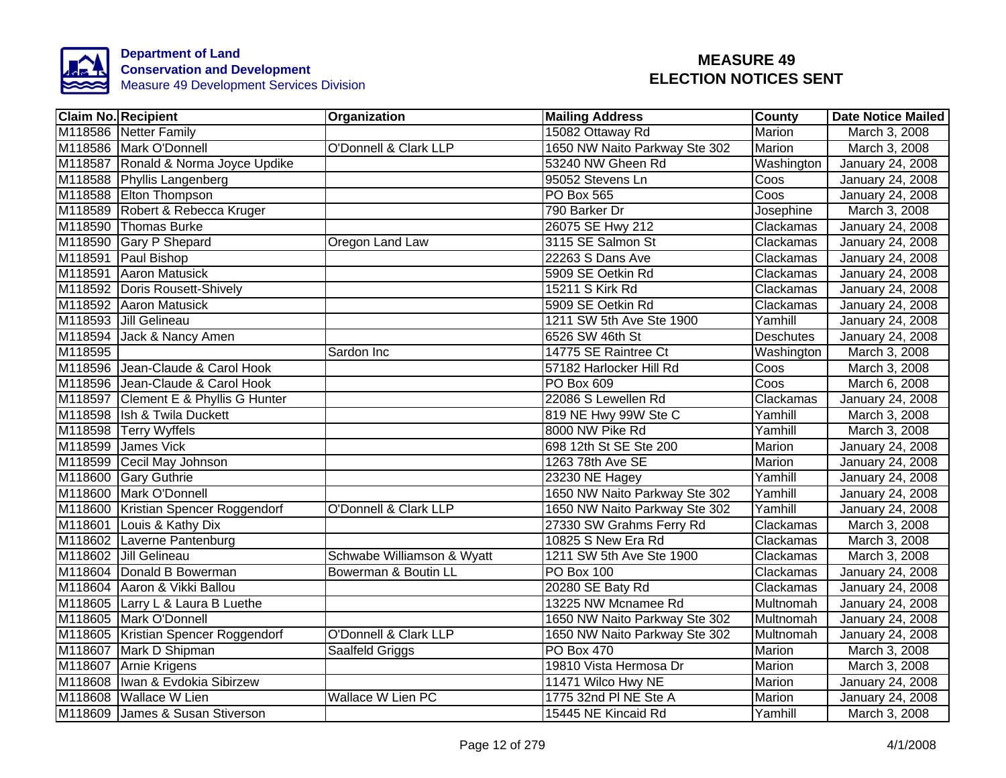

|         | <b>Claim No. Recipient</b>           | Organization                     | <b>Mailing Address</b>        | <b>County</b> | <b>Date Notice Mailed</b> |
|---------|--------------------------------------|----------------------------------|-------------------------------|---------------|---------------------------|
|         | M118586 Netter Family                |                                  | 15082 Ottaway Rd              | Marion        | March 3, 2008             |
|         | M118586 Mark O'Donnell               | <b>O'Donnell &amp; Clark LLP</b> | 1650 NW Naito Parkway Ste 302 | <b>Marion</b> | March 3, 2008             |
|         | M118587 Ronald & Norma Joyce Updike  |                                  | 53240 NW Gheen Rd             | Washington    | January 24, 2008          |
|         | M118588 Phyllis Langenberg           |                                  | 95052 Stevens Ln              | Coos          | January 24, 2008          |
|         | M118588 Elton Thompson               |                                  | <b>PO Box 565</b>             | Coos          | January 24, 2008          |
|         | M118589 Robert & Rebecca Kruger      |                                  | 790 Barker Dr                 | Josephine     | March 3, 2008             |
|         | M118590 Thomas Burke                 |                                  | 26075 SE Hwy 212              | Clackamas     | January 24, 2008          |
|         | M118590 Gary P Shepard               | Oregon Land Law                  | 3115 SE Salmon St             | Clackamas     | January 24, 2008          |
|         | M118591 Paul Bishop                  |                                  | 22263 S Dans Ave              | Clackamas     | January 24, 2008          |
|         | M118591 Aaron Matusick               |                                  | 5909 SE Oetkin Rd             | Clackamas     | January 24, 2008          |
|         | M118592 Doris Rousett-Shively        |                                  | 15211 S Kirk Rd               | Clackamas     | January 24, 2008          |
|         | M118592 Aaron Matusick               |                                  | 5909 SE Oetkin Rd             | Clackamas     | January 24, 2008          |
|         | M118593 Jill Gelineau                |                                  | 1211 SW 5th Ave Ste 1900      | Yamhill       | January 24, 2008          |
|         | M118594 Jack & Nancy Amen            |                                  | 6526 SW 46th St               | Deschutes     | January 24, 2008          |
| M118595 |                                      | Sardon Inc                       | 14775 SE Raintree Ct          | Washington    | March 3, 2008             |
|         | M118596 Jean-Claude & Carol Hook     |                                  | 57182 Harlocker Hill Rd       | Coos          | March 3, 2008             |
|         | M118596 Jean-Claude & Carol Hook     |                                  | <b>PO Box 609</b>             | Coos          | March 6, 2008             |
|         | M118597 Clement E & Phyllis G Hunter |                                  | 22086 S Lewellen Rd           | Clackamas     | January 24, 2008          |
|         | M118598 Ish & Twila Duckett          |                                  | 819 NE Hwy 99W Ste C          | Yamhill       | March 3, 2008             |
|         | M118598 Terry Wyffels                |                                  | 8000 NW Pike Rd               | Yamhill       | March 3, 2008             |
|         | M118599 James Vick                   |                                  | 698 12th St SE Ste 200        | <b>Marion</b> | January 24, 2008          |
|         | M118599 Cecil May Johnson            |                                  | 1263 78th Ave SE              | Marion        | January 24, 2008          |
|         | M118600 Gary Guthrie                 |                                  | 23230 NE Hagey                | Yamhill       | January 24, 2008          |
|         | M118600 Mark O'Donnell               |                                  | 1650 NW Naito Parkway Ste 302 | Yamhill       | January 24, 2008          |
|         | M118600 Kristian Spencer Roggendorf  | <b>O'Donnell &amp; Clark LLP</b> | 1650 NW Naito Parkway Ste 302 | Yamhill       | January 24, 2008          |
|         | M118601 Louis & Kathy Dix            |                                  | 27330 SW Grahms Ferry Rd      | Clackamas     | March 3, 2008             |
|         | M118602 Laverne Pantenburg           |                                  | 10825 S New Era Rd            | Clackamas     | March 3, 2008             |
|         | M118602 Jill Gelineau                | Schwabe Williamson & Wyatt       | 1211 SW 5th Ave Ste 1900      | Clackamas     | March 3, 2008             |
|         | M118604 Donald B Bowerman            | Bowerman & Boutin LL             | <b>PO Box 100</b>             | Clackamas     | January 24, 2008          |
|         | M118604 Aaron & Vikki Ballou         |                                  | 20280 SE Baty Rd              | Clackamas     | January 24, 2008          |
|         | M118605 Larry L & Laura B Luethe     |                                  | 13225 NW Mcnamee Rd           | Multnomah     | January 24, 2008          |
|         | M118605 Mark O'Donnell               |                                  | 1650 NW Naito Parkway Ste 302 | Multnomah     | January 24, 2008          |
|         | M118605 Kristian Spencer Roggendorf  | O'Donnell & Clark LLP            | 1650 NW Naito Parkway Ste 302 | Multnomah     | January 24, 2008          |
|         | M118607 Mark D Shipman               | Saalfeld Griggs                  | <b>PO Box 470</b>             | Marion        | March 3, 2008             |
|         | M118607 Arnie Krigens                |                                  | 19810 Vista Hermosa Dr        | Marion        | March 3, 2008             |
|         | M118608   Iwan & Evdokia Sibirzew    |                                  | 11471 Wilco Hwy NE            | Marion        | January 24, 2008          |
|         | M118608 Wallace W Lien               | <b>Wallace W Lien PC</b>         | 1775 32nd PI NE Ste A         | Marion        | January 24, 2008          |
|         | M118609 James & Susan Stiverson      |                                  | 15445 NE Kincaid Rd           | Yamhill       | March 3, 2008             |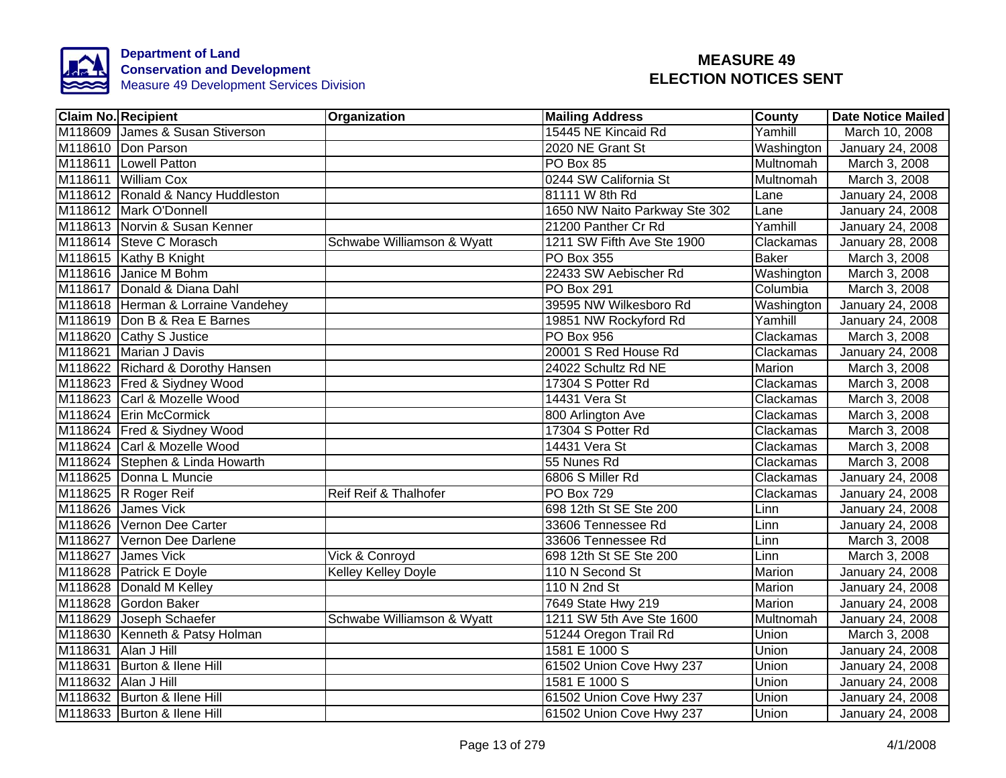

| <b>Claim No. Recipient</b>         | Organization               | <b>Mailing Address</b>        | <b>County</b>    | <b>Date Notice Mailed</b> |
|------------------------------------|----------------------------|-------------------------------|------------------|---------------------------|
| M118609 James & Susan Stiverson    |                            | 15445 NE Kincaid Rd           | Yamhill          | March 10, 2008            |
| M118610 Don Parson                 |                            | 2020 NE Grant St              | Washington       | January 24, 2008          |
| M118611 Lowell Patton              |                            | PO Box 85                     | <b>Multnomah</b> | March 3, 2008             |
| M118611 William Cox                |                            | 0244 SW California St         | Multnomah        | March 3, 2008             |
| M118612 Ronald & Nancy Huddleston  |                            | 81111 W 8th Rd                | Lane             | January 24, 2008          |
| M118612 Mark O'Donnell             |                            | 1650 NW Naito Parkway Ste 302 | Lane             | January 24, 2008          |
| M118613 Norvin & Susan Kenner      |                            | 21200 Panther Cr Rd           | Yamhill          | January 24, 2008          |
| M118614 Steve C Morasch            | Schwabe Williamson & Wyatt | 1211 SW Fifth Ave Ste 1900    | Clackamas        | January 28, 2008          |
| M118615 Kathy B Knight             |                            | PO Box 355                    | <b>Baker</b>     | March 3, 2008             |
| M118616 Janice M Bohm              |                            | 22433 SW Aebischer Rd         | Washington       | March 3, 2008             |
| M118617 Donald & Diana Dahl        |                            | PO Box 291                    | Columbia         | March 3, 2008             |
| M118618 Herman & Lorraine Vandehey |                            | 39595 NW Wilkesboro Rd        | Washington       | January 24, 2008          |
| M118619 Don B & Rea E Barnes       |                            | 19851 NW Rockyford Rd         | Yamhill          | January 24, 2008          |
| M118620 Cathy S Justice            |                            | PO Box 956                    | Clackamas        | March 3, 2008             |
| M118621 Marian J Davis             |                            | 20001 S Red House Rd          | Clackamas        | January 24, 2008          |
| M118622 Richard & Dorothy Hansen   |                            | 24022 Schultz Rd NE           | <b>Marion</b>    | March 3, 2008             |
| M118623 Fred & Siydney Wood        |                            | 17304 S Potter Rd             | Clackamas        | March 3, 2008             |
| M118623 Carl & Mozelle Wood        |                            | 14431 Vera St                 | Clackamas        | March 3, 2008             |
| M118624 Erin McCormick             |                            | 800 Arlington Ave             | Clackamas        | March 3, 2008             |
| M118624 Fred & Siydney Wood        |                            | 17304 S Potter Rd             | Clackamas        | March 3, 2008             |
| M118624 Carl & Mozelle Wood        |                            | 14431 Vera St                 | Clackamas        | March 3, 2008             |
| M118624 Stephen & Linda Howarth    |                            | 55 Nunes Rd                   | Clackamas        | March 3, 2008             |
| M118625 Donna L Muncie             |                            | 6806 S Miller Rd              | Clackamas        | January 24, 2008          |
| M118625 R Roger Reif               | Reif Reif & Thalhofer      | <b>PO Box 729</b>             | Clackamas        | January 24, 2008          |
| M118626 James Vick                 |                            | 698 12th St SE Ste 200        | Linn             | January 24, 2008          |
| M118626 Vernon Dee Carter          |                            | 33606 Tennessee Rd            | Linn             | January 24, 2008          |
| M118627 Vernon Dee Darlene         |                            | 33606 Tennessee Rd            | Linn             | March 3, 2008             |
| M118627 James Vick                 | Vick & Conroyd             | 698 12th St SE Ste 200        | Linn             | March 3, 2008             |
| M118628 Patrick E Doyle            | Kelley Kelley Doyle        | 110 N Second St               | Marion           | January 24, 2008          |
| M118628 Donald M Kelley            |                            | 110 N 2nd St                  | Marion           | January 24, 2008          |
| M118628 Gordon Baker               |                            | 7649 State Hwy 219            | Marion           | January 24, 2008          |
| M118629 Joseph Schaefer            | Schwabe Williamson & Wyatt | 1211 SW 5th Ave Ste 1600      | Multnomah        | January 24, 2008          |
| M118630 Kenneth & Patsy Holman     |                            | 51244 Oregon Trail Rd         | Union            | March 3, 2008             |
| M118631 Alan J Hill                |                            | 1581 E 1000 S                 | Union            | January 24, 2008          |
| M118631 Burton & Ilene Hill        |                            | 61502 Union Cove Hwy 237      | Union            | January 24, 2008          |
| M118632 Alan J Hill                |                            | 1581 E 1000 S                 | Union            | January 24, 2008          |
| M118632 Burton & Ilene Hill        |                            | 61502 Union Cove Hwy 237      | Union            | January 24, 2008          |
| M118633 Burton & Ilene Hill        |                            | 61502 Union Cove Hwy 237      | Union            | January 24, 2008          |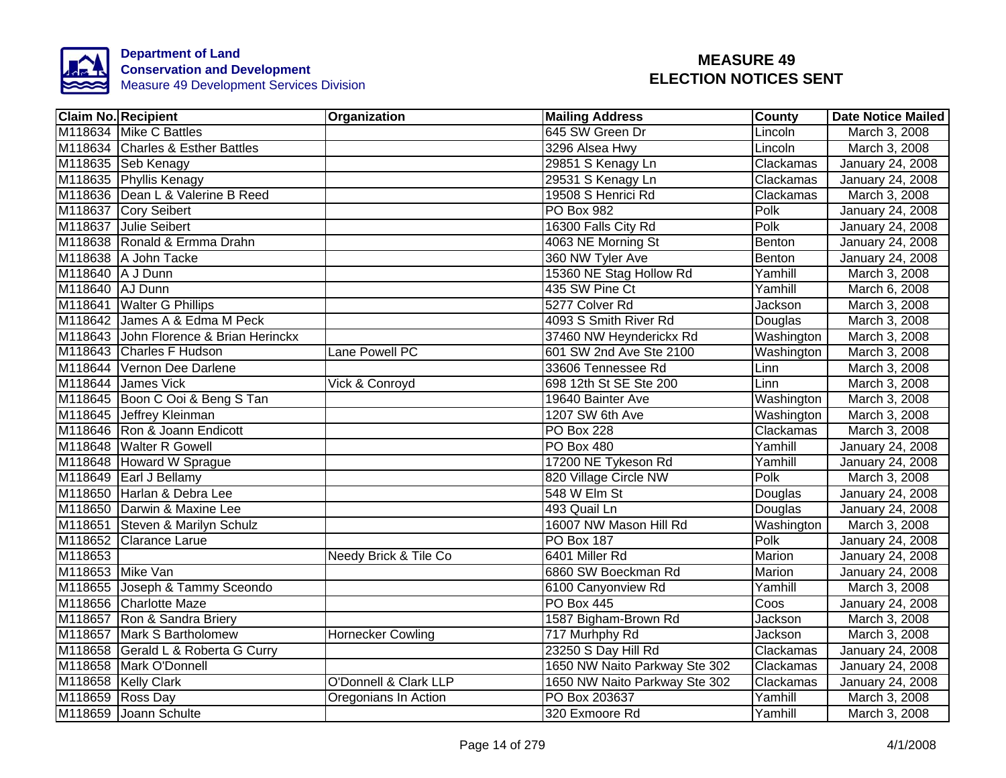

|                  | <b>Claim No. Recipient</b>             | Organization                     | <b>Mailing Address</b>        | <b>County</b> | <b>Date Notice Mailed</b> |
|------------------|----------------------------------------|----------------------------------|-------------------------------|---------------|---------------------------|
|                  | M118634 Mike C Battles                 |                                  | 645 SW Green Dr               | Lincoln       | March 3, 2008             |
|                  | M118634 Charles & Esther Battles       |                                  | 3296 Alsea Hwy                | Lincoln       | March 3, 2008             |
|                  | M118635 Seb Kenagy                     |                                  | 29851 S Kenagy Ln             | Clackamas     | January 24, 2008          |
|                  | M118635 Phyllis Kenagy                 |                                  | 29531 S Kenagy Ln             | Clackamas     | January 24, 2008          |
|                  | M118636 Dean L & Valerine B Reed       |                                  | 19508 S Henrici Rd            | Clackamas     | March 3, 2008             |
|                  | M118637 Cory Seibert                   |                                  | PO Box 982                    | Polk          | January 24, 2008          |
|                  | M118637 Julie Seibert                  |                                  | 16300 Falls City Rd           | Polk          | January 24, 2008          |
|                  | M118638 Ronald & Ermma Drahn           |                                  | 4063 NE Morning St            | Benton        | January 24, 2008          |
|                  | M118638 A John Tacke                   |                                  | 360 NW Tyler Ave              | Benton        | January 24, 2008          |
| M118640 A J Dunn |                                        |                                  | 15360 NE Stag Hollow Rd       | Yamhill       | March 3, 2008             |
| M118640 AJ Dunn  |                                        |                                  | 435 SW Pine Ct                | Yamhill       | March 6, 2008             |
|                  | M118641 Walter G Phillips              |                                  | 5277 Colver Rd                | Jackson       | March 3, 2008             |
|                  | M118642 James A & Edma M Peck          |                                  | 4093 S Smith River Rd         | Douglas       | March 3, 2008             |
|                  | M118643 John Florence & Brian Herinckx |                                  | 37460 NW Heynderickx Rd       | Washington    | March 3, 2008             |
|                  | M118643 Charles F Hudson               | Lane Powell PC                   | 601 SW 2nd Ave Ste 2100       | Washington    | March 3, 2008             |
|                  | M118644 Vernon Dee Darlene             |                                  | 33606 Tennessee Rd            | Linn          | March 3, 2008             |
|                  | M118644 James Vick                     | Vick & Conroyd                   | 698 12th St SE Ste 200        | Linn          | March 3, 2008             |
|                  | M118645 Boon C Ooi & Beng S Tan        |                                  | 19640 Bainter Ave             | Washington    | March 3, 2008             |
|                  | M118645 Jeffrey Kleinman               |                                  | 1207 SW 6th Ave               | Washington    | March 3, 2008             |
|                  | M118646 Ron & Joann Endicott           |                                  | <b>PO Box 228</b>             | Clackamas     | March 3, 2008             |
|                  | M118648 Walter R Gowell                |                                  | <b>PO Box 480</b>             | Yamhill       | January 24, 2008          |
|                  | M118648 Howard W Sprague               |                                  | 17200 NE Tykeson Rd           | Yamhill       | January 24, 2008          |
|                  | M118649 Earl J Bellamy                 |                                  | 820 Village Circle NW         | Polk          | March 3, 2008             |
|                  | M118650 Harlan & Debra Lee             |                                  | 548 W Elm St                  | Douglas       | January 24, 2008          |
|                  | M118650 Darwin & Maxine Lee            |                                  | 493 Quail Ln                  | Douglas       | January 24, 2008          |
|                  | M118651 Steven & Marilyn Schulz        |                                  | 16007 NW Mason Hill Rd        | Washington    | March 3, 2008             |
|                  | M118652 Clarance Larue                 |                                  | <b>PO Box 187</b>             | Polk          | January 24, 2008          |
| M118653          |                                        | Needy Brick & Tile Co            | 6401 Miller Rd                | Marion        | January 24, 2008          |
| M118653 Mike Van |                                        |                                  | 6860 SW Boeckman Rd           | Marion        | January 24, 2008          |
|                  | M118655 Joseph & Tammy Sceondo         |                                  | 6100 Canyonview Rd            | Yamhill       | March 3, 2008             |
|                  | M118656 Charlotte Maze                 |                                  | <b>PO Box 445</b>             | Coos          | January 24, 2008          |
|                  | M118657 Ron & Sandra Briery            |                                  | 1587 Bigham-Brown Rd          | Jackson       | March 3, 2008             |
|                  | M118657 Mark S Bartholomew             | <b>Hornecker Cowling</b>         | 717 Murhphy Rd                | Jackson       | March 3, 2008             |
|                  | M118658 Gerald L & Roberta G Curry     |                                  | 23250 S Day Hill Rd           | Clackamas     | January 24, 2008          |
|                  | M118658 Mark O'Donnell                 |                                  | 1650 NW Naito Parkway Ste 302 | Clackamas     | January 24, 2008          |
|                  | M118658 Kelly Clark                    | <b>O'Donnell &amp; Clark LLP</b> | 1650 NW Naito Parkway Ste 302 | Clackamas     | January 24, 2008          |
| M118659 Ross Day |                                        | Oregonians In Action             | PO Box 203637                 | Yamhill       | March 3, 2008             |
|                  | M118659 Joann Schulte                  |                                  | 320 Exmoore Rd                | Yamhill       | March 3, 2008             |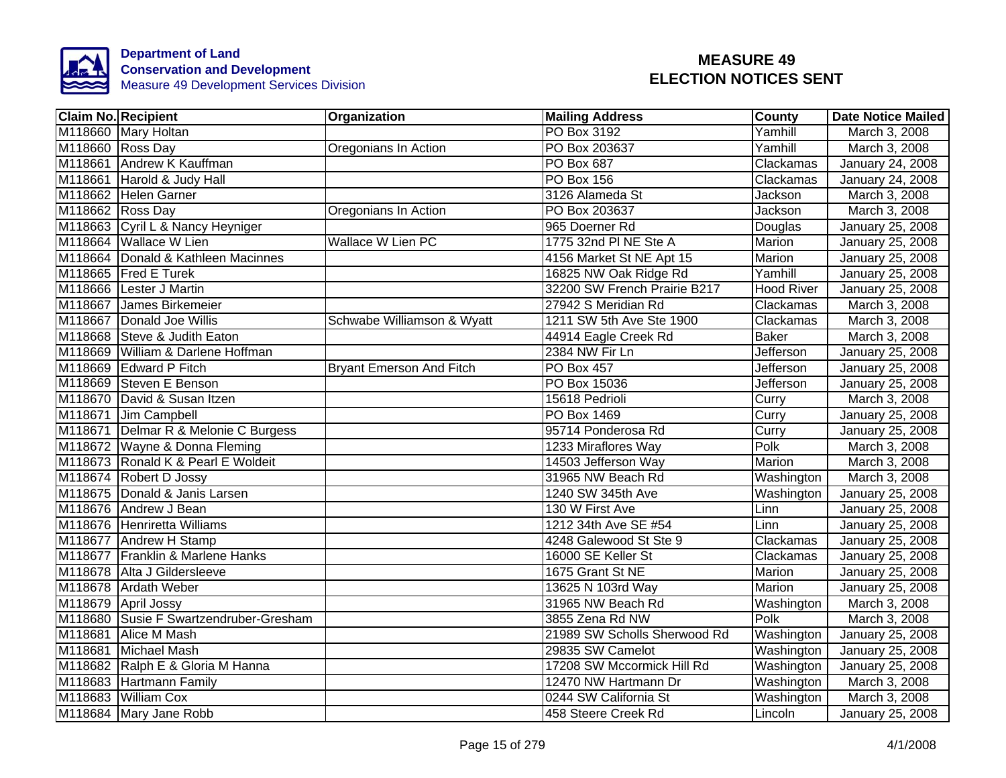

|         | <b>Claim No. Recipient</b>             | Organization                    | <b>Mailing Address</b>       | <b>County</b>    | <b>Date Notice Mailed</b> |
|---------|----------------------------------------|---------------------------------|------------------------------|------------------|---------------------------|
|         | M118660 Mary Holtan                    |                                 | PO Box 3192                  | Yamhill          | March 3, 2008             |
|         | M118660 Ross Day                       | Oregonians In Action            | PO Box 203637                | Yamhill          | March 3, 2008             |
|         | M118661 Andrew K Kauffman              |                                 | <b>PO Box 687</b>            | Clackamas        | January 24, 2008          |
|         | M118661 Harold & Judy Hall             |                                 | <b>PO Box 156</b>            | Clackamas        | January 24, 2008          |
|         | M118662 Helen Garner                   |                                 | 3126 Alameda St              | Jackson          | March 3, 2008             |
|         | M118662 Ross Day                       | Oregonians In Action            | PO Box 203637                | Jackson          | March 3, 2008             |
|         | M118663 Cyril L & Nancy Heyniger       |                                 | 965 Doerner Rd               | Douglas          | January 25, 2008          |
|         | M118664 Wallace W Lien                 | Wallace W Lien PC               | 1775 32nd PI NE Ste A        | Marion           | January 25, 2008          |
|         | M118664 Donald & Kathleen Macinnes     |                                 | 4156 Market St NE Apt 15     | Marion           | January 25, 2008          |
|         | M118665 Fred E Turek                   |                                 | 16825 NW Oak Ridge Rd        | Yamhill          | January 25, 2008          |
|         | M118666 Lester J Martin                |                                 | 32200 SW French Prairie B217 | Hood River       | January 25, 2008          |
|         | M118667 James Birkemeier               |                                 | 27942 S Meridian Rd          | Clackamas        | March 3, 2008             |
|         | M118667 Donald Joe Willis              | Schwabe Williamson & Wyatt      | 1211 SW 5th Ave Ste 1900     | Clackamas        | March 3, 2008             |
|         | M118668 Steve & Judith Eaton           |                                 | 44914 Eagle Creek Rd         | <b>Baker</b>     | March 3, 2008             |
|         | M118669 William & Darlene Hoffman      |                                 | 2384 NW Fir Ln               | <b>Jefferson</b> | <b>January 25, 2008</b>   |
|         | M118669 Edward P Fitch                 | <b>Bryant Emerson And Fitch</b> | <b>PO Box 457</b>            | Jefferson        | January 25, 2008          |
|         | M118669 Steven E Benson                |                                 | PO Box 15036                 | Jefferson        | January 25, 2008          |
|         | M118670 David & Susan Itzen            |                                 | 15618 Pedrioli               | Curry            | March 3, 2008             |
|         | M118671 Jim Campbell                   |                                 | PO Box 1469                  | Curry            | January 25, 2008          |
|         | M118671 Delmar R & Melonie C Burgess   |                                 | 95714 Ponderosa Rd           | Curry            | January 25, 2008          |
|         | M118672 Wayne & Donna Fleming          |                                 | 1233 Miraflores Way          | Polk             | March 3, 2008             |
|         | M118673 Ronald K & Pearl E Woldeit     |                                 | 14503 Jefferson Way          | Marion           | March 3, 2008             |
|         | M118674 Robert D Jossy                 |                                 | 31965 NW Beach Rd            | Washington       | March 3, 2008             |
|         | M118675 Donald & Janis Larsen          |                                 | 1240 SW 345th Ave            | Washington       | January 25, 2008          |
|         | M118676 Andrew J Bean                  |                                 | 130 W First Ave              | Linn             | January 25, 2008          |
|         | M118676 Henriretta Williams            |                                 | 1212 34th Ave SE #54         | Linn             | January 25, 2008          |
|         | M118677 Andrew H Stamp                 |                                 | 4248 Galewood St Ste 9       | Clackamas        | January 25, 2008          |
|         | M118677 Franklin & Marlene Hanks       |                                 | 16000 SE Keller St           | Clackamas        | January 25, 2008          |
|         | M118678 Alta J Gildersleeve            |                                 | 1675 Grant St NE             | Marion           | January 25, 2008          |
|         | M118678 Ardath Weber                   |                                 | 13625 N 103rd Way            | Marion           | January 25, 2008          |
|         | M118679 April Jossy                    |                                 | 31965 NW Beach Rd            | Washington       | March 3, 2008             |
|         | M118680 Susie F Swartzendruber-Gresham |                                 | 3855 Zena Rd NW              | Polk             | March 3, 2008             |
| M118681 | Alice M Mash                           |                                 | 21989 SW Scholls Sherwood Rd | Washington       | January 25, 2008          |
|         | M118681 Michael Mash                   |                                 | 29835 SW Camelot             | Washington       | January 25, 2008          |
|         | M118682 Ralph E & Gloria M Hanna       |                                 | 17208 SW Mccormick Hill Rd   | Washington       | January 25, 2008          |
|         | M118683 Hartmann Family                |                                 | 12470 NW Hartmann Dr         | Washington       | March 3, 2008             |
|         | M118683 William Cox                    |                                 | 0244 SW California St        | Washington       | March 3, 2008             |
|         | M118684 Mary Jane Robb                 |                                 | 458 Steere Creek Rd          | Lincoln          | January 25, 2008          |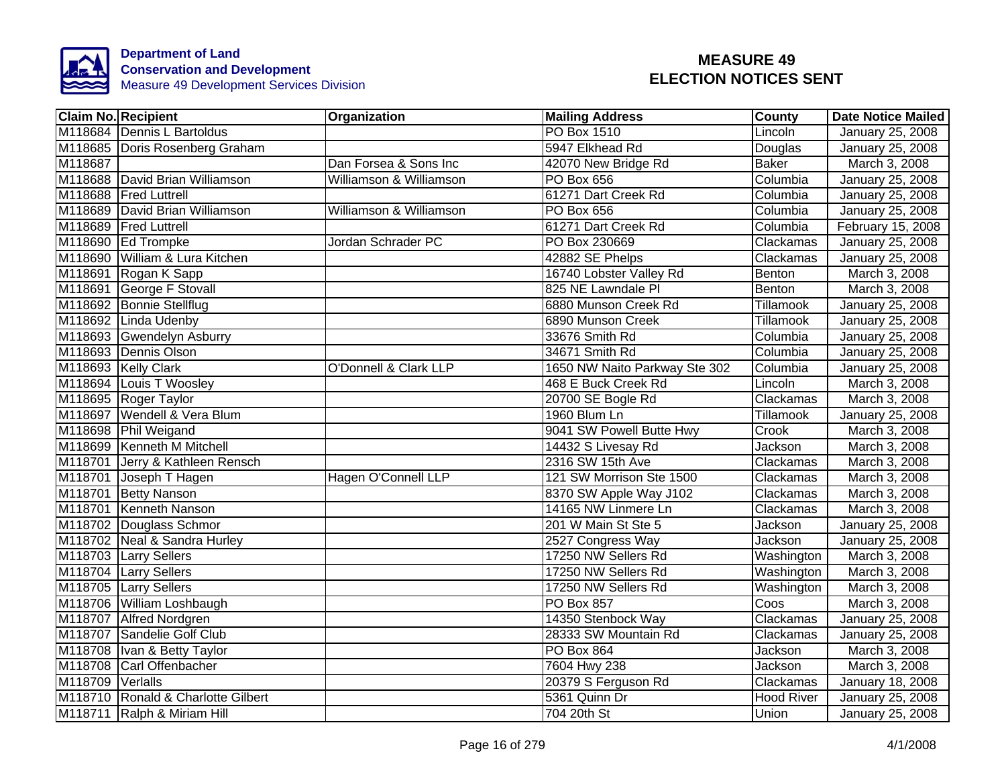

|                  | <b>Claim No. Recipient</b>         | Organization                     | <b>Mailing Address</b>        | <b>County</b>  | <b>Date Notice Mailed</b> |
|------------------|------------------------------------|----------------------------------|-------------------------------|----------------|---------------------------|
|                  | M118684 Dennis L Bartoldus         |                                  | <b>PO Box 1510</b>            | Lincoln        | January 25, 2008          |
|                  | M118685 Doris Rosenberg Graham     |                                  | 5947 Elkhead Rd               | Douglas        | January 25, 2008          |
| M118687          |                                    | Dan Forsea & Sons Inc            | 42070 New Bridge Rd           | <b>Baker</b>   | March 3, 2008             |
|                  | M118688 David Brian Williamson     | Williamson & Williamson          | PO Box 656                    | Columbia       | January 25, 2008          |
|                  | M118688 Fred Luttrell              |                                  | 61271 Dart Creek Rd           | Columbia       | January 25, 2008          |
|                  | M118689 David Brian Williamson     | Williamson & Williamson          | PO Box 656                    | Columbia       | January 25, 2008          |
|                  | M118689 Fred Luttrell              |                                  | 61271 Dart Creek Rd           | Columbia       | February 15, 2008         |
|                  | M118690 Ed Trompke                 | Jordan Schrader PC               | PO Box 230669                 | Clackamas      | January 25, 2008          |
|                  | M118690 William & Lura Kitchen     |                                  | 42882 SE Phelps               | Clackamas      | January 25, 2008          |
|                  | M118691 Rogan K Sapp               |                                  | 16740 Lobster Valley Rd       | Benton         | March 3, 2008             |
|                  | M118691 George F Stovall           |                                  | 825 NE Lawndale Pl            | Benton         | March 3, 2008             |
|                  | M118692 Bonnie Stellflug           |                                  | 6880 Munson Creek Rd          | Tillamook      | January 25, 2008          |
|                  | M118692 Linda Udenby               |                                  | 6890 Munson Creek             | Tillamook      | January 25, 2008          |
|                  | M118693 Gwendelyn Asburry          |                                  | 33676 Smith Rd                | Columbia       | January 25, 2008          |
|                  | M118693 Dennis Olson               |                                  | 34671 Smith Rd                | Columbia       | January 25, 2008          |
|                  | M118693 Kelly Clark                | <b>O'Donnell &amp; Clark LLP</b> | 1650 NW Naito Parkway Ste 302 | Columbia       | January 25, 2008          |
|                  | M118694 Louis T Woosley            |                                  | 468 E Buck Creek Rd           | Lincoln        | March 3, 2008             |
|                  | M118695 Roger Taylor               |                                  | 20700 SE Bogle Rd             | Clackamas      | March 3, 2008             |
|                  | M118697 Wendell & Vera Blum        |                                  | 1960 Blum Ln                  | Tillamook      | January 25, 2008          |
|                  | M118698 Phil Weigand               |                                  | 9041 SW Powell Butte Hwy      | Crook          | March 3, 2008             |
|                  | M118699 Kenneth M Mitchell         |                                  | 14432 S Livesay Rd            | <b>Jackson</b> | March 3, 2008             |
|                  | M118701 Jerry & Kathleen Rensch    |                                  | 2316 SW 15th Ave              | Clackamas      | March 3, 2008             |
|                  | M118701 Joseph T Hagen             | Hagen O'Connell LLP              | 121 SW Morrison Ste 1500      | Clackamas      | March 3, 2008             |
|                  | M118701 Betty Nanson               |                                  | 8370 SW Apple Way J102        | Clackamas      | March 3, 2008             |
|                  | M118701 Kenneth Nanson             |                                  | 14165 NW Linmere Ln           | Clackamas      | March 3, 2008             |
|                  | M118702 Douglass Schmor            |                                  | 201 W Main St Ste 5           | Jackson        | <b>January 25, 2008</b>   |
|                  | M118702 Neal & Sandra Hurley       |                                  | 2527 Congress Way             | Jackson        | January 25, 2008          |
|                  | M118703 Larry Sellers              |                                  | 17250 NW Sellers Rd           | Washington     | March 3, 2008             |
|                  | M118704 Larry Sellers              |                                  | 17250 NW Sellers Rd           | Washington     | March 3, 2008             |
|                  | M118705 Larry Sellers              |                                  | 17250 NW Sellers Rd           | Washington     | March 3, 2008             |
|                  | M118706 William Loshbaugh          |                                  | <b>PO Box 857</b>             | Coos           | March 3, 2008             |
|                  | M118707 Alfred Nordgren            |                                  | 14350 Stenbock Way            | Clackamas      | January 25, 2008          |
|                  | M118707 Sandelie Golf Club         |                                  | 28333 SW Mountain Rd          | Clackamas      | January 25, 2008          |
|                  | M118708  Ivan & Betty Taylor       |                                  | PO Box 864                    | Jackson        | March 3, 2008             |
|                  | M118708 Carl Offenbacher           |                                  | 7604 Hwy 238                  | Jackson        | March 3, 2008             |
| M118709 Verlalls |                                    |                                  | 20379 S Ferguson Rd           | Clackamas      | January 18, 2008          |
|                  | M118710 Ronald & Charlotte Gilbert |                                  | 5361 Quinn Dr                 | Hood River     | January 25, 2008          |
|                  | M118711 Ralph & Miriam Hill        |                                  | 704 20th St                   | Union          | January 25, 2008          |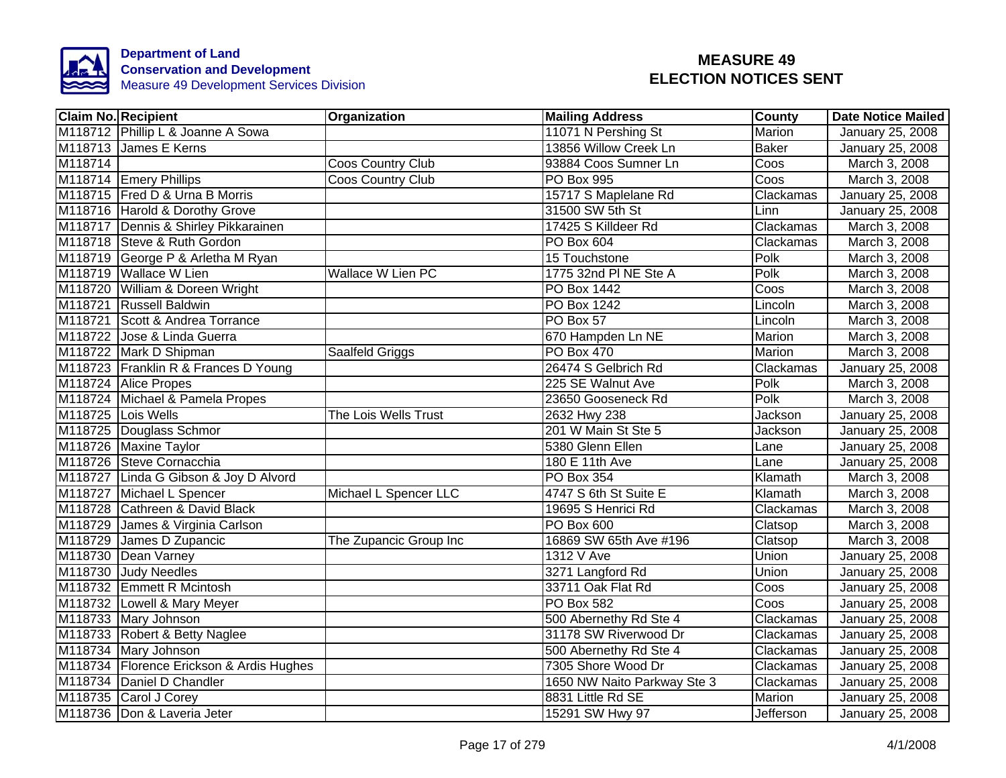

|         | <b>Claim No. Recipient</b>               | Organization           | <b>Mailing Address</b>      | <b>County</b> | <b>Date Notice Mailed</b> |
|---------|------------------------------------------|------------------------|-----------------------------|---------------|---------------------------|
|         | M118712 Phillip L & Joanne A Sowa        |                        | 11071 N Pershing St         | Marion        | <b>January 25, 2008</b>   |
|         | M118713 James E Kerns                    |                        | 13856 Willow Creek Ln       | <b>Baker</b>  | January 25, 2008          |
| M118714 |                                          | Coos Country Club      | 93884 Coos Sumner Ln        | Coos          | March 3, 2008             |
|         | M118714 Emery Phillips                   | Coos Country Club      | PO Box 995                  | Coos          | March 3, 2008             |
|         | M118715 Fred D & Urna B Morris           |                        | 15717 S Maplelane Rd        | Clackamas     | January 25, 2008          |
|         | M118716 Harold & Dorothy Grove           |                        | 31500 SW 5th St             | Linn          | January 25, 2008          |
|         | M118717 Dennis & Shirley Pikkarainen     |                        | 17425 S Killdeer Rd         | Clackamas     | March 3, 2008             |
|         | M118718 Steve & Ruth Gordon              |                        | PO Box 604                  | Clackamas     | March 3, 2008             |
|         | M118719 George P & Arletha M Ryan        |                        | 15 Touchstone               | Polk          | March 3, 2008             |
|         | M118719 Wallace W Lien                   | Wallace W Lien PC      | 1775 32nd PI NE Ste A       | Polk          | March 3, 2008             |
|         | M118720 William & Doreen Wright          |                        | PO Box 1442                 | Coos          | March 3, 2008             |
|         | M118721 Russell Baldwin                  |                        | PO Box 1242                 | Lincoln       | March 3, 2008             |
|         | M118721 Scott & Andrea Torrance          |                        | PO Box 57                   | Lincoln       | March 3, 2008             |
|         | M118722 Jose & Linda Guerra              |                        | 670 Hampden Ln NE           | Marion        | March 3, 2008             |
|         | M118722 Mark D Shipman                   | Saalfeld Griggs        | <b>PO Box 470</b>           | Marion        | March 3, 2008             |
|         | M118723 Franklin R & Frances D Young     |                        | 26474 S Gelbrich Rd         | Clackamas     | January 25, 2008          |
|         | M118724 Alice Propes                     |                        | 225 SE Walnut Ave           | Polk          | March 3, 2008             |
|         | M118724 Michael & Pamela Propes          |                        | 23650 Gooseneck Rd          | Polk          | March 3, 2008             |
|         | M118725 Lois Wells                       | The Lois Wells Trust   | 2632 Hwy 238                | Jackson       | January 25, 2008          |
|         | M118725 Douglass Schmor                  |                        | 201 W Main St Ste 5         | Jackson       | January 25, 2008          |
|         | M118726 Maxine Taylor                    |                        | 5380 Glenn Ellen            | Lane          | January 25, 2008          |
|         | M118726 Steve Cornacchia                 |                        | 180 E 11th Ave              | Lane          | January 25, 2008          |
|         | M118727 Linda G Gibson & Joy D Alvord    |                        | PO Box 354                  | Klamath       | March 3, 2008             |
|         | M118727 Michael L Spencer                | Michael L Spencer LLC  | 4747 S 6th St Suite E       | Klamath       | March 3, 2008             |
|         | M118728 Cathreen & David Black           |                        | 19695 S Henrici Rd          | Clackamas     | March 3, 2008             |
|         | M118729 James & Virginia Carlson         |                        | <b>PO Box 600</b>           | Clatsop       | March 3, 2008             |
|         | M118729 James D Zupancic                 | The Zupancic Group Inc | 16869 SW 65th Ave #196      | Clatsop       | March 3, 2008             |
|         | M118730 Dean Varney                      |                        | 1312 V Ave                  | Union         | January 25, 2008          |
|         | M118730 Judy Needles                     |                        | 3271 Langford Rd            | Union         | January 25, 2008          |
|         | M118732 Emmett R Mcintosh                |                        | 33711 Oak Flat Rd           | Coos          | January 25, 2008          |
|         | M118732 Lowell & Mary Meyer              |                        | PO Box 582                  | Coos          | January 25, 2008          |
|         | M118733 Mary Johnson                     |                        | 500 Abernethy Rd Ste 4      | Clackamas     | January 25, 2008          |
|         | M118733 Robert & Betty Naglee            |                        | 31178 SW Riverwood Dr       | Clackamas     | January 25, 2008          |
|         | M118734 Mary Johnson                     |                        | 500 Abernethy Rd Ste 4      | Clackamas     | January 25, 2008          |
|         | M118734 Florence Erickson & Ardis Hughes |                        | 7305 Shore Wood Dr          | Clackamas     | January 25, 2008          |
|         | M118734 Daniel D Chandler                |                        | 1650 NW Naito Parkway Ste 3 | Clackamas     | January 25, 2008          |
|         | M118735 Carol J Corey                    |                        | 8831 Little Rd SE           | Marion        | January 25, 2008          |
|         | M118736 Don & Laveria Jeter              |                        | 15291 SW Hwy 97             | Jefferson     | January 25, 2008          |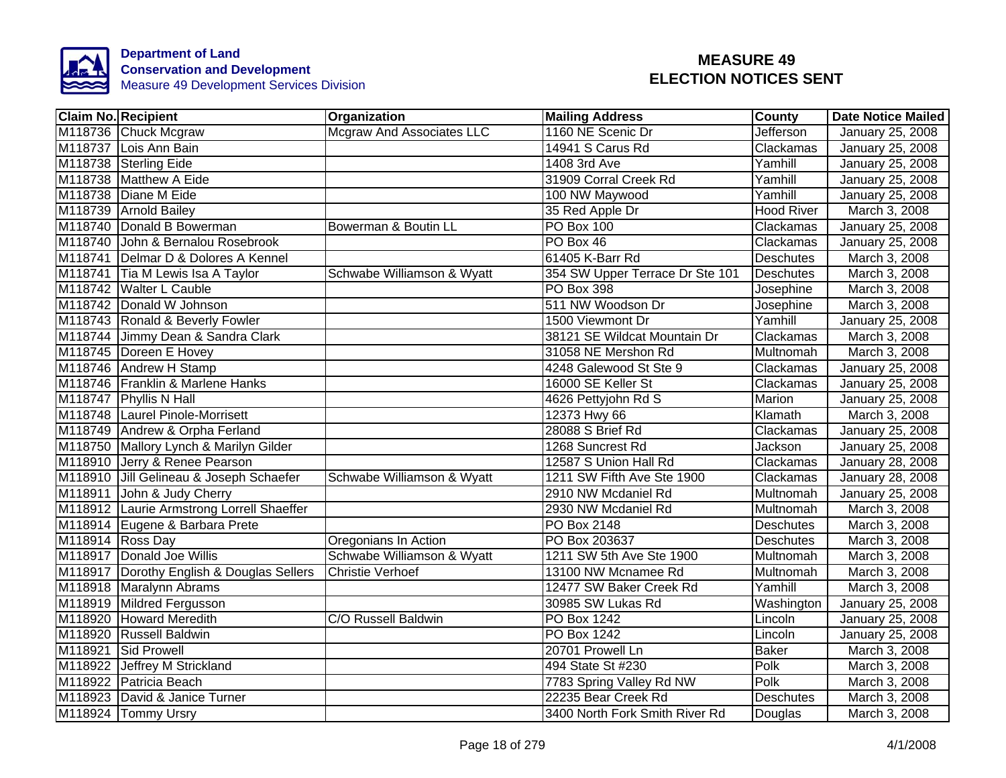

| <b>Claim No. Recipient</b> |                                           | Organization                     | <b>Mailing Address</b>          | <b>County</b>     | <b>Date Notice Mailed</b> |
|----------------------------|-------------------------------------------|----------------------------------|---------------------------------|-------------------|---------------------------|
|                            | M118736 Chuck Mcgraw                      | <b>Mcgraw And Associates LLC</b> | 1160 NE Scenic Dr               | Jefferson         | January 25, 2008          |
|                            | M118737 Lois Ann Bain                     |                                  | 14941 S Carus Rd                | Clackamas         | January 25, 2008          |
|                            | M118738 Sterling Eide                     |                                  | 1408 3rd Ave                    | Yamhill           | January 25, 2008          |
|                            | M118738 Matthew A Eide                    |                                  | 31909 Corral Creek Rd           | Yamhill           | January 25, 2008          |
|                            | M118738 Diane M Eide                      |                                  | 100 NW Maywood                  | Yamhill           | January 25, 2008          |
|                            | M118739 Arnold Bailey                     |                                  | 35 Red Apple Dr                 | <b>Hood River</b> | March 3, 2008             |
|                            | M118740 Donald B Bowerman                 | Bowerman & Boutin LL             | <b>PO Box 100</b>               | Clackamas         | January 25, 2008          |
|                            | M118740 John & Bernalou Rosebrook         |                                  | PO Box 46                       | Clackamas         | January 25, 2008          |
|                            | M118741 Delmar D & Dolores A Kennel       |                                  | 61405 K-Barr Rd                 | <b>Deschutes</b>  | March 3, 2008             |
|                            | M118741 Tia M Lewis Isa A Taylor          | Schwabe Williamson & Wyatt       | 354 SW Upper Terrace Dr Ste 101 | <b>Deschutes</b>  | March 3, 2008             |
|                            | M118742 Walter L Cauble                   |                                  | PO Box 398                      | Josephine         | March 3, 2008             |
|                            | M118742 Donald W Johnson                  |                                  | 511 NW Woodson Dr               | Josephine         | March 3, 2008             |
|                            | M118743 Ronald & Beverly Fowler           |                                  | 1500 Viewmont Dr                | Yamhill           | January 25, 2008          |
|                            | M118744 Jimmy Dean & Sandra Clark         |                                  | 38121 SE Wildcat Mountain Dr    | Clackamas         | March 3, 2008             |
|                            | M118745 Doreen E Hovey                    |                                  | 31058 NE Mershon Rd             | <b>Multnomah</b>  | March 3, 2008             |
|                            | M118746 Andrew H Stamp                    |                                  | 4248 Galewood St Ste 9          | Clackamas         | January 25, 2008          |
|                            | M118746 Franklin & Marlene Hanks          |                                  | 16000 SE Keller St              | Clackamas         | January 25, 2008          |
|                            | M118747 Phyllis N Hall                    |                                  | 4626 Pettyjohn Rd S             | Marion            | January 25, 2008          |
|                            | M118748 Laurel Pinole-Morrisett           |                                  | 12373 Hwy 66                    | Klamath           | March 3, 2008             |
|                            | M118749 Andrew & Orpha Ferland            |                                  | 28088 S Brief Rd                | Clackamas         | January 25, 2008          |
|                            | M118750 Mallory Lynch & Marilyn Gilder    |                                  | 1268 Suncrest Rd                | Jackson           | January 25, 2008          |
|                            | M118910 Jerry & Renee Pearson             |                                  | 12587 S Union Hall Rd           | Clackamas         | <b>January 28, 2008</b>   |
|                            | M118910 Jill Gelineau & Joseph Schaefer   | Schwabe Williamson & Wyatt       | 1211 SW Fifth Ave Ste 1900      | Clackamas         | January 28, 2008          |
|                            | M118911 John & Judy Cherry                |                                  | 2910 NW Mcdaniel Rd             | Multnomah         | January 25, 2008          |
|                            | M118912 Laurie Armstrong Lorrell Shaeffer |                                  | 2930 NW Mcdaniel Rd             | Multnomah         | March 3, 2008             |
|                            | M118914 Eugene & Barbara Prete            |                                  | PO Box 2148                     | <b>Deschutes</b>  | March 3, 2008             |
| M118914 Ross Day           |                                           | Oregonians In Action             | PO Box 203637                   | <b>Deschutes</b>  | March 3, 2008             |
|                            | M118917 Donald Joe Willis                 | Schwabe Williamson & Wyatt       | 1211 SW 5th Ave Ste 1900        | Multnomah         | March 3, 2008             |
|                            | M118917 Dorothy English & Douglas Sellers | <b>Christie Verhoef</b>          | 13100 NW Mcnamee Rd             | Multnomah         | March 3, 2008             |
|                            | M118918 Maralynn Abrams                   |                                  | 12477 SW Baker Creek Rd         | Yamhill           | March 3, 2008             |
|                            | M118919 Mildred Fergusson                 |                                  | 30985 SW Lukas Rd               | Washington        | January 25, 2008          |
|                            | M118920 Howard Meredith                   | C/O Russell Baldwin              | PO Box 1242                     | Lincoln           | January 25, 2008          |
|                            | M118920 Russell Baldwin                   |                                  | PO Box 1242                     | Lincoln           | January 25, 2008          |
|                            | M118921 Sid Prowell                       |                                  | 20701 Prowell Ln                | <b>Baker</b>      | March 3, 2008             |
|                            | M118922 Jeffrey M Strickland              |                                  | 494 State St #230               | Polk              | March 3, 2008             |
|                            | M118922 Patricia Beach                    |                                  | 7783 Spring Valley Rd NW        | Polk              | March 3, 2008             |
|                            | M118923 David & Janice Turner             |                                  | 22235 Bear Creek Rd             | Deschutes         | March 3, 2008             |
|                            | M118924 Tommy Ursry                       |                                  | 3400 North Fork Smith River Rd  | Douglas           | March 3, 2008             |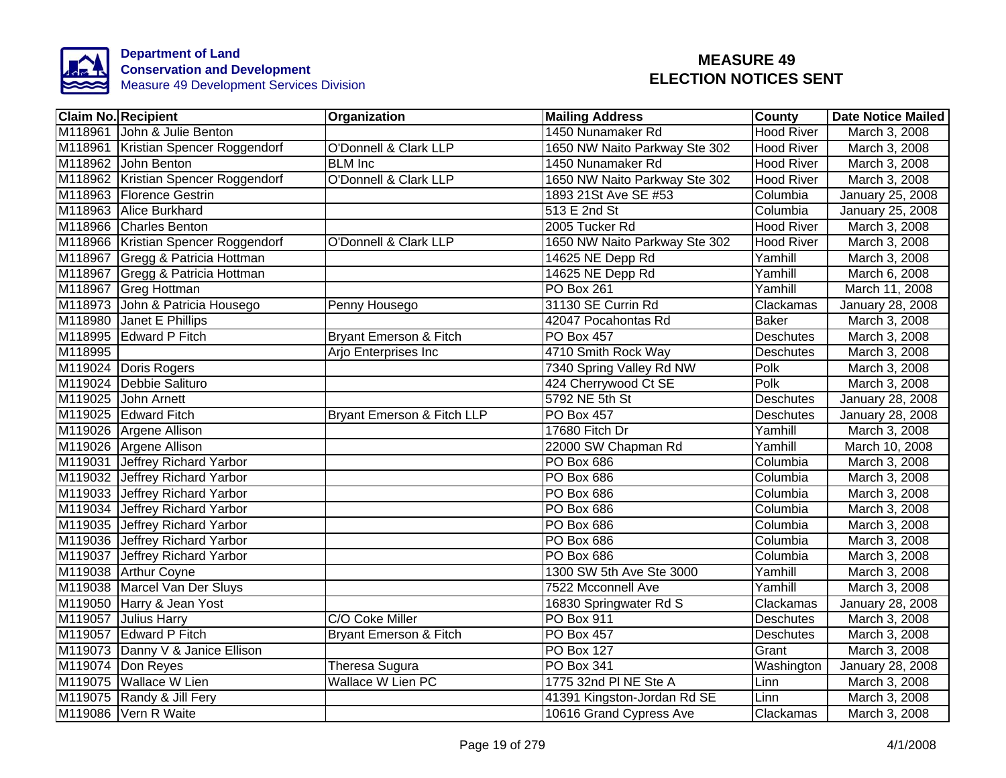

|         | <b>Claim No. Recipient</b>          | Organization                      | <b>Mailing Address</b>        | <b>County</b>     | <b>Date Notice Mailed</b> |
|---------|-------------------------------------|-----------------------------------|-------------------------------|-------------------|---------------------------|
|         | M118961 John & Julie Benton         |                                   | 1450 Nunamaker Rd             | <b>Hood River</b> | March 3, 2008             |
|         | M118961 Kristian Spencer Roggendorf | <b>O'Donnell &amp; Clark LLP</b>  | 1650 NW Naito Parkway Ste 302 | <b>Hood River</b> | March 3, 2008             |
|         | M118962 John Benton                 | <b>BLM</b> Inc                    | 1450 Nunamaker Rd             | <b>Hood River</b> | March 3, 2008             |
|         | M118962 Kristian Spencer Roggendorf | <b>O'Donnell &amp; Clark LLP</b>  | 1650 NW Naito Parkway Ste 302 | <b>Hood River</b> | March 3, 2008             |
|         | M118963 Florence Gestrin            |                                   | 1893 21St Ave SE #53          | Columbia          | January 25, 2008          |
|         | M118963 Alice Burkhard              |                                   | 513 E 2nd St                  | Columbia          | January 25, 2008          |
|         | M118966 Charles Benton              |                                   | 2005 Tucker Rd                | <b>Hood River</b> | March 3, 2008             |
|         | M118966 Kristian Spencer Roggendorf | O'Donnell & Clark LLP             | 1650 NW Naito Parkway Ste 302 | <b>Hood River</b> | March 3, 2008             |
|         | M118967 Gregg & Patricia Hottman    |                                   | 14625 NE Depp Rd              | Yamhill           | March 3, 2008             |
|         | M118967 Gregg & Patricia Hottman    |                                   | 14625 NE Depp Rd              | Yamhill           | March 6, 2008             |
|         | M118967 Greg Hottman                |                                   | PO Box 261                    | Yamhill           | March 11, 2008            |
|         | M118973 John & Patricia Housego     | Penny Housego                     | 31130 SE Currin Rd            | Clackamas         | January 28, 2008          |
| M118980 | Janet E Phillips                    |                                   | 42047 Pocahontas Rd           | <b>Baker</b>      | March 3, 2008             |
|         | M118995 Edward P Fitch              | <b>Bryant Emerson &amp; Fitch</b> | PO Box 457                    | <b>Deschutes</b>  | March 3, 2008             |
| M118995 |                                     | Arjo Enterprises Inc              | 4710 Smith Rock Way           | <b>Deschutes</b>  | March 3, 2008             |
|         | M119024 Doris Rogers                |                                   | 7340 Spring Valley Rd NW      | <b>Polk</b>       | March 3, 2008             |
|         | M119024 Debbie Salituro             |                                   | 424 Cherrywood Ct SE          | <b>Polk</b>       | March 3, 2008             |
|         | M119025 John Arnett                 |                                   | 5792 NE 5th St                | <b>Deschutes</b>  | January 28, 2008          |
|         | M119025 Edward Fitch                | Bryant Emerson & Fitch LLP        | <b>PO Box 457</b>             | Deschutes         | January 28, 2008          |
|         | M119026 Argene Allison              |                                   | 17680 Fitch Dr                | Yamhill           | March 3, 2008             |
|         | M119026 Argene Allison              |                                   | 22000 SW Chapman Rd           | Yamhill           | March 10, 2008            |
|         | M119031 Jeffrey Richard Yarbor      |                                   | PO Box 686                    | Columbia          | March 3, 2008             |
|         | M119032 Jeffrey Richard Yarbor      |                                   | PO Box 686                    | Columbia          | March 3, 2008             |
|         | M119033 Jeffrey Richard Yarbor      |                                   | PO Box 686                    | Columbia          | March 3, 2008             |
|         | M119034 Jeffrey Richard Yarbor      |                                   | PO Box 686                    | Columbia          | March 3, 2008             |
|         | M119035 Jeffrey Richard Yarbor      |                                   | PO Box 686                    | Columbia          | March 3, 2008             |
|         | M119036 Jeffrey Richard Yarbor      |                                   | PO Box 686                    | Columbia          | March 3, 2008             |
|         | M119037 Jeffrey Richard Yarbor      |                                   | PO Box 686                    | Columbia          | March 3, 2008             |
|         | M119038 Arthur Coyne                |                                   | 1300 SW 5th Ave Ste 3000      | Yamhill           | March 3, 2008             |
|         | M119038 Marcel Van Der Sluys        |                                   | 7522 Mcconnell Ave            | Yamhill           | March 3, 2008             |
|         | M119050 Harry & Jean Yost           |                                   | 16830 Springwater Rd S        | Clackamas         | January 28, 2008          |
|         | M119057 Julius Harry                | C/O Coke Miller                   | PO Box 911                    | Deschutes         | March 3, 2008             |
|         | M119057 Edward P Fitch              | Bryant Emerson & Fitch            | PO Box 457                    | Deschutes         | March 3, 2008             |
|         | M119073 Danny V & Janice Ellison    |                                   | <b>PO Box 127</b>             | Grant             | March 3, 2008             |
|         | M119074 Don Reyes                   | Theresa Sugura                    | PO Box 341                    | Washington        | January 28, 2008          |
|         | M119075 Wallace W Lien              | Wallace W Lien PC                 | 1775 32nd PI NE Ste A         | Linn              | March 3, 2008             |
|         | M119075 Randy & Jill Fery           |                                   | 41391 Kingston-Jordan Rd SE   | Linn              | March 3, 2008             |
|         | M119086 Vern R Waite                |                                   | 10616 Grand Cypress Ave       | Clackamas         | March 3, 2008             |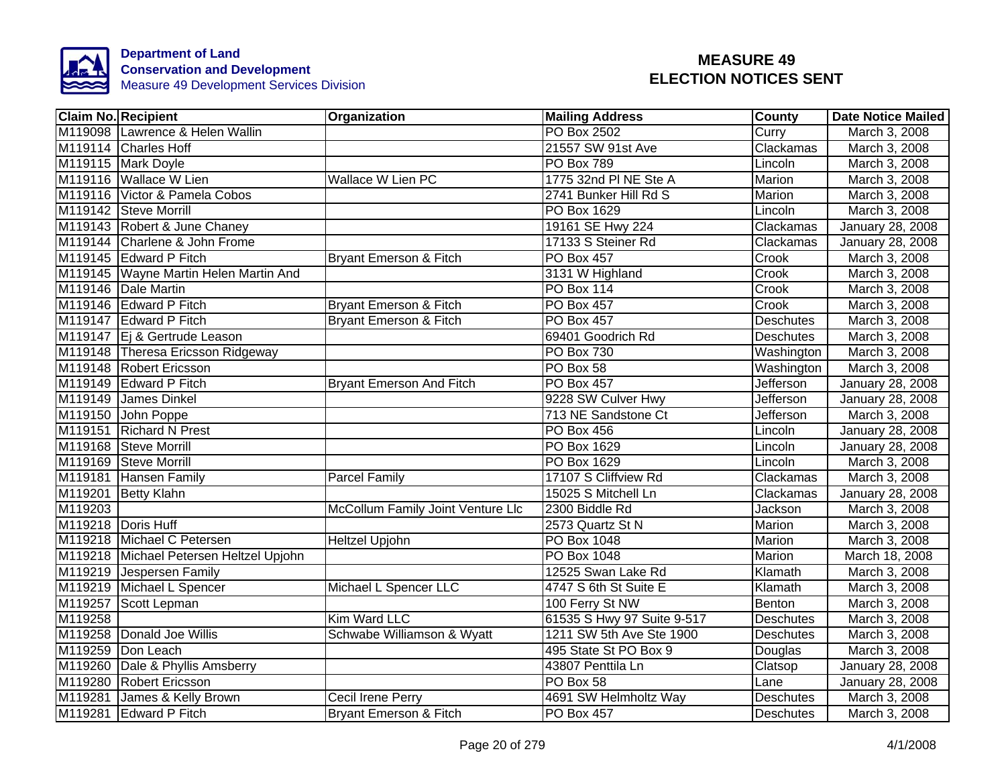

|         | <b>Claim No. Recipient</b>              | <b>Organization</b>               | <b>Mailing Address</b>     | <b>County</b>    | <b>Date Notice Mailed</b> |
|---------|-----------------------------------------|-----------------------------------|----------------------------|------------------|---------------------------|
|         | M119098 Lawrence & Helen Wallin         |                                   | <b>PO Box 2502</b>         | Curry            | March 3, 2008             |
|         | M119114 Charles Hoff                    |                                   | 21557 SW 91st Ave          | Clackamas        | March 3, 2008             |
|         | M119115 Mark Doyle                      |                                   | <b>PO Box 789</b>          | Lincoln          | March 3, 2008             |
|         | M119116 Wallace W Lien                  | Wallace W Lien PC                 | 1775 32nd PI NE Ste A      | Marion           | March 3, 2008             |
|         | M119116 Victor & Pamela Cobos           |                                   | 2741 Bunker Hill Rd S      | Marion           | March 3, 2008             |
|         | M119142 Steve Morrill                   |                                   | PO Box 1629                | Lincoln          | March 3, 2008             |
|         | M119143 Robert & June Chaney            |                                   | 19161 SE Hwy 224           | Clackamas        | January 28, 2008          |
|         | M119144 Charlene & John Frome           |                                   | 17133 S Steiner Rd         | Clackamas        | January 28, 2008          |
|         | M119145 Edward P Fitch                  | Bryant Emerson & Fitch            | PO Box 457                 | Crook            | March 3, 2008             |
|         | M119145 Wayne Martin Helen Martin And   |                                   | 3131 W Highland            | Crook            | March 3, 2008             |
|         | M119146 Dale Martin                     |                                   | PO Box 114                 | Crook            | March 3, 2008             |
|         | M119146 Edward P Fitch                  | Bryant Emerson & Fitch            | PO Box 457                 | Crook            | March 3, 2008             |
|         | M119147 Edward P Fitch                  | Bryant Emerson & Fitch            | PO Box 457                 | Deschutes        | March 3, 2008             |
|         | M119147 Ej & Gertrude Leason            |                                   | 69401 Goodrich Rd          | Deschutes        | March 3, 2008             |
|         | M119148 Theresa Ericsson Ridgeway       |                                   | <b>PO Box 730</b>          | Washington       | March 3, 2008             |
|         | M119148 Robert Ericsson                 |                                   | PO Box 58                  | Washington       | March 3, 2008             |
|         | M119149 Edward P Fitch                  | <b>Bryant Emerson And Fitch</b>   | PO Box 457                 | Jefferson        | January 28, 2008          |
|         | M119149 James Dinkel                    |                                   | 9228 SW Culver Hwy         | Jefferson        | January 28, 2008          |
|         | M119150 John Poppe                      |                                   | 713 NE Sandstone Ct        | Jefferson        | March 3, 2008             |
|         | M119151 Richard N Prest                 |                                   | <b>PO Box 456</b>          | Lincoln          | January 28, 2008          |
|         | M119168 Steve Morrill                   |                                   | <b>PO Box 1629</b>         | Lincoln          | January 28, 2008          |
|         | M119169 Steve Morrill                   |                                   | <b>PO Box 1629</b>         | Lincoln          | March 3, 2008             |
|         | M119181 Hansen Family                   | <b>Parcel Family</b>              | 17107 S Cliffview Rd       | Clackamas        | March 3, 2008             |
|         | M119201 Betty Klahn                     |                                   | 15025 S Mitchell Ln        | Clackamas        | January 28, 2008          |
| M119203 |                                         | McCollum Family Joint Venture Llc | 2300 Biddle Rd             | Jackson          | March 3, 2008             |
|         | M119218 Doris Huff                      |                                   | 2573 Quartz St N           | <b>Marion</b>    | March 3, 2008             |
|         | M119218 Michael C Petersen              | <b>Heltzel Upjohn</b>             | <b>PO Box 1048</b>         | Marion           | March 3, 2008             |
|         | M119218 Michael Petersen Heltzel Upjohn |                                   | PO Box 1048                | Marion           | March 18, 2008            |
|         | M119219 Jespersen Family                |                                   | 12525 Swan Lake Rd         | Klamath          | March 3, 2008             |
|         | M119219 Michael L Spencer               | Michael L Spencer LLC             | 4747 S 6th St Suite E      | Klamath          | March 3, 2008             |
|         | M119257 Scott Lepman                    |                                   | 100 Ferry St NW            | Benton           | March 3, 2008             |
| M119258 |                                         | Kim Ward LLC                      | 61535 S Hwy 97 Suite 9-517 | Deschutes        | March 3, 2008             |
|         | M119258 Donald Joe Willis               | Schwabe Williamson & Wyatt        | 1211 SW 5th Ave Ste 1900   | <b>Deschutes</b> | March 3, 2008             |
|         | M119259 Don Leach                       |                                   | 495 State St PO Box 9      | Douglas          | March 3, 2008             |
|         | M119260   Dale & Phyllis Amsberry       |                                   | 43807 Penttila Ln          | Clatsop          | January 28, 2008          |
|         | M119280 Robert Ericsson                 |                                   | PO Box 58                  | Lane             | January 28, 2008          |
|         | M119281 James & Kelly Brown             | Cecil Irene Perry                 | 4691 SW Helmholtz Way      | Deschutes        | March 3, 2008             |
|         | M119281 Edward P Fitch                  | Bryant Emerson & Fitch            | PO Box 457                 | <b>Deschutes</b> | March 3, 2008             |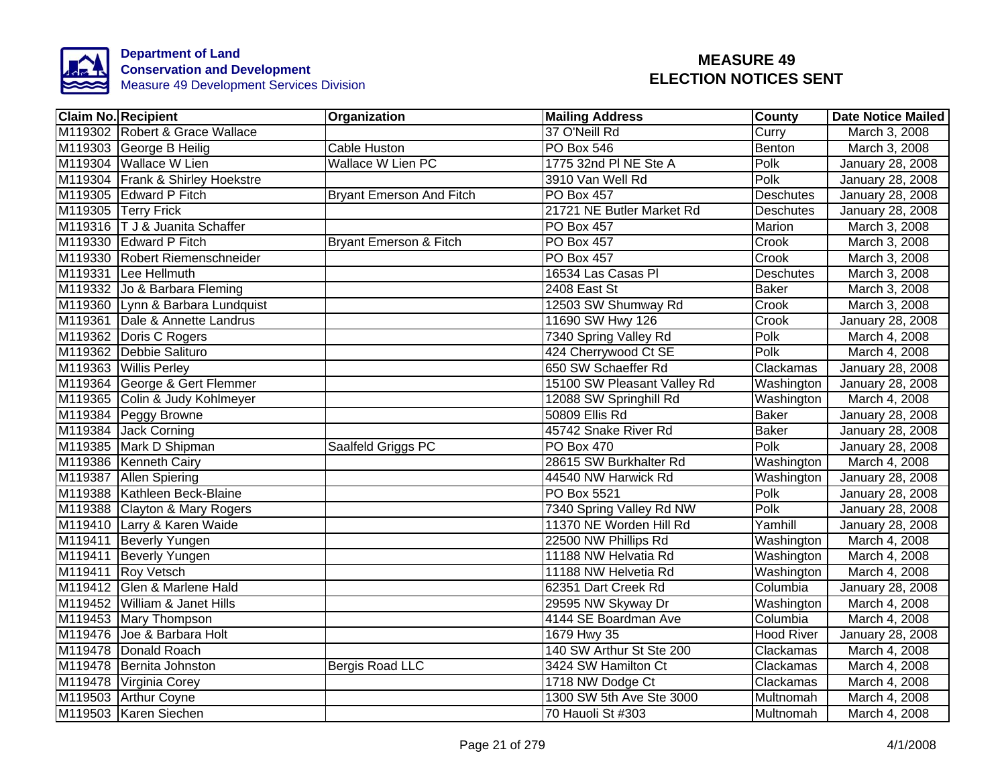

| <b>Claim No. Recipient</b>       | Organization                    | <b>Mailing Address</b>      | <b>County</b>     | <b>Date Notice Mailed</b> |
|----------------------------------|---------------------------------|-----------------------------|-------------------|---------------------------|
| M119302 Robert & Grace Wallace   |                                 | 37 O'Neill Rd               | Curry             | March 3, 2008             |
| M119303 George B Heilig          | <b>Cable Huston</b>             | PO Box 546                  | Benton            | March 3, 2008             |
| M119304 Wallace W Lien           | <b>Wallace W Lien PC</b>        | 1775 32nd PI NE Ste A       | Polk              | January 28, 2008          |
| M119304 Frank & Shirley Hoekstre |                                 | 3910 Van Well Rd            | Polk              | January 28, 2008          |
| M119305 Edward P Fitch           | <b>Bryant Emerson And Fitch</b> | PO Box 457                  | <b>Deschutes</b>  | January 28, 2008          |
| M119305 Terry Frick              |                                 | 21721 NE Butler Market Rd   | Deschutes         | January 28, 2008          |
| M119316   T J & Juanita Schaffer |                                 | PO Box 457                  | Marion            | March 3, 2008             |
| M119330 Edward P Fitch           | Bryant Emerson & Fitch          | PO Box 457                  | Crook             | March 3, 2008             |
| M119330 Robert Riemenschneider   |                                 | <b>PO Box 457</b>           | Crook             | March 3, 2008             |
| M119331 Lee Hellmuth             |                                 | 16534 Las Casas Pl          | <b>Deschutes</b>  | March 3, 2008             |
| M119332 Jo & Barbara Fleming     |                                 | 2408 East St                | <b>Baker</b>      | March 3, 2008             |
| M119360 Lynn & Barbara Lundquist |                                 | 12503 SW Shumway Rd         | Crook             | March 3, 2008             |
| M119361 Dale & Annette Landrus   |                                 | 11690 SW Hwy 126            | Crook             | January 28, 2008          |
| M119362 Doris C Rogers           |                                 | 7340 Spring Valley Rd       | Polk              | March 4, 2008             |
| M119362 Debbie Salituro          |                                 | 424 Cherrywood Ct SE        | Polk              | March 4, 2008             |
| M119363 Willis Perley            |                                 | 650 SW Schaeffer Rd         | Clackamas         | January 28, 2008          |
| M119364 George & Gert Flemmer    |                                 | 15100 SW Pleasant Valley Rd | Washington        | January 28, 2008          |
| M119365 Colin & Judy Kohlmeyer   |                                 | 12088 SW Springhill Rd      | Washington        | March 4, 2008             |
| M119384 Peggy Browne             |                                 | 50809 Ellis Rd              | <b>Baker</b>      | January 28, 2008          |
| M119384 Jack Corning             |                                 | 45742 Snake River Rd        | <b>Baker</b>      | January 28, 2008          |
| M119385 Mark D Shipman           | Saalfeld Griggs PC              | <b>PO Box 470</b>           | Polk              | January 28, 2008          |
| M119386 Kenneth Cairy            |                                 | 28615 SW Burkhalter Rd      | Washington        | March 4, 2008             |
| M119387 Allen Spiering           |                                 | 44540 NW Harwick Rd         | Washington        | January 28, 2008          |
| M119388 Kathleen Beck-Blaine     |                                 | <b>PO Box 5521</b>          | Polk              | January 28, 2008          |
| M119388 Clayton & Mary Rogers    |                                 | 7340 Spring Valley Rd NW    | Polk              | January 28, 2008          |
| M119410 Larry & Karen Waide      |                                 | 11370 NE Worden Hill Rd     | Yamhill           | January 28, 2008          |
| M119411 Beverly Yungen           |                                 | 22500 NW Phillips Rd        | Washington        | March 4, 2008             |
| M119411 Beverly Yungen           |                                 | 11188 NW Helvatia Rd        | Washington        | March 4, 2008             |
| M119411 Roy Vetsch               |                                 | 11188 NW Helvetia Rd        | Washington        | March 4, 2008             |
| M119412 Glen & Marlene Hald      |                                 | 62351 Dart Creek Rd         | Columbia          | January 28, 2008          |
| M119452 William & Janet Hills    |                                 | 29595 NW Skyway Dr          | Washington        | March 4, 2008             |
| M119453 Mary Thompson            |                                 | 4144 SE Boardman Ave        | Columbia          | March 4, 2008             |
| M119476 Joe & Barbara Holt       |                                 | 1679 Hwy 35                 | <b>Hood River</b> | January 28, 2008          |
| M119478 Donald Roach             |                                 | 140 SW Arthur St Ste 200    | Clackamas         | March 4, 2008             |
| M119478 Bernita Johnston         | Bergis Road LLC                 | 3424 SW Hamilton Ct         | Clackamas         | March 4, 2008             |
| M119478 Virginia Corey           |                                 | 1718 NW Dodge Ct            | Clackamas         | March 4, 2008             |
| M119503 Arthur Coyne             |                                 | 1300 SW 5th Ave Ste 3000    | Multnomah         | March 4, 2008             |
| M119503 Karen Siechen            |                                 | 70 Hauoli St #303           | Multnomah         | March 4, 2008             |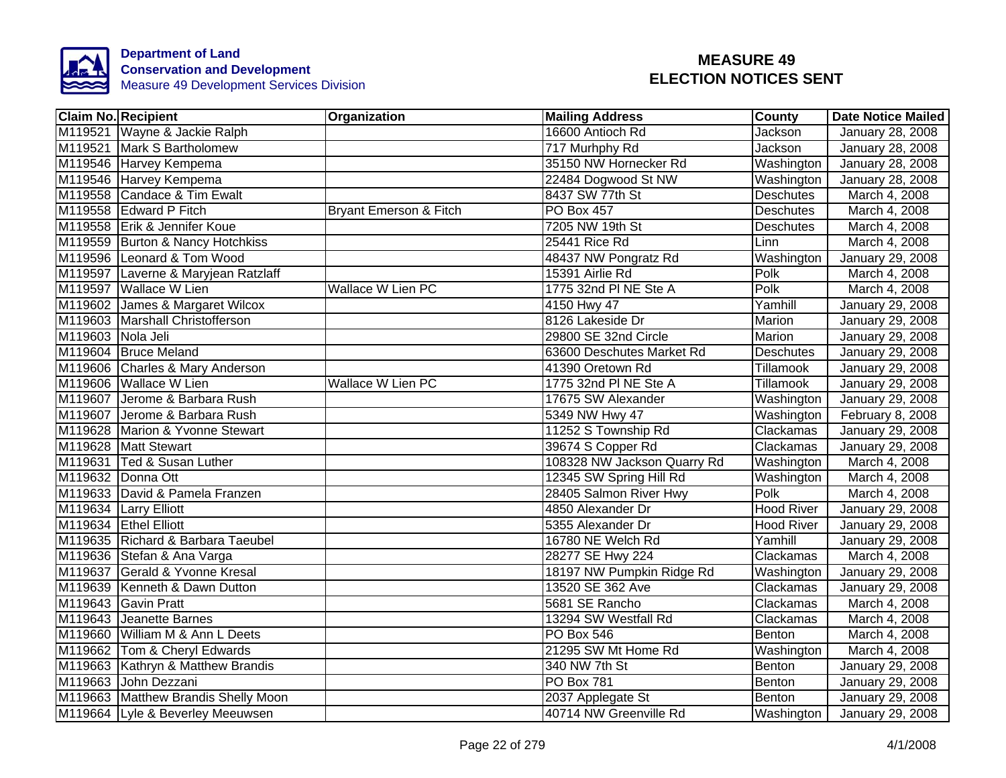

|                   | <b>Claim No. Recipient</b>          | <b>Organization</b>      | <b>Mailing Address</b>      | <b>County</b>     | <b>Date Notice Mailed</b> |
|-------------------|-------------------------------------|--------------------------|-----------------------------|-------------------|---------------------------|
|                   | M119521 Wayne & Jackie Ralph        |                          | 16600 Antioch Rd            | Jackson           | January 28, 2008          |
|                   | M119521 Mark S Bartholomew          |                          | 717 Murhphy Rd              | Jackson           | January 28, 2008          |
|                   | M119546 Harvey Kempema              |                          | 35150 NW Hornecker Rd       | Washington        | January 28, 2008          |
|                   | M119546 Harvey Kempema              |                          | 22484 Dogwood St NW         | Washington        | January 28, 2008          |
|                   | M119558 Candace & Tim Ewalt         |                          | 8437 SW 77th St             | <b>Deschutes</b>  | March 4, 2008             |
|                   | M119558 Edward P Fitch              | Bryant Emerson & Fitch   | PO Box 457                  | Deschutes         | March 4, 2008             |
|                   | M119558 Erik & Jennifer Koue        |                          | 7205 NW 19th St             | Deschutes         | March 4, 2008             |
|                   | M119559 Burton & Nancy Hotchkiss    |                          | 25441 Rice Rd               | Linn              | March 4, 2008             |
|                   | M119596 Leonard & Tom Wood          |                          | 48437 NW Pongratz Rd        | Washington        | January 29, 2008          |
|                   | M119597 Laverne & Maryjean Ratzlaff |                          | 15391 Airlie Rd             | Polk              | March 4, 2008             |
|                   | M119597 Wallace W Lien              | Wallace W Lien PC        | 1775 32nd PI NE Ste A       | Polk              | March 4, 2008             |
|                   | M119602 James & Margaret Wilcox     |                          | 4150 Hwy 47                 | Yamhill           | January 29, 2008          |
|                   | M119603 Marshall Christofferson     |                          | 8126 Lakeside Dr            | Marion            | January 29, 2008          |
| M119603 Nola Jeli |                                     |                          | 29800 SE 32nd Circle        | Marion            | January 29, 2008          |
|                   | M119604 Bruce Meland                |                          | 63600 Deschutes Market Rd   | <b>Deschutes</b>  | January 29, 2008          |
|                   | M119606 Charles & Mary Anderson     |                          | 41390 Oretown Rd            | Tillamook         | January 29, 2008          |
|                   | M119606 Wallace W Lien              | <b>Wallace W Lien PC</b> | 1775 32nd PI NE Ste A       | Tillamook         | January 29, 2008          |
|                   | M119607 Jerome & Barbara Rush       |                          | 17675 SW Alexander          | Washington        | January 29, 2008          |
|                   | M119607 Jerome & Barbara Rush       |                          | 5349 NW Hwy 47              | Washington        | February 8, 2008          |
|                   | M119628 Marion & Yvonne Stewart     |                          | 11252 S Township Rd         | Clackamas         | January 29, 2008          |
|                   | M119628 Matt Stewart                |                          | 39674 S Copper Rd           | Clackamas         | January 29, 2008          |
|                   | M119631 Ted & Susan Luther          |                          | 108328 NW Jackson Quarry Rd | Washington        | March 4, 2008             |
|                   | M119632 Donna Ott                   |                          | 12345 SW Spring Hill Rd     | Washington        | March 4, 2008             |
|                   | M119633 David & Pamela Franzen      |                          | 28405 Salmon River Hwy      | Polk              | March 4, 2008             |
|                   | M119634 Larry Elliott               |                          | 4850 Alexander Dr           | <b>Hood River</b> | January 29, 2008          |
|                   | M119634 Ethel Elliott               |                          | 5355 Alexander Dr           | <b>Hood River</b> | <b>January 29, 2008</b>   |
|                   | M119635 Richard & Barbara Taeubel   |                          | 16780 NE Welch Rd           | Yamhill           | January 29, 2008          |
|                   | M119636 Stefan & Ana Varga          |                          | 28277 SE Hwy 224            | Clackamas         | March 4, 2008             |
|                   | M119637 Gerald & Yvonne Kresal      |                          | 18197 NW Pumpkin Ridge Rd   | Washington        | January 29, 2008          |
|                   | M119639 Kenneth & Dawn Dutton       |                          | 13520 SE 362 Ave            | Clackamas         | January 29, 2008          |
|                   | M119643 Gavin Pratt                 |                          | 5681 SE Rancho              | Clackamas         | March 4, 2008             |
|                   | M119643 Jeanette Barnes             |                          | 13294 SW Westfall Rd        | Clackamas         | March 4, 2008             |
|                   | M119660 William M & Ann L Deets     |                          | PO Box 546                  | Benton            | March 4, 2008             |
|                   | M119662 Tom & Cheryl Edwards        |                          | 21295 SW Mt Home Rd         | Washington        | March 4, 2008             |
|                   | M119663 Kathryn & Matthew Brandis   |                          | 340 NW 7th St               | Benton            | January 29, 2008          |
|                   | M119663 John Dezzani                |                          | PO Box 781                  | Benton            | January 29, 2008          |
|                   | M119663 Matthew Brandis Shelly Moon |                          | 2037 Applegate St           | Benton            | January 29, 2008          |
|                   | M119664 Lyle & Beverley Meeuwsen    |                          | 40714 NW Greenville Rd      | Washington        | January 29, 2008          |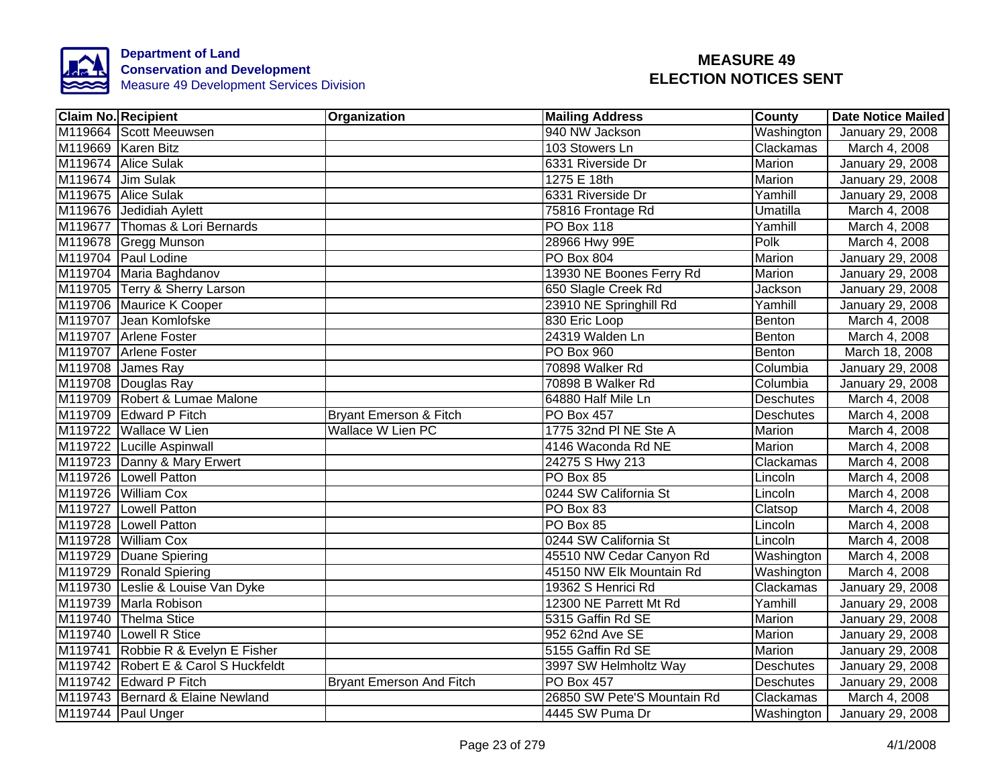

| <b>Claim No. Recipient</b>           | <b>Organization</b>               | <b>Mailing Address</b>      | <b>County</b>    | <b>Date Notice Mailed</b> |
|--------------------------------------|-----------------------------------|-----------------------------|------------------|---------------------------|
| M119664 Scott Meeuwsen               |                                   | 940 NW Jackson              | Washington       | <b>January 29, 2008</b>   |
| M119669 Karen Bitz                   |                                   | 103 Stowers Ln              | Clackamas        | March 4, 2008             |
| M119674 Alice Sulak                  |                                   | 6331 Riverside Dr           | Marion           | January 29, 2008          |
| M119674 Jim Sulak                    |                                   | 1275 E 18th                 | Marion           | January 29, 2008          |
| M119675 Alice Sulak                  |                                   | 6331 Riverside Dr           | Yamhill          | January 29, 2008          |
| M119676 Jedidiah Aylett              |                                   | 75816 Frontage Rd           | Umatilla         | March 4, 2008             |
| M119677 Thomas & Lori Bernards       |                                   | PO Box 118                  | Yamhill          | March 4, 2008             |
| M119678 Gregg Munson                 |                                   | 28966 Hwy 99E               | Polk             | March 4, 2008             |
| M119704 Paul Lodine                  |                                   | <b>PO Box 804</b>           | Marion           | January 29, 2008          |
| M119704 Maria Baghdanov              |                                   | 13930 NE Boones Ferry Rd    | Marion           | January 29, 2008          |
| M119705 Terry & Sherry Larson        |                                   | 650 Slagle Creek Rd         | Jackson          | January 29, 2008          |
| M119706 Maurice K Cooper             |                                   | 23910 NE Springhill Rd      | Yamhill          | January 29, 2008          |
| M119707 Jean Komlofske               |                                   | 830 Eric Loop               | Benton           | March 4, 2008             |
| M119707 Arlene Foster                |                                   | 24319 Walden Ln             | Benton           | March 4, 2008             |
| M119707 Arlene Foster                |                                   | <b>PO Box 960</b>           | Benton           | March 18, 2008            |
| M119708 James Ray                    |                                   | 70898 Walker Rd             | Columbia         | January 29, 2008          |
| M119708 Douglas Ray                  |                                   | 70898 B Walker Rd           | Columbia         | January 29, 2008          |
| M119709 Robert & Lumae Malone        |                                   | 64880 Half Mile Ln          | <b>Deschutes</b> | March 4, 2008             |
| M119709 Edward P Fitch               | <b>Bryant Emerson &amp; Fitch</b> | <b>PO Box 457</b>           | <b>Deschutes</b> | March 4, 2008             |
| M119722 Wallace W Lien               | <b>Wallace W Lien PC</b>          | 1775 32nd PI NE Ste A       | Marion           | March 4, 2008             |
| M119722 Lucille Aspinwall            |                                   | 4146 Waconda Rd NE          | Marion           | March 4, 2008             |
| M119723 Danny & Mary Erwert          |                                   | 24275 S Hwy 213             | Clackamas        | March 4, 2008             |
| M119726 Lowell Patton                |                                   | PO Box 85                   | Lincoln          | March 4, 2008             |
| M119726 William Cox                  |                                   | 0244 SW California St       | Lincoln          | March 4, 2008             |
| M119727 Lowell Patton                |                                   | PO Box 83                   | Clatsop          | March 4, 2008             |
| M119728 Lowell Patton                |                                   | PO Box 85                   | Lincoln          | March 4, 2008             |
| M119728 William Cox                  |                                   | 0244 SW California St       | Lincoln          | March 4, 2008             |
| M119729 Duane Spiering               |                                   | 45510 NW Cedar Canyon Rd    | Washington       | March 4, 2008             |
| M119729 Ronald Spiering              |                                   | 45150 NW Elk Mountain Rd    | Washington       | March 4, 2008             |
| M119730 Leslie & Louise Van Dyke     |                                   | 19362 S Henrici Rd          | Clackamas        | January 29, 2008          |
| M119739 Marla Robison                |                                   | 12300 NE Parrett Mt Rd      | Yamhill          | January 29, 2008          |
| M119740 Thelma Stice                 |                                   | 5315 Gaffin Rd SE           | Marion           | January 29, 2008          |
| M119740 Lowell R Stice               |                                   | 952 62nd Ave SE             | Marion           | January 29, 2008          |
| M119741 Robbie R & Evelyn E Fisher   |                                   | 5155 Gaffin Rd SE           | Marion           | January 29, 2008          |
| M119742 Robert E & Carol S Huckfeldt |                                   | 3997 SW Helmholtz Way       | Deschutes        | January 29, 2008          |
| M119742 Edward P Fitch               | <b>Bryant Emerson And Fitch</b>   | <b>PO Box 457</b>           | Deschutes        | January 29, 2008          |
| M119743 Bernard & Elaine Newland     |                                   | 26850 SW Pete'S Mountain Rd | Clackamas        | March 4, 2008             |
| M119744 Paul Unger                   |                                   | 4445 SW Puma Dr             | Washington       | January 29, 2008          |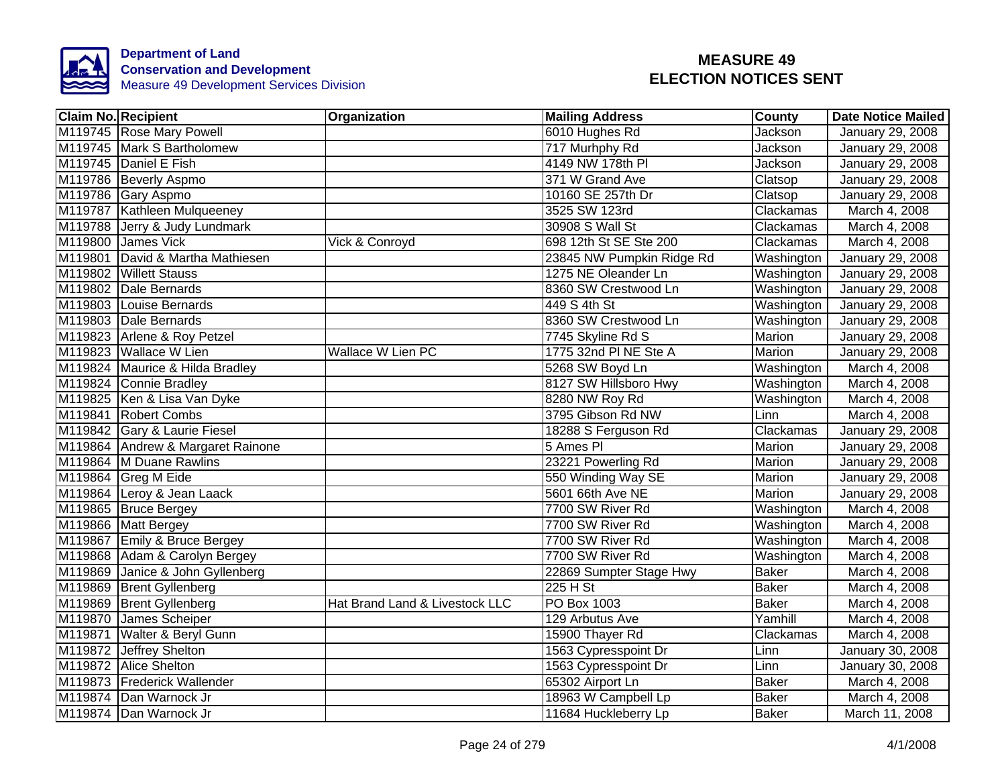

| <b>Claim No. Recipient</b>        | Organization                   | <b>Mailing Address</b>    | <b>County</b> | <b>Date Notice Mailed</b> |
|-----------------------------------|--------------------------------|---------------------------|---------------|---------------------------|
| M119745 Rose Mary Powell          |                                | 6010 Hughes Rd            | Jackson       | January 29, 2008          |
| M119745 Mark S Bartholomew        |                                | 717 Murhphy Rd            | Jackson       | January 29, 2008          |
| M119745 Daniel E Fish             |                                | 4149 NW 178th PI          | Jackson       | January 29, 2008          |
| M119786 Beverly Aspmo             |                                | 371 W Grand Ave           | Clatsop       | January 29, 2008          |
| M119786 Gary Aspmo                |                                | 10160 SE 257th Dr         | Clatsop       | January 29, 2008          |
| M119787 Kathleen Mulqueeney       |                                | 3525 SW 123rd             | Clackamas     | March 4, 2008             |
| M119788 Jerry & Judy Lundmark     |                                | 30908 S Wall St           | Clackamas     | March 4, 2008             |
| M119800 James Vick                | Vick & Conroyd                 | 698 12th St SE Ste 200    | Clackamas     | March 4, 2008             |
| M119801 David & Martha Mathiesen  |                                | 23845 NW Pumpkin Ridge Rd | Washington    | January 29, 2008          |
| M119802 Willett Stauss            |                                | 1275 NE Oleander Ln       | Washington    | January 29, 2008          |
| M119802 Dale Bernards             |                                | 8360 SW Crestwood Ln      | Washington    | January 29, 2008          |
| M119803 Louise Bernards           |                                | 449 S 4th St              | Washington    | January 29, 2008          |
| M119803 Dale Bernards             |                                | 8360 SW Crestwood Ln      | Washington    | January 29, 2008          |
| M119823 Arlene & Roy Petzel       |                                | 7745 Skyline Rd S         | Marion        | January 29, 2008          |
| M119823 Wallace W Lien            | <b>Wallace W Lien PC</b>       | 1775 32nd PI NE Ste A     | <b>Marion</b> | January 29, 2008          |
| M119824 Maurice & Hilda Bradley   |                                | 5268 SW Boyd Ln           | Washington    | March 4, 2008             |
| M119824 Connie Bradley            |                                | 8127 SW Hillsboro Hwy     | Washington    | March 4, 2008             |
| M119825 Ken & Lisa Van Dyke       |                                | 8280 NW Roy Rd            | Washington    | March 4, 2008             |
| M119841 Robert Combs              |                                | 3795 Gibson Rd NW         | Linn          | March 4, 2008             |
| M119842 Gary & Laurie Fiesel      |                                | 18288 S Ferguson Rd       | Clackamas     | January 29, 2008          |
| M119864 Andrew & Margaret Rainone |                                | 5 Ames PI                 | Marion        | January 29, 2008          |
| M119864 M Duane Rawlins           |                                | 23221 Powerling Rd        | Marion        | January 29, 2008          |
| M119864 Greg M Eide               |                                | 550 Winding Way SE        | <b>Marion</b> | January 29, 2008          |
| M119864 Leroy & Jean Laack        |                                | 5601 66th Ave NE          | <b>Marion</b> | <b>January 29, 2008</b>   |
| M119865 Bruce Bergey              |                                | 7700 SW River Rd          | Washington    | March 4, 2008             |
| M119866 Matt Bergey               |                                | 7700 SW River Rd          | Washington    | March 4, 2008             |
| M119867 Emily & Bruce Bergey      |                                | 7700 SW River Rd          | Washington    | March 4, 2008             |
| M119868 Adam & Carolyn Bergey     |                                | 7700 SW River Rd          | Washington    | March 4, 2008             |
| M119869 Janice & John Gyllenberg  |                                | 22869 Sumpter Stage Hwy   | <b>Baker</b>  | March 4, 2008             |
| M119869 Brent Gyllenberg          |                                | 225 H St                  | <b>Baker</b>  | March 4, 2008             |
| M119869 Brent Gyllenberg          | Hat Brand Land & Livestock LLC | PO Box 1003               | <b>Baker</b>  | March 4, 2008             |
| M119870 James Scheiper            |                                | 129 Arbutus Ave           | Yamhill       | March 4, 2008             |
| M119871 Walter & Beryl Gunn       |                                | 15900 Thayer Rd           | Clackamas     | March 4, 2008             |
| M119872 Jeffrey Shelton           |                                | 1563 Cypresspoint Dr      | Linn          | January 30, 2008          |
| M119872 Alice Shelton             |                                | 1563 Cypresspoint Dr      | Linn          | January 30, 2008          |
| M119873 Frederick Wallender       |                                | 65302 Airport Ln          | <b>Baker</b>  | March 4, 2008             |
| M119874 Dan Warnock Jr            |                                | 18963 W Campbell Lp       | <b>Baker</b>  | March 4, 2008             |
| M119874 Dan Warnock Jr            |                                | 11684 Huckleberry Lp      | <b>Baker</b>  | March 11, 2008            |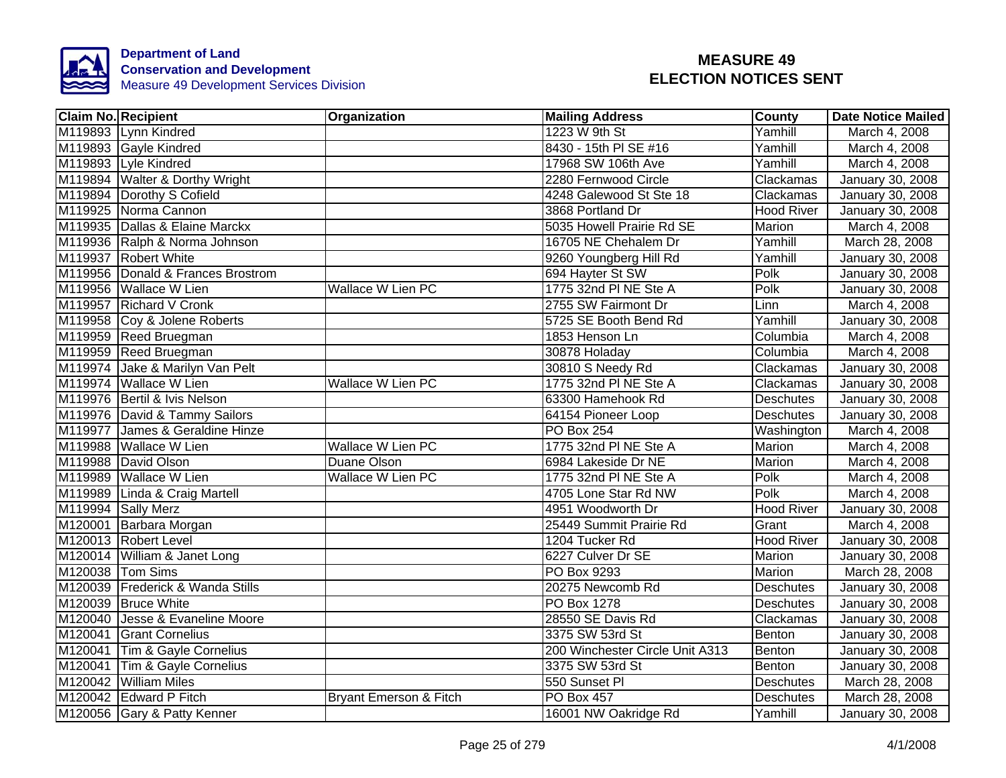

| Claim No. Recipient               | <b>Organization</b>      | <b>Mailing Address</b>          | <b>County</b>     | <b>Date Notice Mailed</b> |
|-----------------------------------|--------------------------|---------------------------------|-------------------|---------------------------|
| M119893 Lynn Kindred              |                          | 1223 W 9th St                   | Yamhill           | March 4, 2008             |
| M119893 Gayle Kindred             |                          | 8430 - 15th PI SE #16           | Yamhill           | March 4, 2008             |
| M119893 Lyle Kindred              |                          | 17968 SW 106th Ave              | Yamhill           | March 4, 2008             |
| M119894 Walter & Dorthy Wright    |                          | 2280 Fernwood Circle            | Clackamas         | January 30, 2008          |
| M119894 Dorothy S Cofield         |                          | 4248 Galewood St Ste 18         | Clackamas         | January 30, 2008          |
| M119925 Norma Cannon              |                          | 3868 Portland Dr                | Hood River        | January 30, 2008          |
| M119935 Dallas & Elaine Marckx    |                          | 5035 Howell Prairie Rd SE       | Marion            | March 4, 2008             |
| M119936 Ralph & Norma Johnson     |                          | 16705 NE Chehalem Dr            | Yamhill           | March 28, 2008            |
| M119937 Robert White              |                          | 9260 Youngberg Hill Rd          | Yamhill           | January 30, 2008          |
| M119956 Donald & Frances Brostrom |                          | 694 Hayter St SW                | Polk              | January 30, 2008          |
| M119956 Wallace W Lien            | Wallace W Lien PC        | 1775 32nd PI NE Ste A           | Polk              | January 30, 2008          |
| M119957 Richard V Cronk           |                          | 2755 SW Fairmont Dr             | Linn              | March 4, 2008             |
| M119958 Coy & Jolene Roberts      |                          | 5725 SE Booth Bend Rd           | Yamhill           | January 30, 2008          |
| M119959 Reed Bruegman             |                          | 1853 Henson Ln                  | Columbia          | March 4, 2008             |
| M119959 Reed Bruegman             |                          | 30878 Holaday                   | Columbia          | March 4, 2008             |
| M119974 Jake & Marilyn Van Pelt   |                          | 30810 S Needy Rd                | Clackamas         | January 30, 2008          |
| M119974 Wallace W Lien            | <b>Wallace W Lien PC</b> | 1775 32nd PI NE Ste A           | Clackamas         | January 30, 2008          |
| M119976 Bertil & Ivis Nelson      |                          | 63300 Hamehook Rd               | <b>Deschutes</b>  | <b>January 30, 2008</b>   |
| M119976 David & Tammy Sailors     |                          | 64154 Pioneer Loop              | <b>Deschutes</b>  | January 30, 2008          |
| M119977 James & Geraldine Hinze   |                          | PO Box 254                      | Washington        | March 4, 2008             |
| M119988 Wallace W Lien            | <b>Wallace W Lien PC</b> | 1775 32nd PI NE Ste A           | Marion            | March 4, 2008             |
| M119988 David Olson               | Duane Olson              | 6984 Lakeside Dr NE             | Marion            | March 4, 2008             |
| M119989 Wallace W Lien            | <b>Wallace W Lien PC</b> | 1775 32nd PI NE Ste A           | Polk              | March 4, 2008             |
| M119989 Linda & Craig Martell     |                          | 4705 Lone Star Rd NW            | Polk              | March 4, 2008             |
| M119994 Sally Merz                |                          | 4951 Woodworth Dr               | <b>Hood River</b> | January 30, 2008          |
| M120001 Barbara Morgan            |                          | 25449 Summit Prairie Rd         | Grant             | March 4, 2008             |
| M120013 Robert Level              |                          | 1204 Tucker Rd                  | <b>Hood River</b> | January 30, 2008          |
| M120014 William & Janet Long      |                          | 6227 Culver Dr SE               | Marion            | January 30, 2008          |
| M120038 Tom Sims                  |                          | PO Box 9293                     | Marion            | March 28, 2008            |
| M120039 Frederick & Wanda Stills  |                          | 20275 Newcomb Rd                | Deschutes         | January 30, 2008          |
| M120039 Bruce White               |                          | PO Box 1278                     | <b>Deschutes</b>  | January 30, 2008          |
| M120040 Jesse & Evaneline Moore   |                          | 28550 SE Davis Rd               | Clackamas         | January 30, 2008          |
| M120041 Grant Cornelius           |                          | 3375 SW 53rd St                 | Benton            | January 30, 2008          |
| M120041 Tim & Gayle Cornelius     |                          | 200 Winchester Circle Unit A313 | Benton            | January 30, 2008          |
| M120041 Tim & Gayle Cornelius     |                          | 3375 SW 53rd St                 | Benton            | January 30, 2008          |
| M120042 William Miles             |                          | 550 Sunset PI                   | Deschutes         | March 28, 2008            |
| M120042 Edward P Fitch            | Bryant Emerson & Fitch   | PO Box 457                      | Deschutes         | March 28, 2008            |
| M120056 Gary & Patty Kenner       |                          | 16001 NW Oakridge Rd            | Yamhill           | January 30, 2008          |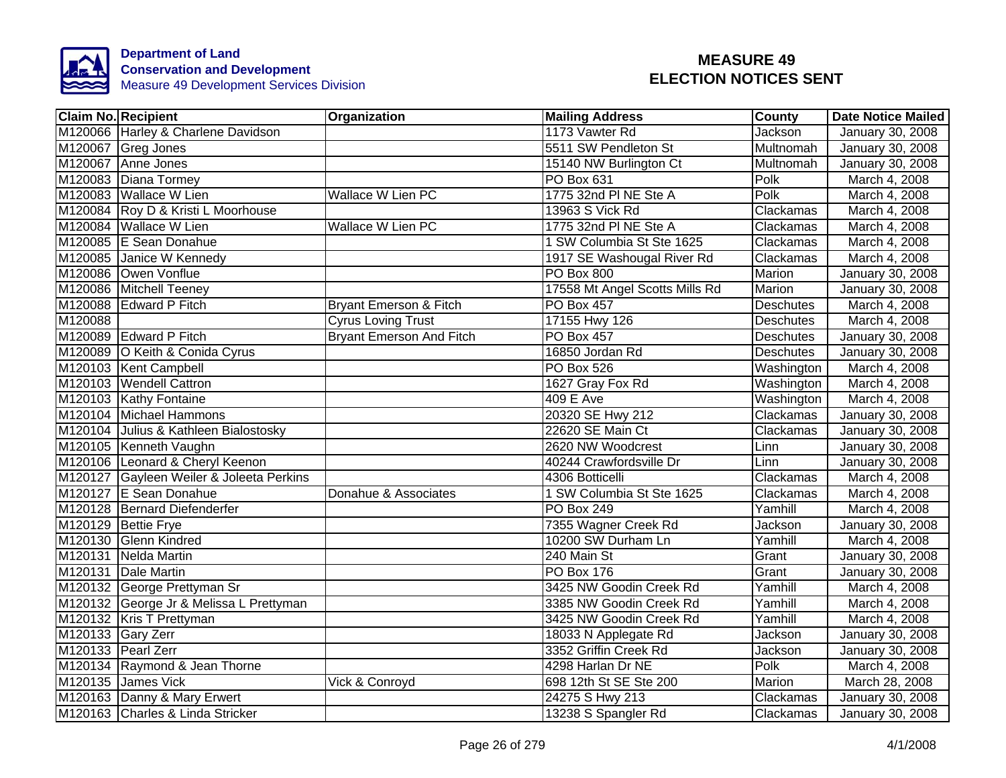

|         | Claim No. Recipient                      | <b>Organization</b>             | <b>Mailing Address</b>         | County           | <b>Date Notice Mailed</b> |
|---------|------------------------------------------|---------------------------------|--------------------------------|------------------|---------------------------|
|         | M120066 Harley & Charlene Davidson       |                                 | 1173 Vawter Rd                 | <b>Jackson</b>   | <b>January 30, 2008</b>   |
|         | M120067 Greg Jones                       |                                 | 5511 SW Pendleton St           | <b>Multnomah</b> | January 30, 2008          |
|         | M120067 Anne Jones                       |                                 | 15140 NW Burlington Ct         | <b>Multnomah</b> | January 30, 2008          |
|         | M120083 Diana Tormey                     |                                 | PO Box 631                     | Polk             | March 4, 2008             |
|         | M120083 Wallace W Lien                   | Wallace W Lien PC               | 1775 32nd PI NE Ste A          | Polk             | March 4, 2008             |
|         | M120084 Roy D & Kristi L Moorhouse       |                                 | 13963 S Vick Rd                | Clackamas        | March 4, 2008             |
|         | M120084 Wallace W Lien                   | Wallace W Lien PC               | 1775 32nd PI NE Ste A          | Clackamas        | March 4, 2008             |
|         | M120085 E Sean Donahue                   |                                 | 1 SW Columbia St Ste 1625      | Clackamas        | March 4, 2008             |
|         | M120085 Janice W Kennedy                 |                                 | 1917 SE Washougal River Rd     | Clackamas        | March 4, 2008             |
|         | M120086 Owen Vonflue                     |                                 | PO Box 800                     | Marion           | January 30, 2008          |
|         | M120086 Mitchell Teeney                  |                                 | 17558 Mt Angel Scotts Mills Rd | <b>Marion</b>    | January 30, 2008          |
|         | M120088 Edward P Fitch                   | Bryant Emerson & Fitch          | PO Box 457                     | <b>Deschutes</b> | March 4, 2008             |
| M120088 |                                          | <b>Cyrus Loving Trust</b>       | 17155 Hwy 126                  | <b>Deschutes</b> | March 4, 2008             |
|         | M120089 Edward P Fitch                   | <b>Bryant Emerson And Fitch</b> | <b>PO Box 457</b>              | <b>Deschutes</b> | January 30, 2008          |
|         | M120089 O Keith & Conida Cyrus           |                                 | 16850 Jordan Rd                | <b>Deschutes</b> | January 30, 2008          |
|         | M120103 Kent Campbell                    |                                 | PO Box 526                     | Washington       | March 4, 2008             |
|         | M120103 Wendell Cattron                  |                                 | 1627 Gray Fox Rd               | Washington       | March 4, 2008             |
|         | M120103 Kathy Fontaine                   |                                 | <b>409 E Ave</b>               | Washington       | March 4, 2008             |
|         | M120104 Michael Hammons                  |                                 | 20320 SE Hwy 212               | Clackamas        | January 30, 2008          |
|         | M120104 Julius & Kathleen Bialostosky    |                                 | 22620 SE Main Ct               | Clackamas        | January 30, 2008          |
|         | M120105 Kenneth Vaughn                   |                                 | 2620 NW Woodcrest              | Linn             | January 30, 2008          |
|         | M120106 Leonard & Cheryl Keenon          |                                 | 40244 Crawfordsville Dr        | Linn             | January 30, 2008          |
|         | M120127 Gayleen Weiler & Joleeta Perkins |                                 | 4306 Botticelli                | Clackamas        | March 4, 2008             |
|         | M120127 E Sean Donahue                   | Donahue & Associates            | 1 SW Columbia St Ste 1625      | Clackamas        | March 4, 2008             |
|         | M120128 Bernard Diefenderfer             |                                 | <b>PO Box 249</b>              | Yamhill          | March 4, 2008             |
|         | M120129 Bettie Frye                      |                                 | 7355 Wagner Creek Rd           | Jackson          | January 30, 2008          |
|         | M120130 Glenn Kindred                    |                                 | 10200 SW Durham Ln             | Yamhill          | March 4, 2008             |
|         | M120131 Nelda Martin                     |                                 | 240 Main St                    | Grant            | January 30, 2008          |
|         | M120131 Dale Martin                      |                                 | <b>PO Box 176</b>              | Grant            | January 30, 2008          |
|         | M120132 George Prettyman Sr              |                                 | 3425 NW Goodin Creek Rd        | Yamhill          | March 4, 2008             |
|         | M120132 George Jr & Melissa L Prettyman  |                                 | 3385 NW Goodin Creek Rd        | Yamhill          | March 4, 2008             |
|         | M120132 Kris T Prettyman                 |                                 | 3425 NW Goodin Creek Rd        | Yamhill          | March 4, 2008             |
|         | M120133 Gary Zerr                        |                                 | 18033 N Applegate Rd           | Jackson          | January 30, 2008          |
|         | M120133 Pearl Zerr                       |                                 | 3352 Griffin Creek Rd          | Jackson          | January 30, 2008          |
|         | M120134 Raymond & Jean Thorne            |                                 | 4298 Harlan Dr NE              | Polk             | March 4, 2008             |
|         | M120135 James Vick                       | Vick & Conroyd                  | 698 12th St SE Ste 200         | Marion           | March 28, 2008            |
|         | M120163 Danny & Mary Erwert              |                                 | 24275 S Hwy 213                | Clackamas        | January 30, 2008          |
|         | M120163 Charles & Linda Stricker         |                                 | 13238 S Spangler Rd            | Clackamas        | January 30, 2008          |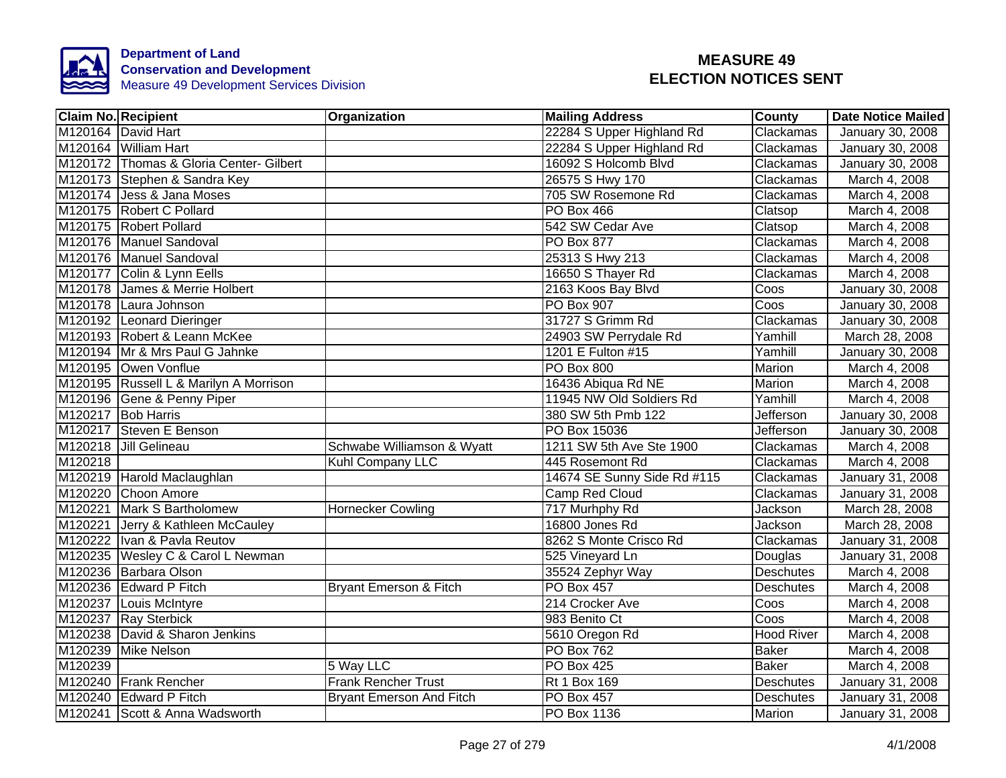

|         | <b>Claim No. Recipient</b>              | Organization                    | <b>Mailing Address</b>      | <b>County</b>     | <b>Date Notice Mailed</b> |
|---------|-----------------------------------------|---------------------------------|-----------------------------|-------------------|---------------------------|
|         | M120164 David Hart                      |                                 | 22284 S Upper Highland Rd   | Clackamas         | January 30, 2008          |
|         | M120164 William Hart                    |                                 | 22284 S Upper Highland Rd   | Clackamas         | <b>January 30, 2008</b>   |
|         | M120172 Thomas & Gloria Center- Gilbert |                                 | 16092 S Holcomb Blvd        | Clackamas         | <b>January 30, 2008</b>   |
|         | M120173 Stephen & Sandra Key            |                                 | 26575 S Hwy 170             | Clackamas         | March 4, 2008             |
|         | M120174 Jess & Jana Moses               |                                 | 705 SW Rosemone Rd          | Clackamas         | March 4, 2008             |
|         | M120175 Robert C Pollard                |                                 | <b>PO Box 466</b>           | Clatsop           | March 4, 2008             |
|         | M120175 Robert Pollard                  |                                 | 542 SW Cedar Ave            | Clatsop           | March 4, 2008             |
|         | M120176 Manuel Sandoval                 |                                 | PO Box 877                  | Clackamas         | March 4, 2008             |
|         | M120176 Manuel Sandoval                 |                                 | 25313 S Hwy 213             | Clackamas         | March 4, 2008             |
|         | M120177 Colin & Lynn Eells              |                                 | 16650 S Thayer Rd           | Clackamas         | March 4, 2008             |
|         | M120178 James & Merrie Holbert          |                                 | 2163 Koos Bay Blvd          | Coos              | January 30, 2008          |
|         | M120178 Laura Johnson                   |                                 | <b>PO Box 907</b>           | Coos              | January 30, 2008          |
|         | M120192 Leonard Dieringer               |                                 | 31727 S Grimm Rd            | Clackamas         | January 30, 2008          |
|         | M120193 Robert & Leann McKee            |                                 | 24903 SW Perrydale Rd       | Yamhill           | March 28, 2008            |
|         | M120194 Mr & Mrs Paul G Jahnke          |                                 | 1201 E Fulton #15           | Yamhill           | <b>January 30, 2008</b>   |
|         | M120195 Owen Vonflue                    |                                 | <b>PO Box 800</b>           | <b>Marion</b>     | March 4, 2008             |
|         | M120195 Russell L & Marilyn A Morrison  |                                 | 16436 Abiqua Rd NE          | <b>Marion</b>     | March 4, 2008             |
|         | M120196 Gene & Penny Piper              |                                 | 11945 NW Old Soldiers Rd    | Yamhill           | March 4, 2008             |
|         | M120217 Bob Harris                      |                                 | 380 SW 5th Pmb 122          | <b>Jefferson</b>  | January 30, 2008          |
|         | M120217 Steven E Benson                 |                                 | PO Box 15036                | <b>Jefferson</b>  | <b>January 30, 2008</b>   |
|         | M120218 Jill Gelineau                   | Schwabe Williamson & Wyatt      | 1211 SW 5th Ave Ste 1900    | Clackamas         | March 4, 2008             |
| M120218 |                                         | Kuhl Company LLC                | 445 Rosemont Rd             | Clackamas         | March 4, 2008             |
|         | M120219 Harold Maclaughlan              |                                 | 14674 SE Sunny Side Rd #115 | Clackamas         | January 31, 2008          |
|         | M120220 Choon Amore                     |                                 | <b>Camp Red Cloud</b>       | Clackamas         | January 31, 2008          |
|         | M120221 Mark S Bartholomew              | <b>Hornecker Cowling</b>        | 717 Murhphy Rd              | <b>Jackson</b>    | March 28, 2008            |
|         | M120221 Jerry & Kathleen McCauley       |                                 | 16800 Jones Rd              | Jackson           | March 28, 2008            |
|         | M120222 Ivan & Pavla Reutov             |                                 | 8262 S Monte Crisco Rd      | Clackamas         | <b>January 31, 2008</b>   |
|         | M120235 Wesley C & Carol L Newman       |                                 | 525 Vineyard Ln             | Douglas           | January 31, 2008          |
|         | M120236 Barbara Olson                   |                                 | 35524 Zephyr Way            | <b>Deschutes</b>  | March 4, 2008             |
|         | M120236 Edward P Fitch                  | Bryant Emerson & Fitch          | <b>PO Box 457</b>           | Deschutes         | March 4, 2008             |
|         | M120237 Louis McIntyre                  |                                 | 214 Crocker Ave             | Coos              | March 4, 2008             |
|         | M120237 Ray Sterbick                    |                                 | 983 Benito Ct               | Coos              | March 4, 2008             |
|         | M120238 David & Sharon Jenkins          |                                 | 5610 Oregon Rd              | <b>Hood River</b> | March 4, 2008             |
|         | M120239 Mike Nelson                     |                                 | <b>PO Box 762</b>           | <b>Baker</b>      | March 4, 2008             |
| M120239 |                                         | 5 Way LLC                       | <b>PO Box 425</b>           | <b>Baker</b>      | March 4, 2008             |
|         | M120240 Frank Rencher                   | <b>Frank Rencher Trust</b>      | <b>Rt 1 Box 169</b>         | Deschutes         | January 31, 2008          |
|         | M120240 Edward P Fitch                  | <b>Bryant Emerson And Fitch</b> | PO Box 457                  | Deschutes         | January 31, 2008          |
|         | M120241 Scott & Anna Wadsworth          |                                 | PO Box 1136                 | Marion            | January 31, 2008          |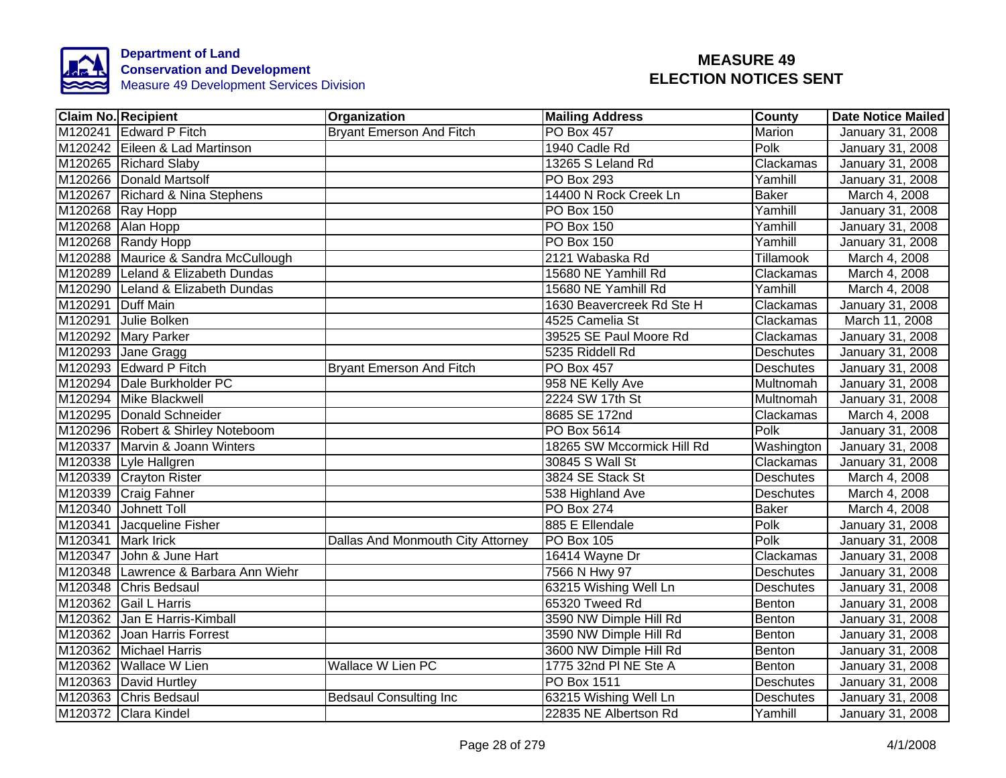

|                    | <b>Claim No. Recipient</b>           | Organization                      | <b>Mailing Address</b>     | County           | <b>Date Notice Mailed</b> |
|--------------------|--------------------------------------|-----------------------------------|----------------------------|------------------|---------------------------|
|                    | M120241 Edward P Fitch               | <b>Bryant Emerson And Fitch</b>   | <b>PO Box 457</b>          | <b>Marion</b>    | January 31, 2008          |
|                    | M120242 Eileen & Lad Martinson       |                                   | 1940 Cadle Rd              | Polk             | January 31, 2008          |
|                    | M120265 Richard Slaby                |                                   | 13265 S Leland Rd          | Clackamas        | January 31, 2008          |
|                    | M120266 Donald Martsolf              |                                   | PO Box 293                 | Yamhill          | January 31, 2008          |
|                    | M120267 Richard & Nina Stephens      |                                   | 14400 N Rock Creek Ln      | Baker            | March 4, 2008             |
|                    | M120268 Ray Hopp                     |                                   | PO Box 150                 | Yamhill          | January 31, 2008          |
|                    | M120268 Alan Hopp                    |                                   | PO Box 150                 | Yamhill          | January 31, 2008          |
|                    | M120268 Randy Hopp                   |                                   | PO Box 150                 | Yamhill          | January 31, 2008          |
|                    | M120288 Maurice & Sandra McCullough  |                                   | 2121 Wabaska Rd            | Tillamook        | March 4, 2008             |
|                    | M120289 Leland & Elizabeth Dundas    |                                   | 15680 NE Yamhill Rd        | Clackamas        | March 4, 2008             |
|                    | M120290 Leland & Elizabeth Dundas    |                                   | 15680 NE Yamhill Rd        | Yamhill          | March 4, 2008             |
| M120291 Duff Main  |                                      |                                   | 1630 Beavercreek Rd Ste H  | Clackamas        | January 31, 2008          |
|                    | M120291 Julie Bolken                 |                                   | 4525 Camelia St            | Clackamas        | March 11, 2008            |
|                    | M120292 Mary Parker                  |                                   | 39525 SE Paul Moore Rd     | Clackamas        | January 31, 2008          |
|                    | M120293 Jane Gragg                   |                                   | 5235 Riddell Rd            | <b>Deschutes</b> | January 31, 2008          |
|                    | M120293 Edward P Fitch               | <b>Bryant Emerson And Fitch</b>   | PO Box 457                 | <b>Deschutes</b> | January 31, 2008          |
|                    | M120294 Dale Burkholder PC           |                                   | 958 NE Kelly Ave           | Multnomah        | January 31, 2008          |
|                    | M120294 Mike Blackwell               |                                   | 2224 SW 17th St            | Multnomah        | January 31, 2008          |
|                    | M120295 Donald Schneider             |                                   | 8685 SE 172nd              | Clackamas        | March 4, 2008             |
|                    | M120296 Robert & Shirley Noteboom    |                                   | PO Box 5614                | Polk             | January 31, 2008          |
|                    | M120337 Marvin & Joann Winters       |                                   | 18265 SW Mccormick Hill Rd | Washington       | January 31, 2008          |
|                    | M120338 Lyle Hallgren                |                                   | 30845 S Wall St            | Clackamas        | January 31, 2008          |
|                    | M120339 Crayton Rister               |                                   | 3824 SE Stack St           | <b>Deschutes</b> | March 4, 2008             |
|                    | M120339 Craig Fahner                 |                                   | 538 Highland Ave           | <b>Deschutes</b> | March 4, 2008             |
|                    | M120340 Johnett Toll                 |                                   | <b>PO Box 274</b>          | <b>Baker</b>     | March 4, 2008             |
|                    | M120341 Jacqueline Fisher            |                                   | 885 E Ellendale            | Polk             | January 31, 2008          |
| M120341 Mark Irick |                                      | Dallas And Monmouth City Attorney | <b>PO Box 105</b>          | Polk             | January 31, 2008          |
|                    | M120347 John & June Hart             |                                   | 16414 Wayne Dr             | Clackamas        | January 31, 2008          |
|                    | M120348 Lawrence & Barbara Ann Wiehr |                                   | 7566 N Hwy 97              | <b>Deschutes</b> | January 31, 2008          |
|                    | M120348 Chris Bedsaul                |                                   | 63215 Wishing Well Ln      | <b>Deschutes</b> | January 31, 2008          |
|                    | M120362 Gail L Harris                |                                   | 65320 Tweed Rd             | Benton           | January 31, 2008          |
|                    | M120362 Jan E Harris-Kimball         |                                   | 3590 NW Dimple Hill Rd     | Benton           | January 31, 2008          |
|                    | M120362 Joan Harris Forrest          |                                   | 3590 NW Dimple Hill Rd     | <b>Benton</b>    | January 31, 2008          |
|                    | M120362 Michael Harris               |                                   | 3600 NW Dimple Hill Rd     | Benton           | January 31, 2008          |
|                    | M120362 Wallace W Lien               | Wallace W Lien PC                 | 1775 32nd PI NE Ste A      | Benton           | January 31, 2008          |
|                    | M120363 David Hurtley                |                                   | PO Box 1511                | <b>Deschutes</b> | January 31, 2008          |
|                    | M120363 Chris Bedsaul                | <b>Bedsaul Consulting Inc</b>     | 63215 Wishing Well Ln      | <b>Deschutes</b> | January 31, 2008          |
|                    | M120372 Clara Kindel                 |                                   | 22835 NE Albertson Rd      | Yamhill          | January 31, 2008          |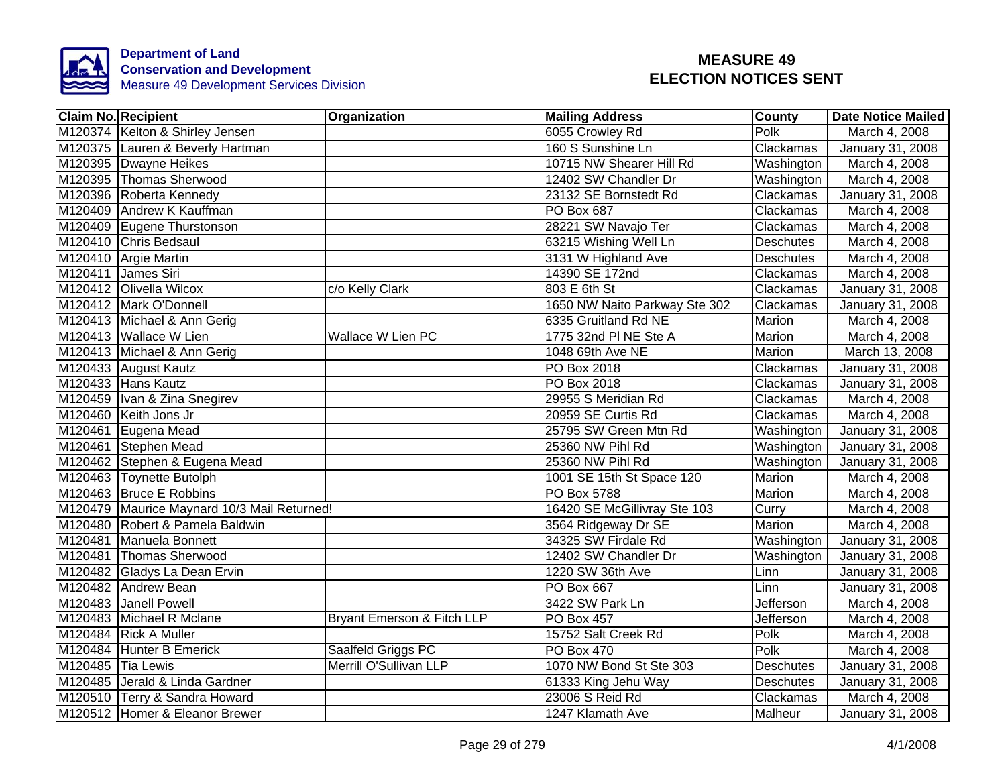

|                   | <b>Claim No. Recipient</b>                  | Organization               | <b>Mailing Address</b>        | County           | <b>Date Notice Mailed</b> |
|-------------------|---------------------------------------------|----------------------------|-------------------------------|------------------|---------------------------|
|                   | M120374 Kelton & Shirley Jensen             |                            | 6055 Crowley Rd               | Polk             | March 4, 2008             |
|                   | M120375 Lauren & Beverly Hartman            |                            | 160 S Sunshine Ln             | Clackamas        | January 31, 2008          |
|                   | M120395 Dwayne Heikes                       |                            | 10715 NW Shearer Hill Rd      | Washington       | March 4, 2008             |
|                   | M120395 Thomas Sherwood                     |                            | 12402 SW Chandler Dr          | Washington       | March 4, 2008             |
|                   | M120396 Roberta Kennedy                     |                            | 23132 SE Bornstedt Rd         | Clackamas        | January 31, 2008          |
|                   | M120409 Andrew K Kauffman                   |                            | PO Box 687                    | Clackamas        | March 4, 2008             |
|                   | M120409 Eugene Thurstonson                  |                            | 28221 SW Navajo Ter           | Clackamas        | March 4, 2008             |
|                   | M120410 Chris Bedsaul                       |                            | 63215 Wishing Well Ln         | Deschutes        | March 4, 2008             |
|                   | M120410 Argie Martin                        |                            | 3131 W Highland Ave           | <b>Deschutes</b> | March 4, 2008             |
|                   | M120411 James Siri                          |                            | 14390 SE 172nd                | Clackamas        | March 4, 2008             |
|                   | M120412 Olivella Wilcox                     | c/o Kelly Clark            | 803 E 6th St                  | Clackamas        | January 31, 2008          |
|                   | M120412 Mark O'Donnell                      |                            | 1650 NW Naito Parkway Ste 302 | Clackamas        | January 31, 2008          |
|                   | M120413 Michael & Ann Gerig                 |                            | 6335 Gruitland Rd NE          | Marion           | March 4, 2008             |
|                   | M120413 Wallace W Lien                      | <b>Wallace W Lien PC</b>   | 1775 32nd PI NE Ste A         | Marion           | March 4, 2008             |
|                   | M120413 Michael & Ann Gerig                 |                            | 1048 69th Ave NE              | Marion           | March 13, 2008            |
|                   | M120433 August Kautz                        |                            | PO Box 2018                   | Clackamas        | January 31, 2008          |
|                   | M120433 Hans Kautz                          |                            | <b>PO Box 2018</b>            | Clackamas        | January 31, 2008          |
|                   | M120459 Ivan & Zina Snegirev                |                            | 29955 S Meridian Rd           | Clackamas        | March 4, 2008             |
|                   | M120460 Keith Jons Jr                       |                            | 20959 SE Curtis Rd            | Clackamas        | March 4, 2008             |
|                   | M120461 Eugena Mead                         |                            | 25795 SW Green Mtn Rd         | Washington       | January 31, 2008          |
|                   | M120461 Stephen Mead                        |                            | 25360 NW Pihl Rd              | Washington       | January 31, 2008          |
|                   | M120462 Stephen & Eugena Mead               |                            | 25360 NW Pihl Rd              | Washington       | January 31, 2008          |
|                   | M120463 Toynette Butolph                    |                            | 1001 SE 15th St Space 120     | <b>Marion</b>    | March 4, 2008             |
|                   | M120463 Bruce E Robbins                     |                            | <b>PO Box 5788</b>            | Marion           | March 4, 2008             |
|                   | M120479 Maurice Maynard 10/3 Mail Returned! |                            | 16420 SE McGillivray Ste 103  | Curry            | March 4, 2008             |
|                   | M120480 Robert & Pamela Baldwin             |                            | 3564 Ridgeway Dr SE           | <b>Marion</b>    | March 4, 2008             |
|                   | M120481 Manuela Bonnett                     |                            | 34325 SW Firdale Rd           | Washington       | January 31, 2008          |
|                   | M120481 Thomas Sherwood                     |                            | 12402 SW Chandler Dr          | Washington       | January 31, 2008          |
|                   | M120482 Gladys La Dean Ervin                |                            | 1220 SW 36th Ave              | Linn             | January 31, 2008          |
|                   | M120482 Andrew Bean                         |                            | PO Box 667                    | Linn             | January 31, 2008          |
|                   | M120483 Janell Powell                       |                            | 3422 SW Park Ln               | Jefferson        | March 4, 2008             |
|                   | M120483 Michael R Mclane                    | Bryant Emerson & Fitch LLP | PO Box 457                    | Jefferson        | March 4, 2008             |
|                   | M120484 Rick A Muller                       |                            | 15752 Salt Creek Rd           | Polk             | March 4, 2008             |
|                   | M120484 Hunter B Emerick                    | Saalfeld Griggs PC         | PO Box 470                    | Polk             | March 4, 2008             |
| M120485 Tia Lewis |                                             | Merrill O'Sullivan LLP     | 1070 NW Bond St Ste 303       | Deschutes        | January 31, 2008          |
|                   | M120485 Jerald & Linda Gardner              |                            | 61333 King Jehu Way           | <b>Deschutes</b> | January 31, 2008          |
|                   | M120510 Terry & Sandra Howard               |                            | 23006 S Reid Rd               | Clackamas        | March 4, 2008             |
|                   | M120512 Homer & Eleanor Brewer              |                            | 1247 Klamath Ave              | Malheur          | January 31, 2008          |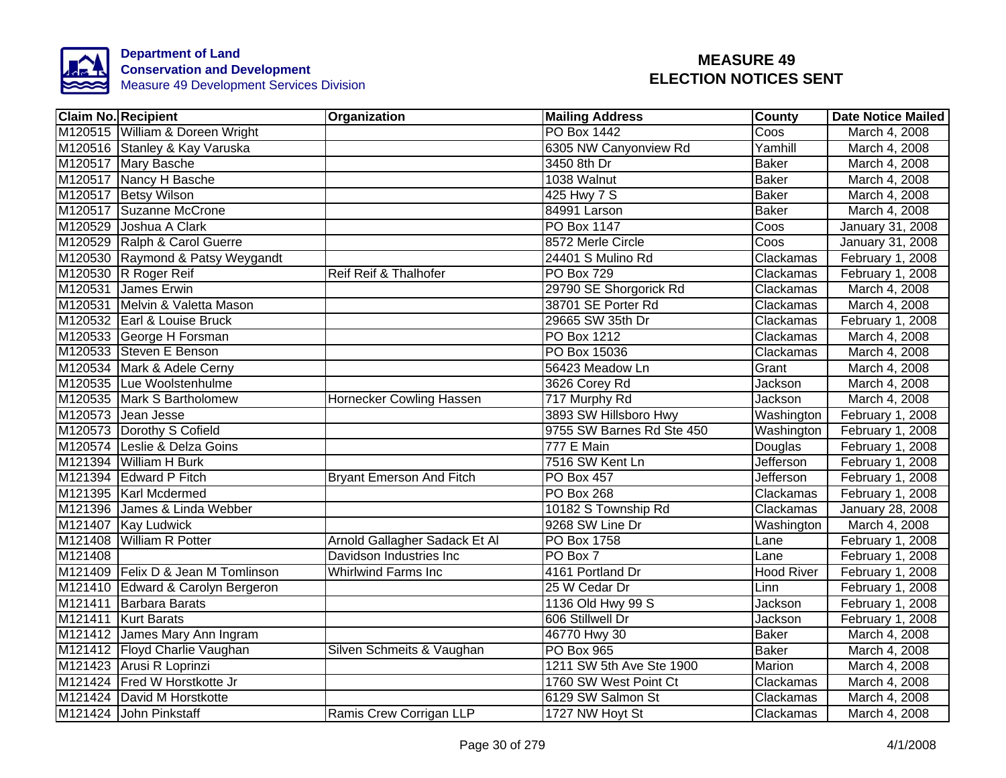

|         | <b>Claim No. Recipient</b>         | Organization                    | <b>Mailing Address</b>    | County            | <b>Date Notice Mailed</b> |
|---------|------------------------------------|---------------------------------|---------------------------|-------------------|---------------------------|
|         | M120515 William & Doreen Wright    |                                 | <b>PO Box 1442</b>        | Coos              | March 4, 2008             |
|         | M120516 Stanley & Kay Varuska      |                                 | 6305 NW Canyonview Rd     | Yamhill           | March 4, 2008             |
|         | M120517 Mary Basche                |                                 | 3450 8th Dr               | <b>Baker</b>      | March 4, 2008             |
|         | M120517 Nancy H Basche             |                                 | 1038 Walnut               | <b>Baker</b>      | March 4, 2008             |
|         | M120517 Betsy Wilson               |                                 | 425 Hwy 7 S               | <b>Baker</b>      | March 4, 2008             |
|         | M120517 Suzanne McCrone            |                                 | 84991 Larson              | <b>Baker</b>      | March 4, 2008             |
|         | M120529 Joshua A Clark             |                                 | PO Box 1147               | Coos              | January 31, 2008          |
|         | M120529 Ralph & Carol Guerre       |                                 | 8572 Merle Circle         | Coos              | January 31, 2008          |
|         | M120530 Raymond & Patsy Weygandt   |                                 | 24401 S Mulino Rd         | Clackamas         | February 1, 2008          |
|         | M120530 R Roger Reif               | Reif Reif & Thalhofer           | PO Box 729                | Clackamas         | February 1, 2008          |
|         | M120531 James Erwin                |                                 | 29790 SE Shorgorick Rd    | Clackamas         | March 4, 2008             |
|         | M120531 Melvin & Valetta Mason     |                                 | 38701 SE Porter Rd        | Clackamas         | March 4, 2008             |
|         | M120532 Earl & Louise Bruck        |                                 | 29665 SW 35th Dr          | Clackamas         | February 1, 2008          |
|         | M120533 George H Forsman           |                                 | PO Box 1212               | Clackamas         | March 4, 2008             |
|         | M120533 Steven E Benson            |                                 | PO Box 15036              | Clackamas         | March 4, 2008             |
|         | M120534 Mark & Adele Cerny         |                                 | 56423 Meadow Ln           | Grant             | March 4, 2008             |
|         | M120535 Lue Woolstenhulme          |                                 | 3626 Corey Rd             | <b>Jackson</b>    | March 4, 2008             |
|         | M120535 Mark S Bartholomew         | Hornecker Cowling Hassen        | 717 Murphy Rd             | Jackson           | March 4, 2008             |
|         | M120573 Jean Jesse                 |                                 | 3893 SW Hillsboro Hwy     | Washington        | February 1, 2008          |
|         | M120573 Dorothy S Cofield          |                                 | 9755 SW Barnes Rd Ste 450 | Washington        | February 1, 2008          |
|         | M120574 Leslie & Delza Goins       |                                 | <b>777 E Main</b>         | Douglas           | February 1, 2008          |
|         | M121394 William H Burk             |                                 | 7516 SW Kent Ln           | <b>Jefferson</b>  | February 1, 2008          |
|         | M121394 Edward P Fitch             | <b>Bryant Emerson And Fitch</b> | <b>PO Box 457</b>         | <b>Jefferson</b>  | February 1, 2008          |
|         | M121395   Karl Mcdermed            |                                 | <b>PO Box 268</b>         | Clackamas         | February 1, 2008          |
|         | M121396 James & Linda Webber       |                                 | 10182 S Township Rd       | Clackamas         | <b>January 28, 2008</b>   |
|         | M121407 Kay Ludwick                |                                 | 9268 SW Line Dr           | Washington        | March 4, 2008             |
|         | M121408 William R Potter           | Arnold Gallagher Sadack Et Al   | PO Box 1758               | Lane              | February 1, 2008          |
| M121408 |                                    | Davidson Industries Inc         | PO Box 7                  | Lane              | February 1, 2008          |
|         | M121409 Felix D & Jean M Tomlinson | <b>Whirlwind Farms Inc</b>      | 4161 Portland Dr          | <b>Hood River</b> | February 1, 2008          |
|         | M121410 Edward & Carolyn Bergeron  |                                 | 25 W Cedar Dr             | Linn              | February 1, 2008          |
|         | M121411 Barbara Barats             |                                 | 1136 Old Hwy 99 S         | Jackson           | February 1, 2008          |
|         | M121411 Kurt Barats                |                                 | 606 Stillwell Dr          | Jackson           | February 1, 2008          |
|         | M121412 James Mary Ann Ingram      |                                 | 46770 Hwy 30              | <b>Baker</b>      | March 4, 2008             |
|         | M121412 Floyd Charlie Vaughan      | Silven Schmeits & Vaughan       | PO Box 965                | <b>Baker</b>      | March 4, 2008             |
|         | M121423 Arusi R Loprinzi           |                                 | 1211 SW 5th Ave Ste 1900  | Marion            | March 4, 2008             |
|         | M121424 Fred W Horstkotte Jr       |                                 | 1760 SW West Point Ct     | Clackamas         | March 4, 2008             |
|         | M121424 David M Horstkotte         |                                 | 6129 SW Salmon St         | Clackamas         | March 4, 2008             |
|         | M121424 John Pinkstaff             | Ramis Crew Corrigan LLP         | 1727 NW Hoyt St           | Clackamas         | March 4, 2008             |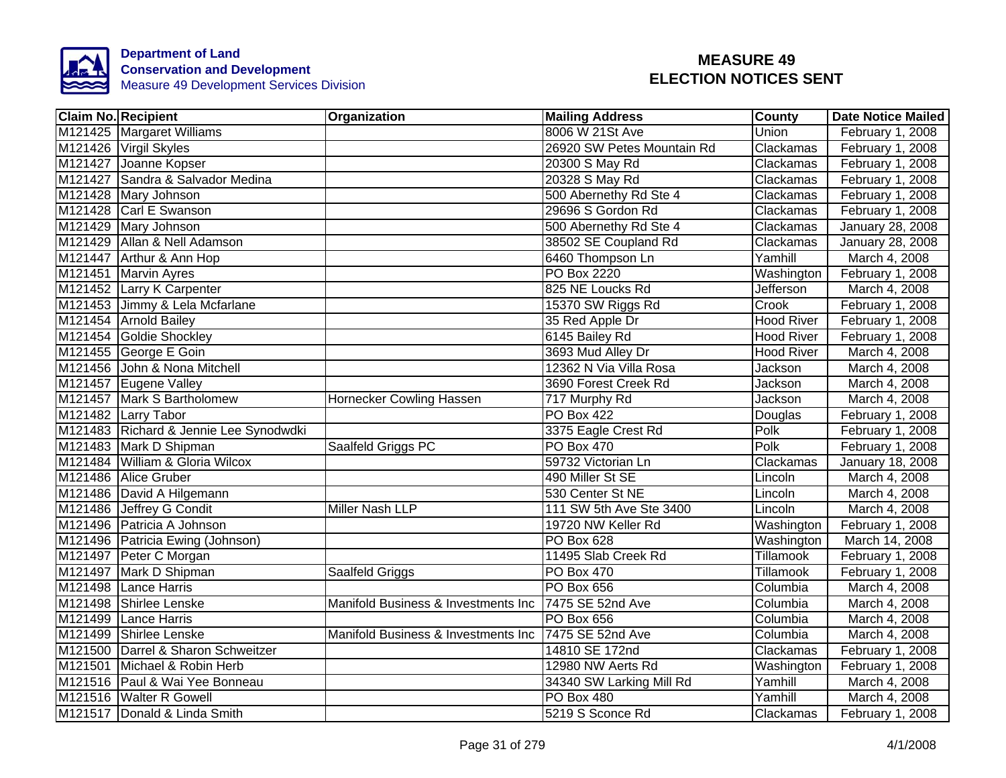

| <b>Claim No. Recipient</b>             | <b>Organization</b>                 | <b>Mailing Address</b>     | County            | <b>Date Notice Mailed</b> |
|----------------------------------------|-------------------------------------|----------------------------|-------------------|---------------------------|
| M121425 Margaret Williams              |                                     | 8006 W 21St Ave            | Union             | February 1, 2008          |
| M121426 Virgil Skyles                  |                                     | 26920 SW Petes Mountain Rd | Clackamas         | February 1, 2008          |
| M121427 Joanne Kopser                  |                                     | 20300 S May Rd             | Clackamas         | February 1, 2008          |
| M121427 Sandra & Salvador Medina       |                                     | 20328 S May Rd             | Clackamas         | February 1, 2008          |
| M121428 Mary Johnson                   |                                     | 500 Abernethy Rd Ste 4     | Clackamas         | February 1, 2008          |
| M121428 Carl E Swanson                 |                                     | 29696 S Gordon Rd          | Clackamas         | February 1, 2008          |
| M121429 Mary Johnson                   |                                     | 500 Abernethy Rd Ste 4     | Clackamas         | January 28, 2008          |
| M121429 Allan & Nell Adamson           |                                     | 38502 SE Coupland Rd       | Clackamas         | January 28, 2008          |
| M121447 Arthur & Ann Hop               |                                     | 6460 Thompson Ln           | Yamhill           | March 4, 2008             |
| M121451 Marvin Ayres                   |                                     | PO Box 2220                | Washington        | February 1, 2008          |
| M121452 Larry K Carpenter              |                                     | 825 NE Loucks Rd           | Jefferson         | March 4, 2008             |
| M121453 Jimmy & Lela Mcfarlane         |                                     | 15370 SW Riggs Rd          | Crook             | February 1, 2008          |
| M121454 Arnold Bailey                  |                                     | 35 Red Apple Dr            | <b>Hood River</b> | February 1, 2008          |
| M121454 Goldie Shockley                |                                     | 6145 Bailey Rd             | <b>Hood River</b> | February 1, 2008          |
| M121455 George E Goin                  |                                     | 3693 Mud Alley Dr          | <b>Hood River</b> | March 4, 2008             |
| M121456 John & Nona Mitchell           |                                     | 12362 N Via Villa Rosa     | Jackson           | March 4, 2008             |
| M121457 Eugene Valley                  |                                     | 3690 Forest Creek Rd       | Jackson           | March 4, 2008             |
| M121457 Mark S Bartholomew             | Hornecker Cowling Hassen            | 717 Murphy Rd              | Jackson           | March 4, 2008             |
| M121482 Larry Tabor                    |                                     | <b>PO Box 422</b>          | Douglas           | February 1, 2008          |
| M121483 Richard & Jennie Lee Synodwdki |                                     | 3375 Eagle Crest Rd        | Polk              | February 1, 2008          |
| M121483 Mark D Shipman                 | Saalfeld Griggs PC                  | <b>PO Box 470</b>          | Polk              | February 1, 2008          |
| M121484 William & Gloria Wilcox        |                                     | 59732 Victorian Ln         | Clackamas         | January 18, 2008          |
| M121486 Alice Gruber                   |                                     | 490 Miller St SE           | Lincoln           | March 4, 2008             |
| M121486 David A Hilgemann              |                                     | 530 Center St NE           | Lincoln           | March 4, 2008             |
| M121486 Jeffrey G Condit               | Miller Nash LLP                     | 111 SW 5th Ave Ste 3400    | Lincoln           | March 4, 2008             |
| M121496 Patricia A Johnson             |                                     | 19720 NW Keller Rd         | Washington        | February 1, 2008          |
| M121496 Patricia Ewing (Johnson)       |                                     | PO Box 628                 | Washington        | March 14, 2008            |
| M121497 Peter C Morgan                 |                                     | 11495 Slab Creek Rd        | Tillamook         | February 1, 2008          |
| M121497 Mark D Shipman                 | Saalfeld Griggs                     | PO Box 470                 | Tillamook         | February 1, 2008          |
| M121498 Lance Harris                   |                                     | PO Box 656                 | Columbia          | March 4, 2008             |
| M121498 Shirlee Lenske                 | Manifold Business & Investments Inc | 7475 SE 52nd Ave           | Columbia          | March 4, 2008             |
| M121499 Lance Harris                   |                                     | PO Box 656                 | Columbia          | March 4, 2008             |
| M121499 Shirlee Lenske                 | Manifold Business & Investments Inc | 7475 SE 52nd Ave           | Columbia          | March 4, 2008             |
| M121500 Darrel & Sharon Schweitzer     |                                     | 14810 SE 172nd             | Clackamas         | February 1, 2008          |
| M121501 Michael & Robin Herb           |                                     | 12980 NW Aerts Rd          | Washington        | February 1, 2008          |
| M121516 Paul & Wai Yee Bonneau         |                                     | 34340 SW Larking Mill Rd   | Yamhill           | March 4, 2008             |
| M121516 Walter R Gowell                |                                     | PO Box 480                 | Yamhill           | March 4, 2008             |
| M121517 Donald & Linda Smith           |                                     | 5219 S Sconce Rd           | Clackamas         | February 1, 2008          |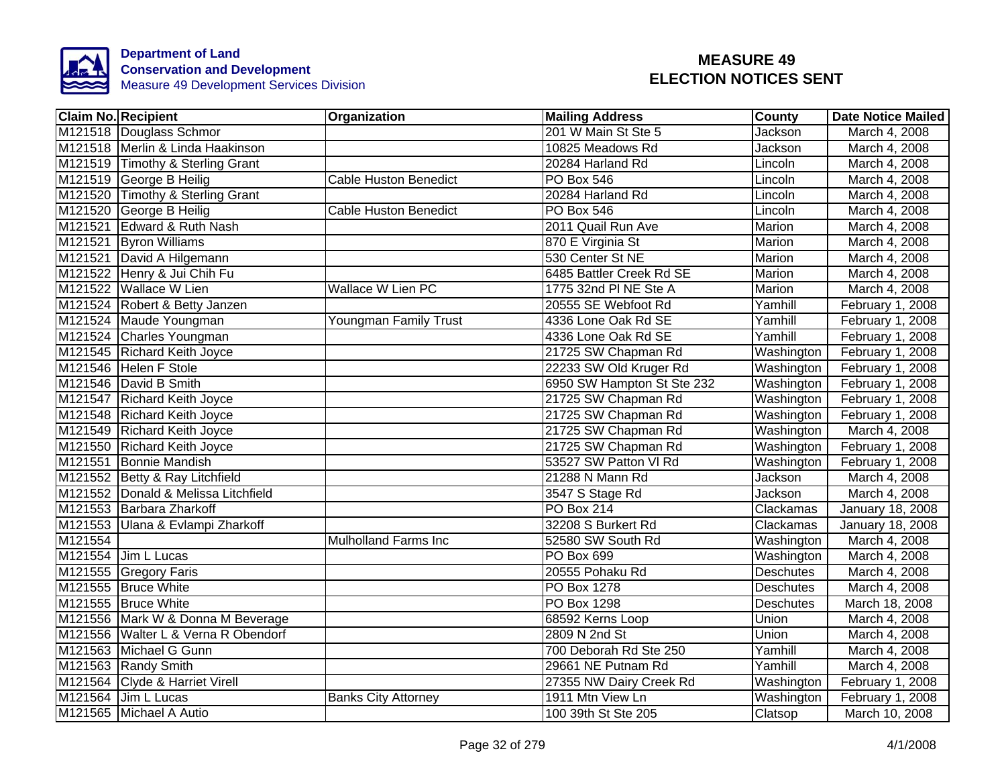

|         | <b>Claim No. Recipient</b>          | Organization                 | <b>Mailing Address</b>     | County           | <b>Date Notice Mailed</b> |
|---------|-------------------------------------|------------------------------|----------------------------|------------------|---------------------------|
|         | M121518 Douglass Schmor             |                              | 201 W Main St Ste 5        | <b>Jackson</b>   | March 4, 2008             |
|         | M121518 Merlin & Linda Haakinson    |                              | 10825 Meadows Rd           | Jackson          | March 4, 2008             |
|         | M121519 Timothy & Sterling Grant    |                              | 20284 Harland Rd           | Lincoln          | March 4, 2008             |
|         | M121519 George B Heilig             | <b>Cable Huston Benedict</b> | <b>PO Box 546</b>          | Lincoln          | March 4, 2008             |
|         | M121520 Timothy & Sterling Grant    |                              | 20284 Harland Rd           | Lincoln          | March 4, 2008             |
|         | M121520 George B Heilig             | <b>Cable Huston Benedict</b> | <b>PO Box 546</b>          | Lincoln          | March 4, 2008             |
|         | M121521 Edward & Ruth Nash          |                              | 2011 Quail Run Ave         | Marion           | March 4, 2008             |
|         | M121521 Byron Williams              |                              | 870 E Virginia St          | Marion           | March 4, 2008             |
|         | M121521 David A Hilgemann           |                              | 530 Center St NE           | Marion           | March 4, 2008             |
|         | M121522 Henry & Jui Chih Fu         |                              | 6485 Battler Creek Rd SE   | Marion           | March 4, 2008             |
|         | M121522 Wallace W Lien              | Wallace W Lien PC            | 1775 32nd PI NE Ste A      | Marion           | March 4, 2008             |
|         | M121524 Robert & Betty Janzen       |                              | 20555 SE Webfoot Rd        | Yamhill          | February 1, 2008          |
|         | M121524 Maude Youngman              | Youngman Family Trust        | 4336 Lone Oak Rd SE        | Yamhill          | February 1, 2008          |
|         | M121524 Charles Youngman            |                              | 4336 Lone Oak Rd SE        | Yamhill          | February 1, 2008          |
|         | M121545 Richard Keith Joyce         |                              | 21725 SW Chapman Rd        | Washington       | February 1, 2008          |
|         | M121546 Helen F Stole               |                              | 22233 SW Old Kruger Rd     | Washington       | February 1, 2008          |
|         | M121546 David B Smith               |                              | 6950 SW Hampton St Ste 232 | Washington       | February 1, 2008          |
|         | M121547 Richard Keith Joyce         |                              | 21725 SW Chapman Rd        | Washington       | February 1, 2008          |
|         | M121548 Richard Keith Joyce         |                              | 21725 SW Chapman Rd        | Washington       | February 1, 2008          |
|         | M121549 Richard Keith Joyce         |                              | 21725 SW Chapman Rd        | Washington       | March 4, 2008             |
|         | M121550 Richard Keith Joyce         |                              | 21725 SW Chapman Rd        | Washington       | February 1, 2008          |
|         | M121551 Bonnie Mandish              |                              | 53527 SW Patton VI Rd      | Washington       | February 1, 2008          |
|         | M121552 Betty & Ray Litchfield      |                              | 21288 N Mann Rd            | Jackson          | March 4, 2008             |
|         | M121552 Donald & Melissa Litchfield |                              | 3547 S Stage Rd            | Jackson          | March 4, 2008             |
|         | M121553 Barbara Zharkoff            |                              | <b>PO Box 214</b>          | Clackamas        | January 18, 2008          |
|         | M121553 Ulana & Evlampi Zharkoff    |                              | 32208 S Burkert Rd         | Clackamas        | January 18, 2008          |
| M121554 |                                     | <b>Mulholland Farms Inc</b>  | 52580 SW South Rd          | Washington       | March 4, 2008             |
|         | M121554 Jim L Lucas                 |                              | PO Box 699                 | Washington       | March 4, 2008             |
|         | M121555 Gregory Faris               |                              | 20555 Pohaku Rd            | <b>Deschutes</b> | March 4, 2008             |
|         | M121555 Bruce White                 |                              | PO Box 1278                | <b>Deschutes</b> | March 4, 2008             |
|         | M121555 Bruce White                 |                              | PO Box 1298                | <b>Deschutes</b> | March 18, 2008            |
|         | M121556 Mark W & Donna M Beverage   |                              | 68592 Kerns Loop           | Union            | March 4, 2008             |
|         | M121556 Walter L & Verna R Obendorf |                              | 2809 N 2nd St              | Union            | March 4, 2008             |
|         | M121563 Michael G Gunn              |                              | 700 Deborah Rd Ste 250     | Yamhill          | March 4, 2008             |
|         | M121563 Randy Smith                 |                              | 29661 NE Putnam Rd         | Yamhill          | March 4, 2008             |
|         | M121564 Clyde & Harriet Virell      |                              | 27355 NW Dairy Creek Rd    | Washington       | February 1, 2008          |
|         | M121564 Jim L Lucas                 | <b>Banks City Attorney</b>   | 1911 Mtn View Ln           | Washington       | February 1, 2008          |
|         | M121565 Michael A Autio             |                              | 100 39th St Ste 205        | Clatsop          | March 10, 2008            |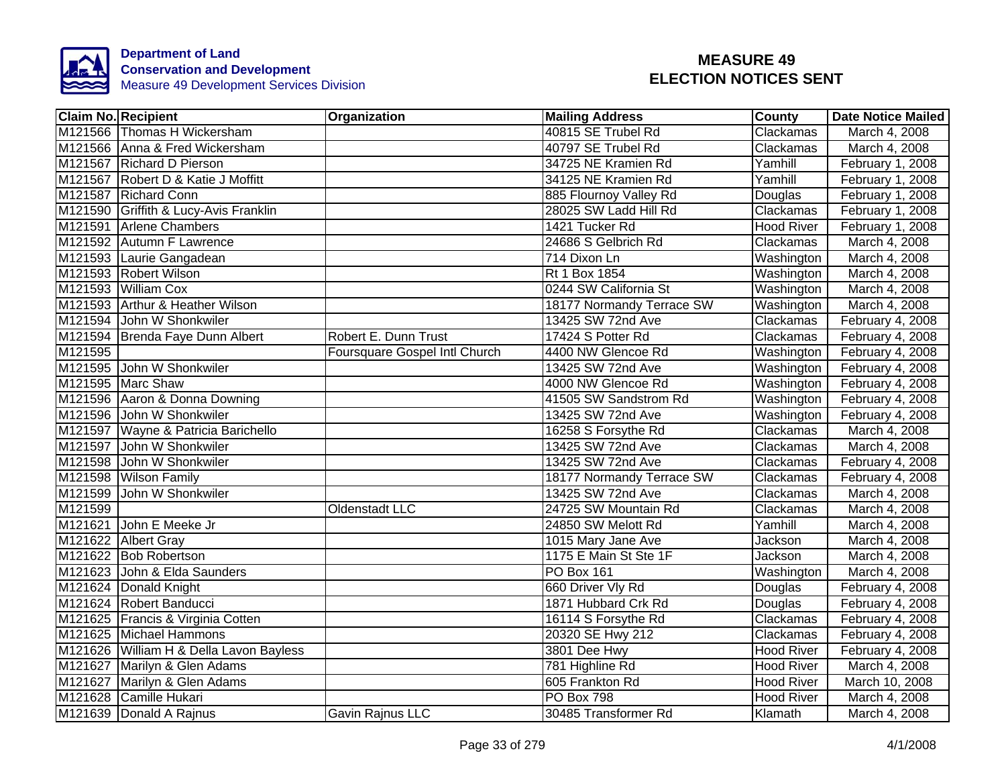

| <b>Claim No. Recipient</b>              | Organization                  | <b>Mailing Address</b>    | <b>County</b>     | Date Notice Mailed |
|-----------------------------------------|-------------------------------|---------------------------|-------------------|--------------------|
| M121566 Thomas H Wickersham             |                               | 40815 SE Trubel Rd        | Clackamas         | March 4, 2008      |
| M121566 Anna & Fred Wickersham          |                               | 40797 SE Trubel Rd        | Clackamas         | March 4, 2008      |
| M121567 Richard D Pierson               |                               | 34725 NE Kramien Rd       | Yamhill           | February 1, 2008   |
| M121567 Robert D & Katie J Moffitt      |                               | 34125 NE Kramien Rd       | Yamhill           | February 1, 2008   |
| M121587 Richard Conn                    |                               | 885 Flournoy Valley Rd    | Douglas           | February 1, 2008   |
| M121590 Griffith & Lucy-Avis Franklin   |                               | 28025 SW Ladd Hill Rd     | Clackamas         | February 1, 2008   |
| M121591 Arlene Chambers                 |                               | 1421 Tucker Rd            | <b>Hood River</b> | February 1, 2008   |
| M121592 Autumn F Lawrence               |                               | 24686 S Gelbrich Rd       | Clackamas         | March 4, 2008      |
| M121593 Laurie Gangadean                |                               | 714 Dixon Ln              | Washington        | March 4, 2008      |
| M121593 Robert Wilson                   |                               | Rt 1 Box 1854             | Washington        | March 4, 2008      |
| M121593 William Cox                     |                               | 0244 SW California St     | Washington        | March 4, 2008      |
| M121593 Arthur & Heather Wilson         |                               | 18177 Normandy Terrace SW | Washington        | March 4, 2008      |
| M121594 John W Shonkwiler               |                               | 13425 SW 72nd Ave         | Clackamas         | February 4, 2008   |
| M121594 Brenda Faye Dunn Albert         | Robert E. Dunn Trust          | 17424 S Potter Rd         | Clackamas         | February 4, 2008   |
| M121595                                 | Foursquare Gospel Intl Church | 4400 NW Glencoe Rd        | Washington        | February 4, 2008   |
| M121595 John W Shonkwiler               |                               | 13425 SW 72nd Ave         | Washington        | February 4, 2008   |
| M121595 Marc Shaw                       |                               | 4000 NW Glencoe Rd        | Washington        | February 4, 2008   |
| M121596 Aaron & Donna Downing           |                               | 41505 SW Sandstrom Rd     | Washington        | February 4, 2008   |
| M121596 John W Shonkwiler               |                               | 13425 SW 72nd Ave         | Washington        | February 4, 2008   |
| M121597 Wayne & Patricia Barichello     |                               | 16258 S Forsythe Rd       | Clackamas         | March 4, 2008      |
| M121597 John W Shonkwiler               |                               | 13425 SW 72nd Ave         | Clackamas         | March 4, 2008      |
| M121598 John W Shonkwiler               |                               | 13425 SW 72nd Ave         | Clackamas         | February 4, 2008   |
| M121598 Wilson Family                   |                               | 18177 Normandy Terrace SW | Clackamas         | February $4,2008$  |
| M121599 John W Shonkwiler               |                               | 13425 SW 72nd Ave         | Clackamas         | March 4, 2008      |
| M121599                                 | Oldenstadt LLC                | 24725 SW Mountain Rd      | Clackamas         | March 4, 2008      |
| M121621<br>John E Meeke Jr              |                               | 24850 SW Melott Rd        | Yamhill           | March 4, 2008      |
| M121622 Albert Gray                     |                               | 1015 Mary Jane Ave        | Jackson           | March 4, 2008      |
| M121622 Bob Robertson                   |                               | 1175 E Main St Ste 1F     | Jackson           | March 4, 2008      |
| M121623 John & Elda Saunders            |                               | PO Box 161                | Washington        | March 4, 2008      |
| M121624 Donald Knight                   |                               | 660 Driver Vly Rd         | Douglas           | February 4, 2008   |
| M121624 Robert Banducci                 |                               | 1871 Hubbard Crk Rd       | Douglas           | February 4, 2008   |
| M121625   Francis & Virginia Cotten     |                               | 16114 S Forsythe Rd       | Clackamas         | February 4, 2008   |
| M121625 Michael Hammons                 |                               | 20320 SE Hwy 212          | Clackamas         | February 4, 2008   |
| M121626 William H & Della Lavon Bayless |                               | 3801 Dee Hwy              | <b>Hood River</b> | February 4, 2008   |
| M121627 Marilyn & Glen Adams            |                               | 781 Highline Rd           | <b>Hood River</b> | March 4, 2008      |
| M121627 Marilyn & Glen Adams            |                               | 605 Frankton Rd           | <b>Hood River</b> | March 10, 2008     |
| M121628 Camille Hukari                  |                               | PO Box 798                | <b>Hood River</b> | March 4, 2008      |
| M121639 Donald A Rajnus                 | Gavin Rajnus LLC              | 30485 Transformer Rd      | Klamath           | March 4, 2008      |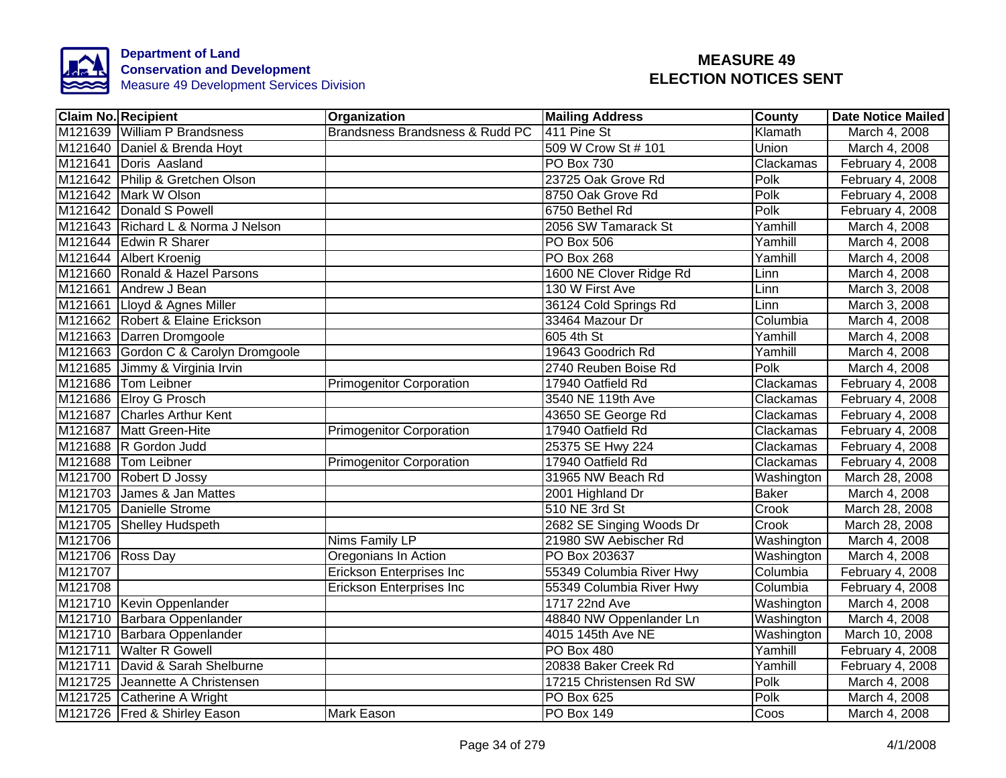

|                  | <b>Claim No. Recipient</b>           | Organization                    | <b>Mailing Address</b>   | <b>County</b> | Date Notice Mailed |
|------------------|--------------------------------------|---------------------------------|--------------------------|---------------|--------------------|
|                  | M121639 William P Brandsness         | Brandsness Brandsness & Rudd PC | 411 Pine St              | Klamath       | March 4, 2008      |
|                  | M121640 Daniel & Brenda Hoyt         |                                 | 509 W Crow St # 101      | Union         | March 4, 2008      |
|                  | M121641 Doris Aasland                |                                 | <b>PO Box 730</b>        | Clackamas     | February 4, 2008   |
|                  | M121642 Philip & Gretchen Olson      |                                 | 23725 Oak Grove Rd       | Polk          | February 4, 2008   |
|                  | M121642 Mark W Olson                 |                                 | 8750 Oak Grove Rd        | Polk          | February 4, 2008   |
|                  | M121642 Donald S Powell              |                                 | 6750 Bethel Rd           | Polk          | February 4, 2008   |
|                  | M121643 Richard L & Norma J Nelson   |                                 | 2056 SW Tamarack St      | Yamhill       | March 4, 2008      |
|                  | M121644 Edwin R Sharer               |                                 | PO Box 506               | Yamhill       | March 4, 2008      |
|                  | M121644 Albert Kroenig               |                                 | PO Box 268               | Yamhill       | March 4, 2008      |
|                  | M121660 Ronald & Hazel Parsons       |                                 | 1600 NE Clover Ridge Rd  | Linn          | March 4, 2008      |
|                  | M121661 Andrew J Bean                |                                 | 130 W First Ave          | Linn          | March 3, 2008      |
|                  | M121661 Lloyd & Agnes Miller         |                                 | 36124 Cold Springs Rd    | Linn          | March 3, 2008      |
|                  | M121662 Robert & Elaine Erickson     |                                 | 33464 Mazour Dr          | Columbia      | March 4, 2008      |
|                  | M121663 Darren Dromgoole             |                                 | 605 4th St               | Yamhill       | March 4, 2008      |
|                  | M121663 Gordon C & Carolyn Dromgoole |                                 | 19643 Goodrich Rd        | Yamhill       | March 4, 2008      |
|                  | M121685 Jimmy & Virginia Irvin       |                                 | 2740 Reuben Boise Rd     | <b>Polk</b>   | March 4, 2008      |
|                  | M121686 Tom Leibner                  | <b>Primogenitor Corporation</b> | 17940 Oatfield Rd        | Clackamas     | February 4, 2008   |
|                  | M121686 Elroy G Prosch               |                                 | 3540 NE 119th Ave        | Clackamas     | February 4, 2008   |
|                  | M121687 Charles Arthur Kent          |                                 | 43650 SE George Rd       | Clackamas     | February 4, 2008   |
|                  | M121687 Matt Green-Hite              | <b>Primogenitor Corporation</b> | 17940 Oatfield Rd        | Clackamas     | February 4, 2008   |
|                  | M121688 R Gordon Judd                |                                 | 25375 SE Hwy 224         | Clackamas     | February 4, 2008   |
|                  | M121688 Tom Leibner                  | Primogenitor Corporation        | 17940 Oatfield Rd        | Clackamas     | February 4, 2008   |
|                  | M121700 Robert D Jossy               |                                 | 31965 NW Beach Rd        | Washington    | March 28, 2008     |
|                  | M121703 James & Jan Mattes           |                                 | 2001 Highland Dr         | <b>Baker</b>  | March 4, 2008      |
|                  | M121705 Danielle Strome              |                                 | 510 NE 3rd St            | Crook         | March 28, 2008     |
|                  | M121705 Shelley Hudspeth             |                                 | 2682 SE Singing Woods Dr | Crook         | March 28, 2008     |
| M121706          |                                      | <b>Nims Family LP</b>           | 21980 SW Aebischer Rd    | Washington    | March 4, 2008      |
| M121706 Ross Day |                                      | Oregonians In Action            | PO Box 203637            | Washington    | March 4, 2008      |
| M121707          |                                      | <b>Erickson Enterprises Inc</b> | 55349 Columbia River Hwy | Columbia      | February 4, 2008   |
| M121708          |                                      | <b>Erickson Enterprises Inc</b> | 55349 Columbia River Hwy | Columbia      | February 4, 2008   |
|                  | M121710 Kevin Oppenlander            |                                 | 1717 22nd Ave            | Washington    | March 4, 2008      |
|                  | M121710 Barbara Oppenlander          |                                 | 48840 NW Oppenlander Ln  | Washington    | March 4, 2008      |
|                  | M121710 Barbara Oppenlander          |                                 | 4015 145th Ave NE        | Washington    | March 10, 2008     |
|                  | M121711 Walter R Gowell              |                                 | <b>PO Box 480</b>        | Yamhill       | February 4, 2008   |
|                  | M121711 David & Sarah Shelburne      |                                 | 20838 Baker Creek Rd     | Yamhill       | February 4, 2008   |
|                  | M121725 Jeannette A Christensen      |                                 | 17215 Christensen Rd SW  | Polk          | March 4, 2008      |
|                  | M121725 Catherine A Wright           |                                 | PO Box 625               | Polk          | March 4, 2008      |
|                  | M121726 Fred & Shirley Eason         | Mark Eason                      | PO Box 149               | Coos          | March 4, 2008      |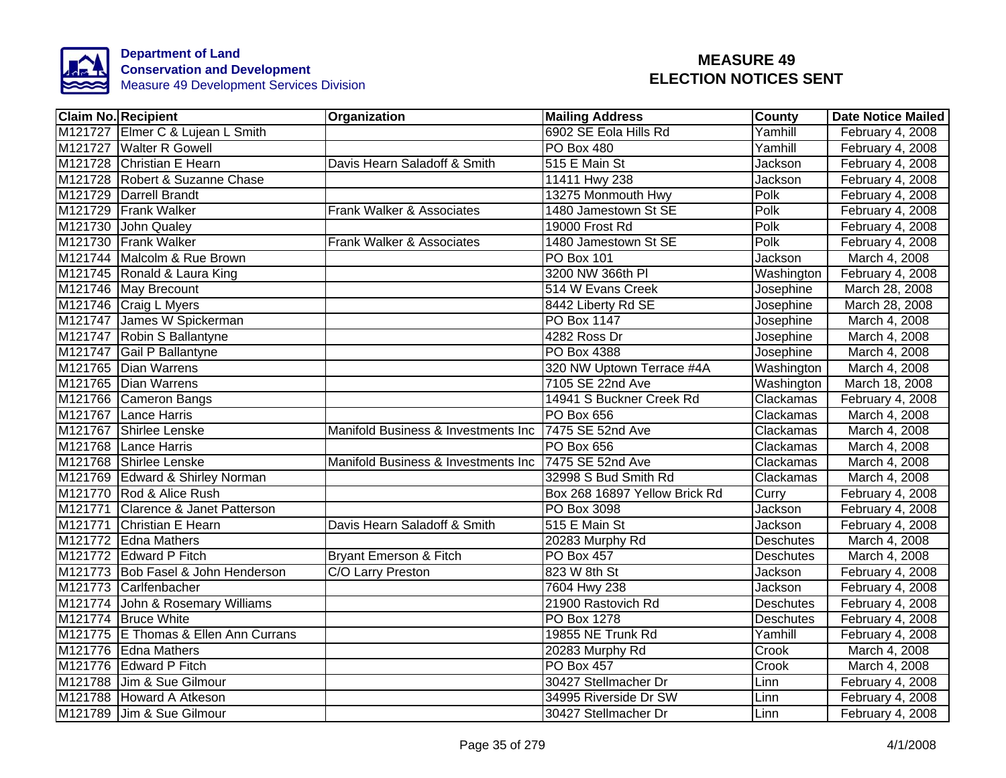

| <b>Claim No. Recipient</b>           | Organization                        | <b>Mailing Address</b>        | <b>County</b>    | <b>Date Notice Mailed</b> |
|--------------------------------------|-------------------------------------|-------------------------------|------------------|---------------------------|
| M121727 Elmer C & Lujean L Smith     |                                     | 6902 SE Eola Hills Rd         | Yamhill          | February 4, 2008          |
| M121727 Walter R Gowell              |                                     | <b>PO Box 480</b>             | Yamhill          | February 4, 2008          |
| M121728 Christian E Hearn            | Davis Hearn Saladoff & Smith        | 515 E Main St                 | Jackson          | February 4, 2008          |
| M121728 Robert & Suzanne Chase       |                                     | 11411 Hwy 238                 | Jackson          | February 4, 2008          |
| M121729 Darrell Brandt               |                                     | 13275 Monmouth Hwy            | Polk             | February 4, 2008          |
| M121729 Frank Walker                 | Frank Walker & Associates           | 1480 Jamestown St SE          | Polk             | February 4, 2008          |
| M121730 John Qualey                  |                                     | 19000 Frost Rd                | Polk             | February 4, 2008          |
| M121730 Frank Walker                 | Frank Walker & Associates           | 1480 Jamestown St SE          | Polk             | February 4, 2008          |
| M121744 Malcolm & Rue Brown          |                                     | <b>PO Box 101</b>             | Jackson          | March 4, 2008             |
| M121745 Ronald & Laura King          |                                     | 3200 NW 366th PI              | Washington       | February 4, 2008          |
| M121746 May Brecount                 |                                     | 514 W Evans Creek             | Josephine        | March 28, 2008            |
| M121746 Craig L Myers                |                                     | 8442 Liberty Rd SE            | Josephine        | March 28, 2008            |
| M121747 James W Spickerman           |                                     | PO Box 1147                   | Josephine        | March 4, 2008             |
| M121747 Robin S Ballantyne           |                                     | 4282 Ross Dr                  | Josephine        | March 4, 2008             |
| M121747 Gail P Ballantyne            |                                     | <b>PO Box 4388</b>            | Josephine        | March 4, 2008             |
| M121765 Dian Warrens                 |                                     | 320 NW Uptown Terrace #4A     | Washington       | March 4, 2008             |
| M121765 Dian Warrens                 |                                     | 7105 SE 22nd Ave              | Washington       | March 18, 2008            |
| M121766 Cameron Bangs                |                                     | 14941 S Buckner Creek Rd      | Clackamas        | February 4, 2008          |
| M121767 Lance Harris                 |                                     | <b>PO Box 656</b>             | Clackamas        | March 4, 2008             |
| M121767 Shirlee Lenske               | Manifold Business & Investments Inc | 7475 SE 52nd Ave              | Clackamas        | March 4, 2008             |
| M121768 Lance Harris                 |                                     | <b>PO Box 656</b>             | Clackamas        | March 4, 2008             |
| M121768 Shirlee Lenske               | Manifold Business & Investments Inc | 7475 SE 52nd Ave              | Clackamas        | March 4, 2008             |
| M121769 Edward & Shirley Norman      |                                     | 32998 S Bud Smith Rd          | Clackamas        | March 4, 2008             |
| M121770 Rod & Alice Rush             |                                     | Box 268 16897 Yellow Brick Rd | Curry            | February 4, 2008          |
| M121771 Clarence & Janet Patterson   |                                     | <b>PO Box 3098</b>            | Jackson          | February 4, 2008          |
| M121771 Christian E Hearn            | Davis Hearn Saladoff & Smith        | 515 E Main St                 | Jackson          | February 4, 2008          |
| M121772 Edna Mathers                 |                                     | 20283 Murphy Rd               | <b>Deschutes</b> | March 4, 2008             |
| M121772 Edward P Fitch               | Bryant Emerson & Fitch              | <b>PO Box 457</b>             | <b>Deschutes</b> | March 4, 2008             |
| M121773 Bob Fasel & John Henderson   | C/O Larry Preston                   | 823 W 8th St                  | Jackson          | February 4, 2008          |
| M121773 Carlfenbacher                |                                     | 7604 Hwy 238                  | Jackson          | February 4, 2008          |
| M121774 John & Rosemary Williams     |                                     | 21900 Rastovich Rd            | <b>Deschutes</b> | February 4, 2008          |
| M121774 Bruce White                  |                                     | <b>PO Box 1278</b>            | Deschutes        | February 4, 2008          |
| M121775 E Thomas & Ellen Ann Currans |                                     | 19855 NE Trunk Rd             | Yamhill          | February 4, 2008          |
| M121776 Edna Mathers                 |                                     | 20283 Murphy Rd               | Crook            | March 4, 2008             |
| M121776 Edward P Fitch               |                                     | <b>PO Box 457</b>             | Crook            | March 4, 2008             |
| M121788 Jim & Sue Gilmour            |                                     | 30427 Stellmacher Dr          | Linn             | February 4, 2008          |
| M121788 Howard A Atkeson             |                                     | 34995 Riverside Dr SW         | Linn             | February 4, 2008          |
| M121789 Jim & Sue Gilmour            |                                     | 30427 Stellmacher Dr          | Linn             | February 4, 2008          |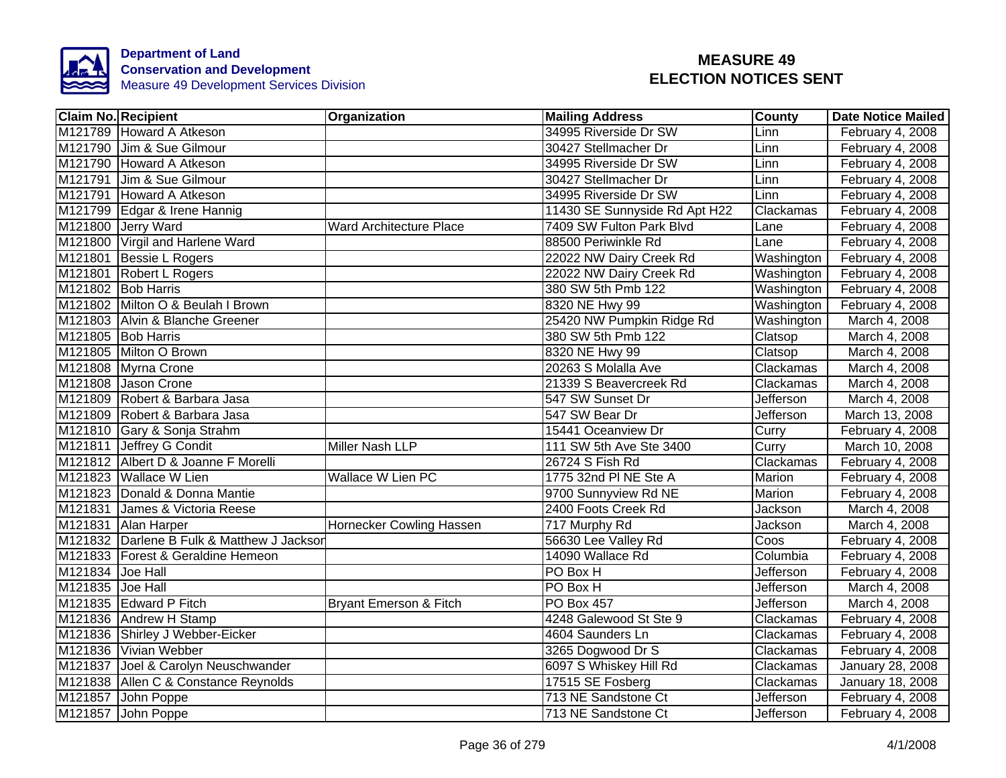

| <b>Claim No. Recipient</b>                 | <b>Organization</b>             | <b>Mailing Address</b>        | <b>County</b>     | Date Notice Mailed |
|--------------------------------------------|---------------------------------|-------------------------------|-------------------|--------------------|
| M121789 Howard A Atkeson                   |                                 | 34995 Riverside Dr SW         | Linn              | February 4, 2008   |
| M121790 Jim & Sue Gilmour                  |                                 | 30427 Stellmacher Dr          | Linn              | February 4, 2008   |
| M121790 Howard A Atkeson                   |                                 | 34995 Riverside Dr SW         | Linn              | February 4, 2008   |
| M121791 Jim & Sue Gilmour                  |                                 | 30427 Stellmacher Dr          | Linn              | February 4, 2008   |
| M121791 Howard A Atkeson                   |                                 | 34995 Riverside Dr SW         | Linn              | February 4, 2008   |
| M121799 Edgar & Irene Hannig               |                                 | 11430 SE Sunnyside Rd Apt H22 | Clackamas         | February 4, 2008   |
| M121800 Jerry Ward                         | Ward Architecture Place         | 7409 SW Fulton Park Blvd      | Lane              | February 4, 2008   |
| M121800 Virgil and Harlene Ward            |                                 | 88500 Periwinkle Rd           | Lane              | February 4, 2008   |
| M121801 Bessie L Rogers                    |                                 | 22022 NW Dairy Creek Rd       | Washington        | February 4, 2008   |
| M121801 Robert L Rogers                    |                                 | 22022 NW Dairy Creek Rd       | Washington        | February 4, 2008   |
| M121802 Bob Harris                         |                                 | 380 SW 5th Pmb 122            | Washington        | February 4, 2008   |
| M121802 Milton O & Beulah I Brown          |                                 | 8320 NE Hwy 99                | <b>Washington</b> | February 4, 2008   |
| M121803 Alvin & Blanche Greener            |                                 | 25420 NW Pumpkin Ridge Rd     | Washington        | March 4, 2008      |
| M121805 Bob Harris                         |                                 | 380 SW 5th Pmb 122            | Clatsop           | March 4, 2008      |
| M121805 Milton O Brown                     |                                 | 8320 NE Hwy 99                | Clatsop           | March 4, 2008      |
| M121808 Myrna Crone                        |                                 | 20263 S Molalla Ave           | Clackamas         | March 4, 2008      |
| M121808 Jason Crone                        |                                 | 21339 S Beavercreek Rd        | Clackamas         | March 4, 2008      |
| M121809 Robert & Barbara Jasa              |                                 | 547 SW Sunset Dr              | Jefferson         | March 4, 2008      |
| M121809 Robert & Barbara Jasa              |                                 | 547 SW Bear Dr                | <b>Jefferson</b>  | March 13, 2008     |
| M121810 Gary & Sonja Strahm                |                                 | 15441 Oceanview Dr            | Curry             | February 4, 2008   |
| M121811 Jeffrey G Condit                   | <b>Miller Nash LLP</b>          | 111 SW 5th Ave Ste 3400       | Curry             | March 10, 2008     |
| M121812 Albert D & Joanne F Morelli        |                                 | 26724 S Fish Rd               | Clackamas         | February 4, 2008   |
| M121823 Wallace W Lien                     | <b>Wallace W Lien PC</b>        | 1775 32nd PI NE Ste A         | <b>Marion</b>     | February 4, 2008   |
| M121823 Donald & Donna Mantie              |                                 | 9700 Sunnyview Rd NE          | Marion            | February 4, 2008   |
| M121831 James & Victoria Reese             |                                 | 2400 Foots Creek Rd           | Jackson           | March 4, 2008      |
| M121831 Alan Harper                        | <b>Hornecker Cowling Hassen</b> | 717 Murphy Rd                 | Jackson           | March 4, 2008      |
| M121832 Darlene B Fulk & Matthew J Jacksor |                                 | 56630 Lee Valley Rd           | Coos              | February 4, 2008   |
| M121833   Forest & Geraldine Hemeon        |                                 | 14090 Wallace Rd              | Columbia          | February 4, 2008   |
| M121834 Joe Hall                           |                                 | PO Box H                      | Jefferson         | February 4, 2008   |
| M121835 Joe Hall                           |                                 | PO Box H                      | Jefferson         | March 4, 2008      |
| M121835 Edward P Fitch                     | Bryant Emerson & Fitch          | PO Box 457                    | Jefferson         | March 4, 2008      |
| M121836 Andrew H Stamp                     |                                 | 4248 Galewood St Ste 9        | Clackamas         | February 4, 2008   |
| M121836 Shirley J Webber-Eicker            |                                 | 4604 Saunders Ln              | Clackamas         | February 4, 2008   |
| M121836 Vivian Webber                      |                                 | 3265 Dogwood Dr S             | Clackamas         | February 4, 2008   |
| M121837 Joel & Carolyn Neuschwander        |                                 | 6097 S Whiskey Hill Rd        | Clackamas         | January 28, 2008   |
| M121838 Allen C & Constance Reynolds       |                                 | 17515 SE Fosberg              | Clackamas         | January 18, 2008   |
| M121857 John Poppe                         |                                 | 713 NE Sandstone Ct           | Jefferson         | February 4, 2008   |
| M121857 John Poppe                         |                                 | 713 NE Sandstone Ct           | Jefferson         | February 4, 2008   |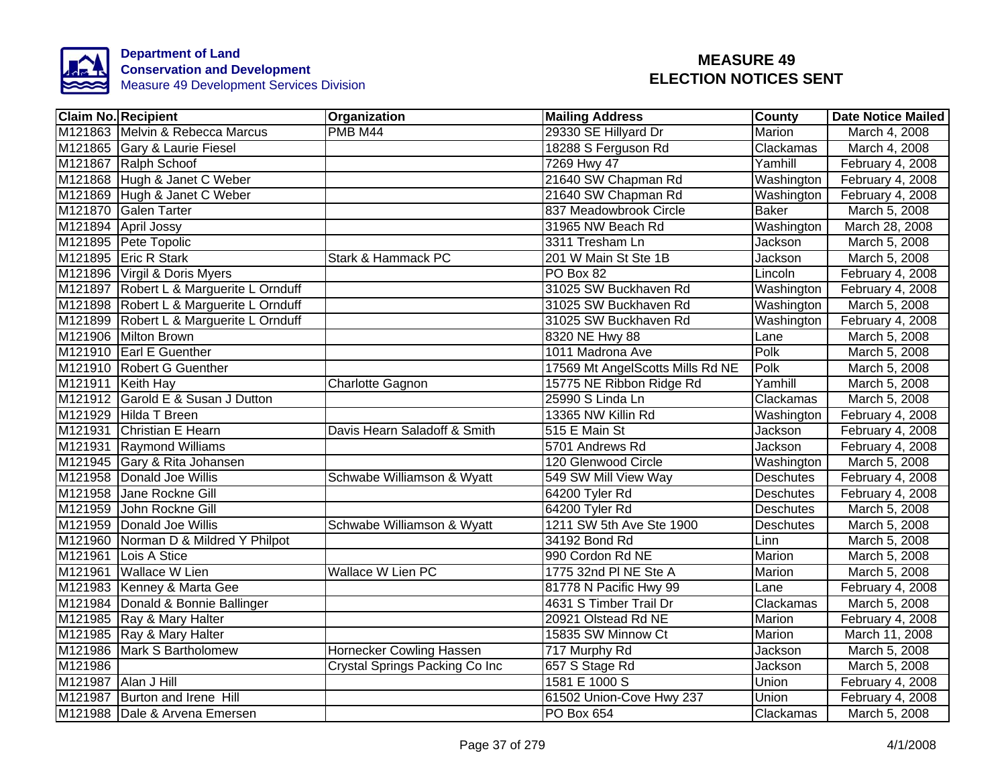

|         | <b>Claim No. Recipient</b>              | Organization                   | <b>Mailing Address</b>           | <b>County</b>              | <b>Date Notice Mailed</b> |
|---------|-----------------------------------------|--------------------------------|----------------------------------|----------------------------|---------------------------|
|         | M121863 Melvin & Rebecca Marcus         | $\overline{\mathsf{PMB}}$ M44  | 29330 SE Hillyard Dr             | Marion                     | March 4, 2008             |
|         | M121865 Gary & Laurie Fiesel            |                                | 18288 S Ferguson Rd              | Clackamas                  | March 4, 2008             |
|         | M121867 Ralph Schoof                    |                                | 7269 Hwy 47                      | Yamhill                    | February 4, 2008          |
|         | M121868 Hugh & Janet C Weber            |                                | 21640 SW Chapman Rd              | Washington                 | February 4, 2008          |
|         | M121869 Hugh & Janet C Weber            |                                | 21640 SW Chapman Rd              | Washington                 | February 4, 2008          |
|         | M121870 Galen Tarter                    |                                | 837 Meadowbrook Circle           | <b>Baker</b>               | March 5, 2008             |
|         | M121894 April Jossy                     |                                | 31965 NW Beach Rd                | Washington                 | March 28, 2008            |
|         | M121895 Pete Topolic                    |                                | 3311 Tresham Ln                  | Jackson                    | March 5, 2008             |
|         | M121895 Eric R Stark                    | Stark & Hammack PC             | 201 W Main St Ste 1B             | Jackson                    | March 5, 2008             |
|         | M121896 Virgil & Doris Myers            |                                | PO Box 82                        | Lincoln                    | February 4, 2008          |
|         | M121897 Robert L & Marguerite L Ornduff |                                | 31025 SW Buckhaven Rd            | Washington                 | February 4, 2008          |
|         | M121898 Robert L & Marguerite L Ornduff |                                | 31025 SW Buckhaven Rd            | Washington                 | March 5, 2008             |
|         | M121899 Robert L & Marguerite L Ornduff |                                | 31025 SW Buckhaven Rd            | Washington                 | February 4, 2008          |
|         | M121906 Milton Brown                    |                                | 8320 NE Hwy 88                   | Lane                       | March 5, 2008             |
|         | M121910 Earl E Guenther                 |                                | 1011 Madrona Ave                 | Polk                       | March 5, 2008             |
|         | M121910 Robert G Guenther               |                                | 17569 Mt AngelScotts Mills Rd NE | Polk                       | March 5, 2008             |
|         | M121911 Keith Hay                       | Charlotte Gagnon               | 15775 NE Ribbon Ridge Rd         | Yamhill                    | March 5, 2008             |
|         | M121912 Garold E & Susan J Dutton       |                                | 25990 S Linda Ln                 | Clackamas                  | March 5, 2008             |
|         | M121929 Hilda T Breen                   |                                | 13365 NW Killin Rd               | Washington                 | February 4, 2008          |
|         | M121931 Christian E Hearn               | Davis Hearn Saladoff & Smith   | 515 E Main St                    | Jackson                    | February 4, 2008          |
|         | M121931 Raymond Williams                |                                | 5701 Andrews Rd                  | Jackson                    | February 4, 2008          |
|         | M121945 Gary & Rita Johansen            |                                | 120 Glenwood Circle              | Washington                 | March 5, 2008             |
|         | M121958 Donald Joe Willis               | Schwabe Williamson & Wyatt     | 549 SW Mill View Way             | Deschutes                  | February 4, 2008          |
|         | M121958 Jane Rockne Gill                |                                | 64200 Tyler Rd                   | <b>Deschutes</b>           | February 4, 2008          |
|         | M121959 John Rockne Gill                |                                | 64200 Tyler Rd                   | <b>Deschutes</b>           | March 5, 2008             |
|         | M121959 Donald Joe Willis               | Schwabe Williamson & Wyatt     | 1211 SW 5th Ave Ste 1900         | <b>Deschutes</b>           | March 5, 2008             |
|         | M121960 Norman D & Mildred Y Philpot    |                                | 34192 Bond Rd                    | $\overline{\mathsf{Linn}}$ | March 5, 2008             |
|         | M121961 Lois A Stice                    |                                | 990 Cordon Rd NE                 | Marion                     | March 5, 2008             |
| M121961 | <b>Wallace W Lien</b>                   | <b>Wallace W Lien PC</b>       | 1775 32nd PI NE Ste A            | Marion                     | March 5, 2008             |
|         | M121983 Kenney & Marta Gee              |                                | 81778 N Pacific Hwy 99           | Lane                       | February 4, 2008          |
|         | M121984 Donald & Bonnie Ballinger       |                                | 4631 S Timber Trail Dr           | Clackamas                  | March 5, 2008             |
|         | M121985 Ray & Mary Halter               |                                | 20921 Olstead Rd NE              | Marion                     | February 4, 2008          |
|         | M121985 Ray & Mary Halter               |                                | 15835 SW Minnow Ct               | Marion                     | March 11, 2008            |
|         | M121986 Mark S Bartholomew              | Hornecker Cowling Hassen       | 717 Murphy Rd                    | Jackson                    | March 5, 2008             |
| M121986 |                                         | Crystal Springs Packing Co Inc | 657 S Stage Rd                   | Jackson                    | March 5, 2008             |
| M121987 | Alan J Hill                             |                                | 1581 E 1000 S                    | Union                      | February 4, 2008          |
|         | M121987 Burton and Irene Hill           |                                | 61502 Union-Cove Hwy 237         | Union                      | February 4, 2008          |
|         | M121988 Dale & Arvena Emersen           |                                | PO Box 654                       | Clackamas                  | March 5, 2008             |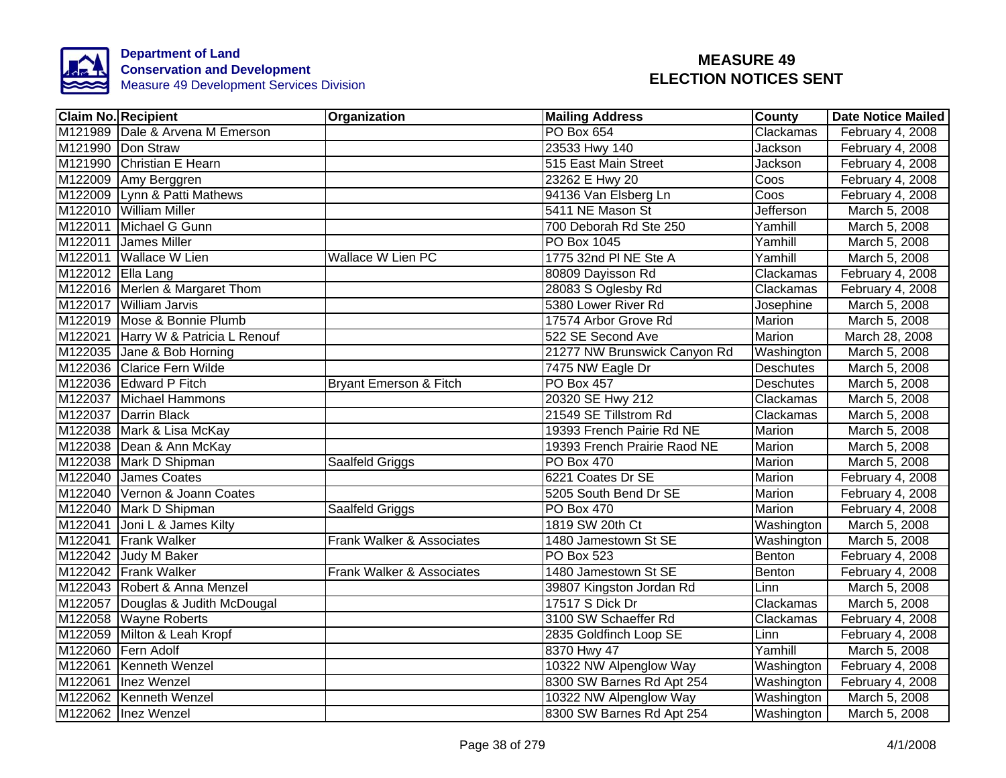

| <b>Claim No. Recipient</b>          | Organization                      | <b>Mailing Address</b>       | <b>County</b>    | <b>Date Notice Mailed</b> |
|-------------------------------------|-----------------------------------|------------------------------|------------------|---------------------------|
| M121989 Dale & Arvena M Emerson     |                                   | <b>PO Box 654</b>            | Clackamas        | February 4, 2008          |
| M121990 Don Straw                   |                                   | 23533 Hwy 140                | Jackson          | February 4, 2008          |
| M121990 Christian E Hearn           |                                   | 515 East Main Street         | Jackson          | February 4, 2008          |
| M122009 Amy Berggren                |                                   | 23262 E Hwy 20               | Coos             | February 4, 2008          |
| M122009 Lynn & Patti Mathews        |                                   | 94136 Van Elsberg Ln         | Coos             | February 4, 2008          |
| M122010 William Miller              |                                   | 5411 NE Mason St             | <b>Jefferson</b> | March 5, 2008             |
| M122011 Michael G Gunn              |                                   | 700 Deborah Rd Ste 250       | Yamhill          | March 5, 2008             |
| M122011 James Miller                |                                   | PO Box 1045                  | Yamhill          | March 5, 2008             |
| M122011 Wallace W Lien              | <b>Wallace W Lien PC</b>          | 1775 32nd PI NE Ste A        | Yamhill          | March 5, 2008             |
| M122012 Ella Lang                   |                                   | 80809 Dayisson Rd            | Clackamas        | February 4, 2008          |
| M122016 Merlen & Margaret Thom      |                                   | 28083 S Oglesby Rd           | Clackamas        | February 4, 2008          |
| M122017 William Jarvis              |                                   | 5380 Lower River Rd          | Josephine        | March 5, 2008             |
| M122019 Mose & Bonnie Plumb         |                                   | 17574 Arbor Grove Rd         | Marion           | March 5, 2008             |
| M122021 Harry W & Patricia L Renouf |                                   | 522 SE Second Ave            | Marion           | March 28, 2008            |
| M122035 Jane & Bob Horning          |                                   | 21277 NW Brunswick Canyon Rd | Washington       | March 5, 2008             |
| M122036 Clarice Fern Wilde          |                                   | 7475 NW Eagle Dr             | <b>Deschutes</b> | March 5, 2008             |
| M122036 Edward P Fitch              | <b>Bryant Emerson &amp; Fitch</b> | <b>PO Box 457</b>            | Deschutes        | March 5, 2008             |
| M122037 Michael Hammons             |                                   | 20320 SE Hwy 212             | Clackamas        | March 5, 2008             |
| M122037 Darrin Black                |                                   | 21549 SE Tillstrom Rd        | Clackamas        | March 5, 2008             |
| M122038 Mark & Lisa McKay           |                                   | 19393 French Pairie Rd NE    | <b>Marion</b>    | March 5, 2008             |
| M122038 Dean & Ann McKay            |                                   | 19393 French Prairie Raod NE | Marion           | March 5, 2008             |
| M122038 Mark D Shipman              | Saalfeld Griggs                   | <b>PO Box 470</b>            | Marion           | March 5, 2008             |
| M122040 James Coates                |                                   | 6221 Coates Dr SE            | <b>Marion</b>    | February 4, 2008          |
| M122040 Vernon & Joann Coates       |                                   | 5205 South Bend Dr SE        | <b>Marion</b>    | February $4,2008$         |
| M122040 Mark D Shipman              | Saalfeld Griggs                   | <b>PO Box 470</b>            | <b>Marion</b>    | February 4, 2008          |
| M122041 Joni L & James Kilty        |                                   | 1819 SW 20th Ct              | Washington       | March 5, 2008             |
| M122041 Frank Walker                | Frank Walker & Associates         | 1480 Jamestown St SE         | Washington       | March 5, 2008             |
| M122042 Judy M Baker                |                                   | PO Box 523                   | Benton           | February 4, 2008          |
| M122042 Frank Walker                | Frank Walker & Associates         | 1480 Jamestown St SE         | Benton           | February 4, 2008          |
| M122043 Robert & Anna Menzel        |                                   | 39807 Kingston Jordan Rd     | Linn             | March 5, 2008             |
| M122057 Douglas & Judith McDougal   |                                   | 17517 S Dick Dr              | Clackamas        | March 5, 2008             |
| M122058 Wayne Roberts               |                                   | 3100 SW Schaeffer Rd         | Clackamas        | February 4, 2008          |
| M122059 Milton & Leah Kropf         |                                   | 2835 Goldfinch Loop SE       | Linn             | February 4, 2008          |
| M122060 Fern Adolf                  |                                   | 8370 Hwy 47                  | Yamhill          | March 5, 2008             |
| M122061 Kenneth Wenzel              |                                   | 10322 NW Alpenglow Way       | Washington       | February 4, 2008          |
| M122061 Inez Wenzel                 |                                   | 8300 SW Barnes Rd Apt 254    | Washington       | February 4, 2008          |
| M122062 Kenneth Wenzel              |                                   | 10322 NW Alpenglow Way       | Washington       | March 5, 2008             |
| M122062 Inez Wenzel                 |                                   | 8300 SW Barnes Rd Apt 254    | Washington       | March 5, 2008             |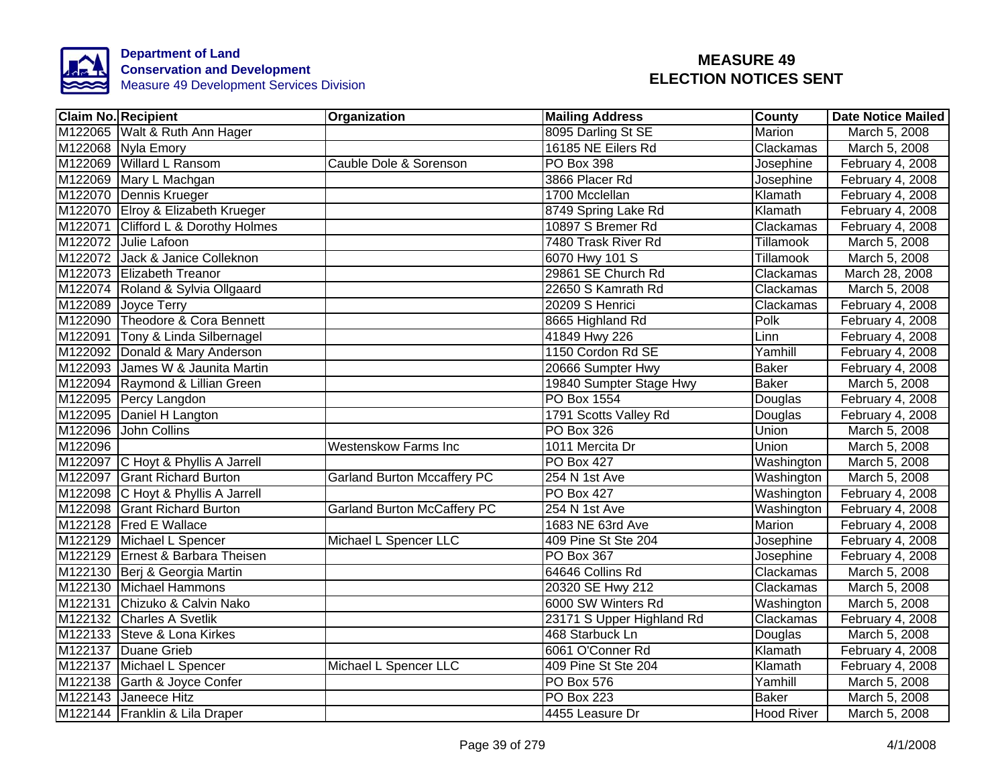

|         | <b>Claim No. Recipient</b>          | Organization                       | <b>Mailing Address</b>    | County            | <b>Date Notice Mailed</b> |
|---------|-------------------------------------|------------------------------------|---------------------------|-------------------|---------------------------|
|         | M122065 Walt & Ruth Ann Hager       |                                    | 8095 Darling St SE        | Marion            | March 5, 2008             |
|         | M122068 Nyla Emory                  |                                    | 16185 NE Eilers Rd        | Clackamas         | March 5, 2008             |
|         | M122069 Willard L Ransom            | Cauble Dole & Sorenson             | PO Box 398                | Josephine         | February 4, 2008          |
|         | M122069 Mary L Machgan              |                                    | 3866 Placer Rd            | Josephine         | February 4, 2008          |
|         | M122070 Dennis Krueger              |                                    | 1700 Mcclellan            | Klamath           | February 4, 2008          |
|         | M122070 Elroy & Elizabeth Krueger   |                                    | 8749 Spring Lake Rd       | Klamath           | February 4, 2008          |
|         | M122071 Clifford L & Dorothy Holmes |                                    | 10897 S Bremer Rd         | Clackamas         | February 4, 2008          |
|         | M122072 Julie Lafoon                |                                    | 7480 Trask River Rd       | Tillamook         | March 5, 2008             |
|         | M122072 Jack & Janice Colleknon     |                                    | 6070 Hwy 101 S            | Tillamook         | March 5, 2008             |
|         | M122073 Elizabeth Treanor           |                                    | 29861 SE Church Rd        | Clackamas         | March 28, 2008            |
|         | M122074 Roland & Sylvia Ollgaard    |                                    | 22650 S Kamrath Rd        | Clackamas         | March 5, 2008             |
|         | M122089 Joyce Terry                 |                                    | 20209 S Henrici           | Clackamas         | February 4, 2008          |
|         | M122090 Theodore & Cora Bennett     |                                    | 8665 Highland Rd          | Polk              | February 4, 2008          |
|         | M122091 Tony & Linda Silbernagel    |                                    | 41849 Hwy 226             | Linn              | February 4, 2008          |
|         | M122092 Donald & Mary Anderson      |                                    | 1150 Cordon Rd SE         | Yamhill           | February 4, 2008          |
|         | M122093 James W & Jaunita Martin    |                                    | 20666 Sumpter Hwy         | <b>Baker</b>      | February 4, 2008          |
|         | M122094 Raymond & Lillian Green     |                                    | 19840 Sumpter Stage Hwy   | <b>Baker</b>      | March 5, 2008             |
|         | M122095 Percy Langdon               |                                    | <b>PO Box 1554</b>        | Douglas           | February 4, 2008          |
|         | M122095 Daniel H Langton            |                                    | 1791 Scotts Valley Rd     | Douglas           | February 4, 2008          |
|         | M122096 John Collins                |                                    | <b>PO Box 326</b>         | Union             | March 5, 2008             |
| M122096 |                                     | <b>Westenskow Farms Inc</b>        | 1011 Mercita Dr           | Union             | March 5, 2008             |
|         | M122097 C Hoyt & Phyllis A Jarrell  |                                    | <b>PO Box 427</b>         | Washington        | March 5, 2008             |
|         | M122097 Grant Richard Burton        | <b>Garland Burton Mccaffery PC</b> | 254 N 1st Ave             | Washington        | March 5, 2008             |
|         | M122098 C Hoyt & Phyllis A Jarrell  |                                    | <b>PO Box 427</b>         | Washington        | February 4, 2008          |
|         | M122098 Grant Richard Burton        | <b>Garland Burton McCaffery PC</b> | 254 N 1st Ave             | Washington        | February 4, 2008          |
|         | M122128 Fred E Wallace              |                                    | 1683 NE 63rd Ave          | Marion            | February 4, 2008          |
|         | M122129 Michael L Spencer           | Michael L Spencer LLC              | 409 Pine St Ste 204       | Josephine         | February 4, 2008          |
|         | M122129 Ernest & Barbara Theisen    |                                    | PO Box 367                | Josephine         | February 4, 2008          |
|         | M122130 Berj & Georgia Martin       |                                    | 64646 Collins Rd          | Clackamas         | March 5, 2008             |
|         | M122130 Michael Hammons             |                                    | 20320 SE Hwy 212          | Clackamas         | March 5, 2008             |
|         | M122131 Chizuko & Calvin Nako       |                                    | 6000 SW Winters Rd        | Washington        | March 5, 2008             |
|         | M122132 Charles A Svetlik           |                                    | 23171 S Upper Highland Rd | Clackamas         | February 4, 2008          |
|         | M122133 Steve & Lona Kirkes         |                                    | 468 Starbuck Ln           | Douglas           | March 5, 2008             |
|         | M122137 Duane Grieb                 |                                    | 6061 O'Conner Rd          | Klamath           | February 4, 2008          |
|         | M122137 Michael L Spencer           | Michael L Spencer LLC              | 409 Pine St Ste 204       | Klamath           | February 4, 2008          |
|         | M122138 Garth & Joyce Confer        |                                    | PO Box 576                | Yamhill           | March 5, 2008             |
|         | M122143 Janeece Hitz                |                                    | <b>PO Box 223</b>         | <b>Baker</b>      | March 5, 2008             |
|         | M122144 Franklin & Lila Draper      |                                    | 4455 Leasure Dr           | <b>Hood River</b> | March 5, 2008             |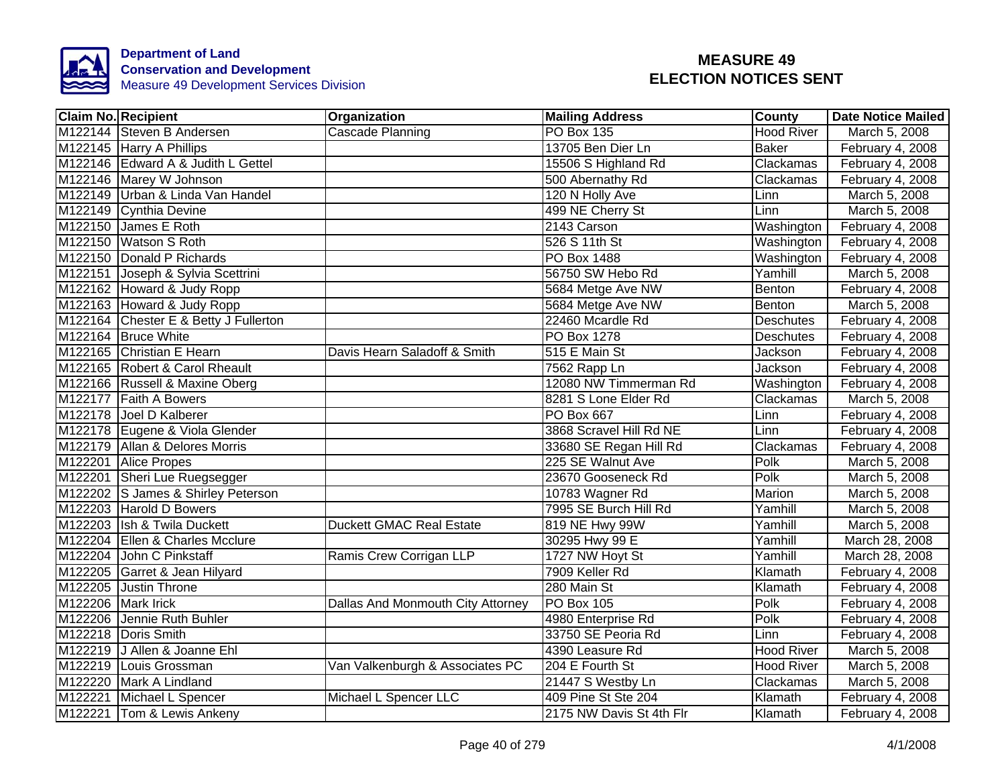

|                    | <b>Claim No. Recipient</b>            | Organization                      | <b>Mailing Address</b>   | <b>County</b>     | <b>Date Notice Mailed</b> |
|--------------------|---------------------------------------|-----------------------------------|--------------------------|-------------------|---------------------------|
|                    | M122144 Steven B Andersen             | Cascade Planning                  | <b>PO Box 135</b>        | <b>Hood River</b> | March 5, 2008             |
|                    | M122145 Harry A Phillips              |                                   | 13705 Ben Dier Ln        | <b>Baker</b>      | February 4, 2008          |
|                    | M122146 Edward A & Judith L Gettel    |                                   | 15506 S Highland Rd      | Clackamas         | February 4, 2008          |
|                    | M122146 Marey W Johnson               |                                   | 500 Abernathy Rd         | Clackamas         | February 4, 2008          |
|                    | M122149 Urban & Linda Van Handel      |                                   | 120 N Holly Ave          | Linn              | March 5, 2008             |
|                    | M122149 Cynthia Devine                |                                   | 499 NE Cherry St         | Linn              | March 5, 2008             |
|                    | M122150 James E Roth                  |                                   | 2143 Carson              | Washington        | February 4, 2008          |
|                    | M122150 Watson S Roth                 |                                   | 526 S 11th St            | Washington        | February 4, 2008          |
|                    | M122150 Donald P Richards             |                                   | PO Box 1488              | Washington        | February 4, 2008          |
|                    | M122151 Joseph & Sylvia Scettrini     |                                   | 56750 SW Hebo Rd         | Yamhill           | March 5, 2008             |
|                    | M122162 Howard & Judy Ropp            |                                   | 5684 Metge Ave NW        | Benton            | February 4, 2008          |
|                    | M122163 Howard & Judy Ropp            |                                   | 5684 Metge Ave NW        | Benton            | March 5, 2008             |
|                    | M122164 Chester E & Betty J Fullerton |                                   | 22460 Mcardle Rd         | <b>Deschutes</b>  | February 4, 2008          |
|                    | M122164 Bruce White                   |                                   | PO Box 1278              | Deschutes         | February 4, 2008          |
|                    | M122165 Christian E Hearn             | Davis Hearn Saladoff & Smith      | 515 E Main St            | Jackson           | February 4, 2008          |
|                    | M122165 Robert & Carol Rheault        |                                   | 7562 Rapp Ln             | Jackson           | February 4, 2008          |
|                    | M122166 Russell & Maxine Oberg        |                                   | 12080 NW Timmerman Rd    | Washington        | February 4, 2008          |
|                    | M122177 Faith A Bowers                |                                   | 8281 S Lone Elder Rd     | Clackamas         | March 5, 2008             |
|                    | M122178 Joel D Kalberer               |                                   | PO Box 667               | Linn              | February 4, 2008          |
|                    | M122178 Eugene & Viola Glender        |                                   | 3868 Scravel Hill Rd NE  | Linn              | February 4, 2008          |
|                    | M122179 Allan & Delores Morris        |                                   | 33680 SE Regan Hill Rd   | Clackamas         | February 4, 2008          |
|                    | M122201 Alice Propes                  |                                   | 225 SE Walnut Ave        | Polk              | March 5, 2008             |
|                    | M122201 Sheri Lue Ruegsegger          |                                   | 23670 Gooseneck Rd       | Polk              | March 5, 2008             |
|                    | M122202 S James & Shirley Peterson    |                                   | 10783 Wagner Rd          | Marion            | March 5, 2008             |
|                    | M122203 Harold D Bowers               |                                   | 7995 SE Burch Hill Rd    | Yamhill           | March 5, 2008             |
|                    | M122203 Ish & Twila Duckett           | <b>Duckett GMAC Real Estate</b>   | 819 NE Hwy 99W           | Yamhill           | March 5, 2008             |
|                    | M122204 Ellen & Charles Mcclure       |                                   | 30295 Hwy 99 E           | Yamhill           | March 28, 2008            |
|                    | M122204 John C Pinkstaff              | Ramis Crew Corrigan LLP           | 1727 NW Hoyt St          | Yamhill           | March 28, 2008            |
|                    | M122205 Garret & Jean Hilyard         |                                   | 7909 Keller Rd           | Klamath           | February 4, 2008          |
|                    | M122205 Justin Throne                 |                                   | 280 Main St              | Klamath           | February 4, 2008          |
| M122206 Mark Irick |                                       | Dallas And Monmouth City Attorney | PO Box 105               | Polk              | February 4, 2008          |
| M122206            | Jennie Ruth Buhler                    |                                   | 4980 Enterprise Rd       | Polk              | February 4, 2008          |
|                    | M122218 Doris Smith                   |                                   | 33750 SE Peoria Rd       | Linn              | February 4, 2008          |
|                    | M122219 J Allen & Joanne Ehl          |                                   | 4390 Leasure Rd          | <b>Hood River</b> | March 5, 2008             |
|                    | M122219 Louis Grossman                | Van Valkenburgh & Associates PC   | 204 E Fourth St          | <b>Hood River</b> | March 5, 2008             |
|                    | M122220 Mark A Lindland               |                                   | 21447 S Westby Ln        | Clackamas         | March 5, 2008             |
|                    | M122221 Michael L Spencer             | Michael L Spencer LLC             | 409 Pine St Ste 204      | Klamath           | February 4, 2008          |
|                    | M122221 Tom & Lewis Ankeny            |                                   | 2175 NW Davis St 4th Flr | Klamath           | February 4, 2008          |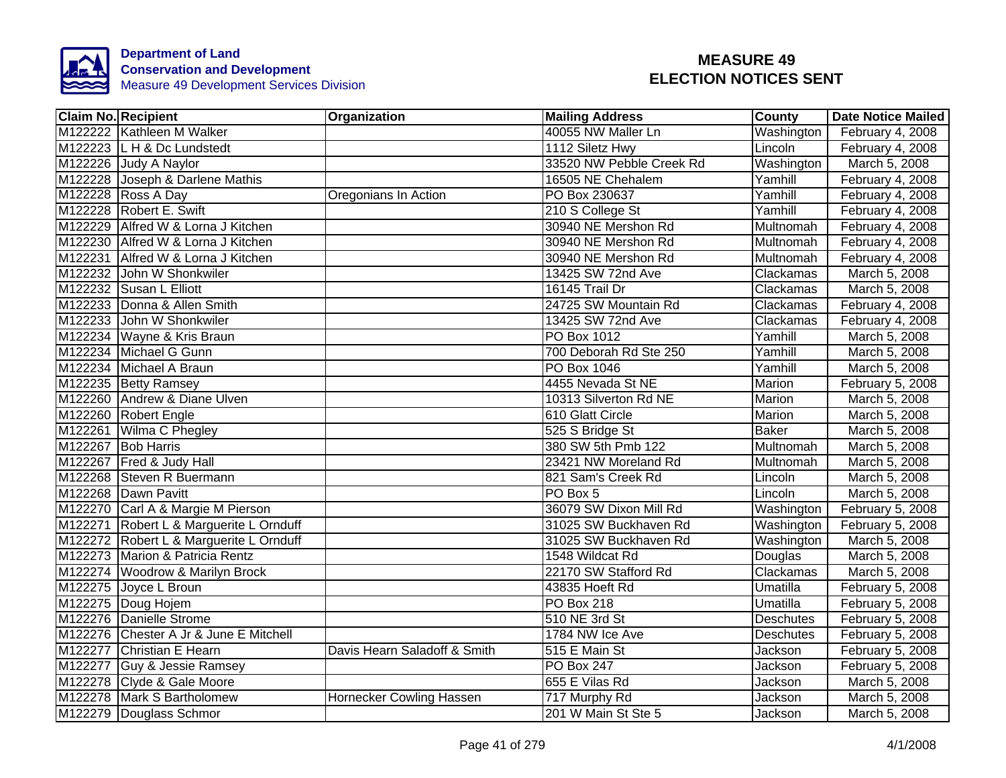

| <b>Claim No. Recipient</b>              | Organization                 | <b>Mailing Address</b>   | County           | <b>Date Notice Mailed</b> |
|-----------------------------------------|------------------------------|--------------------------|------------------|---------------------------|
| M122222 Kathleen M Walker               |                              | 40055 NW Maller Ln       | Washington       | February 4, 2008          |
| M122223 L H & Dc Lundstedt              |                              | 1112 Siletz Hwy          | Lincoln          | February 4, 2008          |
| M122226 Judy A Naylor                   |                              | 33520 NW Pebble Creek Rd | Washington       | March 5, 2008             |
| M122228 Joseph & Darlene Mathis         |                              | 16505 NE Chehalem        | Yamhill          | February 4, 2008          |
| M122228 Ross A Day                      | Oregonians In Action         | PO Box 230637            | Yamhill          | February 4, 2008          |
| M122228 Robert E. Swift                 |                              | 210 S College St         | Yamhill          | February 4, 2008          |
| M122229 Alfred W & Lorna J Kitchen      |                              | 30940 NE Mershon Rd      | Multnomah        | February 4, 2008          |
| M122230 Alfred W & Lorna J Kitchen      |                              | 30940 NE Mershon Rd      | Multnomah        | February 4, 2008          |
| M122231 Alfred W & Lorna J Kitchen      |                              | 30940 NE Mershon Rd      | Multnomah        | February 4, 2008          |
| M122232 John W Shonkwiler               |                              | 13425 SW 72nd Ave        | Clackamas        | March 5, 2008             |
| M122232 Susan L Elliott                 |                              | 16145 Trail Dr           | Clackamas        | March 5, 2008             |
| M122233 Donna & Allen Smith             |                              | 24725 SW Mountain Rd     | Clackamas        | February 4, 2008          |
| M122233 John W Shonkwiler               |                              | 13425 SW 72nd Ave        | Clackamas        | February 4, 2008          |
| M122234 Wayne & Kris Braun              |                              | PO Box 1012              | Yamhill          | March 5, 2008             |
| M122234 Michael G Gunn                  |                              | 700 Deborah Rd Ste 250   | Yamhill          | March 5, 2008             |
| M122234 Michael A Braun                 |                              | <b>PO Box 1046</b>       | Yamhill          | March 5, 2008             |
| M122235 Betty Ramsey                    |                              | 4455 Nevada St NE        | <b>Marion</b>    | February 5, 2008          |
| M122260 Andrew & Diane Ulven            |                              | 10313 Silverton Rd NE    | Marion           | March 5, 2008             |
| M122260 Robert Engle                    |                              | 610 Glatt Circle         | Marion           | March 5, 2008             |
| M122261 Wilma C Phegley                 |                              | 525 S Bridge St          | <b>Baker</b>     | March 5, 2008             |
| M122267 Bob Harris                      |                              | 380 SW 5th Pmb 122       | Multnomah        | March 5, 2008             |
| M122267 Fred & Judy Hall                |                              | 23421 NW Moreland Rd     | Multnomah        | March 5, 2008             |
| M122268 Steven R Buermann               |                              | 821 Sam's Creek Rd       | Lincoln          | March 5, 2008             |
| M122268 Dawn Pavitt                     |                              | PO Box 5                 | Lincoln          | March 5, 2008             |
| M122270 Carl A & Margie M Pierson       |                              | 36079 SW Dixon Mill Rd   | Washington       | February 5, 2008          |
| M122271 Robert L & Marguerite L Ornduff |                              | 31025 SW Buckhaven Rd    | Washington       | February 5, 2008          |
| M122272 Robert L & Marguerite L Ornduff |                              | 31025 SW Buckhaven Rd    | Washington       | March 5, 2008             |
| M122273 Marion & Patricia Rentz         |                              | 1548 Wildcat Rd          | Douglas          | March 5, 2008             |
| M122274 Woodrow & Marilyn Brock         |                              | 22170 SW Stafford Rd     | Clackamas        | March 5, 2008             |
| M122275 Joyce L Broun                   |                              | 43835 Hoeft Rd           | Umatilla         | February 5, 2008          |
| M122275 Doug Hojem                      |                              | PO Box 218               | Umatilla         | February 5, 2008          |
| M122276 Danielle Strome                 |                              | 510 NE 3rd St            | <b>Deschutes</b> | February 5, 2008          |
| M122276 Chester A Jr & June E Mitchell  |                              | 1784 NW Ice Ave          | <b>Deschutes</b> | February 5, 2008          |
| M122277<br>Christian E Hearn            | Davis Hearn Saladoff & Smith | 515 E Main St            | Jackson          | February 5, 2008          |
| M122277 Guy & Jessie Ramsey             |                              | PO Box 247               | Jackson          | February 5, 2008          |
| M122278 Clyde & Gale Moore              |                              | 655 E Vilas Rd           | Jackson          | March 5, 2008             |
| M122278 Mark S Bartholomew              | Hornecker Cowling Hassen     | 717 Murphy Rd            | Jackson          | March 5, 2008             |
| M122279 Douglass Schmor                 |                              | 201 W Main St Ste 5      | Jackson          | March 5, 2008             |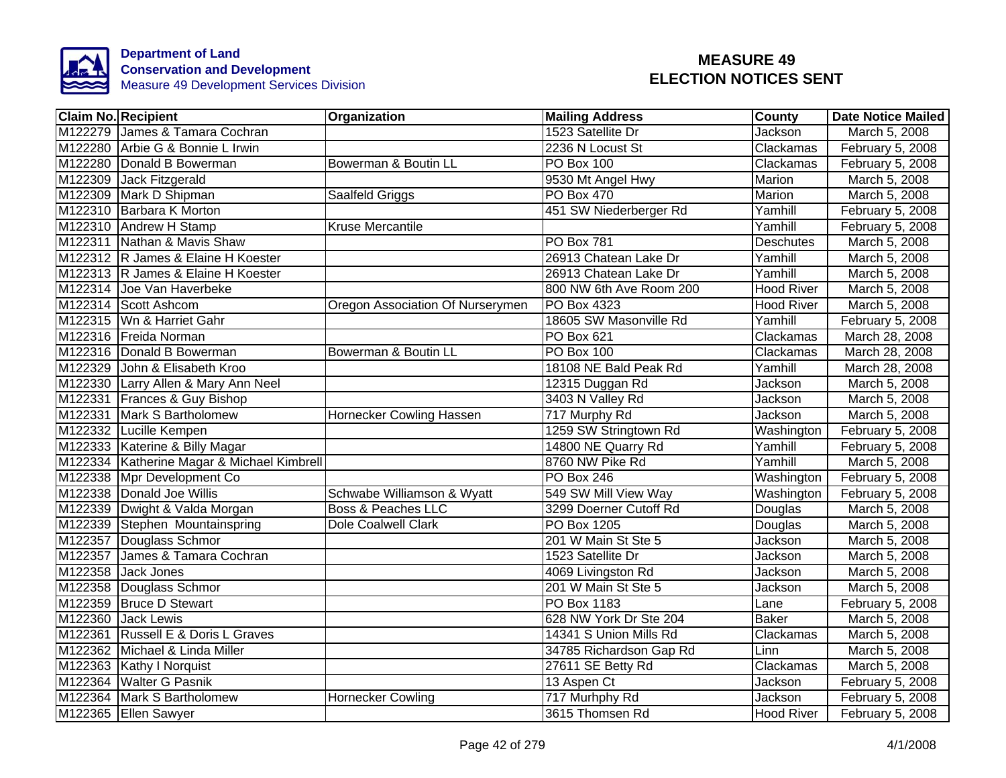

| <b>Claim No. Recipient</b>                 | Organization                     | <b>Mailing Address</b>  | <b>County</b>     | <b>Date Notice Mailed</b> |
|--------------------------------------------|----------------------------------|-------------------------|-------------------|---------------------------|
| M122279 James & Tamara Cochran             |                                  | 1523 Satellite Dr       | <b>Jackson</b>    | March 5, 2008             |
| M122280 Arbie G & Bonnie L Irwin           |                                  | 2236 N Locust St        | Clackamas         | February 5, 2008          |
| M122280 Donald B Bowerman                  | Bowerman & Boutin LL             | PO Box 100              | Clackamas         | February 5, 2008          |
| M122309 Jack Fitzgerald                    |                                  | 9530 Mt Angel Hwy       | Marion            | March 5, 2008             |
| M122309 Mark D Shipman                     | Saalfeld Griggs                  | PO Box 470              | Marion            | March 5, 2008             |
| M122310 Barbara K Morton                   |                                  | 451 SW Niederberger Rd  | Yamhill           | February 5, 2008          |
| M122310 Andrew H Stamp                     | Kruse Mercantile                 |                         | Yamhill           | February 5, 2008          |
| M122311 Nathan & Mavis Shaw                |                                  | <b>PO Box 781</b>       | Deschutes         | March 5, 2008             |
| M122312 R James & Elaine H Koester         |                                  | 26913 Chatean Lake Dr   | Yamhill           | March 5, 2008             |
| M122313 R James & Elaine H Koester         |                                  | 26913 Chatean Lake Dr   | Yamhill           | March 5, 2008             |
| M122314 Joe Van Haverbeke                  |                                  | 800 NW 6th Ave Room 200 | Hood River        | March 5, 2008             |
| M122314 Scott Ashcom                       | Oregon Association Of Nurserymen | PO Box 4323             | Hood River        | March 5, 2008             |
| M122315 Wn & Harriet Gahr                  |                                  | 18605 SW Masonville Rd  | Yamhill           | February 5, 2008          |
| M122316 Freida Norman                      |                                  | PO Box 621              | Clackamas         | March 28, 2008            |
| M122316 Donald B Bowerman                  | Bowerman & Boutin LL             | PO Box 100              | Clackamas         | March 28, 2008            |
| M122329 John & Elisabeth Kroo              |                                  | 18108 NE Bald Peak Rd   | Yamhill           | March 28, 2008            |
| M122330 Larry Allen & Mary Ann Neel        |                                  | 12315 Duggan Rd         | <b>Jackson</b>    | March 5, 2008             |
| M122331 Frances & Guy Bishop               |                                  | 3403 N Valley Rd        | Jackson           | March 5, 2008             |
| M122331 Mark S Bartholomew                 | Hornecker Cowling Hassen         | 717 Murphy Rd           | <b>Jackson</b>    | March 5, 2008             |
| M122332 Lucille Kempen                     |                                  | 1259 SW Stringtown Rd   | Washington        | February 5, 2008          |
| M122333 Katerine & Billy Magar             |                                  | 14800 NE Quarry Rd      | Yamhill           | February 5, 2008          |
| M122334 Katherine Magar & Michael Kimbrell |                                  | 8760 NW Pike Rd         | Yamhill           | March 5, 2008             |
| M122338 Mpr Development Co                 |                                  | <b>PO Box 246</b>       | Washington        | February 5, 2008          |
| M122338 Donald Joe Willis                  | Schwabe Williamson & Wyatt       | 549 SW Mill View Way    | Washington        | February 5, 2008          |
| M122339 Dwight & Valda Morgan              | <b>Boss &amp; Peaches LLC</b>    | 3299 Doerner Cutoff Rd  | Douglas           | March 5, 2008             |
| M122339 Stephen Mountainspring             | <b>Dole Coalwell Clark</b>       | PO Box 1205             | Douglas           | March 5, 2008             |
| M122357 Douglass Schmor                    |                                  | 201 W Main St Ste 5     | Jackson           | March 5, 2008             |
| M122357 James & Tamara Cochran             |                                  | 1523 Satellite Dr       | Jackson           | March 5, 2008             |
| M122358 Jack Jones                         |                                  | 4069 Livingston Rd      | Jackson           | March 5, 2008             |
| M122358 Douglass Schmor                    |                                  | 201 W Main St Ste 5     | Jackson           | March 5, 2008             |
| M122359 Bruce D Stewart                    |                                  | PO Box 1183             | Lane              | February 5, 2008          |
| M122360 Jack Lewis                         |                                  | 628 NW York Dr Ste 204  | <b>Baker</b>      | March 5, 2008             |
| M122361 Russell E & Doris L Graves         |                                  | 14341 S Union Mills Rd  | Clackamas         | March 5, 2008             |
| M122362 Michael & Linda Miller             |                                  | 34785 Richardson Gap Rd | Linn              | March 5, 2008             |
| M122363 Kathy I Norquist                   |                                  | 27611 SE Betty Rd       | Clackamas         | March 5, 2008             |
| M122364 Walter G Pasnik                    |                                  | 13 Aspen Ct             | Jackson           | February 5, 2008          |
| M122364 Mark S Bartholomew                 | <b>Hornecker Cowling</b>         | 717 Murhphy Rd          | Jackson           | February 5, 2008          |
| M122365 Ellen Sawyer                       |                                  | 3615 Thomsen Rd         | <b>Hood River</b> | February 5, 2008          |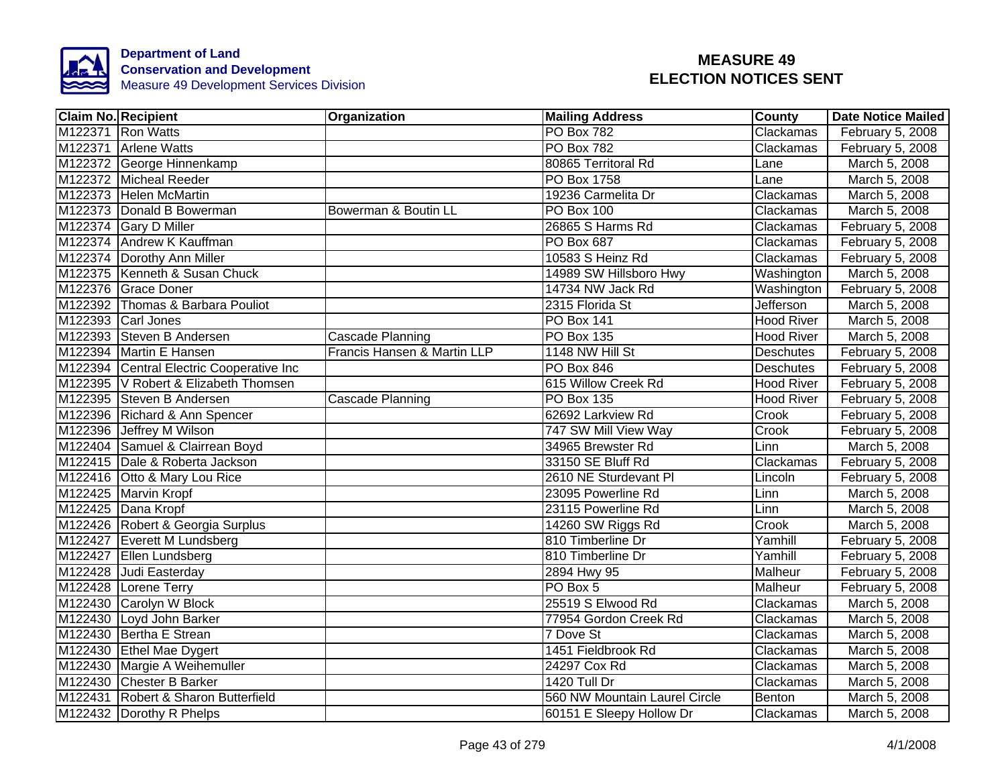

| <b>Claim No. Recipient</b>               | Organization                | <b>Mailing Address</b>        | <b>County</b>     | <b>Date Notice Mailed</b> |
|------------------------------------------|-----------------------------|-------------------------------|-------------------|---------------------------|
| M122371 Ron Watts                        |                             | <b>PO Box 782</b>             | Clackamas         | February 5, 2008          |
| M122371 Arlene Watts                     |                             | <b>PO Box 782</b>             | Clackamas         | February 5, 2008          |
| M122372 George Hinnenkamp                |                             | 80865 Territoral Rd           | Lane              | March 5, 2008             |
| M122372 Micheal Reeder                   |                             | PO Box 1758                   | Lane              | March 5, 2008             |
| M122373 Helen McMartin                   |                             | 19236 Carmelita Dr            | Clackamas         | March 5, 2008             |
| M122373 Donald B Bowerman                | Bowerman & Boutin LL        | PO Box 100                    | Clackamas         | March 5, 2008             |
| M122374 Gary D Miller                    |                             | 26865 S Harms Rd              | Clackamas         | February 5, 2008          |
| M122374 Andrew K Kauffman                |                             | PO Box 687                    | Clackamas         | February 5, 2008          |
| M122374 Dorothy Ann Miller               |                             | 10583 S Heinz Rd              | Clackamas         | February 5, 2008          |
| M122375   Kenneth & Susan Chuck          |                             | 14989 SW Hillsboro Hwy        | Washington        | March 5, 2008             |
| M122376 Grace Doner                      |                             | 14734 NW Jack Rd              | Washington        | February 5, 2008          |
| M122392 Thomas & Barbara Pouliot         |                             | 2315 Florida St               | <b>Jefferson</b>  | March 5, 2008             |
| M122393 Carl Jones                       |                             | <b>PO Box 141</b>             | Hood River        | March 5, 2008             |
| M122393 Steven B Andersen                | Cascade Planning            | PO Box 135                    | <b>Hood River</b> | March 5, 2008             |
| M122394 Martin E Hansen                  | Francis Hansen & Martin LLP | 1148 NW Hill St               | <b>Deschutes</b>  | February 5, 2008          |
| M122394 Central Electric Cooperative Inc |                             | <b>PO Box 846</b>             | <b>Deschutes</b>  | February 5, 2008          |
| M122395   V Robert & Elizabeth Thomsen   |                             | 615 Willow Creek Rd           | <b>Hood River</b> | February 5, 2008          |
| M122395 Steven B Andersen                | <b>Cascade Planning</b>     | <b>PO Box 135</b>             | <b>Hood River</b> | February 5, 2008          |
| M122396 Richard & Ann Spencer            |                             | 62692 Larkview Rd             | Crook             | February 5, 2008          |
| M122396 Jeffrey M Wilson                 |                             | 747 SW Mill View Way          | Crook             | February 5, 2008          |
| M122404 Samuel & Clairrean Boyd          |                             | 34965 Brewster Rd             | Linn              | March 5, 2008             |
| M122415 Dale & Roberta Jackson           |                             | 33150 SE Bluff Rd             | Clackamas         | February 5, 2008          |
| M122416 Otto & Mary Lou Rice             |                             | 2610 NE Sturdevant PI         | Lincoln           | February 5, 2008          |
| M122425 Marvin Kropf                     |                             | 23095 Powerline Rd            | Linn              | March 5, 2008             |
| M122425 Dana Kropf                       |                             | 23115 Powerline Rd            | Linn              | March 5, 2008             |
| M122426 Robert & Georgia Surplus         |                             | 14260 SW Riggs Rd             | Crook             | March 5, 2008             |
| M122427 Everett M Lundsberg              |                             | 810 Timberline Dr             | Yamhill           | February 5, 2008          |
| M122427 Ellen Lundsberg                  |                             | 810 Timberline Dr             | Yamhill           | February 5, 2008          |
| M122428 Judi Easterday                   |                             | 2894 Hwy 95                   | Malheur           | February 5, 2008          |
| M122428 Lorene Terry                     |                             | PO Box 5                      | Malheur           | February 5, 2008          |
| M122430 Carolyn W Block                  |                             | 25519 S Elwood Rd             | Clackamas         | March 5, 2008             |
| M122430 Loyd John Barker                 |                             | 77954 Gordon Creek Rd         | Clackamas         | March 5, 2008             |
| M122430 Bertha E Strean                  |                             | 7 Dove St                     | Clackamas         | March 5, 2008             |
| M122430 Ethel Mae Dygert                 |                             | 1451 Fieldbrook Rd            | Clackamas         | March 5, 2008             |
| M122430 Margie A Weihemuller             |                             | 24297 Cox Rd                  | Clackamas         | March 5, 2008             |
| M122430 Chester B Barker                 |                             | 1420 Tull Dr                  | Clackamas         | March 5, 2008             |
| M122431 Robert & Sharon Butterfield      |                             | 560 NW Mountain Laurel Circle | Benton            | March 5, 2008             |
| M122432 Dorothy R Phelps                 |                             | 60151 E Sleepy Hollow Dr      | Clackamas         | March 5, 2008             |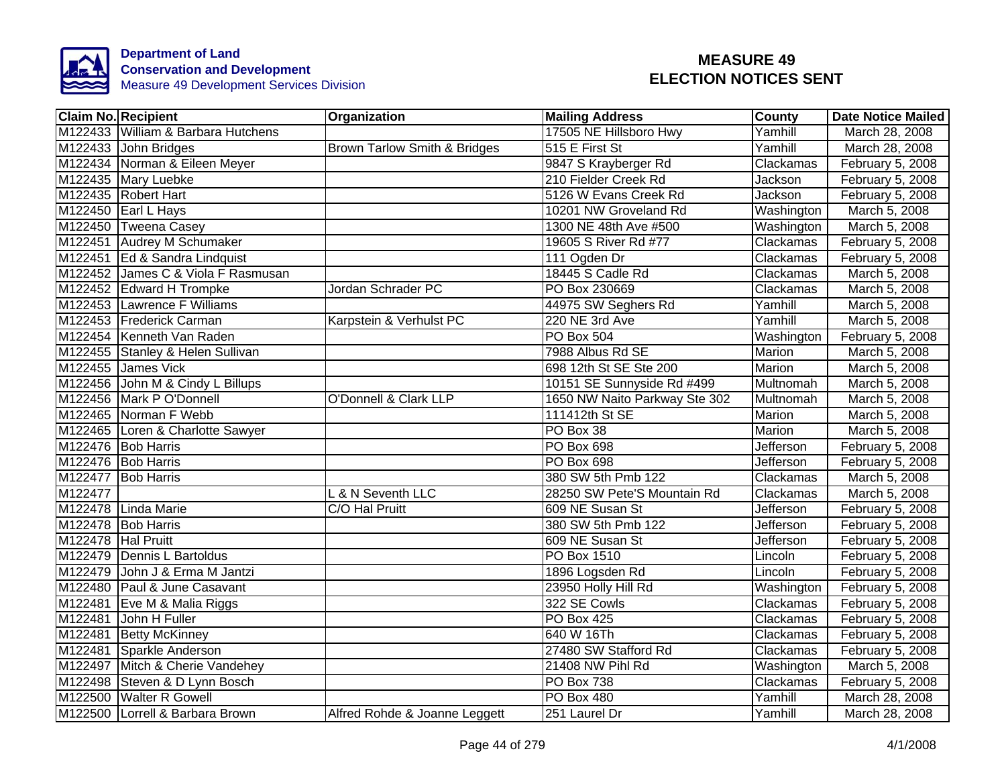

| <b>Claim No. Recipient</b> |                                    | Organization                     | <b>Mailing Address</b>        | <b>County</b>    | <b>Date Notice Mailed</b> |
|----------------------------|------------------------------------|----------------------------------|-------------------------------|------------------|---------------------------|
|                            | M122433 William & Barbara Hutchens |                                  | 17505 NE Hillsboro Hwy        | Yamhill          | March 28, 2008            |
|                            | M122433 John Bridges               | Brown Tarlow Smith & Bridges     | 515 E First St                | Yamhill          | March 28, 2008            |
|                            | M122434 Norman & Eileen Meyer      |                                  | 9847 S Krayberger Rd          | Clackamas        | February 5, 2008          |
|                            | M122435 Mary Luebke                |                                  | 210 Fielder Creek Rd          | Jackson          | February 5, 2008          |
|                            | M122435 Robert Hart                |                                  | 5126 W Evans Creek Rd         | Jackson          | February 5, 2008          |
|                            | M122450 Earl L Hays                |                                  | 10201 NW Groveland Rd         | Washington       | March 5, 2008             |
|                            | M122450 Tweena Casey               |                                  | 1300 NE 48th Ave #500         | Washington       | March 5, 2008             |
|                            | M122451 Audrey M Schumaker         |                                  | 19605 S River Rd #77          | Clackamas        | February 5, 2008          |
|                            | M122451 Ed & Sandra Lindquist      |                                  | 111 Ogden Dr                  | Clackamas        | February 5, 2008          |
|                            | M122452 James C & Viola F Rasmusan |                                  | 18445 S Cadle Rd              | Clackamas        | March 5, 2008             |
|                            | M122452 Edward H Trompke           | Jordan Schrader PC               | PO Box 230669                 | Clackamas        | March 5, 2008             |
|                            | M122453 Lawrence F Williams        |                                  | 44975 SW Seghers Rd           | Yamhill          | March 5, 2008             |
|                            | M122453 Frederick Carman           | Karpstein & Verhulst PC          | 220 NE 3rd Ave                | Yamhill          | March 5, 2008             |
|                            | M122454 Kenneth Van Raden          |                                  | PO Box 504                    | Washington       | February 5, 2008          |
|                            | M122455 Stanley & Helen Sullivan   |                                  | 7988 Albus Rd SE              | Marion           | March 5, 2008             |
|                            | M122455 James Vick                 |                                  | 698 12th St SE Ste 200        | <b>Marion</b>    | March 5, 2008             |
|                            | M122456 John M & Cindy L Billups   |                                  | 10151 SE Sunnyside Rd #499    | <b>Multnomah</b> | March 5, 2008             |
|                            | M122456 Mark P O'Donnell           | <b>O'Donnell &amp; Clark LLP</b> | 1650 NW Naito Parkway Ste 302 | Multnomah        | March 5, 2008             |
|                            | M122465 Norman F Webb              |                                  | 111412th St SE                | <b>Marion</b>    | March 5, 2008             |
|                            | M122465 Loren & Charlotte Sawyer   |                                  | PO Box 38                     | <b>Marion</b>    | March 5, 2008             |
|                            | M122476 Bob Harris                 |                                  | PO Box 698                    | <b>Jefferson</b> | February 5, 2008          |
|                            | M122476 Bob Harris                 |                                  | PO Box 698                    | Jefferson        | February 5, 2008          |
|                            | M122477 Bob Harris                 |                                  | 380 SW 5th Pmb 122            | Clackamas        | March 5, 2008             |
| M122477                    |                                    | L & N Seventh LLC                | 28250 SW Pete'S Mountain Rd   | Clackamas        | March 5, 2008             |
|                            | M122478 Linda Marie                | C/O Hal Pruitt                   | 609 NE Susan St               | Jefferson        | February 5, 2008          |
|                            | M122478 Bob Harris                 |                                  | 380 SW 5th Pmb 122            | <b>Jefferson</b> | February 5, 2008          |
| M122478 Hal Pruitt         |                                    |                                  | 609 NE Susan St               | Jefferson        | February 5, 2008          |
|                            | M122479 Dennis L Bartoldus         |                                  | PO Box 1510                   | Lincoln          | February 5, 2008          |
| M122479                    | John J & Erma M Jantzi             |                                  | 1896 Logsden Rd               | Lincoln          | February 5, 2008          |
|                            | M122480 Paul & June Casavant       |                                  | 23950 Holly Hill Rd           | Washington       | February 5, 2008          |
|                            | M122481 Eve M & Malia Riggs        |                                  | 322 SE Cowls                  | Clackamas        | February 5, 2008          |
|                            | M122481 John H Fuller              |                                  | PO Box 425                    | Clackamas        | February 5, 2008          |
|                            | M122481 Betty McKinney             |                                  | 640 W 16Th                    | Clackamas        | February 5, 2008          |
|                            | M122481 Sparkle Anderson           |                                  | 27480 SW Stafford Rd          | Clackamas        | February 5, 2008          |
|                            | M122497 Mitch & Cherie Vandehey    |                                  | 21408 NW Pihl Rd              | Washington       | March 5, 2008             |
|                            | M122498 Steven & D Lynn Bosch      |                                  | PO Box 738                    | Clackamas        | February 5, 2008          |
|                            | M122500 Walter R Gowell            |                                  | PO Box 480                    | Yamhill          | March 28, 2008            |
|                            | M122500 Lorrell & Barbara Brown    | Alfred Rohde & Joanne Leggett    | 251 Laurel Dr                 | Yamhill          | March 28, 2008            |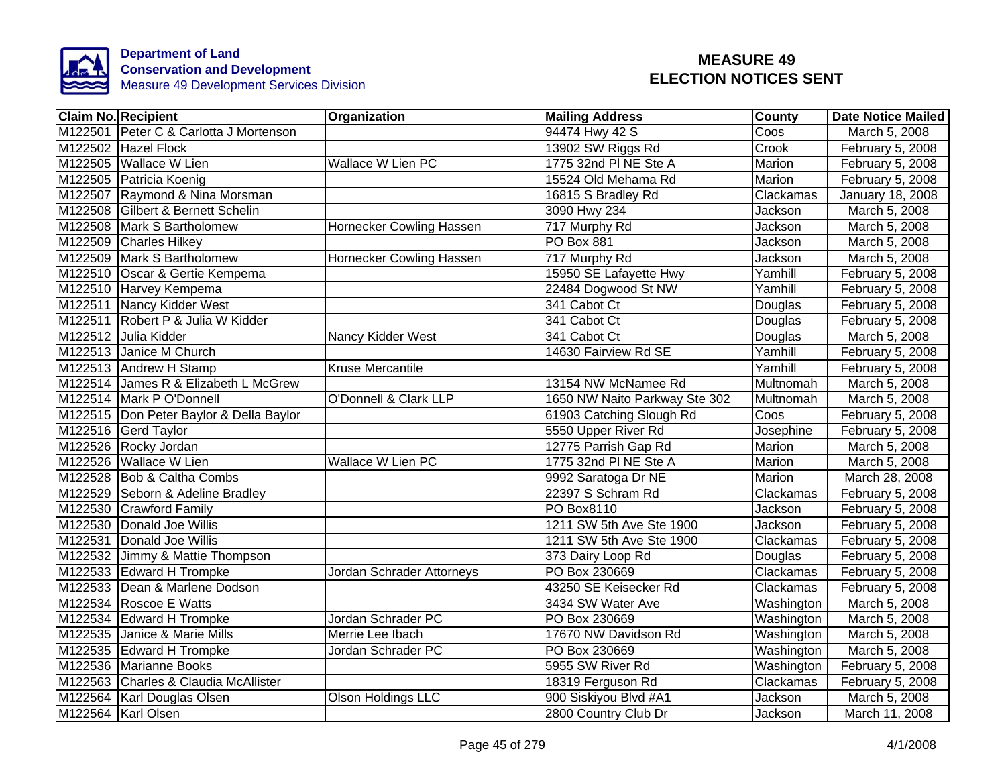

| <b>Claim No. Recipient</b>                | Organization                     | <b>Mailing Address</b>        | <b>County</b>    | <b>Date Notice Mailed</b> |
|-------------------------------------------|----------------------------------|-------------------------------|------------------|---------------------------|
| M122501 Peter C & Carlotta J Mortenson    |                                  | 94474 Hwy 42 S                | Coos             | March 5, 2008             |
| M122502 Hazel Flock                       |                                  | 13902 SW Riggs Rd             | Crook            | February 5, 2008          |
| M122505 Wallace W Lien                    | <b>Wallace W Lien PC</b>         | 1775 32nd PI NE Ste A         | Marion           | February 5, 2008          |
| M122505 Patricia Koenig                   |                                  | 15524 Old Mehama Rd           | Marion           | February 5, 2008          |
| M122507 Raymond & Nina Morsman            |                                  | 16815 S Bradley Rd            | Clackamas        | January 18, 2008          |
| M122508 Gilbert & Bernett Schelin         |                                  | 3090 Hwy 234                  | Jackson          | March 5, 2008             |
| M122508 Mark S Bartholomew                | Hornecker Cowling Hassen         | 717 Murphy Rd                 | Jackson          | March 5, 2008             |
| M122509 Charles Hilkey                    |                                  | <b>PO Box 881</b>             | Jackson          | March 5, 2008             |
| M122509 Mark S Bartholomew                | Hornecker Cowling Hassen         | 717 Murphy Rd                 | Jackson          | March 5, 2008             |
| M122510 Oscar & Gertie Kempema            |                                  | 15950 SE Lafayette Hwy        | Yamhill          | February 5, 2008          |
| M122510 Harvey Kempema                    |                                  | 22484 Dogwood St NW           | Yamhill          | February 5, 2008          |
| M122511 Nancy Kidder West                 |                                  | 341 Cabot Ct                  | Douglas          | February 5, 2008          |
| M122511 Robert P & Julia W Kidder         |                                  | 341 Cabot Ct                  | Douglas          | February 5, 2008          |
| M122512 Julia Kidder                      | Nancy Kidder West                | 341 Cabot Ct                  | Douglas          | March 5, 2008             |
| M122513 Janice M Church                   |                                  | 14630 Fairview Rd SE          | Yamhill          | February 5, 2008          |
| M122513 Andrew H Stamp                    | <b>Kruse Mercantile</b>          |                               | Yamhill          | February 5, 2008          |
| M122514 James R & Elizabeth L McGrew      |                                  | 13154 NW McNamee Rd           | Multnomah        | March 5, 2008             |
| M122514 Mark P O'Donnell                  | <b>O'Donnell &amp; Clark LLP</b> | 1650 NW Naito Parkway Ste 302 | <b>Multnomah</b> | March 5, 2008             |
| M122515   Don Peter Baylor & Della Baylor |                                  | 61903 Catching Slough Rd      | Coos             | February 5, 2008          |
| M122516 Gerd Taylor                       |                                  | 5550 Upper River Rd           | Josephine        | February 5, 2008          |
| M122526 Rocky Jordan                      |                                  | 12775 Parrish Gap Rd          | Marion           | March 5, 2008             |
| M122526 Wallace W Lien                    | <b>Wallace W Lien PC</b>         | 1775 32nd PI NE Ste A         | Marion           | March 5, 2008             |
| M122528 Bob & Caltha Combs                |                                  | 9992 Saratoga Dr NE           | Marion           | March 28, 2008            |
| M122529 Seborn & Adeline Bradley          |                                  | 22397 S Schram Rd             | Clackamas        | February 5, 2008          |
| M122530 Crawford Family                   |                                  | <b>PO Box8110</b>             | Jackson          | February 5, 2008          |
| M122530 Donald Joe Willis                 |                                  | 1211 SW 5th Ave Ste 1900      | Jackson          | February 5, 2008          |
| M122531 Donald Joe Willis                 |                                  | 1211 SW 5th Ave Ste 1900      | Clackamas        | February 5, 2008          |
| M122532 Jimmy & Mattie Thompson           |                                  | 373 Dairy Loop Rd             | Douglas          | February 5, 2008          |
| M122533 Edward H Trompke                  | Jordan Schrader Attorneys        | PO Box 230669                 | Clackamas        | February 5, 2008          |
| M122533 Dean & Marlene Dodson             |                                  | 43250 SE Keisecker Rd         | Clackamas        | February 5, 2008          |
| M122534 Roscoe E Watts                    |                                  | 3434 SW Water Ave             | Washington       | March 5, 2008             |
| M122534 Edward H Trompke                  | Jordan Schrader PC               | PO Box 230669                 | Washington       | March 5, 2008             |
| M122535 Janice & Marie Mills              | Merrie Lee Ibach                 | 17670 NW Davidson Rd          | Washington       | March 5, 2008             |
| M122535 Edward H Trompke                  | Jordan Schrader PC               | PO Box 230669                 | Washington       | March 5, 2008             |
| M122536 Marianne Books                    |                                  | 5955 SW River Rd              | Washington       | February 5, 2008          |
| M122563 Charles & Claudia McAllister      |                                  | 18319 Ferguson Rd             | Clackamas        | February 5, 2008          |
| M122564 Karl Douglas Olsen                | Olson Holdings LLC               | 900 Siskiyou Blvd #A1         | Jackson          | March 5, 2008             |
| M122564 Karl Olsen                        |                                  | 2800 Country Club Dr          | Jackson          | March 11, 2008            |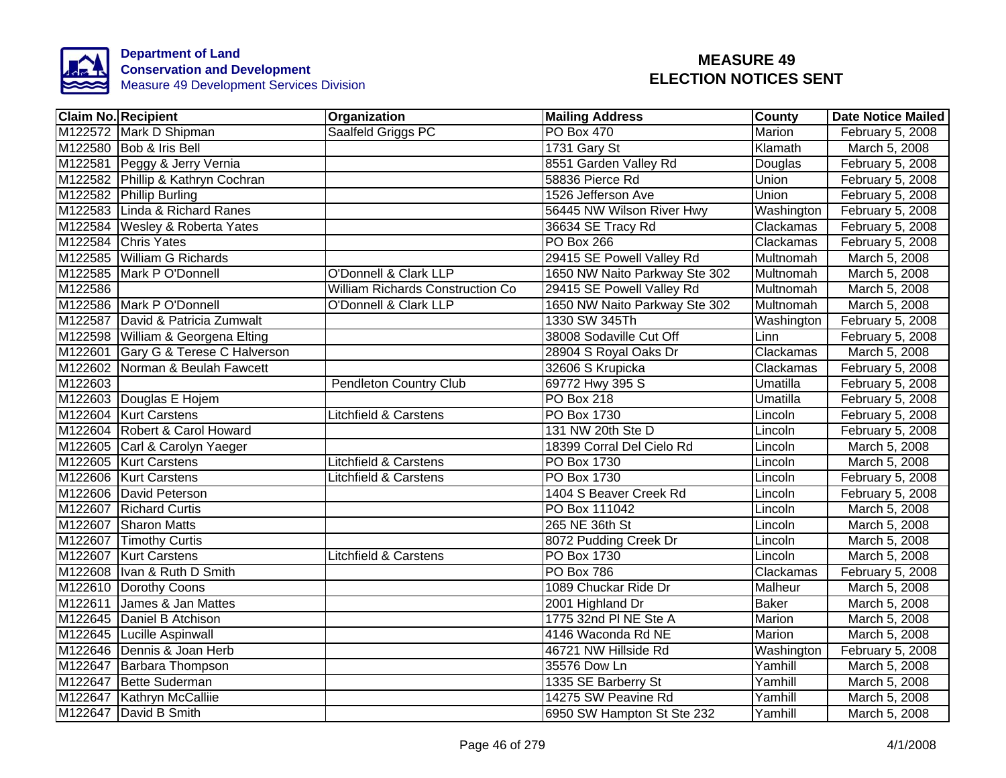

| <b>Claim No. Recipient</b>             | Organization                     |                                         | <b>Mailing Address</b>        | <b>County</b>   | <b>Date Notice Mailed</b> |
|----------------------------------------|----------------------------------|-----------------------------------------|-------------------------------|-----------------|---------------------------|
| M122572 Mark D Shipman                 | Saalfeld Griggs PC               |                                         | <b>PO Box 470</b>             | <b>Marion</b>   | February 5, 2008          |
| M122580 Bob & Iris Bell                |                                  |                                         | 1731 Gary St                  | Klamath         | March 5, 2008             |
| M122581 Peggy & Jerry Vernia           |                                  |                                         | 8551 Garden Valley Rd         | Douglas         | February 5, 2008          |
| M122582 Phillip & Kathryn Cochran      |                                  |                                         | 58836 Pierce Rd               | Union           | February 5, 2008          |
| M122582 Phillip Burling                |                                  |                                         | 1526 Jefferson Ave            | Union           | February 5, 2008          |
| M122583 Linda & Richard Ranes          |                                  |                                         | 56445 NW Wilson River Hwy     | Washington      | February 5, 2008          |
| M122584 Wesley & Roberta Yates         |                                  |                                         | 36634 SE Tracy Rd             | Clackamas       | February 5, 2008          |
| M122584 Chris Yates                    |                                  |                                         | <b>PO Box 266</b>             | Clackamas       | February 5, 2008          |
| M122585 William G Richards             |                                  |                                         | 29415 SE Powell Valley Rd     | Multnomah       | March 5, 2008             |
| M122585 Mark P O'Donnell               | O'Donnell & Clark LLP            |                                         | 1650 NW Naito Parkway Ste 302 | Multnomah       | March 5, 2008             |
| M122586                                |                                  | <b>William Richards Construction Co</b> | 29415 SE Powell Valley Rd     | Multnomah       | March 5, 2008             |
| M122586 Mark P O'Donnell               | O'Donnell & Clark LLP            |                                         | 1650 NW Naito Parkway Ste 302 | Multnomah       | March 5, 2008             |
| M122587 David & Patricia Zumwalt       |                                  |                                         | 1330 SW 345Th                 | Washington      | February 5, 2008          |
| M122598 William & Georgena Elting      |                                  |                                         | 38008 Sodaville Cut Off       | Linn            | February 5, 2008          |
| M122601<br>Gary G & Terese C Halverson |                                  |                                         | 28904 S Royal Oaks Dr         | Clackamas       | March 5, 2008             |
| M122602 Norman & Beulah Fawcett        |                                  |                                         | 32606 S Krupicka              | Clackamas       | February 5, 2008          |
| M122603                                | <b>Pendleton Country Club</b>    |                                         | 69772 Hwy 395 S               | <b>Umatilla</b> | February 5, 2008          |
| M122603 Douglas E Hojem                |                                  |                                         | <b>PO Box 218</b>             | <b>Umatilla</b> | February 5, 2008          |
| M122604 Kurt Carstens                  | <b>Litchfield &amp; Carstens</b> |                                         | PO Box 1730                   | Lincoln         | February 5, 2008          |
| M122604 Robert & Carol Howard          |                                  |                                         | 131 NW 20th Ste D             | Lincoln         | February 5, 2008          |
| M122605 Carl & Carolyn Yaeger          |                                  |                                         | 18399 Corral Del Cielo Rd     | Lincoln         | March 5, 2008             |
| M122605   Kurt Carstens                | <b>Litchfield &amp; Carstens</b> |                                         | PO Box 1730                   | Lincoln         | March 5, 2008             |
| M122606 Kurt Carstens                  | <b>Litchfield &amp; Carstens</b> |                                         | PO Box 1730                   | Lincoln         | February 5, 2008          |
| M122606 David Peterson                 |                                  |                                         | 1404 S Beaver Creek Rd        | Lincoln         | February 5, 2008          |
| M122607 Richard Curtis                 |                                  |                                         | PO Box 111042                 | Lincoln         | March 5, 2008             |
| M122607 Sharon Matts                   |                                  |                                         | 265 NE 36th St                | Lincoln         | March 5, 2008             |
| M122607 Timothy Curtis                 |                                  |                                         | 8072 Pudding Creek Dr         | Lincoln         | March 5, 2008             |
| M122607 Kurt Carstens                  | <b>Litchfield &amp; Carstens</b> |                                         | PO Box 1730                   | Lincoln         | March 5, 2008             |
| M122608  Ivan & Ruth D Smith           |                                  |                                         | PO Box 786                    | Clackamas       | February 5, 2008          |
| M122610 Dorothy Coons                  |                                  |                                         | 1089 Chuckar Ride Dr          | Malheur         | March 5, 2008             |
| M122611<br>James & Jan Mattes          |                                  |                                         | 2001 Highland Dr              | <b>Baker</b>    | March 5, 2008             |
| M122645 Daniel B Atchison              |                                  |                                         | 1775 32nd PI NE Ste A         | Marion          | March 5, 2008             |
| M122645 Lucille Aspinwall              |                                  |                                         | 4146 Waconda Rd NE            | Marion          | March 5, 2008             |
| M122646 Dennis & Joan Herb             |                                  |                                         | 46721 NW Hillside Rd          | Washington      | February 5, 2008          |
| M122647 Barbara Thompson               |                                  |                                         | 35576 Dow Ln                  | Yamhill         | March 5, 2008             |
| M122647 Bette Suderman                 |                                  |                                         | 1335 SE Barberry St           | Yamhill         | March 5, 2008             |
| M122647 Kathryn McCalliie              |                                  |                                         | 14275 SW Peavine Rd           | Yamhill         | March 5, 2008             |
| M122647 David B Smith                  |                                  |                                         | 6950 SW Hampton St Ste 232    | Yamhill         | March 5, 2008             |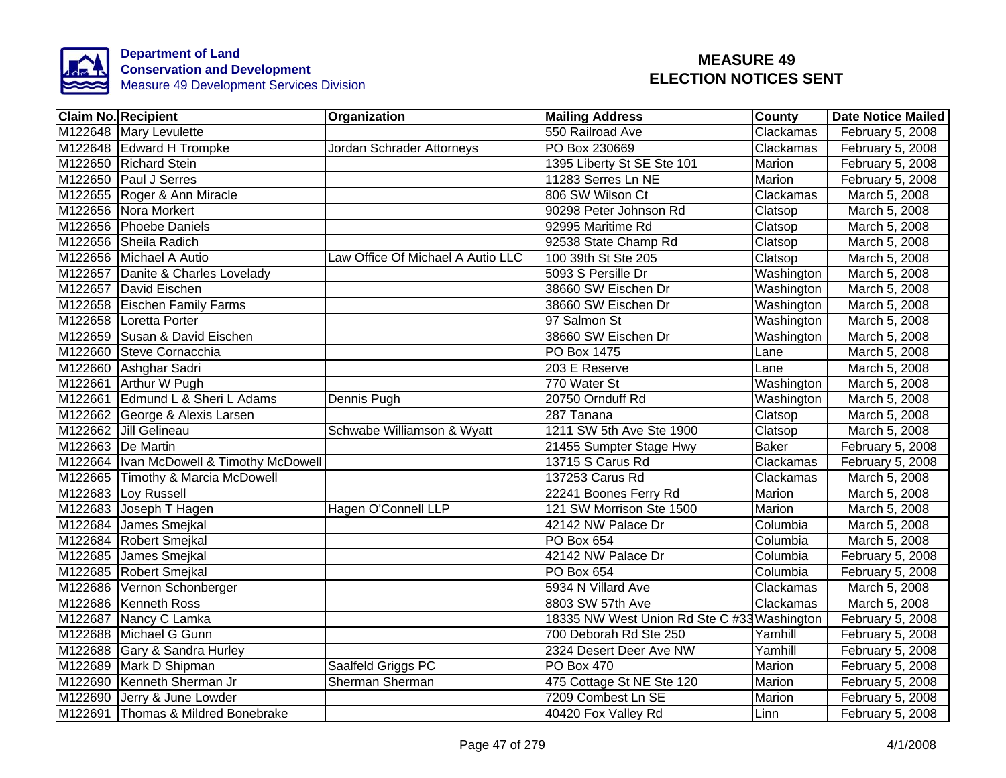

| <b>Claim No. Recipient</b>  |                                            | Organization                      | <b>Mailing Address</b>                      | <b>County</b> | <b>Date Notice Mailed</b> |
|-----------------------------|--------------------------------------------|-----------------------------------|---------------------------------------------|---------------|---------------------------|
| M122648 Mary Levulette      |                                            |                                   | 550 Railroad Ave                            | Clackamas     | February 5, 2008          |
| M122648 Edward H Trompke    |                                            | Jordan Schrader Attorneys         | PO Box 230669                               | Clackamas     | February 5, 2008          |
| M122650 Richard Stein       |                                            |                                   | 1395 Liberty St SE Ste 101                  | Marion        | February 5, 2008          |
| M122650 Paul J Serres       |                                            |                                   | 11283 Serres Ln NE                          | Marion        | February 5, 2008          |
| M122655 Roger & Ann Miracle |                                            |                                   | 806 SW Wilson Ct                            | Clackamas     | March 5, 2008             |
| M122656 Nora Morkert        |                                            |                                   | 90298 Peter Johnson Rd                      | Clatsop       | March 5, 2008             |
| M122656 Phoebe Daniels      |                                            |                                   | 92995 Maritime Rd                           | Clatsop       | March 5, 2008             |
| M122656 Sheila Radich       |                                            |                                   | 92538 State Champ Rd                        | Clatsop       | March 5, 2008             |
| M122656 Michael A Autio     |                                            | Law Office Of Michael A Autio LLC | 100 39th St Ste 205                         | Clatsop       | March 5, 2008             |
|                             | M122657 Danite & Charles Lovelady          |                                   | 5093 S Persille Dr                          | Washington    | March 5, 2008             |
| M122657 David Eischen       |                                            |                                   | 38660 SW Eischen Dr                         | Washington    | March 5, 2008             |
|                             | M122658 Eischen Family Farms               |                                   | 38660 SW Eischen Dr                         | Washington    | March 5, 2008             |
| M122658 Loretta Porter      |                                            |                                   | 97 Salmon St                                | Washington    | March 5, 2008             |
|                             | M122659 Susan & David Eischen              |                                   | 38660 SW Eischen Dr                         | Washington    | March 5, 2008             |
| M122660 Steve Cornacchia    |                                            |                                   | <b>PO Box 1475</b>                          | Lane          | March 5, 2008             |
| M122660 Ashghar Sadri       |                                            |                                   | 203 E Reserve                               | Lane          | March 5, 2008             |
| M122661 Arthur W Pugh       |                                            |                                   | 770 Water St                                | Washington    | March 5, 2008             |
|                             | M122661 Edmund L & Sheri L Adams           | Dennis Pugh                       | 20750 Ornduff Rd                            | Washington    | March 5, 2008             |
|                             | M122662 George & Alexis Larsen             |                                   | 287 Tanana                                  | Clatsop       | March 5, 2008             |
| M122662 Jill Gelineau       |                                            | Schwabe Williamson & Wyatt        | 1211 SW 5th Ave Ste 1900                    | Clatsop       | March 5, 2008             |
| M122663 De Martin           |                                            |                                   | 21455 Sumpter Stage Hwy                     | <b>Baker</b>  | February 5, 2008          |
|                             | M122664   Ivan McDowell & Timothy McDowell |                                   | 13715 S Carus Rd                            | Clackamas     | February 5, 2008          |
|                             | M122665 Timothy & Marcia McDowell          |                                   | 137253 Carus Rd                             | Clackamas     | March 5, 2008             |
| M122683 Loy Russell         |                                            |                                   | 22241 Boones Ferry Rd                       | Marion        | March 5, 2008             |
| M122683 Joseph T Hagen      |                                            | Hagen O'Connell LLP               | 121 SW Morrison Ste 1500                    | Marion        | March 5, 2008             |
| M122684 James Smejkal       |                                            |                                   | 42142 NW Palace Dr                          | Columbia      | March 5, 2008             |
| M122684 Robert Smejkal      |                                            |                                   | PO Box 654                                  | Columbia      | March 5, 2008             |
| M122685 James Smejkal       |                                            |                                   | 42142 NW Palace Dr                          | Columbia      | February 5, 2008          |
| M122685 Robert Smejkal      |                                            |                                   | PO Box 654                                  | Columbia      | February 5, 2008          |
| M122686 Vernon Schonberger  |                                            |                                   | 5934 N Villard Ave                          | Clackamas     | March 5, 2008             |
| M122686 Kenneth Ross        |                                            |                                   | 8803 SW 57th Ave                            | Clackamas     | March 5, 2008             |
| M122687 Nancy C Lamka       |                                            |                                   | 18335 NW West Union Rd Ste C #33 Washington |               | February 5, 2008          |
| M122688 Michael G Gunn      |                                            |                                   | 700 Deborah Rd Ste 250                      | Yamhill       | February 5, 2008          |
|                             | M122688 Gary & Sandra Hurley               |                                   | 2324 Desert Deer Ave NW                     | Yamhill       | February 5, 2008          |
| M122689 Mark D Shipman      |                                            | Saalfeld Griggs PC                | PO Box 470                                  | Marion        | February 5, 2008          |
| M122690 Kenneth Sherman Jr  |                                            | Sherman Sherman                   | 475 Cottage St NE Ste 120                   | Marion        | February 5, 2008          |
| M122690 Jerry & June Lowder |                                            |                                   | 7209 Combest Ln SE                          | Marion        | February 5, 2008          |
|                             | M122691 Thomas & Mildred Bonebrake         |                                   | 40420 Fox Valley Rd                         | Linn          | February 5, 2008          |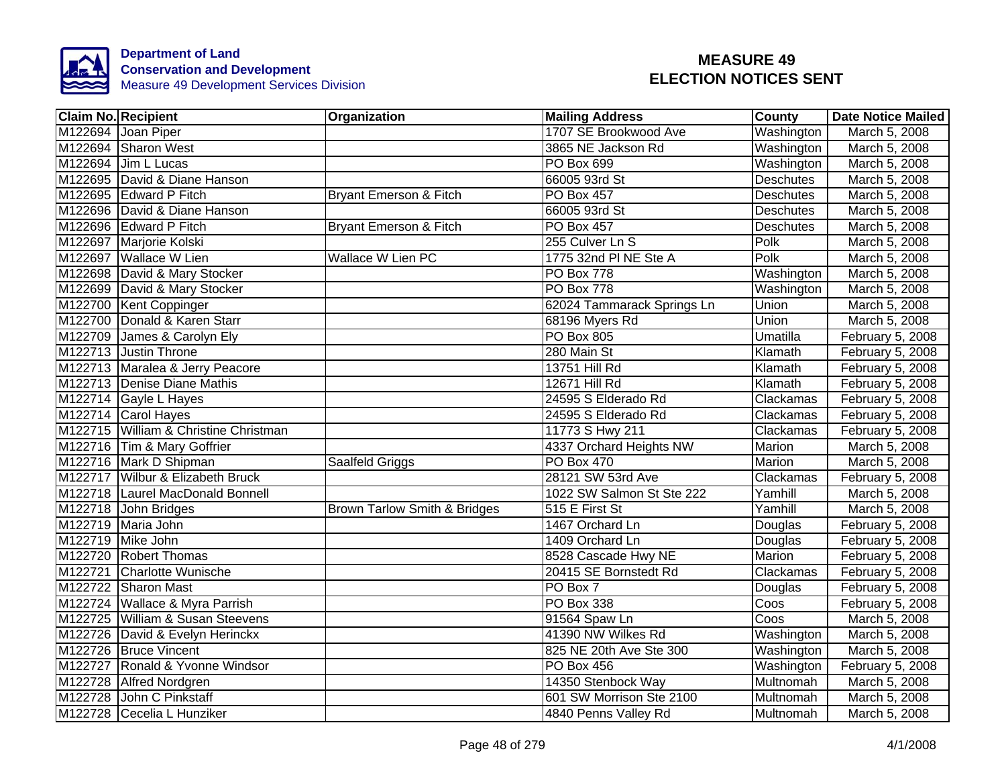

| <b>Claim No. Recipient</b>            | Organization                            | <b>Mailing Address</b>     | County           | <b>Date Notice Mailed</b> |
|---------------------------------------|-----------------------------------------|----------------------------|------------------|---------------------------|
| M122694 Joan Piper                    |                                         | 1707 SE Brookwood Ave      | Washington       | March 5, 2008             |
| M122694 Sharon West                   |                                         | 3865 NE Jackson Rd         | Washington       | March 5, 2008             |
| M122694 Jim L Lucas                   |                                         | <b>PO Box 699</b>          | Washington       | March 5, 2008             |
| M122695 David & Diane Hanson          |                                         | 66005 93rd St              | <b>Deschutes</b> | March 5, 2008             |
| M122695 Edward P Fitch                | Bryant Emerson & Fitch                  | <b>PO Box 457</b>          | <b>Deschutes</b> | March 5, 2008             |
| M122696 David & Diane Hanson          |                                         | 66005 93rd St              | <b>Deschutes</b> | March 5, 2008             |
| M122696 Edward P Fitch                | <b>Bryant Emerson &amp; Fitch</b>       | <b>PO Box 457</b>          | Deschutes        | March 5, 2008             |
| M122697 Marjorie Kolski               |                                         | 255 Culver Ln S            | Polk             | March 5, 2008             |
| M122697 Wallace W Lien                | Wallace W Lien PC                       | 1775 32nd PI NE Ste A      | Polk             | March 5, 2008             |
| M122698 David & Mary Stocker          |                                         | PO Box 778                 | Washington       | March 5, 2008             |
| M122699 David & Mary Stocker          |                                         | PO Box 778                 | Washington       | March 5, 2008             |
| M122700 Kent Coppinger                |                                         | 62024 Tammarack Springs Ln | <b>Union</b>     | March 5, 2008             |
| M122700 Donald & Karen Starr          |                                         | 68196 Myers Rd             | Union            | March 5, 2008             |
| M122709 James & Carolyn Ely           |                                         | PO Box 805                 | Umatilla         | February 5, 2008          |
| M122713 Justin Throne                 |                                         | 280 Main St                | Klamath          | February 5, 2008          |
| M122713 Maralea & Jerry Peacore       |                                         | 13751 Hill Rd              | Klamath          | February 5, 2008          |
| M122713 Denise Diane Mathis           |                                         | 12671 Hill Rd              | Klamath          | February 5, 2008          |
| M122714 Gayle L Hayes                 |                                         | 24595 S Elderado Rd        | Clackamas        | February 5, 2008          |
| M122714 Carol Hayes                   |                                         | 24595 S Elderado Rd        | Clackamas        | February 5, 2008          |
| M122715 William & Christine Christman |                                         | 11773 S Hwy 211            | Clackamas        | February 5, 2008          |
| M122716 Tim & Mary Goffrier           |                                         | 4337 Orchard Heights NW    | Marion           | March 5, 2008             |
| M122716 Mark D Shipman                | Saalfeld Griggs                         | <b>PO Box 470</b>          | Marion           | March 5, 2008             |
| M122717 Wilbur & Elizabeth Bruck      |                                         | 28121 SW 53rd Ave          | Clackamas        | February 5, 2008          |
| M122718 Laurel MacDonald Bonnell      |                                         | 1022 SW Salmon St Ste 222  | Yamhill          | March 5, 2008             |
| M122718 John Bridges                  | <b>Brown Tarlow Smith &amp; Bridges</b> | 515 E First St             | Yamhill          | March 5, 2008             |
| M122719 Maria John                    |                                         | 1467 Orchard Ln            | Douglas          | February 5, 2008          |
| M122719 Mike John                     |                                         | 1409 Orchard Ln            | Douglas          | February 5, 2008          |
| M122720 Robert Thomas                 |                                         | 8528 Cascade Hwy NE        | Marion           | February 5, 2008          |
| M122721 Charlotte Wunische            |                                         | 20415 SE Bornstedt Rd      | Clackamas        | February 5, 2008          |
| M122722 Sharon Mast                   |                                         | PO Box 7                   | Douglas          | February 5, 2008          |
| M122724 Wallace & Myra Parrish        |                                         | PO Box 338                 | Coos             | February 5, 2008          |
| M122725 William & Susan Steevens      |                                         | 91564 Spaw Ln              | Coos             | March 5, 2008             |
| M122726 David & Evelyn Herinckx       |                                         | 41390 NW Wilkes Rd         | Washington       | March 5, 2008             |
| M122726 Bruce Vincent                 |                                         | 825 NE 20th Ave Ste 300    | Washington       | March 5, 2008             |
| M122727 Ronald & Yvonne Windsor       |                                         | PO Box 456                 | Washington       | February 5, 2008          |
| M122728 Alfred Nordgren               |                                         | 14350 Stenbock Way         | Multnomah        | March 5, 2008             |
| M122728 John C Pinkstaff              |                                         | 601 SW Morrison Ste 2100   | Multnomah        | March 5, 2008             |
| M122728 Cecelia L Hunziker            |                                         | 4840 Penns Valley Rd       | Multnomah        | March 5, 2008             |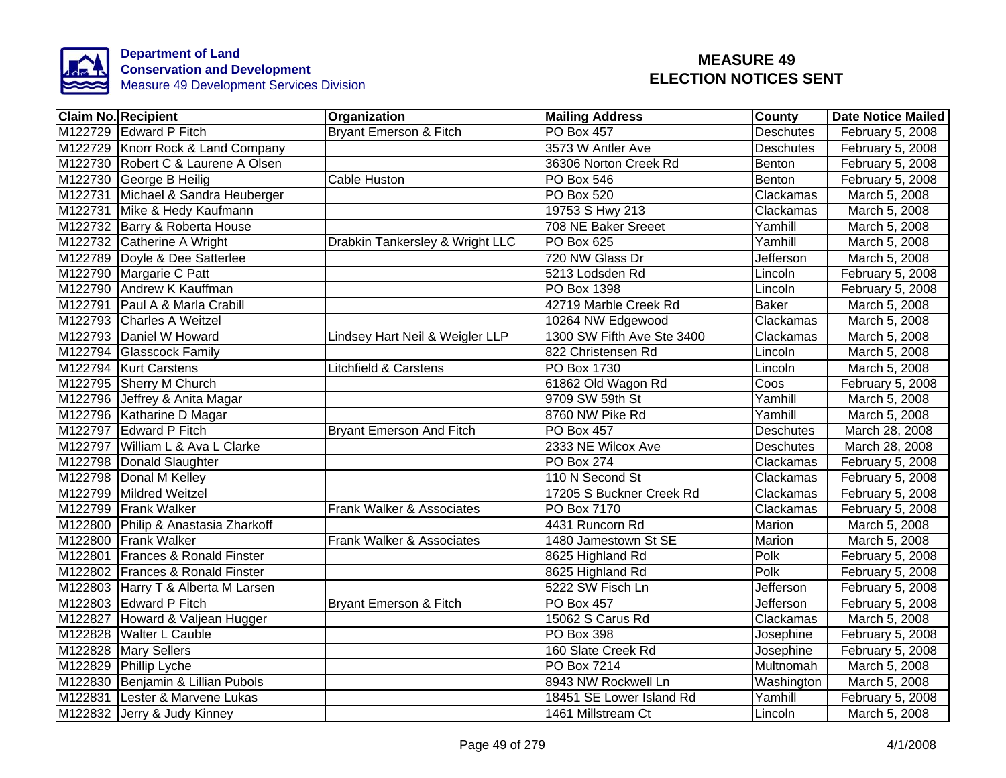

| <b>Claim No. Recipient</b>          | Organization                      | <b>Mailing Address</b>     | County           | Date Notice Mailed |
|-------------------------------------|-----------------------------------|----------------------------|------------------|--------------------|
| M122729 Edward P Fitch              | <b>Bryant Emerson &amp; Fitch</b> | <b>PO Box 457</b>          | <b>Deschutes</b> | February 5, 2008   |
| M122729 Knorr Rock & Land Company   |                                   | 3573 W Antler Ave          | <b>Deschutes</b> | February 5, 2008   |
| M122730 Robert C & Laurene A Olsen  |                                   | 36306 Norton Creek Rd      | Benton           | February 5, 2008   |
| M122730 George B Heilig             | Cable Huston                      | <b>PO Box 546</b>          | Benton           | February 5, 2008   |
| M122731 Michael & Sandra Heuberger  |                                   | PO Box 520                 | Clackamas        | March 5, 2008      |
| M122731 Mike & Hedy Kaufmann        |                                   | 19753 S Hwy 213            | Clackamas        | March 5, 2008      |
| M122732 Barry & Roberta House       |                                   | 708 NE Baker Sreeet        | Yamhill          | March 5, 2008      |
| M122732 Catherine A Wright          | Drabkin Tankersley & Wright LLC   | PO Box 625                 | Yamhill          | March 5, 2008      |
| M122789 Doyle & Dee Satterlee       |                                   | 720 NW Glass Dr            | Jefferson        | March 5, 2008      |
| M122790 Margarie C Patt             |                                   | 5213 Lodsden Rd            | Lincoln          | February 5, 2008   |
| M122790 Andrew K Kauffman           |                                   | PO Box 1398                | Lincoln          | February 5, 2008   |
| M122791 Paul A & Marla Crabill      |                                   | 42719 Marble Creek Rd      | <b>Baker</b>     | March 5, 2008      |
| M122793 Charles A Weitzel           |                                   | 10264 NW Edgewood          | Clackamas        | March 5, 2008      |
| M122793 Daniel W Howard             | Lindsey Hart Neil & Weigler LLP   | 1300 SW Fifth Ave Ste 3400 | Clackamas        | March 5, 2008      |
| M122794 Glasscock Family            |                                   | 822 Christensen Rd         | Lincoln          | March 5, 2008      |
| M122794 Kurt Carstens               | <b>Litchfield &amp; Carstens</b>  | PO Box 1730                | Lincoln          | March 5, 2008      |
| M122795 Sherry M Church             |                                   | 61862 Old Wagon Rd         | Coos             | February 5, 2008   |
| M122796 Jeffrey & Anita Magar       |                                   | 9709 SW 59th St            | Yamhill          | March 5, 2008      |
| M122796 Katharine D Magar           |                                   | 8760 NW Pike Rd            | Yamhill          | March 5, 2008      |
| M122797 Edward P Fitch              | <b>Bryant Emerson And Fitch</b>   | <b>PO Box 457</b>          | Deschutes        | March 28, 2008     |
| M122797 William L & Ava L Clarke    |                                   | 2333 NE Wilcox Ave         | <b>Deschutes</b> | March 28, 2008     |
| M122798   Donald Slaughter          |                                   | PO Box 274                 | Clackamas        | February 5, 2008   |
| M122798 Donal M Kelley              |                                   | 110 N Second St            | Clackamas        | February 5, 2008   |
| M122799 Mildred Weitzel             |                                   | 17205 S Buckner Creek Rd   | Clackamas        | February 5, 2008   |
| M122799 Frank Walker                | Frank Walker & Associates         | <b>PO Box 7170</b>         | Clackamas        | February 5, 2008   |
| M122800 Philip & Anastasia Zharkoff |                                   | 4431 Runcorn Rd            | <b>Marion</b>    | March 5, 2008      |
| M122800 Frank Walker                | Frank Walker & Associates         | 1480 Jamestown St SE       | Marion           | March 5, 2008      |
| M122801 Frances & Ronald Finster    |                                   | 8625 Highland Rd           | Polk             | February 5, 2008   |
| M122802 Frances & Ronald Finster    |                                   | 8625 Highland Rd           | Polk             | February 5, 2008   |
| M122803 Harry T & Alberta M Larsen  |                                   | 5222 SW Fisch Ln           | Jefferson        | February 5, 2008   |
| M122803 Edward P Fitch              | Bryant Emerson & Fitch            | <b>PO Box 457</b>          | Jefferson        | February 5, 2008   |
| M122827 Howard & Valjean Hugger     |                                   | 15062 S Carus Rd           | Clackamas        | March 5, 2008      |
| M122828 Walter L Cauble             |                                   | PO Box 398                 | Josephine        | February 5, 2008   |
| M122828 Mary Sellers                |                                   | 160 Slate Creek Rd         | Josephine        | February 5, 2008   |
| M122829 Phillip Lyche               |                                   | PO Box 7214                | Multnomah        | March 5, 2008      |
| M122830 Benjamin & Lillian Pubols   |                                   | 8943 NW Rockwell Ln        | Washington       | March 5, 2008      |
| M122831 Lester & Marvene Lukas      |                                   | 18451 SE Lower Island Rd   | Yamhill          | February 5, 2008   |
| M122832 Jerry & Judy Kinney         |                                   | 1461 Millstream Ct         | Lincoln          | March 5, 2008      |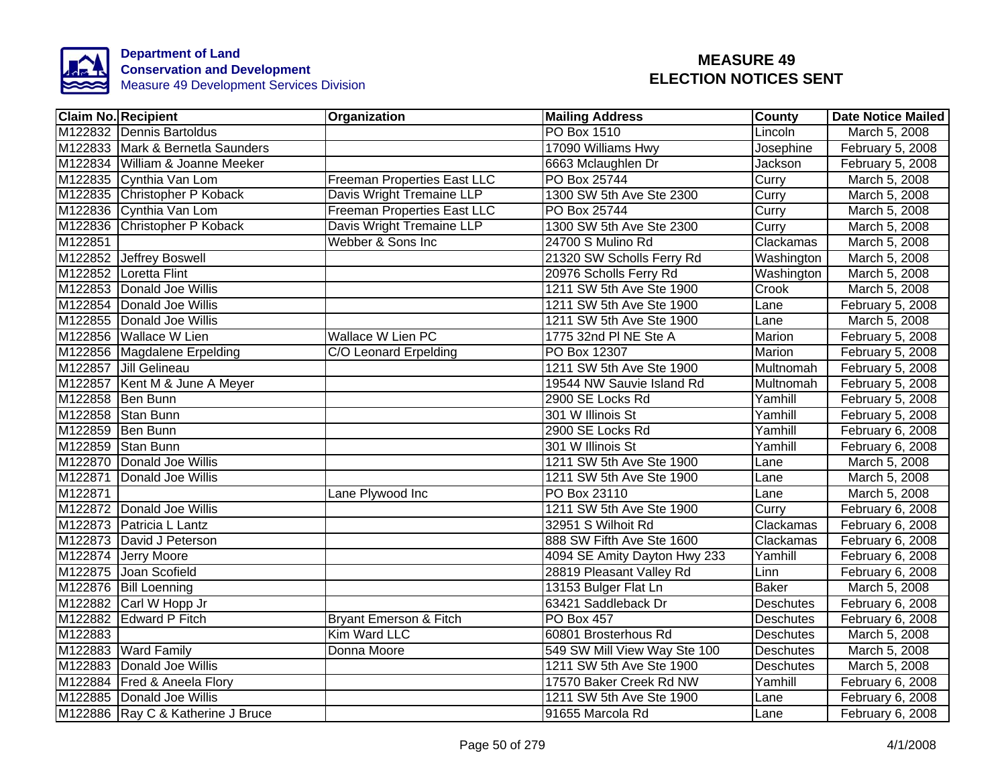

| <b>Claim No. Recipient</b>        | Organization                       | <b>Mailing Address</b>       | <b>County</b>    | <b>Date Notice Mailed</b> |
|-----------------------------------|------------------------------------|------------------------------|------------------|---------------------------|
| M122832 Dennis Bartoldus          |                                    | <b>PO Box 1510</b>           | Lincoln          | March 5, 2008             |
| M122833 Mark & Bernetla Saunders  |                                    | 17090 Williams Hwy           | Josephine        | February 5, 2008          |
| M122834 William & Joanne Meeker   |                                    | 6663 Mclaughlen Dr           | Jackson          | February 5, 2008          |
| M122835 Cynthia Van Lom           | <b>Freeman Properties East LLC</b> | PO Box 25744                 | Curry            | March 5, 2008             |
| M122835 Christopher P Koback      | Davis Wright Tremaine LLP          | 1300 SW 5th Ave Ste 2300     | Curry            | March 5, 2008             |
| M122836 Cynthia Van Lom           | <b>Freeman Properties East LLC</b> | PO Box 25744                 | Curry            | March 5, 2008             |
| M122836 Christopher P Koback      | Davis Wright Tremaine LLP          | 1300 SW 5th Ave Ste 2300     | Curry            | March 5, 2008             |
| M <sub>122851</sub>               | Webber & Sons Inc                  | 24700 S Mulino Rd            | Clackamas        | March 5, 2008             |
| M122852 Jeffrey Boswell           |                                    | 21320 SW Scholls Ferry Rd    | Washington       | March 5, 2008             |
| M122852 Loretta Flint             |                                    | 20976 Scholls Ferry Rd       | Washington       | March 5, 2008             |
| M122853 Donald Joe Willis         |                                    | 1211 SW 5th Ave Ste 1900     | Crook            | March 5, 2008             |
| M122854 Donald Joe Willis         |                                    | 1211 SW 5th Ave Ste 1900     | Lane             | February 5, 2008          |
| M122855 Donald Joe Willis         |                                    | 1211 SW 5th Ave Ste 1900     | Lane             | March 5, 2008             |
| M122856 Wallace W Lien            | <b>Wallace W Lien PC</b>           | 1775 32nd PI NE Ste A        | Marion           | February 5, 2008          |
| M122856 Magdalene Erpelding       | C/O Leonard Erpelding              | PO Box 12307                 | <b>Marion</b>    | February 5, 2008          |
| M122857 Jill Gelineau             |                                    | 1211 SW 5th Ave Ste 1900     | Multnomah        | February 5, 2008          |
| M122857 Kent M & June A Meyer     |                                    | 19544 NW Sauvie Island Rd    | Multnomah        | February 5, 2008          |
| M122858 Ben Bunn                  |                                    | 2900 SE Locks Rd             | Yamhill          | February 5, 2008          |
| M122858 Stan Bunn                 |                                    | 301 W Illinois St            | Yamhill          | February 5, 2008          |
| M122859 Ben Bunn                  |                                    | 2900 SE Locks Rd             | Yamhill          | February 6, 2008          |
| M122859 Stan Bunn                 |                                    | 301 W Illinois St            | Yamhill          | February 6, 2008          |
| M122870 Donald Joe Willis         |                                    | 1211 SW 5th Ave Ste 1900     | Lane             | March 5, 2008             |
| M122871 Donald Joe Willis         |                                    | 1211 SW 5th Ave Ste 1900     | Lane             | March 5, 2008             |
| M122871                           | Lane Plywood Inc                   | PO Box 23110                 | Lane             | March 5, 2008             |
| M122872 Donald Joe Willis         |                                    | 1211 SW 5th Ave Ste 1900     | Curry            | February 6, 2008          |
| M122873 Patricia L Lantz          |                                    | 32951 S Wilhoit Rd           | Clackamas        | February 6, 2008          |
| M122873 David J Peterson          |                                    | 888 SW Fifth Ave Ste 1600    | Clackamas        | February 6, 2008          |
| M122874 Jerry Moore               |                                    | 4094 SE Amity Dayton Hwy 233 | Yamhill          | February 6, 2008          |
| M122875 Joan Scofield             |                                    | 28819 Pleasant Valley Rd     | Linn             | February 6, 2008          |
| M122876 Bill Loenning             |                                    | 13153 Bulger Flat Ln         | <b>Baker</b>     | March 5, 2008             |
| M122882 Carl W Hopp Jr            |                                    | 63421 Saddleback Dr          | <b>Deschutes</b> | February 6, 2008          |
| M122882 Edward P Fitch            | Bryant Emerson & Fitch             | <b>PO Box 457</b>            | <b>Deschutes</b> | February 6, 2008          |
| M122883                           | Kim Ward LLC                       | 60801 Brosterhous Rd         | Deschutes        | March 5, 2008             |
| M122883 Ward Family               | Donna Moore                        | 549 SW Mill View Way Ste 100 | <b>Deschutes</b> | March 5, 2008             |
| M122883 Donald Joe Willis         |                                    | 1211 SW 5th Ave Ste 1900     | <b>Deschutes</b> | March 5, 2008             |
| M122884   Fred & Aneela Flory     |                                    | 17570 Baker Creek Rd NW      | Yamhill          | February 6, 2008          |
| M122885 Donald Joe Willis         |                                    | 1211 SW 5th Ave Ste 1900     | Lane             | February 6, 2008          |
| M122886 Ray C & Katherine J Bruce |                                    | 91655 Marcola Rd             | Lane             | February 6, 2008          |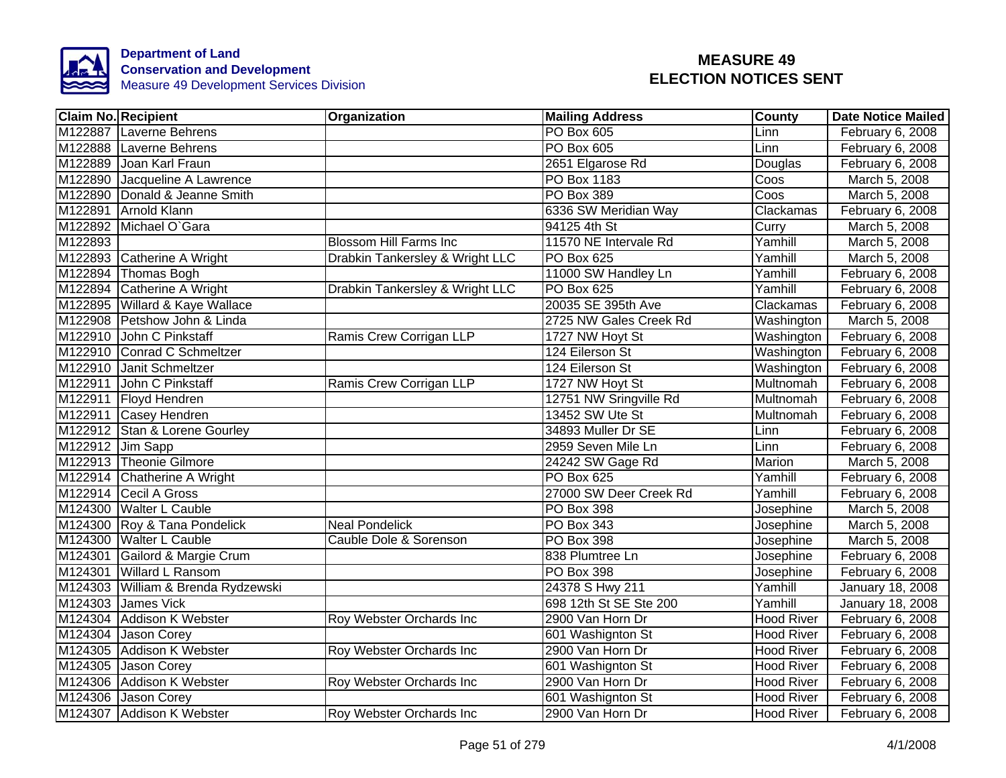

|                  | <b>Claim No. Recipient</b>         | Organization                    | <b>Mailing Address</b> | County            | <b>Date Notice Mailed</b> |
|------------------|------------------------------------|---------------------------------|------------------------|-------------------|---------------------------|
|                  | M122887 Laverne Behrens            |                                 | <b>PO Box 605</b>      | Linn              | February 6, 2008          |
|                  | M122888 Laverne Behrens            |                                 | <b>PO Box 605</b>      | Linn              | February 6, 2008          |
|                  | M122889 Joan Karl Fraun            |                                 | 2651 Elgarose Rd       | Douglas           | February 6, 2008          |
| M122890          | Jacqueline A Lawrence              |                                 | PO Box 1183            | Coos              | March 5, 2008             |
|                  | M122890 Donald & Jeanne Smith      |                                 | PO Box 389             | Coos              | March 5, 2008             |
|                  | M122891 Arnold Klann               |                                 | 6336 SW Meridian Way   | Clackamas         | February 6, 2008          |
|                  | M122892 Michael O'Gara             |                                 | 94125 4th St           | Curry             | March 5, 2008             |
| M122893          |                                    | <b>Blossom Hill Farms Inc</b>   | 11570 NE Intervale Rd  | Yamhill           | March 5, 2008             |
|                  | M122893 Catherine A Wright         | Drabkin Tankersley & Wright LLC | PO Box 625             | Yamhill           | March 5, 2008             |
|                  | M122894 Thomas Bogh                |                                 | 11000 SW Handley Ln    | Yamhill           | February 6, 2008          |
|                  | M122894 Catherine A Wright         | Drabkin Tankersley & Wright LLC | PO Box 625             | Yamhill           | February 6, 2008          |
|                  | M122895 Willard & Kaye Wallace     |                                 | 20035 SE 395th Ave     | Clackamas         | February 6, 2008          |
|                  | M122908 Petshow John & Linda       |                                 | 2725 NW Gales Creek Rd | Washington        | March 5, 2008             |
|                  | M122910 John C Pinkstaff           | Ramis Crew Corrigan LLP         | 1727 NW Hoyt St        | Washington        | February 6, 2008          |
|                  | M122910 Conrad C Schmeltzer        |                                 | 124 Eilerson St        | Washington        | February 6, 2008          |
|                  | M122910 Janit Schmeltzer           |                                 | 124 Eilerson St        | Washington        | February 6, 2008          |
|                  | M122911 John C Pinkstaff           | Ramis Crew Corrigan LLP         | 1727 NW Hoyt St        | Multnomah         | February 6, 2008          |
|                  | M122911 Floyd Hendren              |                                 | 12751 NW Sringville Rd | <b>Multnomah</b>  | February 6, 2008          |
|                  | M122911 Casey Hendren              |                                 | 13452 SW Ute St        | Multnomah         | February 6, 2008          |
|                  | M122912 Stan & Lorene Gourley      |                                 | 34893 Muller Dr SE     | Linn              | February 6, 2008          |
| M122912 Jim Sapp |                                    |                                 | 2959 Seven Mile Ln     | Linn              | February 6, 2008          |
|                  | M122913 Theonie Gilmore            |                                 | 24242 SW Gage Rd       | Marion            | March 5, 2008             |
|                  | M122914 Chatherine A Wright        |                                 | <b>PO Box 625</b>      | Yamhill           | February 6, 2008          |
|                  | M122914 Cecil A Gross              |                                 | 27000 SW Deer Creek Rd | Yamhill           | February 6, 2008          |
|                  | M124300 Walter L Cauble            |                                 | PO Box 398             | Josephine         | March 5, 2008             |
|                  | M124300 Roy & Tana Pondelick       | <b>Neal Pondelick</b>           | PO Box 343             | Josephine         | March 5, 2008             |
|                  | M124300 Walter L Cauble            | Cauble Dole & Sorenson          | <b>PO Box 398</b>      | Josephine         | March 5, 2008             |
|                  | M124301 Gailord & Margie Crum      |                                 | 838 Plumtree Ln        | Josephine         | February 6, 2008          |
|                  | M124301 Willard L Ransom           |                                 | PO Box 398             | Josephine         | February 6, 2008          |
|                  | M124303 William & Brenda Rydzewski |                                 | 24378 S Hwy 211        | Yamhill           | January 18, 2008          |
|                  | M124303 James Vick                 |                                 | 698 12th St SE Ste 200 | Yamhill           | January 18, 2008          |
|                  | M124304 Addison K Webster          | Roy Webster Orchards Inc        | 2900 Van Horn Dr       | <b>Hood River</b> | February 6, 2008          |
| M124304          | Jason Corey                        |                                 | 601 Washignton St      | <b>Hood River</b> | February 6, 2008          |
|                  | M124305 Addison K Webster          | Roy Webster Orchards Inc        | 2900 Van Horn Dr       | <b>Hood River</b> | February 6, 2008          |
|                  | M124305 Jason Corey                |                                 | 601 Washignton St      | <b>Hood River</b> | February 6, 2008          |
|                  | M124306 Addison K Webster          | Roy Webster Orchards Inc        | 2900 Van Horn Dr       | <b>Hood River</b> | February 6, 2008          |
|                  | M124306 Jason Corey                |                                 | 601 Washignton St      | <b>Hood River</b> | February 6, 2008          |
|                  | M124307 Addison K Webster          | Roy Webster Orchards Inc        | 2900 Van Horn Dr       | <b>Hood River</b> | February 6, 2008          |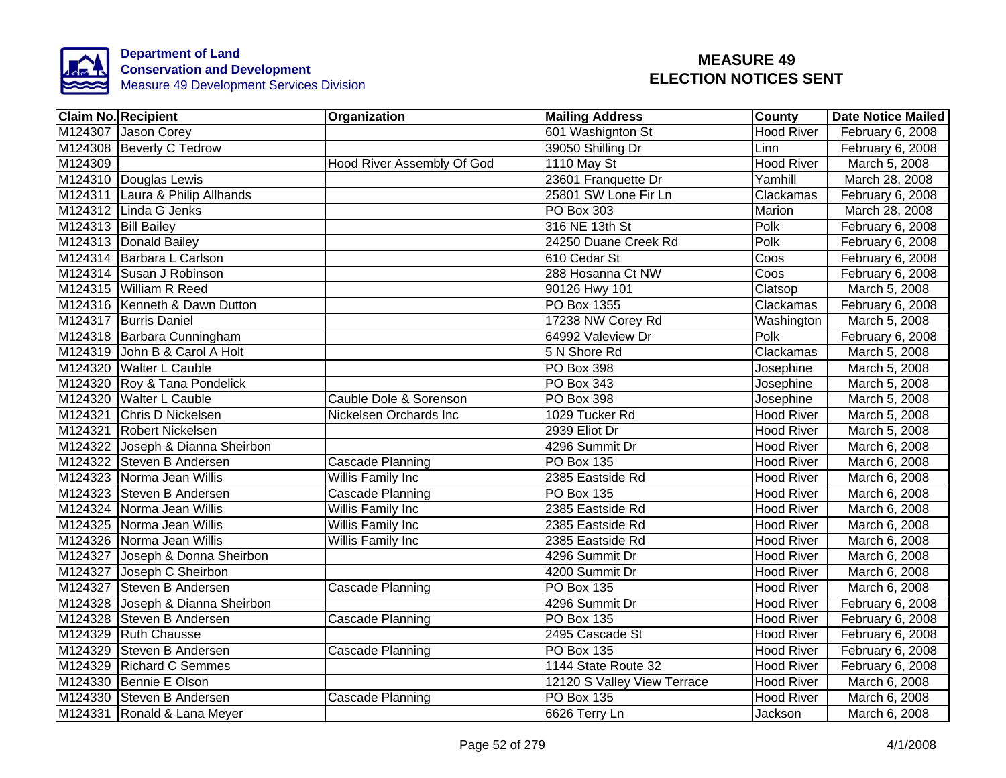

|         | <b>Claim No. Recipient</b>       | Organization               | <b>Mailing Address</b>      | County            | <b>Date Notice Mailed</b> |
|---------|----------------------------------|----------------------------|-----------------------------|-------------------|---------------------------|
|         | M124307 Jason Corey              |                            | 601 Washignton St           | <b>Hood River</b> | February 6, 2008          |
|         | M124308 Beverly C Tedrow         |                            | 39050 Shilling Dr           | Linn              | February 6, 2008          |
| M124309 |                                  | Hood River Assembly Of God | 1110 May St                 | <b>Hood River</b> | March 5, 2008             |
|         | M124310 Douglas Lewis            |                            | 23601 Franquette Dr         | Yamhill           | March 28, 2008            |
|         | M124311 Laura & Philip Allhands  |                            | 25801 SW Lone Fir Ln        | Clackamas         | February 6, 2008          |
|         | M124312 Linda G Jenks            |                            | PO Box 303                  | Marion            | March 28, 2008            |
|         | M124313 Bill Bailey              |                            | 316 NE 13th St              | Polk              | February 6, 2008          |
|         | M124313 Donald Bailey            |                            | 24250 Duane Creek Rd        | Polk              | February 6, 2008          |
|         | M124314 Barbara L Carlson        |                            | 610 Cedar St                | Coos              | February 6, 2008          |
|         | M124314 Susan J Robinson         |                            | 288 Hosanna Ct NW           | Coos              | February 6, 2008          |
|         | M124315 William R Reed           |                            | 90126 Hwy 101               | Clatsop           | March 5, 2008             |
|         | M124316 Kenneth & Dawn Dutton    |                            | PO Box 1355                 | Clackamas         | February 6, 2008          |
|         | M124317 Burris Daniel            |                            | 17238 NW Corey Rd           | Washington        | March 5, 2008             |
|         | M124318 Barbara Cunningham       |                            | 64992 Valeview Dr           | Polk              | February 6, 2008          |
|         | M124319 John B & Carol A Holt    |                            | 5 N Shore Rd                | Clackamas         | March 5, 2008             |
|         | M124320 Walter L Cauble          |                            | PO Box 398                  | Josephine         | March 5, 2008             |
|         | M124320 Roy & Tana Pondelick     |                            | PO Box 343                  | Josephine         | March 5, 2008             |
|         | M124320 Walter L Cauble          | Cauble Dole & Sorenson     | PO Box 398                  | Josephine         | March 5, 2008             |
|         | M124321 Chris D Nickelsen        | Nickelsen Orchards Inc     | 1029 Tucker Rd              | <b>Hood River</b> | March 5, 2008             |
|         | M124321 Robert Nickelsen         |                            | 2939 Eliot Dr               | Hood River        | March 5, 2008             |
|         | M124322 Joseph & Dianna Sheirbon |                            | 4296 Summit Dr              | Hood River        | March 6, 2008             |
|         | M124322 Steven B Andersen        | <b>Cascade Planning</b>    | <b>PO Box 135</b>           | <b>Hood River</b> | March 6, 2008             |
|         | M124323 Norma Jean Willis        | Willis Family Inc          | 2385 Eastside Rd            | <b>Hood River</b> | March 6, 2008             |
|         | M124323 Steven B Andersen        | Cascade Planning           | <b>PO Box 135</b>           | <b>Hood River</b> | March 6, 2008             |
|         | M124324 Norma Jean Willis        | <b>Willis Family Inc</b>   | 2385 Eastside Rd            | <b>Hood River</b> | March 6, 2008             |
|         | M124325 Norma Jean Willis        | <b>Willis Family Inc</b>   | 2385 Eastside Rd            | Hood River        | March 6, 2008             |
|         | M124326 Norma Jean Willis        | Willis Family Inc          | 2385 Eastside Rd            | <b>Hood River</b> | March 6, 2008             |
|         | M124327 Joseph & Donna Sheirbon  |                            | 4296 Summit Dr              | <b>Hood River</b> | March 6, 2008             |
|         | M124327 Joseph C Sheirbon        |                            | 4200 Summit Dr              | <b>Hood River</b> | March 6, 2008             |
|         | M124327 Steven B Andersen        | Cascade Planning           | <b>PO Box 135</b>           | <b>Hood River</b> | March 6, 2008             |
|         | M124328 Joseph & Dianna Sheirbon |                            | 4296 Summit Dr              | <b>Hood River</b> | February 6, 2008          |
|         | M124328 Steven B Andersen        | Cascade Planning           | PO Box 135                  | <b>Hood River</b> | February 6, 2008          |
|         | M124329 Ruth Chausse             |                            | 2495 Cascade St             | <b>Hood River</b> | February 6, 2008          |
|         | M124329 Steven B Andersen        | Cascade Planning           | PO Box 135                  | <b>Hood River</b> | February 6, 2008          |
|         | M124329 Richard C Semmes         |                            | 1144 State Route 32         | <b>Hood River</b> | February 6, 2008          |
|         | M124330 Bennie E Olson           |                            | 12120 S Valley View Terrace | Hood River        | March 6, 2008             |
|         | M124330 Steven B Andersen        | Cascade Planning           | PO Box 135                  | <b>Hood River</b> | March 6, 2008             |
|         | M124331 Ronald & Lana Meyer      |                            | 6626 Terry Ln               | Jackson           | March 6, 2008             |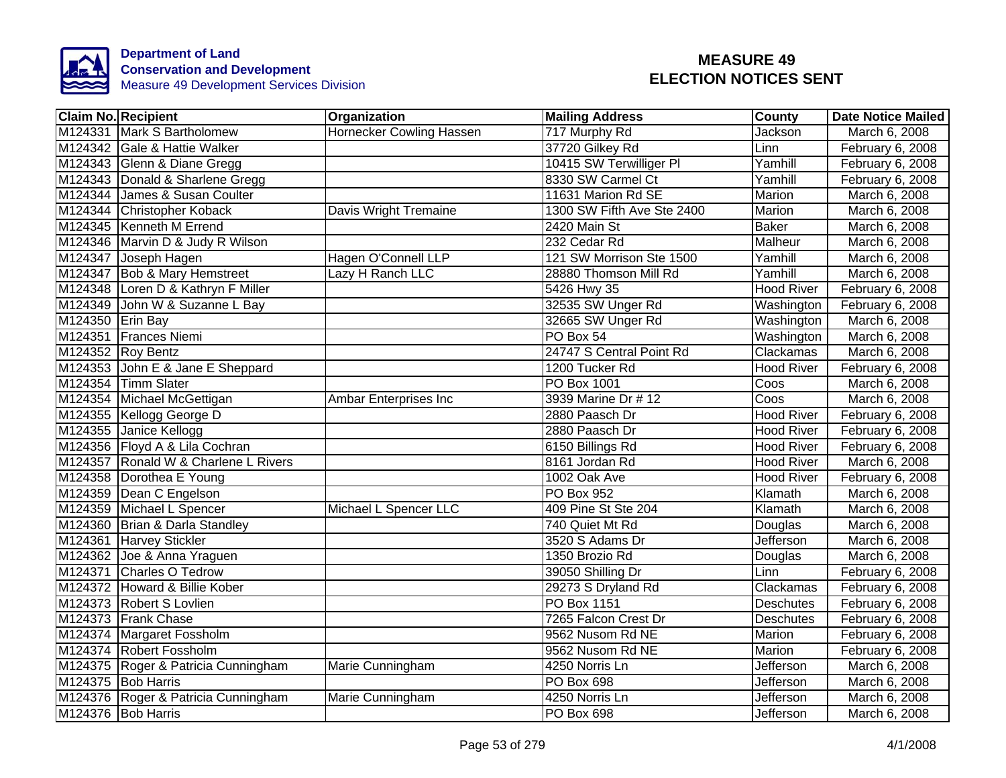

|                  | <b>Claim No. Recipient</b>           | Organization               | <b>Mailing Address</b>     | <b>County</b>           | <b>Date Notice Mailed</b> |
|------------------|--------------------------------------|----------------------------|----------------------------|-------------------------|---------------------------|
|                  | M124331 Mark S Bartholomew           | Hornecker Cowling Hassen   | 717 Murphy Rd              | Jackson                 | March 6, 2008             |
|                  | M124342 Gale & Hattie Walker         |                            | 37720 Gilkey Rd            | Linn                    | February 6, 2008          |
|                  | M124343 Glenn & Diane Gregg          |                            | 10415 SW Terwilliger PI    | Yamhill                 | February 6, 2008          |
|                  | M124343 Donald & Sharlene Gregg      |                            | 8330 SW Carmel Ct          | Yamhill                 | February 6, 2008          |
|                  | M124344 James & Susan Coulter        |                            | 11631 Marion Rd SE         | Marion                  | March 6, 2008             |
|                  | M124344 Christopher Koback           | Davis Wright Tremaine      | 1300 SW Fifth Ave Ste 2400 | Marion                  | March 6, 2008             |
|                  | M124345 Kenneth M Errend             |                            | 2420 Main St               | <b>Baker</b>            | March 6, 2008             |
|                  | M124346 Marvin D & Judy R Wilson     |                            | 232 Cedar Rd               | Malheur                 | March 6, 2008             |
|                  | M124347 Joseph Hagen                 | <b>Hagen O'Connell LLP</b> | 121 SW Morrison Ste 1500   | Yamhill                 | March 6, 2008             |
|                  | M124347 Bob & Mary Hemstreet         | Lazy H Ranch LLC           | 28880 Thomson Mill Rd      | Yamhill                 | March 6, 2008             |
|                  | M124348 Loren D & Kathryn F Miller   |                            | 5426 Hwy 35                | Hood River              | February 6, 2008          |
|                  | M124349 John W & Suzanne L Bay       |                            | 32535 SW Unger Rd          | Washington              | February 6, 2008          |
| M124350 Erin Bay |                                      |                            | 32665 SW Unger Rd          | Washington              | March 6, 2008             |
|                  | M124351 Frances Niemi                |                            | PO Box 54                  | Washington              | March 6, 2008             |
|                  | M124352 Roy Bentz                    |                            | 24747 S Central Point Rd   | Clackamas               | March 6, 2008             |
|                  | M124353 John E & Jane E Sheppard     |                            | 1200 Tucker Rd             | <b>Hood River</b>       | February 6, 2008          |
|                  | M124354 Timm Slater                  |                            | <b>PO Box 1001</b>         | Coos                    | March 6, 2008             |
|                  | M124354 Michael McGettigan           | Ambar Enterprises Inc      | 3939 Marine Dr # 12        | $\overline{\text{Cos}}$ | March 6, 2008             |
|                  | M124355 Kellogg George D             |                            | 2880 Paasch Dr             | <b>Hood River</b>       | February 6, 2008          |
|                  | M124355 Janice Kellogg               |                            | 2880 Paasch Dr             | <b>Hood River</b>       | February 6, 2008          |
|                  | M124356 Floyd A & Lila Cochran       |                            | 6150 Billings Rd           | <b>Hood River</b>       | February 6, 2008          |
|                  | M124357 Ronald W & Charlene L Rivers |                            | 8161 Jordan Rd             | <b>Hood River</b>       | March 6, 2008             |
|                  | M124358 Dorothea E Young             |                            | 1002 Oak Ave               | <b>Hood River</b>       | February 6, 2008          |
|                  | M124359 Dean C Engelson              |                            | <b>PO Box 952</b>          | Klamath                 | March 6, 2008             |
|                  | M124359 Michael L Spencer            | Michael L Spencer LLC      | 409 Pine St Ste 204        | Klamath                 | March 6, 2008             |
|                  | M124360 Brian & Darla Standley       |                            | 740 Quiet Mt Rd            | Douglas                 | March 6, 2008             |
|                  | M124361 Harvey Stickler              |                            | 3520 S Adams Dr            | Jefferson               | March 6, 2008             |
|                  | M124362 Joe & Anna Yraguen           |                            | 1350 Brozio Rd             | Douglas                 | March 6, 2008             |
|                  | M124371 Charles O Tedrow             |                            | 39050 Shilling Dr          | Linn                    | February 6, 2008          |
|                  | M124372 Howard & Billie Kober        |                            | 29273 S Dryland Rd         | Clackamas               | February 6, 2008          |
|                  | M124373 Robert S Lovlien             |                            | PO Box 1151                | <b>Deschutes</b>        | February 6, 2008          |
|                  | M124373 Frank Chase                  |                            | 7265 Falcon Crest Dr       | <b>Deschutes</b>        | February 6, 2008          |
|                  | M124374 Margaret Fossholm            |                            | 9562 Nusom Rd NE           | Marion                  | February 6, 2008          |
|                  | M124374 Robert Fossholm              |                            | 9562 Nusom Rd NE           | Marion                  | February 6, 2008          |
|                  | M124375 Roger & Patricia Cunningham  | Marie Cunningham           | 4250 Norris Ln             | Jefferson               | March 6, 2008             |
|                  | M124375 Bob Harris                   |                            | PO Box 698                 | Jefferson               | March 6, 2008             |
|                  | M124376 Roger & Patricia Cunningham  | Marie Cunningham           | 4250 Norris Ln             | Jefferson               | March 6, 2008             |
|                  | M124376 Bob Harris                   |                            | PO Box 698                 | Jefferson               | March 6, 2008             |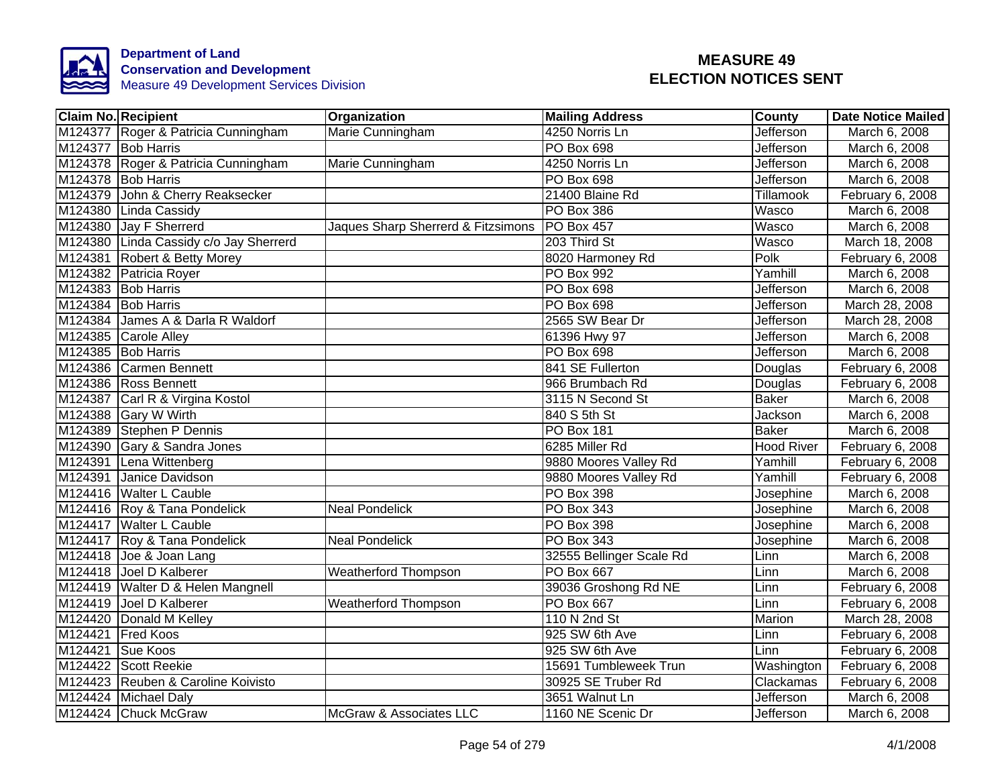

| <b>Claim No. Recipient</b>             | Organization                       | <b>Mailing Address</b>   | <b>County</b>     | Date Notice Mailed |
|----------------------------------------|------------------------------------|--------------------------|-------------------|--------------------|
| M124377 Roger & Patricia Cunningham    | Marie Cunningham                   | 4250 Norris Ln           | Jefferson         | March 6, 2008      |
| M124377 Bob Harris                     |                                    | <b>PO Box 698</b>        | Jefferson         | March 6, 2008      |
| M124378 Roger & Patricia Cunningham    | Marie Cunningham                   | 4250 Norris Ln           | Jefferson         | March 6, 2008      |
| M124378 Bob Harris                     |                                    | PO Box 698               | Jefferson         | March 6, 2008      |
| M124379 John & Cherry Reaksecker       |                                    | 21400 Blaine Rd          | Tillamook         | February 6, 2008   |
| M124380 Linda Cassidy                  |                                    | PO Box 386               | <b>Wasco</b>      | March 6, 2008      |
| M124380 Jay F Sherrerd                 | Jaques Sharp Sherrerd & Fitzsimons | PO Box 457               | Wasco             | March 6, 2008      |
| M124380 Linda Cassidy c/o Jay Sherrerd |                                    | 203 Third St             | Wasco             | March 18, 2008     |
| M124381 Robert & Betty Morey           |                                    | 8020 Harmoney Rd         | Polk              | February 6, 2008   |
| M124382 Patricia Royer                 |                                    | <b>PO Box 992</b>        | Yamhill           | March 6, 2008      |
| M124383 Bob Harris                     |                                    | PO Box 698               | Jefferson         | March 6, 2008      |
| M124384 Bob Harris                     |                                    | PO Box 698               | Jefferson         | March 28, 2008     |
| M124384 James A & Darla R Waldorf      |                                    | 2565 SW Bear Dr          | Jefferson         | March 28, 2008     |
| M124385 Carole Alley                   |                                    | 61396 Hwy 97             | <b>Jefferson</b>  | March 6, 2008      |
| M124385 Bob Harris                     |                                    | PO Box 698               | <b>Jefferson</b>  | March 6, 2008      |
| M124386 Carmen Bennett                 |                                    | 841 SE Fullerton         | Douglas           | February 6, 2008   |
| M124386 Ross Bennett                   |                                    | 966 Brumbach Rd          | Douglas           | February 6, 2008   |
| M124387 Carl R & Virgina Kostol        |                                    | 3115 N Second St         | <b>Baker</b>      | March 6, 2008      |
| M124388 Gary W Wirth                   |                                    | 840 S 5th St             | <b>Jackson</b>    | March 6, 2008      |
| M124389 Stephen P Dennis               |                                    | <b>PO Box 181</b>        | <b>Baker</b>      | March 6, 2008      |
| M124390 Gary & Sandra Jones            |                                    | 6285 Miller Rd           | <b>Hood River</b> | February 6, 2008   |
| M124391 Lena Wittenberg                |                                    | 9880 Moores Valley Rd    | Yamhill           | February 6, 2008   |
| M124391 Janice Davidson                |                                    | 9880 Moores Valley Rd    | Yamhill           | February 6, 2008   |
| M124416 Walter L Cauble                |                                    | <b>PO Box 398</b>        | Josephine         | March 6, 2008      |
| M124416 Roy & Tana Pondelick           | <b>Neal Pondelick</b>              | <b>PO Box 343</b>        | Josephine         | March 6, 2008      |
| M124417 Walter L Cauble                |                                    | PO Box 398               | Josephine         | March 6, 2008      |
| M124417 Roy & Tana Pondelick           | <b>Neal Pondelick</b>              | <b>PO Box 343</b>        | Josephine         | March 6, 2008      |
| M124418 Joe & Joan Lang                |                                    | 32555 Bellinger Scale Rd | Linn              | March 6, 2008      |
| M124418 Joel D Kalberer                | <b>Weatherford Thompson</b>        | <b>PO Box 667</b>        | Linn              | March 6, 2008      |
| M124419 Walter D & Helen Mangnell      |                                    | 39036 Groshong Rd NE     | Linn              | February 6, 2008   |
| M124419 Joel D Kalberer                | <b>Weatherford Thompson</b>        | <b>PO Box 667</b>        | Linn              | February 6, 2008   |
| M124420 Donald M Kelley                |                                    | 110 N 2nd St             | Marion            | March 28, 2008     |
| M124421 Fred Koos                      |                                    | 925 SW 6th Ave           | Linn              | February 6, 2008   |
| M124421 Sue Koos                       |                                    | 925 SW 6th Ave           | Linn              | February 6, 2008   |
| M124422 Scott Reekie                   |                                    | 15691 Tumbleweek Trun    | Washington        | February 6, 2008   |
| M124423 Reuben & Caroline Koivisto     |                                    | 30925 SE Truber Rd       | Clackamas         | February 6, 2008   |
| M124424 Michael Daly                   |                                    | 3651 Walnut Ln           | Jefferson         | March 6, 2008      |
| M124424 Chuck McGraw                   | McGraw & Associates LLC            | 1160 NE Scenic Dr        | Jefferson         | March 6, 2008      |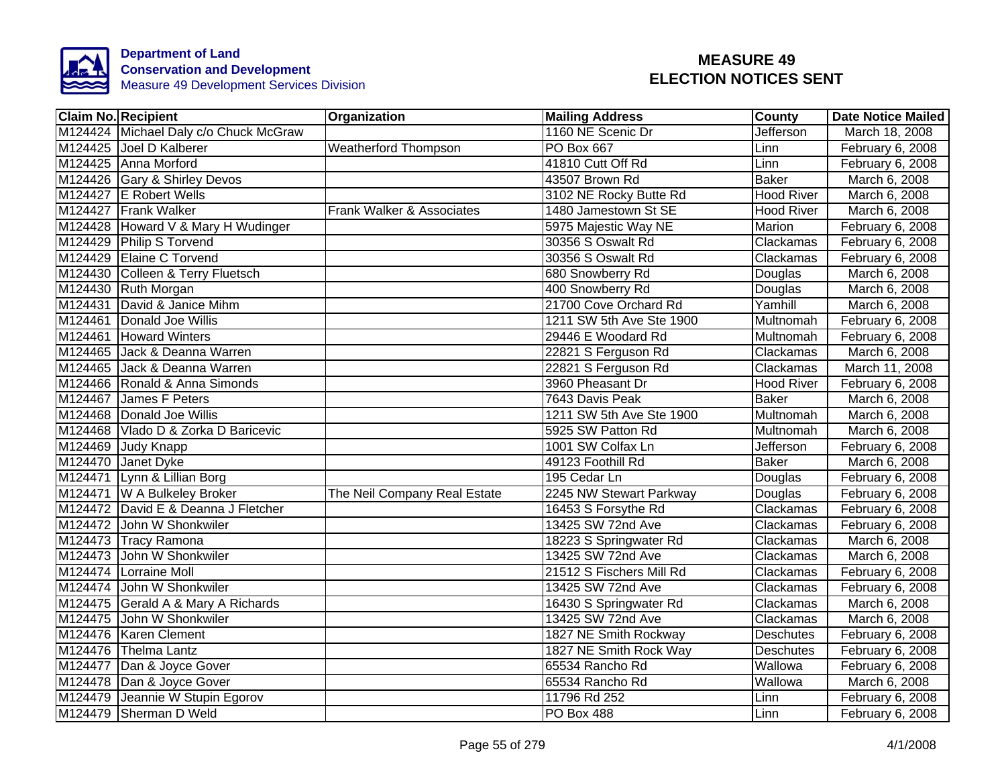

| <b>Claim No. Recipient</b>            | Organization                 | <b>Mailing Address</b>   | <b>County</b>     | Date Notice Mailed |
|---------------------------------------|------------------------------|--------------------------|-------------------|--------------------|
| M124424 Michael Daly c/o Chuck McGraw |                              | 1160 NE Scenic Dr        | Jefferson         | March 18, 2008     |
| M124425 Joel D Kalberer               | <b>Weatherford Thompson</b>  | <b>PO Box 667</b>        | Linn              | February 6, 2008   |
| M124425 Anna Morford                  |                              | 41810 Cutt Off Rd        | Linn              | February 6, 2008   |
| M124426 Gary & Shirley Devos          |                              | 43507 Brown Rd           | <b>Baker</b>      | March 6, 2008      |
| M124427 E Robert Wells                |                              | 3102 NE Rocky Butte Rd   | <b>Hood River</b> | March 6, 2008      |
| M124427 Frank Walker                  | Frank Walker & Associates    | 1480 Jamestown St SE     | <b>Hood River</b> | March 6, 2008      |
| M124428 Howard V & Mary H Wudinger    |                              | 5975 Majestic Way NE     | Marion            | February 6, 2008   |
| M124429 Philip S Torvend              |                              | 30356 S Oswalt Rd        | Clackamas         | February 6, 2008   |
| M124429 Elaine C Torvend              |                              | 30356 S Oswalt Rd        | Clackamas         | February 6, 2008   |
| M124430 Colleen & Terry Fluetsch      |                              | 680 Snowberry Rd         | Douglas           | March 6, 2008      |
| M124430 Ruth Morgan                   |                              | 400 Snowberry Rd         | Douglas           | March 6, 2008      |
| M124431 David & Janice Mihm           |                              | 21700 Cove Orchard Rd    | Yamhill           | March 6, 2008      |
| M124461 Donald Joe Willis             |                              | 1211 SW 5th Ave Ste 1900 | Multnomah         | February 6, 2008   |
| M124461 Howard Winters                |                              | 29446 E Woodard Rd       | Multnomah         | February 6, 2008   |
| M124465 Jack & Deanna Warren          |                              | 22821 S Ferguson Rd      | Clackamas         | March 6, 2008      |
| M124465 Jack & Deanna Warren          |                              | 22821 S Ferguson Rd      | Clackamas         | March 11, 2008     |
| M124466 Ronald & Anna Simonds         |                              | 3960 Pheasant Dr         | <b>Hood River</b> | February 6, 2008   |
| M124467 James F Peters                |                              | 7643 Davis Peak          | <b>Baker</b>      | March 6, 2008      |
| M124468 Donald Joe Willis             |                              | 1211 SW 5th Ave Ste 1900 | Multnomah         | March 6, 2008      |
| M124468 Vlado D & Zorka D Baricevic   |                              | 5925 SW Patton Rd        | Multnomah         | March 6, 2008      |
| M124469 Judy Knapp                    |                              | 1001 SW Colfax Ln        | Jefferson         | February 6, 2008   |
| M124470 Janet Dyke                    |                              | 49123 Foothill Rd        | <b>Baker</b>      | March 6, 2008      |
| M124471 Lynn & Lillian Borg           |                              | 195 Cedar Ln             | Douglas           | February 6, 2008   |
| M124471 W A Bulkeley Broker           | The Neil Company Real Estate | 2245 NW Stewart Parkway  | Douglas           | February 6, 2008   |
| M124472 David E & Deanna J Fletcher   |                              | 16453 S Forsythe Rd      | Clackamas         | February 6, 2008   |
| M124472 John W Shonkwiler             |                              | 13425 SW 72nd Ave        | Clackamas         | February 6, 2008   |
| M124473 Tracy Ramona                  |                              | 18223 S Springwater Rd   | Clackamas         | March 6, 2008      |
| M124473 John W Shonkwiler             |                              | 13425 SW 72nd Ave        | Clackamas         | March 6, 2008      |
| M124474 Lorraine Moll                 |                              | 21512 S Fischers Mill Rd | Clackamas         | February 6, 2008   |
| M124474 John W Shonkwiler             |                              | 13425 SW 72nd Ave        | Clackamas         | February 6, 2008   |
| M124475 Gerald A & Mary A Richards    |                              | 16430 S Springwater Rd   | Clackamas         | March 6, 2008      |
| M124475 John W Shonkwiler             |                              | 13425 SW 72nd Ave        | Clackamas         | March 6, 2008      |
| M124476 Karen Clement                 |                              | 1827 NE Smith Rockway    | <b>Deschutes</b>  | February 6, 2008   |
| M124476 Thelma Lantz                  |                              | 1827 NE Smith Rock Way   | Deschutes         | February 6, 2008   |
| M124477 Dan & Joyce Gover             |                              | 65534 Rancho Rd          | Wallowa           | February 6, 2008   |
| M124478 Dan & Joyce Gover             |                              | 65534 Rancho Rd          | Wallowa           | March 6, 2008      |
| M124479 Jeannie W Stupin Egorov       |                              | 11796 Rd 252             | Linn              | February 6, 2008   |
| M124479 Sherman D Weld                |                              | <b>PO Box 488</b>        | Linn              | February 6, 2008   |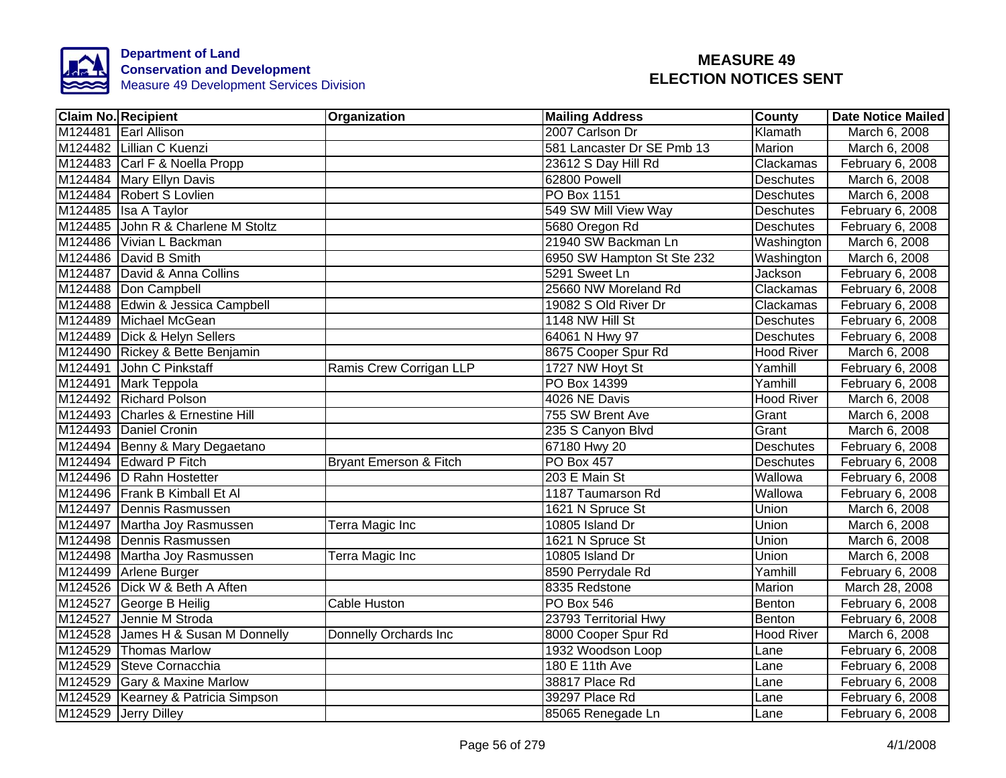

| <b>Claim No. Recipient</b>         | <b>Organization</b>               | <b>Mailing Address</b>     | <b>County</b>     | Date Notice Mailed |
|------------------------------------|-----------------------------------|----------------------------|-------------------|--------------------|
| M124481 Earl Allison               |                                   | 2007 Carlson Dr            | Klamath           | March 6, 2008      |
| M124482 Lillian C Kuenzi           |                                   | 581 Lancaster Dr SE Pmb 13 | Marion            | March 6, 2008      |
| M124483 Carl F & Noella Propp      |                                   | 23612 S Day Hill Rd        | Clackamas         | February 6, 2008   |
| M124484 Mary Ellyn Davis           |                                   | 62800 Powell               | <b>Deschutes</b>  | March 6, 2008      |
| M124484 Robert S Lovlien           |                                   | PO Box 1151                | <b>Deschutes</b>  | March 6, 2008      |
| M124485 Isa A Taylor               |                                   | 549 SW Mill View Way       | <b>Deschutes</b>  | February 6, 2008   |
| M124485 John R & Charlene M Stoltz |                                   | 5680 Oregon Rd             | <b>Deschutes</b>  | February 6, 2008   |
| M124486 Vivian L Backman           |                                   | 21940 SW Backman Ln        | Washington        | March 6, 2008      |
| M124486 David B Smith              |                                   | 6950 SW Hampton St Ste 232 | Washington        | March 6, 2008      |
| M124487 David & Anna Collins       |                                   | 5291 Sweet Ln              | Jackson           | February 6, 2008   |
| M124488 Don Campbell               |                                   | 25660 NW Moreland Rd       | Clackamas         | February 6, 2008   |
| M124488 Edwin & Jessica Campbell   |                                   | 19082 S Old River Dr       | Clackamas         | February 6, 2008   |
| M124489 Michael McGean             |                                   | 1148 NW Hill St            | <b>Deschutes</b>  | February 6, 2008   |
| M124489 Dick & Helyn Sellers       |                                   | 64061 N Hwy 97             | Deschutes         | February 6, 2008   |
| M124490 Rickey & Bette Benjamin    |                                   | 8675 Cooper Spur Rd        | <b>Hood River</b> | March 6, 2008      |
| M124491 John C Pinkstaff           | Ramis Crew Corrigan LLP           | 1727 NW Hoyt St            | Yamhill           | February 6, 2008   |
| M124491 Mark Teppola               |                                   | PO Box 14399               | Yamhill           | February 6, 2008   |
| M124492 Richard Polson             |                                   | 4026 NE Davis              | <b>Hood River</b> | March 6, 2008      |
| M124493 Charles & Ernestine Hill   |                                   | 755 SW Brent Ave           | Grant             | March 6, 2008      |
| M124493 Daniel Cronin              |                                   | 235 S Canyon Blvd          | Grant             | March 6, 2008      |
| M124494 Benny & Mary Degaetano     |                                   | 67180 Hwy 20               | Deschutes         | February 6, 2008   |
| M124494 Edward P Fitch             | <b>Bryant Emerson &amp; Fitch</b> | <b>PO Box 457</b>          | <b>Deschutes</b>  | February 6, 2008   |
| M124496 D Rahn Hostetter           |                                   | 203 E Main St              | Wallowa           | February 6, 2008   |
| M124496 Frank B Kimball Et Al      |                                   | 1187 Taumarson Rd          | Wallowa           | February 6, 2008   |
| M124497 Dennis Rasmussen           |                                   | 1621 N Spruce St           | Union             | March 6, 2008      |
| M124497 Martha Joy Rasmussen       | Terra Magic Inc                   | 10805 Island Dr            | Union             | March 6, 2008      |
| M124498 Dennis Rasmussen           |                                   | 1621 N Spruce St           | Union             | March 6, 2008      |
| M124498 Martha Joy Rasmussen       | Terra Magic Inc                   | 10805 Island Dr            | Union             | March 6, 2008      |
| M124499 Arlene Burger              |                                   | 8590 Perrydale Rd          | Yamhill           | February 6, 2008   |
| M124526 Dick W & Beth A Aften      |                                   | 8335 Redstone              | Marion            | March 28, 2008     |
| M124527 George B Heilig            | Cable Huston                      | <b>PO Box 546</b>          | Benton            | February 6, 2008   |
| M124527 Jennie M Stroda            |                                   | 23793 Territorial Hwy      | Benton            | February 6, 2008   |
| M124528 James H & Susan M Donnelly | Donnelly Orchards Inc             | 8000 Cooper Spur Rd        | <b>Hood River</b> | March 6, 2008      |
| M124529 Thomas Marlow              |                                   | 1932 Woodson Loop          | Lane              | February 6, 2008   |
| M124529 Steve Cornacchia           |                                   | 180 E 11th Ave             | Lane              | February 6, 2008   |
| M124529 Gary & Maxine Marlow       |                                   | 38817 Place Rd             | Lane              | February 6, 2008   |
| M124529 Kearney & Patricia Simpson |                                   | 39297 Place Rd             | Lane              | February 6, 2008   |
| M124529 Jerry Dilley               |                                   | 85065 Renegade Ln          | Lane              | February 6, 2008   |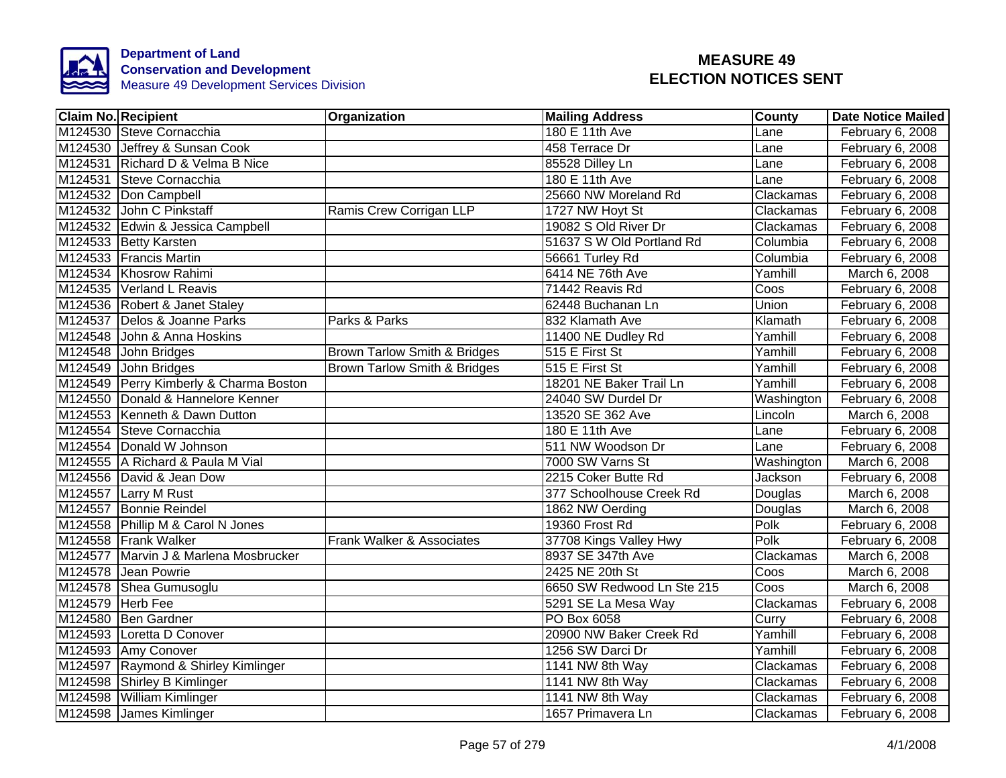

| <b>Claim No. Recipient</b>             | Organization                            | <b>Mailing Address</b>     | <b>County</b> | <b>Date Notice Mailed</b> |
|----------------------------------------|-----------------------------------------|----------------------------|---------------|---------------------------|
| M124530 Steve Cornacchia               |                                         | 180 E 11th Ave             | Lane          | February 6, 2008          |
| M124530 Jeffrey & Sunsan Cook          |                                         | 458 Terrace Dr             | Lane          | February 6, 2008          |
| M124531 Richard D & Velma B Nice       |                                         | 85528 Dilley Ln            | Lane          | February 6, 2008          |
| M124531 Steve Cornacchia               |                                         | 180 E 11th Ave             | Lane          | February 6, 2008          |
| M124532 Don Campbell                   |                                         | 25660 NW Moreland Rd       | Clackamas     | February 6, 2008          |
| M124532 John C Pinkstaff               | Ramis Crew Corrigan LLP                 | 1727 NW Hoyt St            | Clackamas     | February 6, 2008          |
| M124532 Edwin & Jessica Campbell       |                                         | 19082 S Old River Dr       | Clackamas     | February 6, 2008          |
| M124533 Betty Karsten                  |                                         | 51637 S W Old Portland Rd  | Columbia      | February 6, 2008          |
| M124533 Francis Martin                 |                                         | 56661 Turley Rd            | Columbia      | February 6, 2008          |
| M124534 Khosrow Rahimi                 |                                         | 6414 NE 76th Ave           | Yamhill       | March 6, 2008             |
| M124535 Verland L Reavis               |                                         | 71442 Reavis Rd            | Coos          | February 6, 2008          |
| M124536 Robert & Janet Staley          |                                         | 62448 Buchanan Ln          | Union         | February 6, 2008          |
| M124537 Delos & Joanne Parks           | Parks & Parks                           | 832 Klamath Ave            | Klamath       | February 6, 2008          |
| M124548 John & Anna Hoskins            |                                         | 11400 NE Dudley Rd         | Yamhill       | February 6, 2008          |
| M124548 John Bridges                   | <b>Brown Tarlow Smith &amp; Bridges</b> | 515 E First St             | Yamhill       | February 6, 2008          |
| M124549 John Bridges                   | <b>Brown Tarlow Smith &amp; Bridges</b> | 515 E First St             | Yamhill       | February 6, 2008          |
| M124549 Perry Kimberly & Charma Boston |                                         | 18201 NE Baker Trail Ln    | Yamhill       | February 6, 2008          |
| M124550 Donald & Hannelore Kenner      |                                         | 24040 SW Durdel Dr         | Washington    | February 6, 2008          |
| M124553 Kenneth & Dawn Dutton          |                                         | 13520 SE 362 Ave           | Lincoln       | March 6, 2008             |
| M124554 Steve Cornacchia               |                                         | 180 E 11th Ave             | Lane          | February 6, 2008          |
| M124554 Donald W Johnson               |                                         | 511 NW Woodson Dr          | Lane          | February 6, 2008          |
| M124555 A Richard & Paula M Vial       |                                         | 7000 SW Varns St           | Washington    | March 6, 2008             |
| M124556 David & Jean Dow               |                                         | 2215 Coker Butte Rd        | Jackson       | February 6, 2008          |
| M124557 Larry M Rust                   |                                         | 377 Schoolhouse Creek Rd   | Douglas       | March 6, 2008             |
| M124557 Bonnie Reindel                 |                                         | 1862 NW Oerding            | Douglas       | March 6, 2008             |
| M124558 Phillip M & Carol N Jones      |                                         | 19360 Frost Rd             | Polk          | February 6, 2008          |
| M124558 Frank Walker                   | Frank Walker & Associates               | 37708 Kings Valley Hwy     | Polk          | February 6, 2008          |
| M124577 Marvin J & Marlena Mosbrucker  |                                         | 8937 SE 347th Ave          | Clackamas     | March 6, 2008             |
| M124578 Jean Powrie                    |                                         | 2425 NE 20th St            | Coos          | March 6, 2008             |
| M124578 Shea Gumusoglu                 |                                         | 6650 SW Redwood Ln Ste 215 | Coos          | March 6, 2008             |
| M124579 Herb Fee                       |                                         | 5291 SE La Mesa Way        | Clackamas     | February 6, 2008          |
| M124580 Ben Gardner                    |                                         | PO Box 6058                | Curry         | February 6, 2008          |
| M124593 Loretta D Conover              |                                         | 20900 NW Baker Creek Rd    | Yamhill       | February 6, 2008          |
| M124593 Amy Conover                    |                                         | 1256 SW Darci Dr           | Yamhill       | February 6, 2008          |
| M124597 Raymond & Shirley Kimlinger    |                                         | 1141 NW 8th Way            | Clackamas     | February 6, 2008          |
| M124598 Shirley B Kimlinger            |                                         | 1141 NW 8th Way            | Clackamas     | February 6, 2008          |
| M124598 William Kimlinger              |                                         | 1141 NW 8th Way            | Clackamas     | February 6, 2008          |
| M124598 James Kimlinger                |                                         | 1657 Primavera Ln          | Clackamas     | February 6, 2008          |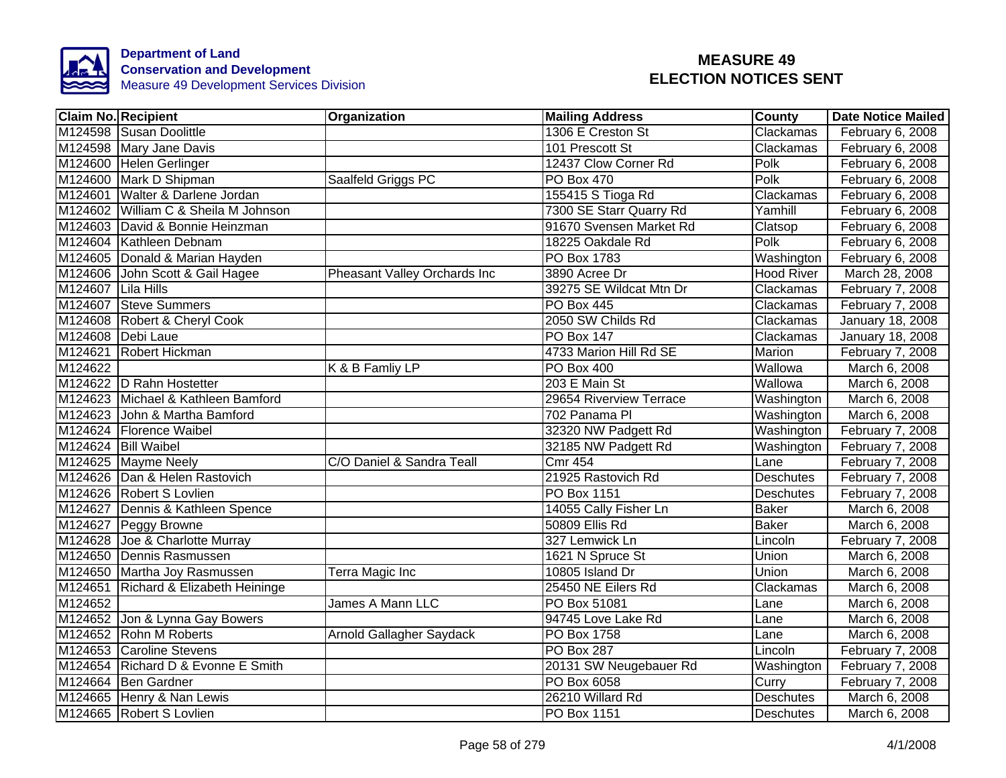

|                    | <b>Claim No. Recipient</b>           | <b>Organization</b>          | <b>Mailing Address</b>  | <b>County</b>     | <b>Date Notice Mailed</b> |
|--------------------|--------------------------------------|------------------------------|-------------------------|-------------------|---------------------------|
|                    | M124598 Susan Doolittle              |                              | 1306 E Creston St       | Clackamas         | February 6, 2008          |
|                    | M124598 Mary Jane Davis              |                              | 101 Prescott St         | Clackamas         | February 6, 2008          |
|                    | M124600 Helen Gerlinger              |                              | 12437 Clow Corner Rd    | Polk              | February 6, 2008          |
|                    | M124600 Mark D Shipman               | Saalfeld Griggs PC           | PO Box 470              | Polk              | February 6, 2008          |
|                    | M124601 Walter & Darlene Jordan      |                              | 155415 S Tioga Rd       | Clackamas         | February 6, 2008          |
|                    | M124602 William C & Sheila M Johnson |                              | 7300 SE Starr Quarry Rd | Yamhill           | February 6, 2008          |
|                    | M124603 David & Bonnie Heinzman      |                              | 91670 Svensen Market Rd | Clatsop           | February 6, 2008          |
|                    | M124604 Kathleen Debnam              |                              | 18225 Oakdale Rd        | Polk              | February 6, 2008          |
|                    | M124605 Donald & Marian Hayden       |                              | PO Box 1783             | Washington        | February 6, 2008          |
|                    | M124606 John Scott & Gail Hagee      | Pheasant Valley Orchards Inc | 3890 Acree Dr           | <b>Hood River</b> | March 28, 2008            |
| M124607 Lila Hills |                                      |                              | 39275 SE Wildcat Mtn Dr | Clackamas         | February 7, 2008          |
|                    | M124607 Steve Summers                |                              | PO Box 445              | Clackamas         | February 7, 2008          |
|                    | M124608 Robert & Cheryl Cook         |                              | 2050 SW Childs Rd       | Clackamas         | January 18, 2008          |
|                    | M124608 Debi Laue                    |                              | <b>PO Box 147</b>       | Clackamas         | January 18, 2008          |
|                    | M124621 Robert Hickman               |                              | 4733 Marion Hill Rd SE  | Marion            | February 7, 2008          |
| M124622            |                                      | K & B Famliy LP              | PO Box 400              | Wallowa           | March 6, 2008             |
|                    | M124622 D Rahn Hostetter             |                              | 203 E Main St           | Wallowa           | March 6, 2008             |
|                    | M124623 Michael & Kathleen Bamford   |                              | 29654 Riverview Terrace | Washington        | March 6, 2008             |
| M124623            | John & Martha Bamford                |                              | 702 Panama Pl           | Washington        | March 6, 2008             |
|                    | M124624   Florence Waibel            |                              | 32320 NW Padgett Rd     | Washington        | February 7, 2008          |
|                    | M124624 Bill Waibel                  |                              | 32185 NW Padgett Rd     | Washington        | February 7, 2008          |
|                    | M124625 Mayme Neely                  | C/O Daniel & Sandra Teall    | <b>Cmr 454</b>          | Lane              | February 7, 2008          |
|                    | M124626 Dan & Helen Rastovich        |                              | 21925 Rastovich Rd      | <b>Deschutes</b>  | February 7, 2008          |
|                    | M124626 Robert S Lovlien             |                              | <b>PO Box 1151</b>      | <b>Deschutes</b>  | February 7, 2008          |
|                    | M124627 Dennis & Kathleen Spence     |                              | 14055 Cally Fisher Ln   | <b>Baker</b>      | March 6, 2008             |
|                    | M124627 Peggy Browne                 |                              | 50809 Ellis Rd          | <b>Baker</b>      | March 6, 2008             |
|                    | M124628 Joe & Charlotte Murray       |                              | 327 Lemwick Ln          | Lincoln           | February 7, 2008          |
|                    | M124650 Dennis Rasmussen             |                              | 1621 N Spruce St        | Union             | March 6, 2008             |
|                    | M124650 Martha Joy Rasmussen         | Terra Magic Inc              | 10805 Island Dr         | Union             | March 6, 2008             |
|                    | M124651 Richard & Elizabeth Heininge |                              | 25450 NE Eilers Rd      | Clackamas         | March 6, 2008             |
| M124652            |                                      | James A Mann LLC             | PO Box 51081            | Lane              | March 6, 2008             |
|                    | M124652 Jon & Lynna Gay Bowers       |                              | 94745 Love Lake Rd      | Lane              | March 6, 2008             |
|                    | M124652 Rohn M Roberts               | Arnold Gallagher Saydack     | PO Box 1758             | Lane              | March 6, 2008             |
|                    | M124653 Caroline Stevens             |                              | PO Box 287              | Lincoln           | February 7, 2008          |
|                    | M124654 Richard D & Evonne E Smith   |                              | 20131 SW Neugebauer Rd  | Washington        | February 7, 2008          |
|                    | M124664 Ben Gardner                  |                              | PO Box 6058             | Curry             | February 7, 2008          |
|                    | M124665 Henry & Nan Lewis            |                              | 26210 Willard Rd        | Deschutes         | March 6, 2008             |
|                    | M124665 Robert S Lovlien             |                              | PO Box 1151             | <b>Deschutes</b>  | March 6, 2008             |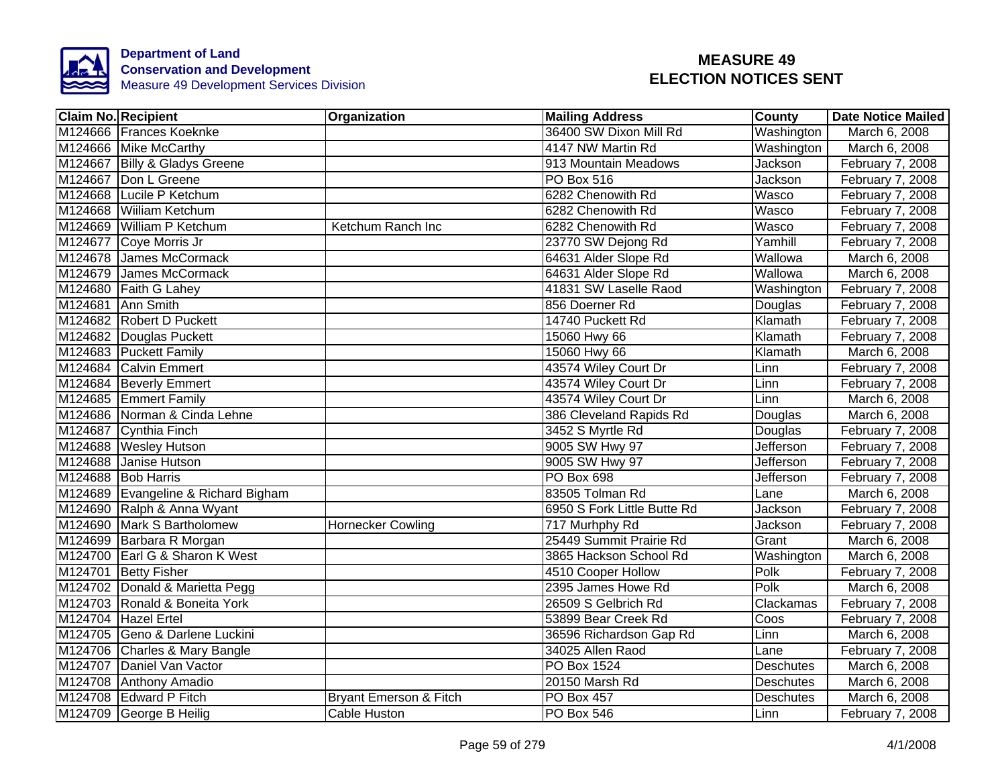

| <b>Claim No. Recipient</b>          | <b>Organization</b>      | <b>Mailing Address</b>      | County           | <b>Date Notice Mailed</b> |
|-------------------------------------|--------------------------|-----------------------------|------------------|---------------------------|
| M124666 Frances Koeknke             |                          | 36400 SW Dixon Mill Rd      | Washington       | March 6, 2008             |
| M124666 Mike McCarthy               |                          | 4147 NW Martin Rd           | Washington       | March 6, 2008             |
| M124667 Billy & Gladys Greene       |                          | 913 Mountain Meadows        | <b>Jackson</b>   | February 7, 2008          |
| M124667 Don L Greene                |                          | PO Box 516                  | Jackson          | February 7, 2008          |
| M124668 Lucile P Ketchum            |                          | 6282 Chenowith Rd           | Wasco            | February 7, 2008          |
| M124668 Wiiliam Ketchum             |                          | 6282 Chenowith Rd           | Wasco            | February 7, 2008          |
| M124669 William P Ketchum           | Ketchum Ranch Inc        | 6282 Chenowith Rd           | <b>Wasco</b>     | February 7, 2008          |
| M124677 Coye Morris Jr              |                          | 23770 SW Dejong Rd          | Yamhill          | February 7, 2008          |
| M124678 James McCormack             |                          | 64631 Alder Slope Rd        | Wallowa          | March 6, 2008             |
| M124679 James McCormack             |                          | 64631 Alder Slope Rd        | Wallowa          | March 6, 2008             |
| M124680 Faith G Lahey               |                          | 41831 SW Laselle Raod       | Washington       | February 7, 2008          |
| M124681 Ann Smith                   |                          | 856 Doerner Rd              | Douglas          | February 7, 2008          |
| M124682 Robert D Puckett            |                          | 14740 Puckett Rd            | Klamath          | February 7, 2008          |
| M124682 Douglas Puckett             |                          | 15060 Hwy 66                | Klamath          | February 7, 2008          |
| M124683 Puckett Family              |                          | 15060 Hwy 66                | Klamath          | March 6, 2008             |
| M124684 Calvin Emmert               |                          | 43574 Wiley Court Dr        | Linn             | February 7, 2008          |
| M124684 Beverly Emmert              |                          | 43574 Wiley Court Dr        | Linn             | February 7, 2008          |
| M124685 Emmert Family               |                          | 43574 Wiley Court Dr        | Linn             | March 6, 2008             |
| M124686 Norman & Cinda Lehne        |                          | 386 Cleveland Rapids Rd     | Douglas          | March 6, 2008             |
| M124687 Cynthia Finch               |                          | 3452 S Myrtle Rd            | Douglas          | February 7, 2008          |
| M124688 Wesley Hutson               |                          | 9005 SW Hwy 97              | <b>Jefferson</b> | February 7, 2008          |
| M124688 Janise Hutson               |                          | 9005 SW Hwy 97              | <b>Jefferson</b> | February 7, 2008          |
| M124688 Bob Harris                  |                          | PO Box 698                  | <b>Jefferson</b> | February 7, 2008          |
| M124689 Evangeline & Richard Bigham |                          | 83505 Tolman Rd             | Lane             | March 6, 2008             |
| M124690 Ralph & Anna Wyant          |                          | 6950 S Fork Little Butte Rd | <b>Jackson</b>   | February 7, 2008          |
| M124690 Mark S Bartholomew          | <b>Hornecker Cowling</b> | 717 Murhphy Rd              | Jackson          | February 7, 2008          |
| M124699 Barbara R Morgan            |                          | 25449 Summit Prairie Rd     | Grant            | March 6, 2008             |
| M124700 Earl G & Sharon K West      |                          | 3865 Hackson School Rd      | Washington       | March 6, 2008             |
| M124701 Betty Fisher                |                          | 4510 Cooper Hollow          | Polk             | February 7, 2008          |
| M124702 Donald & Marietta Pegg      |                          | 2395 James Howe Rd          | Polk             | March 6, 2008             |
| M124703 Ronald & Boneita York       |                          | 26509 S Gelbrich Rd         | Clackamas        | February 7, 2008          |
| M124704 Hazel Ertel                 |                          | 53899 Bear Creek Rd         | Coos             | February 7, 2008          |
| M124705 Geno & Darlene Luckini      |                          | 36596 Richardson Gap Rd     | Linn             | March 6, 2008             |
| M124706 Charles & Mary Bangle       |                          | 34025 Allen Raod            | Lane             | February 7, 2008          |
| M124707 Daniel Van Vactor           |                          | PO Box 1524                 | Deschutes        | March 6, 2008             |
| M124708 Anthony Amadio              |                          | 20150 Marsh Rd              | Deschutes        | March 6, 2008             |
| M124708 Edward P Fitch              | Bryant Emerson & Fitch   | PO Box 457                  | Deschutes        | March 6, 2008             |
| M124709 George B Heilig             | <b>Cable Huston</b>      | PO Box 546                  | Linn             | February 7, 2008          |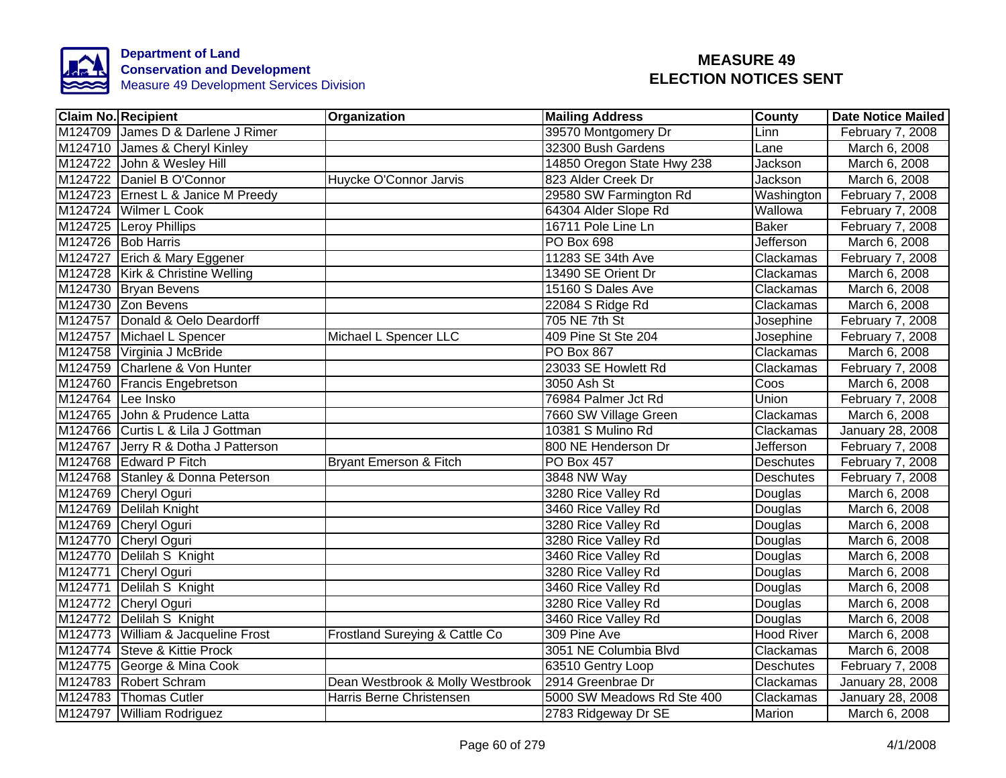

| <b>Claim No. Recipient</b>          | Organization                     | <b>Mailing Address</b>     | County            | <b>Date Notice Mailed</b> |
|-------------------------------------|----------------------------------|----------------------------|-------------------|---------------------------|
| M124709 James D & Darlene J Rimer   |                                  | 39570 Montgomery Dr        | Linn              | February 7, 2008          |
| M124710 James & Cheryl Kinley       |                                  | 32300 Bush Gardens         | Lane              | March 6, 2008             |
| M124722 John & Wesley Hill          |                                  | 14850 Oregon State Hwy 238 | <b>Jackson</b>    | March 6, 2008             |
| M124722 Daniel B O'Connor           | Huycke O'Connor Jarvis           | 823 Alder Creek Dr         | Jackson           | March 6, 2008             |
| M124723 Ernest L & Janice M Preedy  |                                  | 29580 SW Farmington Rd     | Washington        | February 7, 2008          |
| M124724 Wilmer L Cook               |                                  | 64304 Alder Slope Rd       | Wallowa           | February 7, 2008          |
| M124725 Leroy Phillips              |                                  | 16711 Pole Line Ln         | <b>Baker</b>      | February 7, 2008          |
| M124726 Bob Harris                  |                                  | PO Box 698                 | <b>Jefferson</b>  | March 6, 2008             |
| M124727 Erich & Mary Eggener        |                                  | 11283 SE 34th Ave          | Clackamas         | February 7, 2008          |
| M124728 Kirk & Christine Welling    |                                  | 13490 SE Orient Dr         | Clackamas         | March 6, 2008             |
| M124730 Bryan Bevens                |                                  | 15160 S Dales Ave          | Clackamas         | March 6, 2008             |
| M124730 Zon Bevens                  |                                  | 22084 S Ridge Rd           | Clackamas         | March 6, 2008             |
| M124757 Donald & Oelo Deardorff     |                                  | 705 NE 7th St              | Josephine         | February 7, 2008          |
| M124757 Michael L Spencer           | Michael L Spencer LLC            | 409 Pine St Ste 204        | Josephine         | February 7, 2008          |
| M124758 Virginia J McBride          |                                  | PO Box 867                 | Clackamas         | March 6, 2008             |
| M124759 Charlene & Von Hunter       |                                  | 23033 SE Howlett Rd        | Clackamas         | February 7, 2008          |
| M124760 Francis Engebretson         |                                  | 3050 Ash St                | Coos              | March 6, 2008             |
| M124764 Lee Insko                   |                                  | 76984 Palmer Jct Rd        | Union             | February 7, 2008          |
| M124765 John & Prudence Latta       |                                  | 7660 SW Village Green      | Clackamas         | March 6, 2008             |
| M124766 Curtis L & Lila J Gottman   |                                  | 10381 S Mulino Rd          | Clackamas         | January 28, 2008          |
| M124767 Jerry R & Dotha J Patterson |                                  | 800 NE Henderson Dr        | <b>Jefferson</b>  | February 7, 2008          |
| M124768 Edward P Fitch              | Bryant Emerson & Fitch           | PO Box 457                 | <b>Deschutes</b>  | February 7, 2008          |
| M124768 Stanley & Donna Peterson    |                                  | 3848 NW Way                | <b>Deschutes</b>  | February 7, 2008          |
| M124769 Cheryl Oguri                |                                  | 3280 Rice Valley Rd        | Douglas           | March 6, 2008             |
| M124769 Delilah Knight              |                                  | 3460 Rice Valley Rd        | Douglas           | March 6, 2008             |
| M124769 Cheryl Oguri                |                                  | 3280 Rice Valley Rd        | Douglas           | March 6, 2008             |
| M124770 Cheryl Oguri                |                                  | 3280 Rice Valley Rd        | Douglas           | March 6, 2008             |
| M124770 Delilah S Knight            |                                  | 3460 Rice Valley Rd        | Douglas           | March 6, 2008             |
| M124771 Cheryl Oguri                |                                  | 3280 Rice Valley Rd        | Douglas           | March 6, 2008             |
| M124771 Delilah S Knight            |                                  | 3460 Rice Valley Rd        | Douglas           | March 6, 2008             |
| M124772 Cheryl Oguri                |                                  | 3280 Rice Valley Rd        | Douglas           | March 6, 2008             |
| M124772 Delilah S Knight            |                                  | 3460 Rice Valley Rd        | Douglas           | March 6, 2008             |
| M124773 William & Jacqueline Frost  | Frostland Sureying & Cattle Co   | 309 Pine Ave               | <b>Hood River</b> | March 6, 2008             |
| M124774 Steve & Kittie Prock        |                                  | 3051 NE Columbia Blvd      | Clackamas         | March 6, 2008             |
| M124775 George & Mina Cook          |                                  | 63510 Gentry Loop          | Deschutes         | February 7, 2008          |
| M124783 Robert Schram               | Dean Westbrook & Molly Westbrook | 2914 Greenbrae Dr          | Clackamas         | January 28, 2008          |
| M124783 Thomas Cutler               | Harris Berne Christensen         | 5000 SW Meadows Rd Ste 400 | Clackamas         | January 28, 2008          |
| M124797 William Rodriguez           |                                  | 2783 Ridgeway Dr SE        | Marion            | March 6, 2008             |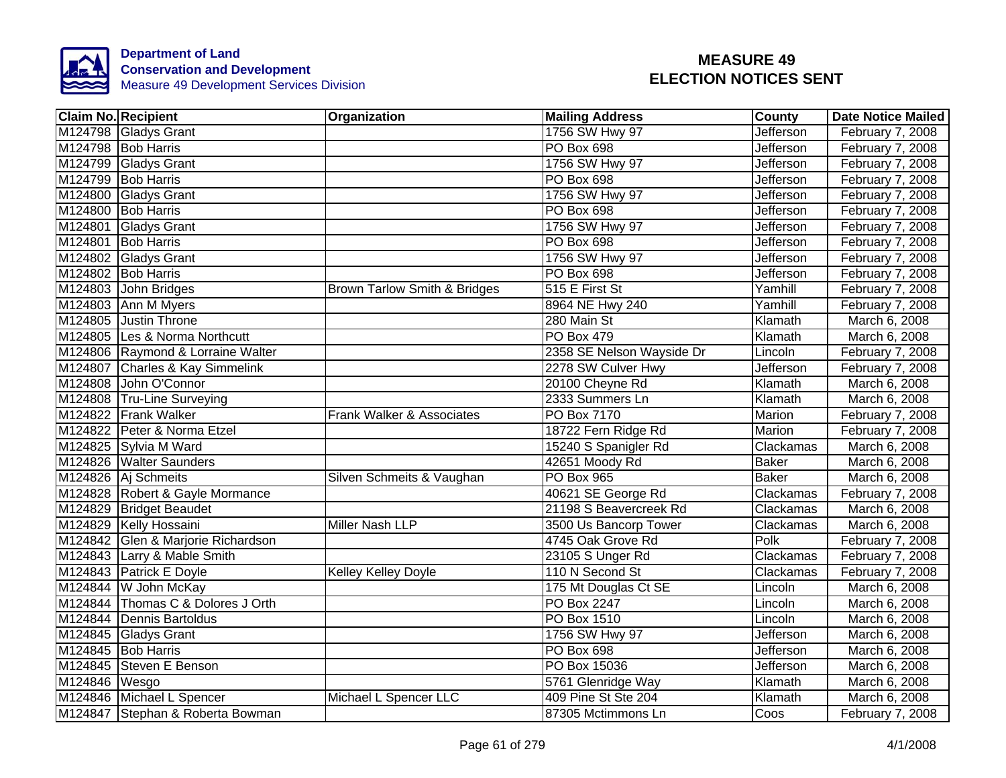

| <b>Claim No. Recipient</b>         | Organization                 | <b>Mailing Address</b>    | County           | <b>Date Notice Mailed</b> |
|------------------------------------|------------------------------|---------------------------|------------------|---------------------------|
| M124798 Gladys Grant               |                              | 1756 SW Hwy 97            | <b>Jefferson</b> | February 7, 2008          |
| M124798 Bob Harris                 |                              | <b>PO Box 698</b>         | Jefferson        | February 7, 2008          |
| M124799 Gladys Grant               |                              | 1756 SW Hwy 97            | Jefferson        | February 7, 2008          |
| M124799 Bob Harris                 |                              | PO Box 698                | Jefferson        | February 7, 2008          |
| M124800 Gladys Grant               |                              | 1756 SW Hwy 97            | Jefferson        | February 7, 2008          |
| M124800 Bob Harris                 |                              | PO Box 698                | Jefferson        | February 7, 2008          |
| M124801 Gladys Grant               |                              | 1756 SW Hwy 97            | Jefferson        | February 7, 2008          |
| M124801 Bob Harris                 |                              | PO Box 698                | Jefferson        | February 7, 2008          |
| M124802 Gladys Grant               |                              | 1756 SW Hwy 97            | Jefferson        | February 7, 2008          |
| M124802 Bob Harris                 |                              | PO Box 698                | Jefferson        | February 7, 2008          |
| M124803 John Bridges               | Brown Tarlow Smith & Bridges | 515 E First St            | Yamhill          | February 7, 2008          |
| M124803 Ann M Myers                |                              | 8964 NE Hwy 240           | Yamhill          | February 7, 2008          |
| M124805 Justin Throne              |                              | 280 Main St               | Klamath          | March 6, 2008             |
| M124805 Les & Norma Northcutt      |                              | PO Box 479                | Klamath          | March 6, 2008             |
| M124806 Raymond & Lorraine Walter  |                              | 2358 SE Nelson Wayside Dr | Lincoln          | February 7, 2008          |
| M124807 Charles & Kay Simmelink    |                              | 2278 SW Culver Hwy        | <b>Jefferson</b> | February 7, 2008          |
| M124808 John O'Connor              |                              | 20100 Cheyne Rd           | Klamath          | March 6, 2008             |
| M124808 Tru-Line Surveying         |                              | 2333 Summers Ln           | Klamath          | March 6, 2008             |
| M124822 Frank Walker               | Frank Walker & Associates    | PO Box 7170               | Marion           | February 7, 2008          |
| M124822 Peter & Norma Etzel        |                              | 18722 Fern Ridge Rd       | Marion           | February 7, 2008          |
| M124825 Sylvia M Ward              |                              | 15240 S Spanigler Rd      | Clackamas        | March 6, 2008             |
| M124826 Walter Saunders            |                              | 42651 Moody Rd            | <b>Baker</b>     | March 6, 2008             |
| M124826 Aj Schmeits                | Silven Schmeits & Vaughan    | <b>PO Box 965</b>         | <b>Baker</b>     | March 6, 2008             |
| M124828 Robert & Gayle Mormance    |                              | 40621 SE George Rd        | Clackamas        | February 7, 2008          |
| M124829 Bridget Beaudet            |                              | 21198 S Beavercreek Rd    | Clackamas        | March 6, 2008             |
| M124829 Kelly Hossaini             | Miller Nash LLP              | 3500 Us Bancorp Tower     | Clackamas        | March 6, 2008             |
| M124842 Glen & Marjorie Richardson |                              | 4745 Oak Grove Rd         | Polk             | February 7, 2008          |
| M124843 Larry & Mable Smith        |                              | 23105 S Unger Rd          | Clackamas        | February 7, 2008          |
| M124843 Patrick E Doyle            | Kelley Kelley Doyle          | 110 N Second St           | Clackamas        | February 7, 2008          |
| M124844 W John McKay               |                              | 175 Mt Douglas Ct SE      | Lincoln          | March 6, 2008             |
| M124844 Thomas C & Dolores J Orth  |                              | <b>PO Box 2247</b>        | Lincoln          | March 6, 2008             |
| M124844 Dennis Bartoldus           |                              | PO Box 1510               | Lincoln          | March 6, 2008             |
| M124845 Gladys Grant               |                              | 1756 SW Hwy 97            | Jefferson        | March 6, 2008             |
| M124845 Bob Harris                 |                              | PO Box 698                | Jefferson        | March 6, 2008             |
| M124845 Steven E Benson            |                              | PO Box 15036              | Jefferson        | March 6, 2008             |
| M124846 Wesgo                      |                              | 5761 Glenridge Way        | Klamath          | March 6, 2008             |
| M124846 Michael L Spencer          | Michael L Spencer LLC        | 409 Pine St Ste 204       | Klamath          | March 6, 2008             |
| M124847 Stephan & Roberta Bowman   |                              | 87305 Mctimmons Ln        | Coos             | February 7, 2008          |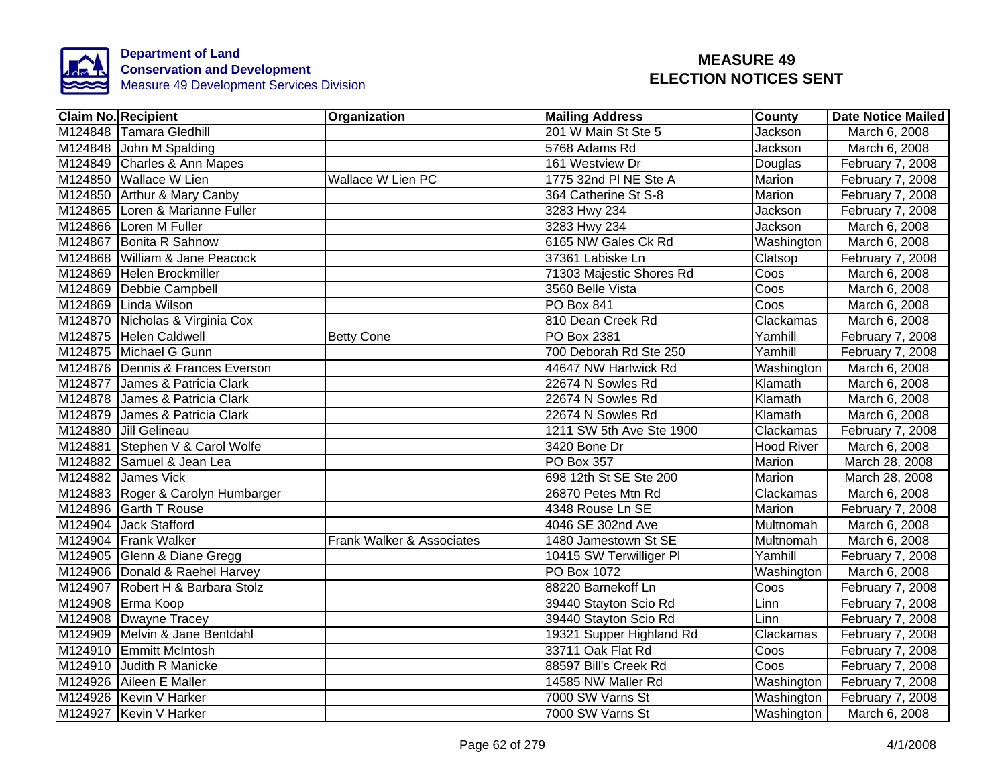

| <b>Claim No. Recipient</b>        | Organization              | <b>Mailing Address</b>   | County            | <b>Date Notice Mailed</b> |
|-----------------------------------|---------------------------|--------------------------|-------------------|---------------------------|
| M124848 Tamara Gledhill           |                           | 201 W Main St Ste 5      | Jackson           | March 6, 2008             |
| M124848 John M Spalding           |                           | 5768 Adams Rd            | Jackson           | March 6, 2008             |
| M124849 Charles & Ann Mapes       |                           | 161 Westview Dr          | Douglas           | February 7, 2008          |
| M124850 Wallace W Lien            | Wallace W Lien PC         | 1775 32nd PI NE Ste A    | Marion            | February 7, 2008          |
| M124850 Arthur & Mary Canby       |                           | 364 Catherine St S-8     | Marion            | February 7, 2008          |
| M124865 Loren & Marianne Fuller   |                           | 3283 Hwy 234             | Jackson           | February 7, 2008          |
| M124866 Loren M Fuller            |                           | 3283 Hwy 234             | Jackson           | March 6, 2008             |
| M124867 Bonita R Sahnow           |                           | 6165 NW Gales Ck Rd      | Washington        | March 6, 2008             |
| M124868 William & Jane Peacock    |                           | 37361 Labiske Ln         | Clatsop           | February 7, 2008          |
| M124869 Helen Brockmiller         |                           | 71303 Majestic Shores Rd | Coos              | March 6, 2008             |
| M124869 Debbie Campbell           |                           | 3560 Belle Vista         | Coos              | March 6, 2008             |
| M124869 Linda Wilson              |                           | PO Box 841               | Coos              | March 6, 2008             |
| M124870 Nicholas & Virginia Cox   |                           | 810 Dean Creek Rd        | Clackamas         | March 6, 2008             |
| M124875 Helen Caldwell            | <b>Betty Cone</b>         | PO Box 2381              | Yamhill           | February 7, 2008          |
| M124875 Michael G Gunn            |                           | 700 Deborah Rd Ste 250   | Yamhill           | February 7, 2008          |
| M124876 Dennis & Frances Everson  |                           | 44647 NW Hartwick Rd     | Washington        | March 6, 2008             |
| M124877 James & Patricia Clark    |                           | 22674 N Sowles Rd        | Klamath           | March 6, 2008             |
| M124878 James & Patricia Clark    |                           | 22674 N Sowles Rd        | Klamath           | March 6, 2008             |
| M124879 James & Patricia Clark    |                           | 22674 N Sowles Rd        | Klamath           | March 6, 2008             |
| M124880 Jill Gelineau             |                           | 1211 SW 5th Ave Ste 1900 | Clackamas         | February 7, 2008          |
| M124881 Stephen V & Carol Wolfe   |                           | 3420 Bone Dr             | <b>Hood River</b> | March 6, 2008             |
| M124882 Samuel & Jean Lea         |                           | <b>PO Box 357</b>        | <b>Marion</b>     | March 28, 2008            |
| M124882 James Vick                |                           | 698 12th St SE Ste 200   | Marion            | March 28, 2008            |
| M124883 Roger & Carolyn Humbarger |                           | 26870 Petes Mtn Rd       | Clackamas         | March 6, 2008             |
| M124896 Garth T Rouse             |                           | 4348 Rouse Ln SE         | Marion            | February 7, 2008          |
| M124904 Jack Stafford             |                           | 4046 SE 302nd Ave        | <b>Multnomah</b>  | March 6, 2008             |
| M124904 Frank Walker              | Frank Walker & Associates | 1480 Jamestown St SE     | <b>Multnomah</b>  | March 6, 2008             |
| M124905 Glenn & Diane Gregg       |                           | 10415 SW Terwilliger PI  | Yamhill           | February 7, 2008          |
| M124906 Donald & Raehel Harvey    |                           | PO Box 1072              | Washington        | March 6, 2008             |
| M124907 Robert H & Barbara Stolz  |                           | 88220 Barnekoff Ln       | Coos              | February 7, 2008          |
| M124908 Erma Koop                 |                           | 39440 Stayton Scio Rd    | Linn              | February 7, 2008          |
| M124908 Dwayne Tracey             |                           | 39440 Stayton Scio Rd    | Linn              | February 7, 2008          |
| M124909 Melvin & Jane Bentdahl    |                           | 19321 Supper Highland Rd | Clackamas         | February 7, 2008          |
| M124910 Emmitt McIntosh           |                           | 33711 Oak Flat Rd        | Coos              | February 7, 2008          |
| M124910 Judith R Manicke          |                           | 88597 Bill's Creek Rd    | Coos              | February 7, 2008          |
| M124926 Aileen E Maller           |                           | 14585 NW Maller Rd       | Washington        | February 7, 2008          |
| M124926 Kevin V Harker            |                           | 7000 SW Varns St         | Washington        | February 7, 2008          |
| M124927 Kevin V Harker            |                           | 7000 SW Varns St         | Washington        | March 6, 2008             |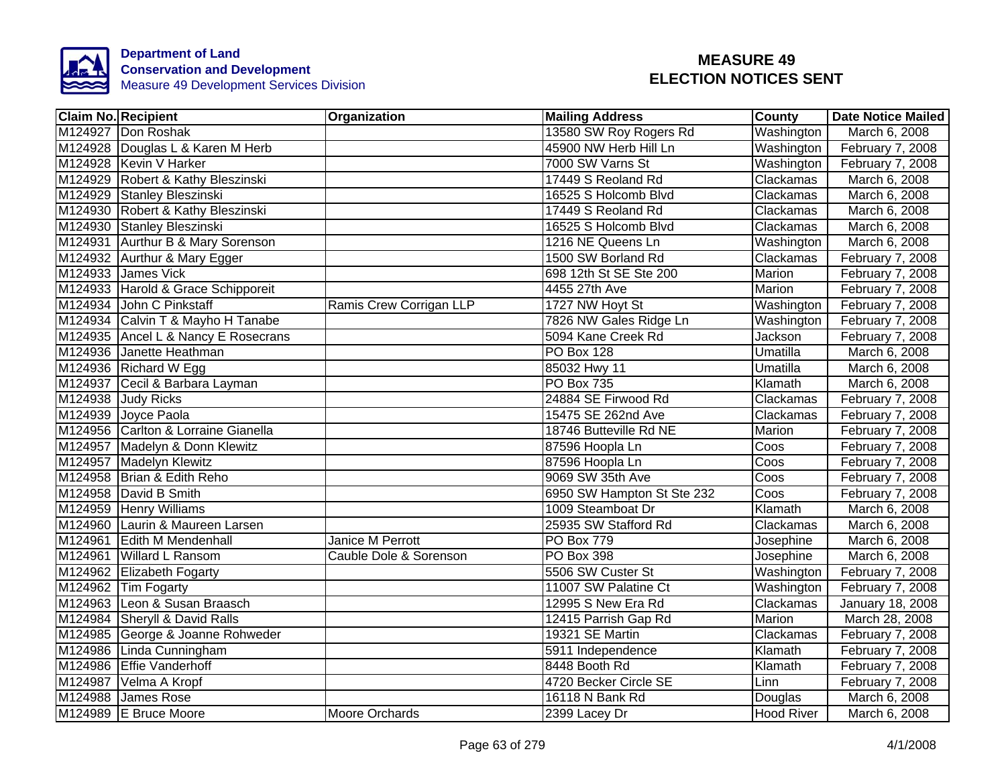

|         | <b>Claim No. Recipient</b>          | Organization            | <b>Mailing Address</b>     | <b>County</b>    | <b>Date Notice Mailed</b> |
|---------|-------------------------------------|-------------------------|----------------------------|------------------|---------------------------|
|         | M124927 Don Roshak                  |                         | 13580 SW Roy Rogers Rd     | Washington       | March 6, 2008             |
|         | M124928 Douglas L & Karen M Herb    |                         | 45900 NW Herb Hill Ln      | Washington       | February 7, 2008          |
|         | M124928 Kevin V Harker              |                         | 7000 SW Varns St           | Washington       | February 7, 2008          |
|         | M124929 Robert & Kathy Bleszinski   |                         | 17449 S Reoland Rd         | Clackamas        | March 6, 2008             |
|         | M124929 Stanley Bleszinski          |                         | 16525 S Holcomb Blvd       | Clackamas        | March 6, 2008             |
|         | M124930 Robert & Kathy Bleszinski   |                         | 17449 S Reoland Rd         | Clackamas        | March 6, 2008             |
|         | M124930 Stanley Bleszinski          |                         | 16525 S Holcomb Blvd       | Clackamas        | March 6, 2008             |
|         | M124931 Aurthur B & Mary Sorenson   |                         | 1216 NE Queens Ln          | Washington       | March 6, 2008             |
|         | M124932 Aurthur & Mary Egger        |                         | 1500 SW Borland Rd         | Clackamas        | February 7, 2008          |
|         | M124933 James Vick                  |                         | 698 12th St SE Ste 200     | Marion           | February 7, 2008          |
|         | M124933 Harold & Grace Schipporeit  |                         | 4455 27th Ave              | Marion           | February 7, 2008          |
|         | M124934 John C Pinkstaff            | Ramis Crew Corrigan LLP | 1727 NW Hoyt St            | Washington       | February 7, 2008          |
|         | M124934 Calvin T & Mayho H Tanabe   |                         | 7826 NW Gales Ridge Ln     | Washington       | February 7, 2008          |
|         | M124935 Ancel L & Nancy E Rosecrans |                         | 5094 Kane Creek Rd         | Jackson          | February 7, 2008          |
|         | M124936 Janette Heathman            |                         | <b>PO Box 128</b>          | <b>Umatilla</b>  | March 6, 2008             |
|         | M124936 Richard W Egg               |                         | 85032 Hwy 11               | Umatilla         | March 6, 2008             |
|         | M124937 Cecil & Barbara Layman      |                         | <b>PO Box 735</b>          | Klamath          | March 6, 2008             |
|         | M124938 Judy Ricks                  |                         | 24884 SE Firwood Rd        | Clackamas        | February 7, 2008          |
|         | M124939 Joyce Paola                 |                         | 15475 SE 262nd Ave         | Clackamas        | February 7, 2008          |
|         | M124956 Carlton & Lorraine Gianella |                         | 18746 Butteville Rd NE     | Marion           | February 7, 2008          |
|         | M124957 Madelyn & Donn Klewitz      |                         | 87596 Hoopla Ln            | Coos             | February 7, 2008          |
|         | M124957 Madelyn Klewitz             |                         | 87596 Hoopla Ln            | Coos             | February 7, 2008          |
|         | M124958 Brian & Edith Reho          |                         | 9069 SW 35th Ave           | Coos             | February 7, 2008          |
|         | M124958 David B Smith               |                         | 6950 SW Hampton St Ste 232 | Coos             | February 7, 2008          |
|         | M124959 Henry Williams              |                         | 1009 Steamboat Dr          | Klamath          | March 6, 2008             |
|         | M124960 Laurin & Maureen Larsen     |                         | 25935 SW Stafford Rd       | Clackamas        | March 6, 2008             |
| M124961 | <b>Edith M Mendenhall</b>           | <b>Janice M Perrott</b> | <b>PO Box 779</b>          | <b>Josephine</b> | March 6, 2008             |
|         | M124961 Willard L Ransom            | Cauble Dole & Sorenson  | PO Box 398                 | Josephine        | March 6, 2008             |
|         | M124962 Elizabeth Fogarty           |                         | 5506 SW Custer St          | Washington       | February 7, 2008          |
|         | M124962 Tim Fogarty                 |                         | 11007 SW Palatine Ct       | Washington       | February 7, 2008          |
|         | M124963 Leon & Susan Braasch        |                         | 12995 S New Era Rd         | Clackamas        | January 18, 2008          |
|         | M124984 Sheryll & David Ralls       |                         | 12415 Parrish Gap Rd       | Marion           | March 28, 2008            |
|         | M124985 George & Joanne Rohweder    |                         | 19321 SE Martin            | Clackamas        | February 7, 2008          |
|         | M124986 Linda Cunningham            |                         | 5911 Independence          | Klamath          | February 7, 2008          |
|         | M124986 Effie Vanderhoff            |                         | 8448 Booth Rd              | Klamath          | February 7, 2008          |
|         | M124987 Velma A Kropf               |                         | 4720 Becker Circle SE      | Linn             | February 7, 2008          |
|         | M124988 James Rose                  |                         | 16118 N Bank Rd            | Douglas          | March 6, 2008             |
|         | M124989 E Bruce Moore               | Moore Orchards          | 2399 Lacey Dr              | Hood River       | March 6, 2008             |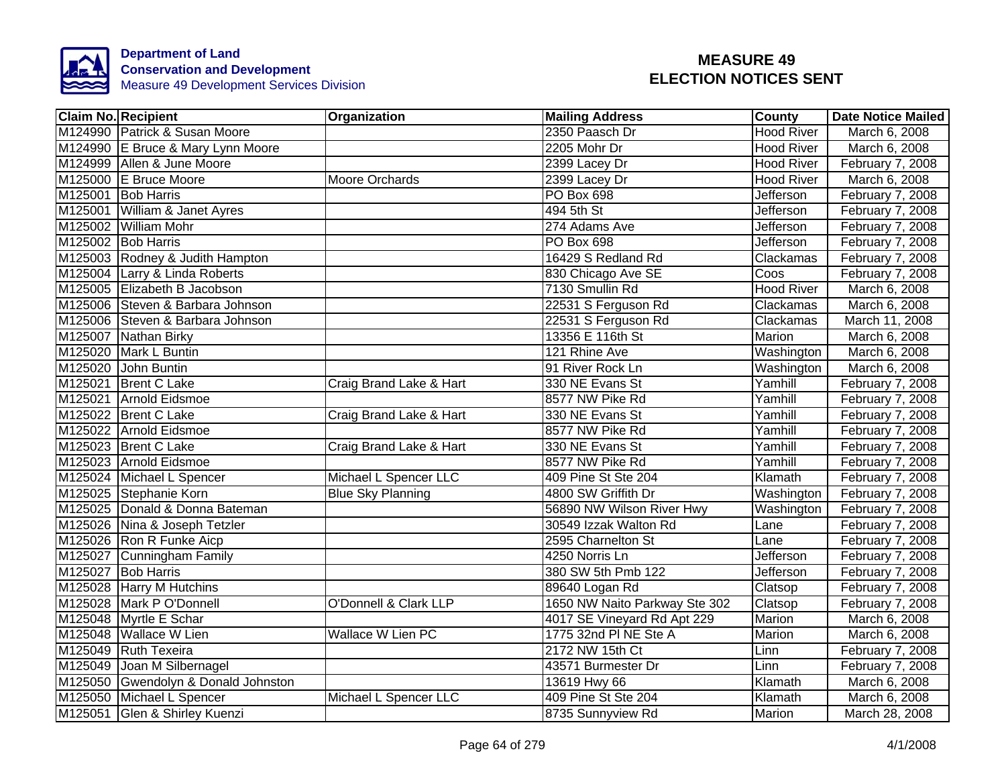

| <b>Claim No. Recipient</b>          | Organization             | <b>Mailing Address</b>        | County            | <b>Date Notice Mailed</b> |
|-------------------------------------|--------------------------|-------------------------------|-------------------|---------------------------|
| M124990 Patrick & Susan Moore       |                          | 2350 Paasch Dr                | <b>Hood River</b> | March 6, 2008             |
| M124990 E Bruce & Mary Lynn Moore   |                          | 2205 Mohr Dr                  | <b>Hood River</b> | March 6, 2008             |
| M124999 Allen & June Moore          |                          | 2399 Lacey Dr                 | <b>Hood River</b> | February 7, 2008          |
| M125000 E Bruce Moore               | Moore Orchards           | 2399 Lacey Dr                 | <b>Hood River</b> | March 6, 2008             |
| M125001 Bob Harris                  |                          | PO Box 698                    | Jefferson         | February 7, 2008          |
| M125001 William & Janet Ayres       |                          | 494 5th St                    | Jefferson         | February 7, 2008          |
| M125002 William Mohr                |                          | 274 Adams Ave                 | Jefferson         | February 7, 2008          |
| M125002 Bob Harris                  |                          | PO Box 698                    | Jefferson         | February 7, 2008          |
| M125003 Rodney & Judith Hampton     |                          | 16429 S Redland Rd            | Clackamas         | February 7, 2008          |
| M125004 Larry & Linda Roberts       |                          | 830 Chicago Ave SE            | Coos              | February 7, 2008          |
| M125005 Elizabeth B Jacobson        |                          | 7130 Smullin Rd               | <b>Hood River</b> | March 6, 2008             |
| M125006 Steven & Barbara Johnson    |                          | 22531 S Ferguson Rd           | Clackamas         | March 6, 2008             |
| M125006 Steven & Barbara Johnson    |                          | 22531 S Ferguson Rd           | Clackamas         | March 11, 2008            |
| M125007 Nathan Birky                |                          | 13356 E 116th St              | Marion            | March 6, 2008             |
| M125020 Mark L Buntin               |                          | 121 Rhine Ave                 | Washington        | March 6, 2008             |
| M125020 John Buntin                 |                          | 91 River Rock Ln              | Washington        | March 6, 2008             |
| M125021 Brent C Lake                | Craig Brand Lake & Hart  | 330 NE Evans St               | Yamhill           | February 7, 2008          |
| M125021 Arnold Eidsmoe              |                          | 8577 NW Pike Rd               | Yamhill           | February 7, 2008          |
| M125022 Brent C Lake                | Craig Brand Lake & Hart  | 330 NE Evans St               | Yamhill           | February 7, 2008          |
| M125022 Arnold Eidsmoe              |                          | 8577 NW Pike Rd               | Yamhill           | February 7, 2008          |
| M125023 Brent C Lake                | Craig Brand Lake & Hart  | 330 NE Evans St               | Yamhill           | February 7, 2008          |
| M125023 Arnold Eidsmoe              |                          | 8577 NW Pike Rd               | Yamhill           | February 7, 2008          |
| M125024 Michael L Spencer           | Michael L Spencer LLC    | 409 Pine St Ste 204           | Klamath           | February 7, 2008          |
| M125025 Stephanie Korn              | <b>Blue Sky Planning</b> | 4800 SW Griffith Dr           | Washington        | February 7, 2008          |
| M125025 Donald & Donna Bateman      |                          | 56890 NW Wilson River Hwy     | Washington        | February 7, 2008          |
| M125026 Nina & Joseph Tetzler       |                          | 30549 Izzak Walton Rd         | Lane              | February 7, 2008          |
| M125026 Ron R Funke Aicp            |                          | 2595 Charnelton St            | Lane              | February 7, 2008          |
| M125027 Cunningham Family           |                          | 4250 Norris Ln                | Jefferson         | February 7, 2008          |
| M125027 Bob Harris                  |                          | 380 SW 5th Pmb 122            | Jefferson         | February 7, 2008          |
| M125028 Harry M Hutchins            |                          | 89640 Logan Rd                | Clatsop           | February 7, 2008          |
| M125028 Mark P O'Donnell            | O'Donnell & Clark LLP    | 1650 NW Naito Parkway Ste 302 | Clatsop           | February 7, 2008          |
| M125048 Myrtle E Schar              |                          | 4017 SE Vineyard Rd Apt 229   | Marion            | March 6, 2008             |
| M125048 Wallace W Lien              | Wallace W Lien PC        | 1775 32nd PI NE Ste A         | Marion            | March 6, 2008             |
| M125049 Ruth Texeira                |                          | 2172 NW 15th Ct               | Linn              | February 7, 2008          |
| M125049 Joan M Silbernagel          |                          | 43571 Burmester Dr            | Linn              | February 7, 2008          |
| M125050 Gwendolyn & Donald Johnston |                          | 13619 Hwy 66                  | Klamath           | March 6, 2008             |
| M125050 Michael L Spencer           | Michael L Spencer LLC    | 409 Pine St Ste 204           | Klamath           | March 6, 2008             |
| M125051 Glen & Shirley Kuenzi       |                          | 8735 Sunnyview Rd             | Marion            | March 28, 2008            |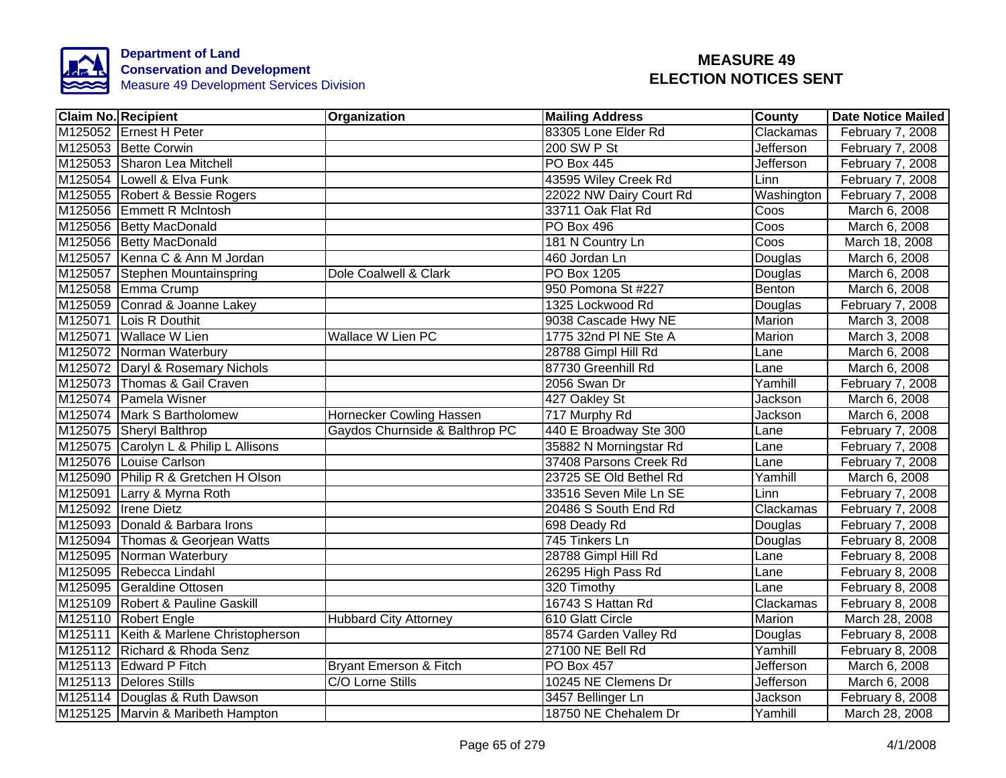

| <b>Claim No. Recipient</b>               | Organization                   | <b>Mailing Address</b>  | County     | <b>Date Notice Mailed</b> |
|------------------------------------------|--------------------------------|-------------------------|------------|---------------------------|
| M125052 Ernest H Peter                   |                                | 83305 Lone Elder Rd     | Clackamas  | February 7, 2008          |
| M125053 Bette Corwin                     |                                | 200 SW P St             | Jefferson  | February 7, 2008          |
| M125053 Sharon Lea Mitchell              |                                | PO Box 445              | Jefferson  | February 7, 2008          |
| M125054 Lowell & Elva Funk               |                                | 43595 Wiley Creek Rd    | Linn       | February 7, 2008          |
| M125055 Robert & Bessie Rogers           |                                | 22022 NW Dairy Court Rd | Washington | February 7, 2008          |
| M125056 Emmett R McIntosh                |                                | 33711 Oak Flat Rd       | Coos       | March 6, 2008             |
| M125056 Betty MacDonald                  |                                | PO Box 496              | Coos       | March 6, 2008             |
| M125056 Betty MacDonald                  |                                | 181 N Country Ln        | Coos       | March 18, 2008            |
| M125057 Kenna C & Ann M Jordan           |                                | 460 Jordan Ln           | Douglas    | March 6, 2008             |
| M125057 Stephen Mountainspring           | Dole Coalwell & Clark          | PO Box 1205             | Douglas    | March 6, 2008             |
| M125058 Emma Crump                       |                                | 950 Pomona St #227      | Benton     | March 6, 2008             |
| M125059 Conrad & Joanne Lakey            |                                | 1325 Lockwood Rd        | Douglas    | February 7, 2008          |
| M125071 Lois R Douthit                   |                                | 9038 Cascade Hwy NE     | Marion     | March 3, 2008             |
| M125071 Wallace W Lien                   | Wallace W Lien PC              | 1775 32nd PI NE Ste A   | Marion     | March 3, 2008             |
| M125072 Norman Waterbury                 |                                | 28788 Gimpl Hill Rd     | Lane       | March 6, 2008             |
| M125072 Daryl & Rosemary Nichols         |                                | 87730 Greenhill Rd      | Lane       | March 6, 2008             |
| M125073 Thomas & Gail Craven             |                                | 2056 Swan Dr            | Yamhill    | February 7, 2008          |
| M125074 Pamela Wisner                    |                                | 427 Oakley St           | Jackson    | March 6, 2008             |
| M125074 Mark S Bartholomew               | Hornecker Cowling Hassen       | 717 Murphy Rd           | Jackson    | March 6, 2008             |
| M125075 Sheryl Balthrop                  | Gaydos Churnside & Balthrop PC | 440 E Broadway Ste 300  | Lane       | February 7, 2008          |
| M125075 Carolyn L & Philip L Allisons    |                                | 35882 N Morningstar Rd  | Lane       | February 7, 2008          |
| M125076 Louise Carlson                   |                                | 37408 Parsons Creek Rd  | Lane       | February 7, 2008          |
| M125090 Philip R & Gretchen H Olson      |                                | 23725 SE Old Bethel Rd  | Yamhill    | March 6, 2008             |
| M125091 Larry & Myrna Roth               |                                | 33516 Seven Mile Ln SE  | Linn       | February 7, 2008          |
| M125092 Irene Dietz                      |                                | 20486 S South End Rd    | Clackamas  | February 7, 2008          |
| M125093 Donald & Barbara Irons           |                                | 698 Deady Rd            | Douglas    | February 7, 2008          |
| M125094 Thomas & Georjean Watts          |                                | 745 Tinkers Ln          | Douglas    | February 8, 2008          |
| M125095 Norman Waterbury                 |                                | 28788 Gimpl Hill Rd     | Lane       | February 8, 2008          |
| M125095 Rebecca Lindahl                  |                                | 26295 High Pass Rd      | Lane       | February 8, 2008          |
| M125095 Geraldine Ottosen                |                                | 320 Timothy             | Lane       | February 8, 2008          |
| M125109 Robert & Pauline Gaskill         |                                | 16743 S Hattan Rd       | Clackamas  | February 8, 2008          |
| M125110 Robert Engle                     | <b>Hubbard City Attorney</b>   | 610 Glatt Circle        | Marion     | March 28, 2008            |
| M125111   Keith & Marlene Christopherson |                                | 8574 Garden Valley Rd   | Douglas    | February 8, 2008          |
| M125112 Richard & Rhoda Senz             |                                | 27100 NE Bell Rd        | Yamhill    | February 8, 2008          |
| M125113 Edward P Fitch                   | Bryant Emerson & Fitch         | PO Box 457              | Jefferson  | March 6, 2008             |
| M125113 Delores Stills                   | C/O Lorne Stills               | 10245 NE Clemens Dr     | Jefferson  | March 6, 2008             |
| M125114 Douglas & Ruth Dawson            |                                | 3457 Bellinger Ln       | Jackson    | February 8, 2008          |
| M125125 Marvin & Maribeth Hampton        |                                | 18750 NE Chehalem Dr    | Yamhill    | March 28, 2008            |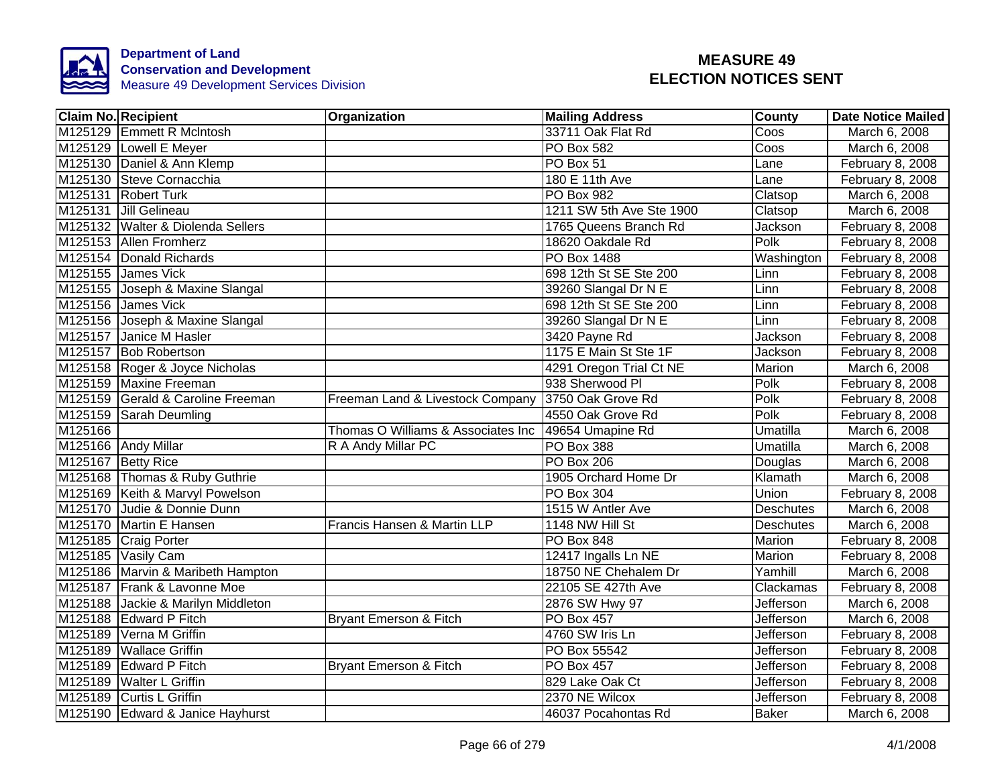

|         | <b>Claim No. Recipient</b>         | Organization                       | <b>Mailing Address</b>   | County           | <b>Date Notice Mailed</b> |
|---------|------------------------------------|------------------------------------|--------------------------|------------------|---------------------------|
|         | M125129 Emmett R McIntosh          |                                    | 33711 Oak Flat Rd        | Coos             | March 6, 2008             |
|         | M125129 Lowell E Meyer             |                                    | <b>PO Box 582</b>        | Coos             | March 6, 2008             |
|         | M125130 Daniel & Ann Klemp         |                                    | PO Box 51                | Lane             | February 8, 2008          |
|         | M125130 Steve Cornacchia           |                                    | 180 E 11th Ave           | Lane             | February 8, 2008          |
|         | M125131 Robert Turk                |                                    | PO Box 982               | Clatsop          | March 6, 2008             |
|         | M125131 Jill Gelineau              |                                    | 1211 SW 5th Ave Ste 1900 | Clatsop          | March 6, 2008             |
|         | M125132 Walter & Diolenda Sellers  |                                    | 1765 Queens Branch Rd    | Jackson          | February 8, 2008          |
|         | M125153 Allen Fromherz             |                                    | 18620 Oakdale Rd         | Polk             | February 8, 2008          |
|         | M125154 Donald Richards            |                                    | PO Box 1488              | Washington       | February 8, 2008          |
|         | M125155 James Vick                 |                                    | 698 12th St SE Ste 200   | Linn             | February 8, 2008          |
|         | M125155 Joseph & Maxine Slangal    |                                    | 39260 Slangal Dr N E     | Linn             | February 8, 2008          |
|         | M125156 James Vick                 |                                    | 698 12th St SE Ste 200   | Linn             | February 8, 2008          |
|         | M125156 Joseph & Maxine Slangal    |                                    | 39260 Slangal Dr N E     | Linn             | February 8, 2008          |
|         | M125157 Janice M Hasler            |                                    | 3420 Payne Rd            | Jackson          | February 8, 2008          |
|         | M125157 Bob Robertson              |                                    | 1175 E Main St Ste 1F    | Jackson          | February 8, 2008          |
|         | M125158 Roger & Joyce Nicholas     |                                    | 4291 Oregon Trial Ct NE  | <b>Marion</b>    | March 6, 2008             |
|         | M125159 Maxine Freeman             |                                    | 938 Sherwood Pl          | Polk             | February 8, 2008          |
|         | M125159 Gerald & Caroline Freeman  | Freeman Land & Livestock Company   | 3750 Oak Grove Rd        | Polk             | February 8, 2008          |
|         | M125159 Sarah Deumling             |                                    | 4550 Oak Grove Rd        | Polk             | February 8, 2008          |
| M125166 |                                    | Thomas O Williams & Associates Inc | 49654 Umapine Rd         | Umatilla         | March 6, 2008             |
|         | M125166 Andy Millar                | R A Andy Millar PC                 | PO Box 388               | Umatilla         | March 6, 2008             |
|         | M125167 Betty Rice                 |                                    | <b>PO Box 206</b>        | Douglas          | March 6, 2008             |
|         | M125168 Thomas & Ruby Guthrie      |                                    | 1905 Orchard Home Dr     | Klamath          | March 6, 2008             |
|         | M125169 Keith & Marvyl Powelson    |                                    | PO Box 304               | Union            | February 8, 2008          |
|         | M125170 Judie & Donnie Dunn        |                                    | 1515 W Antler Ave        | <b>Deschutes</b> | March 6, 2008             |
|         | M125170 Martin E Hansen            | Francis Hansen & Martin LLP        | 1148 NW Hill St          | <b>Deschutes</b> | March 6, 2008             |
|         | M125185 Craig Porter               |                                    | <b>PO Box 848</b>        | Marion           | February 8, 2008          |
|         | M125185 Vasily Cam                 |                                    | 12417 Ingalls Ln NE      | Marion           | February 8, 2008          |
|         | M125186 Marvin & Maribeth Hampton  |                                    | 18750 NE Chehalem Dr     | Yamhill          | March 6, 2008             |
|         | M125187 Frank & Lavonne Moe        |                                    | 22105 SE 427th Ave       | Clackamas        | February 8, 2008          |
|         | M125188 Jackie & Marilyn Middleton |                                    | 2876 SW Hwy 97           | <b>Jefferson</b> | March 6, 2008             |
|         | M125188 Edward P Fitch             | Bryant Emerson & Fitch             | <b>PO Box 457</b>        | <b>Jefferson</b> | March 6, 2008             |
|         | M125189 Verna M Griffin            |                                    | 4760 SW Iris Ln          | Jefferson        | February 8, 2008          |
|         | M125189 Wallace Griffin            |                                    | PO Box 55542             | Jefferson        | February 8, 2008          |
|         | M125189 Edward P Fitch             | Bryant Emerson & Fitch             | PO Box 457               | <b>Jefferson</b> | February 8, 2008          |
|         | M125189 Walter L Griffin           |                                    | 829 Lake Oak Ct          | Jefferson        | February 8, 2008          |
|         | M125189 Curtis L Griffin           |                                    | 2370 NE Wilcox           | Jefferson        | February 8, 2008          |
|         | M125190 Edward & Janice Hayhurst   |                                    | 46037 Pocahontas Rd      | <b>Baker</b>     | March 6, 2008             |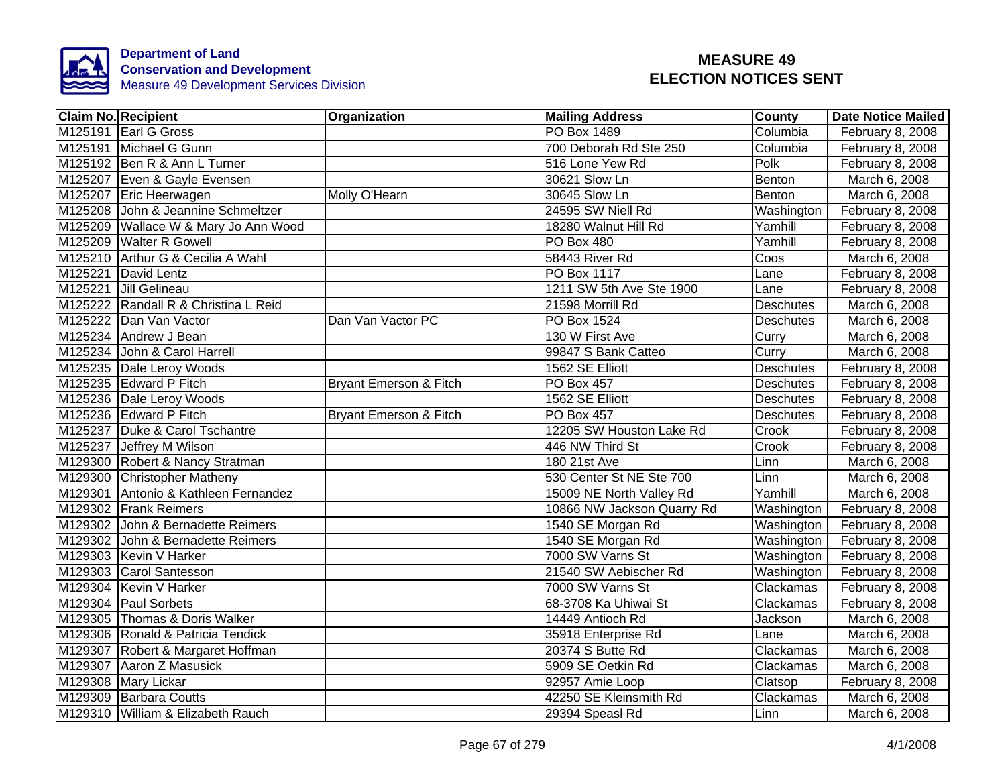

| <b>Claim No. Recipient</b>           | Organization                      | <b>Mailing Address</b>     | County           | <b>Date Notice Mailed</b> |
|--------------------------------------|-----------------------------------|----------------------------|------------------|---------------------------|
| M125191 Earl G Gross                 |                                   | <b>PO Box 1489</b>         | Columbia         | February 8, 2008          |
| M125191 Michael G Gunn               |                                   | 700 Deborah Rd Ste 250     | Columbia         | February 8, 2008          |
| M125192 Ben R & Ann L Turner         |                                   | 516 Lone Yew Rd            | Polk             | February 8, 2008          |
| M125207 Even & Gayle Evensen         |                                   | 30621 Slow Ln              | Benton           | March 6, 2008             |
| M125207 Eric Heerwagen               | Molly O'Hearn                     | 30645 Slow Ln              | Benton           | March 6, 2008             |
| M125208 John & Jeannine Schmeltzer   |                                   | 24595 SW Niell Rd          | Washington       | February 8, 2008          |
| M125209 Wallace W & Mary Jo Ann Wood |                                   | 18280 Walnut Hill Rd       | Yamhill          | February 8, 2008          |
| M125209 Walter R Gowell              |                                   | <b>PO Box 480</b>          | Yamhill          | February 8, 2008          |
| M125210 Arthur G & Cecilia A Wahl    |                                   | 58443 River Rd             | Coos             | March 6, 2008             |
| M125221 David Lentz                  |                                   | PO Box 1117                | Lane             | February 8, 2008          |
| M125221 Jill Gelineau                |                                   | 1211 SW 5th Ave Ste 1900   | Lane             | February 8, 2008          |
| M125222 Randall R & Christina L Reid |                                   | 21598 Morrill Rd           | Deschutes        | March 6, 2008             |
| M125222 Dan Van Vactor               | Dan Van Vactor PC                 | PO Box 1524                | Deschutes        | March 6, 2008             |
| M125234 Andrew J Bean                |                                   | 130 W First Ave            | Curry            | March 6, 2008             |
| M125234 John & Carol Harrell         |                                   | 99847 S Bank Catteo        | Curry            | March 6, 2008             |
| M125235 Dale Leroy Woods             |                                   | 1562 SE Elliott            | Deschutes        | February 8, 2008          |
| M125235 Edward P Fitch               | <b>Bryant Emerson &amp; Fitch</b> | PO Box 457                 | <b>Deschutes</b> | February 8, 2008          |
| M125236 Dale Leroy Woods             |                                   | 1562 SE Elliott            | <b>Deschutes</b> | February 8, 2008          |
| M125236 Edward P Fitch               | <b>Bryant Emerson &amp; Fitch</b> | <b>PO Box 457</b>          | <b>Deschutes</b> | February 8, 2008          |
| M125237 Duke & Carol Tschantre       |                                   | 12205 SW Houston Lake Rd   | Crook            | February 8, 2008          |
| M125237 Jeffrey M Wilson             |                                   | 446 NW Third St            | Crook            | February 8, 2008          |
| M129300 Robert & Nancy Stratman      |                                   | 180 21st Ave               | Linn             | March 6, 2008             |
| M129300 Christopher Matheny          |                                   | 530 Center St NE Ste 700   | Linn             | March 6, 2008             |
| M129301 Antonio & Kathleen Fernandez |                                   | 15009 NE North Valley Rd   | Yamhill          | March 6, 2008             |
| M129302 Frank Reimers                |                                   | 10866 NW Jackson Quarry Rd | Washington       | February 8, 2008          |
| M129302 John & Bernadette Reimers    |                                   | 1540 SE Morgan Rd          | Washington       | February 8, 2008          |
| M129302 John & Bernadette Reimers    |                                   | 1540 SE Morgan Rd          | Washington       | February 8, 2008          |
| M129303 Kevin V Harker               |                                   | 7000 SW Varns St           | Washington       | February 8, 2008          |
| M129303 Carol Santesson              |                                   | 21540 SW Aebischer Rd      | Washington       | February 8, 2008          |
| M129304 Kevin V Harker               |                                   | 7000 SW Varns St           | Clackamas        | February 8, 2008          |
| M129304 Paul Sorbets                 |                                   | 68-3708 Ka Uhiwai St       | Clackamas        | February 8, 2008          |
| M129305 Thomas & Doris Walker        |                                   | 14449 Antioch Rd           | Jackson          | March 6, 2008             |
| M129306 Ronald & Patricia Tendick    |                                   | 35918 Enterprise Rd        | Lane             | March 6, 2008             |
| M129307 Robert & Margaret Hoffman    |                                   | 20374 S Butte Rd           | Clackamas        | March 6, 2008             |
| M129307 Aaron Z Masusick             |                                   | 5909 SE Oetkin Rd          | Clackamas        | March 6, 2008             |
| M129308 Mary Lickar                  |                                   | 92957 Amie Loop            | Clatsop          | February 8, 2008          |
| M129309 Barbara Coutts               |                                   | 42250 SE Kleinsmith Rd     | Clackamas        | March 6, 2008             |
| M129310 William & Elizabeth Rauch    |                                   | 29394 Speasl Rd            | Linn             | March 6, 2008             |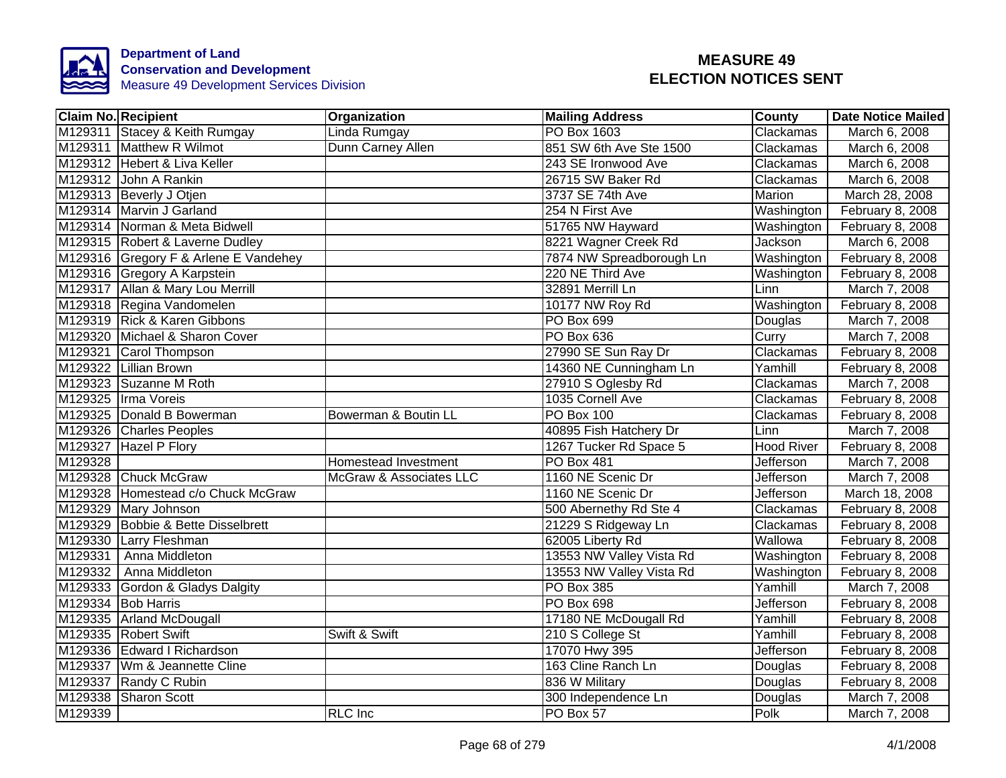

|         | <b>Claim No. Recipient</b>            | Organization            | <b>Mailing Address</b>   | <b>County</b>     | <b>Date Notice Mailed</b> |
|---------|---------------------------------------|-------------------------|--------------------------|-------------------|---------------------------|
|         | M129311 Stacey & Keith Rumgay         | Linda Rumgay            | PO Box 1603              | Clackamas         | March 6, 2008             |
|         | M129311 Matthew R Wilmot              | Dunn Carney Allen       | 851 SW 6th Ave Ste 1500  | Clackamas         | March 6, 2008             |
|         | M129312 Hebert & Liva Keller          |                         | 243 SE Ironwood Ave      | Clackamas         | March 6, 2008             |
|         | M129312 John A Rankin                 |                         | 26715 SW Baker Rd        | Clackamas         | March 6, 2008             |
|         | M129313 Beverly J Otjen               |                         | 3737 SE 74th Ave         | Marion            | March 28, 2008            |
|         | M129314 Marvin J Garland              |                         | 254 N First Ave          | Washington        | February 8, 2008          |
|         | M129314 Norman & Meta Bidwell         |                         | 51765 NW Hayward         | Washington        | February 8, 2008          |
|         | M129315 Robert & Laverne Dudley       |                         | 8221 Wagner Creek Rd     | Jackson           | March 6, 2008             |
|         | M129316 Gregory F & Arlene E Vandehey |                         | 7874 NW Spreadborough Ln | Washington        | February 8, 2008          |
|         | M129316 Gregory A Karpstein           |                         | 220 NE Third Ave         | Washington        | February 8, 2008          |
|         | M129317 Allan & Mary Lou Merrill      |                         | 32891 Merrill Ln         | Linn              | March 7, 2008             |
|         | M129318 Regina Vandomelen             |                         | 10177 NW Roy Rd          | <b>Washington</b> | February 8, 2008          |
|         | M129319 Rick & Karen Gibbons          |                         | PO Box 699               | Douglas           | March 7, 2008             |
|         | M129320 Michael & Sharon Cover        |                         | PO Box 636               | Curry             | March 7, 2008             |
|         | M129321 Carol Thompson                |                         | 27990 SE Sun Ray Dr      | Clackamas         | February 8, 2008          |
|         | M129322 Lillian Brown                 |                         | 14360 NE Cunningham Ln   | Yamhill           | February 8, 2008          |
|         | M129323 Suzanne M Roth                |                         | 27910 S Oglesby Rd       | Clackamas         | March 7, 2008             |
|         | M129325 Irma Voreis                   |                         | 1035 Cornell Ave         | Clackamas         | February 8, 2008          |
|         | M129325 Donald B Bowerman             | Bowerman & Boutin LL    | <b>PO Box 100</b>        | Clackamas         | February 8, 2008          |
|         | M129326 Charles Peoples               |                         | 40895 Fish Hatchery Dr   | Linn              | March 7, 2008             |
|         | M129327 Hazel P Flory                 |                         | 1267 Tucker Rd Space 5   | <b>Hood River</b> | February 8, 2008          |
| M129328 |                                       | Homestead Investment    | <b>PO Box 481</b>        | <b>Jefferson</b>  | March 7, 2008             |
|         | M129328 Chuck McGraw                  | McGraw & Associates LLC | 1160 NE Scenic Dr        | Jefferson         | March 7, 2008             |
|         | M129328 Homestead c/o Chuck McGraw    |                         | 1160 NE Scenic Dr        | Jefferson         | March 18, 2008            |
|         | M129329 Mary Johnson                  |                         | 500 Abernethy Rd Ste 4   | Clackamas         | February 8, 2008          |
|         | M129329 Bobbie & Bette Disselbrett    |                         | 21229 S Ridgeway Ln      | Clackamas         | February 8, 2008          |
|         | M129330 Larry Fleshman                |                         | 62005 Liberty Rd         | Wallowa           | February 8, 2008          |
| M129331 | Anna Middleton                        |                         | 13553 NW Valley Vista Rd | Washington        | February 8, 2008          |
|         | M129332   Anna Middleton              |                         | 13553 NW Valley Vista Rd | Washington        | February 8, 2008          |
|         | M129333 Gordon & Gladys Dalgity       |                         | PO Box 385               | Yamhill           | March 7, 2008             |
|         | M129334 Bob Harris                    |                         | PO Box 698               | Jefferson         | February 8, 2008          |
|         | M129335 Arland McDougall              |                         | 17180 NE McDougall Rd    | Yamhill           | February 8, 2008          |
|         | M129335 Robert Swift                  | Swift & Swift           | 210 S College St         | Yamhill           | February 8, 2008          |
|         | M129336 Edward I Richardson           |                         | 17070 Hwy 395            | Jefferson         | February 8, 2008          |
|         | M129337 Wm & Jeannette Cline          |                         | 163 Cline Ranch Ln       | Douglas           | February 8, 2008          |
|         | M129337 Randy C Rubin                 |                         | 836 W Military           | Douglas           | February 8, 2008          |
|         | M129338 Sharon Scott                  |                         | 300 Independence Ln      | Douglas           | March 7, 2008             |
| M129339 |                                       | <b>RLC</b> Inc          | PO Box 57                | Polk              | March 7, 2008             |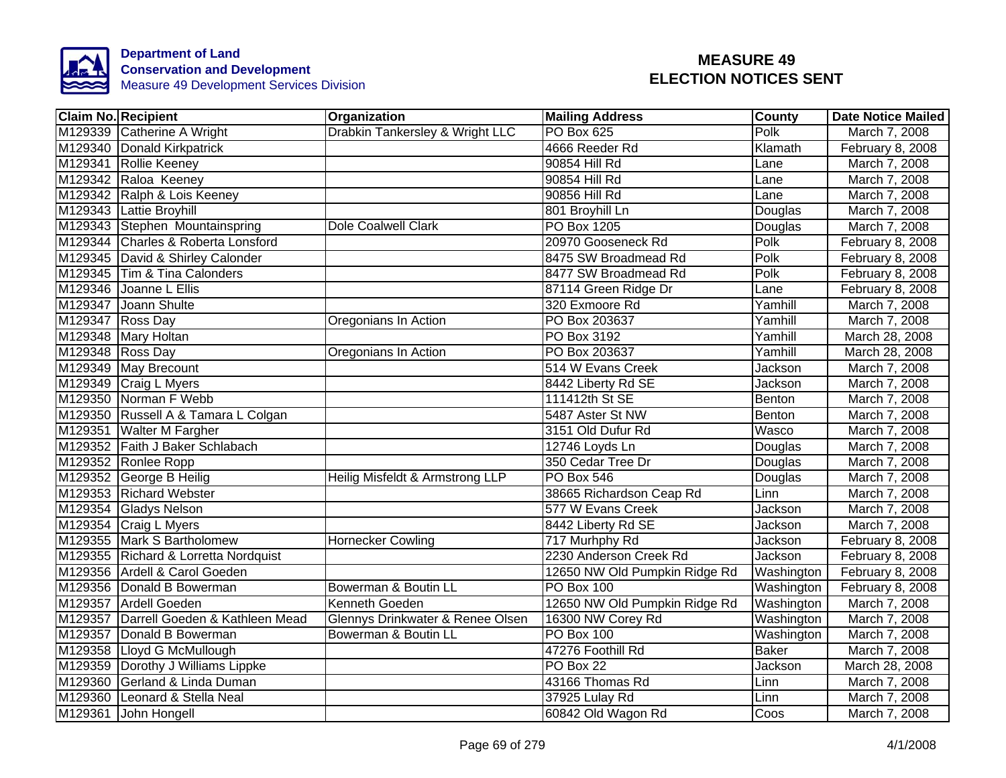

| <b>Claim No. Recipient</b>             | Organization                     | <b>Mailing Address</b>        | <b>County</b>  | <b>Date Notice Mailed</b> |
|----------------------------------------|----------------------------------|-------------------------------|----------------|---------------------------|
| M129339 Catherine A Wright             | Drabkin Tankersley & Wright LLC  | PO Box 625                    | Polk           | March 7, 2008             |
| M129340 Donald Kirkpatrick             |                                  | 4666 Reeder Rd                | Klamath        | February 8, 2008          |
| M129341 Rollie Keeney                  |                                  | 90854 Hill Rd                 | Lane           | March 7, 2008             |
| M129342 Raloa Keeney                   |                                  | 90854 Hill Rd                 | Lane           | March 7, 2008             |
| M129342 Ralph & Lois Keeney            |                                  | 90856 Hill Rd                 | Lane           | March 7, 2008             |
| M129343 Lattie Broyhill                |                                  | 801 Broyhill Ln               | Douglas        | March 7, 2008             |
| M129343 Stephen Mountainspring         | <b>Dole Coalwell Clark</b>       | PO Box 1205                   | Douglas        | March 7, 2008             |
| M129344 Charles & Roberta Lonsford     |                                  | 20970 Gooseneck Rd            | Polk           | February 8, 2008          |
| M129345 David & Shirley Calonder       |                                  | 8475 SW Broadmead Rd          | Polk           | February 8, 2008          |
| M129345 Tim & Tina Calonders           |                                  | 8477 SW Broadmead Rd          | Polk           | February 8, 2008          |
| M129346 Joanne L Ellis                 |                                  | 87114 Green Ridge Dr          | Lane           | February 8, 2008          |
| M129347 Joann Shulte                   |                                  | 320 Exmoore Rd                | Yamhill        | March 7, 2008             |
| M129347 Ross Day                       | Oregonians In Action             | PO Box 203637                 | Yamhill        | March 7, 2008             |
| M129348 Mary Holtan                    |                                  | PO Box 3192                   | Yamhill        | March 28, 2008            |
| M129348 Ross Day                       | Oregonians In Action             | PO Box 203637                 | Yamhill        | March 28, 2008            |
| M129349 May Brecount                   |                                  | 514 W Evans Creek             | Jackson        | March 7, 2008             |
| M129349 Craig L Myers                  |                                  | 8442 Liberty Rd SE            | Jackson        | March 7, 2008             |
| M129350 Norman F Webb                  |                                  | 111412th St SE                | Benton         | March 7, 2008             |
| M129350 Russell A & Tamara L Colgan    |                                  | 5487 Aster St NW              | Benton         | March 7, 2008             |
| M129351 Walter M Fargher               |                                  | 3151 Old Dufur Rd             | Wasco          | March 7, 2008             |
| M129352 Faith J Baker Schlabach        |                                  | 12746 Loyds Ln                | Douglas        | March 7, 2008             |
| M129352 Ronlee Ropp                    |                                  | 350 Cedar Tree Dr             | Douglas        | March 7, 2008             |
| M129352 George B Heilig                | Heilig Misfeldt & Armstrong LLP  | <b>PO Box 546</b>             | Douglas        | March 7, 2008             |
| M129353 Richard Webster                |                                  | 38665 Richardson Ceap Rd      | Linn           | March 7, 2008             |
| M129354 Gladys Nelson                  |                                  | 577 W Evans Creek             | <b>Jackson</b> | March 7, 2008             |
| M129354 Craig L Myers                  |                                  | 8442 Liberty Rd SE            | Jackson        | March 7, 2008             |
| M129355 Mark S Bartholomew             | <b>Hornecker Cowling</b>         | 717 Murhphy Rd                | Jackson        | February 8, 2008          |
| M129355 Richard & Lorretta Nordquist   |                                  | 2230 Anderson Creek Rd        | Jackson        | February 8, 2008          |
| M129356 Ardell & Carol Goeden          |                                  | 12650 NW Old Pumpkin Ridge Rd | Washington     | February 8, 2008          |
| M129356 Donald B Bowerman              | Bowerman & Boutin LL             | PO Box 100                    | Washington     | February 8, 2008          |
| M129357 Ardell Goeden                  | Kenneth Goeden                   | 12650 NW Old Pumpkin Ridge Rd | Washington     | March 7, 2008             |
| M129357 Darrell Goeden & Kathleen Mead | Glennys Drinkwater & Renee Olsen | 16300 NW Corey Rd             | Washington     | March 7, 2008             |
| M129357 Donald B Bowerman              | Bowerman & Boutin LL             | <b>PO Box 100</b>             | Washington     | March 7, 2008             |
| M129358 Lloyd G McMullough             |                                  | 47276 Foothill Rd             | Baker          | March 7, 2008             |
| M129359 Dorothy J Williams Lippke      |                                  | PO Box 22                     | Jackson        | March 28, 2008            |
| M129360 Gerland & Linda Duman          |                                  | 43166 Thomas Rd               | Linn           | March 7, 2008             |
| M129360 Leonard & Stella Neal          |                                  | 37925 Lulay Rd                | Linn           | March 7, 2008             |
| M129361 John Hongell                   |                                  | 60842 Old Wagon Rd            | Coos           | March 7, 2008             |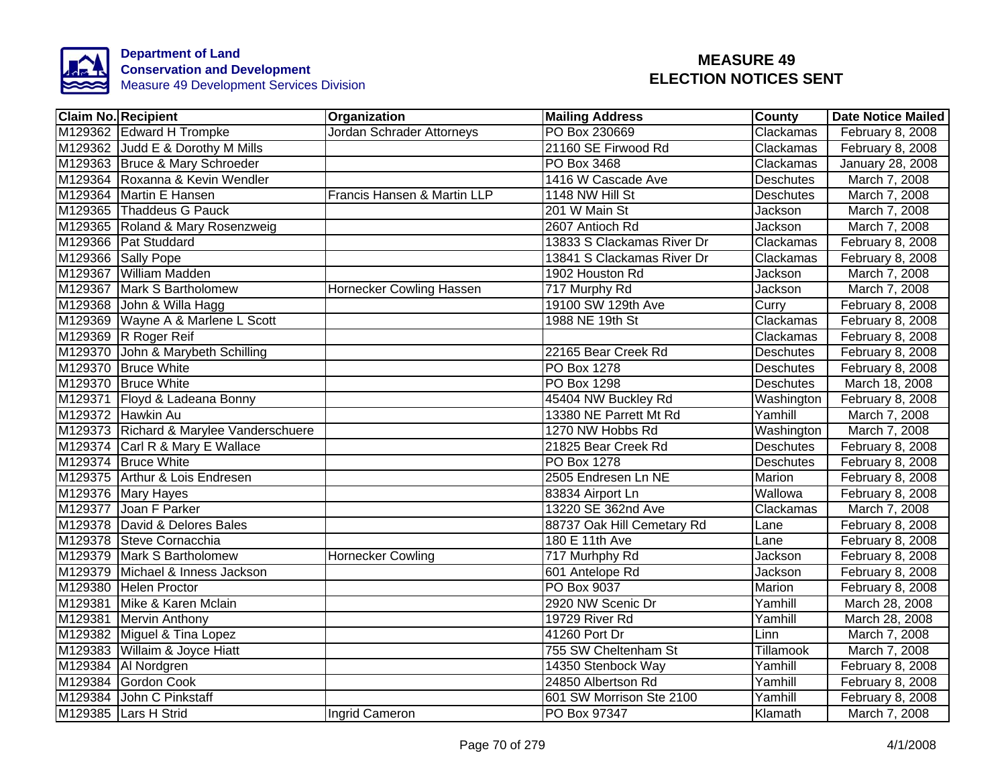

| <b>Claim No. Recipient</b>              | Organization                | <b>Mailing Address</b>     | <b>County</b>    | <b>Date Notice Mailed</b> |
|-----------------------------------------|-----------------------------|----------------------------|------------------|---------------------------|
| M129362 Edward H Trompke                | Jordan Schrader Attorneys   | PO Box 230669              | Clackamas        | February 8, 2008          |
| M129362 Judd E & Dorothy M Mills        |                             | 21160 SE Firwood Rd        | Clackamas        | February 8, 2008          |
| M129363 Bruce & Mary Schroeder          |                             | PO Box 3468                | Clackamas        | January 28, 2008          |
| M129364 Roxanna & Kevin Wendler         |                             | 1416 W Cascade Ave         | <b>Deschutes</b> | March 7, 2008             |
| M129364 Martin E Hansen                 | Francis Hansen & Martin LLP | 1148 NW Hill St            | <b>Deschutes</b> | March 7, 2008             |
| M129365 Thaddeus G Pauck                |                             | 201 W Main St              | Jackson          | March 7, 2008             |
| M129365 Roland & Mary Rosenzweig        |                             | 2607 Antioch Rd            | Jackson          | March 7, 2008             |
| M129366 Pat Studdard                    |                             | 13833 S Clackamas River Dr | Clackamas        | February 8, 2008          |
| M129366 Sally Pope                      |                             | 13841 S Clackamas River Dr | Clackamas        | February 8, 2008          |
| M129367 William Madden                  |                             | 1902 Houston Rd            | Jackson          | March 7, 2008             |
| M129367 Mark S Bartholomew              | Hornecker Cowling Hassen    | 717 Murphy Rd              | Jackson          | March 7, 2008             |
| M129368 John & Willa Hagg               |                             | 19100 SW 129th Ave         | Curry            | February 8, 2008          |
| M129369 Wayne A & Marlene L Scott       |                             | 1988 NE 19th St            | Clackamas        | February 8, 2008          |
| M129369 R Roger Reif                    |                             |                            | Clackamas        | February 8, 2008          |
| M129370 John & Marybeth Schilling       |                             | 22165 Bear Creek Rd        | Deschutes        | February 8, 2008          |
| M129370 Bruce White                     |                             | PO Box 1278                | Deschutes        | February 8, 2008          |
| M129370 Bruce White                     |                             | <b>PO Box 1298</b>         | <b>Deschutes</b> | March 18, 2008            |
| M129371 Floyd & Ladeana Bonny           |                             | 45404 NW Buckley Rd        | Washington       | February 8, 2008          |
| M129372 Hawkin Au                       |                             | 13380 NE Parrett Mt Rd     | Yamhill          | March 7, 2008             |
| M129373 Richard & Marylee Vanderschuere |                             | 1270 NW Hobbs Rd           | Washington       | March 7, 2008             |
| M129374 Carl R & Mary E Wallace         |                             | 21825 Bear Creek Rd        | <b>Deschutes</b> | February 8, 2008          |
| M129374 Bruce White                     |                             | <b>PO Box 1278</b>         | <b>Deschutes</b> | February 8, 2008          |
| M129375 Arthur & Lois Endresen          |                             | 2505 Endresen Ln NE        | Marion           | February 8, 2008          |
| M129376 Mary Hayes                      |                             | 83834 Airport Ln           | Wallowa          | February 8, 2008          |
| M129377 Joan F Parker                   |                             | 13220 SE 362nd Ave         | Clackamas        | March 7, 2008             |
| M129378 David & Delores Bales           |                             | 88737 Oak Hill Cemetary Rd | Lane             | February 8, 2008          |
| M129378 Steve Cornacchia                |                             | 180 E 11th Ave             | Lane             | February 8, 2008          |
| M129379 Mark S Bartholomew              | <b>Hornecker Cowling</b>    | 717 Murhphy Rd             | Jackson          | February 8, 2008          |
| M129379 Michael & Inness Jackson        |                             | 601 Antelope Rd            | Jackson          | February 8, 2008          |
| M129380 Helen Proctor                   |                             | PO Box 9037                | Marion           | February 8, 2008          |
| M129381 Mike & Karen Mclain             |                             | 2920 NW Scenic Dr          | Yamhill          | March 28, 2008            |
| M129381 Mervin Anthony                  |                             | 19729 River Rd             | Yamhill          | March 28, 2008            |
| M129382 Miguel & Tina Lopez             |                             | 41260 Port Dr              | Linn             | March 7, 2008             |
| M129383 Willaim & Joyce Hiatt           |                             | 755 SW Cheltenham St       | Tillamook        | March 7, 2008             |
| M129384   Al Nordgren                   |                             | 14350 Stenbock Way         | Yamhill          | February 8, 2008          |
| M129384 Gordon Cook                     |                             | 24850 Albertson Rd         | Yamhill          | February 8, 2008          |
| M129384 John C Pinkstaff                |                             | 601 SW Morrison Ste 2100   | Yamhill          | February 8, 2008          |
| M129385 Lars H Strid                    | Ingrid Cameron              | PO Box 97347               | Klamath          | March 7, 2008             |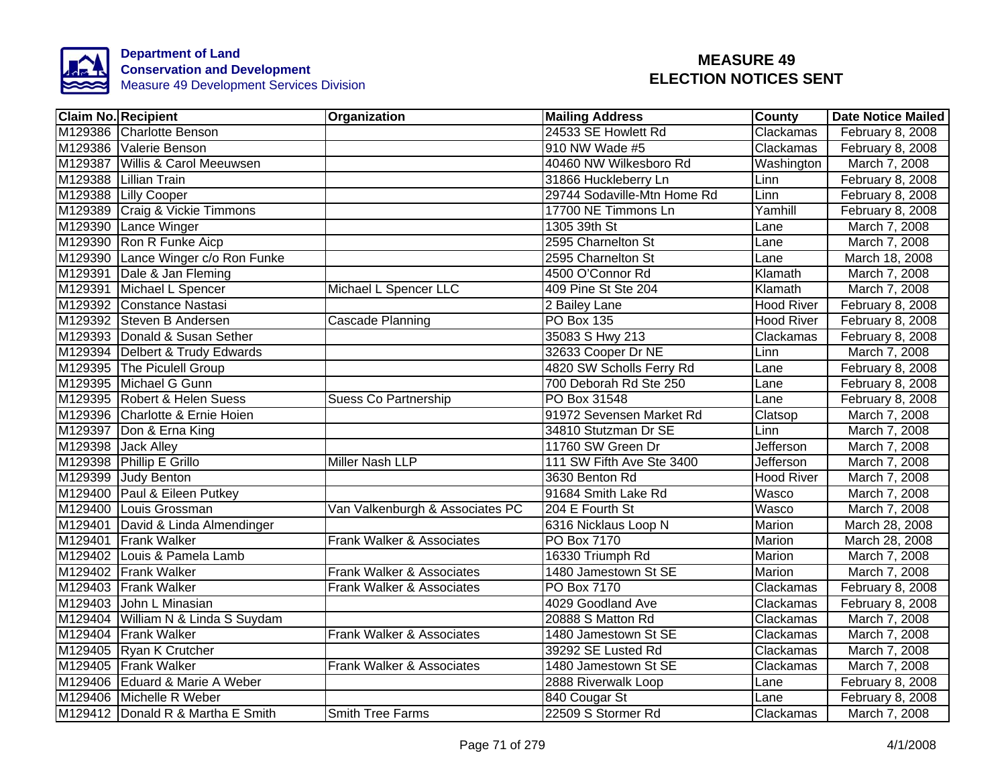

|         | <b>Claim No. Recipient</b>         | Organization                    | <b>Mailing Address</b>      | <b>County</b>     | <b>Date Notice Mailed</b> |
|---------|------------------------------------|---------------------------------|-----------------------------|-------------------|---------------------------|
|         | M129386 Charlotte Benson           |                                 | 24533 SE Howlett Rd         | Clackamas         | February 8, 2008          |
|         | M129386 Valerie Benson             |                                 | 910 NW Wade #5              | Clackamas         | February 8, 2008          |
|         | M129387 Willis & Carol Meeuwsen    |                                 | 40460 NW Wilkesboro Rd      | Washington        | March 7, 2008             |
|         | M129388 Lillian Train              |                                 | 31866 Huckleberry Ln        | Linn              | February 8, 2008          |
|         | M129388 Lilly Cooper               |                                 | 29744 Sodaville-Mtn Home Rd | Linn              | February 8, 2008          |
|         | M129389 Craig & Vickie Timmons     |                                 | 17700 NE Timmons Ln         | Yamhill           | February 8, 2008          |
|         | M129390 Lance Winger               |                                 | 1305 39th St                | Lane              | March 7, 2008             |
|         | M129390 Ron R Funke Aicp           |                                 | 2595 Charnelton St          | Lane              | March 7, 2008             |
|         | M129390 Lance Winger c/o Ron Funke |                                 | 2595 Charnelton St          | Lane              | March 18, 2008            |
|         | M129391 Dale & Jan Fleming         |                                 | 4500 O'Connor Rd            | Klamath           | March 7, 2008             |
|         | M129391 Michael L Spencer          | Michael L Spencer LLC           | 409 Pine St Ste 204         | Klamath           | March 7, 2008             |
|         | M129392 Constance Nastasi          |                                 | 2 Bailey Lane               | <b>Hood River</b> | February 8, 2008          |
|         | M129392 Steven B Andersen          | Cascade Planning                | <b>PO Box 135</b>           | <b>Hood River</b> | February 8, 2008          |
|         | M129393 Donald & Susan Sether      |                                 | 35083 S Hwy 213             | Clackamas         | February 8, 2008          |
|         | M129394   Delbert & Trudy Edwards  |                                 | 32633 Cooper Dr NE          | Linn              | March 7, 2008             |
|         | M129395 The Piculell Group         |                                 | 4820 SW Scholls Ferry Rd    | Lane              | February 8, 2008          |
|         | M129395 Michael G Gunn             |                                 | 700 Deborah Rd Ste 250      | Lane              | February 8, 2008          |
|         | M129395 Robert & Helen Suess       | <b>Suess Co Partnership</b>     | PO Box 31548                | Lane              | February 8, 2008          |
|         | M129396 Charlotte & Ernie Hoien    |                                 | 91972 Sevensen Market Rd    | Clatsop           | March 7, 2008             |
|         | M129397 Don & Erna King            |                                 | 34810 Stutzman Dr SE        | Linn              | March 7, 2008             |
|         | M129398 Jack Alley                 |                                 | 11760 SW Green Dr           | <b>Jefferson</b>  | March 7, 2008             |
|         | M129398 Phillip E Grillo           | <b>Miller Nash LLP</b>          | 111 SW Fifth Ave Ste 3400   | <b>Jefferson</b>  | March 7, 2008             |
|         | M129399 Judy Benton                |                                 | 3630 Benton Rd              | <b>Hood River</b> | March 7, 2008             |
|         | M129400 Paul & Eileen Putkey       |                                 | 91684 Smith Lake Rd         | Wasco             | March 7, 2008             |
|         | M129400 Louis Grossman             | Van Valkenburgh & Associates PC | 204 E Fourth St             | Wasco             | March 7, 2008             |
|         | M129401 David & Linda Almendinger  |                                 | 6316 Nicklaus Loop N        | Marion            | March 28, 2008            |
| M129401 | <b>Frank Walker</b>                | Frank Walker & Associates       | PO Box 7170                 | Marion            | March 28, 2008            |
|         | M129402 Louis & Pamela Lamb        |                                 | 16330 Triumph Rd            | Marion            | March 7, 2008             |
|         | M129402 Frank Walker               | Frank Walker & Associates       | 1480 Jamestown St SE        | Marion            | March 7, 2008             |
|         | M129403 Frank Walker               | Frank Walker & Associates       | PO Box 7170                 | Clackamas         | February 8, 2008          |
| M129403 | John L Minasian                    |                                 | 4029 Goodland Ave           | Clackamas         | February 8, 2008          |
|         | M129404 William N & Linda S Suydam |                                 | 20888 S Matton Rd           | Clackamas         | March 7, 2008             |
|         | M129404 Frank Walker               | Frank Walker & Associates       | 1480 Jamestown St SE        | Clackamas         | March 7, 2008             |
|         | M129405 Ryan K Crutcher            |                                 | 39292 SE Lusted Rd          | Clackamas         | March 7, 2008             |
|         | M129405 Frank Walker               | Frank Walker & Associates       | 1480 Jamestown St SE        | Clackamas         | March 7, 2008             |
|         | M129406 Eduard & Marie A Weber     |                                 | 2888 Riverwalk Loop         | Lane              | February 8, 2008          |
|         | M129406 Michelle R Weber           |                                 | 840 Cougar St               | Lane              | February 8, 2008          |
|         | M129412 Donald R & Martha E Smith  | <b>Smith Tree Farms</b>         | 22509 S Stormer Rd          | Clackamas         | March 7, 2008             |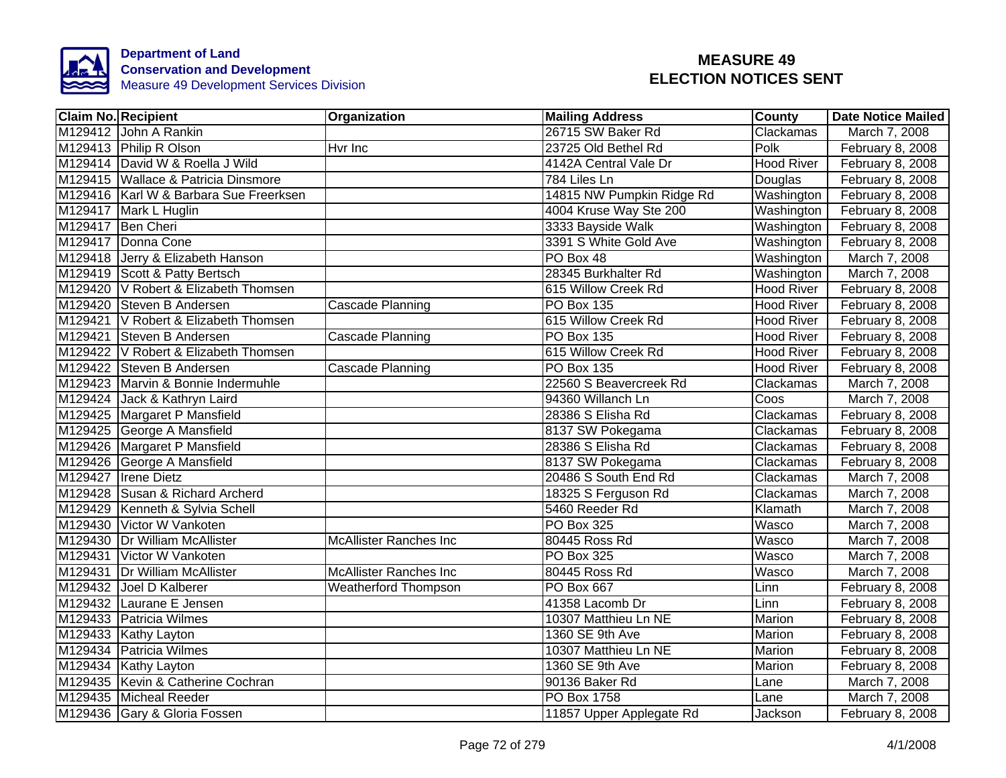

| Claim No. Recipient |                                        | <b>Organization</b>           | <b>Mailing Address</b>    | <b>County</b>     | Date Notice Mailed |
|---------------------|----------------------------------------|-------------------------------|---------------------------|-------------------|--------------------|
|                     | M129412 John A Rankin                  |                               | 26715 SW Baker Rd         | Clackamas         | March 7, 2008      |
|                     | M129413 Philip R Olson                 | Hvr Inc                       | 23725 Old Bethel Rd       | Polk              | February 8, 2008   |
|                     | M129414 David W & Roella J Wild        |                               | 4142A Central Vale Dr     | <b>Hood River</b> | February 8, 2008   |
|                     | M129415 Wallace & Patricia Dinsmore    |                               | 784 Liles Ln              | Douglas           | February 8, 2008   |
|                     | M129416 Karl W & Barbara Sue Freerksen |                               | 14815 NW Pumpkin Ridge Rd | Washington        | February 8, 2008   |
|                     | M129417 Mark L Huglin                  |                               | 4004 Kruse Way Ste 200    | Washington        | February 8, 2008   |
|                     | M129417 Ben Cheri                      |                               | 3333 Bayside Walk         | Washington        | February 8, 2008   |
|                     | M129417 Donna Cone                     |                               | 3391 S White Gold Ave     | Washington        | February 8, 2008   |
|                     | M129418 Jerry & Elizabeth Hanson       |                               | PO Box 48                 | Washington        | March 7, 2008      |
|                     | M129419 Scott & Patty Bertsch          |                               | 28345 Burkhalter Rd       | Washington        | March 7, 2008      |
|                     | M129420 V Robert & Elizabeth Thomsen   |                               | 615 Willow Creek Rd       | <b>Hood River</b> | February 8, 2008   |
|                     | M129420 Steven B Andersen              | Cascade Planning              | PO Box 135                | <b>Hood River</b> | February 8, 2008   |
|                     | M129421 V Robert & Elizabeth Thomsen   |                               | 615 Willow Creek Rd       | <b>Hood River</b> | February 8, 2008   |
|                     | M129421 Steven B Andersen              | Cascade Planning              | PO Box 135                | <b>Hood River</b> | February 8, 2008   |
|                     | M129422 V Robert & Elizabeth Thomsen   |                               | 615 Willow Creek Rd       | <b>Hood River</b> | February 8, 2008   |
|                     | M129422 Steven B Andersen              | Cascade Planning              | <b>PO Box 135</b>         | <b>Hood River</b> | February 8, 2008   |
|                     | M129423 Marvin & Bonnie Indermuhle     |                               | 22560 S Beavercreek Rd    | Clackamas         | March 7, 2008      |
|                     | M129424 Jack & Kathryn Laird           |                               | 94360 Willanch Ln         | Coos              | March 7, 2008      |
|                     | M129425 Margaret P Mansfield           |                               | 28386 S Elisha Rd         | Clackamas         | February 8, 2008   |
|                     | M129425 George A Mansfield             |                               | 8137 SW Pokegama          | Clackamas         | February 8, 2008   |
|                     | M129426 Margaret P Mansfield           |                               | 28386 S Elisha Rd         | Clackamas         | February 8, 2008   |
|                     | M129426 George A Mansfield             |                               | 8137 SW Pokegama          | Clackamas         | February 8, 2008   |
|                     | M129427 Irene Dietz                    |                               | 20486 S South End Rd      | Clackamas         | March 7, 2008      |
|                     | M129428 Susan & Richard Archerd        |                               | 18325 S Ferguson Rd       | Clackamas         | March 7, 2008      |
|                     | M129429 Kenneth & Sylvia Schell        |                               | 5460 Reeder Rd            | Klamath           | March 7, 2008      |
|                     | M129430 Victor W Vankoten              |                               | <b>PO Box 325</b>         | Wasco             | March 7, 2008      |
|                     | M129430 Dr William McAllister          | <b>McAllister Ranches Inc</b> | 80445 Ross Rd             | Wasco             | March 7, 2008      |
|                     | M129431 Victor W Vankoten              |                               | <b>PO Box 325</b>         | Wasco             | March 7, 2008      |
|                     | M129431 Dr William McAllister          | <b>McAllister Ranches Inc</b> | 80445 Ross Rd             | Wasco             | March 7, 2008      |
|                     | M129432 Joel D Kalberer                | <b>Weatherford Thompson</b>   | PO Box 667                | Linn              | February 8, 2008   |
|                     | M129432 Laurane E Jensen               |                               | 41358 Lacomb Dr           | Linn              | February 8, 2008   |
|                     | M129433 Patricia Wilmes                |                               | 10307 Matthieu Ln NE      | Marion            | February 8, 2008   |
|                     | M129433 Kathy Layton                   |                               | 1360 SE 9th Ave           | Marion            | February 8, 2008   |
|                     | M129434 Patricia Wilmes                |                               | 10307 Matthieu Ln NE      | Marion            | February 8, 2008   |
|                     | M129434 Kathy Layton                   |                               | 1360 SE 9th Ave           | Marion            | February 8, 2008   |
|                     | M129435 Kevin & Catherine Cochran      |                               | 90136 Baker Rd            | Lane              | March 7, 2008      |
|                     | M129435 Micheal Reeder                 |                               | PO Box 1758               | Lane              | March 7, 2008      |
|                     | M129436 Gary & Gloria Fossen           |                               | 11857 Upper Applegate Rd  | Jackson           | February 8, 2008   |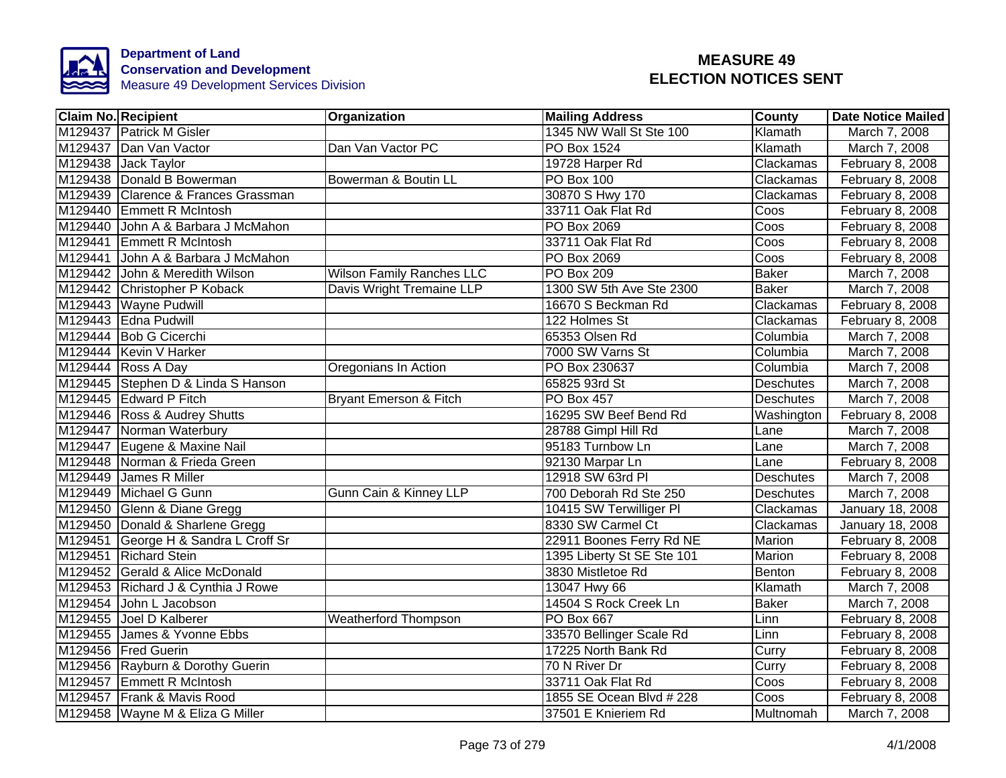

|         | <b>Claim No. Recipient</b>           | Organization                      | <b>Mailing Address</b>     | <b>County</b>    | <b>Date Notice Mailed</b> |
|---------|--------------------------------------|-----------------------------------|----------------------------|------------------|---------------------------|
|         | M129437 Patrick M Gisler             |                                   | 1345 NW Wall St Ste 100    | Klamath          | March 7, 2008             |
|         | M129437 Dan Van Vactor               | Dan Van Vactor PC                 | <b>PO Box 1524</b>         | Klamath          | March 7, 2008             |
|         | M129438 Jack Taylor                  |                                   | 19728 Harper Rd            | Clackamas        | February 8, 2008          |
|         | M129438 Donald B Bowerman            | Bowerman & Boutin LL              | <b>PO Box 100</b>          | Clackamas        | February 8, 2008          |
|         | M129439 Clarence & Frances Grassman  |                                   | 30870 S Hwy 170            | Clackamas        | February 8, 2008          |
| M129440 | <b>Emmett R McIntosh</b>             |                                   | 33711 Oak Flat Rd          | Coos             | February 8, 2008          |
| M129440 | John A & Barbara J McMahon           |                                   | PO Box 2069                | Coos             | February 8, 2008          |
|         | M129441 Emmett R McIntosh            |                                   | 33711 Oak Flat Rd          | Coos             | February 8, 2008          |
|         | M129441 John A & Barbara J McMahon   |                                   | PO Box 2069                | Coos             | February 8, 2008          |
|         | M129442 John & Meredith Wilson       | <b>Wilson Family Ranches LLC</b>  | PO Box 209                 | <b>Baker</b>     | March 7, 2008             |
|         | M129442 Christopher P Koback         | Davis Wright Tremaine LLP         | 1300 SW 5th Ave Ste 2300   | <b>Baker</b>     | March 7, 2008             |
|         | M129443 Wayne Pudwill                |                                   | 16670 S Beckman Rd         | Clackamas        | February 8, 2008          |
|         | M129443 Edna Pudwill                 |                                   | 122 Holmes St              | Clackamas        | February 8, 2008          |
|         | M129444 Bob G Cicerchi               |                                   | 65353 Olsen Rd             | Columbia         | March 7, 2008             |
|         | M129444 Kevin V Harker               |                                   | 7000 SW Varns St           | Columbia         | March 7, 2008             |
|         | M129444 Ross A Day                   | Oregonians In Action              | PO Box 230637              | Columbia         | March 7, 2008             |
|         | M129445 Stephen D & Linda S Hanson   |                                   | 65825 93rd St              | <b>Deschutes</b> | March 7, 2008             |
|         | M129445 Edward P Fitch               | <b>Bryant Emerson &amp; Fitch</b> | PO Box 457                 | <b>Deschutes</b> | March 7, 2008             |
|         | M129446 Ross & Audrey Shutts         |                                   | 16295 SW Beef Bend Rd      | Washington       | February 8, 2008          |
|         | M129447 Norman Waterbury             |                                   | 28788 Gimpl Hill Rd        | Lane             | March 7, 2008             |
|         | M129447 Eugene & Maxine Nail         |                                   | 95183 Turnbow Ln           | Lane             | March 7, 2008             |
|         | M129448 Norman & Frieda Green        |                                   | 92130 Marpar Ln            | Lane             | February 8, 2008          |
|         | M129449 James R Miller               |                                   | 12918 SW 63rd PI           | <b>Deschutes</b> | March 7, 2008             |
|         | M129449 Michael G Gunn               | Gunn Cain & Kinney LLP            | 700 Deborah Rd Ste 250     | <b>Deschutes</b> | March 7, 2008             |
|         | M129450 Glenn & Diane Gregg          |                                   | 10415 SW Terwilliger PI    | Clackamas        | January 18, 2008          |
|         | M129450 Donald & Sharlene Gregg      |                                   | 8330 SW Carmel Ct          | Clackamas        | January 18, 2008          |
|         | M129451 George H & Sandra L Croff Sr |                                   | 22911 Boones Ferry Rd NE   | <b>Marion</b>    | February 8, 2008          |
|         | M129451 Richard Stein                |                                   | 1395 Liberty St SE Ste 101 | Marion           | February 8, 2008          |
|         | M129452 Gerald & Alice McDonald      |                                   | 3830 Mistletoe Rd          | Benton           | February 8, 2008          |
|         | M129453 Richard J & Cynthia J Rowe   |                                   | 13047 Hwy 66               | Klamath          | March 7, 2008             |
| M129454 | John L Jacobson                      |                                   | 14504 S Rock Creek Ln      | <b>Baker</b>     | March 7, 2008             |
|         | M129455 Joel D Kalberer              | Weatherford Thompson              | PO Box 667                 | Linn             | February 8, 2008          |
| M129455 | James & Yvonne Ebbs                  |                                   | 33570 Bellinger Scale Rd   | Linn             | February 8, 2008          |
|         | M129456 Fred Guerin                  |                                   | 17225 North Bank Rd        | Curry            | February 8, 2008          |
|         | M129456 Rayburn & Dorothy Guerin     |                                   | 70 N River Dr              | Curry            | February 8, 2008          |
|         | M129457 Emmett R McIntosh            |                                   | 33711 Oak Flat Rd          | Coos             | February 8, 2008          |
|         | M129457 Frank & Mavis Rood           |                                   | 1855 SE Ocean Blvd # 228   | Coos             | February 8, 2008          |
|         | M129458 Wayne M & Eliza G Miller     |                                   | 37501 E Knieriem Rd        | Multnomah        | March 7, 2008             |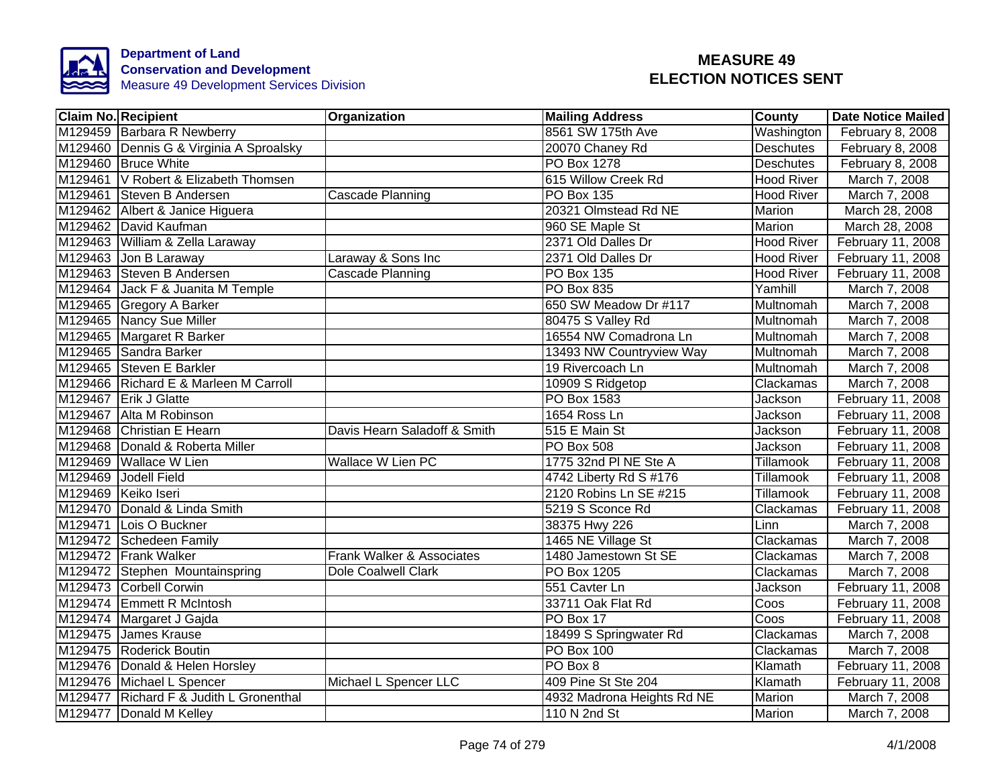

|         | <b>Claim No. Recipient</b>              | <b>Organization</b>          | <b>Mailing Address</b>     | <b>County</b>     | <b>Date Notice Mailed</b> |
|---------|-----------------------------------------|------------------------------|----------------------------|-------------------|---------------------------|
|         | M129459 Barbara R Newberry              |                              | 8561 SW 175th Ave          | Washington        | February 8, 2008          |
|         | M129460 Dennis G & Virginia A Sproalsky |                              | 20070 Chaney Rd            | <b>Deschutes</b>  | February 8, 2008          |
|         | M129460 Bruce White                     |                              | <b>PO Box 1278</b>         | <b>Deschutes</b>  | February 8, 2008          |
|         | M129461 V Robert & Elizabeth Thomsen    |                              | 615 Willow Creek Rd        | <b>Hood River</b> | March 7, 2008             |
|         | M129461 Steven B Andersen               | Cascade Planning             | PO Box 135                 | <b>Hood River</b> | March 7, 2008             |
|         | M129462 Albert & Janice Higuera         |                              | 20321 Olmstead Rd NE       | Marion            | March 28, 2008            |
|         | M129462 David Kaufman                   |                              | 960 SE Maple St            | Marion            | March 28, 2008            |
|         | M129463 William & Zella Laraway         |                              | 2371 Old Dalles Dr         | <b>Hood River</b> | February 11, 2008         |
|         | M129463 Jon B Laraway                   | Laraway & Sons Inc           | 2371 Old Dalles Dr         | <b>Hood River</b> | February 11, 2008         |
|         | M129463 Steven B Andersen               | Cascade Planning             | <b>PO Box 135</b>          | <b>Hood River</b> | February 11, 2008         |
|         | M129464 Jack F & Juanita M Temple       |                              | PO Box 835                 | Yamhill           | March 7, 2008             |
|         | M129465 Gregory A Barker                |                              | 650 SW Meadow Dr #117      | Multnomah         | March 7, 2008             |
|         | M129465 Nancy Sue Miller                |                              | 80475 S Valley Rd          | Multnomah         | March 7, 2008             |
|         | M129465 Margaret R Barker               |                              | 16554 NW Comadrona Ln      | Multnomah         | March 7, 2008             |
|         | M129465 Sandra Barker                   |                              | 13493 NW Countryview Way   | Multnomah         | March 7, 2008             |
|         | M129465 Steven E Barkler                |                              | 19 Rivercoach Ln           | Multnomah         | March 7, 2008             |
|         | M129466 Richard E & Marleen M Carroll   |                              | 10909 S Ridgetop           | Clackamas         | March 7, 2008             |
|         | M129467 Erik J Glatte                   |                              | <b>PO Box 1583</b>         | Jackson           | February 11, 2008         |
|         | M129467 Alta M Robinson                 |                              | 1654 Ross Ln               | <b>Jackson</b>    | February 11, 2008         |
|         | M129468 Christian E Hearn               | Davis Hearn Saladoff & Smith | 515 E Main St              | Jackson           | February 11, 2008         |
|         | M129468 Donald & Roberta Miller         |                              | <b>PO Box 508</b>          | Jackson           | February 11, 2008         |
|         | M129469 Wallace W Lien                  | <b>Wallace W Lien PC</b>     | 1775 32nd PI NE Ste A      | Tillamook         | February 11, 2008         |
|         | M129469 Jodell Field                    |                              | 4742 Liberty Rd S #176     | Tillamook         | February 11, 2008         |
|         | M129469 Keiko Iseri                     |                              | 2120 Robins Ln SE #215     | Tillamook         | February 11, 2008         |
|         | M129470 Donald & Linda Smith            |                              | 5219 S Sconce Rd           | Clackamas         | February 11, 2008         |
| M129471 | Lois O Buckner                          |                              | 38375 Hwy 226              | Linn              | March 7, 2008             |
|         | M129472 Schedeen Family                 |                              | 1465 NE Village St         | Clackamas         | March 7, 2008             |
|         | M129472 Frank Walker                    | Frank Walker & Associates    | 1480 Jamestown St SE       | Clackamas         | March 7, 2008             |
|         | M129472 Stephen Mountainspring          | <b>Dole Coalwell Clark</b>   | PO Box 1205                | Clackamas         | March 7, 2008             |
|         | M129473 Corbell Corwin                  |                              | 551 Cavter Ln              | Jackson           | February 11, 2008         |
|         | M129474 Emmett R McIntosh               |                              | 33711 Oak Flat Rd          | Coos              | February 11, 2008         |
|         | M129474 Margaret J Gajda                |                              | PO Box 17                  | Coos              | February 11, 2008         |
|         | M129475 James Krause                    |                              | 18499 S Springwater Rd     | Clackamas         | March 7, 2008             |
|         | M129475 Roderick Boutin                 |                              | PO Box 100                 | Clackamas         | March 7, 2008             |
|         | M129476 Donald & Helen Horsley          |                              | PO Box 8                   | Klamath           | February 11, 2008         |
|         | M129476 Michael L Spencer               | Michael L Spencer LLC        | 409 Pine St Ste 204        | Klamath           | February 11, 2008         |
|         | M129477 Richard F & Judith L Gronenthal |                              | 4932 Madrona Heights Rd NE | Marion            | March 7, 2008             |
|         | M129477 Donald M Kelley                 |                              | 110 N 2nd St               | Marion            | March 7, 2008             |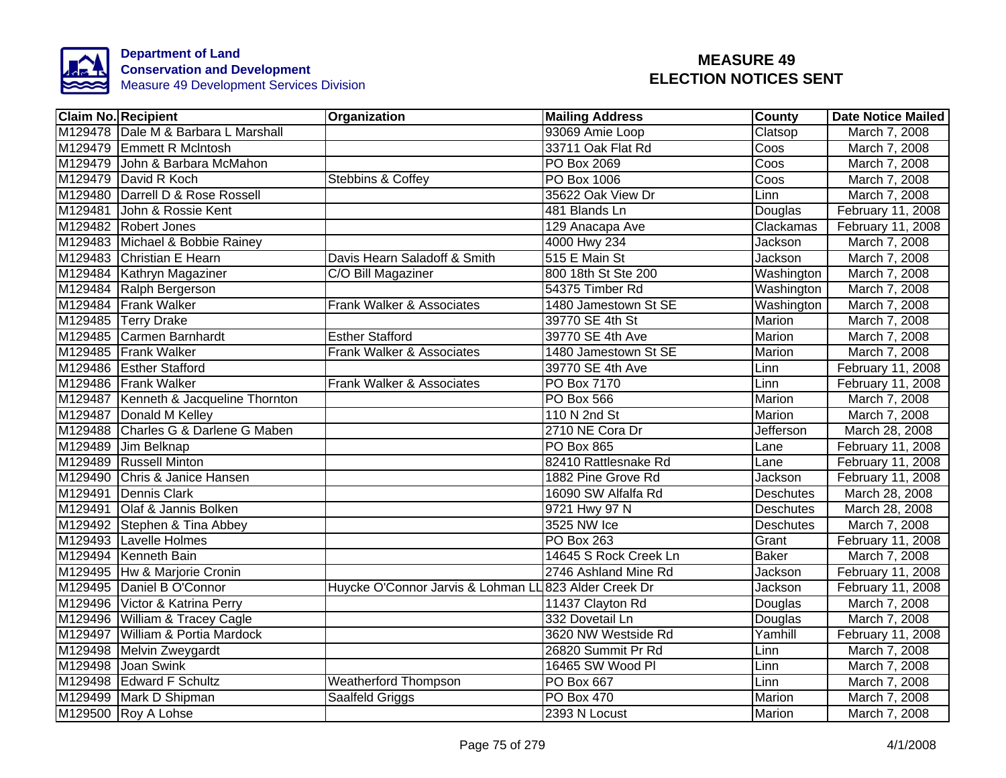

|         | <b>Claim No. Recipient</b>            | Organization                         | <b>Mailing Address</b> | County           | <b>Date Notice Mailed</b> |
|---------|---------------------------------------|--------------------------------------|------------------------|------------------|---------------------------|
|         | M129478 Dale M & Barbara L Marshall   |                                      | 93069 Amie Loop        | Clatsop          | March 7, 2008             |
|         | M129479 Emmett R McIntosh             |                                      | 33711 Oak Flat Rd      | Coos             | March 7, 2008             |
|         | M129479 John & Barbara McMahon        |                                      | <b>PO Box 2069</b>     | Coos             | March 7, 2008             |
|         | M129479 David R Koch                  | <b>Stebbins &amp; Coffey</b>         | PO Box 1006            | Coos             | March 7, 2008             |
|         | M129480 Darrell D & Rose Rossell      |                                      | 35622 Oak View Dr      | Linn             | March 7, 2008             |
| M129481 | John & Rossie Kent                    |                                      | 481 Blands Ln          | Douglas          | February 11, 2008         |
|         | M129482 Robert Jones                  |                                      | 129 Anacapa Ave        | Clackamas        | February 11, 2008         |
|         | M129483 Michael & Bobbie Rainey       |                                      | 4000 Hwy 234           | Jackson          | March 7, 2008             |
|         | M129483 Christian E Hearn             | Davis Hearn Saladoff & Smith         | 515 E Main St          | Jackson          | March 7, 2008             |
|         | M129484 Kathryn Magaziner             | C/O Bill Magaziner                   | 800 18th St Ste 200    | Washington       | March 7, 2008             |
|         | M129484 Ralph Bergerson               |                                      | 54375 Timber Rd        | Washington       | March 7, 2008             |
|         | M129484 Frank Walker                  | Frank Walker & Associates            | 1480 Jamestown St SE   | Washington       | March 7, 2008             |
|         | M129485 Terry Drake                   |                                      | 39770 SE 4th St        | Marion           | March 7, 2008             |
|         | M129485 Carmen Barnhardt              | <b>Esther Stafford</b>               | 39770 SE 4th Ave       | Marion           | March 7, 2008             |
|         | M129485 Frank Walker                  | Frank Walker & Associates            | 1480 Jamestown St SE   | Marion           | March 7, 2008             |
|         | M129486 Esther Stafford               |                                      | 39770 SE 4th Ave       | Linn             | February 11, 2008         |
|         | M129486 Frank Walker                  | <b>Frank Walker &amp; Associates</b> | <b>PO Box 7170</b>     | Linn             | February 11, 2008         |
|         | M129487 Kenneth & Jacqueline Thornton |                                      | <b>PO Box 566</b>      | Marion           | March 7, 2008             |
|         | M129487 Donald M Kelley               |                                      | 110 N 2nd St           | Marion           | March 7, 2008             |
|         | M129488 Charles G & Darlene G Maben   |                                      | 2710 NE Cora Dr        | Jefferson        | March 28, 2008            |
|         | M129489 Jim Belknap                   |                                      | <b>PO Box 865</b>      | Lane             | February 11, 2008         |
|         | M129489 Russell Minton                |                                      | 82410 Rattlesnake Rd   | Lane             | February 11, 2008         |
|         | M129490 Chris & Janice Hansen         |                                      | 1882 Pine Grove Rd     | Jackson          | February 11, 2008         |
|         | M129491 Dennis Clark                  |                                      | 16090 SW Alfalfa Rd    | <b>Deschutes</b> | March 28, 2008            |
|         | M129491 Olaf & Jannis Bolken          |                                      | 9721 Hwy 97 N          | <b>Deschutes</b> | March 28, 2008            |
|         | M129492 Stephen & Tina Abbey          |                                      | 3525 NW Ice            | <b>Deschutes</b> | March 7, 2008             |
|         | M129493 Lavelle Holmes                |                                      | PO Box 263             | Grant            | February 11, 2008         |
|         | M129494 Kenneth Bain                  |                                      | 14645 S Rock Creek Ln  | <b>Baker</b>     | March 7, 2008             |
|         | M129495 Hw & Marjorie Cronin          |                                      | 2746 Ashland Mine Rd   | Jackson          | February 11, 2008         |
|         | M129495 Daniel B O'Connor             | Huycke O'Connor Jarvis & Lohman LI   | 823 Alder Creek Dr     | Jackson          | February 11, 2008         |
|         | M129496 Victor & Katrina Perry        |                                      | 11437 Clayton Rd       | Douglas          | March 7, 2008             |
|         | M129496 William & Tracey Cagle        |                                      | 332 Dovetail Ln        | Douglas          | March 7, 2008             |
|         | M129497 William & Portia Mardock      |                                      | 3620 NW Westside Rd    | Yamhill          | February 11, 2008         |
|         | M129498 Melvin Zweygardt              |                                      | 26820 Summit Pr Rd     | Linn             | March 7, 2008             |
|         | M129498 Joan Swink                    |                                      | 16465 SW Wood Pl       | Linn             | March 7, 2008             |
|         | M129498 Edward F Schultz              | <b>Weatherford Thompson</b>          | PO Box 667             | Linn             | March 7, 2008             |
|         | M129499 Mark D Shipman                | Saalfeld Griggs                      | PO Box 470             | Marion           | March 7, 2008             |
|         | M129500 Roy A Lohse                   |                                      | 2393 N Locust          | Marion           | March 7, 2008             |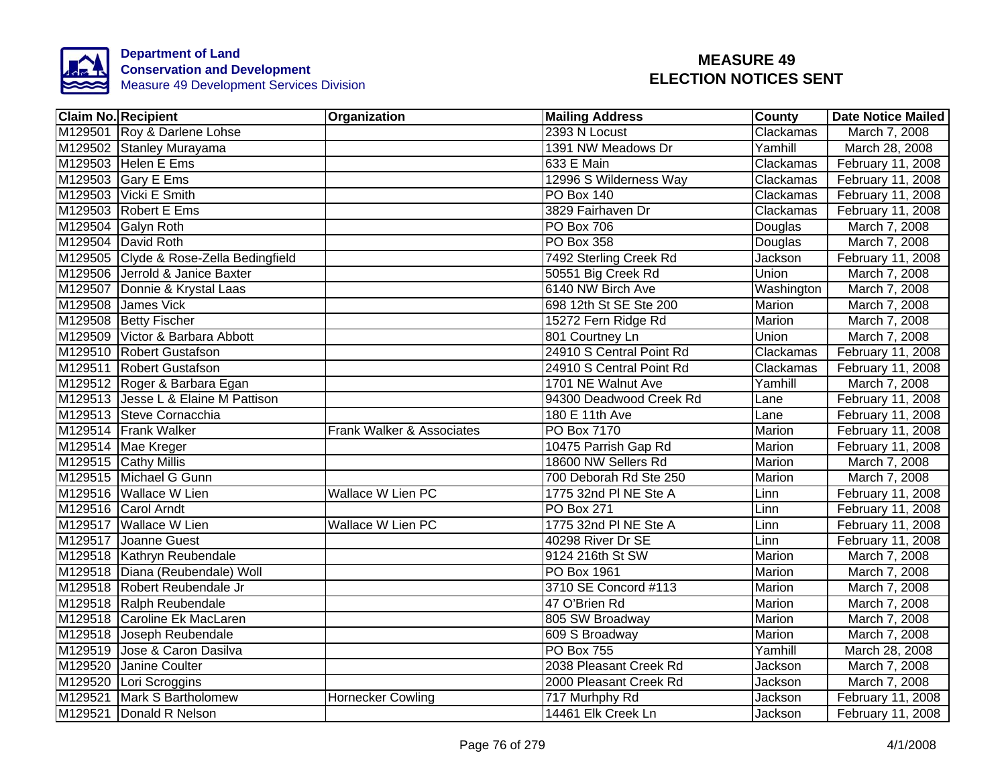

|         | <b>Claim No. Recipient</b>             | Organization              | <b>Mailing Address</b>   | County        | <b>Date Notice Mailed</b> |
|---------|----------------------------------------|---------------------------|--------------------------|---------------|---------------------------|
|         | M129501 Roy & Darlene Lohse            |                           | 2393 N Locust            | Clackamas     | March 7, 2008             |
|         | M129502 Stanley Murayama               |                           | 1391 NW Meadows Dr       | Yamhill       | March 28, 2008            |
|         | M129503 Helen E Ems                    |                           | 633 E Main               | Clackamas     | February 11, 2008         |
|         | M129503 Gary E Ems                     |                           | 12996 S Wilderness Way   | Clackamas     | February 11, 2008         |
|         | M129503 Vicki E Smith                  |                           | <b>PO Box 140</b>        | Clackamas     | February 11, 2008         |
|         | M129503 Robert E Ems                   |                           | 3829 Fairhaven Dr        | Clackamas     | February 11, 2008         |
|         | M129504 Galyn Roth                     |                           | PO Box 706               | Douglas       | March 7, 2008             |
|         | M129504 David Roth                     |                           | PO Box 358               | Douglas       | March 7, 2008             |
|         | M129505 Clyde & Rose-Zella Bedingfield |                           | 7492 Sterling Creek Rd   | Jackson       | February 11, 2008         |
|         | M129506 Jerrold & Janice Baxter        |                           | 50551 Big Creek Rd       | Union         | March 7, 2008             |
|         | M129507 Donnie & Krystal Laas          |                           | 6140 NW Birch Ave        | Washington    | March 7, 2008             |
|         | M129508 James Vick                     |                           | 698 12th St SE Ste 200   | Marion        | March 7, 2008             |
|         | M129508 Betty Fischer                  |                           | 15272 Fern Ridge Rd      | Marion        | March 7, 2008             |
|         | M129509 Victor & Barbara Abbott        |                           | 801 Courtney Ln          | Union         | March 7, 2008             |
|         | M129510 Robert Gustafson               |                           | 24910 S Central Point Rd | Clackamas     | February 11, 2008         |
|         | M129511 Robert Gustafson               |                           | 24910 S Central Point Rd | Clackamas     | February 11, 2008         |
|         | M129512 Roger & Barbara Egan           |                           | 1701 NE Walnut Ave       | Yamhill       | March 7, 2008             |
|         | M129513 Jesse L & Elaine M Pattison    |                           | 94300 Deadwood Creek Rd  | Lane          | February 11, 2008         |
|         | M129513 Steve Cornacchia               |                           | 180 E 11th Ave           | Lane          | February 11, 2008         |
|         | M129514 Frank Walker                   | Frank Walker & Associates | <b>PO Box 7170</b>       | <b>Marion</b> | February 11, 2008         |
|         | M129514 Mae Kreger                     |                           | 10475 Parrish Gap Rd     | Marion        | February 11, 2008         |
|         | M129515 Cathy Millis                   |                           | 18600 NW Sellers Rd      | Marion        | March 7, 2008             |
|         | M129515 Michael G Gunn                 |                           | 700 Deborah Rd Ste 250   | Marion        | March 7, 2008             |
|         | M129516 Wallace W Lien                 | <b>Wallace W Lien PC</b>  | 1775 32nd PI NE Ste A    | Linn          | February 11, 2008         |
|         | M129516 Carol Arndt                    |                           | <b>PO Box 271</b>        | Linn          | February 11, 2008         |
|         | M129517 Wallace W Lien                 | <b>Wallace W Lien PC</b>  | 1775 32nd PI NE Ste A    | Linn          | February 11, 2008         |
|         | M129517 Joanne Guest                   |                           | 40298 River Dr SE        | Linn          | February 11, 2008         |
|         | M129518 Kathryn Reubendale             |                           | 9124 216th St SW         | Marion        | March 7, 2008             |
|         | M129518 Diana (Reubendale) Woll        |                           | PO Box 1961              | Marion        | March 7, 2008             |
|         | M129518 Robert Reubendale Jr           |                           | 3710 SE Concord #113     | Marion        | March 7, 2008             |
|         | M129518 Ralph Reubendale               |                           | 47 O'Brien Rd            | Marion        | March 7, 2008             |
|         | M129518 Caroline Ek MacLaren           |                           | 805 SW Broadway          | Marion        | March 7, 2008             |
|         | M129518 Joseph Reubendale              |                           | 609 S Broadway           | Marion        | March 7, 2008             |
| M129519 | Jose & Caron Dasilva                   |                           | <b>PO Box 755</b>        | Yamhill       | March 28, 2008            |
|         | M129520 Janine Coulter                 |                           | 2038 Pleasant Creek Rd   | Jackson       | March 7, 2008             |
|         | M129520 Lori Scroggins                 |                           | 2000 Pleasant Creek Rd   | Jackson       | March 7, 2008             |
|         | M129521 Mark S Bartholomew             | <b>Hornecker Cowling</b>  | 717 Murhphy Rd           | Jackson       | February 11, 2008         |
|         | M129521 Donald R Nelson                |                           | 14461 Elk Creek Ln       | Jackson       | February 11, 2008         |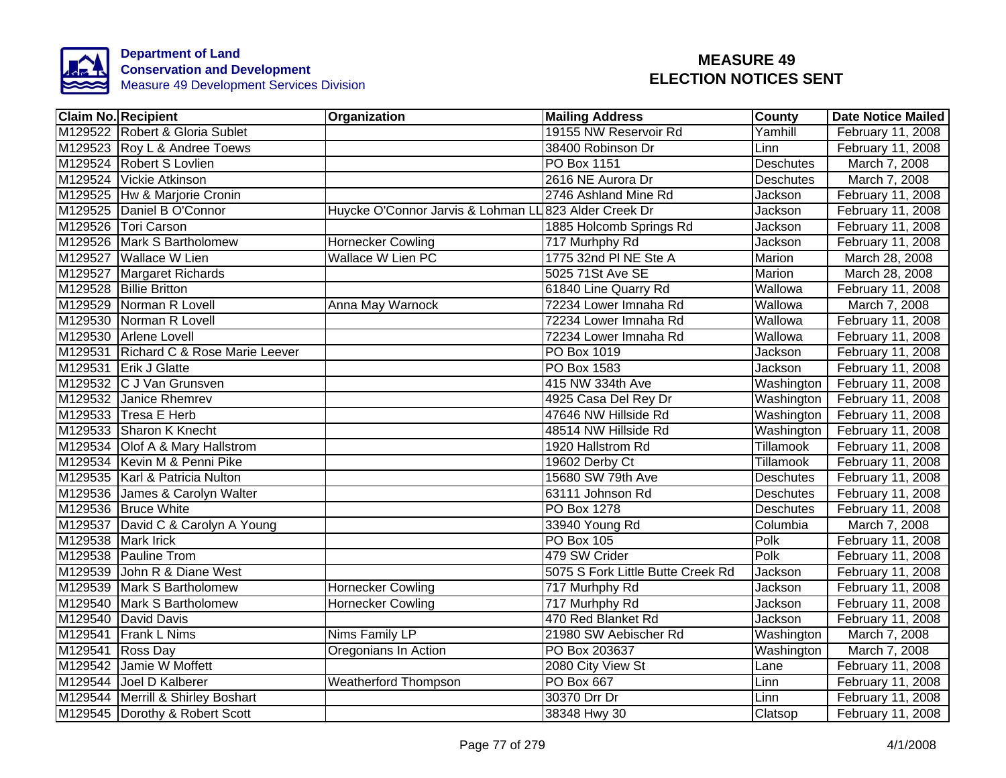

|                    | Claim No. Recipient                   | <b>Organization</b>                                   | <b>Mailing Address</b>            | <b>County</b>    | Date Notice Mailed |
|--------------------|---------------------------------------|-------------------------------------------------------|-----------------------------------|------------------|--------------------|
|                    | M129522 Robert & Gloria Sublet        |                                                       | 19155 NW Reservoir Rd             | Yamhill          | February 11, 2008  |
|                    | M129523 Roy L & Andree Toews          |                                                       | 38400 Robinson Dr                 | Linn             | February 11, 2008  |
|                    | M129524 Robert S Lovlien              |                                                       | <b>PO Box 1151</b>                | <b>Deschutes</b> | March 7, 2008      |
|                    | M129524 Vickie Atkinson               |                                                       | 2616 NE Aurora Dr                 | <b>Deschutes</b> | March 7, 2008      |
|                    | M129525  Hw & Marjorie Cronin         |                                                       | 2746 Ashland Mine Rd              | Jackson          | February 11, 2008  |
|                    | M129525 Daniel B O'Connor             | Huycke O'Connor Jarvis & Lohman LL 823 Alder Creek Dr |                                   | Jackson          | February 11, 2008  |
|                    | M129526 Tori Carson                   |                                                       | 1885 Holcomb Springs Rd           | Jackson          | February 11, 2008  |
|                    | M129526 Mark S Bartholomew            | <b>Hornecker Cowling</b>                              | 717 Murhphy Rd                    | Jackson          | February 11, 2008  |
|                    | M129527 Wallace W Lien                | <b>Wallace W Lien PC</b>                              | 1775 32nd PI NE Ste A             | Marion           | March 28, 2008     |
|                    | M129527 Margaret Richards             |                                                       | 5025 71St Ave SE                  | Marion           | March 28, 2008     |
|                    | M129528 Billie Britton                |                                                       | 61840 Line Quarry Rd              | Wallowa          | February 11, 2008  |
|                    | M129529 Norman R Lovell               | Anna May Warnock                                      | 72234 Lower Imnaha Rd             | Wallowa          | March 7, 2008      |
|                    | M129530 Norman R Lovell               |                                                       | 72234 Lower Imnaha Rd             | Wallowa          | February 11, 2008  |
|                    | M129530 Arlene Lovell                 |                                                       | 72234 Lower Imnaha Rd             | Wallowa          | February 11, 2008  |
|                    | M129531 Richard C & Rose Marie Leever |                                                       | PO Box 1019                       | Jackson          | February 11, 2008  |
|                    | M129531 Erik J Glatte                 |                                                       | <b>PO Box 1583</b>                | Jackson          | February 11, 2008  |
|                    | M129532 C J Van Grunsven              |                                                       | 415 NW 334th Ave                  | Washington       | February 11, 2008  |
|                    | M129532 Janice Rhemrev                |                                                       | 4925 Casa Del Rey Dr              | Washington       | February 11, 2008  |
|                    | M129533 Tresa E Herb                  |                                                       | 47646 NW Hillside Rd              | Washington       | February 11, 2008  |
|                    | M129533 Sharon K Knecht               |                                                       | 48514 NW Hillside Rd              | Washington       | February 11, 2008  |
|                    | M129534 Olof A & Mary Hallstrom       |                                                       | 1920 Hallstrom Rd                 | <b>Tillamook</b> | February 11, 2008  |
|                    | M129534 Kevin M & Penni Pike          |                                                       | 19602 Derby Ct                    | <b>Tillamook</b> | February 11, 2008  |
|                    | M129535 Karl & Patricia Nulton        |                                                       | 15680 SW 79th Ave                 | <b>Deschutes</b> | February 11, 2008  |
|                    | M129536 James & Carolyn Walter        |                                                       | 63111 Johnson Rd                  | <b>Deschutes</b> | February 11, 2008  |
|                    | M129536 Bruce White                   |                                                       | PO Box 1278                       | Deschutes        | February 11, 2008  |
|                    | M129537 David C & Carolyn A Young     |                                                       | 33940 Young Rd                    | Columbia         | March 7, 2008      |
| M129538 Mark Irick |                                       |                                                       | <b>PO Box 105</b>                 | Polk             | February 11, 2008  |
|                    | M129538 Pauline Trom                  |                                                       | 479 SW Crider                     | Polk             | February 11, 2008  |
|                    | M129539 John R & Diane West           |                                                       | 5075 S Fork Little Butte Creek Rd | Jackson          | February 11, 2008  |
|                    | M129539 Mark S Bartholomew            | <b>Hornecker Cowling</b>                              | 717 Murhphy Rd                    | Jackson          | February 11, 2008  |
|                    | M129540 Mark S Bartholomew            | <b>Hornecker Cowling</b>                              | 717 Murhphy Rd                    | Jackson          | February 11, 2008  |
|                    | M129540 David Davis                   |                                                       | 470 Red Blanket Rd                | Jackson          | February 11, 2008  |
|                    | M129541 Frank L Nims                  | Nims Family LP                                        | 21980 SW Aebischer Rd             | Washington       | March 7, 2008      |
| M129541 Ross Day   |                                       | Oregonians In Action                                  | PO Box 203637                     | Washington       | March 7, 2008      |
|                    | M129542 Jamie W Moffett               |                                                       | 2080 City View St                 | Lane             | February 11, 2008  |
|                    | M129544 Joel D Kalberer               | <b>Weatherford Thompson</b>                           | PO Box 667                        | Linn             | February 11, 2008  |
|                    | M129544   Merrill & Shirley Boshart   |                                                       | 30370 Drr Dr                      | Linn             | February 11, 2008  |
|                    | M129545 Dorothy & Robert Scott        |                                                       | 38348 Hwy 30                      | Clatsop          | February 11, 2008  |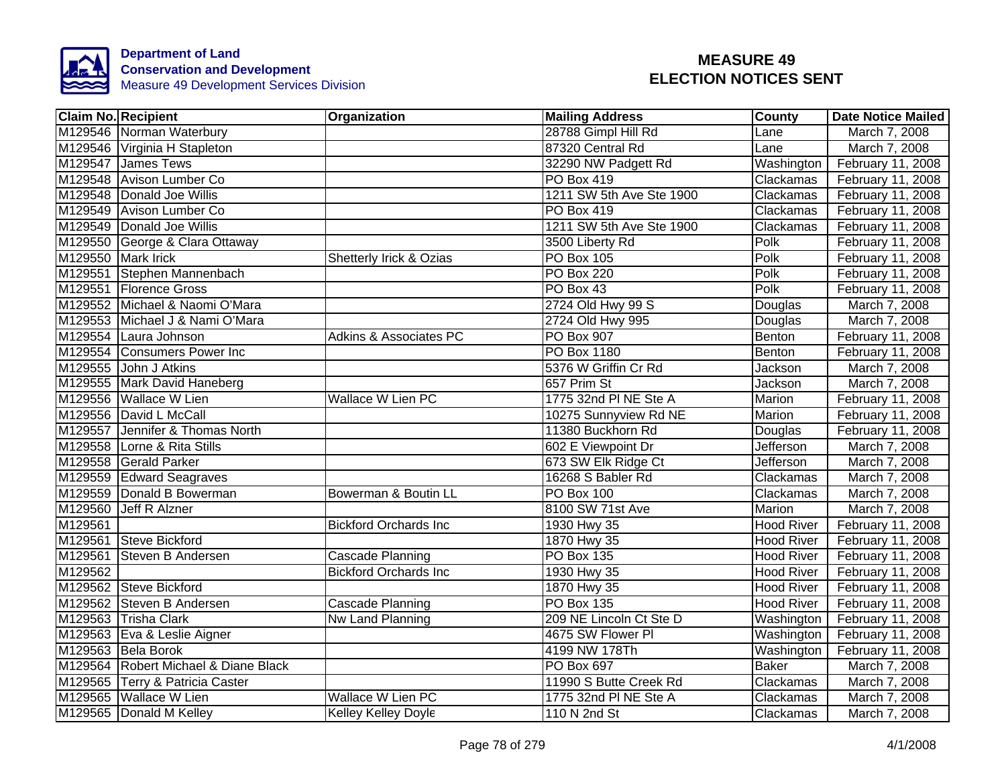

|         | Claim No. Recipient                  | <b>Organization</b>               | <b>Mailing Address</b>   | County            | Date Notice Mailed |
|---------|--------------------------------------|-----------------------------------|--------------------------|-------------------|--------------------|
|         | M129546 Norman Waterbury             |                                   | 28788 Gimpl Hill Rd      | Lane              | March 7, 2008      |
|         | M129546 Virginia H Stapleton         |                                   | 87320 Central Rd         | Lane              | March 7, 2008      |
|         | M129547 James Tews                   |                                   | 32290 NW Padgett Rd      | Washington        | February 11, 2008  |
|         | M129548 Avison Lumber Co             |                                   | PO Box 419               | Clackamas         | February 11, 2008  |
|         | M129548 Donald Joe Willis            |                                   | 1211 SW 5th Ave Ste 1900 | Clackamas         | February 11, 2008  |
|         | M129549 Avison Lumber Co             |                                   | PO Box 419               | Clackamas         | February 11, 2008  |
|         | M129549 Donald Joe Willis            |                                   | 1211 SW 5th Ave Ste 1900 | Clackamas         | February 11, 2008  |
|         | M129550 George & Clara Ottaway       |                                   | 3500 Liberty Rd          | Polk              | February 11, 2008  |
|         | M129550 Mark Irick                   | Shetterly Irick & Ozias           | <b>PO Box 105</b>        | Polk              | February 11, 2008  |
|         | M129551 Stephen Mannenbach           |                                   | <b>PO Box 220</b>        | Polk              | February 11, 2008  |
|         | M129551 Florence Gross               |                                   | PO Box 43                | Polk              | February 11, 2008  |
|         | M129552 Michael & Naomi O'Mara       |                                   | 2724 Old Hwy 99 S        | Douglas           | March 7, 2008      |
|         | M129553 Michael J & Nami O'Mara      |                                   | 2724 Old Hwy 995         | Douglas           | March 7, 2008      |
|         | M129554 Laura Johnson                | <b>Adkins &amp; Associates PC</b> | PO Box 907               | Benton            | February 11, 2008  |
|         | M129554 Consumers Power Inc          |                                   | <b>PO Box 1180</b>       | Benton            | February 11, 2008  |
|         | M129555 John J Atkins                |                                   | 5376 W Griffin Cr Rd     | Jackson           | March 7, 2008      |
|         | M129555 Mark David Haneberg          |                                   | 657 Prim St              | Jackson           | March 7, 2008      |
|         | M129556 Wallace W Lien               | <b>Wallace W Lien PC</b>          | 1775 32nd PI NE Ste A    | <b>Marion</b>     | February 11, 2008  |
|         | M129556 David L McCall               |                                   | 10275 Sunnyview Rd NE    | Marion            | February 11, 2008  |
|         | M129557 Jennifer & Thomas North      |                                   | 11380 Buckhorn Rd        | Douglas           | February 11, 2008  |
|         | M129558 Lorne & Rita Stills          |                                   | 602 E Viewpoint Dr       | Jefferson         | March 7, 2008      |
|         | M129558 Gerald Parker                |                                   | 673 SW Elk Ridge Ct      | Jefferson         | March 7, 2008      |
|         | M129559 Edward Seagraves             |                                   | 16268 S Babler Rd        | Clackamas         | March 7, 2008      |
|         | M129559 Donald B Bowerman            | Bowerman & Boutin LL              | <b>PO Box 100</b>        | Clackamas         | March 7, 2008      |
|         | M129560 Jeff R Alzner                |                                   | 8100 SW 71st Ave         | Marion            | March 7, 2008      |
| M129561 |                                      | <b>Bickford Orchards Inc</b>      | 1930 Hwy 35              | <b>Hood River</b> | February 11, 2008  |
|         | M129561 Steve Bickford               |                                   | 1870 Hwy 35              | <b>Hood River</b> | February 11, 2008  |
|         | M129561 Steven B Andersen            | Cascade Planning                  | <b>PO Box 135</b>        | <b>Hood River</b> | February 11, 2008  |
| M129562 |                                      | <b>Bickford Orchards Inc</b>      | 1930 Hwy 35              | <b>Hood River</b> | February 11, 2008  |
|         | M129562 Steve Bickford               |                                   | 1870 Hwy 35              | <b>Hood River</b> | February 11, 2008  |
|         | M129562 Steven B Andersen            | Cascade Planning                  | <b>PO Box 135</b>        | <b>Hood River</b> | February 11, 2008  |
|         | M129563 Trisha Clark                 | Nw Land Planning                  | 209 NE Lincoln Ct Ste D  | Washington        | February 11, 2008  |
|         | M129563 Eva & Leslie Aigner          |                                   | 4675 SW Flower PI        | Washington        | February 11, 2008  |
|         | M129563 Bela Borok                   |                                   | 4199 NW 178Th            | Washington        | February 11, 2008  |
|         | M129564 Robert Michael & Diane Black |                                   | PO Box 697               | <b>Baker</b>      | March 7, 2008      |
|         | M129565 Terry & Patricia Caster      |                                   | 11990 S Butte Creek Rd   | Clackamas         | March 7, 2008      |
|         | M129565 Wallace W Lien               | <b>Wallace W Lien PC</b>          | 1775 32nd PI NE Ste A    | Clackamas         | March 7, 2008      |
|         | M129565 Donald M Kelley              | <b>Kelley Kelley Doyle</b>        | 110 N 2nd St             | Clackamas         | March 7, 2008      |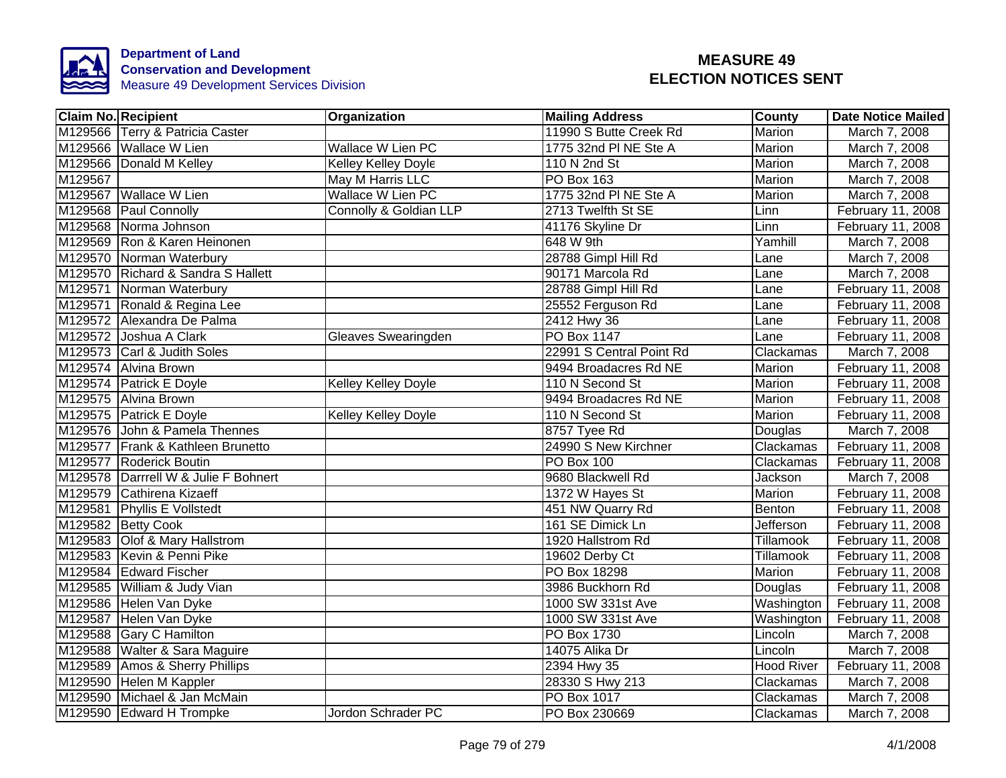

| <b>Claim No. Recipient</b>      |                                      | Organization             | <b>Mailing Address</b>   | <b>County</b>     | <b>Date Notice Mailed</b> |
|---------------------------------|--------------------------------------|--------------------------|--------------------------|-------------------|---------------------------|
| M129566 Terry & Patricia Caster |                                      |                          | 11990 S Butte Creek Rd   | <b>Marion</b>     | March 7, 2008             |
| M129566 Wallace W Lien          |                                      | <b>Wallace W Lien PC</b> | 1775 32nd PI NE Ste A    | Marion            | March 7, 2008             |
| M129566 Donald M Kelley         |                                      | Kelley Kelley Doyle      | 110 N 2nd St             | <b>Marion</b>     | March 7, 2008             |
| M129567                         |                                      | May M Harris LLC         | PO Box 163               | Marion            | March 7, 2008             |
| M129567 Wallace W Lien          |                                      | Wallace W Lien PC        | 1775 32nd PI NE Ste A    | Marion            | March 7, 2008             |
| M129568 Paul Connolly           |                                      | Connolly & Goldian LLP   | 2713 Twelfth St SE       | Linn              | February 11, 2008         |
| M129568 Norma Johnson           |                                      |                          | 41176 Skyline Dr         | Linn              | February 11, 2008         |
| M129569 Ron & Karen Heinonen    |                                      |                          | 648 W 9th                | Yamhill           | March 7, 2008             |
| M129570 Norman Waterbury        |                                      |                          | 28788 Gimpl Hill Rd      | Lane              | March 7, 2008             |
|                                 | M129570 Richard & Sandra S Hallett   |                          | 90171 Marcola Rd         | Lane              | March 7, 2008             |
| M129571 Norman Waterbury        |                                      |                          | 28788 Gimpl Hill Rd      | Lane              | February 11, 2008         |
| M129571 Ronald & Regina Lee     |                                      |                          | 25552 Ferguson Rd        | Lane              | February 11, 2008         |
| M129572 Alexandra De Palma      |                                      |                          | 2412 Hwy 36              | Lane              | February 11, 2008         |
| M129572 Joshua A Clark          |                                      | Gleaves Swearingden      | PO Box 1147              | Lane              | February 11, 2008         |
| M129573 Carl & Judith Soles     |                                      |                          | 22991 S Central Point Rd | Clackamas         | March 7, 2008             |
| M129574 Alvina Brown            |                                      |                          | 9494 Broadacres Rd NE    | <b>Marion</b>     | February 11, 2008         |
| M129574 Patrick E Doyle         |                                      | Kelley Kelley Doyle      | 110 N Second St          | <b>Marion</b>     | February 11, 2008         |
| M129575 Alvina Brown            |                                      |                          | 9494 Broadacres Rd NE    | Marion            | February 11, 2008         |
| M129575 Patrick E Doyle         |                                      | Kelley Kelley Doyle      | 110 N Second St          | <b>Marion</b>     | February 11, 2008         |
|                                 | M129576 John & Pamela Thennes        |                          | 8757 Tyee Rd             | Douglas           | March 7, 2008             |
|                                 | M129577 Frank & Kathleen Brunetto    |                          | 24990 S New Kirchner     | Clackamas         | February 11, 2008         |
| M129577 Roderick Boutin         |                                      |                          | PO Box 100               | Clackamas         | February 11, 2008         |
|                                 | M129578 Darrrell W & Julie F Bohnert |                          | 9680 Blackwell Rd        | Jackson           | March 7, 2008             |
| M129579 Cathirena Kizaeff       |                                      |                          | 1372 W Hayes St          | <b>Marion</b>     | February 11, 2008         |
| M129581 Phyllis E Vollstedt     |                                      |                          | 451 NW Quarry Rd         | Benton            | February 11, 2008         |
| M129582 Betty Cook              |                                      |                          | 161 SE Dimick Ln         | Jefferson         | February 11, 2008         |
| M129583 Olof & Mary Hallstrom   |                                      |                          | 1920 Hallstrom Rd        | Tillamook         | February 11, 2008         |
| M129583 Kevin & Penni Pike      |                                      |                          | 19602 Derby Ct           | Tillamook         | February 11, 2008         |
| M129584 Edward Fischer          |                                      |                          | PO Box 18298             | Marion            | February 11, 2008         |
| M129585 William & Judy Vian     |                                      |                          | 3986 Buckhorn Rd         | Douglas           | February 11, 2008         |
| M129586 Helen Van Dyke          |                                      |                          | 1000 SW 331st Ave        | Washington        | February 11, 2008         |
| M129587 Helen Van Dyke          |                                      |                          | 1000 SW 331st Ave        | Washington        | February 11, 2008         |
| M129588 Gary C Hamilton         |                                      |                          | PO Box 1730              | Lincoln           | March 7, 2008             |
| M129588 Walter & Sara Maguire   |                                      |                          | 14075 Alika Dr           | Lincoln           | March 7, 2008             |
| M129589 Amos & Sherry Phillips  |                                      |                          | 2394 Hwy 35              | <b>Hood River</b> | February 11, 2008         |
| M129590 Helen M Kappler         |                                      |                          | 28330 S Hwy 213          | Clackamas         | March 7, 2008             |
| M129590 Michael & Jan McMain    |                                      |                          | PO Box 1017              | Clackamas         | March 7, 2008             |
| M129590 Edward H Trompke        |                                      | Jordon Schrader PC       | PO Box 230669            | Clackamas         | March 7, 2008             |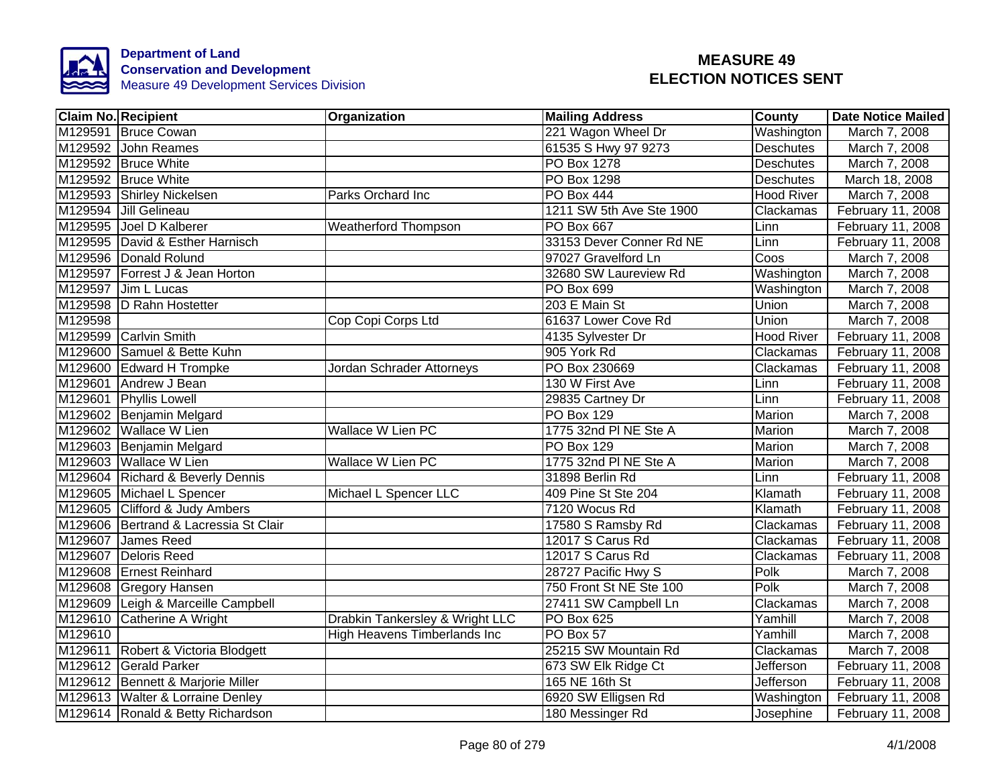

|                     | <b>Claim No. Recipient</b>            | Organization                     | <b>Mailing Address</b>   | <b>County</b>     | <b>Date Notice Mailed</b> |
|---------------------|---------------------------------------|----------------------------------|--------------------------|-------------------|---------------------------|
|                     | M129591 Bruce Cowan                   |                                  | 221 Wagon Wheel Dr       | Washington        | March 7, 2008             |
|                     | M129592 John Reames                   |                                  | 61535 S Hwy 97 9273      | <b>Deschutes</b>  | March 7, 2008             |
|                     | M129592 Bruce White                   |                                  | PO Box 1278              | <b>Deschutes</b>  | March 7, 2008             |
|                     | M129592 Bruce White                   |                                  | <b>PO Box 1298</b>       | Deschutes         | March 18, 2008            |
|                     | M129593 Shirley Nickelsen             | Parks Orchard Inc                | <b>PO Box 444</b>        | <b>Hood River</b> | March 7, 2008             |
|                     | M129594 Jill Gelineau                 |                                  | 1211 SW 5th Ave Ste 1900 | Clackamas         | February 11, 2008         |
|                     | M129595 Joel D Kalberer               | <b>Weatherford Thompson</b>      | PO Box 667               | Linn              | February 11, 2008         |
|                     | M129595 David & Esther Harnisch       |                                  | 33153 Dever Conner Rd NE | Linn              | February 11, 2008         |
|                     | M129596 Donald Rolund                 |                                  | 97027 Gravelford Ln      | Coos              | March 7, 2008             |
|                     | M129597 Forrest J & Jean Horton       |                                  | 32680 SW Laureview Rd    | Washington        | March 7, 2008             |
|                     | M129597 Jim L Lucas                   |                                  | PO Box 699               | Washington        | March 7, 2008             |
|                     | M129598 D Rahn Hostetter              |                                  | 203 E Main St            | <b>Union</b>      | March 7, 2008             |
| M129598             |                                       | Cop Copi Corps Ltd               | 61637 Lower Cove Rd      | Union             | March 7, 2008             |
|                     | M129599 Carlvin Smith                 |                                  | 4135 Sylvester Dr        | <b>Hood River</b> | February 11, 2008         |
|                     | M129600 Samuel & Bette Kuhn           |                                  | 905 York Rd              | Clackamas         | February 11, 2008         |
|                     | M129600 Edward H Trompke              | <b>Jordan Schrader Attorneys</b> | PO Box 230669            | Clackamas         | February 11, 2008         |
|                     | M129601 Andrew J Bean                 |                                  | 130 W First Ave          | Linn              | February 11, 2008         |
|                     | M129601 Phyllis Lowell                |                                  | 29835 Cartney Dr         | Linn              | February 11, 2008         |
|                     | M129602 Benjamin Melgard              |                                  | <b>PO Box 129</b>        | Marion            | March 7, 2008             |
|                     | M129602 Wallace W Lien                | <b>Wallace W Lien PC</b>         | 1775 32nd PI NE Ste A    | Marion            | March 7, 2008             |
|                     | M129603 Benjamin Melgard              |                                  | <b>PO Box 129</b>        | Marion            | March 7, 2008             |
|                     | M129603 Wallace W Lien                | <b>Wallace W Lien PC</b>         | 1775 32nd PI NE Ste A    | Marion            | March 7, 2008             |
|                     | M129604 Richard & Beverly Dennis      |                                  | 31898 Berlin Rd          | Linn              | February 11, 2008         |
|                     | M129605 Michael L Spencer             | Michael L Spencer LLC            | 409 Pine St Ste 204      | Klamath           | February 11, 2008         |
|                     | M129605 Clifford & Judy Ambers        |                                  | 7120 Wocus Rd            | Klamath           | February 11, 2008         |
|                     | M129606 Bertrand & Lacressia St Clair |                                  | 17580 S Ramsby Rd        | Clackamas         | February 11, 2008         |
|                     | M129607 James Reed                    |                                  | 12017 S Carus Rd         | Clackamas         | February 11, 2008         |
|                     | M129607 Deloris Reed                  |                                  | 12017 S Carus Rd         | Clackamas         | February 11, 2008         |
|                     | M129608 Ernest Reinhard               |                                  | 28727 Pacific Hwy S      | Polk              | March 7, 2008             |
|                     | M129608 Gregory Hansen                |                                  | 750 Front St NE Ste 100  | Polk              | March 7, 2008             |
|                     | M129609 Leigh & Marceille Campbell    |                                  | 27411 SW Campbell Ln     | Clackamas         | March 7, 2008             |
|                     | M129610 Catherine A Wright            | Drabkin Tankersley & Wright LLC  | PO Box 625               | Yamhill           | March 7, 2008             |
| M <sub>129610</sub> |                                       | High Heavens Timberlands Inc     | PO Box 57                | Yamhill           | March 7, 2008             |
|                     | M129611 Robert & Victoria Blodgett    |                                  | 25215 SW Mountain Rd     | Clackamas         | March 7, 2008             |
|                     | M129612 Gerald Parker                 |                                  | 673 SW Elk Ridge Ct      | Jefferson         | February 11, 2008         |
|                     | M129612 Bennett & Marjorie Miller     |                                  | 165 NE 16th St           | <b>Jefferson</b>  | February 11, 2008         |
|                     | M129613 Walter & Lorraine Denley      |                                  | 6920 SW Elligsen Rd      | Washington        | February 11, 2008         |
|                     | M129614 Ronald & Betty Richardson     |                                  | 180 Messinger Rd         | Josephine         | February 11, 2008         |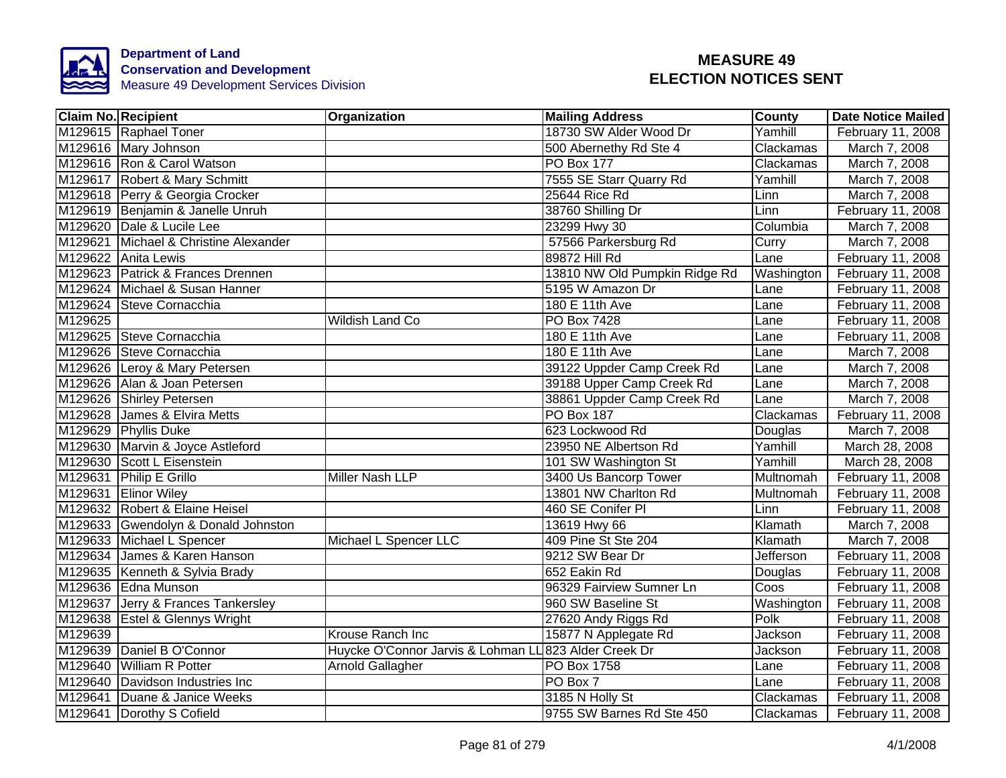

|         | <b>Claim No. Recipient</b>            | Organization                                          | <b>Mailing Address</b>        | County     | <b>Date Notice Mailed</b> |
|---------|---------------------------------------|-------------------------------------------------------|-------------------------------|------------|---------------------------|
|         | M129615 Raphael Toner                 |                                                       | 18730 SW Alder Wood Dr        | Yamhill    | February 11, 2008         |
|         | M129616 Mary Johnson                  |                                                       | 500 Abernethy Rd Ste 4        | Clackamas  | March 7, 2008             |
|         | M129616 Ron & Carol Watson            |                                                       | <b>PO Box 177</b>             | Clackamas  | March 7, 2008             |
|         | M129617 Robert & Mary Schmitt         |                                                       | 7555 SE Starr Quarry Rd       | Yamhill    | March 7, 2008             |
|         | M129618 Perry & Georgia Crocker       |                                                       | 25644 Rice Rd                 | Linn       | March 7, 2008             |
|         | M129619 Benjamin & Janelle Unruh      |                                                       | 38760 Shilling Dr             | Linn       | February 11, 2008         |
|         | M129620 Dale & Lucile Lee             |                                                       | 23299 Hwy 30                  | Columbia   | March 7, 2008             |
|         | M129621 Michael & Christine Alexander |                                                       | 57566 Parkersburg Rd          | Curry      | March 7, 2008             |
|         | M129622 Anita Lewis                   |                                                       | 89872 Hill Rd                 | Lane       | February 11, 2008         |
|         | M129623 Patrick & Frances Drennen     |                                                       | 13810 NW Old Pumpkin Ridge Rd | Washington | February 11, 2008         |
|         | M129624 Michael & Susan Hanner        |                                                       | 5195 W Amazon Dr              | Lane       | February 11, 2008         |
|         | M129624 Steve Cornacchia              |                                                       | 180 E 11th Ave                | Lane       | February 11, 2008         |
| M129625 |                                       | <b>Wildish Land Co</b>                                | PO Box 7428                   | Lane       | February 11, 2008         |
|         | M129625 Steve Cornacchia              |                                                       | 180 E 11th Ave                | Lane       | February 11, 2008         |
|         | M129626 Steve Cornacchia              |                                                       | 180 E 11th Ave                | Lane       | March 7, 2008             |
|         | M129626 Leroy & Mary Petersen         |                                                       | 39122 Uppder Camp Creek Rd    | Lane       | March 7, 2008             |
|         | M129626 Alan & Joan Petersen          |                                                       | 39188 Upper Camp Creek Rd     | Lane       | March 7, 2008             |
|         | M129626 Shirley Petersen              |                                                       | 38861 Uppder Camp Creek Rd    | Lane       | March 7, 2008             |
|         | M129628 James & Elvira Metts          |                                                       | <b>PO Box 187</b>             | Clackamas  | February 11, 2008         |
|         | M129629 Phyllis Duke                  |                                                       | 623 Lockwood Rd               | Douglas    | March 7, 2008             |
|         | M129630 Marvin & Joyce Astleford      |                                                       | 23950 NE Albertson Rd         | Yamhill    | March 28, 2008            |
|         | M129630 Scott L Eisenstein            |                                                       | 101 SW Washington St          | Yamhill    | March 28, 2008            |
|         | M129631 Philip E Grillo               | <b>Miller Nash LLP</b>                                | 3400 Us Bancorp Tower         | Multnomah  | February 11, 2008         |
|         | M129631 Elinor Wiley                  |                                                       | 13801 NW Charlton Rd          | Multnomah  | February 11, 2008         |
|         | M129632 Robert & Elaine Heisel        |                                                       | 460 SE Conifer PI             | Linn       | February 11, 2008         |
|         | M129633 Gwendolyn & Donald Johnston   |                                                       | 13619 Hwy 66                  | Klamath    | March 7, 2008             |
|         | M129633 Michael L Spencer             | Michael L Spencer LLC                                 | 409 Pine St Ste 204           | Klamath    | March 7, 2008             |
|         | M129634 James & Karen Hanson          |                                                       | 9212 SW Bear Dr               | Jefferson  | February 11, 2008         |
|         | M129635 Kenneth & Sylvia Brady        |                                                       | 652 Eakin Rd                  | Douglas    | February 11, 2008         |
|         | M129636 Edna Munson                   |                                                       | 96329 Fairview Sumner Ln      | Coos       | February 11, 2008         |
|         | M129637 Jerry & Frances Tankersley    |                                                       | 960 SW Baseline St            | Washington | February 11, 2008         |
|         | M129638 Estel & Glennys Wright        |                                                       | 27620 Andy Riggs Rd           | Polk       | February 11, 2008         |
| M129639 |                                       | Krouse Ranch Inc                                      | 15877 N Applegate Rd          | Jackson    | February 11, 2008         |
|         | M129639 Daniel B O'Connor             | Huycke O'Connor Jarvis & Lohman LL 823 Alder Creek Dr |                               | Jackson    | February 11, 2008         |
|         | M129640 William R Potter              | Arnold Gallagher                                      | PO Box 1758                   | Lane       | February 11, 2008         |
|         | M129640 Davidson Industries Inc       |                                                       | PO Box 7                      | Lane       | February 11, 2008         |
|         | M129641 Duane & Janice Weeks          |                                                       | 3185 N Holly St               | Clackamas  | February 11, 2008         |
|         | M129641 Dorothy S Cofield             |                                                       | 9755 SW Barnes Rd Ste 450     | Clackamas  | February 11, 2008         |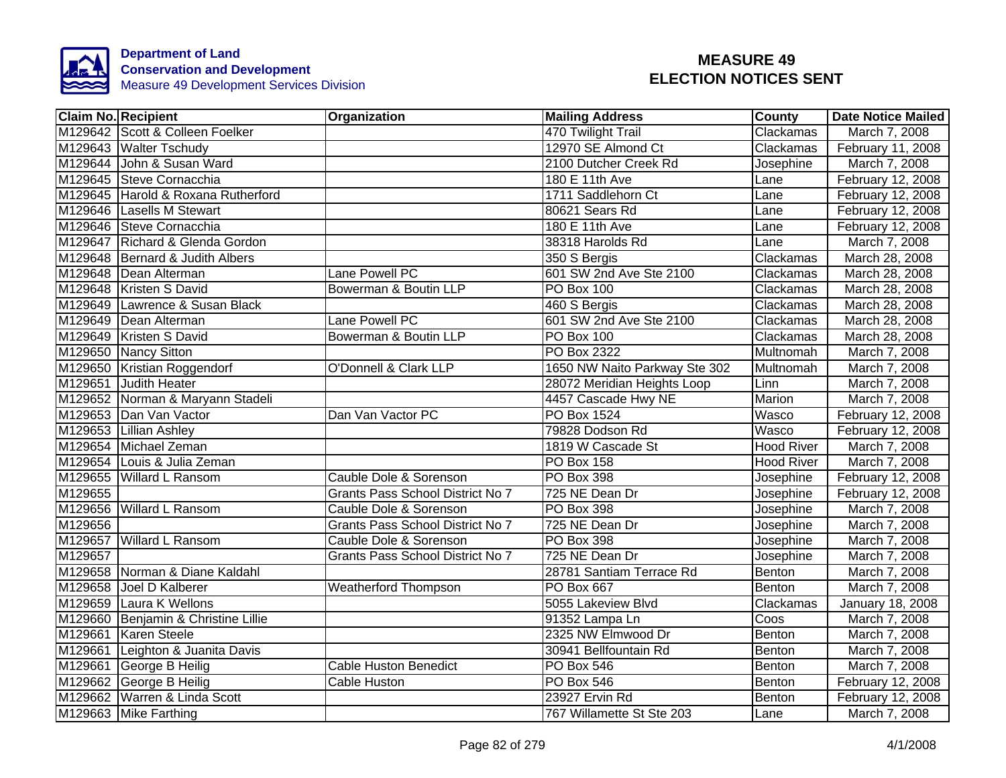

|         | <b>Claim No. Recipient</b>         | Organization                     | <b>Mailing Address</b>        | <b>County</b>     | <b>Date Notice Mailed</b> |
|---------|------------------------------------|----------------------------------|-------------------------------|-------------------|---------------------------|
|         | M129642 Scott & Colleen Foelker    |                                  | 470 Twilight Trail            | Clackamas         | March 7, 2008             |
|         | M129643 Walter Tschudy             |                                  | 12970 SE Almond Ct            | Clackamas         | February 11, 2008         |
|         | M129644 John & Susan Ward          |                                  | 2100 Dutcher Creek Rd         | Josephine         | March 7, 2008             |
|         | M129645 Steve Cornacchia           |                                  | 180 E 11th Ave                | Lane              | February 12, 2008         |
|         | M129645 Harold & Roxana Rutherford |                                  | 1711 Saddlehorn Ct            | Lane              | February 12, 2008         |
|         | M129646 Lasells M Stewart          |                                  | 80621 Sears Rd                | Lane              | February 12, 2008         |
|         | M129646 Steve Cornacchia           |                                  | 180 E 11th Ave                | Lane              | February 12, 2008         |
|         | M129647 Richard & Glenda Gordon    |                                  | 38318 Harolds Rd              | Lane              | March 7, 2008             |
|         | M129648 Bernard & Judith Albers    |                                  | 350 S Bergis                  | Clackamas         | March 28, 2008            |
|         | M129648 Dean Alterman              | Lane Powell PC                   | 601 SW 2nd Ave Ste 2100       | Clackamas         | March 28, 2008            |
|         | M129648 Kristen S David            | Bowerman & Boutin LLP            | PO Box 100                    | Clackamas         | March 28, 2008            |
| M129649 | Lawrence & Susan Black             |                                  | 460 S Bergis                  | Clackamas         | March 28, 2008            |
|         | M129649 Dean Alterman              | Lane Powell PC                   | 601 SW 2nd Ave Ste 2100       | Clackamas         | March 28, 2008            |
|         | M129649 Kristen S David            | Bowerman & Boutin LLP            | PO Box 100                    | Clackamas         | March 28, 2008            |
|         | M129650 Nancy Sitton               |                                  | PO Box 2322                   | Multnomah         | March 7, 2008             |
|         | M129650 Kristian Roggendorf        | <b>O'Donnell &amp; Clark LLP</b> | 1650 NW Naito Parkway Ste 302 | Multnomah         | March 7, 2008             |
|         | M129651 Judith Heater              |                                  | 28072 Meridian Heights Loop   | Linn              | March 7, 2008             |
|         | M129652 Norman & Maryann Stadeli   |                                  | 4457 Cascade Hwy NE           | <b>Marion</b>     | March 7, 2008             |
|         | M129653 Dan Van Vactor             | Dan Van Vactor PC                | <b>PO Box 1524</b>            | Wasco             | February 12, 2008         |
|         | M129653 Lillian Ashley             |                                  | 79828 Dodson Rd               | Wasco             | February 12, 2008         |
|         | M129654 Michael Zeman              |                                  | 1819 W Cascade St             | <b>Hood River</b> | March 7, 2008             |
|         | M129654 Louis & Julia Zeman        |                                  | <b>PO Box 158</b>             | <b>Hood River</b> | March 7, 2008             |
|         | M129655 Willard L Ransom           | Cauble Dole & Sorenson           | <b>PO Box 398</b>             | Josephine         | February 12, 2008         |
| M129655 |                                    | Grants Pass School District No 7 | 725 NE Dean Dr                | Josephine         | February 12, 2008         |
| M129656 | <b>Willard L Ransom</b>            | Cauble Dole & Sorenson           | <b>PO Box 398</b>             | Josephine         | March 7, 2008             |
| M129656 |                                    | Grants Pass School District No 7 | 725 NE Dean Dr                | Josephine         | March 7, 2008             |
| M129657 | <b>Willard L Ransom</b>            | Cauble Dole & Sorenson           | <b>PO Box 398</b>             | Josephine         | March 7, 2008             |
| M129657 |                                    | Grants Pass School District No 7 | 725 NE Dean Dr                | Josephine         | March 7, 2008             |
|         | M129658 Norman & Diane Kaldahl     |                                  | 28781 Santiam Terrace Rd      | Benton            | March 7, 2008             |
| M129658 | Joel D Kalberer                    | <b>Weatherford Thompson</b>      | PO Box 667                    | Benton            | March 7, 2008             |
| M129659 | Laura K Wellons                    |                                  | 5055 Lakeview Blvd            | Clackamas         | January 18, 2008          |
| M129660 | Benjamin & Christine Lillie        |                                  | 91352 Lampa Ln                | Coos              | March 7, 2008             |
|         | M129661 Karen Steele               |                                  | 2325 NW Elmwood Dr            | Benton            | March 7, 2008             |
|         | M129661 Leighton & Juanita Davis   |                                  | 30941 Bellfountain Rd         | Benton            | March 7, 2008             |
|         | M129661 George B Heilig            | <b>Cable Huston Benedict</b>     | PO Box 546                    | Benton            | March 7, 2008             |
|         | M129662 George B Heilig            | <b>Cable Huston</b>              | PO Box 546                    | Benton            | February 12, 2008         |
|         | M129662 Warren & Linda Scott       |                                  | 23927 Ervin Rd                | Benton            | February 12, 2008         |
|         | M129663 Mike Farthing              |                                  | 767 Willamette St Ste 203     | Lane              | March 7, 2008             |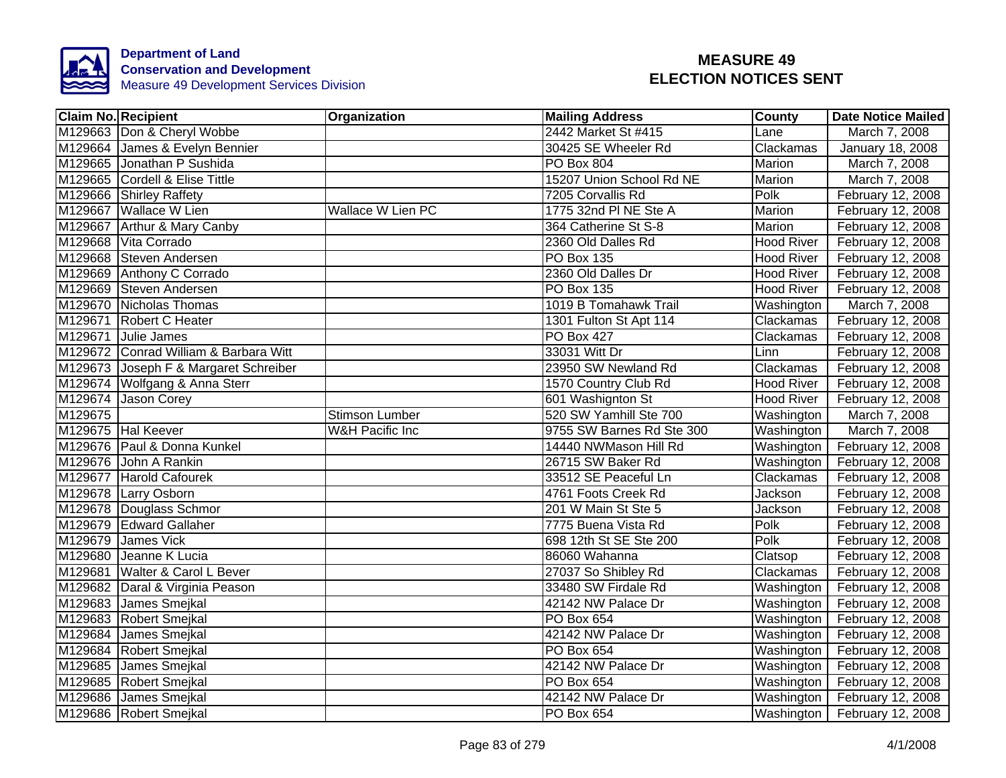

|         | <b>Claim No. Recipient</b>            | <b>Organization</b>        | <b>Mailing Address</b>    | <b>County</b>     | <b>Date Notice Mailed</b> |
|---------|---------------------------------------|----------------------------|---------------------------|-------------------|---------------------------|
|         | M129663 Don & Cheryl Wobbe            |                            | 2442 Market St #415       | Lane              | March 7, 2008             |
|         | M129664 James & Evelyn Bennier        |                            | 30425 SE Wheeler Rd       | Clackamas         | January 18, 2008          |
|         | M129665 Jonathan P Sushida            |                            | PO Box 804                | Marion            | March 7, 2008             |
|         | M129665 Cordell & Elise Tittle        |                            | 15207 Union School Rd NE  | Marion            | March 7, 2008             |
|         | M129666 Shirley Raffety               |                            | 7205 Corvallis Rd         | Polk              | February 12, 2008         |
|         | M129667 Wallace W Lien                | Wallace W Lien PC          | 1775 32nd PI NE Ste A     | Marion            | February 12, 2008         |
|         | M129667 Arthur & Mary Canby           |                            | 364 Catherine St S-8      | Marion            | February 12, 2008         |
|         | M129668 Vita Corrado                  |                            | 2360 Old Dalles Rd        | <b>Hood River</b> | February 12, 2008         |
|         | M129668 Steven Andersen               |                            | PO Box 135                | <b>Hood River</b> | February 12, 2008         |
|         | M129669 Anthony C Corrado             |                            | 2360 Old Dalles Dr        | <b>Hood River</b> | February 12, 2008         |
|         | M129669 Steven Andersen               |                            | <b>PO Box 135</b>         | <b>Hood River</b> | February 12, 2008         |
|         | M129670 Nicholas Thomas               |                            | 1019 B Tomahawk Trail     | Washington        | March 7, 2008             |
|         | M129671 Robert C Heater               |                            | 1301 Fulton St Apt 114    | Clackamas         | February 12, 2008         |
|         | M129671 Julie James                   |                            | <b>PO Box 427</b>         | Clackamas         | February 12, 2008         |
|         | M129672 Conrad William & Barbara Witt |                            | 33031 Witt Dr             | Linn              | February 12, 2008         |
|         | M129673 Joseph F & Margaret Schreiber |                            | 23950 SW Newland Rd       | Clackamas         | February 12, 2008         |
|         | M129674 Wolfgang & Anna Sterr         |                            | 1570 Country Club Rd      | <b>Hood River</b> | February 12, 2008         |
|         | M129674 Jason Corey                   |                            | 601 Washignton St         | <b>Hood River</b> | February 12, 2008         |
| M129675 |                                       | Stimson Lumber             | 520 SW Yamhill Ste 700    | Washington        | March 7, 2008             |
|         | M129675 Hal Keever                    | <b>W&amp;H Pacific Inc</b> | 9755 SW Barnes Rd Ste 300 | Washington        | March 7, 2008             |
|         | M129676 Paul & Donna Kunkel           |                            | 14440 NWMason Hill Rd     | Washington        | February 12, 2008         |
|         | M129676 John A Rankin                 |                            | 26715 SW Baker Rd         | Washington        | February 12, 2008         |
|         | M129677 Harold Cafourek               |                            | 33512 SE Peaceful Ln      | Clackamas         | February 12, 2008         |
|         | M129678 Larry Osborn                  |                            | 4761 Foots Creek Rd       | Jackson           | February 12, 2008         |
|         | M129678 Douglass Schmor               |                            | 201 W Main St Ste 5       | Jackson           | February 12, 2008         |
|         | M129679 Edward Gallaher               |                            | 7775 Buena Vista Rd       | Polk              | February 12, 2008         |
|         | M129679 James Vick                    |                            | 698 12th St SE Ste 200    | Polk              | February 12, 2008         |
|         | M129680 Jeanne K Lucia                |                            | 86060 Wahanna             | Clatsop           | February 12, 2008         |
|         | M129681 Walter & Carol L Bever        |                            | 27037 So Shibley Rd       | Clackamas         | February 12, 2008         |
|         | M129682 Daral & Virginia Peason       |                            | 33480 SW Firdale Rd       | Washington        | February 12, 2008         |
|         | M129683 James Smejkal                 |                            | 42142 NW Palace Dr        | Washington        | February 12, 2008         |
|         | M129683 Robert Smejkal                |                            | PO Box 654                | Washington        | February 12, 2008         |
|         | M129684 James Smejkal                 |                            | 42142 NW Palace Dr        | Washington        | February 12, 2008         |
|         | M129684 Robert Smejkal                |                            | PO Box 654                | Washington        | February 12, 2008         |
|         | M129685 James Smejkal                 |                            | 42142 NW Palace Dr        | <b>Washington</b> | February 12, 2008         |
|         | M129685 Robert Smejkal                |                            | PO Box 654                | Washington        | February 12, 2008         |
|         | M129686 James Smejkal                 |                            | 42142 NW Palace Dr        | Washington        | February 12, 2008         |
|         | M129686 Robert Smejkal                |                            | PO Box 654                | Washington        | February 12, 2008         |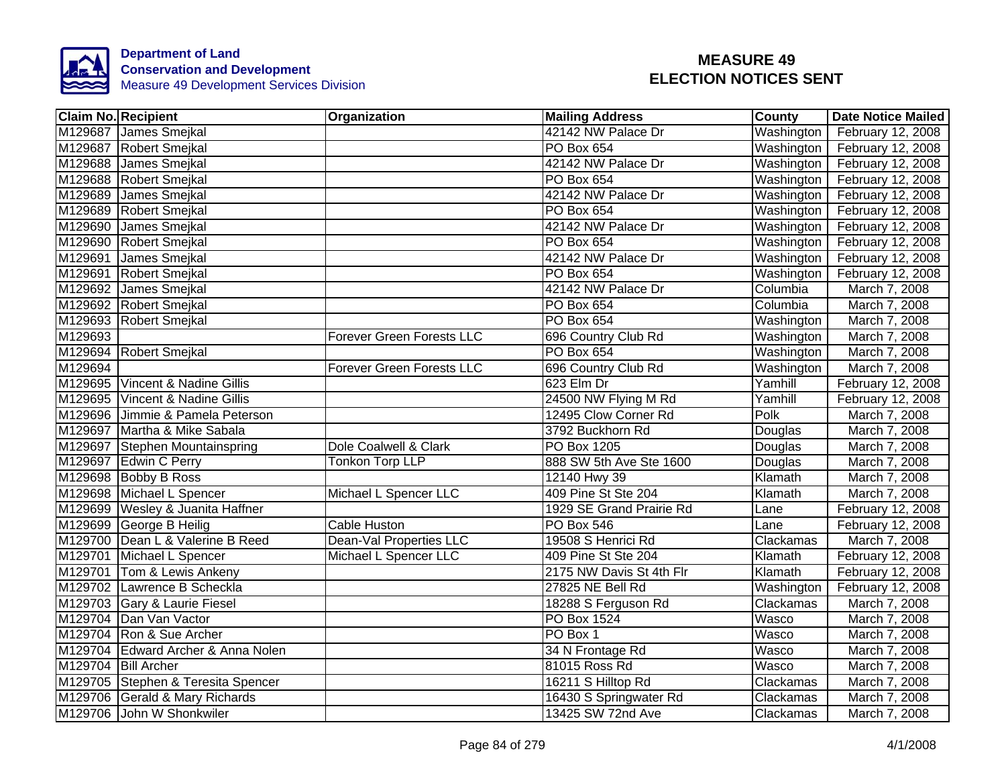

|         | <b>Claim No. Recipient</b>         | Organization                     | <b>Mailing Address</b>   | County       | <b>Date Notice Mailed</b> |
|---------|------------------------------------|----------------------------------|--------------------------|--------------|---------------------------|
|         | M129687 James Smejkal              |                                  | 42142 NW Palace Dr       | Washington   | February 12, 2008         |
|         | M129687 Robert Smejkal             |                                  | <b>PO Box 654</b>        | Washington   | February 12, 2008         |
|         | M129688 James Smejkal              |                                  | 42142 NW Palace Dr       | Washington   | February 12, 2008         |
|         | M129688 Robert Smejkal             |                                  | PO Box 654               | Washington   | February 12, 2008         |
|         | M129689 James Smejkal              |                                  | 42142 NW Palace Dr       | Washington   | February 12, 2008         |
|         | M129689 Robert Smejkal             |                                  | PO Box 654               | Washington   | February 12, 2008         |
| M129690 | James Smejkal                      |                                  | 42142 NW Palace Dr       | Washington   | February 12, 2008         |
|         | M129690 Robert Smejkal             |                                  | PO Box 654               | Washington   | February 12, 2008         |
|         | M129691 James Smejkal              |                                  | 42142 NW Palace Dr       | Washington   | February 12, 2008         |
|         | M129691 Robert Smejkal             |                                  | PO Box 654               | Washington   | February 12, 2008         |
|         | M129692 James Smejkal              |                                  | 42142 NW Palace Dr       | Columbia     | March 7, 2008             |
|         | M129692 Robert Smejkal             |                                  | PO Box 654               | Columbia     | March 7, 2008             |
|         | M129693 Robert Smejkal             |                                  | PO Box 654               | Washington   | March 7, 2008             |
| M129693 |                                    | Forever Green Forests LLC        | 696 Country Club Rd      | Washington   | March 7, 2008             |
|         | M129694 Robert Smejkal             |                                  | <b>PO Box 654</b>        | Washington   | March 7, 2008             |
| M129694 |                                    | <b>Forever Green Forests LLC</b> | 696 Country Club Rd      | Washington   | March 7, 2008             |
|         | M129695 Vincent & Nadine Gillis    |                                  | 623 Elm Dr               | Yamhill      | February 12, 2008         |
|         | M129695 Vincent & Nadine Gillis    |                                  | 24500 NW Flying M Rd     | Yamhill      | February 12, 2008         |
|         | M129696 Jimmie & Pamela Peterson   |                                  | 12495 Clow Corner Rd     | Polk         | March 7, 2008             |
|         | M129697 Martha & Mike Sabala       |                                  | 3792 Buckhorn Rd         | Douglas      | March 7, 2008             |
|         | M129697 Stephen Mountainspring     | Dole Coalwell & Clark            | <b>PO Box 1205</b>       | Douglas      | March 7, 2008             |
|         | M129697 Edwin C Perry              | Tonkon Torp LLP                  | 888 SW 5th Ave Ste 1600  | Douglas      | March 7, 2008             |
|         | M129698 Bobby B Ross               |                                  | 12140 Hwy 39             | Klamath      | March 7, 2008             |
|         | M129698 Michael L Spencer          | Michael L Spencer LLC            | 409 Pine St Ste 204      | Klamath      | March 7, 2008             |
|         | M129699 Wesley & Juanita Haffner   |                                  | 1929 SE Grand Prairie Rd | Lane         | February 12, 2008         |
|         | M129699 George B Heilig            | <b>Cable Huston</b>              | <b>PO Box 546</b>        | Lane         | February 12, 2008         |
|         | M129700 Dean L & Valerine B Reed   | <b>Dean-Val Properties LLC</b>   | 19508 S Henrici Rd       | Clackamas    | March 7, 2008             |
|         | M129701 Michael L Spencer          | Michael L Spencer LLC            | 409 Pine St Ste 204      | Klamath      | February 12, 2008         |
|         | M129701 Tom & Lewis Ankeny         |                                  | 2175 NW Davis St 4th Flr | Klamath      | February 12, 2008         |
|         | M129702 Lawrence B Scheckla        |                                  | 27825 NE Bell Rd         | Washington   | February 12, 2008         |
|         | M129703 Gary & Laurie Fiesel       |                                  | 18288 S Ferguson Rd      | Clackamas    | March 7, 2008             |
|         | M129704 Dan Van Vactor             |                                  | PO Box 1524              | Wasco        | March 7, 2008             |
|         | M129704 Ron & Sue Archer           |                                  | PO Box 1                 | Wasco        | March 7, 2008             |
|         | M129704 Edward Archer & Anna Nolen |                                  | 34 N Frontage Rd         | Wasco        | March 7, 2008             |
|         | M129704   Bill Archer              |                                  | 81015 Ross Rd            | <b>Wasco</b> | March 7, 2008             |
|         | M129705 Stephen & Teresita Spencer |                                  | 16211 S Hilltop Rd       | Clackamas    | March 7, 2008             |
|         | M129706 Gerald & Mary Richards     |                                  | 16430 S Springwater Rd   | Clackamas    | March 7, 2008             |
|         | M129706 John W Shonkwiler          |                                  | 13425 SW 72nd Ave        | Clackamas    | March 7, 2008             |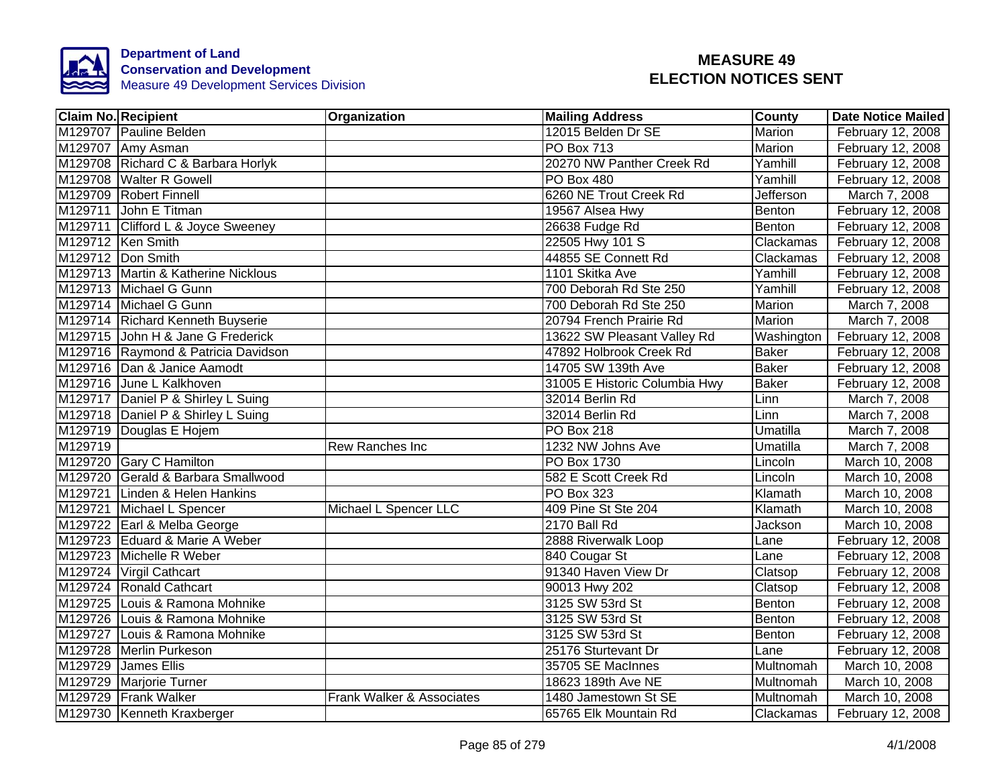

|         | <b>Claim No. Recipient</b>          | Organization              | <b>Mailing Address</b>        | <b>County</b>    | <b>Date Notice Mailed</b> |
|---------|-------------------------------------|---------------------------|-------------------------------|------------------|---------------------------|
|         | M129707 Pauline Belden              |                           | 12015 Belden Dr SE            | <b>Marion</b>    | February 12, 2008         |
|         | M129707 Amy Asman                   |                           | <b>PO Box 713</b>             | Marion           | February 12, 2008         |
|         | M129708 Richard C & Barbara Horlyk  |                           | 20270 NW Panther Creek Rd     | Yamhill          | February 12, 2008         |
|         | M129708 Walter R Gowell             |                           | PO Box 480                    | Yamhill          | February 12, 2008         |
|         | M129709 Robert Finnell              |                           | 6260 NE Trout Creek Rd        | <b>Jefferson</b> | March 7, 2008             |
|         | M129711 John E Titman               |                           | 19567 Alsea Hwy               | Benton           | February 12, 2008         |
|         | M129711 Clifford L & Joyce Sweeney  |                           | 26638 Fudge Rd                | Benton           | February 12, 2008         |
|         | M129712 Ken Smith                   |                           | 22505 Hwy 101 S               | Clackamas        | February 12, 2008         |
|         | M129712 Don Smith                   |                           | 44855 SE Connett Rd           | Clackamas        | February 12, 2008         |
|         | M129713 Martin & Katherine Nicklous |                           | 1101 Skitka Ave               | Yamhill          | February 12, 2008         |
|         | M129713 Michael G Gunn              |                           | 700 Deborah Rd Ste 250        | Yamhill          | February 12, 2008         |
|         | M129714 Michael G Gunn              |                           | 700 Deborah Rd Ste 250        | Marion           | March 7, 2008             |
|         | M129714 Richard Kenneth Buyserie    |                           | 20794 French Prairie Rd       | Marion           | March 7, 2008             |
|         | M129715 John H & Jane G Frederick   |                           | 13622 SW Pleasant Valley Rd   | Washington       | February 12, 2008         |
|         | M129716 Raymond & Patricia Davidson |                           | 47892 Holbrook Creek Rd       | <b>Baker</b>     | February 12, 2008         |
|         | M129716 Dan & Janice Aamodt         |                           | 14705 SW 139th Ave            | <b>Baker</b>     | February 12, 2008         |
|         | M129716 June L Kalkhoven            |                           | 31005 E Historic Columbia Hwy | <b>Baker</b>     | February 12, 2008         |
|         | M129717 Daniel P & Shirley L Suing  |                           | 32014 Berlin Rd               | Linn             | March 7, 2008             |
|         | M129718 Daniel P & Shirley L Suing  |                           | 32014 Berlin Rd               | Linn             | March 7, 2008             |
|         | M129719 Douglas E Hojem             |                           | <b>PO Box 218</b>             | Umatilla         | March 7, 2008             |
| M129719 |                                     | Rew Ranches Inc           | 1232 NW Johns Ave             | Umatilla         | March 7, 2008             |
|         | M129720 Gary C Hamilton             |                           | <b>PO Box 1730</b>            | Lincoln          | March 10, 2008            |
|         | M129720 Gerald & Barbara Smallwood  |                           | 582 E Scott Creek Rd          | Lincoln          | March 10, 2008            |
|         | M129721 Linden & Helen Hankins      |                           | <b>PO Box 323</b>             | Klamath          | March 10, 2008            |
|         | M129721 Michael L Spencer           | Michael L Spencer LLC     | 409 Pine St Ste 204           | Klamath          | March 10, 2008            |
|         | M129722 Earl & Melba George         |                           | 2170 Ball Rd                  | Jackson          | March 10, 2008            |
|         | M129723 Eduard & Marie A Weber      |                           | 2888 Riverwalk Loop           | Lane             | February 12, 2008         |
|         | M129723 Michelle R Weber            |                           | 840 Cougar St                 | Lane             | February 12, 2008         |
|         | M129724 Virgil Cathcart             |                           | 91340 Haven View Dr           | Clatsop          | February 12, 2008         |
|         | M129724 Ronald Cathcart             |                           | 90013 Hwy 202                 | Clatsop          | February 12, 2008         |
|         | M129725 Louis & Ramona Mohnike      |                           | 3125 SW 53rd St               | Benton           | February 12, 2008         |
|         | M129726 Louis & Ramona Mohnike      |                           | 3125 SW 53rd St               | Benton           | February 12, 2008         |
| M129727 | Louis & Ramona Mohnike              |                           | 3125 SW 53rd St               | Benton           | February 12, 2008         |
|         | M129728 Merlin Purkeson             |                           | 25176 Sturtevant Dr           | Lane             | February 12, 2008         |
|         | M129729 James Ellis                 |                           | 35705 SE MacInnes             | Multnomah        | March 10, 2008            |
|         | M129729 Marjorie Turner             |                           | 18623 189th Ave NE            | Multnomah        | March 10, 2008            |
| M129729 | <b>Frank Walker</b>                 | Frank Walker & Associates | 1480 Jamestown St SE          | Multnomah        | March 10, 2008            |
|         | M129730 Kenneth Kraxberger          |                           | 65765 Elk Mountain Rd         | Clackamas        | February 12, 2008         |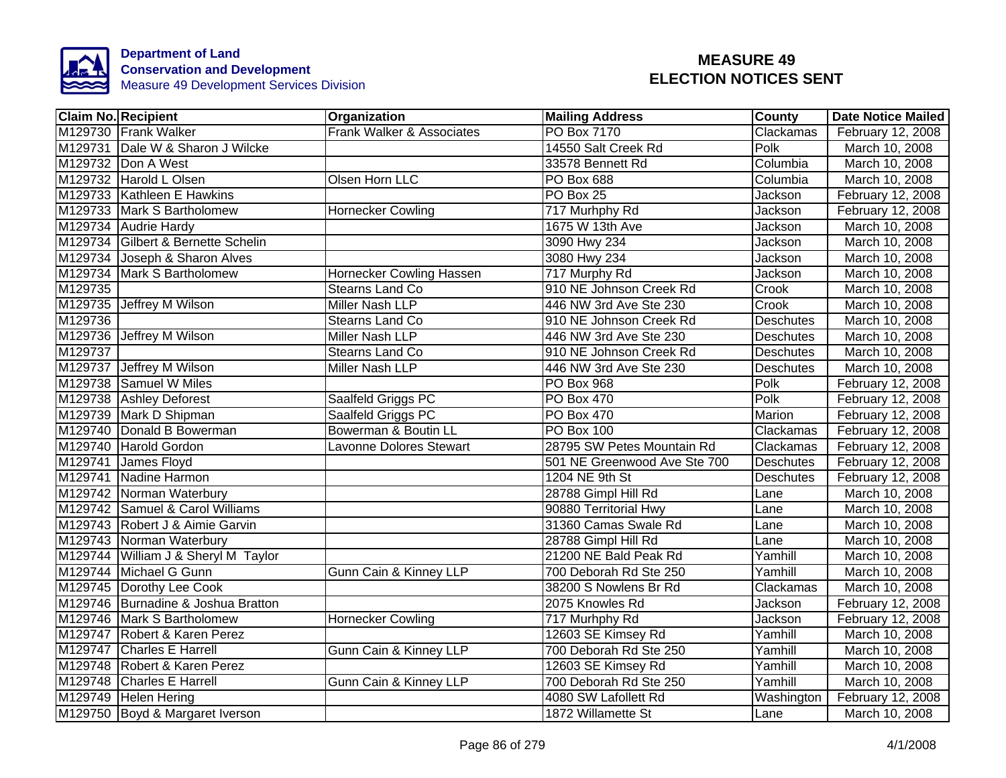

|         | <b>Claim No. Recipient</b>          | Organization                   | <b>Mailing Address</b>       | <b>County</b>    | <b>Date Notice Mailed</b> |
|---------|-------------------------------------|--------------------------------|------------------------------|------------------|---------------------------|
|         | M129730 Frank Walker                | Frank Walker & Associates      | PO Box 7170                  | Clackamas        | February 12, 2008         |
|         | M129731 Dale W & Sharon J Wilcke    |                                | 14550 Salt Creek Rd          | Polk             | March 10, 2008            |
|         | M129732 Don A West                  |                                | 33578 Bennett Rd             | Columbia         | March 10, 2008            |
|         | M129732 Harold L Olsen              | Olsen Horn LLC                 | PO Box 688                   | Columbia         | March 10, 2008            |
|         | M129733 Kathleen E Hawkins          |                                | PO Box 25                    | Jackson          | February 12, 2008         |
|         | M129733 Mark S Bartholomew          | <b>Hornecker Cowling</b>       | 717 Murhphy Rd               | Jackson          | February 12, 2008         |
|         | M129734 Audrie Hardy                |                                | 1675 W 13th Ave              | Jackson          | March 10, 2008            |
|         | M129734 Gilbert & Bernette Schelin  |                                | 3090 Hwy 234                 | Jackson          | March 10, 2008            |
|         | M129734 Joseph & Sharon Alves       |                                | 3080 Hwy 234                 | Jackson          | March 10, 2008            |
|         | M129734 Mark S Bartholomew          | Hornecker Cowling Hassen       | 717 Murphy Rd                | Jackson          | March 10, 2008            |
| M129735 |                                     | Stearns Land Co                | 910 NE Johnson Creek Rd      | Crook            | March 10, 2008            |
|         | M129735 Jeffrey M Wilson            | Miller Nash LLP                | 446 NW 3rd Ave Ste 230       | Crook            | March 10, 2008            |
| M129736 |                                     | Stearns Land Co                | 910 NE Johnson Creek Rd      | Deschutes        | March 10, 2008            |
|         | M129736 Jeffrey M Wilson            | Miller Nash LLP                | 446 NW 3rd Ave Ste 230       | Deschutes        | March 10, 2008            |
| M129737 |                                     | Stearns Land Co                | 910 NE Johnson Creek Rd      | <b>Deschutes</b> | March 10, 2008            |
|         | M129737 Jeffrey M Wilson            | <b>Miller Nash LLP</b>         | 446 NW 3rd Ave Ste 230       | Deschutes        | March 10, 2008            |
|         | M129738 Samuel W Miles              |                                | PO Box 968                   | Polk             | February 12, 2008         |
|         | M129738 Ashley Deforest             | Saalfeld Griggs PC             | PO Box 470                   | Polk             | February 12, 2008         |
|         | M129739 Mark D Shipman              | Saalfeld Griggs PC             | PO Box 470                   | Marion           | February 12, 2008         |
|         | M129740 Donald B Bowerman           | Bowerman & Boutin LL           | PO Box 100                   | Clackamas        | February 12, 2008         |
|         | M129740 Harold Gordon               | <b>Lavonne Dolores Stewart</b> | 28795 SW Petes Mountain Rd   | Clackamas        | February 12, 2008         |
|         | M129741 James Floyd                 |                                | 501 NE Greenwood Ave Ste 700 | <b>Deschutes</b> | February 12, 2008         |
|         | M129741 Nadine Harmon               |                                | 1204 NE 9th St               | <b>Deschutes</b> | February 12, 2008         |
|         | M129742 Norman Waterbury            |                                | 28788 Gimpl Hill Rd          | Lane             | March 10, 2008            |
|         | M129742 Samuel & Carol Williams     |                                | 90880 Territorial Hwy        | Lane             | March 10, 2008            |
|         | M129743 Robert J & Aimie Garvin     |                                | 31360 Camas Swale Rd         | Lane             | March 10, 2008            |
|         | M129743 Norman Waterbury            |                                | 28788 Gimpl Hill Rd          | Lane             | March 10, 2008            |
|         | M129744 William J & Sheryl M Taylor |                                | 21200 NE Bald Peak Rd        | Yamhill          | March 10, 2008            |
|         | M129744 Michael G Gunn              | Gunn Cain & Kinney LLP         | 700 Deborah Rd Ste 250       | Yamhill          | March 10, 2008            |
|         | M129745 Dorothy Lee Cook            |                                | 38200 S Nowlens Br Rd        | Clackamas        | March 10, 2008            |
|         | M129746 Burnadine & Joshua Bratton  |                                | 2075 Knowles Rd              | Jackson          | February 12, 2008         |
|         | M129746 Mark S Bartholomew          | Hornecker Cowling              | 717 Murhphy Rd               | Jackson          | February 12, 2008         |
|         | M129747 Robert & Karen Perez        |                                | 12603 SE Kimsey Rd           | Yamhill          | March 10, 2008            |
|         | M129747 Charles E Harrell           | Gunn Cain & Kinney LLP         | 700 Deborah Rd Ste 250       | Yamhill          | March 10, 2008            |
|         | M129748 Robert & Karen Perez        |                                | 12603 SE Kimsey Rd           | Yamhill          | March 10, 2008            |
|         | M129748 Charles E Harrell           | Gunn Cain & Kinney LLP         | 700 Deborah Rd Ste 250       | Yamhill          | March 10, 2008            |
|         | M129749 Helen Hering                |                                | 4080 SW Lafollett Rd         | Washington       | February 12, 2008         |
|         | M129750 Boyd & Margaret Iverson     |                                | 1872 Willamette St           | Lane             | March 10, 2008            |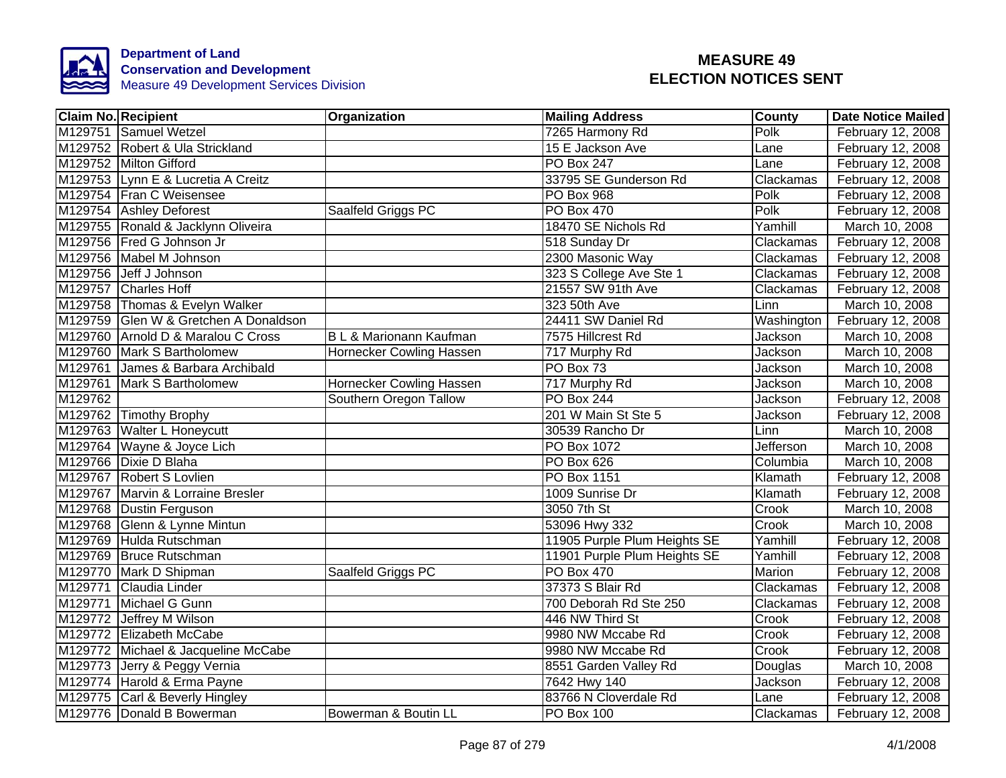

|         | <b>Claim No. Recipient</b>            | Organization                       | <b>Mailing Address</b>       | County           | <b>Date Notice Mailed</b> |
|---------|---------------------------------------|------------------------------------|------------------------------|------------------|---------------------------|
|         | M129751 Samuel Wetzel                 |                                    | 7265 Harmony Rd              | Polk             | February 12, 2008         |
|         | M129752 Robert & Ula Strickland       |                                    | 15 E Jackson Ave             | Lane             | February 12, 2008         |
|         | M129752 Milton Gifford                |                                    | <b>PO Box 247</b>            | Lane             | February 12, 2008         |
|         | M129753 Lynn E & Lucretia A Creitz    |                                    | 33795 SE Gunderson Rd        | Clackamas        | February 12, 2008         |
|         | M129754 Fran C Weisensee              |                                    | PO Box 968                   | Polk             | February 12, 2008         |
|         | M129754 Ashley Deforest               | Saalfeld Griggs PC                 | PO Box 470                   | Polk             | February 12, 2008         |
|         | M129755 Ronald & Jacklynn Oliveira    |                                    | 18470 SE Nichols Rd          | Yamhill          | March 10, 2008            |
|         | M129756 Fred G Johnson Jr             |                                    | 518 Sunday Dr                | Clackamas        | February 12, 2008         |
|         | M129756 Mabel M Johnson               |                                    | 2300 Masonic Way             | Clackamas        | February 12, 2008         |
|         | M129756 Jeff J Johnson                |                                    | 323 S College Ave Ste 1      | Clackamas        | February 12, 2008         |
|         | M129757 Charles Hoff                  |                                    | 21557 SW 91th Ave            | Clackamas        | February 12, 2008         |
|         | M129758 Thomas & Evelyn Walker        |                                    | 323 50th Ave                 | Linn             | March 10, 2008            |
|         | M129759 Glen W & Gretchen A Donaldson |                                    | 24411 SW Daniel Rd           | Washington       | February 12, 2008         |
|         | M129760 Arnold D & Maralou C Cross    | <b>B L &amp; Marionann Kaufman</b> | 7575 Hillcrest Rd            | Jackson          | March 10, 2008            |
|         | M129760 Mark S Bartholomew            | Hornecker Cowling Hassen           | 717 Murphy Rd                | Jackson          | March 10, 2008            |
|         | M129761 James & Barbara Archibald     |                                    | PO Box 73                    | Jackson          | March 10, 2008            |
|         | M129761 Mark S Bartholomew            | <b>Hornecker Cowling Hassen</b>    | 717 Murphy Rd                | Jackson          | March 10, 2008            |
| M129762 |                                       | Southern Oregon Tallow             | PO Box 244                   | Jackson          | February 12, 2008         |
|         | M129762 Timothy Brophy                |                                    | 201 W Main St Ste 5          | Jackson          | February 12, 2008         |
|         | M129763 Walter L Honeycutt            |                                    | 30539 Rancho Dr              | Linn             | March 10, 2008            |
|         | M129764 Wayne & Joyce Lich            |                                    | PO Box 1072                  | <b>Jefferson</b> | March 10, 2008            |
|         | M129766 Dixie D Blaha                 |                                    | PO Box 626                   | Columbia         | March 10, 2008            |
|         | M129767 Robert S Lovlien              |                                    | <b>PO Box 1151</b>           | Klamath          | February 12, 2008         |
|         | M129767 Marvin & Lorraine Bresler     |                                    | 1009 Sunrise Dr              | Klamath          | February 12, 2008         |
|         | M129768 Dustin Ferguson               |                                    | 3050 7th St                  | Crook            | March 10, 2008            |
|         | M129768 Glenn & Lynne Mintun          |                                    | 53096 Hwy 332                | Crook            | March 10, 2008            |
|         | M129769 Hulda Rutschman               |                                    | 11905 Purple Plum Heights SE | Yamhill          | February 12, 2008         |
|         | M129769 Bruce Rutschman               |                                    | 11901 Purple Plum Heights SE | Yamhill          | February 12, 2008         |
|         | M129770 Mark D Shipman                | Saalfeld Griggs PC                 | <b>PO Box 470</b>            | Marion           | February 12, 2008         |
|         | M129771 Claudia Linder                |                                    | 37373 S Blair Rd             | Clackamas        | February 12, 2008         |
|         | M129771 Michael G Gunn                |                                    | 700 Deborah Rd Ste 250       | Clackamas        | February 12, 2008         |
|         | M129772 Jeffrey M Wilson              |                                    | 446 NW Third St              | Crook            | February 12, 2008         |
|         | M129772 Elizabeth McCabe              |                                    | 9980 NW Mccabe Rd            | Crook            | February 12, 2008         |
|         | M129772 Michael & Jacqueline McCabe   |                                    | 9980 NW Mccabe Rd            | Crook            | February 12, 2008         |
|         | M129773 Jerry & Peggy Vernia          |                                    | 8551 Garden Valley Rd        | Douglas          | March 10, 2008            |
|         | M129774 Harold & Erma Payne           |                                    | 7642 Hwy 140                 | Jackson          | February 12, 2008         |
|         | M129775 Carl & Beverly Hingley        |                                    | 83766 N Cloverdale Rd        | Lane             | February 12, 2008         |
|         | M129776 Donald B Bowerman             | Bowerman & Boutin LL               | PO Box 100                   | Clackamas        | February 12, 2008         |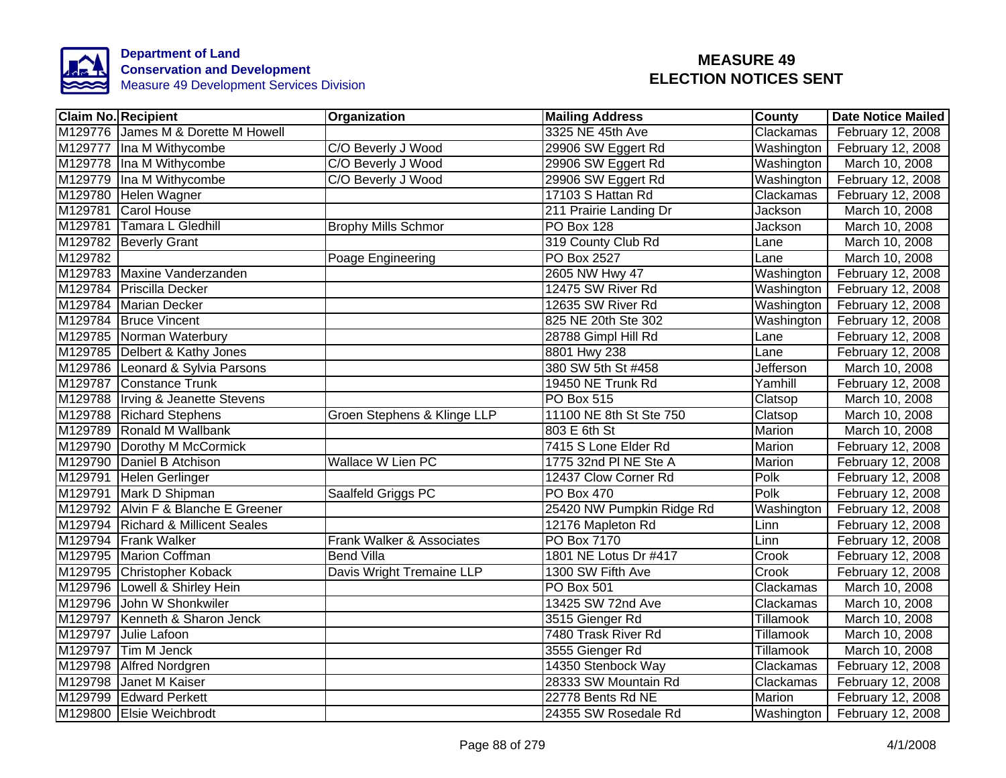

| <b>Claim No. Recipient</b>          | Organization                | <b>Mailing Address</b>    | <b>County</b>    | <b>Date Notice Mailed</b>      |
|-------------------------------------|-----------------------------|---------------------------|------------------|--------------------------------|
| M129776 James M & Dorette M Howell  |                             | 3325 NE 45th Ave          | Clackamas        | February 12, 2008              |
| M129777 Ina M Withycombe            | C/O Beverly J Wood          | 29906 SW Eggert Rd        | Washington       | February 12, 2008              |
| M129778 Ina M Withycombe            | C/O Beverly J Wood          | 29906 SW Eggert Rd        | Washington       | March 10, 2008                 |
| M129779 Ina M Withycombe            | C/O Beverly J Wood          | 29906 SW Eggert Rd        | Washington       | February 12, 2008              |
| M129780 Helen Wagner                |                             | 17103 S Hattan Rd         | Clackamas        | February 12, 2008              |
| M129781<br>Carol House              |                             | 211 Prairie Landing Dr    | Jackson          | March 10, 2008                 |
| M129781<br>Tamara L Gledhill        | <b>Brophy Mills Schmor</b>  | PO Box 128                | Jackson          | March 10, 2008                 |
| M129782 Beverly Grant               |                             | 319 County Club Rd        | Lane             | March 10, 2008                 |
| M129782                             | Poage Engineering           | PO Box 2527               | Lane             | March 10, 2008                 |
| M129783 Maxine Vanderzanden         |                             | 2605 NW Hwy 47            | Washington       | February 12, 2008              |
| M129784 Priscilla Decker            |                             | 12475 SW River Rd         | Washington       | February 12, 2008              |
| M129784 Marian Decker               |                             | 12635 SW River Rd         | Washington       | February 12, 2008              |
| M129784 Bruce Vincent               |                             | 825 NE 20th Ste 302       | Washington       | February 12, 2008              |
| M129785 Norman Waterbury            |                             | 28788 Gimpl Hill Rd       | Lane             | February 12, 2008              |
| M129785 Delbert & Kathy Jones       |                             | 8801 Hwy 238              | Lane             | February 12, 2008              |
| M129786 Leonard & Sylvia Parsons    |                             | 380 SW 5th St #458        | <b>Jefferson</b> | March 10, 2008                 |
| M129787 Constance Trunk             |                             | 19450 NE Trunk Rd         | Yamhill          | February 12, 2008              |
| M129788  Irving & Jeanette Stevens  |                             | PO Box 515                | Clatsop          | March 10, 2008                 |
| M129788 Richard Stephens            | Groen Stephens & Klinge LLP | 11100 NE 8th St Ste 750   | Clatsop          | March 10, 2008                 |
| M129789 Ronald M Wallbank           |                             | 803 E 6th St              | Marion           | March 10, 2008                 |
| M129790 Dorothy M McCormick         |                             | 7415 S Lone Elder Rd      | Marion           | February 12, 2008              |
| M129790 Daniel B Atchison           | <b>Wallace W Lien PC</b>    | 1775 32nd PI NE Ste A     | Marion           | February 12, 2008              |
| M129791 Helen Gerlinger             |                             | 12437 Clow Corner Rd      | Polk             | February 12, 2008              |
| M129791 Mark D Shipman              | Saalfeld Griggs PC          | <b>PO Box 470</b>         | Polk             | February 12, 2008              |
| M129792 Alvin F & Blanche E Greener |                             | 25420 NW Pumpkin Ridge Rd | Washington       | February 12, 2008              |
| M129794 Richard & Millicent Seales  |                             | 12176 Mapleton Rd         | Linn             | February 12, 2008              |
| M129794 Frank Walker                | Frank Walker & Associates   | <b>PO Box 7170</b>        | Linn             | February 12, 2008              |
| M129795 Marion Coffman              | <b>Bend Villa</b>           | 1801 NE Lotus Dr #417     | Crook            | February 12, 2008              |
| M129795 Christopher Koback          | Davis Wright Tremaine LLP   | 1300 SW Fifth Ave         | Crook            | February 12, 2008              |
| M129796 Lowell & Shirley Hein       |                             | PO Box 501                | Clackamas        | March 10, 2008                 |
| M129796 John W Shonkwiler           |                             | 13425 SW 72nd Ave         | Clackamas        | March 10, 2008                 |
| M129797 Kenneth & Sharon Jenck      |                             | 3515 Gienger Rd           | Tillamook        | March 10, 2008                 |
| M129797 Julie Lafoon                |                             | 7480 Trask River Rd       | Tillamook        | March 10, 2008                 |
| M129797<br>Tim M Jenck              |                             | 3555 Gienger Rd           | Tillamook        | March 10, 2008                 |
| M129798 Alfred Nordgren             |                             | 14350 Stenbock Way        | Clackamas        | February 12, 2008              |
| M129798 Janet M Kaiser              |                             | 28333 SW Mountain Rd      | Clackamas        | February 12, 2008              |
| M129799 Edward Perkett              |                             | 22778 Bents Rd NE         | Marion           | February 12, 2008              |
| M129800 Elsie Weichbrodt            |                             | 24355 SW Rosedale Rd      |                  | Washington   February 12, 2008 |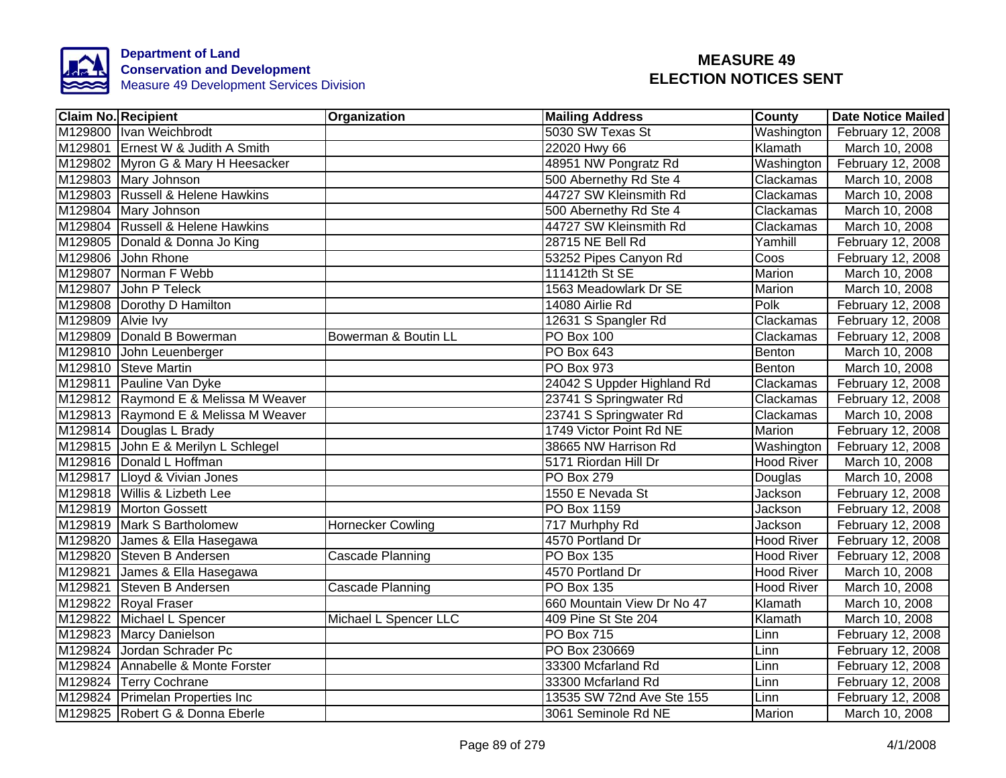

|                   | <b>Claim No. Recipient</b>           | <b>Organization</b>      | <b>Mailing Address</b>     | <b>County</b>            | Date Notice Mailed |
|-------------------|--------------------------------------|--------------------------|----------------------------|--------------------------|--------------------|
|                   | M129800 Ivan Weichbrodt              |                          | 5030 SW Texas St           | Washington               | February 12, 2008  |
|                   | M129801 Ernest W & Judith A Smith    |                          | 22020 Hwy 66               | Klamath                  | March 10, 2008     |
|                   | M129802 Myron G & Mary H Heesacker   |                          | 48951 NW Pongratz Rd       | Washington               | February 12, 2008  |
|                   | M129803 Mary Johnson                 |                          | 500 Abernethy Rd Ste 4     | Clackamas                | March 10, 2008     |
|                   | M129803 Russell & Helene Hawkins     |                          | 44727 SW Kleinsmith Rd     | Clackamas                | March 10, 2008     |
|                   | M129804 Mary Johnson                 |                          | 500 Abernethy Rd Ste 4     | Clackamas                | March 10, 2008     |
|                   | M129804 Russell & Helene Hawkins     |                          | 44727 SW Kleinsmith Rd     | Clackamas                | March 10, 2008     |
|                   | M129805 Donald & Donna Jo King       |                          | 28715 NE Bell Rd           | Yamhill                  | February 12, 2008  |
|                   | M129806 John Rhone                   |                          | 53252 Pipes Canyon Rd      | $\overline{\text{Coos}}$ | February 12, 2008  |
|                   | M129807 Norman F Webb                |                          | 111412th St SE             | Marion                   | March 10, 2008     |
|                   | M129807 John P Teleck                |                          | 1563 Meadowlark Dr SE      | Marion                   | March 10, 2008     |
|                   | M129808 Dorothy D Hamilton           |                          | 14080 Airlie Rd            | Polk                     | February 12, 2008  |
| M129809 Alvie Ivy |                                      |                          | 12631 S Spangler Rd        | Clackamas                | February 12, 2008  |
|                   | M129809 Donald B Bowerman            | Bowerman & Boutin LL     | PO Box 100                 | Clackamas                | February 12, 2008  |
|                   | M129810 John Leuenberger             |                          | PO Box 643                 | Benton                   | March 10, 2008     |
|                   | M129810 Steve Martin                 |                          | <b>PO Box 973</b>          | Benton                   | March 10, 2008     |
|                   | M129811 Pauline Van Dyke             |                          | 24042 S Uppder Highland Rd | Clackamas                | February 12, 2008  |
|                   | M129812 Raymond E & Melissa M Weaver |                          | 23741 S Springwater Rd     | Clackamas                | February 12, 2008  |
|                   | M129813 Raymond E & Melissa M Weaver |                          | 23741 S Springwater Rd     | Clackamas                | March 10, 2008     |
|                   | M129814 Douglas L Brady              |                          | 1749 Victor Point Rd NE    | Marion                   | February 12, 2008  |
|                   | M129815 John E & Merilyn L Schlegel  |                          | 38665 NW Harrison Rd       | Washington               | February 12, 2008  |
|                   | M129816 Donald L Hoffman             |                          | 5171 Riordan Hill Dr       | <b>Hood River</b>        | March 10, 2008     |
|                   | M129817 Lloyd & Vivian Jones         |                          | <b>PO Box 279</b>          | Douglas                  | March 10, 2008     |
|                   | M129818 Willis & Lizbeth Lee         |                          | 1550 E Nevada St           | Jackson                  | February 12, 2008  |
|                   | M129819 Morton Gossett               |                          | PO Box 1159                | <b>Jackson</b>           | February 12, 2008  |
|                   | M129819 Mark S Bartholomew           | <b>Hornecker Cowling</b> | 717 Murhphy Rd             | Jackson                  | February 12, 2008  |
|                   | M129820 James & Ella Hasegawa        |                          | 4570 Portland Dr           | <b>Hood River</b>        | February 12, 2008  |
|                   | M129820 Steven B Andersen            | Cascade Planning         | <b>PO Box 135</b>          | <b>Hood River</b>        | February 12, 2008  |
|                   | M129821 James & Ella Hasegawa        |                          | 4570 Portland Dr           | <b>Hood River</b>        | March 10, 2008     |
|                   | M129821 Steven B Andersen            | Cascade Planning         | <b>PO Box 135</b>          | <b>Hood River</b>        | March 10, 2008     |
|                   | M129822 Royal Fraser                 |                          | 660 Mountain View Dr No 47 | Klamath                  | March 10, 2008     |
|                   | M129822 Michael L Spencer            | Michael L Spencer LLC    | 409 Pine St Ste 204        | Klamath                  | March 10, 2008     |
|                   | M129823 Marcy Danielson              |                          | PO Box 715                 | Linn                     | February 12, 2008  |
|                   | M129824 Jordan Schrader Pc           |                          | PO Box 230669              | Linn                     | February 12, 2008  |
|                   | M129824 Annabelle & Monte Forster    |                          | 33300 Mcfarland Rd         | Linn                     | February 12, 2008  |
|                   | M129824 Terry Cochrane               |                          | 33300 Mcfarland Rd         | Linn                     | February 12, 2008  |
|                   | M129824 Primelan Properties Inc      |                          | 13535 SW 72nd Ave Ste 155  | Linn                     | February 12, 2008  |
|                   | M129825 Robert G & Donna Eberle      |                          | 3061 Seminole Rd NE        | Marion                   | March 10, 2008     |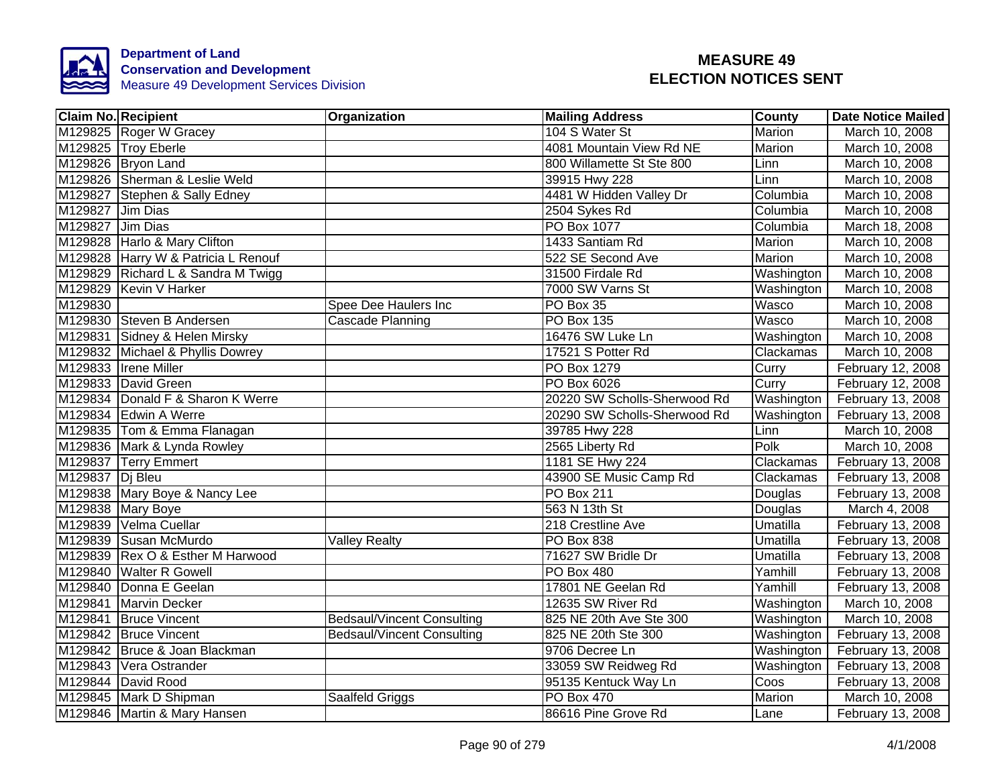

| <b>Claim No. Recipient</b>          | Organization                      | <b>Mailing Address</b>       | County             | <b>Date Notice Mailed</b> |
|-------------------------------------|-----------------------------------|------------------------------|--------------------|---------------------------|
| M129825 Roger W Gracey              |                                   | 104 S Water St               | <b>Marion</b>      | March 10, 2008            |
| M129825 Troy Eberle                 |                                   | 4081 Mountain View Rd NE     | Marion             | March 10, 2008            |
| M129826 Bryon Land                  |                                   | 800 Willamette St Ste 800    | Linn               | March 10, 2008            |
| M129826 Sherman & Leslie Weld       |                                   | 39915 Hwy 228                | Linn               | March 10, 2008            |
| M129827 Stephen & Sally Edney       |                                   | 4481 W Hidden Valley Dr      | Columbia           | March 10, 2008            |
| M129827 Jim Dias                    |                                   | 2504 Sykes Rd                | Columbia           | March 10, 2008            |
| M129827 Jim Dias                    |                                   | PO Box 1077                  | Columbia           | March 18, 2008            |
| M129828 Harlo & Mary Clifton        |                                   | 1433 Santiam Rd              | Marion             | March 10, 2008            |
| M129828 Harry W & Patricia L Renouf |                                   | 522 SE Second Ave            | Marion             | March 10, 2008            |
| M129829 Richard L & Sandra M Twigg  |                                   | 31500 Firdale Rd             | Washington         | March 10, 2008            |
| M129829 Kevin V Harker              |                                   | 7000 SW Varns St             | Washington         | March 10, 2008            |
| M129830                             | Spee Dee Haulers Inc              | PO Box 35                    | Wasco              | March 10, 2008            |
| M129830 Steven B Andersen           | Cascade Planning                  | PO Box 135                   | Wasco              | March 10, 2008            |
| M129831 Sidney & Helen Mirsky       |                                   | 16476 SW Luke Ln             | Washington         | March 10, 2008            |
| M129832 Michael & Phyllis Dowrey    |                                   | 17521 S Potter Rd            | Clackamas          | March 10, 2008            |
| M129833 Irene Miller                |                                   | PO Box 1279                  | Curry              | February 12, 2008         |
| M129833 David Green                 |                                   | PO Box 6026                  | Curry              | February 12, 2008         |
| M129834 Donald F & Sharon K Werre   |                                   | 20220 SW Scholls-Sherwood Rd | Washington         | February 13, 2008         |
| M129834 Edwin A Werre               |                                   | 20290 SW Scholls-Sherwood Rd | Washington         | February 13, 2008         |
| M129835 Tom & Emma Flanagan         |                                   | 39785 Hwy 228                | Linn               | March 10, 2008            |
| M129836 Mark & Lynda Rowley         |                                   | 2565 Liberty Rd              | Polk               | March 10, 2008            |
| M129837 Terry Emmert                |                                   | 1181 SE Hwy 224              | Clackamas          | February 13, 2008         |
| M129837 Dj Bleu                     |                                   | 43900 SE Music Camp Rd       | Clackamas          | February 13, 2008         |
| M129838 Mary Boye & Nancy Lee       |                                   | <b>PO Box 211</b>            | Douglas            | February 13, 2008         |
| M129838 Mary Boye                   |                                   | 563 N 13th St                | Douglas            | March 4, 2008             |
| M129839 Velma Cuellar               |                                   | 218 Crestline Ave            | Umatilla           | February 13, 2008         |
| M129839 Susan McMurdo               | <b>Valley Realty</b>              | <b>PO Box 838</b>            | Umatilla           | February 13, 2008         |
| M129839 Rex O & Esther M Harwood    |                                   | 71627 SW Bridle Dr           | Umatilla           | February 13, 2008         |
| M129840 Walter R Gowell             |                                   | PO Box 480                   | Yamhill            | February 13, 2008         |
| M129840 Donna E Geelan              |                                   | 17801 NE Geelan Rd           | Yamhill            | February 13, 2008         |
| M129841 Marvin Decker               |                                   | 12635 SW River Rd            | Washington         | March 10, 2008            |
| M129841 Bruce Vincent               | <b>Bedsaul/Vincent Consulting</b> | 825 NE 20th Ave Ste 300      | Washington         | March 10, 2008            |
| M129842 Bruce Vincent               | <b>Bedsaul/Vincent Consulting</b> | 825 NE 20th Ste 300          | Washington         | February 13, 2008         |
| M129842 Bruce & Joan Blackman       |                                   | 9706 Decree Ln               | Washington         | February 13, 2008         |
| M129843 Vera Ostrander              |                                   | 33059 SW Reidweg Rd          | Washington         | February 13, 2008         |
| M129844 David Rood                  |                                   | 95135 Kentuck Way Ln         | $\overline{C}$ oos | February 13, 2008         |
| M129845 Mark D Shipman              | Saalfeld Griggs                   | PO Box 470                   | Marion             | March 10, 2008            |
| M129846 Martin & Mary Hansen        |                                   | 86616 Pine Grove Rd          | Lane               | February 13, 2008         |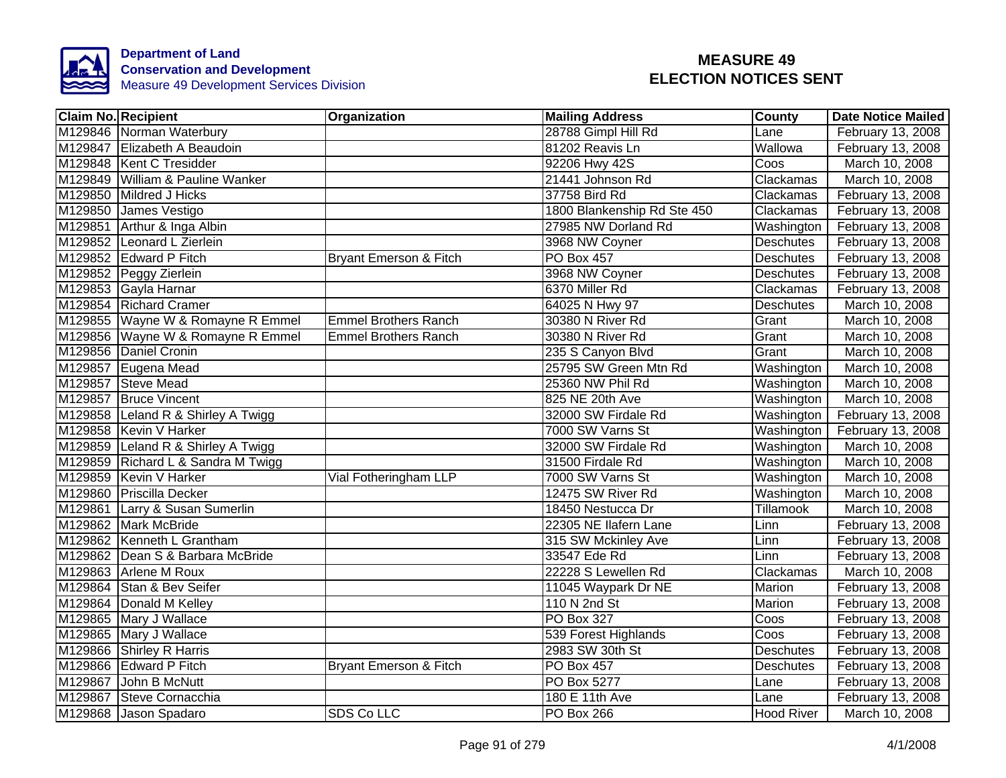

| <b>Claim No. Recipient</b>         | Organization                | <b>Mailing Address</b>      | County            | <b>Date Notice Mailed</b> |
|------------------------------------|-----------------------------|-----------------------------|-------------------|---------------------------|
| M129846 Norman Waterbury           |                             | 28788 Gimpl Hill Rd         | Lane              | February 13, 2008         |
| M129847 Elizabeth A Beaudoin       |                             | 81202 Reavis Ln             | Wallowa           | February 13, 2008         |
| M129848 Kent C Tresidder           |                             | 92206 Hwy 42S               | Coos              | March 10, 2008            |
| M129849 William & Pauline Wanker   |                             | 21441 Johnson Rd            | Clackamas         | March 10, 2008            |
| M129850 Mildred J Hicks            |                             | 37758 Bird Rd               | Clackamas         | February 13, 2008         |
| M129850 James Vestigo              |                             | 1800 Blankenship Rd Ste 450 | Clackamas         | February 13, 2008         |
| M129851 Arthur & Inga Albin        |                             | 27985 NW Dorland Rd         | Washington        | February 13, 2008         |
| M129852 Leonard L Zierlein         |                             | 3968 NW Coyner              | <b>Deschutes</b>  | February 13, 2008         |
| M129852 Edward P Fitch             | Bryant Emerson & Fitch      | PO Box 457                  | Deschutes         | February 13, 2008         |
| M129852 Peggy Zierlein             |                             | 3968 NW Coyner              | <b>Deschutes</b>  | February 13, 2008         |
| M129853 Gayla Harnar               |                             | 6370 Miller Rd              | Clackamas         | February 13, 2008         |
| M129854 Richard Cramer             |                             | 64025 N Hwy 97              | Deschutes         | March 10, 2008            |
| M129855 Wayne W & Romayne R Emmel  | <b>Emmel Brothers Ranch</b> | 30380 N River Rd            | Grant             | March 10, 2008            |
| M129856 Wayne W & Romayne R Emmel  | <b>Emmel Brothers Ranch</b> | 30380 N River Rd            | Grant             | March 10, 2008            |
| M129856 Daniel Cronin              |                             | 235 S Canyon Blvd           | Grant             | March 10, 2008            |
| M129857 Eugena Mead                |                             | 25795 SW Green Mtn Rd       | Washington        | March 10, 2008            |
| M129857 Steve Mead                 |                             | 25360 NW Phil Rd            | Washington        | March 10, 2008            |
| M129857 Bruce Vincent              |                             | 825 NE 20th Ave             | Washington        | March 10, 2008            |
| M129858 Leland R & Shirley A Twigg |                             | 32000 SW Firdale Rd         | Washington        | February 13, 2008         |
| M129858 Kevin V Harker             |                             | 7000 SW Varns St            | Washington        | February 13, 2008         |
| M129859 Leland R & Shirley A Twigg |                             | 32000 SW Firdale Rd         | Washington        | March 10, 2008            |
| M129859 Richard L & Sandra M Twigg |                             | 31500 Firdale Rd            | Washington        | March 10, 2008            |
| M129859 Kevin V Harker             | Vial Fotheringham LLP       | 7000 SW Varns St            | Washington        | March 10, 2008            |
| M129860 Priscilla Decker           |                             | 12475 SW River Rd           | Washington        | March 10, 2008            |
| M129861 Larry & Susan Sumerlin     |                             | 18450 Nestucca Dr           | <b>Tillamook</b>  | March 10, 2008            |
| M129862 Mark McBride               |                             | 22305 NE Ilafern Lane       | Linn              | February 13, 2008         |
| M129862 Kenneth L Grantham         |                             | 315 SW Mckinley Ave         | Linn              | February 13, 2008         |
| M129862 Dean S & Barbara McBride   |                             | 33547 Ede Rd                | Linn              | February 13, 2008         |
| M129863 Arlene M Roux              |                             | 22228 S Lewellen Rd         | Clackamas         | March 10, 2008            |
| M129864 Stan & Bev Seifer          |                             | 11045 Waypark Dr NE         | Marion            | February 13, 2008         |
| M129864 Donald M Kelley            |                             | 110 N 2nd St                | Marion            | February 13, 2008         |
| M129865 Mary J Wallace             |                             | PO Box 327                  | Coos              | February 13, 2008         |
| M129865 Mary J Wallace             |                             | 539 Forest Highlands        | Coos              | February 13, 2008         |
| M129866 Shirley R Harris           |                             | 2983 SW 30th St             | <b>Deschutes</b>  | February 13, 2008         |
| M129866 Edward P Fitch             | Bryant Emerson & Fitch      | PO Box 457                  | <b>Deschutes</b>  | February 13, 2008         |
| M129867 John B McNutt              |                             | PO Box 5277                 | Lane              | February 13, 2008         |
| M129867 Steve Cornacchia           |                             | 180 E 11th Ave              | Lane              | February 13, 2008         |
| M129868 Jason Spadaro              | SDS Co LLC                  | PO Box 266                  | <b>Hood River</b> | March 10, 2008            |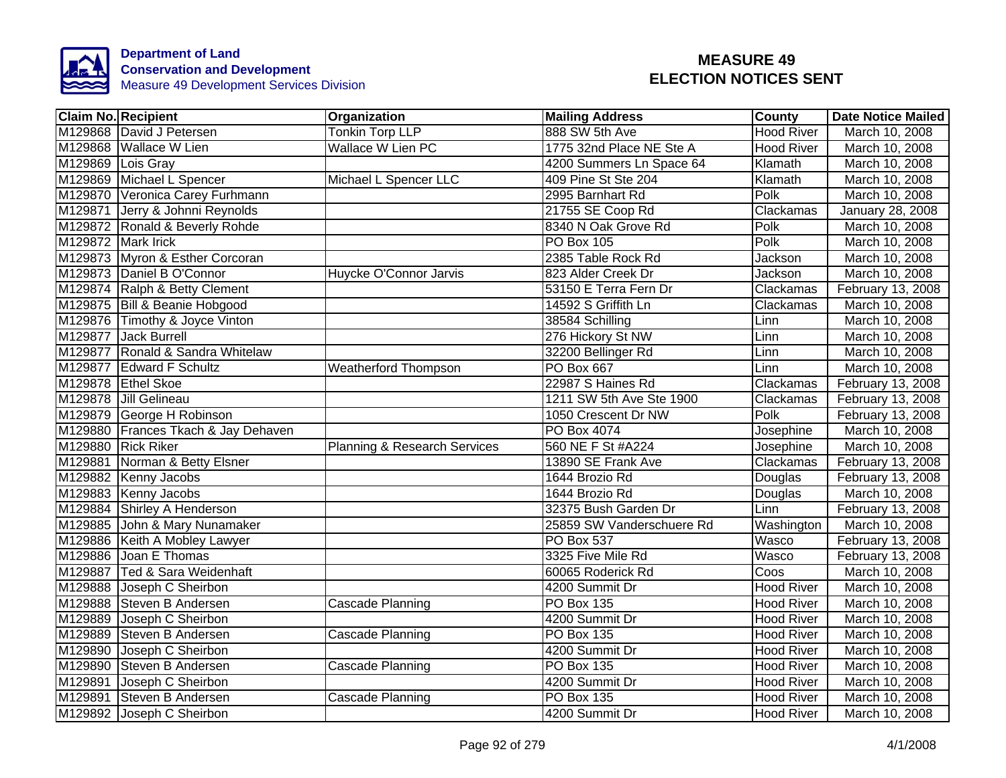

|                   | <b>Claim No. Recipient</b>          | Organization                 | <b>Mailing Address</b>    | <b>County</b>     | <b>Date Notice Mailed</b> |
|-------------------|-------------------------------------|------------------------------|---------------------------|-------------------|---------------------------|
|                   | M129868 David J Petersen            | <b>Tonkin Torp LLP</b>       | 888 SW 5th Ave            | <b>Hood River</b> | March 10, 2008            |
|                   | M129868 Wallace W Lien              | <b>Wallace W Lien PC</b>     | 1775 32nd Place NE Ste A  | <b>Hood River</b> | March 10, 2008            |
| M129869 Lois Gray |                                     |                              | 4200 Summers Ln Space 64  | Klamath           | March 10, 2008            |
|                   | M129869 Michael L Spencer           | Michael L Spencer LLC        | 409 Pine St Ste 204       | Klamath           | March 10, 2008            |
|                   | M129870 Veronica Carey Furhmann     |                              | 2995 Barnhart Rd          | Polk              | March 10, 2008            |
|                   | M129871 Jerry & Johnni Reynolds     |                              | 21755 SE Coop Rd          | Clackamas         | January 28, 2008          |
|                   | M129872 Ronald & Beverly Rohde      |                              | 8340 N Oak Grove Rd       | Polk              | March 10, 2008            |
|                   | M129872 Mark Irick                  |                              | PO Box 105                | Polk              | March 10, 2008            |
|                   | M129873 Myron & Esther Corcoran     |                              | 2385 Table Rock Rd        | Jackson           | March 10, 2008            |
|                   | M129873 Daniel B O'Connor           | Huycke O'Connor Jarvis       | 823 Alder Creek Dr        | Jackson           | March 10, 2008            |
|                   | M129874 Ralph & Betty Clement       |                              | 53150 E Terra Fern Dr     | Clackamas         | February 13, 2008         |
|                   | M129875 Bill & Beanie Hobgood       |                              | 14592 S Griffith Ln       | Clackamas         | March 10, 2008            |
|                   | M129876 Timothy & Joyce Vinton      |                              | 38584 Schilling           | Linn              | March 10, 2008            |
|                   | M129877 Jack Burrell                |                              | 276 Hickory St NW         | Linn              | March 10, 2008            |
|                   | M129877 Ronald & Sandra Whitelaw    |                              | 32200 Bellinger Rd        | Linn              | March 10, 2008            |
|                   | M129877 Edward F Schultz            | <b>Weatherford Thompson</b>  | <b>PO Box 667</b>         | Linn              | March 10, 2008            |
|                   | M129878 Ethel Skoe                  |                              | 22987 S Haines Rd         | Clackamas         | February 13, 2008         |
|                   | M129878 Jill Gelineau               |                              | 1211 SW 5th Ave Ste 1900  | Clackamas         | February 13, 2008         |
|                   | M129879 George H Robinson           |                              | 1050 Crescent Dr NW       | Polk              | February 13, 2008         |
|                   | M129880 Frances Tkach & Jay Dehaven |                              | PO Box 4074               | Josephine         | March 10, 2008            |
|                   | M129880 Rick Riker                  | Planning & Research Services | 560 NE F St #A224         | Josephine         | March 10, 2008            |
|                   | M129881 Norman & Betty Elsner       |                              | 13890 SE Frank Ave        | Clackamas         | February 13, 2008         |
|                   | M129882 Kenny Jacobs                |                              | 1644 Brozio Rd            | Douglas           | February 13, 2008         |
|                   | M129883 Kenny Jacobs                |                              | 1644 Brozio Rd            | Douglas           | March 10, 2008            |
|                   | M129884 Shirley A Henderson         |                              | 32375 Bush Garden Dr      | Linn              | February 13, 2008         |
|                   | M129885 John & Mary Nunamaker       |                              | 25859 SW Vanderschuere Rd | Washington        | March 10, 2008            |
|                   | M129886 Keith A Mobley Lawyer       |                              | <b>PO Box 537</b>         | Wasco             | February 13, 2008         |
|                   | M129886 Joan E Thomas               |                              | 3325 Five Mile Rd         | Wasco             | February 13, 2008         |
|                   | M129887 Ted & Sara Weidenhaft       |                              | 60065 Roderick Rd         | Coos              | March 10, 2008            |
|                   | M129888 Joseph C Sheirbon           |                              | 4200 Summit Dr            | Hood River        | March 10, 2008            |
|                   | M129888 Steven B Andersen           | Cascade Planning             | <b>PO Box 135</b>         | <b>Hood River</b> | March 10, 2008            |
| M129889           | Joseph C Sheirbon                   |                              | 4200 Summit Dr            | <b>Hood River</b> | March 10, 2008            |
| M129889           | Steven B Andersen                   | Cascade Planning             | <b>PO Box 135</b>         | <b>Hood River</b> | March 10, 2008            |
| M129890           | Joseph C Sheirbon                   |                              | 4200 Summit Dr            | <b>Hood River</b> | March 10, 2008            |
|                   | M129890 Steven B Andersen           | Cascade Planning             | PO Box 135                | <b>Hood River</b> | March 10, 2008            |
|                   | M129891 Joseph C Sheirbon           |                              | 4200 Summit Dr            | <b>Hood River</b> | March 10, 2008            |
| M129891           | Steven B Andersen                   | Cascade Planning             | <b>PO Box 135</b>         | <b>Hood River</b> | March 10, 2008            |
|                   | M129892 Joseph C Sheirbon           |                              | 4200 Summit Dr            | <b>Hood River</b> | March 10, 2008            |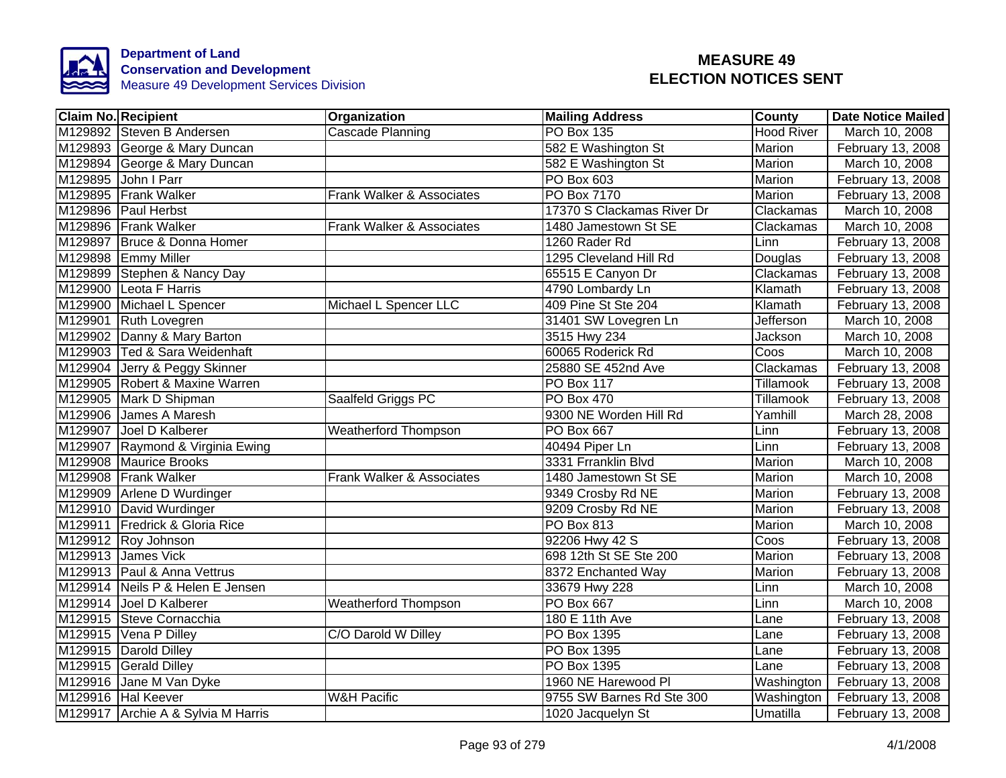

| <b>Claim No. Recipient</b>         | Organization                | <b>Mailing Address</b>     | County            | <b>Date Notice Mailed</b> |
|------------------------------------|-----------------------------|----------------------------|-------------------|---------------------------|
| M129892 Steven B Andersen          | Cascade Planning            | <b>PO Box 135</b>          | <b>Hood River</b> | March 10, 2008            |
| M129893 George & Mary Duncan       |                             | 582 E Washington St        | Marion            | February 13, 2008         |
| M129894 George & Mary Duncan       |                             | 582 E Washington St        | Marion            | March 10, 2008            |
| M129895 John I Parr                |                             | PO Box 603                 | Marion            | February 13, 2008         |
| M129895 Frank Walker               | Frank Walker & Associates   | PO Box 7170                | Marion            | February 13, 2008         |
| M129896 Paul Herbst                |                             | 17370 S Clackamas River Dr | Clackamas         | March 10, 2008            |
| M129896 Frank Walker               | Frank Walker & Associates   | 1480 Jamestown St SE       | Clackamas         | March 10, 2008            |
| M129897 Bruce & Donna Homer        |                             | 1260 Rader Rd              | Linn              | February 13, 2008         |
| M129898 Emmy Miller                |                             | 1295 Cleveland Hill Rd     | Douglas           | February 13, 2008         |
| M129899 Stephen & Nancy Day        |                             | 65515 E Canyon Dr          | Clackamas         | February 13, 2008         |
| M129900 Leota F Harris             |                             | 4790 Lombardy Ln           | Klamath           | February 13, 2008         |
| M129900 Michael L Spencer          | Michael L Spencer LLC       | 409 Pine St Ste 204        | Klamath           | February 13, 2008         |
| M129901 Ruth Lovegren              |                             | 31401 SW Lovegren Ln       | Jefferson         | March 10, 2008            |
| M129902 Danny & Mary Barton        |                             | 3515 Hwy 234               | Jackson           | March 10, 2008            |
| M129903 Ted & Sara Weidenhaft      |                             | 60065 Roderick Rd          | Coos              | March 10, 2008            |
| M129904 Jerry & Peggy Skinner      |                             | 25880 SE 452nd Ave         | Clackamas         | February 13, 2008         |
| M129905 Robert & Maxine Warren     |                             | <b>PO Box 117</b>          | Tillamook         | February 13, 2008         |
| M129905 Mark D Shipman             | Saalfeld Griggs PC          | <b>PO Box 470</b>          | <b>Tillamook</b>  | February 13, 2008         |
| M129906 James A Maresh             |                             | 9300 NE Worden Hill Rd     | Yamhill           | March 28, 2008            |
| M129907 Joel D Kalberer            | <b>Weatherford Thompson</b> | <b>PO Box 667</b>          | Linn              | February 13, 2008         |
| M129907 Raymond & Virginia Ewing   |                             | 40494 Piper Ln             | Linn              | February 13, 2008         |
| M129908 Maurice Brooks             |                             | 3331 Frranklin Blvd        | Marion            | March 10, 2008            |
| M129908 Frank Walker               | Frank Walker & Associates   | 1480 Jamestown St SE       | Marion            | March 10, 2008            |
| M129909 Arlene D Wurdinger         |                             | 9349 Crosby Rd NE          | Marion            | February 13, 2008         |
| M129910 David Wurdinger            |                             | 9209 Crosby Rd NE          | Marion            | February 13, 2008         |
| M129911 Fredrick & Gloria Rice     |                             | <b>PO Box 813</b>          | Marion            | March 10, 2008            |
| M129912 Roy Johnson                |                             | 92206 Hwy 42 S             | Coos              | February 13, 2008         |
| M129913 James Vick                 |                             | 698 12th St SE Ste 200     | Marion            | February 13, 2008         |
| M129913 Paul & Anna Vettrus        |                             | 8372 Enchanted Way         | Marion            | February 13, 2008         |
| M129914 Neils P & Helen E Jensen   |                             | 33679 Hwy 228              | Linn              | March 10, 2008            |
| M129914 Joel D Kalberer            | <b>Weatherford Thompson</b> | PO Box 667                 | Linn              | March 10, 2008            |
| M129915 Steve Cornacchia           |                             | 180 E 11th Ave             | Lane              | February 13, 2008         |
| M129915 Vena P Dilley              | C/O Darold W Dilley         | PO Box 1395                | Lane              | February 13, 2008         |
| M129915 Darold Dilley              |                             | PO Box 1395                | Lane              | February 13, 2008         |
| M129915 Gerald Dilley              |                             | PO Box 1395                | Lane              | February 13, 2008         |
| M129916 Jane M Van Dyke            |                             | 1960 NE Harewood Pl        | Washington        | February 13, 2008         |
| M129916 Hal Keever                 | <b>W&amp;H Pacific</b>      | 9755 SW Barnes Rd Ste 300  | Washington        | February 13, 2008         |
| M129917 Archie A & Sylvia M Harris |                             | 1020 Jacquelyn St          | Umatilla          | February 13, 2008         |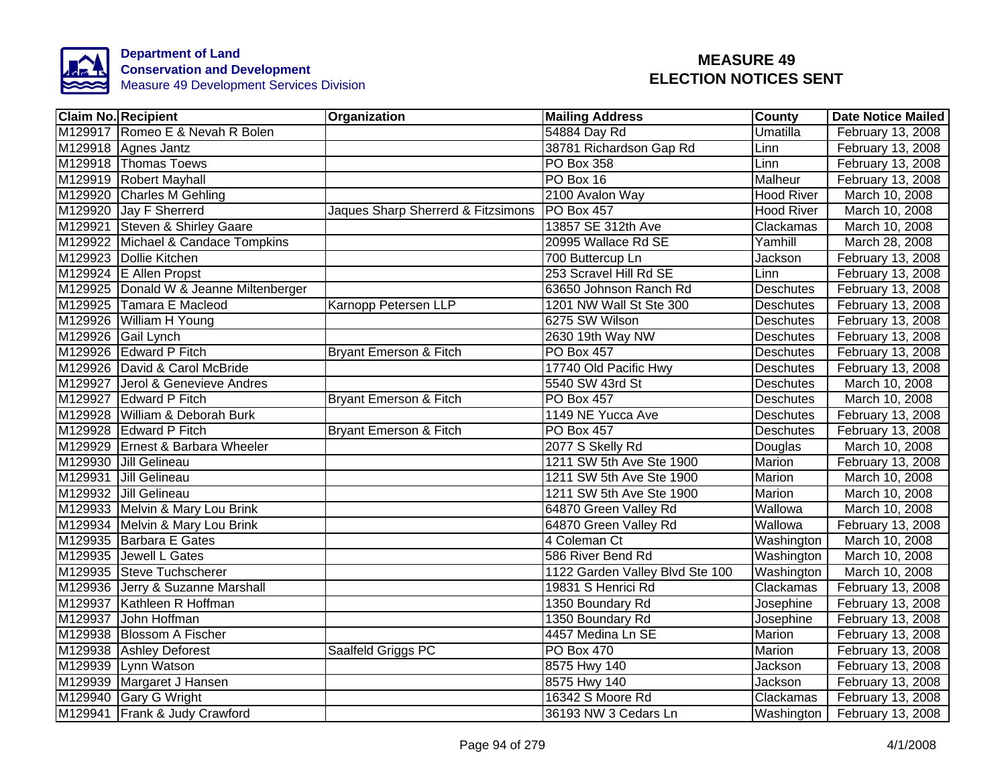

| <b>Claim No. Recipient</b>             | Organization                       | <b>Mailing Address</b>          | <b>County</b>     | <b>Date Notice Mailed</b> |
|----------------------------------------|------------------------------------|---------------------------------|-------------------|---------------------------|
| M129917 Romeo E & Nevah R Bolen        |                                    | 54884 Day Rd                    | Umatilla          | February 13, 2008         |
| M129918 Agnes Jantz                    |                                    | 38781 Richardson Gap Rd         | Linn              | February 13, 2008         |
| M129918 Thomas Toews                   |                                    | <b>PO Box 358</b>               | Linn              | February 13, 2008         |
| M129919 Robert Mayhall                 |                                    | PO Box 16                       | Malheur           | February 13, 2008         |
| M129920 Charles M Gehling              |                                    | 2100 Avalon Way                 | <b>Hood River</b> | March 10, 2008            |
| M129920 Jay F Sherrerd                 | Jaques Sharp Sherrerd & Fitzsimons | <b>PO Box 457</b>               | <b>Hood River</b> | March 10, 2008            |
| M129921 Steven & Shirley Gaare         |                                    | 13857 SE 312th Ave              | Clackamas         | March 10, 2008            |
| M129922 Michael & Candace Tompkins     |                                    | 20995 Wallace Rd SE             | Yamhill           | March 28, 2008            |
| M129923 Dollie Kitchen                 |                                    | 700 Buttercup Ln                | Jackson           | February 13, 2008         |
| M129924 E Allen Propst                 |                                    | 253 Scravel Hill Rd SE          | Linn              | February 13, 2008         |
| M129925 Donald W & Jeanne Miltenberger |                                    | 63650 Johnson Ranch Rd          | Deschutes         | February 13, 2008         |
| M129925 Tamara E Macleod               | Karnopp Petersen LLP               | 1201 NW Wall St Ste 300         | Deschutes         | February 13, 2008         |
| M129926 William H Young                |                                    | 6275 SW Wilson                  | Deschutes         | February 13, 2008         |
| M129926 Gail Lynch                     |                                    | 2630 19th Way NW                | <b>Deschutes</b>  | February 13, 2008         |
| M129926 Edward P Fitch                 | <b>Bryant Emerson &amp; Fitch</b>  | <b>PO Box 457</b>               | <b>Deschutes</b>  | February 13, 2008         |
| M129926 David & Carol McBride          |                                    | 17740 Old Pacific Hwy           | Deschutes         | February 13, 2008         |
| M129927 Jerol & Genevieve Andres       |                                    | 5540 SW 43rd St                 | <b>Deschutes</b>  | March 10, 2008            |
| M129927 Edward P Fitch                 | Bryant Emerson & Fitch             | PO Box 457                      | <b>Deschutes</b>  | March 10, 2008            |
| M129928 William & Deborah Burk         |                                    | 1149 NE Yucca Ave               | <b>Deschutes</b>  | February 13, 2008         |
| M129928 Edward P Fitch                 | Bryant Emerson & Fitch             | <b>PO Box 457</b>               | Deschutes         | February 13, 2008         |
| M129929 Ernest & Barbara Wheeler       |                                    | 2077 S Skelly Rd                | Douglas           | March 10, 2008            |
| M129930 Jill Gelineau                  |                                    | 1211 SW 5th Ave Ste 1900        | <b>Marion</b>     | February 13, 2008         |
| M129931 Jill Gelineau                  |                                    | 1211 SW 5th Ave Ste 1900        | Marion            | March 10, 2008            |
| M129932 Jill Gelineau                  |                                    | 1211 SW 5th Ave Ste 1900        | <b>Marion</b>     | March 10, 2008            |
| M129933 Melvin & Mary Lou Brink        |                                    | 64870 Green Valley Rd           | Wallowa           | March 10, 2008            |
| M129934 Melvin & Mary Lou Brink        |                                    | 64870 Green Valley Rd           | Wallowa           | February 13, 2008         |
| M129935 Barbara E Gates                |                                    | 4 Coleman Ct                    | Washington        | March 10, 2008            |
| M129935 Jewell L Gates                 |                                    | 586 River Bend Rd               | Washington        | March 10, 2008            |
| M129935 Steve Tuchscherer              |                                    | 1122 Garden Valley Blvd Ste 100 | Washington        | March 10, 2008            |
| M129936 Jerry & Suzanne Marshall       |                                    | 19831 S Henrici Rd              | Clackamas         | February 13, 2008         |
| M129937 Kathleen R Hoffman             |                                    | 1350 Boundary Rd                | Josephine         | February 13, 2008         |
| M129937<br>John Hoffman                |                                    | 1350 Boundary Rd                | Josephine         | February 13, 2008         |
| M129938 Blossom A Fischer              |                                    | 4457 Medina Ln SE               | Marion            | February 13, 2008         |
| M129938 Ashley Deforest                | Saalfeld Griggs PC                 | PO Box 470                      | Marion            | February 13, 2008         |
| M129939 Lynn Watson                    |                                    | 8575 Hwy 140                    | Jackson           | February 13, 2008         |
| M129939 Margaret J Hansen              |                                    | 8575 Hwy 140                    | Jackson           | February 13, 2008         |
| M129940 Gary G Wright                  |                                    | 16342 S Moore Rd                | Clackamas         | February 13, 2008         |
| M129941 Frank & Judy Crawford          |                                    | 36193 NW 3 Cedars Ln            | Washington        | February 13, 2008         |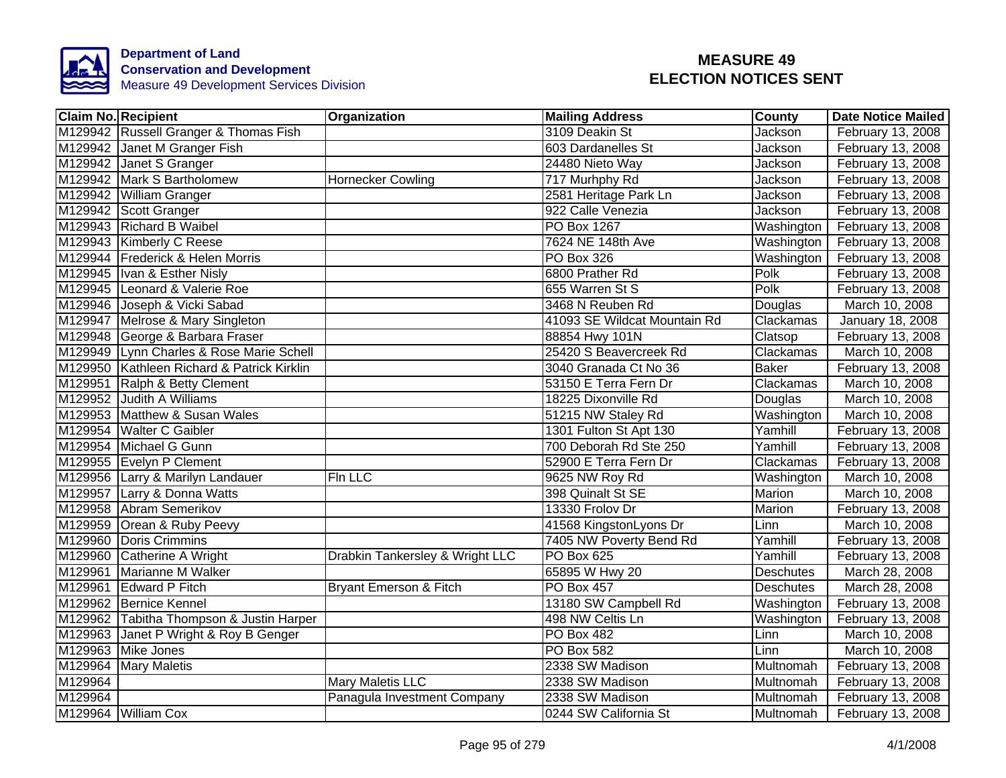

|         | <b>Claim No. Recipient</b>                 | Organization                    | <b>Mailing Address</b>       | <b>County</b> | <b>Date Notice Mailed</b> |
|---------|--------------------------------------------|---------------------------------|------------------------------|---------------|---------------------------|
|         | M129942 Russell Granger & Thomas Fish      |                                 | 3109 Deakin St               | Jackson       | February 13, 2008         |
|         | M129942 Janet M Granger Fish               |                                 | 603 Dardanelles St           | Jackson       | February 13, 2008         |
|         | M129942 Janet S Granger                    |                                 | 24480 Nieto Way              | Jackson       | February 13, 2008         |
|         | M129942 Mark S Bartholomew                 | Hornecker Cowling               | 717 Murhphy Rd               | Jackson       | February 13, 2008         |
|         | M129942 William Granger                    |                                 | 2581 Heritage Park Ln        | Jackson       | February 13, 2008         |
|         | M129942 Scott Granger                      |                                 | 922 Calle Venezia            | Jackson       | February 13, 2008         |
|         | M129943 Richard B Waibel                   |                                 | PO Box 1267                  | Washington    | February 13, 2008         |
|         | M129943 Kimberly C Reese                   |                                 | 7624 NE 148th Ave            | Washington    | February 13, 2008         |
|         | M129944 Frederick & Helen Morris           |                                 | PO Box 326                   | Washington    | February 13, 2008         |
|         | M129945   Ivan & Esther Nisly              |                                 | 6800 Prather Rd              | Polk          | February 13, 2008         |
|         | M129945 Leonard & Valerie Roe              |                                 | 655 Warren St S              | Polk          | February 13, 2008         |
|         | M129946 Joseph & Vicki Sabad               |                                 | 3468 N Reuben Rd             | Douglas       | March 10, 2008            |
|         | M129947 Melrose & Mary Singleton           |                                 | 41093 SE Wildcat Mountain Rd | Clackamas     | January 18, 2008          |
|         | M129948 George & Barbara Fraser            |                                 | 88854 Hwy 101N               | Clatsop       | February 13, 2008         |
| M129949 | Lynn Charles & Rose Marie Schell           |                                 | 25420 S Beavercreek Rd       | Clackamas     | March 10, 2008            |
|         | M129950 Kathleen Richard & Patrick Kirklin |                                 | 3040 Granada Ct No 36        | <b>Baker</b>  | February 13, 2008         |
|         | M129951 Ralph & Betty Clement              |                                 | 53150 E Terra Fern Dr        | Clackamas     | March 10, 2008            |
|         | M129952 Judith A Williams                  |                                 | 18225 Dixonville Rd          | Douglas       | March 10, 2008            |
|         | M129953 Matthew & Susan Wales              |                                 | 51215 NW Staley Rd           | Washington    | March 10, 2008            |
|         | M129954 Walter C Gaibler                   |                                 | 1301 Fulton St Apt 130       | Yamhill       | February 13, 2008         |
|         | M129954 Michael G Gunn                     |                                 | 700 Deborah Rd Ste 250       | Yamhill       | February 13, 2008         |
|         | M129955 Evelyn P Clement                   |                                 | 52900 E Terra Fern Dr        | Clackamas     | February 13, 2008         |
|         | M129956 Larry & Marilyn Landauer           | Fin LLC                         | 9625 NW Roy Rd               | Washington    | March 10, 2008            |
|         | M129957 Larry & Donna Watts                |                                 | 398 Quinalt St SE            | <b>Marion</b> | March 10, 2008            |
|         | M129958 Abram Semerikov                    |                                 | 13330 Frolov Dr              | Marion        | February 13, 2008         |
|         | M129959 Orean & Ruby Peevy                 |                                 | 41568 KingstonLyons Dr       | Linn          | March 10, 2008            |
| M129960 | Doris Crimmins                             |                                 | 7405 NW Poverty Bend Rd      | Yamhill       | February 13, 2008         |
|         | M129960 Catherine A Wright                 | Drabkin Tankersley & Wright LLC | PO Box 625                   | Yamhill       | February 13, 2008         |
| M129961 | Marianne M Walker                          |                                 | 65895 W Hwy 20               | Deschutes     | March 28, 2008            |
|         | M129961 Edward P Fitch                     | Bryant Emerson & Fitch          | <b>PO Box 457</b>            | Deschutes     | March 28, 2008            |
|         | M129962 Bernice Kennel                     |                                 | 13180 SW Campbell Rd         | Washington    | February 13, 2008         |
|         | M129962 Tabitha Thompson & Justin Harper   |                                 | 498 NW Celtis Ln             | Washington    | February 13, 2008         |
|         | M129963 Janet P Wright & Roy B Genger      |                                 | PO Box 482                   | Linn          | March 10, 2008            |
|         | M129963 Mike Jones                         |                                 | PO Box 582                   | Linn          | March 10, 2008            |
| M129964 | <b>Mary Maletis</b>                        |                                 | 2338 SW Madison              | Multnomah     | February 13, 2008         |
| M129964 |                                            | <b>Mary Maletis LLC</b>         | 2338 SW Madison              | Multnomah     | February 13, 2008         |
| M129964 |                                            | Panagula Investment Company     | 2338 SW Madison              | Multnomah     | February 13, 2008         |
|         | M129964 William Cox                        |                                 | 0244 SW California St        | Multnomah     | February 13, 2008         |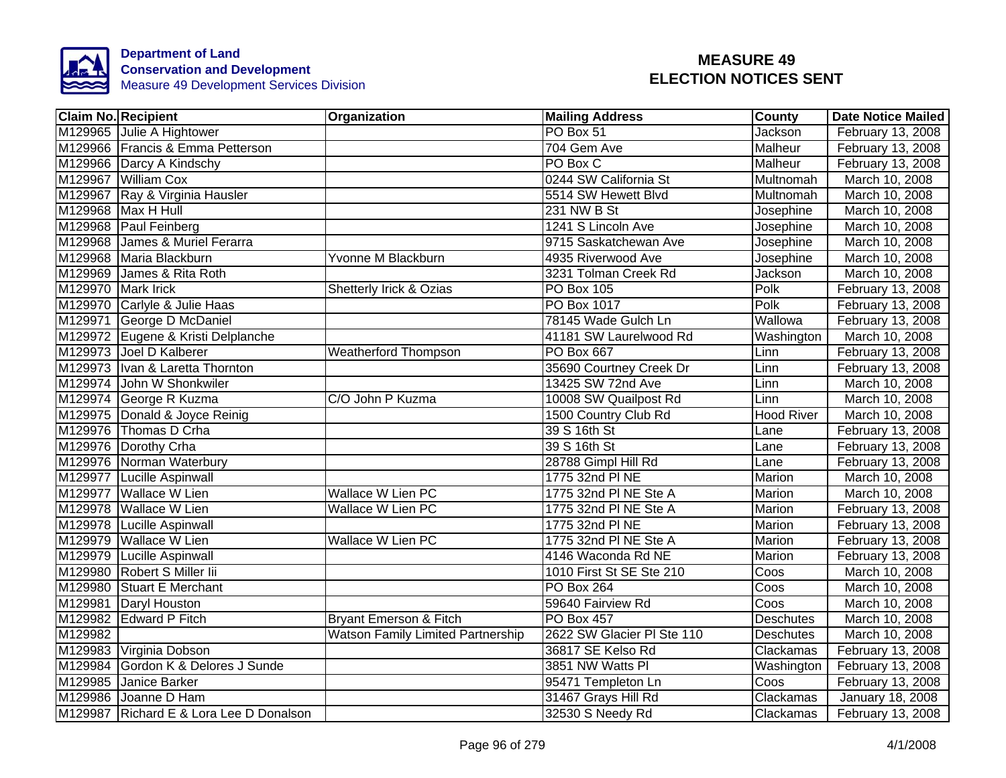

| <b>Claim No. Recipient</b>              | Organization                             | <b>Mailing Address</b>     | <b>County</b>     | <b>Date Notice Mailed</b> |
|-----------------------------------------|------------------------------------------|----------------------------|-------------------|---------------------------|
| M129965 Julie A Hightower               |                                          | PO Box 51                  | Jackson           | February 13, 2008         |
| M129966 Francis & Emma Petterson        |                                          | 704 Gem Ave                | Malheur           | February 13, 2008         |
| M129966 Darcy A Kindschy                |                                          | PO Box C                   | <b>Malheur</b>    | February 13, 2008         |
| M129967 William Cox                     |                                          | 0244 SW California St      | Multnomah         | March 10, 2008            |
| M129967 Ray & Virginia Hausler          |                                          | 5514 SW Hewett Blvd        | Multnomah         | March 10, 2008            |
| M129968 Max H Hull                      |                                          | 231 NW B St                | Josephine         | March 10, 2008            |
| M129968 Paul Feinberg                   |                                          | 1241 S Lincoln Ave         | Josephine         | March 10, 2008            |
| M129968 James & Muriel Ferarra          |                                          | 9715 Saskatchewan Ave      | Josephine         | March 10, 2008            |
| M129968 Maria Blackburn                 | Yvonne M Blackburn                       | 4935 Riverwood Ave         | Josephine         | March 10, 2008            |
| M129969 James & Rita Roth               |                                          | 3231 Tolman Creek Rd       | Jackson           | March 10, 2008            |
| M129970 Mark Irick                      | Shetterly Irick & Ozias                  | PO Box 105                 | Polk              | February 13, 2008         |
| M129970 Carlyle & Julie Haas            |                                          | PO Box 1017                | Polk              | February 13, 2008         |
| M129971 George D McDaniel               |                                          | 78145 Wade Gulch Ln        | Wallowa           | February 13, 2008         |
| M129972 Eugene & Kristi Delplanche      |                                          | 41181 SW Laurelwood Rd     | Washington        | March 10, 2008            |
| M129973 Joel D Kalberer                 | <b>Weatherford Thompson</b>              | <b>PO Box 667</b>          | Linn              | February 13, 2008         |
| M129973 Ivan & Laretta Thornton         |                                          | 35690 Courtney Creek Dr    | Linn              | February 13, 2008         |
| M129974 John W Shonkwiler               |                                          | 13425 SW 72nd Ave          | Linn              | March 10, 2008            |
| M129974 George R Kuzma                  | C/O John P Kuzma                         | 10008 SW Quailpost Rd      | Linn              | March 10, 2008            |
| M129975 Donald & Joyce Reinig           |                                          | 1500 Country Club Rd       | <b>Hood River</b> | March 10, 2008            |
| M129976 Thomas D Crha                   |                                          | 39 S 16th St               | Lane              | February 13, 2008         |
| M129976 Dorothy Crha                    |                                          | 39 S 16th St               | Lane              | February 13, 2008         |
| M129976 Norman Waterbury                |                                          | 28788 Gimpl Hill Rd        | Lane              | February 13, 2008         |
| M129977 Lucille Aspinwall               |                                          | 1775 32nd PI NE            | Marion            | March 10, 2008            |
| M129977 Wallace W Lien                  | <b>Wallace W Lien PC</b>                 | 1775 32nd PI NE Ste A      | <b>Marion</b>     | March 10, 2008            |
| M129978 Wallace W Lien                  | <b>Wallace W Lien PC</b>                 | 1775 32nd PI NE Ste A      | Marion            | February 13, 2008         |
| M129978 Lucille Aspinwall               |                                          | 1775 32nd PI NE            | Marion            | February 13, 2008         |
| M129979 Wallace W Lien                  | <b>Wallace W Lien PC</b>                 | 1775 32nd PI NE Ste A      | Marion            | February 13, 2008         |
| M129979 Lucille Aspinwall               |                                          | 4146 Waconda Rd NE         | Marion            | February 13, 2008         |
| M129980 Robert S Miller lii             |                                          | 1010 First St SE Ste 210   | Coos              | March 10, 2008            |
| M129980 Stuart E Merchant               |                                          | <b>PO Box 264</b>          | Coos              | March 10, 2008            |
| M129981 Daryl Houston                   |                                          | 59640 Fairview Rd          | Coos              | March 10, 2008            |
| M129982 Edward P Fitch                  | Bryant Emerson & Fitch                   | <b>PO Box 457</b>          | <b>Deschutes</b>  | March 10, 2008            |
| M129982                                 | <b>Watson Family Limited Partnership</b> | 2622 SW Glacier PI Ste 110 | Deschutes         | March 10, 2008            |
| M129983 Virginia Dobson                 |                                          | 36817 SE Kelso Rd          | Clackamas         | February 13, 2008         |
| M129984 Gordon K & Delores J Sunde      |                                          | 3851 NW Watts PI           | Washington        | February 13, 2008         |
| M129985 Janice Barker                   |                                          | 95471 Templeton Ln         | Coos              | February 13, 2008         |
| M129986 Joanne D Ham                    |                                          | 31467 Grays Hill Rd        | Clackamas         | January 18, 2008          |
| M129987 Richard E & Lora Lee D Donalson |                                          | 32530 S Needy Rd           | Clackamas         | February 13, 2008         |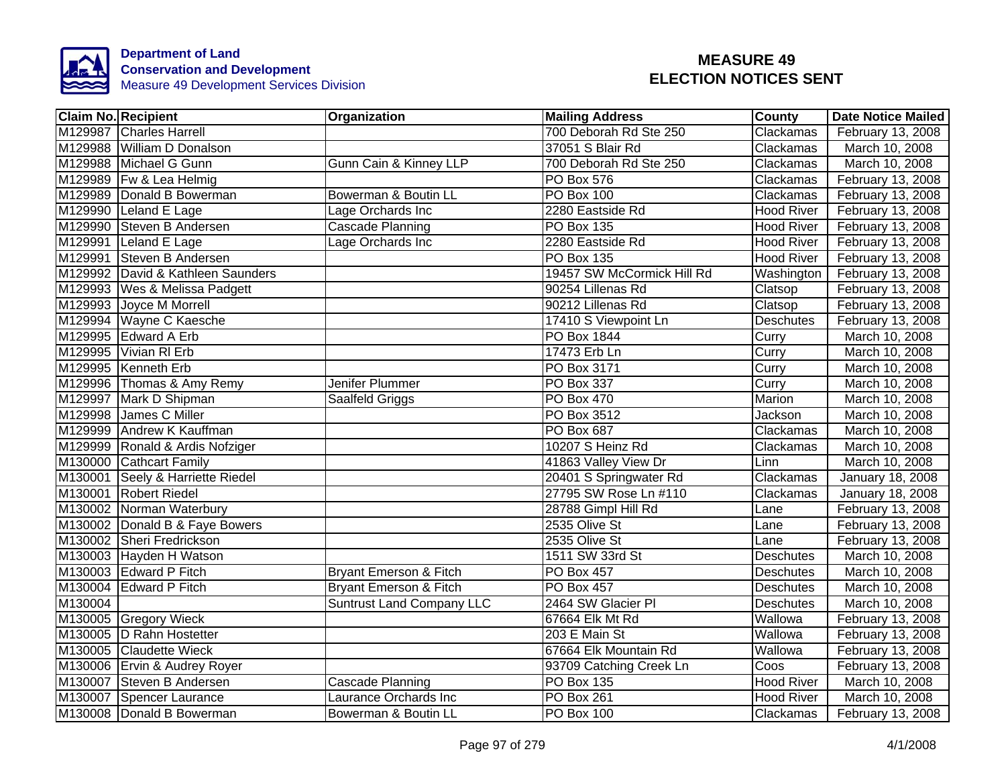

|         | <b>Claim No. Recipient</b>        | Organization                      | <b>Mailing Address</b>     | <b>County</b>      | <b>Date Notice Mailed</b> |
|---------|-----------------------------------|-----------------------------------|----------------------------|--------------------|---------------------------|
|         | M129987 Charles Harrell           |                                   | 700 Deborah Rd Ste 250     | Clackamas          | February 13, 2008         |
|         | M129988 William D Donalson        |                                   | 37051 S Blair Rd           | Clackamas          | March 10, 2008            |
|         | M129988 Michael G Gunn            | <b>Gunn Cain &amp; Kinney LLP</b> | 700 Deborah Rd Ste 250     | Clackamas          | March 10, 2008            |
|         | M129989 Fw & Lea Helmig           |                                   | PO Box 576                 | Clackamas          | February 13, 2008         |
|         | M129989 Donald B Bowerman         | Bowerman & Boutin LL              | <b>PO Box 100</b>          | Clackamas          | February 13, 2008         |
|         | M129990 Leland E Lage             | Lage Orchards Inc                 | 2280 Eastside Rd           | <b>Hood River</b>  | February 13, 2008         |
|         | M129990 Steven B Andersen         | Cascade Planning                  | PO Box 135                 | <b>Hood River</b>  | February 13, 2008         |
|         | M129991 Leland E Lage             | Lage Orchards Inc                 | 2280 Eastside Rd           | <b>Hood River</b>  | February 13, 2008         |
|         | M129991 Steven B Andersen         |                                   | PO Box 135                 | <b>Hood River</b>  | February 13, 2008         |
|         | M129992 David & Kathleen Saunders |                                   | 19457 SW McCormick Hill Rd | Washington         | February 13, 2008         |
|         | M129993   Wes & Melissa Padgett   |                                   | 90254 Lillenas Rd          | Clatsop            | February 13, 2008         |
|         | M129993 Joyce M Morrell           |                                   | 90212 Lillenas Rd          | Clatsop            | February 13, 2008         |
|         | M129994 Wayne C Kaesche           |                                   | 17410 S Viewpoint Ln       | Deschutes          | February 13, 2008         |
|         | M129995 Edward A Erb              |                                   | PO Box 1844                | Curry              | March 10, 2008            |
|         | M129995 Vivian RI Erb             |                                   | 17473 Erb Ln               | Curry              | March 10, 2008            |
|         | M129995 Kenneth Erb               |                                   | PO Box 3171                | Curry              | March 10, 2008            |
|         | M129996 Thomas & Amy Remy         | Jenifer Plummer                   | <b>PO Box 337</b>          | Curry              | March 10, 2008            |
|         | M129997 Mark D Shipman            | Saalfeld Griggs                   | <b>PO Box 470</b>          | Marion             | March 10, 2008            |
|         | M129998 James C Miller            |                                   | PO Box 3512                | Jackson            | March 10, 2008            |
|         | M129999 Andrew K Kauffman         |                                   | <b>PO Box 687</b>          | Clackamas          | March 10, 2008            |
|         | M129999 Ronald & Ardis Nofziger   |                                   | 10207 S Heinz Rd           | Clackamas          | March 10, 2008            |
|         | M130000 Cathcart Family           |                                   | 41863 Valley View Dr       | Linn               | March 10, 2008            |
|         | M130001 Seely & Harriette Riedel  |                                   | 20401 S Springwater Rd     | Clackamas          | January 18, 2008          |
|         | M130001 Robert Riedel             |                                   | 27795 SW Rose Ln #110      | Clackamas          | January 18, 2008          |
|         | M130002 Norman Waterbury          |                                   | 28788 Gimpl Hill Rd        | Lane               | February 13, 2008         |
|         | M130002 Donald B & Faye Bowers    |                                   | 2535 Olive St              | Lane               | February 13, 2008         |
|         | M130002 Sheri Fredrickson         |                                   | 2535 Olive St              | Lane               | February 13, 2008         |
|         | M130003 Hayden H Watson           |                                   | 1511 SW 33rd St            | <b>Deschutes</b>   | March 10, 2008            |
|         | M130003 Edward P Fitch            | Bryant Emerson & Fitch            | PO Box 457                 | <b>Deschutes</b>   | March 10, 2008            |
|         | M130004 Edward P Fitch            | Bryant Emerson & Fitch            | PO Box 457                 | <b>Deschutes</b>   | March 10, 2008            |
| M130004 |                                   | <b>Suntrust Land Company LLC</b>  | 2464 SW Glacier PI         | <b>Deschutes</b>   | March 10, 2008            |
|         | M130005 Gregory Wieck             |                                   | 67664 Elk Mt Rd            | Wallowa            | February 13, 2008         |
|         | M130005 D Rahn Hostetter          |                                   | 203 E Main St              | Wallowa            | February 13, 2008         |
|         | M130005 Claudette Wieck           |                                   | 67664 Elk Mountain Rd      | Wallowa            | February 13, 2008         |
|         | M130006 Ervin & Audrey Royer      |                                   | 93709 Catching Creek Ln    | $\overline{C}$ oos | February 13, 2008         |
|         | M130007 Steven B Andersen         | Cascade Planning                  | PO Box 135                 | <b>Hood River</b>  | March 10, 2008            |
|         | M130007 Spencer Laurance          | Laurance Orchards Inc             | PO Box 261                 | <b>Hood River</b>  | March 10, 2008            |
|         | M130008 Donald B Bowerman         | Bowerman & Boutin LL              | PO Box 100                 | Clackamas          | February 13, 2008         |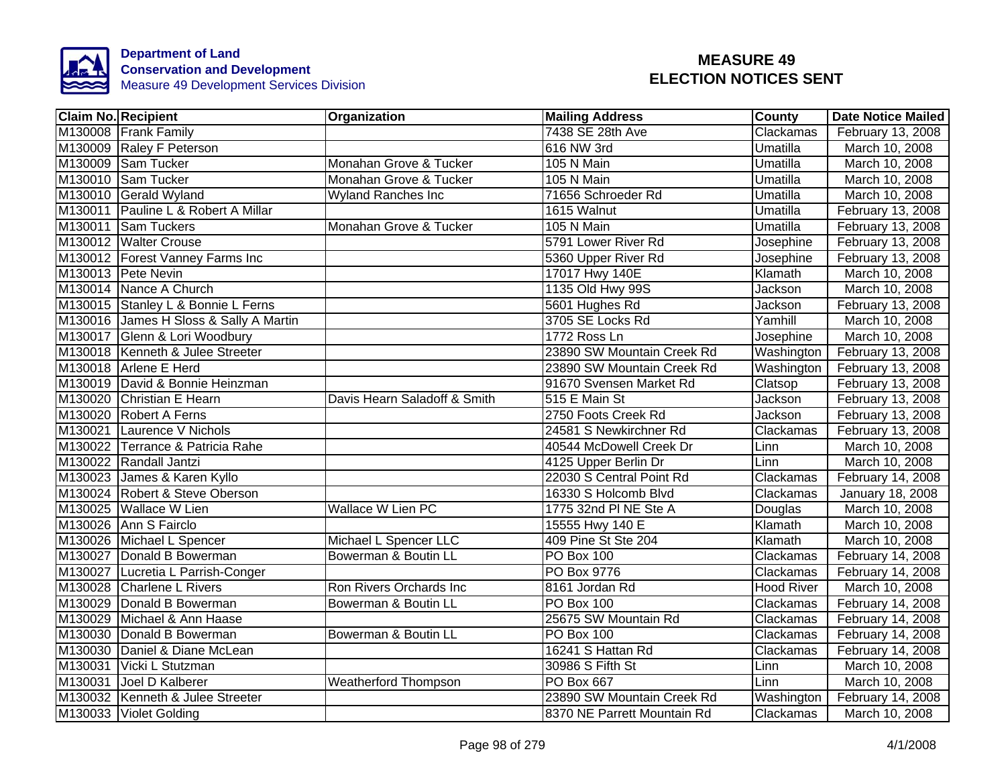

| <b>Claim No. Recipient</b>             | <b>Organization</b>          | <b>Mailing Address</b>      | <b>County</b>     | <b>Date Notice Mailed</b> |
|----------------------------------------|------------------------------|-----------------------------|-------------------|---------------------------|
| M130008 Frank Family                   |                              | 7438 SE 28th Ave            | Clackamas         | February 13, 2008         |
| M130009 Raley F Peterson               |                              | 616 NW 3rd                  | Umatilla          | March 10, 2008            |
| M130009 Sam Tucker                     | Monahan Grove & Tucker       | 105 N Main                  | Umatilla          | March 10, 2008            |
| M130010 Sam Tucker                     | Monahan Grove & Tucker       | 105 N Main                  | Umatilla          | March 10, 2008            |
| M130010 Gerald Wyland                  | <b>Wyland Ranches Inc</b>    | 71656 Schroeder Rd          | Umatilla          | March 10, 2008            |
| M130011 Pauline L & Robert A Millar    |                              | 1615 Walnut                 | Umatilla          | February 13, 2008         |
| M130011 Sam Tuckers                    | Monahan Grove & Tucker       | 105 N Main                  | Umatilla          | February 13, 2008         |
| M130012 Walter Crouse                  |                              | 5791 Lower River Rd         | Josephine         | February 13, 2008         |
| M130012 Forest Vanney Farms Inc        |                              | 5360 Upper River Rd         | Josephine         | February 13, 2008         |
| M130013 Pete Nevin                     |                              | 17017 Hwy 140E              | Klamath           | March 10, 2008            |
| M130014 Nance A Church                 |                              | 1135 Old Hwy 99S            | Jackson           | March 10, 2008            |
| M130015 Stanley L & Bonnie L Ferns     |                              | 5601 Hughes Rd              | Jackson           | February 13, 2008         |
| M130016 James H Sloss & Sally A Martin |                              | 3705 SE Locks Rd            | Yamhill           | March 10, 2008            |
| M130017 Glenn & Lori Woodbury          |                              | 1772 Ross Ln                | Josephine         | March 10, 2008            |
| M130018 Kenneth & Julee Streeter       |                              | 23890 SW Mountain Creek Rd  | Washington        | February 13, 2008         |
| M130018 Arlene E Herd                  |                              | 23890 SW Mountain Creek Rd  | Washington        | February 13, 2008         |
| M130019 David & Bonnie Heinzman        |                              | 91670 Svensen Market Rd     | Clatsop           | February 13, 2008         |
| M130020 Christian E Hearn              | Davis Hearn Saladoff & Smith | 515 E Main St               | Jackson           | February 13, 2008         |
| M130020 Robert A Ferns                 |                              | 2750 Foots Creek Rd         | Jackson           | February 13, 2008         |
| M130021 Laurence V Nichols             |                              | 24581 S Newkirchner Rd      | Clackamas         | February 13, 2008         |
| M130022 Terrance & Patricia Rahe       |                              | 40544 McDowell Creek Dr     | Linn              | March 10, 2008            |
| M130022 Randall Jantzi                 |                              | 4125 Upper Berlin Dr        | Linn              | March 10, 2008            |
| M130023 James & Karen Kyllo            |                              | 22030 S Central Point Rd    | <b>Clackamas</b>  | February 14, 2008         |
| M130024 Robert & Steve Oberson         |                              | 16330 S Holcomb Blvd        | Clackamas         | January 18, 2008          |
| M130025 Wallace W Lien                 | <b>Wallace W Lien PC</b>     | 1775 32nd PI NE Ste A       | Douglas           | March 10, 2008            |
| M130026 Ann S Fairclo                  |                              | 15555 Hwy 140 E             | Klamath           | March 10, 2008            |
| M130026 Michael L Spencer              | Michael L Spencer LLC        | 409 Pine St Ste 204         | Klamath           | March 10, 2008            |
| M130027 Donald B Bowerman              | Bowerman & Boutin LL         | <b>PO Box 100</b>           | Clackamas         | February 14, 2008         |
| M130027 Lucretia L Parrish-Conger      |                              | PO Box 9776                 | Clackamas         | February 14, 2008         |
| M130028 Charlene L Rivers              | Ron Rivers Orchards Inc      | 8161 Jordan Rd              | <b>Hood River</b> | March 10, 2008            |
| M130029 Donald B Bowerman              | Bowerman & Boutin LL         | <b>PO Box 100</b>           | Clackamas         | February 14, 2008         |
| M130029 Michael & Ann Haase            |                              | 25675 SW Mountain Rd        | Clackamas         | February 14, 2008         |
| M130030 Donald B Bowerman              | Bowerman & Boutin LL         | <b>PO Box 100</b>           | Clackamas         | February 14, 2008         |
| M130030 Daniel & Diane McLean          |                              | 16241 S Hattan Rd           | Clackamas         | February 14, 2008         |
| M130031 Vicki L Stutzman               |                              | 30986 S Fifth St            | Linn              | March 10, 2008            |
| M130031 Joel D Kalberer                | <b>Weatherford Thompson</b>  | PO Box 667                  | Linn              | March 10, 2008            |
| M130032 Kenneth & Julee Streeter       |                              | 23890 SW Mountain Creek Rd  | Washington        | February 14, 2008         |
| M130033 Violet Golding                 |                              | 8370 NE Parrett Mountain Rd | Clackamas         | March 10, 2008            |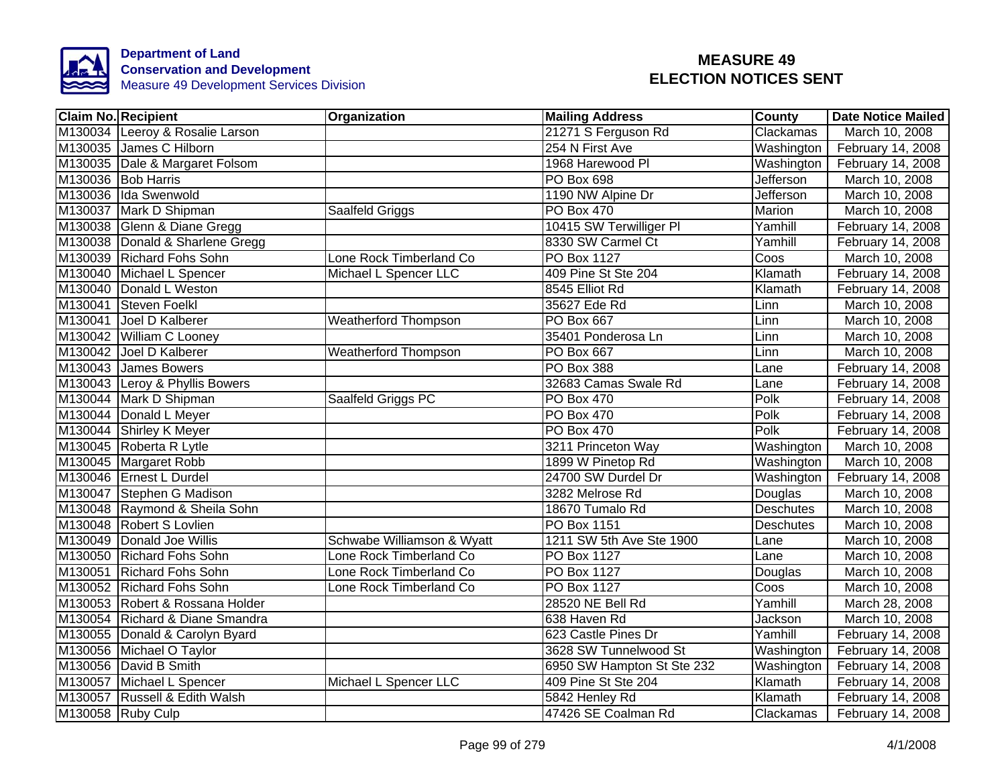

| <b>Claim No. Recipient</b>      | Organization                | <b>Mailing Address</b>     | <b>County</b>    | <b>Date Notice Mailed</b> |
|---------------------------------|-----------------------------|----------------------------|------------------|---------------------------|
| M130034 Leeroy & Rosalie Larson |                             | 21271 S Ferguson Rd        | Clackamas        | March 10, 2008            |
| M130035 James C Hilborn         |                             | 254 N First Ave            | Washington       | February 14, 2008         |
| M130035 Dale & Margaret Folsom  |                             | 1968 Harewood Pl           | Washington       | February 14, 2008         |
| M130036 Bob Harris              |                             | PO Box 698                 | <b>Jefferson</b> | March 10, 2008            |
| M130036 Ida Swenwold            |                             | 1190 NW Alpine Dr          | Jefferson        | March 10, 2008            |
| M130037 Mark D Shipman          | Saalfeld Griggs             | PO Box 470                 | Marion           | March 10, 2008            |
| M130038 Glenn & Diane Gregg     |                             | 10415 SW Terwilliger PI    | Yamhill          | February 14, 2008         |
| M130038 Donald & Sharlene Gregg |                             | 8330 SW Carmel Ct          | Yamhill          | February 14, 2008         |
| M130039 Richard Fohs Sohn       | Lone Rock Timberland Co     | <b>PO Box 1127</b>         | Coos             | March 10, 2008            |
| M130040 Michael L Spencer       | Michael L Spencer LLC       | 409 Pine St Ste 204        | Klamath          | February 14, 2008         |
| M130040 Donald L Weston         |                             | 8545 Elliot Rd             | Klamath          | February 14, 2008         |
| M130041 Steven Foelkl           |                             | 35627 Ede Rd               | Linn             | March 10, 2008            |
| M130041 Joel D Kalberer         | <b>Weatherford Thompson</b> | PO Box 667                 | Linn             | March 10, 2008            |
| M130042 William C Looney        |                             | 35401 Ponderosa Ln         | Linn             | March 10, 2008            |
| M130042 Joel D Kalberer         | <b>Weatherford Thompson</b> | <b>PO Box 667</b>          | Linn             | March 10, 2008            |
| M130043 James Bowers            |                             | PO Box 388                 | Lane             | February 14, 2008         |
| M130043 Leroy & Phyllis Bowers  |                             | 32683 Camas Swale Rd       | Lane             | February 14, 2008         |
| M130044 Mark D Shipman          | Saalfeld Griggs PC          | <b>PO Box 470</b>          | Polk             | February 14, 2008         |
| M130044 Donald L Meyer          |                             | <b>PO Box 470</b>          | Polk             | February 14, 2008         |
| M130044 Shirley K Meyer         |                             | <b>PO Box 470</b>          | Polk             | February 14, 2008         |
| M130045 Roberta R Lytle         |                             | 3211 Princeton Way         | Washington       | March 10, 2008            |
| M130045 Margaret Robb           |                             | 1899 W Pinetop Rd          | Washington       | March 10, 2008            |
| M130046 Ernest L Durdel         |                             | 24700 SW Durdel Dr         | Washington       | February 14, 2008         |
| M130047 Stephen G Madison       |                             | 3282 Melrose Rd            | Douglas          | March 10, 2008            |
| M130048 Raymond & Sheila Sohn   |                             | 18670 Tumalo Rd            | <b>Deschutes</b> | March 10, 2008            |
| M130048 Robert S Lovlien        |                             | PO Box 1151                | <b>Deschutes</b> | March 10, 2008            |
| M130049 Donald Joe Willis       | Schwabe Williamson & Wyatt  | 1211 SW 5th Ave Ste 1900   | Lane             | March 10, 2008            |
| M130050 Richard Fohs Sohn       | Lone Rock Timberland Co     | PO Box 1127                | Lane             | March 10, 2008            |
| M130051 Richard Fohs Sohn       | Lone Rock Timberland Co     | PO Box 1127                | Douglas          | March 10, 2008            |
| M130052 Richard Fohs Sohn       | Lone Rock Timberland Co     | PO Box 1127                | Coos             | March 10, 2008            |
| M130053 Robert & Rossana Holder |                             | 28520 NE Bell Rd           | Yamhill          | March 28, 2008            |
| M130054 Richard & Diane Smandra |                             | 638 Haven Rd               | Jackson          | March 10, 2008            |
| M130055 Donald & Carolyn Byard  |                             | 623 Castle Pines Dr        | Yamhill          | February 14, 2008         |
| M130056 Michael O Taylor        |                             | 3628 SW Tunnelwood St      | Washington       | February 14, 2008         |
| M130056 David B Smith           |                             | 6950 SW Hampton St Ste 232 | Washington       | February 14, 2008         |
| M130057 Michael L Spencer       | Michael L Spencer LLC       | 409 Pine St Ste 204        | Klamath          | February 14, 2008         |
| M130057 Russell & Edith Walsh   |                             | 5842 Henley Rd             | Klamath          | February 14, 2008         |
| M130058 Ruby Culp               |                             | 47426 SE Coalman Rd        | Clackamas        | February 14, 2008         |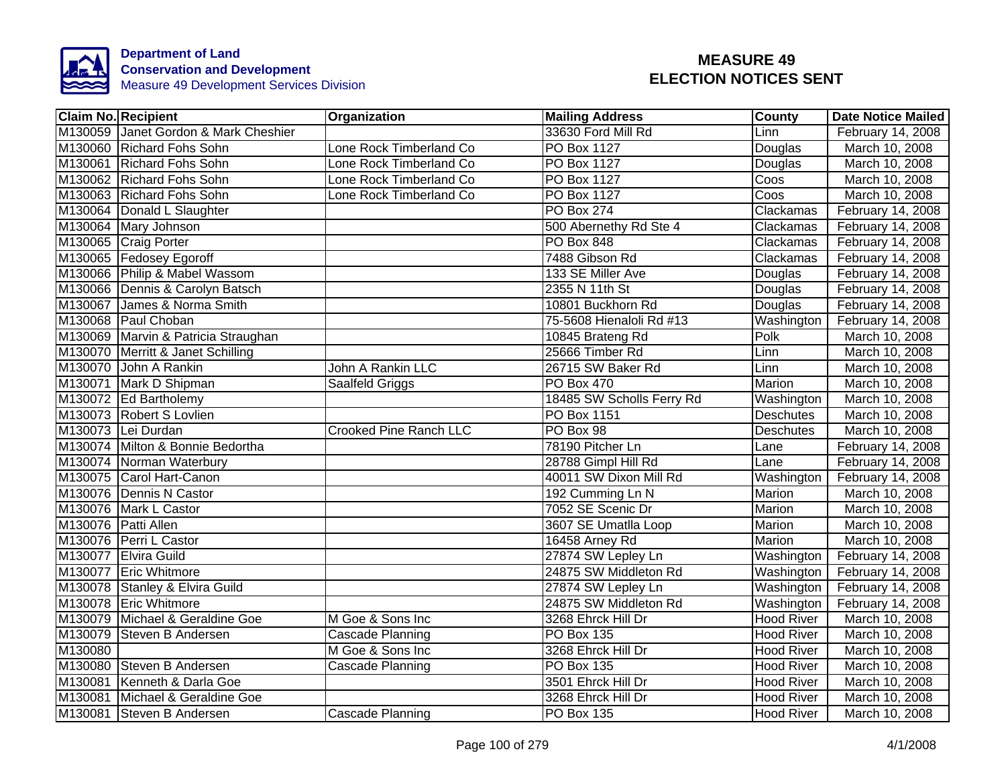

|         | <b>Claim No. Recipient</b>           | Organization                  | <b>Mailing Address</b>    | County            | <b>Date Notice Mailed</b> |
|---------|--------------------------------------|-------------------------------|---------------------------|-------------------|---------------------------|
|         | M130059 Janet Gordon & Mark Cheshier |                               | 33630 Ford Mill Rd        | Linn              | February 14, 2008         |
|         | M130060 Richard Fohs Sohn            | Lone Rock Timberland Co       | <b>PO Box 1127</b>        | Douglas           | March 10, 2008            |
|         | M130061 Richard Fohs Sohn            | Lone Rock Timberland Co       | <b>PO Box 1127</b>        | Douglas           | March 10, 2008            |
|         | M130062 Richard Fohs Sohn            | Lone Rock Timberland Co       | PO Box 1127               | Coos              | March 10, 2008            |
|         | M130063 Richard Fohs Sohn            | Lone Rock Timberland Co       | PO Box 1127               | Coos              | March 10, 2008            |
|         | M130064 Donald L Slaughter           |                               | PO Box 274                | Clackamas         | February 14, 2008         |
|         | M130064 Mary Johnson                 |                               | 500 Abernethy Rd Ste 4    | Clackamas         | February 14, 2008         |
|         | M130065 Craig Porter                 |                               | PO Box 848                | Clackamas         | February 14, 2008         |
|         | M130065 Fedosey Egoroff              |                               | 7488 Gibson Rd            | Clackamas         | February 14, 2008         |
|         | M130066 Philip & Mabel Wassom        |                               | 133 SE Miller Ave         | Douglas           | February 14, 2008         |
|         | M130066 Dennis & Carolyn Batsch      |                               | 2355 N 11th St            | Douglas           | February 14, 2008         |
|         | M130067 James & Norma Smith          |                               | 10801 Buckhorn Rd         | Douglas           | February 14, 2008         |
|         | M130068 Paul Choban                  |                               | 75-5608 Hienaloli Rd #13  | Washington        | February 14, 2008         |
|         | M130069 Marvin & Patricia Straughan  |                               | 10845 Brateng Rd          | Polk              | March 10, 2008            |
|         | M130070 Merritt & Janet Schilling    |                               | 25666 Timber Rd           | Linn              | March 10, 2008            |
|         | M130070 John A Rankin                | <b>John A Rankin LLC</b>      | 26715 SW Baker Rd         | Linn              | March 10, 2008            |
|         | M130071 Mark D Shipman               | Saalfeld Griggs               | <b>PO Box 470</b>         | Marion            | March 10, 2008            |
|         | M130072 Ed Bartholemy                |                               | 18485 SW Scholls Ferry Rd | Washington        | March 10, 2008            |
|         | M130073 Robert S Lovlien             |                               | <b>PO Box 1151</b>        | <b>Deschutes</b>  | March 10, 2008            |
|         | M130073 Lei Durdan                   | <b>Crooked Pine Ranch LLC</b> | PO Box 98                 | <b>Deschutes</b>  | March 10, 2008            |
|         | M130074 Milton & Bonnie Bedortha     |                               | 78190 Pitcher Ln          | Lane              | February 14, 2008         |
|         | M130074 Norman Waterbury             |                               | 28788 Gimpl Hill Rd       | Lane              | February 14, 2008         |
|         | M130075 Carol Hart-Canon             |                               | 40011 SW Dixon Mill Rd    | Washington        | February 14, 2008         |
|         | M130076 Dennis N Castor              |                               | 192 Cumming Ln N          | Marion            | March 10, 2008            |
|         | M130076 Mark L Castor                |                               | 7052 SE Scenic Dr         | Marion            | March 10, 2008            |
|         | M130076 Patti Allen                  |                               | 3607 SE Umatlla Loop      | Marion            | March 10, 2008            |
|         | M130076 Perri L Castor               |                               | 16458 Arney Rd            | Marion            | March 10, 2008            |
|         | M130077 Elvira Guild                 |                               | 27874 SW Lepley Ln        | Washington        | February 14, 2008         |
|         | M130077 Eric Whitmore                |                               | 24875 SW Middleton Rd     | Washington        | February 14, 2008         |
|         | M130078 Stanley & Elvira Guild       |                               | 27874 SW Lepley Ln        | Washington        | February 14, 2008         |
|         | M130078 Eric Whitmore                |                               | 24875 SW Middleton Rd     | Washington        | February 14, 2008         |
|         | M130079 Michael & Geraldine Goe      | M Goe & Sons Inc              | 3268 Ehrck Hill Dr        | <b>Hood River</b> | March 10, 2008            |
|         | M130079 Steven B Andersen            | Cascade Planning              | PO Box 135                | <b>Hood River</b> | March 10, 2008            |
| M130080 |                                      | M Goe & Sons Inc              | 3268 Ehrck Hill Dr        | <b>Hood River</b> | March 10, 2008            |
|         | M130080 Steven B Andersen            | Cascade Planning              | <b>PO Box 135</b>         | <b>Hood River</b> | March 10, 2008            |
|         | M130081 Kenneth & Darla Goe          |                               | 3501 Ehrck Hill Dr        | <b>Hood River</b> | March 10, 2008            |
|         | M130081 Michael & Geraldine Goe      |                               | 3268 Ehrck Hill Dr        | <b>Hood River</b> | March 10, 2008            |
|         | M130081 Steven B Andersen            | Cascade Planning              | PO Box 135                | <b>Hood River</b> | March 10, 2008            |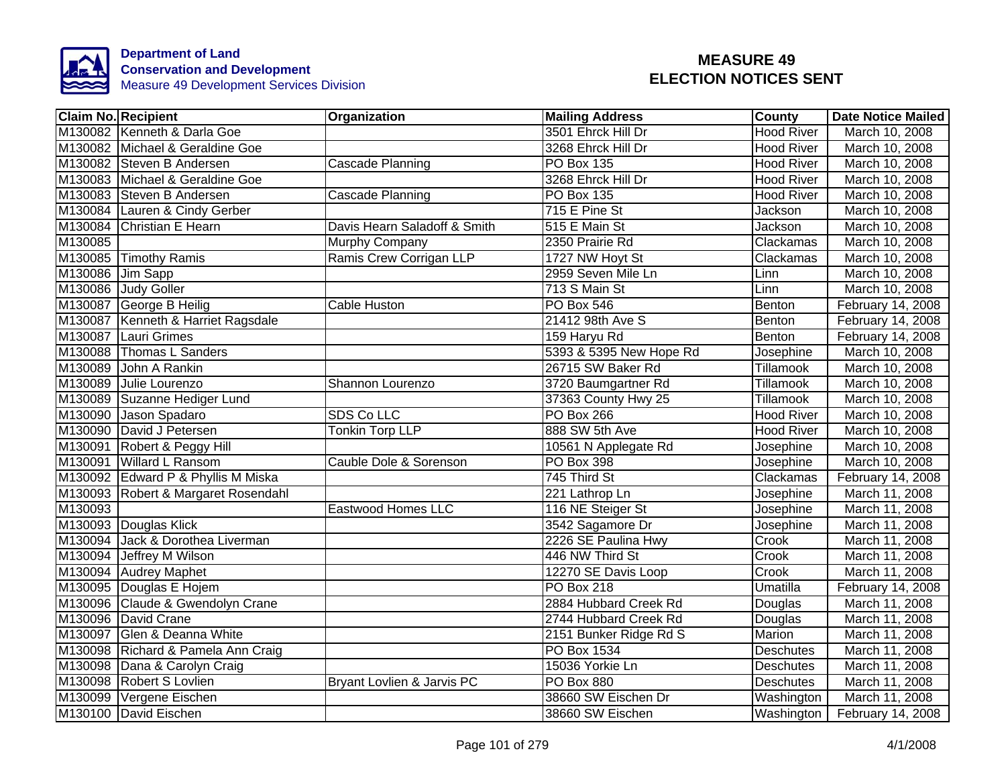

|                  | <b>Claim No. Recipient</b>          | Organization                 | <b>Mailing Address</b>  | <b>County</b>     | <b>Date Notice Mailed</b> |
|------------------|-------------------------------------|------------------------------|-------------------------|-------------------|---------------------------|
|                  | M130082 Kenneth & Darla Goe         |                              | 3501 Ehrck Hill Dr      | <b>Hood River</b> | March 10, 2008            |
|                  | M130082 Michael & Geraldine Goe     |                              | 3268 Ehrck Hill Dr      | <b>Hood River</b> | March 10, 2008            |
|                  | M130082 Steven B Andersen           | Cascade Planning             | <b>PO Box 135</b>       | <b>Hood River</b> | March 10, 2008            |
|                  | M130083 Michael & Geraldine Goe     |                              | 3268 Ehrck Hill Dr      | <b>Hood River</b> | March 10, 2008            |
|                  | M130083 Steven B Andersen           | Cascade Planning             | PO Box 135              | <b>Hood River</b> | March 10, 2008            |
|                  | M130084 Lauren & Cindy Gerber       |                              | 715 E Pine St           | Jackson           | March 10, 2008            |
| M130084          | Christian E Hearn                   | Davis Hearn Saladoff & Smith | 515 E Main St           | Jackson           | March 10, 2008            |
| M130085          |                                     | Murphy Company               | 2350 Prairie Rd         | Clackamas         | March 10, 2008            |
|                  | M130085 Timothy Ramis               | Ramis Crew Corrigan LLP      | 1727 NW Hoyt St         | Clackamas         | March 10, 2008            |
| M130086 Jim Sapp |                                     |                              | 2959 Seven Mile Ln      | Linn              | March 10, 2008            |
|                  | M130086 Judy Goller                 |                              | 713 S Main St           | Linn              | March 10, 2008            |
|                  | M130087 George B Heilig             | Cable Huston                 | PO Box 546              | Benton            | February 14, 2008         |
|                  | M130087 Kenneth & Harriet Ragsdale  |                              | 21412 98th Ave S        | Benton            | February 14, 2008         |
|                  | M130087 Lauri Grimes                |                              | 159 Haryu Rd            | Benton            | February 14, 2008         |
|                  | M130088 Thomas L Sanders            |                              | 5393 & 5395 New Hope Rd | <b>Josephine</b>  | March 10, 2008            |
| M130089          | John A Rankin                       |                              | 26715 SW Baker Rd       | Tillamook         | March 10, 2008            |
|                  | M130089 Julie Lourenzo              | Shannon Lourenzo             | 3720 Baumgartner Rd     | Tillamook         | March 10, 2008            |
|                  | M130089 Suzanne Hediger Lund        |                              | 37363 County Hwy 25     | Tillamook         | March 10, 2008            |
| M130090          | Jason Spadaro                       | <b>SDS Co LLC</b>            | PO Box 266              | <b>Hood River</b> | March 10, 2008            |
|                  | M130090 David J Petersen            | Tonkin Torp LLP              | 888 SW 5th Ave          | <b>Hood River</b> | March 10, 2008            |
|                  | M130091 Robert & Peggy Hill         |                              | 10561 N Applegate Rd    | Josephine         | March 10, 2008            |
|                  | M130091 Willard L Ransom            | Cauble Dole & Sorenson       | <b>PO Box 398</b>       | Josephine         | March 10, 2008            |
|                  | M130092 Edward P & Phyllis M Miska  |                              | 745 Third St            | Clackamas         | February 14, 2008         |
|                  | M130093 Robert & Margaret Rosendahl |                              | 221 Lathrop Ln          | Josephine         | March 11, 2008            |
| M130093          |                                     | Eastwood Homes LLC           | 116 NE Steiger St       | Josephine         | March 11, 2008            |
|                  | M130093 Douglas Klick               |                              | 3542 Sagamore Dr        | Josephine         | March 11, 2008            |
|                  | M130094 Jack & Dorothea Liverman    |                              | 2226 SE Paulina Hwy     | Crook             | March 11, 2008            |
|                  | M130094 Jeffrey M Wilson            |                              | 446 NW Third St         | Crook             | March 11, 2008            |
|                  | M130094 Audrey Maphet               |                              | 12270 SE Davis Loop     | Crook             | March 11, 2008            |
|                  | M130095 Douglas E Hojem             |                              | <b>PO Box 218</b>       | Umatilla          | February 14, 2008         |
|                  | M130096 Claude & Gwendolyn Crane    |                              | 2884 Hubbard Creek Rd   | Douglas           | March 11, 2008            |
|                  | M130096 David Crane                 |                              | 2744 Hubbard Creek Rd   | Douglas           | March 11, 2008            |
|                  | M130097 Glen & Deanna White         |                              | 2151 Bunker Ridge Rd S  | Marion            | March 11, 2008            |
|                  | M130098 Richard & Pamela Ann Craig  |                              | PO Box 1534             | <b>Deschutes</b>  | March 11, 2008            |
|                  | M130098 Dana & Carolyn Craig        |                              | 15036 Yorkie Ln         | Deschutes         | March 11, 2008            |
|                  | M130098 Robert S Lovlien            | Bryant Lovlien & Jarvis PC   | PO Box 880              | Deschutes         | March 11, 2008            |
|                  | M130099 Vergene Eischen             |                              | 38660 SW Eischen Dr     | Washington        | March 11, 2008            |
|                  | M130100 David Eischen               |                              | 38660 SW Eischen        | Washington        | February 14, 2008         |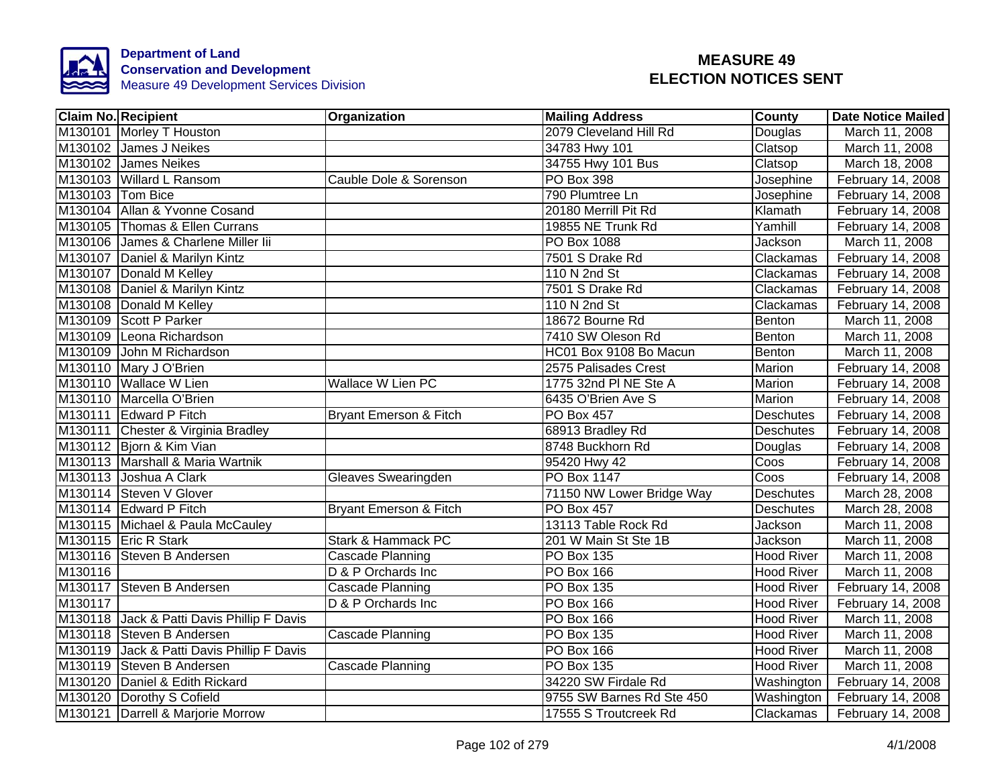

| <b>Claim No. Recipient</b>                 | Organization                      | <b>Mailing Address</b>    | County            | <b>Date Notice Mailed</b> |
|--------------------------------------------|-----------------------------------|---------------------------|-------------------|---------------------------|
| M130101 Morley T Houston                   |                                   | 2079 Cleveland Hill Rd    | Douglas           | March 11, 2008            |
| M130102 James J Neikes                     |                                   | 34783 Hwy 101             | Clatsop           | March 11, 2008            |
| M130102 James Neikes                       |                                   | 34755 Hwy 101 Bus         | Clatsop           | March 18, 2008            |
| M130103 Willard L Ransom                   | Cauble Dole & Sorenson            | PO Box 398                | Josephine         | February 14, 2008         |
| M130103 Tom Bice                           |                                   | 790 Plumtree Ln           | Josephine         | February 14, 2008         |
| M130104 Allan & Yvonne Cosand              |                                   | 20180 Merrill Pit Rd      | Klamath           | February 14, 2008         |
| M130105 Thomas & Ellen Currans             |                                   | 19855 NE Trunk Rd         | Yamhill           | February 14, 2008         |
| M130106 James & Charlene Miller lii        |                                   | PO Box 1088               | Jackson           | March 11, 2008            |
| M130107 Daniel & Marilyn Kintz             |                                   | 7501 S Drake Rd           | Clackamas         | February 14, 2008         |
| M130107 Donald M Kelley                    |                                   | 110 N 2nd St              | Clackamas         | February 14, 2008         |
| M130108 Daniel & Marilyn Kintz             |                                   | 7501 S Drake Rd           | Clackamas         | February 14, 2008         |
| M130108 Donald M Kelley                    |                                   | 110 N 2nd St              | Clackamas         | February 14, 2008         |
| M130109 Scott P Parker                     |                                   | 18672 Bourne Rd           | Benton            | March 11, 2008            |
| M130109 Leona Richardson                   |                                   | 7410 SW Oleson Rd         | Benton            | March 11, 2008            |
| M130109 John M Richardson                  |                                   | HC01 Box 9108 Bo Macun    | Benton            | March 11, 2008            |
| M130110 Mary J O'Brien                     |                                   | 2575 Palisades Crest      | Marion            | February 14, 2008         |
| M130110 Wallace W Lien                     | <b>Wallace W Lien PC</b>          | 1775 32nd PI NE Ste A     | Marion            | February 14, 2008         |
| M130110 Marcella O'Brien                   |                                   | 6435 O'Brien Ave S        | <b>Marion</b>     | February 14, 2008         |
| M130111 Edward P Fitch                     | <b>Bryant Emerson &amp; Fitch</b> | <b>PO Box 457</b>         | <b>Deschutes</b>  | February 14, 2008         |
| M130111 Chester & Virginia Bradley         |                                   | 68913 Bradley Rd          | Deschutes         | February 14, 2008         |
| M130112 Bjorn & Kim Vian                   |                                   | 8748 Buckhorn Rd          | Douglas           | February 14, 2008         |
| M130113 Marshall & Maria Wartnik           |                                   | 95420 Hwy 42              | Coos              | February 14, 2008         |
| M130113 Joshua A Clark                     | Gleaves Swearingden               | <b>PO Box 1147</b>        | Coos              | February 14, 2008         |
| M130114 Steven V Glover                    |                                   | 71150 NW Lower Bridge Way | <b>Deschutes</b>  | March 28, 2008            |
| M130114 Edward P Fitch                     | <b>Bryant Emerson &amp; Fitch</b> | <b>PO Box 457</b>         | <b>Deschutes</b>  | March 28, 2008            |
| M130115 Michael & Paula McCauley           |                                   | 13113 Table Rock Rd       | Jackson           | March 11, 2008            |
| M130115 Eric R Stark                       | <b>Stark &amp; Hammack PC</b>     | 201 W Main St Ste 1B      | Jackson           | March 11, 2008            |
| M130116 Steven B Andersen                  | Cascade Planning                  | <b>PO Box 135</b>         | Hood River        | March 11, 2008            |
| M130116                                    | D & P Orchards Inc                | PO Box 166                | <b>Hood River</b> | March 11, 2008            |
| M130117 Steven B Andersen                  | Cascade Planning                  | PO Box 135                | <b>Hood River</b> | February 14, 2008         |
| M130117                                    | D & P Orchards Inc                | PO Box 166                | <b>Hood River</b> | February 14, 2008         |
| M130118 Jack & Patti Davis Phillip F Davis |                                   | PO Box 166                | <b>Hood River</b> | March 11, 2008            |
| M130118 Steven B Andersen                  | Cascade Planning                  | PO Box 135                | <b>Hood River</b> | March 11, 2008            |
| M130119 Jack & Patti Davis Phillip F Davis |                                   | PO Box 166                | <b>Hood River</b> | March 11, 2008            |
| M130119 Steven B Andersen                  | Cascade Planning                  | PO Box 135                | <b>Hood River</b> | March 11, 2008            |
| M130120 Daniel & Edith Rickard             |                                   | 34220 SW Firdale Rd       | Washington        | February 14, 2008         |
| M130120 Dorothy S Cofield                  |                                   | 9755 SW Barnes Rd Ste 450 | Washington        | February 14, 2008         |
| M130121 Darrell & Marjorie Morrow          |                                   | 17555 S Troutcreek Rd     | Clackamas         | February 14, 2008         |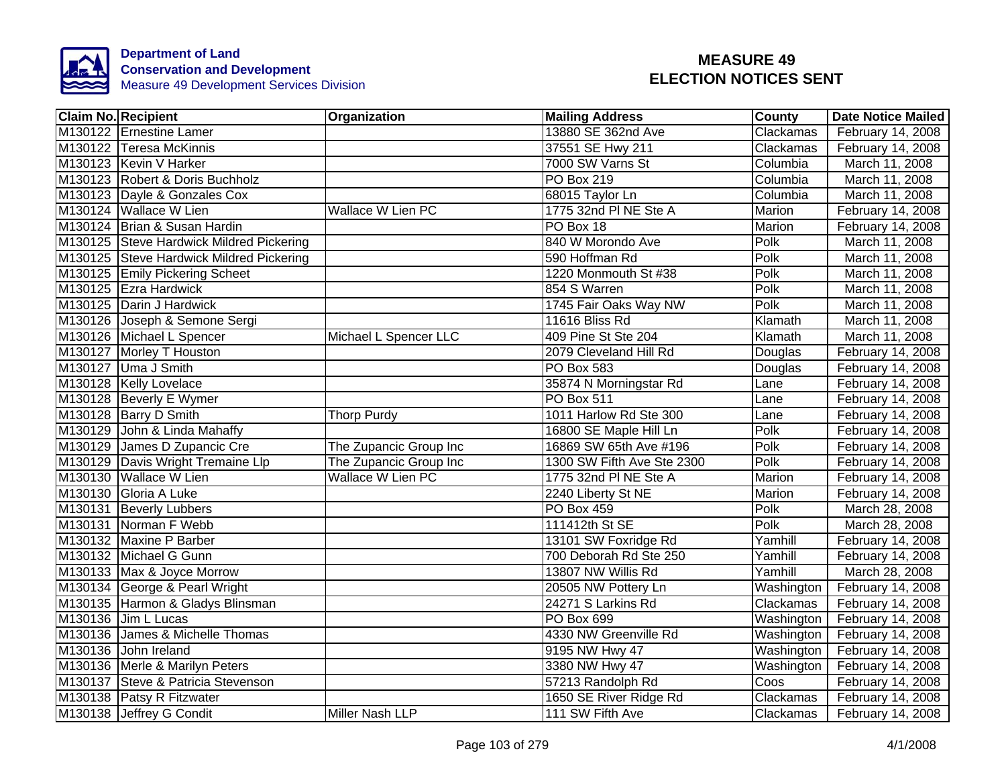

| <b>Claim No. Recipient</b>               | Organization           | <b>Mailing Address</b>     | County     | <b>Date Notice Mailed</b> |
|------------------------------------------|------------------------|----------------------------|------------|---------------------------|
| M130122 Ernestine Lamer                  |                        | 13880 SE 362nd Ave         | Clackamas  | February 14, 2008         |
| M130122 Teresa McKinnis                  |                        | 37551 SE Hwy 211           | Clackamas  | February 14, 2008         |
| M130123 Kevin V Harker                   |                        | 7000 SW Varns St           | Columbia   | March 11, 2008            |
| M130123 Robert & Doris Buchholz          |                        | PO Box 219                 | Columbia   | March 11, 2008            |
| M130123 Dayle & Gonzales Cox             |                        | 68015 Taylor Ln            | Columbia   | March 11, 2008            |
| M130124 Wallace W Lien                   | Wallace W Lien PC      | 1775 32nd PI NE Ste A      | Marion     | February 14, 2008         |
| M130124 Brian & Susan Hardin             |                        | PO Box 18                  | Marion     | February 14, 2008         |
| M130125 Steve Hardwick Mildred Pickering |                        | 840 W Morondo Ave          | Polk       | March 11, 2008            |
| M130125 Steve Hardwick Mildred Pickering |                        | 590 Hoffman Rd             | Polk       | March 11, 2008            |
| M130125 Emily Pickering Scheet           |                        | 1220 Monmouth St #38       | Polk       | March 11, 2008            |
| M130125 Ezra Hardwick                    |                        | 854 S Warren               | Polk       | March 11, 2008            |
| M130125 Darin J Hardwick                 |                        | 1745 Fair Oaks Way NW      | Polk       | March 11, 2008            |
| M130126 Joseph & Semone Sergi            |                        | 11616 Bliss Rd             | Klamath    | March 11, 2008            |
| M130126 Michael L Spencer                | Michael L Spencer LLC  | 409 Pine St Ste 204        | Klamath    | March 11, 2008            |
| M130127 Morley T Houston                 |                        | 2079 Cleveland Hill Rd     | Douglas    | February 14, 2008         |
| M130127 Uma J Smith                      |                        | <b>PO Box 583</b>          | Douglas    | February 14, 2008         |
| M130128 Kelly Lovelace                   |                        | 35874 N Morningstar Rd     | Lane       | February 14, 2008         |
| M130128 Beverly E Wymer                  |                        | <b>PO Box 511</b>          | Lane       | February 14, 2008         |
| M130128 Barry D Smith                    | <b>Thorp Purdy</b>     | 1011 Harlow Rd Ste 300     | Lane       | February 14, 2008         |
| M130129 John & Linda Mahaffy             |                        | 16800 SE Maple Hill Ln     | Polk       | February 14, 2008         |
| M130129 James D Zupancic Cre             | The Zupancic Group Inc | 16869 SW 65th Ave #196     | Polk       | February 14, 2008         |
| M130129 Davis Wright Tremaine Llp        | The Zupancic Group Inc | 1300 SW Fifth Ave Ste 2300 | Polk       | February 14, 2008         |
| M130130 Wallace W Lien                   | Wallace W Lien PC      | 1775 32nd PI NE Ste A      | Marion     | February 14, 2008         |
| M130130 Gloria A Luke                    |                        | 2240 Liberty St NE         | Marion     | February 14, 2008         |
| M130131 Beverly Lubbers                  |                        | <b>PO Box 459</b>          | Polk       | March 28, 2008            |
| M130131 Norman F Webb                    |                        | 111412th St SE             | Polk       | March 28, 2008            |
| M130132 Maxine P Barber                  |                        | 13101 SW Foxridge Rd       | Yamhill    | February 14, 2008         |
| M130132 Michael G Gunn                   |                        | 700 Deborah Rd Ste 250     | Yamhill    | February 14, 2008         |
| M130133 Max & Joyce Morrow               |                        | 13807 NW Willis Rd         | Yamhill    | March 28, 2008            |
| M130134 George & Pearl Wright            |                        | 20505 NW Pottery Ln        | Washington | February 14, 2008         |
| M130135 Harmon & Gladys Blinsman         |                        | 24271 S Larkins Rd         | Clackamas  | February 14, 2008         |
| M130136 Jim L Lucas                      |                        | PO Box 699                 | Washington | February 14, 2008         |
| M130136 James & Michelle Thomas          |                        | 4330 NW Greenville Rd      | Washington | February 14, 2008         |
| M130136 John Ireland                     |                        | 9195 NW Hwy 47             | Washington | February 14, 2008         |
| M130136 Merle & Marilyn Peters           |                        | 3380 NW Hwy 47             | Washington | February 14, 2008         |
| M130137 Steve & Patricia Stevenson       |                        | 57213 Randolph Rd          | Coos       | February 14, 2008         |
| M130138 Patsy R Fitzwater                |                        | 1650 SE River Ridge Rd     | Clackamas  | February 14, 2008         |
| M130138 Jeffrey G Condit                 | Miller Nash LLP        | 111 SW Fifth Ave           | Clackamas  | February 14, 2008         |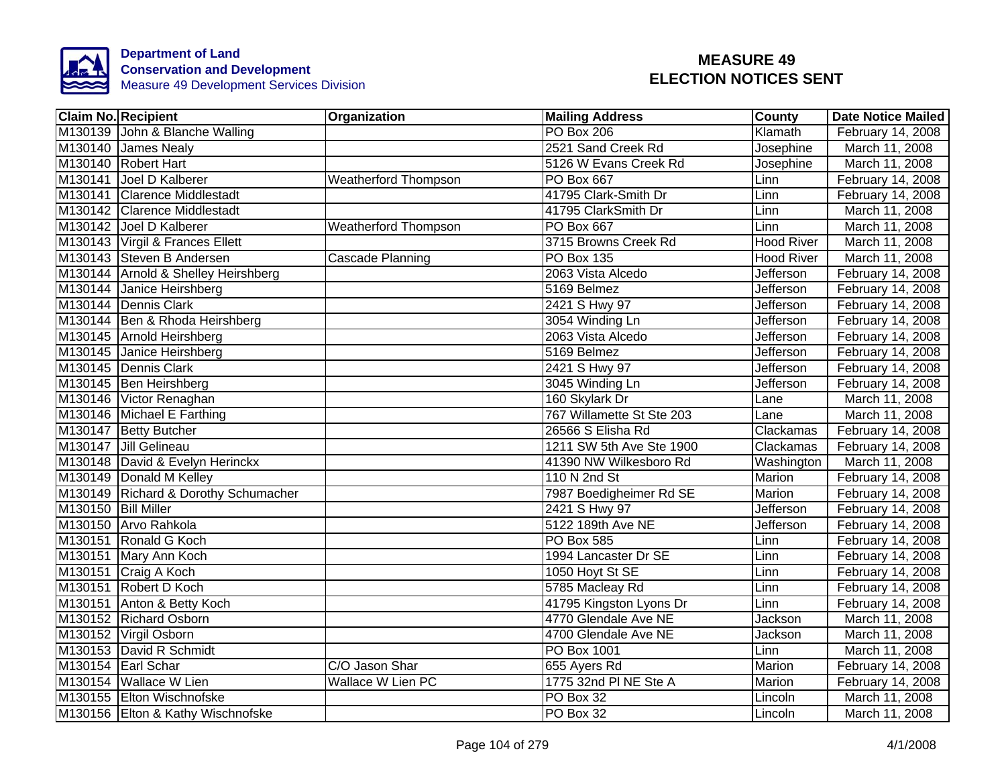

|                     | <b>Claim No. Recipient</b>           | Organization                | <b>Mailing Address</b>    | <b>County</b>     | <b>Date Notice Mailed</b> |
|---------------------|--------------------------------------|-----------------------------|---------------------------|-------------------|---------------------------|
|                     | M130139 John & Blanche Walling       |                             | <b>PO Box 206</b>         | Klamath           | February 14, 2008         |
|                     | M130140 James Nealy                  |                             | 2521 Sand Creek Rd        | Josephine         | March 11, 2008            |
|                     | M130140 Robert Hart                  |                             | 5126 W Evans Creek Rd     | Josephine         | March 11, 2008            |
|                     | M130141 Joel D Kalberer              | Weatherford Thompson        | PO Box 667                | Linn              | February 14, 2008         |
|                     | M130141 Clarence Middlestadt         |                             | 41795 Clark-Smith Dr      | Linn              | February 14, 2008         |
|                     | M130142 Clarence Middlestadt         |                             | 41795 ClarkSmith Dr       | Linn              | March 11, 2008            |
|                     | M130142 Joel D Kalberer              | <b>Weatherford Thompson</b> | PO Box 667                | Linn              | March 11, 2008            |
|                     | M130143 Virgil & Frances Ellett      |                             | 3715 Browns Creek Rd      | Hood River        | March 11, 2008            |
|                     | M130143 Steven B Andersen            | Cascade Planning            | PO Box 135                | <b>Hood River</b> | March 11, 2008            |
|                     | M130144 Arnold & Shelley Heirshberg  |                             | 2063 Vista Alcedo         | Jefferson         | February 14, 2008         |
|                     | M130144 Janice Heirshberg            |                             | 5169 Belmez               | Jefferson         | February 14, 2008         |
|                     | M130144 Dennis Clark                 |                             | 2421 S Hwy 97             | Jefferson         | February 14, 2008         |
|                     | M130144 Ben & Rhoda Heirshberg       |                             | 3054 Winding Ln           | Jefferson         | February 14, 2008         |
|                     | M130145 Arnold Heirshberg            |                             | 2063 Vista Alcedo         | <b>Jefferson</b>  | February 14, 2008         |
|                     | M130145 Janice Heirshberg            |                             | 5169 Belmez               | <b>Jefferson</b>  | February 14, 2008         |
|                     | M130145 Dennis Clark                 |                             | 2421 S Hwy 97             | Jefferson         | February 14, 2008         |
|                     | M130145 Ben Heirshberg               |                             | 3045 Winding Ln           | <b>Jefferson</b>  | February 14, 2008         |
|                     | M130146 Victor Renaghan              |                             | 160 Skylark Dr            | Lane              | March 11, 2008            |
|                     | M130146 Michael E Farthing           |                             | 767 Willamette St Ste 203 | Lane              | March 11, 2008            |
|                     | M130147 Betty Butcher                |                             | 26566 S Elisha Rd         | Clackamas         | February 14, 2008         |
|                     | M130147 Jill Gelineau                |                             | 1211 SW 5th Ave Ste 1900  | Clackamas         | February 14, 2008         |
|                     | M130148 David & Evelyn Herinckx      |                             | 41390 NW Wilkesboro Rd    | Washington        | March 11, 2008            |
|                     | M130149 Donald M Kelley              |                             | 110 N 2nd St              | Marion            | February 14, 2008         |
|                     | M130149 Richard & Dorothy Schumacher |                             | 7987 Boedigheimer Rd SE   | <b>Marion</b>     | February 14, 2008         |
| M130150 Bill Miller |                                      |                             | 2421 S Hwy 97             | Jefferson         | February 14, 2008         |
|                     | M130150 Arvo Rahkola                 |                             | 5122 189th Ave NE         | Jefferson         | February 14, 2008         |
|                     | M130151 Ronald G Koch                |                             | <b>PO Box 585</b>         | Linn              | February 14, 2008         |
|                     | M130151 Mary Ann Koch                |                             | 1994 Lancaster Dr SE      | Linn              | February 14, 2008         |
|                     | M130151 Craig A Koch                 |                             | 1050 Hoyt St SE           | Linn              | February 14, 2008         |
|                     | M130151 Robert D Koch                |                             | 5785 Macleay Rd           | Linn              | February 14, 2008         |
|                     | M130151 Anton & Betty Koch           |                             | 41795 Kingston Lyons Dr   | Linn              | February 14, 2008         |
|                     | M130152 Richard Osborn               |                             | 4770 Glendale Ave NE      | Jackson           | March 11, 2008            |
|                     | M130152 Virgil Osborn                |                             | 4700 Glendale Ave NE      | Jackson           | March 11, 2008            |
|                     | M130153 David R Schmidt              |                             | PO Box 1001               | Linn              | March 11, 2008            |
|                     | M130154 Earl Schar                   | C/O Jason Shar              | 655 Ayers Rd              | Marion            | February 14, 2008         |
|                     | M130154 Wallace W Lien               | Wallace W Lien PC           | 1775 32nd PI NE Ste A     | Marion            | February 14, 2008         |
|                     | M130155 Elton Wischnofske            |                             | PO Box 32                 | Lincoln           | March 11, 2008            |
|                     | M130156 Elton & Kathy Wischnofske    |                             | PO Box 32                 | Lincoln           | March 11, 2008            |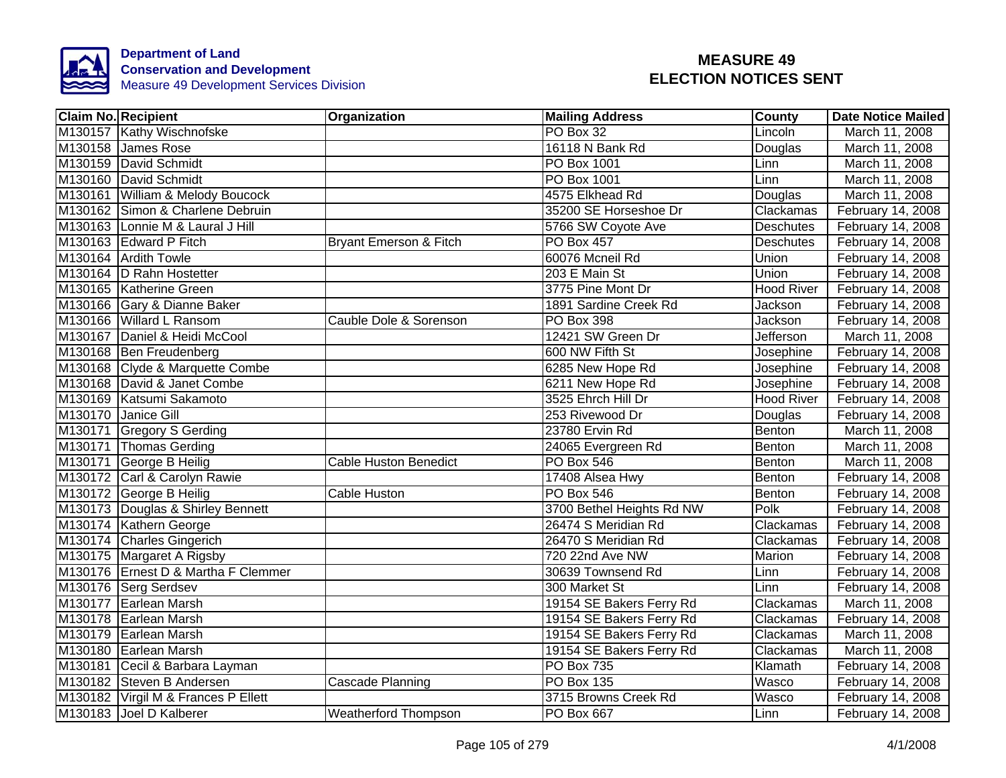

| <b>Claim No. Recipient</b>          | Organization                 | <b>Mailing Address</b>    | <b>County</b>     | <b>Date Notice Mailed</b> |
|-------------------------------------|------------------------------|---------------------------|-------------------|---------------------------|
| M130157 Kathy Wischnofske           |                              | PO Box 32                 | Lincoln           | March 11, 2008            |
| M130158 James Rose                  |                              | 16118 N Bank Rd           | Douglas           | March 11, 2008            |
| M130159 David Schmidt               |                              | <b>PO Box 1001</b>        | Linn              | March 11, 2008            |
| M130160 David Schmidt               |                              | PO Box 1001               | Linn              | March 11, 2008            |
| M130161 William & Melody Boucock    |                              | 4575 Elkhead Rd           | Douglas           | March 11, 2008            |
| M130162 Simon & Charlene Debruin    |                              | 35200 SE Horseshoe Dr     | Clackamas         | February 14, 2008         |
| M130163 Lonnie M & Laural J Hill    |                              | 5766 SW Coyote Ave        | Deschutes         | February 14, 2008         |
| M130163 Edward P Fitch              | Bryant Emerson & Fitch       | <b>PO Box 457</b>         | Deschutes         | February 14, 2008         |
| M130164 Ardith Towle                |                              | 60076 Mcneil Rd           | Union             | February 14, 2008         |
| M130164  D Rahn Hostetter           |                              | 203 E Main St             | Union             | February 14, 2008         |
| M130165 Katherine Green             |                              | 3775 Pine Mont Dr         | Hood River        | February 14, 2008         |
| M130166 Gary & Dianne Baker         |                              | 1891 Sardine Creek Rd     | Jackson           | February 14, 2008         |
| M130166 Willard L Ransom            | Cauble Dole & Sorenson       | PO Box 398                | Jackson           | February 14, 2008         |
| M130167 Daniel & Heidi McCool       |                              | 12421 SW Green Dr         | <b>Jefferson</b>  | March 11, 2008            |
| M130168 Ben Freudenberg             |                              | 600 NW Fifth St           | Josephine         | February 14, 2008         |
| M130168 Clyde & Marquette Combe     |                              | 6285 New Hope Rd          | Josephine         | February 14, 2008         |
| M130168 David & Janet Combe         |                              | 6211 New Hope Rd          | Josephine         | February 14, 2008         |
| M130169 Katsumi Sakamoto            |                              | 3525 Ehrch Hill Dr        | <b>Hood River</b> | February 14, 2008         |
| M130170 Janice Gill                 |                              | 253 Rivewood Dr           | Douglas           | February 14, 2008         |
| M130171 Gregory S Gerding           |                              | 23780 Ervin Rd            | Benton            | March 11, 2008            |
| M130171 Thomas Gerding              |                              | 24065 Evergreen Rd        | Benton            | March 11, 2008            |
| M130171 George B Heilig             | <b>Cable Huston Benedict</b> | <b>PO Box 546</b>         | Benton            | March 11, 2008            |
| M130172 Carl & Carolyn Rawie        |                              | 17408 Alsea Hwy           | Benton            | February 14, 2008         |
| M130172 George B Heilig             | <b>Cable Huston</b>          | <b>PO Box 546</b>         | Benton            | February 14, 2008         |
| M130173 Douglas & Shirley Bennett   |                              | 3700 Bethel Heights Rd NW | Polk              | February 14, 2008         |
| M130174 Kathern George              |                              | 26474 S Meridian Rd       | Clackamas         | February 14, 2008         |
| M130174 Charles Gingerich           |                              | 26470 S Meridian Rd       | Clackamas         | February 14, 2008         |
| M130175 Margaret A Rigsby           |                              | 720 22nd Ave NW           | Marion            | February 14, 2008         |
| M130176 Ernest D & Martha F Clemmer |                              | 30639 Townsend Rd         | Linn              | February 14, 2008         |
| M130176 Serg Serdsev                |                              | 300 Market St             | Linn              | February 14, 2008         |
| M130177 Earlean Marsh               |                              | 19154 SE Bakers Ferry Rd  | Clackamas         | March 11, 2008            |
| M130178 Earlean Marsh               |                              | 19154 SE Bakers Ferry Rd  | Clackamas         | February 14, 2008         |
| M130179 Earlean Marsh               |                              | 19154 SE Bakers Ferry Rd  | Clackamas         | March 11, 2008            |
| M130180 Earlean Marsh               |                              | 19154 SE Bakers Ferry Rd  | Clackamas         | March 11, 2008            |
| M130181 Cecil & Barbara Layman      |                              | PO Box 735                | Klamath           | February 14, 2008         |
| M130182 Steven B Andersen           | Cascade Planning             | PO Box 135                | <b>Wasco</b>      | February 14, 2008         |
| M130182 Virgil M & Frances P Ellett |                              | 3715 Browns Creek Rd      | Wasco             | February 14, 2008         |
| M130183 Joel D Kalberer             | <b>Weatherford Thompson</b>  | PO Box 667                | Linn              | February 14, 2008         |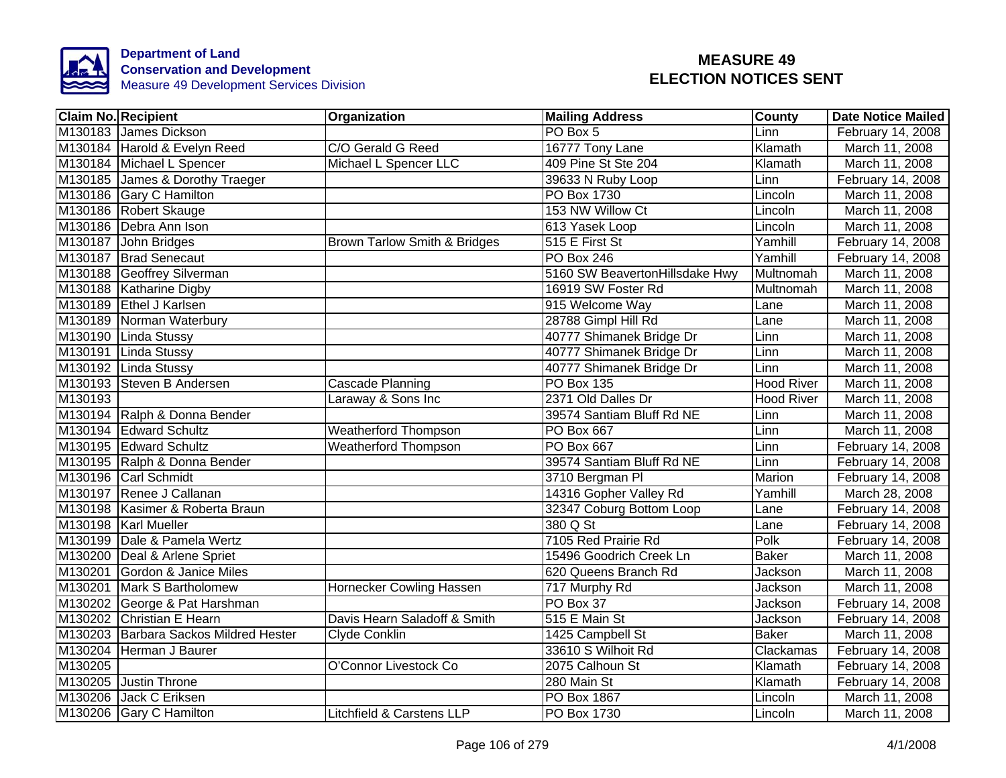

|         | <b>Claim No. Recipient</b>            | <b>Organization</b>          | <b>Mailing Address</b>         | County            | <b>Date Notice Mailed</b> |
|---------|---------------------------------------|------------------------------|--------------------------------|-------------------|---------------------------|
|         | M130183 James Dickson                 |                              | PO Box 5                       | Linn              | February 14, 2008         |
|         | M130184 Harold & Evelyn Reed          | C/O Gerald G Reed            | 16777 Tony Lane                | Klamath           | March 11, 2008            |
|         | M130184 Michael L Spencer             | Michael L Spencer LLC        | 409 Pine St Ste 204            | Klamath           | March 11, 2008            |
|         | M130185 James & Dorothy Traeger       |                              | 39633 N Ruby Loop              | Linn              | February 14, 2008         |
|         | M130186 Gary C Hamilton               |                              | PO Box 1730                    | Lincoln           | March 11, 2008            |
|         | M130186 Robert Skauge                 |                              | 153 NW Willow Ct               | Lincoln           | March 11, 2008            |
|         | M130186 Debra Ann Ison                |                              | 613 Yasek Loop                 | Lincoln           | March 11, 2008            |
|         | M130187 John Bridges                  | Brown Tarlow Smith & Bridges | 515 E First St                 | Yamhill           | February 14, 2008         |
|         | M130187 Brad Senecaut                 |                              | <b>PO Box 246</b>              | Yamhill           | February 14, 2008         |
|         | M130188 Geoffrey Silverman            |                              | 5160 SW BeavertonHillsdake Hwy | Multnomah         | March 11, 2008            |
|         | M130188 Katharine Digby               |                              | 16919 SW Foster Rd             | <b>Multnomah</b>  | March 11, 2008            |
|         | M130189 Ethel J Karlsen               |                              | 915 Welcome Way                | Lane              | March 11, 2008            |
|         | M130189 Norman Waterbury              |                              | 28788 Gimpl Hill Rd            | Lane              | March 11, 2008            |
|         | M130190 Linda Stussy                  |                              | 40777 Shimanek Bridge Dr       | Linn              | March 11, 2008            |
|         | M130191 Linda Stussy                  |                              | 40777 Shimanek Bridge Dr       | Linn              | March 11, 2008            |
|         | M130192 Linda Stussy                  |                              | 40777 Shimanek Bridge Dr       | Linn              | March 11, 2008            |
|         | M130193 Steven B Andersen             | <b>Cascade Planning</b>      | <b>PO Box 135</b>              | <b>Hood River</b> | March 11, 2008            |
| M130193 |                                       | Laraway & Sons Inc           | 2371 Old Dalles Dr             | <b>Hood River</b> | March 11, 2008            |
|         | M130194 Ralph & Donna Bender          |                              | 39574 Santiam Bluff Rd NE      | Linn              | March 11, 2008            |
|         | M130194 Edward Schultz                | <b>Weatherford Thompson</b>  | <b>PO Box 667</b>              | Linn              | March 11, 2008            |
|         | M130195 Edward Schultz                | <b>Weatherford Thompson</b>  | <b>PO Box 667</b>              | Linn              | February 14, 2008         |
|         | M130195 Ralph & Donna Bender          |                              | 39574 Santiam Bluff Rd NE      | Linn              | February 14, 2008         |
|         | M130196 Carl Schmidt                  |                              | 3710 Bergman PI                | Marion            | February 14, 2008         |
|         | M130197 Renee J Callanan              |                              | 14316 Gopher Valley Rd         | Yamhill           | March 28, 2008            |
|         | M130198 Kasimer & Roberta Braun       |                              | 32347 Coburg Bottom Loop       | Lane              | February 14, 2008         |
|         | M130198 Karl Mueller                  |                              | 380 Q St                       | Lane              | February 14, 2008         |
|         | M130199 Dale & Pamela Wertz           |                              | 7105 Red Prairie Rd            | Polk              | February 14, 2008         |
|         | M130200 Deal & Arlene Spriet          |                              | 15496 Goodrich Creek Ln        | <b>Baker</b>      | March 11, 2008            |
|         | M130201 Gordon & Janice Miles         |                              | 620 Queens Branch Rd           | Jackson           | March 11, 2008            |
|         | M130201 Mark S Bartholomew            | Hornecker Cowling Hassen     | 717 Murphy Rd                  | Jackson           | March 11, 2008            |
|         | M130202 George & Pat Harshman         |                              | PO Box 37                      | Jackson           | February 14, 2008         |
|         | M130202 Christian E Hearn             | Davis Hearn Saladoff & Smith | 515 E Main St                  | Jackson           | February 14, 2008         |
|         | M130203 Barbara Sackos Mildred Hester | Clyde Conklin                | 1425 Campbell St               | <b>Baker</b>      | March 11, 2008            |
|         | M130204 Herman J Baurer               |                              | 33610 S Wilhoit Rd             | Clackamas         | February 14, 2008         |
| M130205 |                                       | O'Connor Livestock Co        | 2075 Calhoun St                | Klamath           | February 14, 2008         |
|         | M130205 Justin Throne                 |                              | 280 Main St                    | Klamath           | February 14, 2008         |
| M130206 | Jack C Eriksen                        |                              | PO Box 1867                    | Lincoln           | March 11, 2008            |
|         | M130206 Gary C Hamilton               | Litchfield & Carstens LLP    | PO Box 1730                    | Lincoln           | March 11, 2008            |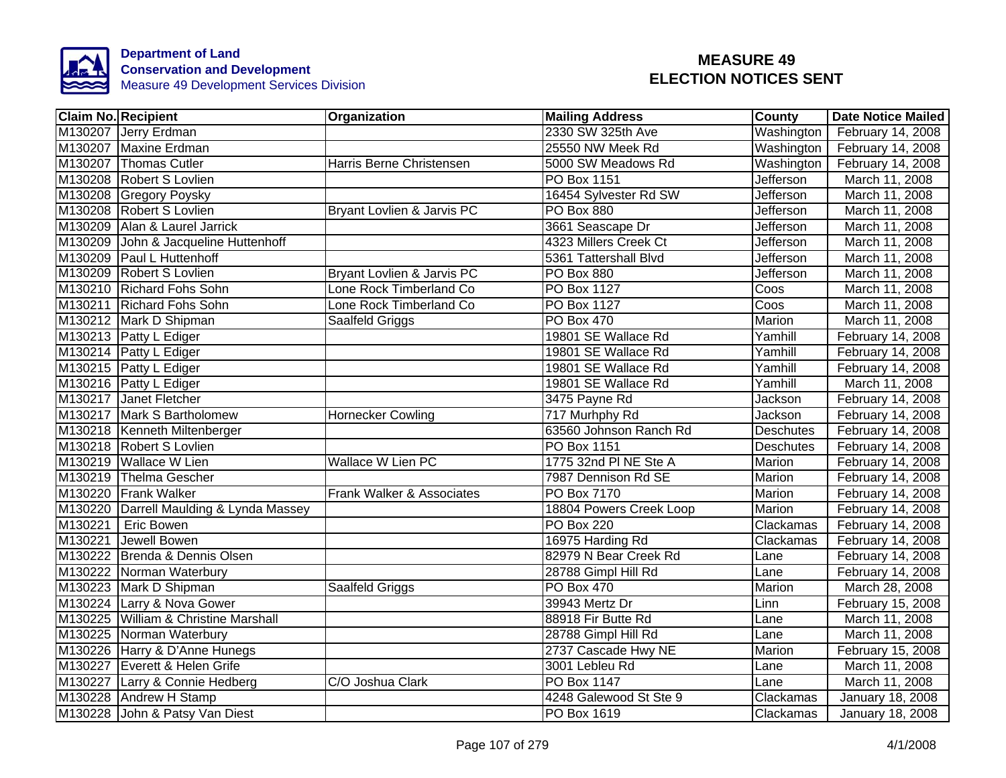

| <b>Claim No. Recipient</b>              | Organization               | <b>Mailing Address</b>  | County           | <b>Date Notice Mailed</b> |
|-----------------------------------------|----------------------------|-------------------------|------------------|---------------------------|
| M130207 Jerry Erdman                    |                            | 2330 SW 325th Ave       | Washington       | February 14, 2008         |
| M130207 Maxine Erdman                   |                            | 25550 NW Meek Rd        | Washington       | February 14, 2008         |
| M130207 Thomas Cutler                   | Harris Berne Christensen   | 5000 SW Meadows Rd      | Washington       | February 14, 2008         |
| M130208 Robert S Lovlien                |                            | PO Box 1151             | <b>Jefferson</b> | March 11, 2008            |
| M130208 Gregory Poysky                  |                            | 16454 Sylvester Rd SW   | Jefferson        | March 11, 2008            |
| M130208 Robert S Lovlien                | Bryant Lovlien & Jarvis PC | PO Box 880              | Jefferson        | March 11, 2008            |
| M130209 Alan & Laurel Jarrick           |                            | 3661 Seascape Dr        | <b>Jefferson</b> | March 11, 2008            |
| M130209 John & Jacqueline Huttenhoff    |                            | 4323 Millers Creek Ct   | Jefferson        | March 11, 2008            |
| M130209 Paul L Huttenhoff               |                            | 5361 Tattershall Blvd   | <b>Jefferson</b> | March 11, 2008            |
| M130209 Robert S Lovlien                | Bryant Lovlien & Jarvis PC | PO Box 880              | Jefferson        | March 11, 2008            |
| M130210 Richard Fohs Sohn               | Lone Rock Timberland Co    | PO Box 1127             | Coos             | March 11, 2008            |
| M130211 Richard Fohs Sohn               | Lone Rock Timberland Co    | <b>PO Box 1127</b>      | Coos             | March 11, 2008            |
| M130212 Mark D Shipman                  | Saalfeld Griggs            | PO Box 470              | Marion           | March 11, 2008            |
| M130213 Patty L Ediger                  |                            | 19801 SE Wallace Rd     | Yamhill          | February 14, 2008         |
| M130214 Patty L Ediger                  |                            | 19801 SE Wallace Rd     | Yamhill          | February 14, 2008         |
| M130215 Patty L Ediger                  |                            | 19801 SE Wallace Rd     | Yamhill          | February 14, 2008         |
| M130216 Patty L Ediger                  |                            | 19801 SE Wallace Rd     | Yamhill          | March 11, 2008            |
| M130217 Janet Fletcher                  |                            | 3475 Payne Rd           | Jackson          | February 14, 2008         |
| M130217 Mark S Bartholomew              | <b>Hornecker Cowling</b>   | 717 Murhphy Rd          | Jackson          | February 14, 2008         |
| M130218 Kenneth Miltenberger            |                            | 63560 Johnson Ranch Rd  | Deschutes        | February 14, 2008         |
| M130218 Robert S Lovlien                |                            | <b>PO Box 1151</b>      | <b>Deschutes</b> | February 14, 2008         |
| M130219 Wallace W Lien                  | <b>Wallace W Lien PC</b>   | 1775 32nd PI NE Ste A   | Marion           | February 14, 2008         |
| M130219 Thelma Gescher                  |                            | 7987 Dennison Rd SE     | Marion           | February 14, 2008         |
| M130220 Frank Walker                    | Frank Walker & Associates  | <b>PO Box 7170</b>      | Marion           | February 14, 2008         |
| M130220 Darrell Maulding & Lynda Massey |                            | 18804 Powers Creek Loop | Marion           | February 14, 2008         |
| M130221<br><b>Eric Bowen</b>            |                            | <b>PO Box 220</b>       | Clackamas        | February 14, 2008         |
| M130221<br>Jewell Bowen                 |                            | 16975 Harding Rd        | Clackamas        | February 14, 2008         |
| M130222 Brenda & Dennis Olsen           |                            | 82979 N Bear Creek Rd   | Lane             | February 14, 2008         |
| M130222 Norman Waterbury                |                            | 28788 Gimpl Hill Rd     | Lane             | February 14, 2008         |
| M130223 Mark D Shipman                  | Saalfeld Griggs            | <b>PO Box 470</b>       | Marion           | March 28, 2008            |
| M130224 Larry & Nova Gower              |                            | 39943 Mertz Dr          | Linn             | February 15, 2008         |
| M130225 William & Christine Marshall    |                            | 88918 Fir Butte Rd      | Lane             | March 11, 2008            |
| M130225 Norman Waterbury                |                            | 28788 Gimpl Hill Rd     | Lane             | March 11, 2008            |
| M130226 Harry & D'Anne Hunegs           |                            | 2737 Cascade Hwy NE     | Marion           | February 15, 2008         |
| M130227 Everett & Helen Grife           |                            | 3001 Lebleu Rd          | Lane             | March 11, 2008            |
| M130227 Larry & Connie Hedberg          | C/O Joshua Clark           | PO Box 1147             | Lane             | March 11, 2008            |
| M130228 Andrew H Stamp                  |                            | 4248 Galewood St Ste 9  | Clackamas        | January 18, 2008          |
| M130228 John & Patsy Van Diest          |                            | PO Box 1619             | Clackamas        | January 18, 2008          |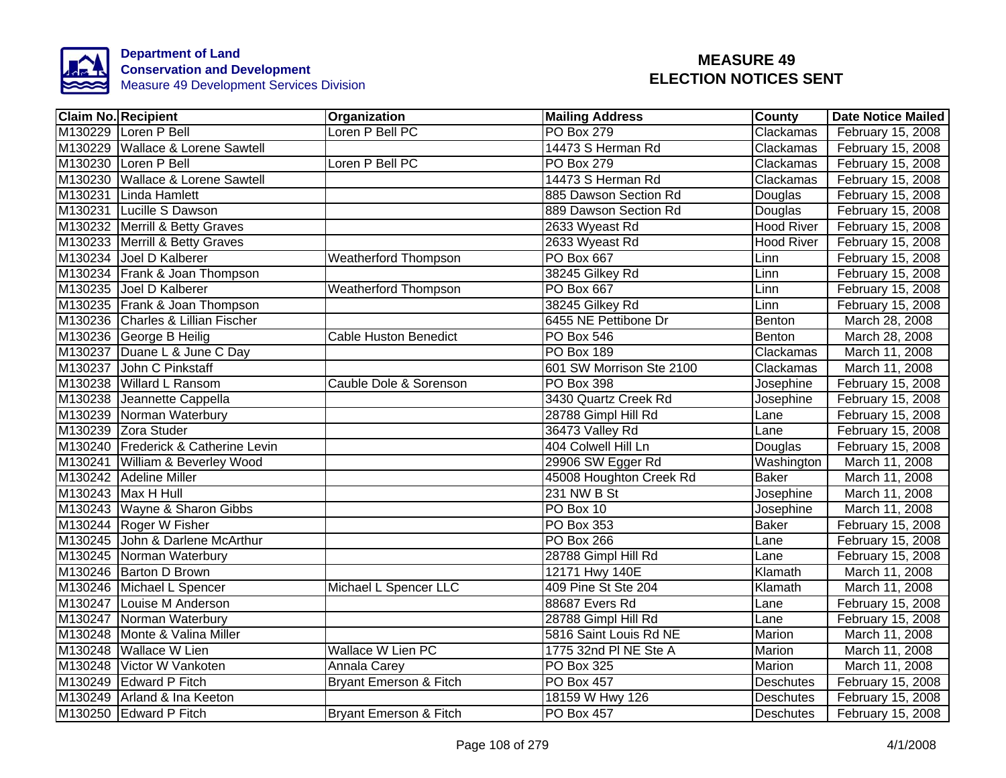

| <b>Claim No. Recipient</b>          | Organization                | <b>Mailing Address</b>   | County            | <b>Date Notice Mailed</b> |
|-------------------------------------|-----------------------------|--------------------------|-------------------|---------------------------|
| M130229 Loren P Bell                | Loren P Bell PC             | <b>PO Box 279</b>        | Clackamas         | February 15, 2008         |
| M130229 Wallace & Lorene Sawtell    |                             | 14473 S Herman Rd        | Clackamas         | February 15, 2008         |
| M130230 Loren P Bell                | Loren P Bell PC             | <b>PO Box 279</b>        | Clackamas         | February 15, 2008         |
| M130230 Wallace & Lorene Sawtell    |                             | 14473 S Herman Rd        | Clackamas         | February 15, 2008         |
| M130231 Linda Hamlett               |                             | 885 Dawson Section Rd    | Douglas           | February 15, 2008         |
| M130231 Lucille S Dawson            |                             | 889 Dawson Section Rd    | Douglas           | February 15, 2008         |
| M130232 Merrill & Betty Graves      |                             | 2633 Wyeast Rd           | <b>Hood River</b> | February 15, 2008         |
| M130233 Merrill & Betty Graves      |                             | 2633 Wyeast Rd           | <b>Hood River</b> | February 15, 2008         |
| M130234 Joel D Kalberer             | <b>Weatherford Thompson</b> | PO Box 667               | Linn              | February 15, 2008         |
| M130234 Frank & Joan Thompson       |                             | 38245 Gilkey Rd          | Linn              | February 15, 2008         |
| M130235 Joel D Kalberer             | <b>Weatherford Thompson</b> | PO Box 667               | Linn              | February 15, 2008         |
| M130235 Frank & Joan Thompson       |                             | 38245 Gilkey Rd          | Linn              | February 15, 2008         |
| M130236 Charles & Lillian Fischer   |                             | 6455 NE Pettibone Dr     | Benton            | March 28, 2008            |
| M130236 George B Heilig             | Cable Huston Benedict       | PO Box 546               | Benton            | March 28, 2008            |
| M130237 Duane L & June C Day        |                             | PO Box 189               | Clackamas         | March 11, 2008            |
| M130237 John C Pinkstaff            |                             | 601 SW Morrison Ste 2100 | Clackamas         | March 11, 2008            |
| M130238 Willard L Ransom            | Cauble Dole & Sorenson      | PO Box 398               | Josephine         | February 15, 2008         |
| M130238 Jeannette Cappella          |                             | 3430 Quartz Creek Rd     | Josephine         | February 15, 2008         |
| M130239 Norman Waterbury            |                             | 28788 Gimpl Hill Rd      | Lane              | February 15, 2008         |
| M130239 Zora Studer                 |                             | 36473 Valley Rd          | Lane              | February 15, 2008         |
| M130240 Frederick & Catherine Levin |                             | 404 Colwell Hill Ln      | Douglas           | February 15, 2008         |
| M130241 William & Beverley Wood     |                             | 29906 SW Egger Rd        | Washington        | March 11, 2008            |
| M130242 Adeline Miller              |                             | 45008 Houghton Creek Rd  | <b>Baker</b>      | March 11, 2008            |
| M130243 Max H Hull                  |                             | 231 NW B St              | Josephine         | March 11, 2008            |
| M130243 Wayne & Sharon Gibbs        |                             | PO Box 10                | Josephine         | March 11, 2008            |
| M130244 Roger W Fisher              |                             | PO Box 353               | <b>Baker</b>      | February 15, 2008         |
| M130245 John & Darlene McArthur     |                             | <b>PO Box 266</b>        | Lane              | February 15, 2008         |
| M130245 Norman Waterbury            |                             | 28788 Gimpl Hill Rd      | Lane              | February 15, 2008         |
| M130246 Barton D Brown              |                             | 12171 Hwy 140E           | Klamath           | March 11, 2008            |
| M130246 Michael L Spencer           | Michael L Spencer LLC       | 409 Pine St Ste 204      | Klamath           | March 11, 2008            |
| M130247 Louise M Anderson           |                             | 88687 Evers Rd           | Lane              | February 15, 2008         |
| M130247 Norman Waterbury            |                             | 28788 Gimpl Hill Rd      | Lane              | February 15, 2008         |
| M130248 Monte & Valina Miller       |                             | 5816 Saint Louis Rd NE   | Marion            | March 11, 2008            |
| M130248 Wallace W Lien              | <b>Wallace W Lien PC</b>    | 1775 32nd PI NE Ste A    | Marion            | March 11, 2008            |
| M130248 Victor W Vankoten           | Annala Carey                | PO Box 325               | Marion            | March 11, 2008            |
| M130249 Edward P Fitch              | Bryant Emerson & Fitch      | PO Box 457               | Deschutes         | February 15, 2008         |
| M130249 Arland & Ina Keeton         |                             | 18159 W Hwy 126          | Deschutes         | February 15, 2008         |
| M130250 Edward P Fitch              | Bryant Emerson & Fitch      | PO Box 457               | <b>Deschutes</b>  | February 15, 2008         |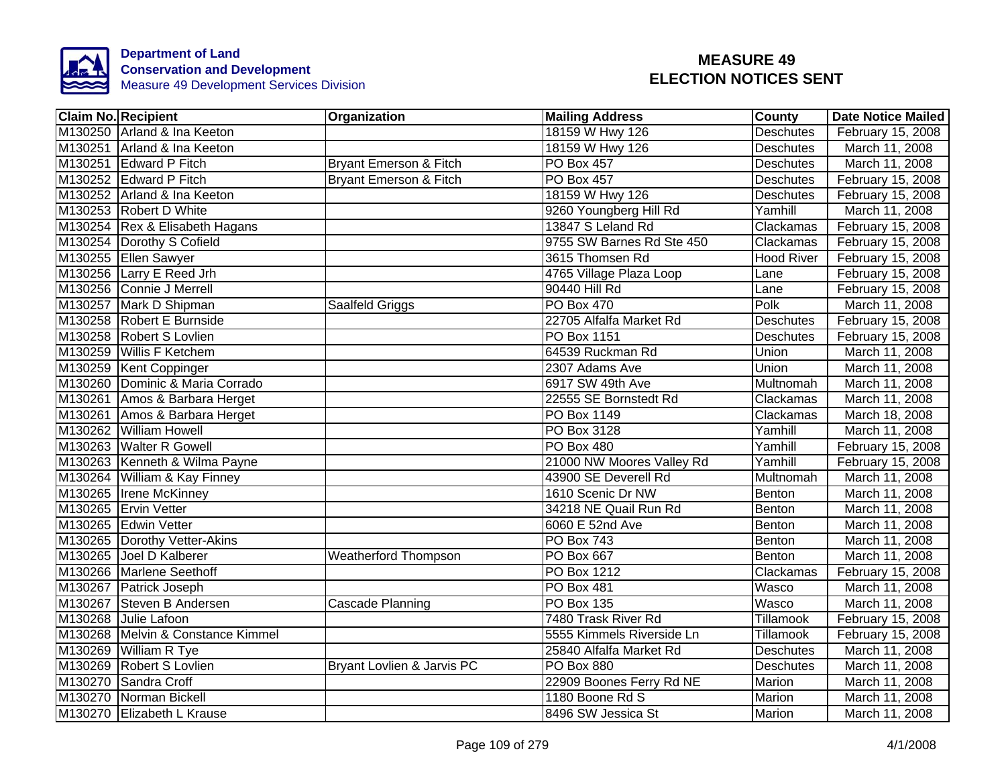

| <b>Claim No. Recipient</b>        | Organization                      | <b>Mailing Address</b>    | County           | Date Notice Mailed |
|-----------------------------------|-----------------------------------|---------------------------|------------------|--------------------|
| M130250 Arland & Ina Keeton       |                                   | 18159 W Hwy 126           | <b>Deschutes</b> | February 15, 2008  |
| M130251 Arland & Ina Keeton       |                                   | 18159 W Hwy 126           | <b>Deschutes</b> | March 11, 2008     |
| M130251 Edward P Fitch            | Bryant Emerson & Fitch            | <b>PO Box 457</b>         | <b>Deschutes</b> | March 11, 2008     |
| M130252 Edward P Fitch            | <b>Bryant Emerson &amp; Fitch</b> | <b>PO Box 457</b>         | <b>Deschutes</b> | February 15, 2008  |
| M130252 Arland & Ina Keeton       |                                   | 18159 W Hwy 126           | Deschutes        | February 15, 2008  |
| M130253 Robert D White            |                                   | 9260 Youngberg Hill Rd    | Yamhill          | March 11, 2008     |
| M130254 Rex & Elisabeth Hagans    |                                   | 13847 S Leland Rd         | Clackamas        | February 15, 2008  |
| M130254 Dorothy S Cofield         |                                   | 9755 SW Barnes Rd Ste 450 | Clackamas        | February 15, 2008  |
| M130255 Ellen Sawyer              |                                   | 3615 Thomsen Rd           | Hood River       | February 15, 2008  |
| M130256 Larry E Reed Jrh          |                                   | 4765 Village Plaza Loop   | Lane             | February 15, 2008  |
| M130256 Connie J Merrell          |                                   | 90440 Hill Rd             | Lane             | February 15, 2008  |
| M130257 Mark D Shipman            | Saalfeld Griggs                   | <b>PO Box 470</b>         | Polk             | March 11, 2008     |
| M130258 Robert E Burnside         |                                   | 22705 Alfalfa Market Rd   | Deschutes        | February 15, 2008  |
| M130258 Robert S Lovlien          |                                   | PO Box 1151               | Deschutes        | February 15, 2008  |
| M130259 Willis F Ketchem          |                                   | 64539 Ruckman Rd          | Union            | March 11, 2008     |
| M130259 Kent Coppinger            |                                   | 2307 Adams Ave            | <b>Union</b>     | March 11, 2008     |
| M130260 Dominic & Maria Corrado   |                                   | 6917 SW 49th Ave          | Multnomah        | March 11, 2008     |
| M130261 Amos & Barbara Herget     |                                   | 22555 SE Bornstedt Rd     | Clackamas        | March 11, 2008     |
| M130261 Amos & Barbara Herget     |                                   | PO Box 1149               | Clackamas        | March 18, 2008     |
| M130262 William Howell            |                                   | PO Box 3128               | Yamhill          | March 11, 2008     |
| M130263 Walter R Gowell           |                                   | <b>PO Box 480</b>         | Yamhill          | February 15, 2008  |
| M130263 Kenneth & Wilma Payne     |                                   | 21000 NW Moores Valley Rd | Yamhill          | February 15, 2008  |
| M130264 William & Kay Finney      |                                   | 43900 SE Deverell Rd      | Multnomah        | March 11, 2008     |
| M130265 Irene McKinney            |                                   | 1610 Scenic Dr NW         | Benton           | March 11, 2008     |
| M130265 Ervin Vetter              |                                   | 34218 NE Quail Run Rd     | Benton           | March 11, 2008     |
| M130265 Edwin Vetter              |                                   | 6060 E 52nd Ave           | Benton           | March 11, 2008     |
| M130265 Dorothy Vetter-Akins      |                                   | <b>PO Box 743</b>         | Benton           | March 11, 2008     |
| M130265 Joel D Kalberer           | <b>Weatherford Thompson</b>       | PO Box 667                | Benton           | March 11, 2008     |
| M130266 Marlene Seethoff          |                                   | PO Box 1212               | Clackamas        | February 15, 2008  |
| M130267 Patrick Joseph            |                                   | <b>PO Box 481</b>         | <b>Wasco</b>     | March 11, 2008     |
| M130267 Steven B Andersen         | Cascade Planning                  | <b>PO Box 135</b>         | Wasco            | March 11, 2008     |
| M130268 Julie Lafoon              |                                   | 7480 Trask River Rd       | Tillamook        | February 15, 2008  |
| M130268 Melvin & Constance Kimmel |                                   | 5555 Kimmels Riverside Ln | Tillamook        | February 15, 2008  |
| M130269 William R Tye             |                                   | 25840 Alfalfa Market Rd   | <b>Deschutes</b> | March 11, 2008     |
| M130269 Robert S Lovlien          | Bryant Lovlien & Jarvis PC        | <b>PO Box 880</b>         | <b>Deschutes</b> | March 11, 2008     |
| M130270 Sandra Croff              |                                   | 22909 Boones Ferry Rd NE  | Marion           | March 11, 2008     |
| M130270 Norman Bickell            |                                   | 1180 Boone Rd S           | Marion           | March 11, 2008     |
| M130270 Elizabeth L Krause        |                                   | 8496 SW Jessica St        | Marion           | March 11, 2008     |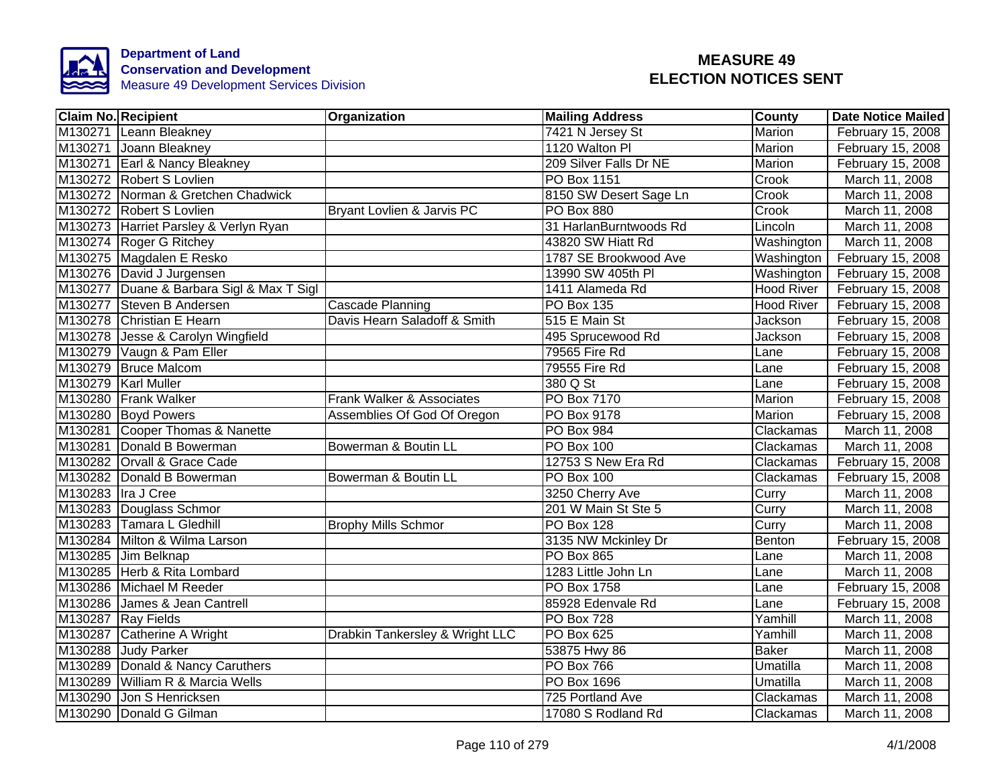

|                    | <b>Claim No. Recipient</b>                | Organization                    | <b>Mailing Address</b> | <b>County</b> | <b>Date Notice Mailed</b> |
|--------------------|-------------------------------------------|---------------------------------|------------------------|---------------|---------------------------|
|                    | M130271 Leann Bleakney                    |                                 | 7421 N Jersey St       | <b>Marion</b> | February 15, 2008         |
|                    | M130271 Joann Bleakney                    |                                 | 1120 Walton PI         | <b>Marion</b> | February 15, 2008         |
|                    | M130271 Earl & Nancy Bleakney             |                                 | 209 Silver Falls Dr NE | Marion        | February 15, 2008         |
|                    | M130272 Robert S Lovlien                  |                                 | PO Box 1151            | Crook         | March 11, 2008            |
|                    | M130272 Norman & Gretchen Chadwick        |                                 | 8150 SW Desert Sage Ln | Crook         | March 11, 2008            |
|                    | M130272 Robert S Lovlien                  | Bryant Lovlien & Jarvis PC      | PO Box 880             | Crook         | March 11, 2008            |
|                    | M130273 Harriet Parsley & Verlyn Ryan     |                                 | 31 HarlanBurntwoods Rd | Lincoln       | March 11, 2008            |
|                    | M130274 Roger G Ritchey                   |                                 | 43820 SW Hiatt Rd      | Washington    | March 11, 2008            |
|                    | M130275 Magdalen E Resko                  |                                 | 1787 SE Brookwood Ave  | Washington    | February 15, 2008         |
|                    | M130276 David J Jurgensen                 |                                 | 13990 SW 405th PI      | Washington    | February 15, 2008         |
|                    | M130277 Duane & Barbara Sigl & Max T Sigl |                                 | 1411 Alameda Rd        | Hood River    | February 15, 2008         |
|                    | M130277 Steven B Andersen                 | Cascade Planning                | <b>PO Box 135</b>      | Hood River    | February 15, 2008         |
|                    | M130278 Christian E Hearn                 | Davis Hearn Saladoff & Smith    | 515 E Main St          | Jackson       | February 15, 2008         |
|                    | M130278 Jesse & Carolyn Wingfield         |                                 | 495 Sprucewood Rd      | Jackson       | February 15, 2008         |
|                    | M130279 Vaugn & Pam Eller                 |                                 | 79565 Fire Rd          | Lane          | February 15, 2008         |
|                    | M130279 Bruce Malcom                      |                                 | 79555 Fire Rd          | Lane          | February 15, 2008         |
|                    | M130279 Karl Muller                       |                                 | 380 Q St               | Lane          | February 15, 2008         |
|                    | M130280 Frank Walker                      | Frank Walker & Associates       | <b>PO Box 7170</b>     | <b>Marion</b> | February 15, 2008         |
|                    | M130280 Boyd Powers                       | Assemblies Of God Of Oregon     | PO Box 9178            | Marion        | February 15, 2008         |
|                    | M130281 Cooper Thomas & Nanette           |                                 | PO Box 984             | Clackamas     | March 11, 2008            |
|                    | M130281 Donald B Bowerman                 | Bowerman & Boutin LL            | PO Box 100             | Clackamas     | March 11, 2008            |
|                    | M130282 Orvall & Grace Cade               |                                 | 12753 S New Era Rd     | Clackamas     | February 15, 2008         |
|                    | M130282 Donald B Bowerman                 | Bowerman & Boutin LL            | <b>PO Box 100</b>      | Clackamas     | February 15, 2008         |
| M130283 Ira J Cree |                                           |                                 | 3250 Cherry Ave        | Curry         | March 11, 2008            |
|                    | M130283 Douglass Schmor                   |                                 | 201 W Main St Ste 5    | Curry         | March 11, 2008            |
|                    | M130283 Tamara L Gledhill                 | <b>Brophy Mills Schmor</b>      | <b>PO Box 128</b>      | Curry         | March 11, 2008            |
|                    | M130284 Milton & Wilma Larson             |                                 | 3135 NW Mckinley Dr    | Benton        | February 15, 2008         |
|                    | M130285 Jim Belknap                       |                                 | <b>PO Box 865</b>      | Lane          | March 11, 2008            |
|                    | M130285 Herb & Rita Lombard               |                                 | 1283 Little John Ln    | Lane          | March 11, 2008            |
|                    | M130286 Michael M Reeder                  |                                 | PO Box 1758            | Lane          | February 15, 2008         |
| M130286            | James & Jean Cantrell                     |                                 | 85928 Edenvale Rd      | Lane          | February 15, 2008         |
|                    | M130287 Ray Fields                        |                                 | PO Box 728             | Yamhill       | March 11, 2008            |
|                    | M130287 Catherine A Wright                | Drabkin Tankersley & Wright LLC | PO Box 625             | Yamhill       | March 11, 2008            |
|                    | M130288 Judy Parker                       |                                 | 53875 Hwy 86           | <b>Baker</b>  | March 11, 2008            |
|                    | M130289 Donald & Nancy Caruthers          |                                 | PO Box 766             | Umatilla      | March 11, 2008            |
| M130289            | William R & Marcia Wells                  |                                 | PO Box 1696            | Umatilla      | March 11, 2008            |
| M130290            | Jon S Henricksen                          |                                 | 725 Portland Ave       | Clackamas     | March 11, 2008            |
| M130290            | Donald G Gilman                           |                                 | 17080 S Rodland Rd     | Clackamas     | March 11, 2008            |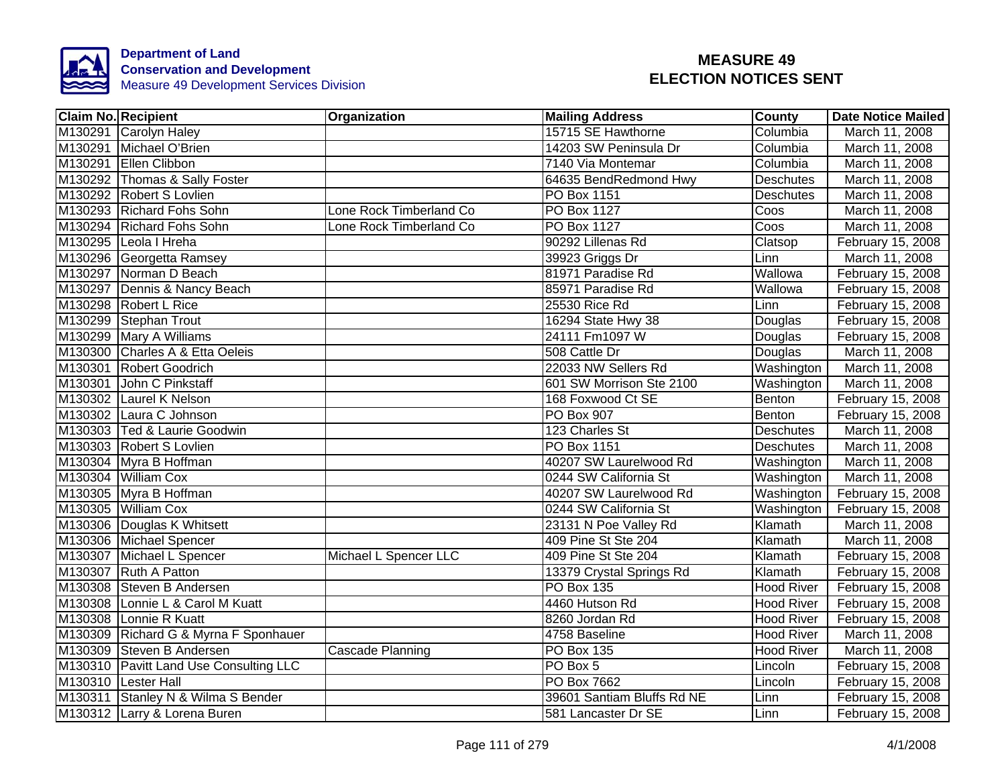

| <b>Claim No. Recipient</b>             | Organization            | <b>Mailing Address</b>     | County            | <b>Date Notice Mailed</b> |
|----------------------------------------|-------------------------|----------------------------|-------------------|---------------------------|
| M130291 Carolyn Haley                  |                         | 15715 SE Hawthorne         | Columbia          | March 11, 2008            |
| M130291 Michael O'Brien                |                         | 14203 SW Peninsula Dr      | Columbia          | March 11, 2008            |
| M130291 Ellen Clibbon                  |                         | 7140 Via Montemar          | Columbia          | March 11, 2008            |
| M130292 Thomas & Sally Foster          |                         | 64635 BendRedmond Hwy      | <b>Deschutes</b>  | March 11, 2008            |
| M130292 Robert S Lovlien               |                         | PO Box 1151                | <b>Deschutes</b>  | March 11, 2008            |
| M130293 Richard Fohs Sohn              | Lone Rock Timberland Co | PO Box 1127                | Coos              | March 11, 2008            |
| M130294 Richard Fohs Sohn              | Lone Rock Timberland Co | PO Box 1127                | Coos              | March 11, 2008            |
| M130295 Leola I Hreha                  |                         | 90292 Lillenas Rd          | Clatsop           | February 15, 2008         |
| M130296 Georgetta Ramsey               |                         | 39923 Griggs Dr            | Linn              | March 11, 2008            |
| M130297 Norman D Beach                 |                         | 81971 Paradise Rd          | Wallowa           | February 15, 2008         |
| M130297 Dennis & Nancy Beach           |                         | 85971 Paradise Rd          | Wallowa           | February 15, 2008         |
| M130298 Robert L Rice                  |                         | 25530 Rice Rd              | Linn              | February 15, 2008         |
| M130299 Stephan Trout                  |                         | 16294 State Hwy 38         | Douglas           | February 15, 2008         |
| M130299 Mary A Williams                |                         | 24111 Fm1097 W             | Douglas           | February 15, 2008         |
| M130300 Charles A & Etta Oeleis        |                         | 508 Cattle Dr              | Douglas           | March 11, 2008            |
| M130301 Robert Goodrich                |                         | 22033 NW Sellers Rd        | Washington        | March 11, 2008            |
| M130301 John C Pinkstaff               |                         | 601 SW Morrison Ste 2100   | Washington        | March 11, 2008            |
| M130302 Laurel K Nelson                |                         | 168 Foxwood Ct SE          | Benton            | February 15, 2008         |
| M130302 Laura C Johnson                |                         | <b>PO Box 907</b>          | Benton            | February 15, 2008         |
| M130303 Ted & Laurie Goodwin           |                         | 123 Charles St             | <b>Deschutes</b>  | March 11, 2008            |
| M130303 Robert S Lovlien               |                         | PO Box 1151                | <b>Deschutes</b>  | March 11, 2008            |
| M130304 Myra B Hoffman                 |                         | 40207 SW Laurelwood Rd     | Washington        | March 11, 2008            |
| M130304 William Cox                    |                         | 0244 SW California St      | Washington        | March 11, 2008            |
| M130305 Myra B Hoffman                 |                         | 40207 SW Laurelwood Rd     | Washington        | February 15, 2008         |
| M130305 William Cox                    |                         | 0244 SW California St      | Washington        | February 15, 2008         |
| M130306 Douglas K Whitsett             |                         | 23131 N Poe Valley Rd      | Klamath           | March 11, 2008            |
| M130306 Michael Spencer                |                         | 409 Pine St Ste 204        | Klamath           | March 11, 2008            |
| M130307 Michael L Spencer              | Michael L Spencer LLC   | 409 Pine St Ste 204        | Klamath           | February 15, 2008         |
| M130307 Ruth A Patton                  |                         | 13379 Crystal Springs Rd   | Klamath           | February 15, 2008         |
| M130308 Steven B Andersen              |                         | <b>PO Box 135</b>          | <b>Hood River</b> | February 15, 2008         |
| M130308 Lonnie L & Carol M Kuatt       |                         | 4460 Hutson Rd             | <b>Hood River</b> | February 15, 2008         |
| M130308 Lonnie R Kuatt                 |                         | 8260 Jordan Rd             | <b>Hood River</b> | February 15, 2008         |
| M130309 Richard G & Myrna F Sponhauer  |                         | 4758 Baseline              | <b>Hood River</b> | March 11, 2008            |
| M130309 Steven B Andersen              | Cascade Planning        | PO Box 135                 | <b>Hood River</b> | March 11, 2008            |
| M130310 Pavitt Land Use Consulting LLC |                         | $PO$ Box 5                 | Lincoln           | February 15, 2008         |
| M130310 Lester Hall                    |                         | PO Box 7662                | Lincoln           | February 15, 2008         |
| M130311 Stanley N & Wilma S Bender     |                         | 39601 Santiam Bluffs Rd NE | Linn              | February 15, 2008         |
| M130312 Larry & Lorena Buren           |                         | 581 Lancaster Dr SE        | Linn              | February 15, 2008         |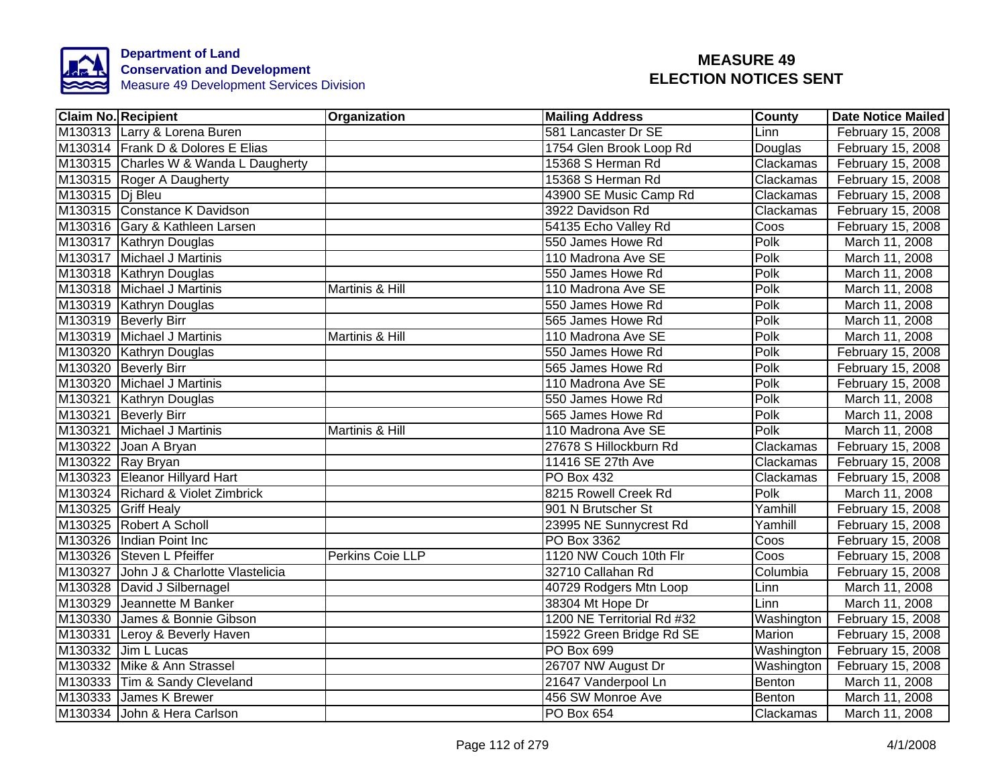

| <b>Claim No. Recipient</b>             | Organization     | <b>Mailing Address</b>     | <b>County</b> | <b>Date Notice Mailed</b> |
|----------------------------------------|------------------|----------------------------|---------------|---------------------------|
| M130313 Larry & Lorena Buren           |                  | 581 Lancaster Dr SE        | Linn          | February 15, 2008         |
| M130314 Frank D & Dolores E Elias      |                  | 1754 Glen Brook Loop Rd    | Douglas       | February 15, 2008         |
| M130315 Charles W & Wanda L Daugherty  |                  | 15368 S Herman Rd          | Clackamas     | February 15, 2008         |
| M130315 Roger A Daugherty              |                  | 15368 S Herman Rd          | Clackamas     | February 15, 2008         |
| M130315 Di Bleu                        |                  | 43900 SE Music Camp Rd     | Clackamas     | February 15, 2008         |
| M130315 Constance K Davidson           |                  | 3922 Davidson Rd           | Clackamas     | February 15, 2008         |
| M130316 Gary & Kathleen Larsen         |                  | 54135 Echo Valley Rd       | Coos          | February 15, 2008         |
| M130317 Kathryn Douglas                |                  | 550 James Howe Rd          | Polk          | March 11, 2008            |
| M130317 Michael J Martinis             |                  | 110 Madrona Ave SE         | Polk          | March 11, 2008            |
| M130318 Kathryn Douglas                |                  | 550 James Howe Rd          | Polk          | March 11, 2008            |
| M130318 Michael J Martinis             | Martinis & Hill  | 110 Madrona Ave SE         | Polk          | March 11, 2008            |
| M130319 Kathryn Douglas                |                  | 550 James Howe Rd          | Polk          | March 11, 2008            |
| M130319 Beverly Birr                   |                  | 565 James Howe Rd          | Polk          | March 11, 2008            |
| M130319 Michael J Martinis             | Martinis & Hill  | 110 Madrona Ave SE         | Polk          | March 11, 2008            |
| M130320 Kathryn Douglas                |                  | 550 James Howe Rd          | Polk          | February 15, 2008         |
| M130320 Beverly Birr                   |                  | 565 James Howe Rd          | Polk          | February 15, 2008         |
| M130320 Michael J Martinis             |                  | 110 Madrona Ave SE         | <b>Polk</b>   | February 15, 2008         |
| M130321 Kathryn Douglas                |                  | 550 James Howe Rd          | Polk          | March 11, 2008            |
| M130321 Beverly Birr                   |                  | 565 James Howe Rd          | Polk          | March 11, 2008            |
| M130321 Michael J Martinis             | Martinis & Hill  | 110 Madrona Ave SE         | Polk          | March 11, 2008            |
| M130322 Joan A Bryan                   |                  | 27678 S Hillockburn Rd     | Clackamas     | February 15, 2008         |
| M130322 Ray Bryan                      |                  | 11416 SE 27th Ave          | Clackamas     | February 15, 2008         |
| M130323 Eleanor Hillyard Hart          |                  | <b>PO Box 432</b>          | Clackamas     | February 15, 2008         |
| M130324 Richard & Violet Zimbrick      |                  | 8215 Rowell Creek Rd       | Polk          | March 11, 2008            |
| M130325 Griff Healy                    |                  | 901 N Brutscher St         | Yamhill       | February 15, 2008         |
| M130325 Robert A Scholl                |                  | 23995 NE Sunnycrest Rd     | Yamhill       | February 15, 2008         |
| M130326 Indian Point Inc               |                  | PO Box 3362                | Coos          | February 15, 2008         |
| M130326 Steven L Pfeiffer              | Perkins Coie LLP | 1120 NW Couch 10th Flr     | Coos          | February 15, 2008         |
| M130327 John J & Charlotte Vlastelicia |                  | 32710 Callahan Rd          | Columbia      | February 15, 2008         |
| M130328 David J Silbernagel            |                  | 40729 Rodgers Mtn Loop     | Linn          | March 11, 2008            |
| M130329 Jeannette M Banker             |                  | 38304 Mt Hope Dr           | Linn          | March 11, 2008            |
| M130330 James & Bonnie Gibson          |                  | 1200 NE Territorial Rd #32 | Washington    | February 15, 2008         |
| M130331 Leroy & Beverly Haven          |                  | 15922 Green Bridge Rd SE   | Marion        | February 15, 2008         |
| M130332 Jim L Lucas                    |                  | PO Box 699                 | Washington    | February 15, 2008         |
| M130332 Mike & Ann Strassel            |                  | 26707 NW August Dr         | Washington    | February 15, 2008         |
| M130333 Tim & Sandy Cleveland          |                  | 21647 Vanderpool Ln        | Benton        | March 11, 2008            |
| M130333 James K Brewer                 |                  | 456 SW Monroe Ave          | Benton        | March 11, 2008            |
| M130334 John & Hera Carlson            |                  | PO Box 654                 | Clackamas     | March 11, 2008            |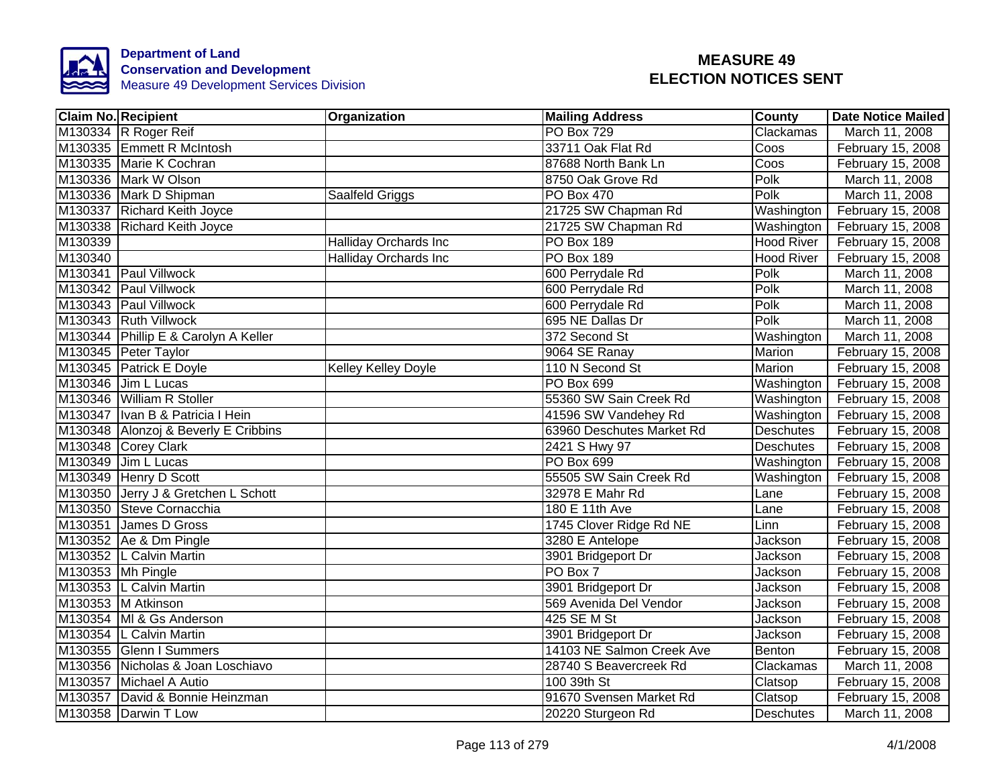

|         | <b>Claim No. Recipient</b>           | Organization                 | <b>Mailing Address</b>    | <b>County</b>     | <b>Date Notice Mailed</b> |
|---------|--------------------------------------|------------------------------|---------------------------|-------------------|---------------------------|
|         | M130334 R Roger Reif                 |                              | <b>PO Box 729</b>         | Clackamas         | March 11, 2008            |
|         | M130335 Emmett R McIntosh            |                              | 33711 Oak Flat Rd         | Coos              | February 15, 2008         |
|         | M130335 Marie K Cochran              |                              | 87688 North Bank Ln       | Coos              | February 15, 2008         |
|         | M130336 Mark W Olson                 |                              | 8750 Oak Grove Rd         | Polk              | March 11, 2008            |
|         | M130336 Mark D Shipman               | Saalfeld Griggs              | PO Box 470                | Polk              | March 11, 2008            |
|         | M130337 Richard Keith Joyce          |                              | 21725 SW Chapman Rd       | Washington        | February 15, 2008         |
|         | M130338 Richard Keith Joyce          |                              | 21725 SW Chapman Rd       | Washington        | February 15, 2008         |
| M130339 |                                      | Halliday Orchards Inc        | PO Box 189                | <b>Hood River</b> | February 15, 2008         |
| M130340 |                                      | <b>Halliday Orchards Inc</b> | <b>PO Box 189</b>         | <b>Hood River</b> | February 15, 2008         |
|         | M130341 Paul Villwock                |                              | 600 Perrydale Rd          | Polk              | March 11, 2008            |
|         | M130342 Paul Villwock                |                              | 600 Perrydale Rd          | Polk              | March 11, 2008            |
|         | M130343 Paul Villwock                |                              | 600 Perrydale Rd          | Polk              | March 11, 2008            |
|         | M130343 Ruth Villwock                |                              | 695 NE Dallas Dr          | Polk              | March 11, 2008            |
|         | M130344 Phillip E & Carolyn A Keller |                              | 372 Second St             | Washington        | March 11, 2008            |
|         | M130345 Peter Taylor                 |                              | 9064 SE Ranay             | Marion            | February 15, 2008         |
|         | M130345 Patrick E Doyle              | <b>Kelley Kelley Doyle</b>   | 110 N Second St           | <b>Marion</b>     | February 15, 2008         |
|         | M130346 Jim L Lucas                  |                              | <b>PO Box 699</b>         | Washington        | February 15, 2008         |
|         | M130346 William R Stoller            |                              | 55360 SW Sain Creek Rd    | Washington        | February 15, 2008         |
|         | M130347   Ivan B & Patricia I Hein   |                              | 41596 SW Vandehey Rd      | Washington        | February 15, 2008         |
|         | M130348 Alonzoj & Beverly E Cribbins |                              | 63960 Deschutes Market Rd | Deschutes         | February 15, 2008         |
|         | M130348 Corey Clark                  |                              | 2421 S Hwy 97             | <b>Deschutes</b>  | February 15, 2008         |
|         | M130349 Jim L Lucas                  |                              | <b>PO Box 699</b>         | Washington        | February 15, 2008         |
|         | M130349 Henry D Scott                |                              | 55505 SW Sain Creek Rd    | Washington        | February 15, 2008         |
|         | M130350 Jerry J & Gretchen L Schott  |                              | 32978 E Mahr Rd           | Lane              | February 15, 2008         |
|         | M130350 Steve Cornacchia             |                              | 180 E 11th Ave            | Lane              | February 15, 2008         |
|         | M130351 James D Gross                |                              | 1745 Clover Ridge Rd NE   | Linn              | February 15, 2008         |
|         | M130352 Ae & Dm Pingle               |                              | 3280 E Antelope           | Jackson           | February 15, 2008         |
|         | M130352 L Calvin Martin              |                              | 3901 Bridgeport Dr        | Jackson           | February 15, 2008         |
|         | M130353 Mh Pingle                    |                              | PO Box 7                  | Jackson           | February 15, 2008         |
|         | M130353 L Calvin Martin              |                              | 3901 Bridgeport Dr        | Jackson           | February 15, 2008         |
|         | M130353 M Atkinson                   |                              | 569 Avenida Del Vendor    | Jackson           | February 15, 2008         |
|         | M130354 MI & Gs Anderson             |                              | 425 SE M St               | Jackson           | February 15, 2008         |
|         | M130354  L Calvin Martin             |                              | 3901 Bridgeport Dr        | Jackson           | February 15, 2008         |
|         | M130355 Glenn I Summers              |                              | 14103 NE Salmon Creek Ave | Benton            | February 15, 2008         |
|         | M130356 Nicholas & Joan Loschiavo    |                              | 28740 S Beavercreek Rd    | Clackamas         | March 11, 2008            |
|         | M130357 Michael A Autio              |                              | 100 39th St               | Clatsop           | February 15, 2008         |
|         | M130357 David & Bonnie Heinzman      |                              | 91670 Svensen Market Rd   | Clatsop           | February 15, 2008         |
|         | M130358 Darwin T Low                 |                              | 20220 Sturgeon Rd         | <b>Deschutes</b>  | March 11, 2008            |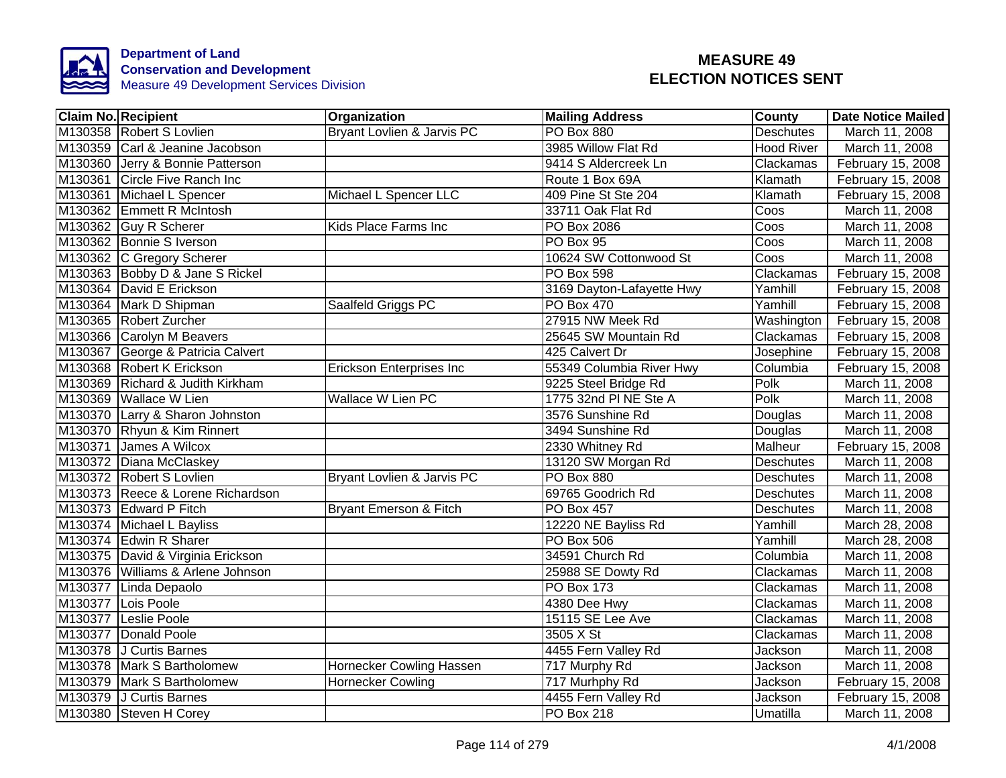

| <b>Claim No. Recipient</b>        | Organization                      | <b>Mailing Address</b>    | County            | <b>Date Notice Mailed</b> |
|-----------------------------------|-----------------------------------|---------------------------|-------------------|---------------------------|
| M130358 Robert S Lovlien          | Bryant Lovlien & Jarvis PC        | <b>PO Box 880</b>         | <b>Deschutes</b>  | March 11, 2008            |
| M130359 Carl & Jeanine Jacobson   |                                   | 3985 Willow Flat Rd       | <b>Hood River</b> | March 11, 2008            |
| M130360 Jerry & Bonnie Patterson  |                                   | 9414 S Aldercreek Ln      | Clackamas         | February 15, 2008         |
| M130361 Circle Five Ranch Inc     |                                   | Route 1 Box 69A           | Klamath           | February 15, 2008         |
| M130361 Michael L Spencer         | Michael L Spencer LLC             | 409 Pine St Ste 204       | Klamath           | February 15, 2008         |
| M130362 Emmett R McIntosh         |                                   | 33711 Oak Flat Rd         | Coos              | March 11, 2008            |
| M130362 Guy R Scherer             | Kids Place Farms Inc              | PO Box 2086               | Coos              | March 11, 2008            |
| M130362 Bonnie S Iverson          |                                   | PO Box 95                 | Coos              | March 11, 2008            |
| M130362 C Gregory Scherer         |                                   | 10624 SW Cottonwood St    | Coos              | March 11, 2008            |
| M130363 Bobby D & Jane S Rickel   |                                   | PO Box 598                | Clackamas         | February 15, 2008         |
| M130364 David E Erickson          |                                   | 3169 Dayton-Lafayette Hwy | Yamhill           | February 15, 2008         |
| M130364 Mark D Shipman            | Saalfeld Griggs PC                | <b>PO Box 470</b>         | Yamhill           | February 15, 2008         |
| M130365 Robert Zurcher            |                                   | 27915 NW Meek Rd          | Washington        | February 15, 2008         |
| M130366 Carolyn M Beavers         |                                   | 25645 SW Mountain Rd      | Clackamas         | February 15, 2008         |
| M130367 George & Patricia Calvert |                                   | 425 Calvert Dr            | Josephine         | February 15, 2008         |
| M130368 Robert K Erickson         | <b>Erickson Enterprises Inc</b>   | 55349 Columbia River Hwy  | Columbia          | February 15, 2008         |
| M130369 Richard & Judith Kirkham  |                                   | 9225 Steel Bridge Rd      | Polk              | March 11, 2008            |
| M130369 Wallace W Lien            | <b>Wallace W Lien PC</b>          | 1775 32nd PI NE Ste A     | Polk              | March 11, 2008            |
| M130370 Larry & Sharon Johnston   |                                   | 3576 Sunshine Rd          | Douglas           | March 11, 2008            |
| M130370 Rhyun & Kim Rinnert       |                                   | 3494 Sunshine Rd          | Douglas           | March 11, 2008            |
| M130371 James A Wilcox            |                                   | 2330 Whitney Rd           | Malheur           | February 15, 2008         |
| M130372 Diana McClaskey           |                                   | 13120 SW Morgan Rd        | <b>Deschutes</b>  | March 11, 2008            |
| M130372 Robert S Lovlien          | Bryant Lovlien & Jarvis PC        | <b>PO Box 880</b>         | <b>Deschutes</b>  | March 11, 2008            |
| M130373 Reece & Lorene Richardson |                                   | 69765 Goodrich Rd         | <b>Deschutes</b>  | March 11, 2008            |
| M130373 Edward P Fitch            | <b>Bryant Emerson &amp; Fitch</b> | <b>PO Box 457</b>         | <b>Deschutes</b>  | March 11, 2008            |
| M130374 Michael L Bayliss         |                                   | 12220 NE Bayliss Rd       | Yamhill           | March 28, 2008            |
| M130374 Edwin R Sharer            |                                   | <b>PO Box 506</b>         | Yamhill           | March 28, 2008            |
| M130375 David & Virginia Erickson |                                   | 34591 Church Rd           | Columbia          | March 11, 2008            |
| M130376 Williams & Arlene Johnson |                                   | 25988 SE Dowty Rd         | Clackamas         | March 11, 2008            |
| M130377 Linda Depaolo             |                                   | <b>PO Box 173</b>         | Clackamas         | March 11, 2008            |
| M130377 Lois Poole                |                                   | 4380 Dee Hwy              | Clackamas         | March 11, 2008            |
| M130377 Leslie Poole              |                                   | 15115 SE Lee Ave          | Clackamas         | March 11, 2008            |
| M130377 Donald Poole              |                                   | 3505 X St                 | Clackamas         | March 11, 2008            |
| M130378 J Curtis Barnes           |                                   | 4455 Fern Valley Rd       | Jackson           | March 11, 2008            |
| M130378 Mark S Bartholomew        | Hornecker Cowling Hassen          | 717 Murphy Rd             | Jackson           | March 11, 2008            |
| M130379 Mark S Bartholomew        | <b>Hornecker Cowling</b>          | 717 Murhphy Rd            | Jackson           | February 15, 2008         |
| M130379 J Curtis Barnes           |                                   | 4455 Fern Valley Rd       | Jackson           | February 15, 2008         |
| M130380 Steven H Corey            |                                   | <b>PO Box 218</b>         | Umatilla          | March 11, 2008            |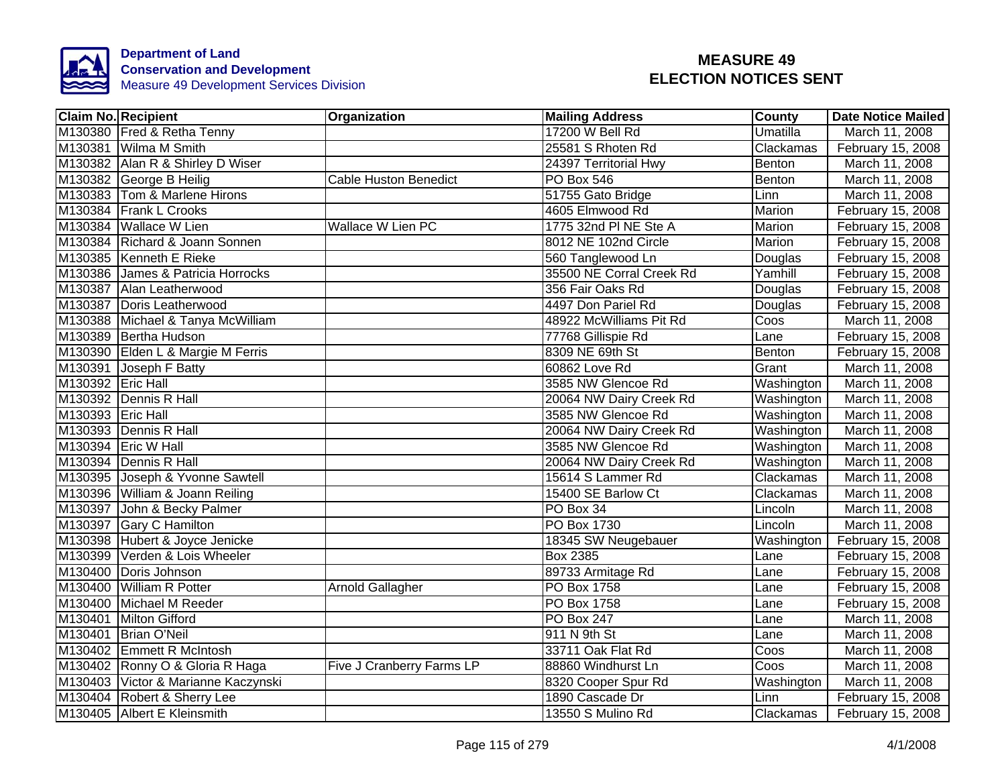

|                   | <b>Claim No. Recipient</b>          | Organization                 | <b>Mailing Address</b>   | <b>County</b> | <b>Date Notice Mailed</b> |
|-------------------|-------------------------------------|------------------------------|--------------------------|---------------|---------------------------|
|                   | M130380 Fred & Retha Tenny          |                              | 17200 W Bell Rd          | Umatilla      | March 11, 2008            |
|                   | M130381 Wilma M Smith               |                              | 25581 S Rhoten Rd        | Clackamas     | February 15, 2008         |
|                   | M130382 Alan R & Shirley D Wiser    |                              | 24397 Territorial Hwy    | Benton        | March 11, 2008            |
|                   | M130382 George B Heilig             | <b>Cable Huston Benedict</b> | PO Box 546               | Benton        | March 11, 2008            |
|                   | M130383 Tom & Marlene Hirons        |                              | 51755 Gato Bridge        | Linn          | March 11, 2008            |
|                   | M130384 Frank L Crooks              |                              | 4605 Elmwood Rd          | Marion        | February 15, 2008         |
|                   | M130384 Wallace W Lien              | Wallace W Lien PC            | 1775 32nd PI NE Ste A    | Marion        | February 15, 2008         |
|                   | M130384 Richard & Joann Sonnen      |                              | 8012 NE 102nd Circle     | Marion        | February 15, 2008         |
|                   | M130385 Kenneth E Rieke             |                              | 560 Tanglewood Ln        | Douglas       | February 15, 2008         |
|                   | M130386 James & Patricia Horrocks   |                              | 35500 NE Corral Creek Rd | Yamhill       | February 15, 2008         |
|                   | M130387 Alan Leatherwood            |                              | 356 Fair Oaks Rd         | Douglas       | February 15, 2008         |
|                   | M130387 Doris Leatherwood           |                              | 4497 Don Pariel Rd       | Douglas       | February 15, 2008         |
|                   | M130388 Michael & Tanya McWilliam   |                              | 48922 McWilliams Pit Rd  | Coos          | March 11, 2008            |
|                   | M130389 Bertha Hudson               |                              | 77768 Gillispie Rd       | Lane          | February 15, 2008         |
|                   | M130390 Elden L & Margie M Ferris   |                              | 8309 NE 69th St          | Benton        | February 15, 2008         |
|                   | M130391 Joseph F Batty              |                              | 60862 Love Rd            | Grant         | March 11, 2008            |
| M130392 Eric Hall |                                     |                              | 3585 NW Glencoe Rd       | Washington    | March 11, 2008            |
|                   | M130392 Dennis R Hall               |                              | 20064 NW Dairy Creek Rd  | Washington    | March 11, 2008            |
| M130393 Eric Hall |                                     |                              | 3585 NW Glencoe Rd       | Washington    | March 11, 2008            |
|                   | M130393 Dennis R Hall               |                              | 20064 NW Dairy Creek Rd  | Washington    | March 11, 2008            |
|                   | M130394 Eric W Hall                 |                              | 3585 NW Glencoe Rd       | Washington    | March 11, 2008            |
|                   | M130394 Dennis R Hall               |                              | 20064 NW Dairy Creek Rd  | Washington    | March 11, 2008            |
|                   | M130395 Joseph & Yvonne Sawtell     |                              | 15614 S Lammer Rd        | Clackamas     | March 11, 2008            |
|                   | M130396 William & Joann Reiling     |                              | 15400 SE Barlow Ct       | Clackamas     | March 11, 2008            |
|                   | M130397 John & Becky Palmer         |                              | PO Box 34                | Lincoln       | March 11, 2008            |
|                   | M130397 Gary C Hamilton             |                              | <b>PO Box 1730</b>       | Lincoln       | March 11, 2008            |
|                   | M130398 Hubert & Joyce Jenicke      |                              | 18345 SW Neugebauer      | Washington    | February 15, 2008         |
|                   | M130399 Verden & Lois Wheeler       |                              | <b>Box 2385</b>          | Lane          | February 15, 2008         |
| M130400           | Doris Johnson                       |                              | 89733 Armitage Rd        | Lane          | February 15, 2008         |
| M130400           | <b>William R Potter</b>             | Arnold Gallagher             | PO Box 1758              | Lane          | February 15, 2008         |
|                   | M130400 Michael M Reeder            |                              | PO Box 1758              | Lane          | February 15, 2008         |
|                   | M130401 Milton Gifford              |                              | <b>PO Box 247</b>        | Lane          | March 11, 2008            |
|                   | M130401 Brian O'Neil                |                              | 911 N 9th St             | Lane          | March 11, 2008            |
|                   | M130402 Emmett R McIntosh           |                              | 33711 Oak Flat Rd        | Coos          | March 11, 2008            |
|                   | M130402 Ronny O & Gloria R Haga     | Five J Cranberry Farms LP    | 88860 Windhurst Ln       | Coos          | March 11, 2008            |
|                   | M130403 Victor & Marianne Kaczynski |                              | 8320 Cooper Spur Rd      | Washington    | March 11, 2008            |
|                   | M130404 Robert & Sherry Lee         |                              | 1890 Cascade Dr          | Linn          | February 15, 2008         |
|                   | M130405 Albert E Kleinsmith         |                              | 13550 S Mulino Rd        | Clackamas     | February 15, 2008         |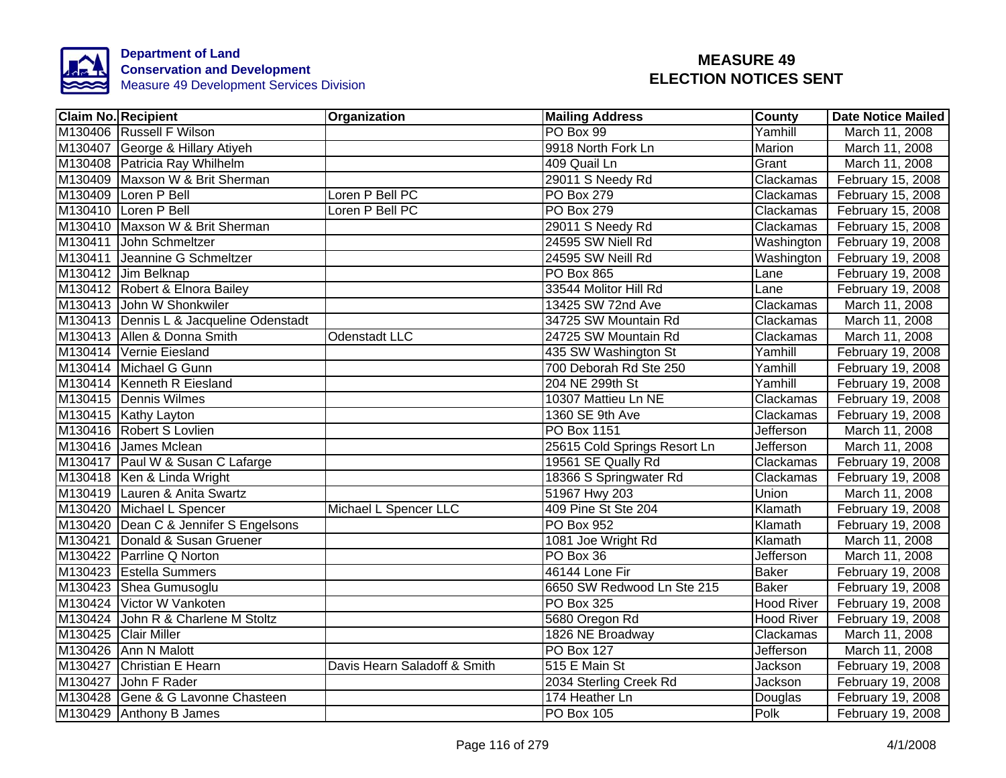

| <b>Claim No. Recipient</b>              | Organization                 | <b>Mailing Address</b>       | <b>County</b>     | <b>Date Notice Mailed</b> |
|-----------------------------------------|------------------------------|------------------------------|-------------------|---------------------------|
| M130406 Russell F Wilson                |                              | PO Box 99                    | Yamhill           | March 11, 2008            |
| M130407 George & Hillary Atiyeh         |                              | 9918 North Fork Ln           | Marion            | March 11, 2008            |
| M130408 Patricia Ray Whilhelm           |                              | 409 Quail Ln                 | Grant             | March 11, 2008            |
| M130409 Maxson W & Brit Sherman         |                              | 29011 S Needy Rd             | Clackamas         | February 15, 2008         |
| M130409 Loren P Bell                    | Loren P Bell PC              | PO Box 279                   | Clackamas         | February 15, 2008         |
| M130410 Loren P Bell                    | Loren P Bell PC              | PO Box 279                   | Clackamas         | February 15, 2008         |
| M130410 Maxson W & Brit Sherman         |                              | 29011 S Needy Rd             | Clackamas         | February 15, 2008         |
| M130411 John Schmeltzer                 |                              | 24595 SW Niell Rd            | Washington        | February 19, 2008         |
| M130411 Jeannine G Schmeltzer           |                              | 24595 SW Neill Rd            | Washington        | February 19, 2008         |
| M130412 Jim Belknap                     |                              | PO Box 865                   | Lane              | February 19, 2008         |
| M130412 Robert & Elnora Bailey          |                              | 33544 Molitor Hill Rd        | Lane              | February 19, 2008         |
| M130413 John W Shonkwiler               |                              | 13425 SW 72nd Ave            | Clackamas         | March 11, 2008            |
| M130413 Dennis L & Jacqueline Odenstadt |                              | 34725 SW Mountain Rd         | Clackamas         | March 11, 2008            |
| M130413 Allen & Donna Smith             | Odenstadt LLC                | 24725 SW Mountain Rd         | Clackamas         | March 11, 2008            |
| M130414 Vernie Eiesland                 |                              | 435 SW Washington St         | Yamhill           | February 19, 2008         |
| M130414 Michael G Gunn                  |                              | 700 Deborah Rd Ste 250       | Yamhill           | February 19, 2008         |
| M130414 Kenneth R Eiesland              |                              | 204 NE 299th St              | Yamhill           | February 19, 2008         |
| M130415 Dennis Wilmes                   |                              | 10307 Mattieu Ln NE          | Clackamas         | February 19, 2008         |
| M130415 Kathy Layton                    |                              | 1360 SE 9th Ave              | Clackamas         | February 19, 2008         |
| M130416 Robert S Lovlien                |                              | PO Box 1151                  | Jefferson         | March 11, 2008            |
| M130416 James Mclean                    |                              | 25615 Cold Springs Resort Ln | Jefferson         | March 11, 2008            |
| M130417 Paul W & Susan C Lafarge        |                              | 19561 SE Qually Rd           | Clackamas         | February 19, 2008         |
| M130418 Ken & Linda Wright              |                              | 18366 S Springwater Rd       | Clackamas         | February 19, 2008         |
| M130419 Lauren & Anita Swartz           |                              | 51967 Hwy 203                | Union             | March 11, 2008            |
| M130420 Michael L Spencer               | Michael L Spencer LLC        | 409 Pine St Ste 204          | Klamath           | February 19, 2008         |
| M130420 Dean C & Jennifer S Engelsons   |                              | <b>PO Box 952</b>            | Klamath           | February 19, 2008         |
| M130421 Donald & Susan Gruener          |                              | 1081 Joe Wright Rd           | Klamath           | March 11, 2008            |
| M130422 Parrline Q Norton               |                              | PO Box 36                    | <b>Jefferson</b>  | March 11, 2008            |
| M130423 Estella Summers                 |                              | 46144 Lone Fir               | <b>Baker</b>      | February 19, 2008         |
| M130423 Shea Gumusoglu                  |                              | 6650 SW Redwood Ln Ste 215   | <b>Baker</b>      | February 19, 2008         |
| M130424 Victor W Vankoten               |                              | PO Box 325                   | <b>Hood River</b> | February 19, 2008         |
| M130424 John R & Charlene M Stoltz      |                              | 5680 Oregon Rd               | <b>Hood River</b> | February 19, 2008         |
| M130425 Clair Miller                    |                              | 1826 NE Broadway             | Clackamas         | March 11, 2008            |
| M130426 Ann N Malott                    |                              | <b>PO Box 127</b>            | Jefferson         | March 11, 2008            |
| M130427 Christian E Hearn               | Davis Hearn Saladoff & Smith | 515 E Main St                | Jackson           | February 19, 2008         |
| M130427 John F Rader                    |                              | 2034 Sterling Creek Rd       | Jackson           | February 19, 2008         |
| M130428 Gene & G Lavonne Chasteen       |                              | 174 Heather Ln               | Douglas           | February 19, 2008         |
| M130429 Anthony B James                 |                              | <b>PO Box 105</b>            | Polk              | February 19, 2008         |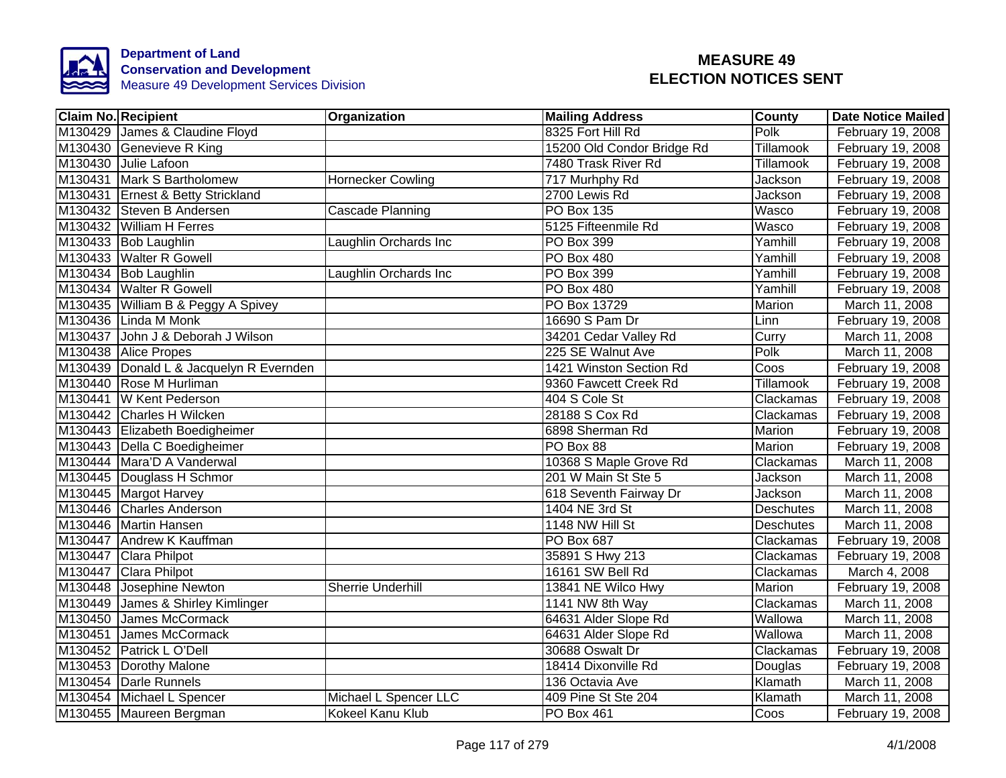

|         | <b>Claim No. Recipient</b>              | Organization             | <b>Mailing Address</b>     | County           | <b>Date Notice Mailed</b> |
|---------|-----------------------------------------|--------------------------|----------------------------|------------------|---------------------------|
|         | M130429 James & Claudine Floyd          |                          | 8325 Fort Hill Rd          | Polk             | February 19, 2008         |
|         | M130430 Genevieve R King                |                          | 15200 Old Condor Bridge Rd | Tillamook        | February 19, 2008         |
|         | M130430 Julie Lafoon                    |                          | 7480 Trask River Rd        | Tillamook        | February 19, 2008         |
|         | M130431 Mark S Bartholomew              | <b>Hornecker Cowling</b> | 717 Murhphy Rd             | Jackson          | February 19, 2008         |
|         | M130431 Ernest & Betty Strickland       |                          | 2700 Lewis Rd              | Jackson          | February 19, 2008         |
|         | M130432 Steven B Andersen               | Cascade Planning         | <b>PO Box 135</b>          | Wasco            | February 19, 2008         |
|         | M130432 William H Ferres                |                          | 5125 Fifteenmile Rd        | Wasco            | February 19, 2008         |
|         | M130433 Bob Laughlin                    | Laughlin Orchards Inc    | PO Box 399                 | Yamhill          | February 19, 2008         |
|         | M130433 Walter R Gowell                 |                          | <b>PO Box 480</b>          | Yamhill          | February 19, 2008         |
|         | M130434 Bob Laughlin                    | Laughlin Orchards Inc    | PO Box 399                 | Yamhill          | February 19, 2008         |
|         | M130434 Walter R Gowell                 |                          | PO Box 480                 | Yamhill          | February 19, 2008         |
|         | M130435 William B & Peggy A Spivey      |                          | PO Box 13729               | Marion           | March 11, 2008            |
|         | M130436 Linda M Monk                    |                          | 16690 S Pam Dr             | Linn             | February 19, 2008         |
|         | M130437 John J & Deborah J Wilson       |                          | 34201 Cedar Valley Rd      | Curry            | March 11, 2008            |
|         | M130438 Alice Propes                    |                          | 225 SE Walnut Ave          | Polk             | March 11, 2008            |
|         | M130439 Donald L & Jacquelyn R Evernden |                          | 1421 Winston Section Rd    | Coos             | February 19, 2008         |
|         | M130440 Rose M Hurliman                 |                          | 9360 Fawcett Creek Rd      | <b>Tillamook</b> | February 19, 2008         |
|         | M130441 W Kent Pederson                 |                          | 404 S Cole St              | Clackamas        | February 19, 2008         |
|         | M130442 Charles H Wilcken               |                          | 28188 S Cox Rd             | Clackamas        | February 19, 2008         |
|         | M130443 Elizabeth Boedigheimer          |                          | 6898 Sherman Rd            | Marion           | February 19, 2008         |
|         | M130443 Della C Boedigheimer            |                          | PO Box 88                  | Marion           | February 19, 2008         |
|         | M130444 Mara'D A Vanderwal              |                          | 10368 S Maple Grove Rd     | Clackamas        | March 11, 2008            |
|         | M130445 Douglass H Schmor               |                          | 201 W Main St Ste 5        | Jackson          | March 11, 2008            |
|         | M130445 Margot Harvey                   |                          | 618 Seventh Fairway Dr     | Jackson          | March 11, 2008            |
|         | M130446 Charles Anderson                |                          | 1404 NE 3rd St             | <b>Deschutes</b> | March 11, 2008            |
|         | M130446 Martin Hansen                   |                          | 1148 NW Hill St            | <b>Deschutes</b> | March 11, 2008            |
|         | M130447 Andrew K Kauffman               |                          | PO Box 687                 | Clackamas        | February 19, 2008         |
|         | M130447 Clara Philpot                   |                          | 35891 S Hwy 213            | Clackamas        | February 19, 2008         |
|         | M130447 Clara Philpot                   |                          | 16161 SW Bell Rd           | Clackamas        | March 4, 2008             |
|         | M130448 Josephine Newton                | <b>Sherrie Underhill</b> | 13841 NE Wilco Hwy         | Marion           | February 19, 2008         |
|         | M130449 James & Shirley Kimlinger       |                          | 1141 NW 8th Way            | Clackamas        | March 11, 2008            |
| M130450 | James McCormack                         |                          | 64631 Alder Slope Rd       | Wallowa          | March 11, 2008            |
|         | M130451 James McCormack                 |                          | 64631 Alder Slope Rd       | Wallowa          | March 11, 2008            |
|         | M130452 Patrick L O'Dell                |                          | 30688 Oswalt Dr            | Clackamas        | February 19, 2008         |
|         | M130453 Dorothy Malone                  |                          | 18414 Dixonville Rd        | Douglas          | February 19, 2008         |
|         | M130454 Darle Runnels                   |                          | 136 Octavia Ave            | Klamath          | March 11, 2008            |
|         | M130454 Michael L Spencer               | Michael L Spencer LLC    | 409 Pine St Ste 204        | Klamath          | March 11, 2008            |
|         | M130455 Maureen Bergman                 | Kokeel Kanu Klub         | PO Box 461                 | Coos             | February 19, 2008         |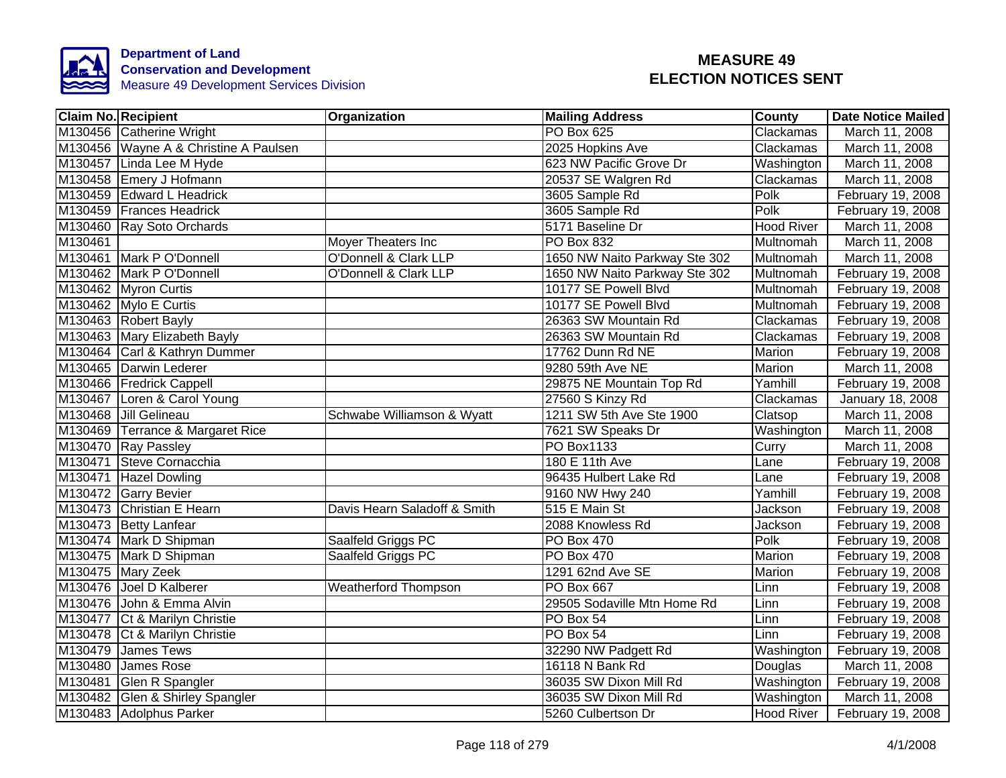

|         | <b>Claim No. Recipient</b>            | Organization                 | <b>Mailing Address</b>        | County            | <b>Date Notice Mailed</b> |
|---------|---------------------------------------|------------------------------|-------------------------------|-------------------|---------------------------|
|         | M130456 Catherine Wright              |                              | <b>PO Box 625</b>             | Clackamas         | March 11, 2008            |
|         | M130456 Wayne A & Christine A Paulsen |                              | 2025 Hopkins Ave              | Clackamas         | March 11, 2008            |
|         | M130457 Linda Lee M Hyde              |                              | 623 NW Pacific Grove Dr       | Washington        | March 11, 2008            |
|         | M130458 Emery J Hofmann               |                              | 20537 SE Walgren Rd           | Clackamas         | March 11, 2008            |
|         | M130459 Edward L Headrick             |                              | 3605 Sample Rd                | Polk              | February 19, 2008         |
|         | M130459 Frances Headrick              |                              | 3605 Sample Rd                | Polk              | February 19, 2008         |
|         | M130460 Ray Soto Orchards             |                              | 5171 Baseline Dr              | <b>Hood River</b> | March 11, 2008            |
| M130461 |                                       | Moyer Theaters Inc           | PO Box 832                    | Multnomah         | March 11, 2008            |
|         | M130461 Mark P O'Donnell              | O'Donnell & Clark LLP        | 1650 NW Naito Parkway Ste 302 | Multnomah         | March 11, 2008            |
|         | M130462 Mark P O'Donnell              | O'Donnell & Clark LLP        | 1650 NW Naito Parkway Ste 302 | Multnomah         | February 19, 2008         |
|         | M130462 Myron Curtis                  |                              | 10177 SE Powell Blvd          | Multnomah         | February 19, 2008         |
|         | M130462 Mylo E Curtis                 |                              | 10177 SE Powell Blvd          | Multnomah         | February 19, 2008         |
|         | M130463 Robert Bayly                  |                              | 26363 SW Mountain Rd          | Clackamas         | February 19, 2008         |
|         | M130463 Mary Elizabeth Bayly          |                              | 26363 SW Mountain Rd          | Clackamas         | February 19, 2008         |
|         | M130464 Carl & Kathryn Dummer         |                              | 17762 Dunn Rd NE              | <b>Marion</b>     | February 19, 2008         |
|         | M130465 Darwin Lederer                |                              | 9280 59th Ave NE              | <b>Marion</b>     | March 11, 2008            |
|         | M130466 Fredrick Cappell              |                              | 29875 NE Mountain Top Rd      | Yamhill           | February 19, 2008         |
|         | M130467 Loren & Carol Young           |                              | 27560 S Kinzy Rd              | Clackamas         | January 18, 2008          |
|         | M130468 Jill Gelineau                 | Schwabe Williamson & Wyatt   | 1211 SW 5th Ave Ste 1900      | Clatsop           | March 11, 2008            |
|         | M130469 Terrance & Margaret Rice      |                              | 7621 SW Speaks Dr             | Washington        | March 11, 2008            |
|         | M130470 Ray Passley                   |                              | <b>PO Box1133</b>             | Curry             | March 11, 2008            |
|         | M130471 Steve Cornacchia              |                              | 180 E 11th Ave                | Lane              | February 19, 2008         |
|         | M130471 Hazel Dowling                 |                              | 96435 Hulbert Lake Rd         | Lane              | February 19, 2008         |
|         | M130472 Garry Bevier                  |                              | 9160 NW Hwy 240               | Yamhill           | February 19, 2008         |
|         | M130473 Christian E Hearn             | Davis Hearn Saladoff & Smith | 515 E Main St                 | Jackson           | February 19, 2008         |
|         | M130473 Betty Lanfear                 |                              | 2088 Knowless Rd              | Jackson           | February 19, 2008         |
|         | M130474 Mark D Shipman                | Saalfeld Griggs PC           | <b>PO Box 470</b>             | Polk              | February 19, 2008         |
|         | M130475 Mark D Shipman                | Saalfeld Griggs PC           | PO Box 470                    | Marion            | February 19, 2008         |
|         | M130475 Mary Zeek                     |                              | 1291 62nd Ave SE              | Marion            | February 19, 2008         |
|         | M130476 Joel D Kalberer               | <b>Weatherford Thompson</b>  | <b>PO Box 667</b>             | Linn              | February 19, 2008         |
|         | M130476 John & Emma Alvin             |                              | 29505 Sodaville Mtn Home Rd   | Linn              | February 19, 2008         |
|         | M130477 Ct & Marilyn Christie         |                              | PO Box 54                     | Linn              | February 19, 2008         |
|         | M130478 Ct & Marilyn Christie         |                              | PO Box 54                     | Linn              | February 19, 2008         |
|         | M130479 James Tews                    |                              | 32290 NW Padgett Rd           | Washington        | February 19, 2008         |
|         | M130480 James Rose                    |                              | 16118 N Bank Rd               | Douglas           | March 11, 2008            |
|         | M130481 Glen R Spangler               |                              | 36035 SW Dixon Mill Rd        | Washington        | February 19, 2008         |
|         | M130482 Glen & Shirley Spangler       |                              | 36035 SW Dixon Mill Rd        | Washington        | March 11, 2008            |
|         | M130483 Adolphus Parker               |                              | 5260 Culbertson Dr            | <b>Hood River</b> | February 19, 2008         |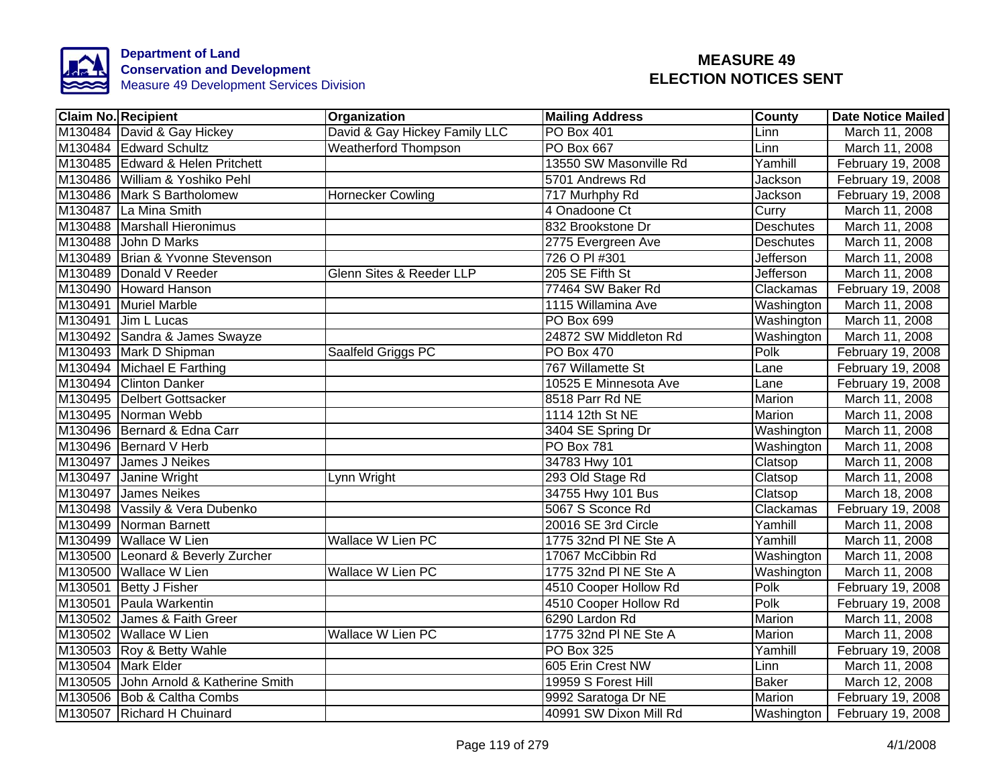

| <b>Claim No. Recipient</b>            | Organization                  | <b>Mailing Address</b> | <b>County</b>    | <b>Date Notice Mailed</b> |
|---------------------------------------|-------------------------------|------------------------|------------------|---------------------------|
| M130484 David & Gay Hickey            | David & Gay Hickey Family LLC | PO Box 401             | Linn             | March 11, 2008            |
| M130484 Edward Schultz                | <b>Weatherford Thompson</b>   | PO Box 667             | Linn             | March 11, 2008            |
| M130485 Edward & Helen Pritchett      |                               | 13550 SW Masonville Rd | Yamhill          | February 19, 2008         |
| M130486 William & Yoshiko Pehl        |                               | 5701 Andrews Rd        | Jackson          | February 19, 2008         |
| M130486 Mark S Bartholomew            | <b>Hornecker Cowling</b>      | 717 Murhphy Rd         | Jackson          | February 19, 2008         |
| M130487 La Mina Smith                 |                               | 4 Onadoone Ct          | Curry            | March 11, 2008            |
| M130488 Marshall Hieronimus           |                               | 832 Brookstone Dr      | <b>Deschutes</b> | March 11, 2008            |
| M130488 John D Marks                  |                               | 2775 Evergreen Ave     | Deschutes        | March 11, 2008            |
| M130489 Brian & Yvonne Stevenson      |                               | 726 O PI #301          | Jefferson        | March 11, 2008            |
| M130489 Donald V Reeder               | Glenn Sites & Reeder LLP      | 205 SE Fifth St        | Jefferson        | March 11, 2008            |
| M130490 Howard Hanson                 |                               | 77464 SW Baker Rd      | Clackamas        | February 19, 2008         |
| M130491 Muriel Marble                 |                               | 1115 Willamina Ave     | Washington       | March 11, 2008            |
| M130491 Jim L Lucas                   |                               | PO Box 699             | Washington       | March 11, 2008            |
| M130492 Sandra & James Swayze         |                               | 24872 SW Middleton Rd  | Washington       | March 11, 2008            |
| M130493 Mark D Shipman                | Saalfeld Griggs PC            | PO Box 470             | Polk             | February 19, 2008         |
| M130494 Michael E Farthing            |                               | 767 Willamette St      | Lane             | February 19, 2008         |
| M130494 Clinton Danker                |                               | 10525 E Minnesota Ave  | Lane             | February 19, 2008         |
| M130495 Delbert Gottsacker            |                               | 8518 Parr Rd NE        | <b>Marion</b>    | March 11, 2008            |
| M130495 Norman Webb                   |                               | 1114 12th St NE        | <b>Marion</b>    | March 11, 2008            |
| M130496 Bernard & Edna Carr           |                               | 3404 SE Spring Dr      | Washington       | March 11, 2008            |
| M130496 Bernard V Herb                |                               | <b>PO Box 781</b>      | Washington       | March 11, 2008            |
| M130497 James J Neikes                |                               | 34783 Hwy 101          | Clatsop          | March 11, 2008            |
| M130497 Janine Wright                 | Lynn Wright                   | 293 Old Stage Rd       | Clatsop          | March 11, 2008            |
| M130497 James Neikes                  |                               | 34755 Hwy 101 Bus      | Clatsop          | March 18, 2008            |
| M130498 Vassily & Vera Dubenko        |                               | 5067 S Sconce Rd       | Clackamas        | February 19, 2008         |
| M130499 Norman Barnett                |                               | 20016 SE 3rd Circle    | Yamhill          | March 11, 2008            |
| M130499 Wallace W Lien                | <b>Wallace W Lien PC</b>      | 1775 32nd PI NE Ste A  | Yamhill          | March 11, 2008            |
| M130500 Leonard & Beverly Zurcher     |                               | 17067 McCibbin Rd      | Washington       | March 11, 2008            |
| M130500 Wallace W Lien                | Wallace W Lien PC             | 1775 32nd PI NE Ste A  | Washington       | March 11, 2008            |
| M130501 Betty J Fisher                |                               | 4510 Cooper Hollow Rd  | Polk             | February 19, 2008         |
| M130501 Paula Warkentin               |                               | 4510 Cooper Hollow Rd  | Polk             | February 19, 2008         |
| M130502 James & Faith Greer           |                               | 6290 Lardon Rd         | Marion           | March 11, 2008            |
| M130502 Wallace W Lien                | Wallace W Lien PC             | 1775 32nd PI NE Ste A  | Marion           | March 11, 2008            |
| M130503 Roy & Betty Wahle             |                               | PO Box 325             | Yamhill          | February 19, 2008         |
| M130504 Mark Elder                    |                               | 605 Erin Crest NW      | Linn             | March 11, 2008            |
| M130505 John Arnold & Katherine Smith |                               | 19959 S Forest Hill    | Baker            | March 12, 2008            |
| M130506 Bob & Caltha Combs            |                               | 9992 Saratoga Dr NE    | Marion           | February 19, 2008         |
| M130507 Richard H Chuinard            |                               | 40991 SW Dixon Mill Rd | Washington       | February 19, 2008         |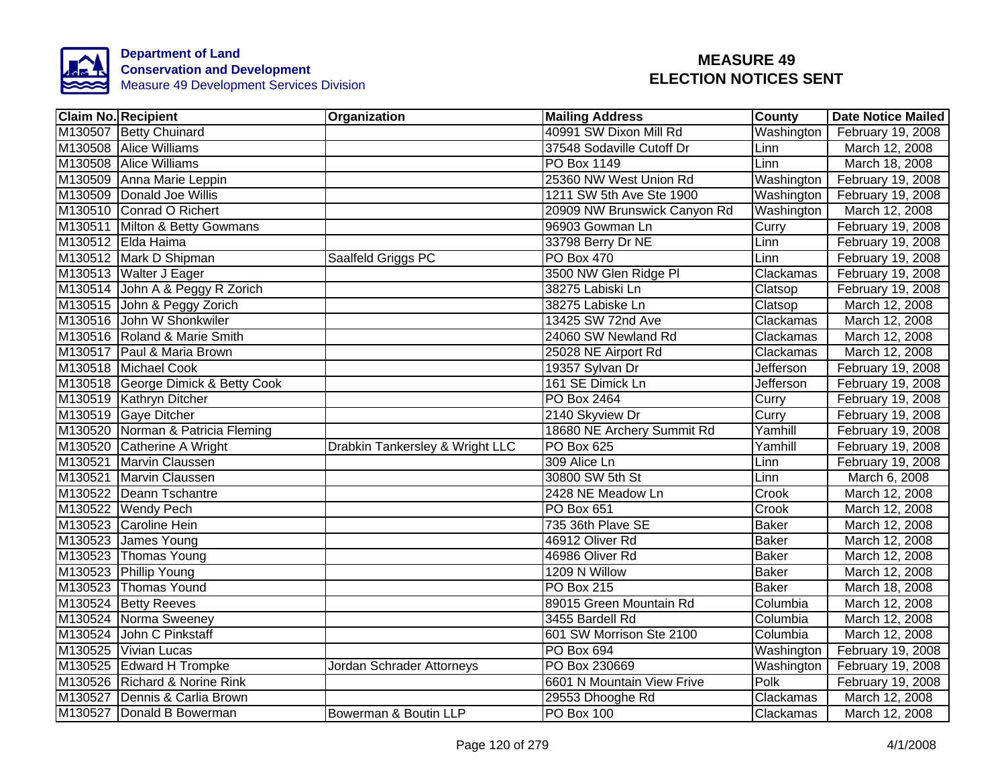

| Claim No. Recipient                | Organization                    | <b>Mailing Address</b>       | County           | Date Notice Mailed |
|------------------------------------|---------------------------------|------------------------------|------------------|--------------------|
| M130507 Betty Chuinard             |                                 | 40991 SW Dixon Mill Rd       | Washington       | February 19, 2008  |
| M130508 Alice Williams             |                                 | 37548 Sodaville Cutoff Dr    | Linn             | March 12, 2008     |
| M130508 Alice Williams             |                                 | PO Box 1149                  | Linn             | March 18, 2008     |
| M130509 Anna Marie Leppin          |                                 | 25360 NW West Union Rd       | Washington       | February 19, 2008  |
| M130509 Donald Joe Willis          |                                 | 1211 SW 5th Ave Ste 1900     | Washington       | February 19, 2008  |
| M130510 Conrad O Richert           |                                 | 20909 NW Brunswick Canyon Rd | Washington       | March 12, 2008     |
| M130511 Milton & Betty Gowmans     |                                 | 96903 Gowman Ln              | Curry            | February 19, 2008  |
| M130512 Elda Haima                 |                                 | 33798 Berry Dr NE            | Linn             | February 19, 2008  |
| M130512 Mark D Shipman             | Saalfeld Griggs PC              | <b>PO Box 470</b>            | Linn             | February 19, 2008  |
| M130513 Walter J Eager             |                                 | 3500 NW Glen Ridge Pl        | Clackamas        | February 19, 2008  |
| M130514 John A & Peggy R Zorich    |                                 | 38275 Labiski Ln             | Clatsop          | February 19, 2008  |
| M130515 John & Peggy Zorich        |                                 | 38275 Labiske Ln             | Clatsop          | March 12, 2008     |
| M130516 John W Shonkwiler          |                                 | 13425 SW 72nd Ave            | Clackamas        | March 12, 2008     |
| M130516 Roland & Marie Smith       |                                 | 24060 SW Newland Rd          | Clackamas        | March 12, 2008     |
| M130517 Paul & Maria Brown         |                                 | 25028 NE Airport Rd          | Clackamas        | March 12, 2008     |
| M130518 Michael Cook               |                                 | 19357 Sylvan Dr              | <b>Jefferson</b> | February 19, 2008  |
| M130518 George Dimick & Betty Cook |                                 | 161 SE Dimick Ln             | Jefferson        | February 19, 2008  |
| M130519 Kathryn Ditcher            |                                 | PO Box 2464                  | Curry            | February 19, 2008  |
| M130519 Gaye Ditcher               |                                 | 2140 Skyview Dr              | Curry            | February 19, 2008  |
| M130520 Norman & Patricia Fleming  |                                 | 18680 NE Archery Summit Rd   | Yamhill          | February 19, 2008  |
| M130520 Catherine A Wright         | Drabkin Tankersley & Wright LLC | <b>PO Box 625</b>            | Yamhill          | February 19, 2008  |
| M130521 Marvin Claussen            |                                 | 309 Alice Ln                 | Linn             | February 19, 2008  |
| M130521 Marvin Claussen            |                                 | 30800 SW 5th St              | Linn             | March 6, 2008      |
| M130522 Deann Tschantre            |                                 | 2428 NE Meadow Ln            | Crook            | March 12, 2008     |
| M130522 Wendy Pech                 |                                 | <b>PO Box 651</b>            | Crook            | March 12, 2008     |
| M130523 Caroline Hein              |                                 | 735 36th Plave SE            | <b>Baker</b>     | March 12, 2008     |
| M130523 James Young                |                                 | 46912 Oliver Rd              | <b>Baker</b>     | March 12, 2008     |
| M130523 Thomas Young               |                                 | 46986 Oliver Rd              | <b>Baker</b>     | March 12, 2008     |
| M130523 Phillip Young              |                                 | 1209 N Willow                | <b>Baker</b>     | March 12, 2008     |
| M130523 Thomas Yound               |                                 | <b>PO Box 215</b>            | <b>Baker</b>     | March 18, 2008     |
| M130524 Betty Reeves               |                                 | 89015 Green Mountain Rd      | Columbia         | March 12, 2008     |
| M130524 Norma Sweeney              |                                 | 3455 Bardell Rd              | Columbia         | March 12, 2008     |
| M130524 John C Pinkstaff           |                                 | 601 SW Morrison Ste 2100     | Columbia         | March 12, 2008     |
| M130525 Vivian Lucas               |                                 | <b>PO Box 694</b>            | Washington       | February 19, 2008  |
| M130525 Edward H Trompke           | Jordan Schrader Attorneys       | PO Box 230669                | Washington       | February 19, 2008  |
| M130526 Richard & Norine Rink      |                                 | 6601 N Mountain View Frive   | Polk             | February 19, 2008  |
| M130527 Dennis & Carlia Brown      |                                 | 29553 Dhooghe Rd             | Clackamas        | March 12, 2008     |
| M130527 Donald B Bowerman          | Bowerman & Boutin LLP           | <b>PO Box 100</b>            | Clackamas        | March 12, 2008     |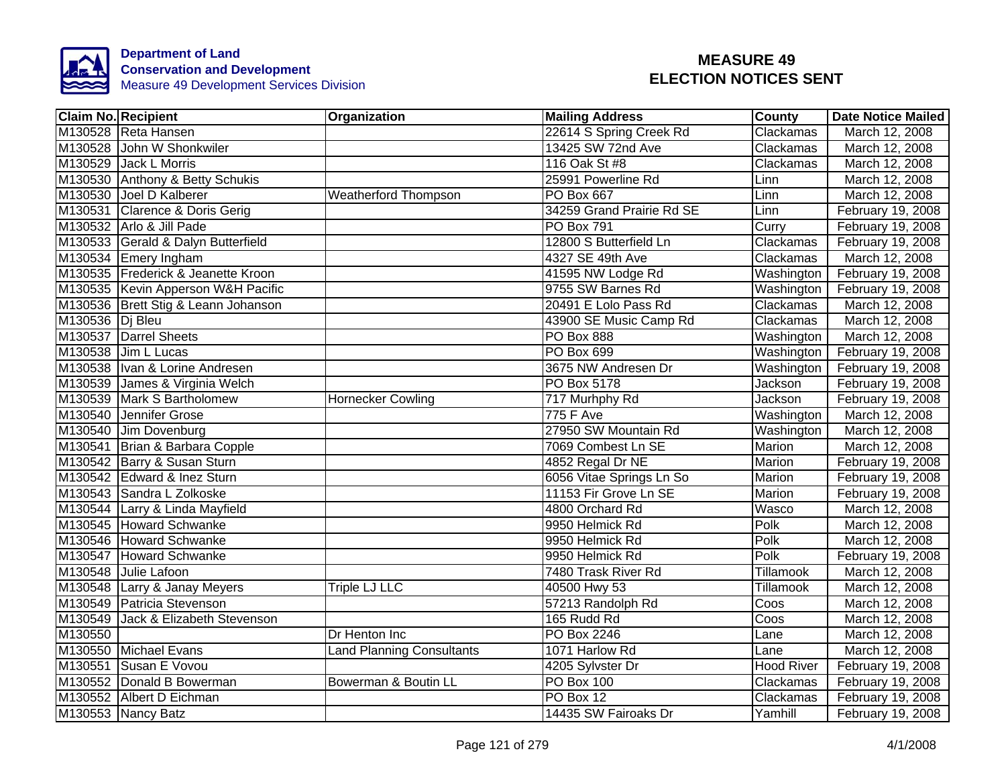

|                 | <b>Claim No. Recipient</b>          | Organization                | <b>Mailing Address</b>    | <b>County</b>     | <b>Date Notice Mailed</b> |
|-----------------|-------------------------------------|-----------------------------|---------------------------|-------------------|---------------------------|
|                 | M130528 Reta Hansen                 |                             | 22614 S Spring Creek Rd   | Clackamas         | March 12, 2008            |
|                 | M130528 John W Shonkwiler           |                             | 13425 SW 72nd Ave         | Clackamas         | March 12, 2008            |
|                 | M130529 Jack L Morris               |                             | 116 Oak St #8             | Clackamas         | March 12, 2008            |
|                 | M130530 Anthony & Betty Schukis     |                             | 25991 Powerline Rd        | Linn              | March 12, 2008            |
|                 | M130530 Joel D Kalberer             | <b>Weatherford Thompson</b> | <b>PO Box 667</b>         | Linn              | March 12, 2008            |
|                 | M130531 Clarence & Doris Gerig      |                             | 34259 Grand Prairie Rd SE | Linn              | February 19, 2008         |
|                 | M130532 Arlo & Jill Pade            |                             | <b>PO Box 791</b>         | Curry             | February 19, 2008         |
|                 | M130533 Gerald & Dalyn Butterfield  |                             | 12800 S Butterfield Ln    | Clackamas         | February 19, 2008         |
|                 | M130534 Emery Ingham                |                             | 4327 SE 49th Ave          | Clackamas         | March 12, 2008            |
|                 | M130535 Frederick & Jeanette Kroon  |                             | 41595 NW Lodge Rd         | Washington        | February 19, 2008         |
|                 | M130535 Kevin Apperson W&H Pacific  |                             | 9755 SW Barnes Rd         | Washington        | February 19, 2008         |
|                 | M130536 Brett Stig & Leann Johanson |                             | 20491 E Lolo Pass Rd      | Clackamas         | March 12, 2008            |
| M130536 Dj Bleu |                                     |                             | 43900 SE Music Camp Rd    | Clackamas         | March 12, 2008            |
|                 | M130537 Darrel Sheets               |                             | PO Box 888                | Washington        | March 12, 2008            |
|                 | M130538 Jim L Lucas                 |                             | <b>PO Box 699</b>         | Washington        | February 19, 2008         |
|                 | M130538 Ivan & Lorine Andresen      |                             | 3675 NW Andresen Dr       | Washington        | February 19, 2008         |
|                 | M130539 James & Virginia Welch      |                             | PO Box 5178               | Jackson           | February 19, 2008         |
|                 | M130539 Mark S Bartholomew          | <b>Hornecker Cowling</b>    | 717 Murhphy Rd            | Jackson           | February 19, 2008         |
|                 | M130540 Jennifer Grose              |                             | <b>775 F Ave</b>          | Washington        | March 12, 2008            |
|                 | M130540 Jim Dovenburg               |                             | 27950 SW Mountain Rd      | Washington        | March 12, 2008            |
|                 | M130541 Brian & Barbara Copple      |                             | 7069 Combest Ln SE        | <b>Marion</b>     | March 12, 2008            |
|                 | M130542 Barry & Susan Sturn         |                             | 4852 Regal Dr NE          | <b>Marion</b>     | February 19, 2008         |
|                 | M130542 Edward & Inez Sturn         |                             | 6056 Vitae Springs Ln So  | <b>Marion</b>     | February 19, 2008         |
|                 | M130543 Sandra L Zolkoske           |                             | 11153 Fir Grove Ln SE     | Marion            | February 19, 2008         |
|                 | M130544 Larry & Linda Mayfield      |                             | 4800 Orchard Rd           | Wasco             | March 12, 2008            |
|                 | M130545 Howard Schwanke             |                             | 9950 Helmick Rd           | Polk              | March 12, 2008            |
|                 | M130546 Howard Schwanke             |                             | 9950 Helmick Rd           | Polk              | March 12, 2008            |
|                 | M130547 Howard Schwanke             |                             | 9950 Helmick Rd           | Polk              | February 19, 2008         |
|                 | M130548 Julie Lafoon                |                             | 7480 Trask River Rd       | Tillamook         | March 12, 2008            |
|                 | M130548 Larry & Janay Meyers        | Triple LJ LLC               | 40500 Hwy 53              | Tillamook         | March 12, 2008            |
|                 | M130549 Patricia Stevenson          |                             | 57213 Randolph Rd         | Coos              | March 12, 2008            |
|                 | M130549 Jack & Elizabeth Stevenson  |                             | 165 Rudd Rd               | Coos              | March 12, 2008            |
| M130550         |                                     | Dr Henton Inc               | <b>PO Box 2246</b>        | Lane              | March 12, 2008            |
|                 | M130550 Michael Evans               | Land Planning Consultants   | 1071 Harlow Rd            | Lane              | March 12, 2008            |
|                 | M130551 Susan E Vovou               |                             | 4205 Sylvster Dr          | <b>Hood River</b> | February 19, 2008         |
|                 | M130552 Donald B Bowerman           | Bowerman & Boutin LL        | PO Box 100                | Clackamas         | February 19, 2008         |
|                 | M130552 Albert D Eichman            |                             | PO Box 12                 | Clackamas         | February 19, 2008         |
|                 | M130553 Nancy Batz                  |                             | 14435 SW Fairoaks Dr      | Yamhill           | February 19, 2008         |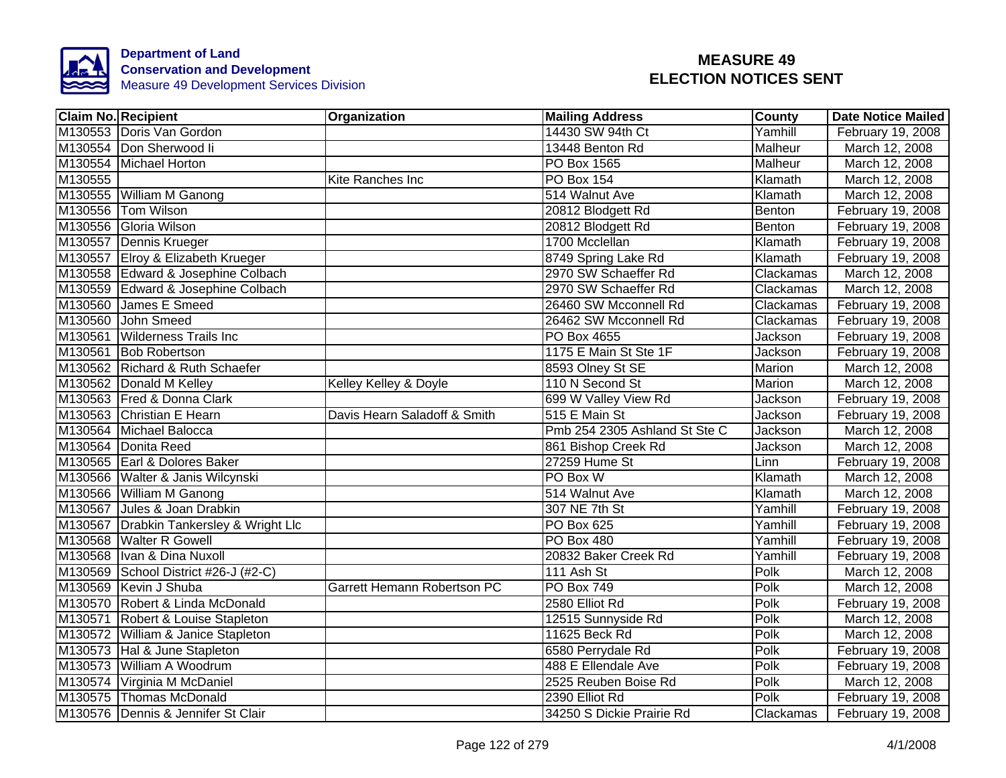

| <b>Claim No. Recipient</b>              | Organization                 | <b>Mailing Address</b>        | County         | <b>Date Notice Mailed</b> |
|-----------------------------------------|------------------------------|-------------------------------|----------------|---------------------------|
| M130553 Doris Van Gordon                |                              | 14430 SW 94th Ct              | Yamhill        | February 19, 2008         |
| M130554 Don Sherwood li                 |                              | 13448 Benton Rd               | <b>Malheur</b> | March 12, 2008            |
| M130554 Michael Horton                  |                              | PO Box 1565                   | Malheur        | March 12, 2008            |
| M130555                                 | Kite Ranches Inc             | PO Box 154                    | Klamath        | March 12, 2008            |
| M130555 William M Ganong                |                              | 514 Walnut Ave                | Klamath        | March 12, 2008            |
| M130556 Tom Wilson                      |                              | 20812 Blodgett Rd             | Benton         | February 19, 2008         |
| M130556 Gloria Wilson                   |                              | 20812 Blodgett Rd             | Benton         | February 19, 2008         |
| M130557 Dennis Krueger                  |                              | 1700 Mcclellan                | Klamath        | February 19, 2008         |
| M130557 Elroy & Elizabeth Krueger       |                              | 8749 Spring Lake Rd           | Klamath        | February 19, 2008         |
| M130558 Edward & Josephine Colbach      |                              | 2970 SW Schaeffer Rd          | Clackamas      | March 12, 2008            |
| M130559 Edward & Josephine Colbach      |                              | 2970 SW Schaeffer Rd          | Clackamas      | March 12, 2008            |
| M130560 James E Smeed                   |                              | 26460 SW Mcconnell Rd         | Clackamas      | February 19, 2008         |
| M130560 John Smeed                      |                              | 26462 SW Mcconnell Rd         | Clackamas      | February 19, 2008         |
| M130561 Wilderness Trails Inc           |                              | PO Box 4655                   | Jackson        | February 19, 2008         |
| M130561 Bob Robertson                   |                              | 1175 E Main St Ste 1F         | Jackson        | February 19, 2008         |
| M130562 Richard & Ruth Schaefer         |                              | 8593 Olney St SE              | Marion         | March 12, 2008            |
| M130562 Donald M Kelley                 | Kelley Kelley & Doyle        | 110 N Second St               | <b>Marion</b>  | March 12, 2008            |
| M130563 Fred & Donna Clark              |                              | 699 W Valley View Rd          | Jackson        | February 19, 2008         |
| M130563 Christian E Hearn               | Davis Hearn Saladoff & Smith | 515 E Main St                 | Jackson        | February 19, 2008         |
| M130564 Michael Balocca                 |                              | Pmb 254 2305 Ashland St Ste C | Jackson        | March 12, 2008            |
| M130564 Donita Reed                     |                              | 861 Bishop Creek Rd           | Jackson        | March 12, 2008            |
| M130565 Earl & Dolores Baker            |                              | 27259 Hume St                 | Linn           | February 19, 2008         |
| M130566 Walter & Janis Wilcynski        |                              | PO Box W                      | Klamath        | March 12, 2008            |
| M130566 William M Ganong                |                              | 514 Walnut Ave                | Klamath        | March 12, 2008            |
| M130567 Jules & Joan Drabkin            |                              | 307 NE 7th St                 | Yamhill        | February 19, 2008         |
| M130567 Drabkin Tankersley & Wright Llc |                              | <b>PO Box 625</b>             | Yamhill        | February 19, 2008         |
| M130568 Walter R Gowell                 |                              | PO Box 480                    | Yamhill        | February 19, 2008         |
| M130568 Ivan & Dina Nuxoll              |                              | 20832 Baker Creek Rd          | Yamhill        | February 19, 2008         |
| M130569 School District #26-J (#2-C)    |                              | 111 Ash St                    | Polk           | March 12, 2008            |
| M130569 Kevin J Shuba                   | Garrett Hemann Robertson PC  | PO Box 749                    | Polk           | March 12, 2008            |
| M130570 Robert & Linda McDonald         |                              | 2580 Elliot Rd                | Polk           | February 19, 2008         |
| M130571 Robert & Louise Stapleton       |                              | 12515 Sunnyside Rd            | Polk           | March 12, 2008            |
| M130572 William & Janice Stapleton      |                              | 11625 Beck Rd                 | Polk           | March 12, 2008            |
| M130573 Hal & June Stapleton            |                              | 6580 Perrydale Rd             | Polk           | February 19, 2008         |
| M130573 William A Woodrum               |                              | 488 E Ellendale Ave           | Polk           | February 19, 2008         |
| M130574 Virginia M McDaniel             |                              | 2525 Reuben Boise Rd          | Polk           | March 12, 2008            |
| M130575 Thomas McDonald                 |                              | 2390 Elliot Rd                | Polk           | February 19, 2008         |
| M130576 Dennis & Jennifer St Clair      |                              | 34250 S Dickie Prairie Rd     | Clackamas      | February 19, 2008         |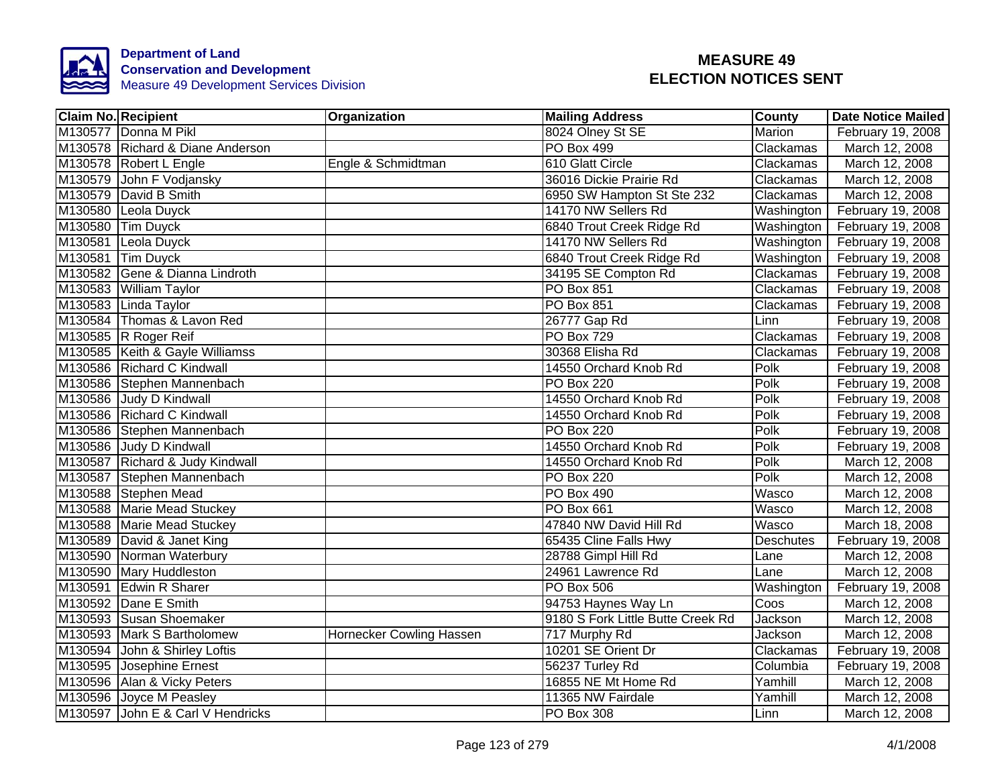

| <b>Claim No. Recipient</b>        | Organization             | <b>Mailing Address</b>            | County     | <b>Date Notice Mailed</b> |
|-----------------------------------|--------------------------|-----------------------------------|------------|---------------------------|
| M130577 Donna M Pikl              |                          | 8024 Olney St SE                  | Marion     | February 19, 2008         |
| M130578 Richard & Diane Anderson  |                          | <b>PO Box 499</b>                 | Clackamas  | March 12, 2008            |
| M130578 Robert L Engle            | Engle & Schmidtman       | 610 Glatt Circle                  | Clackamas  | March 12, 2008            |
| M130579 John F Vodjansky          |                          | 36016 Dickie Prairie Rd           | Clackamas  | March 12, 2008            |
| M130579 David B Smith             |                          | 6950 SW Hampton St Ste 232        | Clackamas  | March 12, 2008            |
| M130580 Leola Duyck               |                          | 14170 NW Sellers Rd               | Washington | February 19, 2008         |
| M130580 Tim Duyck                 |                          | 6840 Trout Creek Ridge Rd         | Washington | February 19, 2008         |
| M130581 Leola Duyck               |                          | 14170 NW Sellers Rd               | Washington | February 19, 2008         |
| M130581 Tim Duyck                 |                          | 6840 Trout Creek Ridge Rd         | Washington | February 19, 2008         |
| M130582 Gene & Dianna Lindroth    |                          | 34195 SE Compton Rd               | Clackamas  | February 19, 2008         |
| M130583 William Taylor            |                          | PO Box 851                        | Clackamas  | February 19, 2008         |
| M130583 Linda Taylor              |                          | PO Box 851                        | Clackamas  | February 19, 2008         |
| M130584 Thomas & Lavon Red        |                          | 26777 Gap Rd                      | Linn       | February 19, 2008         |
| M130585 R Roger Reif              |                          | <b>PO Box 729</b>                 | Clackamas  | February 19, 2008         |
| M130585 Keith & Gayle Williamss   |                          | 30368 Elisha Rd                   | Clackamas  | February 19, 2008         |
| M130586 Richard C Kindwall        |                          | 14550 Orchard Knob Rd             | Polk       | February 19, 2008         |
| M130586 Stephen Mannenbach        |                          | <b>PO Box 220</b>                 | Polk       | February 19, 2008         |
| M130586 Judy D Kindwall           |                          | 14550 Orchard Knob Rd             | Polk       | February 19, 2008         |
| M130586 Richard C Kindwall        |                          | 14550 Orchard Knob Rd             | Polk       | February 19, 2008         |
| M130586 Stephen Mannenbach        |                          | <b>PO Box 220</b>                 | Polk       | February 19, 2008         |
| M130586 Judy D Kindwall           |                          | 14550 Orchard Knob Rd             | Polk       | February 19, 2008         |
| M130587 Richard & Judy Kindwall   |                          | 14550 Orchard Knob Rd             | Polk       | March 12, 2008            |
| M130587 Stephen Mannenbach        |                          | <b>PO Box 220</b>                 | Polk       | March 12, 2008            |
| M130588 Stephen Mead              |                          | PO Box 490                        | Wasco      | March 12, 2008            |
| M130588 Marie Mead Stuckey        |                          | <b>PO Box 661</b>                 | Wasco      | March 12, 2008            |
| M130588 Marie Mead Stuckey        |                          | 47840 NW David Hill Rd            | Wasco      | March 18, 2008            |
| M130589 David & Janet King        |                          | 65435 Cline Falls Hwy             | Deschutes  | February 19, 2008         |
| M130590 Norman Waterbury          |                          | 28788 Gimpl Hill Rd               | Lane       | March 12, 2008            |
| M130590 Mary Huddleston           |                          | 24961 Lawrence Rd                 | Lane       | March 12, 2008            |
| M130591 Edwin R Sharer            |                          | <b>PO Box 506</b>                 | Washington | February 19, 2008         |
| M130592 Dane E Smith              |                          | 94753 Haynes Way Ln               | Coos       | March 12, 2008            |
| M130593 Susan Shoemaker           |                          | 9180 S Fork Little Butte Creek Rd | Jackson    | March 12, 2008            |
| M130593 Mark S Bartholomew        | Hornecker Cowling Hassen | 717 Murphy Rd                     | Jackson    | March 12, 2008            |
| M130594 John & Shirley Loftis     |                          | 10201 SE Orient Dr                | Clackamas  | February 19, 2008         |
| M130595 Josephine Ernest          |                          | 56237 Turley Rd                   | Columbia   | February 19, 2008         |
| M130596 Alan & Vicky Peters       |                          | 16855 NE Mt Home Rd               | Yamhill    | March 12, 2008            |
| M130596 Joyce M Peasley           |                          | 11365 NW Fairdale                 | Yamhill    | March 12, 2008            |
| M130597 John E & Carl V Hendricks |                          | PO Box 308                        | Linn       | March 12, 2008            |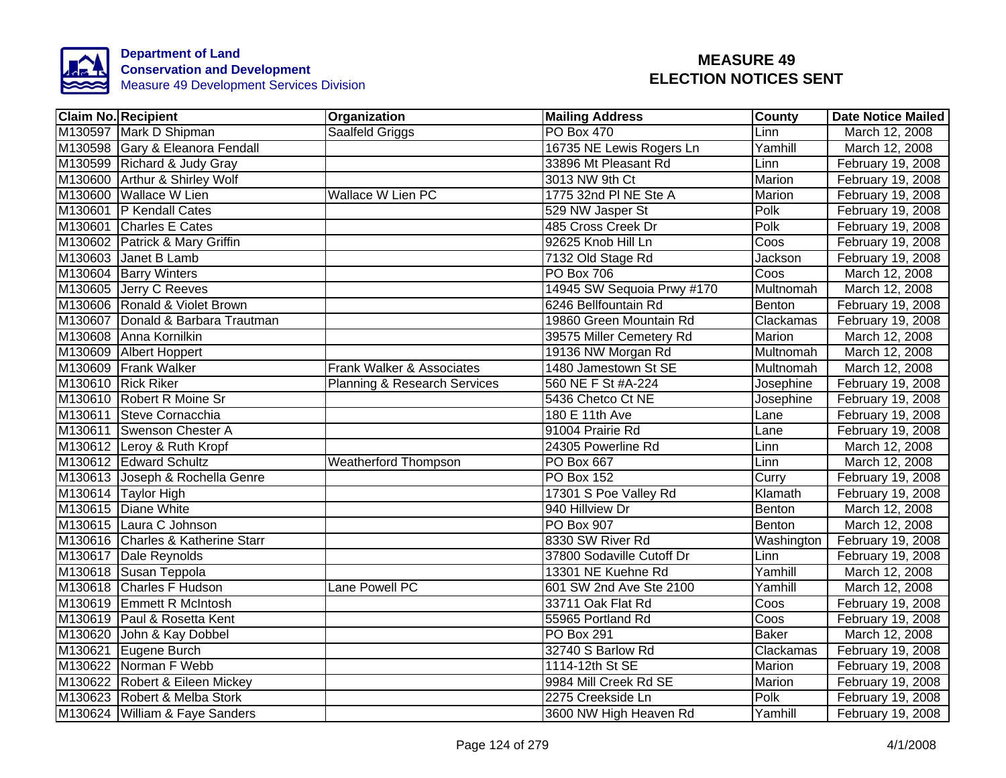

| <b>Claim No. Recipient</b>        | Organization                            | <b>Mailing Address</b>     | County           | <b>Date Notice Mailed</b> |
|-----------------------------------|-----------------------------------------|----------------------------|------------------|---------------------------|
| M130597 Mark D Shipman            | Saalfeld Griggs                         | <b>PO Box 470</b>          | Linn             | March 12, 2008            |
| M130598 Gary & Eleanora Fendall   |                                         | 16735 NE Lewis Rogers Ln   | Yamhill          | March 12, 2008            |
| M130599 Richard & Judy Gray       |                                         | 33896 Mt Pleasant Rd       | Linn             | February 19, 2008         |
| M130600 Arthur & Shirley Wolf     |                                         | 3013 NW 9th Ct             | Marion           | February 19, 2008         |
| M130600 Wallace W Lien            | Wallace W Lien PC                       | 1775 32nd PI NE Ste A      | Marion           | February 19, 2008         |
| M130601 P Kendall Cates           |                                         | 529 NW Jasper St           | Polk             | February 19, 2008         |
| M130601 Charles E Cates           |                                         | 485 Cross Creek Dr         | Polk             | February 19, 2008         |
| M130602 Patrick & Mary Griffin    |                                         | 92625 Knob Hill Ln         | Coos             | February 19, 2008         |
| M130603 Janet B Lamb              |                                         | 7132 Old Stage Rd          | Jackson          | February 19, 2008         |
| M130604 Barry Winters             |                                         | PO Box 706                 | Coos             | March 12, 2008            |
| M130605 Jerry C Reeves            |                                         | 14945 SW Sequoia Prwy #170 | Multnomah        | March 12, 2008            |
| M130606 Ronald & Violet Brown     |                                         | 6246 Bellfountain Rd       | Benton           | February 19, 2008         |
| M130607 Donald & Barbara Trautman |                                         | 19860 Green Mountain Rd    | Clackamas        | February 19, 2008         |
| M130608 Anna Kornilkin            |                                         | 39575 Miller Cemetery Rd   | Marion           | March 12, 2008            |
| M130609 Albert Hoppert            |                                         | 19136 NW Morgan Rd         | <b>Multnomah</b> | March 12, 2008            |
| M130609 Frank Walker              | Frank Walker & Associates               | 1480 Jamestown St SE       | Multnomah        | March 12, 2008            |
| M130610 Rick Riker                | <b>Planning &amp; Research Services</b> | 560 NE F St #A-224         | Josephine        | February 19, 2008         |
| M130610 Robert R Moine Sr         |                                         | 5436 Chetco Ct NE          | Josephine        | February 19, 2008         |
| M130611 Steve Cornacchia          |                                         | 180 E 11th Ave             | Lane             | February 19, 2008         |
| M130611 Swenson Chester A         |                                         | 91004 Prairie Rd           | Lane             | February 19, 2008         |
| M130612 Leroy & Ruth Kropf        |                                         | 24305 Powerline Rd         | Linn             | March 12, 2008            |
| M130612 Edward Schultz            | <b>Weatherford Thompson</b>             | <b>PO Box 667</b>          | Linn             | March 12, 2008            |
| M130613 Joseph & Rochella Genre   |                                         | <b>PO Box 152</b>          | Curry            | February 19, 2008         |
| M130614 Taylor High               |                                         | 17301 S Poe Valley Rd      | Klamath          | February 19, 2008         |
| M130615 Diane White               |                                         | 940 Hillview Dr            | Benton           | March 12, 2008            |
| M130615 Laura C Johnson           |                                         | <b>PO Box 907</b>          | Benton           | March 12, 2008            |
| M130616 Charles & Katherine Starr |                                         | 8330 SW River Rd           | Washington       | February 19, 2008         |
| M130617 Dale Reynolds             |                                         | 37800 Sodaville Cutoff Dr  | Linn             | February 19, 2008         |
| M130618 Susan Teppola             |                                         | 13301 NE Kuehne Rd         | Yamhill          | March 12, 2008            |
| M130618 Charles F Hudson          | Lane Powell PC                          | 601 SW 2nd Ave Ste 2100    | Yamhill          | March 12, 2008            |
| M130619 Emmett R McIntosh         |                                         | 33711 Oak Flat Rd          | Coos             | February 19, 2008         |
| M130619 Paul & Rosetta Kent       |                                         | 55965 Portland Rd          | Coos             | February 19, 2008         |
| M130620 John & Kay Dobbel         |                                         | <b>PO Box 291</b>          | <b>Baker</b>     | March 12, 2008            |
| M130621 Eugene Burch              |                                         | 32740 S Barlow Rd          | Clackamas        | February 19, 2008         |
| M130622 Norman F Webb             |                                         | 1114-12th St SE            | Marion           | February 19, 2008         |
| M130622 Robert & Eileen Mickey    |                                         | 9984 Mill Creek Rd SE      | Marion           | February 19, 2008         |
| M130623 Robert & Melba Stork      |                                         | 2275 Creekside Ln          | Polk             | February 19, 2008         |
| M130624 William & Faye Sanders    |                                         | 3600 NW High Heaven Rd     | Yamhill          | February 19, 2008         |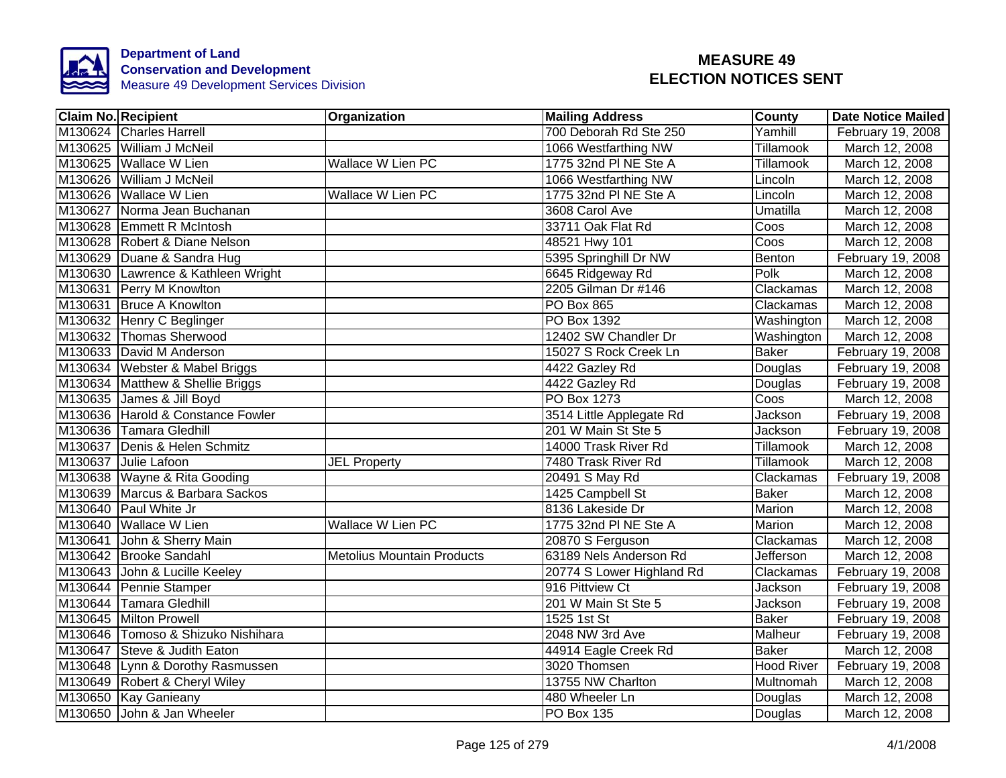

| <b>Claim No. Recipient</b>         | Organization                      | <b>Mailing Address</b>    | <b>County</b>     | <b>Date Notice Mailed</b> |
|------------------------------------|-----------------------------------|---------------------------|-------------------|---------------------------|
| M130624 Charles Harrell            |                                   | 700 Deborah Rd Ste 250    | Yamhill           | February 19, 2008         |
| M130625 William J McNeil           |                                   | 1066 Westfarthing NW      | Tillamook         | March 12, 2008            |
| M130625 Wallace W Lien             | <b>Wallace W Lien PC</b>          | 1775 32nd PI NE Ste A     | <b>Tillamook</b>  | March 12, 2008            |
| M130626 William J McNeil           |                                   | 1066 Westfarthing NW      | Lincoln           | March 12, 2008            |
| M130626 Wallace W Lien             | Wallace W Lien PC                 | 1775 32nd PI NE Ste A     | Lincoln           | March 12, 2008            |
| M130627 Norma Jean Buchanan        |                                   | 3608 Carol Ave            | Umatilla          | March 12, 2008            |
| M130628 Emmett R McIntosh          |                                   | 33711 Oak Flat Rd         | Coos              | March 12, 2008            |
| M130628 Robert & Diane Nelson      |                                   | 48521 Hwy 101             | Coos              | March 12, 2008            |
| M130629 Duane & Sandra Hug         |                                   | 5395 Springhill Dr NW     | Benton            | February 19, 2008         |
| M130630 Lawrence & Kathleen Wright |                                   | 6645 Ridgeway Rd          | Polk              | March 12, 2008            |
| M130631 Perry M Knowlton           |                                   | 2205 Gilman Dr #146       | Clackamas         | March 12, 2008            |
| M130631 Bruce A Knowlton           |                                   | <b>PO Box 865</b>         | Clackamas         | March 12, 2008            |
| M130632 Henry C Beglinger          |                                   | PO Box 1392               | Washington        | March 12, 2008            |
| M130632 Thomas Sherwood            |                                   | 12402 SW Chandler Dr      | Washington        | March 12, 2008            |
| M130633 David M Anderson           |                                   | 15027 S Rock Creek Ln     | <b>Baker</b>      | February 19, 2008         |
| M130634 Webster & Mabel Briggs     |                                   | 4422 Gazley Rd            | Douglas           | February 19, 2008         |
| M130634 Matthew & Shellie Briggs   |                                   | 4422 Gazley Rd            | Douglas           | February 19, 2008         |
| M130635 James & Jill Boyd          |                                   | PO Box 1273               | Coos              | March 12, 2008            |
| M130636 Harold & Constance Fowler  |                                   | 3514 Little Applegate Rd  | Jackson           | February 19, 2008         |
| M130636 Tamara Gledhill            |                                   | 201 W Main St Ste 5       | <b>Jackson</b>    | February 19, 2008         |
| M130637 Denis & Helen Schmitz      |                                   | 14000 Trask River Rd      | Tillamook         | March 12, 2008            |
| M130637 Julie Lafoon               | <b>JEL Property</b>               | 7480 Trask River Rd       | Tillamook         | March 12, 2008            |
| M130638 Wayne & Rita Gooding       |                                   | 20491 S May Rd            | Clackamas         | February 19, 2008         |
| M130639 Marcus & Barbara Sackos    |                                   | 1425 Campbell St          | <b>Baker</b>      | March 12, 2008            |
| M130640 Paul White Jr              |                                   | 8136 Lakeside Dr          | <b>Marion</b>     | March 12, 2008            |
| M130640 Wallace W Lien             | <b>Wallace W Lien PC</b>          | 1775 32nd PI NE Ste A     | Marion            | March 12, 2008            |
| M130641 John & Sherry Main         |                                   | 20870 S Ferguson          | Clackamas         | March 12, 2008            |
| M130642 Brooke Sandahl             | <b>Metolius Mountain Products</b> | 63189 Nels Anderson Rd    | <b>Jefferson</b>  | March 12, 2008            |
| M130643 John & Lucille Keeley      |                                   | 20774 S Lower Highland Rd | Clackamas         | February 19, 2008         |
| M130644 Pennie Stamper             |                                   | 916 Pittview Ct           | Jackson           | February 19, 2008         |
| M130644 Tamara Gledhill            |                                   | 201 W Main St Ste 5       | Jackson           | February 19, 2008         |
| M130645 Milton Prowell             |                                   | 1525 1st St               | <b>Baker</b>      | February 19, 2008         |
| M130646 Tomoso & Shizuko Nishihara |                                   | 2048 NW 3rd Ave           | Malheur           | February 19, 2008         |
| M130647 Steve & Judith Eaton       |                                   | 44914 Eagle Creek Rd      | <b>Baker</b>      | March 12, 2008            |
| M130648 Lynn & Dorothy Rasmussen   |                                   | 3020 Thomsen              | <b>Hood River</b> | February 19, 2008         |
| M130649 Robert & Cheryl Wiley      |                                   | 13755 NW Charlton         | Multnomah         | March 12, 2008            |
| M130650 Kay Ganieany               |                                   | 480 Wheeler Ln            | Douglas           | March 12, 2008            |
| M130650 John & Jan Wheeler         |                                   | PO Box 135                | Douglas           | March 12, 2008            |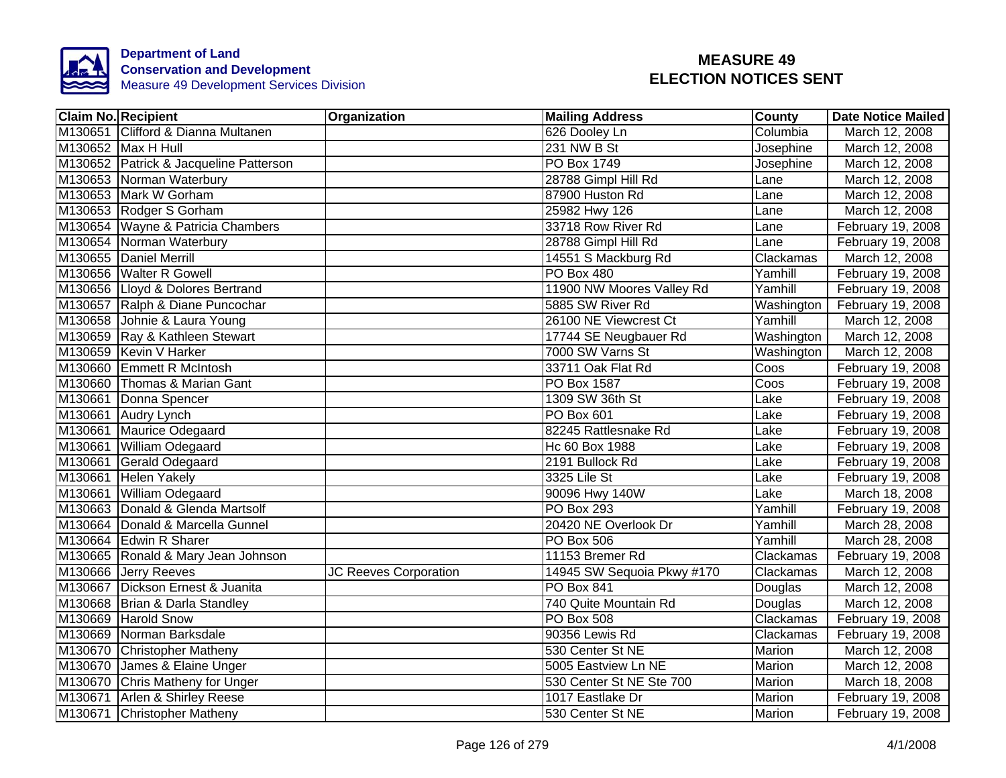

| <b>Claim No. Recipient</b> |                                        | Organization          | <b>Mailing Address</b>     | <b>County</b> | <b>Date Notice Mailed</b> |
|----------------------------|----------------------------------------|-----------------------|----------------------------|---------------|---------------------------|
|                            | M130651 Clifford & Dianna Multanen     |                       | 626 Dooley Ln              | Columbia      | March 12, 2008            |
|                            | M130652 Max H Hull                     |                       | 231 NW B St                | Josephine     | March 12, 2008            |
|                            | M130652 Patrick & Jacqueline Patterson |                       | <b>PO Box 1749</b>         | Josephine     | March 12, 2008            |
|                            | M130653 Norman Waterbury               |                       | 28788 Gimpl Hill Rd        | Lane          | March 12, 2008            |
|                            | M130653 Mark W Gorham                  |                       | 87900 Huston Rd            | Lane          | March 12, 2008            |
|                            | M130653 Rodger S Gorham                |                       | 25982 Hwy 126              | Lane          | March 12, 2008            |
|                            | M130654 Wayne & Patricia Chambers      |                       | 33718 Row River Rd         | Lane          | February 19, 2008         |
|                            | M130654 Norman Waterbury               |                       | 28788 Gimpl Hill Rd        | Lane          | February 19, 2008         |
|                            | M130655 Daniel Merrill                 |                       | 14551 S Mackburg Rd        | Clackamas     | March 12, 2008            |
|                            | M130656 Walter R Gowell                |                       | PO Box 480                 | Yamhill       | February 19, 2008         |
|                            | M130656 Lloyd & Dolores Bertrand       |                       | 11900 NW Moores Valley Rd  | Yamhill       | February 19, 2008         |
|                            | M130657 Ralph & Diane Puncochar        |                       | 5885 SW River Rd           | Washington    | February 19, 2008         |
|                            | M130658 Johnie & Laura Young           |                       | 26100 NE Viewcrest Ct      | Yamhill       | March 12, 2008            |
|                            | M130659 Ray & Kathleen Stewart         |                       | 17744 SE Neugbauer Rd      | Washington    | March 12, 2008            |
|                            | M130659 Kevin V Harker                 |                       | 7000 SW Varns St           | Washington    | March 12, 2008            |
|                            | M130660 Emmett R McIntosh              |                       | 33711 Oak Flat Rd          | Coos          | February 19, 2008         |
|                            | M130660 Thomas & Marian Gant           |                       | <b>PO Box 1587</b>         | Coos          | February 19, 2008         |
|                            | M130661 Donna Spencer                  |                       | 1309 SW 36th St            | Lake          | February 19, 2008         |
|                            | M130661 Audry Lynch                    |                       | PO Box 601                 | Lake          | February 19, 2008         |
|                            | M130661 Maurice Odegaard               |                       | 82245 Rattlesnake Rd       | Lake          | February 19, 2008         |
|                            | M130661 William Odegaard               |                       | Hc 60 Box 1988             | Lake          | February 19, 2008         |
|                            | M130661 Gerald Odegaard                |                       | 2191 Bullock Rd            | Lake          | February 19, 2008         |
|                            | M130661 Helen Yakely                   |                       | 3325 Lile St               | Lake          | February 19, 2008         |
|                            | M130661 William Odegaard               |                       | 90096 Hwy 140W             | Lake          | March 18, 2008            |
|                            | M130663 Donald & Glenda Martsolf       |                       | <b>PO Box 293</b>          | Yamhill       | February 19, 2008         |
|                            | M130664 Donald & Marcella Gunnel       |                       | 20420 NE Overlook Dr       | Yamhill       | March 28, 2008            |
|                            | M130664 Edwin R Sharer                 |                       | <b>PO Box 506</b>          | Yamhill       | March 28, 2008            |
|                            | M130665 Ronald & Mary Jean Johnson     |                       | 11153 Bremer Rd            | Clackamas     | February 19, 2008         |
|                            | M130666 Jerry Reeves                   | JC Reeves Corporation | 14945 SW Sequoia Pkwy #170 | Clackamas     | March 12, 2008            |
|                            | M130667 Dickson Ernest & Juanita       |                       | <b>PO Box 841</b>          | Douglas       | March 12, 2008            |
|                            | M130668 Brian & Darla Standley         |                       | 740 Quite Mountain Rd      | Douglas       | March 12, 2008            |
|                            | M130669 Harold Snow                    |                       | PO Box 508                 | Clackamas     | February 19, 2008         |
|                            | M130669 Norman Barksdale               |                       | 90356 Lewis Rd             | Clackamas     | February 19, 2008         |
|                            | M130670 Christopher Matheny            |                       | 530 Center St NE           | Marion        | March 12, 2008            |
|                            | M130670 James & Elaine Unger           |                       | 5005 Eastview Ln NE        | Marion        | March 12, 2008            |
|                            | M130670 Chris Matheny for Unger        |                       | 530 Center St NE Ste 700   | Marion        | March 18, 2008            |
|                            | M130671 Arlen & Shirley Reese          |                       | 1017 Eastlake Dr           | Marion        | February 19, 2008         |
|                            | M130671 Christopher Matheny            |                       | 530 Center St NE           | Marion        | February 19, 2008         |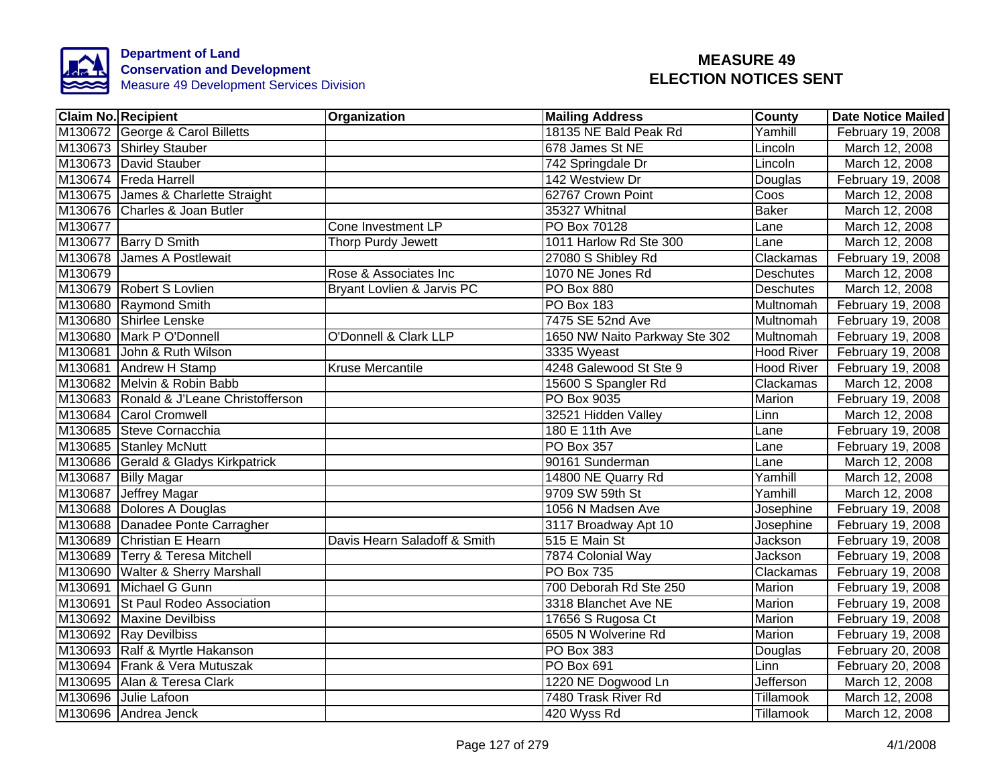

|         | <b>Claim No. Recipient</b>              | Organization                 | <b>Mailing Address</b>        | <b>County</b>     | <b>Date Notice Mailed</b> |
|---------|-----------------------------------------|------------------------------|-------------------------------|-------------------|---------------------------|
|         | M130672 George & Carol Billetts         |                              | 18135 NE Bald Peak Rd         | Yamhill           | February 19, 2008         |
|         | M130673 Shirley Stauber                 |                              | 678 James St NE               | Lincoln           | March 12, 2008            |
|         | M130673 David Stauber                   |                              | 742 Springdale Dr             | Lincoln           | March 12, 2008            |
|         | M130674 Freda Harrell                   |                              | 142 Westview Dr               | Douglas           | February 19, 2008         |
|         | M130675 James & Charlette Straight      |                              | 62767 Crown Point             | Coos              | March 12, 2008            |
|         | M130676 Charles & Joan Butler           |                              | 35327 Whitnal                 | <b>Baker</b>      | March 12, 2008            |
| M130677 |                                         | Cone Investment LP           | PO Box 70128                  | Lane              | March 12, 2008            |
|         | M130677 Barry D Smith                   | Thorp Purdy Jewett           | 1011 Harlow Rd Ste 300        | Lane              | March 12, 2008            |
|         | M130678 James A Postlewait              |                              | 27080 S Shibley Rd            | Clackamas         | February 19, 2008         |
| M130679 |                                         | Rose & Associates Inc        | 1070 NE Jones Rd              | <b>Deschutes</b>  | March 12, 2008            |
|         | M130679 Robert S Lovlien                | Bryant Lovlien & Jarvis PC   | PO Box 880                    | Deschutes         | March 12, 2008            |
|         | M130680 Raymond Smith                   |                              | PO Box 183                    | Multnomah         | February 19, 2008         |
|         | M130680 Shirlee Lenske                  |                              | 7475 SE 52nd Ave              | Multnomah         | February 19, 2008         |
|         | M130680 Mark P O'Donnell                | O'Donnell & Clark LLP        | 1650 NW Naito Parkway Ste 302 | Multnomah         | February 19, 2008         |
|         | M130681 John & Ruth Wilson              |                              | 3335 Wyeast                   | <b>Hood River</b> | February 19, 2008         |
|         | M130681 Andrew H Stamp                  | <b>Kruse Mercantile</b>      | 4248 Galewood St Ste 9        | <b>Hood River</b> | February 19, 2008         |
|         | M130682 Melvin & Robin Babb             |                              | 15600 S Spangler Rd           | Clackamas         | March 12, 2008            |
|         | M130683 Ronald & J'Leane Christofferson |                              | PO Box 9035                   | Marion            | February 19, 2008         |
|         | M130684 Carol Cromwell                  |                              | 32521 Hidden Valley           | Linn              | March 12, 2008            |
|         | M130685 Steve Cornacchia                |                              | 180 E 11th Ave                | Lane              | February 19, 2008         |
|         | M130685 Stanley McNutt                  |                              | <b>PO Box 357</b>             | Lane              | February 19, 2008         |
|         | M130686 Gerald & Gladys Kirkpatrick     |                              | 90161 Sunderman               | Lane              | March 12, 2008            |
|         | M130687 Billy Magar                     |                              | 14800 NE Quarry Rd            | Yamhill           | March 12, 2008            |
|         | M130687 Jeffrey Magar                   |                              | 9709 SW 59th St               | Yamhill           | March 12, 2008            |
|         | M130688 Dolores A Douglas               |                              | 1056 N Madsen Ave             | Josephine         | February 19, 2008         |
|         | M130688 Danadee Ponte Carragher         |                              | 3117 Broadway Apt 10          | Josephine         | February 19, 2008         |
|         | M130689 Christian E Hearn               | Davis Hearn Saladoff & Smith | 515 E Main St                 | <b>Jackson</b>    | February 19, 2008         |
|         | M130689 Terry & Teresa Mitchell         |                              | 7874 Colonial Way             | Jackson           | February 19, 2008         |
|         | M130690 Walter & Sherry Marshall        |                              | <b>PO Box 735</b>             | Clackamas         | February 19, 2008         |
|         | M130691 Michael G Gunn                  |                              | 700 Deborah Rd Ste 250        | Marion            | February 19, 2008         |
|         | M130691 St Paul Rodeo Association       |                              | 3318 Blanchet Ave NE          | Marion            | February 19, 2008         |
|         | M130692 Maxine Devilbiss                |                              | 17656 S Rugosa Ct             | Marion            | February 19, 2008         |
|         | M130692 Ray Devilbiss                   |                              | 6505 N Wolverine Rd           | Marion            | February 19, 2008         |
|         | M130693 Ralf & Myrtle Hakanson          |                              | PO Box 383                    | Douglas           | February 20, 2008         |
|         | M130694 Frank & Vera Mutuszak           |                              | PO Box 691                    | Linn              | February 20, 2008         |
|         | M130695 Alan & Teresa Clark             |                              | 1220 NE Dogwood Ln            | <b>Jefferson</b>  | March 12, 2008            |
|         | M130696 Julie Lafoon                    |                              | 7480 Trask River Rd           | Tillamook         | March 12, 2008            |
|         | M130696 Andrea Jenck                    |                              | 420 Wyss Rd                   | Tillamook         | March 12, 2008            |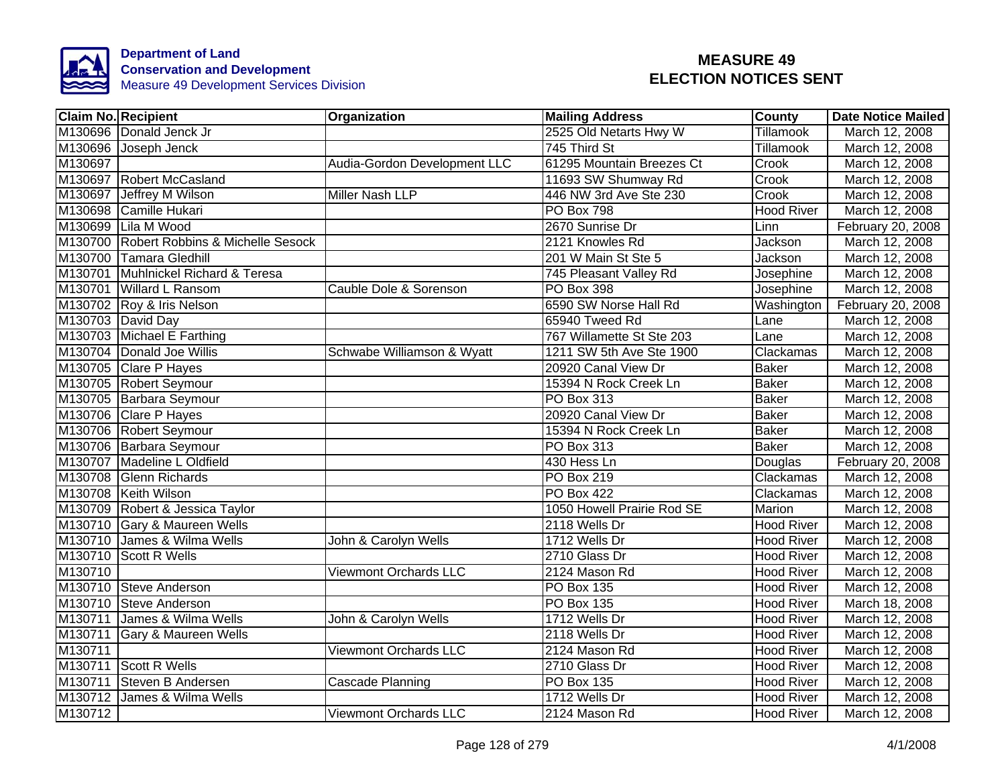

|         | <b>Claim No. Recipient</b>               | Organization                 | <b>Mailing Address</b>     | County            | <b>Date Notice Mailed</b> |
|---------|------------------------------------------|------------------------------|----------------------------|-------------------|---------------------------|
|         | M130696 Donald Jenck Jr                  |                              | 2525 Old Netarts Hwy W     | Tillamook         | March 12, 2008            |
|         | M130696 Joseph Jenck                     |                              | 745 Third St               | <b>Tillamook</b>  | March 12, 2008            |
| M130697 |                                          | Audia-Gordon Development LLC | 61295 Mountain Breezes Ct  | Crook             | March 12, 2008            |
|         | M130697 Robert McCasland                 |                              | 11693 SW Shumway Rd        | Crook             | March 12, 2008            |
|         | M130697 Jeffrey M Wilson                 | Miller Nash LLP              | 446 NW 3rd Ave Ste 230     | Crook             | March 12, 2008            |
|         | M130698 Camille Hukari                   |                              | PO Box 798                 | <b>Hood River</b> | March 12, 2008            |
|         | M130699 Lila M Wood                      |                              | 2670 Sunrise Dr            | Linn              | February 20, 2008         |
|         | M130700 Robert Robbins & Michelle Sesock |                              | 2121 Knowles Rd            | Jackson           | March 12, 2008            |
|         | M130700 Tamara Gledhill                  |                              | 201 W Main St Ste 5        | Jackson           | March 12, 2008            |
|         | M130701 Muhlnickel Richard & Teresa      |                              | 745 Pleasant Valley Rd     | Josephine         | March 12, 2008            |
|         | M130701 Willard L Ransom                 | Cauble Dole & Sorenson       | PO Box 398                 | Josephine         | March 12, 2008            |
|         | M130702 Roy & Iris Nelson                |                              | 6590 SW Norse Hall Rd      | Washington        | February 20, 2008         |
|         | M130703 David Day                        |                              | 65940 Tweed Rd             | Lane              | March 12, 2008            |
|         | M130703 Michael E Farthing               |                              | 767 Willamette St Ste 203  | Lane              | March 12, 2008            |
|         | M130704 Donald Joe Willis                | Schwabe Williamson & Wyatt   | 1211 SW 5th Ave Ste 1900   | Clackamas         | March 12, 2008            |
|         | M130705 Clare P Hayes                    |                              | 20920 Canal View Dr        | <b>Baker</b>      | March 12, 2008            |
|         | M130705 Robert Seymour                   |                              | 15394 N Rock Creek Ln      | <b>Baker</b>      | March 12, 2008            |
|         | M130705 Barbara Seymour                  |                              | <b>PO Box 313</b>          | <b>Baker</b>      | March 12, 2008            |
|         | M130706 Clare P Hayes                    |                              | 20920 Canal View Dr        | <b>Baker</b>      | March 12, 2008            |
|         | M130706 Robert Seymour                   |                              | 15394 N Rock Creek Ln      | <b>Baker</b>      | March 12, 2008            |
|         | M130706 Barbara Seymour                  |                              | <b>PO Box 313</b>          | <b>Baker</b>      | March 12, 2008            |
|         | M130707 Madeline L Oldfield              |                              | 430 Hess Ln                | Douglas           | February 20, 2008         |
|         | M130708 Glenn Richards                   |                              | <b>PO Box 219</b>          | Clackamas         | March 12, 2008            |
|         | M130708 Keith Wilson                     |                              | <b>PO Box 422</b>          | Clackamas         | March 12, 2008            |
|         | M130709 Robert & Jessica Taylor          |                              | 1050 Howell Prairie Rod SE | <b>Marion</b>     | March 12, 2008            |
|         | M130710 Gary & Maureen Wells             |                              | 2118 Wells Dr              | <b>Hood River</b> | March 12, 2008            |
|         | M130710 James & Wilma Wells              | John & Carolyn Wells         | 1712 Wells Dr              | <b>Hood River</b> | March 12, 2008            |
|         | M130710 Scott R Wells                    |                              | 2710 Glass Dr              | <b>Hood River</b> | March 12, 2008            |
| M130710 |                                          | <b>Viewmont Orchards LLC</b> | 2124 Mason Rd              | <b>Hood River</b> | March 12, 2008            |
|         | M130710 Steve Anderson                   |                              | PO Box 135                 | <b>Hood River</b> | March 12, 2008            |
|         | M130710 Steve Anderson                   |                              | PO Box 135                 | <b>Hood River</b> | March 18, 2008            |
| M130711 | James & Wilma Wells                      | John & Carolyn Wells         | 1712 Wells Dr              | <b>Hood River</b> | March 12, 2008            |
| M130711 | Gary & Maureen Wells                     |                              | 2118 Wells Dr              | <b>Hood River</b> | March 12, 2008            |
| M130711 |                                          | <b>Viewmont Orchards LLC</b> | 2124 Mason Rd              | <b>Hood River</b> | March 12, 2008            |
|         | M130711 Scott R Wells                    |                              | 2710 Glass Dr              | <b>Hood River</b> | March 12, 2008            |
| M130711 | Steven B Andersen                        | Cascade Planning             | PO Box 135                 | Hood River        | March 12, 2008            |
|         | M130712 James & Wilma Wells              |                              | 1712 Wells Dr              | <b>Hood River</b> | March 12, 2008            |
| M130712 |                                          | Viewmont Orchards LLC        | 2124 Mason Rd              | <b>Hood River</b> | March 12, 2008            |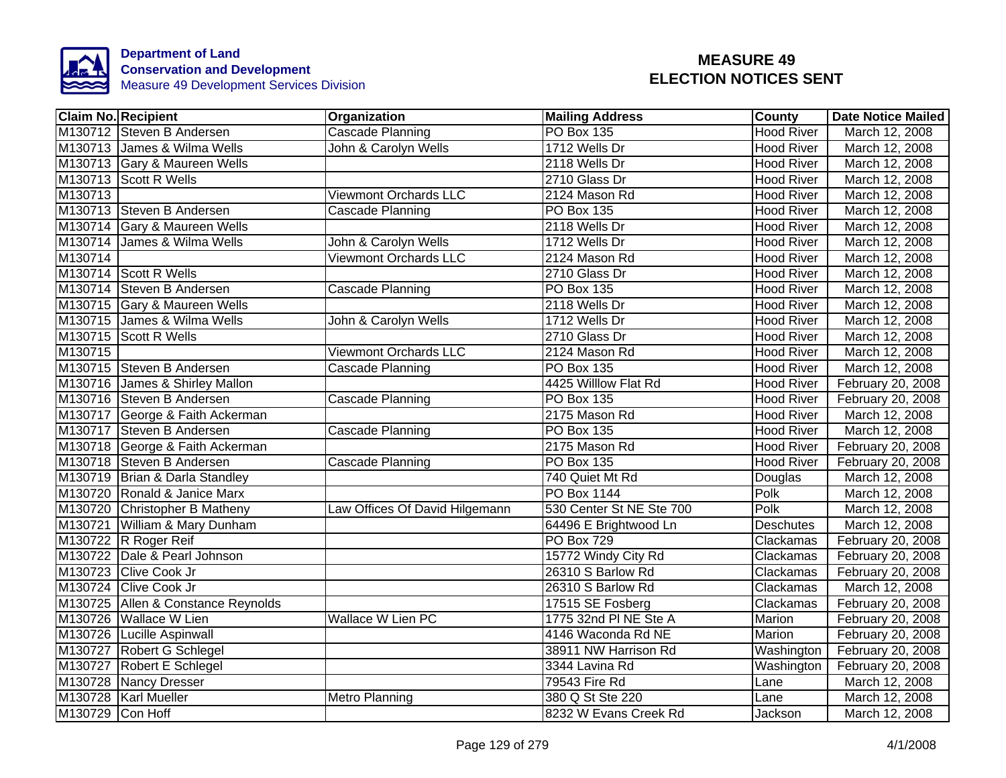

| <b>Claim No. Recipient</b> |                                    | Organization                   | <b>Mailing Address</b>   | <b>County</b>     | <b>Date Notice Mailed</b> |
|----------------------------|------------------------------------|--------------------------------|--------------------------|-------------------|---------------------------|
|                            | M130712 Steven B Andersen          | Cascade Planning               | <b>PO Box 135</b>        | <b>Hood River</b> | March 12, 2008            |
|                            | M130713 James & Wilma Wells        | John & Carolyn Wells           | 1712 Wells Dr            | <b>Hood River</b> | March 12, 2008            |
|                            | M130713 Gary & Maureen Wells       |                                | 2118 Wells Dr            | <b>Hood River</b> | March 12, 2008            |
| M130713 Scott R Wells      |                                    |                                | 2710 Glass Dr            | <b>Hood River</b> | March 12, 2008            |
| M130713                    |                                    | <b>Viewmont Orchards LLC</b>   | 2124 Mason Rd            | <b>Hood River</b> | March 12, 2008            |
|                            | M130713 Steven B Andersen          | Cascade Planning               | PO Box 135               | <b>Hood River</b> | March 12, 2008            |
|                            | M130714 Gary & Maureen Wells       |                                | 2118 Wells Dr            | <b>Hood River</b> | March 12, 2008            |
|                            | M130714 James & Wilma Wells        | John & Carolyn Wells           | 1712 Wells Dr            | <b>Hood River</b> | March 12, 2008            |
| M130714                    |                                    | <b>Viewmont Orchards LLC</b>   | 2124 Mason Rd            | <b>Hood River</b> | March 12, 2008            |
| M130714 Scott R Wells      |                                    |                                | 2710 Glass Dr            | <b>Hood River</b> | March 12, 2008            |
|                            | M130714 Steven B Andersen          | Cascade Planning               | PO Box 135               | <b>Hood River</b> | March 12, 2008            |
|                            | M130715 Gary & Maureen Wells       |                                | 2118 Wells Dr            | <b>Hood River</b> | March 12, 2008            |
|                            | M130715 James & Wilma Wells        | John & Carolyn Wells           | 1712 Wells Dr            | <b>Hood River</b> | March 12, 2008            |
| M130715 Scott R Wells      |                                    |                                | 2710 Glass Dr            | <b>Hood River</b> | March 12, 2008            |
| M130715                    |                                    | <b>Viewmont Orchards LLC</b>   | 2124 Mason Rd            | <b>Hood River</b> | March 12, 2008            |
|                            | M130715 Steven B Andersen          | Cascade Planning               | PO Box 135               | <b>Hood River</b> | March 12, 2008            |
|                            | M130716 James & Shirley Mallon     |                                | 4425 Willlow Flat Rd     | <b>Hood River</b> | February 20, 2008         |
|                            | M130716 Steven B Andersen          | <b>Cascade Planning</b>        | <b>PO Box 135</b>        | <b>Hood River</b> | February 20, 2008         |
|                            | M130717 George & Faith Ackerman    |                                | 2175 Mason Rd            | <b>Hood River</b> | March 12, 2008            |
|                            | M130717 Steven B Andersen          | <b>Cascade Planning</b>        | <b>PO Box 135</b>        | <b>Hood River</b> | March 12, 2008            |
|                            | M130718 George & Faith Ackerman    |                                | 2175 Mason Rd            | <b>Hood River</b> | February 20, 2008         |
|                            | M130718 Steven B Andersen          | <b>Cascade Planning</b>        | <b>PO Box 135</b>        | <b>Hood River</b> | February 20, 2008         |
|                            | M130719 Brian & Darla Standley     |                                | 740 Quiet Mt Rd          | Douglas           | March 12, 2008            |
|                            | M130720 Ronald & Janice Marx       |                                | <b>PO Box 1144</b>       | <b>Polk</b>       | March 12, 2008            |
|                            | M130720 Christopher B Matheny      | Law Offices Of David Hilgemann | 530 Center St NE Ste 700 | Polk              | March 12, 2008            |
|                            | M130721 William & Mary Dunham      |                                | 64496 E Brightwood Ln    | <b>Deschutes</b>  | March 12, 2008            |
| M130722 R Roger Reif       |                                    |                                | <b>PO Box 729</b>        | Clackamas         | February 20, 2008         |
|                            | M130722 Dale & Pearl Johnson       |                                | 15772 Windy City Rd      | Clackamas         | February 20, 2008         |
| M130723 Clive Cook Jr      |                                    |                                | 26310 S Barlow Rd        | Clackamas         | February 20, 2008         |
| M130724 Clive Cook Jr      |                                    |                                | 26310 S Barlow Rd        | Clackamas         | March 12, 2008            |
|                            | M130725 Allen & Constance Reynolds |                                | 17515 SE Fosberg         | Clackamas         | February 20, 2008         |
| M130726 Wallace W Lien     |                                    | <b>Wallace W Lien PC</b>       | 1775 32nd PI NE Ste A    | Marion            | February 20, 2008         |
|                            | M130726 Lucille Aspinwall          |                                | 4146 Waconda Rd NE       | Marion            | February 20, 2008         |
|                            | M130727 Robert G Schlegel          |                                | 38911 NW Harrison Rd     | Washington        | February 20, 2008         |
|                            | M130727 Robert E Schlegel          |                                | 3344 Lavina Rd           | Washington        | February 20, 2008         |
| M130728 Nancy Dresser      |                                    |                                | 79543 Fire Rd            | Lane              | March 12, 2008            |
| M130728   Karl Mueller     |                                    | <b>Metro Planning</b>          | 380 Q St Ste 220         | Lane              | March 12, 2008            |
| M130729 Con Hoff           |                                    |                                | 8232 W Evans Creek Rd    | Jackson           | March 12, 2008            |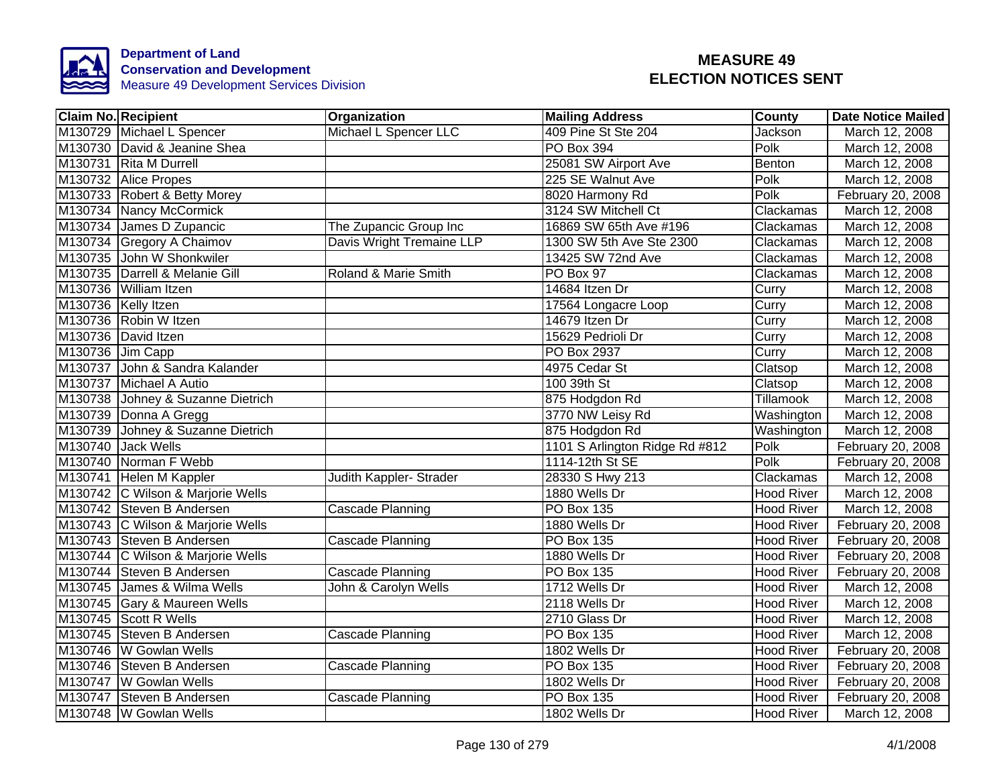

| <b>Claim No. Recipient</b>        | Organization              | <b>Mailing Address</b>         | County            | <b>Date Notice Mailed</b> |
|-----------------------------------|---------------------------|--------------------------------|-------------------|---------------------------|
| M130729 Michael L Spencer         | Michael L Spencer LLC     | 409 Pine St Ste 204            | Jackson           | March 12, 2008            |
| M130730 David & Jeanine Shea      |                           | <b>PO Box 394</b>              | Polk              | March 12, 2008            |
| M130731 Rita M Durrell            |                           | 25081 SW Airport Ave           | Benton            | March 12, 2008            |
| M130732 Alice Propes              |                           | 225 SE Walnut Ave              | Polk              | March 12, 2008            |
| M130733 Robert & Betty Morey      |                           | 8020 Harmony Rd                | Polk              | February 20, 2008         |
| M130734 Nancy McCormick           |                           | 3124 SW Mitchell Ct            | Clackamas         | March 12, 2008            |
| M130734 James D Zupancic          | The Zupancic Group Inc    | 16869 SW 65th Ave #196         | Clackamas         | March 12, 2008            |
| M130734 Gregory A Chaimov         | Davis Wright Tremaine LLP | 1300 SW 5th Ave Ste 2300       | Clackamas         | March 12, 2008            |
| M130735 John W Shonkwiler         |                           | 13425 SW 72nd Ave              | Clackamas         | March 12, 2008            |
| M130735 Darrell & Melanie Gill    | Roland & Marie Smith      | PO Box 97                      | Clackamas         | March 12, 2008            |
| M130736 William Itzen             |                           | 14684 Itzen Dr                 | Curry             | March 12, 2008            |
| M130736 Kelly Itzen               |                           | 17564 Longacre Loop            | Curry             | March 12, 2008            |
| M130736 Robin W Itzen             |                           | 14679 Itzen Dr                 | Curry             | March 12, 2008            |
| M130736 David Itzen               |                           | 15629 Pedrioli Dr              | Curry             | March 12, 2008            |
| M130736 Jim Capp                  |                           | PO Box 2937                    | Curry             | March 12, 2008            |
| M130737 John & Sandra Kalander    |                           | 4975 Cedar St                  | Clatsop           | March 12, 2008            |
| M130737 Michael A Autio           |                           | 100 39th St                    | Clatsop           | March 12, 2008            |
| M130738 Johney & Suzanne Dietrich |                           | 875 Hodgdon Rd                 | <b>Tillamook</b>  | March 12, 2008            |
| M130739 Donna A Gregg             |                           | 3770 NW Leisy Rd               | Washington        | March 12, 2008            |
| M130739 Johney & Suzanne Dietrich |                           | 875 Hodgdon Rd                 | Washington        | March 12, 2008            |
| M130740 Jack Wells                |                           | 1101 S Arlington Ridge Rd #812 | Polk              | February 20, 2008         |
| M130740 Norman F Webb             |                           | 1114-12th St SE                | Polk              | February 20, 2008         |
| M130741 Helen M Kappler           | Judith Kappler- Strader   | 28330 S Hwy 213                | Clackamas         | March 12, 2008            |
| M130742 C Wilson & Marjorie Wells |                           | 1880 Wells Dr                  | <b>Hood River</b> | March 12, 2008            |
| M130742 Steven B Andersen         | <b>Cascade Planning</b>   | <b>PO Box 135</b>              | <b>Hood River</b> | March 12, 2008            |
| M130743 C Wilson & Marjorie Wells |                           | 1880 Wells Dr                  | <b>Hood River</b> | February 20, 2008         |
| M130743 Steven B Andersen         | <b>Cascade Planning</b>   | <b>PO Box 135</b>              | <b>Hood River</b> | February 20, 2008         |
| M130744 C Wilson & Marjorie Wells |                           | 1880 Wells Dr                  | <b>Hood River</b> | February 20, 2008         |
| M130744 Steven B Andersen         | Cascade Planning          | <b>PO Box 135</b>              | <b>Hood River</b> | February 20, 2008         |
| M130745 James & Wilma Wells       | John & Carolyn Wells      | 1712 Wells Dr                  | <b>Hood River</b> | March 12, 2008            |
| M130745 Gary & Maureen Wells      |                           | 2118 Wells Dr                  | <b>Hood River</b> | March 12, 2008            |
| M130745 Scott R Wells             |                           | 2710 Glass Dr                  | <b>Hood River</b> | March 12, 2008            |
| M130745 Steven B Andersen         | Cascade Planning          | PO Box 135                     | <b>Hood River</b> | March 12, 2008            |
| M130746   W Gowlan Wells          |                           | 1802 Wells Dr                  | <b>Hood River</b> | February 20, 2008         |
| M130746 Steven B Andersen         | Cascade Planning          | PO Box 135                     | <b>Hood River</b> | February 20, 2008         |
| M130747 W Gowlan Wells            |                           | 1802 Wells Dr                  | <b>Hood River</b> | February 20, 2008         |
| M130747 Steven B Andersen         | Cascade Planning          | <b>PO Box 135</b>              | <b>Hood River</b> | February 20, 2008         |
| M130748 W Gowlan Wells            |                           | 1802 Wells Dr                  | <b>Hood River</b> | March 12, 2008            |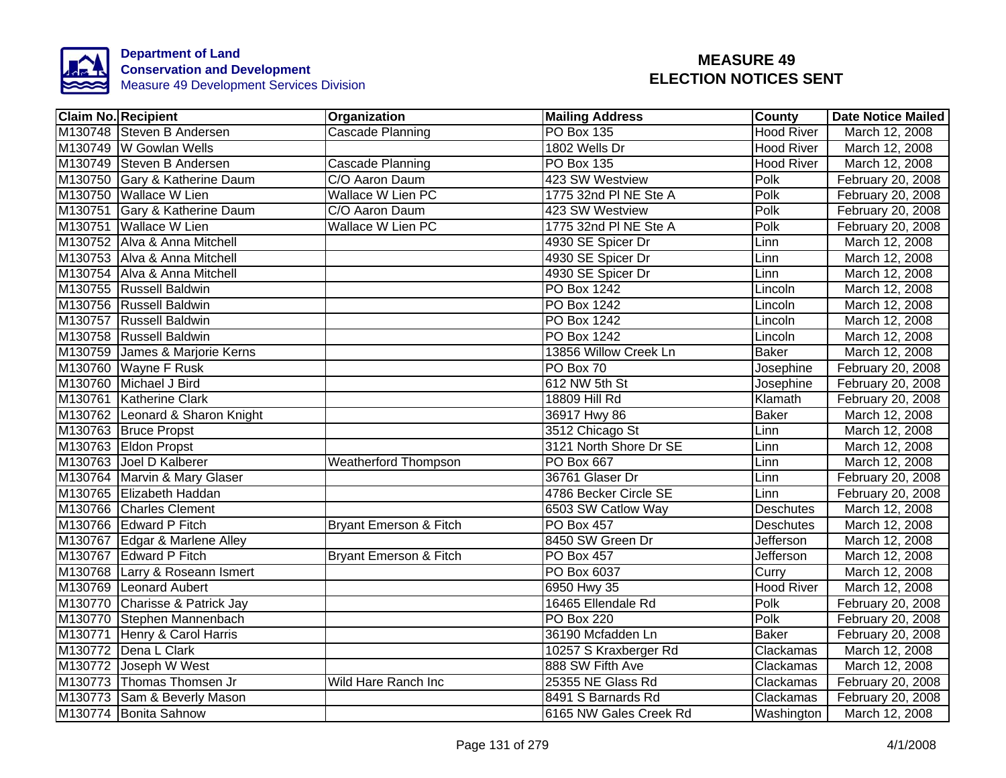

| <b>Claim No. Recipient</b>      | Organization                | <b>Mailing Address</b> | <b>County</b>     | <b>Date Notice Mailed</b> |
|---------------------------------|-----------------------------|------------------------|-------------------|---------------------------|
| M130748 Steven B Andersen       | <b>Cascade Planning</b>     | <b>PO Box 135</b>      | <b>Hood River</b> | March 12, 2008            |
| M130749 W Gowlan Wells          |                             | 1802 Wells Dr          | <b>Hood River</b> | March 12, 2008            |
| M130749 Steven B Andersen       | <b>Cascade Planning</b>     | <b>PO Box 135</b>      | <b>Hood River</b> | March 12, 2008            |
| M130750 Gary & Katherine Daum   | C/O Aaron Daum              | 423 SW Westview        | Polk              | February 20, 2008         |
| M130750 Wallace W Lien          | Wallace W Lien PC           | 1775 32nd PI NE Ste A  | Polk              | February 20, 2008         |
| M130751 Gary & Katherine Daum   | C/O Aaron Daum              | 423 SW Westview        | Polk              | February 20, 2008         |
| M130751 Wallace W Lien          | Wallace W Lien PC           | 1775 32nd PI NE Ste A  | Polk              | February 20, 2008         |
| M130752 Alva & Anna Mitchell    |                             | 4930 SE Spicer Dr      | Linn              | March 12, 2008            |
| M130753 Alva & Anna Mitchell    |                             | 4930 SE Spicer Dr      | Linn              | March 12, 2008            |
| M130754 Alva & Anna Mitchell    |                             | 4930 SE Spicer Dr      | Linn              | March 12, 2008            |
| M130755 Russell Baldwin         |                             | PO Box 1242            | Lincoln           | March 12, 2008            |
| M130756 Russell Baldwin         |                             | <b>PO Box 1242</b>     | Lincoln           | March 12, 2008            |
| M130757 Russell Baldwin         |                             | PO Box 1242            | Lincoln           | March 12, 2008            |
| M130758 Russell Baldwin         |                             | PO Box 1242            | Lincoln           | March 12, 2008            |
| M130759 James & Marjorie Kerns  |                             | 13856 Willow Creek Ln  | <b>Baker</b>      | March 12, 2008            |
| M130760 Wayne F Rusk            |                             | PO Box 70              | Josephine         | February 20, 2008         |
| M130760 Michael J Bird          |                             | 612 NW 5th St          | Josephine         | February 20, 2008         |
| M130761 Katherine Clark         |                             | 18809 Hill Rd          | Klamath           | February 20, 2008         |
| M130762 Leonard & Sharon Knight |                             | 36917 Hwy 86           | <b>Baker</b>      | March 12, 2008            |
| M130763 Bruce Propst            |                             | 3512 Chicago St        | Linn              | March 12, 2008            |
| M130763 Eldon Propst            |                             | 3121 North Shore Dr SE | Linn              | March 12, 2008            |
| M130763 Joel D Kalberer         | <b>Weatherford Thompson</b> | <b>PO Box 667</b>      | Linn              | March 12, 2008            |
| M130764 Marvin & Mary Glaser    |                             | 36761 Glaser Dr        | Linn              | February 20, 2008         |
| M130765 Elizabeth Haddan        |                             | 4786 Becker Circle SE  | Linn              | February 20, 2008         |
| M130766 Charles Clement         |                             | 6503 SW Catlow Way     | <b>Deschutes</b>  | March 12, 2008            |
| M130766 Edward P Fitch          | Bryant Emerson & Fitch      | <b>PO Box 457</b>      | <b>Deschutes</b>  | March 12, 2008            |
| M130767 Edgar & Marlene Alley   |                             | 8450 SW Green Dr       | Jefferson         | March 12, 2008            |
| M130767 Edward P Fitch          | Bryant Emerson & Fitch      | <b>PO Box 457</b>      | Jefferson         | March 12, 2008            |
| M130768 Larry & Roseann Ismert  |                             | PO Box 6037            | Curry             | March 12, 2008            |
| M130769 Leonard Aubert          |                             | 6950 Hwy 35            | <b>Hood River</b> | March 12, 2008            |
| M130770 Charisse & Patrick Jay  |                             | 16465 Ellendale Rd     | Polk              | February 20, 2008         |
| M130770 Stephen Mannenbach      |                             | <b>PO Box 220</b>      | Polk              | February 20, 2008         |
| M130771 Henry & Carol Harris    |                             | 36190 Mcfadden Ln      | <b>Baker</b>      | February 20, 2008         |
| M130772 Dena L Clark            |                             | 10257 S Kraxberger Rd  | Clackamas         | March 12, 2008            |
| M130772 Joseph W West           |                             | 888 SW Fifth Ave       | Clackamas         | March 12, 2008            |
| M130773 Thomas Thomsen Jr       | Wild Hare Ranch Inc         | 25355 NE Glass Rd      | Clackamas         | February 20, 2008         |
| M130773 Sam & Beverly Mason     |                             | 8491 S Barnards Rd     | Clackamas         | February 20, 2008         |
| M130774 Bonita Sahnow           |                             | 6165 NW Gales Creek Rd | Washington        | March 12, 2008            |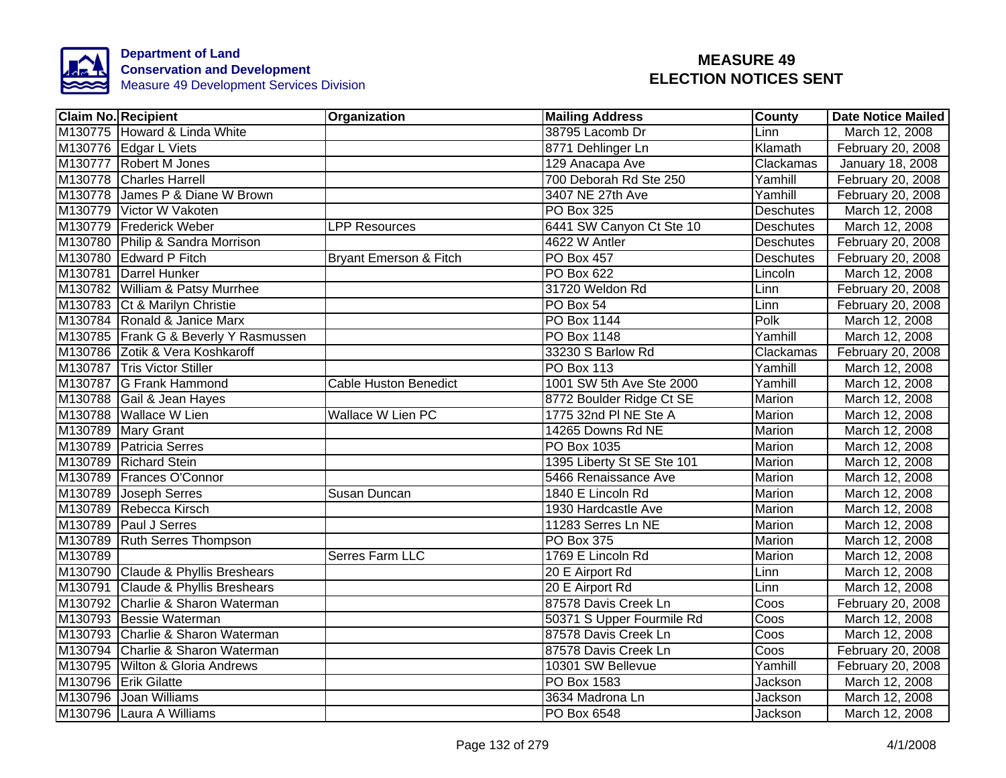

|         | <b>Claim No. Recipient</b>            | Organization                 | <b>Mailing Address</b>     | <b>County</b>    | <b>Date Notice Mailed</b> |
|---------|---------------------------------------|------------------------------|----------------------------|------------------|---------------------------|
|         | M130775 Howard & Linda White          |                              | 38795 Lacomb Dr            | Linn             | March 12, 2008            |
|         | M130776 Edgar L Viets                 |                              | 8771 Dehlinger Ln          | Klamath          | February 20, 2008         |
|         | M130777 Robert M Jones                |                              | 129 Anacapa Ave            | Clackamas        | January 18, 2008          |
|         | M130778 Charles Harrell               |                              | 700 Deborah Rd Ste 250     | Yamhill          | February 20, 2008         |
|         | M130778 James P & Diane W Brown       |                              | 3407 NE 27th Ave           | Yamhill          | February 20, 2008         |
|         | M130779 Victor W Vakoten              |                              | PO Box 325                 | <b>Deschutes</b> | March 12, 2008            |
|         | M130779 Frederick Weber               | <b>LPP Resources</b>         | 6441 SW Canyon Ct Ste 10   | Deschutes        | March 12, 2008            |
|         | M130780 Philip & Sandra Morrison      |                              | 4622 W Antler              | Deschutes        | February 20, 2008         |
|         | M130780 Edward P Fitch                | Bryant Emerson & Fitch       | PO Box 457                 | Deschutes        | February 20, 2008         |
|         | M130781 Darrel Hunker                 |                              | PO Box 622                 | Lincoln          | March 12, 2008            |
|         | M130782 William & Patsy Murrhee       |                              | 31720 Weldon Rd            | Linn             | February 20, 2008         |
|         | M130783 Ct & Marilyn Christie         |                              | PO Box 54                  | Linn             | February 20, 2008         |
|         | M130784 Ronald & Janice Marx          |                              | <b>PO Box 1144</b>         | Polk             | March 12, 2008            |
|         | M130785 Frank G & Beverly Y Rasmussen |                              | PO Box 1148                | Yamhill          | March 12, 2008            |
|         | M130786 Zotik & Vera Koshkaroff       |                              | 33230 S Barlow Rd          | Clackamas        | February 20, 2008         |
|         | M130787 Tris Victor Stiller           |                              | <b>PO Box 113</b>          | Yamhill          | March 12, 2008            |
|         | M130787 G Frank Hammond               | <b>Cable Huston Benedict</b> | 1001 SW 5th Ave Ste 2000   | Yamhill          | March 12, 2008            |
|         | M130788 Gail & Jean Hayes             |                              | 8772 Boulder Ridge Ct SE   | Marion           | March 12, 2008            |
|         | M130788 Wallace W Lien                | Wallace W Lien PC            | 1775 32nd PI NE Ste A      | <b>Marion</b>    | March 12, 2008            |
|         | M130789 Mary Grant                    |                              | 14265 Downs Rd NE          | <b>Marion</b>    | March 12, 2008            |
|         | M130789 Patricia Serres               |                              | PO Box 1035                | Marion           | March 12, 2008            |
|         | M130789 Richard Stein                 |                              | 1395 Liberty St SE Ste 101 | Marion           | March 12, 2008            |
|         | M130789 Frances O'Connor              |                              | 5466 Renaissance Ave       | Marion           | March 12, 2008            |
|         | M130789 Joseph Serres                 | Susan Duncan                 | 1840 E Lincoln Rd          | Marion           | March 12, 2008            |
|         | M130789 Rebecca Kirsch                |                              | 1930 Hardcastle Ave        | <b>Marion</b>    | March 12, 2008            |
|         | M130789 Paul J Serres                 |                              | 11283 Serres Ln NE         | Marion           | March 12, 2008            |
|         | M130789 Ruth Serres Thompson          |                              | <b>PO Box 375</b>          | Marion           | March 12, 2008            |
| M130789 |                                       | <b>Serres Farm LLC</b>       | 1769 E Lincoln Rd          | Marion           | March 12, 2008            |
|         | M130790 Claude & Phyllis Breshears    |                              | 20 E Airport Rd            | Linn             | March 12, 2008            |
|         | M130791 Claude & Phyllis Breshears    |                              | 20 E Airport Rd            | Linn             | March 12, 2008            |
|         | M130792 Charlie & Sharon Waterman     |                              | 87578 Davis Creek Ln       | Coos             | February 20, 2008         |
|         | M130793 Bessie Waterman               |                              | 50371 S Upper Fourmile Rd  | Coos             | March 12, 2008            |
|         | M130793 Charlie & Sharon Waterman     |                              | 87578 Davis Creek Ln       | Coos             | March 12, 2008            |
|         | M130794 Charlie & Sharon Waterman     |                              | 87578 Davis Creek Ln       | Coos             | February 20, 2008         |
|         | M130795 Wilton & Gloria Andrews       |                              | 10301 SW Bellevue          | Yamhill          | February 20, 2008         |
|         | M130796 Erik Gilatte                  |                              | PO Box 1583                | Jackson          | March 12, 2008            |
|         | M130796 Joan Williams                 |                              | 3634 Madrona Ln            | Jackson          | March 12, 2008            |
|         | M130796 Laura A Williams              |                              | PO Box 6548                | Jackson          | March 12, 2008            |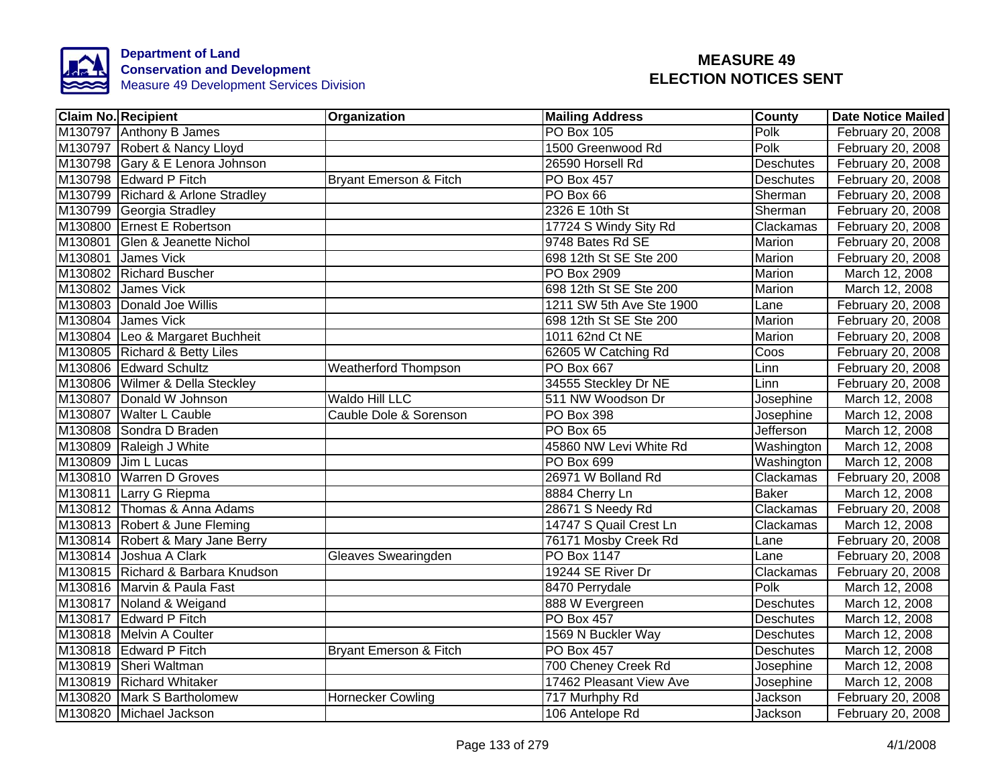

| <b>Claim No. Recipient</b>        | <b>Organization</b>         | <b>Mailing Address</b>   | <b>County</b>    | <b>Date Notice Mailed</b> |
|-----------------------------------|-----------------------------|--------------------------|------------------|---------------------------|
| M130797 Anthony B James           |                             | <b>PO Box 105</b>        | Polk             | February 20, 2008         |
| M130797 Robert & Nancy Lloyd      |                             | 1500 Greenwood Rd        | <b>Polk</b>      | February 20, 2008         |
| M130798 Gary & E Lenora Johnson   |                             | 26590 Horsell Rd         | <b>Deschutes</b> | February 20, 2008         |
| M130798 Edward P Fitch            | Bryant Emerson & Fitch      | <b>PO Box 457</b>        | <b>Deschutes</b> | February 20, 2008         |
| M130799 Richard & Arlone Stradley |                             | PO Box 66                | Sherman          | February 20, 2008         |
| M130799 Georgia Stradley          |                             | 2326 E 10th St           | Sherman          | February 20, 2008         |
| M130800 Ernest E Robertson        |                             | 17724 S Windy Sity Rd    | Clackamas        | February 20, 2008         |
| M130801 Glen & Jeanette Nichol    |                             | 9748 Bates Rd SE         | Marion           | February 20, 2008         |
| M130801 James Vick                |                             | 698 12th St SE Ste 200   | Marion           | February 20, 2008         |
| M130802 Richard Buscher           |                             | PO Box 2909              | Marion           | March 12, 2008            |
| M130802 James Vick                |                             | 698 12th St SE Ste 200   | Marion           | March 12, 2008            |
| M130803 Donald Joe Willis         |                             | 1211 SW 5th Ave Ste 1900 | Lane             | February 20, 2008         |
| M130804 James Vick                |                             | 698 12th St SE Ste 200   | <b>Marion</b>    | February 20, 2008         |
| M130804 Leo & Margaret Buchheit   |                             | 1011 62nd Ct NE          | Marion           | February 20, 2008         |
| M130805 Richard & Betty Liles     |                             | 62605 W Catching Rd      | Coos             | February 20, 2008         |
| M130806 Edward Schultz            | <b>Weatherford Thompson</b> | <b>PO Box 667</b>        | Linn             | February 20, 2008         |
| M130806 Wilmer & Della Steckley   |                             | 34555 Steckley Dr NE     | Linn             | February 20, 2008         |
| M130807 Donald W Johnson          | <b>Waldo Hill LLC</b>       | 511 NW Woodson Dr        | Josephine        | March 12, 2008            |
| M130807 Walter L Cauble           | Cauble Dole & Sorenson      | <b>PO Box 398</b>        | Josephine        | March 12, 2008            |
| M130808 Sondra D Braden           |                             | PO Box 65                | <b>Jefferson</b> | March 12, 2008            |
| M130809 Raleigh J White           |                             | 45860 NW Levi White Rd   | Washington       | March 12, 2008            |
| M130809 Jim L Lucas               |                             | <b>PO Box 699</b>        | Washington       | March 12, 2008            |
| M130810 Warren D Groves           |                             | 26971 W Bolland Rd       | Clackamas        | February 20, 2008         |
| M130811 Larry G Riepma            |                             | 8884 Cherry Ln           | <b>Baker</b>     | March 12, 2008            |
| M130812 Thomas & Anna Adams       |                             | 28671 S Needy Rd         | Clackamas        | February 20, 2008         |
| M130813 Robert & June Fleming     |                             | 14747 S Quail Crest Ln   | Clackamas        | March 12, 2008            |
| M130814 Robert & Mary Jane Berry  |                             | 76171 Mosby Creek Rd     | Lane             | February 20, 2008         |
| M130814 Joshua A Clark            | Gleaves Swearingden         | <b>PO Box 1147</b>       | Lane             | February 20, 2008         |
| M130815 Richard & Barbara Knudson |                             | 19244 SE River Dr        | Clackamas        | February 20, 2008         |
| M130816 Marvin & Paula Fast       |                             | 8470 Perrydale           | Polk             | March 12, 2008            |
| M130817 Noland & Weigand          |                             | 888 W Evergreen          | <b>Deschutes</b> | March 12, 2008            |
| M130817 Edward P Fitch            |                             | <b>PO Box 457</b>        | <b>Deschutes</b> | March 12, 2008            |
| M130818 Melvin A Coulter          |                             | 1569 N Buckler Way       | <b>Deschutes</b> | March 12, 2008            |
| M130818 Edward P Fitch            | Bryant Emerson & Fitch      | PO Box 457               | Deschutes        | March 12, 2008            |
| M130819 Sheri Waltman             |                             | 700 Cheney Creek Rd      | Josephine        | March 12, 2008            |
| M130819 Richard Whitaker          |                             | 17462 Pleasant View Ave  | Josephine        | March 12, 2008            |
| M130820 Mark S Bartholomew        | <b>Hornecker Cowling</b>    | 717 Murhphy Rd           | Jackson          | February 20, 2008         |
| M130820 Michael Jackson           |                             | 106 Antelope Rd          | Jackson          | February 20, 2008         |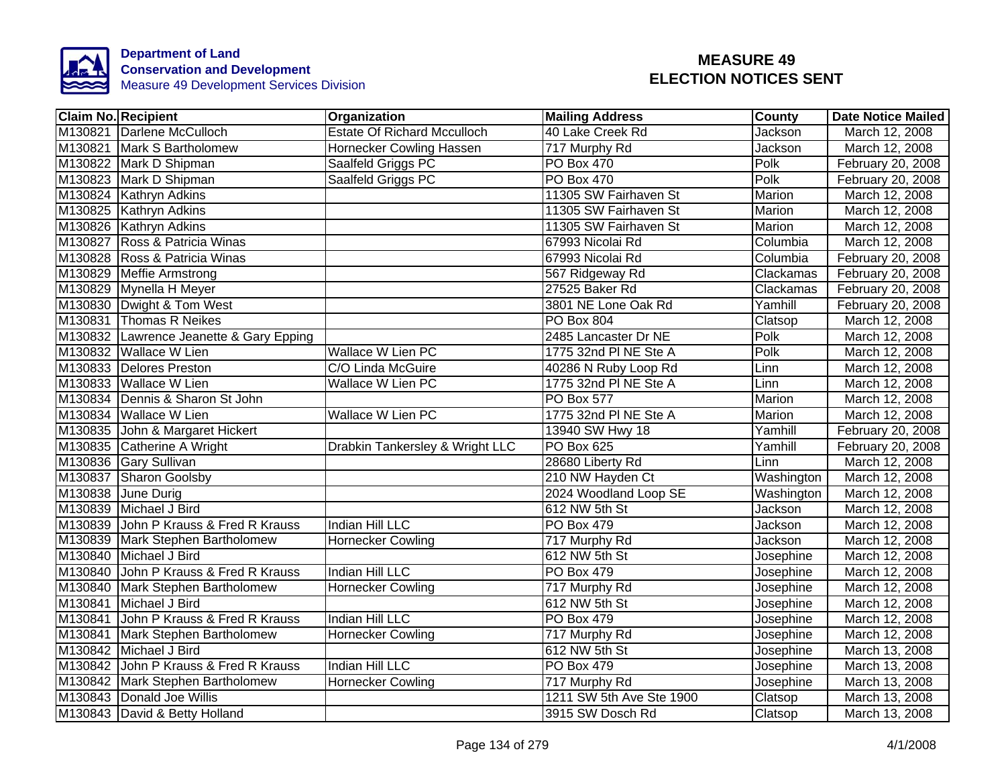

|         | <b>Claim No. Recipient</b>              | <b>Organization</b>                | <b>Mailing Address</b>   | County     | <b>Date Notice Mailed</b> |
|---------|-----------------------------------------|------------------------------------|--------------------------|------------|---------------------------|
|         | M130821 Darlene McCulloch               | <b>Estate Of Richard Mcculloch</b> | 40 Lake Creek Rd         | Jackson    | March 12, 2008            |
|         | M130821 Mark S Bartholomew              | Hornecker Cowling Hassen           | 717 Murphy Rd            | Jackson    | March 12, 2008            |
|         | M130822 Mark D Shipman                  | Saalfeld Griggs PC                 | PO Box 470               | Polk       | February 20, 2008         |
|         | M130823 Mark D Shipman                  | Saalfeld Griggs PC                 | PO Box 470               | Polk       | February 20, 2008         |
|         | M130824 Kathryn Adkins                  |                                    | 11305 SW Fairhaven St    | Marion     | March 12, 2008            |
|         | M130825 Kathryn Adkins                  |                                    | 11305 SW Fairhaven St    | Marion     | March 12, 2008            |
|         | M130826 Kathryn Adkins                  |                                    | 11305 SW Fairhaven St    | Marion     | March 12, 2008            |
|         | M130827 Ross & Patricia Winas           |                                    | 67993 Nicolai Rd         | Columbia   | March 12, 2008            |
|         | M130828 Ross & Patricia Winas           |                                    | 67993 Nicolai Rd         | Columbia   | February 20, 2008         |
|         | M130829 Meffie Armstrong                |                                    | 567 Ridgeway Rd          | Clackamas  | February 20, 2008         |
|         | M130829 Mynella H Meyer                 |                                    | 27525 Baker Rd           | Clackamas  | February 20, 2008         |
|         | M130830 Dwight & Tom West               |                                    | 3801 NE Lone Oak Rd      | Yamhill    | February 20, 2008         |
|         | M130831 Thomas R Neikes                 |                                    | PO Box 804               | Clatsop    | March 12, 2008            |
|         | M130832 Lawrence Jeanette & Gary Epping |                                    | 2485 Lancaster Dr NE     | Polk       | March 12, 2008            |
|         | M130832 Wallace W Lien                  | <b>Wallace W Lien PC</b>           | 1775 32nd PI NE Ste A    | Polk       | March 12, 2008            |
|         | M130833 Delores Preston                 | C/O Linda McGuire                  | 40286 N Ruby Loop Rd     | Linn       | March 12, 2008            |
|         | M130833 Wallace W Lien                  | <b>Wallace W Lien PC</b>           | 1775 32nd PI NE Ste A    | Linn       | March 12, 2008            |
|         | M130834 Dennis & Sharon St John         |                                    | <b>PO Box 577</b>        | Marion     | March 12, 2008            |
|         | M130834 Wallace W Lien                  | <b>Wallace W Lien PC</b>           | 1775 32nd PI NE Ste A    | Marion     | March 12, 2008            |
|         | M130835 John & Margaret Hickert         |                                    | 13940 SW Hwy 18          | Yamhill    | February 20, 2008         |
|         | M130835 Catherine A Wright              | Drabkin Tankersley & Wright LLC    | <b>PO Box 625</b>        | Yamhill    | February 20, 2008         |
|         | M130836 Gary Sullivan                   |                                    | 28680 Liberty Rd         | Linn       | March 12, 2008            |
|         | M130837 Sharon Goolsby                  |                                    | 210 NW Hayden Ct         | Washington | March 12, 2008            |
|         | M130838 June Durig                      |                                    | 2024 Woodland Loop SE    | Washington | March 12, 2008            |
|         | M130839 Michael J Bird                  |                                    | 612 NW 5th St            | Jackson    | March 12, 2008            |
|         | M130839 John P Krauss & Fred R Krauss   | Indian Hill LLC                    | <b>PO Box 479</b>        | Jackson    | March 12, 2008            |
|         | M130839 Mark Stephen Bartholomew        | <b>Hornecker Cowling</b>           | 717 Murphy Rd            | Jackson    | March 12, 2008            |
|         | M130840 Michael J Bird                  |                                    | 612 NW 5th St            | Josephine  | March 12, 2008            |
| M130840 | John P Krauss & Fred R Krauss           | Indian Hill LLC                    | PO Box 479               | Josephine  | March 12, 2008            |
| M130840 | Mark Stephen Bartholomew                | <b>Hornecker Cowling</b>           | 717 Murphy Rd            | Josephine  | March 12, 2008            |
|         | M130841 Michael J Bird                  |                                    | 612 NW 5th St            | Josephine  | March 12, 2008            |
|         | M130841 John P Krauss & Fred R Krauss   | Indian Hill LLC                    | PO Box 479               | Josephine  | March 12, 2008            |
|         | M130841 Mark Stephen Bartholomew        | <b>Hornecker Cowling</b>           | 717 Murphy Rd            | Josephine  | March 12, 2008            |
|         | M130842 Michael J Bird                  |                                    | 612 NW 5th St            | Josephine  | March 13, 2008            |
|         | M130842 John P Krauss & Fred R Krauss   | Indian Hill LLC                    | PO Box 479               | Josephine  | March 13, 2008            |
|         | M130842 Mark Stephen Bartholomew        | <b>Hornecker Cowling</b>           | 717 Murphy Rd            | Josephine  | March 13, 2008            |
|         | M130843 Donald Joe Willis               |                                    | 1211 SW 5th Ave Ste 1900 | Clatsop    | March 13, 2008            |
|         | M130843 David & Betty Holland           |                                    | 3915 SW Dosch Rd         | Clatsop    | March 13, 2008            |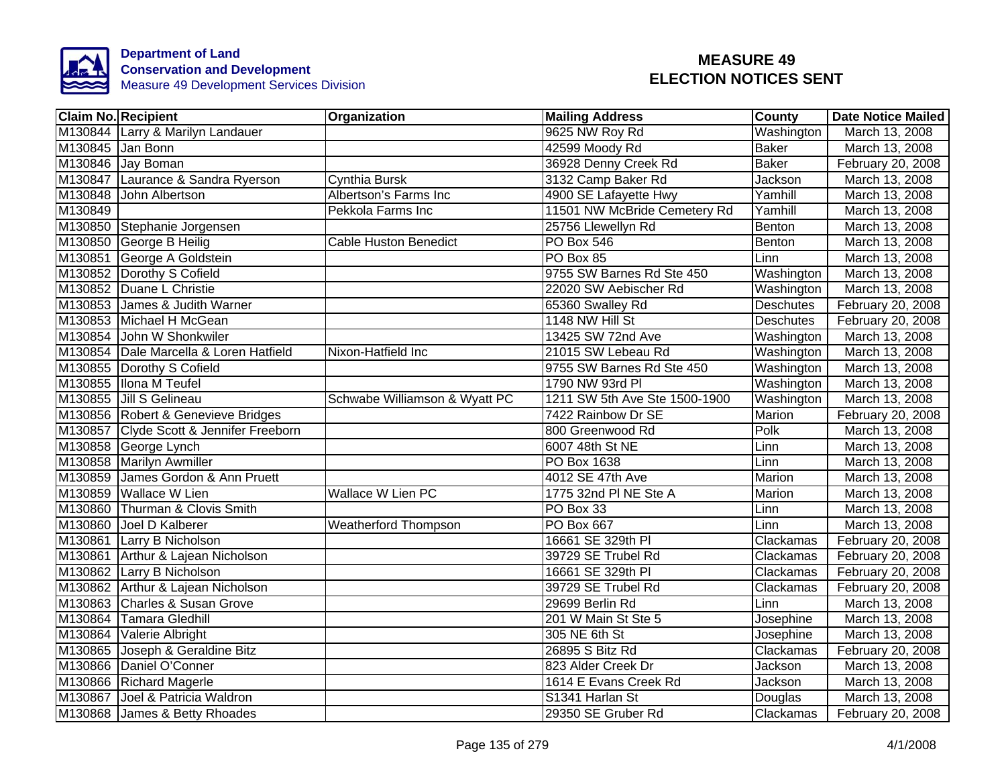

|         | <b>Claim No. Recipient</b>              | Organization                  | <b>Mailing Address</b>        | <b>County</b>    | <b>Date Notice Mailed</b> |
|---------|-----------------------------------------|-------------------------------|-------------------------------|------------------|---------------------------|
|         | M130844 Larry & Marilyn Landauer        |                               | 9625 NW Roy Rd                | Washington       | March 13, 2008            |
|         | M130845 Jan Bonn                        |                               | 42599 Moody Rd                | <b>Baker</b>     | March 13, 2008            |
|         | M130846 Jay Boman                       |                               | 36928 Denny Creek Rd          | <b>Baker</b>     | February 20, 2008         |
|         | M130847 Laurance & Sandra Ryerson       | Cynthia Bursk                 | 3132 Camp Baker Rd            | Jackson          | March 13, 2008            |
| M130848 | John Albertson                          | Albertson's Farms Inc         | 4900 SE Lafayette Hwy         | Yamhill          | March 13, 2008            |
| M130849 |                                         | Pekkola Farms Inc             | 11501 NW McBride Cemetery Rd  | Yamhill          | March 13, 2008            |
|         | M130850 Stephanie Jorgensen             |                               | 25756 Llewellyn Rd            | Benton           | March 13, 2008            |
|         | M130850 George B Heilig                 | <b>Cable Huston Benedict</b>  | <b>PO Box 546</b>             | Benton           | March 13, 2008            |
|         | M130851 George A Goldstein              |                               | PO Box 85                     | Linn             | March 13, 2008            |
|         | M130852 Dorothy S Cofield               |                               | 9755 SW Barnes Rd Ste 450     | Washington       | March 13, 2008            |
|         | M130852 Duane L Christie                |                               | 22020 SW Aebischer Rd         | Washington       | March 13, 2008            |
|         | M130853 James & Judith Warner           |                               | 65360 Swalley Rd              | <b>Deschutes</b> | February 20, 2008         |
|         | M130853 Michael H McGean                |                               | 1148 NW Hill St               | <b>Deschutes</b> | February 20, 2008         |
|         | M130854 John W Shonkwiler               |                               | 13425 SW 72nd Ave             | Washington       | March 13, 2008            |
|         | M130854 Dale Marcella & Loren Hatfield  | Nixon-Hatfield Inc            | 21015 SW Lebeau Rd            | Washington       | March 13, 2008            |
|         | M130855 Dorothy S Cofield               |                               | 9755 SW Barnes Rd Ste 450     | Washington       | March 13, 2008            |
|         | M130855 Ilona M Teufel                  |                               | 1790 NW 93rd PI               | Washington       | March 13, 2008            |
|         | M130855 Jill S Gelineau                 | Schwabe Williamson & Wyatt PC | 1211 SW 5th Ave Ste 1500-1900 | Washington       | March 13, 2008            |
|         | M130856 Robert & Genevieve Bridges      |                               | 7422 Rainbow Dr SE            | <b>Marion</b>    | February 20, 2008         |
|         | M130857 Clyde Scott & Jennifer Freeborn |                               | 800 Greenwood Rd              | Polk             | March 13, 2008            |
|         | M130858 George Lynch                    |                               | 6007 48th St NE               | Linn             | March 13, 2008            |
|         | M130858 Marilyn Awmiller                |                               | <b>PO Box 1638</b>            | Linn             | March 13, 2008            |
|         | M130859 James Gordon & Ann Pruett       |                               | 4012 SE 47th Ave              | <b>Marion</b>    | March 13, 2008            |
|         | M130859 Wallace W Lien                  | <b>Wallace W Lien PC</b>      | 1775 32nd PI NE Ste A         | Marion           | March 13, 2008            |
|         | M130860 Thurman & Clovis Smith          |                               | PO Box 33                     | Linn             | March 13, 2008            |
|         | M130860 Joel D Kalberer                 | <b>Weatherford Thompson</b>   | <b>PO Box 667</b>             | Linn             | March 13, 2008            |
| M130861 | Larry B Nicholson                       |                               | 16661 SE 329th PI             | Clackamas        | February 20, 2008         |
| M130861 | Arthur & Lajean Nicholson               |                               | 39729 SE Trubel Rd            | Clackamas        | February 20, 2008         |
|         | M130862 Larry B Nicholson               |                               | 16661 SE 329th PI             | Clackamas        | February 20, 2008         |
|         | M130862 Arthur & Lajean Nicholson       |                               | 39729 SE Trubel Rd            | Clackamas        | February 20, 2008         |
|         | M130863 Charles & Susan Grove           |                               | 29699 Berlin Rd               | Linn             | March 13, 2008            |
|         | M130864 Tamara Gledhill                 |                               | 201 W Main St Ste 5           | Josephine        | March 13, 2008            |
|         | M130864 Valerie Albright                |                               | 305 NE 6th St                 | Josephine        | March 13, 2008            |
|         | M130865 Joseph & Geraldine Bitz         |                               | 26895 S Bitz Rd               | Clackamas        | February 20, 2008         |
|         | M130866 Daniel O'Conner                 |                               | 823 Alder Creek Dr            | Jackson          | March 13, 2008            |
|         | M130866 Richard Magerle                 |                               | 1614 E Evans Creek Rd         | Jackson          | March 13, 2008            |
|         | M130867 Joel & Patricia Waldron         |                               | S1341 Harlan St               | Douglas          | March 13, 2008            |
|         | M130868 James & Betty Rhoades           |                               | 29350 SE Gruber Rd            | Clackamas        | February 20, 2008         |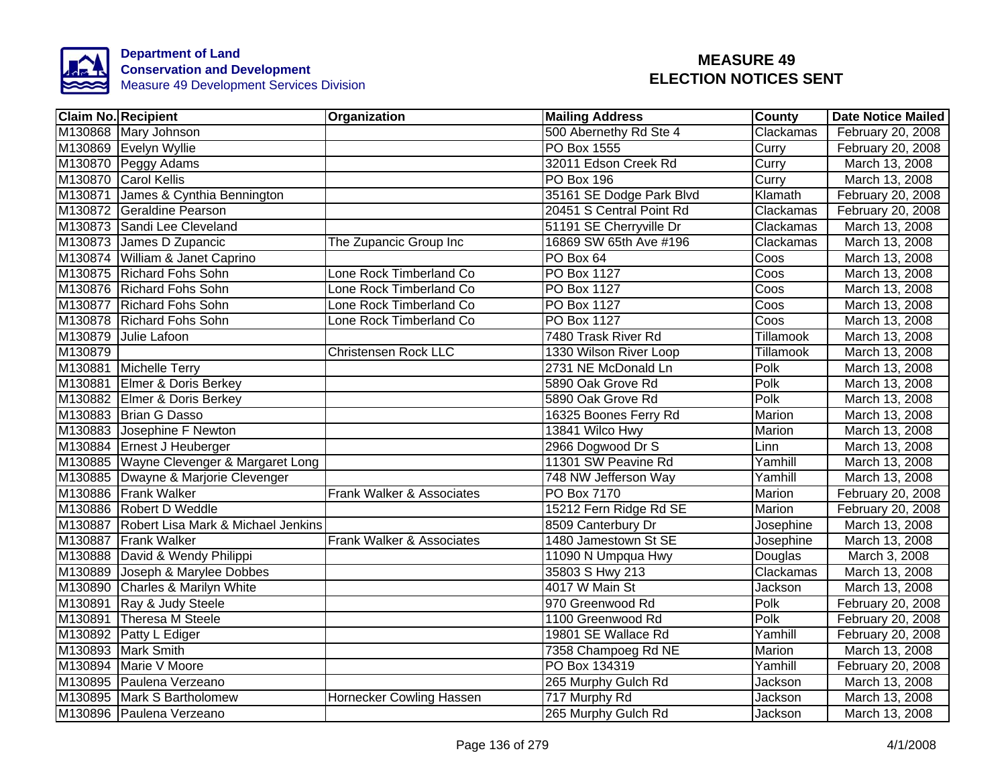

|         | <b>Claim No. Recipient</b>                 | Organization                | <b>Mailing Address</b>   | <b>County</b> | <b>Date Notice Mailed</b> |
|---------|--------------------------------------------|-----------------------------|--------------------------|---------------|---------------------------|
|         | M130868 Mary Johnson                       |                             | 500 Abernethy Rd Ste 4   | Clackamas     | February 20, 2008         |
|         | M130869 Evelyn Wyllie                      |                             | <b>PO Box 1555</b>       | Curry         | February 20, 2008         |
|         | M130870 Peggy Adams                        |                             | 32011 Edson Creek Rd     | Curry         | March 13, 2008            |
|         | M130870 Carol Kellis                       |                             | <b>PO Box 196</b>        | Curry         | March 13, 2008            |
|         | M130871 James & Cynthia Bennington         |                             | 35161 SE Dodge Park Blvd | Klamath       | February 20, 2008         |
|         | M130872 Geraldine Pearson                  |                             | 20451 S Central Point Rd | Clackamas     | February 20, 2008         |
|         | M130873 Sandi Lee Cleveland                |                             | 51191 SE Cherryville Dr  | Clackamas     | March 13, 2008            |
|         | M130873 James D Zupancic                   | The Zupancic Group Inc      | 16869 SW 65th Ave #196   | Clackamas     | March 13, 2008            |
|         | M130874 William & Janet Caprino            |                             | PO Box 64                | Coos          | March 13, 2008            |
|         | M130875 Richard Fohs Sohn                  | Lone Rock Timberland Co     | PO Box 1127              | Coos          | March 13, 2008            |
|         | M130876 Richard Fohs Sohn                  | Lone Rock Timberland Co     | PO Box 1127              | Coos          | March 13, 2008            |
|         | M130877 Richard Fohs Sohn                  | Lone Rock Timberland Co     | PO Box 1127              | Coos          | March 13, 2008            |
|         | M130878 Richard Fohs Sohn                  | Lone Rock Timberland Co     | PO Box 1127              | Coos          | March 13, 2008            |
|         | M130879 Julie Lafoon                       |                             | 7480 Trask River Rd      | Tillamook     | March 13, 2008            |
| M130879 |                                            | <b>Christensen Rock LLC</b> | 1330 Wilson River Loop   | Tillamook     | March 13, 2008            |
|         | M130881 Michelle Terry                     |                             | 2731 NE McDonald Ln      | Polk          | March 13, 2008            |
|         | M130881 Elmer & Doris Berkey               |                             | 5890 Oak Grove Rd        | Polk          | March 13, 2008            |
|         | M130882 Elmer & Doris Berkey               |                             | 5890 Oak Grove Rd        | Polk          | March 13, 2008            |
|         | M130883 Brian G Dasso                      |                             | 16325 Boones Ferry Rd    | Marion        | March 13, 2008            |
|         | M130883 Josephine F Newton                 |                             | 13841 Wilco Hwy          | Marion        | March 13, 2008            |
|         | M130884 Ernest J Heuberger                 |                             | 2966 Dogwood Dr S        | Linn          | March 13, 2008            |
|         | M130885 Wayne Clevenger & Margaret Long    |                             | 11301 SW Peavine Rd      | Yamhill       | March 13, 2008            |
|         | M130885 Dwayne & Marjorie Clevenger        |                             | 748 NW Jefferson Way     | Yamhill       | March 13, 2008            |
|         | M130886 Frank Walker                       | Frank Walker & Associates   | <b>PO Box 7170</b>       | Marion        | February 20, 2008         |
|         | M130886 Robert D Weddle                    |                             | 15212 Fern Ridge Rd SE   | <b>Marion</b> | February 20, 2008         |
|         | M130887 Robert Lisa Mark & Michael Jenkins |                             | 8509 Canterbury Dr       | Josephine     | March 13, 2008            |
|         | M130887 Frank Walker                       | Frank Walker & Associates   | 1480 Jamestown St SE     | Josephine     | March 13, 2008            |
|         | M130888 David & Wendy Philippi             |                             | 11090 N Umpqua Hwy       | Douglas       | March 3, 2008             |
|         | M130889 Joseph & Marylee Dobbes            |                             | 35803 S Hwy 213          | Clackamas     | March 13, 2008            |
|         | M130890 Charles & Marilyn White            |                             | 4017 W Main St           | Jackson       | March 13, 2008            |
|         | M130891 Ray & Judy Steele                  |                             | 970 Greenwood Rd         | Polk          | February 20, 2008         |
| M130891 | Theresa M Steele                           |                             | 1100 Greenwood Rd        | Polk          | February 20, 2008         |
|         | M130892 Patty L Ediger                     |                             | 19801 SE Wallace Rd      | Yamhill       | February 20, 2008         |
|         | M130893 Mark Smith                         |                             | 7358 Champoeg Rd NE      | Marion        | March 13, 2008            |
|         | M130894 Marie V Moore                      |                             | PO Box 134319            | Yamhill       | February 20, 2008         |
|         | M130895 Paulena Verzeano                   |                             | 265 Murphy Gulch Rd      | Jackson       | March 13, 2008            |
|         | M130895 Mark S Bartholomew                 | Hornecker Cowling Hassen    | 717 Murphy Rd            | Jackson       | March 13, 2008            |
|         | M130896 Paulena Verzeano                   |                             | 265 Murphy Gulch Rd      | Jackson       | March 13, 2008            |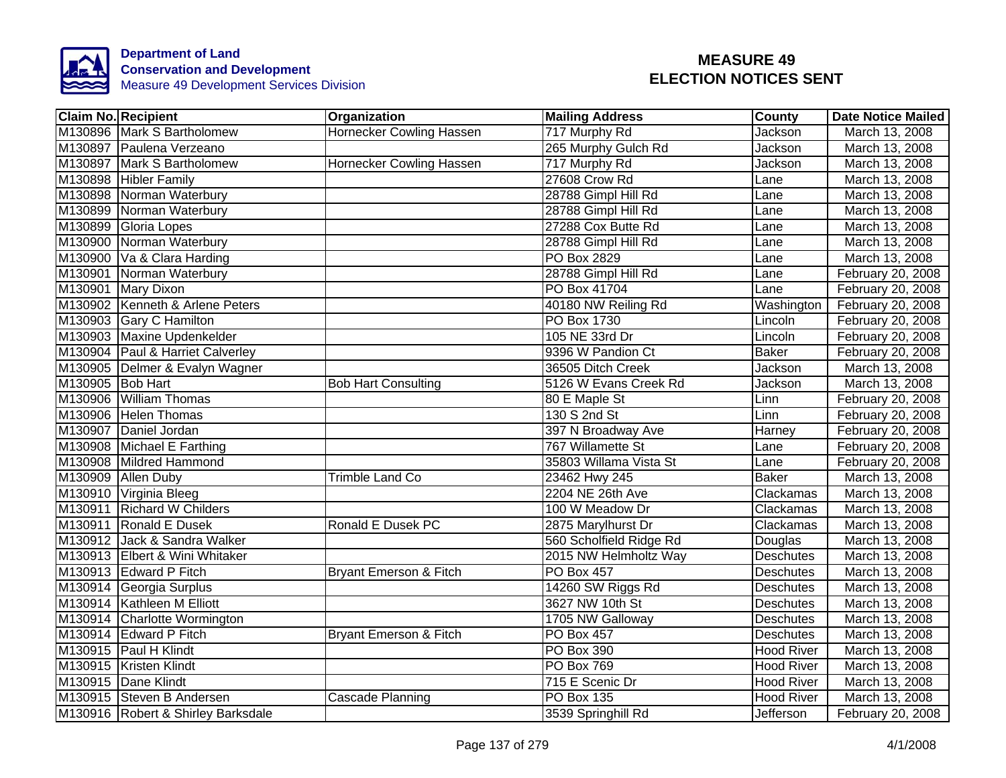

|                  | <b>Claim No. Recipient</b>         | Organization               | <b>Mailing Address</b>  | County            | <b>Date Notice Mailed</b> |
|------------------|------------------------------------|----------------------------|-------------------------|-------------------|---------------------------|
|                  | M130896 Mark S Bartholomew         | Hornecker Cowling Hassen   | 717 Murphy Rd           | Jackson           | March 13, 2008            |
|                  | M130897 Paulena Verzeano           |                            | 265 Murphy Gulch Rd     | Jackson           | March 13, 2008            |
|                  | M130897 Mark S Bartholomew         | Hornecker Cowling Hassen   | 717 Murphy Rd           | Jackson           | March 13, 2008            |
|                  | M130898 Hibler Family              |                            | 27608 Crow Rd           | Lane              | March 13, 2008            |
|                  | M130898 Norman Waterbury           |                            | 28788 Gimpl Hill Rd     | Lane              | March 13, 2008            |
|                  | M130899 Norman Waterbury           |                            | 28788 Gimpl Hill Rd     | Lane              | March 13, 2008            |
|                  | M130899 Gloria Lopes               |                            | 27288 Cox Butte Rd      | Lane              | March 13, 2008            |
|                  | M130900 Norman Waterbury           |                            | 28788 Gimpl Hill Rd     | Lane              | March 13, 2008            |
|                  | M130900 Va & Clara Harding         |                            | PO Box 2829             | Lane              | March 13, 2008            |
|                  | M130901 Norman Waterbury           |                            | 28788 Gimpl Hill Rd     | Lane              | February 20, 2008         |
|                  | M130901 Mary Dixon                 |                            | PO Box 41704            | Lane              | February 20, 2008         |
|                  | M130902 Kenneth & Arlene Peters    |                            | 40180 NW Reiling Rd     | Washington        | February 20, 2008         |
|                  | M130903 Gary C Hamilton            |                            | <b>PO Box 1730</b>      | Lincoln           | February 20, 2008         |
|                  | M130903 Maxine Updenkelder         |                            | 105 NE 33rd Dr          | Lincoln           | February 20, 2008         |
|                  | M130904 Paul & Harriet Calverley   |                            | 9396 W Pandion Ct       | <b>Baker</b>      | February 20, 2008         |
|                  | M130905 Delmer & Evalyn Wagner     |                            | 36505 Ditch Creek       | Jackson           | March 13, 2008            |
| M130905 Bob Hart |                                    | <b>Bob Hart Consulting</b> | 5126 W Evans Creek Rd   | Jackson           | March 13, 2008            |
|                  | M130906 William Thomas             |                            | 80 E Maple St           | Linn              | February 20, 2008         |
|                  | M130906 Helen Thomas               |                            | 130 S 2nd St            | Linn              | February 20, 2008         |
|                  | M130907 Daniel Jordan              |                            | 397 N Broadway Ave      | Harney            | February 20, 2008         |
|                  | M130908 Michael E Farthing         |                            | 767 Willamette St       | Lane              | February 20, 2008         |
|                  | M130908 Mildred Hammond            |                            | 35803 Willama Vista St  | Lane              | February 20, 2008         |
|                  | M130909 Allen Duby                 | <b>Trimble Land Co</b>     | 23462 Hwy 245           | <b>Baker</b>      | March 13, 2008            |
|                  | M130910 Virginia Bleeg             |                            | 2204 NE 26th Ave        | Clackamas         | March 13, 2008            |
|                  | M130911 Richard W Childers         |                            | 100 W Meadow Dr         | Clackamas         | March 13, 2008            |
|                  | M130911 Ronald E Dusek             | <b>Ronald E Dusek PC</b>   | 2875 Marylhurst Dr      | Clackamas         | March 13, 2008            |
|                  | M130912 Jack & Sandra Walker       |                            | 560 Scholfield Ridge Rd | Douglas           | March 13, 2008            |
|                  | M130913 Elbert & Wini Whitaker     |                            | 2015 NW Helmholtz Way   | <b>Deschutes</b>  | March 13, 2008            |
|                  | M130913 Edward P Fitch             | Bryant Emerson & Fitch     | PO Box 457              | <b>Deschutes</b>  | March 13, 2008            |
|                  | M130914 Georgia Surplus            |                            | 14260 SW Riggs Rd       | <b>Deschutes</b>  | March 13, 2008            |
|                  | M130914 Kathleen M Elliott         |                            | 3627 NW 10th St         | <b>Deschutes</b>  | March 13, 2008            |
|                  | M130914 Charlotte Wormington       |                            | 1705 NW Galloway        | Deschutes         | March 13, 2008            |
|                  | M130914 Edward P Fitch             | Bryant Emerson & Fitch     | PO Box 457              | <b>Deschutes</b>  | March 13, 2008            |
|                  | M130915 Paul H Klindt              |                            | PO Box 390              | <b>Hood River</b> | March 13, 2008            |
|                  | M130915 Kristen Klindt             |                            | PO Box 769              | <b>Hood River</b> | March 13, 2008            |
|                  | M130915 Dane Klindt                |                            | 715 E Scenic Dr         | <b>Hood River</b> | March 13, 2008            |
|                  | M130915 Steven B Andersen          | Cascade Planning           | PO Box 135              | <b>Hood River</b> | March 13, 2008            |
|                  | M130916 Robert & Shirley Barksdale |                            | 3539 Springhill Rd      | Jefferson         | February 20, 2008         |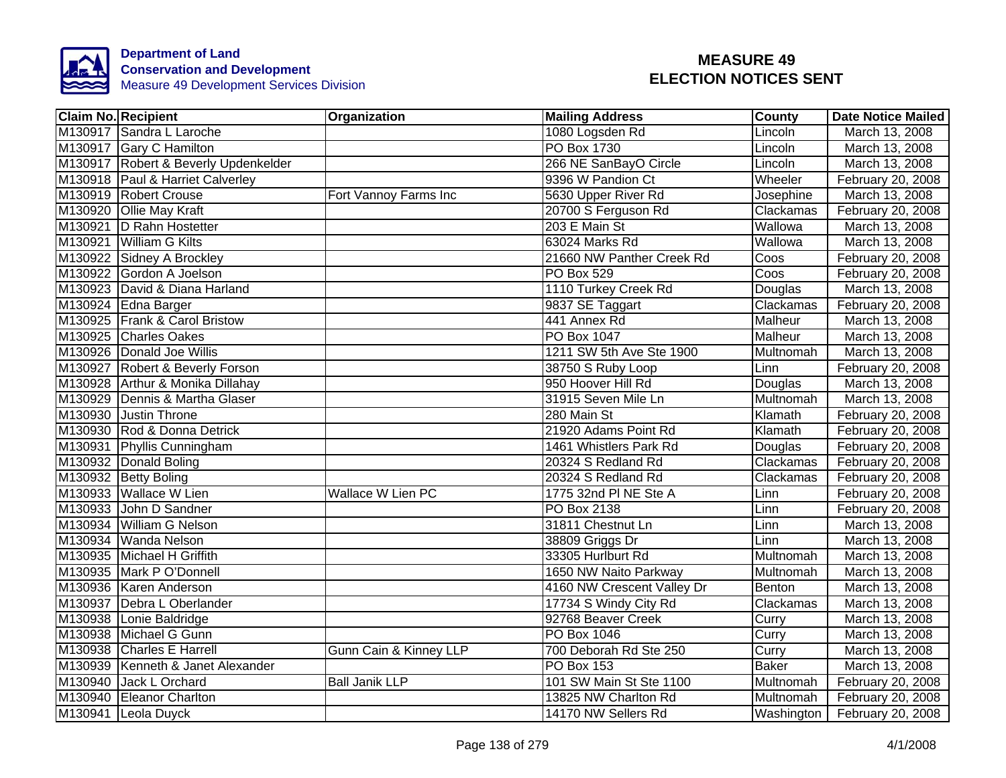

|                     | <b>Claim No. Recipient</b>           | Organization             | <b>Mailing Address</b>     | <b>County</b>            | <b>Date Notice Mailed</b> |
|---------------------|--------------------------------------|--------------------------|----------------------------|--------------------------|---------------------------|
|                     | M130917 Sandra L Laroche             |                          | 1080 Logsden Rd            | Lincoln                  | March 13, 2008            |
|                     | M130917 Gary C Hamilton              |                          | <b>PO Box 1730</b>         | Lincoln                  | March 13, 2008            |
|                     | M130917 Robert & Beverly Updenkelder |                          | 266 NE SanBayO Circle      | Lincoln                  | March 13, 2008            |
|                     | M130918 Paul & Harriet Calverley     |                          | 9396 W Pandion Ct          | Wheeler                  | February 20, 2008         |
|                     | M130919 Robert Crouse                | Fort Vannoy Farms Inc    | 5630 Upper River Rd        | Josephine                | March 13, 2008            |
|                     | M130920 Ollie May Kraft              |                          | 20700 S Ferguson Rd        | Clackamas                | February 20, 2008         |
|                     | M130921  D Rahn Hostetter            |                          | 203 E Main St              | Wallowa                  | March 13, 2008            |
|                     | M130921 William G Kilts              |                          | 63024 Marks Rd             | Wallowa                  | March 13, 2008            |
|                     | M130922 Sidney A Brockley            |                          | 21660 NW Panther Creek Rd  | $\overline{\text{Coss}}$ | February 20, 2008         |
|                     | M130922 Gordon A Joelson             |                          | PO Box 529                 | Coos                     | February 20, 2008         |
|                     | M130923 David & Diana Harland        |                          | 1110 Turkey Creek Rd       | Douglas                  | March 13, 2008            |
|                     | M130924 Edna Barger                  |                          | 9837 SE Taggart            | Clackamas                | February 20, 2008         |
|                     | M130925 Frank & Carol Bristow        |                          | 441 Annex Rd               | Malheur                  | March 13, 2008            |
|                     | M130925 Charles Oakes                |                          | PO Box 1047                | Malheur                  | March 13, 2008            |
|                     | M130926 Donald Joe Willis            |                          | 1211 SW 5th Ave Ste 1900   | Multnomah                | March 13, 2008            |
|                     | M130927 Robert & Beverly Forson      |                          | 38750 S Ruby Loop          | Linn                     | February 20, 2008         |
|                     | M130928 Arthur & Monika Dillahay     |                          | 950 Hoover Hill Rd         | Douglas                  | March 13, 2008            |
|                     | M130929 Dennis & Martha Glaser       |                          | 31915 Seven Mile Ln        | Multnomah                | March 13, 2008            |
|                     | M130930 Justin Throne                |                          | 280 Main St                | Klamath                  | February 20, 2008         |
|                     | M130930 Rod & Donna Detrick          |                          | 21920 Adams Point Rd       | Klamath                  | February 20, 2008         |
|                     | M130931 Phyllis Cunningham           |                          | 1461 Whistlers Park Rd     | Douglas                  | February 20, 2008         |
|                     | M130932 Donald Boling                |                          | 20324 S Redland Rd         | Clackamas                | February 20, 2008         |
|                     | M130932 Betty Boling                 |                          | 20324 S Redland Rd         | Clackamas                | February 20, 2008         |
|                     | M130933 Wallace W Lien               | <b>Wallace W Lien PC</b> | 1775 32nd PI NE Ste A      | Linn                     | February 20, 2008         |
|                     | M130933 John D Sandner               |                          | PO Box 2138                | Linn                     | February 20, 2008         |
|                     | M130934 William G Nelson             |                          | 31811 Chestnut Ln          | Linn                     | March 13, 2008            |
|                     | M130934 Wanda Nelson                 |                          | 38809 Griggs Dr            | Linn                     | March 13, 2008            |
|                     | M130935 Michael H Griffith           |                          | 33305 Hurlburt Rd          | Multnomah                | March 13, 2008            |
|                     | M130935 Mark P O'Donnell             |                          | 1650 NW Naito Parkway      | Multnomah                | March 13, 2008            |
|                     | M130936   Karen Anderson             |                          | 4160 NW Crescent Valley Dr | Benton                   | March 13, 2008            |
|                     | M130937 Debra L Oberlander           |                          | 17734 S Windy City Rd      | Clackamas                | March 13, 2008            |
|                     | M130938 Lonie Baldridge              |                          | 92768 Beaver Creek         | Curry                    | March 13, 2008            |
|                     | M130938 Michael G Gunn               |                          | PO Box 1046                | Curry                    | March 13, 2008            |
|                     | M130938 Charles E Harrell            | Gunn Cain & Kinney LLP   | 700 Deborah Rd Ste 250     | Curry                    | March 13, 2008            |
|                     | M130939 Kenneth & Janet Alexander    |                          | <b>PO Box 153</b>          | <b>Baker</b>             | March 13, 2008            |
| M <sub>130940</sub> | Jack L Orchard                       | <b>Ball Janik LLP</b>    | 101 SW Main St Ste 1100    | Multnomah                | February 20, 2008         |
|                     | M130940 Eleanor Charlton             |                          | 13825 NW Charlton Rd       | Multnomah                | February 20, 2008         |
|                     | M130941 Leola Duyck                  |                          | 14170 NW Sellers Rd        | Washington               | February 20, 2008         |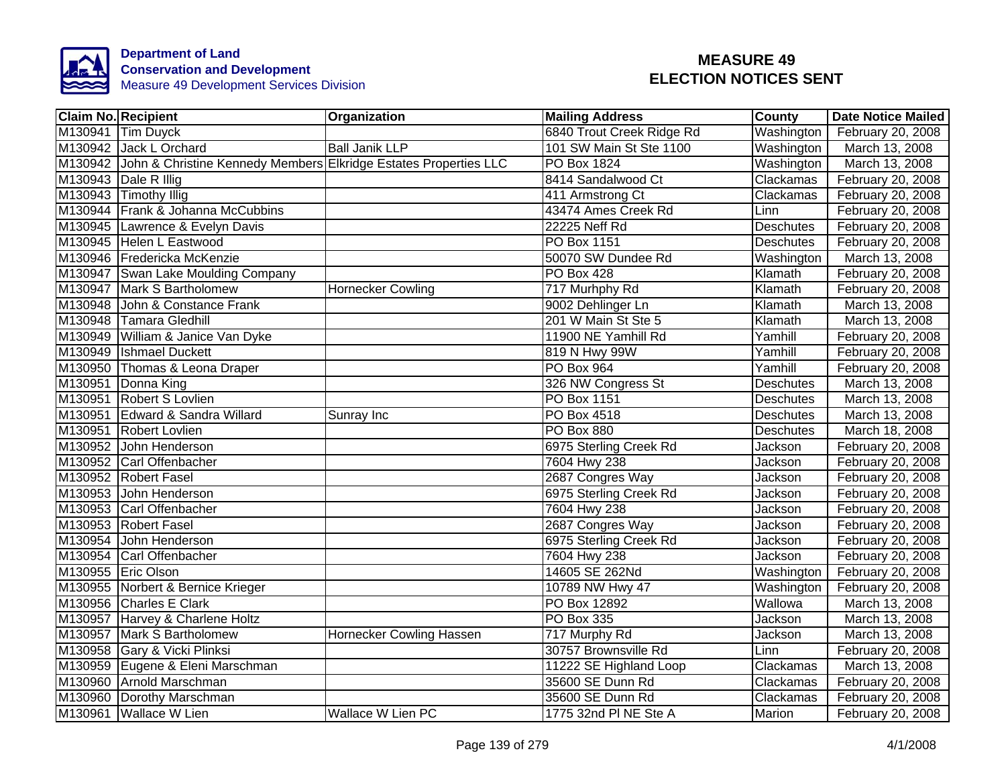

|         | <b>Claim No. Recipient</b>                                               | Organization             | <b>Mailing Address</b>    | <b>County</b>    | <b>Date Notice Mailed</b> |
|---------|--------------------------------------------------------------------------|--------------------------|---------------------------|------------------|---------------------------|
| M130941 | <b>Tim Duyck</b>                                                         |                          | 6840 Trout Creek Ridge Rd | Washington       | February 20, 2008         |
|         | M130942 Jack L Orchard                                                   | <b>Ball Janik LLP</b>    | 101 SW Main St Ste 1100   | Washington       | March 13, 2008            |
|         | M130942 John & Christine Kennedy Members Elkridge Estates Properties LLC |                          | <b>PO Box 1824</b>        | Washington       | March 13, 2008            |
|         | M130943 Dale R Illig                                                     |                          | 8414 Sandalwood Ct        | Clackamas        | February 20, 2008         |
|         | M130943 Timothy Illig                                                    |                          | 411 Armstrong Ct          | Clackamas        | February 20, 2008         |
|         | M130944 Frank & Johanna McCubbins                                        |                          | 43474 Ames Creek Rd       | Linn             | February 20, 2008         |
|         | M130945 Lawrence & Evelyn Davis                                          |                          | 22225 Neff Rd             | <b>Deschutes</b> | February 20, 2008         |
|         | M130945 Helen L Eastwood                                                 |                          | PO Box 1151               | Deschutes        | February 20, 2008         |
|         | M130946 Fredericka McKenzie                                              |                          | 50070 SW Dundee Rd        | Washington       | March 13, 2008            |
|         | M130947 Swan Lake Moulding Company                                       |                          | <b>PO Box 428</b>         | Klamath          | February 20, 2008         |
|         | M130947 Mark S Bartholomew                                               | <b>Hornecker Cowling</b> | 717 Murhphy Rd            | Klamath          | February 20, 2008         |
|         | M130948 John & Constance Frank                                           |                          | 9002 Dehlinger Ln         | Klamath          | March 13, 2008            |
|         | M130948 Tamara Gledhill                                                  |                          | 201 W Main St Ste 5       | Klamath          | March 13, 2008            |
|         | M130949 William & Janice Van Dyke                                        |                          | 11900 NE Yamhill Rd       | Yamhill          | February 20, 2008         |
|         | M130949 Ishmael Duckett                                                  |                          | 819 N Hwy 99W             | Yamhill          | February 20, 2008         |
|         | M130950 Thomas & Leona Draper                                            |                          | <b>PO Box 964</b>         | Yamhill          | February 20, 2008         |
|         | M130951 Donna King                                                       |                          | 326 NW Congress St        | <b>Deschutes</b> | March 13, 2008            |
|         | M130951 Robert S Lovlien                                                 |                          | <b>PO Box 1151</b>        | <b>Deschutes</b> | March 13, 2008            |
|         | M130951 Edward & Sandra Willard                                          | Sunray Inc               | PO Box 4518               | <b>Deschutes</b> | March 13, 2008            |
|         | M130951 Robert Lovlien                                                   |                          | PO Box 880                | <b>Deschutes</b> | March 18, 2008            |
|         | M130952 John Henderson                                                   |                          | 6975 Sterling Creek Rd    | Jackson          | February 20, 2008         |
|         | M130952 Carl Offenbacher                                                 |                          | 7604 Hwy 238              | Jackson          | February 20, 2008         |
|         | M130952 Robert Fasel                                                     |                          | 2687 Congres Way          | Jackson          | February 20, 2008         |
|         | M130953 John Henderson                                                   |                          | 6975 Sterling Creek Rd    | Jackson          | February 20, 2008         |
|         | M130953 Carl Offenbacher                                                 |                          | 7604 Hwy 238              | Jackson          | February 20, 2008         |
|         | M130953 Robert Fasel                                                     |                          | 2687 Congres Way          | <b>Jackson</b>   | February 20, 2008         |
|         | M130954 John Henderson                                                   |                          | 6975 Sterling Creek Rd    | Jackson          | February 20, 2008         |
|         | M130954 Carl Offenbacher                                                 |                          | 7604 Hwy 238              | Jackson          | February 20, 2008         |
|         | M130955 Eric Olson                                                       |                          | 14605 SE 262Nd            | Washington       | February 20, 2008         |
|         | M130955 Norbert & Bernice Krieger                                        |                          | 10789 NW Hwy 47           | Washington       | February 20, 2008         |
|         | M130956 Charles E Clark                                                  |                          | PO Box 12892              | Wallowa          | March 13, 2008            |
|         | M130957 Harvey & Charlene Holtz                                          |                          | PO Box 335                | Jackson          | March 13, 2008            |
|         | M130957 Mark S Bartholomew                                               | Hornecker Cowling Hassen | 717 Murphy Rd             | Jackson          | March 13, 2008            |
|         | M130958 Gary & Vicki Plinksi                                             |                          | 30757 Brownsville Rd      | Linn             | February 20, 2008         |
|         | M130959 Eugene & Eleni Marschman                                         |                          | 11222 SE Highland Loop    | Clackamas        | March 13, 2008            |
|         | M130960 Arnold Marschman                                                 |                          | 35600 SE Dunn Rd          | Clackamas        | February 20, 2008         |
|         | M130960 Dorothy Marschman                                                |                          | 35600 SE Dunn Rd          | Clackamas        | February 20, 2008         |
|         | M130961 Wallace W Lien                                                   | Wallace W Lien PC        | 1775 32nd PI NE Ste A     | Marion           | February 20, 2008         |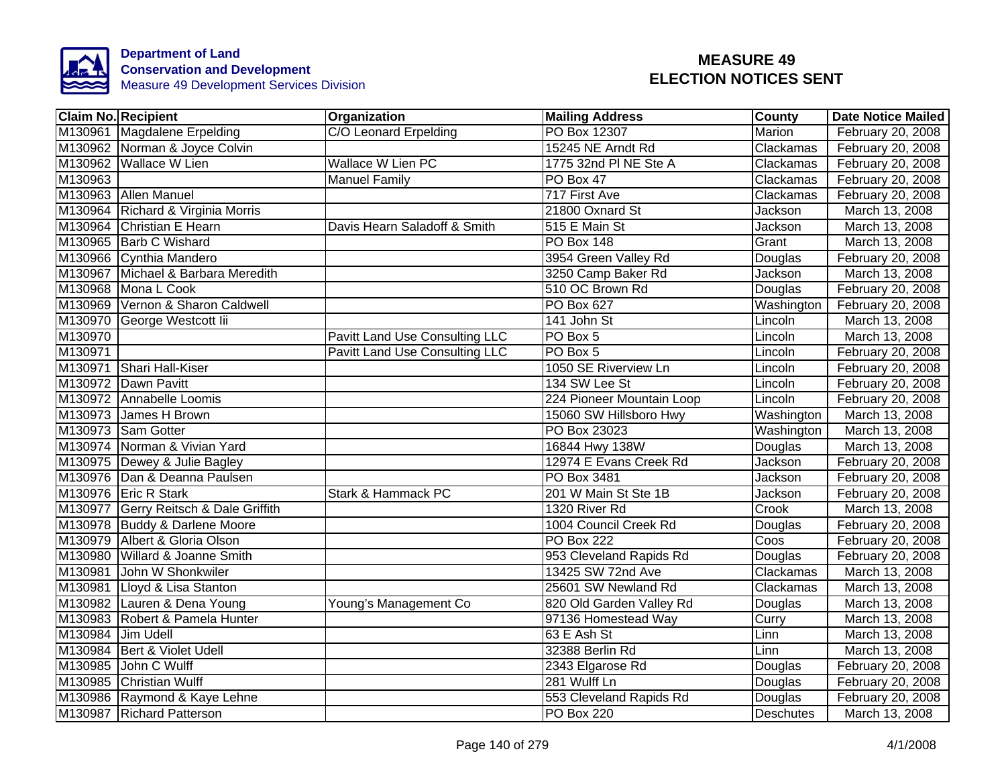

|         | <b>Claim No. Recipient</b>            | Organization                          | <b>Mailing Address</b>    | <b>County</b> | <b>Date Notice Mailed</b> |
|---------|---------------------------------------|---------------------------------------|---------------------------|---------------|---------------------------|
|         | M130961 Magdalene Erpelding           | C/O Leonard Erpelding                 | PO Box 12307              | Marion        | February 20, 2008         |
|         | M130962 Norman & Joyce Colvin         |                                       | 15245 NE Arndt Rd         | Clackamas     | February 20, 2008         |
|         | M130962 Wallace W Lien                | <b>Wallace W Lien PC</b>              | 1775 32nd PI NE Ste A     | Clackamas     | February 20, 2008         |
| M130963 |                                       | <b>Manuel Family</b>                  | PO Box 47                 | Clackamas     | February 20, 2008         |
|         | M130963 Allen Manuel                  |                                       | 717 First Ave             | Clackamas     | February 20, 2008         |
|         | M130964 Richard & Virginia Morris     |                                       | 21800 Oxnard St           | Jackson       | March 13, 2008            |
|         | M130964 Christian E Hearn             | Davis Hearn Saladoff & Smith          | 515 E Main St             | Jackson       | March 13, 2008            |
|         | M130965 Barb C Wishard                |                                       | PO Box 148                | Grant         | March 13, 2008            |
|         | M130966 Cynthia Mandero               |                                       | 3954 Green Valley Rd      | Douglas       | February 20, 2008         |
|         | M130967 Michael & Barbara Meredith    |                                       | 3250 Camp Baker Rd        | Jackson       | March 13, 2008            |
|         | M130968 Mona L Cook                   |                                       | 510 OC Brown Rd           | Douglas       | February 20, 2008         |
|         | M130969 Vernon & Sharon Caldwell      |                                       | PO Box 627                | Washington    | February 20, 2008         |
|         | M130970 George Westcott lii           |                                       | 141 John St               | Lincoln       | March 13, 2008            |
| M130970 |                                       | <b>Pavitt Land Use Consulting LLC</b> | PO Box 5                  | Lincoln       | March 13, 2008            |
| M130971 |                                       | <b>Pavitt Land Use Consulting LLC</b> | PO Box 5                  | Lincoln       | February 20, 2008         |
|         | M130971 Shari Hall-Kiser              |                                       | 1050 SE Riverview Ln      | Lincoln       | February 20, 2008         |
|         | M130972 Dawn Pavitt                   |                                       | 134 SW Lee St             | Lincoln       | February 20, 2008         |
|         | M130972 Annabelle Loomis              |                                       | 224 Pioneer Mountain Loop | Lincoln       | February 20, 2008         |
|         | M130973 James H Brown                 |                                       | 15060 SW Hillsboro Hwy    | Washington    | March 13, 2008            |
|         | M130973 Sam Gotter                    |                                       | PO Box 23023              | Washington    | March 13, 2008            |
|         | M130974 Norman & Vivian Yard          |                                       | 16844 Hwy 138W            | Douglas       | March 13, 2008            |
|         | M130975 Dewey & Julie Bagley          |                                       | 12974 E Evans Creek Rd    | Jackson       | February 20, 2008         |
|         | M130976 Dan & Deanna Paulsen          |                                       | PO Box 3481               | Jackson       | February 20, 2008         |
|         | M130976 Eric R Stark                  | Stark & Hammack PC                    | 201 W Main St Ste 1B      | Jackson       | February 20, 2008         |
|         | M130977 Gerry Reitsch & Dale Griffith |                                       | 1320 River Rd             | Crook         | March 13, 2008            |
|         | M130978 Buddy & Darlene Moore         |                                       | 1004 Council Creek Rd     | Douglas       | February 20, 2008         |
|         | M130979 Albert & Gloria Olson         |                                       | <b>PO Box 222</b>         | Coos          | February 20, 2008         |
|         | M130980 Willard & Joanne Smith        |                                       | 953 Cleveland Rapids Rd   | Douglas       | February 20, 2008         |
|         | M130981 John W Shonkwiler             |                                       | 13425 SW 72nd Ave         | Clackamas     | March 13, 2008            |
|         | M130981 Lloyd & Lisa Stanton          |                                       | 25601 SW Newland Rd       | Clackamas     | March 13, 2008            |
|         | M130982 Lauren & Dena Young           | Young's Management Co                 | 820 Old Garden Valley Rd  | Douglas       | March 13, 2008            |
|         | M130983 Robert & Pamela Hunter        |                                       | 97136 Homestead Way       | Curry         | March 13, 2008            |
|         | M130984 Jim Udell                     |                                       | $\overline{63}$ E Ash St  | Linn          | March 13, 2008            |
|         | M130984 Bert & Violet Udell           |                                       | 32388 Berlin Rd           | Linn          | March 13, 2008            |
|         | M130985 John C Wulff                  |                                       | 2343 Elgarose Rd          | Douglas       | February 20, 2008         |
|         | M130985 Christian Wulff               |                                       | 281 Wulff Ln              | Douglas       | February 20, 2008         |
|         | M130986 Raymond & Kaye Lehne          |                                       | 553 Cleveland Rapids Rd   | Douglas       | February 20, 2008         |
|         | M130987 Richard Patterson             |                                       | <b>PO Box 220</b>         | Deschutes     | March 13, 2008            |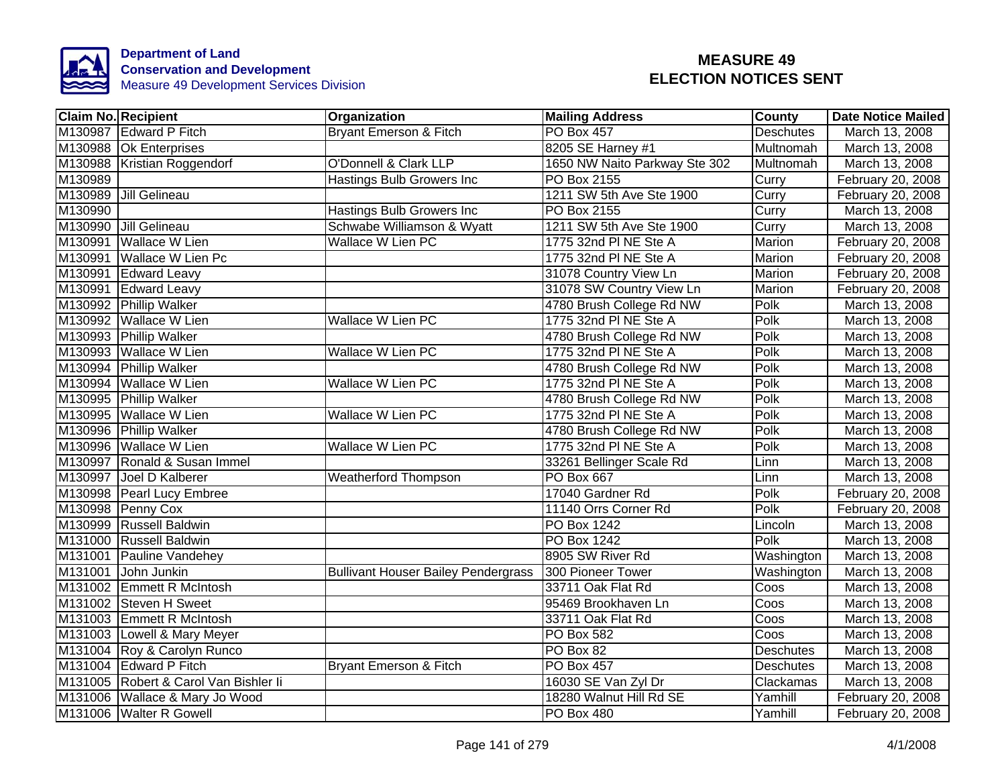

|         | <b>Claim No. Recipient</b>            | <b>Organization</b>                        | <b>Mailing Address</b>        | <b>County</b>    | <b>Date Notice Mailed</b> |
|---------|---------------------------------------|--------------------------------------------|-------------------------------|------------------|---------------------------|
|         | M130987 Edward P Fitch                | <b>Bryant Emerson &amp; Fitch</b>          | <b>PO Box 457</b>             | <b>Deschutes</b> | March 13, 2008            |
|         | M130988 Ok Enterprises                |                                            | 8205 SE Harney #1             | Multnomah        | March 13, 2008            |
|         | M130988 Kristian Roggendorf           | O'Donnell & Clark LLP                      | 1650 NW Naito Parkway Ste 302 | Multnomah        | March 13, 2008            |
| M130989 |                                       | Hastings Bulb Growers Inc                  | PO Box 2155                   | Curry            | February 20, 2008         |
|         | M130989 Jill Gelineau                 |                                            | 1211 SW 5th Ave Ste 1900      | Curry            | February 20, 2008         |
| M130990 |                                       | Hastings Bulb Growers Inc                  | PO Box 2155                   | Curry            | March 13, 2008            |
|         | M130990 Jill Gelineau                 | Schwabe Williamson & Wyatt                 | 1211 SW 5th Ave Ste 1900      | Curry            | March 13, 2008            |
|         | M130991 Wallace W Lien                | Wallace W Lien PC                          | 1775 32nd PI NE Ste A         | Marion           | February 20, 2008         |
|         | M130991 Wallace W Lien Pc             |                                            | 1775 32nd PI NE Ste A         | Marion           | February 20, 2008         |
|         | M130991 Edward Leavy                  |                                            | 31078 Country View Ln         | Marion           | February 20, 2008         |
|         | M130991 Edward Leavy                  |                                            | 31078 SW Country View Ln      | Marion           | February 20, 2008         |
|         | M130992 Phillip Walker                |                                            | 4780 Brush College Rd NW      | Polk             | March 13, 2008            |
|         | M130992 Wallace W Lien                | Wallace W Lien PC                          | 1775 32nd PI NE Ste A         | Polk             | March 13, 2008            |
|         | M130993 Phillip Walker                |                                            | 4780 Brush College Rd NW      | Polk             | March 13, 2008            |
|         | M130993 Wallace W Lien                | Wallace W Lien PC                          | 1775 32nd PI NE Ste A         | Polk             | March 13, 2008            |
|         | M130994 Phillip Walker                |                                            | 4780 Brush College Rd NW      | Polk             | March 13, 2008            |
|         | M130994 Wallace W Lien                | Wallace W Lien PC                          | 1775 32nd PI NE Ste A         | Polk             | March 13, 2008            |
|         | M130995 Phillip Walker                |                                            | 4780 Brush College Rd NW      | Polk             | March 13, 2008            |
|         | M130995 Wallace W Lien                | <b>Wallace W Lien PC</b>                   | 1775 32nd PI NE Ste A         | Polk             | March 13, 2008            |
|         | M130996 Phillip Walker                |                                            | 4780 Brush College Rd NW      | Polk             | March 13, 2008            |
|         | M130996 Wallace W Lien                | Wallace W Lien PC                          | 1775 32nd PI NE Ste A         | Polk             | March 13, 2008            |
|         | M130997 Ronald & Susan Immel          |                                            | 33261 Bellinger Scale Rd      | Linn             | March 13, 2008            |
|         | M130997 Joel D Kalberer               | <b>Weatherford Thompson</b>                | <b>PO Box 667</b>             | Linn             | March 13, 2008            |
|         | M130998 Pearl Lucy Embree             |                                            | 17040 Gardner Rd              | Polk             | February 20, 2008         |
|         | M130998 Penny Cox                     |                                            | 11140 Orrs Corner Rd          | Polk             | February 20, 2008         |
|         | M130999 Russell Baldwin               |                                            | <b>PO Box 1242</b>            | Lincoln          | March 13, 2008            |
|         | M131000 Russell Baldwin               |                                            | <b>PO Box 1242</b>            | Polk             | March 13, 2008            |
|         | M131001 Pauline Vandehey              |                                            | 8905 SW River Rd              | Washington       | March 13, 2008            |
|         | M131001 John Junkin                   | <b>Bullivant Houser Bailey Pendergrass</b> | 300 Pioneer Tower             | Washington       | March 13, 2008            |
|         | M131002 Emmett R McIntosh             |                                            | 33711 Oak Flat Rd             | Coos             | March 13, 2008            |
|         | M131002 Steven H Sweet                |                                            | 95469 Brookhaven Ln           | Coos             | March 13, 2008            |
|         | M131003 Emmett R McIntosh             |                                            | 33711 Oak Flat Rd             | Coos             | March 13, 2008            |
|         | M131003 Lowell & Mary Meyer           |                                            | PO Box 582                    | Coos             | March 13, 2008            |
|         | M131004 Roy & Carolyn Runco           |                                            | PO Box 82                     | Deschutes        | March 13, 2008            |
|         | M131004 Edward P Fitch                | Bryant Emerson & Fitch                     | PO Box 457                    | Deschutes        | March 13, 2008            |
|         | M131005 Robert & Carol Van Bishler li |                                            | 16030 SE Van Zyl Dr           | Clackamas        | March 13, 2008            |
|         | M131006 Wallace & Mary Jo Wood        |                                            | 18280 Walnut Hill Rd SE       | Yamhill          | February 20, 2008         |
|         | M131006 Walter R Gowell               |                                            | PO Box 480                    | Yamhill          | February 20, 2008         |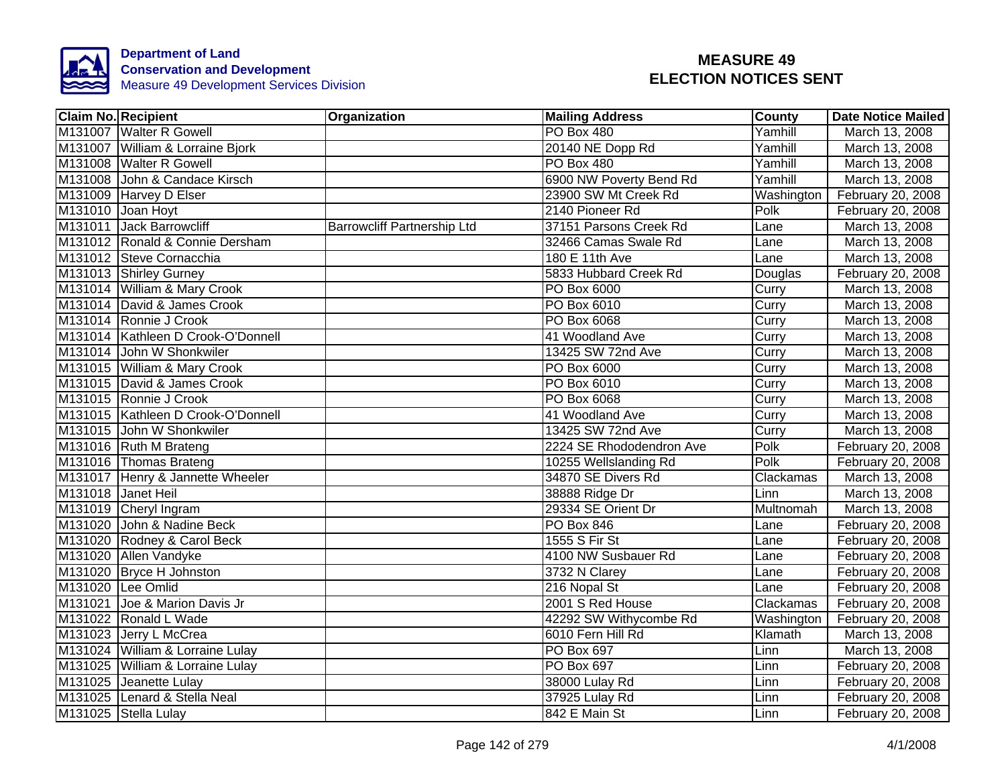

| <b>Claim No. Recipient</b>         | Organization                       | <b>Mailing Address</b>   | <b>County</b> | <b>Date Notice Mailed</b> |
|------------------------------------|------------------------------------|--------------------------|---------------|---------------------------|
| M131007 Walter R Gowell            |                                    | PO Box 480               | Yamhill       | March 13, 2008            |
| M131007 William & Lorraine Bjork   |                                    | 20140 NE Dopp Rd         | Yamhill       | March 13, 2008            |
| M131008 Walter R Gowell            |                                    | <b>PO Box 480</b>        | Yamhill       | March 13, 2008            |
| M131008 John & Candace Kirsch      |                                    | 6900 NW Poverty Bend Rd  | Yamhill       | March 13, 2008            |
| M131009 Harvey D Elser             |                                    | 23900 SW Mt Creek Rd     | Washington    | February 20, 2008         |
| M131010 Joan Hoyt                  |                                    | 2140 Pioneer Rd          | Polk          | February 20, 2008         |
| M131011 Jack Barrowcliff           | <b>Barrowcliff Partnership Ltd</b> | 37151 Parsons Creek Rd   | Lane          | March 13, 2008            |
| M131012 Ronald & Connie Dersham    |                                    | 32466 Camas Swale Rd     | Lane          | March 13, 2008            |
| M131012 Steve Cornacchia           |                                    | 180 E 11th Ave           | Lane          | March 13, 2008            |
| M131013 Shirley Gurney             |                                    | 5833 Hubbard Creek Rd    | Douglas       | February 20, 2008         |
| M131014 William & Mary Crook       |                                    | PO Box 6000              | Curry         | March 13, 2008            |
| M131014 David & James Crook        |                                    | PO Box 6010              | Curry         | March 13, 2008            |
| M131014 Ronnie J Crook             |                                    | PO Box 6068              | Curry         | March 13, 2008            |
| M131014 Kathleen D Crook-O'Donnell |                                    | 41 Woodland Ave          | Curry         | March 13, 2008            |
| M131014 John W Shonkwiler          |                                    | 13425 SW 72nd Ave        | Curry         | March 13, 2008            |
| M131015 William & Mary Crook       |                                    | <b>PO Box 6000</b>       | Curry         | March 13, 2008            |
| M131015 David & James Crook        |                                    | PO Box 6010              | Curry         | March 13, 2008            |
| M131015 Ronnie J Crook             |                                    | PO Box 6068              | Curry         | March 13, 2008            |
| M131015 Kathleen D Crook-O'Donnell |                                    | 41 Woodland Ave          | Curry         | March 13, 2008            |
| M131015 John W Shonkwiler          |                                    | 13425 SW 72nd Ave        | Curry         | March 13, 2008            |
| M131016 Ruth M Brateng             |                                    | 2224 SE Rhododendron Ave | Polk          | February 20, 2008         |
| M131016 Thomas Brateng             |                                    | 10255 Wellslanding Rd    | Polk          | February 20, 2008         |
| M131017 Henry & Jannette Wheeler   |                                    | 34870 SE Divers Rd       | Clackamas     | March 13, 2008            |
| M131018 Janet Heil                 |                                    | 38888 Ridge Dr           | Linn          | March 13, 2008            |
| M131019 Cheryl Ingram              |                                    | 29334 SE Orient Dr       | Multnomah     | March 13, 2008            |
| M131020 John & Nadine Beck         |                                    | <b>PO Box 846</b>        | Lane          | February 20, 2008         |
| M131020 Rodney & Carol Beck        |                                    | 1555 S Fir St            | Lane          | February 20, 2008         |
| M131020 Allen Vandyke              |                                    | 4100 NW Susbauer Rd      | Lane          | February 20, 2008         |
| M131020 Bryce H Johnston           |                                    | 3732 N Clarey            | Lane          | February 20, 2008         |
| M131020 Lee Omlid                  |                                    | 216 Nopal St             | Lane          | February 20, 2008         |
| M131021 Joe & Marion Davis Jr      |                                    | 2001 S Red House         | Clackamas     | February 20, 2008         |
| M131022 Ronald L Wade              |                                    | 42292 SW Withycombe Rd   | Washington    | February 20, 2008         |
| M131023 Jerry L McCrea             |                                    | 6010 Fern Hill Rd        | Klamath       | March 13, 2008            |
| M131024 William & Lorraine Lulay   |                                    | PO Box 697               | Linn          | March 13, 2008            |
| M131025 William & Lorraine Lulay   |                                    | PO Box 697               | Linn          | February 20, 2008         |
| M131025 Jeanette Lulay             |                                    | 38000 Lulay Rd           | Linn          | February 20, 2008         |
| M131025 Lenard & Stella Neal       |                                    | 37925 Lulay Rd           | Linn          | February 20, 2008         |
| M131025 Stella Lulay               |                                    | 842 E Main St            | Linn          | February 20, 2008         |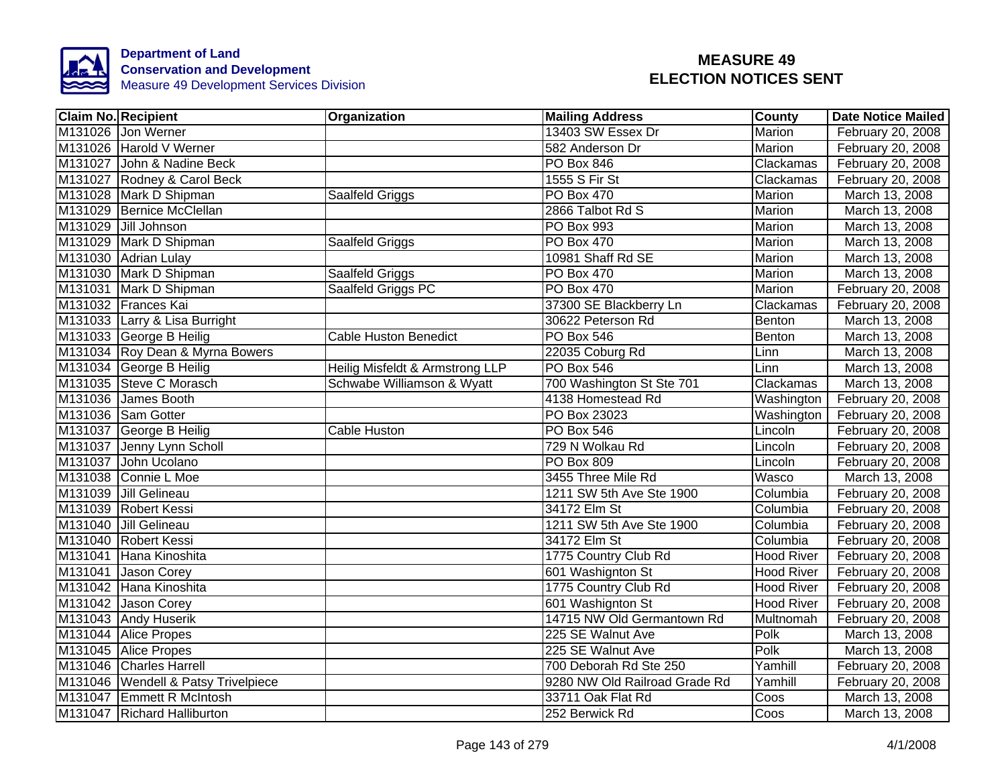

| <b>Claim No. Recipient</b>          | Organization                    | <b>Mailing Address</b>        | County            | <b>Date Notice Mailed</b> |
|-------------------------------------|---------------------------------|-------------------------------|-------------------|---------------------------|
| M131026 Jon Werner                  |                                 | 13403 SW Essex Dr             | <b>Marion</b>     | February 20, 2008         |
| M131026 Harold V Werner             |                                 | 582 Anderson Dr               | <b>Marion</b>     | February 20, 2008         |
| M131027 John & Nadine Beck          |                                 | <b>PO Box 846</b>             | Clackamas         | February 20, 2008         |
| M131027 Rodney & Carol Beck         |                                 | 1555 S Fir St                 | Clackamas         | February 20, 2008         |
| M131028 Mark D Shipman              | Saalfeld Griggs                 | PO Box 470                    | Marion            | March 13, 2008            |
| M131029 Bernice McClellan           |                                 | 2866 Talbot Rd S              | Marion            | March 13, 2008            |
| M131029 Jill Johnson                |                                 | PO Box 993                    | Marion            | March 13, 2008            |
| M131029 Mark D Shipman              | Saalfeld Griggs                 | PO Box 470                    | Marion            | March 13, 2008            |
| M131030 Adrian Lulay                |                                 | 10981 Shaff Rd SE             | Marion            | March 13, 2008            |
| M131030 Mark D Shipman              | Saalfeld Griggs                 | PO Box 470                    | Marion            | March 13, 2008            |
| M131031 Mark D Shipman              | Saalfeld Griggs PC              | PO Box 470                    | Marion            | February 20, 2008         |
| M131032 Frances Kai                 |                                 | 37300 SE Blackberry Ln        | Clackamas         | February 20, 2008         |
| M131033 Larry & Lisa Burright       |                                 | 30622 Peterson Rd             | Benton            | March 13, 2008            |
| M131033 George B Heilig             | <b>Cable Huston Benedict</b>    | PO Box 546                    | Benton            | March 13, 2008            |
| M131034 Roy Dean & Myrna Bowers     |                                 | 22035 Coburg Rd               | Linn              | March 13, 2008            |
| M131034 George B Heilig             | Heilig Misfeldt & Armstrong LLP | <b>PO Box 546</b>             | Linn              | March 13, 2008            |
| M131035 Steve C Morasch             | Schwabe Williamson & Wyatt      | 700 Washington St Ste 701     | Clackamas         | March 13, 2008            |
| M131036 James Booth                 |                                 | 4138 Homestead Rd             | Washington        | February 20, 2008         |
| M131036 Sam Gotter                  |                                 | PO Box 23023                  | Washington        | February 20, 2008         |
| M131037 George B Heilig             | <b>Cable Huston</b>             | PO Box 546                    | Lincoln           | February 20, 2008         |
| M131037 Jenny Lynn Scholl           |                                 | 729 N Wolkau Rd               | Lincoln           | February 20, 2008         |
| M131037 John Ucolano                |                                 | <b>PO Box 809</b>             | Lincoln           | February 20, 2008         |
| M131038 Connie L Moe                |                                 | 3455 Three Mile Rd            | Wasco             | March 13, 2008            |
| M131039 Jill Gelineau               |                                 | 1211 SW 5th Ave Ste 1900      | Columbia          | February 20, 2008         |
| M131039 Robert Kessi                |                                 | 34172 Elm St                  | Columbia          | February 20, 2008         |
| M131040 Jill Gelineau               |                                 | 1211 SW 5th Ave Ste 1900      | Columbia          | February 20, 2008         |
| M131040 Robert Kessi                |                                 | 34172 Elm St                  | Columbia          | February 20, 2008         |
| M131041 Hana Kinoshita              |                                 | 1775 Country Club Rd          | <b>Hood River</b> | February 20, 2008         |
| M131041 Jason Corey                 |                                 | 601 Washignton St             | <b>Hood River</b> | February 20, 2008         |
| M131042 Hana Kinoshita              |                                 | 1775 Country Club Rd          | <b>Hood River</b> | February 20, 2008         |
| M131042 Jason Corey                 |                                 | 601 Washignton St             | <b>Hood River</b> | February 20, 2008         |
| M131043 Andy Huserik                |                                 | 14715 NW Old Germantown Rd    | Multnomah         | February 20, 2008         |
| M131044 Alice Propes                |                                 | 225 SE Walnut Ave             | Polk              | March 13, 2008            |
| M131045 Alice Propes                |                                 | 225 SE Walnut Ave             | Polk              | March 13, 2008            |
| M131046 Charles Harrell             |                                 | 700 Deborah Rd Ste 250        | Yamhill           | February 20, 2008         |
| M131046 Wendell & Patsy Trivelpiece |                                 | 9280 NW Old Railroad Grade Rd | Yamhill           | February 20, 2008         |
| M131047 Emmett R McIntosh           |                                 | 33711 Oak Flat Rd             | Coos              | March 13, 2008            |
| M131047 Richard Halliburton         |                                 | 252 Berwick Rd                | Coos              | March 13, 2008            |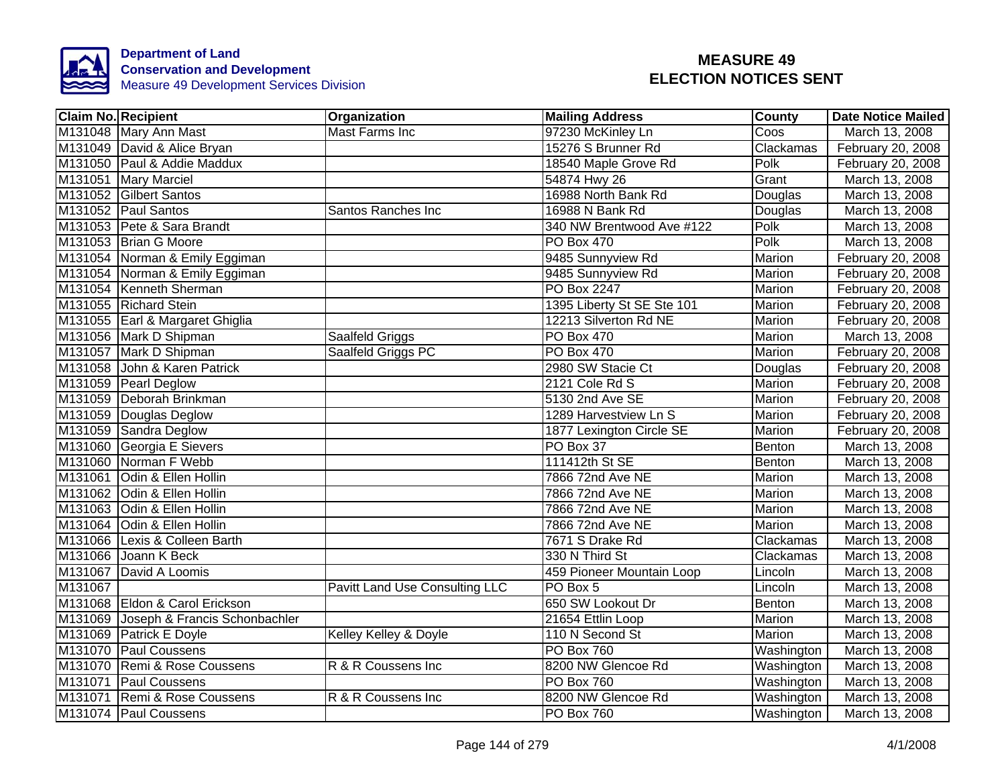

|         | <b>Claim No. Recipient</b>            | <b>Organization</b>            | <b>Mailing Address</b>     | County        | <b>Date Notice Mailed</b> |
|---------|---------------------------------------|--------------------------------|----------------------------|---------------|---------------------------|
|         | M131048 Mary Ann Mast                 | <b>Mast Farms Inc</b>          | 97230 McKinley Ln          | Coos          | March 13, 2008            |
|         | M131049 David & Alice Bryan           |                                | 15276 S Brunner Rd         | Clackamas     | February 20, 2008         |
|         | M131050 Paul & Addie Maddux           |                                | 18540 Maple Grove Rd       | Polk          | February 20, 2008         |
|         | M131051 Mary Marciel                  |                                | 54874 Hwy 26               | Grant         | March 13, 2008            |
|         | M131052 Gilbert Santos                |                                | 16988 North Bank Rd        | Douglas       | March 13, 2008            |
|         | M131052 Paul Santos                   | Santos Ranches Inc             | 16988 N Bank Rd            | Douglas       | March 13, 2008            |
|         | M131053 Pete & Sara Brandt            |                                | 340 NW Brentwood Ave #122  | Polk          | March 13, 2008            |
|         | M131053 Brian G Moore                 |                                | <b>PO Box 470</b>          | Polk          | March 13, 2008            |
|         | M131054 Norman & Emily Eggiman        |                                | 9485 Sunnyview Rd          | Marion        | February 20, 2008         |
|         | M131054 Norman & Emily Eggiman        |                                | 9485 Sunnyview Rd          | Marion        | February 20, 2008         |
|         | M131054 Kenneth Sherman               |                                | PO Box 2247                | Marion        | February 20, 2008         |
|         | M131055 Richard Stein                 |                                | 1395 Liberty St SE Ste 101 | Marion        | February 20, 2008         |
|         | M131055 Earl & Margaret Ghiglia       |                                | 12213 Silverton Rd NE      | Marion        | February 20, 2008         |
|         | M131056 Mark D Shipman                | Saalfeld Griggs                | PO Box 470                 | Marion        | March 13, 2008            |
|         | M131057 Mark D Shipman                | Saalfeld Griggs PC             | <b>PO Box 470</b>          | <b>Marion</b> | February 20, 2008         |
|         | M131058 John & Karen Patrick          |                                | 2980 SW Stacie Ct          | Douglas       | February 20, 2008         |
|         | M131059 Pearl Deglow                  |                                | 2121 Cole Rd S             | Marion        | February 20, 2008         |
|         | M131059 Deborah Brinkman              |                                | 5130 2nd Ave SE            | Marion        | February 20, 2008         |
|         | M131059 Douglas Deglow                |                                | 1289 Harvestview Ln S      | Marion        | February 20, 2008         |
|         | M131059 Sandra Deglow                 |                                | 1877 Lexington Circle SE   | Marion        | February 20, 2008         |
|         | M131060 Georgia E Sievers             |                                | PO Box 37                  | Benton        | March 13, 2008            |
|         | M131060 Norman F Webb                 |                                | 111412th St SE             | Benton        | March 13, 2008            |
|         | M131061 Odin & Ellen Hollin           |                                | 7866 72nd Ave NE           | Marion        | March 13, 2008            |
|         | M131062 Odin & Ellen Hollin           |                                | 7866 72nd Ave NE           | Marion        | March 13, 2008            |
|         | M131063 Odin & Ellen Hollin           |                                | 7866 72nd Ave NE           | Marion        | March 13, 2008            |
|         | M131064 Odin & Ellen Hollin           |                                | 7866 72nd Ave NE           | <b>Marion</b> | March 13, 2008            |
|         | M131066 Lexis & Colleen Barth         |                                | 7671 S Drake Rd            | Clackamas     | March 13, 2008            |
|         | M131066 Joann K Beck                  |                                | 330 N Third St             | Clackamas     | March 13, 2008            |
|         | M131067 David A Loomis                |                                | 459 Pioneer Mountain Loop  | Lincoln       | March 13, 2008            |
| M131067 |                                       | Pavitt Land Use Consulting LLC | PO Box 5                   | Lincoln       | March 13, 2008            |
|         | M131068 Eldon & Carol Erickson        |                                | 650 SW Lookout Dr          | Benton        | March 13, 2008            |
|         | M131069 Joseph & Francis Schonbachler |                                | 21654 Ettlin Loop          | Marion        | March 13, 2008            |
|         | M131069 Patrick E Doyle               | Kelley Kelley & Doyle          | 110 N Second St            | Marion        | March 13, 2008            |
|         | M131070 Paul Coussens                 |                                | <b>PO Box 760</b>          | Washington    | March 13, 2008            |
|         | M131070 Remi & Rose Coussens          | R & R Coussens Inc             | 8200 NW Glencoe Rd         | Washington    | March 13, 2008            |
|         | M131071 Paul Coussens                 |                                | <b>PO Box 760</b>          | Washington    | March 13, 2008            |
|         | M131071 Remi & Rose Coussens          | R & R Coussens Inc             | 8200 NW Glencoe Rd         | Washington    | March 13, 2008            |
|         | M131074 Paul Coussens                 |                                | PO Box 760                 | Washington    | March 13, 2008            |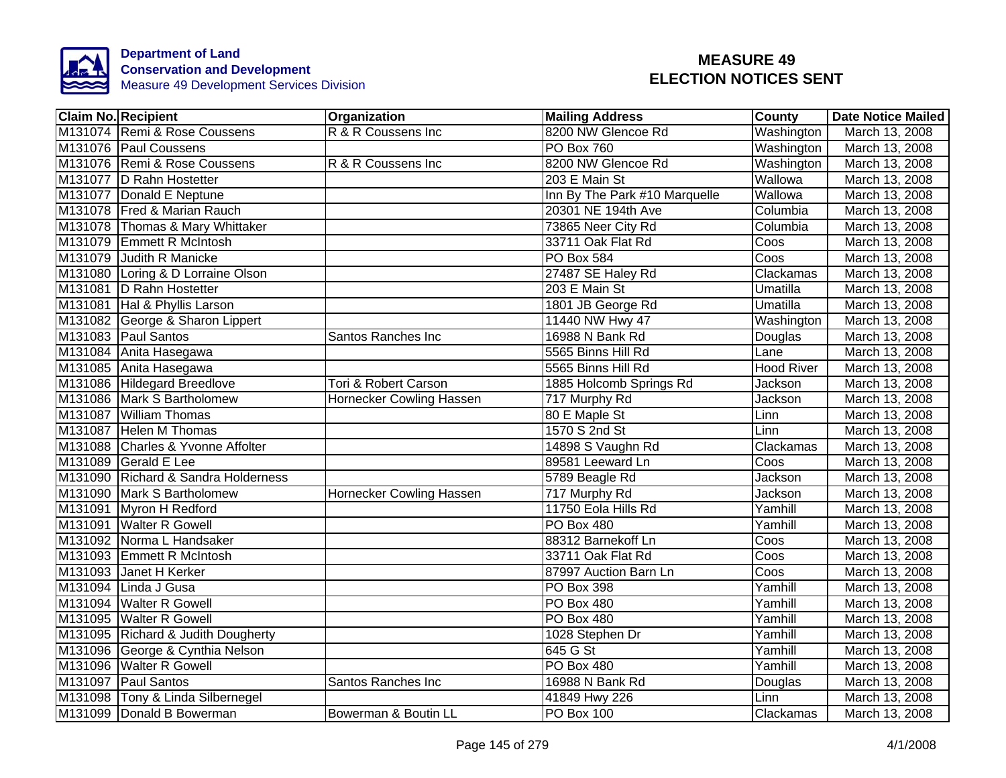

| <b>Claim No. Recipient</b>          | <b>Organization</b>             | <b>Mailing Address</b>        | <b>County</b>             | <b>Date Notice Mailed</b> |
|-------------------------------------|---------------------------------|-------------------------------|---------------------------|---------------------------|
| M131074 Remi & Rose Coussens        | R & R Coussens Inc              | 8200 NW Glencoe Rd            | Washington                | March 13, 2008            |
| M131076 Paul Coussens               |                                 | <b>PO Box 760</b>             | Washington                | March 13, 2008            |
| M131076 Remi & Rose Coussens        | R & R Coussens Inc              | 8200 NW Glencoe Rd            | Washington                | March 13, 2008            |
| M131077 D Rahn Hostetter            |                                 | 203 E Main St                 | Wallowa                   | March 13, 2008            |
| M131077 Donald E Neptune            |                                 | Inn By The Park #10 Marquelle | Wallowa                   | March 13, 2008            |
| M131078 Fred & Marian Rauch         |                                 | 20301 NE 194th Ave            | Columbia                  | March 13, 2008            |
| M131078 Thomas & Mary Whittaker     |                                 | 73865 Neer City Rd            | Columbia                  | March 13, 2008            |
| M131079 Emmett R McIntosh           |                                 | 33711 Oak Flat Rd             | Coos                      | March 13, 2008            |
| M131079 Judith R Manicke            |                                 | PO Box 584                    | Coos                      | March 13, 2008            |
| M131080 Loring & D Lorraine Olson   |                                 | 27487 SE Haley Rd             | Clackamas                 | March 13, 2008            |
| M131081 D Rahn Hostetter            |                                 | 203 E Main St                 | Umatilla                  | March 13, 2008            |
| M131081 Hal & Phyllis Larson        |                                 | 1801 JB George Rd             | Umatilla                  | March 13, 2008            |
| M131082 George & Sharon Lippert     |                                 | 11440 NW Hwy 47               | Washington                | March 13, 2008            |
| M131083 Paul Santos                 | Santos Ranches Inc              | 16988 N Bank Rd               | Douglas                   | March 13, 2008            |
| M131084 Anita Hasegawa              |                                 | 5565 Binns Hill Rd            | Lane                      | March 13, 2008            |
| M131085 Anita Hasegawa              |                                 | 5565 Binns Hill Rd            | <b>Hood River</b>         | March 13, 2008            |
| M131086 Hildegard Breedlove         | Tori & Robert Carson            | 1885 Holcomb Springs Rd       | <b>Jackson</b>            | March 13, 2008            |
| M131086 Mark S Bartholomew          | Hornecker Cowling Hassen        | 717 Murphy Rd                 | Jackson                   | March 13, 2008            |
| M131087 William Thomas              |                                 | 80 E Maple St                 | Linn                      | March 13, 2008            |
| M131087 Helen M Thomas              |                                 | 1570 S 2nd St                 | Linn                      | March 13, 2008            |
| M131088 Charles & Yvonne Affolter   |                                 | 14898 S Vaughn Rd             | Clackamas                 | March 13, 2008            |
| M131089 Gerald E Lee                |                                 | 89581 Leeward Ln              | $\overline{\text{Coo}}$ s | March 13, 2008            |
| M131090 Richard & Sandra Holderness |                                 | 5789 Beagle Rd                | <b>Jackson</b>            | March 13, 2008            |
| M131090 Mark S Bartholomew          | <b>Hornecker Cowling Hassen</b> | 717 Murphy Rd                 | <b>Jackson</b>            | March 13, 2008            |
| M131091 Myron H Redford             |                                 | 11750 Eola Hills Rd           | Yamhill                   | March 13, 2008            |
| M131091 Walter R Gowell             |                                 | PO Box 480                    | Yamhill                   | March 13, 2008            |
| M131092 Norma L Handsaker           |                                 | 88312 Barnekoff Ln            | Coos                      | March 13, 2008            |
| M131093 Emmett R McIntosh           |                                 | 33711 Oak Flat Rd             | Coos                      | March 13, 2008            |
| M131093 Janet H Kerker              |                                 | 87997 Auction Barn Ln         | Coos                      | March 13, 2008            |
| M131094 Linda J Gusa                |                                 | PO Box 398                    | Yamhill                   | March 13, 2008            |
| M131094 Walter R Gowell             |                                 | PO Box 480                    | Yamhill                   | March 13, 2008            |
| M131095 Walter R Gowell             |                                 | PO Box 480                    | Yamhill                   | March 13, 2008            |
| M131095 Richard & Judith Dougherty  |                                 | 1028 Stephen Dr               | Yamhill                   | March 13, 2008            |
| M131096 George & Cynthia Nelson     |                                 | 645 G St                      | Yamhill                   | March 13, 2008            |
| M131096 Walter R Gowell             |                                 | PO Box 480                    | Yamhill                   | March 13, 2008            |
| M131097 Paul Santos                 | Santos Ranches Inc              | 16988 N Bank Rd               | Douglas                   | March 13, 2008            |
| M131098   Tony & Linda Silbernegel  |                                 | 41849 Hwy 226                 | Linn                      | March 13, 2008            |
| M131099 Donald B Bowerman           | Bowerman & Boutin LL            | PO Box 100                    | Clackamas                 | March 13, 2008            |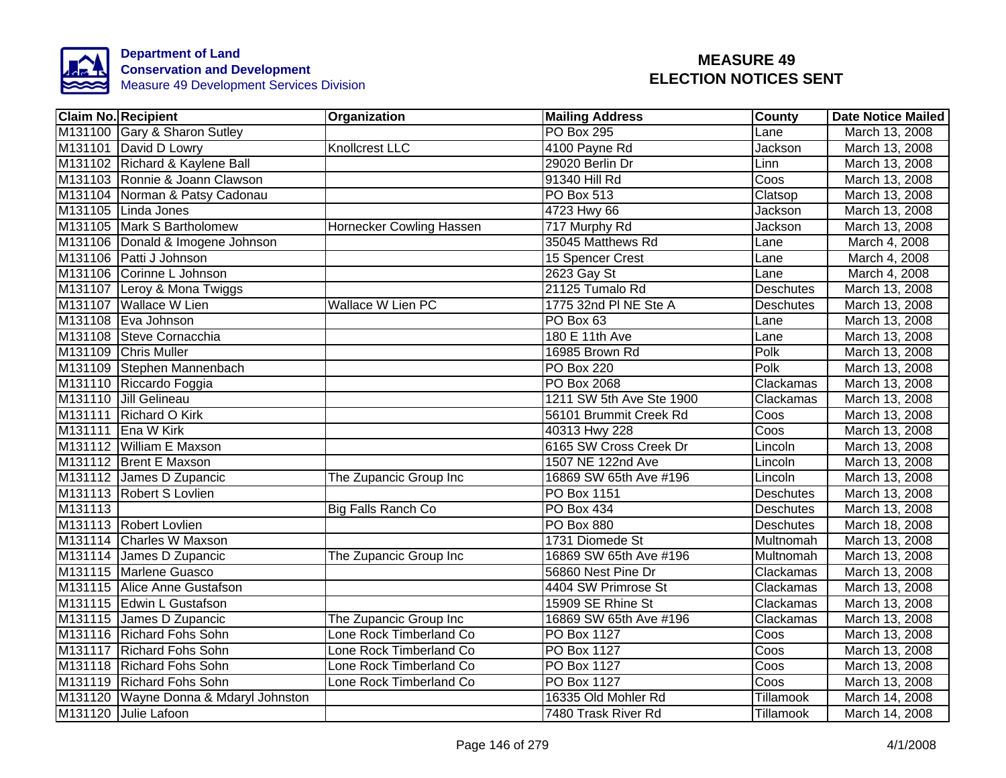

|         | <b>Claim No. Recipient</b>            | Organization              | <b>Mailing Address</b>   | County           | <b>Date Notice Mailed</b> |
|---------|---------------------------------------|---------------------------|--------------------------|------------------|---------------------------|
|         | M131100 Gary & Sharon Sutley          |                           | <b>PO Box 295</b>        | Lane             | March 13, 2008            |
|         | M131101 David D Lowry                 | <b>Knollcrest LLC</b>     | 4100 Payne Rd            | Jackson          | March 13, 2008            |
|         | M131102 Richard & Kaylene Ball        |                           | 29020 Berlin Dr          | Linn             | March 13, 2008            |
|         | M131103 Ronnie & Joann Clawson        |                           | 91340 Hill Rd            | Coos             | March 13, 2008            |
|         | M131104 Norman & Patsy Cadonau        |                           | PO Box 513               | Clatsop          | March 13, 2008            |
|         | M131105 Linda Jones                   |                           | 4723 Hwy 66              | Jackson          | March 13, 2008            |
|         | M131105 Mark S Bartholomew            | Hornecker Cowling Hassen  | 717 Murphy Rd            | Jackson          | March 13, 2008            |
|         | M131106 Donald & Imogene Johnson      |                           | 35045 Matthews Rd        | Lane             | March 4, 2008             |
|         | M131106 Patti J Johnson               |                           | 15 Spencer Crest         | Lane             | March 4, 2008             |
|         | M131106 Corinne L Johnson             |                           | 2623 Gay St              | Lane             | March 4, 2008             |
|         | M131107 Leroy & Mona Twiggs           |                           | 21125 Tumalo Rd          | <b>Deschutes</b> | March 13, 2008            |
|         | M131107 Wallace W Lien                | Wallace W Lien PC         | 1775 32nd PI NE Ste A    | <b>Deschutes</b> | March 13, 2008            |
|         | M131108 Eva Johnson                   |                           | PO Box 63                | Lane             | March 13, 2008            |
|         | M131108 Steve Cornacchia              |                           | 180 E 11th Ave           | Lane             | March 13, 2008            |
|         | M131109 Chris Muller                  |                           | 16985 Brown Rd           | Polk             | March 13, 2008            |
|         | M131109 Stephen Mannenbach            |                           | <b>PO Box 220</b>        | Polk             | March 13, 2008            |
|         | M131110 Riccardo Foggia               |                           | <b>PO Box 2068</b>       | Clackamas        | March 13, 2008            |
|         | M131110 Jill Gelineau                 |                           | 1211 SW 5th Ave Ste 1900 | Clackamas        | March 13, 2008            |
|         | M131111 Richard O Kirk                |                           | 56101 Brummit Creek Rd   | Coos             | March 13, 2008            |
|         | M131111 Ena W Kirk                    |                           | 40313 Hwy 228            | Coos             | March 13, 2008            |
|         | M131112 William E Maxson              |                           | 6165 SW Cross Creek Dr   | Lincoln          | March 13, 2008            |
|         | M131112 Brent E Maxson                |                           | 1507 NE 122nd Ave        | Lincoln          | March 13, 2008            |
|         | M131112 James D Zupancic              | The Zupancic Group Inc    | 16869 SW 65th Ave #196   | Lincoln          | March 13, 2008            |
|         | M131113 Robert S Lovlien              |                           | PO Box 1151              | <b>Deschutes</b> | March 13, 2008            |
| M131113 |                                       | <b>Big Falls Ranch Co</b> | <b>PO Box 434</b>        | <b>Deschutes</b> | March 13, 2008            |
|         | M131113 Robert Lovlien                |                           | <b>PO Box 880</b>        | <b>Deschutes</b> | March 18, 2008            |
|         | M131114 Charles W Maxson              |                           | 1731 Diomede St          | <b>Multnomah</b> | March 13, 2008            |
|         | M131114 James D Zupancic              | The Zupancic Group Inc    | 16869 SW 65th Ave #196   | Multnomah        | March 13, 2008            |
|         | M131115 Marlene Guasco                |                           | 56860 Nest Pine Dr       | Clackamas        | March 13, 2008            |
|         | M131115 Alice Anne Gustafson          |                           | 4404 SW Primrose St      | Clackamas        | March 13, 2008            |
|         | M131115 Edwin L Gustafson             |                           | 15909 SE Rhine St        | Clackamas        | March 13, 2008            |
|         | M131115 James D Zupancic              | The Zupancic Group Inc    | 16869 SW 65th Ave #196   | Clackamas        | March 13, 2008            |
|         | M131116 Richard Fohs Sohn             | Lone Rock Timberland Co   | PO Box 1127              | Coos             | March 13, 2008            |
|         | M131117 Richard Fohs Sohn             | Lone Rock Timberland Co   | PO Box 1127              | Coos             | March 13, 2008            |
|         | M131118 Richard Fohs Sohn             | Lone Rock Timberland Co   | PO Box 1127              | Coos             | March 13, 2008            |
|         | M131119 Richard Fohs Sohn             | Lone Rock Timberland Co   | PO Box 1127              | Coos             | March 13, 2008            |
|         | M131120 Wayne Donna & Mdaryl Johnston |                           | 16335 Old Mohler Rd      | Tillamook        | March 14, 2008            |
|         | M131120 Julie Lafoon                  |                           | 7480 Trask River Rd      | Tillamook        | March 14, 2008            |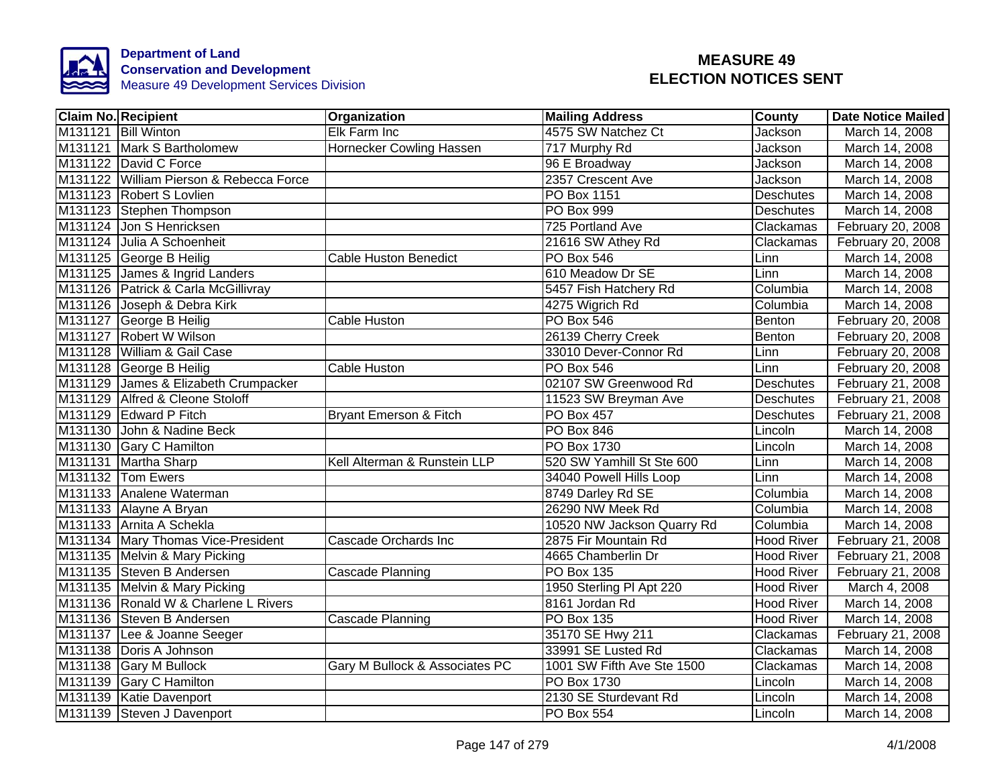

| <b>Claim No. Recipient</b>              | Organization                      | <b>Mailing Address</b>     | County            | <b>Date Notice Mailed</b> |
|-----------------------------------------|-----------------------------------|----------------------------|-------------------|---------------------------|
| M131121 Bill Winton                     | Elk Farm Inc                      | 4575 SW Natchez Ct         | <b>Jackson</b>    | March 14, 2008            |
| M131121 Mark S Bartholomew              | Hornecker Cowling Hassen          | 717 Murphy Rd              | Jackson           | March 14, 2008            |
| M131122 David C Force                   |                                   | 96 E Broadway              | Jackson           | March 14, 2008            |
| M131122 William Pierson & Rebecca Force |                                   | 2357 Crescent Ave          | Jackson           | March 14, 2008            |
| M131123 Robert S Lovlien                |                                   | PO Box 1151                | <b>Deschutes</b>  | March 14, 2008            |
| M131123 Stephen Thompson                |                                   | PO Box 999                 | <b>Deschutes</b>  | March 14, 2008            |
| M131124 Jon S Henricksen                |                                   | 725 Portland Ave           | Clackamas         | February 20, 2008         |
| M131124 Julia A Schoenheit              |                                   | 21616 SW Athey Rd          | Clackamas         | February 20, 2008         |
| M131125 George B Heilig                 | <b>Cable Huston Benedict</b>      | <b>PO Box 546</b>          | Linn              | March 14, 2008            |
| M131125 James & Ingrid Landers          |                                   | 610 Meadow Dr SE           | Linn              | March 14, 2008            |
| M131126 Patrick & Carla McGillivray     |                                   | 5457 Fish Hatchery Rd      | Columbia          | March 14, 2008            |
| M131126 Joseph & Debra Kirk             |                                   | 4275 Wigrich Rd            | Columbia          | March 14, 2008            |
| M131127 George B Heilig                 | Cable Huston                      | PO Box 546                 | Benton            | February 20, 2008         |
| M131127 Robert W Wilson                 |                                   | 26139 Cherry Creek         | Benton            | February 20, 2008         |
| M131128 William & Gail Case             |                                   | 33010 Dever-Connor Rd      | Linn              | February 20, 2008         |
| M131128 George B Heilig                 | <b>Cable Huston</b>               | <b>PO Box 546</b>          | Linn              | February 20, 2008         |
| M131129 James & Elizabeth Crumpacker    |                                   | 02107 SW Greenwood Rd      | <b>Deschutes</b>  | February 21, 2008         |
| M131129 Alfred & Cleone Stoloff         |                                   | 11523 SW Breyman Ave       | <b>Deschutes</b>  | February 21, 2008         |
| M131129 Edward P Fitch                  | <b>Bryant Emerson &amp; Fitch</b> | <b>PO Box 457</b>          | Deschutes         | February 21, 2008         |
| M131130 John & Nadine Beck              |                                   | PO Box 846                 | Lincoln           | March 14, 2008            |
| M131130 Gary C Hamilton                 |                                   | <b>PO Box 1730</b>         | Lincoln           | March 14, 2008            |
| M131131 Martha Sharp                    | Kell Alterman & Runstein LLP      | 520 SW Yamhill St Ste 600  | Linn              | March 14, 2008            |
| M131132 Tom Ewers                       |                                   | 34040 Powell Hills Loop    | Linn              | March 14, 2008            |
| M131133 Analene Waterman                |                                   | 8749 Darley Rd SE          | Columbia          | March 14, 2008            |
| M131133 Alayne A Bryan                  |                                   | 26290 NW Meek Rd           | Columbia          | March 14, 2008            |
| M131133 Arnita A Schekla                |                                   | 10520 NW Jackson Quarry Rd | Columbia          | March 14, 2008            |
| M131134 Mary Thomas Vice-President      | Cascade Orchards Inc              | 2875 Fir Mountain Rd       | <b>Hood River</b> | February 21, 2008         |
| M131135 Melvin & Mary Picking           |                                   | 4665 Chamberlin Dr         | <b>Hood River</b> | February 21, 2008         |
| M131135 Steven B Andersen               | Cascade Planning                  | <b>PO Box 135</b>          | <b>Hood River</b> | February 21, 2008         |
| M131135 Melvin & Mary Picking           |                                   | 1950 Sterling PI Apt 220   | <b>Hood River</b> | March 4, 2008             |
| M131136 Ronald W & Charlene L Rivers    |                                   | 8161 Jordan Rd             | <b>Hood River</b> | March 14, 2008            |
| M131136 Steven B Andersen               | Cascade Planning                  | PO Box 135                 | <b>Hood River</b> | March 14, 2008            |
| M131137 Lee & Joanne Seeger             |                                   | 35170 SE Hwy 211           | Clackamas         | February 21, 2008         |
| M131138 Doris A Johnson                 |                                   | 33991 SE Lusted Rd         | Clackamas         | March 14, 2008            |
| M131138 Gary M Bullock                  | Gary M Bullock & Associates PC    | 1001 SW Fifth Ave Ste 1500 | Clackamas         | March 14, 2008            |
| M131139 Gary C Hamilton                 |                                   | PO Box 1730                | Lincoln           | March 14, 2008            |
| M131139 Katie Davenport                 |                                   | 2130 SE Sturdevant Rd      | Lincoln           | March 14, 2008            |
| M131139 Steven J Davenport              |                                   | PO Box 554                 | Lincoln           | March 14, 2008            |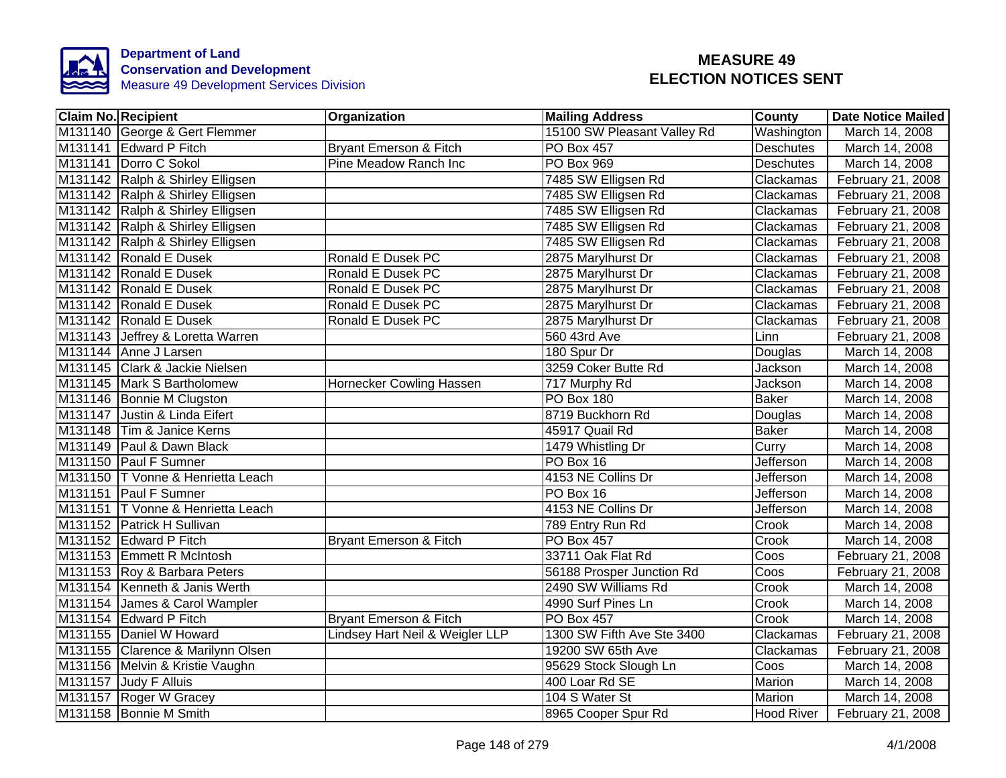

| <b>Claim No. Recipient</b>         | Organization                    | <b>Mailing Address</b>      | County           | <b>Date Notice Mailed</b> |
|------------------------------------|---------------------------------|-----------------------------|------------------|---------------------------|
| M131140 George & Gert Flemmer      |                                 | 15100 SW Pleasant Valley Rd | Washington       | March 14, 2008            |
| M131141 Edward P Fitch             | Bryant Emerson & Fitch          | <b>PO Box 457</b>           | <b>Deschutes</b> | March 14, 2008            |
| M131141 Dorro C Sokol              | Pine Meadow Ranch Inc           | <b>PO Box 969</b>           | <b>Deschutes</b> | March 14, 2008            |
| M131142 Ralph & Shirley Elligsen   |                                 | 7485 SW Elligsen Rd         | Clackamas        | February 21, 2008         |
| M131142 Ralph & Shirley Elligsen   |                                 | 7485 SW Elligsen Rd         | Clackamas        | February 21, 2008         |
| M131142 Ralph & Shirley Elligsen   |                                 | 7485 SW Elligsen Rd         | Clackamas        | February 21, 2008         |
| M131142 Ralph & Shirley Elligsen   |                                 | 7485 SW Elligsen Rd         | Clackamas        | February 21, 2008         |
| M131142 Ralph & Shirley Elligsen   |                                 | 7485 SW Elligsen Rd         | Clackamas        | February 21, 2008         |
| M131142 Ronald E Dusek             | Ronald E Dusek PC               | 2875 Marylhurst Dr          | Clackamas        | February 21, 2008         |
| M131142 Ronald E Dusek             | Ronald E Dusek PC               | 2875 Marylhurst Dr          | Clackamas        | February 21, 2008         |
| M131142 Ronald E Dusek             | Ronald E Dusek PC               | 2875 Marylhurst Dr          | Clackamas        | February 21, 2008         |
| M131142 Ronald E Dusek             | Ronald E Dusek PC               | 2875 Marylhurst Dr          | Clackamas        | February 21, 2008         |
| M131142 Ronald E Dusek             | Ronald E Dusek PC               | 2875 Marylhurst Dr          | Clackamas        | February 21, 2008         |
| M131143 Jeffrey & Loretta Warren   |                                 | 560 43rd Ave                | Linn             | February 21, 2008         |
| M131144 Anne J Larsen              |                                 | 180 Spur Dr                 | Douglas          | March 14, 2008            |
| M131145 Clark & Jackie Nielsen     |                                 | 3259 Coker Butte Rd         | <b>Jackson</b>   | March 14, 2008            |
| M131145 Mark S Bartholomew         | Hornecker Cowling Hassen        | 717 Murphy Rd               | Jackson          | March 14, 2008            |
| M131146 Bonnie M Clugston          |                                 | <b>PO Box 180</b>           | <b>Baker</b>     | March 14, 2008            |
| M131147 Justin & Linda Eifert      |                                 | 8719 Buckhorn Rd            | Douglas          | March 14, 2008            |
| M131148 Tim & Janice Kerns         |                                 | 45917 Quail Rd              | <b>Baker</b>     | March 14, 2008            |
| M131149 Paul & Dawn Black          |                                 | 1479 Whistling Dr           | Curry            | March 14, 2008            |
| M131150 Paul F Sumner              |                                 | PO Box 16                   | Jefferson        | March 14, 2008            |
| M131150 T Vonne & Henrietta Leach  |                                 | 4153 NE Collins Dr          | Jefferson        | March 14, 2008            |
| M131151 Paul F Sumner              |                                 | PO Box 16                   | <b>Jefferson</b> | March 14, 2008            |
| M131151   TVonne & Henrietta Leach |                                 | 4153 NE Collins Dr          | Jefferson        | March 14, 2008            |
| M131152 Patrick H Sullivan         |                                 | 789 Entry Run Rd            | Crook            | March 14, 2008            |
| M131152 Edward P Fitch             | Bryant Emerson & Fitch          | <b>PO Box 457</b>           | Crook            | March 14, 2008            |
| M131153 Emmett R McIntosh          |                                 | 33711 Oak Flat Rd           | Coos             | February 21, 2008         |
| M131153 Roy & Barbara Peters       |                                 | 56188 Prosper Junction Rd   | Coos             | February 21, 2008         |
| M131154 Kenneth & Janis Werth      |                                 | 2490 SW Williams Rd         | Crook            | March 14, 2008            |
| M131154 James & Carol Wampler      |                                 | 4990 Surf Pines Ln          | Crook            | March 14, 2008            |
| M131154 Edward P Fitch             | Bryant Emerson & Fitch          | PO Box 457                  | Crook            | March 14, 2008            |
| M131155 Daniel W Howard            | Lindsey Hart Neil & Weigler LLP | 1300 SW Fifth Ave Ste 3400  | Clackamas        | February 21, 2008         |
| M131155 Clarence & Marilynn Olsen  |                                 | 19200 SW 65th Ave           | Clackamas        | February 21, 2008         |
| M131156 Melvin & Kristie Vaughn    |                                 | 95629 Stock Slough Ln       | Coos             | March 14, 2008            |
| M131157 Judy F Alluis              |                                 | 400 Loar Rd SE              | Marion           | March 14, 2008            |
| M131157 Roger W Gracey             |                                 | 104 S Water St              | Marion           | March 14, 2008            |
| M131158 Bonnie M Smith             |                                 | 8965 Cooper Spur Rd         | Hood River       | February 21, 2008         |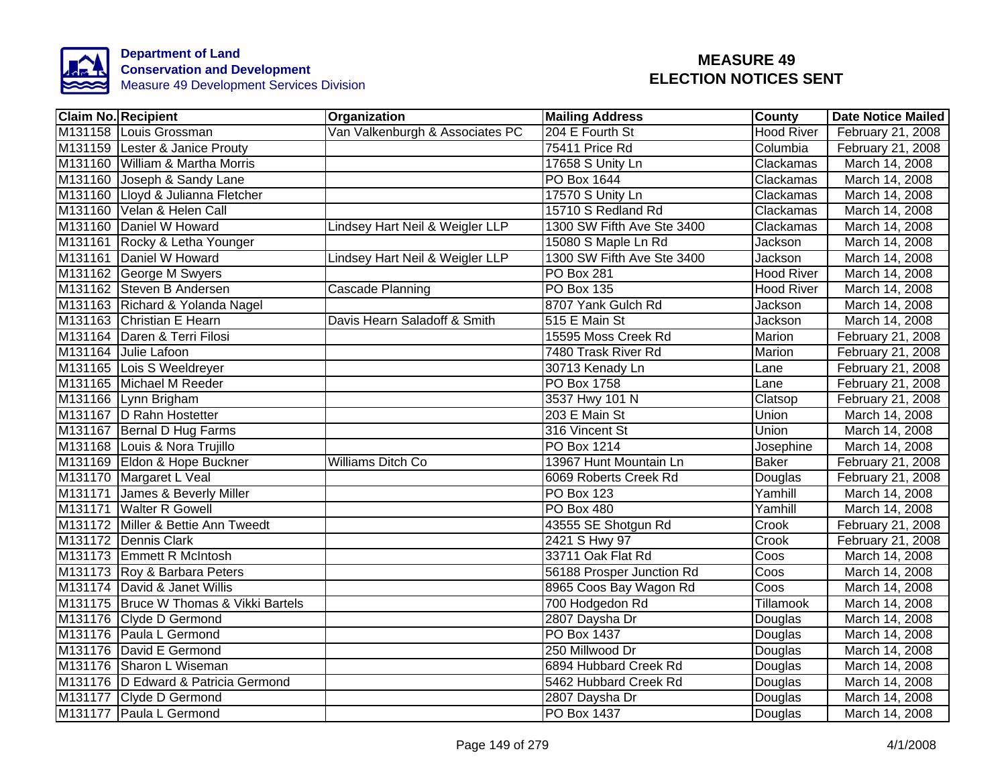

| <b>Claim No. Recipient</b>               | Organization                    | <b>Mailing Address</b>     | <b>County</b>     | <b>Date Notice Mailed</b> |
|------------------------------------------|---------------------------------|----------------------------|-------------------|---------------------------|
| M131158 Louis Grossman                   | Van Valkenburgh & Associates PC | 204 E Fourth St            | <b>Hood River</b> | February 21, 2008         |
| M131159 Lester & Janice Prouty           |                                 | 75411 Price Rd             | Columbia          | February 21, 2008         |
| M131160 William & Martha Morris          |                                 | 17658 S Unity Ln           | Clackamas         | March 14, 2008            |
| M131160 Joseph & Sandy Lane              |                                 | PO Box 1644                | Clackamas         | March 14, 2008            |
| M131160 Lloyd & Julianna Fletcher        |                                 | 17570 S Unity Ln           | Clackamas         | March 14, 2008            |
| M131160 Velan & Helen Call               |                                 | 15710 S Redland Rd         | Clackamas         | March 14, 2008            |
| M131160 Daniel W Howard                  | Lindsey Hart Neil & Weigler LLP | 1300 SW Fifth Ave Ste 3400 | Clackamas         | March 14, 2008            |
| M131161 Rocky & Letha Younger            |                                 | 15080 S Maple Ln Rd        | Jackson           | March 14, 2008            |
| M131161 Daniel W Howard                  | Lindsey Hart Neil & Weigler LLP | 1300 SW Fifth Ave Ste 3400 | Jackson           | March 14, 2008            |
| M131162 George M Swyers                  |                                 | <b>PO Box 281</b>          | <b>Hood River</b> | March 14, 2008            |
| M131162 Steven B Andersen                | Cascade Planning                | PO Box 135                 | <b>Hood River</b> | March 14, 2008            |
| M131163 Richard & Yolanda Nagel          |                                 | 8707 Yank Gulch Rd         | Jackson           | March 14, 2008            |
| M131163 Christian E Hearn                | Davis Hearn Saladoff & Smith    | 515 E Main St              | Jackson           | March 14, 2008            |
| M131164 Daren & Terri Filosi             |                                 | 15595 Moss Creek Rd        | Marion            | February 21, 2008         |
| M131164 Julie Lafoon                     |                                 | 7480 Trask River Rd        | Marion            | February 21, 2008         |
| M131165 Lois S Weeldreyer                |                                 | 30713 Kenady Ln            | Lane              | February 21, 2008         |
| M131165 Michael M Reeder                 |                                 | <b>PO Box 1758</b>         | Lane              | February 21, 2008         |
| M131166 Lynn Brigham                     |                                 | 3537 Hwy 101 N             | Clatsop           | February 21, 2008         |
| M131167 D Rahn Hostetter                 |                                 | 203 E Main St              | <b>Union</b>      | March 14, 2008            |
| M131167 Bernal D Hug Farms               |                                 | 316 Vincent St             | <b>Union</b>      | March 14, 2008            |
| M131168 Louis & Nora Trujillo            |                                 | <b>PO Box 1214</b>         | Josephine         | March 14, 2008            |
| M131169 Eldon & Hope Buckner             | <b>Williams Ditch Co</b>        | 13967 Hunt Mountain Ln     | <b>Baker</b>      | February 21, 2008         |
| M131170 Margaret L Veal                  |                                 | 6069 Roberts Creek Rd      | Douglas           | February 21, 2008         |
| M131171 James & Beverly Miller           |                                 | <b>PO Box 123</b>          | Yamhill           | March 14, 2008            |
| M131171 Walter R Gowell                  |                                 | PO Box 480                 | Yamhill           | March 14, 2008            |
| M131172 Miller & Bettie Ann Tweedt       |                                 | 43555 SE Shotgun Rd        | Crook             | February 21, 2008         |
| M131172 Dennis Clark                     |                                 | 2421 S Hwy 97              | Crook             | February 21, 2008         |
| M131173 Emmett R McIntosh                |                                 | 33711 Oak Flat Rd          | Coos              | March 14, 2008            |
| M131173 Roy & Barbara Peters             |                                 | 56188 Prosper Junction Rd  | Coos              | March 14, 2008            |
| M131174 David & Janet Willis             |                                 | 8965 Coos Bay Wagon Rd     | Coos              | March 14, 2008            |
| M131175   Bruce W Thomas & Vikki Bartels |                                 | 700 Hodgedon Rd            | Tillamook         | March 14, 2008            |
| M131176 Clyde D Germond                  |                                 | 2807 Daysha Dr             | Douglas           | March 14, 2008            |
| M131176 Paula L Germond                  |                                 | PO Box 1437                | Douglas           | March 14, 2008            |
| M131176 David E Germond                  |                                 | 250 Millwood Dr            | Douglas           | March 14, 2008            |
| M131176 Sharon L Wiseman                 |                                 | 6894 Hubbard Creek Rd      | Douglas           | March 14, 2008            |
| M131176   D Edward & Patricia Germond    |                                 | 5462 Hubbard Creek Rd      | Douglas           | March 14, 2008            |
| M131177 Clyde D Germond                  |                                 | 2807 Daysha Dr             | Douglas           | March 14, 2008            |
| M131177 Paula L Germond                  |                                 | PO Box 1437                | Douglas           | March 14, 2008            |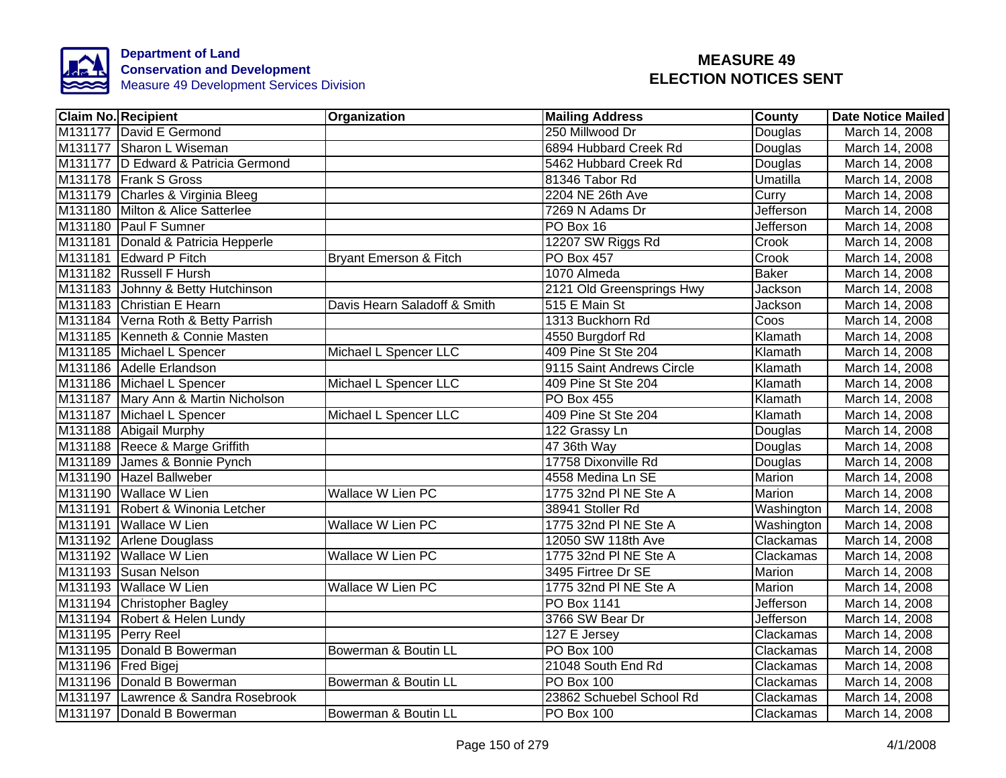

| <b>Claim No. Recipient</b> |                                     | Organization                      | <b>Mailing Address</b>    | <b>County</b>    | <b>Date Notice Mailed</b> |
|----------------------------|-------------------------------------|-----------------------------------|---------------------------|------------------|---------------------------|
|                            | M131177 David E Germond             |                                   | 250 Millwood Dr           | Douglas          | March 14, 2008            |
|                            | M131177 Sharon L Wiseman            |                                   | 6894 Hubbard Creek Rd     | Douglas          | March 14, 2008            |
|                            | M131177 D Edward & Patricia Germond |                                   | 5462 Hubbard Creek Rd     | Douglas          | March 14, 2008            |
|                            | M131178 Frank S Gross               |                                   | 81346 Tabor Rd            | Umatilla         | March 14, 2008            |
|                            | M131179 Charles & Virginia Bleeg    |                                   | 2204 NE 26th Ave          | Curry            | March 14, 2008            |
|                            | M131180 Milton & Alice Satterlee    |                                   | 7269 N Adams Dr           | <b>Jefferson</b> | March 14, 2008            |
|                            | M131180 Paul F Sumner               |                                   | PO Box 16                 | Jefferson        | March 14, 2008            |
|                            | M131181 Donald & Patricia Hepperle  |                                   | 12207 SW Riggs Rd         | Crook            | March 14, 2008            |
|                            | M131181 Edward P Fitch              | <b>Bryant Emerson &amp; Fitch</b> | PO Box 457                | Crook            | March 14, 2008            |
|                            | M131182 Russell F Hursh             |                                   | 1070 Almeda               | <b>Baker</b>     | March 14, 2008            |
|                            | M131183 Johnny & Betty Hutchinson   |                                   | 2121 Old Greensprings Hwy | Jackson          | March 14, 2008            |
|                            | M131183 Christian E Hearn           | Davis Hearn Saladoff & Smith      | 515 E Main St             | Jackson          | March 14, 2008            |
|                            | M131184 Verna Roth & Betty Parrish  |                                   | 1313 Buckhorn Rd          | Coos             | March 14, 2008            |
|                            | M131185 Kenneth & Connie Masten     |                                   | 4550 Burgdorf Rd          | Klamath          | March 14, 2008            |
|                            | M131185 Michael L Spencer           | Michael L Spencer LLC             | 409 Pine St Ste 204       | Klamath          | March 14, 2008            |
|                            | M131186 Adelle Erlandson            |                                   | 9115 Saint Andrews Circle | Klamath          | March 14, 2008            |
|                            | M131186 Michael L Spencer           | Michael L Spencer LLC             | 409 Pine St Ste 204       | Klamath          | March 14, 2008            |
|                            | M131187 Mary Ann & Martin Nicholson |                                   | <b>PO Box 455</b>         | Klamath          | March 14, 2008            |
|                            | M131187 Michael L Spencer           | Michael L Spencer LLC             | 409 Pine St Ste 204       | Klamath          | March 14, 2008            |
|                            | M131188 Abigail Murphy              |                                   | 122 Grassy Ln             | Douglas          | March 14, 2008            |
|                            | M131188 Reece & Marge Griffith      |                                   | 47 36th Way               | Douglas          | March 14, 2008            |
|                            | M131189 James & Bonnie Pynch        |                                   | 17758 Dixonville Rd       | Douglas          | March 14, 2008            |
|                            | M131190 Hazel Ballweber             |                                   | 4558 Medina Ln SE         | Marion           | March 14, 2008            |
|                            | M131190 Wallace W Lien              | <b>Wallace W Lien PC</b>          | 1775 32nd PI NE Ste A     | Marion           | March 14, 2008            |
|                            | M131191 Robert & Winonia Letcher    |                                   | 38941 Stoller Rd          | Washington       | March 14, 2008            |
|                            | M131191 Wallace W Lien              | Wallace W Lien PC                 | 1775 32nd PI NE Ste A     | Washington       | March 14, 2008            |
|                            | M131192 Arlene Douglass             |                                   | 12050 SW 118th Ave        | Clackamas        | March 14, 2008            |
|                            | M131192 Wallace W Lien              | Wallace W Lien PC                 | 1775 32nd PI NE Ste A     | Clackamas        | March 14, 2008            |
|                            | M131193 Susan Nelson                |                                   | 3495 Firtree Dr SE        | Marion           | March 14, 2008            |
|                            | M131193 Wallace W Lien              | Wallace W Lien PC                 | 1775 32nd PI NE Ste A     | Marion           | March 14, 2008            |
|                            | M131194 Christopher Bagley          |                                   | PO Box 1141               | Jefferson        | March 14, 2008            |
|                            | M131194 Robert & Helen Lundy        |                                   | 3766 SW Bear Dr           | Jefferson        | March 14, 2008            |
|                            | M131195 Perry Reel                  |                                   | 127 E Jersey              | Clackamas        | March 14, 2008            |
|                            | M131195 Donald B Bowerman           | Bowerman & Boutin LL              | PO Box 100                | Clackamas        | March 14, 2008            |
|                            | M131196   Fred Bigej                |                                   | 21048 South End Rd        | Clackamas        | March 14, 2008            |
|                            | M131196 Donald B Bowerman           | Bowerman & Boutin LL              | <b>PO Box 100</b>         | Clackamas        | March 14, 2008            |
|                            | M131197 Lawrence & Sandra Rosebrook |                                   | 23862 Schuebel School Rd  | Clackamas        | March 14, 2008            |
|                            | M131197 Donald B Bowerman           | Bowerman & Boutin LL              | PO Box 100                | Clackamas        | March 14, 2008            |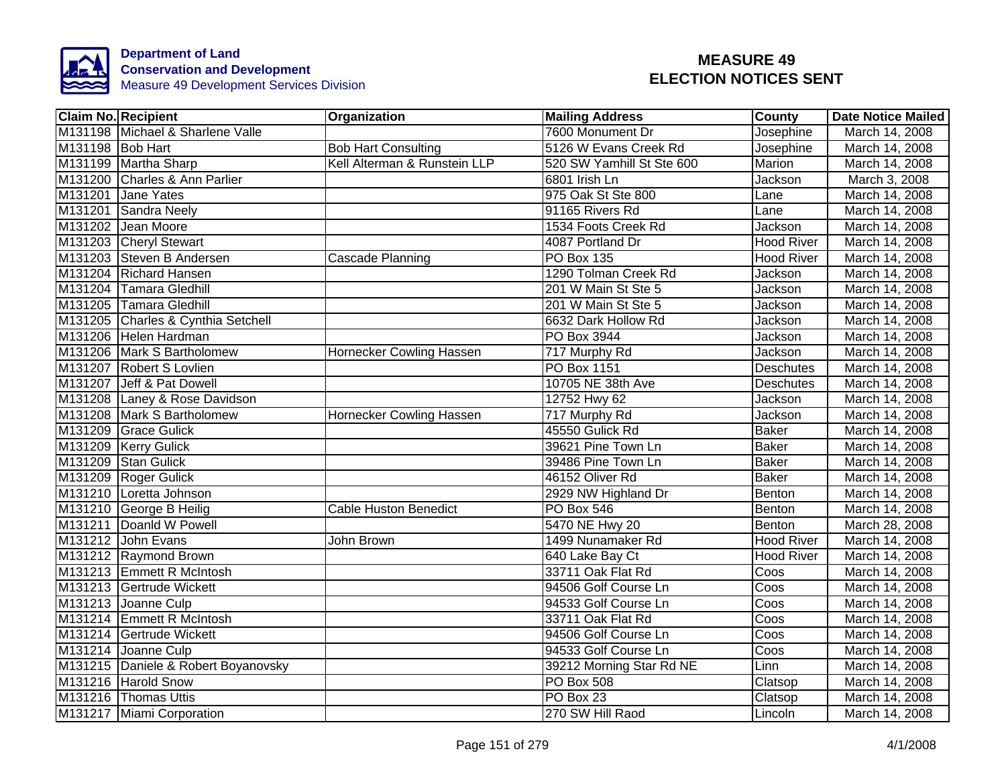

|                  | <b>Claim No. Recipient</b>          | Organization                    | <b>Mailing Address</b>    | <b>County</b>     | <b>Date Notice Mailed</b> |
|------------------|-------------------------------------|---------------------------------|---------------------------|-------------------|---------------------------|
|                  | M131198 Michael & Sharlene Valle    |                                 | 7600 Monument Dr          | Josephine         | March 14, 2008            |
| M131198 Bob Hart |                                     | <b>Bob Hart Consulting</b>      | 5126 W Evans Creek Rd     | Josephine         | March 14, 2008            |
|                  | M131199 Martha Sharp                | Kell Alterman & Runstein LLP    | 520 SW Yamhill St Ste 600 | Marion            | March 14, 2008            |
|                  | M131200 Charles & Ann Parlier       |                                 | 6801 Irish Ln             | Jackson           | March 3, 2008             |
|                  | M131201 Jane Yates                  |                                 | 975 Oak St Ste 800        | Lane              | March 14, 2008            |
|                  | M131201 Sandra Neely                |                                 | 91165 Rivers Rd           | Lane              | March 14, 2008            |
|                  | M131202 Jean Moore                  |                                 | 1534 Foots Creek Rd       | Jackson           | March 14, 2008            |
|                  | M131203 Cheryl Stewart              |                                 | 4087 Portland Dr          | <b>Hood River</b> | March 14, 2008            |
|                  | M131203 Steven B Andersen           | <b>Cascade Planning</b>         | <b>PO Box 135</b>         | <b>Hood River</b> | March 14, 2008            |
|                  | M131204 Richard Hansen              |                                 | 1290 Tolman Creek Rd      | Jackson           | March 14, 2008            |
|                  | M131204 Tamara Gledhill             |                                 | 201 W Main St Ste 5       | Jackson           | March 14, 2008            |
|                  | M131205 Tamara Gledhill             |                                 | 201 W Main St Ste 5       | Jackson           | March 14, 2008            |
|                  | M131205 Charles & Cynthia Setchell  |                                 | 6632 Dark Hollow Rd       | Jackson           | March 14, 2008            |
|                  | M131206 Helen Hardman               |                                 | PO Box 3944               | Jackson           | March 14, 2008            |
|                  | M131206 Mark S Bartholomew          | Hornecker Cowling Hassen        | 717 Murphy Rd             | <b>Jackson</b>    | March 14, 2008            |
|                  | M131207 Robert S Lovlien            |                                 | PO Box 1151               | <b>Deschutes</b>  | March 14, 2008            |
|                  | M131207 Jeff & Pat Dowell           |                                 | 10705 NE 38th Ave         | <b>Deschutes</b>  | March 14, 2008            |
|                  | M131208 Laney & Rose Davidson       |                                 | 12752 Hwy 62              | Jackson           | March 14, 2008            |
|                  | M131208 Mark S Bartholomew          | <b>Hornecker Cowling Hassen</b> | 717 Murphy Rd             | Jackson           | March 14, 2008            |
|                  | M131209 Grace Gulick                |                                 | 45550 Gulick Rd           | <b>Baker</b>      | March 14, 2008            |
|                  | M131209 Kerry Gulick                |                                 | 39621 Pine Town Ln        | <b>Baker</b>      | March 14, 2008            |
|                  | M131209 Stan Gulick                 |                                 | 39486 Pine Town Ln        | <b>Baker</b>      | March 14, 2008            |
|                  | M131209 Roger Gulick                |                                 | 46152 Oliver Rd           | <b>Baker</b>      | March 14, 2008            |
|                  | M131210 Loretta Johnson             |                                 | 2929 NW Highland Dr       | Benton            | March 14, 2008            |
|                  | M131210 George B Heilig             | <b>Cable Huston Benedict</b>    | <b>PO Box 546</b>         | Benton            | March 14, 2008            |
|                  | M131211 Doanld W Powell             |                                 | 5470 NE Hwy 20            | Benton            | March 28, 2008            |
|                  | M131212 John Evans                  | John Brown                      | 1499 Nunamaker Rd         | <b>Hood River</b> | March 14, 2008            |
|                  | M131212 Raymond Brown               |                                 | 640 Lake Bay Ct           | <b>Hood River</b> | March 14, 2008            |
|                  | M131213 Emmett R McIntosh           |                                 | 33711 Oak Flat Rd         | Coos              | March 14, 2008            |
|                  | M131213 Gertrude Wickett            |                                 | 94506 Golf Course Ln      | Coos              | March 14, 2008            |
|                  | M131213 Joanne Culp                 |                                 | 94533 Golf Course Ln      | Coos              | March 14, 2008            |
|                  | M131214 Emmett R McIntosh           |                                 | 33711 Oak Flat Rd         | Coos              | March 14, 2008            |
|                  | M131214 Gertrude Wickett            |                                 | 94506 Golf Course Ln      | Coos              | March 14, 2008            |
|                  | M131214 Joanne Culp                 |                                 | 94533 Golf Course Ln      | Coos              | March 14, 2008            |
|                  | M131215 Daniele & Robert Boyanovsky |                                 | 39212 Morning Star Rd NE  | Linn              | March 14, 2008            |
|                  | M131216 Harold Snow                 |                                 | <b>PO Box 508</b>         | Clatsop           | March 14, 2008            |
|                  | M131216 Thomas Uttis                |                                 | PO Box 23                 | Clatsop           | March 14, 2008            |
|                  | M131217 Miami Corporation           |                                 | 270 SW Hill Raod          | Lincoln           | March 14, 2008            |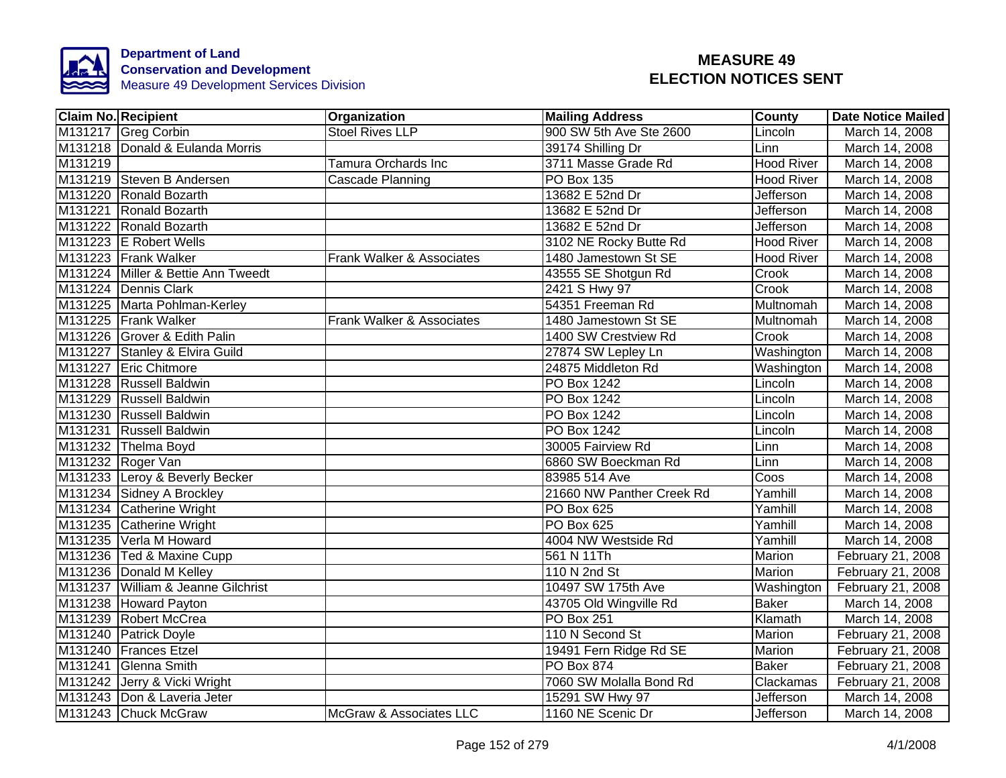

|         | <b>Claim No. Recipient</b>         | Organization               | <b>Mailing Address</b>    | <b>County</b>     | <b>Date Notice Mailed</b> |
|---------|------------------------------------|----------------------------|---------------------------|-------------------|---------------------------|
|         | M131217 Greg Corbin                | <b>Stoel Rives LLP</b>     | 900 SW 5th Ave Ste 2600   | Lincoln           | March 14, 2008            |
|         | M131218 Donald & Eulanda Morris    |                            | 39174 Shilling Dr         | Linn              | March 14, 2008            |
| M131219 |                                    | <b>Tamura Orchards Inc</b> | 3711 Masse Grade Rd       | <b>Hood River</b> | March 14, 2008            |
|         | M131219 Steven B Andersen          | Cascade Planning           | <b>PO Box 135</b>         | Hood River        | March 14, 2008            |
|         | M131220 Ronald Bozarth             |                            | 13682 E 52nd Dr           | <b>Jefferson</b>  | March 14, 2008            |
|         | M131221 Ronald Bozarth             |                            | 13682 E 52nd Dr           | <b>Jefferson</b>  | March 14, 2008            |
|         | M131222 Ronald Bozarth             |                            | 13682 E 52nd Dr           | <b>Jefferson</b>  | March 14, 2008            |
|         | M131223 E Robert Wells             |                            | 3102 NE Rocky Butte Rd    | <b>Hood River</b> | March 14, 2008            |
|         | M131223 Frank Walker               | Frank Walker & Associates  | 1480 Jamestown St SE      | <b>Hood River</b> | March 14, 2008            |
|         | M131224 Miller & Bettie Ann Tweedt |                            | 43555 SE Shotgun Rd       | Crook             | March 14, 2008            |
|         | M131224 Dennis Clark               |                            | 2421 S Hwy 97             | Crook             | March 14, 2008            |
|         | M131225 Marta Pohlman-Kerley       |                            | 54351 Freeman Rd          | Multnomah         | March 14, 2008            |
|         | M131225 Frank Walker               | Frank Walker & Associates  | 1480 Jamestown St SE      | Multnomah         | March 14, 2008            |
|         | M131226 Grover & Edith Palin       |                            | 1400 SW Crestview Rd      | Crook             | March 14, 2008            |
|         | M131227 Stanley & Elvira Guild     |                            | 27874 SW Lepley Ln        | Washington        | March 14, 2008            |
|         | M131227 Eric Chitmore              |                            | 24875 Middleton Rd        | Washington        | March 14, 2008            |
|         | M131228 Russell Baldwin            |                            | PO Box 1242               | Lincoln           | March 14, 2008            |
|         | M131229 Russell Baldwin            |                            | PO Box 1242               | Lincoln           | March 14, 2008            |
|         | M131230 Russell Baldwin            |                            | PO Box 1242               | Lincoln           | March 14, 2008            |
|         | M131231 Russell Baldwin            |                            | <b>PO Box 1242</b>        | Lincoln           | March 14, 2008            |
|         | M131232 Thelma Boyd                |                            | 30005 Fairview Rd         | Linn              | March 14, 2008            |
|         | M131232 Roger Van                  |                            | 6860 SW Boeckman Rd       | Linn              | March 14, 2008            |
|         | M131233 Leroy & Beverly Becker     |                            | 83985 514 Ave             | Coos              | March 14, 2008            |
|         | M131234 Sidney A Brockley          |                            | 21660 NW Panther Creek Rd | Yamhill           | March 14, 2008            |
|         | M131234 Catherine Wright           |                            | <b>PO Box 625</b>         | Yamhill           | March 14, 2008            |
|         | M131235 Catherine Wright           |                            | PO Box 625                | Yamhill           | March 14, 2008            |
|         | M131235 Verla M Howard             |                            | 4004 NW Westside Rd       | Yamhill           | March 14, 2008            |
|         | M131236 Ted & Maxine Cupp          |                            | 561 N 11Th                | Marion            | February 21, 2008         |
|         | M131236 Donald M Kelley            |                            | 110 N 2nd St              | Marion            | February 21, 2008         |
|         | M131237 William & Jeanne Gilchrist |                            | 10497 SW 175th Ave        | Washington        | February 21, 2008         |
|         | M131238 Howard Payton              |                            | 43705 Old Wingville Rd    | <b>Baker</b>      | March 14, 2008            |
|         | M131239 Robert McCrea              |                            | PO Box 251                | Klamath           | March 14, 2008            |
|         | M131240 Patrick Doyle              |                            | 110 N Second St           | Marion            | February 21, 2008         |
|         | M131240 Frances Etzel              |                            | 19491 Fern Ridge Rd SE    | Marion            | February 21, 2008         |
|         | M131241 Glenna Smith               |                            | PO Box 874                | <b>Baker</b>      | February 21, 2008         |
|         | M131242 Jerry & Vicki Wright       |                            | 7060 SW Molalla Bond Rd   | Clackamas         | February 21, 2008         |
|         | M131243 Don & Laveria Jeter        |                            | 15291 SW Hwy 97           | Jefferson         | March 14, 2008            |
|         | M131243 Chuck McGraw               | McGraw & Associates LLC    | 1160 NE Scenic Dr         | Jefferson         | March 14, 2008            |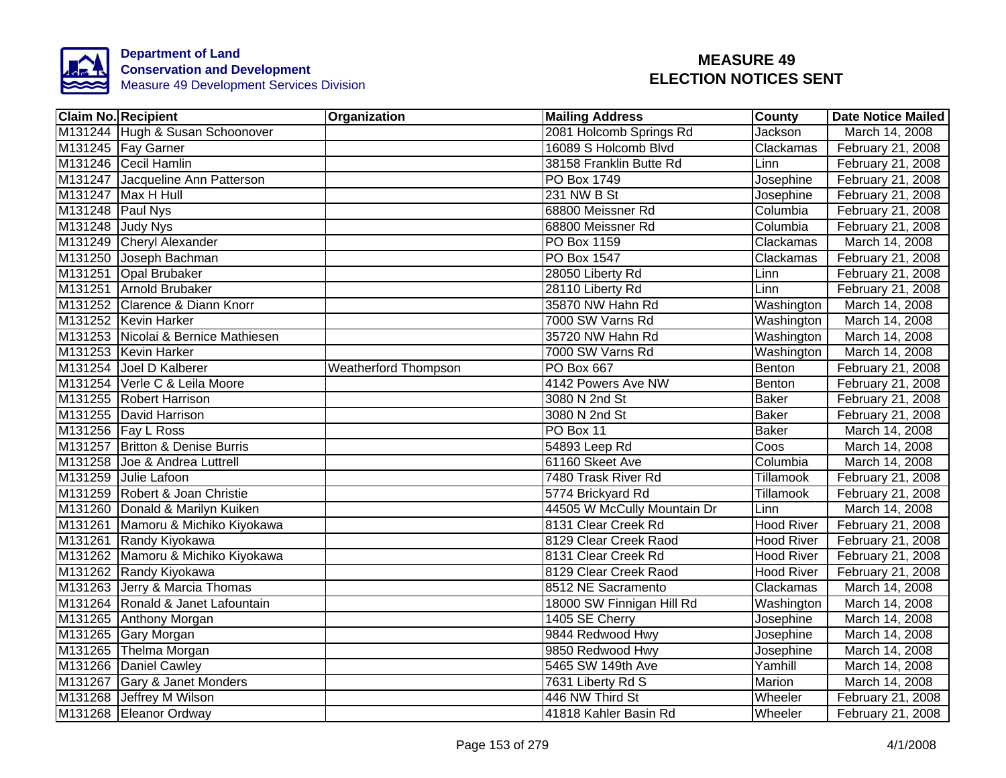

| <b>Claim No. Recipient</b>          | <b>Organization</b>         | <b>Mailing Address</b>      | <b>County</b>     | <b>Date Notice Mailed</b> |
|-------------------------------------|-----------------------------|-----------------------------|-------------------|---------------------------|
| M131244 Hugh & Susan Schoonover     |                             | 2081 Holcomb Springs Rd     | Jackson           | March 14, 2008            |
| M131245 Fay Garner                  |                             | 16089 S Holcomb Blvd        | Clackamas         | February 21, 2008         |
| M131246 Cecil Hamlin                |                             | 38158 Franklin Butte Rd     | Linn              | February 21, 2008         |
| M131247 Jacqueline Ann Patterson    |                             | PO Box 1749                 | Josephine         | February 21, 2008         |
| M131247 Max H Hull                  |                             | 231 NW B St                 | Josephine         | February 21, 2008         |
| M131248 Paul Nys                    |                             | 68800 Meissner Rd           | Columbia          | February 21, 2008         |
| M131248 Judy Nys                    |                             | 68800 Meissner Rd           | Columbia          | February 21, 2008         |
| M131249 Cheryl Alexander            |                             | PO Box 1159                 | Clackamas         | March 14, 2008            |
| M131250 Joseph Bachman              |                             | PO Box 1547                 | Clackamas         | February 21, 2008         |
| M131251 Opal Brubaker               |                             | 28050 Liberty Rd            | Linn              | February 21, 2008         |
| M131251 Arnold Brubaker             |                             | 28110 Liberty Rd            | Linn              | February 21, 2008         |
| M131252 Clarence & Diann Knorr      |                             | 35870 NW Hahn Rd            | Washington        | March 14, 2008            |
| M131252 Kevin Harker                |                             | 7000 SW Varns Rd            | Washington        | March 14, 2008            |
| M131253 Nicolai & Bernice Mathiesen |                             | 35720 NW Hahn Rd            | Washington        | March 14, 2008            |
| M131253 Kevin Harker                |                             | 7000 SW Varns Rd            | Washington        | March 14, 2008            |
| M131254 Joel D Kalberer             | <b>Weatherford Thompson</b> | <b>PO Box 667</b>           | Benton            | February 21, 2008         |
| M131254 Verle C & Leila Moore       |                             | 4142 Powers Ave NW          | <b>Benton</b>     | February 21, 2008         |
| M131255 Robert Harrison             |                             | 3080 N 2nd St               | <b>Baker</b>      | February 21, 2008         |
| M131255 David Harrison              |                             | 3080 N 2nd St               | <b>Baker</b>      | February 21, 2008         |
| M131256   Fay L Ross                |                             | PO Box 11                   | <b>Baker</b>      | March 14, 2008            |
| M131257 Britton & Denise Burris     |                             | 54893 Leep Rd               | Coos              | March 14, 2008            |
| M131258 Joe & Andrea Luttrell       |                             | 61160 Skeet Ave             | Columbia          | March 14, 2008            |
| M131259 Julie Lafoon                |                             | 7480 Trask River Rd         | <b>Tillamook</b>  | February 21, 2008         |
| M131259 Robert & Joan Christie      |                             | 5774 Brickyard Rd           | Tillamook         | February 21, 2008         |
| M131260 Donald & Marilyn Kuiken     |                             | 44505 W McCully Mountain Dr | Linn              | March 14, 2008            |
| M131261 Mamoru & Michiko Kiyokawa   |                             | 8131 Clear Creek Rd         | <b>Hood River</b> | February 21, 2008         |
| M131261 Randy Kiyokawa              |                             | 8129 Clear Creek Raod       | Hood River        | February 21, 2008         |
| M131262 Mamoru & Michiko Kiyokawa   |                             | 8131 Clear Creek Rd         | <b>Hood River</b> | February 21, 2008         |
| M131262 Randy Kiyokawa              |                             | 8129 Clear Creek Raod       | <b>Hood River</b> | February 21, 2008         |
| M131263 Jerry & Marcia Thomas       |                             | 8512 NE Sacramento          | Clackamas         | March 14, 2008            |
| M131264 Ronald & Janet Lafountain   |                             | 18000 SW Finnigan Hill Rd   | Washington        | March 14, 2008            |
| M131265 Anthony Morgan              |                             | 1405 SE Cherry              | Josephine         | March 14, 2008            |
| M131265 Gary Morgan                 |                             | 9844 Redwood Hwy            | Josephine         | March 14, 2008            |
| M131265 Thelma Morgan               |                             | 9850 Redwood Hwy            | Josephine         | March 14, 2008            |
| M131266 Daniel Cawley               |                             | 5465 SW 149th Ave           | Yamhill           | March 14, 2008            |
| M131267 Gary & Janet Monders        |                             | 7631 Liberty Rd S           | Marion            | March 14, 2008            |
| M131268 Jeffrey M Wilson            |                             | 446 NW Third St             | Wheeler           | February 21, 2008         |
| M131268 Eleanor Ordway              |                             | 41818 Kahler Basin Rd       | Wheeler           | February 21, 2008         |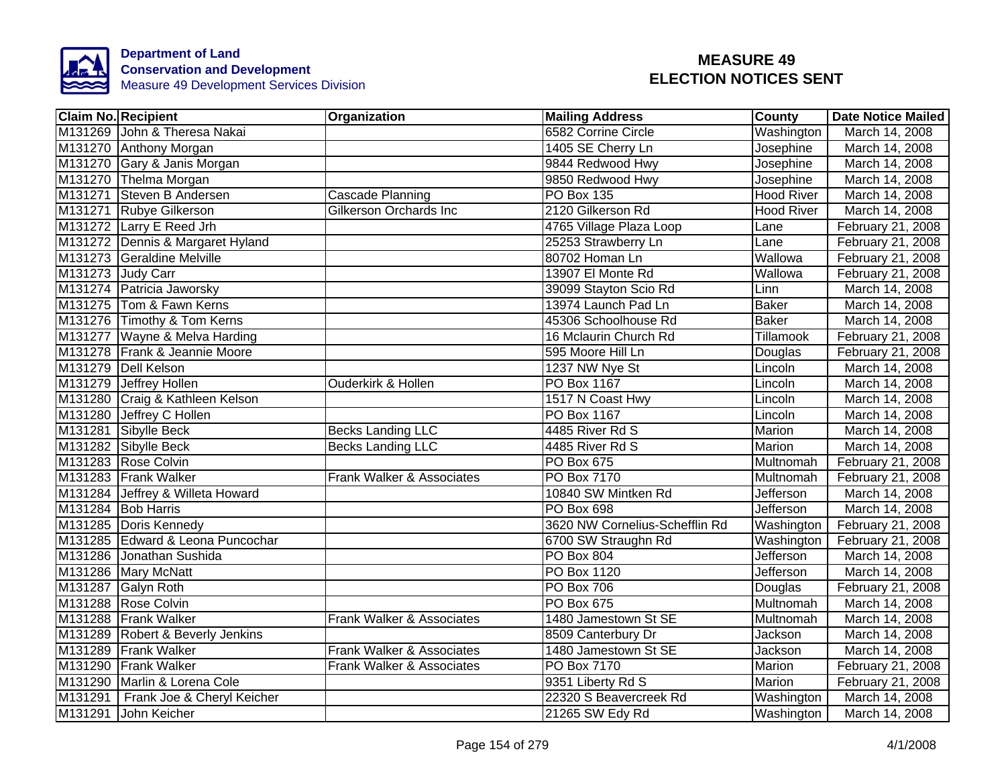

|         | <b>Claim No. Recipient</b>       | Organization                  | <b>Mailing Address</b>         | County            | <b>Date Notice Mailed</b> |
|---------|----------------------------------|-------------------------------|--------------------------------|-------------------|---------------------------|
|         | M131269 John & Theresa Nakai     |                               | 6582 Corrine Circle            | Washington        | March 14, 2008            |
|         | M131270 Anthony Morgan           |                               | 1405 SE Cherry Ln              | Josephine         | March 14, 2008            |
|         | M131270 Gary & Janis Morgan      |                               | 9844 Redwood Hwy               | Josephine         | March 14, 2008            |
|         | M131270 Thelma Morgan            |                               | 9850 Redwood Hwy               | Josephine         | March 14, 2008            |
|         | M131271 Steven B Andersen        | <b>Cascade Planning</b>       | <b>PO Box 135</b>              | <b>Hood River</b> | March 14, 2008            |
|         | M131271 Rubye Gilkerson          | Gilkerson Orchards Inc        | 2120 Gilkerson Rd              | <b>Hood River</b> | March 14, 2008            |
|         | M131272 Larry E Reed Jrh         |                               | 4765 Village Plaza Loop        | Lane              | February 21, 2008         |
|         | M131272 Dennis & Margaret Hyland |                               | 25253 Strawberry Ln            | Lane              | February 21, 2008         |
|         | M131273 Geraldine Melville       |                               | 80702 Homan Ln                 | Wallowa           | February 21, 2008         |
|         | M131273 Judy Carr                |                               | 13907 El Monte Rd              | Wallowa           | February 21, 2008         |
|         | M131274 Patricia Jaworsky        |                               | 39099 Stayton Scio Rd          | Linn              | March 14, 2008            |
|         | M131275 Tom & Fawn Kerns         |                               | 13974 Launch Pad Ln            | <b>Baker</b>      | March 14, 2008            |
|         | M131276 Timothy & Tom Kerns      |                               | 45306 Schoolhouse Rd           | <b>Baker</b>      | March 14, 2008            |
|         | M131277 Wayne & Melva Harding    |                               | 16 Mclaurin Church Rd          | Tillamook         | February 21, 2008         |
|         | M131278 Frank & Jeannie Moore    |                               | 595 Moore Hill Ln              | Douglas           | February 21, 2008         |
|         | M131279 Dell Kelson              |                               | 1237 NW Nye St                 | Lincoln           | March 14, 2008            |
|         | M131279 Jeffrey Hollen           | <b>Ouderkirk &amp; Hollen</b> | <b>PO Box 1167</b>             | Lincoln           | March 14, 2008            |
|         | M131280 Craig & Kathleen Kelson  |                               | 1517 N Coast Hwy               | Lincoln           | March 14, 2008            |
|         | M131280 Jeffrey C Hollen         |                               | <b>PO Box 1167</b>             | Lincoln           | March 14, 2008            |
|         | M131281 Sibylle Beck             | <b>Becks Landing LLC</b>      | 4485 River Rd S                | Marion            | March 14, 2008            |
|         | M131282 Sibylle Beck             | <b>Becks Landing LLC</b>      | 4485 River Rd S                | Marion            | March 14, 2008            |
|         | M131283 Rose Colvin              |                               | PO Box 675                     | Multnomah         | February 21, 2008         |
|         | M131283 Frank Walker             | Frank Walker & Associates     | <b>PO Box 7170</b>             | Multnomah         | February 21, 2008         |
|         | M131284 Jeffrey & Willeta Howard |                               | 10840 SW Mintken Rd            | Jefferson         | March 14, 2008            |
|         | M131284 Bob Harris               |                               | <b>PO Box 698</b>              | Jefferson         | March 14, 2008            |
|         | M131285 Doris Kennedy            |                               | 3620 NW Cornelius-Schefflin Rd | Washington        | February 21, 2008         |
|         | M131285 Edward & Leona Puncochar |                               | 6700 SW Straughn Rd            | Washington        | February 21, 2008         |
|         | M131286 Jonathan Sushida         |                               | PO Box 804                     | <b>Jefferson</b>  | March 14, 2008            |
|         | M131286 Mary McNatt              |                               | PO Box 1120                    | <b>Jefferson</b>  | March 14, 2008            |
|         | M131287 Galyn Roth               |                               | PO Box 706                     | Douglas           | February 21, 2008         |
|         | M131288 Rose Colvin              |                               | PO Box 675                     | Multnomah         | March 14, 2008            |
|         | M131288 Frank Walker             | Frank Walker & Associates     | 1480 Jamestown St SE           | Multnomah         | March 14, 2008            |
|         | M131289 Robert & Beverly Jenkins |                               | 8509 Canterbury Dr             | Jackson           | March 14, 2008            |
|         | M131289 Frank Walker             | Frank Walker & Associates     | 1480 Jamestown St SE           | Jackson           | March 14, 2008            |
|         | M131290 Frank Walker             | Frank Walker & Associates     | PO Box 7170                    | Marion            | February 21, 2008         |
|         | M131290 Marlin & Lorena Cole     |                               | 9351 Liberty Rd S              | Marion            | February 21, 2008         |
| M131291 | Frank Joe & Cheryl Keicher       |                               | 22320 S Beavercreek Rd         | Washington        | March 14, 2008            |
|         | M131291 John Keicher             |                               | 21265 SW Edy Rd                | Washington        | March 14, 2008            |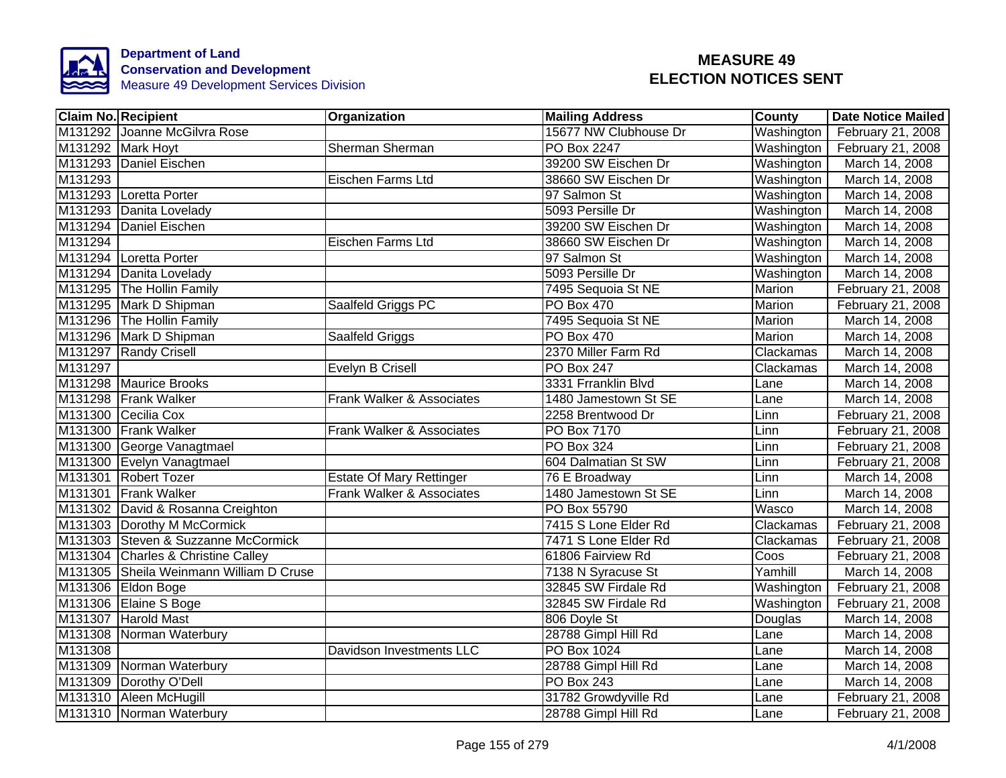

|         | <b>Claim No. Recipient</b>              | Organization                    | <b>Mailing Address</b> | County     | <b>Date Notice Mailed</b> |
|---------|-----------------------------------------|---------------------------------|------------------------|------------|---------------------------|
|         | M131292 Joanne McGilvra Rose            |                                 | 15677 NW Clubhouse Dr  | Washington | February 21, 2008         |
|         | M131292 Mark Hoyt                       | <b>Sherman Sherman</b>          | <b>PO Box 2247</b>     | Washington | February 21, 2008         |
|         | M131293 Daniel Eischen                  |                                 | 39200 SW Eischen Dr    | Washington | March 14, 2008            |
| M131293 |                                         | Eischen Farms Ltd               | 38660 SW Eischen Dr    | Washington | March 14, 2008            |
|         | M131293 Loretta Porter                  |                                 | 97 Salmon St           | Washington | March 14, 2008            |
|         | M131293 Danita Lovelady                 |                                 | 5093 Persille Dr       | Washington | March 14, 2008            |
|         | M131294 Daniel Eischen                  |                                 | 39200 SW Eischen Dr    | Washington | March 14, 2008            |
| M131294 |                                         | Eischen Farms Ltd               | 38660 SW Eischen Dr    | Washington | March 14, 2008            |
|         | M131294 Loretta Porter                  |                                 | 97 Salmon St           | Washington | March 14, 2008            |
|         | M131294 Danita Lovelady                 |                                 | 5093 Persille Dr       | Washington | March 14, 2008            |
|         | M131295 The Hollin Family               |                                 | 7495 Sequoia St NE     | Marion     | February 21, 2008         |
|         | M131295 Mark D Shipman                  | Saalfeld Griggs PC              | <b>PO Box 470</b>      | Marion     | February 21, 2008         |
|         | M131296 The Hollin Family               |                                 | 7495 Sequoia St NE     | Marion     | March 14, 2008            |
|         | M131296 Mark D Shipman                  | Saalfeld Griggs                 | PO Box 470             | Marion     | March 14, 2008            |
|         | M131297 Randy Crisell                   |                                 | 2370 Miller Farm Rd    | Clackamas  | March 14, 2008            |
| M131297 |                                         | <b>Evelyn B Crisell</b>         | <b>PO Box 247</b>      | Clackamas  | March 14, 2008            |
|         | M131298 Maurice Brooks                  |                                 | 3331 Frranklin Blvd    | Lane       | March 14, 2008            |
|         | M131298 Frank Walker                    | Frank Walker & Associates       | 1480 Jamestown St SE   | Lane       | March 14, 2008            |
|         | M131300 Cecilia Cox                     |                                 | 2258 Brentwood Dr      | Linn       | February 21, 2008         |
|         | M131300 Frank Walker                    | Frank Walker & Associates       | PO Box 7170            | Linn       | February 21, 2008         |
|         | M131300 George Vanagtmael               |                                 | PO Box 324             | Linn       | February 21, 2008         |
|         | M131300 Evelyn Vanagtmael               |                                 | 604 Dalmatian St SW    | Linn       | February 21, 2008         |
|         | M131301 Robert Tozer                    | <b>Estate Of Mary Rettinger</b> | 76 E Broadway          | Linn       | March 14, 2008            |
|         | M131301 Frank Walker                    | Frank Walker & Associates       | 1480 Jamestown St SE   | Linn       | March 14, 2008            |
|         | M131302 David & Rosanna Creighton       |                                 | PO Box 55790           | Wasco      | March 14, 2008            |
|         | M131303 Dorothy M McCormick             |                                 | 7415 S Lone Elder Rd   | Clackamas  | February 21, 2008         |
|         | M131303 Steven & Suzzanne McCormick     |                                 | 7471 S Lone Elder Rd   | Clackamas  | February 21, 2008         |
|         | M131304 Charles & Christine Calley      |                                 | 61806 Fairview Rd      | Coos       | February 21, 2008         |
|         | M131305 Sheila Weinmann William D Cruse |                                 | 7138 N Syracuse St     | Yamhill    | March 14, 2008            |
|         | M131306 Eldon Boge                      |                                 | 32845 SW Firdale Rd    | Washington | February 21, 2008         |
|         | M131306 Elaine S Boge                   |                                 | 32845 SW Firdale Rd    | Washington | February 21, 2008         |
|         | M131307 Harold Mast                     |                                 | 806 Doyle St           | Douglas    | March 14, 2008            |
|         | M131308 Norman Waterbury                |                                 | 28788 Gimpl Hill Rd    | Lane       | March 14, 2008            |
| M131308 |                                         | Davidson Investments LLC        | PO Box 1024            | Lane       | March 14, 2008            |
|         | M131309 Norman Waterbury                |                                 | 28788 Gimpl Hill Rd    | Lane       | March 14, 2008            |
|         | M131309 Dorothy O'Dell                  |                                 | <b>PO Box 243</b>      | Lane       | March 14, 2008            |
|         | M131310 Aleen McHugill                  |                                 | 31782 Growdyville Rd   | Lane       | February 21, 2008         |
|         | M131310 Norman Waterbury                |                                 | 28788 Gimpl Hill Rd    | Lane       | February 21, 2008         |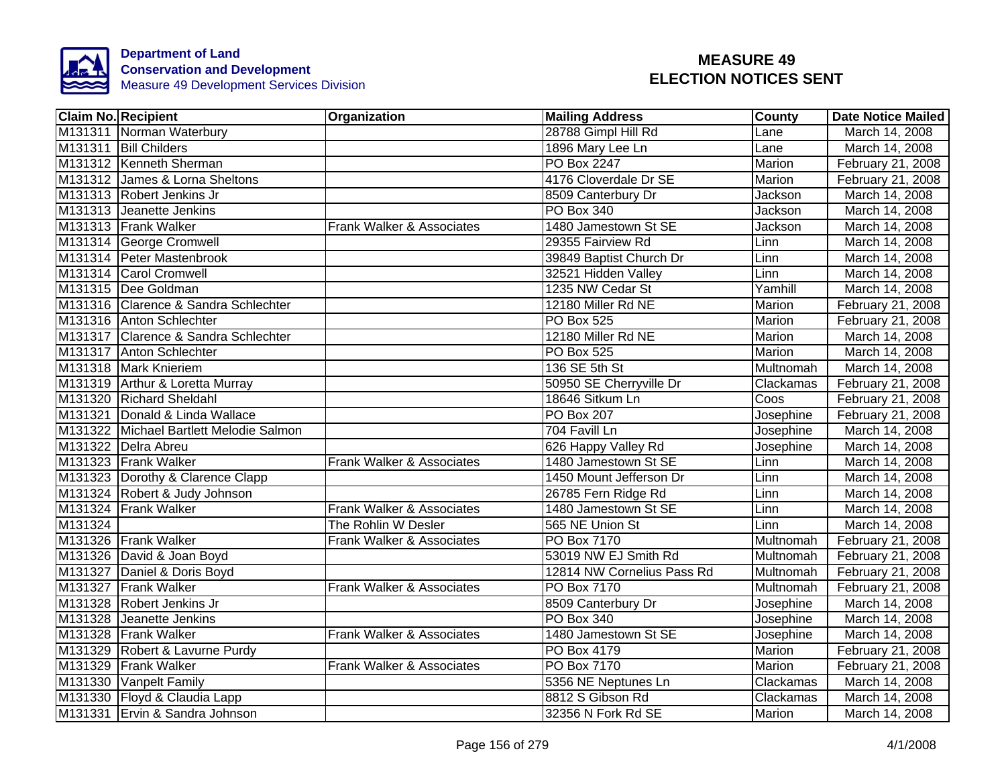

|         | <b>Claim No. Recipient</b>              | Organization              | <b>Mailing Address</b>     | County        | <b>Date Notice Mailed</b> |
|---------|-----------------------------------------|---------------------------|----------------------------|---------------|---------------------------|
|         | M131311 Norman Waterbury                |                           | 28788 Gimpl Hill Rd        | Lane          | March 14, 2008            |
|         | M131311 Bill Childers                   |                           | 1896 Mary Lee Ln           | Lane          | March 14, 2008            |
|         | M131312 Kenneth Sherman                 |                           | <b>PO Box 2247</b>         | Marion        | February 21, 2008         |
|         | M131312 James & Lorna Sheltons          |                           | 4176 Cloverdale Dr SE      | Marion        | February 21, 2008         |
|         | M131313 Robert Jenkins Jr               |                           | 8509 Canterbury Dr         | Jackson       | March 14, 2008            |
|         | M131313 Jeanette Jenkins                |                           | PO Box 340                 | Jackson       | March 14, 2008            |
|         | M131313 Frank Walker                    | Frank Walker & Associates | 1480 Jamestown St SE       | Jackson       | March 14, 2008            |
|         | M131314 George Cromwell                 |                           | 29355 Fairview Rd          | Linn          | March 14, 2008            |
|         | M131314 Peter Mastenbrook               |                           | 39849 Baptist Church Dr    | Linn          | March 14, 2008            |
|         | M131314 Carol Cromwell                  |                           | 32521 Hidden Valley        | Linn          | March 14, 2008            |
|         | M131315 Dee Goldman                     |                           | 1235 NW Cedar St           | Yamhill       | March 14, 2008            |
|         | M131316 Clarence & Sandra Schlechter    |                           | 12180 Miller Rd NE         | Marion        | February 21, 2008         |
|         | M131316 Anton Schlechter                |                           | PO Box 525                 | Marion        | February 21, 2008         |
|         | M131317 Clarence & Sandra Schlechter    |                           | 12180 Miller Rd NE         | Marion        | March 14, 2008            |
|         | M131317 Anton Schlechter                |                           | <b>PO Box 525</b>          | <b>Marion</b> | March 14, 2008            |
|         | M131318 Mark Knieriem                   |                           | 136 SE 5th St              | Multnomah     | March 14, 2008            |
|         | M131319 Arthur & Loretta Murray         |                           | 50950 SE Cherryville Dr    | Clackamas     | February 21, 2008         |
|         | M131320 Richard Sheldahl                |                           | 18646 Sitkum Ln            | Coos          | February 21, 2008         |
|         | M131321 Donald & Linda Wallace          |                           | <b>PO Box 207</b>          | Josephine     | February 21, 2008         |
|         | M131322 Michael Bartlett Melodie Salmon |                           | 704 Favill Ln              | Josephine     | March 14, 2008            |
|         | M131322 Delra Abreu                     |                           | 626 Happy Valley Rd        | Josephine     | March 14, 2008            |
|         | M131323 Frank Walker                    | Frank Walker & Associates | 1480 Jamestown St SE       | Linn          | March 14, 2008            |
|         | M131323 Dorothy & Clarence Clapp        |                           | 1450 Mount Jefferson Dr    | Linn          | March 14, 2008            |
|         | M131324 Robert & Judy Johnson           |                           | 26785 Fern Ridge Rd        | Linn          | March 14, 2008            |
|         | M131324 Frank Walker                    | Frank Walker & Associates | 1480 Jamestown St SE       | Linn          | March 14, 2008            |
| M131324 |                                         | The Rohlin W Desler       | 565 NE Union St            | Linn          | March 14, 2008            |
|         | M131326 Frank Walker                    | Frank Walker & Associates | <b>PO Box 7170</b>         | Multnomah     | February 21, 2008         |
|         | M131326 David & Joan Boyd               |                           | 53019 NW EJ Smith Rd       | Multnomah     | February 21, 2008         |
|         | M131327 Daniel & Doris Boyd             |                           | 12814 NW Cornelius Pass Rd | Multnomah     | February 21, 2008         |
|         | M131327 Frank Walker                    | Frank Walker & Associates | PO Box 7170                | Multnomah     | February 21, 2008         |
|         | M131328 Robert Jenkins Jr               |                           | 8509 Canterbury Dr         | Josephine     | March 14, 2008            |
|         | M131328 Jeanette Jenkins                |                           | PO Box 340                 | Josephine     | March 14, 2008            |
|         | M131328 Frank Walker                    | Frank Walker & Associates | 1480 Jamestown St SE       | Josephine     | March 14, 2008            |
|         | M131329 Robert & Lavurne Purdy          |                           | PO Box 4179                | Marion        | February 21, 2008         |
|         | M131329 Frank Walker                    | Frank Walker & Associates | PO Box 7170                | Marion        | February 21, 2008         |
|         | M131330 Vanpelt Family                  |                           | 5356 NE Neptunes Ln        | Clackamas     | March 14, 2008            |
|         | M131330 Floyd & Claudia Lapp            |                           | 8812 S Gibson Rd           | Clackamas     | March 14, 2008            |
|         | M131331 Ervin & Sandra Johnson          |                           | 32356 N Fork Rd SE         | Marion        | March 14, 2008            |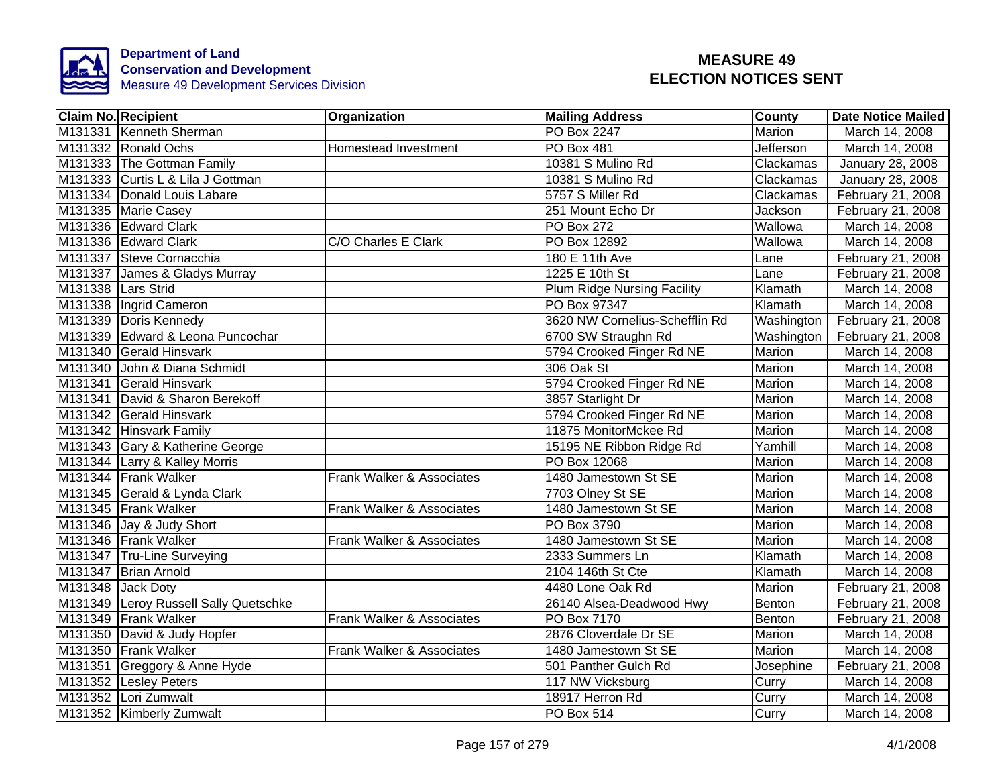

|                    | <b>Claim No. Recipient</b>            | Organization              | <b>Mailing Address</b>             | County        | <b>Date Notice Mailed</b> |
|--------------------|---------------------------------------|---------------------------|------------------------------------|---------------|---------------------------|
|                    | M131331 Kenneth Sherman               |                           | <b>PO Box 2247</b>                 | Marion        | March 14, 2008            |
|                    | M131332 Ronald Ochs                   | Homestead Investment      | <b>PO Box 481</b>                  | Jefferson     | March 14, 2008            |
|                    | M131333 The Gottman Family            |                           | 10381 S Mulino Rd                  | Clackamas     | January 28, 2008          |
|                    | M131333 Curtis L & Lila J Gottman     |                           | 10381 S Mulino Rd                  | Clackamas     | January 28, 2008          |
|                    | M131334 Donald Louis Labare           |                           | 5757 S Miller Rd                   | Clackamas     | February 21, 2008         |
|                    | M131335 Marie Casey                   |                           | 251 Mount Echo Dr                  | Jackson       | February 21, 2008         |
|                    | M131336 Edward Clark                  |                           | PO Box 272                         | Wallowa       | March 14, 2008            |
|                    | M131336 Edward Clark                  | C/O Charles E Clark       | PO Box 12892                       | Wallowa       | March 14, 2008            |
|                    | M131337 Steve Cornacchia              |                           | 180 E 11th Ave                     | Lane          | February 21, 2008         |
|                    | M131337 James & Gladys Murray         |                           | 1225 E 10th St                     | Lane          | February 21, 2008         |
| M131338 Lars Strid |                                       |                           | <b>Plum Ridge Nursing Facility</b> | Klamath       | March 14, 2008            |
|                    | M131338 Ingrid Cameron                |                           | PO Box 97347                       | Klamath       | March 14, 2008            |
|                    | M131339 Doris Kennedy                 |                           | 3620 NW Cornelius-Schefflin Rd     | Washington    | February 21, 2008         |
|                    | M131339 Edward & Leona Puncochar      |                           | 6700 SW Straughn Rd                | Washington    | February 21, 2008         |
|                    | M131340 Gerald Hinsvark               |                           | 5794 Crooked Finger Rd NE          | Marion        | March 14, 2008            |
|                    | M131340 John & Diana Schmidt          |                           | 306 Oak St                         | <b>Marion</b> | March 14, 2008            |
|                    | M131341 Gerald Hinsvark               |                           | 5794 Crooked Finger Rd NE          | <b>Marion</b> | March 14, 2008            |
|                    | M131341 David & Sharon Berekoff       |                           | 3857 Starlight Dr                  | Marion        | March 14, 2008            |
|                    | M131342 Gerald Hinsvark               |                           | 5794 Crooked Finger Rd NE          | Marion        | March 14, 2008            |
|                    | M131342 Hinsvark Family               |                           | 11875 MonitorMckee Rd              | Marion        | March 14, 2008            |
|                    | M131343 Gary & Katherine George       |                           | 15195 NE Ribbon Ridge Rd           | Yamhill       | March 14, 2008            |
|                    | M131344 Larry & Kalley Morris         |                           | PO Box 12068                       | Marion        | March 14, 2008            |
|                    | M131344 Frank Walker                  | Frank Walker & Associates | 1480 Jamestown St SE               | Marion        | March 14, 2008            |
|                    | M131345 Gerald & Lynda Clark          |                           | 7703 Olney St SE                   | Marion        | March 14, 2008            |
|                    | M131345 Frank Walker                  | Frank Walker & Associates | 1480 Jamestown St SE               | Marion        | March 14, 2008            |
|                    | M131346 Jay & Judy Short              |                           | PO Box 3790                        | <b>Marion</b> | March 14, 2008            |
|                    | M131346 Frank Walker                  | Frank Walker & Associates | 1480 Jamestown St SE               | Marion        | March 14, 2008            |
|                    | M131347 Tru-Line Surveying            |                           | 2333 Summers Ln                    | Klamath       | March 14, 2008            |
|                    | M131347 Brian Arnold                  |                           | 2104 146th St Cte                  | Klamath       | March 14, 2008            |
|                    | M131348 Jack Doty                     |                           | 4480 Lone Oak Rd                   | Marion        | February 21, 2008         |
|                    | M131349 Leroy Russell Sally Quetschke |                           | 26140 Alsea-Deadwood Hwy           | Benton        | February 21, 2008         |
|                    | M131349 Frank Walker                  | Frank Walker & Associates | <b>PO Box 7170</b>                 | <b>Benton</b> | February 21, 2008         |
|                    | M131350 David & Judy Hopfer           |                           | 2876 Cloverdale Dr SE              | Marion        | March 14, 2008            |
|                    | M131350 Frank Walker                  | Frank Walker & Associates | 1480 Jamestown St SE               | Marion        | March 14, 2008            |
|                    | M131351 Greggory & Anne Hyde          |                           | 501 Panther Gulch Rd               | Josephine     | February 21, 2008         |
|                    | M131352 Lesley Peters                 |                           | 117 NW Vicksburg                   | Curry         | March 14, 2008            |
|                    | M131352 Lori Zumwalt                  |                           | 18917 Herron Rd                    | Curry         | March 14, 2008            |
|                    | M131352 Kimberly Zumwalt              |                           | PO Box 514                         | Curry         | March 14, 2008            |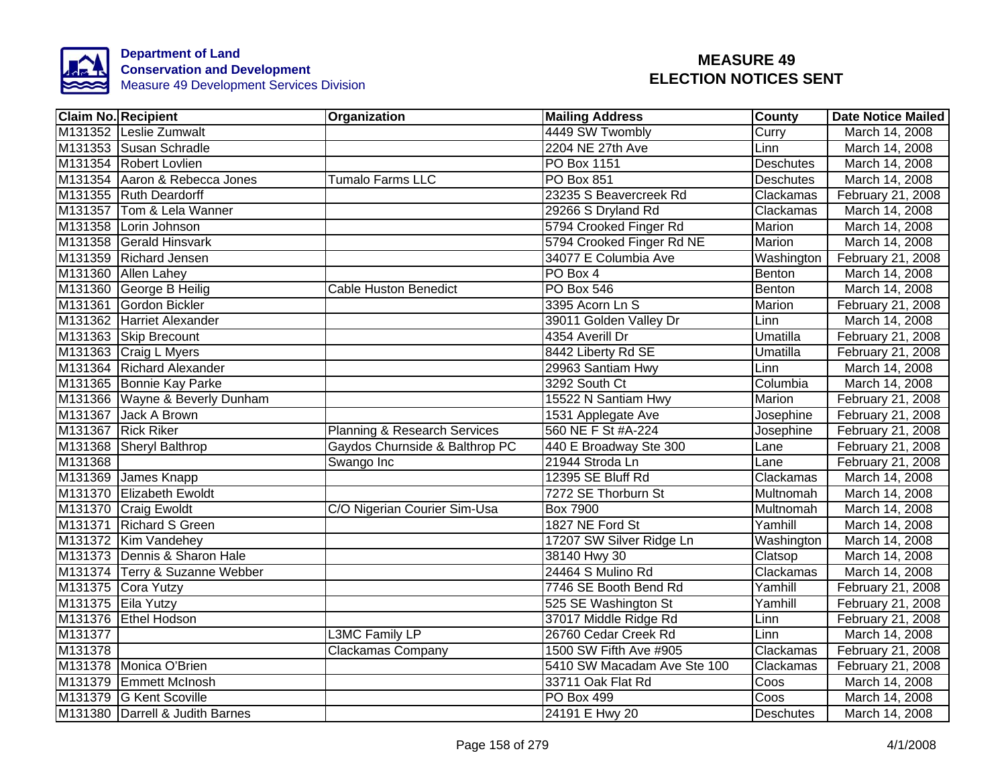

|         | <b>Claim No. Recipient</b>      | Organization                            | <b>Mailing Address</b>      | <b>County</b>    | <b>Date Notice Mailed</b> |
|---------|---------------------------------|-----------------------------------------|-----------------------------|------------------|---------------------------|
|         | M131352 Leslie Zumwalt          |                                         | 4449 SW Twombly             | Curry            | March 14, 2008            |
|         | M131353 Susan Schradle          |                                         | 2204 NE 27th Ave            | Linn             | March 14, 2008            |
|         | M131354 Robert Lovlien          |                                         | PO Box 1151                 | <b>Deschutes</b> | March 14, 2008            |
|         | M131354 Aaron & Rebecca Jones   | Tumalo Farms LLC                        | <b>PO Box 851</b>           | Deschutes        | March 14, 2008            |
|         | M131355 Ruth Deardorff          |                                         | 23235 S Beavercreek Rd      | Clackamas        | February 21, 2008         |
|         | M131357 Tom & Lela Wanner       |                                         | 29266 S Dryland Rd          | Clackamas        | March 14, 2008            |
|         | M131358 Lorin Johnson           |                                         | 5794 Crooked Finger Rd      | Marion           | March 14, 2008            |
|         | M131358 Gerald Hinsvark         |                                         | 5794 Crooked Finger Rd NE   | Marion           | March 14, 2008            |
|         | M131359 Richard Jensen          |                                         | 34077 E Columbia Ave        | Washington       | February 21, 2008         |
|         | M131360 Allen Lahey             |                                         | PO Box 4                    | Benton           | March 14, 2008            |
|         | M131360 George B Heilig         | <b>Cable Huston Benedict</b>            | <b>PO Box 546</b>           | Benton           | March 14, 2008            |
|         | M131361 Gordon Bickler          |                                         | 3395 Acorn Ln S             | Marion           | February 21, 2008         |
|         | M131362 Harriet Alexander       |                                         | 39011 Golden Valley Dr      | Linn             | March 14, 2008            |
|         | M131363 Skip Brecount           |                                         | 4354 Averill Dr             | Umatilla         | February 21, 2008         |
|         | M131363 Craig L Myers           |                                         | 8442 Liberty Rd SE          | <b>Umatilla</b>  | February 21, 2008         |
|         | M131364 Richard Alexander       |                                         | 29963 Santiam Hwy           | Linn             | March 14, 2008            |
|         | M131365 Bonnie Kay Parke        |                                         | 3292 South Ct               | Columbia         | March 14, 2008            |
|         | M131366 Wayne & Beverly Dunham  |                                         | 15522 N Santiam Hwy         | <b>Marion</b>    | February 21, 2008         |
|         | M131367 Jack A Brown            |                                         | 1531 Applegate Ave          | Josephine        | February 21, 2008         |
|         | M131367 Rick Riker              | <b>Planning &amp; Research Services</b> | 560 NE F St #A-224          | Josephine        | February 21, 2008         |
|         | M131368 Sheryl Balthrop         | Gaydos Churnside & Balthrop PC          | 440 E Broadway Ste 300      | Lane             | February 21, 2008         |
| M131368 |                                 | Swango Inc                              | 21944 Stroda Ln             | Lane             | February 21, 2008         |
|         | M131369 James Knapp             |                                         | 12395 SE Bluff Rd           | Clackamas        | March 14, 2008            |
|         | M131370 Elizabeth Ewoldt        |                                         | 7272 SE Thorburn St         | Multnomah        | March 14, 2008            |
|         | M131370 Craig Ewoldt            | C/O Nigerian Courier Sim-Usa            | <b>Box 7900</b>             | Multnomah        | March 14, 2008            |
|         | M131371 Richard S Green         |                                         | 1827 NE Ford St             | Yamhill          | March 14, 2008            |
|         | M131372 Kim Vandehey            |                                         | 17207 SW Silver Ridge Ln    | Washington       | March 14, 2008            |
|         | M131373 Dennis & Sharon Hale    |                                         | 38140 Hwy 30                | Clatsop          | March 14, 2008            |
|         | M131374 Terry & Suzanne Webber  |                                         | 24464 S Mulino Rd           | Clackamas        | March 14, 2008            |
|         | M131375 Cora Yutzy              |                                         | 7746 SE Booth Bend Rd       | Yamhill          | February 21, 2008         |
|         | M131375 Eila Yutzy              |                                         | 525 SE Washington St        | Yamhill          | February 21, 2008         |
|         | M131376 Ethel Hodson            |                                         | 37017 Middle Ridge Rd       | Linn             | February 21, 2008         |
| M131377 |                                 | L3MC Family LP                          | 26760 Cedar Creek Rd        | Linn             | March 14, 2008            |
| M131378 |                                 | <b>Clackamas Company</b>                | 1500 SW Fifth Ave #905      | Clackamas        | February 21, 2008         |
|         | M131378 Monica O'Brien          |                                         | 5410 SW Macadam Ave Ste 100 | Clackamas        | February 21, 2008         |
|         | M131379 Emmett McInosh          |                                         | 33711 Oak Flat Rd           | Coos             | March 14, 2008            |
|         | M131379 G Kent Scoville         |                                         | <b>PO Box 499</b>           | Coos             | March 14, 2008            |
|         | M131380 Darrell & Judith Barnes |                                         | 24191 E Hwy 20              | Deschutes        | March 14, 2008            |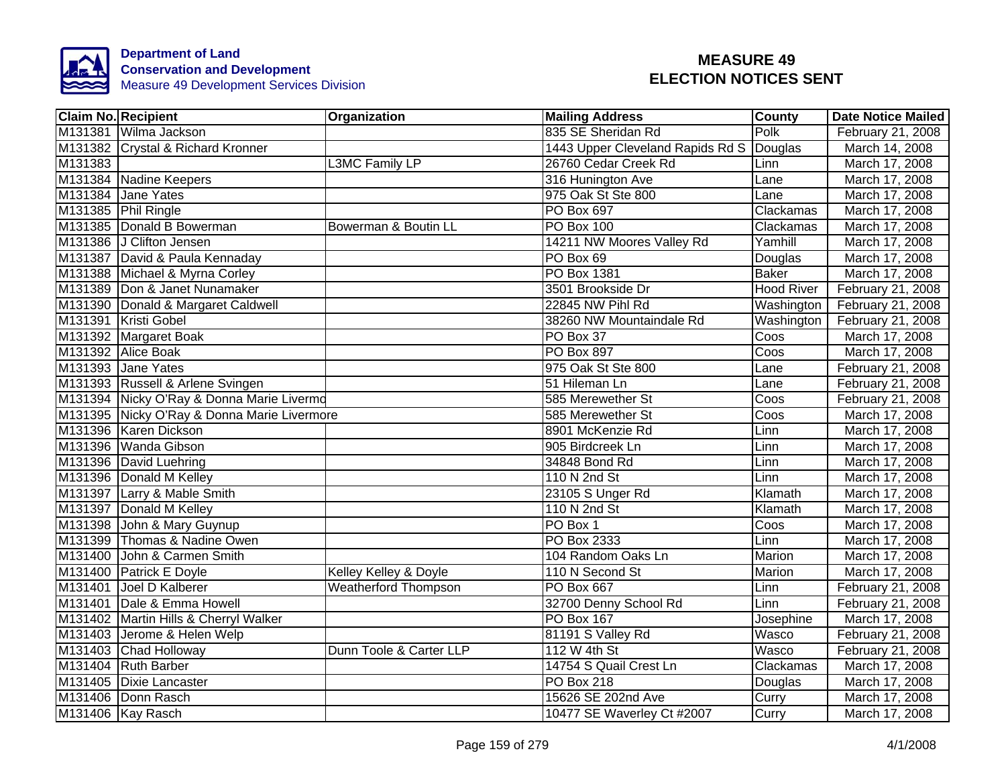

| <b>Claim No. Recipient</b>                  | Organization                | <b>Mailing Address</b>           | County            | <b>Date Notice Mailed</b> |
|---------------------------------------------|-----------------------------|----------------------------------|-------------------|---------------------------|
| M131381 Wilma Jackson                       |                             | 835 SE Sheridan Rd               | Polk              | February 21, 2008         |
| M131382 Crystal & Richard Kronner           |                             | 1443 Upper Cleveland Rapids Rd S | Douglas           | March 14, 2008            |
| M131383                                     | L3MC Family LP              | 26760 Cedar Creek Rd             | Linn              | March 17, 2008            |
| M131384 Nadine Keepers                      |                             | 316 Hunington Ave                | Lane              | March 17, 2008            |
| M131384 Jane Yates                          |                             | 975 Oak St Ste 800               | Lane              | March 17, 2008            |
| M131385 Phil Ringle                         |                             | PO Box 697                       | Clackamas         | March 17, 2008            |
| M131385 Donald B Bowerman                   | Bowerman & Boutin LL        | PO Box 100                       | Clackamas         | March 17, 2008            |
| M131386 J Clifton Jensen                    |                             | 14211 NW Moores Valley Rd        | Yamhill           | March 17, 2008            |
| M131387 David & Paula Kennaday              |                             | PO Box 69                        | Douglas           | March 17, 2008            |
| M131388 Michael & Myrna Corley              |                             | PO Box 1381                      | <b>Baker</b>      | March 17, 2008            |
| M131389 Don & Janet Nunamaker               |                             | 3501 Brookside Dr                | <b>Hood River</b> | February 21, 2008         |
| M131390 Donald & Margaret Caldwell          |                             | 22845 NW Pihl Rd                 | Washington        | February 21, 2008         |
| M131391 Kristi Gobel                        |                             | 38260 NW Mountaindale Rd         | Washington        | February 21, 2008         |
| M131392 Margaret Boak                       |                             | PO Box 37                        | Coos              | March 17, 2008            |
| M131392 Alice Boak                          |                             | <b>PO Box 897</b>                | Coos              | March 17, 2008            |
| M131393 Jane Yates                          |                             | 975 Oak St Ste 800               | Lane              | February 21, 2008         |
| M131393 Russell & Arlene Svingen            |                             | 51 Hileman Ln                    | Lane              | February 21, 2008         |
| M131394 Nicky O'Ray & Donna Marie Livermd   |                             | 585 Merewether St                | Coos              | February 21, 2008         |
| M131395 Nicky O'Ray & Donna Marie Livermore |                             | 585 Merewether St                | Coos              | March 17, 2008            |
| M131396 Karen Dickson                       |                             | 8901 McKenzie Rd                 | Linn              | March 17, 2008            |
| M131396 Wanda Gibson                        |                             | 905 Birdcreek Ln                 | Linn              | March 17, 2008            |
| M131396 David Luehring                      |                             | 34848 Bond Rd                    | Linn              | March 17, 2008            |
| M131396 Donald M Kelley                     |                             | 110 N 2nd St                     | Linn              | March 17, 2008            |
| M131397 Larry & Mable Smith                 |                             | 23105 S Unger Rd                 | Klamath           | March 17, 2008            |
| M131397 Donald M Kelley                     |                             | 110 N 2nd St                     | Klamath           | March 17, 2008            |
| M131398 John & Mary Guynup                  |                             | PO Box 1                         | Coos              | March 17, 2008            |
| M131399 Thomas & Nadine Owen                |                             | PO Box 2333                      | Linn              | March 17, 2008            |
| M131400 John & Carmen Smith                 |                             | 104 Random Oaks Ln               | Marion            | March 17, 2008            |
| M131400 Patrick E Doyle                     | Kelley Kelley & Doyle       | 110 N Second St                  | Marion            | March 17, 2008            |
| M131401 Joel D Kalberer                     | <b>Weatherford Thompson</b> | PO Box 667                       | Linn              | February 21, 2008         |
| M131401 Dale & Emma Howell                  |                             | 32700 Denny School Rd            | Linn              | February 21, 2008         |
| M131402 Martin Hills & Cherryl Walker       |                             | <b>PO Box 167</b>                | Josephine         | March 17, 2008            |
| M131403 Jerome & Helen Welp                 |                             | 81191 S Valley Rd                | Wasco             | February 21, 2008         |
| M131403 Chad Holloway                       | Dunn Toole & Carter LLP     | 112 W 4th St                     | Wasco             | February 21, 2008         |
| M131404 Ruth Barber                         |                             | 14754 S Quail Crest Ln           | Clackamas         | March 17, 2008            |
| M131405 Dixie Lancaster                     |                             | PO Box 218                       | Douglas           | March 17, 2008            |
| M131406 Donn Rasch                          |                             | 15626 SE 202nd Ave               | Curry             | March 17, 2008            |
| M131406 Kay Rasch                           |                             | 10477 SE Waverley Ct #2007       | Curry             | March 17, 2008            |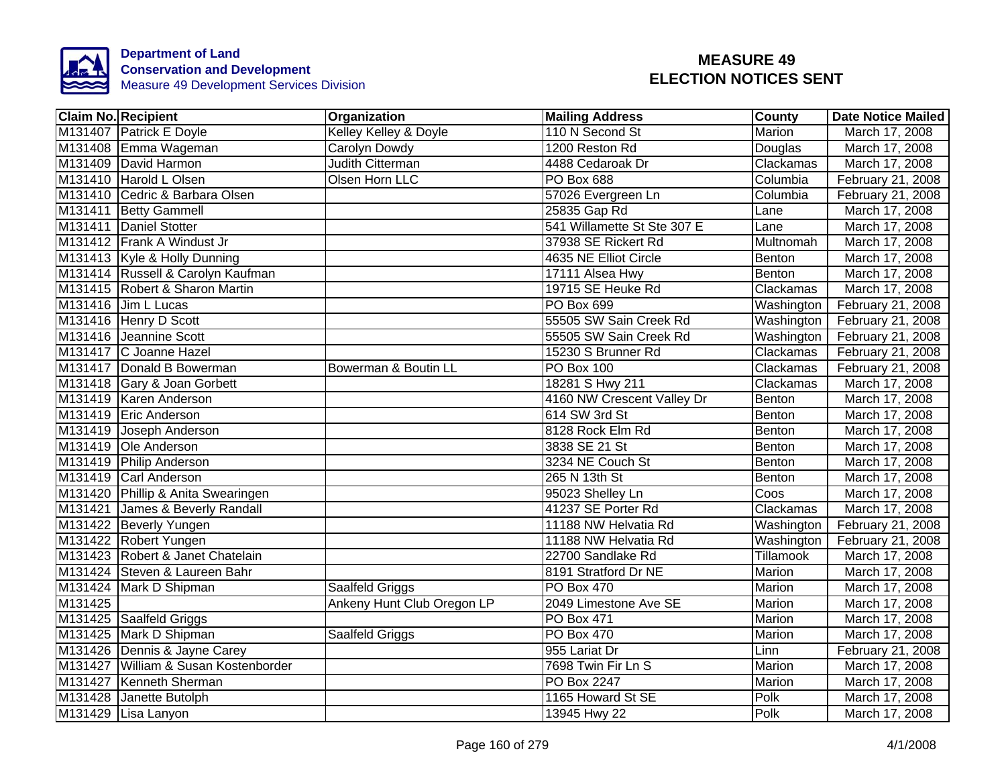

| <b>Claim No. Recipient</b>           | Organization               | <b>Mailing Address</b>      | <b>County</b> | Date Notice Mailed |
|--------------------------------------|----------------------------|-----------------------------|---------------|--------------------|
| M131407 Patrick E Doyle              | Kelley Kelley & Doyle      | 110 N Second St             | <b>Marion</b> | March 17, 2008     |
| M131408 Emma Wageman                 | Carolyn Dowdy              | 1200 Reston Rd              | Douglas       | March 17, 2008     |
| M131409 David Harmon                 | <b>Judith Citterman</b>    | 4488 Cedaroak Dr            | Clackamas     | March 17, 2008     |
| M131410 Harold L Olsen               | Olsen Horn LLC             | PO Box 688                  | Columbia      | February 21, 2008  |
| M131410 Cedric & Barbara Olsen       |                            | 57026 Evergreen Ln          | Columbia      | February 21, 2008  |
| M131411 Betty Gammell                |                            | 25835 Gap Rd                | Lane          | March 17, 2008     |
| M131411 Daniel Stotter               |                            | 541 Willamette St Ste 307 E | Lane          | March 17, 2008     |
| M131412 Frank A Windust Jr           |                            | 37938 SE Rickert Rd         | Multnomah     | March 17, 2008     |
| M131413   Kyle & Holly Dunning       |                            | 4635 NE Elliot Circle       | Benton        | March 17, 2008     |
| M131414 Russell & Carolyn Kaufman    |                            | 17111 Alsea Hwy             | Benton        | March 17, 2008     |
| M131415 Robert & Sharon Martin       |                            | 19715 SE Heuke Rd           | Clackamas     | March 17, 2008     |
| M131416 Jim L Lucas                  |                            | PO Box 699                  | Washington    | February 21, 2008  |
| M131416 Henry D Scott                |                            | 55505 SW Sain Creek Rd      | Washington    | February 21, 2008  |
| M131416 Jeannine Scott               |                            | 55505 SW Sain Creek Rd      | Washington    | February 21, 2008  |
| M131417 C Joanne Hazel               |                            | 15230 S Brunner Rd          | Clackamas     | February 21, 2008  |
| M131417 Donald B Bowerman            | Bowerman & Boutin LL       | PO Box 100                  | Clackamas     | February 21, 2008  |
| M131418 Gary & Joan Gorbett          |                            | 18281 S Hwy 211             | Clackamas     | March 17, 2008     |
| M131419 Karen Anderson               |                            | 4160 NW Crescent Valley Dr  | Benton        | March 17, 2008     |
| M131419 Eric Anderson                |                            | 614 SW 3rd St               | Benton        | March 17, 2008     |
| M131419 Joseph Anderson              |                            | 8128 Rock Elm Rd            | Benton        | March 17, 2008     |
| M131419 Ole Anderson                 |                            | 3838 SE 21 St               | Benton        | March 17, 2008     |
| M131419 Philip Anderson              |                            | 3234 NE Couch St            | Benton        | March 17, 2008     |
| M131419 Carl Anderson                |                            | 265 N 13th St               | Benton        | March 17, 2008     |
| M131420 Phillip & Anita Swearingen   |                            | 95023 Shelley Ln            | Coos          | March 17, 2008     |
| M131421 James & Beverly Randall      |                            | 41237 SE Porter Rd          | Clackamas     | March 17, 2008     |
| M131422 Beverly Yungen               |                            | 11188 NW Helvatia Rd        | Washington    | February 21, 2008  |
| M131422 Robert Yungen                |                            | 11188 NW Helvatia Rd        | Washington    | February 21, 2008  |
| M131423 Robert & Janet Chatelain     |                            | 22700 Sandlake Rd           | Tillamook     | March 17, 2008     |
| M131424 Steven & Laureen Bahr        |                            | 8191 Stratford Dr NE        | Marion        | March 17, 2008     |
| M131424 Mark D Shipman               | Saalfeld Griggs            | <b>PO Box 470</b>           | Marion        | March 17, 2008     |
| M131425                              | Ankeny Hunt Club Oregon LP | 2049 Limestone Ave SE       | Marion        | March 17, 2008     |
| M131425 Saalfeld Griggs              |                            | PO Box 471                  | Marion        | March 17, 2008     |
| M131425 Mark D Shipman               | Saalfeld Griggs            | PO Box 470                  | Marion        | March 17, 2008     |
| M131426 Dennis & Jayne Carey         |                            | 955 Lariat Dr               | Linn          | February 21, 2008  |
| M131427 William & Susan Kostenborder |                            | 7698 Twin Fir Ln S          | Marion        | March 17, 2008     |
| M131427 Kenneth Sherman              |                            | PO Box 2247                 | Marion        | March 17, 2008     |
| M131428 Janette Butolph              |                            | 1165 Howard St SE           | Polk          | March 17, 2008     |
| M131429 Lisa Lanyon                  |                            | 13945 Hwy 22                | Polk          | March 17, 2008     |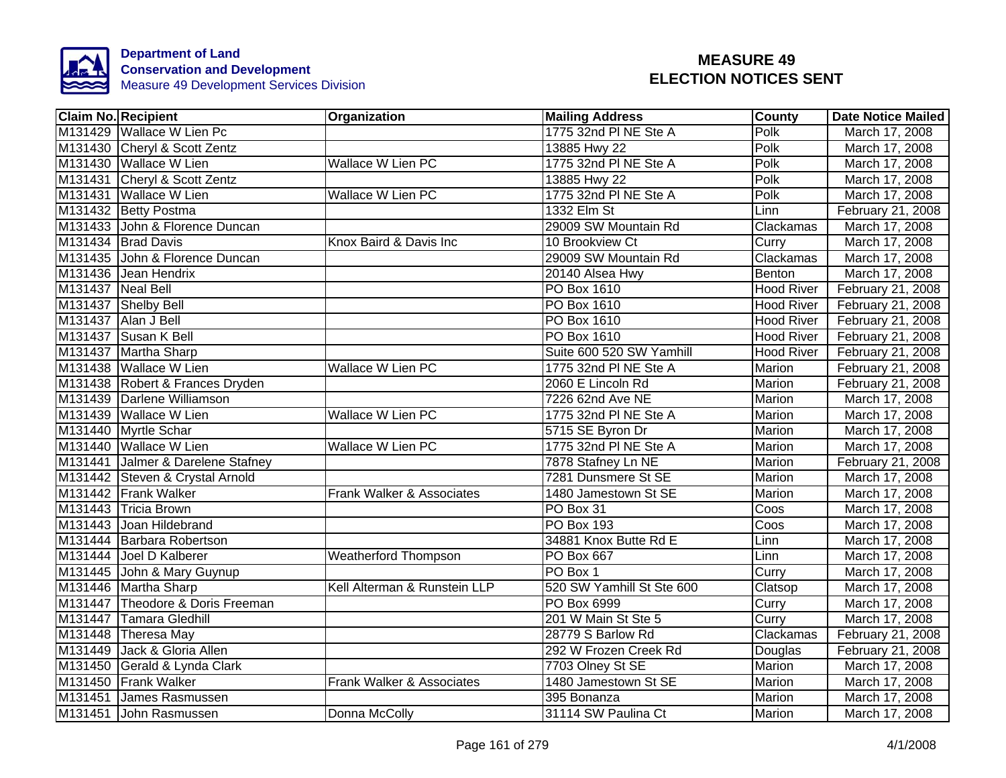

| <b>Claim No. Recipient</b>        | Organization                 | <b>Mailing Address</b>    | County            | <b>Date Notice Mailed</b> |
|-----------------------------------|------------------------------|---------------------------|-------------------|---------------------------|
| M131429 Wallace W Lien Pc         |                              | 1775 32nd PI NE Ste A     | Polk              | March 17, 2008            |
| M131430 Cheryl & Scott Zentz      |                              | 13885 Hwy 22              | Polk              | March 17, 2008            |
| M131430 Wallace W Lien            | <b>Wallace W Lien PC</b>     | 1775 32nd PI NE Ste A     | Polk              | March 17, 2008            |
| M131431 Cheryl & Scott Zentz      |                              | 13885 Hwy 22              | Polk              | March 17, 2008            |
| M131431 Wallace W Lien            | Wallace W Lien PC            | 1775 32nd PI NE Ste A     | Polk              | March 17, 2008            |
| M131432 Betty Postma              |                              | 1332 Elm St               | Linn              | February 21, 2008         |
| M131433 John & Florence Duncan    |                              | 29009 SW Mountain Rd      | Clackamas         | March 17, 2008            |
| M131434 Brad Davis                | Knox Baird & Davis Inc       | 10 Brookview Ct           | Curry             | March 17, 2008            |
| M131435 John & Florence Duncan    |                              | 29009 SW Mountain Rd      | Clackamas         | March 17, 2008            |
| M131436 Jean Hendrix              |                              | 20140 Alsea Hwy           | Benton            | March 17, 2008            |
| M131437 Neal Bell                 |                              | <b>PO</b> Box 1610        | <b>Hood River</b> | February 21, 2008         |
| M131437 Shelby Bell               |                              | <b>PO</b> Box 1610        | <b>Hood River</b> | February 21, 2008         |
| M131437 Alan J Bell               |                              | PO Box 1610               | <b>Hood River</b> | February 21, 2008         |
| M131437 Susan K Bell              |                              | PO Box 1610               | <b>Hood River</b> | February 21, 2008         |
| M131437 Martha Sharp              |                              | Suite 600 520 SW Yamhill  | <b>Hood River</b> | February 21, 2008         |
| M131438 Wallace W Lien            | <b>Wallace W Lien PC</b>     | 1775 32nd PI NE Ste A     | Marion            | February 21, 2008         |
| M131438 Robert & Frances Dryden   |                              | 2060 E Lincoln Rd         | Marion            | February 21, 2008         |
| M131439 Darlene Williamson        |                              | 7226 62nd Ave NE          | <b>Marion</b>     | March 17, 2008            |
| M131439 Wallace W Lien            | <b>Wallace W Lien PC</b>     | 1775 32nd PI NE Ste A     | Marion            | March 17, 2008            |
| M131440 Myrtle Schar              |                              | 5715 SE Byron Dr          | Marion            | March 17, 2008            |
| M131440 Wallace W Lien            | <b>Wallace W Lien PC</b>     | 1775 32nd PI NE Ste A     | Marion            | March 17, 2008            |
| M131441 Jalmer & Darelene Stafney |                              | 7878 Stafney Ln NE        | Marion            | February 21, 2008         |
| M131442 Steven & Crystal Arnold   |                              | 7281 Dunsmere St SE       | Marion            | March 17, 2008            |
| M131442 Frank Walker              | Frank Walker & Associates    | 1480 Jamestown St SE      | Marion            | March 17, 2008            |
| M131443 Tricia Brown              |                              | PO Box 31                 | Coos              | March 17, 2008            |
| M131443 Joan Hildebrand           |                              | <b>PO Box 193</b>         | Coos              | March 17, 2008            |
| M131444 Barbara Robertson         |                              | 34881 Knox Butte Rd E     | Linn              | March 17, 2008            |
| M131444 Joel D Kalberer           | Weatherford Thompson         | PO Box 667                | Linn              | March 17, 2008            |
| M131445 John & Mary Guynup        |                              | PO Box 1                  | Curry             | March 17, 2008            |
| M131446 Martha Sharp              | Kell Alterman & Runstein LLP | 520 SW Yamhill St Ste 600 | Clatsop           | March 17, 2008            |
| M131447 Theodore & Doris Freeman  |                              | PO Box 6999               | Curry             | March 17, 2008            |
| M131447 Tamara Gledhill           |                              | 201 W Main St Ste 5       | Curry             | March 17, 2008            |
| M131448 Theresa May               |                              | 28779 S Barlow Rd         | Clackamas         | February 21, 2008         |
| M131449 Jack & Gloria Allen       |                              | 292 W Frozen Creek Rd     | Douglas           | February 21, 2008         |
| M131450 Gerald & Lynda Clark      |                              | 7703 Olney St SE          | Marion            | March 17, 2008            |
| M131450 Frank Walker              | Frank Walker & Associates    | 1480 Jamestown St SE      | Marion            | March 17, 2008            |
| M131451 James Rasmussen           |                              | 395 Bonanza               | Marion            | March 17, 2008            |
| M131451 John Rasmussen            | Donna McColly                | 31114 SW Paulina Ct       | Marion            | March 17, 2008            |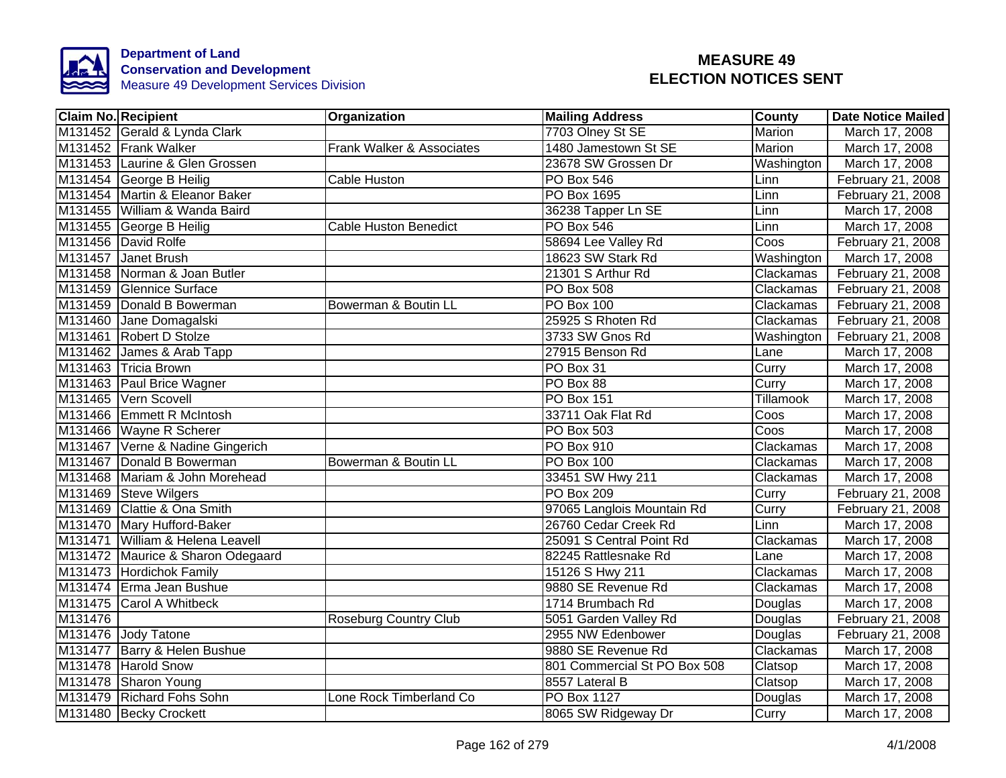

|         | <b>Claim No. Recipient</b>        | Organization                 | <b>Mailing Address</b>       | County           | <b>Date Notice Mailed</b> |
|---------|-----------------------------------|------------------------------|------------------------------|------------------|---------------------------|
|         | M131452 Gerald & Lynda Clark      |                              | 7703 Olney St SE             | <b>Marion</b>    | March 17, 2008            |
|         | M131452 Frank Walker              | Frank Walker & Associates    | 1480 Jamestown St SE         | <b>Marion</b>    | March 17, 2008            |
|         | M131453 Laurine & Glen Grossen    |                              | 23678 SW Grossen Dr          | Washington       | March 17, 2008            |
|         | M131454 George B Heilig           | Cable Huston                 | <b>PO Box 546</b>            | Linn             | February 21, 2008         |
|         | M131454 Martin & Eleanor Baker    |                              | PO Box 1695                  | Linn             | February 21, 2008         |
|         | M131455 William & Wanda Baird     |                              | 36238 Tapper Ln SE           | Linn             | March 17, 2008            |
|         | M131455 George B Heilig           | <b>Cable Huston Benedict</b> | PO Box 546                   | Linn             | March 17, 2008            |
|         | M131456 David Rolfe               |                              | 58694 Lee Valley Rd          | Coos             | February 21, 2008         |
|         | M131457 Janet Brush               |                              | 18623 SW Stark Rd            | Washington       | March 17, 2008            |
|         | M131458 Norman & Joan Butler      |                              | 21301 S Arthur Rd            | Clackamas        | February 21, 2008         |
|         | M131459 Glennice Surface          |                              | PO Box 508                   | Clackamas        | February 21, 2008         |
|         | M131459 Donald B Bowerman         | Bowerman & Boutin LL         | <b>PO Box 100</b>            | Clackamas        | February 21, 2008         |
|         | M131460 Jane Domagalski           |                              | 25925 S Rhoten Rd            | Clackamas        | February 21, 2008         |
|         | M131461 Robert D Stolze           |                              | 3733 SW Gnos Rd              | Washington       | February 21, 2008         |
|         | M131462 James & Arab Tapp         |                              | 27915 Benson Rd              | Lane             | March 17, 2008            |
|         | M131463 Tricia Brown              |                              | PO Box 31                    | Curry            | March 17, 2008            |
|         | M131463 Paul Brice Wagner         |                              | PO Box 88                    | Curry            | March 17, 2008            |
|         | M131465 Vern Scovell              |                              | <b>PO Box 151</b>            | <b>Tillamook</b> | March 17, 2008            |
|         | M131466 Emmett R McIntosh         |                              | 33711 Oak Flat Rd            | Coos             | March 17, 2008            |
|         | M131466 Wayne R Scherer           |                              | <b>PO Box 503</b>            | Coos             | March 17, 2008            |
|         | M131467 Verne & Nadine Gingerich  |                              | <b>PO Box 910</b>            | Clackamas        | March 17, 2008            |
|         | M131467 Donald B Bowerman         | Bowerman & Boutin LL         | PO Box 100                   | Clackamas        | March 17, 2008            |
|         | M131468 Mariam & John Morehead    |                              | 33451 SW Hwy 211             | Clackamas        | March 17, 2008            |
|         | M131469 Steve Wilgers             |                              | <b>PO Box 209</b>            | Curry            | February 21, 2008         |
|         | M131469 Clattie & Ona Smith       |                              | 97065 Langlois Mountain Rd   | Curry            | February 21, 2008         |
|         | M131470 Mary Hufford-Baker        |                              | 26760 Cedar Creek Rd         | Linn             | March 17, 2008            |
|         | M131471 William & Helena Leavell  |                              | 25091 S Central Point Rd     | Clackamas        | March 17, 2008            |
|         | M131472 Maurice & Sharon Odegaard |                              | 82245 Rattlesnake Rd         | Lane             | March 17, 2008            |
|         | M131473 Hordichok Family          |                              | 15126 S Hwy 211              | Clackamas        | March 17, 2008            |
|         | M131474 Erma Jean Bushue          |                              | 9880 SE Revenue Rd           | Clackamas        | March 17, 2008            |
|         | M131475 Carol A Whitbeck          |                              | 1714 Brumbach Rd             | Douglas          | March 17, 2008            |
| M131476 |                                   | <b>Roseburg Country Club</b> | 5051 Garden Valley Rd        | Douglas          | February 21, 2008         |
|         | M131476 Jody Tatone               |                              | 2955 NW Edenbower            | Douglas          | February 21, 2008         |
|         | M131477 Barry & Helen Bushue      |                              | 9880 SE Revenue Rd           | Clackamas        | March 17, 2008            |
|         | M131478 Harold Snow               |                              | 801 Commercial St PO Box 508 | Clatsop          | March 17, 2008            |
|         | M131478 Sharon Young              |                              | 8557 Lateral B               | Clatsop          | March 17, 2008            |
|         | M131479 Richard Fohs Sohn         | Lone Rock Timberland Co      | PO Box 1127                  | Douglas          | March 17, 2008            |
|         | M131480 Becky Crockett            |                              | 8065 SW Ridgeway Dr          | Curry            | March 17, 2008            |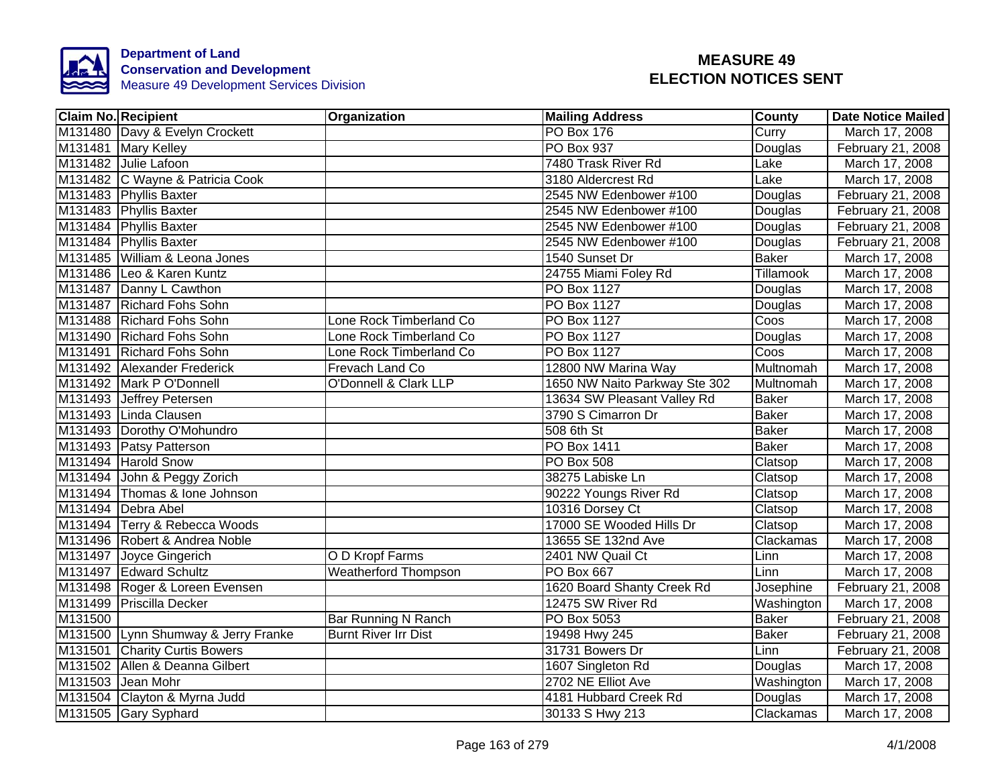

|         | <b>Claim No. Recipient</b>          | Organization                     | <b>Mailing Address</b>        | County       | <b>Date Notice Mailed</b> |
|---------|-------------------------------------|----------------------------------|-------------------------------|--------------|---------------------------|
|         | M131480 Davy & Evelyn Crockett      |                                  | PO Box 176                    | Curry        | March 17, 2008            |
|         | M131481 Mary Kelley                 |                                  | <b>PO Box 937</b>             | Douglas      | February 21, 2008         |
|         | M131482 Julie Lafoon                |                                  | 7480 Trask River Rd           | Lake         | March 17, 2008            |
|         | M131482 C Wayne & Patricia Cook     |                                  | 3180 Aldercrest Rd            | Lake         | March 17, 2008            |
|         | M131483 Phyllis Baxter              |                                  | 2545 NW Edenbower #100        | Douglas      | February 21, 2008         |
|         | M131483 Phyllis Baxter              |                                  | 2545 NW Edenbower #100        | Douglas      | February 21, 2008         |
|         | M131484 Phyllis Baxter              |                                  | 2545 NW Edenbower #100        | Douglas      | February 21, 2008         |
|         | M131484 Phyllis Baxter              |                                  | 2545 NW Edenbower #100        | Douglas      | February 21, 2008         |
|         | M131485 William & Leona Jones       |                                  | 1540 Sunset Dr                | Baker        | March 17, 2008            |
|         | M131486 Leo & Karen Kuntz           |                                  | 24755 Miami Foley Rd          | Tillamook    | March 17, 2008            |
|         | M131487 Danny L Cawthon             |                                  | PO Box 1127                   | Douglas      | March 17, 2008            |
|         | M131487 Richard Fohs Sohn           |                                  | PO Box 1127                   | Douglas      | March 17, 2008            |
|         | M131488 Richard Fohs Sohn           | Lone Rock Timberland Co          | PO Box 1127                   | Coos         | March 17, 2008            |
|         | M131490 Richard Fohs Sohn           | Lone Rock Timberland Co          | PO Box 1127                   | Douglas      | March 17, 2008            |
|         | M131491 Richard Fohs Sohn           | Lone Rock Timberland Co          | <b>PO Box 1127</b>            | Coos         | March 17, 2008            |
|         | M131492 Alexander Frederick         | Frevach Land Co                  | 12800 NW Marina Way           | Multnomah    | March 17, 2008            |
|         | M131492 Mark P O'Donnell            | <b>O'Donnell &amp; Clark LLP</b> | 1650 NW Naito Parkway Ste 302 | Multnomah    | March 17, 2008            |
|         | M131493 Jeffrey Petersen            |                                  | 13634 SW Pleasant Valley Rd   | <b>Baker</b> | March 17, 2008            |
|         | M131493 Linda Clausen               |                                  | 3790 S Cimarron Dr            | <b>Baker</b> | March 17, 2008            |
|         | M131493 Dorothy O'Mohundro          |                                  | $508$ 6th St                  | <b>Baker</b> | March 17, 2008            |
|         | M131493 Patsy Patterson             |                                  | PO Box 1411                   | <b>Baker</b> | March 17, 2008            |
|         | M131494 Harold Snow                 |                                  | <b>PO Box 508</b>             | Clatsop      | March 17, 2008            |
|         | M131494 John & Peggy Zorich         |                                  | 38275 Labiske Ln              | Clatsop      | March 17, 2008            |
|         | M131494 Thomas & Ione Johnson       |                                  | 90222 Youngs River Rd         | Clatsop      | March 17, 2008            |
|         | M131494 Debra Abel                  |                                  | 10316 Dorsey Ct               | Clatsop      | March 17, 2008            |
|         | M131494 Terry & Rebecca Woods       |                                  | 17000 SE Wooded Hills Dr      | Clatsop      | March 17, 2008            |
|         | M131496 Robert & Andrea Noble       |                                  | 13655 SE 132nd Ave            | Clackamas    | March 17, 2008            |
|         | M131497 Joyce Gingerich             | O D Kropf Farms                  | 2401 NW Quail Ct              | Linn         | March 17, 2008            |
|         | M131497 Edward Schultz              | <b>Weatherford Thompson</b>      | PO Box 667                    | Linn         | March 17, 2008            |
|         | M131498 Roger & Loreen Evensen      |                                  | 1620 Board Shanty Creek Rd    | Josephine    | February 21, 2008         |
|         | M131499 Priscilla Decker            |                                  | 12475 SW River Rd             | Washington   | March 17, 2008            |
| M131500 |                                     | <b>Bar Running N Ranch</b>       | PO Box 5053                   | <b>Baker</b> | February 21, 2008         |
|         | M131500 Lynn Shumway & Jerry Franke | <b>Burnt River Irr Dist</b>      | 19498 Hwy 245                 | <b>Baker</b> | February 21, 2008         |
|         | M131501 Charity Curtis Bowers       |                                  | 31731 Bowers Dr               | Linn         | February 21, 2008         |
|         | M131502 Allen & Deanna Gilbert      |                                  | 1607 Singleton Rd             | Douglas      | March 17, 2008            |
|         | M131503 Jean Mohr                   |                                  | 2702 NE Elliot Ave            | Washington   | March 17, 2008            |
|         | M131504 Clayton & Myrna Judd        |                                  | 4181 Hubbard Creek Rd         | Douglas      | March 17, 2008            |
|         | M131505 Gary Syphard                |                                  | 30133 S Hwy 213               | Clackamas    | March 17, 2008            |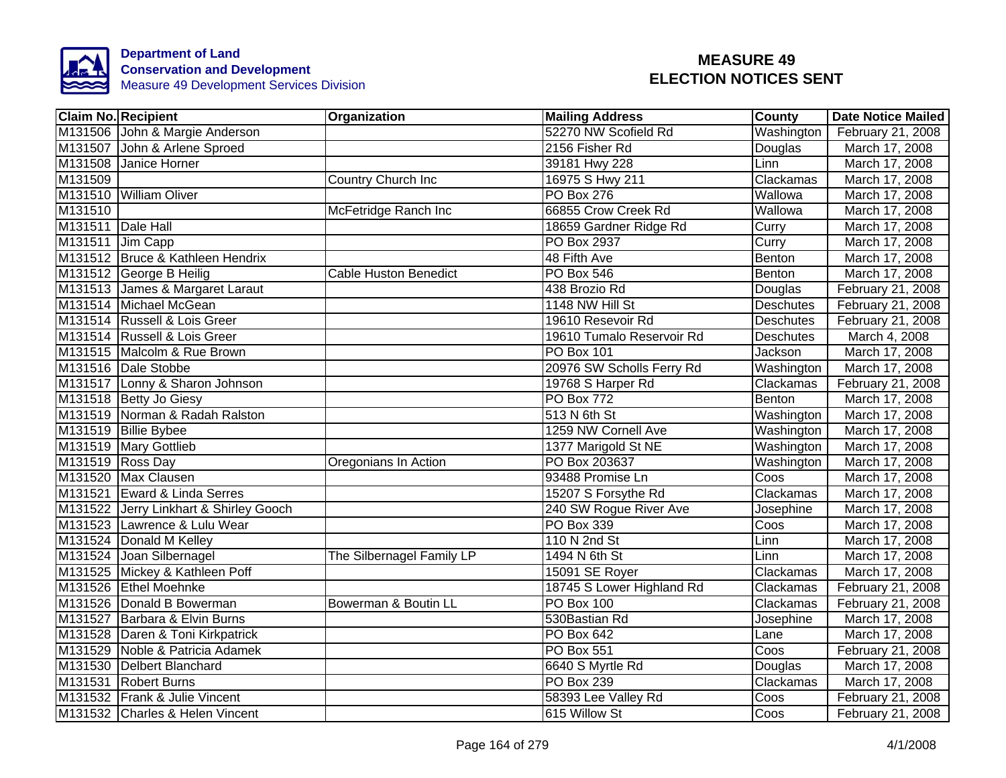

| <b>Claim No. Recipient</b>             | Organization                 | <b>Mailing Address</b>    | <b>County</b> | <b>Date Notice Mailed</b> |
|----------------------------------------|------------------------------|---------------------------|---------------|---------------------------|
| M131506 John & Margie Anderson         |                              | 52270 NW Scofield Rd      | Washington    | February 21, 2008         |
| M131507 John & Arlene Sproed           |                              | 2156 Fisher Rd            | Douglas       | March 17, 2008            |
| M131508 Janice Horner                  |                              | 39181 Hwy 228             | Linn          | March 17, 2008            |
| M131509                                | Country Church Inc           | 16975 S Hwy 211           | Clackamas     | March 17, 2008            |
| M131510 William Oliver                 |                              | PO Box 276                | Wallowa       | March 17, 2008            |
| M131510                                | McFetridge Ranch Inc         | 66855 Crow Creek Rd       | Wallowa       | March 17, 2008            |
| M131511 Dale Hall                      |                              | 18659 Gardner Ridge Rd    | Curry         | March 17, 2008            |
| M131511 Jim Capp                       |                              | <b>PO Box 2937</b>        | Curry         | March 17, 2008            |
| M131512 Bruce & Kathleen Hendrix       |                              | 48 Fifth Ave              | Benton        | March 17, 2008            |
| M131512 George B Heilig                | <b>Cable Huston Benedict</b> | PO Box 546                | Benton        | March 17, 2008            |
| M131513 James & Margaret Laraut        |                              | 438 Brozio Rd             | Douglas       | February 21, 2008         |
| M131514 Michael McGean                 |                              | 1148 NW Hill St           | Deschutes     | February 21, 2008         |
| M131514 Russell & Lois Greer           |                              | 19610 Resevoir Rd         | Deschutes     | February 21, 2008         |
| M131514 Russell & Lois Greer           |                              | 19610 Tumalo Reservoir Rd | Deschutes     | March 4, 2008             |
| M131515 Malcolm & Rue Brown            |                              | <b>PO Box 101</b>         | Jackson       | March 17, 2008            |
| M131516 Dale Stobbe                    |                              | 20976 SW Scholls Ferry Rd | Washington    | March 17, 2008            |
| M131517 Lonny & Sharon Johnson         |                              | 19768 S Harper Rd         | Clackamas     | February 21, 2008         |
| M131518 Betty Jo Giesy                 |                              | PO Box 772                | Benton        | March 17, 2008            |
| M131519 Norman & Radah Ralston         |                              | 513 N 6th St              | Washington    | March 17, 2008            |
| M131519 Billie Bybee                   |                              | 1259 NW Cornell Ave       | Washington    | March 17, 2008            |
| M131519 Mary Gottlieb                  |                              | 1377 Marigold St NE       | Washington    | March 17, 2008            |
| M131519 Ross Day                       | Oregonians In Action         | PO Box 203637             | Washington    | March 17, 2008            |
| M131520 Max Clausen                    |                              | 93488 Promise Ln          | Coos          | March 17, 2008            |
| M131521 Eward & Linda Serres           |                              | 15207 S Forsythe Rd       | Clackamas     | March 17, 2008            |
| M131522 Jerry Linkhart & Shirley Gooch |                              | 240 SW Rogue River Ave    | Josephine     | March 17, 2008            |
| M131523 Lawrence & Lulu Wear           |                              | <b>PO Box 339</b>         | Coos          | March 17, 2008            |
| M131524 Donald M Kelley                |                              | 110 N 2nd St              | Linn          | March 17, 2008            |
| M131524 Joan Silbernagel               | The Silbernagel Family LP    | 1494 N 6th St             | Linn          | March 17, 2008            |
| M131525 Mickey & Kathleen Poff         |                              | 15091 SE Royer            | Clackamas     | March 17, 2008            |
| M131526 Ethel Moehnke                  |                              | 18745 S Lower Highland Rd | Clackamas     | February 21, 2008         |
| M131526 Donald B Bowerman              | Bowerman & Boutin LL         | PO Box 100                | Clackamas     | February 21, 2008         |
| M131527 Barbara & Elvin Burns          |                              | 530Bastian Rd             | Josephine     | March 17, 2008            |
| M131528 Daren & Toni Kirkpatrick       |                              | PO Box 642                | Lane          | March 17, 2008            |
| M131529 Noble & Patricia Adamek        |                              | PO Box 551                | Coos          | February 21, 2008         |
| M131530 Delbert Blanchard              |                              | 6640 S Myrtle Rd          | Douglas       | March 17, 2008            |
| M131531 Robert Burns                   |                              | <b>PO Box 239</b>         | Clackamas     | March 17, 2008            |
| M131532 Frank & Julie Vincent          |                              | 58393 Lee Valley Rd       | Coos          | February 21, 2008         |
| M131532 Charles & Helen Vincent        |                              | 615 Willow St             | Coos          | February 21, 2008         |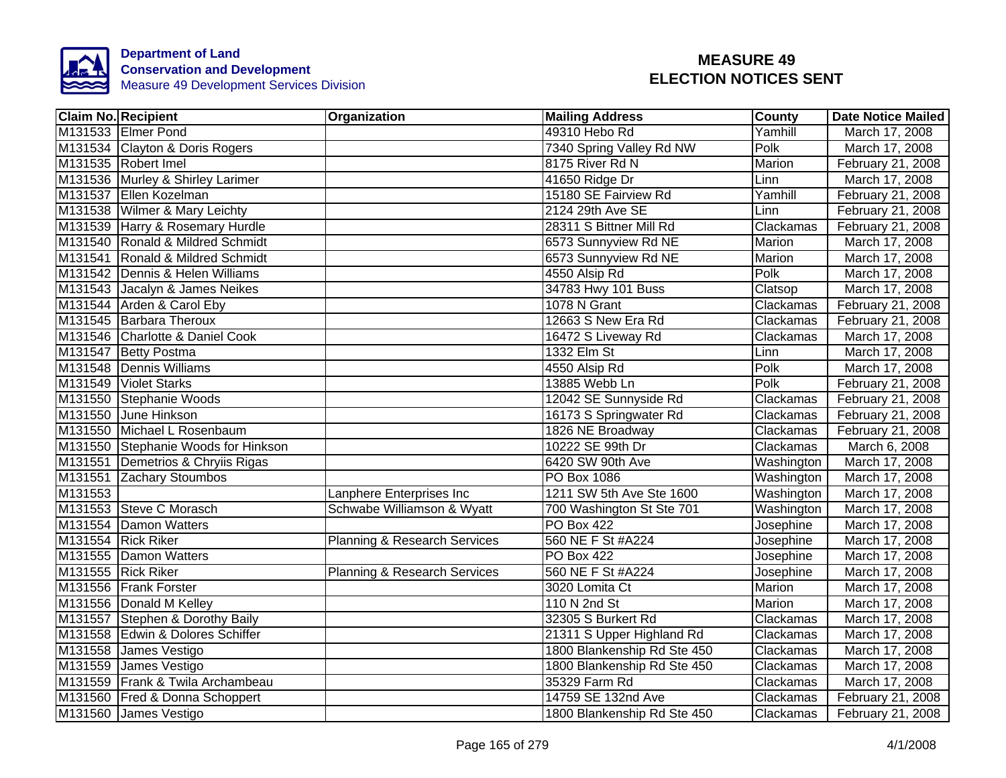

|         | <b>Claim No. Recipient</b>          | Organization                            | <b>Mailing Address</b>      | County     | <b>Date Notice Mailed</b> |
|---------|-------------------------------------|-----------------------------------------|-----------------------------|------------|---------------------------|
|         | M131533 Elmer Pond                  |                                         | 49310 Hebo Rd               | Yamhill    | March 17, 2008            |
|         | M131534 Clayton & Doris Rogers      |                                         | 7340 Spring Valley Rd NW    | Polk       | March 17, 2008            |
|         | M131535 Robert Imel                 |                                         | 8175 River Rd N             | Marion     | February 21, 2008         |
|         | M131536 Murley & Shirley Larimer    |                                         | 41650 Ridge Dr              | Linn       | March 17, 2008            |
|         | M131537 Ellen Kozelman              |                                         | 15180 SE Fairview Rd        | Yamhill    | February 21, 2008         |
|         | M131538 Wilmer & Mary Leichty       |                                         | 2124 29th Ave SE            | Linn       | February 21, 2008         |
|         | M131539 Harry & Rosemary Hurdle     |                                         | 28311 S Bittner Mill Rd     | Clackamas  | February 21, 2008         |
|         | M131540 Ronald & Mildred Schmidt    |                                         | 6573 Sunnyview Rd NE        | Marion     | March 17, 2008            |
|         | M131541 Ronald & Mildred Schmidt    |                                         | 6573 Sunnyview Rd NE        | Marion     | March 17, 2008            |
|         | M131542 Dennis & Helen Williams     |                                         | 4550 Alsip Rd               | Polk       | March 17, 2008            |
|         | M131543 Jacalyn & James Neikes      |                                         | 34783 Hwy 101 Buss          | Clatsop    | March 17, 2008            |
|         | M131544 Arden & Carol Eby           |                                         | 1078 N Grant                | Clackamas  | February 21, 2008         |
|         | M131545 Barbara Theroux             |                                         | 12663 S New Era Rd          | Clackamas  | February 21, 2008         |
|         | M131546 Charlotte & Daniel Cook     |                                         | 16472 S Liveway Rd          | Clackamas  | March 17, 2008            |
|         | M131547 Betty Postma                |                                         | 1332 Elm St                 | Linn       | March 17, 2008            |
|         | M131548 Dennis Williams             |                                         | 4550 Alsip Rd               | Polk       | March 17, 2008            |
|         | M131549 Violet Starks               |                                         | 13885 Webb Ln               | Polk       | February 21, 2008         |
|         | M131550 Stephanie Woods             |                                         | 12042 SE Sunnyside Rd       | Clackamas  | February 21, 2008         |
|         | M131550 June Hinkson                |                                         | 16173 S Springwater Rd      | Clackamas  | February 21, 2008         |
|         | M131550 Michael L Rosenbaum         |                                         | 1826 NE Broadway            | Clackamas  | February 21, 2008         |
|         | M131550 Stephanie Woods for Hinkson |                                         | 10222 SE 99th Dr            | Clackamas  | March 6, 2008             |
|         | M131551 Demetrios & Chryiis Rigas   |                                         | 6420 SW 90th Ave            | Washington | March 17, 2008            |
|         | M131551 Zachary Stoumbos            |                                         | <b>PO Box 1086</b>          | Washington | March 17, 2008            |
| M131553 |                                     | Lanphere Enterprises Inc                | 1211 SW 5th Ave Ste 1600    | Washington | March 17, 2008            |
|         | M131553 Steve C Morasch             | Schwabe Williamson & Wyatt              | 700 Washington St Ste 701   | Washington | March 17, 2008            |
|         | M131554 Damon Watters               |                                         | <b>PO Box 422</b>           | Josephine  | March 17, 2008            |
|         | M131554 Rick Riker                  | Planning & Research Services            | 560 NE F St #A224           | Josephine  | March 17, 2008            |
|         | M131555 Damon Watters               |                                         | <b>PO Box 422</b>           | Josephine  | March 17, 2008            |
|         | M131555 Rick Riker                  | <b>Planning &amp; Research Services</b> | 560 NE F St #A224           | Josephine  | March 17, 2008            |
|         | M131556 Frank Forster               |                                         | 3020 Lomita Ct              | Marion     | March 17, 2008            |
|         | M131556 Donald M Kelley             |                                         | 110 N 2nd St                | Marion     | March 17, 2008            |
|         | M131557 Stephen & Dorothy Baily     |                                         | 32305 S Burkert Rd          | Clackamas  | March 17, 2008            |
|         | M131558 Edwin & Dolores Schiffer    |                                         | 21311 S Upper Highland Rd   | Clackamas  | March 17, 2008            |
|         | M131558 James Vestigo               |                                         | 1800 Blankenship Rd Ste 450 | Clackamas  | March 17, 2008            |
|         | M131559 James Vestigo               |                                         | 1800 Blankenship Rd Ste 450 | Clackamas  | March 17, 2008            |
|         | M131559 Frank & Twila Archambeau    |                                         | 35329 Farm Rd               | Clackamas  | March 17, 2008            |
|         | M131560 Fred & Donna Schoppert      |                                         | 14759 SE 132nd Ave          | Clackamas  | February 21, 2008         |
|         | M131560 James Vestigo               |                                         | 1800 Blankenship Rd Ste 450 | Clackamas  | February 21, 2008         |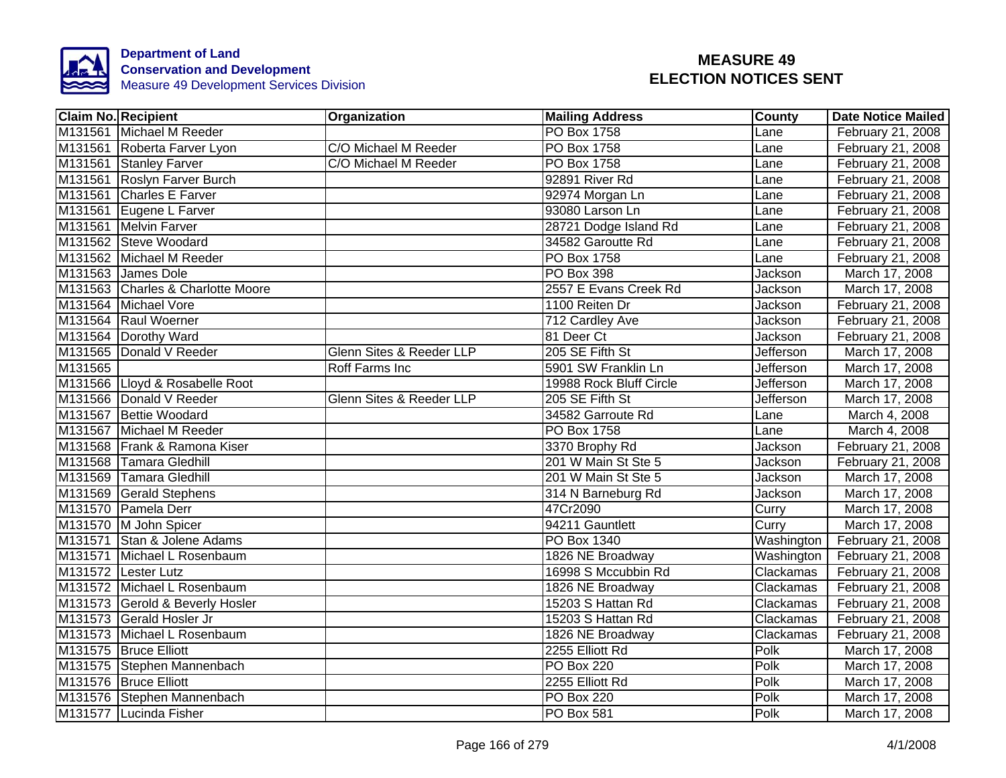

|         | <b>Claim No. Recipient</b>        | Organization             | <b>Mailing Address</b>  | County           | <b>Date Notice Mailed</b> |
|---------|-----------------------------------|--------------------------|-------------------------|------------------|---------------------------|
|         | M131561 Michael M Reeder          |                          | PO Box 1758             | Lane             | February 21, 2008         |
|         | M131561 Roberta Farver Lyon       | C/O Michael M Reeder     | <b>PO Box 1758</b>      | Lane             | February 21, 2008         |
|         | M131561 Stanley Farver            | C/O Michael M Reeder     | PO Box 1758             | Lane             | February 21, 2008         |
|         | M131561 Roslyn Farver Burch       |                          | 92891 River Rd          | Lane             | February 21, 2008         |
|         | M131561 Charles E Farver          |                          | 92974 Morgan Ln         | Lane             | February 21, 2008         |
|         | M131561 Eugene L Farver           |                          | 93080 Larson Ln         | Lane             | February 21, 2008         |
|         | M131561 Melvin Farver             |                          | 28721 Dodge Island Rd   | Lane             | February 21, 2008         |
|         | M131562 Steve Woodard             |                          | 34582 Garoutte Rd       | Lane             | February 21, 2008         |
|         | M131562 Michael M Reeder          |                          | PO Box 1758             | Lane             | February 21, 2008         |
|         | M131563 James Dole                |                          | PO Box 398              | Jackson          | March 17, 2008            |
|         | M131563 Charles & Charlotte Moore |                          | 2557 E Evans Creek Rd   | Jackson          | March 17, 2008            |
|         | M131564 Michael Vore              |                          | 1100 Reiten Dr          | Jackson          | February 21, 2008         |
|         | M131564 Raul Woerner              |                          | 712 Cardley Ave         | Jackson          | February 21, 2008         |
|         | M131564 Dorothy Ward              |                          | 81 Deer Ct              | Jackson          | February 21, 2008         |
|         | M131565 Donald V Reeder           | Glenn Sites & Reeder LLP | 205 SE Fifth St         | Jefferson        | March 17, 2008            |
| M131565 |                                   | <b>Roff Farms Inc</b>    | 5901 SW Franklin Ln     | <b>Jefferson</b> | March 17, 2008            |
|         | M131566 Lloyd & Rosabelle Root    |                          | 19988 Rock Bluff Circle | Jefferson        | March 17, 2008            |
|         | M131566 Donald V Reeder           | Glenn Sites & Reeder LLP | 205 SE Fifth St         | <b>Jefferson</b> | March 17, 2008            |
|         | M131567 Bettie Woodard            |                          | 34582 Garroute Rd       | Lane             | March 4, 2008             |
|         | M131567 Michael M Reeder          |                          | <b>PO Box 1758</b>      | Lane             | March 4, 2008             |
|         | M131568 Frank & Ramona Kiser      |                          | 3370 Brophy Rd          | Jackson          | February 21, 2008         |
|         | M131568 Tamara Gledhill           |                          | 201 W Main St Ste 5     | Jackson          | February 21, 2008         |
|         | M131569 Tamara Gledhill           |                          | 201 W Main St Ste 5     | <b>Jackson</b>   | March 17, 2008            |
|         | M131569 Gerald Stephens           |                          | 314 N Barneburg Rd      | Jackson          | March 17, 2008            |
|         | M131570 Pamela Derr               |                          | 47Cr2090                | Curry            | March 17, 2008            |
|         | M131570 M John Spicer             |                          | 94211 Gauntlett         | Curry            | March 17, 2008            |
|         | M131571 Stan & Jolene Adams       |                          | PO Box 1340             | Washington       | February 21, 2008         |
|         | M131571 Michael L Rosenbaum       |                          | 1826 NE Broadway        | Washington       | February 21, 2008         |
|         | M131572 Lester Lutz               |                          | 16998 S Mccubbin Rd     | Clackamas        | February 21, 2008         |
|         | M131572 Michael L Rosenbaum       |                          | 1826 NE Broadway        | Clackamas        | February 21, 2008         |
|         | M131573 Gerold & Beverly Hosler   |                          | 15203 S Hattan Rd       | Clackamas        | February 21, 2008         |
|         | M131573 Gerald Hosler Jr          |                          | 15203 S Hattan Rd       | Clackamas        | February 21, 2008         |
|         | M131573 Michael L Rosenbaum       |                          | 1826 NE Broadway        | Clackamas        | February 21, 2008         |
|         | M131575 Bruce Elliott             |                          | 2255 Elliott Rd         | Polk             | March 17, 2008            |
|         | M131575 Stephen Mannenbach        |                          | <b>PO Box 220</b>       | Polk             | March 17, 2008            |
|         | M131576 Bruce Elliott             |                          | 2255 Elliott Rd         | Polk             | March 17, 2008            |
|         | M131576 Stephen Mannenbach        |                          | PO Box 220              | Polk             | March 17, 2008            |
|         | M131577 Lucinda Fisher            |                          | PO Box 581              | Polk             | March 17, 2008            |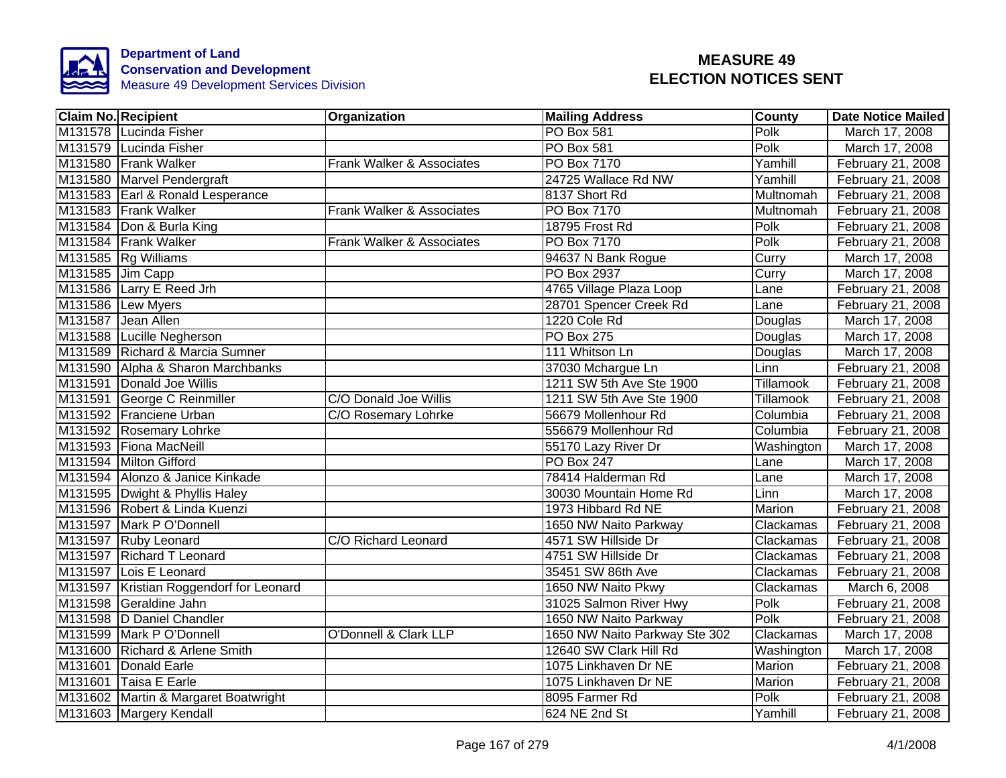

|                  | <b>Claim No. Recipient</b>              | Organization              | <b>Mailing Address</b>        | <b>County</b>    | <b>Date Notice Mailed</b> |
|------------------|-----------------------------------------|---------------------------|-------------------------------|------------------|---------------------------|
|                  | M131578 Lucinda Fisher                  |                           | <b>PO Box 581</b>             | Polk             | March 17, 2008            |
|                  | M131579 Lucinda Fisher                  |                           | <b>PO Box 581</b>             | <b>Polk</b>      | March 17, 2008            |
|                  | M131580 Frank Walker                    | Frank Walker & Associates | <b>PO Box 7170</b>            | Yamhill          | February 21, 2008         |
|                  | M131580 Marvel Pendergraft              |                           | 24725 Wallace Rd NW           | Yamhill          | February 21, 2008         |
|                  | M131583 Earl & Ronald Lesperance        |                           | 8137 Short Rd                 | Multnomah        | February 21, 2008         |
|                  | M131583 Frank Walker                    | Frank Walker & Associates | PO Box 7170                   | Multnomah        | February 21, 2008         |
|                  | M131584 Don & Burla King                |                           | 18795 Frost Rd                | Polk             | February 21, 2008         |
|                  | M131584 Frank Walker                    | Frank Walker & Associates | PO Box 7170                   | Polk             | February 21, 2008         |
|                  | M131585 Rg Williams                     |                           | 94637 N Bank Rogue            | Curry            | March 17, 2008            |
| M131585 Jim Capp |                                         |                           | PO Box 2937                   | Curry            | March 17, 2008            |
|                  | M131586 Larry E Reed Jrh                |                           | 4765 Village Plaza Loop       | Lane             | February 21, 2008         |
|                  | M131586 Lew Myers                       |                           | 28701 Spencer Creek Rd        | Lane             | February 21, 2008         |
|                  | M131587 Jean Allen                      |                           | 1220 Cole Rd                  | Douglas          | March 17, 2008            |
|                  | M131588 Lucille Negherson               |                           | PO Box 275                    | Douglas          | March 17, 2008            |
|                  | M131589 Richard & Marcia Sumner         |                           | 111 Whitson Ln                | Douglas          | March 17, 2008            |
|                  | M131590 Alpha & Sharon Marchbanks       |                           | 37030 Mchargue Ln             | Linn             | February 21, 2008         |
|                  | M131591 Donald Joe Willis               |                           | 1211 SW 5th Ave Ste 1900      | <b>Tillamook</b> | February 21, 2008         |
|                  | M131591 George C Reinmiller             | C/O Donald Joe Willis     | 1211 SW 5th Ave Ste 1900      | <b>Tillamook</b> | February 21, 2008         |
|                  | M131592 Franciene Urban                 | C/O Rosemary Lohrke       | 56679 Mollenhour Rd           | Columbia         | February 21, 2008         |
|                  | M131592 Rosemary Lohrke                 |                           | 556679 Mollenhour Rd          | Columbia         | February 21, 2008         |
|                  | M131593 Fiona MacNeill                  |                           | 55170 Lazy River Dr           | Washington       | March 17, 2008            |
|                  | M131594 Milton Gifford                  |                           | <b>PO Box 247</b>             | Lane             | March 17, 2008            |
|                  | M131594 Alonzo & Janice Kinkade         |                           | 78414 Halderman Rd            | Lane             | March 17, 2008            |
|                  | M131595 Dwight & Phyllis Haley          |                           | 30030 Mountain Home Rd        | Linn             | March 17, 2008            |
|                  | M131596 Robert & Linda Kuenzi           |                           | 1973 Hibbard Rd NE            | Marion           | February 21, 2008         |
|                  | M131597 Mark P O'Donnell                |                           | 1650 NW Naito Parkway         | Clackamas        | February 21, 2008         |
|                  | M131597 Ruby Leonard                    | C/O Richard Leonard       | 4571 SW Hillside Dr           | Clackamas        | February 21, 2008         |
|                  | M131597 Richard T Leonard               |                           | 4751 SW Hillside Dr           | Clackamas        | February 21, 2008         |
|                  | M131597 Lois E Leonard                  |                           | 35451 SW 86th Ave             | Clackamas        | February 21, 2008         |
|                  | M131597 Kristian Roggendorf for Leonard |                           | 1650 NW Naito Pkwy            | Clackamas        | March 6, 2008             |
|                  | M131598 Geraldine Jahn                  |                           | 31025 Salmon River Hwy        | Polk             | February 21, 2008         |
|                  | M131598 D Daniel Chandler               |                           | 1650 NW Naito Parkway         | Polk             | February 21, 2008         |
|                  | M131599 Mark P O'Donnell                | O'Donnell & Clark LLP     | 1650 NW Naito Parkway Ste 302 | Clackamas        | March 17, 2008            |
|                  | M131600 Richard & Arlene Smith          |                           | 12640 SW Clark Hill Rd        | Washington       | March 17, 2008            |
|                  | M131601 Donald Earle                    |                           | 1075 Linkhaven Dr NE          | Marion           | February 21, 2008         |
|                  | M131601 Taisa E Earle                   |                           | 1075 Linkhaven Dr NE          | Marion           | February 21, 2008         |
|                  | M131602 Martin & Margaret Boatwright    |                           | 8095 Farmer Rd                | Polk             | February 21, 2008         |
|                  | M131603 Margery Kendall                 |                           | 624 NE 2nd St                 | Yamhill          | February 21, 2008         |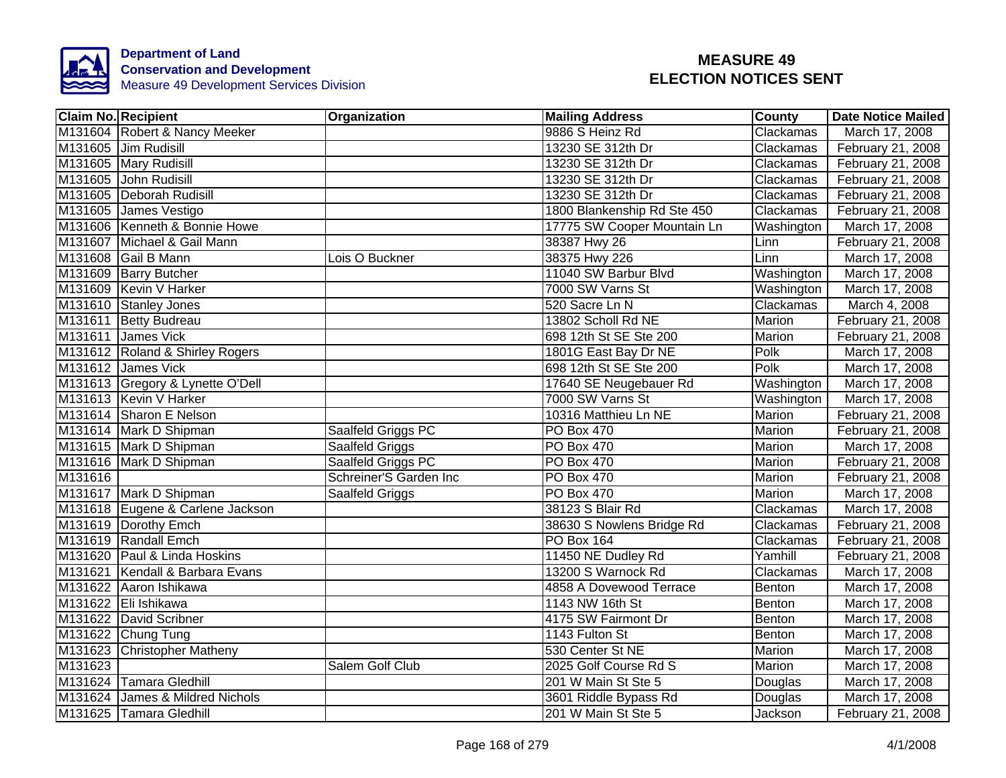

|         | <b>Claim No. Recipient</b>       | Organization           | <b>Mailing Address</b>      | <b>County</b> | Date Notice Mailed |
|---------|----------------------------------|------------------------|-----------------------------|---------------|--------------------|
|         | M131604 Robert & Nancy Meeker    |                        | 9886 S Heinz Rd             | Clackamas     | March 17, 2008     |
|         | M131605 Jim Rudisill             |                        | 13230 SE 312th Dr           | Clackamas     | February 21, 2008  |
|         | M131605 Mary Rudisill            |                        | 13230 SE 312th Dr           | Clackamas     | February 21, 2008  |
|         | M131605 John Rudisill            |                        | 13230 SE 312th Dr           | Clackamas     | February 21, 2008  |
|         | M131605 Deborah Rudisill         |                        | 13230 SE 312th Dr           | Clackamas     | February 21, 2008  |
|         | M131605 James Vestigo            |                        | 1800 Blankenship Rd Ste 450 | Clackamas     | February 21, 2008  |
|         | M131606 Kenneth & Bonnie Howe    |                        | 17775 SW Cooper Mountain Ln | Washington    | March 17, 2008     |
|         | M131607 Michael & Gail Mann      |                        | 38387 Hwy 26                | Linn          | February 21, 2008  |
|         | M131608 Gail B Mann              | Lois O Buckner         | 38375 Hwy 226               | Linn          | March 17, 2008     |
|         | M131609 Barry Butcher            |                        | 11040 SW Barbur Blvd        | Washington    | March 17, 2008     |
|         | M131609 Kevin V Harker           |                        | 7000 SW Varns St            | Washington    | March 17, 2008     |
|         | M131610 Stanley Jones            |                        | 520 Sacre Ln N              | Clackamas     | March 4, 2008      |
|         | M131611 Betty Budreau            |                        | 13802 Scholl Rd NE          | Marion        | February 21, 2008  |
|         | M131611 James Vick               |                        | 698 12th St SE Ste 200      | Marion        | February 21, 2008  |
|         | M131612 Roland & Shirley Rogers  |                        | 1801G East Bay Dr NE        | <b>Polk</b>   | March 17, 2008     |
|         | M131612 James Vick               |                        | 698 12th St SE Ste 200      | Polk          | March 17, 2008     |
|         | M131613 Gregory & Lynette O'Dell |                        | 17640 SE Neugebauer Rd      | Washington    | March 17, 2008     |
|         | M131613 Kevin V Harker           |                        | 7000 SW Varns St            | Washington    | March 17, 2008     |
|         | M131614 Sharon E Nelson          |                        | 10316 Matthieu Ln NE        | Marion        | February 21, 2008  |
|         | M131614 Mark D Shipman           | Saalfeld Griggs PC     | <b>PO Box 470</b>           | Marion        | February 21, 2008  |
|         | M131615 Mark D Shipman           | Saalfeld Griggs        | <b>PO Box 470</b>           | Marion        | March 17, 2008     |
|         | M131616 Mark D Shipman           | Saalfeld Griggs PC     | <b>PO Box 470</b>           | Marion        | February 21, 2008  |
| M131616 |                                  | Schreiner'S Garden Inc | <b>PO Box 470</b>           | <b>Marion</b> | February 21, 2008  |
|         | M131617 Mark D Shipman           | Saalfeld Griggs        | <b>PO Box 470</b>           | <b>Marion</b> | March 17, 2008     |
|         | M131618 Eugene & Carlene Jackson |                        | 38123 S Blair Rd            | Clackamas     | March 17, 2008     |
|         | M131619 Dorothy Emch             |                        | 38630 S Nowlens Bridge Rd   | Clackamas     | February 21, 2008  |
|         | M131619 Randall Emch             |                        | <b>PO Box 164</b>           | Clackamas     | February 21, 2008  |
|         | M131620 Paul & Linda Hoskins     |                        | 11450 NE Dudley Rd          | Yamhill       | February 21, 2008  |
|         | M131621 Kendall & Barbara Evans  |                        | 13200 S Warnock Rd          | Clackamas     | March 17, 2008     |
|         | M131622 Aaron Ishikawa           |                        | 4858 A Dovewood Terrace     | Benton        | March 17, 2008     |
|         | M131622 Eli Ishikawa             |                        | 1143 NW 16th St             | Benton        | March 17, 2008     |
|         | M131622 David Scribner           |                        | 4175 SW Fairmont Dr         | Benton        | March 17, 2008     |
|         | M131622 Chung Tung               |                        | 1143 Fulton St              | Benton        | March 17, 2008     |
|         | M131623 Christopher Matheny      |                        | 530 Center St NE            | Marion        | March 17, 2008     |
| M131623 |                                  | Salem Golf Club        | 2025 Golf Course Rd S       | Marion        | March 17, 2008     |
|         | M131624 Tamara Gledhill          |                        | 201 W Main St Ste 5         | Douglas       | March 17, 2008     |
|         | M131624 James & Mildred Nichols  |                        | 3601 Riddle Bypass Rd       | Douglas       | March 17, 2008     |
|         | M131625 Tamara Gledhill          |                        | 201 W Main St Ste 5         | Jackson       | February 21, 2008  |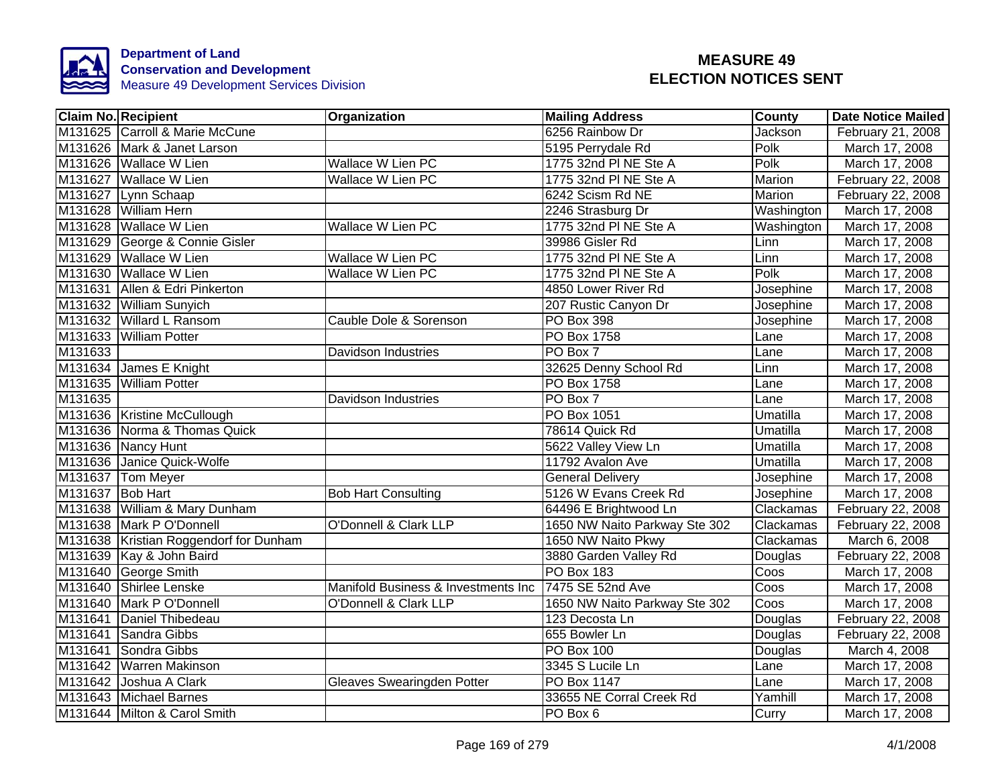

| <b>Claim No. Recipient</b>             | Organization                        | <b>Mailing Address</b>        | County         | <b>Date Notice Mailed</b> |
|----------------------------------------|-------------------------------------|-------------------------------|----------------|---------------------------|
| M131625 Carroll & Marie McCune         |                                     | 6256 Rainbow Dr               | <b>Jackson</b> | February 21, 2008         |
| M131626 Mark & Janet Larson            |                                     | 5195 Perrydale Rd             | Polk           | March 17, 2008            |
| M131626 Wallace W Lien                 | <b>Wallace W Lien PC</b>            | 1775 32nd PI NE Ste A         | Polk           | March 17, 2008            |
| M131627 Wallace W Lien                 | Wallace W Lien PC                   | 1775 32nd PI NE Ste A         | Marion         | February 22, 2008         |
| M131627 Lynn Schaap                    |                                     | 6242 Scism Rd NE              | Marion         | February 22, 2008         |
| M131628 William Hern                   |                                     | 2246 Strasburg Dr             | Washington     | March 17, 2008            |
| M131628 Wallace W Lien                 | Wallace W Lien PC                   | 1775 32nd PI NE Ste A         | Washington     | March 17, 2008            |
| M131629 George & Connie Gisler         |                                     | 39986 Gisler Rd               | Linn           | March 17, 2008            |
| M131629 Wallace W Lien                 | Wallace W Lien PC                   | 1775 32nd PI NE Ste A         | Linn           | March 17, 2008            |
| M131630 Wallace W Lien                 | Wallace W Lien PC                   | 1775 32nd PI NE Ste A         | Polk           | March 17, 2008            |
| M131631 Allen & Edri Pinkerton         |                                     | 4850 Lower River Rd           | Josephine      | March 17, 2008            |
| M131632 William Sunyich                |                                     | 207 Rustic Canyon Dr          | Josephine      | March 17, 2008            |
| M131632 Willard L Ransom               | Cauble Dole & Sorenson              | PO Box 398                    | Josephine      | March 17, 2008            |
| M131633 William Potter                 |                                     | PO Box 1758                   | Lane           | March 17, 2008            |
| M131633                                | <b>Davidson Industries</b>          | PO Box 7                      | Lane           | March 17, 2008            |
| M131634 James E Knight                 |                                     | 32625 Denny School Rd         | Linn           | March 17, 2008            |
| M131635 William Potter                 |                                     | <b>PO Box 1758</b>            | Lane           | March 17, 2008            |
| M131635                                | Davidson Industries                 | PO Box 7                      | Lane           | March 17, 2008            |
| M131636 Kristine McCullough            |                                     | <b>PO Box 1051</b>            | Umatilla       | March 17, 2008            |
| M131636 Norma & Thomas Quick           |                                     | 78614 Quick Rd                | Umatilla       | March 17, 2008            |
| M131636 Nancy Hunt                     |                                     | 5622 Valley View Ln           | Umatilla       | March 17, 2008            |
| M131636 Janice Quick-Wolfe             |                                     | 11792 Avalon Ave              | Umatilla       | March 17, 2008            |
| M131637 Tom Meyer                      |                                     | <b>General Delivery</b>       | Josephine      | March 17, 2008            |
| M131637 Bob Hart                       | <b>Bob Hart Consulting</b>          | 5126 W Evans Creek Rd         | Josephine      | March 17, 2008            |
| M131638 William & Mary Dunham          |                                     | 64496 E Brightwood Ln         | Clackamas      | February 22, 2008         |
| M131638 Mark P O'Donnell               | <b>O'Donnell &amp; Clark LLP</b>    | 1650 NW Naito Parkway Ste 302 | Clackamas      | February 22, 2008         |
| M131638 Kristian Roggendorf for Dunham |                                     | 1650 NW Naito Pkwy            | Clackamas      | March 6, 2008             |
| M131639 Kay & John Baird               |                                     | 3880 Garden Valley Rd         | Douglas        | February 22, 2008         |
| M131640 George Smith                   |                                     | <b>PO Box 183</b>             | Coos           | March 17, 2008            |
| M131640 Shirlee Lenske                 | Manifold Business & Investments Inc | 7475 SE 52nd Ave              | Coos           | March 17, 2008            |
| M131640 Mark P O'Donnell               | O'Donnell & Clark LLP               | 1650 NW Naito Parkway Ste 302 | Coos           | March 17, 2008            |
| M131641 Daniel Thibedeau               |                                     | 123 Decosta Ln                | Douglas        | February 22, 2008         |
| M131641 Sandra Gibbs                   |                                     | 655 Bowler Ln                 | Douglas        | February 22, 2008         |
| M131641 Sondra Gibbs                   |                                     | PO Box 100                    | Douglas        | March 4, 2008             |
| M131642 Warren Makinson                |                                     | 3345 S Lucile Ln              | Lane           | March 17, 2008            |
| M131642 Joshua A Clark                 | Gleaves Swearingden Potter          | PO Box 1147                   | Lane           | March 17, 2008            |
| M131643 Michael Barnes                 |                                     | 33655 NE Corral Creek Rd      | Yamhill        | March 17, 2008            |
| M131644 Milton & Carol Smith           |                                     | PO Box 6                      | Curry          | March 17, 2008            |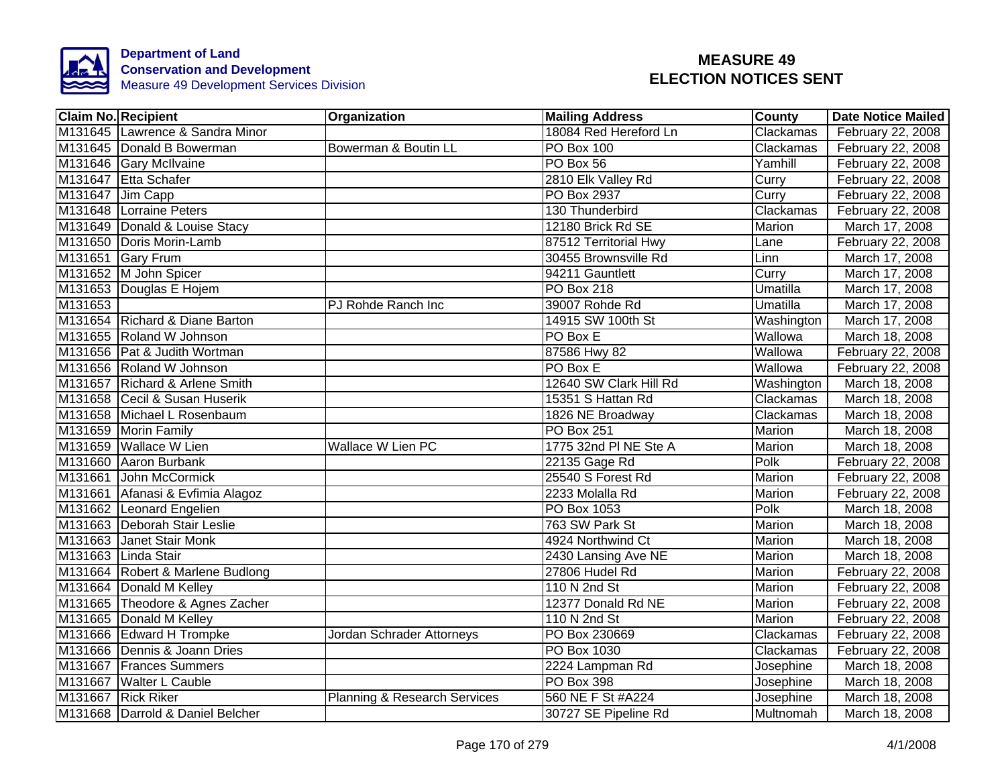

|                  | <b>Claim No. Recipient</b>       | Organization                            | <b>Mailing Address</b> | County        | <b>Date Notice Mailed</b> |
|------------------|----------------------------------|-----------------------------------------|------------------------|---------------|---------------------------|
|                  | M131645 Lawrence & Sandra Minor  |                                         | 18084 Red Hereford Ln  | Clackamas     | February 22, 2008         |
|                  | M131645 Donald B Bowerman        | Bowerman & Boutin LL                    | <b>PO Box 100</b>      | Clackamas     | February 22, 2008         |
|                  | M131646 Gary McIlvaine           |                                         | PO Box 56              | Yamhill       | February 22, 2008         |
|                  | M131647 Etta Schafer             |                                         | 2810 Elk Valley Rd     | Curry         | February 22, 2008         |
| M131647 Jim Capp |                                  |                                         | PO Box 2937            | Curry         | February 22, 2008         |
|                  | M131648 Lorraine Peters          |                                         | 130 Thunderbird        | Clackamas     | February 22, 2008         |
|                  | M131649 Donald & Louise Stacy    |                                         | 12180 Brick Rd SE      | Marion        | March 17, 2008            |
|                  | M131650 Doris Morin-Lamb         |                                         | 87512 Territorial Hwy  | Lane          | February 22, 2008         |
|                  | M131651 Gary Frum                |                                         | 30455 Brownsville Rd   | Linn          | March 17, 2008            |
|                  | M131652 M John Spicer            |                                         | 94211 Gauntlett        | Curry         | March 17, 2008            |
|                  | M131653 Douglas E Hojem          |                                         | PO Box 218             | Umatilla      | March 17, 2008            |
| M131653          |                                  | PJ Rohde Ranch Inc                      | 39007 Rohde Rd         | Umatilla      | March 17, 2008            |
|                  | M131654 Richard & Diane Barton   |                                         | 14915 SW 100th St      | Washington    | March 17, 2008            |
|                  | M131655 Roland W Johnson         |                                         | $PO$ Box E             | Wallowa       | March 18, 2008            |
|                  | M131656 Pat & Judith Wortman     |                                         | 87586 Hwy 82           | Wallowa       | February 22, 2008         |
|                  | M131656 Roland W Johnson         |                                         | PO Box E               | Wallowa       | February 22, 2008         |
|                  | M131657 Richard & Arlene Smith   |                                         | 12640 SW Clark Hill Rd | Washington    | March 18, 2008            |
|                  | M131658 Cecil & Susan Huserik    |                                         | 15351 S Hattan Rd      | Clackamas     | March 18, 2008            |
|                  | M131658 Michael L Rosenbaum      |                                         | 1826 NE Broadway       | Clackamas     | March 18, 2008            |
|                  | M131659 Morin Family             |                                         | <b>PO Box 251</b>      | <b>Marion</b> | March 18, 2008            |
|                  | M131659 Wallace W Lien           | <b>Wallace W Lien PC</b>                | 1775 32nd PI NE Ste A  | <b>Marion</b> | March 18, 2008            |
|                  | M131660 Aaron Burbank            |                                         | 22135 Gage Rd          | Polk          | February 22, 2008         |
|                  | M131661 John McCormick           |                                         | 25540 S Forest Rd      | Marion        | February 22, 2008         |
|                  | M131661 Afanasi & Evfimia Alagoz |                                         | 2233 Molalla Rd        | Marion        | February 22, 2008         |
|                  | M131662 Leonard Engelien         |                                         | PO Box 1053            | Polk          | March 18, 2008            |
|                  | M131663 Deborah Stair Leslie     |                                         | 763 SW Park St         | Marion        | March 18, 2008            |
|                  | M131663 Janet Stair Monk         |                                         | 4924 Northwind Ct      | Marion        | March 18, 2008            |
|                  | M131663 Linda Stair              |                                         | 2430 Lansing Ave NE    | Marion        | March 18, 2008            |
|                  | M131664 Robert & Marlene Budlong |                                         | 27806 Hudel Rd         | Marion        | February 22, 2008         |
|                  | M131664 Donald M Kelley          |                                         | 110 N 2nd St           | Marion        | February 22, 2008         |
|                  | M131665 Theodore & Agnes Zacher  |                                         | 12377 Donald Rd NE     | Marion        | February 22, 2008         |
|                  | M131665 Donald M Kelley          |                                         | 110 N 2nd St           | Marion        | February 22, 2008         |
|                  | M131666 Edward H Trompke         | Jordan Schrader Attorneys               | PO Box 230669          | Clackamas     | February 22, 2008         |
|                  | M131666 Dennis & Joann Dries     |                                         | PO Box 1030            | Clackamas     | February 22, 2008         |
|                  | M131667 Frances Summers          |                                         | 2224 Lampman Rd        | Josephine     | March 18, 2008            |
|                  | M131667 Walter L Cauble          |                                         | PO Box 398             | Josephine     | March 18, 2008            |
|                  | M131667 Rick Riker               | <b>Planning &amp; Research Services</b> | 560 NE F St #A224      | Josephine     | March 18, 2008            |
|                  | M131668 Darrold & Daniel Belcher |                                         | 30727 SE Pipeline Rd   | Multnomah     | March 18, 2008            |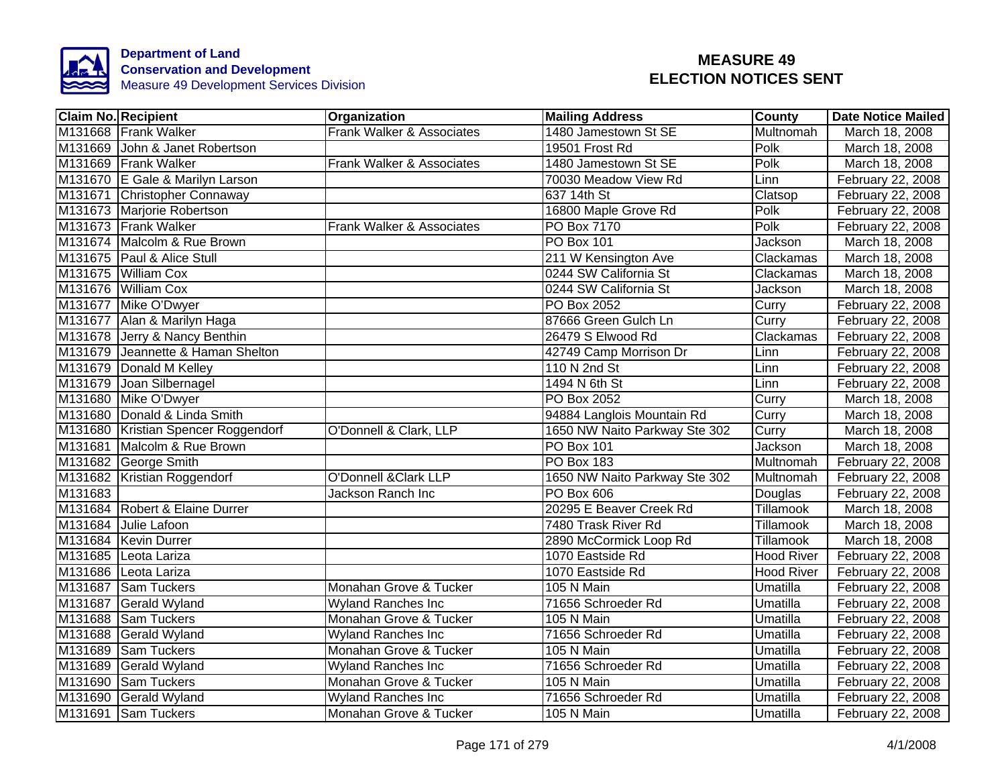

| <b>Claim No. Recipient</b> |                                     | Organization                    | <b>Mailing Address</b>        | County            | <b>Date Notice Mailed</b> |
|----------------------------|-------------------------------------|---------------------------------|-------------------------------|-------------------|---------------------------|
| M131668 Frank Walker       |                                     | Frank Walker & Associates       | 1480 Jamestown St SE          | Multnomah         | March 18, 2008            |
|                            | M131669 John & Janet Robertson      |                                 | 19501 Frost Rd                | Polk              | March 18, 2008            |
| M131669 Frank Walker       |                                     | Frank Walker & Associates       | 1480 Jamestown St SE          | Polk              | March 18, 2008            |
|                            | M131670 E Gale & Marilyn Larson     |                                 | 70030 Meadow View Rd          | Linn              | February 22, 2008         |
|                            | M131671 Christopher Connaway        |                                 | 637 14th St                   | Clatsop           | February 22, 2008         |
| M131673 Marjorie Robertson |                                     |                                 | 16800 Maple Grove Rd          | Polk              | February 22, 2008         |
| M131673 Frank Walker       |                                     | Frank Walker & Associates       | PO Box 7170                   | Polk              | February 22, 2008         |
|                            | M131674 Malcolm & Rue Brown         |                                 | PO Box 101                    | Jackson           | March 18, 2008            |
| M131675 Paul & Alice Stull |                                     |                                 | 211 W Kensington Ave          | Clackamas         | March 18, 2008            |
| M131675 William Cox        |                                     |                                 | 0244 SW California St         | Clackamas         | March 18, 2008            |
| M131676 William Cox        |                                     |                                 | 0244 SW California St         | Jackson           | March 18, 2008            |
| M131677 Mike O'Dwyer       |                                     |                                 | PO Box 2052                   | Curry             | February 22, 2008         |
|                            | M131677 Alan & Marilyn Haga         |                                 | 87666 Green Gulch Ln          | Curry             | February 22, 2008         |
|                            | M131678 Jerry & Nancy Benthin       |                                 | 26479 S Elwood Rd             | Clackamas         | February 22, 2008         |
|                            | M131679 Jeannette & Haman Shelton   |                                 | 42749 Camp Morrison Dr        | Linn              | February 22, 2008         |
| M131679 Donald M Kelley    |                                     |                                 | 110 N 2nd St                  | Linn              | February 22, 2008         |
| M131679 Joan Silbernagel   |                                     |                                 | 1494 N 6th St                 | Linn              | February 22, 2008         |
| M131680 Mike O'Dwyer       |                                     |                                 | <b>PO Box 2052</b>            | Curry             | March 18, 2008            |
|                            | M131680 Donald & Linda Smith        |                                 | 94884 Langlois Mountain Rd    | Curry             | March 18, 2008            |
|                            | M131680 Kristian Spencer Roggendorf | O'Donnell & Clark, LLP          | 1650 NW Naito Parkway Ste 302 | Curry             | March 18, 2008            |
|                            | M131681 Malcolm & Rue Brown         |                                 | <b>PO Box 101</b>             | Jackson           | March 18, 2008            |
| M131682 George Smith       |                                     |                                 | <b>PO Box 183</b>             | Multnomah         | February 22, 2008         |
|                            | M131682 Kristian Roggendorf         | <b>O'Donnell &amp;Clark LLP</b> | 1650 NW Naito Parkway Ste 302 | Multnomah         | February 22, 2008         |
| M131683                    |                                     | Jackson Ranch Inc               | <b>PO Box 606</b>             | Douglas           | February 22, 2008         |
|                            | M131684 Robert & Elaine Durrer      |                                 | 20295 E Beaver Creek Rd       | Tillamook         | March 18, 2008            |
| M131684 Julie Lafoon       |                                     |                                 | 7480 Trask River Rd           | Tillamook         | March 18, 2008            |
| M131684 Kevin Durrer       |                                     |                                 | 2890 McCormick Loop Rd        | Tillamook         | March 18, 2008            |
| M131685 Leota Lariza       |                                     |                                 | 1070 Eastside Rd              | <b>Hood River</b> | February 22, 2008         |
| M131686 Leota Lariza       |                                     |                                 | 1070 Eastside Rd              | <b>Hood River</b> | February 22, 2008         |
| M131687 Sam Tuckers        |                                     | Monahan Grove & Tucker          | 105 N Main                    | Umatilla          | February 22, 2008         |
| M131687 Gerald Wyland      |                                     | <b>Wyland Ranches Inc</b>       | 71656 Schroeder Rd            | Umatilla          | February 22, 2008         |
| M131688 Sam Tuckers        |                                     | Monahan Grove & Tucker          | 105 N Main                    | Umatilla          | February 22, 2008         |
| M131688 Gerald Wyland      |                                     | <b>Wyland Ranches Inc</b>       | 71656 Schroeder Rd            | Umatilla          | February 22, 2008         |
| M131689 Sam Tuckers        |                                     | Monahan Grove & Tucker          | 105 N Main                    | Umatilla          | February 22, 2008         |
| M131689 Gerald Wyland      |                                     | <b>Wyland Ranches Inc</b>       | 71656 Schroeder Rd            | Umatilla          | February 22, 2008         |
| M131690 Sam Tuckers        |                                     | Monahan Grove & Tucker          | 105 N Main                    | Umatilla          | February 22, 2008         |
| M131690 Gerald Wyland      |                                     | <b>Wyland Ranches Inc</b>       | 71656 Schroeder Rd            | Umatilla          | February 22, 2008         |
| M131691 Sam Tuckers        |                                     | Monahan Grove & Tucker          | 105 N Main                    | Umatilla          | February 22, 2008         |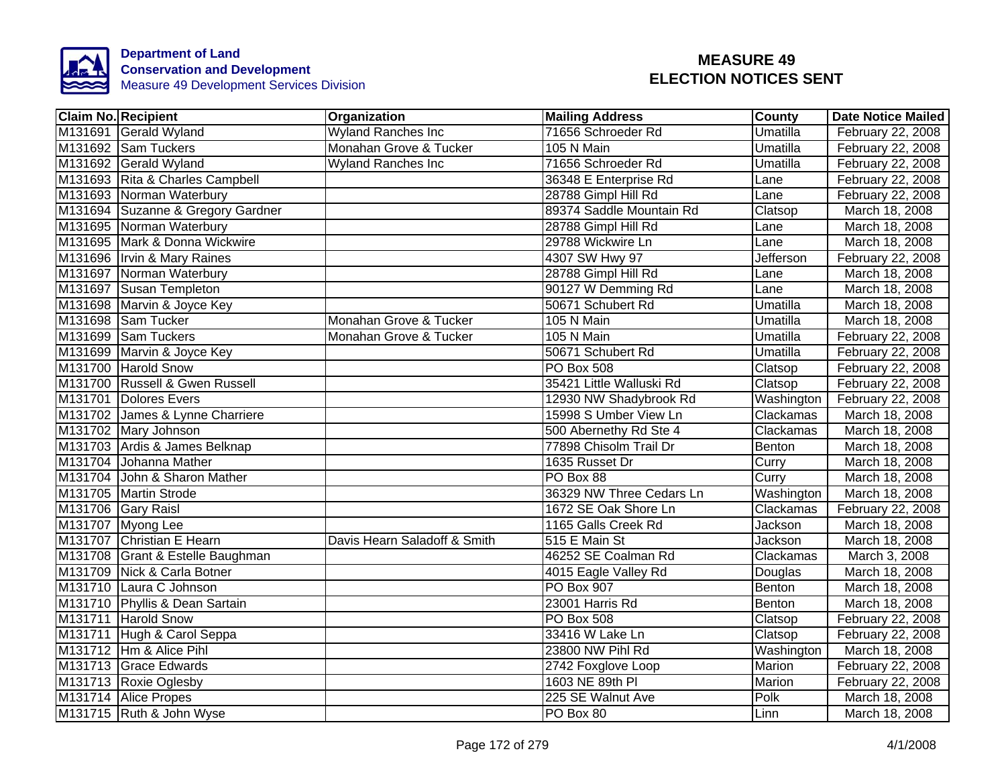

| <b>Claim No. Recipient</b>        | Organization                 | <b>Mailing Address</b>   | <b>County</b> | <b>Date Notice Mailed</b> |
|-----------------------------------|------------------------------|--------------------------|---------------|---------------------------|
| M131691 Gerald Wyland             | <b>Wyland Ranches Inc</b>    | 71656 Schroeder Rd       | Umatilla      | February 22, 2008         |
| M131692 Sam Tuckers               | Monahan Grove & Tucker       | 105 N Main               | Umatilla      | February 22, 2008         |
| M131692 Gerald Wyland             | <b>Wyland Ranches Inc</b>    | 71656 Schroeder Rd       | Umatilla      | February 22, 2008         |
| M131693 Rita & Charles Campbell   |                              | 36348 E Enterprise Rd    | Lane          | February 22, 2008         |
| M131693 Norman Waterbury          |                              | 28788 Gimpl Hill Rd      | Lane          | February 22, 2008         |
| M131694 Suzanne & Gregory Gardner |                              | 89374 Saddle Mountain Rd | Clatsop       | March 18, 2008            |
| M131695 Norman Waterbury          |                              | 28788 Gimpl Hill Rd      | Lane          | March 18, 2008            |
| M131695 Mark & Donna Wickwire     |                              | 29788 Wickwire Ln        | Lane          | March 18, 2008            |
| M131696 Irvin & Mary Raines       |                              | 4307 SW Hwy 97           | Jefferson     | February 22, 2008         |
| M131697 Norman Waterbury          |                              | 28788 Gimpl Hill Rd      | Lane          | March 18, 2008            |
| M131697 Susan Templeton           |                              | 90127 W Demming Rd       | Lane          | March 18, 2008            |
| M131698 Marvin & Joyce Key        |                              | 50671 Schubert Rd        | Umatilla      | March 18, 2008            |
| M131698 Sam Tucker                | Monahan Grove & Tucker       | 105 N Main               | Umatilla      | March 18, 2008            |
| M131699 Sam Tuckers               | Monahan Grove & Tucker       | 105 N Main               | Umatilla      | February 22, 2008         |
| M131699 Marvin & Joyce Key        |                              | 50671 Schubert Rd        | Umatilla      | February 22, 2008         |
| M131700 Harold Snow               |                              | <b>PO Box 508</b>        | Clatsop       | February 22, 2008         |
| M131700 Russell & Gwen Russell    |                              | 35421 Little Walluski Rd | Clatsop       | February 22, 2008         |
| M131701 Dolores Evers             |                              | 12930 NW Shadybrook Rd   | Washington    | February 22, 2008         |
| M131702 James & Lynne Charriere   |                              | 15998 S Umber View Ln    | Clackamas     | March 18, 2008            |
| M131702 Mary Johnson              |                              | 500 Abernethy Rd Ste 4   | Clackamas     | March 18, 2008            |
| M131703 Ardis & James Belknap     |                              | 77898 Chisolm Trail Dr   | Benton        | March 18, 2008            |
| M131704 Johanna Mather            |                              | 1635 Russet Dr           | Curry         | March 18, 2008            |
| M131704 John & Sharon Mather      |                              | PO Box 88                | Curry         | March 18, 2008            |
| M131705 Martin Strode             |                              | 36329 NW Three Cedars Ln | Washington    | March 18, 2008            |
| M131706 Gary Raisl                |                              | 1672 SE Oak Shore Ln     | Clackamas     | February 22, 2008         |
| M131707 Myong Lee                 |                              | 1165 Galls Creek Rd      | Jackson       | March 18, 2008            |
| M131707 Christian E Hearn         | Davis Hearn Saladoff & Smith | 515 E Main St            | Jackson       | March 18, 2008            |
| M131708 Grant & Estelle Baughman  |                              | 46252 SE Coalman Rd      | Clackamas     | March 3, 2008             |
| M131709 Nick & Carla Botner       |                              | 4015 Eagle Valley Rd     | Douglas       | March 18, 2008            |
| M131710 Laura C Johnson           |                              | <b>PO Box 907</b>        | Benton        | March 18, 2008            |
| M131710 Phyllis & Dean Sartain    |                              | 23001 Harris Rd          | Benton        | March 18, 2008            |
| M131711 Harold Snow               |                              | <b>PO Box 508</b>        | Clatsop       | February 22, 2008         |
| M131711 Hugh & Carol Seppa        |                              | 33416 W Lake Ln          | Clatsop       | February 22, 2008         |
| M131712 Hm & Alice Pihl           |                              | 23800 NW Pihl Rd         | Washington    | March 18, 2008            |
| M131713 Grace Edwards             |                              | 2742 Foxglove Loop       | Marion        | February 22, 2008         |
| M131713 Roxie Oglesby             |                              | 1603 NE 89th PI          | Marion        | February 22, 2008         |
| M131714 Alice Propes              |                              | 225 SE Walnut Ave        | Polk          | March 18, 2008            |
| M131715 Ruth & John Wyse          |                              | PO Box 80                | Linn          | March 18, 2008            |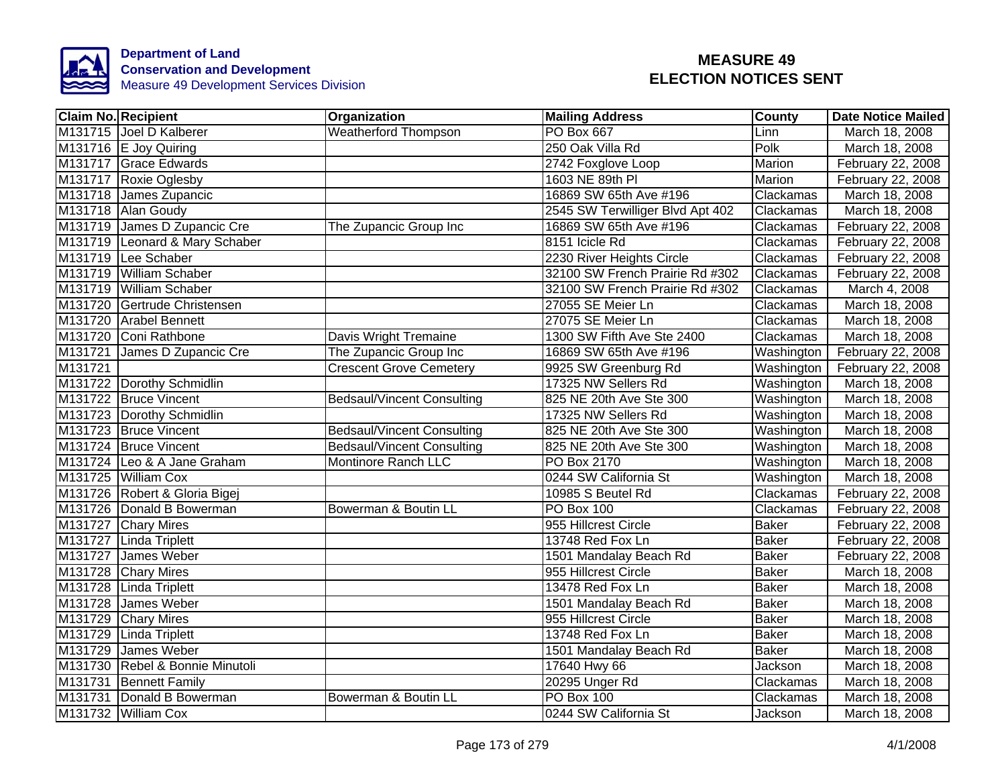

|         | <b>Claim No. Recipient</b>      | Organization                      | <b>Mailing Address</b>           | <b>County</b> | <b>Date Notice Mailed</b> |
|---------|---------------------------------|-----------------------------------|----------------------------------|---------------|---------------------------|
|         | M131715 Joel D Kalberer         | <b>Weatherford Thompson</b>       | <b>PO Box 667</b>                | Linn          | March 18, 2008            |
|         | M131716 E Joy Quiring           |                                   | 250 Oak Villa Rd                 | Polk          | March 18, 2008            |
|         | M131717 Grace Edwards           |                                   | 2742 Foxglove Loop               | <b>Marion</b> | February 22, 2008         |
|         | M131717 Roxie Oglesby           |                                   | 1603 NE 89th PI                  | Marion        | February 22, 2008         |
|         | M131718 James Zupancic          |                                   | 16869 SW 65th Ave #196           | Clackamas     | March 18, 2008            |
|         | M131718 Alan Goudy              |                                   | 2545 SW Terwilliger Blvd Apt 402 | Clackamas     | March 18, 2008            |
|         | M131719 James D Zupancic Cre    | The Zupancic Group Inc            | 16869 SW 65th Ave #196           | Clackamas     | February 22, 2008         |
|         | M131719 Leonard & Mary Schaber  |                                   | 8151 Icicle Rd                   | Clackamas     | February 22, 2008         |
|         | M131719 Lee Schaber             |                                   | 2230 River Heights Circle        | Clackamas     | February 22, 2008         |
|         | M131719 William Schaber         |                                   | 32100 SW French Prairie Rd #302  | Clackamas     | February 22, 2008         |
|         | M131719 William Schaber         |                                   | 32100 SW French Prairie Rd #302  | Clackamas     | March 4, 2008             |
|         | M131720 Gertrude Christensen    |                                   | 27055 SE Meier Ln                | Clackamas     | March 18, 2008            |
| M131720 | <b>Arabel Bennett</b>           |                                   | 27075 SE Meier Ln                | Clackamas     | March 18, 2008            |
|         | M131720 Coni Rathbone           | Davis Wright Tremaine             | 1300 SW Fifth Ave Ste 2400       | Clackamas     | March 18, 2008            |
|         | M131721 James D Zupancic Cre    | The Zupancic Group Inc            | 16869 SW 65th Ave #196           | Washington    | February 22, 2008         |
| M131721 |                                 | <b>Crescent Grove Cemetery</b>    | 9925 SW Greenburg Rd             | Washington    | February 22, 2008         |
|         | M131722 Dorothy Schmidlin       |                                   | 17325 NW Sellers Rd              | Washington    | March 18, 2008            |
|         | M131722 Bruce Vincent           | <b>Bedsaul/Vincent Consulting</b> | 825 NE 20th Ave Ste 300          | Washington    | March 18, 2008            |
|         | M131723 Dorothy Schmidlin       |                                   | 17325 NW Sellers Rd              | Washington    | March 18, 2008            |
|         | M131723 Bruce Vincent           | <b>Bedsaul/Vincent Consulting</b> | 825 NE 20th Ave Ste 300          | Washington    | March 18, 2008            |
|         | M131724 Bruce Vincent           | <b>Bedsaul/Vincent Consulting</b> | 825 NE 20th Ave Ste 300          | Washington    | March 18, 2008            |
|         | M131724 Leo & A Jane Graham     | <b>Montinore Ranch LLC</b>        | <b>PO Box 2170</b>               | Washington    | March 18, 2008            |
|         | M131725 William Cox             |                                   | 0244 SW California St            | Washington    | March 18, 2008            |
|         | M131726 Robert & Gloria Bigej   |                                   | 10985 S Beutel Rd                | Clackamas     | February 22, 2008         |
|         | M131726 Donald B Bowerman       | Bowerman & Boutin LL              | PO Box 100                       | Clackamas     | February 22, 2008         |
|         | M131727 Chary Mires             |                                   | 955 Hillcrest Circle             | <b>Baker</b>  | February 22, 2008         |
|         | M131727 Linda Triplett          |                                   | 13748 Red Fox Ln                 | <b>Baker</b>  | February 22, 2008         |
|         | M131727 James Weber             |                                   | 1501 Mandalay Beach Rd           | <b>Baker</b>  | February 22, 2008         |
|         | M131728 Chary Mires             |                                   | 955 Hillcrest Circle             | <b>Baker</b>  | March 18, 2008            |
|         | M131728 Linda Triplett          |                                   | 13478 Red Fox Ln                 | <b>Baker</b>  | March 18, 2008            |
|         | M131728 James Weber             |                                   | 1501 Mandalay Beach Rd           | <b>Baker</b>  | March 18, 2008            |
|         | M131729 Chary Mires             |                                   | 955 Hillcrest Circle             | <b>Baker</b>  | March 18, 2008            |
|         | M131729 Linda Triplett          |                                   | 13748 Red Fox Ln                 | <b>Baker</b>  | March 18, 2008            |
| M131729 | James Weber                     |                                   | 1501 Mandalay Beach Rd           | <b>Baker</b>  | March 18, 2008            |
|         | M131730 Rebel & Bonnie Minutoli |                                   | 17640 Hwy 66                     | Jackson       | March 18, 2008            |
|         | M131731 Bennett Family          |                                   | 20295 Unger Rd                   | Clackamas     | March 18, 2008            |
|         | M131731 Donald B Bowerman       | Bowerman & Boutin LL              | PO Box 100                       | Clackamas     | March 18, 2008            |
|         | M131732 William Cox             |                                   | 0244 SW California St            | Jackson       | March 18, 2008            |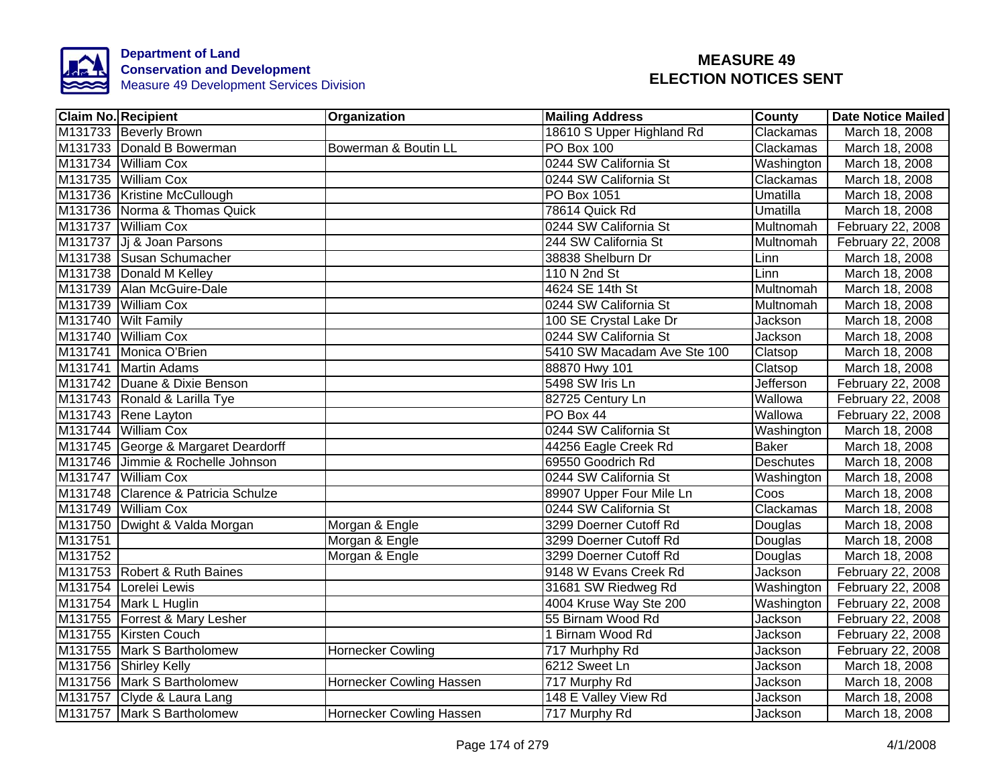

|         | <b>Claim No. Recipient</b>          | Organization             | <b>Mailing Address</b>      | <b>County</b>    | <b>Date Notice Mailed</b> |
|---------|-------------------------------------|--------------------------|-----------------------------|------------------|---------------------------|
|         | M131733 Beverly Brown               |                          | 18610 S Upper Highland Rd   | Clackamas        | March 18, 2008            |
|         | M131733 Donald B Bowerman           | Bowerman & Boutin LL     | <b>PO Box 100</b>           | Clackamas        | March 18, 2008            |
|         | M131734 William Cox                 |                          | 0244 SW California St       | Washington       | March 18, 2008            |
|         | M131735 William Cox                 |                          | 0244 SW California St       | Clackamas        | March 18, 2008            |
|         | M131736 Kristine McCullough         |                          | PO Box 1051                 | Umatilla         | March 18, 2008            |
|         | M131736 Norma & Thomas Quick        |                          | 78614 Quick Rd              | Umatilla         | March 18, 2008            |
|         | M131737 William Cox                 |                          | 0244 SW California St       | Multnomah        | February 22, 2008         |
|         | M131737 Jj & Joan Parsons           |                          | 244 SW California St        | Multnomah        | February 22, 2008         |
|         | M131738 Susan Schumacher            |                          | 38838 Shelburn Dr           | Linn             | March 18, 2008            |
|         | M131738 Donald M Kelley             |                          | 110 N 2nd St                | Linn             | March 18, 2008            |
|         | M131739 Alan McGuire-Dale           |                          | 4624 SE 14th St             | Multnomah        | March 18, 2008            |
|         | M131739 William Cox                 |                          | 0244 SW California St       | Multnomah        | March 18, 2008            |
|         | M131740 Wilt Family                 |                          | 100 SE Crystal Lake Dr      | Jackson          | March 18, 2008            |
|         | M131740 William Cox                 |                          | 0244 SW California St       | Jackson          | March 18, 2008            |
|         | M131741 Monica O'Brien              |                          | 5410 SW Macadam Ave Ste 100 | Clatsop          | March 18, 2008            |
|         | M131741 Martin Adams                |                          | 88870 Hwy 101               | Clatsop          | March 18, 2008            |
|         | M131742 Duane & Dixie Benson        |                          | 5498 SW Iris Ln             | <b>Jefferson</b> | February 22, 2008         |
|         | M131743 Ronald & Larilla Tye        |                          | 82725 Century Ln            | Wallowa          | February 22, 2008         |
|         | M131743 Rene Layton                 |                          | PO Box 44                   | Wallowa          | February 22, 2008         |
|         | M131744 William Cox                 |                          | 0244 SW California St       | Washington       | March 18, 2008            |
|         | M131745 George & Margaret Deardorff |                          | 44256 Eagle Creek Rd        | <b>Baker</b>     | March 18, 2008            |
|         | M131746 Jimmie & Rochelle Johnson   |                          | 69550 Goodrich Rd           | <b>Deschutes</b> | March 18, 2008            |
|         | M131747 William Cox                 |                          | 0244 SW California St       | Washington       | March 18, 2008            |
|         | M131748 Clarence & Patricia Schulze |                          | 89907 Upper Four Mile Ln    | Coos             | March 18, 2008            |
|         | M131749 William Cox                 |                          | 0244 SW California St       | Clackamas        | March 18, 2008            |
|         | M131750 Dwight & Valda Morgan       | Morgan & Engle           | 3299 Doerner Cutoff Rd      | Douglas          | March 18, 2008            |
| M131751 |                                     | Morgan & Engle           | 3299 Doerner Cutoff Rd      | Douglas          | March 18, 2008            |
| M131752 |                                     | Morgan & Engle           | 3299 Doerner Cutoff Rd      | Douglas          | March 18, 2008            |
|         | M131753 Robert & Ruth Baines        |                          | 9148 W Evans Creek Rd       | Jackson          | February 22, 2008         |
|         | M131754 Lorelei Lewis               |                          | 31681 SW Riedweg Rd         | Washington       | February 22, 2008         |
|         | M131754 Mark L Huglin               |                          | 4004 Kruse Way Ste 200      | Washington       | February 22, 2008         |
|         | M131755   Forrest & Mary Lesher     |                          | 55 Birnam Wood Rd           | Jackson          | February 22, 2008         |
|         | M131755 Kirsten Couch               |                          | 1 Birnam Wood Rd            | Jackson          | February 22, 2008         |
|         | M131755 Mark S Bartholomew          | <b>Hornecker Cowling</b> | 717 Murhphy Rd              | Jackson          | February 22, 2008         |
|         | M131756 Shirley Kelly               |                          | 6212 Sweet Ln               | Jackson          | March 18, 2008            |
|         | M131756 Mark S Bartholomew          | Hornecker Cowling Hassen | 717 Murphy Rd               | Jackson          | March 18, 2008            |
|         | M131757 Clyde & Laura Lang          |                          | 148 E Valley View Rd        | Jackson          | March 18, 2008            |
|         | M131757 Mark S Bartholomew          | Hornecker Cowling Hassen | 717 Murphy Rd               | Jackson          | March 18, 2008            |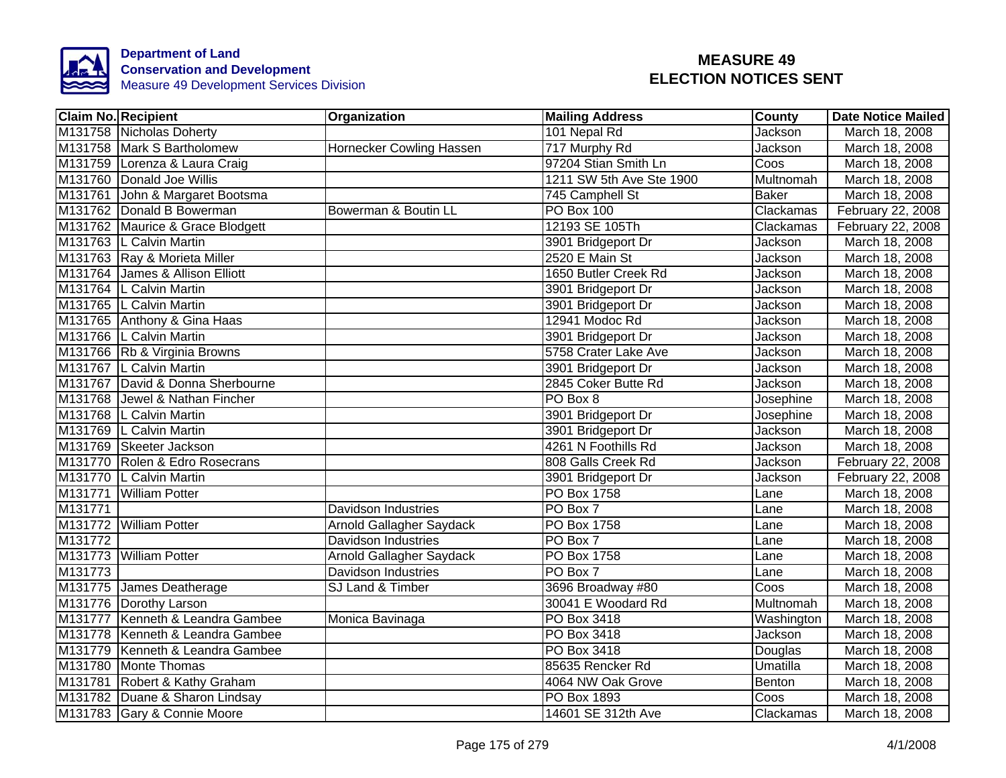

| <b>Claim No. Recipient</b>       | Organization                    | <b>Mailing Address</b>   | County                   | <b>Date Notice Mailed</b> |
|----------------------------------|---------------------------------|--------------------------|--------------------------|---------------------------|
| M131758 Nicholas Doherty         |                                 | 101 Nepal Rd             | Jackson                  | March 18, 2008            |
| M131758 Mark S Bartholomew       | <b>Hornecker Cowling Hassen</b> | 717 Murphy Rd            | <b>Jackson</b>           | March 18, 2008            |
| M131759 Lorenza & Laura Craig    |                                 | 97204 Stian Smith Ln     | $\overline{\text{Cous}}$ | March 18, 2008            |
| M131760 Donald Joe Willis        |                                 | 1211 SW 5th Ave Ste 1900 | Multnomah                | March 18, 2008            |
| M131761 John & Margaret Bootsma  |                                 | 745 Camphell St          | <b>Baker</b>             | March 18, 2008            |
| M131762 Donald B Bowerman        | Bowerman & Boutin LL            | <b>PO Box 100</b>        | Clackamas                | February 22, 2008         |
| M131762 Maurice & Grace Blodgett |                                 | 12193 SE 105Th           | Clackamas                | February 22, 2008         |
| M131763 L Calvin Martin          |                                 | 3901 Bridgeport Dr       | Jackson                  | March 18, 2008            |
| M131763 Ray & Morieta Miller     |                                 | 2520 E Main St           | Jackson                  | March 18, 2008            |
| M131764 James & Allison Elliott  |                                 | 1650 Butler Creek Rd     | Jackson                  | March 18, 2008            |
| M131764 L Calvin Martin          |                                 | 3901 Bridgeport Dr       | Jackson                  | March 18, 2008            |
| M131765   L Calvin Martin        |                                 | 3901 Bridgeport Dr       | Jackson                  | March 18, 2008            |
| M131765 Anthony & Gina Haas      |                                 | 12941 Modoc Rd           | Jackson                  | March 18, 2008            |
| M131766 L Calvin Martin          |                                 | 3901 Bridgeport Dr       | Jackson                  | March 18, 2008            |
| M131766 Rb & Virginia Browns     |                                 | 5758 Crater Lake Ave     | Jackson                  | March 18, 2008            |
| M131767 L Calvin Martin          |                                 | 3901 Bridgeport Dr       | Jackson                  | March 18, 2008            |
| M131767 David & Donna Sherbourne |                                 | 2845 Coker Butte Rd      | <b>Jackson</b>           | March 18, 2008            |
| M131768 Jewel & Nathan Fincher   |                                 | PO Box 8                 | Josephine                | March 18, 2008            |
| M131768 L Calvin Martin          |                                 | 3901 Bridgeport Dr       | Josephine                | March 18, 2008            |
| M131769 L Calvin Martin          |                                 | 3901 Bridgeport Dr       | Jackson                  | March 18, 2008            |
| M131769 Skeeter Jackson          |                                 | 4261 N Foothills Rd      | Jackson                  | March 18, 2008            |
| M131770 Rolen & Edro Rosecrans   |                                 | 808 Galls Creek Rd       | Jackson                  | February 22, 2008         |
| M131770 L Calvin Martin          |                                 | 3901 Bridgeport Dr       | Jackson                  | February 22, 2008         |
| M131771 William Potter           |                                 | <b>PO Box 1758</b>       | Lane                     | March 18, 2008            |
| M131771                          | <b>Davidson Industries</b>      | PO Box 7                 | Lane                     | March 18, 2008            |
| M131772 William Potter           | <b>Arnold Gallagher Saydack</b> | PO Box 1758              | Lane                     | March 18, 2008            |
| M131772                          | <b>Davidson Industries</b>      | PO Box 7                 | Lane                     | March 18, 2008            |
| M131773 William Potter           | <b>Arnold Gallagher Saydack</b> | PO Box 1758              | Lane                     | March 18, 2008            |
| M131773                          | Davidson Industries             | PO Box 7                 | Lane                     | March 18, 2008            |
| M131775 James Deatherage         | SJ Land & Timber                | 3696 Broadway #80        | Coos                     | March 18, 2008            |
| M131776 Dorothy Larson           |                                 | 30041 E Woodard Rd       | Multnomah                | March 18, 2008            |
| M131777 Kenneth & Leandra Gambee | Monica Bavinaga                 | PO Box 3418              | Washington               | March 18, 2008            |
| M131778 Kenneth & Leandra Gambee |                                 | PO Box 3418              | Jackson                  | March 18, 2008            |
| M131779 Kenneth & Leandra Gambee |                                 | PO Box 3418              | Douglas                  | March 18, 2008            |
| M131780 Monte Thomas             |                                 | 85635 Rencker Rd         | Umatilla                 | March 18, 2008            |
| M131781 Robert & Kathy Graham    |                                 | 4064 NW Oak Grove        | Benton                   | March 18, 2008            |
| M131782 Duane & Sharon Lindsay   |                                 | PO Box 1893              | $\overline{\text{Coos}}$ | March 18, 2008            |
| M131783 Gary & Connie Moore      |                                 | 14601 SE 312th Ave       | Clackamas                | March 18, 2008            |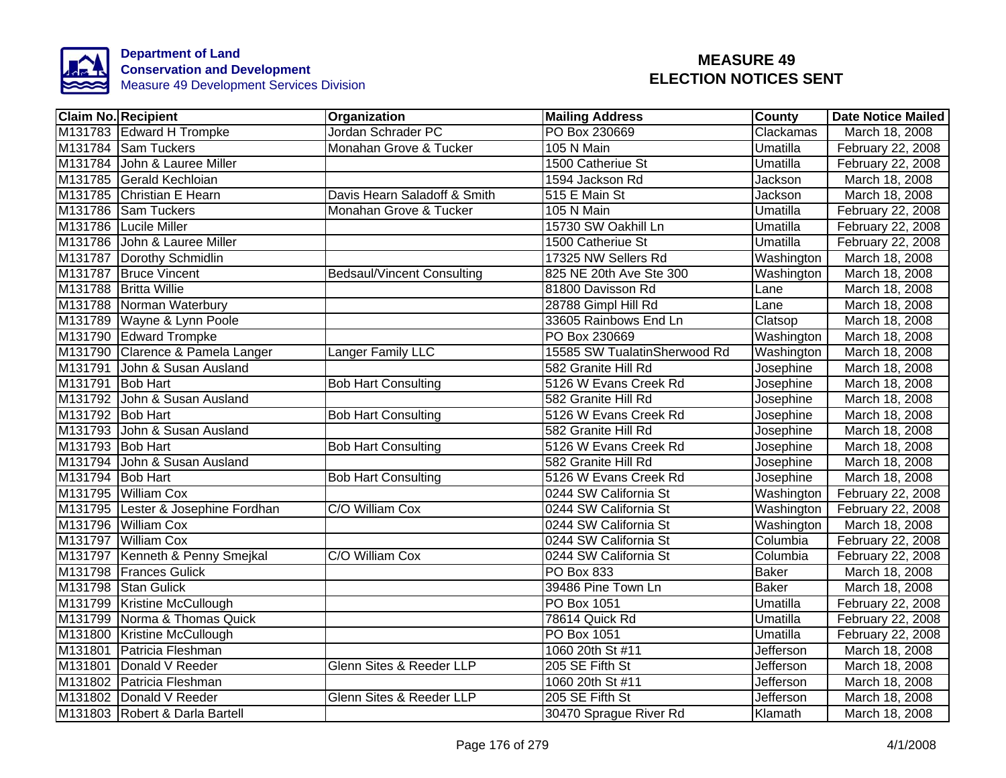

| <b>Claim No. Recipient</b>         | Organization                      | <b>Mailing Address</b>       | County           | <b>Date Notice Mailed</b> |
|------------------------------------|-----------------------------------|------------------------------|------------------|---------------------------|
| M131783 Edward H Trompke           | Jordan Schrader PC                | PO Box 230669                | Clackamas        | March 18, 2008            |
| M131784 Sam Tuckers                | Monahan Grove & Tucker            | 105 N Main                   | Umatilla         | February 22, 2008         |
| M131784 John & Lauree Miller       |                                   | 1500 Catheriue St            | Umatilla         | February 22, 2008         |
| M131785 Gerald Kechloian           |                                   | 1594 Jackson Rd              | Jackson          | March 18, 2008            |
| M131785 Christian E Hearn          | Davis Hearn Saladoff & Smith      | 515 E Main St                | Jackson          | March 18, 2008            |
| M131786 Sam Tuckers                | Monahan Grove & Tucker            | 105 N Main                   | Umatilla         | February 22, 2008         |
| M131786 Lucile Miller              |                                   | 15730 SW Oakhill Ln          | Umatilla         | February 22, 2008         |
| M131786 John & Lauree Miller       |                                   | 1500 Catheriue St            | Umatilla         | February 22, 2008         |
| M131787 Dorothy Schmidlin          |                                   | 17325 NW Sellers Rd          | Washington       | March 18, 2008            |
| M131787 Bruce Vincent              | <b>Bedsaul/Vincent Consulting</b> | 825 NE 20th Ave Ste 300      | Washington       | March 18, 2008            |
| M131788 Britta Willie              |                                   | 81800 Davisson Rd            | Lane             | March 18, 2008            |
| M131788 Norman Waterbury           |                                   | 28788 Gimpl Hill Rd          | Lane             | March 18, 2008            |
| M131789 Wayne & Lynn Poole         |                                   | 33605 Rainbows End Ln        | Clatsop          | March 18, 2008            |
| M131790 Edward Trompke             |                                   | PO Box 230669                | Washington       | March 18, 2008            |
| M131790 Clarence & Pamela Langer   | Langer Family LLC                 | 15585 SW TualatinSherwood Rd | Washington       | March 18, 2008            |
| M131791 John & Susan Ausland       |                                   | 582 Granite Hill Rd          | Josephine        | March 18, 2008            |
| M131791 Bob Hart                   | <b>Bob Hart Consulting</b>        | 5126 W Evans Creek Rd        | Josephine        | March 18, 2008            |
| M131792 John & Susan Ausland       |                                   | 582 Granite Hill Rd          | Josephine        | March 18, 2008            |
| M131792 Bob Hart                   | <b>Bob Hart Consulting</b>        | 5126 W Evans Creek Rd        | Josephine        | March 18, 2008            |
| M131793 John & Susan Ausland       |                                   | 582 Granite Hill Rd          | Josephine        | March 18, 2008            |
| M131793 Bob Hart                   | <b>Bob Hart Consulting</b>        | 5126 W Evans Creek Rd        | Josephine        | March 18, 2008            |
| M131794 John & Susan Ausland       |                                   | 582 Granite Hill Rd          | Josephine        | March 18, 2008            |
| M131794 Bob Hart                   | <b>Bob Hart Consulting</b>        | 5126 W Evans Creek Rd        | Josephine        | March 18, 2008            |
| M131795 William Cox                |                                   | 0244 SW California St        | Washington       | February 22, 2008         |
| M131795 Lester & Josephine Fordhan | C/O William Cox                   | 0244 SW California St        | Washington       | February 22, 2008         |
| M131796 William Cox                |                                   | 0244 SW California St        | Washington       | March 18, 2008            |
| M131797 William Cox                |                                   | 0244 SW California St        | Columbia         | February 22, 2008         |
| M131797 Kenneth & Penny Smejkal    | C/O William Cox                   | 0244 SW California St        | Columbia         | February 22, 2008         |
| M131798 Frances Gulick             |                                   | PO Box 833                   | <b>Baker</b>     | March 18, 2008            |
| M131798 Stan Gulick                |                                   | 39486 Pine Town Ln           | <b>Baker</b>     | March 18, 2008            |
| M131799 Kristine McCullough        |                                   | PO Box 1051                  | Umatilla         | February 22, 2008         |
| M131799 Norma & Thomas Quick       |                                   | 78614 Quick Rd               | Umatilla         | February 22, 2008         |
| M131800 Kristine McCullough        |                                   | PO Box 1051                  | Umatilla         | February 22, 2008         |
| M131801<br>Patricia Fleshman       |                                   | 1060 20th St #11             | Jefferson        | March 18, 2008            |
| M131801<br>Donald V Reeder         | Glenn Sites & Reeder LLP          | 205 SE Fifth St              | Jefferson        | March 18, 2008            |
| M131802 Patricia Fleshman          |                                   | 1060 20th St #11             | Jefferson        | March 18, 2008            |
| M131802 Donald V Reeder            | Glenn Sites & Reeder LLP          | 205 SE Fifth St              | <b>Jefferson</b> | March 18, 2008            |
| M131803 Robert & Darla Bartell     |                                   | 30470 Sprague River Rd       | Klamath          | March 18, 2008            |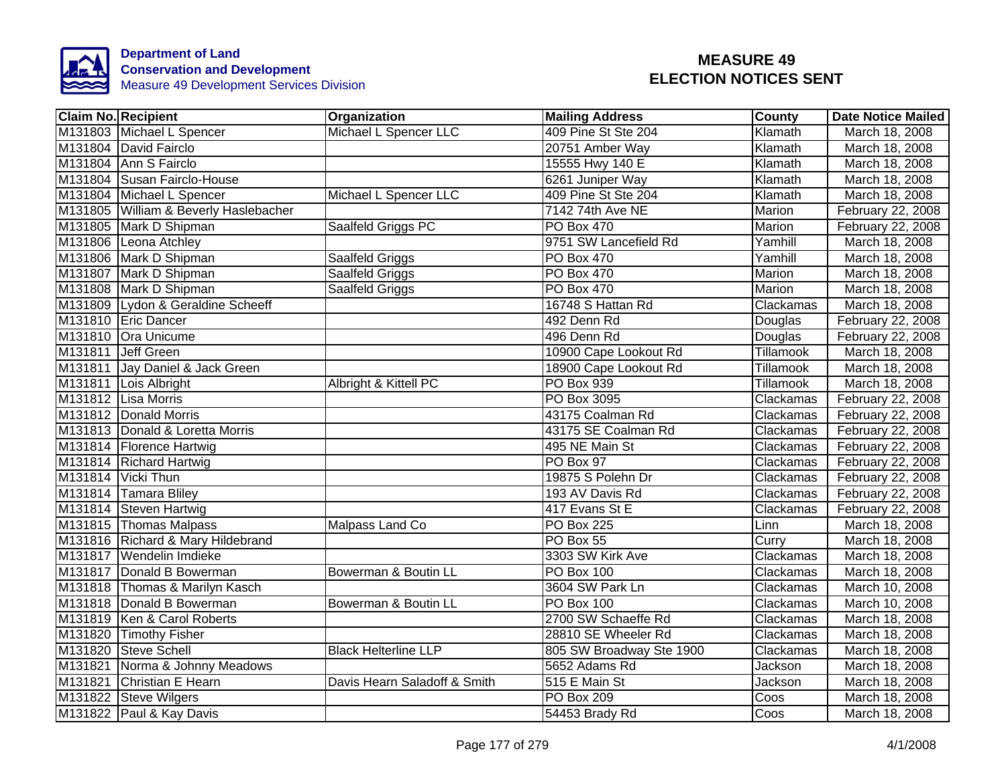

| <b>Claim No. Recipient</b>            | Organization                 | <b>Mailing Address</b>       | County           | <b>Date Notice Mailed</b> |
|---------------------------------------|------------------------------|------------------------------|------------------|---------------------------|
| M131803 Michael L Spencer             | Michael L Spencer LLC        | 409 Pine St Ste 204          | Klamath          | March 18, 2008            |
| M131804 David Fairclo                 |                              | 20751 Amber Way              | Klamath          | March 18, 2008            |
| M131804 Ann S Fairclo                 |                              | 15555 Hwy 140 E              | Klamath          | March 18, 2008            |
| M131804 Susan Fairclo-House           |                              | 6261 Juniper Way             | Klamath          | March 18, 2008            |
| M131804 Michael L Spencer             | Michael L Spencer LLC        | 409 Pine St Ste 204          | Klamath          | March 18, 2008            |
| M131805 William & Beverly Haslebacher |                              | 7142 74th Ave NE             | Marion           | February 22, 2008         |
| M131805 Mark D Shipman                | Saalfeld Griggs PC           | PO Box 470                   | Marion           | February 22, 2008         |
| M131806 Leona Atchley                 |                              | 9751 SW Lancefield Rd        | Yamhill          | March 18, 2008            |
| M131806 Mark D Shipman                | Saalfeld Griggs              | PO Box 470                   | Yamhill          | March 18, 2008            |
| M131807 Mark D Shipman                | Saalfeld Griggs              | PO Box 470                   | Marion           | March 18, 2008            |
| M131808 Mark D Shipman                | Saalfeld Griggs              | PO Box 470                   | Marion           | March 18, 2008            |
| M131809 Lydon & Geraldine Scheeff     |                              | 16748 S Hattan Rd            | Clackamas        | March 18, 2008            |
| M131810 Eric Dancer                   |                              | 492 Denn Rd                  | Douglas          | February 22, 2008         |
| M131810 Ora Unicume                   |                              | 496 Denn Rd                  | Douglas          | February 22, 2008         |
| M131811 Jeff Green                    |                              | 10900 Cape Lookout Rd        | <b>Tillamook</b> | March 18, 2008            |
| M131811 Jay Daniel & Jack Green       |                              | 18900 Cape Lookout Rd        | Tillamook        | March 18, 2008            |
| M131811 Lois Albright                 | Albright & Kittell PC        | <b>PO Box 939</b>            | <b>Tillamook</b> | March 18, 2008            |
| M131812 Lisa Morris                   |                              | PO Box 3095                  | Clackamas        | February 22, 2008         |
| M131812 Donald Morris                 |                              | 43175 Coalman Rd             | Clackamas        | February 22, 2008         |
| M131813 Donald & Loretta Morris       |                              | 43175 SE Coalman Rd          | Clackamas        | February 22, 2008         |
| M131814 Florence Hartwig              |                              | 495 NE Main St               | Clackamas        | February 22, 2008         |
| M131814 Richard Hartwig               |                              | PO Box 97                    | Clackamas        | February 22, 2008         |
| M131814 Vicki Thun                    |                              | 19875 S Polehn Dr            | Clackamas        | February 22, 2008         |
| M131814 Tamara Bliley                 |                              | 193 AV Davis Rd              | Clackamas        | February 22, 2008         |
| M131814 Steven Hartwig                |                              | 417 Evans St E               | Clackamas        | February 22, 2008         |
| M131815 Thomas Malpass                | Malpass Land Co              | <b>PO Box 225</b>            | Linn             | March 18, 2008            |
| M131816 Richard & Mary Hildebrand     |                              | PO Box 55                    | Curry            | March 18, 2008            |
| M131817 Wendelin Imdieke              |                              | 3303 SW Kirk Ave             | Clackamas        | March 18, 2008            |
| M131817 Donald B Bowerman             | Bowerman & Boutin LL         | <b>PO Box 100</b>            | Clackamas        | March 18, 2008            |
| M131818 Thomas & Marilyn Kasch        |                              | 3604 SW Park Ln              | Clackamas        | March 10, 2008            |
| M131818 Donald B Bowerman             | Bowerman & Boutin LL         | PO Box 100                   | Clackamas        | March 10, 2008            |
| M131819 Ken & Carol Roberts           |                              | 2700 SW Schaeffe Rd          | Clackamas        | March 18, 2008            |
| M131820 Timothy Fisher                |                              | 28810 SE Wheeler Rd          | Clackamas        | March 18, 2008            |
| M131820 Steve Schell                  | <b>Black Helterline LLP</b>  | 805 SW Broadway Ste 1900     | Clackamas        | March 18, 2008            |
| M131821 Norma & Johnny Meadows        |                              | 5652 Adams Rd                | Jackson          | March 18, 2008            |
| M131821 Christian E Hearn             | Davis Hearn Saladoff & Smith | 515 E Main St                | <b>Jackson</b>   | March 18, 2008            |
| M131822 Steve Wilgers                 |                              | PO Box 209                   | Coos             | March 18, 2008            |
| M131822 Paul & Kay Davis              |                              | $\overline{54}$ 453 Brady Rd | Coos             | March 18, 2008            |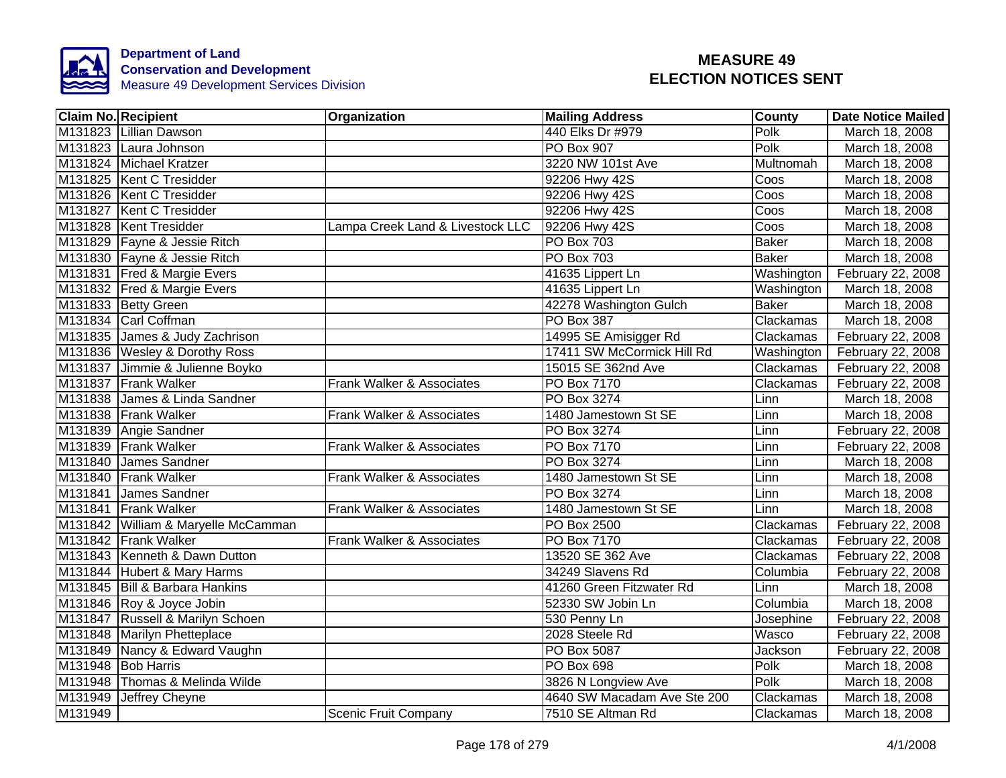

|         | <b>Claim No. Recipient</b>          | Organization                     | <b>Mailing Address</b>      | County       | <b>Date Notice Mailed</b> |
|---------|-------------------------------------|----------------------------------|-----------------------------|--------------|---------------------------|
|         | M131823 Lillian Dawson              |                                  | 440 Elks Dr #979            | Polk         | March 18, 2008            |
|         | M131823 Laura Johnson               |                                  | <b>PO Box 907</b>           | Polk         | March 18, 2008            |
|         | M131824 Michael Kratzer             |                                  | 3220 NW 101st Ave           | Multnomah    | March 18, 2008            |
|         | M131825   Kent C Tresidder          |                                  | 92206 Hwy 42S               | Coos         | March 18, 2008            |
|         | M131826 Kent C Tresidder            |                                  | 92206 Hwy 42S               | Coos         | March 18, 2008            |
|         | M131827 Kent C Tresidder            |                                  | 92206 Hwy 42S               | Coos         | March 18, 2008            |
|         | M131828   Kent Tresidder            | Lampa Creek Land & Livestock LLC | 92206 Hwy 42S               | Coos         | March 18, 2008            |
|         | M131829 Fayne & Jessie Ritch        |                                  | <b>PO Box 703</b>           | <b>Baker</b> | March 18, 2008            |
|         | M131830 Fayne & Jessie Ritch        |                                  | <b>PO Box 703</b>           | <b>Baker</b> | March 18, 2008            |
|         | M131831 Fred & Margie Evers         |                                  | 41635 Lippert Ln            | Washington   | February 22, 2008         |
|         | M131832 Fred & Margie Evers         |                                  | 41635 Lippert Ln            | Washington   | March 18, 2008            |
|         | M131833 Betty Green                 |                                  | 42278 Washington Gulch      | <b>Baker</b> | March 18, 2008            |
|         | M131834 Carl Coffman                |                                  | <b>PO Box 387</b>           | Clackamas    | March 18, 2008            |
|         | M131835 James & Judy Zachrison      |                                  | 14995 SE Amisigger Rd       | Clackamas    | February 22, 2008         |
|         | M131836 Wesley & Dorothy Ross       |                                  | 17411 SW McCormick Hill Rd  | Washington   | February 22, 2008         |
|         | M131837 Jimmie & Julienne Boyko     |                                  | 15015 SE 362nd Ave          | Clackamas    | February 22, 2008         |
|         | M131837 Frank Walker                | Frank Walker & Associates        | PO Box 7170                 | Clackamas    | February 22, 2008         |
|         | M131838 James & Linda Sandner       |                                  | PO Box 3274                 | Linn         | March 18, 2008            |
|         | M131838 Frank Walker                | Frank Walker & Associates        | 1480 Jamestown St SE        | Linn         | March 18, 2008            |
|         | M131839 Angie Sandner               |                                  | PO Box 3274                 | Linn         | February 22, 2008         |
|         | M131839 Frank Walker                | Frank Walker & Associates        | <b>PO Box 7170</b>          | Linn         | February 22, 2008         |
|         | M131840 James Sandner               |                                  | PO Box 3274                 | Linn         | March 18, 2008            |
|         | M131840 Frank Walker                | Frank Walker & Associates        | 1480 Jamestown St SE        | Linn         | March 18, 2008            |
|         | M131841 James Sandner               |                                  | PO Box 3274                 | Linn         | March 18, 2008            |
|         | M131841 Frank Walker                | Frank Walker & Associates        | 1480 Jamestown St SE        | Linn         | March 18, 2008            |
|         | M131842 William & Maryelle McCamman |                                  | <b>PO Box 2500</b>          | Clackamas    | February 22, 2008         |
|         | M131842 Frank Walker                | Frank Walker & Associates        | <b>PO Box 7170</b>          | Clackamas    | February 22, 2008         |
|         | M131843 Kenneth & Dawn Dutton       |                                  | 13520 SE 362 Ave            | Clackamas    | February 22, 2008         |
|         | M131844 Hubert & Mary Harms         |                                  | 34249 Slavens Rd            | Columbia     | February 22, 2008         |
|         | M131845 Bill & Barbara Hankins      |                                  | 41260 Green Fitzwater Rd    | Linn         | March 18, 2008            |
|         | M131846 Roy & Joyce Jobin           |                                  | 52330 SW Jobin Ln           | Columbia     | March 18, 2008            |
|         | M131847 Russell & Marilyn Schoen    |                                  | 530 Penny Ln                | Josephine    | February 22, 2008         |
|         | M131848 Marilyn Phetteplace         |                                  | 2028 Steele Rd              | Wasco        | February 22, 2008         |
|         | M131849 Nancy & Edward Vaughn       |                                  | PO Box 5087                 | Jackson      | February 22, 2008         |
|         | M131948 Bob Harris                  |                                  | PO Box 698                  | Polk         | March 18, 2008            |
|         | M131948 Thomas & Melinda Wilde      |                                  | 3826 N Longview Ave         | Polk         | March 18, 2008            |
|         | M131949 Jeffrey Cheyne              |                                  | 4640 SW Macadam Ave Ste 200 | Clackamas    | March 18, 2008            |
| M131949 |                                     | <b>Scenic Fruit Company</b>      | 7510 SE Altman Rd           | Clackamas    | March 18, 2008            |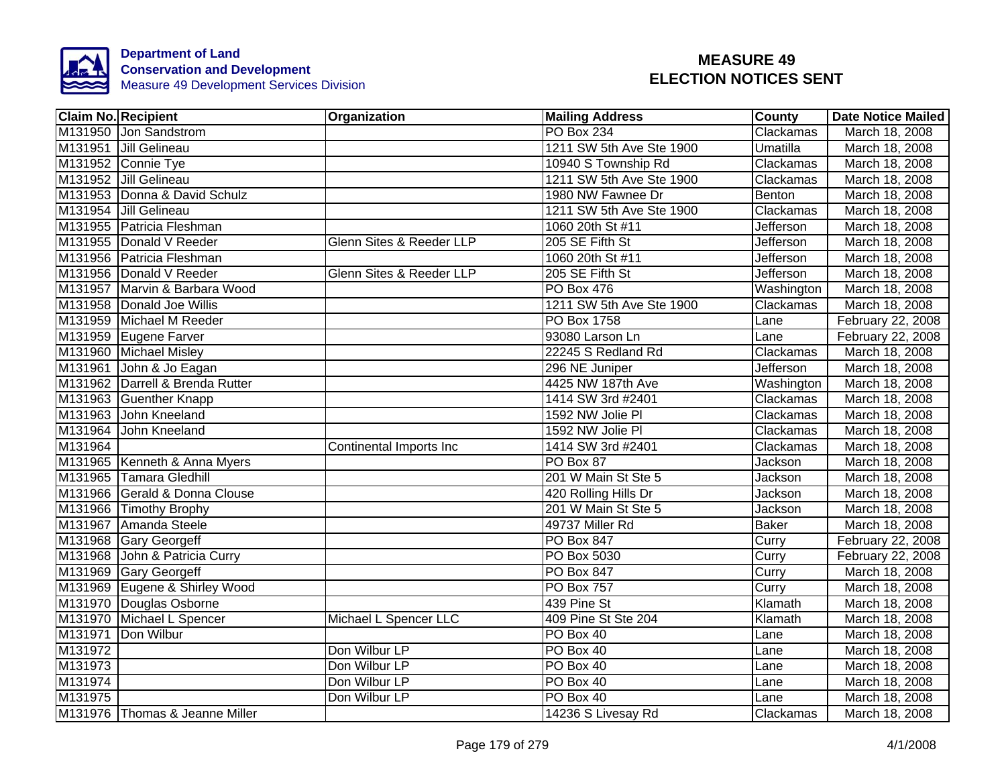

|         | <b>Claim No. Recipient</b>       | Organization             | <b>Mailing Address</b>   | <b>County</b>  | <b>Date Notice Mailed</b> |
|---------|----------------------------------|--------------------------|--------------------------|----------------|---------------------------|
|         | M131950 Jon Sandstrom            |                          | <b>PO Box 234</b>        | Clackamas      | March 18, 2008            |
|         | M131951 Jill Gelineau            |                          | 1211 SW 5th Ave Ste 1900 | Umatilla       | March 18, 2008            |
|         | M131952 Connie Tye               |                          | 10940 S Township Rd      | Clackamas      | March 18, 2008            |
|         | M131952 Jill Gelineau            |                          | 1211 SW 5th Ave Ste 1900 | Clackamas      | March 18, 2008            |
|         | M131953 Donna & David Schulz     |                          | 1980 NW Fawnee Dr        | Benton         | March 18, 2008            |
|         | M131954 Jill Gelineau            |                          | 1211 SW 5th Ave Ste 1900 | Clackamas      | March 18, 2008            |
|         | M131955 Patricia Fleshman        |                          | 1060 20th St #11         | Jefferson      | March 18, 2008            |
|         | M131955 Donald V Reeder          | Glenn Sites & Reeder LLP | 205 SE Fifth St          | Jefferson      | March 18, 2008            |
|         | M131956 Patricia Fleshman        |                          | 1060 20th St #11         | Jefferson      | March 18, 2008            |
|         | M131956   Donald V Reeder        | Glenn Sites & Reeder LLP | 205 SE Fifth St          | Jefferson      | March 18, 2008            |
|         | M131957 Marvin & Barbara Wood    |                          | <b>PO Box 476</b>        | Washington     | March 18, 2008            |
|         | M131958 Donald Joe Willis        |                          | 1211 SW 5th Ave Ste 1900 | Clackamas      | March 18, 2008            |
|         | M131959 Michael M Reeder         |                          | PO Box 1758              | Lane           | February 22, 2008         |
|         | M131959 Eugene Farver            |                          | 93080 Larson Ln          | Lane           | February 22, 2008         |
|         | M131960 Michael Misley           |                          | 22245 S Redland Rd       | Clackamas      | March 18, 2008            |
|         | M131961 John & Jo Eagan          |                          | 296 NE Juniper           | Jefferson      | March 18, 2008            |
|         | M131962 Darrell & Brenda Rutter  |                          | 4425 NW 187th Ave        | Washington     | March 18, 2008            |
|         | M131963 Guenther Knapp           |                          | 1414 SW 3rd #2401        | Clackamas      | March 18, 2008            |
|         | M131963 John Kneeland            |                          | 1592 NW Jolie PI         | Clackamas      | March 18, 2008            |
|         | M131964 John Kneeland            |                          | 1592 NW Jolie PI         | Clackamas      | March 18, 2008            |
| M131964 |                                  | Continental Imports Inc  | 1414 SW 3rd #2401        | Clackamas      | March 18, 2008            |
|         | M131965 Kenneth & Anna Myers     |                          | PO Box 87                | Jackson        | March 18, 2008            |
|         | M131965 Tamara Gledhill          |                          | 201 W Main St Ste 5      | <b>Jackson</b> | March 18, 2008            |
|         | M131966 Gerald & Donna Clouse    |                          | 420 Rolling Hills Dr     | Jackson        | March 18, 2008            |
|         | M131966 Timothy Brophy           |                          | 201 W Main St Ste 5      | Jackson        | March 18, 2008            |
|         | M131967 Amanda Steele            |                          | 49737 Miller Rd          | <b>Baker</b>   | March 18, 2008            |
|         | M131968 Gary Georgeff            |                          | <b>PO Box 847</b>        | Curry          | February 22, 2008         |
|         | M131968 John & Patricia Curry    |                          | PO Box 5030              | Curry          | February 22, 2008         |
|         | M131969 Gary Georgeff            |                          | PO Box 847               | Curry          | March 18, 2008            |
|         | M131969 Eugene & Shirley Wood    |                          | <b>PO Box 757</b>        | Curry          | March 18, 2008            |
|         | M131970 Douglas Osborne          |                          | 439 Pine St              | Klamath        | March 18, 2008            |
|         | M131970 Michael L Spencer        | Michael L Spencer LLC    | 409 Pine St Ste 204      | Klamath        | March 18, 2008            |
|         | M131971 Don Wilbur               |                          | PO Box 40                | Lane           | March 18, 2008            |
| M131972 |                                  | Don Wilbur LP            | PO Box 40                | Lane           | March 18, 2008            |
| M131973 |                                  | Don Wilbur LP            | PO Box 40                | Lane           | March 18, 2008            |
| M131974 |                                  | Don Wilbur LP            | PO Box 40                | Lane           | March 18, 2008            |
| M131975 |                                  | Don Wilbur LP            | PO Box 40                | Lane           | March 18, 2008            |
|         | M131976   Thomas & Jeanne Miller |                          | 14236 S Livesay Rd       | Clackamas      | March 18, 2008            |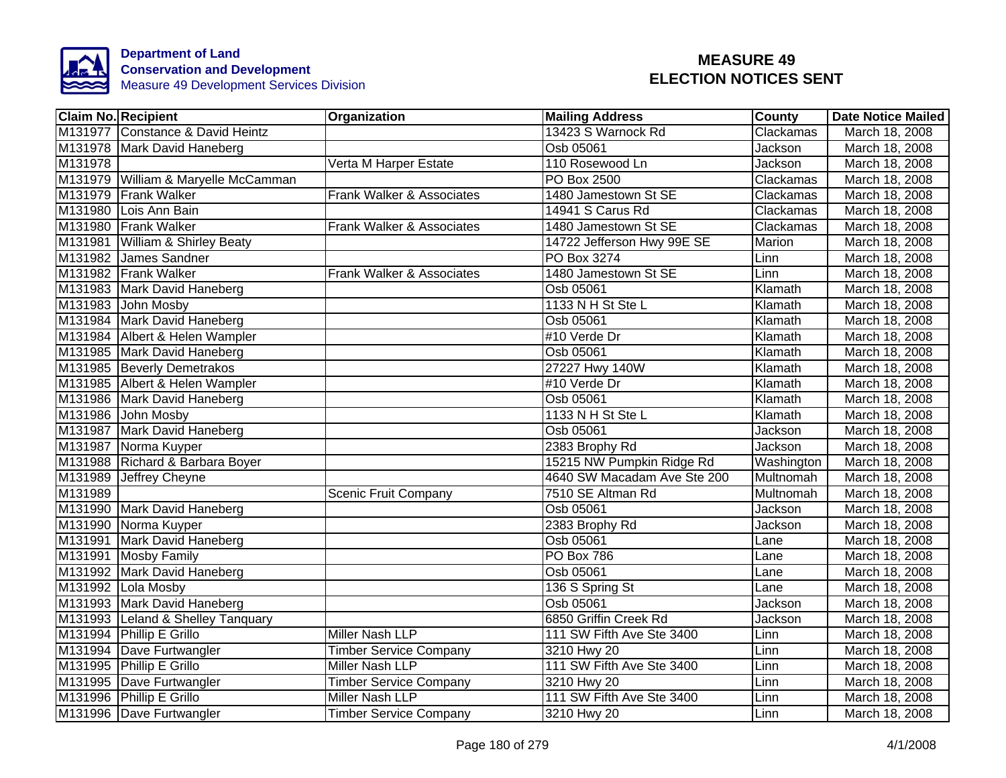

| <b>Claim No. Recipient</b>          | <b>Organization</b>           | Mailing Address             | County         | Date Notice Mailed |
|-------------------------------------|-------------------------------|-----------------------------|----------------|--------------------|
| M131977 Constance & David Heintz    |                               | 13423 S Warnock Rd          | Clackamas      | March 18, 2008     |
| M131978 Mark David Haneberg         |                               | Osb 05061                   | <b>Jackson</b> | March 18, 2008     |
| M131978                             | Verta M Harper Estate         | 110 Rosewood Ln             | Jackson        | March 18, 2008     |
| M131979 William & Maryelle McCamman |                               | PO Box 2500                 | Clackamas      | March 18, 2008     |
| M131979 Frank Walker                | Frank Walker & Associates     | 1480 Jamestown St SE        | Clackamas      | March 18, 2008     |
| M131980 Lois Ann Bain               |                               | 14941 S Carus Rd            | Clackamas      | March 18, 2008     |
| M131980 Frank Walker                | Frank Walker & Associates     | 1480 Jamestown St SE        | Clackamas      | March 18, 2008     |
| M131981 William & Shirley Beaty     |                               | 14722 Jefferson Hwy 99E SE  | Marion         | March 18, 2008     |
| M131982 James Sandner               |                               | PO Box 3274                 | Linn           | March 18, 2008     |
| M131982 Frank Walker                | Frank Walker & Associates     | 1480 Jamestown St SE        | Linn           | March 18, 2008     |
| M131983 Mark David Haneberg         |                               | Osb 05061                   | Klamath        | March 18, 2008     |
| M131983 John Mosby                  |                               | 1133 N H St Ste L           | Klamath        | March 18, 2008     |
| M131984 Mark David Haneberg         |                               | Osb 05061                   | Klamath        | March 18, 2008     |
| M131984 Albert & Helen Wampler      |                               | #10 Verde Dr                | Klamath        | March 18, 2008     |
| M131985 Mark David Haneberg         |                               | Osb 05061                   | Klamath        | March 18, 2008     |
| M131985 Beverly Demetrakos          |                               | 27227 Hwy 140W              | Klamath        | March 18, 2008     |
| M131985 Albert & Helen Wampler      |                               | #10 Verde Dr                | Klamath        | March 18, 2008     |
| M131986 Mark David Haneberg         |                               | Osb 05061                   | Klamath        | March 18, 2008     |
| M131986 John Mosby                  |                               | 1133 N H St Ste L           | Klamath        | March 18, 2008     |
| M131987 Mark David Haneberg         |                               | Osb 05061                   | Jackson        | March 18, 2008     |
| M131987 Norma Kuyper                |                               | 2383 Brophy Rd              | Jackson        | March 18, 2008     |
| M131988 Richard & Barbara Boyer     |                               | 15215 NW Pumpkin Ridge Rd   | Washington     | March 18, 2008     |
| M131989 Jeffrey Cheyne              |                               | 4640 SW Macadam Ave Ste 200 | Multnomah      | March 18, 2008     |
| M131989                             | <b>Scenic Fruit Company</b>   | 7510 SE Altman Rd           | Multnomah      | March 18, 2008     |
| M131990 Mark David Haneberg         |                               | Osb 05061                   | Jackson        | March 18, 2008     |
| M131990 Norma Kuyper                |                               | 2383 Brophy Rd              | Jackson        | March 18, 2008     |
| M131991 Mark David Haneberg         |                               | Osb 05061                   | Lane           | March 18, 2008     |
| M131991 Mosby Family                |                               | PO Box 786                  | Lane           | March 18, 2008     |
| M131992 Mark David Haneberg         |                               | Osb 05061                   | Lane           | March 18, 2008     |
| M131992 Lola Mosby                  |                               | 136 S Spring St             | Lane           | March 18, 2008     |
| M131993 Mark David Haneberg         |                               | Osb 05061                   | Jackson        | March 18, 2008     |
| M131993 Leland & Shelley Tanquary   |                               | 6850 Griffin Creek Rd       | Jackson        | March 18, 2008     |
| M131994 Phillip E Grillo            | Miller Nash LLP               | 111 SW Fifth Ave Ste 3400   | Linn           | March 18, 2008     |
| M131994 Dave Furtwangler            | <b>Timber Service Company</b> | 3210 Hwy 20                 | Linn           | March 18, 2008     |
| M131995 Phillip E Grillo            | Miller Nash LLP               | 111 SW Fifth Ave Ste 3400   | Linn           | March 18, 2008     |
| M131995 Dave Furtwangler            | <b>Timber Service Company</b> | 3210 Hwy 20                 | Linn           | March 18, 2008     |
| M131996 Phillip E Grillo            | Miller Nash LLP               | 111 SW Fifth Ave Ste 3400   | Linn           | March 18, 2008     |
| M131996 Dave Furtwangler            | <b>Timber Service Company</b> | 3210 Hwy 20                 | Linn           | March 18, 2008     |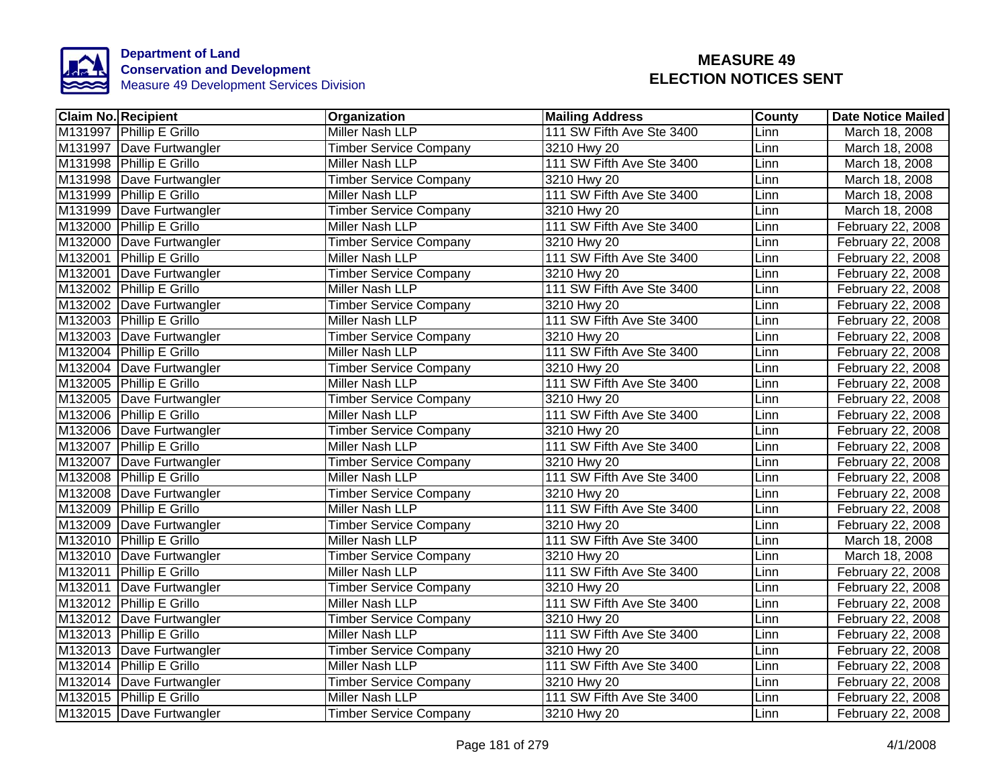

| <b>Claim No. Recipient</b> | Organization                  | <b>Mailing Address</b>    | <b>County</b> | Date Notice Mailed |
|----------------------------|-------------------------------|---------------------------|---------------|--------------------|
| M131997 Phillip E Grillo   | Miller Nash LLP               | 111 SW Fifth Ave Ste 3400 | Linn          | March 18, 2008     |
| M131997   Dave Furtwangler | <b>Timber Service Company</b> | 3210 Hwy 20               | Linn          | March 18, 2008     |
| M131998 Phillip E Grillo   | Miller Nash LLP               | 111 SW Fifth Ave Ste 3400 | Linn          | March 18, 2008     |
| M131998   Dave Furtwangler | <b>Timber Service Company</b> | 3210 Hwy 20               | Linn          | March 18, 2008     |
| M131999 Phillip E Grillo   | Miller Nash LLP               | 111 SW Fifth Ave Ste 3400 | Linn          | March 18, 2008     |
| M131999 Dave Furtwangler   | <b>Timber Service Company</b> | 3210 Hwy 20               | Linn          | March 18, 2008     |
| M132000 Phillip E Grillo   | Miller Nash LLP               | 111 SW Fifth Ave Ste 3400 | Linn          | February 22, 2008  |
| M132000 Dave Furtwangler   | <b>Timber Service Company</b> | 3210 Hwy 20               | Linn          | February 22, 2008  |
| M132001 Phillip E Grillo   | Miller Nash LLP               | 111 SW Fifth Ave Ste 3400 | Linn          | February 22, 2008  |
| M132001 Dave Furtwangler   | <b>Timber Service Company</b> | 3210 Hwy 20               | Linn          | February 22, 2008  |
| M132002 Phillip E Grillo   | Miller Nash LLP               | 111 SW Fifth Ave Ste 3400 | Linn          | February 22, 2008  |
| M132002 Dave Furtwangler   | <b>Timber Service Company</b> | 3210 Hwy 20               | Linn          | February 22, 2008  |
| M132003 Phillip E Grillo   | Miller Nash LLP               | 111 SW Fifth Ave Ste 3400 | Linn          | February 22, 2008  |
| M132003 Dave Furtwangler   | <b>Timber Service Company</b> | 3210 Hwy 20               | Linn          | February 22, 2008  |
| M132004 Phillip E Grillo   | Miller Nash LLP               | 111 SW Fifth Ave Ste 3400 | Linn          | February 22, 2008  |
| M132004 Dave Furtwangler   | <b>Timber Service Company</b> | 3210 Hwy 20               | Linn          | February 22, 2008  |
| M132005 Phillip E Grillo   | Miller Nash LLP               | 111 SW Fifth Ave Ste 3400 | Linn          | February 22, 2008  |
| M132005 Dave Furtwangler   | <b>Timber Service Company</b> | 3210 Hwy 20               | Linn          | February 22, 2008  |
| M132006 Phillip E Grillo   | Miller Nash LLP               | 111 SW Fifth Ave Ste 3400 | Linn          | February 22, 2008  |
| M132006 Dave Furtwangler   | <b>Timber Service Company</b> | 3210 Hwy 20               | Linn          | February 22, 2008  |
| M132007 Phillip E Grillo   | Miller Nash LLP               | 111 SW Fifth Ave Ste 3400 | Linn          | February 22, 2008  |
| M132007 Dave Furtwangler   | <b>Timber Service Company</b> | 3210 Hwy 20               | Linn          | February 22, 2008  |
| M132008 Phillip E Grillo   | Miller Nash LLP               | 111 SW Fifth Ave Ste 3400 | Linn          | February 22, 2008  |
| M132008 Dave Furtwangler   | <b>Timber Service Company</b> | 3210 Hwy 20               | Linn          | February 22, 2008  |
| M132009 Phillip E Grillo   | Miller Nash LLP               | 111 SW Fifth Ave Ste 3400 | Linn          | February 22, 2008  |
| M132009 Dave Furtwangler   | <b>Timber Service Company</b> | 3210 Hwy 20               | Linn          | February 22, 2008  |
| M132010 Phillip E Grillo   | <b>Miller Nash LLP</b>        | 111 SW Fifth Ave Ste 3400 | Linn          | March 18, 2008     |
| M132010 Dave Furtwangler   | <b>Timber Service Company</b> | 3210 Hwy 20               | Linn          | March 18, 2008     |
| M132011 Phillip E Grillo   | Miller Nash LLP               | 111 SW Fifth Ave Ste 3400 | Linn          | February 22, 2008  |
| M132011 Dave Furtwangler   | <b>Timber Service Company</b> | 3210 Hwy 20               | Linn          | February 22, 2008  |
| M132012 Phillip E Grillo   | Miller Nash LLP               | 111 SW Fifth Ave Ste 3400 | Linn          | February 22, 2008  |
| M132012 Dave Furtwangler   | <b>Timber Service Company</b> | 3210 Hwy 20               | Linn          | February 22, 2008  |
| M132013 Phillip E Grillo   | Miller Nash LLP               | 111 SW Fifth Ave Ste 3400 | Linn          | February 22, 2008  |
| M132013 Dave Furtwangler   | <b>Timber Service Company</b> | 3210 Hwy 20               | Linn          | February 22, 2008  |
| M132014 Phillip E Grillo   | Miller Nash LLP               | 111 SW Fifth Ave Ste 3400 | Linn          | February 22, 2008  |
| M132014   Dave Furtwangler | <b>Timber Service Company</b> | 3210 Hwy 20               | Linn          | February 22, 2008  |
| M132015 Phillip E Grillo   | Miller Nash LLP               | 111 SW Fifth Ave Ste 3400 | Linn          | February 22, 2008  |
| M132015 Dave Furtwangler   | <b>Timber Service Company</b> | 3210 Hwy 20               | Linn          | February 22, 2008  |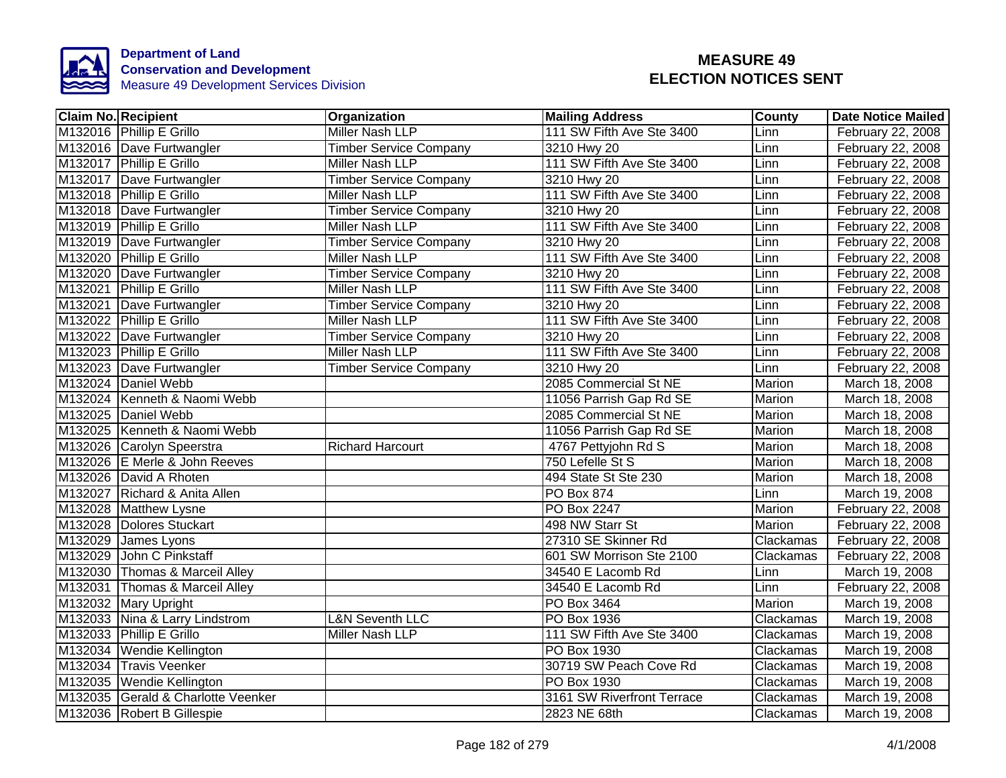

| <b>Claim No. Recipient</b>         | Organization                  | <b>Mailing Address</b>     | <b>County</b> | <b>Date Notice Mailed</b> |
|------------------------------------|-------------------------------|----------------------------|---------------|---------------------------|
| M132016 Phillip E Grillo           | <b>Miller Nash LLP</b>        | 111 SW Fifth Ave Ste 3400  | Linn          | February 22, 2008         |
| M132016 Dave Furtwangler           | <b>Timber Service Company</b> | 3210 Hwy 20                | Linn          | February 22, 2008         |
| M132017 Phillip E Grillo           | <b>Miller Nash LLP</b>        | 111 SW Fifth Ave Ste 3400  | Linn          | February 22, 2008         |
| M132017 Dave Furtwangler           | <b>Timber Service Company</b> | 3210 Hwy 20                | Linn          | February 22, 2008         |
| M132018 Phillip E Grillo           | Miller Nash LLP               | 111 SW Fifth Ave Ste 3400  | Linn          | February 22, 2008         |
| M132018 Dave Furtwangler           | <b>Timber Service Company</b> | 3210 Hwy 20                | Linn          | February 22, 2008         |
| M132019 Phillip E Grillo           | Miller Nash LLP               | 111 SW Fifth Ave Ste 3400  | Linn          | February 22, 2008         |
| M132019 Dave Furtwangler           | <b>Timber Service Company</b> | 3210 Hwy 20                | Linn          | February 22, 2008         |
| M132020 Phillip E Grillo           | Miller Nash LLP               | 111 SW Fifth Ave Ste 3400  | Linn          | February 22, 2008         |
| M132020 Dave Furtwangler           | <b>Timber Service Company</b> | 3210 Hwy 20                | Linn          | February 22, 2008         |
| M132021 Phillip E Grillo           | Miller Nash LLP               | 111 SW Fifth Ave Ste 3400  | Linn          | February 22, 2008         |
| M132021 Dave Furtwangler           | <b>Timber Service Company</b> | 3210 Hwy 20                | Linn          | February 22, 2008         |
| M132022 Phillip E Grillo           | Miller Nash LLP               | 111 SW Fifth Ave Ste 3400  | Linn          | February 22, 2008         |
| M132022 Dave Furtwangler           | <b>Timber Service Company</b> | 3210 Hwy 20                | Linn          | February 22, 2008         |
| M132023 Phillip E Grillo           | Miller Nash LLP               | 111 SW Fifth Ave Ste 3400  | Linn          | February 22, 2008         |
| M132023 Dave Furtwangler           | <b>Timber Service Company</b> | 3210 Hwy 20                | Linn          | February 22, 2008         |
| M132024 Daniel Webb                |                               | 2085 Commercial St NE      | <b>Marion</b> | March 18, 2008            |
| M132024 Kenneth & Naomi Webb       |                               | 11056 Parrish Gap Rd SE    | Marion        | March 18, 2008            |
| M132025 Daniel Webb                |                               | 2085 Commercial St NE      | Marion        | March 18, 2008            |
| M132025 Kenneth & Naomi Webb       |                               | 11056 Parrish Gap Rd SE    | <b>Marion</b> | March 18, 2008            |
| M132026 Carolyn Speerstra          | <b>Richard Harcourt</b>       | 4767 Pettyjohn Rd S        | Marion        | March 18, 2008            |
| M132026 E Merle & John Reeves      |                               | 750 Lefelle St S           | Marion        | March 18, 2008            |
| M132026 David A Rhoten             |                               | 494 State St Ste 230       | Marion        | March 18, 2008            |
| M132027 Richard & Anita Allen      |                               | PO Box 874                 | Linn          | March 19, 2008            |
| M132028 Matthew Lysne              |                               | PO Box 2247                | Marion        | February 22, 2008         |
| M132028 Dolores Stuckart           |                               | 498 NW Starr St            | Marion        | February 22, 2008         |
| M132029 James Lyons                |                               | 27310 SE Skinner Rd        | Clackamas     | February 22, 2008         |
| M132029 John C Pinkstaff           |                               | 601 SW Morrison Ste 2100   | Clackamas     | February 22, 2008         |
| M132030 Thomas & Marceil Alley     |                               | 34540 E Lacomb Rd          | Linn          | March 19, 2008            |
| M132031 Thomas & Marceil Alley     |                               | 34540 E Lacomb Rd          | Linn          | February 22, 2008         |
| M132032 Mary Upright               |                               | PO Box 3464                | Marion        | March 19, 2008            |
| M132033 Nina & Larry Lindstrom     | <b>L&amp;N Seventh LLC</b>    | PO Box 1936                | Clackamas     | March 19, 2008            |
| M132033 Phillip E Grillo           | Miller Nash LLP               | 111 SW Fifth Ave Ste 3400  | Clackamas     | March 19, 2008            |
| M132034 Wendie Kellington          |                               | PO Box 1930                | Clackamas     | March 19, 2008            |
| M132034 Travis Veenker             |                               | 30719 SW Peach Cove Rd     | Clackamas     | March 19, 2008            |
| M132035   Wendie Kellington        |                               | PO Box 1930                | Clackamas     | March 19, 2008            |
| M132035 Gerald & Charlotte Veenker |                               | 3161 SW Riverfront Terrace | Clackamas     | March 19, 2008            |
| M132036 Robert B Gillespie         |                               | 2823 NE 68th               | Clackamas     | March 19, 2008            |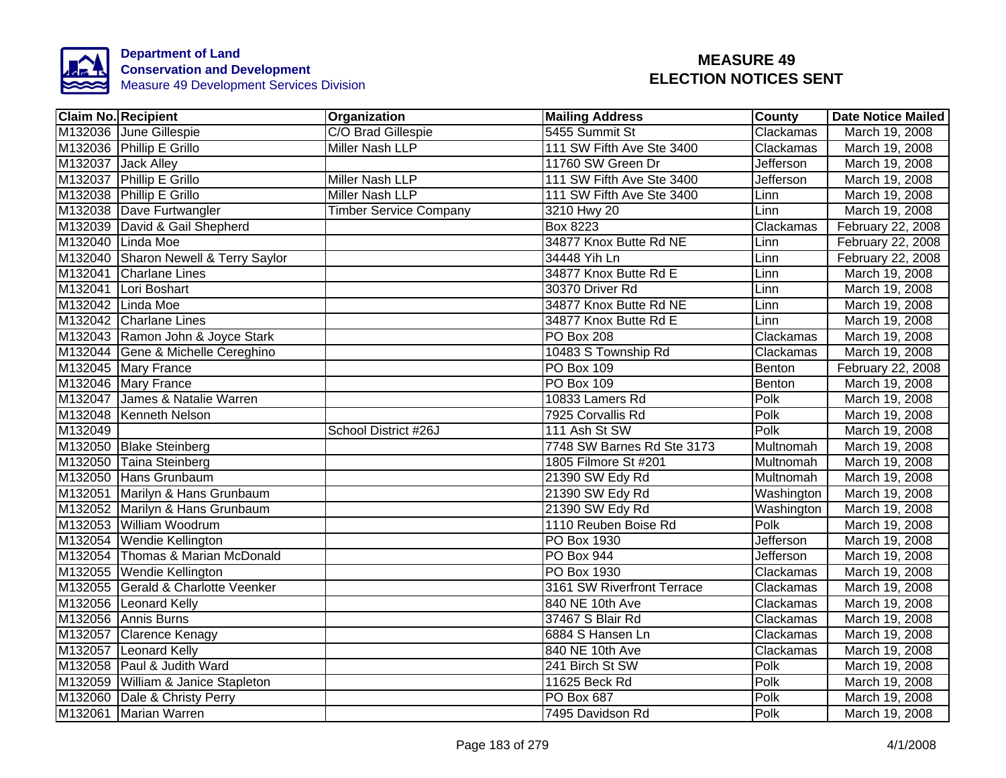

| <b>Claim No. Recipient</b>           | Organization                  | <b>Mailing Address</b>     | <b>County</b>     | Date Notice Mailed |
|--------------------------------------|-------------------------------|----------------------------|-------------------|--------------------|
| M132036 June Gillespie               | C/O Brad Gillespie            | 5455 Summit St             | Clackamas         | March 19, 2008     |
| M132036 Phillip E Grillo             | <b>Miller Nash LLP</b>        | 111 SW Fifth Ave Ste 3400  | Clackamas         | March 19, 2008     |
| M132037 Jack Alley                   |                               | 11760 SW Green Dr          | <b>Jefferson</b>  | March 19, 2008     |
| M132037 Phillip E Grillo             | Miller Nash LLP               | 111 SW Fifth Ave Ste 3400  | Jefferson         | March 19, 2008     |
| M132038 Phillip E Grillo             | Miller Nash LLP               | 111 SW Fifth Ave Ste 3400  | Linn              | March 19, 2008     |
| M132038 Dave Furtwangler             | <b>Timber Service Company</b> | 3210 Hwy 20                | Linn              | March 19, 2008     |
| M132039 David & Gail Shepherd        |                               | <b>Box 8223</b>            | Clackamas         | February 22, 2008  |
| M132040 Linda Moe                    |                               | 34877 Knox Butte Rd NE     | Linn              | February 22, 2008  |
| M132040 Sharon Newell & Terry Saylor |                               | 34448 Yih Ln               | Linn              | February 22, 2008  |
| M132041 Charlane Lines               |                               | 34877 Knox Butte Rd E      | Linn              | March 19, 2008     |
| M132041 Lori Boshart                 |                               | 30370 Driver Rd            | Linn              | March 19, 2008     |
| M132042 Linda Moe                    |                               | 34877 Knox Butte Rd NE     | Linn              | March 19, 2008     |
| M132042 Charlane Lines               |                               | 34877 Knox Butte Rd E      | Linn              | March 19, 2008     |
| M132043 Ramon John & Joyce Stark     |                               | <b>PO Box 208</b>          | Clackamas         | March 19, 2008     |
| M132044 Gene & Michelle Cereghino    |                               | 10483 S Township Rd        | Clackamas         | March 19, 2008     |
| M132045 Mary France                  |                               | <b>PO Box 109</b>          | Benton            | February 22, 2008  |
| M132046 Mary France                  |                               | PO Box 109                 | Benton            | March 19, 2008     |
| M132047 James & Natalie Warren       |                               | 10833 Lamers Rd            | Polk              | March 19, 2008     |
| M132048 Kenneth Nelson               |                               | 7925 Corvallis Rd          | Polk              | March 19, 2008     |
| M132049                              | School District #26J          | 111 Ash St SW              | Polk              | March 19, 2008     |
| M132050 Blake Steinberg              |                               | 7748 SW Barnes Rd Ste 3173 | <b>Multnomah</b>  | March 19, 2008     |
| M132050 Taina Steinberg              |                               | 1805 Filmore St #201       | Multnomah         | March 19, 2008     |
| M132050 Hans Grunbaum                |                               | 21390 SW Edy Rd            | Multnomah         | March 19, 2008     |
| M132051 Marilyn & Hans Grunbaum      |                               | 21390 SW Edy Rd            | Washington        | March 19, 2008     |
| M132052 Marilyn & Hans Grunbaum      |                               | 21390 SW Edy Rd            | Washington        | March 19, 2008     |
| M132053 William Woodrum              |                               | 1110 Reuben Boise Rd       | Polk              | March 19, 2008     |
| M132054 Wendie Kellington            |                               | PO Box 1930                | <b>Jefferson</b>  | March 19, 2008     |
| M132054 Thomas & Marian McDonald     |                               | PO Box 944                 | Jefferson         | March 19, 2008     |
| M132055 Wendie Kellington            |                               | PO Box 1930                | Clackamas         | March 19, 2008     |
| M132055 Gerald & Charlotte Veenker   |                               | 3161 SW Riverfront Terrace | Clackamas         | March 19, 2008     |
| M132056 Leonard Kelly                |                               | 840 NE 10th Ave            | Clackamas         | March 19, 2008     |
| M132056 Annis Burns                  |                               | 37467 S Blair Rd           | Clackamas         | March 19, 2008     |
| M132057 Clarence Kenagy              |                               | 6884 S Hansen Ln           | Clackamas         | March 19, 2008     |
| M132057 Leonard Kelly                |                               | 840 NE 10th Ave            | Clackamas         | March 19, 2008     |
| M132058 Paul & Judith Ward           |                               | 241 Birch St SW            | Polk              | March 19, 2008     |
| M132059 William & Janice Stapleton   |                               | 11625 Beck Rd              | Polk              | March 19, 2008     |
| M132060 Dale & Christy Perry         |                               | PO Box 687                 | $\overline{Polk}$ | March 19, 2008     |
| M132061 Marian Warren                |                               | 7495 Davidson Rd           | Polk              | March 19, 2008     |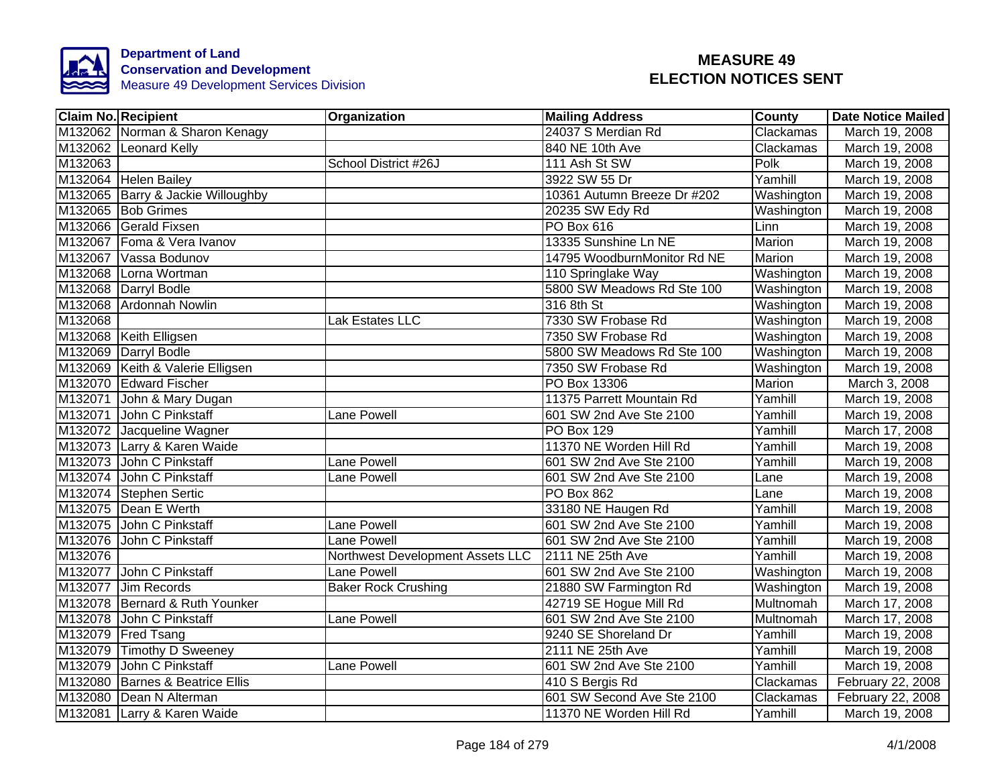

|         | <b>Claim No. Recipient</b>        | <b>Organization</b>              | <b>Mailing Address</b>      | <b>County</b> | Date Notice Mailed |
|---------|-----------------------------------|----------------------------------|-----------------------------|---------------|--------------------|
|         | M132062 Norman & Sharon Kenagy    |                                  | 24037 S Merdian Rd          | Clackamas     | March 19, 2008     |
|         | M132062 Leonard Kelly             |                                  | 840 NE 10th Ave             | Clackamas     | March 19, 2008     |
| M132063 |                                   | School District #26J             | 111 Ash St SW               | Polk          | March 19, 2008     |
|         | M132064 Helen Bailey              |                                  | 3922 SW 55 Dr               | Yamhill       | March 19, 2008     |
|         | M132065 Barry & Jackie Willoughby |                                  | 10361 Autumn Breeze Dr #202 | Washington    | March 19, 2008     |
|         | M132065 Bob Grimes                |                                  | 20235 SW Edy Rd             | Washington    | March 19, 2008     |
|         | M132066 Gerald Fixsen             |                                  | PO Box 616                  | Linn          | March 19, 2008     |
|         | M132067 Foma & Vera Ivanov        |                                  | 13335 Sunshine Ln NE        | Marion        | March 19, 2008     |
|         | M132067 Vassa Bodunov             |                                  | 14795 WoodburnMonitor Rd NE | Marion        | March 19, 2008     |
|         | M132068 Lorna Wortman             |                                  | 110 Springlake Way          | Washington    | March 19, 2008     |
|         | M132068 Darryl Bodle              |                                  | 5800 SW Meadows Rd Ste 100  | Washington    | March 19, 2008     |
|         | M132068 Ardonnah Nowlin           |                                  | 316 8th St                  | Washington    | March 19, 2008     |
| M132068 |                                   | Lak Estates LLC                  | 7330 SW Frobase Rd          | Washington    | March 19, 2008     |
|         | M132068 Keith Elligsen            |                                  | 7350 SW Frobase Rd          | Washington    | March 19, 2008     |
|         | M132069 Darryl Bodle              |                                  | 5800 SW Meadows Rd Ste 100  | Washington    | March 19, 2008     |
|         | M132069 Keith & Valerie Elligsen  |                                  | 7350 SW Frobase Rd          | Washington    | March 19, 2008     |
|         | M132070 Edward Fischer            |                                  | PO Box 13306                | <b>Marion</b> | March 3, 2008      |
|         | M132071 John & Mary Dugan         |                                  | 11375 Parrett Mountain Rd   | Yamhill       | March 19, 2008     |
|         | M132071 John C Pinkstaff          | Lane Powell                      | 601 SW 2nd Ave Ste 2100     | Yamhill       | March 19, 2008     |
|         | M132072 Jacqueline Wagner         |                                  | <b>PO Box 129</b>           | Yamhill       | March 17, 2008     |
|         | M132073 Larry & Karen Waide       |                                  | 11370 NE Worden Hill Rd     | Yamhill       | March 19, 2008     |
|         | M132073 John C Pinkstaff          | <b>Lane Powell</b>               | 601 SW 2nd Ave Ste 2100     | Yamhill       | March 19, 2008     |
|         | M132074 John C Pinkstaff          | Lane Powell                      | 601 SW 2nd Ave Ste 2100     | Lane          | March 19, 2008     |
|         | M132074 Stephen Sertic            |                                  | <b>PO Box 862</b>           | Lane          | March 19, 2008     |
|         | M132075 Dean E Werth              |                                  | 33180 NE Haugen Rd          | Yamhill       | March 19, 2008     |
|         | M132075 John C Pinkstaff          | <b>Lane Powell</b>               | 601 SW 2nd Ave Ste 2100     | Yamhill       | March 19, 2008     |
|         | M132076 John C Pinkstaff          | <b>Lane Powell</b>               | 601 SW 2nd Ave Ste 2100     | Yamhill       | March 19, 2008     |
| M132076 |                                   | Northwest Development Assets LLC | 2111 NE 25th Ave            | Yamhill       | March 19, 2008     |
| M132077 | John C Pinkstaff                  | <b>Lane Powell</b>               | 601 SW 2nd Ave Ste 2100     | Washington    | March 19, 2008     |
| M132077 | Jim Records                       | <b>Baker Rock Crushing</b>       | 21880 SW Farmington Rd      | Washington    | March 19, 2008     |
|         | M132078 Bernard & Ruth Younker    |                                  | 42719 SE Hogue Mill Rd      | Multnomah     | March 17, 2008     |
|         | M132078 John C Pinkstaff          | Lane Powell                      | 601 SW 2nd Ave Ste 2100     | Multnomah     | March 17, 2008     |
|         | M132079 Fred Tsang                |                                  | 9240 SE Shoreland Dr        | Yamhill       | March 19, 2008     |
|         | M132079 Timothy D Sweeney         |                                  | 2111 NE 25th Ave            | Yamhill       | March 19, 2008     |
|         | M132079 John C Pinkstaff          | Lane Powell                      | 601 SW 2nd Ave Ste 2100     | Yamhill       | March 19, 2008     |
|         | M132080 Barnes & Beatrice Ellis   |                                  | 410 S Bergis Rd             | Clackamas     | February 22, 2008  |
|         | M132080 Dean N Alterman           |                                  | 601 SW Second Ave Ste 2100  | Clackamas     | February 22, 2008  |
|         | M132081 Larry & Karen Waide       |                                  | 11370 NE Worden Hill Rd     | Yamhill       | March 19, 2008     |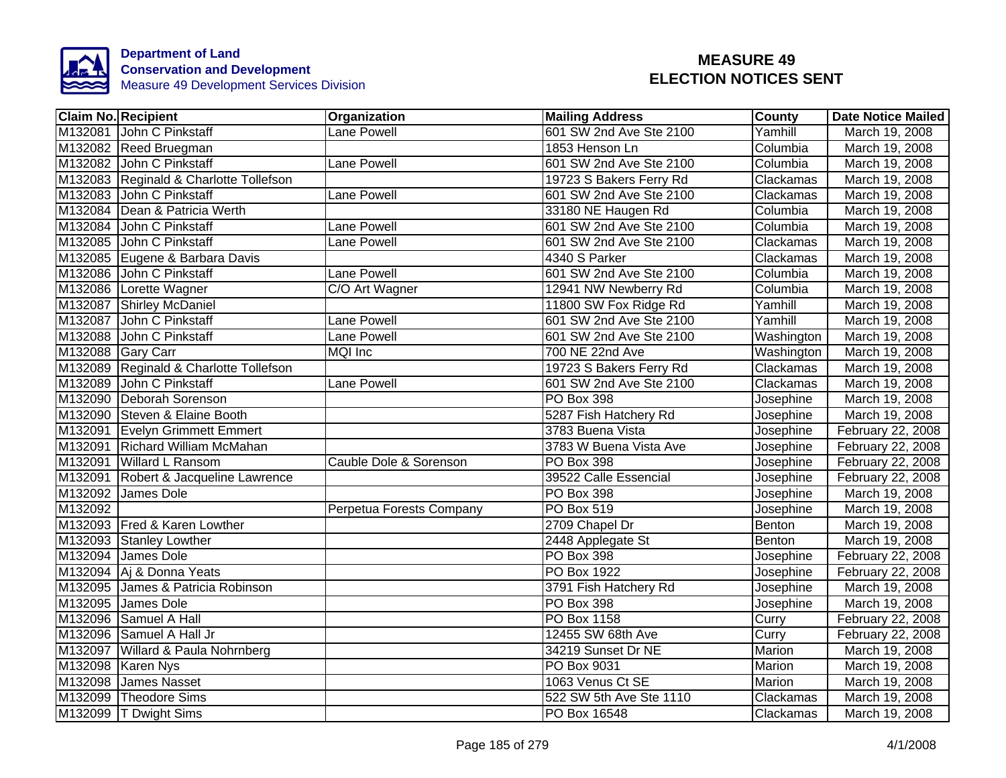

| <b>Claim No. Recipient</b> |                                        | Organization             | <b>Mailing Address</b>  | <b>County</b> | Date Notice Mailed |
|----------------------------|----------------------------------------|--------------------------|-------------------------|---------------|--------------------|
|                            | M132081 John C Pinkstaff               | Lane Powell              | 601 SW 2nd Ave Ste 2100 | Yamhill       | March 19, 2008     |
|                            | M132082 Reed Bruegman                  |                          | 1853 Henson Ln          | Columbia      | March 19, 2008     |
|                            | M132082 John C Pinkstaff               | <b>Lane Powell</b>       | 601 SW 2nd Ave Ste 2100 | Columbia      | March 19, 2008     |
|                            | M132083 Reginald & Charlotte Tollefson |                          | 19723 S Bakers Ferry Rd | Clackamas     | March 19, 2008     |
|                            | M132083 John C Pinkstaff               | Lane Powell              | 601 SW 2nd Ave Ste 2100 | Clackamas     | March 19, 2008     |
|                            | M132084 Dean & Patricia Werth          |                          | 33180 NE Haugen Rd      | Columbia      | March 19, 2008     |
|                            | M132084 John C Pinkstaff               | Lane Powell              | 601 SW 2nd Ave Ste 2100 | Columbia      | March 19, 2008     |
|                            | M132085 John C Pinkstaff               | Lane Powell              | 601 SW 2nd Ave Ste 2100 | Clackamas     | March 19, 2008     |
|                            | M132085 Eugene & Barbara Davis         |                          | 4340 S Parker           | Clackamas     | March 19, 2008     |
|                            | M132086 John C Pinkstaff               | Lane Powell              | 601 SW 2nd Ave Ste 2100 | Columbia      | March 19, 2008     |
|                            | M132086 Lorette Wagner                 | C/O Art Wagner           | 12941 NW Newberry Rd    | Columbia      | March 19, 2008     |
|                            | M132087 Shirley McDaniel               |                          | 11800 SW Fox Ridge Rd   | Yamhill       | March 19, 2008     |
|                            | M132087 John C Pinkstaff               | Lane Powell              | 601 SW 2nd Ave Ste 2100 | Yamhill       | March 19, 2008     |
|                            | M132088 John C Pinkstaff               | Lane Powell              | 601 SW 2nd Ave Ste 2100 | Washington    | March 19, 2008     |
| M132088 Gary Carr          |                                        | <b>MQI</b> Inc           | 700 NE 22nd Ave         | Washington    | March 19, 2008     |
|                            | M132089 Reginald & Charlotte Tollefson |                          | 19723 S Bakers Ferry Rd | Clackamas     | March 19, 2008     |
| M132089                    | John C Pinkstaff                       | <b>Lane Powell</b>       | 601 SW 2nd Ave Ste 2100 | Clackamas     | March 19, 2008     |
|                            | M132090 Deborah Sorenson               |                          | PO Box 398              | Josephine     | March 19, 2008     |
|                            | M132090 Steven & Elaine Booth          |                          | 5287 Fish Hatchery Rd   | Josephine     | March 19, 2008     |
|                            | M132091 Evelyn Grimmett Emmert         |                          | 3783 Buena Vista        | Josephine     | February 22, 2008  |
|                            | M132091 Richard William McMahan        |                          | 3783 W Buena Vista Ave  | Josephine     | February 22, 2008  |
|                            | M132091 Willard L Ransom               | Cauble Dole & Sorenson   | <b>PO Box 398</b>       | Josephine     | February 22, 2008  |
|                            | M132091 Robert & Jacqueline Lawrence   |                          | 39522 Calle Essencial   | Josephine     | February 22, 2008  |
|                            | M132092 James Dole                     |                          | <b>PO Box 398</b>       | Josephine     | March 19, 2008     |
| M132092                    |                                        | Perpetua Forests Company | <b>PO Box 519</b>       | Josephine     | March 19, 2008     |
|                            | M132093 Fred & Karen Lowther           |                          | 2709 Chapel Dr          | Benton        | March 19, 2008     |
|                            | M132093 Stanley Lowther                |                          | 2448 Applegate St       | Benton        | March 19, 2008     |
|                            | M132094 James Dole                     |                          | PO Box 398              | Josephine     | February 22, 2008  |
|                            | M132094 Aj & Donna Yeats               |                          | PO Box 1922             | Josephine     | February 22, 2008  |
|                            | M132095 James & Patricia Robinson      |                          | 3791 Fish Hatchery Rd   | Josephine     | March 19, 2008     |
|                            | M132095 James Dole                     |                          | PO Box 398              | Josephine     | March 19, 2008     |
|                            | M132096 Samuel A Hall                  |                          | PO Box 1158             | Curry         | February 22, 2008  |
|                            | M132096 Samuel A Hall Jr               |                          | 12455 SW 68th Ave       | Curry         | February 22, 2008  |
|                            | M132097 Willard & Paula Nohrnberg      |                          | 34219 Sunset Dr NE      | Marion        | March 19, 2008     |
|                            | M132098 Karen Nys                      |                          | PO Box 9031             | Marion        | March 19, 2008     |
|                            | M132098 James Nasset                   |                          | 1063 Venus Ct SE        | Marion        | March 19, 2008     |
|                            | M132099 Theodore Sims                  |                          | 522 SW 5th Ave Ste 1110 | Clackamas     | March 19, 2008     |
|                            | M132099  T Dwight Sims                 |                          | PO Box 16548            | Clackamas     | March 19, 2008     |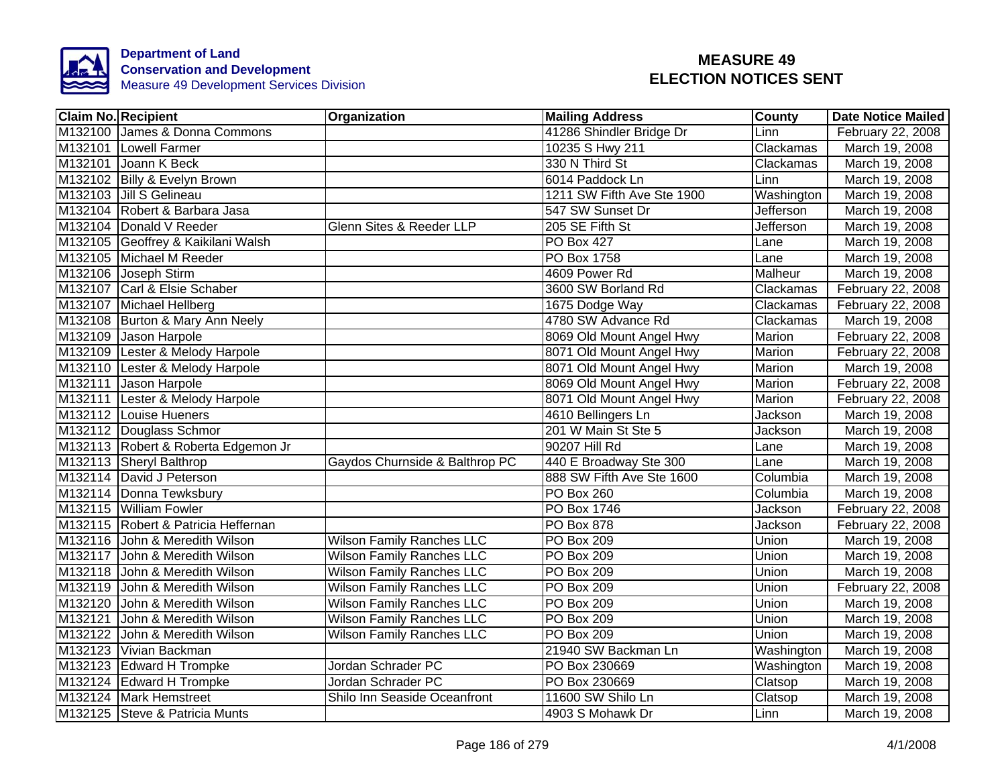

| <b>Claim No. Recipient</b> |                                     | Organization                     | <b>Mailing Address</b>     | <b>County</b>  | <b>Date Notice Mailed</b> |
|----------------------------|-------------------------------------|----------------------------------|----------------------------|----------------|---------------------------|
|                            | M132100 James & Donna Commons       |                                  | 41286 Shindler Bridge Dr   | Linn           | February 22, 2008         |
|                            | M132101 Lowell Farmer               |                                  | 10235 S Hwy 211            | Clackamas      | March 19, 2008            |
|                            | M132101 Joann K Beck                |                                  | 330 N Third St             | Clackamas      | March 19, 2008            |
|                            | M132102 Billy & Evelyn Brown        |                                  | 6014 Paddock Ln            | Linn           | March 19, 2008            |
|                            | M132103 Jill S Gelineau             |                                  | 1211 SW Fifth Ave Ste 1900 | Washington     | March 19, 2008            |
|                            | M132104 Robert & Barbara Jasa       |                                  | 547 SW Sunset Dr           | Jefferson      | March 19, 2008            |
|                            | M132104 Donald V Reeder             | Glenn Sites & Reeder LLP         | 205 SE Fifth St            | Jefferson      | March 19, 2008            |
|                            | M132105 Geoffrey & Kaikilani Walsh  |                                  | <b>PO Box 427</b>          | Lane           | March 19, 2008            |
|                            | M132105 Michael M Reeder            |                                  | <b>PO Box 1758</b>         | Lane           | March 19, 2008            |
|                            | M132106 Joseph Stirm                |                                  | 4609 Power Rd              | Malheur        | March 19, 2008            |
|                            | M132107 Carl & Elsie Schaber        |                                  | 3600 SW Borland Rd         | Clackamas      | February 22, 2008         |
|                            | M132107 Michael Hellberg            |                                  | 1675 Dodge Way             | Clackamas      | February 22, 2008         |
|                            | M132108 Burton & Mary Ann Neely     |                                  | 4780 SW Advance Rd         | Clackamas      | March 19, 2008            |
|                            | M132109 Jason Harpole               |                                  | 8069 Old Mount Angel Hwy   | Marion         | February 22, 2008         |
|                            | M132109 Lester & Melody Harpole     |                                  | 8071 Old Mount Angel Hwy   | Marion         | February 22, 2008         |
|                            | M132110 Lester & Melody Harpole     |                                  | 8071 Old Mount Angel Hwy   | Marion         | March 19, 2008            |
|                            | M132111 Jason Harpole               |                                  | 8069 Old Mount Angel Hwy   | Marion         | February 22, 2008         |
|                            | M132111 Lester & Melody Harpole     |                                  | 8071 Old Mount Angel Hwy   | Marion         | February 22, 2008         |
|                            | M132112 Louise Hueners              |                                  | 4610 Bellingers Ln         | Jackson        | March 19, 2008            |
|                            | M132112 Douglass Schmor             |                                  | 201 W Main St Ste 5        | Jackson        | March 19, 2008            |
|                            | M132113 Robert & Roberta Edgemon Jr |                                  | 90207 Hill Rd              | Lane           | March 19, 2008            |
|                            | M132113 Sheryl Balthrop             | Gaydos Churnside & Balthrop PC   | 440 E Broadway Ste 300     | Lane           | March 19, 2008            |
|                            | M132114 David J Peterson            |                                  | 888 SW Fifth Ave Ste 1600  | Columbia       | March 19, 2008            |
|                            | M132114 Donna Tewksbury             |                                  | <b>PO Box 260</b>          | Columbia       | March 19, 2008            |
|                            | M132115 William Fowler              |                                  | PO Box 1746                | <b>Jackson</b> | February 22, 2008         |
|                            | M132115 Robert & Patricia Heffernan |                                  | PO Box 878                 | Jackson        | February 22, 2008         |
|                            | M132116 John & Meredith Wilson      | <b>Wilson Family Ranches LLC</b> | PO Box 209                 | Union          | March 19, 2008            |
|                            | M132117 John & Meredith Wilson      | <b>Wilson Family Ranches LLC</b> | PO Box 209                 | Union          | March 19, 2008            |
|                            | M132118 John & Meredith Wilson      | <b>Wilson Family Ranches LLC</b> | PO Box 209                 | Union          | March 19, 2008            |
|                            | M132119 John & Meredith Wilson      | <b>Wilson Family Ranches LLC</b> | PO Box 209                 | Union          | February 22, 2008         |
| M132120                    | John & Meredith Wilson              | <b>Wilson Family Ranches LLC</b> | PO Box 209                 | Union          | March 19, 2008            |
| M132121                    | John & Meredith Wilson              | <b>Wilson Family Ranches LLC</b> | PO Box 209                 | Union          | March 19, 2008            |
|                            | M132122 John & Meredith Wilson      | <b>Wilson Family Ranches LLC</b> | <b>PO Box 209</b>          | Union          | March 19, 2008            |
|                            | M132123 Vivian Backman              |                                  | 21940 SW Backman Ln        | Washington     | March 19, 2008            |
|                            | M132123 Edward H Trompke            | Jordan Schrader PC               | PO Box 230669              | Washington     | March 19, 2008            |
|                            | M132124 Edward H Trompke            | Jordan Schrader PC               | PO Box 230669              | Clatsop        | March 19, 2008            |
|                            | M132124 Mark Hemstreet              | Shilo Inn Seaside Oceanfront     | 11600 SW Shilo Ln          | Clatsop        | March 19, 2008            |
|                            | M132125 Steve & Patricia Munts      |                                  | 4903 S Mohawk Dr           | Linn           | March 19, 2008            |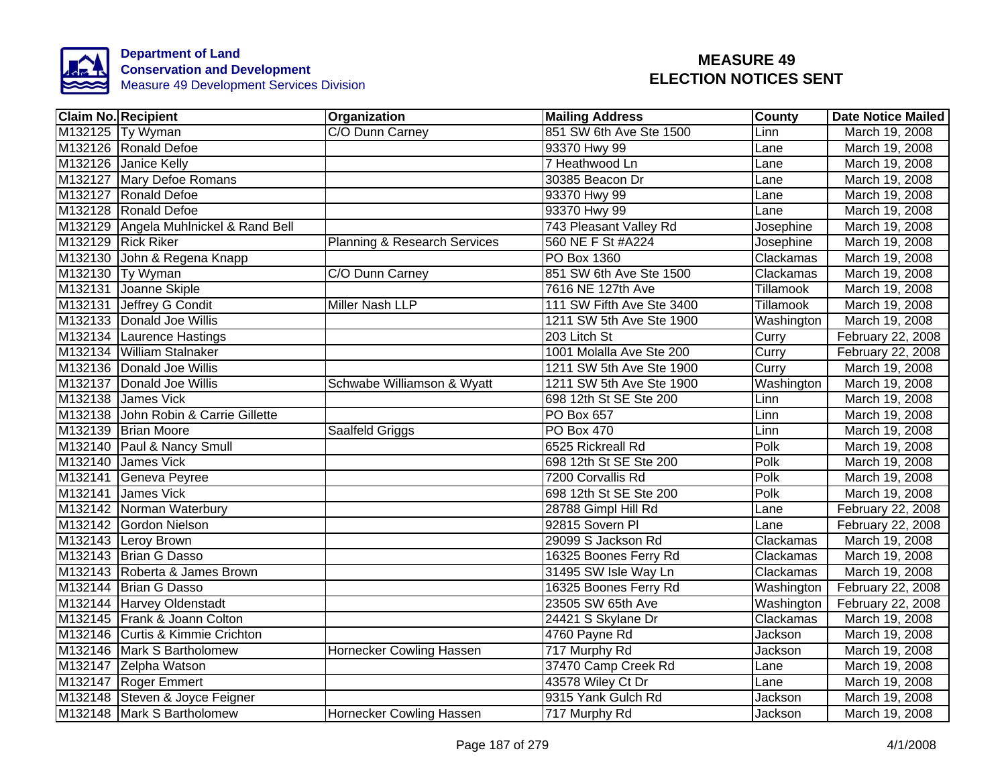

| <b>Claim No. Recipient</b>            | Organization                 | <b>Mailing Address</b>    | <b>County</b> | <b>Date Notice Mailed</b> |
|---------------------------------------|------------------------------|---------------------------|---------------|---------------------------|
| M132125 Ty Wyman                      | C/O Dunn Carney              | 851 SW 6th Ave Ste 1500   | Linn          | March 19, 2008            |
| M132126 Ronald Defoe                  |                              | 93370 Hwy 99              | Lane          | March 19, 2008            |
| M132126 Janice Kelly                  |                              | 7 Heathwood Ln            | Lane          | March 19, 2008            |
| M132127 Mary Defoe Romans             |                              | 30385 Beacon Dr           | Lane          | March 19, 2008            |
| M132127 Ronald Defoe                  |                              | 93370 Hwy 99              | Lane          | March 19, 2008            |
| M132128 Ronald Defoe                  |                              | 93370 Hwy 99              | Lane          | March 19, 2008            |
| M132129 Angela Muhlnickel & Rand Bell |                              | 743 Pleasant Valley Rd    | Josephine     | March 19, 2008            |
| M132129 Rick Riker                    | Planning & Research Services | 560 NE F St #A224         | Josephine     | March 19, 2008            |
| M132130 John & Regena Knapp           |                              | PO Box 1360               | Clackamas     | March 19, 2008            |
| M132130 Ty Wyman                      | C/O Dunn Carney              | 851 SW 6th Ave Ste 1500   | Clackamas     | March 19, 2008            |
| M132131 Joanne Skiple                 |                              | 7616 NE 127th Ave         | Tillamook     | March 19, 2008            |
| M132131 Jeffrey G Condit              | Miller Nash LLP              | 111 SW Fifth Ave Ste 3400 | Tillamook     | March 19, 2008            |
| M132133 Donald Joe Willis             |                              | 1211 SW 5th Ave Ste 1900  | Washington    | March 19, 2008            |
| M132134 Laurence Hastings             |                              | 203 Litch St              | Curry         | February 22, 2008         |
| M132134 William Stalnaker             |                              | 1001 Molalla Ave Ste 200  | Curry         | February 22, 2008         |
| M132136 Donald Joe Willis             |                              | 1211 SW 5th Ave Ste 1900  | Curry         | March 19, 2008            |
| M132137 Donald Joe Willis             | Schwabe Williamson & Wyatt   | 1211 SW 5th Ave Ste 1900  | Washington    | March 19, 2008            |
| M132138 James Vick                    |                              | 698 12th St SE Ste 200    | Linn          | March 19, 2008            |
| M132138 John Robin & Carrie Gillette  |                              | PO Box 657                | Linn          | March 19, 2008            |
| M132139 Brian Moore                   | Saalfeld Griggs              | PO Box 470                | Linn          | March 19, 2008            |
| M132140 Paul & Nancy Smull            |                              | 6525 Rickreall Rd         | Polk          | March 19, 2008            |
| M132140 James Vick                    |                              | 698 12th St SE Ste 200    | Polk          | March 19, 2008            |
| M132141 Geneva Peyree                 |                              | 7200 Corvallis Rd         | Polk          | March 19, 2008            |
| M132141 James Vick                    |                              | 698 12th St SE Ste 200    | Polk          | March 19, 2008            |
| M132142 Norman Waterbury              |                              | 28788 Gimpl Hill Rd       | Lane          | February 22, 2008         |
| M132142 Gordon Nielson                |                              | 92815 Sovern PI           | Lane          | February 22, 2008         |
| M132143 Leroy Brown                   |                              | 29099 S Jackson Rd        | Clackamas     | March 19, 2008            |
| M132143 Brian G Dasso                 |                              | 16325 Boones Ferry Rd     | Clackamas     | March 19, 2008            |
| M132143 Roberta & James Brown         |                              | 31495 SW Isle Way Ln      | Clackamas     | March 19, 2008            |
| M132144 Brian G Dasso                 |                              | 16325 Boones Ferry Rd     | Washington    | February 22, 2008         |
| M132144 Harvey Oldenstadt             |                              | 23505 SW 65th Ave         | Washington    | February 22, 2008         |
| M132145 Frank & Joann Colton          |                              | 24421 S Skylane Dr        | Clackamas     | March 19, 2008            |
| M132146 Curtis & Kimmie Crichton      |                              | 4760 Payne Rd             | Jackson       | March 19, 2008            |
| M132146 Mark S Bartholomew            | Hornecker Cowling Hassen     | 717 Murphy Rd             | Jackson       | March 19, 2008            |
| M132147 Zelpha Watson                 |                              | 37470 Camp Creek Rd       | Lane          | March 19, 2008            |
| M132147 Roger Emmert                  |                              | 43578 Wiley Ct Dr         | Lane          | March 19, 2008            |
| M132148 Steven & Joyce Feigner        |                              | 9315 Yank Gulch Rd        | Jackson       | March 19, 2008            |
| M132148 Mark S Bartholomew            | Hornecker Cowling Hassen     | 717 Murphy Rd             | Jackson       | March 19, 2008            |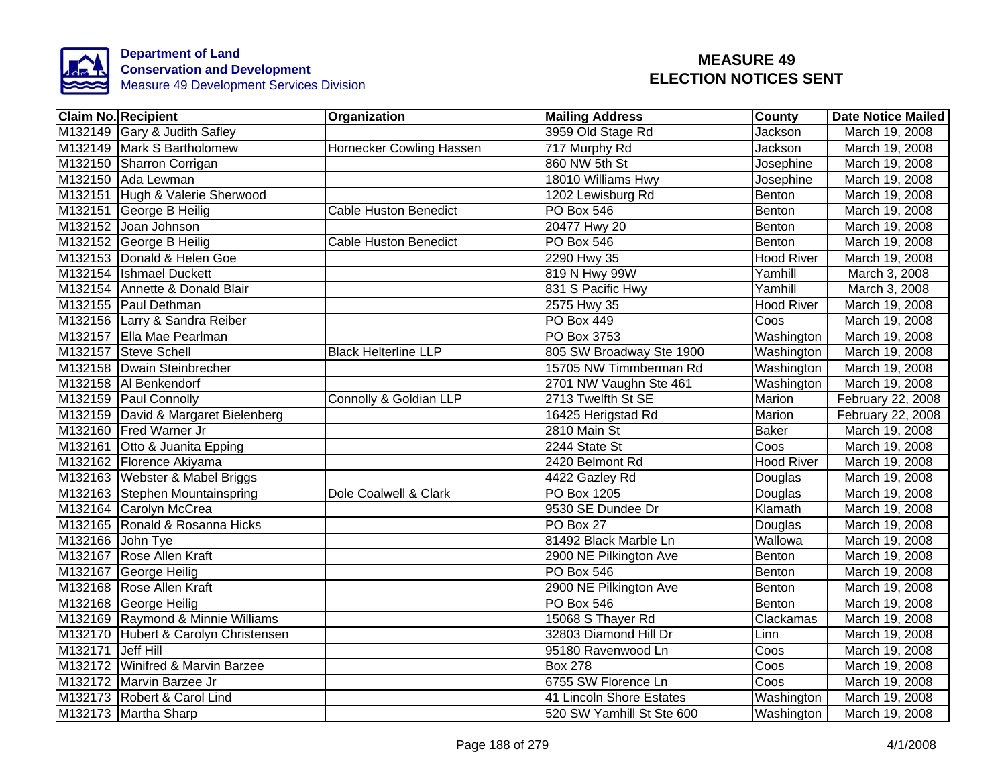

|                   | <b>Claim No. Recipient</b>           | Organization                      | <b>Mailing Address</b>    | County            | <b>Date Notice Mailed</b> |
|-------------------|--------------------------------------|-----------------------------------|---------------------------|-------------------|---------------------------|
|                   | M132149 Gary & Judith Safley         |                                   | 3959 Old Stage Rd         | Jackson           | March 19, 2008            |
|                   | M132149 Mark S Bartholomew           | Hornecker Cowling Hassen          | 717 Murphy Rd             | <b>Jackson</b>    | March 19, 2008            |
|                   | M132150 Sharron Corrigan             |                                   | 860 NW 5th St             | Josephine         | March 19, 2008            |
|                   | M132150 Ada Lewman                   |                                   | 18010 Williams Hwy        | Josephine         | March 19, 2008            |
|                   | M132151 Hugh & Valerie Sherwood      |                                   | 1202 Lewisburg Rd         | Benton            | March 19, 2008            |
|                   | M132151 George B Heilig              | <b>Cable Huston Benedict</b>      | PO Box 546                | Benton            | March 19, 2008            |
|                   | M132152 Joan Johnson                 |                                   | 20477 Hwy 20              | Benton            | March 19, 2008            |
|                   | M132152 George B Heilig              | <b>Cable Huston Benedict</b>      | PO Box 546                | Benton            | March 19, 2008            |
|                   | M132153 Donald & Helen Goe           |                                   | 2290 Hwy 35               | <b>Hood River</b> | March 19, 2008            |
|                   | M132154 Ishmael Duckett              |                                   | 819 N Hwy 99W             | Yamhill           | March 3, 2008             |
|                   | M132154 Annette & Donald Blair       |                                   | 831 S Pacific Hwy         | Yamhill           | March 3, 2008             |
|                   | M132155 Paul Dethman                 |                                   | 2575 Hwy 35               | <b>Hood River</b> | March 19, 2008            |
|                   | M132156 Larry & Sandra Reiber        |                                   | PO Box 449                | Coos              | March 19, 2008            |
|                   | M132157 Ella Mae Pearlman            |                                   | PO Box 3753               | Washington        | March 19, 2008            |
|                   | M132157 Steve Schell                 | <b>Black Helterline LLP</b>       | 805 SW Broadway Ste 1900  | Washington        | March 19, 2008            |
|                   | M132158 Dwain Steinbrecher           |                                   | 15705 NW Timmberman Rd    | Washington        | March 19, 2008            |
|                   | M132158 Al Benkendorf                |                                   | 2701 NW Vaughn Ste 461    | Washington        | March 19, 2008            |
|                   | M132159 Paul Connolly                | <b>Connolly &amp; Goldian LLP</b> | 2713 Twelfth St SE        | <b>Marion</b>     | February 22, 2008         |
|                   | M132159 David & Margaret Bielenberg  |                                   | 16425 Herigstad Rd        | <b>Marion</b>     | February 22, 2008         |
|                   | M132160 Fred Warner Jr               |                                   | 2810 Main St              | <b>Baker</b>      | March 19, 2008            |
|                   | M132161 Otto & Juanita Epping        |                                   | 2244 State St             | Coos              | March 19, 2008            |
|                   | M132162 Florence Akiyama             |                                   | 2420 Belmont Rd           | <b>Hood River</b> | March 19, 2008            |
|                   | M132163 Webster & Mabel Briggs       |                                   | 4422 Gazley Rd            | Douglas           | March 19, 2008            |
|                   | M132163 Stephen Mountainspring       | Dole Coalwell & Clark             | <b>PO Box 1205</b>        | Douglas           | March 19, 2008            |
|                   | M132164 Carolyn McCrea               |                                   | 9530 SE Dundee Dr         | Klamath           | March 19, 2008            |
|                   | M132165 Ronald & Rosanna Hicks       |                                   | PO Box 27                 | Douglas           | March 19, 2008            |
| M132166 John Tye  |                                      |                                   | 81492 Black Marble Ln     | Wallowa           | March 19, 2008            |
|                   | M132167 Rose Allen Kraft             |                                   | 2900 NE Pilkington Ave    | Benton            | March 19, 2008            |
|                   | M132167 George Heilig                |                                   | <b>PO Box 546</b>         | Benton            | March 19, 2008            |
|                   | M132168 Rose Allen Kraft             |                                   | 2900 NE Pilkington Ave    | Benton            | March 19, 2008            |
|                   | M132168 George Heilig                |                                   | <b>PO Box 546</b>         | Benton            | March 19, 2008            |
|                   | M132169 Raymond & Minnie Williams    |                                   | 15068 S Thayer Rd         | Clackamas         | March 19, 2008            |
|                   | M132170 Hubert & Carolyn Christensen |                                   | 32803 Diamond Hill Dr     | Linn              | March 19, 2008            |
| M132171 Jeff Hill |                                      |                                   | 95180 Ravenwood Ln        | Coos              | March 19, 2008            |
|                   | M132172 Winifred & Marvin Barzee     |                                   | <b>Box 278</b>            | Coos              | March 19, 2008            |
|                   | M132172 Marvin Barzee Jr             |                                   | 6755 SW Florence Ln       | Coos              | March 19, 2008            |
|                   | M132173 Robert & Carol Lind          |                                   | 41 Lincoln Shore Estates  | Washington        | March 19, 2008            |
|                   | M132173 Martha Sharp                 |                                   | 520 SW Yamhill St Ste 600 | Washington        | March 19, 2008            |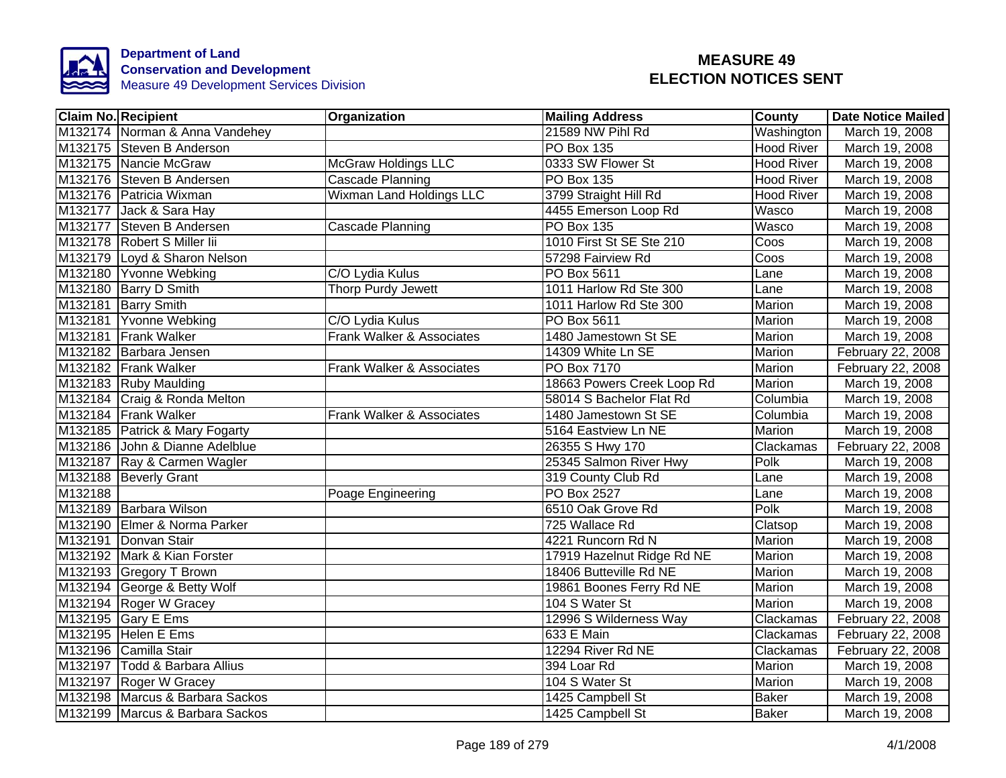

|         | <b>Claim No. Recipient</b>      | Organization                    | <b>Mailing Address</b>     | County            | <b>Date Notice Mailed</b> |
|---------|---------------------------------|---------------------------------|----------------------------|-------------------|---------------------------|
|         | M132174 Norman & Anna Vandehey  |                                 | 21589 NW Pihl Rd           | Washington        | March 19, 2008            |
|         | M132175 Steven B Anderson       |                                 | <b>PO Box 135</b>          | <b>Hood River</b> | March 19, 2008            |
|         | M132175 Nancie McGraw           | <b>McGraw Holdings LLC</b>      | 0333 SW Flower St          | <b>Hood River</b> | March 19, 2008            |
|         | M132176 Steven B Andersen       | Cascade Planning                | <b>PO Box 135</b>          | <b>Hood River</b> | March 19, 2008            |
|         | M132176 Patricia Wixman         | <b>Wixman Land Holdings LLC</b> | 3799 Straight Hill Rd      | <b>Hood River</b> | March 19, 2008            |
|         | M132177 Jack & Sara Hay         |                                 | 4455 Emerson Loop Rd       | Wasco             | March 19, 2008            |
|         | M132177 Steven B Andersen       | Cascade Planning                | PO Box 135                 | Wasco             | March 19, 2008            |
|         | M132178 Robert S Miller lii     |                                 | 1010 First St SE Ste 210   | Coos              | March 19, 2008            |
|         | M132179 Loyd & Sharon Nelson    |                                 | 57298 Fairview Rd          | Coos              | March 19, 2008            |
|         | M132180 Yvonne Webking          | C/O Lydia Kulus                 | PO Box 5611                | Lane              | March 19, 2008            |
|         | M132180 Barry D Smith           | Thorp Purdy Jewett              | 1011 Harlow Rd Ste 300     | Lane              | March 19, 2008            |
|         | M132181 Barry Smith             |                                 | 1011 Harlow Rd Ste 300     | Marion            | March 19, 2008            |
|         | M132181 Yvonne Webking          | C/O Lydia Kulus                 | PO Box 5611                | Marion            | March 19, 2008            |
|         | M132181 Frank Walker            | Frank Walker & Associates       | 1480 Jamestown St SE       | Marion            | March 19, 2008            |
|         | M132182 Barbara Jensen          |                                 | 14309 White Ln SE          | Marion            | February 22, 2008         |
|         | M132182 Frank Walker            | Frank Walker & Associates       | <b>PO Box 7170</b>         | Marion            | February 22, 2008         |
|         | M132183 Ruby Maulding           |                                 | 18663 Powers Creek Loop Rd | <b>Marion</b>     | March 19, 2008            |
|         | M132184 Craig & Ronda Melton    |                                 | 58014 S Bachelor Flat Rd   | Columbia          | March 19, 2008            |
|         | M132184 Frank Walker            | Frank Walker & Associates       | 1480 Jamestown St SE       | Columbia          | March 19, 2008            |
|         | M132185 Patrick & Mary Fogarty  |                                 | 5164 Eastview Ln NE        | Marion            | March 19, 2008            |
|         | M132186 John & Dianne Adelblue  |                                 | 26355 S Hwy 170            | Clackamas         | February 22, 2008         |
|         | M132187 Ray & Carmen Wagler     |                                 | 25345 Salmon River Hwy     | Polk              | March 19, 2008            |
|         | M132188 Beverly Grant           |                                 | 319 County Club Rd         | Lane              | March 19, 2008            |
| M132188 |                                 | Poage Engineering               | <b>PO Box 2527</b>         | Lane              | March 19, 2008            |
|         | M132189 Barbara Wilson          |                                 | 6510 Oak Grove Rd          | Polk              | March 19, 2008            |
|         | M132190 Elmer & Norma Parker    |                                 | 725 Wallace Rd             | Clatsop           | March 19, 2008            |
|         | M132191 Donvan Stair            |                                 | 4221 Runcorn Rd N          | Marion            | March 19, 2008            |
|         | M132192 Mark & Kian Forster     |                                 | 17919 Hazelnut Ridge Rd NE | Marion            | March 19, 2008            |
|         | M132193 Gregory T Brown         |                                 | 18406 Butteville Rd NE     | Marion            | March 19, 2008            |
|         | M132194 George & Betty Wolf     |                                 | 19861 Boones Ferry Rd NE   | Marion            | March 19, 2008            |
|         | M132194 Roger W Gracey          |                                 | 104 S Water St             | Marion            | March 19, 2008            |
|         | M132195 Gary E Ems              |                                 | 12996 S Wilderness Way     | Clackamas         | February 22, 2008         |
|         | M132195 Helen E Ems             |                                 | 633 E Main                 | Clackamas         | February 22, 2008         |
|         | M132196 Camilla Stair           |                                 | 12294 River Rd NE          | Clackamas         | February 22, 2008         |
|         | M132197 Todd & Barbara Allius   |                                 | 394 Loar Rd                | Marion            | March 19, 2008            |
|         | M132197 Roger W Gracey          |                                 | 104 S Water St             | Marion            | March 19, 2008            |
|         | M132198 Marcus & Barbara Sackos |                                 | 1425 Campbell St           | <b>Baker</b>      | March 19, 2008            |
|         | M132199 Marcus & Barbara Sackos |                                 | 1425 Campbell St           | <b>Baker</b>      | March 19, 2008            |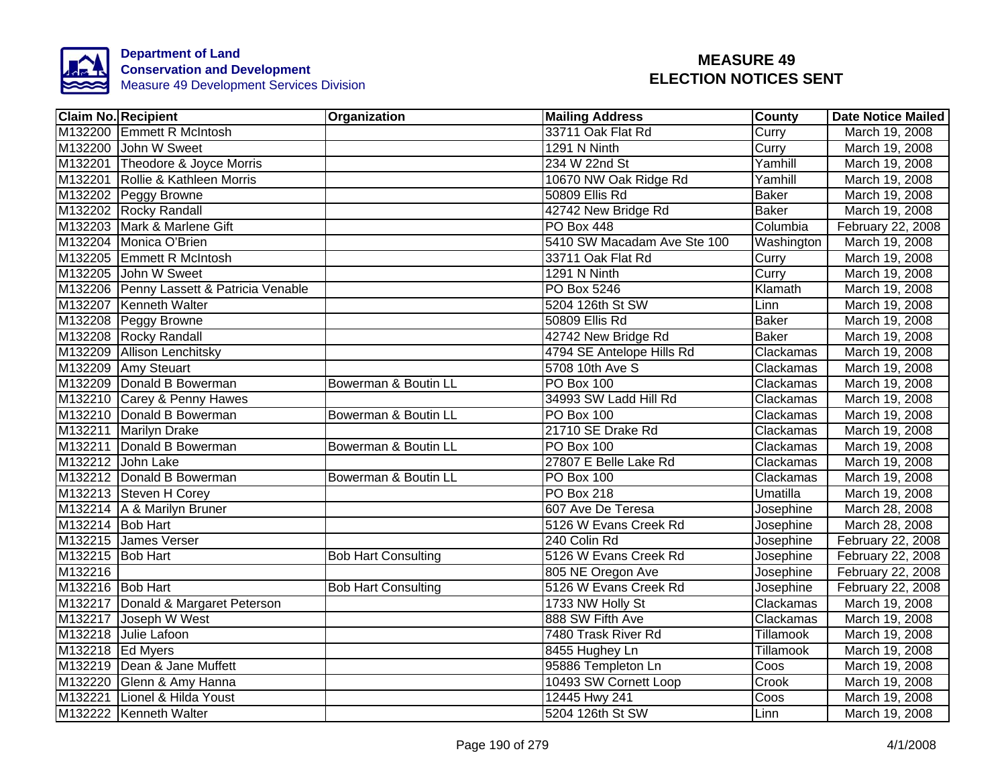

|                  | <b>Claim No. Recipient</b>               | Organization               | <b>Mailing Address</b>      | County          | <b>Date Notice Mailed</b> |
|------------------|------------------------------------------|----------------------------|-----------------------------|-----------------|---------------------------|
|                  | M132200 Emmett R McIntosh                |                            | 33711 Oak Flat Rd           | Curry           | March 19, 2008            |
|                  | M132200 John W Sweet                     |                            | 1291 N Ninth                | Curry           | March 19, 2008            |
|                  | M132201 Theodore & Joyce Morris          |                            | 234 W 22nd St               | Yamhill         | March 19, 2008            |
|                  | M132201 Rollie & Kathleen Morris         |                            | 10670 NW Oak Ridge Rd       | Yamhill         | March 19, 2008            |
|                  | M132202 Peggy Browne                     |                            | 50809 Ellis Rd              | <b>Baker</b>    | March 19, 2008            |
|                  | M132202 Rocky Randall                    |                            | 42742 New Bridge Rd         | <b>Baker</b>    | March 19, 2008            |
|                  | M132203 Mark & Marlene Gift              |                            | <b>PO Box 448</b>           | Columbia        | February 22, 2008         |
|                  | M132204 Monica O'Brien                   |                            | 5410 SW Macadam Ave Ste 100 | Washington      | March 19, 2008            |
|                  | M132205 Emmett R McIntosh                |                            | 33711 Oak Flat Rd           | Curry           | March 19, 2008            |
|                  | M132205 John W Sweet                     |                            | 1291 N Ninth                | Curry           | March 19, 2008            |
|                  | M132206 Penny Lassett & Patricia Venable |                            | PO Box 5246                 | Klamath         | March 19, 2008            |
|                  | M132207 Kenneth Walter                   |                            | 5204 126th St SW            | Linn            | March 19, 2008            |
|                  | M132208 Peggy Browne                     |                            | 50809 Ellis Rd              | <b>Baker</b>    | March 19, 2008            |
|                  | M132208 Rocky Randall                    |                            | 42742 New Bridge Rd         | <b>Baker</b>    | March 19, 2008            |
|                  | M132209 Allison Lenchitsky               |                            | 4794 SE Antelope Hills Rd   | Clackamas       | March 19, 2008            |
|                  | M132209 Amy Steuart                      |                            | 5708 10th Ave S             | Clackamas       | March 19, 2008            |
|                  | M132209 Donald B Bowerman                | Bowerman & Boutin LL       | PO Box 100                  | Clackamas       | March 19, 2008            |
|                  | M132210 Carey & Penny Hawes              |                            | 34993 SW Ladd Hill Rd       | Clackamas       | March 19, 2008            |
|                  | M132210 Donald B Bowerman                | Bowerman & Boutin LL       | <b>PO Box 100</b>           | Clackamas       | March 19, 2008            |
|                  | M132211 Marilyn Drake                    |                            | 21710 SE Drake Rd           | Clackamas       | March 19, 2008            |
|                  | M132211 Donald B Bowerman                | Bowerman & Boutin LL       | <b>PO Box 100</b>           | Clackamas       | March 19, 2008            |
|                  | M132212 John Lake                        |                            | 27807 E Belle Lake Rd       | Clackamas       | March 19, 2008            |
|                  | M132212 Donald B Bowerman                | Bowerman & Boutin LL       | PO Box 100                  | Clackamas       | March 19, 2008            |
|                  | M132213 Steven H Corey                   |                            | <b>PO Box 218</b>           | <b>Umatilla</b> | March 19, 2008            |
|                  | M132214 A & Marilyn Bruner               |                            | 607 Ave De Teresa           | Josephine       | March 28, 2008            |
| M132214 Bob Hart |                                          |                            | 5126 W Evans Creek Rd       | Josephine       | March 28, 2008            |
|                  | M132215 James Verser                     |                            | 240 Colin Rd                | Josephine       | February 22, 2008         |
| M132215 Bob Hart |                                          | <b>Bob Hart Consulting</b> | 5126 W Evans Creek Rd       | Josephine       | February 22, 2008         |
| M132216          |                                          |                            | 805 NE Oregon Ave           | Josephine       | February 22, 2008         |
| M132216 Bob Hart |                                          | <b>Bob Hart Consulting</b> | 5126 W Evans Creek Rd       | Josephine       | February 22, 2008         |
|                  | M132217 Donald & Margaret Peterson       |                            | 1733 NW Holly St            | Clackamas       | March 19, 2008            |
|                  | M132217 Joseph W West                    |                            | 888 SW Fifth Ave            | Clackamas       | March 19, 2008            |
|                  | M132218 Julie Lafoon                     |                            | 7480 Trask River Rd         | Tillamook       | March 19, 2008            |
| M132218 Ed Myers |                                          |                            | 8455 Hughey Ln              | Tillamook       | March 19, 2008            |
|                  | M132219   Dean & Jane Muffett            |                            | 95886 Templeton Ln          | Coos            | March 19, 2008            |
|                  | M132220 Glenn & Amy Hanna                |                            | 10493 SW Cornett Loop       | Crook           | March 19, 2008            |
|                  | M132221 Lionel & Hilda Youst             |                            | 12445 Hwy 241               | Coos            | March 19, 2008            |
|                  | M132222 Kenneth Walter                   |                            | 5204 126th St SW            | Linn            | March 19, 2008            |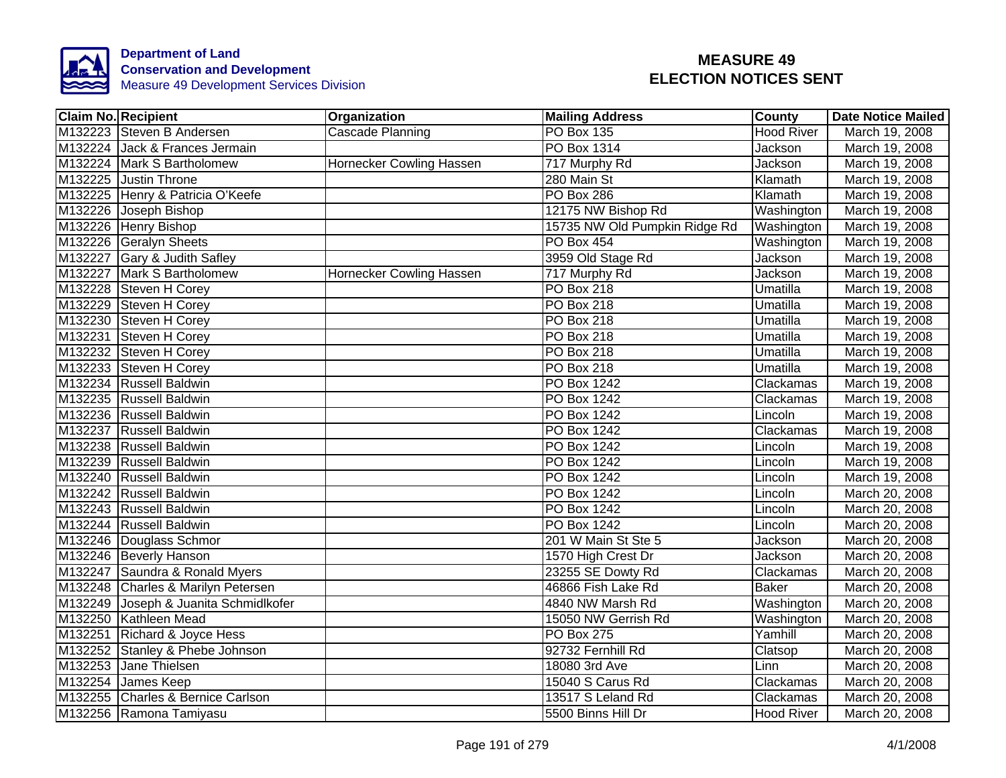

| <b>Claim No. Recipient</b>            | Organization             | <b>Mailing Address</b>        | <b>County</b>     | <b>Date Notice Mailed</b> |
|---------------------------------------|--------------------------|-------------------------------|-------------------|---------------------------|
| M132223 Steven B Andersen             | <b>Cascade Planning</b>  | <b>PO Box 135</b>             | <b>Hood River</b> | March 19, 2008            |
| M132224 Jack & Frances Jermain        |                          | <b>PO Box 1314</b>            | Jackson           | March 19, 2008            |
| M132224 Mark S Bartholomew            | Hornecker Cowling Hassen | 717 Murphy Rd                 | Jackson           | March 19, 2008            |
| M132225 Justin Throne                 |                          | 280 Main St                   | Klamath           | March 19, 2008            |
| M132225 Henry & Patricia O'Keefe      |                          | PO Box 286                    | Klamath           | March 19, 2008            |
| M132226 Joseph Bishop                 |                          | 12175 NW Bishop Rd            | Washington        | March 19, 2008            |
| M132226 Henry Bishop                  |                          | 15735 NW Old Pumpkin Ridge Rd | Washington        | March 19, 2008            |
| M132226 Geralyn Sheets                |                          | PO Box 454                    | Washington        | March 19, 2008            |
| M132227 Gary & Judith Safley          |                          | 3959 Old Stage Rd             | Jackson           | March 19, 2008            |
| M132227 Mark S Bartholomew            | Hornecker Cowling Hassen | 717 Murphy Rd                 | <b>Jackson</b>    | March 19, 2008            |
| M132228 Steven H Corey                |                          | PO Box 218                    | Umatilla          | March 19, 2008            |
| M132229 Steven H Corey                |                          | PO Box 218                    | Umatilla          | March 19, 2008            |
| M132230 Steven H Corey                |                          | PO Box 218                    | Umatilla          | March 19, 2008            |
| M132231 Steven H Corey                |                          | PO Box 218                    | Umatilla          | March 19, 2008            |
| M132232 Steven H Corey                |                          | <b>PO Box 218</b>             | <b>Umatilla</b>   | March 19, 2008            |
| M132233 Steven H Corey                |                          | PO Box 218                    | Umatilla          | March 19, 2008            |
| M132234 Russell Baldwin               |                          | PO Box 1242                   | Clackamas         | March 19, 2008            |
| M132235 Russell Baldwin               |                          | <b>PO Box 1242</b>            | Clackamas         | March 19, 2008            |
| M132236 Russell Baldwin               |                          | PO Box 1242                   | Lincoln           | March 19, 2008            |
| M132237 Russell Baldwin               |                          | <b>PO Box 1242</b>            | Clackamas         | March 19, 2008            |
| M132238 Russell Baldwin               |                          | <b>PO Box 1242</b>            | Lincoln           | March 19, 2008            |
| M132239 Russell Baldwin               |                          | <b>PO Box 1242</b>            | Lincoln           | March 19, 2008            |
| M132240 Russell Baldwin               |                          | PO Box 1242                   | Lincoln           | March 19, 2008            |
| M132242 Russell Baldwin               |                          | PO Box 1242                   | Lincoln           | March 20, 2008            |
| M132243 Russell Baldwin               |                          | <b>PO Box 1242</b>            | Lincoln           | March 20, 2008            |
| M132244 Russell Baldwin               |                          | <b>PO Box 1242</b>            | Lincoln           | March 20, 2008            |
| M132246 Douglass Schmor               |                          | 201 W Main St Ste 5           | Jackson           | March 20, 2008            |
| M132246 Beverly Hanson                |                          | 1570 High Crest Dr            | Jackson           | March 20, 2008            |
| M132247 Saundra & Ronald Myers        |                          | 23255 SE Dowty Rd             | Clackamas         | March 20, 2008            |
| M132248 Charles & Marilyn Petersen    |                          | 46866 Fish Lake Rd            | <b>Baker</b>      | March 20, 2008            |
| M132249 Joseph & Juanita Schmidlkofer |                          | 4840 NW Marsh Rd              | Washington        | March 20, 2008            |
| M132250 Kathleen Mead                 |                          | 15050 NW Gerrish Rd           | Washington        | March 20, 2008            |
| M132251 Richard & Joyce Hess          |                          | PO Box 275                    | Yamhill           | March 20, 2008            |
| M132252 Stanley & Phebe Johnson       |                          | 92732 Fernhill Rd             | Clatsop           | March 20, 2008            |
| M132253 Jane Thielsen                 |                          | 18080 3rd Ave                 | Linn              | March 20, 2008            |
| M132254 James Keep                    |                          | 15040 S Carus Rd              | Clackamas         | March 20, 2008            |
| M132255 Charles & Bernice Carlson     |                          | 13517 S Leland Rd             | Clackamas         | March 20, 2008            |
| M132256 Ramona Tamiyasu               |                          | 5500 Binns Hill Dr            | Hood River        | March 20, 2008            |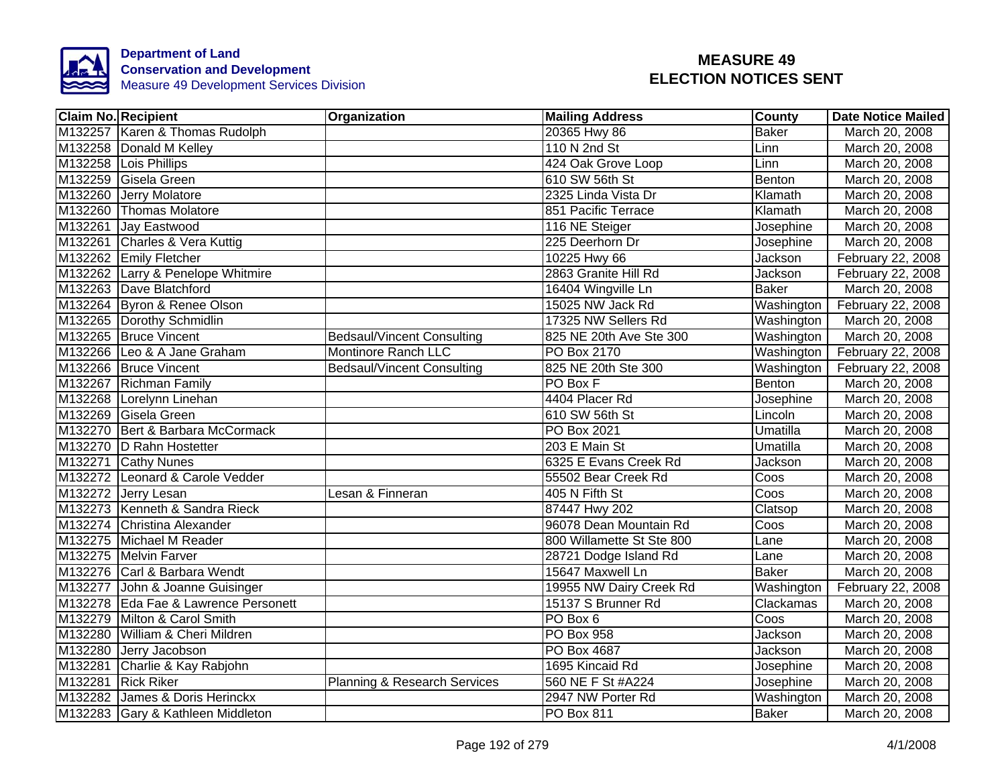

|         | <b>Claim No. Recipient</b>           | Organization                      | <b>Mailing Address</b>    | County       | <b>Date Notice Mailed</b> |
|---------|--------------------------------------|-----------------------------------|---------------------------|--------------|---------------------------|
|         | M132257 Karen & Thomas Rudolph       |                                   | 20365 Hwy 86              | <b>Baker</b> | March 20, 2008            |
|         | M132258 Donald M Kelley              |                                   | 110 N 2nd St              | Linn         | March 20, 2008            |
|         | M132258 Lois Phillips                |                                   | 424 Oak Grove Loop        | Linn         | March 20, 2008            |
|         | M132259 Gisela Green                 |                                   | 610 SW 56th St            | Benton       | March 20, 2008            |
| M132260 | Jerry Molatore                       |                                   | 2325 Linda Vista Dr       | Klamath      | March 20, 2008            |
|         | M132260 Thomas Molatore              |                                   | 851 Pacific Terrace       | Klamath      | March 20, 2008            |
|         | M132261 Jay Eastwood                 |                                   | 116 NE Steiger            | Josephine    | March 20, 2008            |
|         | M132261 Charles & Vera Kuttig        |                                   | 225 Deerhorn Dr           | Josephine    | March 20, 2008            |
|         | M132262 Emily Fletcher               |                                   | 10225 Hwy 66              | Jackson      | February 22, 2008         |
|         | M132262 Larry & Penelope Whitmire    |                                   | 2863 Granite Hill Rd      | Jackson      | February 22, 2008         |
|         | M132263 Dave Blatchford              |                                   | 16404 Wingville Ln        | <b>Baker</b> | March 20, 2008            |
|         | M132264 Byron & Renee Olson          |                                   | 15025 NW Jack Rd          | Washington   | February 22, 2008         |
|         | M132265 Dorothy Schmidlin            |                                   | 17325 NW Sellers Rd       | Washington   | March 20, 2008            |
|         | M132265 Bruce Vincent                | <b>Bedsaul/Vincent Consulting</b> | 825 NE 20th Ave Ste 300   | Washington   | March 20, 2008            |
|         | M132266 Leo & A Jane Graham          | <b>Montinore Ranch LLC</b>        | <b>PO Box 2170</b>        | Washington   | February 22, 2008         |
|         | M132266 Bruce Vincent                | <b>Bedsaul/Vincent Consulting</b> | 825 NE 20th Ste 300       | Washington   | February 22, 2008         |
|         | M132267 Richman Family               |                                   | PO Box F                  | Benton       | March 20, 2008            |
|         | M132268 Lorelynn Linehan             |                                   | 4404 Placer Rd            | Josephine    | March 20, 2008            |
|         | M132269 Gisela Green                 |                                   | 610 SW 56th St            | Lincoln      | March 20, 2008            |
|         | M132270 Bert & Barbara McCormack     |                                   | PO Box 2021               | Umatilla     | March 20, 2008            |
|         | M132270 D Rahn Hostetter             |                                   | 203 E Main St             | Umatilla     | March 20, 2008            |
|         | M132271 Cathy Nunes                  |                                   | 6325 E Evans Creek Rd     | Jackson      | March 20, 2008            |
|         | M132272 Leonard & Carole Vedder      |                                   | 55502 Bear Creek Rd       | Coos         | March 20, 2008            |
|         | M132272 Jerry Lesan                  | Lesan & Finneran                  | 405 N Fifth St            | Coos         | March 20, 2008            |
|         | M132273 Kenneth & Sandra Rieck       |                                   | 87447 Hwy 202             | Clatsop      | March 20, 2008            |
|         | M132274 Christina Alexander          |                                   | 96078 Dean Mountain Rd    | Coos         | March 20, 2008            |
|         | M132275 Michael M Reader             |                                   | 800 Willamette St Ste 800 | Lane         | March 20, 2008            |
|         | M132275 Melvin Farver                |                                   | 28721 Dodge Island Rd     | Lane         | March 20, 2008            |
|         | M132276 Carl & Barbara Wendt         |                                   | 15647 Maxwell Ln          | <b>Baker</b> | March 20, 2008            |
|         | M132277 John & Joanne Guisinger      |                                   | 19955 NW Dairy Creek Rd   | Washington   | February 22, 2008         |
|         | M132278 Eda Fae & Lawrence Personett |                                   | 15137 S Brunner Rd        | Clackamas    | March 20, 2008            |
|         | M132279 Milton & Carol Smith         |                                   | PO Box 6                  | Coos         | March 20, 2008            |
|         | M132280 William & Cheri Mildren      |                                   | PO Box 958                | Jackson      | March 20, 2008            |
|         | M132280 Jerry Jacobson               |                                   | PO Box 4687               | Jackson      | March 20, 2008            |
|         | M132281 Charlie & Kay Rabjohn        |                                   | 1695 Kincaid Rd           | Josephine    | March 20, 2008            |
|         | M132281 Rick Riker                   | Planning & Research Services      | 560 NE F St #A224         | Josephine    | March 20, 2008            |
|         | M132282 James & Doris Herinckx       |                                   | 2947 NW Porter Rd         | Washington   | March 20, 2008            |
|         | M132283 Gary & Kathleen Middleton    |                                   | PO Box 811                | <b>Baker</b> | March 20, 2008            |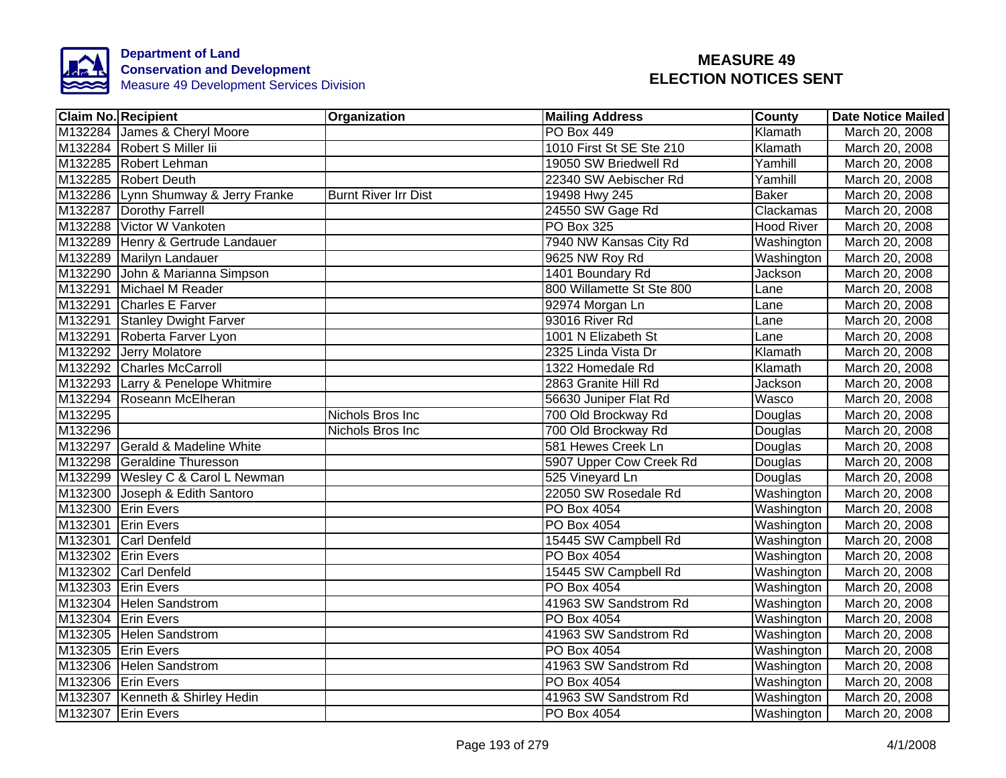

| <b>Claim No. Recipient</b>          | Organization                | <b>Mailing Address</b>    | <b>County</b>     | <b>Date Notice Mailed</b> |
|-------------------------------------|-----------------------------|---------------------------|-------------------|---------------------------|
| M132284 James & Cheryl Moore        |                             | <b>PO Box 449</b>         | Klamath           | March 20, 2008            |
| M132284 Robert S Miller lii         |                             | 1010 First St SE Ste 210  | Klamath           | March 20, 2008            |
| M132285 Robert Lehman               |                             | 19050 SW Briedwell Rd     | Yamhill           | March 20, 2008            |
| M132285 Robert Deuth                |                             | 22340 SW Aebischer Rd     | Yamhill           | March 20, 2008            |
| M132286 Lynn Shumway & Jerry Franke | <b>Burnt River Irr Dist</b> | 19498 Hwy 245             | <b>Baker</b>      | March 20, 2008            |
| M132287 Dorothy Farrell             |                             | 24550 SW Gage Rd          | Clackamas         | March 20, 2008            |
| M132288 Victor W Vankoten           |                             | PO Box 325                | <b>Hood River</b> | March 20, 2008            |
| M132289 Henry & Gertrude Landauer   |                             | 7940 NW Kansas City Rd    | Washington        | March 20, 2008            |
| M132289 Marilyn Landauer            |                             | 9625 NW Roy Rd            | Washington        | March 20, 2008            |
| M132290 John & Marianna Simpson     |                             | 1401 Boundary Rd          | Jackson           | March 20, 2008            |
| M132291 Michael M Reader            |                             | 800 Willamette St Ste 800 | Lane              | March 20, 2008            |
| M132291 Charles E Farver            |                             | 92974 Morgan Ln           | Lane              | March 20, 2008            |
| M132291 Stanley Dwight Farver       |                             | 93016 River Rd            | Lane              | March 20, 2008            |
| M132291 Roberta Farver Lyon         |                             | 1001 N Elizabeth St       | Lane              | March 20, 2008            |
| M132292 Jerry Molatore              |                             | 2325 Linda Vista Dr       | Klamath           | March 20, 2008            |
| M132292 Charles McCarroll           |                             | 1322 Homedale Rd          | Klamath           | March 20, 2008            |
| M132293 Larry & Penelope Whitmire   |                             | 2863 Granite Hill Rd      | <b>Jackson</b>    | March 20, 2008            |
| M132294 Roseann McElheran           |                             | 56630 Juniper Flat Rd     | Wasco             | March 20, 2008            |
| M132295                             | Nichols Bros Inc            | 700 Old Brockway Rd       | Douglas           | March 20, 2008            |
| M132296                             | Nichols Bros Inc            | 700 Old Brockway Rd       | Douglas           | March 20, 2008            |
| M132297 Gerald & Madeline White     |                             | 581 Hewes Creek Ln        | Douglas           | March 20, 2008            |
| M132298 Geraldine Thuresson         |                             | 5907 Upper Cow Creek Rd   | Douglas           | March 20, 2008            |
| M132299 Wesley C & Carol L Newman   |                             | 525 Vineyard Ln           | Douglas           | March 20, 2008            |
| M132300 Joseph & Edith Santoro      |                             | 22050 SW Rosedale Rd      | Washington        | March 20, 2008            |
| M132300 Erin Evers                  |                             | PO Box 4054               | Washington        | March 20, 2008            |
| M132301 Erin Evers                  |                             | PO Box 4054               | Washington        | March 20, 2008            |
| M132301 Carl Denfeld                |                             | 15445 SW Campbell Rd      | Washington        | March 20, 2008            |
| M132302 Erin Evers                  |                             | PO Box 4054               | Washington        | March 20, 2008            |
| M132302 Carl Denfeld                |                             | 15445 SW Campbell Rd      | Washington        | March 20, 2008            |
| M132303 Erin Evers                  |                             | PO Box 4054               | Washington        | March 20, 2008            |
| M132304 Helen Sandstrom             |                             | 41963 SW Sandstrom Rd     | Washington        | March 20, 2008            |
| M132304 Erin Evers                  |                             | PO Box 4054               | Washington        | March 20, 2008            |
| M132305 Helen Sandstrom             |                             | 41963 SW Sandstrom Rd     | Washington        | March 20, 2008            |
| M132305 Erin Evers                  |                             | PO Box 4054               | Washington        | March 20, 2008            |
| M132306 Helen Sandstrom             |                             | 41963 SW Sandstrom Rd     | Washington        | March 20, 2008            |
| M132306 Erin Evers                  |                             | PO Box 4054               | Washington        | March 20, 2008            |
| M132307 Kenneth & Shirley Hedin     |                             | 41963 SW Sandstrom Rd     | Washington        | March 20, 2008            |
| M132307 Erin Evers                  |                             | PO Box 4054               | Washington        | March 20, 2008            |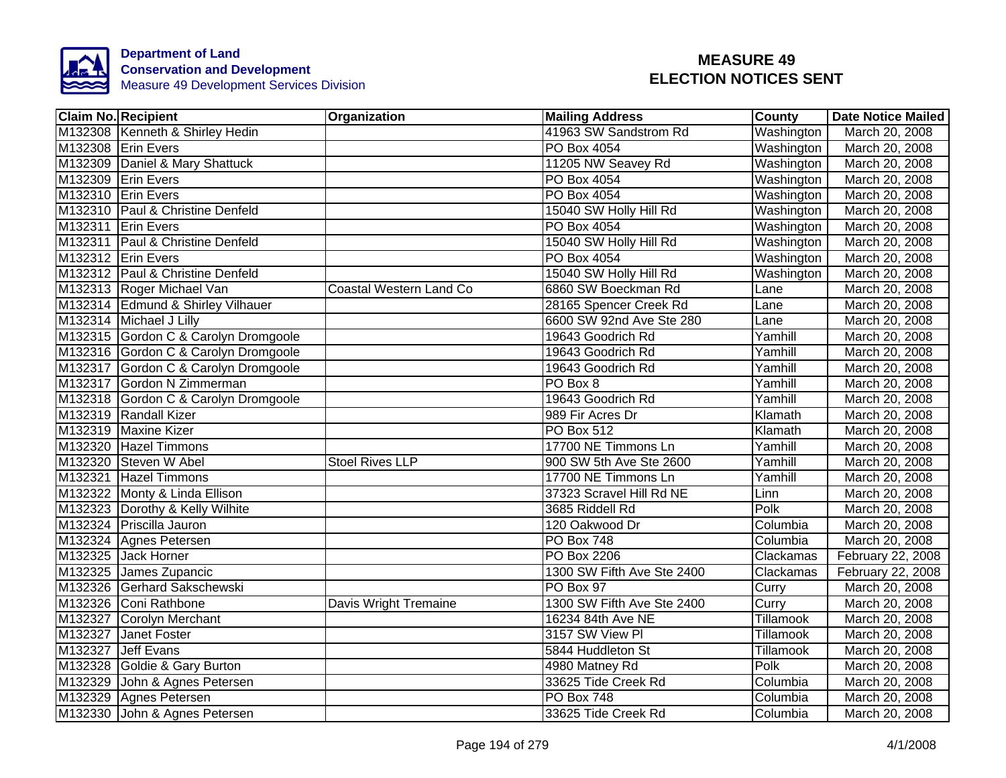

| <b>Claim No. Recipient</b>        |                                      | Organization            | <b>Mailing Address</b>     | <b>County</b> | <b>Date Notice Mailed</b> |
|-----------------------------------|--------------------------------------|-------------------------|----------------------------|---------------|---------------------------|
| M132308 Kenneth & Shirley Hedin   |                                      |                         | 41963 SW Sandstrom Rd      | Washington    | March 20, 2008            |
| M132308 Erin Evers                |                                      |                         | PO Box 4054                | Washington    | March 20, 2008            |
| M132309 Daniel & Mary Shattuck    |                                      |                         | 11205 NW Seavey Rd         | Washington    | March 20, 2008            |
| M132309 Erin Evers                |                                      |                         | PO Box 4054                | Washington    | March 20, 2008            |
| M132310 Erin Evers                |                                      |                         | <b>PO Box 4054</b>         | Washington    | March 20, 2008            |
| M132310 Paul & Christine Denfeld  |                                      |                         | 15040 SW Holly Hill Rd     | Washington    | March 20, 2008            |
| M132311 Erin Evers                |                                      |                         | PO Box 4054                | Washington    | March 20, 2008            |
| M132311 Paul & Christine Denfeld  |                                      |                         | 15040 SW Holly Hill Rd     | Washington    | March 20, 2008            |
| M132312 Erin Evers                |                                      |                         | PO Box 4054                | Washington    | March 20, 2008            |
| M132312 Paul & Christine Denfeld  |                                      |                         | 15040 SW Holly Hill Rd     | Washington    | March 20, 2008            |
| M132313 Roger Michael Van         |                                      | Coastal Western Land Co | 6860 SW Boeckman Rd        | Lane          | March 20, 2008            |
| M132314 Edmund & Shirley Vilhauer |                                      |                         | 28165 Spencer Creek Rd     | Lane          | March 20, 2008            |
| M132314 Michael J Lilly           |                                      |                         | 6600 SW 92nd Ave Ste 280   | Lane          | March 20, 2008            |
|                                   | M132315 Gordon C & Carolyn Dromgoole |                         | 19643 Goodrich Rd          | Yamhill       | March 20, 2008            |
|                                   | M132316 Gordon C & Carolyn Dromgoole |                         | 19643 Goodrich Rd          | Yamhill       | March 20, 2008            |
|                                   | M132317 Gordon C & Carolyn Dromgoole |                         | 19643 Goodrich Rd          | Yamhill       | March 20, 2008            |
| M132317 Gordon N Zimmerman        |                                      |                         | PO Box 8                   | Yamhill       | March 20, 2008            |
|                                   | M132318 Gordon C & Carolyn Dromgoole |                         | 19643 Goodrich Rd          | Yamhill       | March 20, 2008            |
| M132319 Randall Kizer             |                                      |                         | 989 Fir Acres Dr           | Klamath       | March 20, 2008            |
| M132319 Maxine Kizer              |                                      |                         | <b>PO Box 512</b>          | Klamath       | March 20, 2008            |
| M132320 Hazel Timmons             |                                      |                         | 17700 NE Timmons Ln        | Yamhill       | March 20, 2008            |
| M132320 Steven W Abel             |                                      | <b>Stoel Rives LLP</b>  | 900 SW 5th Ave Ste 2600    | Yamhill       | March 20, 2008            |
| M132321 Hazel Timmons             |                                      |                         | 17700 NE Timmons Ln        | Yamhill       | March 20, 2008            |
| M132322 Monty & Linda Ellison     |                                      |                         | 37323 Scravel Hill Rd NE   | Linn          | March 20, 2008            |
| M132323 Dorothy & Kelly Wilhite   |                                      |                         | 3685 Riddell Rd            | Polk          | March 20, 2008            |
| M132324 Priscilla Jauron          |                                      |                         | 120 Oakwood Dr             | Columbia      | March 20, 2008            |
| M132324 Agnes Petersen            |                                      |                         | <b>PO Box 748</b>          | Columbia      | March 20, 2008            |
| M132325 Jack Horner               |                                      |                         | PO Box 2206                | Clackamas     | February 22, 2008         |
| M132325 James Zupancic            |                                      |                         | 1300 SW Fifth Ave Ste 2400 | Clackamas     | February 22, 2008         |
| M132326 Gerhard Sakschewski       |                                      |                         | PO Box 97                  | Curry         | March 20, 2008            |
| M132326 Coni Rathbone             |                                      | Davis Wright Tremaine   | 1300 SW Fifth Ave Ste 2400 | Curry         | March 20, 2008            |
| M132327<br>Corolyn Merchant       |                                      |                         | 16234 84th Ave NE          | Tillamook     | March 20, 2008            |
| M132327 Janet Foster              |                                      |                         | 3157 SW View PI            | Tillamook     | March 20, 2008            |
| M132327 Jeff Evans                |                                      |                         | 5844 Huddleton St          | Tillamook     | March 20, 2008            |
| M132328 Goldie & Gary Burton      |                                      |                         | 4980 Matney Rd             | Polk          | March 20, 2008            |
| M132329 John & Agnes Petersen     |                                      |                         | 33625 Tide Creek Rd        | Columbia      | March 20, 2008            |
| M132329 Agnes Petersen            |                                      |                         | PO Box 748                 | Columbia      | March 20, 2008            |
| M132330 John & Agnes Petersen     |                                      |                         | 33625 Tide Creek Rd        | Columbia      | March 20, 2008            |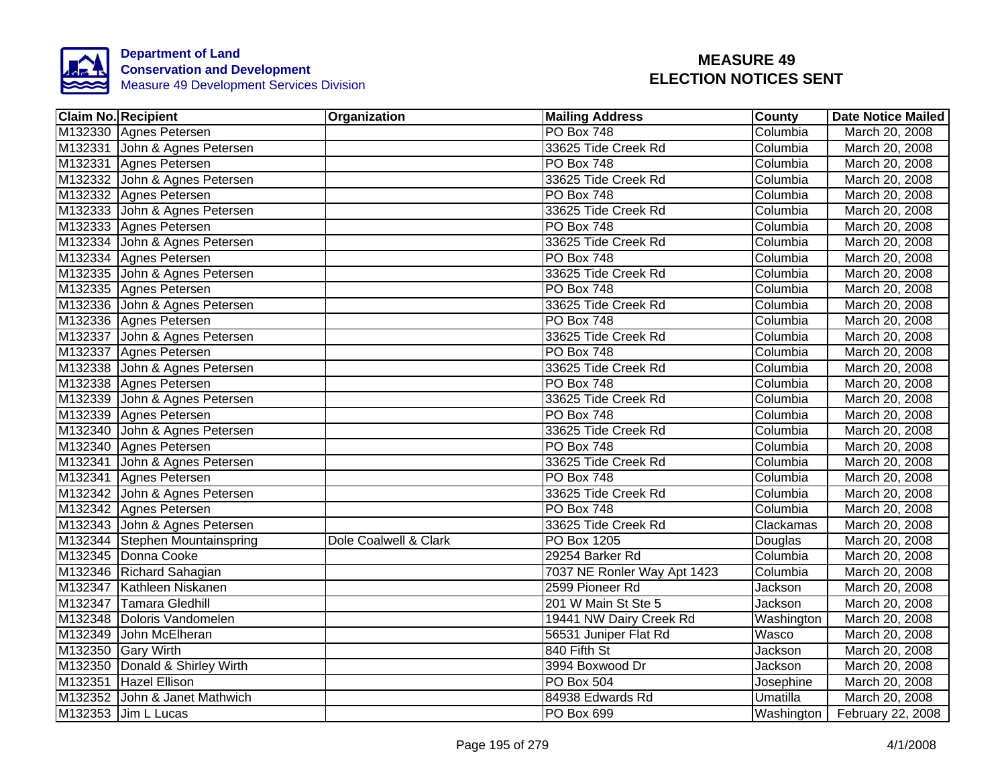

| <b>Claim No. Recipient</b> |                                | Organization          | <b>Mailing Address</b>      | <b>County</b> | <b>Date Notice Mailed</b>      |
|----------------------------|--------------------------------|-----------------------|-----------------------------|---------------|--------------------------------|
|                            | M132330 Agnes Petersen         |                       | <b>PO Box 748</b>           | Columbia      | March 20, 2008                 |
|                            | M132331 John & Agnes Petersen  |                       | 33625 Tide Creek Rd         | Columbia      | March 20, 2008                 |
|                            | M132331 Agnes Petersen         |                       | <b>PO Box 748</b>           | Columbia      | March 20, 2008                 |
|                            | M132332 John & Agnes Petersen  |                       | 33625 Tide Creek Rd         | Columbia      | March 20, 2008                 |
|                            | M132332 Agnes Petersen         |                       | <b>PO Box 748</b>           | Columbia      | March 20, 2008                 |
|                            | M132333 John & Agnes Petersen  |                       | 33625 Tide Creek Rd         | Columbia      | March 20, 2008                 |
|                            | M132333 Agnes Petersen         |                       | PO Box 748                  | Columbia      | March 20, 2008                 |
|                            | M132334 John & Agnes Petersen  |                       | 33625 Tide Creek Rd         | Columbia      | March 20, 2008                 |
|                            | M132334 Agnes Petersen         |                       | PO Box 748                  | Columbia      | March 20, 2008                 |
|                            | M132335 John & Agnes Petersen  |                       | 33625 Tide Creek Rd         | Columbia      | March 20, 2008                 |
|                            | M132335 Agnes Petersen         |                       | <b>PO Box 748</b>           | Columbia      | March 20, 2008                 |
|                            | M132336 John & Agnes Petersen  |                       | 33625 Tide Creek Rd         | Columbia      | March 20, 2008                 |
|                            | M132336 Agnes Petersen         |                       | <b>PO Box 748</b>           | Columbia      | March 20, 2008                 |
|                            | M132337 John & Agnes Petersen  |                       | 33625 Tide Creek Rd         | Columbia      | March 20, 2008                 |
|                            | M132337 Agnes Petersen         |                       | <b>PO Box 748</b>           | Columbia      | March 20, 2008                 |
|                            | M132338 John & Agnes Petersen  |                       | 33625 Tide Creek Rd         | Columbia      | March 20, 2008                 |
|                            | M132338 Agnes Petersen         |                       | PO Box 748                  | Columbia      | March 20, 2008                 |
|                            | M132339 John & Agnes Petersen  |                       | 33625 Tide Creek Rd         | Columbia      | March 20, 2008                 |
|                            | M132339 Agnes Petersen         |                       | <b>PO Box 748</b>           | Columbia      | March 20, 2008                 |
|                            | M132340 John & Agnes Petersen  |                       | 33625 Tide Creek Rd         | Columbia      | March 20, 2008                 |
|                            | M132340 Agnes Petersen         |                       | <b>PO Box 748</b>           | Columbia      | March 20, 2008                 |
|                            | M132341 John & Agnes Petersen  |                       | 33625 Tide Creek Rd         | Columbia      | March 20, 2008                 |
|                            | M132341 Agnes Petersen         |                       | <b>PO Box 748</b>           | Columbia      | March 20, 2008                 |
|                            | M132342 John & Agnes Petersen  |                       | 33625 Tide Creek Rd         | Columbia      | March 20, 2008                 |
|                            | M132342 Agnes Petersen         |                       | <b>PO Box 748</b>           | Columbia      | March 20, 2008                 |
|                            | M132343 John & Agnes Petersen  |                       | 33625 Tide Creek Rd         | Clackamas     | March 20, 2008                 |
|                            | M132344 Stephen Mountainspring | Dole Coalwell & Clark | <b>PO Box 1205</b>          | Douglas       | March 20, 2008                 |
|                            | M132345 Donna Cooke            |                       | 29254 Barker Rd             | Columbia      | March 20, 2008                 |
|                            | M132346 Richard Sahagian       |                       | 7037 NE Ronler Way Apt 1423 | Columbia      | March 20, 2008                 |
|                            | M132347 Kathleen Niskanen      |                       | 2599 Pioneer Rd             | Jackson       | March 20, 2008                 |
|                            | M132347 Tamara Gledhill        |                       | 201 W Main St Ste 5         | Jackson       | March 20, 2008                 |
|                            | M132348 Doloris Vandomelen     |                       | 19441 NW Dairy Creek Rd     | Washington    | March 20, 2008                 |
|                            | M132349 John McElheran         |                       | 56531 Juniper Flat Rd       | <b>Wasco</b>  | March 20, 2008                 |
|                            | M132350 Gary Wirth             |                       | 840 Fifth St                | Jackson       | March 20, 2008                 |
|                            | M132350 Donald & Shirley Wirth |                       | 3994 Boxwood Dr             | Jackson       | March 20, 2008                 |
|                            | M132351 Hazel Ellison          |                       | <b>PO Box 504</b>           | Josephine     | March 20, 2008                 |
|                            | M132352 John & Janet Mathwich  |                       | 84938 Edwards Rd            | Umatilla      | March 20, 2008                 |
|                            | M132353 Jim L Lucas            |                       | PO Box 699                  |               | Washington   February 22, 2008 |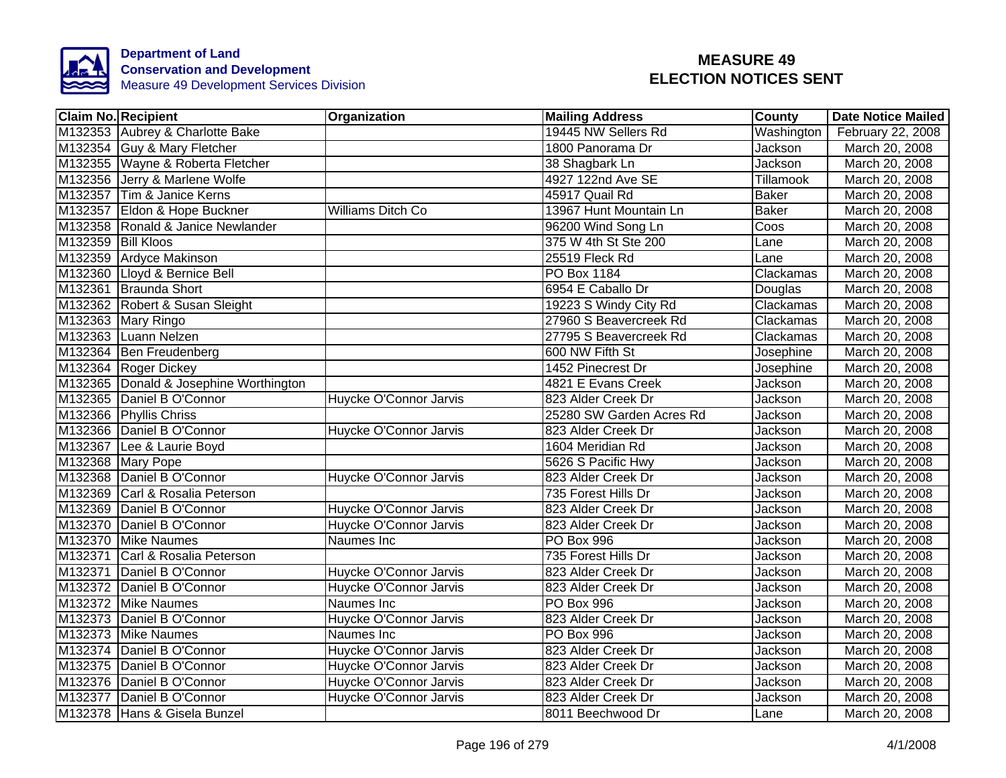

|                    | <b>Claim No. Recipient</b>             | <b>Organization</b>    | <b>Mailing Address</b>   | County       | <b>Date Notice Mailed</b> |
|--------------------|----------------------------------------|------------------------|--------------------------|--------------|---------------------------|
|                    | M132353 Aubrey & Charlotte Bake        |                        | 19445 NW Sellers Rd      | Washington   | February 22, 2008         |
|                    | M132354 Guy & Mary Fletcher            |                        | 1800 Panorama Dr         | Jackson      | March 20, 2008            |
|                    | M132355 Wayne & Roberta Fletcher       |                        | 38 Shagbark Ln           | Jackson      | March 20, 2008            |
|                    | M132356 Jerry & Marlene Wolfe          |                        | 4927 122nd Ave SE        | Tillamook    | March 20, 2008            |
|                    | M132357 Tim & Janice Kerns             |                        | 45917 Quail Rd           | <b>Baker</b> | March 20, 2008            |
|                    | M132357 Eldon & Hope Buckner           | Williams Ditch Co      | 13967 Hunt Mountain Ln   | <b>Baker</b> | March 20, 2008            |
|                    | M132358 Ronald & Janice Newlander      |                        | 96200 Wind Song Ln       | Coos         | March 20, 2008            |
| M132359 Bill Kloos |                                        |                        | 375 W 4th St Ste 200     | Lane         | March 20, 2008            |
|                    | M132359 Ardyce Makinson                |                        | 25519 Fleck Rd           | Lane         | March 20, 2008            |
|                    | M132360 Lloyd & Bernice Bell           |                        | PO Box 1184              | Clackamas    | March 20, 2008            |
|                    | M132361 Braunda Short                  |                        | 6954 E Caballo Dr        | Douglas      | March 20, 2008            |
|                    | M132362 Robert & Susan Sleight         |                        | 19223 S Windy City Rd    | Clackamas    | March 20, 2008            |
|                    | M132363 Mary Ringo                     |                        | 27960 S Beavercreek Rd   | Clackamas    | March 20, 2008            |
|                    | M132363 Luann Nelzen                   |                        | 27795 S Beavercreek Rd   | Clackamas    | March 20, 2008            |
|                    | M132364 Ben Freudenberg                |                        | 600 NW Fifth St          | Josephine    | March 20, 2008            |
|                    | M132364 Roger Dickey                   |                        | 1452 Pinecrest Dr        | Josephine    | March 20, 2008            |
|                    | M132365 Donald & Josephine Worthington |                        | 4821 E Evans Creek       | Jackson      | March 20, 2008            |
|                    | M132365 Daniel B O'Connor              | Huycke O'Connor Jarvis | 823 Alder Creek Dr       | Jackson      | March 20, 2008            |
|                    | M132366 Phyllis Chriss                 |                        | 25280 SW Garden Acres Rd | Jackson      | March 20, 2008            |
|                    | M132366 Daniel B O'Connor              | Huycke O'Connor Jarvis | 823 Alder Creek Dr       | Jackson      | March 20, 2008            |
|                    | M132367 Lee & Laurie Boyd              |                        | 1604 Meridian Rd         | Jackson      | March 20, 2008            |
|                    | M132368 Mary Pope                      |                        | 5626 S Pacific Hwy       | Jackson      | March 20, 2008            |
|                    | M132368 Daniel B O'Connor              | Huycke O'Connor Jarvis | 823 Alder Creek Dr       | Jackson      | March 20, 2008            |
|                    | M132369 Carl & Rosalia Peterson        |                        | 735 Forest Hills Dr      | Jackson      | March 20, 2008            |
|                    | M132369 Daniel B O'Connor              | Huycke O'Connor Jarvis | 823 Alder Creek Dr       | Jackson      | March 20, 2008            |
|                    | M132370 Daniel B O'Connor              | Huycke O'Connor Jarvis | 823 Alder Creek Dr       | Jackson      | March 20, 2008            |
|                    | M132370 Mike Naumes                    | Naumes Inc             | <b>PO Box 996</b>        | Jackson      | March 20, 2008            |
|                    | M132371 Carl & Rosalia Peterson        |                        | 735 Forest Hills Dr      | Jackson      | March 20, 2008            |
|                    | M132371 Daniel B O'Connor              | Huycke O'Connor Jarvis | 823 Alder Creek Dr       | Jackson      | March 20, 2008            |
|                    | M132372 Daniel B O'Connor              | Huycke O'Connor Jarvis | 823 Alder Creek Dr       | Jackson      | March 20, 2008            |
|                    | M132372 Mike Naumes                    | Naumes Inc             | PO Box 996               | Jackson      | March 20, 2008            |
|                    | M132373 Daniel B O'Connor              | Huycke O'Connor Jarvis | 823 Alder Creek Dr       | Jackson      | March 20, 2008            |
|                    | M132373 Mike Naumes                    | Naumes Inc             | <b>PO Box 996</b>        | Jackson      | March 20, 2008            |
|                    | M132374 Daniel B O'Connor              | Huycke O'Connor Jarvis | 823 Alder Creek Dr       | Jackson      | March 20, 2008            |
|                    | M132375 Daniel B O'Connor              | Huycke O'Connor Jarvis | 823 Alder Creek Dr       | Jackson      | March 20, 2008            |
|                    | M132376 Daniel B O'Connor              | Huycke O'Connor Jarvis | 823 Alder Creek Dr       | Jackson      | March 20, 2008            |
|                    | M132377 Daniel B O'Connor              | Huycke O'Connor Jarvis | 823 Alder Creek Dr       | Jackson      | March 20, 2008            |
|                    | M132378 Hans & Gisela Bunzel           |                        | 8011 Beechwood Dr        | Lane         | March 20, 2008            |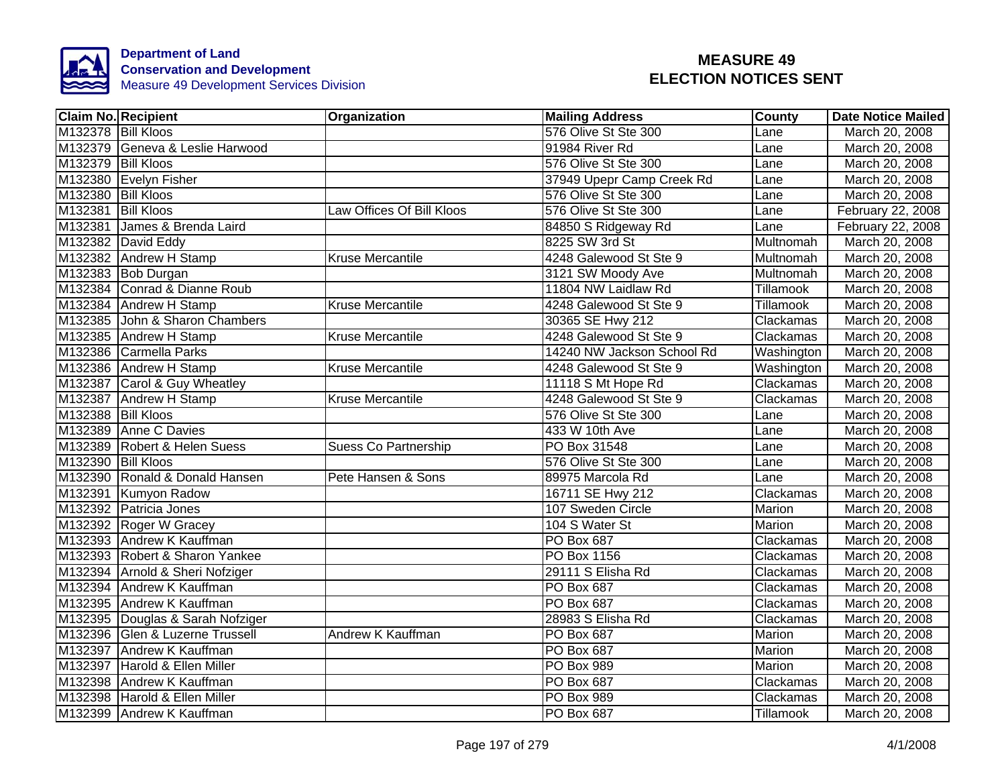

|                    | Claim No. Recipient              | <b>Organization</b>         | <b>Mailing Address</b>     | County        | Date Notice Mailed |
|--------------------|----------------------------------|-----------------------------|----------------------------|---------------|--------------------|
| M132378 Bill Kloos |                                  |                             | 576 Olive St Ste 300       | Lane          | March 20, 2008     |
|                    | M132379 Geneva & Leslie Harwood  |                             | 91984 River Rd             | Lane          | March 20, 2008     |
| M132379 Bill Kloos |                                  |                             | 576 Olive St Ste 300       | Lane          | March 20, 2008     |
|                    | M132380 Evelyn Fisher            |                             | 37949 Upepr Camp Creek Rd  | Lane          | March 20, 2008     |
| M132380 Bill Kloos |                                  |                             | 576 Olive St Ste 300       | Lane          | March 20, 2008     |
| M132381 Bill Kloos |                                  | Law Offices Of Bill Kloos   | 576 Olive St Ste 300       | Lane          | February 22, 2008  |
|                    | M132381 James & Brenda Laird     |                             | 84850 S Ridgeway Rd        | Lane          | February 22, 2008  |
|                    | M132382 David Eddy               |                             | 8225 SW 3rd St             | Multnomah     | March 20, 2008     |
|                    | M132382 Andrew H Stamp           | <b>Kruse Mercantile</b>     | 4248 Galewood St Ste 9     | Multnomah     | March 20, 2008     |
|                    | M132383 Bob Durgan               |                             | 3121 SW Moody Ave          | Multnomah     | March 20, 2008     |
|                    | M132384 Conrad & Dianne Roub     |                             | 11804 NW Laidlaw Rd        | Tillamook     | March 20, 2008     |
|                    | M132384 Andrew H Stamp           | <b>Kruse Mercantile</b>     | 4248 Galewood St Ste 9     | Tillamook     | March 20, 2008     |
|                    | M132385 John & Sharon Chambers   |                             | 30365 SE Hwy 212           | Clackamas     | March 20, 2008     |
|                    | M132385 Andrew H Stamp           | Kruse Mercantile            | 4248 Galewood St Ste 9     | Clackamas     | March 20, 2008     |
|                    | M132386 Carmella Parks           |                             | 14240 NW Jackson School Rd | Washington    | March 20, 2008     |
|                    | M132386 Andrew H Stamp           | <b>Kruse Mercantile</b>     | 4248 Galewood St Ste 9     | Washington    | March 20, 2008     |
|                    | M132387 Carol & Guy Wheatley     |                             | 11118 S Mt Hope Rd         | Clackamas     | March 20, 2008     |
|                    | M132387 Andrew H Stamp           | <b>Kruse Mercantile</b>     | 4248 Galewood St Ste 9     | Clackamas     | March 20, 2008     |
| M132388 Bill Kloos |                                  |                             | 576 Olive St Ste 300       | Lane          | March 20, 2008     |
|                    | M132389 Anne C Davies            |                             | 433 W 10th Ave             | Lane          | March 20, 2008     |
|                    | M132389 Robert & Helen Suess     | <b>Suess Co Partnership</b> | PO Box 31548               | Lane          | March 20, 2008     |
| M132390 Bill Kloos |                                  |                             | 576 Olive St Ste 300       | Lane          | March 20, 2008     |
|                    | M132390 Ronald & Donald Hansen   | Pete Hansen & Sons          | 89975 Marcola Rd           | Lane          | March 20, 2008     |
|                    | M132391 Kumyon Radow             |                             | 16711 SE Hwy 212           | Clackamas     | March 20, 2008     |
|                    | M132392 Patricia Jones           |                             | 107 Sweden Circle          | Marion        | March 20, 2008     |
|                    | M132392 Roger W Gracey           |                             | 104 S Water St             | <b>Marion</b> | March 20, 2008     |
|                    | M132393 Andrew K Kauffman        |                             | <b>PO Box 687</b>          | Clackamas     | March 20, 2008     |
|                    | M132393 Robert & Sharon Yankee   |                             | PO Box 1156                | Clackamas     | March 20, 2008     |
|                    | M132394 Arnold & Sheri Nofziger  |                             | 29111 S Elisha Rd          | Clackamas     | March 20, 2008     |
|                    | M132394 Andrew K Kauffman        |                             | PO Box 687                 | Clackamas     | March 20, 2008     |
|                    | M132395 Andrew K Kauffman        |                             | PO Box 687                 | Clackamas     | March 20, 2008     |
|                    | M132395 Douglas & Sarah Nofziger |                             | 28983 S Elisha Rd          | Clackamas     | March 20, 2008     |
|                    | M132396 Glen & Luzerne Trussell  | Andrew K Kauffman           | PO Box 687                 | Marion        | March 20, 2008     |
|                    | M132397 Andrew K Kauffman        |                             | PO Box 687                 | Marion        | March 20, 2008     |
|                    | M132397 Harold & Ellen Miller    |                             | PO Box 989                 | Marion        | March 20, 2008     |
|                    | M132398 Andrew K Kauffman        |                             | PO Box 687                 | Clackamas     | March 20, 2008     |
|                    | M132398 Harold & Ellen Miller    |                             | PO Box 989                 | Clackamas     | March 20, 2008     |
|                    | M132399 Andrew K Kauffman        |                             | PO Box 687                 | Tillamook     | March 20, 2008     |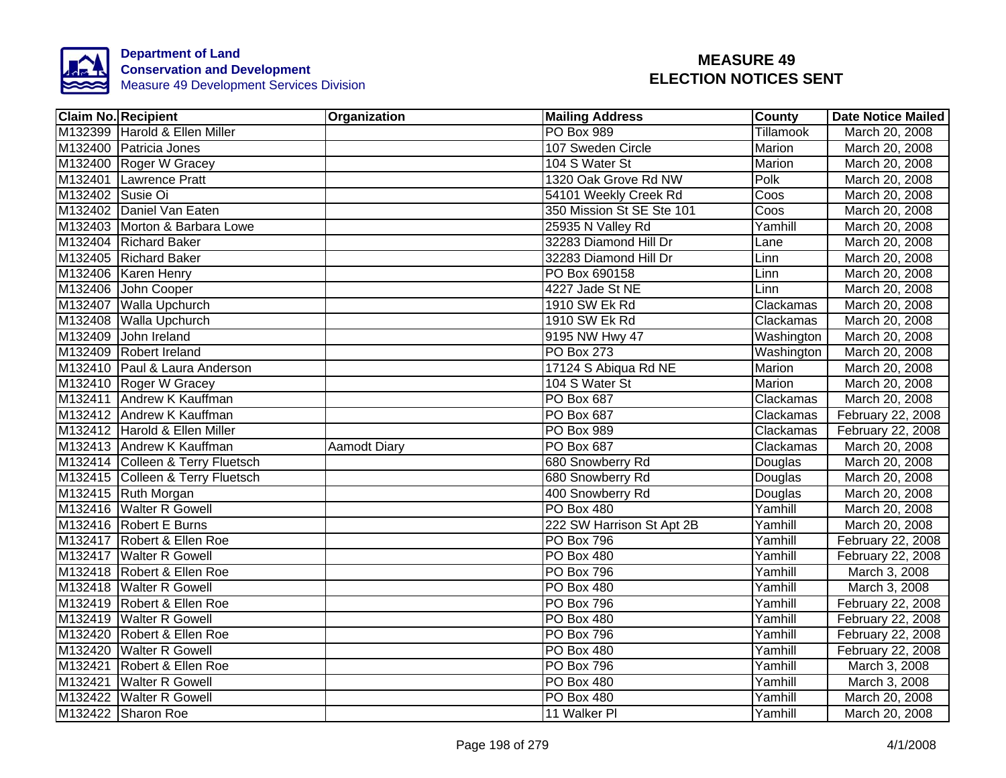

|                  | <b>Claim No. Recipient</b>       | Organization        | <b>Mailing Address</b>    | <b>County</b>    | <b>Date Notice Mailed</b> |
|------------------|----------------------------------|---------------------|---------------------------|------------------|---------------------------|
|                  | M132399 Harold & Ellen Miller    |                     | <b>PO Box 989</b>         | <b>Tillamook</b> | March 20, 2008            |
|                  | M132400 Patricia Jones           |                     | 107 Sweden Circle         | Marion           | March 20, 2008            |
|                  | M132400 Roger W Gracey           |                     | 104 S Water St            | <b>Marion</b>    | March 20, 2008            |
|                  | M132401 Lawrence Pratt           |                     | 1320 Oak Grove Rd NW      | Polk             | March 20, 2008            |
| M132402 Susie Oi |                                  |                     | 54101 Weekly Creek Rd     | Coos             | March 20, 2008            |
|                  | M132402 Daniel Van Eaten         |                     | 350 Mission St SE Ste 101 | Coos             | March 20, 2008            |
|                  | M132403 Morton & Barbara Lowe    |                     | 25935 N Valley Rd         | Yamhill          | March 20, 2008            |
|                  | M132404 Richard Baker            |                     | 32283 Diamond Hill Dr     | Lane             | March 20, 2008            |
|                  | M132405 Richard Baker            |                     | 32283 Diamond Hill Dr     | Linn             | March 20, 2008            |
|                  | M132406   Karen Henry            |                     | PO Box 690158             | Linn             | March 20, 2008            |
|                  | M132406 John Cooper              |                     | 4227 Jade St NE           | Linn             | March 20, 2008            |
|                  | M132407 Walla Upchurch           |                     | 1910 SW Ek Rd             | Clackamas        | March 20, 2008            |
|                  | M132408 Walla Upchurch           |                     | 1910 SW Ek Rd             | Clackamas        | March 20, 2008            |
|                  | M132409 John Ireland             |                     | 9195 NW Hwy 47            | Washington       | March 20, 2008            |
|                  | M132409 Robert Ireland           |                     | <b>PO Box 273</b>         | Washington       | March 20, 2008            |
|                  | M132410 Paul & Laura Anderson    |                     | 17124 S Abiqua Rd NE      | <b>Marion</b>    | March 20, 2008            |
|                  | M132410 Roger W Gracey           |                     | 104 S Water St            | <b>Marion</b>    | March 20, 2008            |
|                  | M132411 Andrew K Kauffman        |                     | <b>PO Box 687</b>         | Clackamas        | March 20, 2008            |
|                  | M132412 Andrew K Kauffman        |                     | <b>PO Box 687</b>         | Clackamas        | February 22, 2008         |
|                  | M132412 Harold & Ellen Miller    |                     | PO Box 989                | Clackamas        | February 22, 2008         |
|                  | M132413 Andrew K Kauffman        | <b>Aamodt Diary</b> | <b>PO Box 687</b>         | Clackamas        | March 20, 2008            |
|                  | M132414 Colleen & Terry Fluetsch |                     | 680 Snowberry Rd          | Douglas          | March 20, 2008            |
|                  | M132415 Colleen & Terry Fluetsch |                     | 680 Snowberry Rd          | Douglas          | March 20, 2008            |
|                  | M132415 Ruth Morgan              |                     | 400 Snowberry Rd          | Douglas          | March 20, 2008            |
|                  | M132416 Walter R Gowell          |                     | <b>PO Box 480</b>         | Yamhill          | March 20, 2008            |
|                  | M132416 Robert E Burns           |                     | 222 SW Harrison St Apt 2B | Yamhill          | March 20, 2008            |
|                  | M132417 Robert & Ellen Roe       |                     | <b>PO Box 796</b>         | Yamhill          | February 22, 2008         |
|                  | M132417 Walter R Gowell          |                     | PO Box 480                | Yamhill          | February 22, 2008         |
|                  | M132418 Robert & Ellen Roe       |                     | <b>PO Box 796</b>         | Yamhill          | March 3, 2008             |
|                  | M132418 Walter R Gowell          |                     | <b>PO Box 480</b>         | Yamhill          | March 3, 2008             |
|                  | M132419 Robert & Ellen Roe       |                     | <b>PO Box 796</b>         | Yamhill          | February 22, 2008         |
|                  | M132419 Walter R Gowell          |                     | PO Box 480                | Yamhill          | February 22, 2008         |
|                  | M132420 Robert & Ellen Roe       |                     | <b>PO Box 796</b>         | Yamhill          | February 22, 2008         |
|                  | M132420 Walter R Gowell          |                     | PO Box 480                | Yamhill          | February 22, 2008         |
|                  | M132421 Robert & Ellen Roe       |                     | PO Box 796                | Yamhill          | March 3, 2008             |
|                  | M132421 Walter R Gowell          |                     | <b>PO Box 480</b>         | Yamhill          | March 3, 2008             |
|                  | M132422 Walter R Gowell          |                     | PO Box 480                | Yamhill          | March 20, 2008            |
|                  | M132422 Sharon Roe               |                     | 11 Walker PI              | Yamhill          | March 20, 2008            |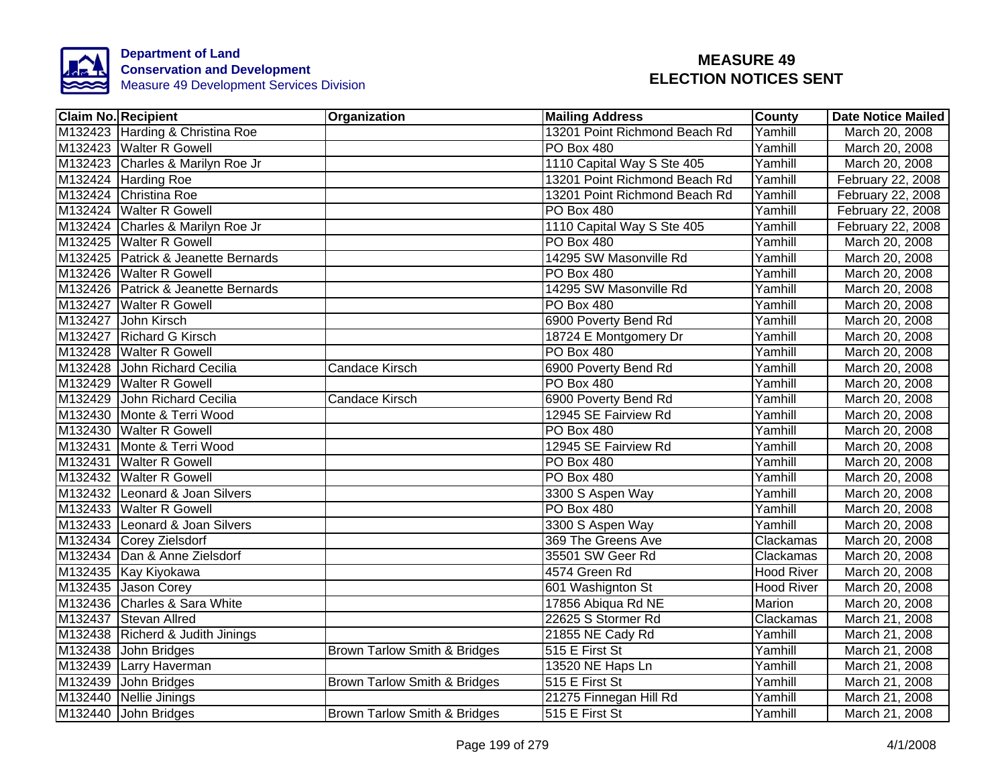

| <b>Claim No. Recipient</b>          | Organization                 | <b>Mailing Address</b>        | <b>County</b>     | <b>Date Notice Mailed</b> |
|-------------------------------------|------------------------------|-------------------------------|-------------------|---------------------------|
| M132423 Harding & Christina Roe     |                              | 13201 Point Richmond Beach Rd | Yamhill           | March 20, 2008            |
| M132423 Walter R Gowell             |                              | PO Box 480                    | Yamhill           | March 20, 2008            |
| M132423 Charles & Marilyn Roe Jr    |                              | 1110 Capital Way S Ste 405    | Yamhill           | March 20, 2008            |
| M132424 Harding Roe                 |                              | 13201 Point Richmond Beach Rd | Yamhill           | February 22, 2008         |
| M132424 Christina Roe               |                              | 13201 Point Richmond Beach Rd | Yamhill           | February 22, 2008         |
| M132424 Walter R Gowell             |                              | PO Box 480                    | Yamhill           | February 22, 2008         |
| M132424 Charles & Marilyn Roe Jr    |                              | 1110 Capital Way S Ste 405    | Yamhill           | February 22, 2008         |
| M132425 Walter R Gowell             |                              | <b>PO Box 480</b>             | Yamhill           | March 20, 2008            |
| M132425 Patrick & Jeanette Bernards |                              | 14295 SW Masonville Rd        | Yamhill           | March 20, 2008            |
| M132426 Walter R Gowell             |                              | PO Box 480                    | Yamhill           | March 20, 2008            |
| M132426 Patrick & Jeanette Bernards |                              | 14295 SW Masonville Rd        | Yamhill           | March 20, 2008            |
| M132427 Walter R Gowell             |                              | PO Box 480                    | Yamhill           | March 20, 2008            |
| M132427 John Kirsch                 |                              | 6900 Poverty Bend Rd          | Yamhill           | March 20, 2008            |
| M132427 Richard G Kirsch            |                              | 18724 E Montgomery Dr         | Yamhill           | March 20, 2008            |
| M132428 Walter R Gowell             |                              | PO Box 480                    | Yamhill           | March 20, 2008            |
| M132428 John Richard Cecilia        | <b>Candace Kirsch</b>        | 6900 Poverty Bend Rd          | Yamhill           | March 20, 2008            |
| M132429 Walter R Gowell             |                              | <b>PO Box 480</b>             | Yamhill           | March 20, 2008            |
| M132429 John Richard Cecilia        | <b>Candace Kirsch</b>        | 6900 Poverty Bend Rd          | Yamhill           | March 20, 2008            |
| M132430 Monte & Terri Wood          |                              | 12945 SE Fairview Rd          | Yamhill           | March 20, 2008            |
| M132430 Walter R Gowell             |                              | PO Box 480                    | Yamhill           | March 20, 2008            |
| M132431 Monte & Terri Wood          |                              | 12945 SE Fairview Rd          | Yamhill           | March 20, 2008            |
| M132431 Walter R Gowell             |                              | PO Box 480                    | Yamhill           | March 20, 2008            |
| M132432 Walter R Gowell             |                              | <b>PO Box 480</b>             | Yamhill           | March 20, 2008            |
| M132432 Leonard & Joan Silvers      |                              | 3300 S Aspen Way              | Yamhill           | March 20, 2008            |
| M132433 Walter R Gowell             |                              | <b>PO Box 480</b>             | Yamhill           | March 20, 2008            |
| M132433 Leonard & Joan Silvers      |                              | 3300 S Aspen Way              | Yamhill           | March 20, 2008            |
| M132434 Corey Zielsdorf             |                              | 369 The Greens Ave            | Clackamas         | March 20, 2008            |
| M132434 Dan & Anne Zielsdorf        |                              | 35501 SW Geer Rd              | Clackamas         | March 20, 2008            |
| M132435 Kay Kiyokawa                |                              | 4574 Green Rd                 | <b>Hood River</b> | March 20, 2008            |
| M132435 Jason Corey                 |                              | 601 Washignton St             | <b>Hood River</b> | March 20, 2008            |
| M132436 Charles & Sara White        |                              | 17856 Abiqua Rd NE            | Marion            | March 20, 2008            |
| M132437 Stevan Allred               |                              | 22625 S Stormer Rd            | Clackamas         | March 21, 2008            |
| M132438 Richerd & Judith Jinings    |                              | 21855 NE Cady Rd              | Yamhill           | March 21, 2008            |
| M132438 John Bridges                | Brown Tarlow Smith & Bridges | 515 E First St                | Yamhill           | March 21, 2008            |
| M132439 Larry Haverman              |                              | 13520 NE Haps Ln              | Yamhill           | March 21, 2008            |
| M132439 John Bridges                | Brown Tarlow Smith & Bridges | 515 E First St                | Yamhill           | March 21, 2008            |
| M132440 Nellie Jinings              |                              | 21275 Finnegan Hill Rd        | Yamhill           | March 21, 2008            |
| M132440 John Bridges                | Brown Tarlow Smith & Bridges | 515 E First St                | Yamhill           | March 21, 2008            |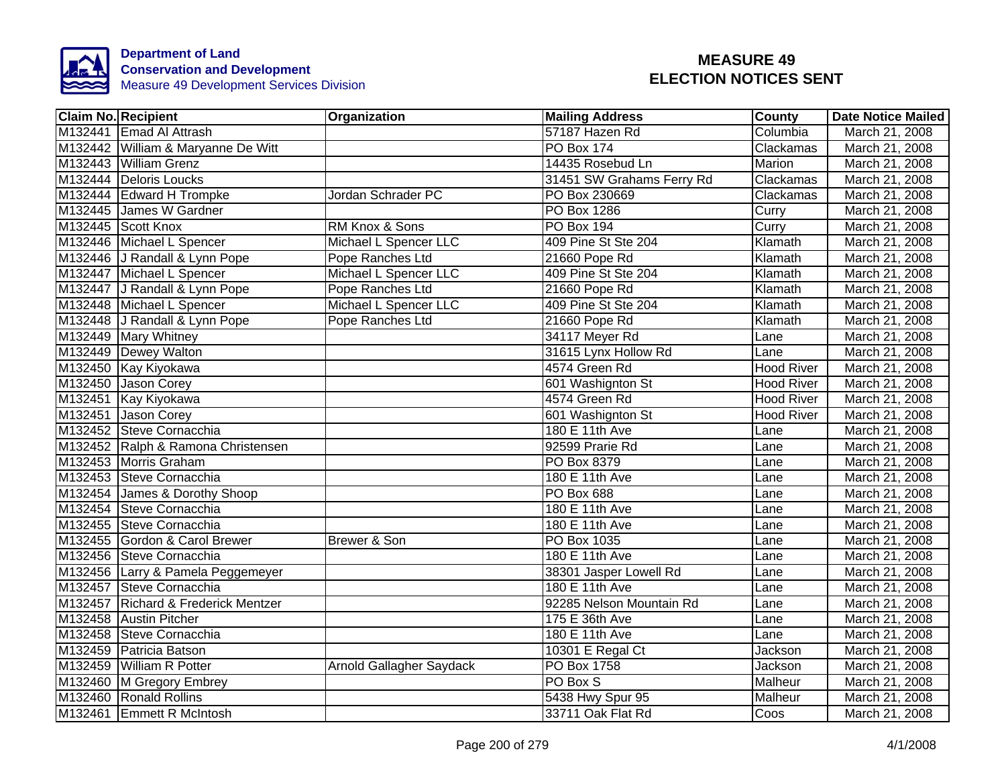

| <b>Claim No. Recipient</b>          | Organization             | <b>Mailing Address</b>      | <b>County</b>     | <b>Date Notice Mailed</b> |
|-------------------------------------|--------------------------|-----------------------------|-------------------|---------------------------|
| M132441 Emad Al Attrash             |                          | 57187 Hazen Rd              | Columbia          | March 21, 2008            |
| M132442 William & Maryanne De Witt  |                          | <b>PO Box 174</b>           | Clackamas         | March 21, 2008            |
| M132443 William Grenz               |                          | 14435 Rosebud Ln            | Marion            | March 21, 2008            |
| M132444 Deloris Loucks              |                          | 31451 SW Grahams Ferry Rd   | Clackamas         | March 21, 2008            |
| M132444 Edward H Trompke            | Jordan Schrader PC       | PO Box 230669               | Clackamas         | March 21, 2008            |
| M132445 James W Gardner             |                          | PO Box 1286                 | Curry             | March 21, 2008            |
| M132445 Scott Knox                  | RM Knox & Sons           | PO Box 194                  | Curry             | March 21, 2008            |
| M132446 Michael L Spencer           | Michael L Spencer LLC    | 409 Pine St Ste 204         | Klamath           | March 21, 2008            |
| M132446 J Randall & Lynn Pope       | Pope Ranches Ltd         | 21660 Pope Rd               | Klamath           | March 21, 2008            |
| M132447 Michael L Spencer           | Michael L Spencer LLC    | 409 Pine St Ste 204         | Klamath           | March 21, 2008            |
| M132447 J Randall & Lynn Pope       | Pope Ranches Ltd         | 21660 Pope Rd               | Klamath           | March 21, 2008            |
| M132448 Michael L Spencer           | Michael L Spencer LLC    | 409 Pine St Ste 204         | Klamath           | March 21, 2008            |
| M132448 J Randall & Lynn Pope       | Pope Ranches Ltd         | 21660 Pope Rd               | Klamath           | March 21, 2008            |
| M132449 Mary Whitney                |                          | 34117 Meyer Rd              | Lane              | March 21, 2008            |
| M132449 Dewey Walton                |                          | 31615 Lynx Hollow Rd        | Lane              | March 21, 2008            |
| M132450 Kay Kiyokawa                |                          | 4574 Green Rd               | <b>Hood River</b> | March 21, 2008            |
| M132450 Jason Corey                 |                          | 601 Washignton St           | <b>Hood River</b> | March 21, 2008            |
| M132451 Kay Kiyokawa                |                          | 4574 Green Rd               | <b>Hood River</b> | March 21, 2008            |
| M132451 Jason Corey                 |                          | 601 Washignton St           | <b>Hood River</b> | March 21, 2008            |
| M132452 Steve Cornacchia            |                          | 180 E 11th Ave              | Lane              | March 21, 2008            |
| M132452 Ralph & Ramona Christensen  |                          | 92599 Prarie Rd             | Lane              | March 21, 2008            |
| M132453 Morris Graham               |                          | PO Box 8379                 | Lane              | March 21, 2008            |
| M132453 Steve Cornacchia            |                          | 180 E 11th Ave              | Lane              | March 21, 2008            |
| M132454 James & Dorothy Shoop       |                          | PO Box 688                  | Lane              | March 21, 2008            |
| M132454 Steve Cornacchia            |                          | 180 E 11th Ave              | Lane              | March 21, 2008            |
| M132455 Steve Cornacchia            |                          | $\overline{180}$ E 11th Ave | Lane              | March 21, 2008            |
| M132455 Gordon & Carol Brewer       | Brewer & Son             | <b>PO Box 1035</b>          | Lane              | March 21, 2008            |
| M132456 Steve Cornacchia            |                          | 180 E 11th Ave              | Lane              | March 21, 2008            |
| M132456 Larry & Pamela Peggemeyer   |                          | 38301 Jasper Lowell Rd      | Lane              | March 21, 2008            |
| M132457 Steve Cornacchia            |                          | 180 E 11th Ave              | Lane              | March 21, 2008            |
| M132457 Richard & Frederick Mentzer |                          | 92285 Nelson Mountain Rd    | Lane              | March 21, 2008            |
| M132458 Austin Pitcher              |                          | 175 E 36th Ave              | Lane              | March 21, 2008            |
| M132458 Steve Cornacchia            |                          | 180 E 11th Ave              | Lane              | March 21, 2008            |
| M132459 Patricia Batson             |                          | 10301 E Regal Ct            | Jackson           | March 21, 2008            |
| M132459 William R Potter            | Arnold Gallagher Saydack | PO Box 1758                 | Jackson           | March 21, 2008            |
| M132460 M Gregory Embrey            |                          | PO Box S                    | Malheur           | March 21, 2008            |
| M132460 Ronald Rollins              |                          | 5438 Hwy Spur 95            | Malheur           | March 21, 2008            |
| M132461 Emmett R McIntosh           |                          | 33711 Oak Flat Rd           | Coos              | March 21, 2008            |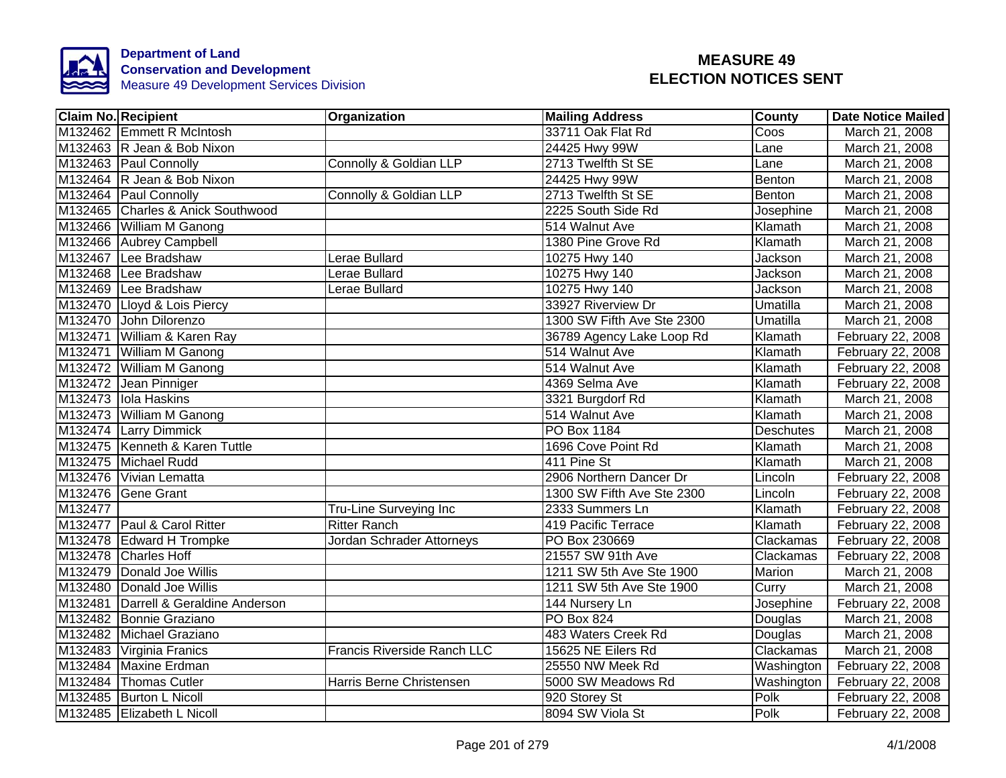

|         | <b>Claim No. Recipient</b>           | Organization                | <b>Mailing Address</b>     | County     | <b>Date Notice Mailed</b> |
|---------|--------------------------------------|-----------------------------|----------------------------|------------|---------------------------|
|         | M132462 Emmett R McIntosh            |                             | 33711 Oak Flat Rd          | Coos       | March 21, 2008            |
|         | M132463 R Jean & Bob Nixon           |                             | 24425 Hwy 99W              | Lane       | March 21, 2008            |
|         | M132463 Paul Connolly                | Connolly & Goldian LLP      | 2713 Twelfth St SE         | Lane       | March 21, 2008            |
|         | M132464 R Jean & Bob Nixon           |                             | 24425 Hwy 99W              | Benton     | March 21, 2008            |
|         | M132464 Paul Connolly                | Connolly & Goldian LLP      | 2713 Twelfth St SE         | Benton     | March 21, 2008            |
|         | M132465 Charles & Anick Southwood    |                             | 2225 South Side Rd         | Josephine  | March 21, 2008            |
|         | M132466 William M Ganong             |                             | 514 Walnut Ave             | Klamath    | March 21, 2008            |
|         | M132466 Aubrey Campbell              |                             | 1380 Pine Grove Rd         | Klamath    | March 21, 2008            |
|         | M132467 Lee Bradshaw                 | Lerae Bullard               | 10275 Hwy 140              | Jackson    | March 21, 2008            |
|         | M132468 Lee Bradshaw                 | Lerae Bullard               | 10275 Hwy 140              | Jackson    | March 21, 2008            |
|         | M132469 Lee Bradshaw                 | Lerae Bullard               | 10275 Hwy 140              | Jackson    | March 21, 2008            |
|         | M132470 Lloyd & Lois Piercy          |                             | 33927 Riverview Dr         | Umatilla   | March 21, 2008            |
|         | M132470 John Dilorenzo               |                             | 1300 SW Fifth Ave Ste 2300 | Umatilla   | March 21, 2008            |
|         | M132471 William & Karen Ray          |                             | 36789 Agency Lake Loop Rd  | Klamath    | February 22, 2008         |
|         | M132471 William M Ganong             |                             | 514 Walnut Ave             | Klamath    | February 22, 2008         |
|         | M132472 William M Ganong             |                             | 514 Walnut Ave             | Klamath    | February 22, 2008         |
|         | M132472 Jean Pinniger                |                             | 4369 Selma Ave             | Klamath    | February 22, 2008         |
|         | M132473 Iola Haskins                 |                             | 3321 Burgdorf Rd           | Klamath    | March 21, 2008            |
|         | M132473 William M Ganong             |                             | 514 Walnut Ave             | Klamath    | March 21, 2008            |
|         | M132474 Larry Dimmick                |                             | <b>PO Box 1184</b>         | Deschutes  | March 21, 2008            |
|         | M132475 Kenneth & Karen Tuttle       |                             | 1696 Cove Point Rd         | Klamath    | March 21, 2008            |
|         | M132475 Michael Rudd                 |                             | 411 Pine St                | Klamath    | March 21, 2008            |
|         | M132476 Vivian Lematta               |                             | 2906 Northern Dancer Dr    | Lincoln    | February 22, 2008         |
|         | M132476 Gene Grant                   |                             | 1300 SW Fifth Ave Ste 2300 | Lincoln    | February 22, 2008         |
| M132477 |                                      | Tru-Line Surveying Inc      | 2333 Summers Ln            | Klamath    | February 22, 2008         |
|         | M132477 Paul & Carol Ritter          | <b>Ritter Ranch</b>         | 419 Pacific Terrace        | Klamath    | February 22, 2008         |
|         | M132478 Edward H Trompke             | Jordan Schrader Attorneys   | PO Box 230669              | Clackamas  | February 22, 2008         |
|         | M132478 Charles Hoff                 |                             | 21557 SW 91th Ave          | Clackamas  | February 22, 2008         |
|         | M132479 Donald Joe Willis            |                             | 1211 SW 5th Ave Ste 1900   | Marion     | March 21, 2008            |
|         | M132480 Donald Joe Willis            |                             | 1211 SW 5th Ave Ste 1900   | Curry      | March 21, 2008            |
|         | M132481 Darrell & Geraldine Anderson |                             | 144 Nursery Ln             | Josephine  | February 22, 2008         |
|         | M132482 Bonnie Graziano              |                             | <b>PO Box 824</b>          | Douglas    | March 21, 2008            |
|         | M132482 Michael Graziano             |                             | 483 Waters Creek Rd        | Douglas    | March 21, 2008            |
|         | M132483 Virginia Franics             | Francis Riverside Ranch LLC | 15625 NE Eilers Rd         | Clackamas  | March 21, 2008            |
|         | M132484 Maxine Erdman                |                             | 25550 NW Meek Rd           | Washington | February 22, 2008         |
|         | M132484 Thomas Cutler                | Harris Berne Christensen    | 5000 SW Meadows Rd         | Washington | February 22, 2008         |
|         | M132485 Burton L Nicoll              |                             | 920 Storey St              | Polk       | February 22, 2008         |
|         | M132485 Elizabeth L Nicoll           |                             | 8094 SW Viola St           | Polk       | February 22, 2008         |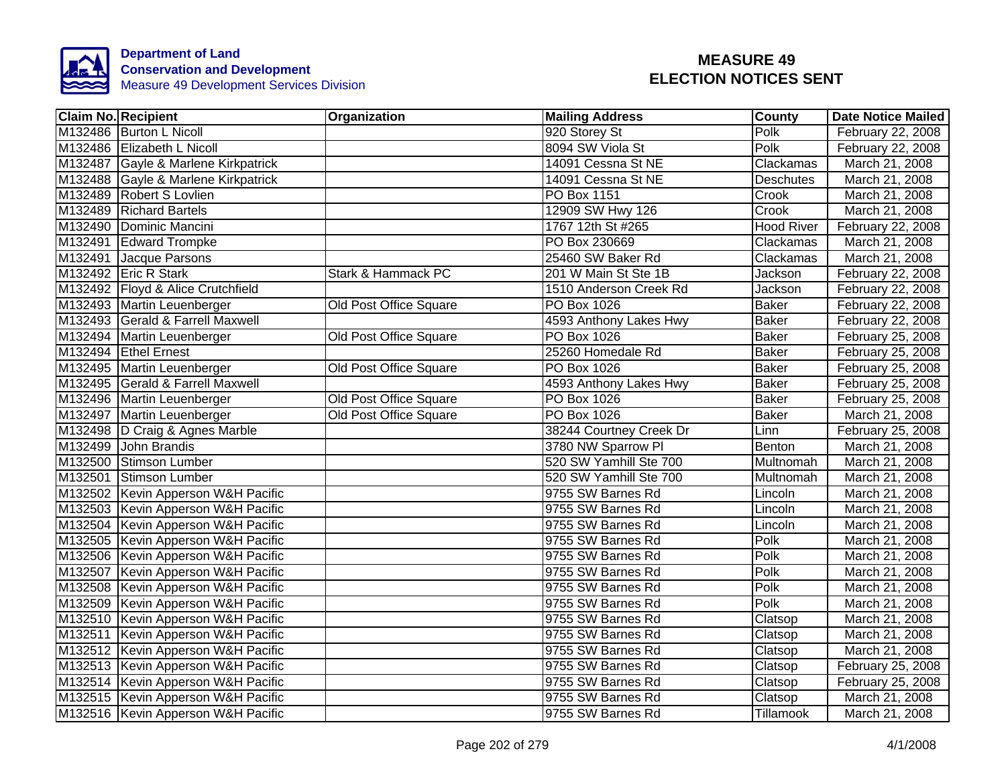

| <b>Claim No. Recipient</b>          | Organization                  | <b>Mailing Address</b>  | County            | <b>Date Notice Mailed</b> |
|-------------------------------------|-------------------------------|-------------------------|-------------------|---------------------------|
| M132486 Burton L Nicoll             |                               | 920 Storey St           | Polk              | February 22, 2008         |
| M132486 Elizabeth L Nicoll          |                               | 8094 SW Viola St        | Polk              | February 22, 2008         |
| M132487 Gayle & Marlene Kirkpatrick |                               | 14091 Cessna St NE      | Clackamas         | March 21, 2008            |
| M132488 Gayle & Marlene Kirkpatrick |                               | 14091 Cessna St NE      | <b>Deschutes</b>  | March 21, 2008            |
| M132489 Robert S Lovlien            |                               | PO Box 1151             | Crook             | March 21, 2008            |
| M132489 Richard Bartels             |                               | 12909 SW Hwy 126        | Crook             | March 21, 2008            |
| M132490 Dominic Mancini             |                               | 1767 12th St #265       | <b>Hood River</b> | February 22, 2008         |
| M132491 Edward Trompke              |                               | PO Box 230669           | Clackamas         | March 21, 2008            |
| M132491 Jacque Parsons              |                               | 25460 SW Baker Rd       | Clackamas         | March 21, 2008            |
| M132492 Eric R Stark                | Stark & Hammack PC            | 201 W Main St Ste 1B    | Jackson           | February 22, 2008         |
| M132492 Floyd & Alice Crutchfield   |                               | 1510 Anderson Creek Rd  | Jackson           | February 22, 2008         |
| M132493 Martin Leuenberger          | Old Post Office Square        | PO Box 1026             | <b>Baker</b>      | February 22, 2008         |
| M132493 Gerald & Farrell Maxwell    |                               | 4593 Anthony Lakes Hwy  | <b>Baker</b>      | February 22, 2008         |
| M132494 Martin Leuenberger          | Old Post Office Square        | <b>PO Box 1026</b>      | <b>Baker</b>      | February 25, 2008         |
| M132494 Ethel Ernest                |                               | 25260 Homedale Rd       | <b>Baker</b>      | February 25, 2008         |
| M132495 Martin Leuenberger          | <b>Old Post Office Square</b> | <b>PO Box 1026</b>      | <b>Baker</b>      | February 25, 2008         |
| M132495 Gerald & Farrell Maxwell    |                               | 4593 Anthony Lakes Hwy  | <b>Baker</b>      | February 25, 2008         |
| M132496 Martin Leuenberger          | Old Post Office Square        | <b>PO Box 1026</b>      | <b>Baker</b>      | February 25, 2008         |
| M132497 Martin Leuenberger          | Old Post Office Square        | <b>PO Box 1026</b>      | <b>Baker</b>      | March 21, 2008            |
| M132498 D Craig & Agnes Marble      |                               | 38244 Courtney Creek Dr | Linn              | February 25, 2008         |
| M132499 John Brandis                |                               | 3780 NW Sparrow Pl      | Benton            | March 21, 2008            |
| M132500 Stimson Lumber              |                               | 520 SW Yamhill Ste 700  | Multnomah         | March 21, 2008            |
| M132501 Stimson Lumber              |                               | 520 SW Yamhill Ste 700  | Multnomah         | March 21, 2008            |
| M132502 Kevin Apperson W&H Pacific  |                               | 9755 SW Barnes Rd       | Lincoln           | March 21, 2008            |
| M132503 Kevin Apperson W&H Pacific  |                               | 9755 SW Barnes Rd       | Lincoln           | March 21, 2008            |
| M132504 Kevin Apperson W&H Pacific  |                               | 9755 SW Barnes Rd       | Lincoln           | March 21, 2008            |
| M132505 Kevin Apperson W&H Pacific  |                               | 9755 SW Barnes Rd       | Polk              | March 21, 2008            |
| M132506 Kevin Apperson W&H Pacific  |                               | 9755 SW Barnes Rd       | Polk              | March 21, 2008            |
| M132507 Kevin Apperson W&H Pacific  |                               | 9755 SW Barnes Rd       | Polk              | March 21, 2008            |
| M132508 Kevin Apperson W&H Pacific  |                               | 9755 SW Barnes Rd       | Polk              | March 21, 2008            |
| M132509 Kevin Apperson W&H Pacific  |                               | 9755 SW Barnes Rd       | Polk              | March 21, 2008            |
| M132510 Kevin Apperson W&H Pacific  |                               | 9755 SW Barnes Rd       | Clatsop           | March 21, 2008            |
| M132511 Kevin Apperson W&H Pacific  |                               | 9755 SW Barnes Rd       | Clatsop           | March 21, 2008            |
| M132512 Kevin Apperson W&H Pacific  |                               | 9755 SW Barnes Rd       | Clatsop           | March 21, 2008            |
| M132513 Kevin Apperson W&H Pacific  |                               | 9755 SW Barnes Rd       | Clatsop           | February 25, 2008         |
| M132514 Kevin Apperson W&H Pacific  |                               | 9755 SW Barnes Rd       | Clatsop           | February 25, 2008         |
| M132515 Kevin Apperson W&H Pacific  |                               | 9755 SW Barnes Rd       | Clatsop           | March 21, 2008            |
| M132516 Kevin Apperson W&H Pacific  |                               | 9755 SW Barnes Rd       | Tillamook         | March 21, 2008            |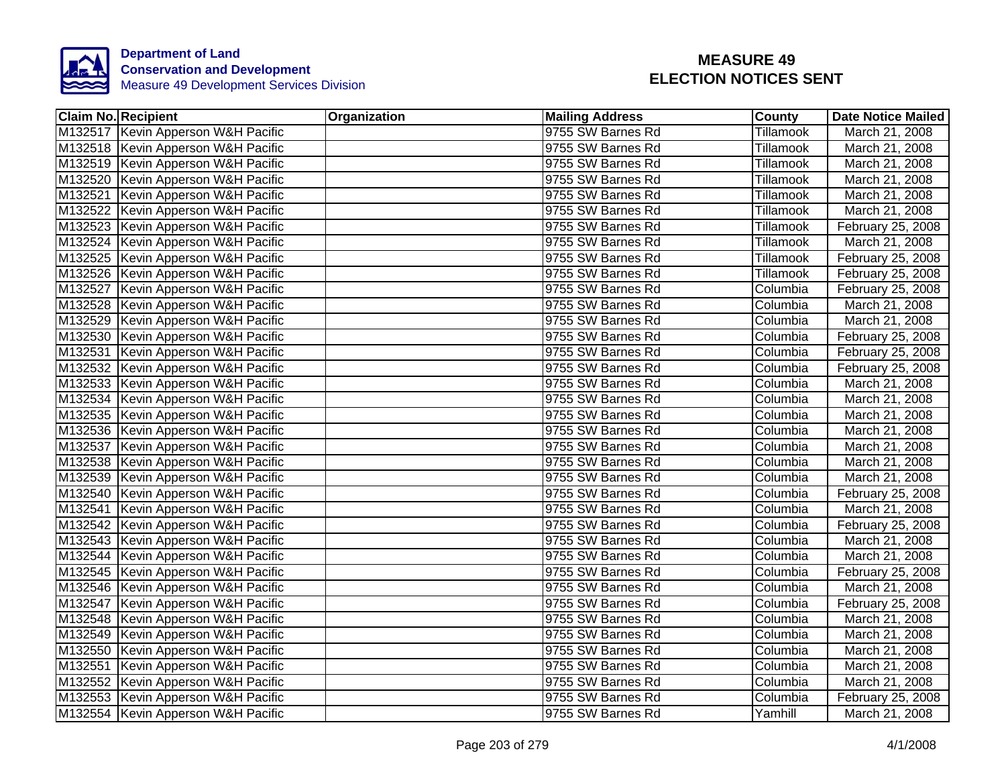

| <b>Claim No. Recipient</b>           | Organization | <b>Mailing Address</b> | <b>County</b> | <b>Date Notice Mailed</b> |
|--------------------------------------|--------------|------------------------|---------------|---------------------------|
| M132517 Kevin Apperson W&H Pacific   |              | 9755 SW Barnes Rd      | Tillamook     | March 21, 2008            |
| M132518 Kevin Apperson W&H Pacific   |              | 9755 SW Barnes Rd      | Tillamook     | March 21, 2008            |
| M132519 Kevin Apperson W&H Pacific   |              | 9755 SW Barnes Rd      | Tillamook     | March 21, 2008            |
| M132520 Kevin Apperson W&H Pacific   |              | 9755 SW Barnes Rd      | Tillamook     | March 21, 2008            |
| M132521 Kevin Apperson W&H Pacific   |              | 9755 SW Barnes Rd      | Tillamook     | March 21, 2008            |
| M132522 Kevin Apperson W&H Pacific   |              | 9755 SW Barnes Rd      | Tillamook     | March 21, 2008            |
| M132523 Kevin Apperson W&H Pacific   |              | 9755 SW Barnes Rd      | Tillamook     | February 25, 2008         |
| M132524 Kevin Apperson W&H Pacific   |              | 9755 SW Barnes Rd      | Tillamook     | March 21, 2008            |
| M132525 Kevin Apperson W&H Pacific   |              | 9755 SW Barnes Rd      | Tillamook     | February 25, 2008         |
| M132526 Kevin Apperson W&H Pacific   |              | 9755 SW Barnes Rd      | Tillamook     | February 25, 2008         |
| M132527 Kevin Apperson W&H Pacific   |              | 9755 SW Barnes Rd      | Columbia      | February 25, 2008         |
| M132528 Kevin Apperson W&H Pacific   |              | 9755 SW Barnes Rd      | Columbia      | March 21, 2008            |
| M132529 Kevin Apperson W&H Pacific   |              | 9755 SW Barnes Rd      | Columbia      | March 21, 2008            |
| M132530 Kevin Apperson W&H Pacific   |              | 9755 SW Barnes Rd      | Columbia      | February 25, 2008         |
| M132531 Kevin Apperson W&H Pacific   |              | 9755 SW Barnes Rd      | Columbia      | February 25, 2008         |
| M132532 Kevin Apperson W&H Pacific   |              | 9755 SW Barnes Rd      | Columbia      | February 25, 2008         |
| M132533 Kevin Apperson W&H Pacific   |              | 9755 SW Barnes Rd      | Columbia      | March 21, 2008            |
| M132534 Kevin Apperson W&H Pacific   |              | 9755 SW Barnes Rd      | Columbia      | March 21, 2008            |
| M132535 Kevin Apperson W&H Pacific   |              | 9755 SW Barnes Rd      | Columbia      | March 21, 2008            |
| M132536 Kevin Apperson W&H Pacific   |              | 9755 SW Barnes Rd      | Columbia      | March 21, 2008            |
| M132537 Kevin Apperson W&H Pacific   |              | 9755 SW Barnes Rd      | Columbia      | March 21, 2008            |
| M132538 Kevin Apperson W&H Pacific   |              | 9755 SW Barnes Rd      | Columbia      | March 21, 2008            |
| M132539 Kevin Apperson W&H Pacific   |              | 9755 SW Barnes Rd      | Columbia      | March 21, 2008            |
| M132540 Kevin Apperson W&H Pacific   |              | 9755 SW Barnes Rd      | Columbia      | February 25, 2008         |
| M132541 Kevin Apperson W&H Pacific   |              | 9755 SW Barnes Rd      | Columbia      | March 21, 2008            |
| M132542 Kevin Apperson W&H Pacific   |              | 9755 SW Barnes Rd      | Columbia      | February 25, 2008         |
| M132543 Kevin Apperson W&H Pacific   |              | 9755 SW Barnes Rd      | Columbia      | March 21, 2008            |
| M132544 Kevin Apperson W&H Pacific   |              | 9755 SW Barnes Rd      | Columbia      | March 21, 2008            |
| M132545 Kevin Apperson W&H Pacific   |              | 9755 SW Barnes Rd      | Columbia      | February 25, 2008         |
| M132546 Kevin Apperson W&H Pacific   |              | 9755 SW Barnes Rd      | Columbia      | March 21, 2008            |
| M132547 Kevin Apperson W&H Pacific   |              | 9755 SW Barnes Rd      | Columbia      | February 25, 2008         |
| M132548   Kevin Apperson W&H Pacific |              | 9755 SW Barnes Rd      | Columbia      | March 21, 2008            |
| M132549 Kevin Apperson W&H Pacific   |              | 9755 SW Barnes Rd      | Columbia      | March 21, 2008            |
| M132550 Kevin Apperson W&H Pacific   |              | 9755 SW Barnes Rd      | Columbia      | March 21, 2008            |
| M132551 Kevin Apperson W&H Pacific   |              | 9755 SW Barnes Rd      | Columbia      | March 21, 2008            |
| M132552 Kevin Apperson W&H Pacific   |              | 9755 SW Barnes Rd      | Columbia      | March 21, 2008            |
| M132553 Kevin Apperson W&H Pacific   |              | 9755 SW Barnes Rd      | Columbia      | February 25, 2008         |
| M132554 Kevin Apperson W&H Pacific   |              | 9755 SW Barnes Rd      | Yamhill       | March 21, 2008            |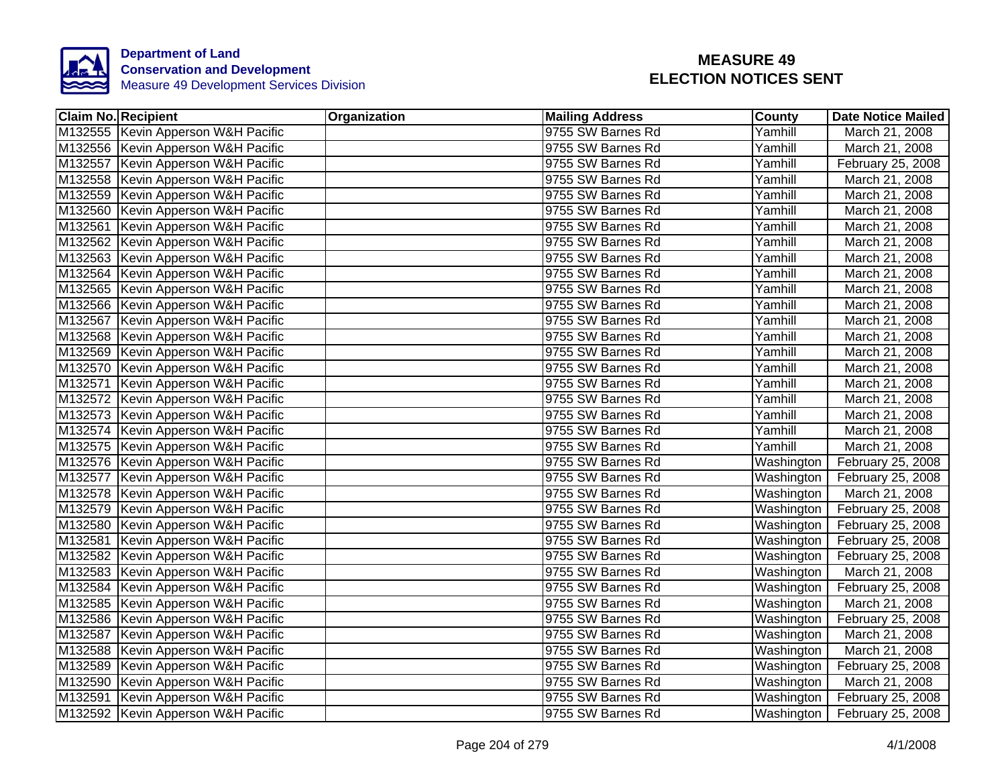

| <b>Claim No. Recipient</b>           | Organization | <b>Mailing Address</b> | <b>County</b> | <b>Date Notice Mailed</b>      |
|--------------------------------------|--------------|------------------------|---------------|--------------------------------|
| M132555 Kevin Apperson W&H Pacific   |              | 9755 SW Barnes Rd      | Yamhill       | March 21, 2008                 |
| M132556 Kevin Apperson W&H Pacific   |              | 9755 SW Barnes Rd      | Yamhill       | March 21, 2008                 |
| M132557 Kevin Apperson W&H Pacific   |              | 9755 SW Barnes Rd      | Yamhill       | February 25, 2008              |
| M132558 Kevin Apperson W&H Pacific   |              | 9755 SW Barnes Rd      | Yamhill       | March 21, 2008                 |
| M132559 Kevin Apperson W&H Pacific   |              | 9755 SW Barnes Rd      | Yamhill       | March 21, 2008                 |
| M132560 Kevin Apperson W&H Pacific   |              | 9755 SW Barnes Rd      | Yamhill       | March 21, 2008                 |
| M132561 Kevin Apperson W&H Pacific   |              | 9755 SW Barnes Rd      | Yamhill       | March 21, 2008                 |
| M132562 Kevin Apperson W&H Pacific   |              | 9755 SW Barnes Rd      | Yamhill       | March 21, 2008                 |
| M132563 Kevin Apperson W&H Pacific   |              | 9755 SW Barnes Rd      | Yamhill       | March 21, 2008                 |
| M132564 Kevin Apperson W&H Pacific   |              | 9755 SW Barnes Rd      | Yamhill       | March 21, 2008                 |
| M132565 Kevin Apperson W&H Pacific   |              | 9755 SW Barnes Rd      | Yamhill       | March 21, 2008                 |
| M132566 Kevin Apperson W&H Pacific   |              | 9755 SW Barnes Rd      | Yamhill       | March 21, 2008                 |
| M132567 Kevin Apperson W&H Pacific   |              | 9755 SW Barnes Rd      | Yamhill       | March 21, 2008                 |
| M132568 Kevin Apperson W&H Pacific   |              | 9755 SW Barnes Rd      | Yamhill       | March 21, 2008                 |
| M132569 Kevin Apperson W&H Pacific   |              | 9755 SW Barnes Rd      | Yamhill       | March 21, 2008                 |
| M132570 Kevin Apperson W&H Pacific   |              | 9755 SW Barnes Rd      | Yamhill       | March 21, 2008                 |
| M132571 Kevin Apperson W&H Pacific   |              | 9755 SW Barnes Rd      | Yamhill       | March 21, 2008                 |
| M132572 Kevin Apperson W&H Pacific   |              | 9755 SW Barnes Rd      | Yamhill       | March 21, 2008                 |
| M132573 Kevin Apperson W&H Pacific   |              | 9755 SW Barnes Rd      | Yamhill       | March 21, 2008                 |
| M132574 Kevin Apperson W&H Pacific   |              | 9755 SW Barnes Rd      | Yamhill       | March 21, 2008                 |
| M132575 Kevin Apperson W&H Pacific   |              | 9755 SW Barnes Rd      | Yamhill       | March 21, 2008                 |
| M132576 Kevin Apperson W&H Pacific   |              | 9755 SW Barnes Rd      | Washington    | February 25, 2008              |
| M132577 Kevin Apperson W&H Pacific   |              | 9755 SW Barnes Rd      | Washington    | February 25, 2008              |
| M132578 Kevin Apperson W&H Pacific   |              | 9755 SW Barnes Rd      | Washington    | March 21, 2008                 |
| M132579 Kevin Apperson W&H Pacific   |              | 9755 SW Barnes Rd      | Washington    | February 25, 2008              |
| M132580 Kevin Apperson W&H Pacific   |              | 9755 SW Barnes Rd      | Washington    | February 25, 2008              |
| M132581 Kevin Apperson W&H Pacific   |              | 9755 SW Barnes Rd      | Washington    | February 25, 2008              |
| M132582 Kevin Apperson W&H Pacific   |              | 9755 SW Barnes Rd      | Washington    | February 25, 2008              |
| M132583 Kevin Apperson W&H Pacific   |              | 9755 SW Barnes Rd      | Washington    | March 21, 2008                 |
| M132584 Kevin Apperson W&H Pacific   |              | 9755 SW Barnes Rd      | Washington    | February 25, 2008              |
| M132585   Kevin Apperson W&H Pacific |              | 9755 SW Barnes Rd      | Washington    | March 21, 2008                 |
| M132586 Kevin Apperson W&H Pacific   |              | 9755 SW Barnes Rd      | Washington    | February 25, 2008              |
| M132587 Kevin Apperson W&H Pacific   |              | 9755 SW Barnes Rd      | Washington    | March 21, 2008                 |
| M132588 Kevin Apperson W&H Pacific   |              | 9755 SW Barnes Rd      | Washington    | March 21, 2008                 |
| M132589 Kevin Apperson W&H Pacific   |              | 9755 SW Barnes Rd      | Washington    | February 25, 2008              |
| M132590 Kevin Apperson W&H Pacific   |              | 9755 SW Barnes Rd      | Washington    | March 21, 2008                 |
| M132591 Kevin Apperson W&H Pacific   |              | 9755 SW Barnes Rd      | Washington    | February 25, 2008              |
| M132592 Kevin Apperson W&H Pacific   |              | 9755 SW Barnes Rd      |               | Washington   February 25, 2008 |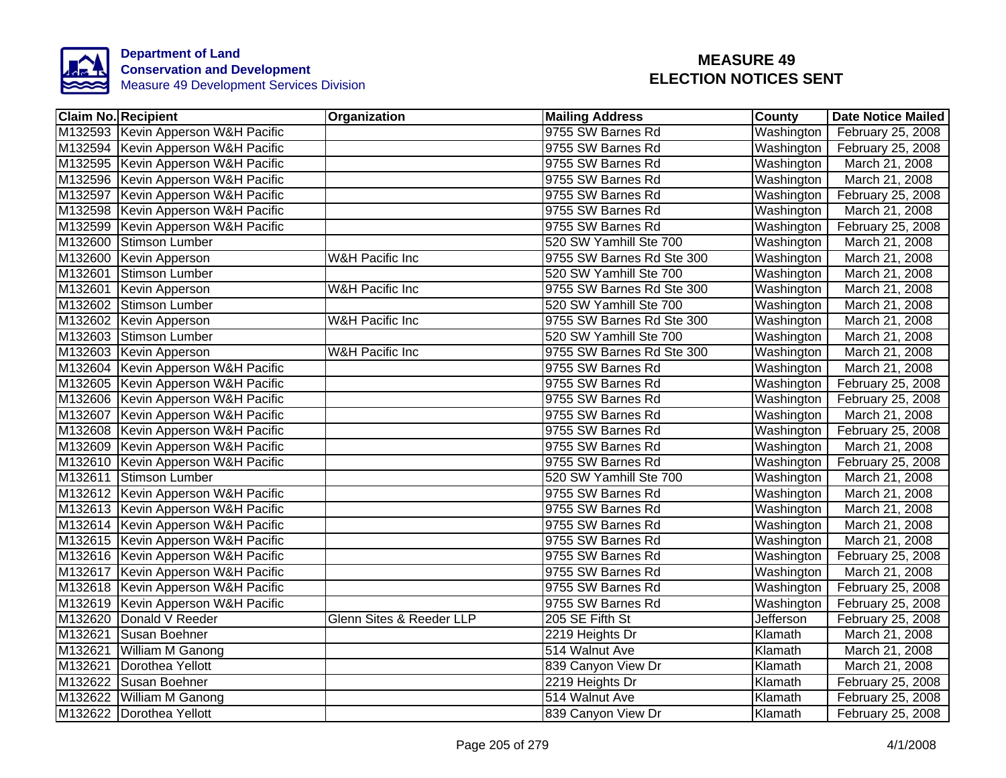

| <b>Claim No. Recipient</b>         | Organization               | <b>Mailing Address</b>    | <b>County</b> | <b>Date Notice Mailed</b> |
|------------------------------------|----------------------------|---------------------------|---------------|---------------------------|
| M132593 Kevin Apperson W&H Pacific |                            | 9755 SW Barnes Rd         | Washington    | February 25, 2008         |
| M132594 Kevin Apperson W&H Pacific |                            | 9755 SW Barnes Rd         | Washington    | February 25, 2008         |
| M132595 Kevin Apperson W&H Pacific |                            | 9755 SW Barnes Rd         | Washington    | March 21, 2008            |
| M132596 Kevin Apperson W&H Pacific |                            | 9755 SW Barnes Rd         | Washington    | March 21, 2008            |
| M132597 Kevin Apperson W&H Pacific |                            | 9755 SW Barnes Rd         | Washington    | February 25, 2008         |
| M132598 Kevin Apperson W&H Pacific |                            | 9755 SW Barnes Rd         | Washington    | March 21, 2008            |
| M132599 Kevin Apperson W&H Pacific |                            | 9755 SW Barnes Rd         | Washington    | February 25, 2008         |
| M132600 Stimson Lumber             |                            | 520 SW Yamhill Ste 700    | Washington    | March 21, 2008            |
| M132600 Kevin Apperson             | W&H Pacific Inc            | 9755 SW Barnes Rd Ste 300 | Washington    | March 21, 2008            |
| M132601 Stimson Lumber             |                            | 520 SW Yamhill Ste 700    | Washington    | March 21, 2008            |
| M132601 Kevin Apperson             | <b>W&amp;H Pacific Inc</b> | 9755 SW Barnes Rd Ste 300 | Washington    | March 21, 2008            |
| M132602 Stimson Lumber             |                            | 520 SW Yamhill Ste 700    | Washington    | March 21, 2008            |
| M132602 Kevin Apperson             | <b>W&amp;H Pacific Inc</b> | 9755 SW Barnes Rd Ste 300 | Washington    | March 21, 2008            |
| M132603 Stimson Lumber             |                            | 520 SW Yamhill Ste 700    | Washington    | March 21, 2008            |
| M132603 Kevin Apperson             | <b>W&amp;H Pacific Inc</b> | 9755 SW Barnes Rd Ste 300 | Washington    | March 21, 2008            |
| M132604 Kevin Apperson W&H Pacific |                            | 9755 SW Barnes Rd         | Washington    | March 21, 2008            |
| M132605 Kevin Apperson W&H Pacific |                            | 9755 SW Barnes Rd         | Washington    | February 25, 2008         |
| M132606 Kevin Apperson W&H Pacific |                            | 9755 SW Barnes Rd         | Washington    | February 25, 2008         |
| M132607 Kevin Apperson W&H Pacific |                            | 9755 SW Barnes Rd         | Washington    | March 21, 2008            |
| M132608 Kevin Apperson W&H Pacific |                            | 9755 SW Barnes Rd         | Washington    | February 25, 2008         |
| M132609 Kevin Apperson W&H Pacific |                            | 9755 SW Barnes Rd         | Washington    | March 21, 2008            |
| M132610 Kevin Apperson W&H Pacific |                            | 9755 SW Barnes Rd         | Washington    | February 25, 2008         |
| M132611 Stimson Lumber             |                            | 520 SW Yamhill Ste 700    | Washington    | March 21, 2008            |
| M132612 Kevin Apperson W&H Pacific |                            | 9755 SW Barnes Rd         | Washington    | March 21, 2008            |
| M132613 Kevin Apperson W&H Pacific |                            | 9755 SW Barnes Rd         | Washington    | March 21, 2008            |
| M132614 Kevin Apperson W&H Pacific |                            | 9755 SW Barnes Rd         | Washington    | March 21, 2008            |
| M132615 Kevin Apperson W&H Pacific |                            | 9755 SW Barnes Rd         | Washington    | March 21, 2008            |
| M132616 Kevin Apperson W&H Pacific |                            | 9755 SW Barnes Rd         | Washington    | February 25, 2008         |
| M132617 Kevin Apperson W&H Pacific |                            | 9755 SW Barnes Rd         | Washington    | March 21, 2008            |
| M132618 Kevin Apperson W&H Pacific |                            | 9755 SW Barnes Rd         | Washington    | February 25, 2008         |
| M132619 Kevin Apperson W&H Pacific |                            | 9755 SW Barnes Rd         | Washington    | February 25, 2008         |
| M132620 Donald V Reeder            | Glenn Sites & Reeder LLP   | 205 SE Fifth St           | Jefferson     | February 25, 2008         |
| M132621<br>Susan Boehner           |                            | 2219 Heights Dr           | Klamath       | March 21, 2008            |
| M132621<br>William M Ganong        |                            | 514 Walnut Ave            | Klamath       | March 21, 2008            |
| Dorothea Yellott<br>M132621        |                            | 839 Canyon View Dr        | Klamath       | March 21, 2008            |
| M132622 Susan Boehner              |                            | 2219 Heights Dr           | Klamath       | February 25, 2008         |
| M132622 William M Ganong           |                            | 514 Walnut Ave            | Klamath       | February 25, 2008         |
| M132622 Dorothea Yellott           |                            | 839 Canyon View Dr        | Klamath       | February 25, 2008         |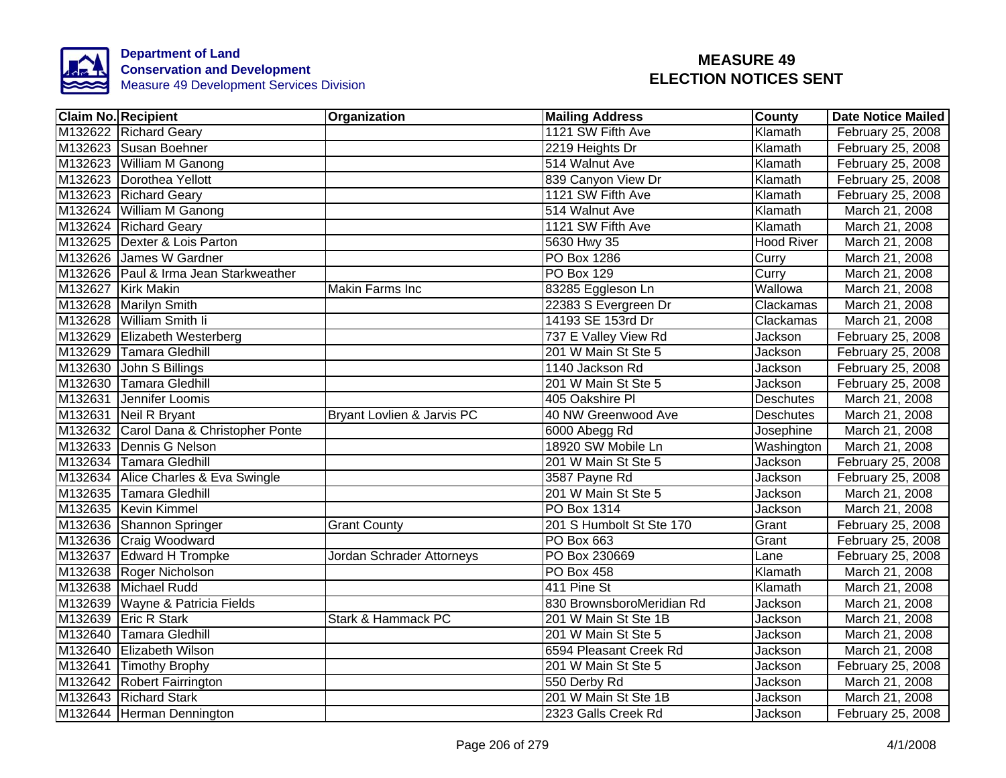

| <b>Claim No. Recipient</b>             | <b>Organization</b>        | <b>Mailing Address</b>    | County            | <b>Date Notice Mailed</b> |
|----------------------------------------|----------------------------|---------------------------|-------------------|---------------------------|
| M132622 Richard Geary                  |                            | 1121 SW Fifth Ave         | Klamath           | February 25, 2008         |
| M132623 Susan Boehner                  |                            | 2219 Heights Dr           | Klamath           | February 25, 2008         |
| M132623 William M Ganong               |                            | 514 Walnut Ave            | Klamath           | February 25, 2008         |
| M132623 Dorothea Yellott               |                            | 839 Canyon View Dr        | Klamath           | February 25, 2008         |
| M132623 Richard Geary                  |                            | 1121 SW Fifth Ave         | Klamath           | February 25, 2008         |
| M132624 William M Ganong               |                            | 514 Walnut Ave            | Klamath           | March 21, 2008            |
| M132624 Richard Geary                  |                            | 1121 SW Fifth Ave         | Klamath           | March 21, 2008            |
| M132625   Dexter & Lois Parton         |                            | 5630 Hwy 35               | <b>Hood River</b> | March 21, 2008            |
| M132626 James W Gardner                |                            | PO Box 1286               | Curry             | March 21, 2008            |
| M132626 Paul & Irma Jean Starkweather  |                            | PO Box 129                | Curry             | March 21, 2008            |
| M132627 Kirk Makin                     | <b>Makin Farms Inc</b>     | 83285 Eggleson Ln         | Wallowa           | March 21, 2008            |
| M132628 Marilyn Smith                  |                            | 22383 S Evergreen Dr      | Clackamas         | March 21, 2008            |
| M132628 William Smith Ii               |                            | 14193 SE 153rd Dr         | Clackamas         | March 21, 2008            |
| M132629 Elizabeth Westerberg           |                            | 737 E Valley View Rd      | Jackson           | February 25, 2008         |
| M132629 Tamara Gledhill                |                            | 201 W Main St Ste 5       | Jackson           | February 25, 2008         |
| M132630 John S Billings                |                            | 1140 Jackson Rd           | <b>Jackson</b>    | February 25, 2008         |
| M132630 Tamara Gledhill                |                            | 201 W Main St Ste 5       | <b>Jackson</b>    | February 25, 2008         |
| M132631 Jennifer Loomis                |                            | 405 Oakshire PI           | <b>Deschutes</b>  | March 21, 2008            |
| M132631 Neil R Bryant                  | Bryant Lovlien & Jarvis PC | 40 NW Greenwood Ave       | <b>Deschutes</b>  | March 21, 2008            |
| M132632 Carol Dana & Christopher Ponte |                            | 6000 Abegg Rd             | Josephine         | March 21, 2008            |
| M132633 Dennis G Nelson                |                            | 18920 SW Mobile Ln        | Washington        | March 21, 2008            |
| M132634 Tamara Gledhill                |                            | 201 W Main St Ste 5       | Jackson           | February 25, 2008         |
| M132634 Alice Charles & Eva Swingle    |                            | 3587 Payne Rd             | Jackson           | February 25, 2008         |
| M132635 Tamara Gledhill                |                            | 201 W Main St Ste 5       | Jackson           | March 21, 2008            |
| M132635 Kevin Kimmel                   |                            | PO Box 1314               | Jackson           | March 21, 2008            |
| M132636 Shannon Springer               | <b>Grant County</b>        | 201 S Humbolt St Ste 170  | Grant             | February 25, 2008         |
| M132636 Craig Woodward                 |                            | <b>PO Box 663</b>         | Grant             | February 25, 2008         |
| M132637 Edward H Trompke               | Jordan Schrader Attorneys  | PO Box 230669             | Lane              | February 25, 2008         |
| M132638 Roger Nicholson                |                            | PO Box 458                | Klamath           | March 21, 2008            |
| M132638 Michael Rudd                   |                            | 411 Pine St               | Klamath           | March 21, 2008            |
| M132639 Wayne & Patricia Fields        |                            | 830 BrownsboroMeridian Rd | Jackson           | March 21, 2008            |
| M132639 Eric R Stark                   | Stark & Hammack PC         | 201 W Main St Ste 1B      | Jackson           | March 21, 2008            |
| M132640<br>Tamara Gledhill             |                            | 201 W Main St Ste 5       | Jackson           | March 21, 2008            |
| M132640 Elizabeth Wilson               |                            | 6594 Pleasant Creek Rd    | Jackson           | March 21, 2008            |
| M132641 Timothy Brophy                 |                            | 201 W Main St Ste 5       | Jackson           | February 25, 2008         |
| M132642 Robert Fairrington             |                            | 550 Derby Rd              | Jackson           | March 21, 2008            |
| M132643 Richard Stark                  |                            | 201 W Main St Ste 1B      | Jackson           | March 21, 2008            |
| M132644 Herman Dennington              |                            | 2323 Galls Creek Rd       | Jackson           | February 25, 2008         |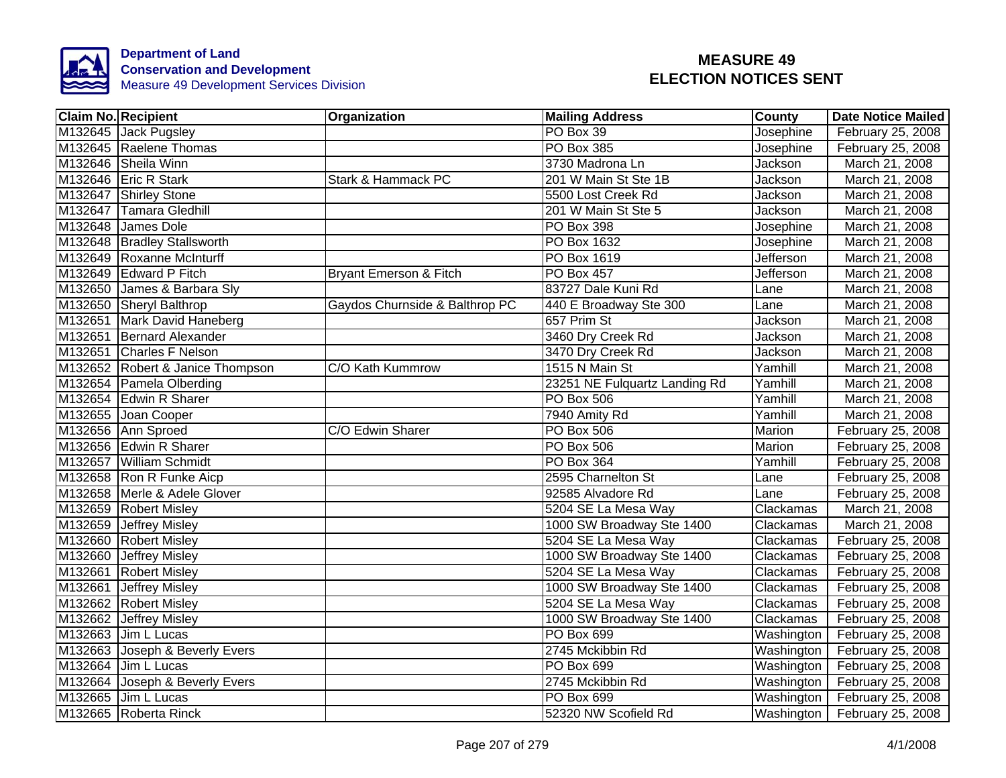

| <b>Claim No. Recipient</b> |                                  | Organization                   | <b>Mailing Address</b>        | County     | <b>Date Notice Mailed</b>      |
|----------------------------|----------------------------------|--------------------------------|-------------------------------|------------|--------------------------------|
|                            | M132645 Jack Pugsley             |                                | PO Box 39                     | Josephine  | February 25, 2008              |
|                            | M132645 Raelene Thomas           |                                | <b>PO Box 385</b>             | Josephine  | February 25, 2008              |
|                            | M132646 Sheila Winn              |                                | 3730 Madrona Ln               | Jackson    | March 21, 2008                 |
|                            | M132646 Eric R Stark             | Stark & Hammack PC             | 201 W Main St Ste 1B          | Jackson    | March 21, 2008                 |
|                            | M132647 Shirley Stone            |                                | 5500 Lost Creek Rd            | Jackson    | March 21, 2008                 |
|                            | M132647 Tamara Gledhill          |                                | 201 W Main St Ste 5           | Jackson    | March 21, 2008                 |
|                            | M132648 James Dole               |                                | PO Box 398                    | Josephine  | March 21, 2008                 |
|                            | M132648   Bradley Stallsworth    |                                | PO Box 1632                   | Josephine  | March 21, 2008                 |
|                            | M132649 Roxanne McInturff        |                                | PO Box 1619                   | Jefferson  | March 21, 2008                 |
|                            | M132649 Edward P Fitch           | Bryant Emerson & Fitch         | PO Box 457                    | Jefferson  | March 21, 2008                 |
|                            | M132650 James & Barbara Sly      |                                | 83727 Dale Kuni Rd            | Lane       | March 21, 2008                 |
|                            | M132650 Sheryl Balthrop          | Gaydos Churnside & Balthrop PC | 440 E Broadway Ste 300        | Lane       | March 21, 2008                 |
|                            | M132651 Mark David Haneberg      |                                | 657 Prim St                   | Jackson    | March 21, 2008                 |
|                            | M132651 Bernard Alexander        |                                | 3460 Dry Creek Rd             | Jackson    | March 21, 2008                 |
|                            | M132651 Charles F Nelson         |                                | 3470 Dry Creek Rd             | Jackson    | March 21, 2008                 |
|                            | M132652 Robert & Janice Thompson | C/O Kath Kummrow               | 1515 N Main St                | Yamhill    | March 21, 2008                 |
|                            | M132654 Pamela Olberding         |                                | 23251 NE Fulquartz Landing Rd | Yamhill    | March 21, 2008                 |
|                            | M132654 Edwin R Sharer           |                                | <b>PO Box 506</b>             | Yamhill    | March 21, 2008                 |
|                            | M132655 Joan Cooper              |                                | 7940 Amity Rd                 | Yamhill    | March 21, 2008                 |
|                            | M132656 Ann Sproed               | C/O Edwin Sharer               | <b>PO Box 506</b>             | Marion     | February 25, 2008              |
|                            | M132656 Edwin R Sharer           |                                | PO Box 506                    | Marion     | February 25, 2008              |
|                            | M132657 William Schmidt          |                                | PO Box 364                    | Yamhill    | February 25, 2008              |
|                            | M132658 Ron R Funke Aicp         |                                | 2595 Charnelton St            | Lane       | February 25, 2008              |
|                            | M132658 Merle & Adele Glover     |                                | 92585 Alvadore Rd             | Lane       | February 25, 2008              |
|                            | M132659 Robert Misley            |                                | 5204 SE La Mesa Way           | Clackamas  | March 21, 2008                 |
|                            | M132659 Jeffrey Misley           |                                | 1000 SW Broadway Ste 1400     | Clackamas  | March 21, 2008                 |
|                            | M132660 Robert Misley            |                                | 5204 SE La Mesa Way           | Clackamas  | February 25, 2008              |
|                            | M132660 Jeffrey Misley           |                                | 1000 SW Broadway Ste 1400     | Clackamas  | February 25, 2008              |
|                            | M132661 Robert Misley            |                                | 5204 SE La Mesa Way           | Clackamas  | February 25, 2008              |
|                            | M132661 Jeffrey Misley           |                                | 1000 SW Broadway Ste 1400     | Clackamas  | February 25, 2008              |
|                            | M132662 Robert Misley            |                                | 5204 SE La Mesa Way           | Clackamas  | February 25, 2008              |
|                            | M132662 Jeffrey Misley           |                                | 1000 SW Broadway Ste 1400     | Clackamas  | February 25, 2008              |
|                            | M132663 Jim L Lucas              |                                | PO Box 699                    | Washington | February 25, 2008              |
| M132663                    | Joseph & Beverly Evers           |                                | 2745 Mckibbin Rd              | Washington | February 25, 2008              |
|                            | M132664 Jim L Lucas              |                                | PO Box 699                    | Washington | February 25, 2008              |
|                            | M132664 Joseph & Beverly Evers   |                                | 2745 Mckibbin Rd              | Washington | February 25, 2008              |
| M132665                    | Jim L Lucas                      |                                | PO Box 699                    | Washington | February 25, 2008              |
|                            | M132665 Roberta Rinck            |                                | 52320 NW Scofield Rd          |            | Washington   February 25, 2008 |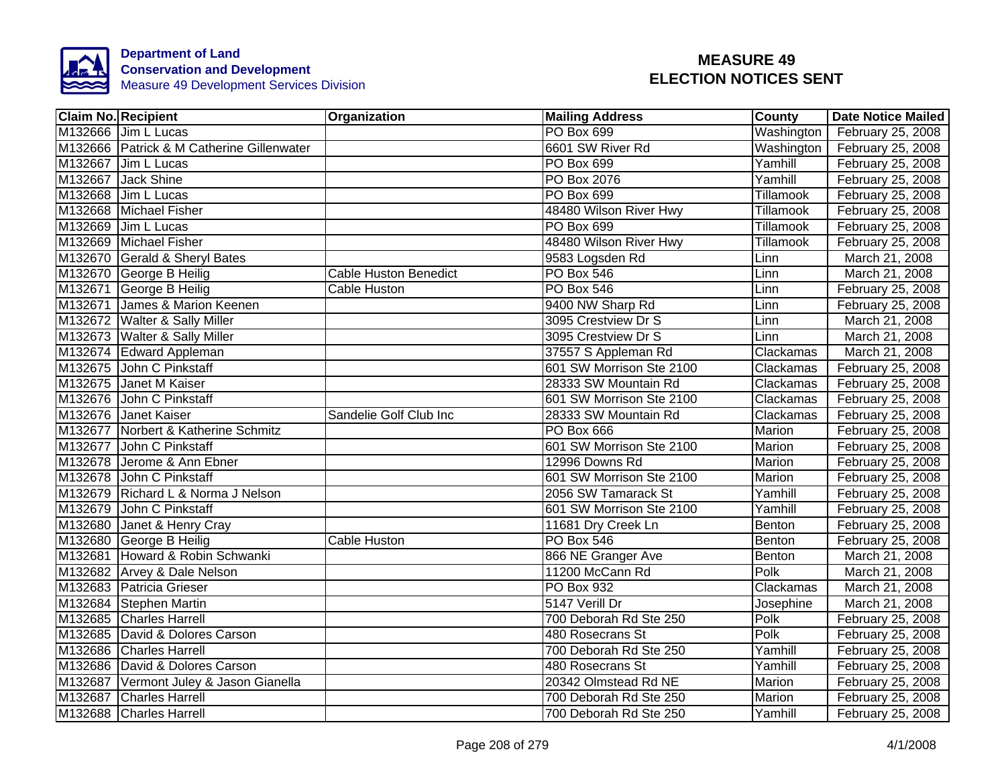

| <b>Claim No. Recipient</b>                | Organization                 | <b>Mailing Address</b>   | County        | <b>Date Notice Mailed</b> |
|-------------------------------------------|------------------------------|--------------------------|---------------|---------------------------|
| M132666 Jim L Lucas                       |                              | <b>PO Box 699</b>        | Washington    | February 25, 2008         |
| M132666 Patrick & M Catherine Gillenwater |                              | 6601 SW River Rd         | Washington    | February 25, 2008         |
| M132667 Jim L Lucas                       |                              | <b>PO Box 699</b>        | Yamhill       | February 25, 2008         |
| M132667 Jack Shine                        |                              | PO Box 2076              | Yamhill       | February 25, 2008         |
| M132668 Jim L Lucas                       |                              | PO Box 699               | Tillamook     | February 25, 2008         |
| M132668 Michael Fisher                    |                              | 48480 Wilson River Hwy   | Tillamook     | February 25, 2008         |
| M132669 Jim L Lucas                       |                              | PO Box 699               | Tillamook     | February 25, 2008         |
| M132669 Michael Fisher                    |                              | 48480 Wilson River Hwy   | Tillamook     | February 25, 2008         |
| M132670 Gerald & Sheryl Bates             |                              | 9583 Logsden Rd          | Linn          | March 21, 2008            |
| M132670 George B Heilig                   | <b>Cable Huston Benedict</b> | PO Box 546               | Linn          | March 21, 2008            |
| M132671 George B Heilig                   | Cable Huston                 | PO Box 546               | Linn          | February 25, 2008         |
| M132671 James & Marion Keenen             |                              | 9400 NW Sharp Rd         | Linn          | February 25, 2008         |
| M132672 Walter & Sally Miller             |                              | 3095 Crestview Dr S      | Linn          | March 21, 2008            |
| M132673 Walter & Sally Miller             |                              | 3095 Crestview Dr S      | Linn          | March 21, 2008            |
| M132674 Edward Appleman                   |                              | 37557 S Appleman Rd      | Clackamas     | March 21, 2008            |
| M132675 John C Pinkstaff                  |                              | 601 SW Morrison Ste 2100 | Clackamas     | February 25, 2008         |
| M132675 Janet M Kaiser                    |                              | 28333 SW Mountain Rd     | Clackamas     | February 25, 2008         |
| M132676 John C Pinkstaff                  |                              | 601 SW Morrison Ste 2100 | Clackamas     | February 25, 2008         |
| M132676 Janet Kaiser                      | Sandelie Golf Club Inc       | 28333 SW Mountain Rd     | Clackamas     | February 25, 2008         |
| M132677 Norbert & Katherine Schmitz       |                              | PO Box 666               | <b>Marion</b> | February 25, 2008         |
| M132677 John C Pinkstaff                  |                              | 601 SW Morrison Ste 2100 | Marion        | February 25, 2008         |
| M132678 Jerome & Ann Ebner                |                              | 12996 Downs Rd           | Marion        | February 25, 2008         |
| M132678 John C Pinkstaff                  |                              | 601 SW Morrison Ste 2100 | Marion        | February 25, 2008         |
| M132679 Richard L & Norma J Nelson        |                              | 2056 SW Tamarack St      | Yamhill       | February 25, 2008         |
| M132679 John C Pinkstaff                  |                              | 601 SW Morrison Ste 2100 | Yamhill       | February 25, 2008         |
| M132680 Janet & Henry Cray                |                              | 11681 Dry Creek Ln       | Benton        | February 25, 2008         |
| M132680 George B Heilig                   | Cable Huston                 | <b>PO Box 546</b>        | Benton        | February 25, 2008         |
| M132681 Howard & Robin Schwanki           |                              | 866 NE Granger Ave       | Benton        | March 21, 2008            |
| M132682 Arvey & Dale Nelson               |                              | 11200 McCann Rd          | Polk          | March 21, 2008            |
| M132683 Patricia Grieser                  |                              | PO Box 932               | Clackamas     | March 21, 2008            |
| M132684 Stephen Martin                    |                              | 5147 Verill Dr           | Josephine     | March 21, 2008            |
| M132685 Charles Harrell                   |                              | 700 Deborah Rd Ste 250   | Polk          | February 25, 2008         |
| M132685 David & Dolores Carson            |                              | 480 Rosecrans St         | Polk          | February 25, 2008         |
| M132686 Charles Harrell                   |                              | 700 Deborah Rd Ste 250   | Yamhill       | February 25, 2008         |
| M132686 David & Dolores Carson            |                              | 480 Rosecrans St         | Yamhill       | February 25, 2008         |
| M132687 Vermont Juley & Jason Gianella    |                              | 20342 Olmstead Rd NE     | Marion        | February 25, 2008         |
| M132687 Charles Harrell                   |                              | 700 Deborah Rd Ste 250   | Marion        | February 25, 2008         |
| M132688 Charles Harrell                   |                              | 700 Deborah Rd Ste 250   | Yamhill       | February 25, 2008         |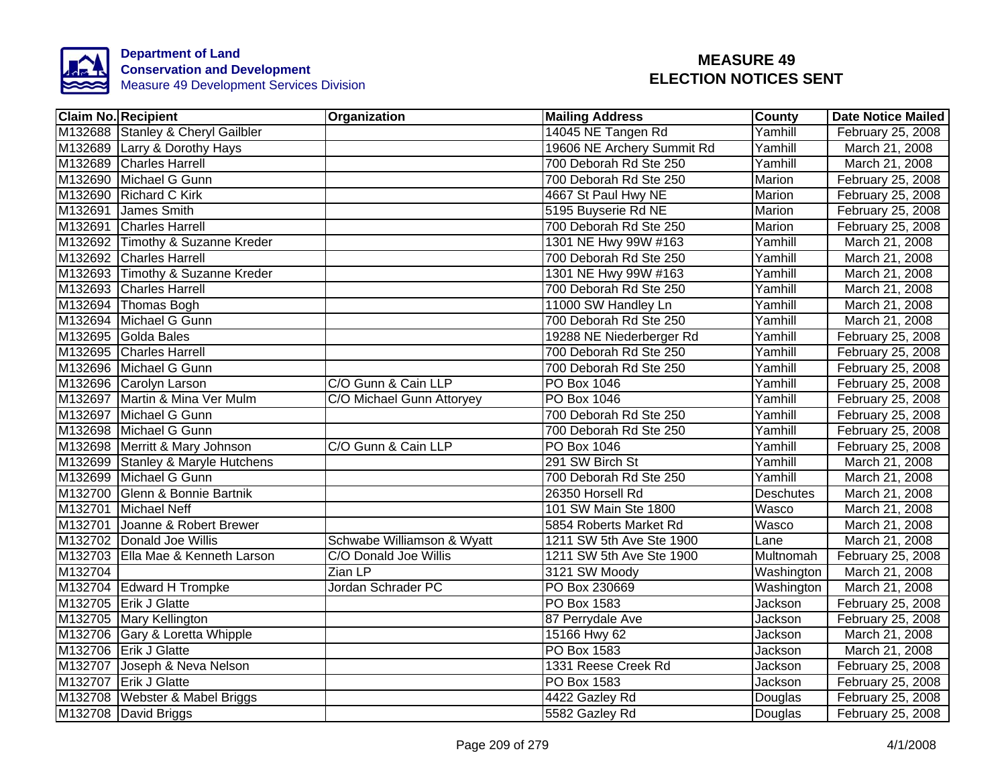

| <b>Claim No. Recipient</b>        | Organization               | <b>Mailing Address</b>     | <b>County</b>    | <b>Date Notice Mailed</b> |
|-----------------------------------|----------------------------|----------------------------|------------------|---------------------------|
| M132688 Stanley & Cheryl Gailbler |                            | 14045 NE Tangen Rd         | Yamhill          | February 25, 2008         |
| M132689 Larry & Dorothy Hays      |                            | 19606 NE Archery Summit Rd | Yamhill          | March 21, 2008            |
| M132689 Charles Harrell           |                            | 700 Deborah Rd Ste 250     | Yamhill          | March 21, 2008            |
| M132690 Michael G Gunn            |                            | 700 Deborah Rd Ste 250     | Marion           | February 25, 2008         |
| M132690 Richard C Kirk            |                            | 4667 St Paul Hwy NE        | Marion           | February 25, 2008         |
| M132691 James Smith               |                            | 5195 Buyserie Rd NE        | Marion           | February 25, 2008         |
| M132691 Charles Harrell           |                            | 700 Deborah Rd Ste 250     | Marion           | February 25, 2008         |
| M132692 Timothy & Suzanne Kreder  |                            | 1301 NE Hwy 99W #163       | Yamhill          | March 21, 2008            |
| M132692 Charles Harrell           |                            | 700 Deborah Rd Ste 250     | Yamhill          | March 21, 2008            |
| M132693 Timothy & Suzanne Kreder  |                            | 1301 NE Hwy 99W #163       | Yamhill          | March 21, 2008            |
| M132693 Charles Harrell           |                            | 700 Deborah Rd Ste 250     | Yamhill          | March 21, 2008            |
| M132694   Thomas Bogh             |                            | 11000 SW Handley Ln        | Yamhill          | March 21, 2008            |
| M132694 Michael G Gunn            |                            | 700 Deborah Rd Ste 250     | Yamhill          | March 21, 2008            |
| M132695 Golda Bales               |                            | 19288 NE Niederberger Rd   | Yamhill          | February 25, 2008         |
| M132695 Charles Harrell           |                            | 700 Deborah Rd Ste 250     | Yamhill          | February 25, 2008         |
| M132696 Michael G Gunn            |                            | 700 Deborah Rd Ste 250     | Yamhill          | February 25, 2008         |
| M132696 Carolyn Larson            | C/O Gunn & Cain LLP        | PO Box 1046                | Yamhill          | February 25, 2008         |
| M132697 Martin & Mina Ver Mulm    | C/O Michael Gunn Attoryey  | PO Box 1046                | Yamhill          | February 25, 2008         |
| M132697 Michael G Gunn            |                            | 700 Deborah Rd Ste 250     | Yamhill          | February 25, 2008         |
| M132698 Michael G Gunn            |                            | 700 Deborah Rd Ste 250     | Yamhill          | February 25, 2008         |
| M132698 Merritt & Mary Johnson    | C/O Gunn & Cain LLP        | <b>PO Box 1046</b>         | Yamhill          | February 25, 2008         |
| M132699 Stanley & Maryle Hutchens |                            | 291 SW Birch St            | Yamhill          | March 21, 2008            |
| M132699 Michael G Gunn            |                            | 700 Deborah Rd Ste 250     | Yamhill          | March 21, 2008            |
| M132700 Glenn & Bonnie Bartnik    |                            | 26350 Horsell Rd           | <b>Deschutes</b> | March 21, 2008            |
| M132701 Michael Neff              |                            | 101 SW Main Ste 1800       | Wasco            | March 21, 2008            |
| M132701 Joanne & Robert Brewer    |                            | 5854 Roberts Market Rd     | Wasco            | March 21, 2008            |
| M132702 Donald Joe Willis         | Schwabe Williamson & Wyatt | 1211 SW 5th Ave Ste 1900   | Lane             | March 21, 2008            |
| M132703 Ella Mae & Kenneth Larson | C/O Donald Joe Willis      | 1211 SW 5th Ave Ste 1900   | Multnomah        | February 25, 2008         |
| M132704                           | Zian LP                    | 3121 SW Moody              | Washington       | March 21, 2008            |
| M132704 Edward H Trompke          | Jordan Schrader PC         | PO Box 230669              | Washington       | March 21, 2008            |
| M132705 Erik J Glatte             |                            | PO Box 1583                | Jackson          | February 25, 2008         |
| M132705 Mary Kellington           |                            | 87 Perrydale Ave           | Jackson          | February 25, 2008         |
| M132706 Gary & Loretta Whipple    |                            | 15166 Hwy 62               | Jackson          | March 21, 2008            |
| M132706 Erik J Glatte             |                            | <b>PO Box 1583</b>         | Jackson          | March 21, 2008            |
| M132707 Joseph & Neva Nelson      |                            | 1331 Reese Creek Rd        | Jackson          | February 25, 2008         |
| M132707 Erik J Glatte             |                            | PO Box 1583                | Jackson          | February 25, 2008         |
| M132708 Webster & Mabel Briggs    |                            | 4422 Gazley Rd             | Douglas          | February 25, 2008         |
| M132708 David Briggs              |                            | 5582 Gazley Rd             | Douglas          | February 25, 2008         |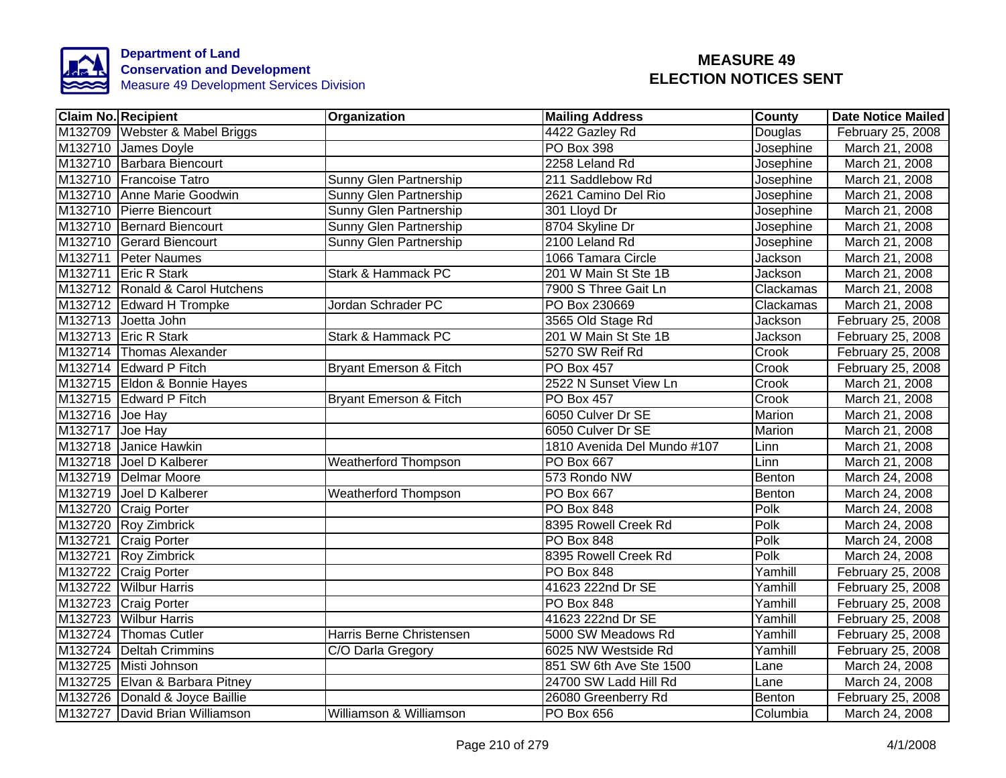

|                 | <b>Claim No. Recipient</b>      | Organization                      | <b>Mailing Address</b>      | County    | <b>Date Notice Mailed</b> |
|-----------------|---------------------------------|-----------------------------------|-----------------------------|-----------|---------------------------|
|                 | M132709 Webster & Mabel Briggs  |                                   | 4422 Gazley Rd              | Douglas   | February 25, 2008         |
|                 | M132710 James Doyle             |                                   | <b>PO Box 398</b>           | Josephine | March 21, 2008            |
|                 | M132710 Barbara Biencourt       |                                   | 2258 Leland Rd              | Josephine | March 21, 2008            |
|                 | M132710 Francoise Tatro         | Sunny Glen Partnership            | 211 Saddlebow Rd            | Josephine | March 21, 2008            |
|                 | M132710 Anne Marie Goodwin      | Sunny Glen Partnership            | 2621 Camino Del Rio         | Josephine | March 21, 2008            |
|                 | M132710 Pierre Biencourt        | Sunny Glen Partnership            | 301 Lloyd Dr                | Josephine | March 21, 2008            |
|                 | M132710 Bernard Biencourt       | Sunny Glen Partnership            | 8704 Skyline Dr             | Josephine | March 21, 2008            |
|                 | M132710 Gerard Biencourt        | Sunny Glen Partnership            | 2100 Leland Rd              | Josephine | March 21, 2008            |
|                 | M132711 Peter Naumes            |                                   | 1066 Tamara Circle          | Jackson   | March 21, 2008            |
|                 | M132711 Eric R Stark            | Stark & Hammack PC                | 201 W Main St Ste 1B        | Jackson   | March 21, 2008            |
|                 | M132712 Ronald & Carol Hutchens |                                   | 7900 S Three Gait Ln        | Clackamas | March 21, 2008            |
|                 | M132712 Edward H Trompke        | Jordan Schrader PC                | PO Box 230669               | Clackamas | March 21, 2008            |
|                 | M132713 Joetta John             |                                   | 3565 Old Stage Rd           | Jackson   | February 25, 2008         |
|                 | M132713 Eric R Stark            | Stark & Hammack PC                | 201 W Main St Ste 1B        | Jackson   | February 25, 2008         |
|                 | M132714 Thomas Alexander        |                                   | 5270 SW Reif Rd             | Crook     | February 25, 2008         |
|                 | M132714 Edward P Fitch          | <b>Bryant Emerson &amp; Fitch</b> | <b>PO Box 457</b>           | Crook     | February 25, 2008         |
|                 | M132715 Eldon & Bonnie Hayes    |                                   | 2522 N Sunset View Ln       | Crook     | March 21, 2008            |
|                 | M132715 Edward P Fitch          | <b>Bryant Emerson &amp; Fitch</b> | <b>PO Box 457</b>           | Crook     | March 21, 2008            |
| M132716 Joe Hay |                                 |                                   | 6050 Culver Dr SE           | Marion    | March 21, 2008            |
| M132717 Joe Hay |                                 |                                   | 6050 Culver Dr SE           | Marion    | March 21, 2008            |
|                 | M132718 Janice Hawkin           |                                   | 1810 Avenida Del Mundo #107 | Linn      | March 21, 2008            |
|                 | M132718 Joel D Kalberer         | <b>Weatherford Thompson</b>       | <b>PO Box 667</b>           | Linn      | March 21, 2008            |
|                 | M132719 Delmar Moore            |                                   | 573 Rondo NW                | Benton    | March 24, 2008            |
|                 | M132719 Joel D Kalberer         | <b>Weatherford Thompson</b>       | PO Box 667                  | Benton    | March 24, 2008            |
|                 | M132720 Craig Porter            |                                   | <b>PO Box 848</b>           | Polk      | March 24, 2008            |
|                 | M132720 Roy Zimbrick            |                                   | 8395 Rowell Creek Rd        | Polk      | March 24, 2008            |
|                 | M132721 Craig Porter            |                                   | <b>PO Box 848</b>           | Polk      | March 24, 2008            |
|                 | M132721 Roy Zimbrick            |                                   | 8395 Rowell Creek Rd        | Polk      | March 24, 2008            |
|                 | M132722 Craig Porter            |                                   | PO Box 848                  | Yamhill   | February 25, 2008         |
|                 | M132722 Wilbur Harris           |                                   | 41623 222nd Dr SE           | Yamhill   | February 25, 2008         |
|                 | M132723 Craig Porter            |                                   | <b>PO Box 848</b>           | Yamhill   | February 25, 2008         |
|                 | M132723 Wilbur Harris           |                                   | 41623 222nd Dr SE           | Yamhill   | February 25, 2008         |
|                 | M132724 Thomas Cutler           | Harris Berne Christensen          | 5000 SW Meadows Rd          | Yamhill   | February 25, 2008         |
|                 | M132724   Deltah Crimmins       | C/O Darla Gregory                 | 6025 NW Westside Rd         | Yamhill   | February 25, 2008         |
|                 | M132725 Misti Johnson           |                                   | 851 SW 6th Ave Ste 1500     | Lane      | March 24, 2008            |
|                 | M132725 Elvan & Barbara Pitney  |                                   | 24700 SW Ladd Hill Rd       | Lane      | March 24, 2008            |
|                 | M132726 Donald & Joyce Baillie  |                                   | 26080 Greenberry Rd         | Benton    | February 25, 2008         |
|                 | M132727 David Brian Williamson  | Williamson & Williamson           | PO Box 656                  | Columbia  | March 24, 2008            |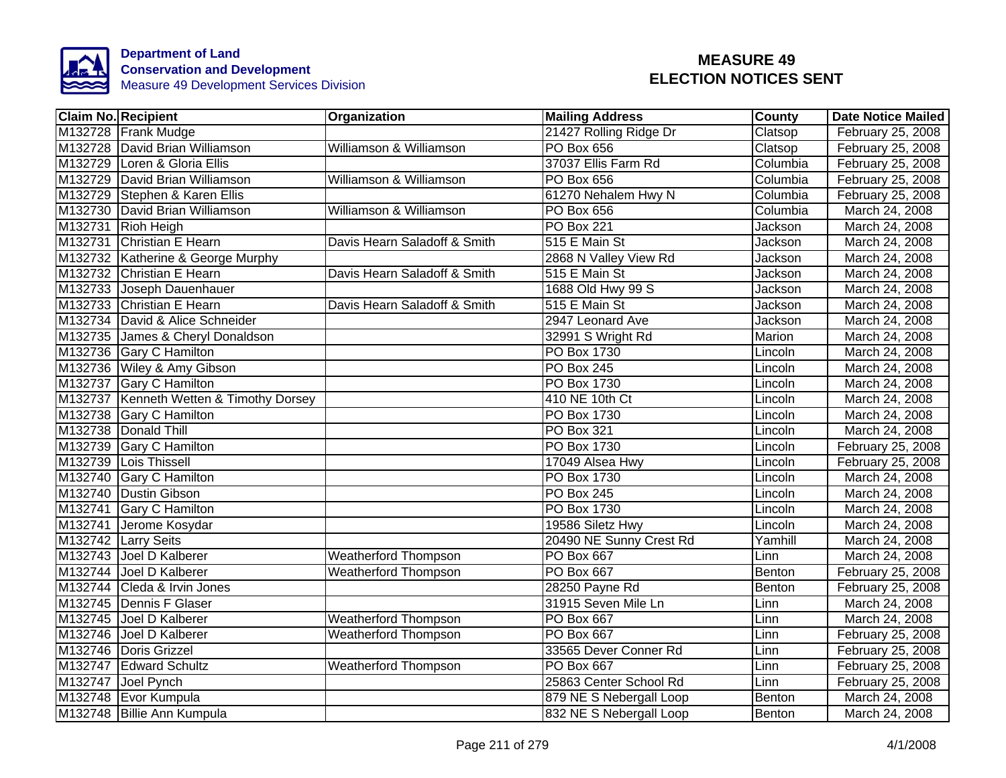

|         | <b>Claim No. Recipient</b>              | Organization                 | <b>Mailing Address</b>  | County   | <b>Date Notice Mailed</b> |
|---------|-----------------------------------------|------------------------------|-------------------------|----------|---------------------------|
|         | M132728 Frank Mudge                     |                              | 21427 Rolling Ridge Dr  | Clatsop  | February 25, 2008         |
|         | M132728 David Brian Williamson          | Williamson & Williamson      | <b>PO Box 656</b>       | Clatsop  | February 25, 2008         |
|         | M132729 Loren & Gloria Ellis            |                              | 37037 Ellis Farm Rd     | Columbia | February 25, 2008         |
|         | M132729 David Brian Williamson          | Williamson & Williamson      | <b>PO Box 656</b>       | Columbia | February 25, 2008         |
|         | M132729 Stephen & Karen Ellis           |                              | 61270 Nehalem Hwy N     | Columbia | February 25, 2008         |
|         | M132730 David Brian Williamson          | Williamson & Williamson      | <b>PO Box 656</b>       | Columbia | March 24, 2008            |
|         | M132731 Rioh Heigh                      |                              | <b>PO Box 221</b>       | Jackson  | March 24, 2008            |
|         | M132731 Christian E Hearn               | Davis Hearn Saladoff & Smith | 515 E Main St           | Jackson  | March 24, 2008            |
|         | M132732 Katherine & George Murphy       |                              | 2868 N Valley View Rd   | Jackson  | March 24, 2008            |
|         | M132732 Christian E Hearn               | Davis Hearn Saladoff & Smith | 515 E Main St           | Jackson  | March 24, 2008            |
|         | M132733 Joseph Dauenhauer               |                              | 1688 Old Hwy 99 S       | Jackson  | March 24, 2008            |
|         | M132733 Christian E Hearn               | Davis Hearn Saladoff & Smith | 515 E Main St           | Jackson  | March 24, 2008            |
|         | M132734 David & Alice Schneider         |                              | 2947 Leonard Ave        | Jackson  | March 24, 2008            |
|         | M132735 James & Cheryl Donaldson        |                              | 32991 S Wright Rd       | Marion   | March 24, 2008            |
|         | M132736 Gary C Hamilton                 |                              | <b>PO Box 1730</b>      | Lincoln  | March 24, 2008            |
|         | M132736 Wiley & Amy Gibson              |                              | <b>PO Box 245</b>       | Lincoln  | March 24, 2008            |
|         | M132737 Gary C Hamilton                 |                              | <b>PO Box 1730</b>      | Lincoln  | March 24, 2008            |
|         | M132737 Kenneth Wetten & Timothy Dorsey |                              | 410 NE 10th Ct          | Lincoln  | March 24, 2008            |
|         | M132738 Gary C Hamilton                 |                              | <b>PO Box 1730</b>      | Lincoln  | March 24, 2008            |
|         | M132738 Donald Thill                    |                              | <b>PO Box 321</b>       | Lincoln  | March 24, 2008            |
|         | M132739 Gary C Hamilton                 |                              | PO Box 1730             | Lincoln  | February 25, 2008         |
|         | M132739 Lois Thissell                   |                              | 17049 Alsea Hwy         | Lincoln  | February 25, 2008         |
|         | M132740 Gary C Hamilton                 |                              | PO Box 1730             | Lincoln  | March 24, 2008            |
|         | M132740 Dustin Gibson                   |                              | <b>PO Box 245</b>       | Lincoln  | March 24, 2008            |
|         | M132741 Gary C Hamilton                 |                              | <b>PO Box 1730</b>      | Lincoln  | March 24, 2008            |
|         | M132741 Jerome Kosydar                  |                              | 19586 Siletz Hwy        | Lincoln  | March 24, 2008            |
|         | M132742 Larry Seits                     |                              | 20490 NE Sunny Crest Rd | Yamhill  | March 24, 2008            |
|         | M132743 Joel D Kalberer                 | <b>Weatherford Thompson</b>  | PO Box 667              | Linn     | March 24, 2008            |
|         | M132744 Joel D Kalberer                 | <b>Weatherford Thompson</b>  | <b>PO Box 667</b>       | Benton   | February 25, 2008         |
|         | M132744 Cleda & Irvin Jones             |                              | 28250 Payne Rd          | Benton   | February 25, 2008         |
|         | M132745 Dennis F Glaser                 |                              | 31915 Seven Mile Ln     | Linn     | March 24, 2008            |
| M132745 | Joel D Kalberer                         | Weatherford Thompson         | PO Box 667              | Linn     | March 24, 2008            |
| M132746 | Joel D Kalberer                         | <b>Weatherford Thompson</b>  | <b>PO Box 667</b>       | Linn     | February 25, 2008         |
|         | M132746 Doris Grizzel                   |                              | 33565 Dever Conner Rd   | Linn     | February 25, 2008         |
|         | M132747 Edward Schultz                  | <b>Weatherford Thompson</b>  | PO Box 667              | Linn     | February 25, 2008         |
|         | M132747 Joel Pynch                      |                              | 25863 Center School Rd  | Linn     | February 25, 2008         |
|         | M132748 Evor Kumpula                    |                              | 879 NE S Nebergall Loop | Benton   | March 24, 2008            |
|         | M132748 Billie Ann Kumpula              |                              | 832 NE S Nebergall Loop | Benton   | March 24, 2008            |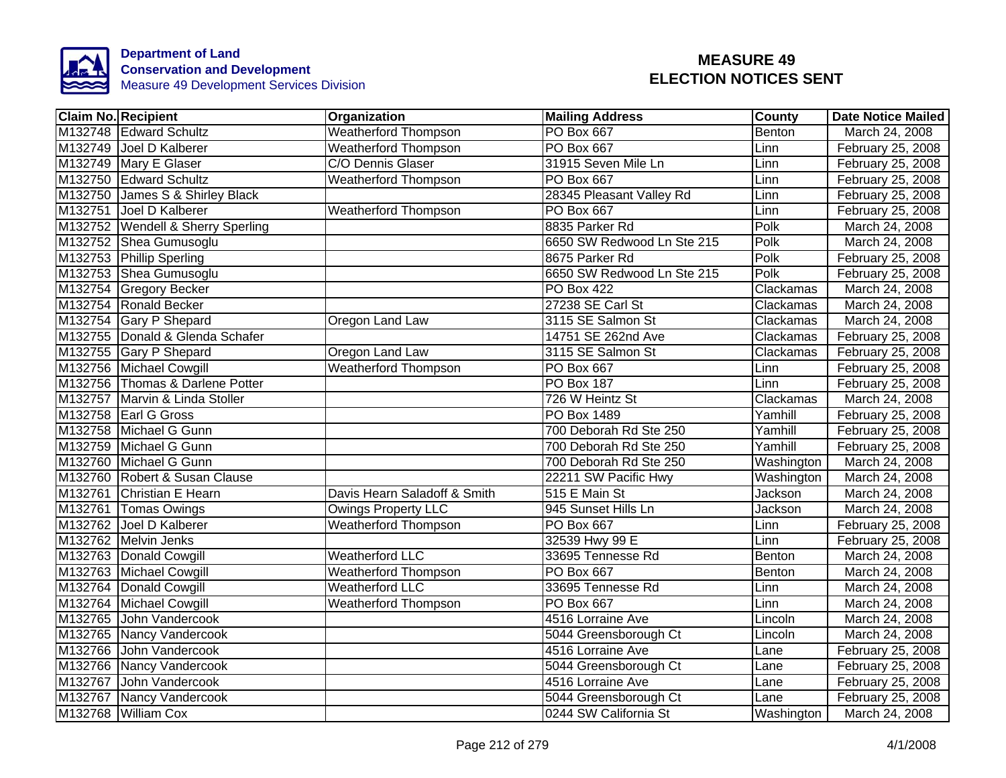

|         | <b>Claim No. Recipient</b>          | Organization                 | <b>Mailing Address</b>     | <b>County</b>  | <b>Date Notice Mailed</b> |
|---------|-------------------------------------|------------------------------|----------------------------|----------------|---------------------------|
|         | M132748 Edward Schultz              | <b>Weatherford Thompson</b>  | <b>PO Box 667</b>          | Benton         | March 24, 2008            |
|         | M132749 Joel D Kalberer             | <b>Weatherford Thompson</b>  | <b>PO Box 667</b>          | Linn           | February 25, 2008         |
|         | M132749 Mary E Glaser               | C/O Dennis Glaser            | 31915 Seven Mile Ln        | Linn           | February 25, 2008         |
|         | M132750 Edward Schultz              | <b>Weatherford Thompson</b>  | PO Box 667                 | Linn           | February 25, 2008         |
|         | M132750 James S & Shirley Black     |                              | 28345 Pleasant Valley Rd   | Linn           | February 25, 2008         |
|         | M132751 Joel D Kalberer             | <b>Weatherford Thompson</b>  | PO Box 667                 | Linn           | February 25, 2008         |
|         | M132752   Wendell & Sherry Sperling |                              | 8835 Parker Rd             | Polk           | March 24, 2008            |
|         | M132752 Shea Gumusoglu              |                              | 6650 SW Redwood Ln Ste 215 | Polk           | March 24, 2008            |
|         | M132753 Phillip Sperling            |                              | 8675 Parker Rd             | Polk           | February 25, 2008         |
|         | M132753 Shea Gumusoglu              |                              | 6650 SW Redwood Ln Ste 215 | Polk           | February 25, 2008         |
|         | M132754 Gregory Becker              |                              | PO Box 422                 | Clackamas      | March 24, 2008            |
|         | M132754 Ronald Becker               |                              | 27238 SE Carl St           | Clackamas      | March 24, 2008            |
|         | M132754 Gary P Shepard              | Oregon Land Law              | 3115 SE Salmon St          | Clackamas      | March 24, 2008            |
|         | M132755 Donald & Glenda Schafer     |                              | 14751 SE 262nd Ave         | Clackamas      | February 25, 2008         |
|         | M132755 Gary P Shepard              | Oregon Land Law              | 3115 SE Salmon St          | Clackamas      | February 25, 2008         |
|         | M132756 Michael Cowgill             | <b>Weatherford Thompson</b>  | PO Box 667                 | Linn           | February 25, 2008         |
|         | M132756 Thomas & Darlene Potter     |                              | <b>PO Box 187</b>          | Linn           | February 25, 2008         |
|         | M132757 Marvin & Linda Stoller      |                              | 726 W Heintz St            | Clackamas      | March 24, 2008            |
|         | M132758 Earl G Gross                |                              | <b>PO Box 1489</b>         | Yamhill        | February 25, 2008         |
|         | M132758 Michael G Gunn              |                              | 700 Deborah Rd Ste 250     | Yamhill        | February 25, 2008         |
|         | M132759 Michael G Gunn              |                              | 700 Deborah Rd Ste 250     | Yamhill        | February 25, 2008         |
|         | M132760 Michael G Gunn              |                              | 700 Deborah Rd Ste 250     | Washington     | March 24, 2008            |
|         | M132760 Robert & Susan Clause       |                              | 22211 SW Pacific Hwy       | Washington     | March 24, 2008            |
|         | M132761 Christian E Hearn           | Davis Hearn Saladoff & Smith | 515 E Main St              | Jackson        | March 24, 2008            |
|         | M132761 Tomas Owings                | <b>Owings Property LLC</b>   | 945 Sunset Hills Ln        | <b>Jackson</b> | March 24, 2008            |
|         | M132762 Joel D Kalberer             | <b>Weatherford Thompson</b>  | <b>PO Box 667</b>          | Linn           | February 25, 2008         |
|         | M132762 Melvin Jenks                |                              | 32539 Hwy 99 E             | Linn           | February 25, 2008         |
|         | M132763 Donald Cowgill              | <b>Weatherford LLC</b>       | 33695 Tennesse Rd          | Benton         | March 24, 2008            |
|         | M132763 Michael Cowgill             | <b>Weatherford Thompson</b>  | PO Box 667                 | Benton         | March 24, 2008            |
|         | M132764 Donald Cowgill              | Weatherford LLC              | 33695 Tennesse Rd          | Linn           | March 24, 2008            |
|         | M132764 Michael Cowgill             | <b>Weatherford Thompson</b>  | PO Box 667                 | Linn           | March 24, 2008            |
| M132765 | John Vandercook                     |                              | 4516 Lorraine Ave          | Lincoln        | March 24, 2008            |
|         | M132765 Nancy Vandercook            |                              | 5044 Greensborough Ct      | Lincoln        | March 24, 2008            |
| M132766 | John Vandercook                     |                              | 4516 Lorraine Ave          | Lane           | February 25, 2008         |
| M132766 | Nancy Vandercook                    |                              | 5044 Greensborough Ct      | Lane           | February 25, 2008         |
| M132767 | John Vandercook                     |                              | 4516 Lorraine Ave          | Lane           | February 25, 2008         |
|         | M132767 Nancy Vandercook            |                              | 5044 Greensborough Ct      | Lane           | February 25, 2008         |
|         | M132768 William Cox                 |                              | 0244 SW California St      | Washington     | March 24, 2008            |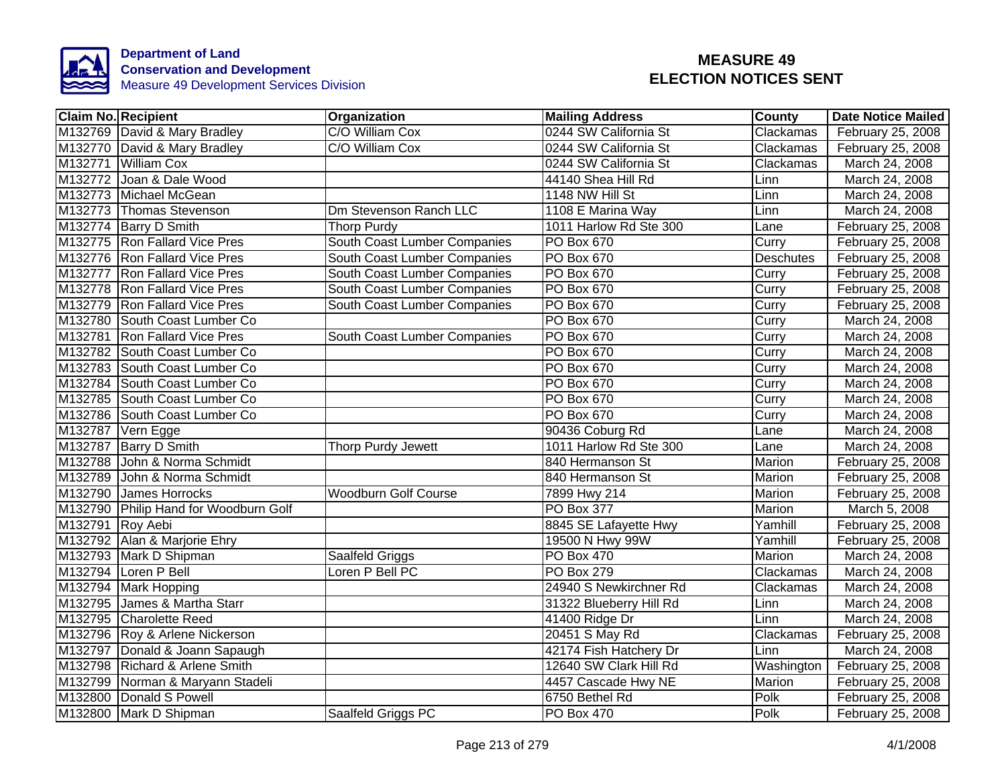

| <b>Claim No. Recipient</b> |                                       | Organization                 | <b>Mailing Address</b>  | County           | <b>Date Notice Mailed</b> |
|----------------------------|---------------------------------------|------------------------------|-------------------------|------------------|---------------------------|
|                            | M132769 David & Mary Bradley          | C/O William Cox              | 0244 SW California St   | Clackamas        | February 25, 2008         |
|                            | M132770 David & Mary Bradley          | C/O William Cox              | 0244 SW California St   | Clackamas        | February 25, 2008         |
|                            | M132771 William Cox                   |                              | 0244 SW California St   | Clackamas        | March 24, 2008            |
|                            | M132772 Joan & Dale Wood              |                              | 44140 Shea Hill Rd      | Linn             | March 24, 2008            |
|                            | M132773 Michael McGean                |                              | 1148 NW Hill St         | Linn             | March 24, 2008            |
|                            | M132773 Thomas Stevenson              | Dm Stevenson Ranch LLC       | 1108 E Marina Way       | Linn             | March 24, 2008            |
|                            | M132774 Barry D Smith                 | <b>Thorp Purdy</b>           | 1011 Harlow Rd Ste 300  | Lane             | February 25, 2008         |
|                            | M132775 Ron Fallard Vice Pres         | South Coast Lumber Companies | PO Box 670              | Curry            | February 25, 2008         |
|                            | M132776 Ron Fallard Vice Pres         | South Coast Lumber Companies | PO Box 670              | <b>Deschutes</b> | February 25, 2008         |
|                            | M132777 Ron Fallard Vice Pres         | South Coast Lumber Companies | PO Box 670              | Curry            | February 25, 2008         |
|                            | M132778 Ron Fallard Vice Pres         | South Coast Lumber Companies | PO Box 670              | Curry            | February 25, 2008         |
|                            | M132779 Ron Fallard Vice Pres         | South Coast Lumber Companies | PO Box 670              | Curry            | February 25, 2008         |
|                            | M132780 South Coast Lumber Co         |                              | PO Box 670              | Curry            | March 24, 2008            |
|                            | M132781 Ron Fallard Vice Pres         | South Coast Lumber Companies | PO Box 670              | Curry            | March 24, 2008            |
|                            | M132782 South Coast Lumber Co         |                              | PO Box 670              | Curry            | March 24, 2008            |
|                            | M132783 South Coast Lumber Co         |                              | <b>PO Box 670</b>       | Curry            | March 24, 2008            |
|                            | M132784 South Coast Lumber Co         |                              | PO Box 670              | Curry            | March 24, 2008            |
|                            | M132785 South Coast Lumber Co         |                              | PO Box 670              | Curry            | March 24, 2008            |
|                            | M132786 South Coast Lumber Co         |                              | <b>PO Box 670</b>       | Curry            | March 24, 2008            |
|                            | M132787 Vern Egge                     |                              | 90436 Coburg Rd         | Lane             | March 24, 2008            |
|                            | M132787 Barry D Smith                 | <b>Thorp Purdy Jewett</b>    | 1011 Harlow Rd Ste 300  | Lane             | March 24, 2008            |
|                            | M132788 John & Norma Schmidt          |                              | 840 Hermanson St        | Marion           | February 25, 2008         |
|                            | M132789 John & Norma Schmidt          |                              | 840 Hermanson St        | Marion           | February 25, 2008         |
|                            | M132790 James Horrocks                | <b>Woodburn Golf Course</b>  | 7899 Hwy 214            | <b>Marion</b>    | February 25, 2008         |
|                            | M132790 Philip Hand for Woodburn Golf |                              | <b>PO Box 377</b>       | Marion           | March 5, 2008             |
| M132791 Roy Aebi           |                                       |                              | 8845 SE Lafayette Hwy   | Yamhill          | February 25, 2008         |
|                            | M132792 Alan & Marjorie Ehry          |                              | 19500 N Hwy 99W         | Yamhill          | February 25, 2008         |
|                            | M132793 Mark D Shipman                | Saalfeld Griggs              | PO Box 470              | Marion           | March 24, 2008            |
|                            | M132794 Loren P Bell                  | Loren P Bell PC              | PO Box 279              | Clackamas        | March 24, 2008            |
|                            | M132794 Mark Hopping                  |                              | 24940 S Newkirchner Rd  | Clackamas        | March 24, 2008            |
| M132795                    | James & Martha Starr                  |                              | 31322 Blueberry Hill Rd | Linn             | March 24, 2008            |
|                            | M132795 Charolette Reed               |                              | 41400 Ridge Dr          | Linn             | March 24, 2008            |
|                            | M132796 Roy & Arlene Nickerson        |                              | 20451 S May Rd          | Clackamas        | February 25, 2008         |
|                            | M132797 Donald & Joann Sapaugh        |                              | 42174 Fish Hatchery Dr  | Linn             | March 24, 2008            |
|                            | M132798 Richard & Arlene Smith        |                              | 12640 SW Clark Hill Rd  | Washington       | February 25, 2008         |
|                            | M132799 Norman & Maryann Stadeli      |                              | 4457 Cascade Hwy NE     | Marion           | February 25, 2008         |
|                            | M132800 Donald S Powell               |                              | 6750 Bethel Rd          | Polk             | February 25, 2008         |
|                            | M132800 Mark D Shipman                | Saalfeld Griggs PC           | PO Box 470              | Polk             | February 25, 2008         |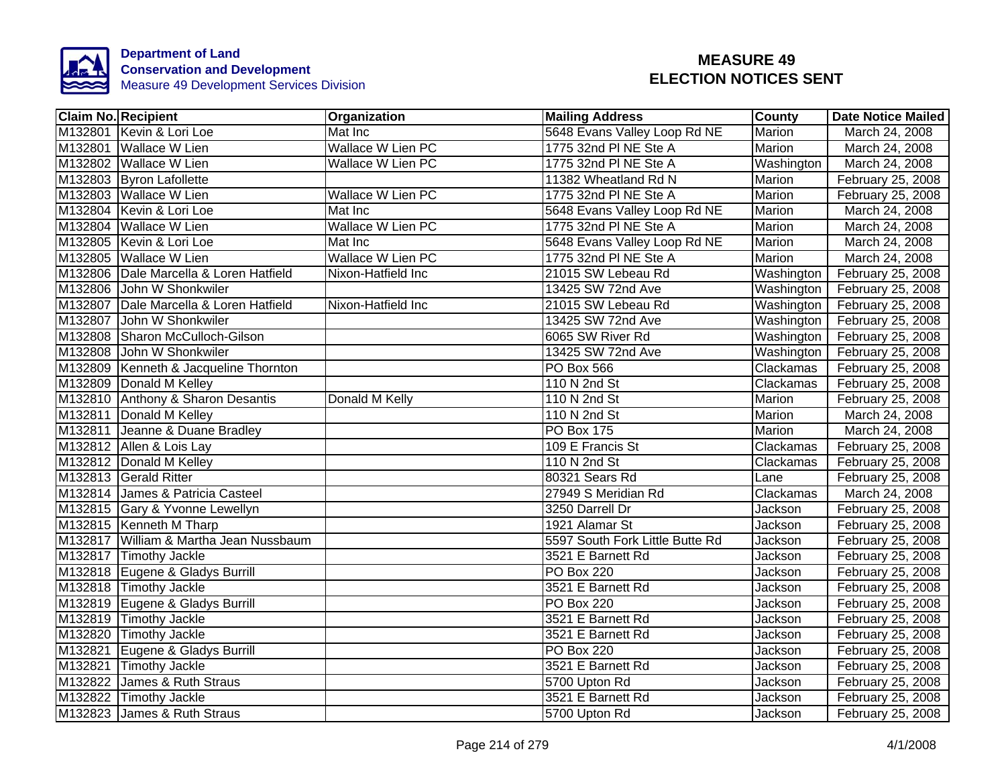

| <b>Claim No. Recipient</b>             | <b>Organization</b>      | <b>Mailing Address</b>          | <b>County</b> | <b>Date Notice Mailed</b> |
|----------------------------------------|--------------------------|---------------------------------|---------------|---------------------------|
| M132801 Kevin & Lori Loe               | Mat Inc                  | 5648 Evans Valley Loop Rd NE    | Marion        | March 24, 2008            |
| M132801 Wallace W Lien                 | <b>Wallace W Lien PC</b> | 1775 32nd PI NE Ste A           | <b>Marion</b> | March 24, 2008            |
| M132802 Wallace W Lien                 | <b>Wallace W Lien PC</b> | 1775 32nd PI NE Ste A           | Washington    | March 24, 2008            |
| M132803 Byron Lafollette               |                          | 11382 Wheatland Rd N            | Marion        | February 25, 2008         |
| M132803 Wallace W Lien                 | Wallace W Lien PC        | 1775 32nd PI NE Ste A           | Marion        | February 25, 2008         |
| M132804 Kevin & Lori Loe               | Mat Inc                  | 5648 Evans Valley Loop Rd NE    | Marion        | March 24, 2008            |
| M132804 Wallace W Lien                 | Wallace W Lien PC        | 1775 32nd PI NE Ste A           | Marion        | March 24, 2008            |
| M132805 Kevin & Lori Loe               | Mat Inc                  | 5648 Evans Valley Loop Rd NE    | Marion        | March 24, 2008            |
| M132805 Wallace W Lien                 | Wallace W Lien PC        | 1775 32nd PI NE Ste A           | Marion        | March 24, 2008            |
| M132806 Dale Marcella & Loren Hatfield | Nixon-Hatfield Inc       | 21015 SW Lebeau Rd              | Washington    | February 25, 2008         |
| M132806 John W Shonkwiler              |                          | 13425 SW 72nd Ave               | Washington    | February 25, 2008         |
| M132807 Dale Marcella & Loren Hatfield | Nixon-Hatfield Inc       | 21015 SW Lebeau Rd              | Washington    | February 25, 2008         |
| M132807 John W Shonkwiler              |                          | 13425 SW 72nd Ave               | Washington    | February 25, 2008         |
| M132808 Sharon McCulloch-Gilson        |                          | 6065 SW River Rd                | Washington    | February 25, 2008         |
| M132808 John W Shonkwiler              |                          | 13425 SW 72nd Ave               | Washington    | February 25, 2008         |
| M132809 Kenneth & Jacqueline Thornton  |                          | PO Box 566                      | Clackamas     | February 25, 2008         |
| M132809 Donald M Kelley                |                          | 110 N 2nd St                    | Clackamas     | February 25, 2008         |
| M132810 Anthony & Sharon Desantis      | Donald M Kelly           | 110 N 2nd St                    | Marion        | February 25, 2008         |
| M132811 Donald M Kelley                |                          | 110 N 2nd St                    | Marion        | March 24, 2008            |
| M132811 Jeanne & Duane Bradley         |                          | <b>PO Box 175</b>               | Marion        | March 24, 2008            |
| M132812 Allen & Lois Lay               |                          | 109 E Francis St                | Clackamas     | February 25, 2008         |
| M132812 Donald M Kelley                |                          | 110 N 2nd St                    | Clackamas     | February 25, 2008         |
| M132813 Gerald Ritter                  |                          | 80321 Sears Rd                  | Lane          | February 25, 2008         |
| M132814 James & Patricia Casteel       |                          | 27949 S Meridian Rd             | Clackamas     | March 24, 2008            |
| M132815 Gary & Yvonne Lewellyn         |                          | 3250 Darrell Dr                 | Jackson       | February 25, 2008         |
| M132815 Kenneth M Tharp                |                          | 1921 Alamar St                  | Jackson       | February 25, 2008         |
| M132817 William & Martha Jean Nussbaum |                          | 5597 South Fork Little Butte Rd | Jackson       | February 25, 2008         |
| M132817 Timothy Jackle                 |                          | 3521 E Barnett Rd               | Jackson       | February 25, 2008         |
| M132818 Eugene & Gladys Burrill        |                          | <b>PO Box 220</b>               | Jackson       | February 25, 2008         |
| M132818 Timothy Jackle                 |                          | 3521 E Barnett Rd               | Jackson       | February 25, 2008         |
| M132819 Eugene & Gladys Burrill        |                          | <b>PO Box 220</b>               | Jackson       | February 25, 2008         |
| M132819 Timothy Jackle                 |                          | 3521 E Barnett Rd               | Jackson       | February 25, 2008         |
| M132820 Timothy Jackle                 |                          | 3521 E Barnett Rd               | Jackson       | February 25, 2008         |
| M132821 Eugene & Gladys Burrill        |                          | <b>PO Box 220</b>               | Jackson       | February 25, 2008         |
| M132821 Timothy Jackle                 |                          | 3521 E Barnett Rd               | Jackson       | February 25, 2008         |
| M132822 James & Ruth Straus            |                          | 5700 Upton Rd                   | Jackson       | February 25, 2008         |
| M132822 Timothy Jackle                 |                          | 3521 E Barnett Rd               | Jackson       | February 25, 2008         |
| M132823 James & Ruth Straus            |                          | 5700 Upton Rd                   | Jackson       | February 25, 2008         |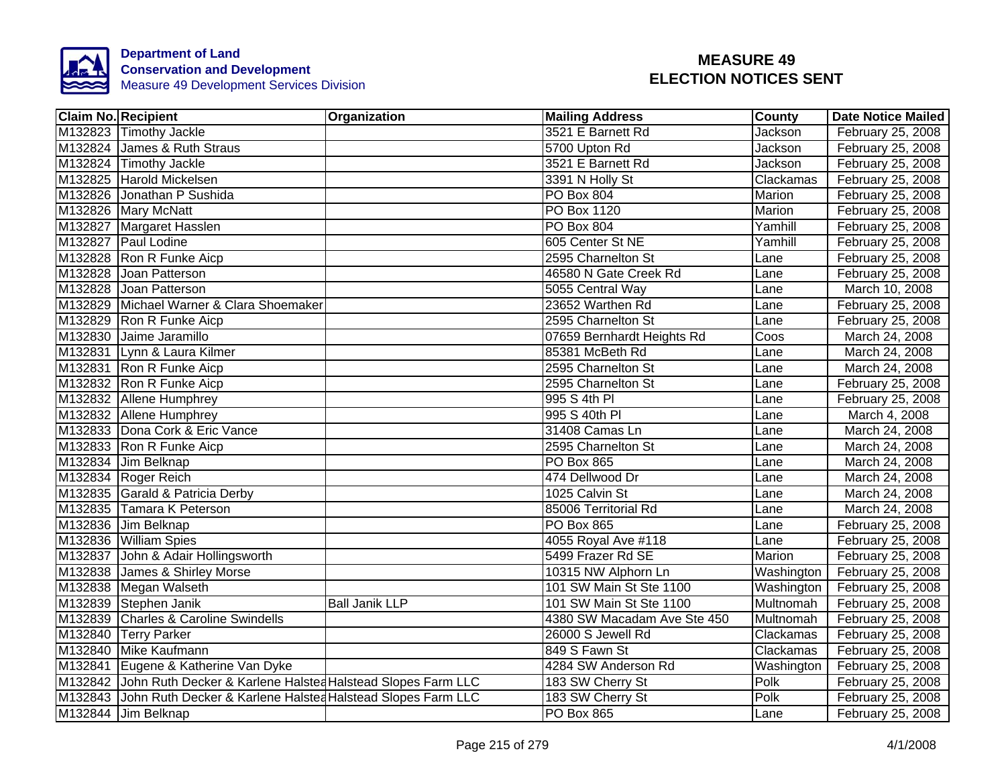

| <b>Claim No. Recipient</b>                                          | Organization          | <b>Mailing Address</b>      | <b>County</b>  | <b>Date Notice Mailed</b> |
|---------------------------------------------------------------------|-----------------------|-----------------------------|----------------|---------------------------|
| M132823 Timothy Jackle                                              |                       | 3521 E Barnett Rd           | Jackson        | February 25, 2008         |
| M132824 James & Ruth Straus                                         |                       | 5700 Upton Rd               | Jackson        | February 25, 2008         |
| M132824 Timothy Jackle                                              |                       | 3521 E Barnett Rd           | <b>Jackson</b> | February 25, 2008         |
| M132825 Harold Mickelsen                                            |                       | 3391 N Holly St             | Clackamas      | February 25, 2008         |
| M132826 Jonathan P Sushida                                          |                       | PO Box 804                  | Marion         | February 25, 2008         |
| M132826 Mary McNatt                                                 |                       | PO Box 1120                 | Marion         | February 25, 2008         |
| M132827 Margaret Hasslen                                            |                       | PO Box 804                  | Yamhill        | February 25, 2008         |
| M132827 Paul Lodine                                                 |                       | 605 Center St NE            | Yamhill        | February 25, 2008         |
| M132828 Ron R Funke Aicp                                            |                       | 2595 Charnelton St          | Lane           | February 25, 2008         |
| M132828 Joan Patterson                                              |                       | 46580 N Gate Creek Rd       | Lane           | February 25, 2008         |
| M132828 Joan Patterson                                              |                       | 5055 Central Way            | Lane           | March 10, 2008            |
| M132829 Michael Warner & Clara Shoemaker                            |                       | 23652 Warthen Rd            | Lane           | February 25, 2008         |
| M132829 Ron R Funke Aicp                                            |                       | 2595 Charnelton St          | Lane           | February 25, 2008         |
| M132830 Jaime Jaramillo                                             |                       | 07659 Bernhardt Heights Rd  | Coos           | March 24, 2008            |
| M132831 Lynn & Laura Kilmer                                         |                       | 85381 McBeth Rd             | Lane           | March 24, 2008            |
| M132831 Ron R Funke Aicp                                            |                       | 2595 Charnelton St          | Lane           | March 24, 2008            |
| M132832 Ron R Funke Aicp                                            |                       | 2595 Charnelton St          | Lane           | February 25, 2008         |
| M132832 Allene Humphrey                                             |                       | 995 S 4th PI                | Lane           | February 25, 2008         |
| M132832 Allene Humphrey                                             |                       | 995 S 40th PI               | Lane           | March 4, 2008             |
| M132833 Dona Cork & Eric Vance                                      |                       | 31408 Camas Ln              | Lane           | March 24, 2008            |
| M132833 Ron R Funke Aicp                                            |                       | 2595 Charnelton St          | Lane           | March 24, 2008            |
| M132834 Jim Belknap                                                 |                       | <b>PO Box 865</b>           | Lane           | March 24, 2008            |
| M132834 Roger Reich                                                 |                       | 474 Dellwood Dr             | Lane           | March 24, 2008            |
| M132835 Garald & Patricia Derby                                     |                       | 1025 Calvin St              | Lane           | March 24, 2008            |
| M132835 Tamara K Peterson                                           |                       | 85006 Territorial Rd        | Lane           | March 24, 2008            |
| M132836 Jim Belknap                                                 |                       | <b>PO Box 865</b>           | Lane           | February 25, 2008         |
| M132836 William Spies                                               |                       | 4055 Royal Ave #118         | Lane           | February 25, 2008         |
| M132837 John & Adair Hollingsworth                                  |                       | 5499 Frazer Rd SE           | Marion         | February 25, 2008         |
| M132838 James & Shirley Morse                                       |                       | 10315 NW Alphorn Ln         | Washington     | February 25, 2008         |
| M132838 Megan Walseth                                               |                       | 101 SW Main St Ste 1100     | Washington     | February 25, 2008         |
| M132839 Stephen Janik                                               | <b>Ball Janik LLP</b> | 101 SW Main St Ste 1100     | Multnomah      | February 25, 2008         |
| M132839 Charles & Caroline Swindells                                |                       | 4380 SW Macadam Ave Ste 450 | Multnomah      | February 25, 2008         |
| M132840 Terry Parker                                                |                       | 26000 S Jewell Rd           | Clackamas      | February 25, 2008         |
| M132840 Mike Kaufmann                                               |                       | 849 S Fawn St               | Clackamas      | February 25, 2008         |
| M132841 Eugene & Katherine Van Dyke                                 |                       | 4284 SW Anderson Rd         | Washington     | February 25, 2008         |
| M132842 John Ruth Decker & Karlene Halsted Halstead Slopes Farm LLC |                       | 183 SW Cherry St            | Polk           | February 25, 2008         |
| M132843 John Ruth Decker & Karlene Halsted Halstead Slopes Farm LLC |                       | 183 SW Cherry St            | Polk           | February 25, 2008         |
| M132844 Jim Belknap                                                 |                       | PO Box 865                  | Lane           | February 25, 2008         |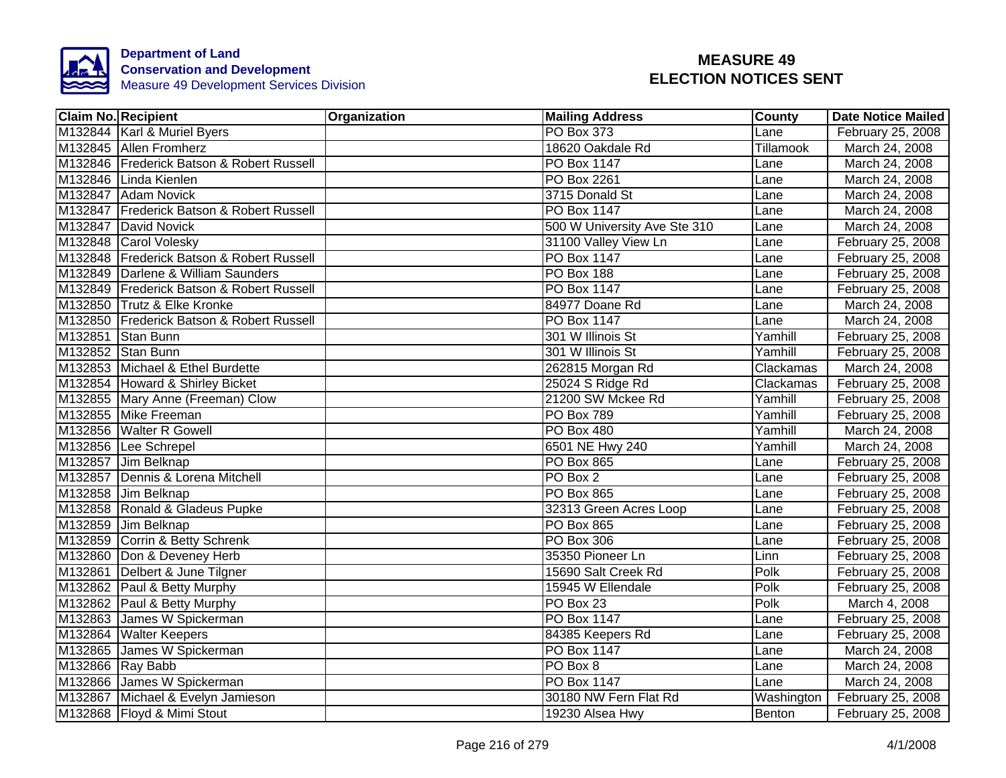

|                  | <b>Claim No. Recipient</b>                | Organization | <b>Mailing Address</b>       | County        | <b>Date Notice Mailed</b> |
|------------------|-------------------------------------------|--------------|------------------------------|---------------|---------------------------|
|                  | M132844 Karl & Muriel Byers               |              | <b>PO Box 373</b>            | Lane          | February 25, 2008         |
|                  | M132845 Allen Fromherz                    |              | 18620 Oakdale Rd             | Tillamook     | March 24, 2008            |
|                  | M132846 Frederick Batson & Robert Russell |              | <b>PO Box 1147</b>           | Lane          | March 24, 2008            |
|                  | M132846 Linda Kienlen                     |              | PO Box 2261                  | Lane          | March 24, 2008            |
|                  | M132847 Adam Novick                       |              | 3715 Donald St               | Lane          | March 24, 2008            |
|                  | M132847 Frederick Batson & Robert Russell |              | PO Box 1147                  | Lane          | March 24, 2008            |
|                  | M132847 David Novick                      |              | 500 W University Ave Ste 310 | Lane          | March 24, 2008            |
|                  | M132848 Carol Volesky                     |              | 31100 Valley View Ln         | Lane          | February 25, 2008         |
|                  | M132848 Frederick Batson & Robert Russell |              | PO Box 1147                  | Lane          | February 25, 2008         |
|                  | M132849 Darlene & William Saunders        |              | PO Box 188                   | Lane          | February 25, 2008         |
|                  | M132849 Frederick Batson & Robert Russell |              | <b>PO Box 1147</b>           | Lane          | February 25, 2008         |
|                  | M132850 Trutz & Elke Kronke               |              | 84977 Doane Rd               | Lane          | March 24, 2008            |
|                  | M132850 Frederick Batson & Robert Russell |              | PO Box 1147                  | Lane          | March 24, 2008            |
|                  | M132851 Stan Bunn                         |              | 301 W Illinois St            | Yamhill       | February 25, 2008         |
|                  | M132852 Stan Bunn                         |              | 301 W Illinois St            | Yamhill       | February 25, 2008         |
|                  | M132853 Michael & Ethel Burdette          |              | 262815 Morgan Rd             | Clackamas     | March 24, 2008            |
|                  | M132854 Howard & Shirley Bicket           |              | 25024 S Ridge Rd             | Clackamas     | February 25, 2008         |
|                  | M132855 Mary Anne (Freeman) Clow          |              | 21200 SW Mckee Rd            | Yamhill       | February 25, 2008         |
|                  | M132855 Mike Freeman                      |              | <b>PO Box 789</b>            | Yamhill       | February 25, 2008         |
|                  | M132856 Walter R Gowell                   |              | PO Box 480                   | Yamhill       | March 24, 2008            |
|                  | M132856 Lee Schrepel                      |              | 6501 NE Hwy 240              | Yamhill       | March 24, 2008            |
|                  | M132857 Jim Belknap                       |              | <b>PO Box 865</b>            | Lane          | February 25, 2008         |
|                  | M132857 Dennis & Lorena Mitchell          |              | PO Box 2                     | Lane          | February 25, 2008         |
|                  | M132858 Jim Belknap                       |              | <b>PO Box 865</b>            | Lane          | February 25, 2008         |
|                  | M132858 Ronald & Gladeus Pupke            |              | 32313 Green Acres Loop       | Lane          | February 25, 2008         |
|                  | M132859 Jim Belknap                       |              | <b>PO Box 865</b>            | Lane          | February 25, 2008         |
|                  | M132859 Corrin & Betty Schrenk            |              | <b>PO Box 306</b>            | Lane          | February 25, 2008         |
|                  | M132860 Don & Deveney Herb                |              | 35350 Pioneer Ln             | Linn          | February 25, 2008         |
|                  | M132861 Delbert & June Tilgner            |              | 15690 Salt Creek Rd          | Polk          | February 25, 2008         |
|                  | M132862 Paul & Betty Murphy               |              | 15945 W Ellendale            | Polk          | February 25, 2008         |
|                  | M132862 Paul & Betty Murphy               |              | PO Box 23                    | Polk          | March 4, 2008             |
|                  | M132863 James W Spickerman                |              | PO Box 1147                  | Lane          | February 25, 2008         |
|                  | M132864 Walter Keepers                    |              | 84385 Keepers Rd             | Lane          | February 25, 2008         |
|                  | M132865 James W Spickerman                |              | PO Box 1147                  | Lane          | March 24, 2008            |
| M132866 Ray Babb |                                           |              | PO Box 8                     | Lane          | March 24, 2008            |
|                  | M132866 James W Spickerman                |              | PO Box 1147                  | Lane          | March 24, 2008            |
|                  | M132867 Michael & Evelyn Jamieson         |              | 30180 NW Fern Flat Rd        | Washington    | February 25, 2008         |
|                  | M132868 Floyd & Mimi Stout                |              | 19230 Alsea Hwy              | <b>Benton</b> | February 25, 2008         |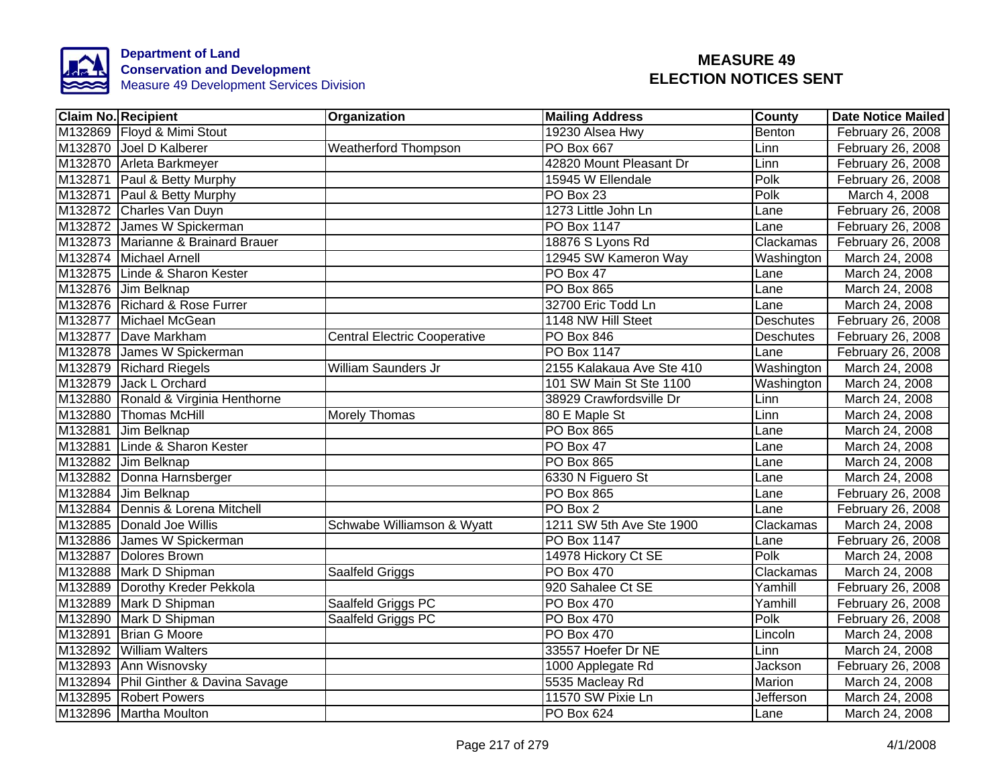

| <b>Claim No. Recipient</b>           | Organization                        | <b>Mailing Address</b>    | <b>County</b>    | <b>Date Notice Mailed</b> |
|--------------------------------------|-------------------------------------|---------------------------|------------------|---------------------------|
| M132869 Floyd & Mimi Stout           |                                     | 19230 Alsea Hwy           | Benton           | February 26, 2008         |
| M132870 Joel D Kalberer              | <b>Weatherford Thompson</b>         | <b>PO Box 667</b>         | Linn             | February 26, 2008         |
| M132870 Arleta Barkmeyer             |                                     | 42820 Mount Pleasant Dr   | Linn             | February 26, 2008         |
| M132871 Paul & Betty Murphy          |                                     | 15945 W Ellendale         | Polk             | February 26, 2008         |
| M132871 Paul & Betty Murphy          |                                     | PO Box 23                 | Polk             | March 4, 2008             |
| M132872 Charles Van Duyn             |                                     | 1273 Little John Ln       | Lane             | February 26, 2008         |
| M132872 James W Spickerman           |                                     | PO Box 1147               | Lane             | February 26, 2008         |
| M132873 Marianne & Brainard Brauer   |                                     | 18876 S Lyons Rd          | Clackamas        | February 26, 2008         |
| M132874 Michael Arnell               |                                     | 12945 SW Kameron Way      | Washington       | March 24, 2008            |
| M132875 Linde & Sharon Kester        |                                     | PO Box 47                 | Lane             | March 24, 2008            |
| M132876 Jim Belknap                  |                                     | PO Box 865                | Lane             | March 24, 2008            |
| M132876 Richard & Rose Furrer        |                                     | 32700 Eric Todd Ln        | Lane             | March 24, 2008            |
| M132877 Michael McGean               |                                     | 1148 NW Hill Steet        | <b>Deschutes</b> | February 26, 2008         |
| M132877 Dave Markham                 | <b>Central Electric Cooperative</b> | PO Box 846                | Deschutes        | February 26, 2008         |
| M132878 James W Spickerman           |                                     | <b>PO Box 1147</b>        | Lane             | February 26, 2008         |
| M132879 Richard Riegels              | <b>William Saunders Jr</b>          | 2155 Kalakaua Ave Ste 410 | Washington       | March 24, 2008            |
| M132879<br>Jack L Orchard            |                                     | 101 SW Main St Ste 1100   | Washington       | March 24, 2008            |
| M132880 Ronald & Virginia Henthorne  |                                     | 38929 Crawfordsville Dr   | Lim              | March 24, 2008            |
| M132880 Thomas McHill                | <b>Morely Thomas</b>                | 80 E Maple St             | Linn             | March 24, 2008            |
| M132881 Jim Belknap                  |                                     | <b>PO Box 865</b>         | Lane             | March 24, 2008            |
| M132881 Linde & Sharon Kester        |                                     | PO Box 47                 | Lane             | March 24, 2008            |
| M132882 Jim Belknap                  |                                     | <b>PO Box 865</b>         | Lane             | March 24, 2008            |
| M132882 Donna Harnsberger            |                                     | 6330 N Figuero St         | Lane             | March 24, 2008            |
| M132884 Jim Belknap                  |                                     | <b>PO Box 865</b>         | Lane             | February 26, 2008         |
| M132884 Dennis & Lorena Mitchell     |                                     | PO Box 2                  | Lane             | February 26, 2008         |
| M132885 Donald Joe Willis            | Schwabe Williamson & Wyatt          | 1211 SW 5th Ave Ste 1900  | Clackamas        | March 24, 2008            |
| M132886 James W Spickerman           |                                     | <b>PO Box 1147</b>        | Lane             | February 26, 2008         |
| M132887 Dolores Brown                |                                     | 14978 Hickory Ct SE       | Polk             | March 24, 2008            |
| M132888 Mark D Shipman               | Saalfeld Griggs                     | <b>PO Box 470</b>         | Clackamas        | March 24, 2008            |
| M132889 Dorothy Kreder Pekkola       |                                     | 920 Sahalee Ct SE         | Yamhill          | February 26, 2008         |
| M132889 Mark D Shipman               | Saalfeld Griggs PC                  | PO Box 470                | Yamhill          | February 26, 2008         |
| M132890 Mark D Shipman               | Saalfeld Griggs PC                  | PO Box 470                | Polk             | February 26, 2008         |
| M132891 Brian G Moore                |                                     | PO Box 470                | Lincoln          | March 24, 2008            |
| M132892 William Walters              |                                     | 33557 Hoefer Dr NE        | Linn             | March 24, 2008            |
| M132893 Ann Wisnovsky                |                                     | 1000 Applegate Rd         | Jackson          | February 26, 2008         |
| M132894 Phil Ginther & Davina Savage |                                     | 5535 Macleay Rd           | Marion           | March 24, 2008            |
| M132895 Robert Powers                |                                     | 11570 SW Pixie Ln         | Jefferson        | March 24, 2008            |
| M132896 Martha Moulton               |                                     | PO Box 624                | Lane             | March 24, 2008            |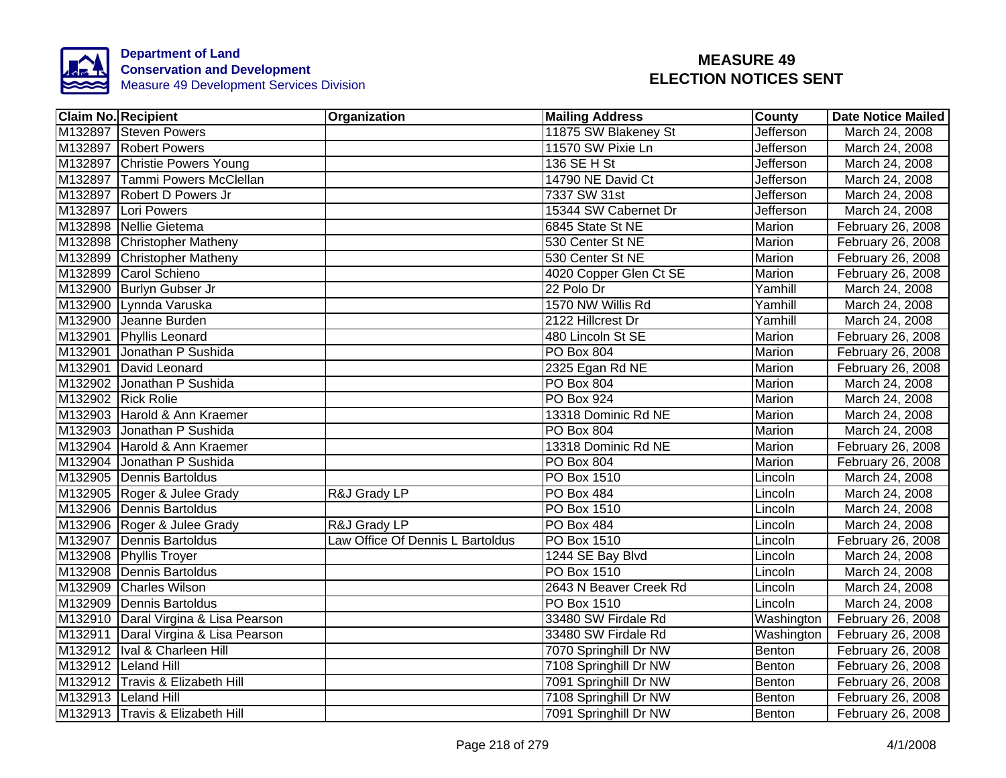

| <b>Claim No. Recipient</b>           | Organization                     | <b>Mailing Address</b> | County           | <b>Date Notice Mailed</b> |
|--------------------------------------|----------------------------------|------------------------|------------------|---------------------------|
| M132897 Steven Powers                |                                  | 11875 SW Blakeney St   | <b>Jefferson</b> | March 24, 2008            |
| M132897 Robert Powers                |                                  | 11570 SW Pixie Ln      | Jefferson        | March 24, 2008            |
| M132897 Christie Powers Young        |                                  | 136 SE H St            | Jefferson        | March 24, 2008            |
| M132897 Tammi Powers McClellan       |                                  | 14790 NE David Ct      | Jefferson        | March 24, 2008            |
| M132897 Robert D Powers Jr           |                                  | 7337 SW 31st           | Jefferson        | March 24, 2008            |
| M132897 Lori Powers                  |                                  | 15344 SW Cabernet Dr   | Jefferson        | March 24, 2008            |
| M132898 Nellie Gietema               |                                  | 6845 State St NE       | Marion           | February 26, 2008         |
| M132898 Christopher Matheny          |                                  | 530 Center St NE       | Marion           | February 26, 2008         |
| M132899 Christopher Matheny          |                                  | 530 Center St NE       | Marion           | February 26, 2008         |
| M132899 Carol Schieno                |                                  | 4020 Copper Glen Ct SE | Marion           | February 26, 2008         |
| M132900 Burlyn Gubser Jr             |                                  | 22 Polo Dr             | Yamhill          | March 24, 2008            |
| M132900 Lynnda Varuska               |                                  | 1570 NW Willis Rd      | Yamhill          | March 24, 2008            |
| M132900 Jeanne Burden                |                                  | 2122 Hillcrest Dr      | Yamhill          | March 24, 2008            |
| M132901 Phyllis Leonard              |                                  | 480 Lincoln St SE      | Marion           | February 26, 2008         |
| M132901 Jonathan P Sushida           |                                  | PO Box 804             | Marion           | February 26, 2008         |
| M132901 David Leonard                |                                  | 2325 Egan Rd NE        | <b>Marion</b>    | February 26, 2008         |
| M132902 Jonathan P Sushida           |                                  | PO Box 804             | Marion           | March 24, 2008            |
| M132902 Rick Rolie                   |                                  | <b>PO Box 924</b>      | Marion           | March 24, 2008            |
| M132903 Harold & Ann Kraemer         |                                  | 13318 Dominic Rd NE    | Marion           | March 24, 2008            |
| M132903 Jonathan P Sushida           |                                  | <b>PO Box 804</b>      | Marion           | March 24, 2008            |
| M132904 Harold & Ann Kraemer         |                                  | 13318 Dominic Rd NE    | Marion           | February 26, 2008         |
| M132904 Jonathan P Sushida           |                                  | <b>PO Box 804</b>      | Marion           | February 26, 2008         |
| M132905 Dennis Bartoldus             |                                  | <b>PO Box 1510</b>     | Lincoln          | March 24, 2008            |
| M132905 Roger & Julee Grady          | R&J Grady LP                     | PO Box 484             | Lincoln          | March 24, 2008            |
| M132906 Dennis Bartoldus             |                                  | <b>PO Box 1510</b>     | Lincoln          | March 24, 2008            |
| M132906 Roger & Julee Grady          | R&J Grady LP                     | PO Box 484             | Lincoln          | March 24, 2008            |
| M132907 Dennis Bartoldus             | Law Office Of Dennis L Bartoldus | PO Box 1510            | Lincoln          | February 26, 2008         |
| M132908 Phyllis Troyer               |                                  | 1244 SE Bay Blvd       | Lincoln          | March 24, 2008            |
| M132908 Dennis Bartoldus             |                                  | <b>PO Box 1510</b>     | Lincoln          | March 24, 2008            |
| M132909 Charles Wilson               |                                  | 2643 N Beaver Creek Rd | Lincoln          | March 24, 2008            |
| M132909 Dennis Bartoldus             |                                  | PO Box 1510            | Lincoln          | March 24, 2008            |
| M132910 Daral Virgina & Lisa Pearson |                                  | 33480 SW Firdale Rd    | Washington       | February 26, 2008         |
| M132911 Daral Virgina & Lisa Pearson |                                  | 33480 SW Firdale Rd    | Washington       | February 26, 2008         |
| M132912  Ival & Charleen Hill        |                                  | 7070 Springhill Dr NW  | Benton           | February 26, 2008         |
| M132912 Leland Hill                  |                                  | 7108 Springhill Dr NW  | Benton           | February 26, 2008         |
| M132912 Travis & Elizabeth Hill      |                                  | 7091 Springhill Dr NW  | Benton           | February 26, 2008         |
| M132913 Leland Hill                  |                                  | 7108 Springhill Dr NW  | Benton           | February 26, 2008         |
| M132913 Travis & Elizabeth Hill      |                                  | 7091 Springhill Dr NW  | Benton           | February 26, 2008         |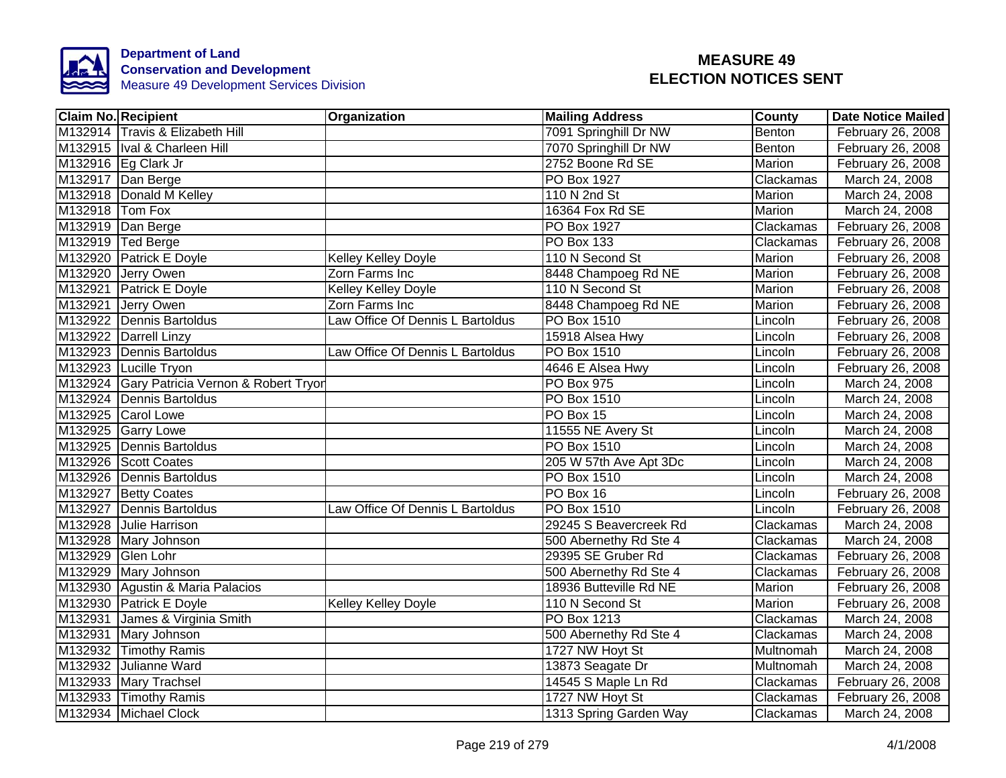

| <b>Claim No. Recipient</b>                  | Organization                     | <b>Mailing Address</b> | County        | <b>Date Notice Mailed</b> |
|---------------------------------------------|----------------------------------|------------------------|---------------|---------------------------|
| M132914 Travis & Elizabeth Hill             |                                  | 7091 Springhill Dr NW  | Benton        | February 26, 2008         |
| M132915   Ival & Charleen Hill              |                                  | 7070 Springhill Dr NW  | Benton        | February 26, 2008         |
| M132916 Eg Clark Jr                         |                                  | 2752 Boone Rd SE       | <b>Marion</b> | February 26, 2008         |
| M132917 Dan Berge                           |                                  | PO Box 1927            | Clackamas     | March 24, 2008            |
| M132918 Donald M Kelley                     |                                  | 110 N 2nd St           | Marion        | March 24, 2008            |
| M132918 Tom Fox                             |                                  | 16364 Fox Rd SE        | Marion        | March 24, 2008            |
| M132919 Dan Berge                           |                                  | PO Box 1927            | Clackamas     | February 26, 2008         |
| M132919 Ted Berge                           |                                  | PO Box 133             | Clackamas     | February 26, 2008         |
| M132920 Patrick E Doyle                     | <b>Kelley Kelley Doyle</b>       | 110 N Second St        | Marion        | February 26, 2008         |
| M132920 Jerry Owen                          | Zorn Farms Inc                   | 8448 Champoeg Rd NE    | Marion        | February 26, 2008         |
| M132921 Patrick E Doyle                     | Kelley Kelley Doyle              | 110 N Second St        | Marion        | February 26, 2008         |
| M132921 Jerry Owen                          | Zorn Farms Inc                   | 8448 Champoeg Rd NE    | Marion        | February 26, 2008         |
| M132922 Dennis Bartoldus                    | Law Office Of Dennis L Bartoldus | <b>PO Box 1510</b>     | Lincoln       | February 26, 2008         |
| M132922 Darrell Linzy                       |                                  | 15918 Alsea Hwy        | Lincoln       | February 26, 2008         |
| M132923 Dennis Bartoldus                    | Law Office Of Dennis L Bartoldus | <b>PO Box 1510</b>     | Lincoln       | February 26, 2008         |
| M132923 Lucille Tryon                       |                                  | 4646 E Alsea Hwy       | Lincoln       | February 26, 2008         |
| M132924 Gary Patricia Vernon & Robert Tryor |                                  | <b>PO Box 975</b>      | Lincoln       | March 24, 2008            |
| M132924 Dennis Bartoldus                    |                                  | <b>PO Box 1510</b>     | Lincoln       | March 24, 2008            |
| M132925 Carol Lowe                          |                                  | PO Box 15              | Lincoln       | March 24, 2008            |
| M132925 Garry Lowe                          |                                  | 11555 NE Avery St      | Lincoln       | March 24, 2008            |
| M132925 Dennis Bartoldus                    |                                  | <b>PO Box 1510</b>     | Lincoln       | March 24, 2008            |
| M132926 Scott Coates                        |                                  | 205 W 57th Ave Apt 3Dc | Lincoln       | March 24, 2008            |
| M132926 Dennis Bartoldus                    |                                  | <b>PO Box 1510</b>     | Lincoln       | March 24, 2008            |
| M132927 Betty Coates                        |                                  | PO Box 16              | Lincoln       | February 26, 2008         |
| M132927 Dennis Bartoldus                    | Law Office Of Dennis L Bartoldus | <b>PO Box 1510</b>     | Lincoln       | February 26, 2008         |
| M132928 Julie Harrison                      |                                  | 29245 S Beavercreek Rd | Clackamas     | March 24, 2008            |
| M132928 Mary Johnson                        |                                  | 500 Abernethy Rd Ste 4 | Clackamas     | March 24, 2008            |
| M132929 Glen Lohr                           |                                  | 29395 SE Gruber Rd     | Clackamas     | February 26, 2008         |
| M132929 Mary Johnson                        |                                  | 500 Abernethy Rd Ste 4 | Clackamas     | February 26, 2008         |
| M132930 Agustin & Maria Palacios            |                                  | 18936 Butteville Rd NE | Marion        | February 26, 2008         |
| M132930 Patrick E Doyle                     | <b>Kelley Kelley Doyle</b>       | 110 N Second St        | Marion        | February 26, 2008         |
| M132931 James & Virginia Smith              |                                  | PO Box 1213            | Clackamas     | March 24, 2008            |
| M132931 Mary Johnson                        |                                  | 500 Abernethy Rd Ste 4 | Clackamas     | March 24, 2008            |
| M132932 Timothy Ramis                       |                                  | 1727 NW Hoyt St        | Multnomah     | March 24, 2008            |
| M132932 Julianne Ward                       |                                  | 13873 Seagate Dr       | Multnomah     | March 24, 2008            |
| M132933 Mary Trachsel                       |                                  | 14545 S Maple Ln Rd    | Clackamas     | February 26, 2008         |
| M132933 Timothy Ramis                       |                                  | 1727 NW Hoyt St        | Clackamas     | February 26, 2008         |
| M132934 Michael Clock                       |                                  | 1313 Spring Garden Way | Clackamas     | March 24, 2008            |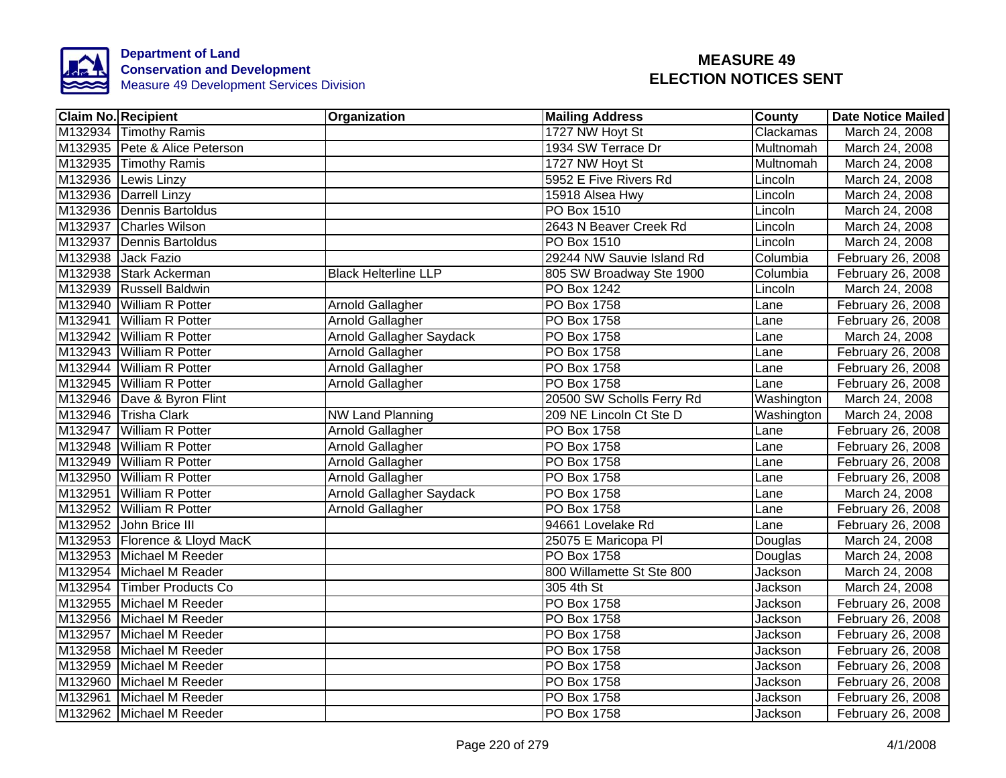

| <b>Claim No. Recipient</b>    | Organization                | <b>Mailing Address</b>    | <b>County</b> | <b>Date Notice Mailed</b> |
|-------------------------------|-----------------------------|---------------------------|---------------|---------------------------|
| M132934 Timothy Ramis         |                             | 1727 NW Hoyt St           | Clackamas     | March 24, 2008            |
| M132935 Pete & Alice Peterson |                             | 1934 SW Terrace Dr        | Multnomah     | March 24, 2008            |
| M132935 Timothy Ramis         |                             | 1727 NW Hoyt St           | Multnomah     | March 24, 2008            |
| M132936 Lewis Linzy           |                             | 5952 E Five Rivers Rd     | Lincoln       | March 24, 2008            |
| M132936 Darrell Linzy         |                             | 15918 Alsea Hwy           | Lincoln       | March 24, 2008            |
| M132936 Dennis Bartoldus      |                             | PO Box 1510               | Lincoln       | March 24, 2008            |
| M132937 Charles Wilson        |                             | 2643 N Beaver Creek Rd    | Lincoln       | March 24, 2008            |
| M132937 Dennis Bartoldus      |                             | PO Box 1510               | Lincoln       | March 24, 2008            |
| M132938 Jack Fazio            |                             | 29244 NW Sauvie Island Rd | Columbia      | February 26, 2008         |
| M132938 Stark Ackerman        | <b>Black Helterline LLP</b> | 805 SW Broadway Ste 1900  | Columbia      | February 26, 2008         |
| M132939 Russell Baldwin       |                             | PO Box 1242               | Lincoln       | March 24, 2008            |
| M132940 William R Potter      | Arnold Gallagher            | <b>PO</b> Box 1758        | Lane          | February 26, 2008         |
| M132941 William R Potter      | Arnold Gallagher            | PO Box 1758               | Lane          | February 26, 2008         |
| M132942 William R Potter      | Arnold Gallagher Saydack    | PO Box 1758               | Lane          | March 24, 2008            |
| M132943 William R Potter      | <b>Arnold Gallagher</b>     | <b>PO Box 1758</b>        | Lane          | February 26, 2008         |
| M132944 William R Potter      | <b>Arnold Gallagher</b>     | <b>PO Box 1758</b>        | Lane          | February 26, 2008         |
| M132945 William R Potter      | Arnold Gallagher            | <b>PO Box 1758</b>        | Lane          | February 26, 2008         |
| M132946 Dave & Byron Flint    |                             | 20500 SW Scholls Ferry Rd | Washington    | March 24, 2008            |
| M132946 Trisha Clark          | <b>NW Land Planning</b>     | 209 NE Lincoln Ct Ste D   | Washington    | March 24, 2008            |
| M132947 William R Potter      | Arnold Gallagher            | <b>PO Box 1758</b>        | Lane          | February 26, 2008         |
| M132948 William R Potter      | <b>Arnold Gallagher</b>     | <b>PO Box 1758</b>        | Lane          | February 26, 2008         |
| M132949 William R Potter      | <b>Arnold Gallagher</b>     | <b>PO Box 1758</b>        | Lane          | February 26, 2008         |
| M132950 William R Potter      | Arnold Gallagher            | PO Box 1758               | Lane          | February 26, 2008         |
| M132951 William R Potter      | Arnold Gallagher Saydack    | <b>PO Box 1758</b>        | Lane          | March 24, 2008            |
| M132952 William R Potter      | <b>Arnold Gallagher</b>     | <b>PO Box 1758</b>        | Lane          | February 26, 2008         |
| M132952 John Brice III        |                             | 94661 Lovelake Rd         | Lane          | February 26, 2008         |
| M132953 Florence & Lloyd MacK |                             | 25075 E Maricopa PI       | Douglas       | March 24, 2008            |
| M132953 Michael M Reeder      |                             | <b>PO Box 1758</b>        | Douglas       | March 24, 2008            |
| M132954 Michael M Reader      |                             | 800 Willamette St Ste 800 | Jackson       | March 24, 2008            |
| M132954 Timber Products Co    |                             | 305 4th St                | Jackson       | March 24, 2008            |
| M132955 Michael M Reeder      |                             | PO Box 1758               | Jackson       | February 26, 2008         |
| M132956 Michael M Reeder      |                             | PO Box 1758               | Jackson       | February 26, 2008         |
| M132957 Michael M Reeder      |                             | PO Box 1758               | Jackson       | February 26, 2008         |
| M132958 Michael M Reeder      |                             | PO Box 1758               | Jackson       | February 26, 2008         |
| M132959 Michael M Reeder      |                             | <b>PO Box 1758</b>        | Jackson       | February 26, 2008         |
| M132960 Michael M Reeder      |                             | PO Box 1758               | Jackson       | February 26, 2008         |
| M132961 Michael M Reeder      |                             | PO Box 1758               | Jackson       | February 26, 2008         |
| M132962 Michael M Reeder      |                             | PO Box 1758               | Jackson       | February 26, 2008         |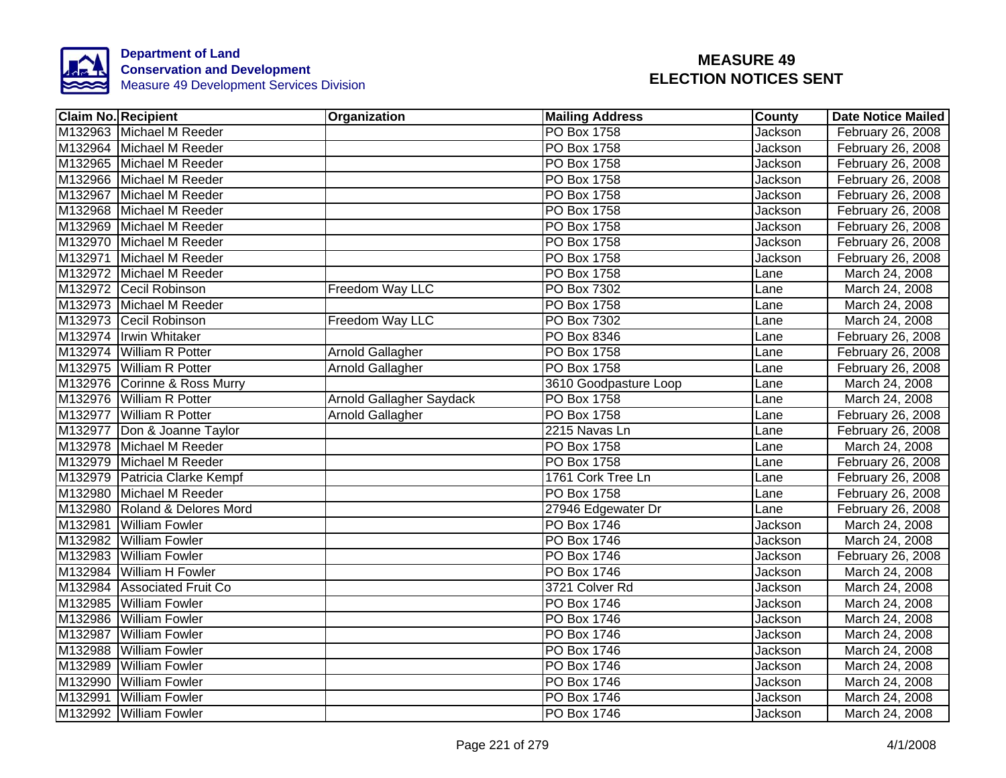

| <b>Claim No. Recipient</b>    | Organization                    | <b>Mailing Address</b> | County         | <b>Date Notice Mailed</b> |
|-------------------------------|---------------------------------|------------------------|----------------|---------------------------|
| M132963 Michael M Reeder      |                                 | <b>PO Box 1758</b>     | <b>Jackson</b> | February 26, 2008         |
| M132964 Michael M Reeder      |                                 | <b>PO Box 1758</b>     | Jackson        | February 26, 2008         |
| M132965 Michael M Reeder      |                                 | <b>PO Box 1758</b>     | Jackson        | February 26, 2008         |
| M132966 Michael M Reeder      |                                 | <b>PO Box 1758</b>     | Jackson        | February 26, 2008         |
| M132967 Michael M Reeder      |                                 | PO Box 1758            | Jackson        | February 26, 2008         |
| M132968 Michael M Reeder      |                                 | PO Box 1758            | Jackson        | February 26, 2008         |
| M132969 Michael M Reeder      |                                 | PO Box 1758            | Jackson        | February 26, 2008         |
| M132970 Michael M Reeder      |                                 | PO Box 1758            | Jackson        | February 26, 2008         |
| M132971 Michael M Reeder      |                                 | PO Box 1758            | Jackson        | February 26, 2008         |
| M132972 Michael M Reeder      |                                 | <b>PO Box 1758</b>     | Lane           | March 24, 2008            |
| M132972 Cecil Robinson        | Freedom Way LLC                 | PO Box 7302            | Lane           | March 24, 2008            |
| M132973 Michael M Reeder      |                                 | <b>PO</b> Box 1758     | Lane           | March 24, 2008            |
| M132973 Cecil Robinson        | Freedom Way LLC                 | PO Box 7302            | Lane           | March 24, 2008            |
| M132974 Irwin Whitaker        |                                 | <b>PO Box 8346</b>     | Lane           | February 26, 2008         |
| M132974 William R Potter      | Arnold Gallagher                | <b>PO Box 1758</b>     | Lane           | February 26, 2008         |
| M132975 William R Potter      | <b>Arnold Gallagher</b>         | <b>PO Box 1758</b>     | Lane           | February 26, 2008         |
| M132976 Corinne & Ross Murry  |                                 | 3610 Goodpasture Loop  | Lane           | March 24, 2008            |
| M132976 William R Potter      | <b>Arnold Gallagher Saydack</b> | <b>PO Box 1758</b>     | Lane           | March 24, 2008            |
| M132977 William R Potter      | Arnold Gallagher                | <b>PO Box 1758</b>     | Lane           | February 26, 2008         |
| M132977 Don & Joanne Taylor   |                                 | 2215 Navas Ln          | Lane           | February 26, 2008         |
| M132978 Michael M Reeder      |                                 | <b>PO Box 1758</b>     | Lane           | March 24, 2008            |
| M132979 Michael M Reeder      |                                 | <b>PO Box 1758</b>     | Lane           | February 26, 2008         |
| M132979 Patricia Clarke Kempf |                                 | 1761 Cork Tree Ln      | Lane           | February 26, 2008         |
| M132980 Michael M Reeder      |                                 | <b>PO Box 1758</b>     | Lane           | February 26, 2008         |
| M132980 Roland & Delores Mord |                                 | 27946 Edgewater Dr     | Lane           | February 26, 2008         |
| M132981 William Fowler        |                                 | <b>PO Box 1746</b>     | Jackson        | March 24, 2008            |
| M132982 William Fowler        |                                 | PO Box 1746            | Jackson        | March 24, 2008            |
| M132983 William Fowler        |                                 | PO Box 1746            | Jackson        | February 26, 2008         |
| M132984 William H Fowler      |                                 | PO Box 1746            | Jackson        | March 24, 2008            |
| M132984 Associated Fruit Co   |                                 | 3721 Colver Rd         | Jackson        | March 24, 2008            |
| M132985 William Fowler        |                                 | PO Box 1746            | Jackson        | March 24, 2008            |
| M132986 William Fowler        |                                 | PO Box 1746            | Jackson        | March 24, 2008            |
| M132987 William Fowler        |                                 | PO Box 1746            | Jackson        | March 24, 2008            |
| M132988 William Fowler        |                                 | PO Box 1746            | Jackson        | March 24, 2008            |
| M132989 William Fowler        |                                 | PO Box 1746            | Jackson        | March 24, 2008            |
| M132990 William Fowler        |                                 | PO Box 1746            | Jackson        | March 24, 2008            |
| M132991 William Fowler        |                                 | PO Box 1746            | Jackson        | March 24, 2008            |
| M132992 William Fowler        |                                 | PO Box 1746            | Jackson        | March 24, 2008            |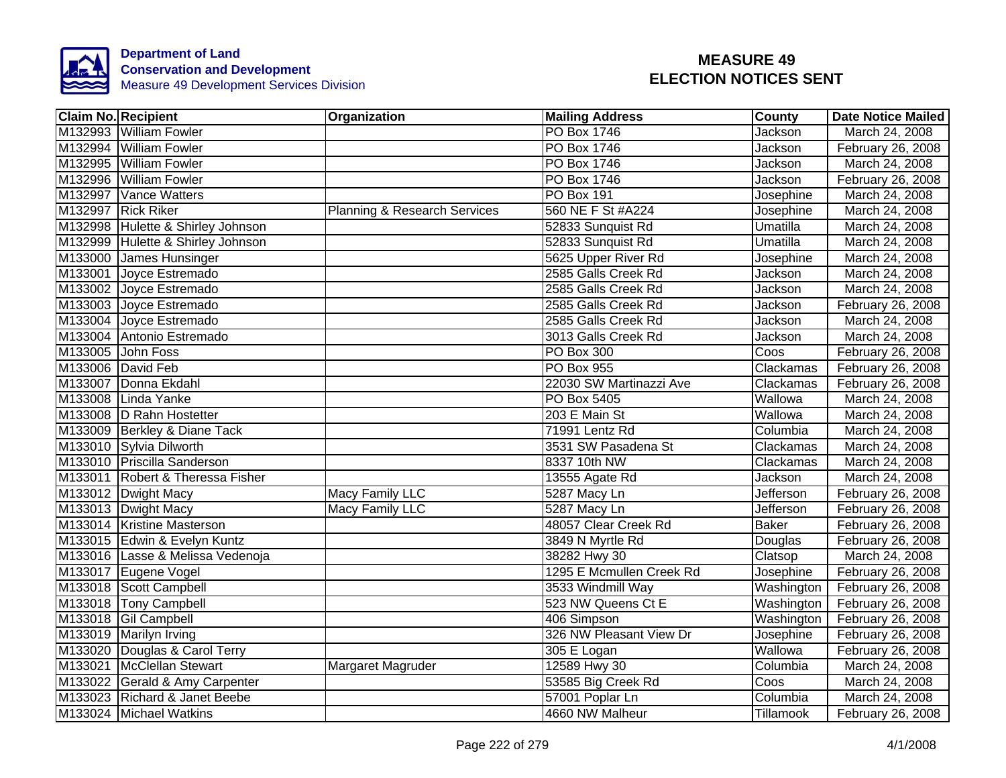

| <b>Claim No. Recipient</b> |                                   | <b>Organization</b>                     | <b>Mailing Address</b>   | County       | Date Notice Mailed |
|----------------------------|-----------------------------------|-----------------------------------------|--------------------------|--------------|--------------------|
|                            | M132993 William Fowler            |                                         | PO Box 1746              | Jackson      | March 24, 2008     |
|                            | M132994 William Fowler            |                                         | PO Box 1746              | Jackson      | February 26, 2008  |
|                            | M132995 William Fowler            |                                         | PO Box 1746              | Jackson      | March 24, 2008     |
|                            | M132996 William Fowler            |                                         | PO Box 1746              | Jackson      | February 26, 2008  |
|                            | M132997 Vance Watters             |                                         | PO Box 191               | Josephine    | March 24, 2008     |
| M132997 Rick Riker         |                                   | <b>Planning &amp; Research Services</b> | 560 NE F St #A224        | Josephine    | March 24, 2008     |
|                            | M132998 Hulette & Shirley Johnson |                                         | 52833 Sunquist Rd        | Umatilla     | March 24, 2008     |
|                            | M132999 Hulette & Shirley Johnson |                                         | 52833 Sunquist Rd        | Umatilla     | March 24, 2008     |
|                            | M133000 James Hunsinger           |                                         | 5625 Upper River Rd      | Josephine    | March 24, 2008     |
|                            | M133001 Joyce Estremado           |                                         | 2585 Galls Creek Rd      | Jackson      | March 24, 2008     |
|                            | M133002 Joyce Estremado           |                                         | 2585 Galls Creek Rd      | Jackson      | March 24, 2008     |
|                            | M133003 Joyce Estremado           |                                         | 2585 Galls Creek Rd      | Jackson      | February 26, 2008  |
|                            | M133004 Joyce Estremado           |                                         | 2585 Galls Creek Rd      | Jackson      | March 24, 2008     |
|                            | M133004 Antonio Estremado         |                                         | 3013 Galls Creek Rd      | Jackson      | March 24, 2008     |
| M133005 John Foss          |                                   |                                         | PO Box 300               | Coos         | February 26, 2008  |
| M133006 David Feb          |                                   |                                         | <b>PO Box 955</b>        | Clackamas    | February 26, 2008  |
|                            | M133007 Donna Ekdahl              |                                         | 22030 SW Martinazzi Ave  | Clackamas    | February 26, 2008  |
|                            | M133008 Linda Yanke               |                                         | <b>PO Box 5405</b>       | Wallowa      | March 24, 2008     |
|                            | M133008 D Rahn Hostetter          |                                         | 203 E Main St            | Wallowa      | March 24, 2008     |
|                            | M133009 Berkley & Diane Tack      |                                         | 71991 Lentz Rd           | Columbia     | March 24, 2008     |
|                            | M133010 Sylvia Dilworth           |                                         | 3531 SW Pasadena St      | Clackamas    | March 24, 2008     |
|                            | M133010 Priscilla Sanderson       |                                         | 8337 10th NW             | Clackamas    | March 24, 2008     |
|                            | M133011 Robert & Theressa Fisher  |                                         | 13555 Agate Rd           | Jackson      | March 24, 2008     |
|                            | M133012 Dwight Macy               | <b>Macy Family LLC</b>                  | 5287 Macy Ln             | Jefferson    | February 26, 2008  |
|                            | M133013 Dwight Macy               | <b>Macy Family LLC</b>                  | 5287 Macy Ln             | Jefferson    | February 26, 2008  |
|                            | M133014 Kristine Masterson        |                                         | 48057 Clear Creek Rd     | <b>Baker</b> | February 26, 2008  |
|                            | M133015 Edwin & Evelyn Kuntz      |                                         | 3849 N Myrtle Rd         | Douglas      | February 26, 2008  |
|                            | M133016 Lasse & Melissa Vedenoja  |                                         | 38282 Hwy 30             | Clatsop      | March 24, 2008     |
|                            | M133017 Eugene Vogel              |                                         | 1295 E Mcmullen Creek Rd | Josephine    | February 26, 2008  |
|                            | M133018 Scott Campbell            |                                         | 3533 Windmill Way        | Washington   | February 26, 2008  |
|                            | M133018 Tony Campbell             |                                         | 523 NW Queens Ct E       | Washington   | February 26, 2008  |
|                            | M133018 Gil Campbell              |                                         | 406 Simpson              | Washington   | February 26, 2008  |
|                            | M133019 Marilyn Irving            |                                         | 326 NW Pleasant View Dr  | Josephine    | February 26, 2008  |
|                            | M133020 Douglas & Carol Terry     |                                         | 305 E Logan              | Wallowa      | February 26, 2008  |
|                            | M133021 McClellan Stewart         | Margaret Magruder                       | 12589 Hwy 30             | Columbia     | March 24, 2008     |
|                            | M133022 Gerald & Amy Carpenter    |                                         | 53585 Big Creek Rd       | Coos         | March 24, 2008     |
|                            | M133023 Richard & Janet Beebe     |                                         | 57001 Poplar Ln          | Columbia     | March 24, 2008     |
|                            | M133024 Michael Watkins           |                                         | 4660 NW Malheur          | Tillamook    | February 26, 2008  |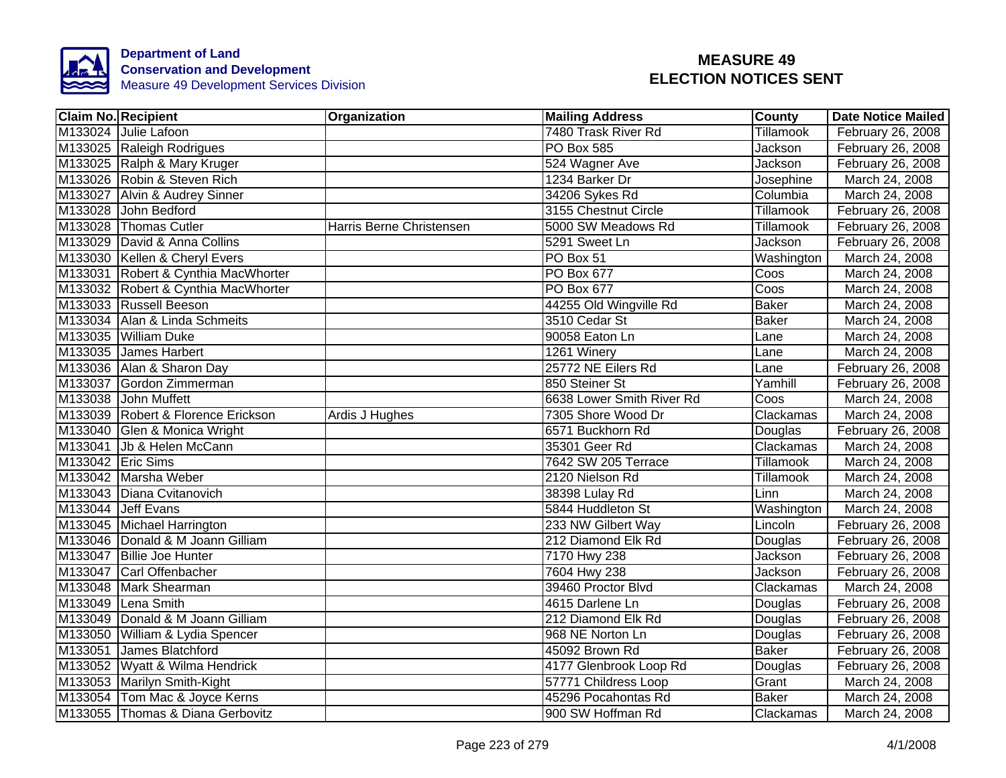

| <b>Claim No. Recipient</b>          | <b>Organization</b>      | <b>Mailing Address</b>    | County           | <b>Date Notice Mailed</b> |
|-------------------------------------|--------------------------|---------------------------|------------------|---------------------------|
| M133024 Julie Lafoon                |                          | 7480 Trask River Rd       | Tillamook        | February 26, 2008         |
| M133025 Raleigh Rodrigues           |                          | <b>PO Box 585</b>         | Jackson          | February 26, 2008         |
| M133025 Ralph & Mary Kruger         |                          | 524 Wagner Ave            | Jackson          | February 26, 2008         |
| M133026 Robin & Steven Rich         |                          | 1234 Barker Dr            | Josephine        | March 24, 2008            |
| M133027 Alvin & Audrey Sinner       |                          | 34206 Sykes Rd            | Columbia         | March 24, 2008            |
| M133028 John Bedford                |                          | 3155 Chestnut Circle      | Tillamook        | February 26, 2008         |
| M133028 Thomas Cutler               | Harris Berne Christensen | 5000 SW Meadows Rd        | Tillamook        | February 26, 2008         |
| M133029 David & Anna Collins        |                          | 5291 Sweet Ln             | Jackson          | February 26, 2008         |
| M133030 Kellen & Cheryl Evers       |                          | PO Box 51                 | Washington       | March 24, 2008            |
| M133031 Robert & Cynthia MacWhorter |                          | PO Box 677                | Coos             | March 24, 2008            |
| M133032 Robert & Cynthia MacWhorter |                          | PO Box 677                | Coos             | March 24, 2008            |
| M133033 Russell Beeson              |                          | 44255 Old Wingville Rd    | <b>Baker</b>     | March 24, 2008            |
| M133034 Alan & Linda Schmeits       |                          | 3510 Cedar St             | <b>Baker</b>     | March 24, 2008            |
| M133035 William Duke                |                          | 90058 Eaton Ln            | Lane             | March 24, 2008            |
| M133035 James Harbert               |                          | 1261 Winery               | Lane             | March 24, 2008            |
| M133036 Alan & Sharon Day           |                          | 25772 NE Eilers Rd        | Lane             | February 26, 2008         |
| M133037 Gordon Zimmerman            |                          | 850 Steiner St            | Yamhill          | February 26, 2008         |
| M133038 John Muffett                |                          | 6638 Lower Smith River Rd | Coos             | March 24, 2008            |
| M133039 Robert & Florence Erickson  | Ardis J Hughes           | 7305 Shore Wood Dr        | Clackamas        | March 24, 2008            |
| M133040 Glen & Monica Wright        |                          | 6571 Buckhorn Rd          | Douglas          | February 26, 2008         |
| M133041 Jb & Helen McCann           |                          | 35301 Geer Rd             | Clackamas        | March 24, 2008            |
| M133042 Eric Sims                   |                          | 7642 SW 205 Terrace       | <b>Tillamook</b> | March 24, 2008            |
| M133042 Marsha Weber                |                          | 2120 Nielson Rd           | <b>Tillamook</b> | March 24, 2008            |
| M133043 Diana Cvitanovich           |                          | 38398 Lulay Rd            | Linn             | March 24, 2008            |
| M133044 Jeff Evans                  |                          | 5844 Huddleton St         | Washington       | March 24, 2008            |
| M133045 Michael Harrington          |                          | 233 NW Gilbert Way        | Lincoln          | February 26, 2008         |
| M133046 Donald & M Joann Gilliam    |                          | 212 Diamond Elk Rd        | Douglas          | February 26, 2008         |
| M133047 Billie Joe Hunter           |                          | 7170 Hwy 238              | Jackson          | February 26, 2008         |
| M133047 Carl Offenbacher            |                          | 7604 Hwy 238              | Jackson          | February 26, 2008         |
| M133048 Mark Shearman               |                          | 39460 Proctor Blvd        | Clackamas        | March 24, 2008            |
| M133049 Lena Smith                  |                          | 4615 Darlene Ln           | Douglas          | February 26, 2008         |
| M133049 Donald & M Joann Gilliam    |                          | 212 Diamond Elk Rd        | Douglas          | February 26, 2008         |
| M133050 William & Lydia Spencer     |                          | 968 NE Norton Ln          | Douglas          | February 26, 2008         |
| M133051 James Blatchford            |                          | 45092 Brown Rd            | <b>Baker</b>     | February 26, 2008         |
| M133052 Wyatt & Wilma Hendrick      |                          | 4177 Glenbrook Loop Rd    | Douglas          | February 26, 2008         |
| M133053 Marilyn Smith-Kight         |                          | 57771 Childress Loop      | Grant            | March 24, 2008            |
| M133054 Tom Mac & Joyce Kerns       |                          | 45296 Pocahontas Rd       | <b>Baker</b>     | March 24, 2008            |
| M133055 Thomas & Diana Gerbovitz    |                          | 900 SW Hoffman Rd         | Clackamas        | March 24, 2008            |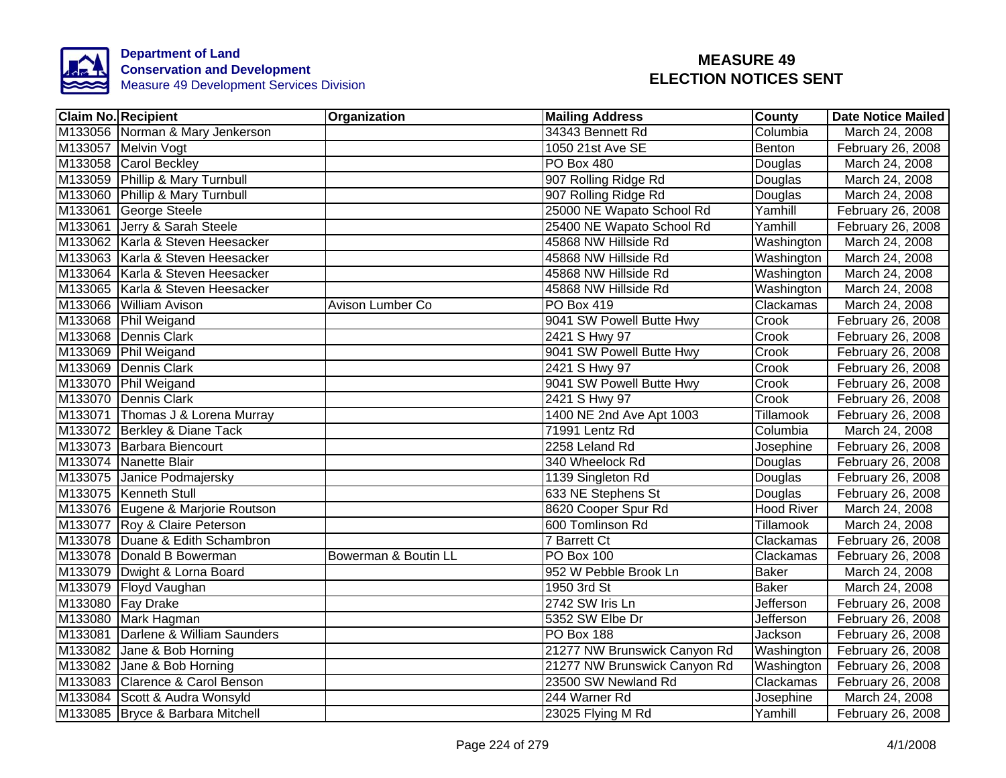

| <b>Claim No. Recipient</b>         | Organization         | <b>Mailing Address</b>       | <b>County</b>     | <b>Date Notice Mailed</b> |
|------------------------------------|----------------------|------------------------------|-------------------|---------------------------|
| M133056 Norman & Mary Jenkerson    |                      | 34343 Bennett Rd             | Columbia          | March 24, 2008            |
| M133057 Melvin Vogt                |                      | 1050 21st Ave SE             | Benton            | February 26, 2008         |
| M133058 Carol Beckley              |                      | <b>PO Box 480</b>            | Douglas           | March 24, 2008            |
| M133059 Phillip & Mary Turnbull    |                      | 907 Rolling Ridge Rd         | Douglas           | March 24, 2008            |
| M133060 Phillip & Mary Turnbull    |                      | 907 Rolling Ridge Rd         | Douglas           | March 24, 2008            |
| M133061 George Steele              |                      | 25000 NE Wapato School Rd    | Yamhill           | February 26, 2008         |
| M133061 Jerry & Sarah Steele       |                      | 25400 NE Wapato School Rd    | Yamhill           | February 26, 2008         |
| M133062 Karla & Steven Heesacker   |                      | 45868 NW Hillside Rd         | Washington        | March 24, 2008            |
| M133063 Karla & Steven Heesacker   |                      | 45868 NW Hillside Rd         | Washington        | March 24, 2008            |
| M133064 Karla & Steven Heesacker   |                      | 45868 NW Hillside Rd         | Washington        | March 24, 2008            |
| M133065 Karla & Steven Heesacker   |                      | 45868 NW Hillside Rd         | Washington        | March 24, 2008            |
| M133066 William Avison             | Avison Lumber Co     | PO Box 419                   | Clackamas         | March 24, 2008            |
| M133068 Phil Weigand               |                      | 9041 SW Powell Butte Hwy     | Crook             | February 26, 2008         |
| M133068 Dennis Clark               |                      | 2421 S Hwy 97                | Crook             | February 26, 2008         |
| M133069 Phil Weigand               |                      | 9041 SW Powell Butte Hwy     | Crook             | February 26, 2008         |
| M133069 Dennis Clark               |                      | 2421 S Hwy 97                | Crook             | February 26, 2008         |
| M133070 Phil Weigand               |                      | 9041 SW Powell Butte Hwy     | Crook             | February 26, 2008         |
| M133070 Dennis Clark               |                      | 2421 S Hwy 97                | Crook             | February 26, 2008         |
| M133071 Thomas J & Lorena Murray   |                      | 1400 NE 2nd Ave Apt 1003     | Tillamook         | February 26, 2008         |
| M133072 Berkley & Diane Tack       |                      | 71991 Lentz Rd               | Columbia          | March 24, 2008            |
| M133073 Barbara Biencourt          |                      | 2258 Leland Rd               | Josephine         | February 26, 2008         |
| M133074 Nanette Blair              |                      | 340 Wheelock Rd              | Douglas           | February 26, 2008         |
| M133075 Janice Podmajersky         |                      | 1139 Singleton Rd            | Douglas           | February 26, 2008         |
| M133075 Kenneth Stull              |                      | 633 NE Stephens St           | Douglas           | February 26, 2008         |
| M133076 Eugene & Marjorie Routson  |                      | 8620 Cooper Spur Rd          | <b>Hood River</b> | March 24, 2008            |
| M133077 Roy & Claire Peterson      |                      | 600 Tomlinson Rd             | Tillamook         | March 24, 2008            |
| M133078 Duane & Edith Schambron    |                      | 7 Barrett Ct                 | Clackamas         | February 26, 2008         |
| M133078 Donald B Bowerman          | Bowerman & Boutin LL | <b>PO Box 100</b>            | Clackamas         | February 26, 2008         |
| M133079 Dwight & Lorna Board       |                      | 952 W Pebble Brook Ln        | <b>Baker</b>      | March 24, 2008            |
| M133079 Floyd Vaughan              |                      | 1950 3rd St                  | <b>Baker</b>      | March 24, 2008            |
| M133080 Fay Drake                  |                      | 2742 SW Iris Ln              | Jefferson         | February 26, 2008         |
| M133080 Mark Hagman                |                      | 5352 SW Elbe Dr              | Jefferson         | February 26, 2008         |
| M133081 Darlene & William Saunders |                      | <b>PO Box 188</b>            | Jackson           | February 26, 2008         |
| M133082 Jane & Bob Horning         |                      | 21277 NW Brunswick Canyon Rd | Washington        | February 26, 2008         |
| M133082 Jane & Bob Horning         |                      | 21277 NW Brunswick Canyon Rd | Washington        | February 26, 2008         |
| M133083 Clarence & Carol Benson    |                      | 23500 SW Newland Rd          | Clackamas         | February 26, 2008         |
| M133084 Scott & Audra Wonsyld      |                      | 244 Warner Rd                | Josephine         | March 24, 2008            |
| M133085 Bryce & Barbara Mitchell   |                      | 23025 Flying M Rd            | Yamhill           | February 26, 2008         |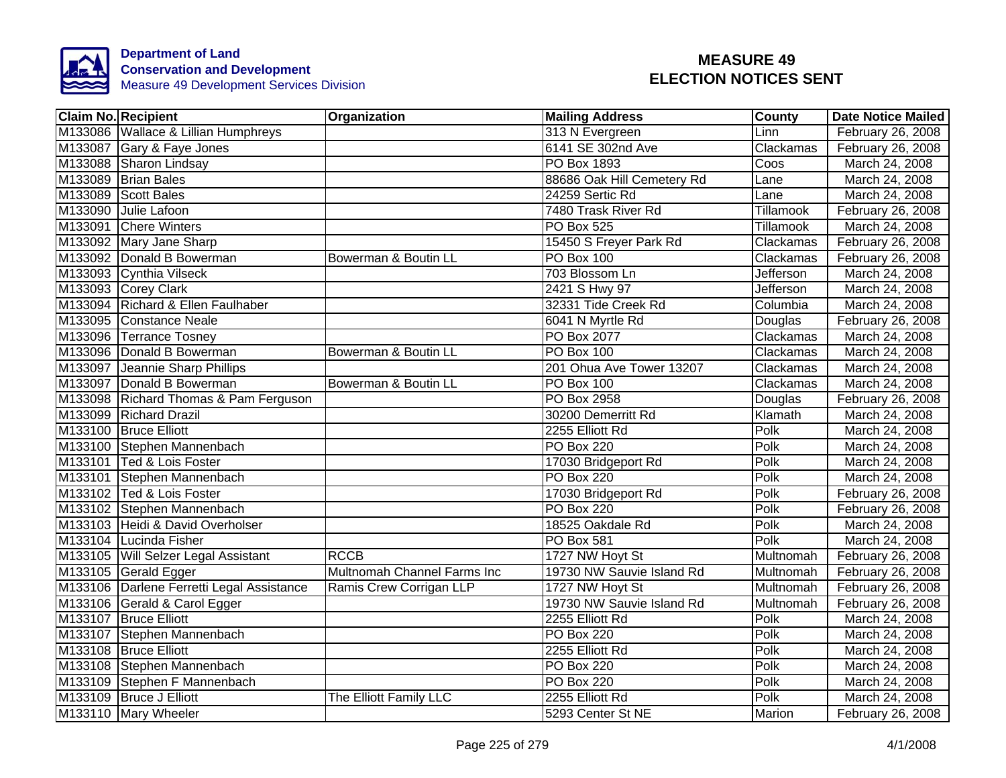

| <b>Claim No. Recipient</b>                | <b>Organization</b>         | <b>Mailing Address</b>     | County           | <b>Date Notice Mailed</b> |
|-------------------------------------------|-----------------------------|----------------------------|------------------|---------------------------|
| M133086 Wallace & Lillian Humphreys       |                             | 313 N Evergreen            | Linn             | February 26, 2008         |
| M133087 Gary & Faye Jones                 |                             | 6141 SE 302nd Ave          | Clackamas        | February 26, 2008         |
| M133088 Sharon Lindsay                    |                             | <b>PO Box 1893</b>         | Coos             | March 24, 2008            |
| M133089 Brian Bales                       |                             | 88686 Oak Hill Cemetery Rd | Lane             | March 24, 2008            |
| M133089 Scott Bales                       |                             | 24259 Sertic Rd            | Lane             | March 24, 2008            |
| M133090 Julie Lafoon                      |                             | 7480 Trask River Rd        | Tillamook        | February 26, 2008         |
| M133091 Chere Winters                     |                             | PO Box 525                 | Tillamook        | March 24, 2008            |
| M133092 Mary Jane Sharp                   |                             | 15450 S Freyer Park Rd     | Clackamas        | February 26, 2008         |
| M133092 Donald B Bowerman                 | Bowerman & Boutin LL        | PO Box 100                 | Clackamas        | February 26, 2008         |
| M133093 Cynthia Vilseck                   |                             | 703 Blossom Ln             | Jefferson        | March 24, 2008            |
| M133093 Corey Clark                       |                             | 2421 S Hwy 97              | <b>Jefferson</b> | March 24, 2008            |
| M133094 Richard & Ellen Faulhaber         |                             | 32331 Tide Creek Rd        | Columbia         | March 24, 2008            |
| M133095 Constance Neale                   |                             | 6041 N Myrtle Rd           | Douglas          | February 26, 2008         |
| M133096 Terrance Tosney                   |                             | PO Box 2077                | Clackamas        | March 24, 2008            |
| M133096 Donald B Bowerman                 | Bowerman & Boutin LL        | PO Box 100                 | Clackamas        | March 24, 2008            |
| M133097 Jeannie Sharp Phillips            |                             | 201 Ohua Ave Tower 13207   | Clackamas        | March 24, 2008            |
| M133097 Donald B Bowerman                 | Bowerman & Boutin LL        | PO Box 100                 | Clackamas        | March 24, 2008            |
| M133098 Richard Thomas & Pam Ferguson     |                             | <b>PO Box 2958</b>         | Douglas          | February 26, 2008         |
| M133099 Richard Drazil                    |                             | 30200 Demerritt Rd         | Klamath          | March 24, 2008            |
| M133100 Bruce Elliott                     |                             | 2255 Elliott Rd            | Polk             | March 24, 2008            |
| M133100 Stephen Mannenbach                |                             | <b>PO Box 220</b>          | Polk             | March 24, 2008            |
| M133101 Ted & Lois Foster                 |                             | 17030 Bridgeport Rd        | Polk             | March 24, 2008            |
| M133101 Stephen Mannenbach                |                             | <b>PO Box 220</b>          | Polk             | March 24, 2008            |
| M133102 Ted & Lois Foster                 |                             | 17030 Bridgeport Rd        | Polk             | February 26, 2008         |
| M133102 Stephen Mannenbach                |                             | <b>PO Box 220</b>          | Polk             | February 26, 2008         |
| M133103 Heidi & David Overholser          |                             | 18525 Oakdale Rd           | Polk             | March 24, 2008            |
| M133104 Lucinda Fisher                    |                             | <b>PO Box 581</b>          | Polk             | March 24, 2008            |
| M133105 Will Selzer Legal Assistant       | <b>RCCB</b>                 | 1727 NW Hoyt St            | Multnomah        | February 26, 2008         |
| M133105 Gerald Egger                      | Multnomah Channel Farms Inc | 19730 NW Sauvie Island Rd  | Multnomah        | February 26, 2008         |
| M133106 Darlene Ferretti Legal Assistance | Ramis Crew Corrigan LLP     | 1727 NW Hoyt St            | Multnomah        | February 26, 2008         |
| M133106 Gerald & Carol Egger              |                             | 19730 NW Sauvie Island Rd  | Multnomah        | February 26, 2008         |
| M133107 Bruce Elliott                     |                             | 2255 Elliott Rd            | Polk             | March 24, 2008            |
| M133107 Stephen Mannenbach                |                             | <b>PO Box 220</b>          | Polk             | March 24, 2008            |
| M133108 Bruce Elliott                     |                             | 2255 Elliott Rd            | Polk             | March 24, 2008            |
| M133108 Stephen Mannenbach                |                             | PO Box 220                 | Polk             | March 24, 2008            |
| M133109 Stephen F Mannenbach              |                             | <b>PO Box 220</b>          | Polk             | March 24, 2008            |
| M133109 Bruce J Elliott                   | The Elliott Family LLC      | 2255 Elliott Rd            | Polk             | March 24, 2008            |
| M133110 Mary Wheeler                      |                             | 5293 Center St NE          | Marion           | February 26, 2008         |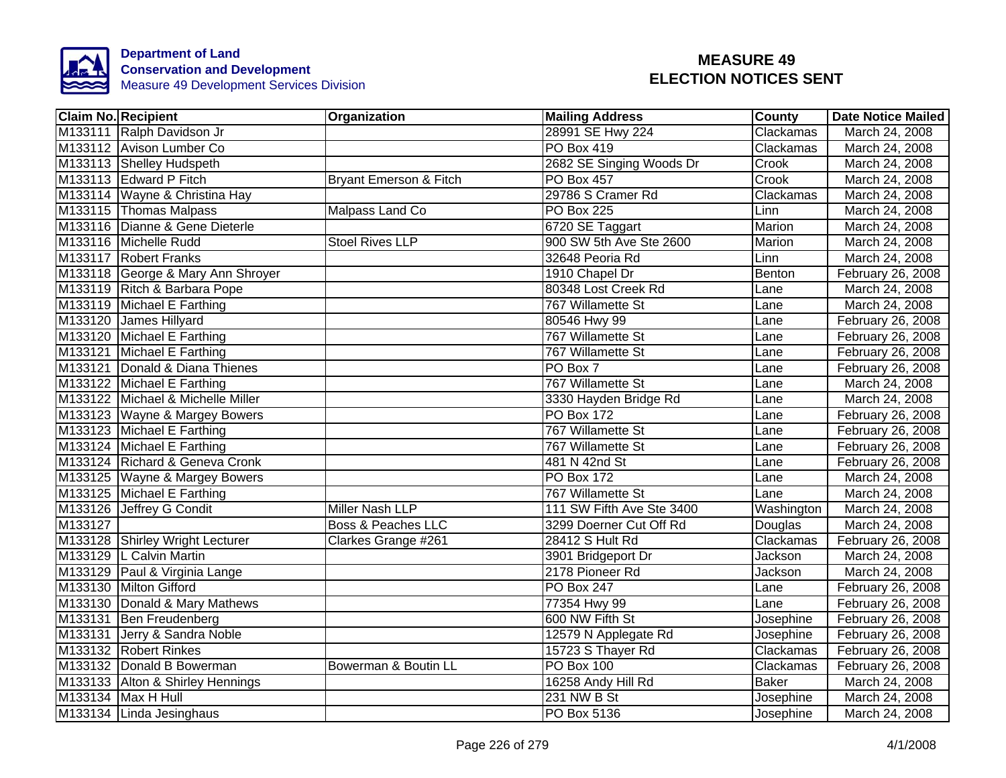

|         | <b>Claim No. Recipient</b>        | Organization                  | <b>Mailing Address</b>    | County       | <b>Date Notice Mailed</b> |
|---------|-----------------------------------|-------------------------------|---------------------------|--------------|---------------------------|
|         | M133111 Ralph Davidson Jr         |                               | 28991 SE Hwy 224          | Clackamas    | March 24, 2008            |
|         | M133112 Avison Lumber Co          |                               | <b>PO Box 419</b>         | Clackamas    | March 24, 2008            |
|         | M133113 Shelley Hudspeth          |                               | 2682 SE Singing Woods Dr  | Crook        | March 24, 2008            |
|         | M133113 Edward P Fitch            | Bryant Emerson & Fitch        | <b>PO Box 457</b>         | Crook        | March 24, 2008            |
|         | M133114 Wayne & Christina Hay     |                               | 29786 S Cramer Rd         | Clackamas    | March 24, 2008            |
|         | M133115 Thomas Malpass            | Malpass Land Co               | <b>PO Box 225</b>         | Linn         | March 24, 2008            |
|         | M133116 Dianne & Gene Dieterle    |                               | 6720 SE Taggart           | Marion       | March 24, 2008            |
|         | M133116 Michelle Rudd             | <b>Stoel Rives LLP</b>        | 900 SW 5th Ave Ste 2600   | Marion       | March 24, 2008            |
|         | M133117 Robert Franks             |                               | 32648 Peoria Rd           | Linn         | March 24, 2008            |
|         | M133118 George & Mary Ann Shroyer |                               | 1910 Chapel Dr            | Benton       | February 26, 2008         |
|         | M133119 Ritch & Barbara Pope      |                               | 80348 Lost Creek Rd       | Lane         | March 24, 2008            |
|         | M133119 Michael E Farthing        |                               | 767 Willamette St         | Lane         | March 24, 2008            |
|         | M133120 James Hillyard            |                               | 80546 Hwy 99              | Lane         | February 26, 2008         |
|         | M133120 Michael E Farthing        |                               | 767 Willamette St         | Lane         | February 26, 2008         |
|         | M133121 Michael E Farthing        |                               | 767 Willamette St         | Lane         | February 26, 2008         |
|         | M133121 Donald & Diana Thienes    |                               | PO Box 7                  | Lane         | February 26, 2008         |
|         | M133122 Michael E Farthing        |                               | 767 Willamette St         | Lane         | March 24, 2008            |
|         | M133122 Michael & Michelle Miller |                               | 3330 Hayden Bridge Rd     | Lane         | March 24, 2008            |
|         | M133123 Wayne & Margey Bowers     |                               | <b>PO Box 172</b>         | Lane         | February 26, 2008         |
|         | M133123 Michael E Farthing        |                               | 767 Willamette St         | Lane         | February 26, 2008         |
|         | M133124 Michael E Farthing        |                               | 767 Willamette St         | Lane         | February 26, 2008         |
|         | M133124 Richard & Geneva Cronk    |                               | 481 N 42nd St             | Lane         | February 26, 2008         |
|         | M133125 Wayne & Margey Bowers     |                               | <b>PO Box 172</b>         | Lane         | March 24, 2008            |
|         | M133125 Michael E Farthing        |                               | 767 Willamette St         | Lane         | March 24, 2008            |
|         | M133126 Jeffrey G Condit          | Miller Nash LLP               | 111 SW Fifth Ave Ste 3400 | Washington   | March 24, 2008            |
| M133127 |                                   | <b>Boss &amp; Peaches LLC</b> | 3299 Doerner Cut Off Rd   | Douglas      | March 24, 2008            |
|         | M133128 Shirley Wright Lecturer   | Clarkes Grange #261           | 28412 S Hult Rd           | Clackamas    | February 26, 2008         |
|         | M133129 L Calvin Martin           |                               | 3901 Bridgeport Dr        | Jackson      | March 24, 2008            |
|         | M133129 Paul & Virginia Lange     |                               | 2178 Pioneer Rd           | Jackson      | March 24, 2008            |
|         | M133130 Milton Gifford            |                               | PO Box 247                | Lane         | February 26, 2008         |
|         | M133130 Donald & Mary Mathews     |                               | 77354 Hwy 99              | Lane         | February 26, 2008         |
|         | M133131 Ben Freudenberg           |                               | 600 NW Fifth St           | Josephine    | February 26, 2008         |
|         | M133131 Jerry & Sandra Noble      |                               | 12579 N Applegate Rd      | Josephine    | February 26, 2008         |
|         | M133132 Robert Rinkes             |                               | 15723 S Thayer Rd         | Clackamas    | February 26, 2008         |
|         | M133132 Donald B Bowerman         | Bowerman & Boutin LL          | <b>PO Box 100</b>         | Clackamas    | February 26, 2008         |
|         | M133133 Alton & Shirley Hennings  |                               | 16258 Andy Hill Rd        | <b>Baker</b> | March 24, 2008            |
|         | M133134 Max H Hull                |                               | 231 NW B St               | Josephine    | March 24, 2008            |
|         | M133134 Linda Jesinghaus          |                               | PO Box 5136               | Josephine    | March 24, 2008            |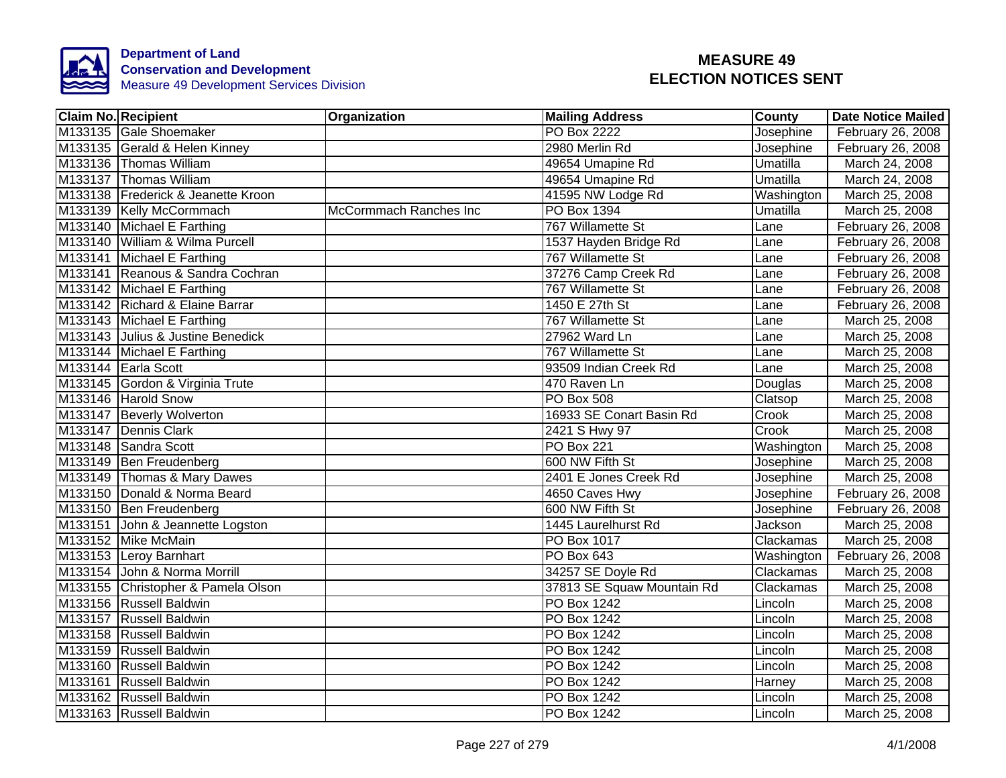

| <b>Claim No. Recipient</b>         | Organization           | <b>Mailing Address</b>     | <b>County</b> | <b>Date Notice Mailed</b> |
|------------------------------------|------------------------|----------------------------|---------------|---------------------------|
| M133135 Gale Shoemaker             |                        | <b>PO Box 2222</b>         | Josephine     | February 26, 2008         |
| M133135 Gerald & Helen Kinney      |                        | 2980 Merlin Rd             | Josephine     | February 26, 2008         |
| M133136 Thomas William             |                        | 49654 Umapine Rd           | Umatilla      | March 24, 2008            |
| M133137 Thomas William             |                        | 49654 Umapine Rd           | Umatilla      | March 24, 2008            |
| M133138 Frederick & Jeanette Kroon |                        | 41595 NW Lodge Rd          | Washington    | March 25, 2008            |
| M133139 Kelly McCormmach           | McCormmach Ranches Inc | PO Box 1394                | Umatilla      | March 25, 2008            |
| M133140 Michael E Farthing         |                        | 767 Willamette St          | Lane          | February 26, 2008         |
| M133140 William & Wilma Purcell    |                        | 1537 Hayden Bridge Rd      | Lane          | February 26, 2008         |
| M133141 Michael E Farthing         |                        | 767 Willamette St          | Lane          | February 26, 2008         |
| M133141 Reanous & Sandra Cochran   |                        | 37276 Camp Creek Rd        | Lane          | February 26, 2008         |
| M133142 Michael E Farthing         |                        | 767 Willamette St          | Lane          | February 26, 2008         |
| M133142 Richard & Elaine Barrar    |                        | 1450 E 27th St             | Lane          | February 26, 2008         |
| M133143 Michael E Farthing         |                        | 767 Willamette St          | Lane          | March 25, 2008            |
| M133143 Julius & Justine Benedick  |                        | 27962 Ward Ln              | Lane          | March 25, 2008            |
| M133144 Michael E Farthing         |                        | 767 Willamette St          | Lane          | March 25, 2008            |
| M133144 Earla Scott                |                        | 93509 Indian Creek Rd      | Lane          | March 25, 2008            |
| M133145 Gordon & Virginia Trute    |                        | 470 Raven Ln               | Douglas       | March 25, 2008            |
| M133146 Harold Snow                |                        | <b>PO Box 508</b>          | Clatsop       | March 25, 2008            |
| M133147 Beverly Wolverton          |                        | 16933 SE Conart Basin Rd   | Crook         | March 25, 2008            |
| M133147 Dennis Clark               |                        | 2421 S Hwy 97              | Crook         | March 25, 2008            |
| M133148 Sandra Scott               |                        | <b>PO Box 221</b>          | Washington    | March 25, 2008            |
| M133149 Ben Freudenberg            |                        | 600 NW Fifth St            | Josephine     | March 25, 2008            |
| M133149 Thomas & Mary Dawes        |                        | 2401 E Jones Creek Rd      | Josephine     | March 25, 2008            |
| M133150 Donald & Norma Beard       |                        | 4650 Caves Hwy             | Josephine     | February 26, 2008         |
| M133150 Ben Freudenberg            |                        | 600 NW Fifth St            | Josephine     | February 26, 2008         |
| M133151 John & Jeannette Logston   |                        | 1445 Laurelhurst Rd        | Jackson       | March 25, 2008            |
| M133152 Mike McMain                |                        | <b>PO Box 1017</b>         | Clackamas     | March 25, 2008            |
| M133153 Leroy Barnhart             |                        | PO Box 643                 | Washington    | February 26, 2008         |
| M133154 John & Norma Morrill       |                        | 34257 SE Doyle Rd          | Clackamas     | March 25, 2008            |
| M133155 Christopher & Pamela Olson |                        | 37813 SE Squaw Mountain Rd | Clackamas     | March 25, 2008            |
| M133156 Russell Baldwin            |                        | PO Box 1242                | Lincoln       | March 25, 2008            |
| M133157 Russell Baldwin            |                        | PO Box 1242                | Lincoln       | March 25, 2008            |
| M133158 Russell Baldwin            |                        | PO Box 1242                | Lincoln       | March 25, 2008            |
| M133159 Russell Baldwin            |                        | PO Box 1242                | Lincoln       | March 25, 2008            |
| M133160 Russell Baldwin            |                        | PO Box 1242                | Lincoln       | March 25, 2008            |
| M133161 Russell Baldwin            |                        | PO Box 1242                | Harney        | March 25, 2008            |
| M133162 Russell Baldwin            |                        | PO Box 1242                | Lincoln       | March 25, 2008            |
| M133163 Russell Baldwin            |                        | PO Box 1242                | Lincoln       | March 25, 2008            |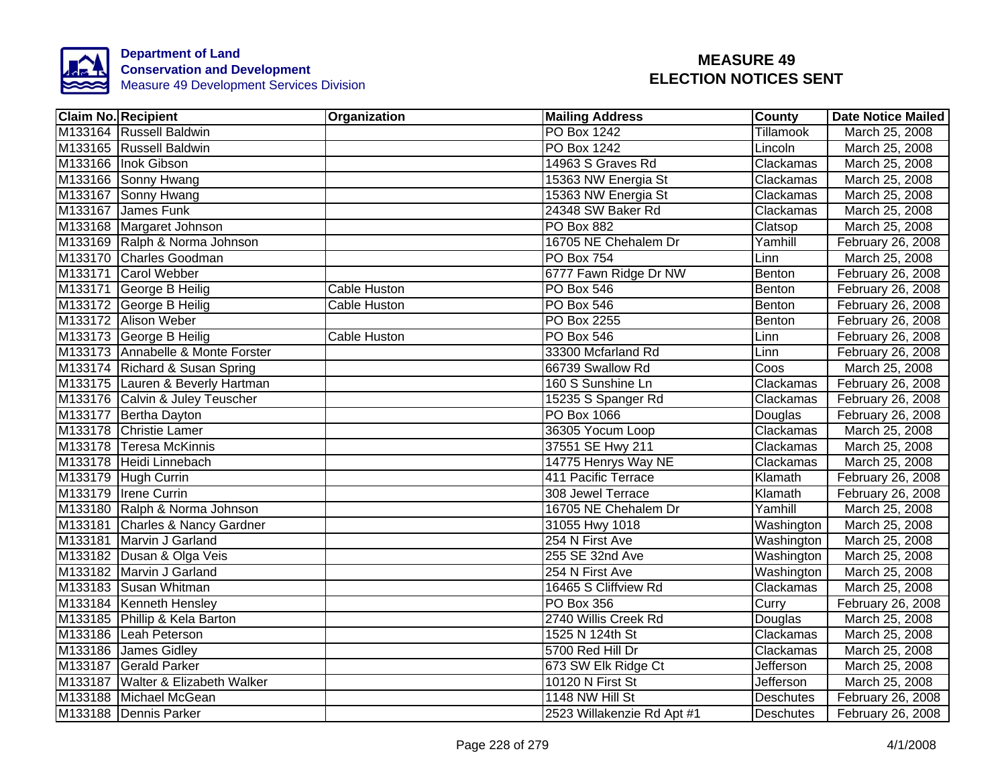

| <b>Claim No. Recipient</b>        | Organization        | <b>Mailing Address</b>     | County           | <b>Date Notice Mailed</b> |
|-----------------------------------|---------------------|----------------------------|------------------|---------------------------|
| M133164 Russell Baldwin           |                     | PO Box 1242                | Tillamook        | March 25, 2008            |
| M133165 Russell Baldwin           |                     | <b>PO Box 1242</b>         | Lincoln          | March 25, 2008            |
| M133166 Inok Gibson               |                     | 14963 S Graves Rd          | Clackamas        | March 25, 2008            |
| M133166 Sonny Hwang               |                     | 15363 NW Energia St        | Clackamas        | March 25, 2008            |
| M133167 Sonny Hwang               |                     | 15363 NW Energia St        | Clackamas        | March 25, 2008            |
| M133167 James Funk                |                     | 24348 SW Baker Rd          | Clackamas        | March 25, 2008            |
| M133168 Margaret Johnson          |                     | PO Box 882                 | Clatsop          | March 25, 2008            |
| M133169 Ralph & Norma Johnson     |                     | 16705 NE Chehalem Dr       | Yamhill          | February 26, 2008         |
| M133170 Charles Goodman           |                     | PO Box 754                 | Linn             | March 25, 2008            |
| M133171 Carol Webber              |                     | 6777 Fawn Ridge Dr NW      | Benton           | February 26, 2008         |
| M133171 George B Heilig           | <b>Cable Huston</b> | PO Box 546                 | Benton           | February 26, 2008         |
| M133172 George B Heilig           | Cable Huston        | PO Box 546                 | Benton           | February 26, 2008         |
| M133172 Alison Weber              |                     | PO Box 2255                | Benton           | February 26, 2008         |
| M133173 George B Heilig           | Cable Huston        | PO Box 546                 | Linn             | February 26, 2008         |
| M133173 Annabelle & Monte Forster |                     | 33300 Mcfarland Rd         | Linn             | February 26, 2008         |
| M133174 Richard & Susan Spring    |                     | 66739 Swallow Rd           | Coos             | March 25, 2008            |
| M133175 Lauren & Beverly Hartman  |                     | 160 S Sunshine Ln          | Clackamas        | February 26, 2008         |
| M133176 Calvin & Juley Teuscher   |                     | 15235 S Spanger Rd         | Clackamas        | February 26, 2008         |
| M133177 Bertha Dayton             |                     | PO Box 1066                | Douglas          | February 26, 2008         |
| M133178 Christie Lamer            |                     | 36305 Yocum Loop           | Clackamas        | March 25, 2008            |
| M133178 Teresa McKinnis           |                     | 37551 SE Hwy 211           | Clackamas        | March 25, 2008            |
| M133178 Heidi Linnebach           |                     | 14775 Henrys Way NE        | Clackamas        | March 25, 2008            |
| M133179 Hugh Currin               |                     | 411 Pacific Terrace        | Klamath          | February 26, 2008         |
| M133179 Irene Currin              |                     | 308 Jewel Terrace          | Klamath          | February 26, 2008         |
| M133180 Ralph & Norma Johnson     |                     | 16705 NE Chehalem Dr       | Yamhill          | March 25, 2008            |
| M133181 Charles & Nancy Gardner   |                     | 31055 Hwy 1018             | Washington       | March 25, 2008            |
| M133181 Marvin J Garland          |                     | 254 N First Ave            | Washington       | March 25, 2008            |
| M133182 Dusan & Olga Veis         |                     | 255 SE 32nd Ave            | Washington       | March 25, 2008            |
| M133182 Marvin J Garland          |                     | 254 N First Ave            | Washington       | March 25, 2008            |
| M133183 Susan Whitman             |                     | 16465 S Cliffview Rd       | Clackamas        | March 25, 2008            |
| M133184 Kenneth Hensley           |                     | <b>PO Box 356</b>          | Curry            | February 26, 2008         |
| M133185 Phillip & Kela Barton     |                     | 2740 Willis Creek Rd       | Douglas          | March 25, 2008            |
| M133186 Leah Peterson             |                     | 1525 N 124th St            | Clackamas        | March 25, 2008            |
| M133186 James Gidley              |                     | 5700 Red Hill Dr           | Clackamas        | March 25, 2008            |
| M133187 Gerald Parker             |                     | 673 SW Elk Ridge Ct        | <b>Jefferson</b> | March 25, 2008            |
| M133187 Walter & Elizabeth Walker |                     | 10120 N First St           | <b>Jefferson</b> | March 25, 2008            |
| M133188 Michael McGean            |                     | 1148 NW Hill St            | <b>Deschutes</b> | February 26, 2008         |
| M133188 Dennis Parker             |                     | 2523 Willakenzie Rd Apt #1 | Deschutes        | February 26, 2008         |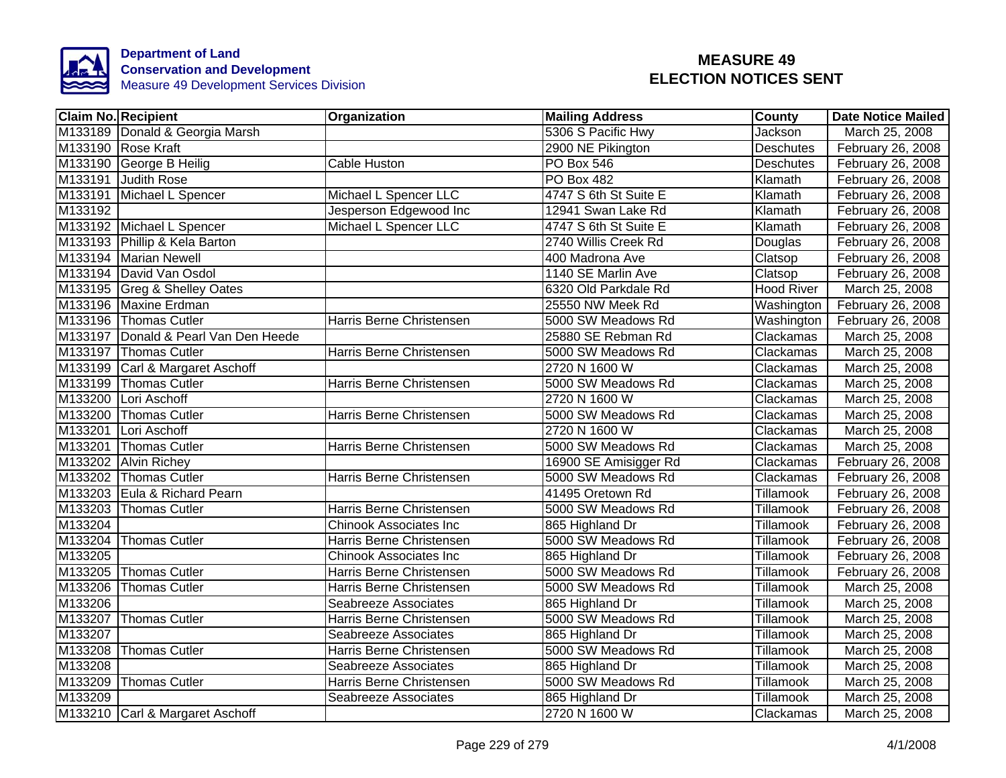

|         | Claim No. Recipient                  | <b>Organization</b>           | <b>Mailing Address</b> | County           | Date Notice Mailed |
|---------|--------------------------------------|-------------------------------|------------------------|------------------|--------------------|
|         | M133189 Donald & Georgia Marsh       |                               | 5306 S Pacific Hwy     | <b>Jackson</b>   | March 25, 2008     |
|         | M133190 Rose Kraft                   |                               | 2900 NE Pikington      | <b>Deschutes</b> | February 26, 2008  |
|         | M133190 George B Heilig              | <b>Cable Huston</b>           | <b>PO Box 546</b>      | <b>Deschutes</b> | February 26, 2008  |
|         | M133191 Judith Rose                  |                               | <b>PO Box 482</b>      | Klamath          | February 26, 2008  |
|         | M133191 Michael L Spencer            | Michael L Spencer LLC         | 4747 S 6th St Suite E  | Klamath          | February 26, 2008  |
| M133192 |                                      | Jesperson Edgewood Inc        | 12941 Swan Lake Rd     | Klamath          | February 26, 2008  |
|         | M133192 Michael L Spencer            | Michael L Spencer LLC         | 4747 S 6th St Suite E  | Klamath          | February 26, 2008  |
|         | M133193 Phillip & Kela Barton        |                               | 2740 Willis Creek Rd   | Douglas          | February 26, 2008  |
|         | M133194 Marian Newell                |                               | 400 Madrona Ave        | Clatsop          | February 26, 2008  |
|         | M133194 David Van Osdol              |                               | 1140 SE Marlin Ave     | Clatsop          | February 26, 2008  |
|         | M133195 Greg & Shelley Oates         |                               | 6320 Old Parkdale Rd   | Hood River       | March 25, 2008     |
|         | M133196 Maxine Erdman                |                               | 25550 NW Meek Rd       | Washington       | February 26, 2008  |
|         | M133196 Thomas Cutler                | Harris Berne Christensen      | 5000 SW Meadows Rd     | Washington       | February 26, 2008  |
|         | M133197 Donald & Pearl Van Den Heede |                               | 25880 SE Rebman Rd     | Clackamas        | March 25, 2008     |
|         | M133197 Thomas Cutler                | Harris Berne Christensen      | 5000 SW Meadows Rd     | Clackamas        | March 25, 2008     |
|         | M133199 Carl & Margaret Aschoff      |                               | 2720 N 1600 W          | Clackamas        | March 25, 2008     |
|         | M133199 Thomas Cutler                | Harris Berne Christensen      | 5000 SW Meadows Rd     | Clackamas        | March 25, 2008     |
|         | M133200 Lori Aschoff                 |                               | 2720 N 1600 W          | Clackamas        | March 25, 2008     |
|         | M133200 Thomas Cutler                | Harris Berne Christensen      | 5000 SW Meadows Rd     | Clackamas        | March 25, 2008     |
|         | M133201 Lori Aschoff                 |                               | 2720 N 1600 W          | Clackamas        | March 25, 2008     |
|         | M133201 Thomas Cutler                | Harris Berne Christensen      | 5000 SW Meadows Rd     | Clackamas        | March 25, 2008     |
|         | M133202 Alvin Richey                 |                               | 16900 SE Amisigger Rd  | Clackamas        | February 26, 2008  |
|         | M133202 Thomas Cutler                | Harris Berne Christensen      | 5000 SW Meadows Rd     | Clackamas        | February 26, 2008  |
|         | M133203 Eula & Richard Pearn         |                               | 41495 Oretown Rd       | Tillamook        | February 26, 2008  |
|         | M133203 Thomas Cutler                | Harris Berne Christensen      | 5000 SW Meadows Rd     | <b>Tillamook</b> | February 26, 2008  |
| M133204 |                                      | <b>Chinook Associates Inc</b> | 865 Highland Dr        | Tillamook        | February 26, 2008  |
| M133204 | <b>Thomas Cutler</b>                 | Harris Berne Christensen      | 5000 SW Meadows Rd     | Tillamook        | February 26, 2008  |
| M133205 |                                      | <b>Chinook Associates Inc</b> | 865 Highland Dr        | Tillamook        | February 26, 2008  |
|         | M133205 Thomas Cutler                | Harris Berne Christensen      | 5000 SW Meadows Rd     | Tillamook        | February 26, 2008  |
| M133206 | <b>Thomas Cutler</b>                 | Harris Berne Christensen      | 5000 SW Meadows Rd     | Tillamook        | March 25, 2008     |
| M133206 |                                      | Seabreeze Associates          | 865 Highland Dr        | Tillamook        | March 25, 2008     |
|         | M133207 Thomas Cutler                | Harris Berne Christensen      | 5000 SW Meadows Rd     | Tillamook        | March 25, 2008     |
| M133207 |                                      | Seabreeze Associates          | 865 Highland Dr        | Tillamook        | March 25, 2008     |
| M133208 | <b>Thomas Cutler</b>                 | Harris Berne Christensen      | 5000 SW Meadows Rd     | Tillamook        | March 25, 2008     |
| M133208 |                                      | Seabreeze Associates          | 865 Highland Dr        | Tillamook        | March 25, 2008     |
| M133209 | <b>Thomas Cutler</b>                 | Harris Berne Christensen      | 5000 SW Meadows Rd     | Tillamook        | March 25, 2008     |
| M133209 |                                      | Seabreeze Associates          | 865 Highland Dr        | Tillamook        | March 25, 2008     |
|         | M133210 Carl & Margaret Aschoff      |                               | 2720 N 1600 W          | Clackamas        | March 25, 2008     |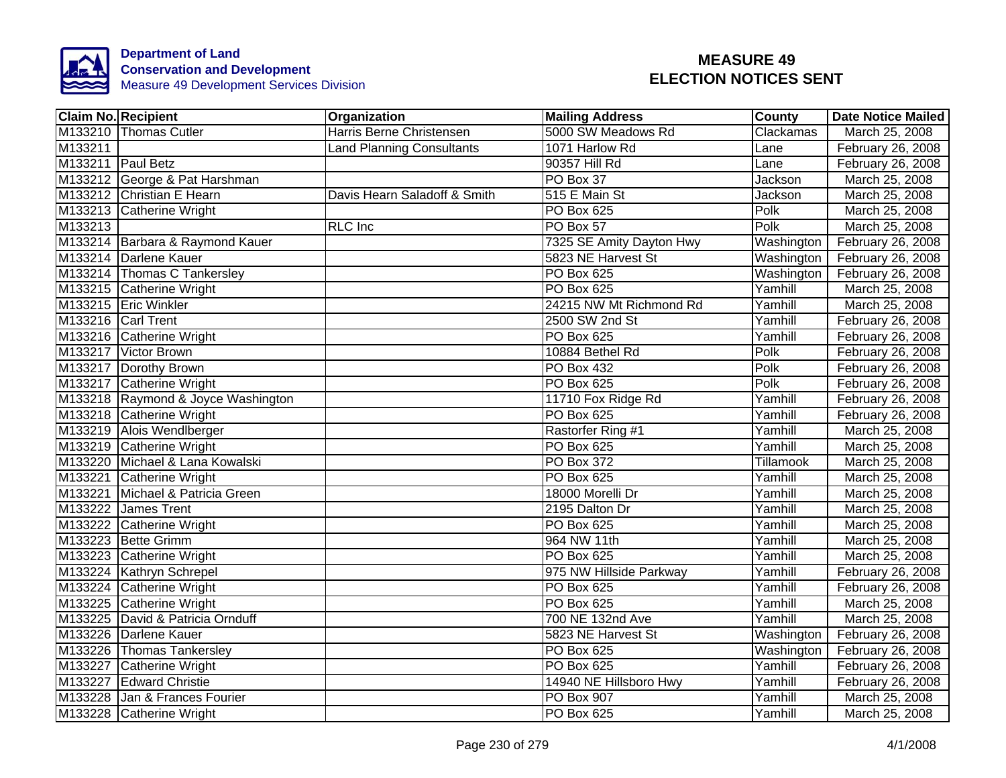

|                   | <b>Claim No. Recipient</b>         | Organization                     | <b>Mailing Address</b>   | <b>County</b> | <b>Date Notice Mailed</b> |
|-------------------|------------------------------------|----------------------------------|--------------------------|---------------|---------------------------|
|                   | M133210 Thomas Cutler              | Harris Berne Christensen         | 5000 SW Meadows Rd       | Clackamas     | March 25, 2008            |
| M133211           |                                    | <b>Land Planning Consultants</b> | 1071 Harlow Rd           | Lane          | February 26, 2008         |
| M133211 Paul Betz |                                    |                                  | 90357 Hill Rd            | Lane          | February 26, 2008         |
|                   | M133212 George & Pat Harshman      |                                  | PO Box 37                | Jackson       | March 25, 2008            |
|                   | M133212 Christian E Hearn          | Davis Hearn Saladoff & Smith     | 515 E Main St            | Jackson       | March 25, 2008            |
|                   | M133213 Catherine Wright           |                                  | PO Box 625               | Polk          | March 25, 2008            |
| M133213           |                                    | RLC Inc                          | PO Box 57                | Polk          | March 25, 2008            |
|                   | M133214 Barbara & Raymond Kauer    |                                  | 7325 SE Amity Dayton Hwy | Washington    | February 26, 2008         |
|                   | M133214 Darlene Kauer              |                                  | 5823 NE Harvest St       | Washington    | February 26, 2008         |
|                   | M133214 Thomas C Tankersley        |                                  | PO Box 625               | Washington    | February 26, 2008         |
|                   | M133215 Catherine Wright           |                                  | <b>PO Box 625</b>        | Yamhill       | March 25, 2008            |
|                   | M133215 Eric Winkler               |                                  | 24215 NW Mt Richmond Rd  | Yamhill       | March 25, 2008            |
|                   | M133216 Carl Trent                 |                                  | 2500 SW 2nd St           | Yamhill       | February 26, 2008         |
|                   | M133216 Catherine Wright           |                                  | <b>PO Box 625</b>        | Yamhill       | February 26, 2008         |
|                   | M133217 Victor Brown               |                                  | 10884 Bethel Rd          | Polk          | February 26, 2008         |
|                   | M133217 Dorothy Brown              |                                  | <b>PO Box 432</b>        | Polk          | February 26, 2008         |
|                   | M133217 Catherine Wright           |                                  | <b>PO Box 625</b>        | Polk          | February 26, 2008         |
|                   | M133218 Raymond & Joyce Washington |                                  | 11710 Fox Ridge Rd       | Yamhill       | February 26, 2008         |
|                   | M133218 Catherine Wright           |                                  | <b>PO Box 625</b>        | Yamhill       | February 26, 2008         |
|                   | M133219 Alois Wendlberger          |                                  | Rastorfer Ring #1        | Yamhill       | March 25, 2008            |
|                   | M133219 Catherine Wright           |                                  | <b>PO Box 625</b>        | Yamhill       | March 25, 2008            |
|                   | M133220 Michael & Lana Kowalski    |                                  | <b>PO Box 372</b>        | Tillamook     | March 25, 2008            |
|                   | M133221 Catherine Wright           |                                  | <b>PO Box 625</b>        | Yamhill       | March 25, 2008            |
|                   | M133221 Michael & Patricia Green   |                                  | 18000 Morelli Dr         | Yamhill       | March 25, 2008            |
|                   | M133222 James Trent                |                                  | 2195 Dalton Dr           | Yamhill       | March 25, 2008            |
|                   | M133222 Catherine Wright           |                                  | <b>PO Box 625</b>        | Yamhill       | March 25, 2008            |
|                   | M133223 Bette Grimm                |                                  | 964 NW 11th              | Yamhill       | March 25, 2008            |
|                   | M133223 Catherine Wright           |                                  | <b>PO Box 625</b>        | Yamhill       | March 25, 2008            |
|                   | M133224 Kathryn Schrepel           |                                  | 975 NW Hillside Parkway  | Yamhill       | February 26, 2008         |
|                   | M133224 Catherine Wright           |                                  | <b>PO Box 625</b>        | Yamhill       | February 26, 2008         |
|                   | M133225 Catherine Wright           |                                  | PO Box 625               | Yamhill       | March 25, 2008            |
|                   | M133225 David & Patricia Ornduff   |                                  | 700 NE 132nd Ave         | Yamhill       | March 25, 2008            |
|                   | M133226 Darlene Kauer              |                                  | 5823 NE Harvest St       | Washington    | February 26, 2008         |
|                   | M133226 Thomas Tankersley          |                                  | PO Box 625               | Washington    | February 26, 2008         |
|                   | M133227 Catherine Wright           |                                  | PO Box 625               | Yamhill       | February 26, 2008         |
|                   | M133227 Edward Christie            |                                  | 14940 NE Hillsboro Hwy   | Yamhill       | February 26, 2008         |
|                   | M133228 Jan & Frances Fourier      |                                  | PO Box 907               | Yamhill       | March 25, 2008            |
|                   | M133228 Catherine Wright           |                                  | PO Box 625               | Yamhill       | March 25, 2008            |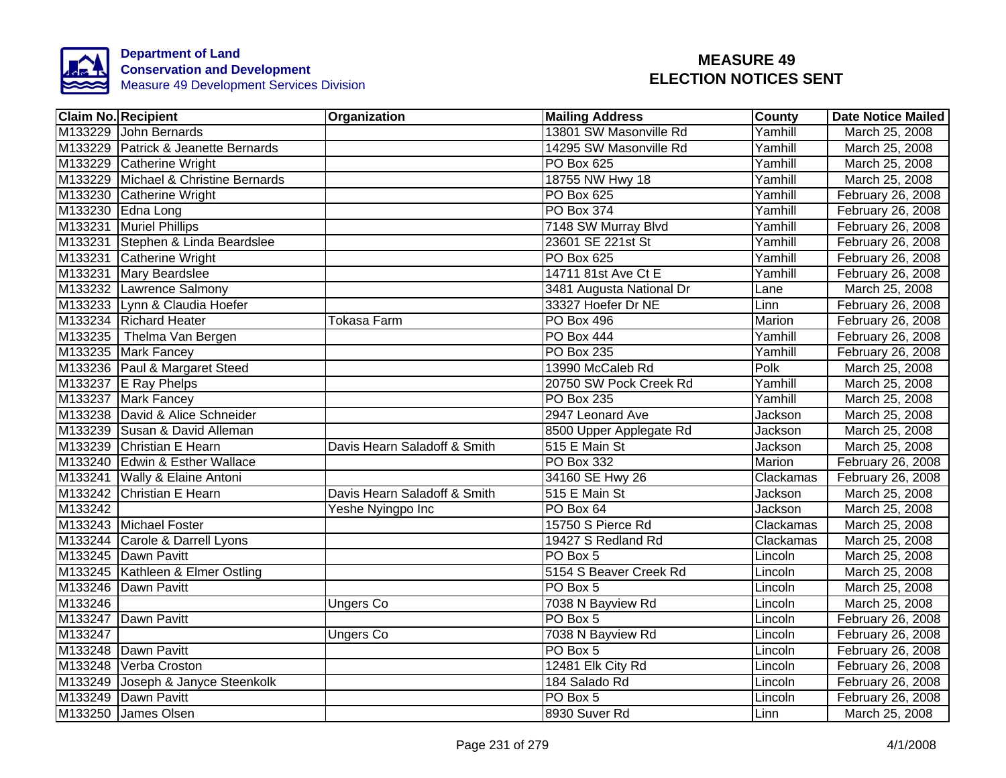

|         | <b>Claim No. Recipient</b>           | Organization                 | <b>Mailing Address</b>   | <b>County</b> | <b>Date Notice Mailed</b> |
|---------|--------------------------------------|------------------------------|--------------------------|---------------|---------------------------|
|         | M133229 John Bernards                |                              | 13801 SW Masonville Rd   | Yamhill       | March 25, 2008            |
|         | M133229 Patrick & Jeanette Bernards  |                              | 14295 SW Masonville Rd   | Yamhill       | March 25, 2008            |
|         | M133229 Catherine Wright             |                              | <b>PO Box 625</b>        | Yamhill       | March 25, 2008            |
|         | M133229 Michael & Christine Bernards |                              | 18755 NW Hwy 18          | Yamhill       | March 25, 2008            |
|         | M133230 Catherine Wright             |                              | PO Box 625               | Yamhill       | February 26, 2008         |
|         | M133230 Edna Long                    |                              | PO Box 374               | Yamhill       | February 26, 2008         |
|         | M133231 Muriel Phillips              |                              | 7148 SW Murray Blvd      | Yamhill       | February 26, 2008         |
|         | M133231 Stephen & Linda Beardslee    |                              | 23601 SE 221st St        | Yamhill       | February 26, 2008         |
|         | M133231 Catherine Wright             |                              | <b>PO Box 625</b>        | Yamhill       | February 26, 2008         |
|         | M133231 Mary Beardslee               |                              | 14711 81st Ave Ct E      | Yamhill       | February 26, 2008         |
|         | M133232 Lawrence Salmony             |                              | 3481 Augusta National Dr | Lane          | March 25, 2008            |
|         | M133233 Lynn & Claudia Hoefer        |                              | 33327 Hoefer Dr NE       | Linn          | February 26, 2008         |
|         | M133234 Richard Heater               | Tokasa Farm                  | <b>PO Box 496</b>        | Marion        | February 26, 2008         |
|         | M133235 Thelma Van Bergen            |                              | PO Box 444               | Yamhill       | February 26, 2008         |
|         | M133235 Mark Fancey                  |                              | <b>PO Box 235</b>        | Yamhill       | February 26, 2008         |
|         | M133236 Paul & Margaret Steed        |                              | 13990 McCaleb Rd         | Polk          | March 25, 2008            |
|         | M133237 E Ray Phelps                 |                              | 20750 SW Pock Creek Rd   | Yamhill       | March 25, 2008            |
|         | M133237 Mark Fancey                  |                              | <b>PO Box 235</b>        | Yamhill       | March 25, 2008            |
|         | M133238 David & Alice Schneider      |                              | 2947 Leonard Ave         | Jackson       | March 25, 2008            |
|         | M133239 Susan & David Alleman        |                              | 8500 Upper Applegate Rd  | Jackson       | March 25, 2008            |
|         | M133239 Christian E Hearn            | Davis Hearn Saladoff & Smith | 515 E Main St            | Jackson       | March 25, 2008            |
|         | M133240 Edwin & Esther Wallace       |                              | PO Box 332               | <b>Marion</b> | February 26, 2008         |
|         | M133241 Wally & Elaine Antoni        |                              | 34160 SE Hwy 26          | Clackamas     | February 26, 2008         |
|         | M133242 Christian E Hearn            | Davis Hearn Saladoff & Smith | 515 E Main St            | Jackson       | March 25, 2008            |
| M133242 |                                      | Yeshe Nyingpo Inc            | PO Box 64                | Jackson       | March 25, 2008            |
|         | M133243 Michael Foster               |                              | 15750 S Pierce Rd        | Clackamas     | March 25, 2008            |
|         | M133244 Carole & Darrell Lyons       |                              | 19427 S Redland Rd       | Clackamas     | March 25, 2008            |
|         | M133245 Dawn Pavitt                  |                              | PO Box 5                 | Lincoln       | March 25, 2008            |
|         | M133245   Kathleen & Elmer Ostling   |                              | 5154 S Beaver Creek Rd   | Lincoln       | March 25, 2008            |
|         | M133246 Dawn Pavitt                  |                              | PO Box 5                 | Lincoln       | March 25, 2008            |
| M133246 |                                      | <b>Ungers Co</b>             | 7038 N Bayview Rd        | Lincoln       | March 25, 2008            |
|         | M133247 Dawn Pavitt                  |                              | PO Box 5                 | Lincoln       | February 26, 2008         |
| M133247 |                                      | <b>Ungers Co</b>             | 7038 N Bayview Rd        | Lincoln       | February 26, 2008         |
|         | M133248 Dawn Pavitt                  |                              | PO Box 5                 | Lincoln       | February 26, 2008         |
|         | M133248 Verba Croston                |                              | 12481 Elk City Rd        | Lincoln       | February 26, 2008         |
|         | M133249 Joseph & Janyce Steenkolk    |                              | 184 Salado Rd            | Lincoln       | February 26, 2008         |
|         | M133249 Dawn Pavitt                  |                              | PO Box 5                 | Lincoln       | February 26, 2008         |
|         | M133250 James Olsen                  |                              | 8930 Suver Rd            | Linn          | March 25, 2008            |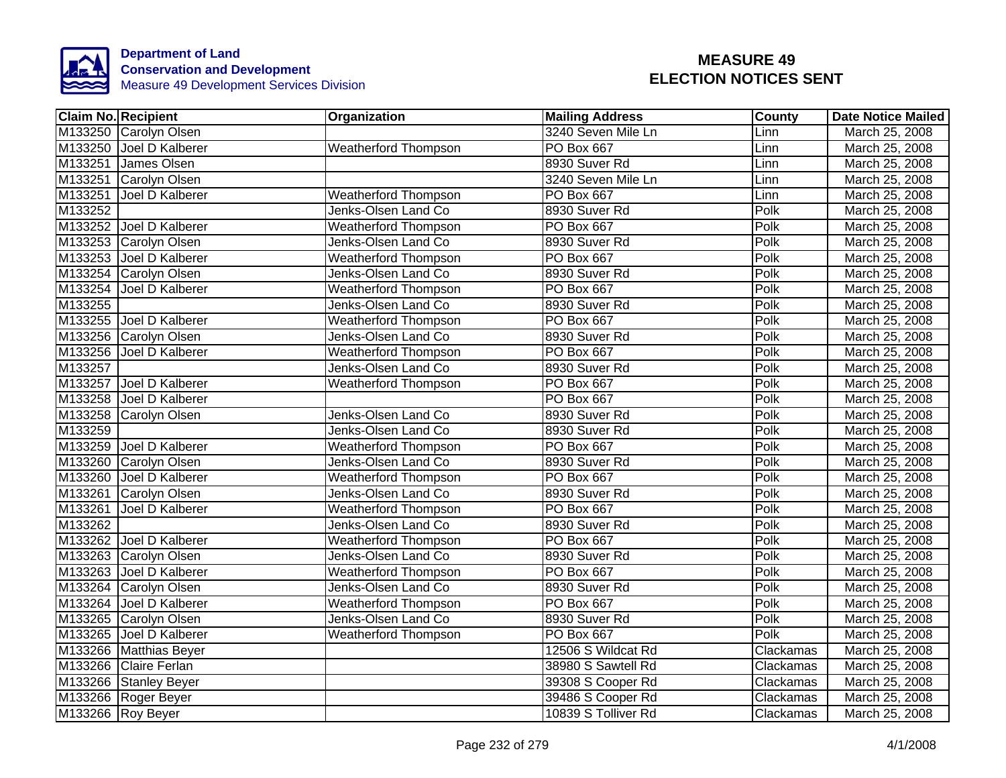

| <b>Claim No. Recipient</b> |                         | Organization                | <b>Mailing Address</b> | <b>County</b> | <b>Date Notice Mailed</b> |
|----------------------------|-------------------------|-----------------------------|------------------------|---------------|---------------------------|
|                            | M133250 Carolyn Olsen   |                             | 3240 Seven Mile Ln     | Linn          | March 25, 2008            |
|                            | M133250 Joel D Kalberer | <b>Weatherford Thompson</b> | <b>PO Box 667</b>      | Linn          | March 25, 2008            |
|                            | M133251 James Olsen     |                             | 8930 Suver Rd          | Linn          | March 25, 2008            |
|                            | M133251 Carolyn Olsen   |                             | 3240 Seven Mile Ln     | Linn          | March 25, 2008            |
| M133251                    | Joel D Kalberer         | <b>Weatherford Thompson</b> | PO Box 667             | Linn          | March 25, 2008            |
| M133252                    |                         | Jenks-Olsen Land Co         | 8930 Suver Rd          | Polk          | March 25, 2008            |
|                            | M133252 Joel D Kalberer | <b>Weatherford Thompson</b> | PO Box 667             | Polk          | March 25, 2008            |
|                            | M133253 Carolyn Olsen   | Jenks-Olsen Land Co         | 8930 Suver Rd          | Polk          | March 25, 2008            |
|                            | M133253 Joel D Kalberer | <b>Weatherford Thompson</b> | PO Box 667             | Polk          | March 25, 2008            |
|                            | M133254 Carolyn Olsen   | Jenks-Olsen Land Co         | 8930 Suver Rd          | Polk          | March 25, 2008            |
|                            | M133254 Joel D Kalberer | <b>Weatherford Thompson</b> | PO Box 667             | Polk          | March 25, 2008            |
| M133255                    |                         | Jenks-Olsen Land Co         | 8930 Suver Rd          | Polk          | March 25, 2008            |
|                            | M133255 Joel D Kalberer | Weatherford Thompson        | <b>PO Box 667</b>      | Polk          | March 25, 2008            |
|                            | M133256 Carolyn Olsen   | Jenks-Olsen Land Co         | 8930 Suver Rd          | Polk          | March 25, 2008            |
|                            | M133256 Joel D Kalberer | <b>Weatherford Thompson</b> | <b>PO Box 667</b>      | Polk          | March 25, 2008            |
| M133257                    |                         | Jenks-Olsen Land Co         | 8930 Suver Rd          | Polk          | March 25, 2008            |
|                            | M133257 Joel D Kalberer | <b>Weatherford Thompson</b> | <b>PO Box 667</b>      | Polk          | March 25, 2008            |
|                            | M133258 Joel D Kalberer |                             | <b>PO Box 667</b>      | Polk          | March 25, 2008            |
|                            | M133258 Carolyn Olsen   | Jenks-Olsen Land Co         | 8930 Suver Rd          | Polk          | March 25, 2008            |
| M133259                    |                         | Jenks-Olsen Land Co         | 8930 Suver Rd          | Polk          | March 25, 2008            |
|                            | M133259 Joel D Kalberer | <b>Weatherford Thompson</b> | <b>PO Box 667</b>      | Polk          | March 25, 2008            |
|                            | M133260 Carolyn Olsen   | Jenks-Olsen Land Co         | 8930 Suver Rd          | Polk          | March 25, 2008            |
|                            | M133260 Joel D Kalberer | <b>Weatherford Thompson</b> | <b>PO Box 667</b>      | Polk          | March 25, 2008            |
|                            | M133261 Carolyn Olsen   | Jenks-Olsen Land Co         | 8930 Suver Rd          | Polk          | March 25, 2008            |
|                            | M133261 Joel D Kalberer | <b>Weatherford Thompson</b> | <b>PO Box 667</b>      | Polk          | March 25, 2008            |
| M133262                    |                         | Jenks-Olsen Land Co         | 8930 Suver Rd          | Polk          | March 25, 2008            |
|                            | M133262 Joel D Kalberer | <b>Weatherford Thompson</b> | <b>PO Box 667</b>      | Polk          | March 25, 2008            |
|                            | M133263 Carolyn Olsen   | Jenks-Olsen Land Co         | 8930 Suver Rd          | Polk          | March 25, 2008            |
|                            | M133263 Joel D Kalberer | <b>Weatherford Thompson</b> | <b>PO Box 667</b>      | Polk          | March 25, 2008            |
|                            | M133264 Carolyn Olsen   | Jenks-Olsen Land Co         | 8930 Suver Rd          | Polk          | March 25, 2008            |
|                            | M133264 Joel D Kalberer | <b>Weatherford Thompson</b> | PO Box 667             | Polk          | March 25, 2008            |
|                            | M133265 Carolyn Olsen   | Jenks-Olsen Land Co         | 8930 Suver Rd          | Polk          | March 25, 2008            |
|                            | M133265 Joel D Kalberer | <b>Weatherford Thompson</b> | PO Box 667             | Polk          | March 25, 2008            |
|                            | M133266 Matthias Beyer  |                             | 12506 S Wildcat Rd     | Clackamas     | March 25, 2008            |
|                            | M133266 Claire Ferlan   |                             | 38980 S Sawtell Rd     | Clackamas     | March 25, 2008            |
|                            | M133266 Stanley Beyer   |                             | 39308 S Cooper Rd      | Clackamas     | March 25, 2008            |
|                            | M133266 Roger Beyer     |                             | 39486 S Cooper Rd      | Clackamas     | March 25, 2008            |
|                            | M133266 Roy Beyer       |                             | 10839 S Tolliver Rd    | Clackamas     | March 25, 2008            |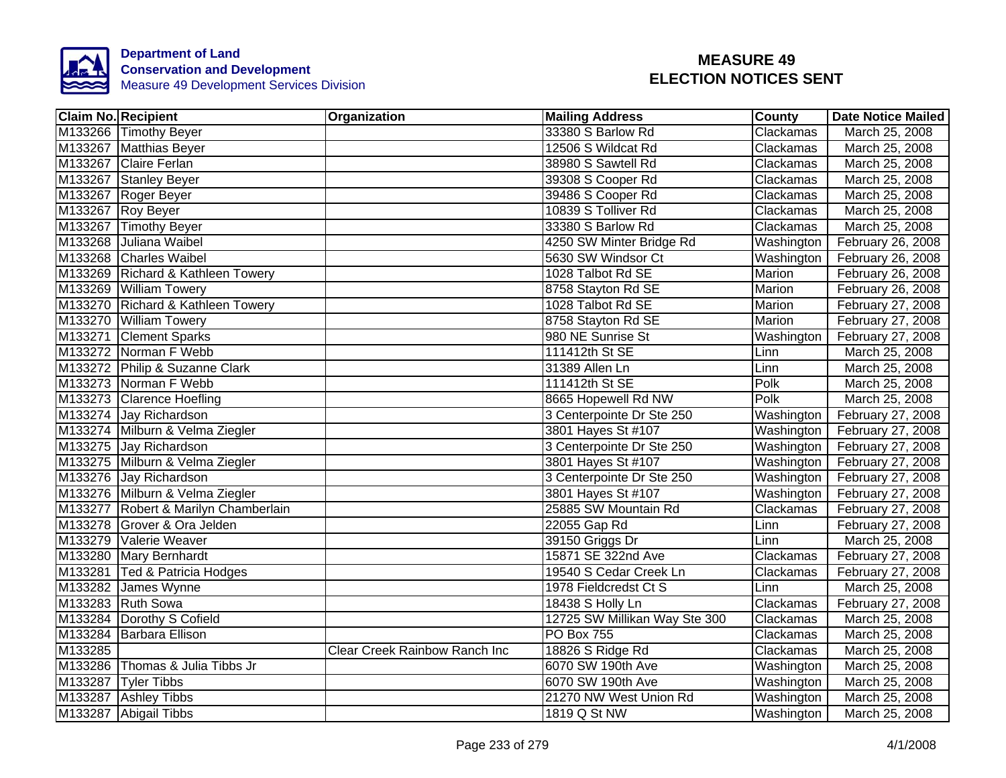

| <b>Claim No. Recipient</b>           | Organization                  | <b>Mailing Address</b>        | <b>County</b>              | Date Notice Mailed |
|--------------------------------------|-------------------------------|-------------------------------|----------------------------|--------------------|
| M133266 Timothy Beyer                |                               | 33380 S Barlow Rd             | Clackamas                  | March 25, 2008     |
| M133267 Matthias Beyer               |                               | 12506 S Wildcat Rd            | Clackamas                  | March 25, 2008     |
| M133267 Claire Ferlan                |                               | 38980 S Sawtell Rd            | Clackamas                  | March 25, 2008     |
| M133267 Stanley Beyer                |                               | 39308 S Cooper Rd             | Clackamas                  | March 25, 2008     |
| M133267 Roger Beyer                  |                               | 39486 S Cooper Rd             | Clackamas                  | March 25, 2008     |
| M133267 Roy Beyer                    |                               | 10839 S Tolliver Rd           | Clackamas                  | March 25, 2008     |
| M133267 Timothy Beyer                |                               | 33380 S Barlow Rd             | Clackamas                  | March 25, 2008     |
| M133268 Juliana Waibel               |                               | 4250 SW Minter Bridge Rd      | Washington                 | February 26, 2008  |
| M133268 Charles Waibel               |                               | 5630 SW Windsor Ct            | Washington                 | February 26, 2008  |
| M133269 Richard & Kathleen Towery    |                               | 1028 Talbot Rd SE             | Marion                     | February 26, 2008  |
| M133269 William Towery               |                               | 8758 Stayton Rd SE            | Marion                     | February 26, 2008  |
| M133270 Richard & Kathleen Towery    |                               | 1028 Talbot Rd SE             | Marion                     | February 27, 2008  |
| M133270 William Towery               |                               | 8758 Stayton Rd SE            | Marion                     | February 27, 2008  |
| M133271 Clement Sparks               |                               | 980 NE Sunrise St             | Washington                 | February 27, 2008  |
| M133272 Norman F Webb                |                               | 111412th St SE                | Linn                       | March 25, 2008     |
| M133272 Philip & Suzanne Clark       |                               | 31389 Allen Ln                | Linn                       | March 25, 2008     |
| M133273 Norman F Webb                |                               | 111412th St SE                | <b>Polk</b>                | March 25, 2008     |
| M133273 Clarence Hoefling            |                               | 8665 Hopewell Rd NW           | <b>Polk</b>                | March 25, 2008     |
| M133274 Jay Richardson               |                               | 3 Centerpointe Dr Ste 250     | Washington                 | February 27, 2008  |
| M133274 Milburn & Velma Ziegler      |                               | 3801 Hayes St #107            | Washington                 | February 27, 2008  |
| M133275 Jay Richardson               |                               | 3 Centerpointe Dr Ste 250     | Washington                 | February 27, 2008  |
| M133275 Milburn & Velma Ziegler      |                               | 3801 Hayes St #107            | Washington                 | February 27, 2008  |
| M133276 Jay Richardson               |                               | 3 Centerpointe Dr Ste 250     | Washington                 | February 27, 2008  |
| M133276 Milburn & Velma Ziegler      |                               | 3801 Hayes St #107            | Washington                 | February 27, 2008  |
| M133277 Robert & Marilyn Chamberlain |                               | 25885 SW Mountain Rd          | Clackamas                  | February 27, 2008  |
| M133278 Grover & Ora Jelden          |                               | 22055 Gap Rd                  | Linn                       | February 27, 2008  |
| M133279 Valerie Weaver               |                               | 39150 Griggs Dr               | $\overline{\mathsf{Linn}}$ | March 25, 2008     |
| M133280 Mary Bernhardt               |                               | 15871 SE 322nd Ave            | Clackamas                  | February 27, 2008  |
| M133281 Ted & Patricia Hodges        |                               | 19540 S Cedar Creek Ln        | Clackamas                  | February 27, 2008  |
| M133282 James Wynne                  |                               | 1978 Fieldcredst Ct S         | Linn                       | March 25, 2008     |
| M133283 Ruth Sowa                    |                               | 18438 S Holly Ln              | Clackamas                  | February 27, 2008  |
| M133284 Dorothy S Cofield            |                               | 12725 SW Millikan Way Ste 300 | Clackamas                  | March 25, 2008     |
| M133284 Barbara Ellison              |                               | <b>PO Box 755</b>             | Clackamas                  | March 25, 2008     |
| M133285                              | Clear Creek Rainbow Ranch Inc | 18826 S Ridge Rd              | Clackamas                  | March 25, 2008     |
| M133286 Thomas & Julia Tibbs Jr      |                               | 6070 SW 190th Ave             | Washington                 | March 25, 2008     |
| M133287 Tyler Tibbs                  |                               | 6070 SW 190th Ave             | Washington                 | March 25, 2008     |
| M133287 Ashley Tibbs                 |                               | 21270 NW West Union Rd        | Washington                 | March 25, 2008     |
| M133287 Abigail Tibbs                |                               | 1819 Q St NW                  | Washington                 | March 25, 2008     |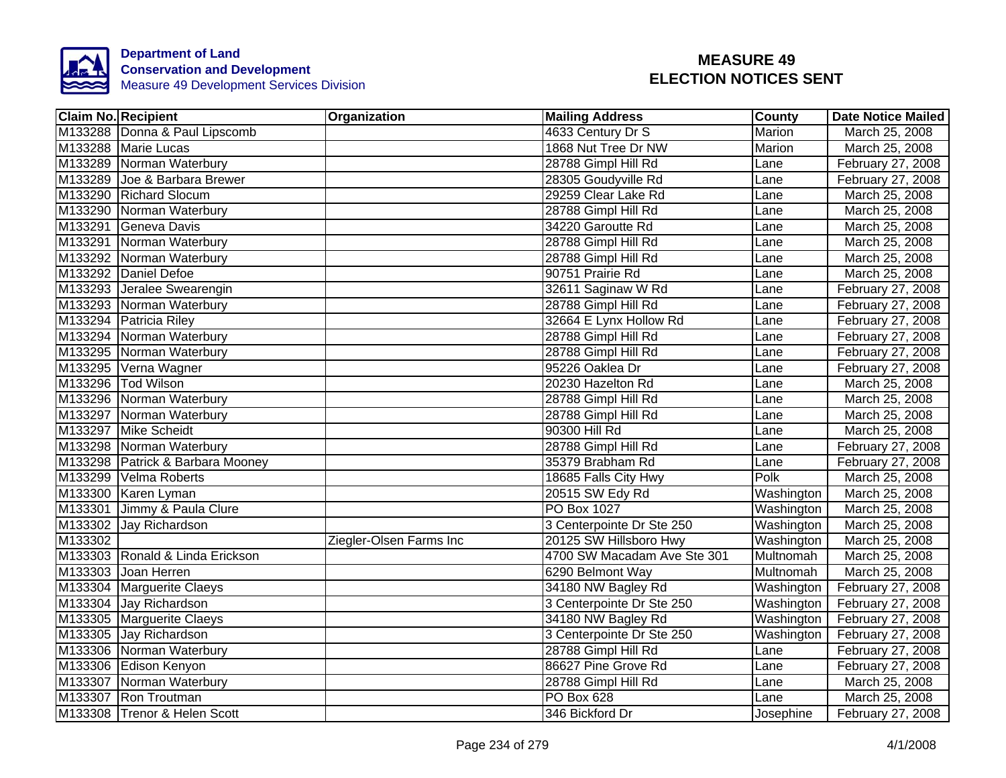

| <b>Claim No. Recipient</b>       | Organization            | <b>Mailing Address</b>      | <b>County</b> | Date Notice Mailed |
|----------------------------------|-------------------------|-----------------------------|---------------|--------------------|
| M133288 Donna & Paul Lipscomb    |                         | 4633 Century Dr S           | Marion        | March 25, 2008     |
| M133288 Marie Lucas              |                         | 1868 Nut Tree Dr NW         | Marion        | March 25, 2008     |
| M133289 Norman Waterbury         |                         | 28788 Gimpl Hill Rd         | Lane          | February 27, 2008  |
| M133289 Joe & Barbara Brewer     |                         | 28305 Goudyville Rd         | Lane          | February 27, 2008  |
| M133290 Richard Slocum           |                         | 29259 Clear Lake Rd         | Lane          | March 25, 2008     |
| M133290 Norman Waterbury         |                         | 28788 Gimpl Hill Rd         | Lane          | March 25, 2008     |
| M133291 Geneva Davis             |                         | 34220 Garoutte Rd           | Lane          | March 25, 2008     |
| M133291 Norman Waterbury         |                         | 28788 Gimpl Hill Rd         | Lane          | March 25, 2008     |
| M133292 Norman Waterbury         |                         | 28788 Gimpl Hill Rd         | Lane          | March 25, 2008     |
| M133292 Daniel Defoe             |                         | 90751 Prairie Rd            | Lane          | March 25, 2008     |
| M133293 Jeralee Swearengin       |                         | 32611 Saginaw W Rd          | Lane          | February 27, 2008  |
| M133293 Norman Waterbury         |                         | 28788 Gimpl Hill Rd         | Lane          | February 27, 2008  |
| M133294 Patricia Riley           |                         | 32664 E Lynx Hollow Rd      | Lane          | February 27, 2008  |
| M133294 Norman Waterbury         |                         | 28788 Gimpl Hill Rd         | Lane          | February 27, 2008  |
| M133295 Norman Waterbury         |                         | 28788 Gimpl Hill Rd         | Lane          | February 27, 2008  |
| M133295 Verna Wagner             |                         | 95226 Oaklea Dr             | Lane          | February 27, 2008  |
| M133296   Tod Wilson             |                         | 20230 Hazelton Rd           | Lane          | March 25, 2008     |
| M133296 Norman Waterbury         |                         | 28788 Gimpl Hill Rd         | Lane          | March 25, 2008     |
| M133297 Norman Waterbury         |                         | 28788 Gimpl Hill Rd         | Lane          | March 25, 2008     |
| M133297 Mike Scheidt             |                         | 90300 Hill Rd               | Lane          | March 25, 2008     |
| M133298 Norman Waterbury         |                         | 28788 Gimpl Hill Rd         | Lane          | February 27, 2008  |
| M133298 Patrick & Barbara Mooney |                         | 35379 Brabham Rd            | Lane          | February 27, 2008  |
| M133299 Velma Roberts            |                         | 18685 Falls City Hwy        | Polk          | March 25, 2008     |
| M133300 Karen Lyman              |                         | 20515 SW Edy Rd             | Washington    | March 25, 2008     |
| M133301 Jimmy & Paula Clure      |                         | <b>PO Box 1027</b>          | Washington    | March 25, 2008     |
| M133302 Jay Richardson           |                         | 3 Centerpointe Dr Ste 250   | Washington    | March 25, 2008     |
| M133302                          | Ziegler-Olsen Farms Inc | 20125 SW Hillsboro Hwy      | Washington    | March 25, 2008     |
| M133303 Ronald & Linda Erickson  |                         | 4700 SW Macadam Ave Ste 301 | Multnomah     | March 25, 2008     |
| M133303 Joan Herren              |                         | 6290 Belmont Way            | Multnomah     | March 25, 2008     |
| M133304 Marguerite Claeys        |                         | 34180 NW Bagley Rd          | Washington    | February 27, 2008  |
| M133304 Jay Richardson           |                         | 3 Centerpointe Dr Ste 250   | Washington    | February 27, 2008  |
| M133305 Marguerite Claeys        |                         | 34180 NW Bagley Rd          | Washington    | February 27, 2008  |
| M133305 Jay Richardson           |                         | 3 Centerpointe Dr Ste 250   | Washington    | February 27, 2008  |
| M133306 Norman Waterbury         |                         | 28788 Gimpl Hill Rd         | Lane          | February 27, 2008  |
| M133306 Edison Kenyon            |                         | 86627 Pine Grove Rd         | Lane          | February 27, 2008  |
| M133307 Norman Waterbury         |                         | 28788 Gimpl Hill Rd         | Lane          | March 25, 2008     |
| M133307 Ron Troutman             |                         | PO Box 628                  | Lane          | March 25, 2008     |
| M133308 Trenor & Helen Scott     |                         | 346 Bickford Dr             | Josephine     | February 27, 2008  |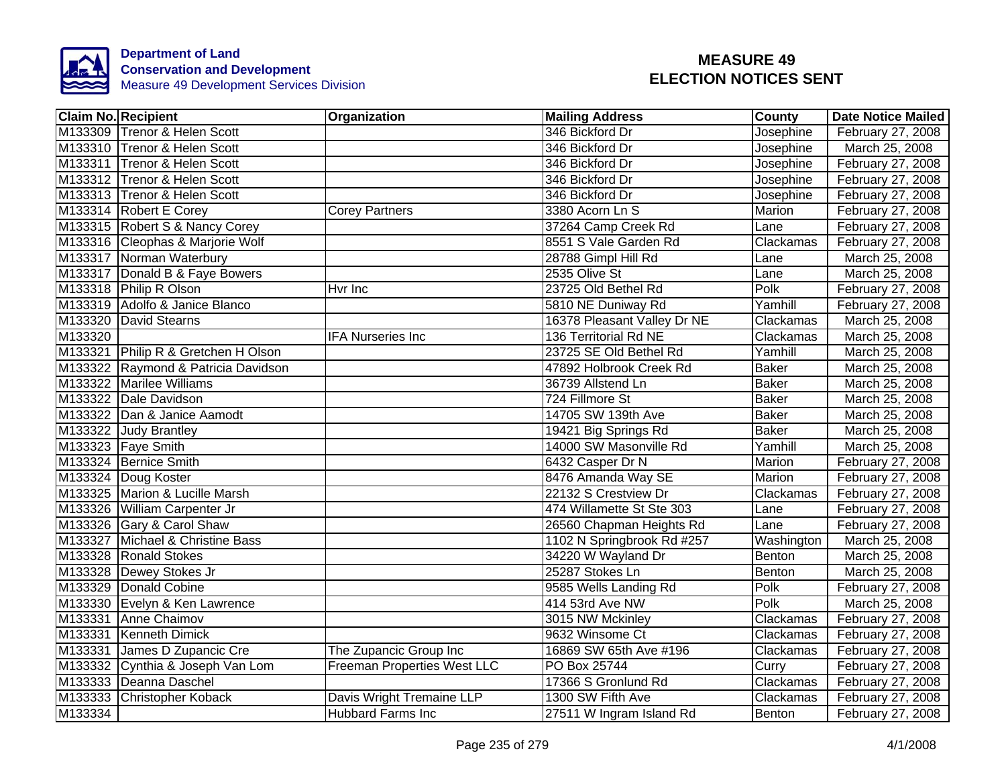

|         | <b>Claim No. Recipient</b>          | <b>Organization</b>         | <b>Mailing Address</b>      | <b>County</b> | Date Notice Mailed |
|---------|-------------------------------------|-----------------------------|-----------------------------|---------------|--------------------|
|         | M133309 Trenor & Helen Scott        |                             | 346 Bickford Dr             | Josephine     | February 27, 2008  |
|         | M133310 Trenor & Helen Scott        |                             | 346 Bickford Dr             | Josephine     | March 25, 2008     |
|         | M133311 Trenor & Helen Scott        |                             | 346 Bickford Dr             | Josephine     | February 27, 2008  |
|         | M133312 Trenor & Helen Scott        |                             | 346 Bickford Dr             | Josephine     | February 27, 2008  |
|         | M133313 Trenor & Helen Scott        |                             | 346 Bickford Dr             | Josephine     | February 27, 2008  |
|         | M133314 Robert E Corey              | <b>Corey Partners</b>       | 3380 Acorn Ln S             | Marion        | February 27, 2008  |
|         | M133315 Robert S & Nancy Corey      |                             | 37264 Camp Creek Rd         | Lane          | February 27, 2008  |
|         | M133316 Cleophas & Marjorie Wolf    |                             | 8551 S Vale Garden Rd       | Clackamas     | February 27, 2008  |
|         | M133317 Norman Waterbury            |                             | 28788 Gimpl Hill Rd         | Lane          | March 25, 2008     |
|         | M133317 Donald B & Faye Bowers      |                             | 2535 Olive St               | Lane          | March 25, 2008     |
|         | M133318 Philip R Olson              | Hyr Inc                     | 23725 Old Bethel Rd         | Polk          | February 27, 2008  |
|         | M133319 Adolfo & Janice Blanco      |                             | 5810 NE Duniway Rd          | Yamhill       | February 27, 2008  |
|         | M133320 David Stearns               |                             | 16378 Pleasant Valley Dr NE | Clackamas     | March 25, 2008     |
| M133320 |                                     | <b>IFA Nurseries Inc</b>    | 136 Territorial Rd NE       | Clackamas     | March 25, 2008     |
|         | M133321 Philip R & Gretchen H Olson |                             | 23725 SE Old Bethel Rd      | Yamhill       | March 25, 2008     |
|         | M133322 Raymond & Patricia Davidson |                             | 47892 Holbrook Creek Rd     | <b>Baker</b>  | March 25, 2008     |
|         | M133322 Marilee Williams            |                             | 36739 Allstend Ln           | <b>Baker</b>  | March 25, 2008     |
|         | M133322 Dale Davidson               |                             | 724 Fillmore St             | <b>Baker</b>  | March 25, 2008     |
|         | M133322 Dan & Janice Aamodt         |                             | 14705 SW 139th Ave          | <b>Baker</b>  | March 25, 2008     |
|         | M133322 Judy Brantley               |                             | 19421 Big Springs Rd        | <b>Baker</b>  | March 25, 2008     |
|         | M133323 Faye Smith                  |                             | 14000 SW Masonville Rd      | Yamhill       | March 25, 2008     |
|         | M133324 Bernice Smith               |                             | 6432 Casper Dr N            | Marion        | February 27, 2008  |
|         | M133324 Doug Koster                 |                             | 8476 Amanda Way SE          | <b>Marion</b> | February 27, 2008  |
|         | M133325 Marion & Lucille Marsh      |                             | 22132 S Crestview Dr        | Clackamas     | February 27, 2008  |
|         | M133326 William Carpenter Jr        |                             | 474 Willamette St Ste 303   | Lane          | February 27, 2008  |
|         | M133326 Gary & Carol Shaw           |                             | 26560 Chapman Heights Rd    | Lane          | February 27, 2008  |
|         | M133327 Michael & Christine Bass    |                             | 1102 N Springbrook Rd #257  | Washington    | March 25, 2008     |
|         | M133328 Ronald Stokes               |                             | 34220 W Wayland Dr          | Benton        | March 25, 2008     |
|         | M133328 Dewey Stokes Jr             |                             | 25287 Stokes Ln             | Benton        | March 25, 2008     |
|         | M133329 Donald Cobine               |                             | 9585 Wells Landing Rd       | Polk          | February 27, 2008  |
|         | M133330 Evelyn & Ken Lawrence       |                             | 414 53rd Ave NW             | Polk          | March 25, 2008     |
|         | M133331 Anne Chaimov                |                             | 3015 NW Mckinley            | Clackamas     | February 27, 2008  |
|         | M133331 Kenneth Dimick              |                             | 9632 Winsome Ct             | Clackamas     | February 27, 2008  |
|         | M133331 James D Zupancic Cre        | The Zupancic Group Inc      | 16869 SW 65th Ave #196      | Clackamas     | February 27, 2008  |
|         | M133332 Cynthia & Joseph Van Lom    | Freeman Properties West LLC | PO Box 25744                | Curry         | February 27, 2008  |
|         | M133333 Deanna Daschel              |                             | 17366 S Gronlund Rd         | Clackamas     | February 27, 2008  |
|         | M133333 Christopher Koback          | Davis Wright Tremaine LLP   | 1300 SW Fifth Ave           | Clackamas     | February 27, 2008  |
| M133334 |                                     | <b>Hubbard Farms Inc</b>    | 27511 W Ingram Island Rd    | Benton        | February 27, 2008  |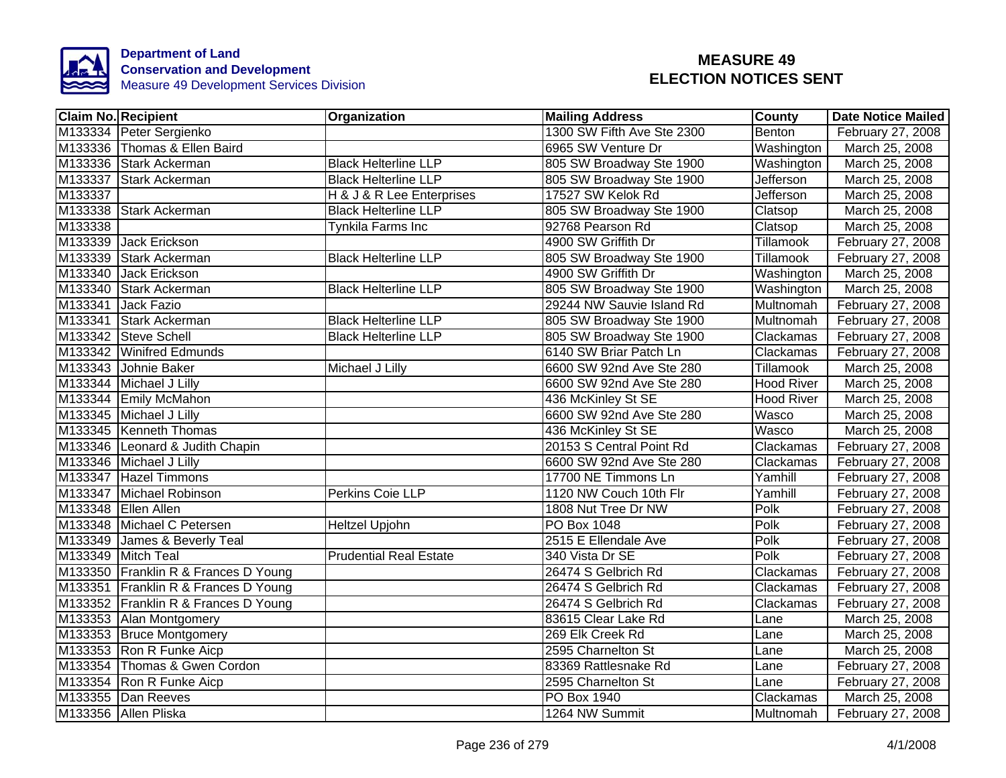

|         | Claim No. Recipient                  | <b>Organization</b>           | Mailing Address            | <b>County</b>     | <b>Date Notice Mailed</b> |
|---------|--------------------------------------|-------------------------------|----------------------------|-------------------|---------------------------|
|         | M133334 Peter Sergienko              |                               | 1300 SW Fifth Ave Ste 2300 | Benton            | February 27, 2008         |
|         | M133336 Thomas & Ellen Baird         |                               | 6965 SW Venture Dr         | Washington        | March 25, 2008            |
|         | M133336 Stark Ackerman               | <b>Black Helterline LLP</b>   | 805 SW Broadway Ste 1900   | Washington        | March 25, 2008            |
| M133337 | Stark Ackerman                       | <b>Black Helterline LLP</b>   | 805 SW Broadway Ste 1900   | Jefferson         | March 25, 2008            |
| M133337 |                                      | H & J & R Lee Enterprises     | 17527 SW Kelok Rd          | <b>Jefferson</b>  | March 25, 2008            |
|         | M133338 Stark Ackerman               | <b>Black Helterline LLP</b>   | 805 SW Broadway Ste 1900   | Clatsop           | March 25, 2008            |
| M133338 |                                      | Tynkila Farms Inc             | 92768 Pearson Rd           | Clatsop           | March 25, 2008            |
|         | M133339 Jack Erickson                |                               | 4900 SW Griffith Dr        | Tillamook         | February 27, 2008         |
|         | M133339 Stark Ackerman               | <b>Black Helterline LLP</b>   | 805 SW Broadway Ste 1900   | Tillamook         | February 27, 2008         |
|         | M133340 Jack Erickson                |                               | 4900 SW Griffith Dr        | Washington        | March 25, 2008            |
|         | M133340 Stark Ackerman               | <b>Black Helterline LLP</b>   | 805 SW Broadway Ste 1900   | Washington        | March 25, 2008            |
|         | M133341 Jack Fazio                   |                               | 29244 NW Sauvie Island Rd  | Multnomah         | February 27, 2008         |
|         | M133341 Stark Ackerman               | <b>Black Helterline LLP</b>   | 805 SW Broadway Ste 1900   | Multnomah         | February 27, 2008         |
|         | M133342 Steve Schell                 | <b>Black Helterline LLP</b>   | 805 SW Broadway Ste 1900   | Clackamas         | February 27, 2008         |
|         | M133342 Winifred Edmunds             |                               | 6140 SW Briar Patch Ln     | Clackamas         | February 27, 2008         |
|         | M133343 Johnie Baker                 | Michael J Lilly               | 6600 SW 92nd Ave Ste 280   | <b>Tillamook</b>  | March 25, 2008            |
|         | M133344 Michael J Lilly              |                               | 6600 SW 92nd Ave Ste 280   | <b>Hood River</b> | March 25, 2008            |
|         | M133344 Emily McMahon                |                               | 436 McKinley St SE         | <b>Hood River</b> | March 25, 2008            |
|         | M133345 Michael J Lilly              |                               | 6600 SW 92nd Ave Ste 280   | Wasco             | March 25, 2008            |
|         | M133345 Kenneth Thomas               |                               | 436 McKinley St SE         | Wasco             | March 25, 2008            |
|         | M133346 Leonard & Judith Chapin      |                               | 20153 S Central Point Rd   | Clackamas         | February 27, 2008         |
|         | M133346 Michael J Lilly              |                               | 6600 SW 92nd Ave Ste 280   | Clackamas         | February 27, 2008         |
|         | M133347 Hazel Timmons                |                               | 17700 NE Timmons Ln        | Yamhill           | February 27, 2008         |
|         | M133347 Michael Robinson             | Perkins Coie LLP              | 1120 NW Couch 10th Flr     | Yamhill           | February 27, 2008         |
|         | M133348 Ellen Allen                  |                               | 1808 Nut Tree Dr NW        | Polk              | February 27, 2008         |
|         | M133348 Michael C Petersen           | Heltzel Upjohn                | <b>PO Box 1048</b>         | Polk              | February 27, 2008         |
|         | M133349 James & Beverly Teal         |                               | 2515 E Ellendale Ave       | Polk              | February 27, 2008         |
|         | M133349 Mitch Teal                   | <b>Prudential Real Estate</b> | 340 Vista Dr SE            | Polk              | February 27, 2008         |
|         | M133350 Franklin R & Frances D Young |                               | 26474 S Gelbrich Rd        | Clackamas         | February 27, 2008         |
|         | M133351 Franklin R & Frances D Young |                               | 26474 S Gelbrich Rd        | Clackamas         | February 27, 2008         |
|         | M133352 Franklin R & Frances D Young |                               | 26474 S Gelbrich Rd        | Clackamas         | February 27, 2008         |
|         | M133353 Alan Montgomery              |                               | 83615 Clear Lake Rd        | Lane              | March 25, 2008            |
|         | M133353 Bruce Montgomery             |                               | 269 Elk Creek Rd           | Lane              | March 25, 2008            |
|         | M133353 Ron R Funke Aicp             |                               | 2595 Charnelton St         | Lane              | March 25, 2008            |
|         | M133354 Thomas & Gwen Cordon         |                               | 83369 Rattlesnake Rd       | Lane              | February 27, 2008         |
|         | M133354 Ron R Funke Aicp             |                               | 2595 Charnelton St         | Lane              | February 27, 2008         |
|         | M133355 Dan Reeves                   |                               | PO Box 1940                | Clackamas         | March 25, 2008            |
|         | M133356 Allen Pliska                 |                               | 1264 NW Summit             | Multnomah         | February 27, 2008         |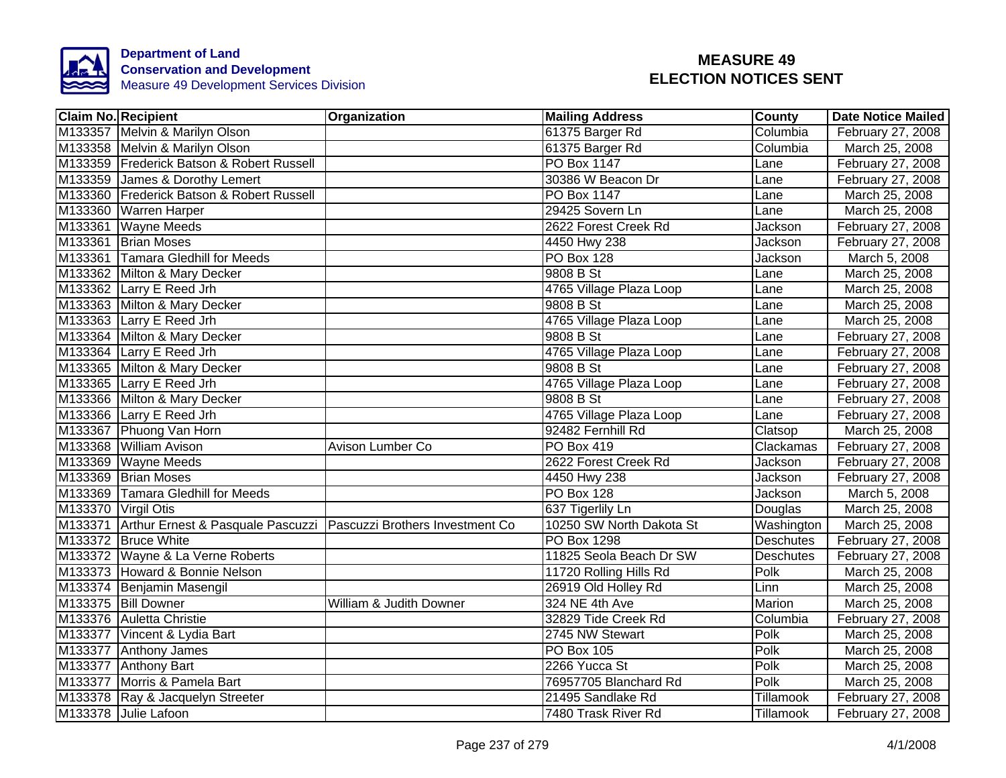

|                     | <b>Claim No. Recipient</b>                                                | Organization            | <b>Mailing Address</b>   | County           | <b>Date Notice Mailed</b> |
|---------------------|---------------------------------------------------------------------------|-------------------------|--------------------------|------------------|---------------------------|
|                     | M133357 Melvin & Marilyn Olson                                            |                         | 61375 Barger Rd          | Columbia         | February 27, 2008         |
|                     | M133358 Melvin & Marilyn Olson                                            |                         | 61375 Barger Rd          | Columbia         | March 25, 2008            |
|                     | M133359 Frederick Batson & Robert Russell                                 |                         | <b>PO Box 1147</b>       | Lane             | February 27, 2008         |
|                     | M133359 James & Dorothy Lemert                                            |                         | 30386 W Beacon Dr        | Lane             | February 27, 2008         |
|                     | M133360 Frederick Batson & Robert Russell                                 |                         | PO Box 1147              | Lane             | March 25, 2008            |
|                     | M133360 Warren Harper                                                     |                         | 29425 Sovern Ln          | Lane             | March 25, 2008            |
|                     | M133361 Wayne Meeds                                                       |                         | 2622 Forest Creek Rd     | Jackson          | February 27, 2008         |
|                     | M133361 Brian Moses                                                       |                         | 4450 Hwy 238             | Jackson          | February 27, 2008         |
|                     | M133361 Tamara Gledhill for Meeds                                         |                         | PO Box 128               | Jackson          | March 5, 2008             |
|                     | M133362 Milton & Mary Decker                                              |                         | 9808 B St                | Lane             | March 25, 2008            |
|                     | M133362 Larry E Reed Jrh                                                  |                         | 4765 Village Plaza Loop  | Lane             | March 25, 2008            |
|                     | M133363 Milton & Mary Decker                                              |                         | 9808 B St                | Lane             | March 25, 2008            |
|                     | M133363 Larry E Reed Jrh                                                  |                         | 4765 Village Plaza Loop  | Lane             | March 25, 2008            |
|                     | M133364 Milton & Mary Decker                                              |                         | 9808 B St                | Lane             | February 27, 2008         |
|                     | M133364 Larry E Reed Jrh                                                  |                         | 4765 Village Plaza Loop  | Lane             | February 27, 2008         |
|                     | M133365 Milton & Mary Decker                                              |                         | 9808 B St                | Lane             | February 27, 2008         |
|                     | M133365 Larry E Reed Jrh                                                  |                         | 4765 Village Plaza Loop  | Lane             | February 27, 2008         |
|                     | M133366 Milton & Mary Decker                                              |                         | 9808 B St                | Lane             | February 27, 2008         |
|                     | M133366 Larry E Reed Jrh                                                  |                         | 4765 Village Plaza Loop  | Lane             | February 27, 2008         |
|                     | M133367 Phuong Van Horn                                                   |                         | 92482 Fernhill Rd        | Clatsop          | March 25, 2008            |
|                     | M133368 William Avison                                                    | Avison Lumber Co        | <b>PO Box 419</b>        | Clackamas        | February 27, 2008         |
|                     | M133369 Wayne Meeds                                                       |                         | 2622 Forest Creek Rd     | Jackson          | February 27, 2008         |
|                     | M133369 Brian Moses                                                       |                         | 4450 Hwy 238             | Jackson          | February 27, 2008         |
|                     | M133369 Tamara Gledhill for Meeds                                         |                         | <b>PO Box 128</b>        | <b>Jackson</b>   | March 5, 2008             |
| M133370 Virgil Otis |                                                                           |                         | 637 Tigerlily Ln         | Douglas          | March 25, 2008            |
|                     | M133371 Arthur Ernest & Pasquale Pascuzzi Pascuzzi Brothers Investment Co |                         | 10250 SW North Dakota St | Washington       | March 25, 2008            |
|                     | M133372 Bruce White                                                       |                         | <b>PO Box 1298</b>       | <b>Deschutes</b> | February 27, 2008         |
|                     | M133372 Wayne & La Verne Roberts                                          |                         | 11825 Seola Beach Dr SW  | <b>Deschutes</b> | February 27, 2008         |
|                     | M133373 Howard & Bonnie Nelson                                            |                         | 11720 Rolling Hills Rd   | Polk             | March 25, 2008            |
|                     | M133374 Benjamin Masengil                                                 |                         | 26919 Old Holley Rd      | Linn             | March 25, 2008            |
|                     | M133375 Bill Downer                                                       | William & Judith Downer | 324 NE 4th Ave           | Marion           | March 25, 2008            |
|                     | M133376 Auletta Christie                                                  |                         | 32829 Tide Creek Rd      | Columbia         | February 27, 2008         |
|                     | M133377 Vincent & Lydia Bart                                              |                         | 2745 NW Stewart          | Polk             | March 25, 2008            |
|                     | M133377 Anthony James                                                     |                         | PO Box 105               | Polk             | March 25, 2008            |
|                     | M133377 Anthony Bart                                                      |                         | 2266 Yucca St            | Polk             | March 25, 2008            |
|                     | M133377 Morris & Pamela Bart                                              |                         | 76957705 Blanchard Rd    | Polk             | March 25, 2008            |
|                     | M133378 Ray & Jacquelyn Streeter                                          |                         | 21495 Sandlake Rd        | Tillamook        | February 27, 2008         |
|                     | M133378 Julie Lafoon                                                      |                         | 7480 Trask River Rd      | Tillamook        | February 27, 2008         |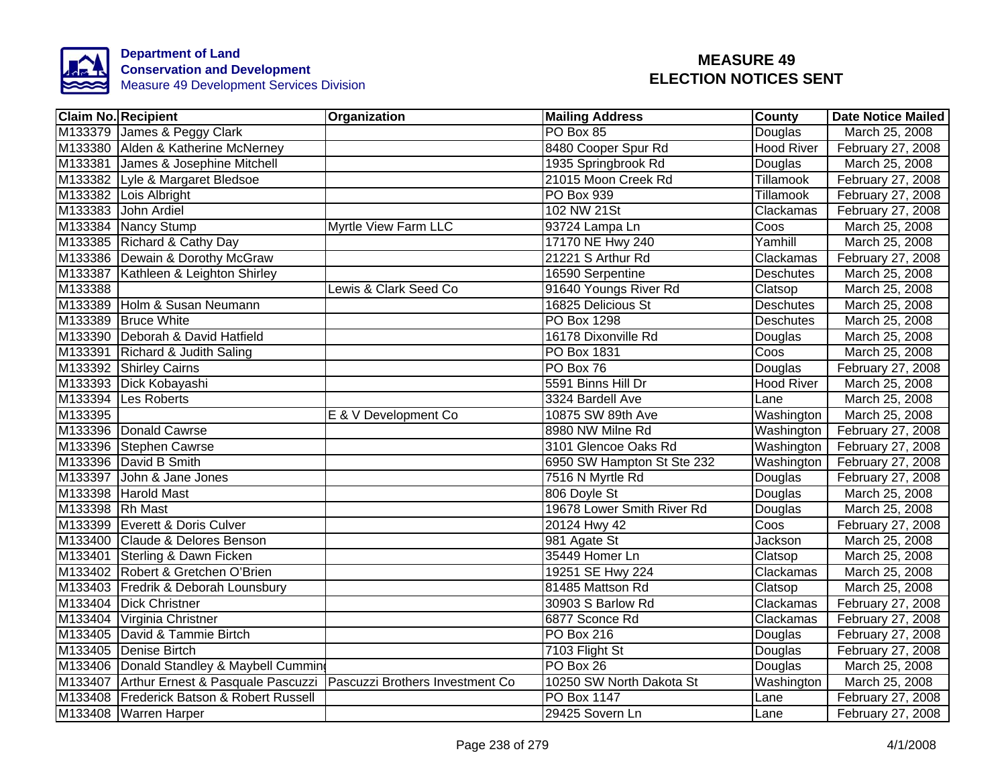

| <b>Claim No. Recipient</b>                                                | Organization          | <b>Mailing Address</b>     | County            | <b>Date Notice Mailed</b> |
|---------------------------------------------------------------------------|-----------------------|----------------------------|-------------------|---------------------------|
| M133379 James & Peggy Clark                                               |                       | PO Box 85                  | Douglas           | March 25, 2008            |
| M133380 Alden & Katherine McNerney                                        |                       | 8480 Cooper Spur Rd        | <b>Hood River</b> | February 27, 2008         |
| M133381 James & Josephine Mitchell                                        |                       | 1935 Springbrook Rd        | Douglas           | March 25, 2008            |
| M133382 Lyle & Margaret Bledsoe                                           |                       | 21015 Moon Creek Rd        | Tillamook         | February 27, 2008         |
| M133382 Lois Albright                                                     |                       | PO Box 939                 | Tillamook         | February 27, 2008         |
| M133383 John Ardiel                                                       |                       | 102 NW 21St                | Clackamas         | February 27, 2008         |
| M133384 Nancy Stump                                                       | Myrtle View Farm LLC  | 93724 Lampa Ln             | Coos              | March 25, 2008            |
| M133385 Richard & Cathy Day                                               |                       | 17170 NE Hwy 240           | Yamhill           | March 25, 2008            |
| M133386 Dewain & Dorothy McGraw                                           |                       | 21221 S Arthur Rd          | Clackamas         | February 27, 2008         |
| M133387 Kathleen & Leighton Shirley                                       |                       | 16590 Serpentine           | <b>Deschutes</b>  | March 25, 2008            |
| M133388                                                                   | Lewis & Clark Seed Co | 91640 Youngs River Rd      | Clatsop           | March 25, 2008            |
| M133389 Holm & Susan Neumann                                              |                       | 16825 Delicious St         | Deschutes         | March 25, 2008            |
| M133389 Bruce White                                                       |                       | PO Box 1298                | Deschutes         | March 25, 2008            |
| M133390 Deborah & David Hatfield                                          |                       | 16178 Dixonville Rd        | Douglas           | March 25, 2008            |
| M133391 Richard & Judith Saling                                           |                       | PO Box 1831                | Coos              | March 25, 2008            |
| M133392 Shirley Cairns                                                    |                       | PO Box 76                  | Douglas           | February 27, 2008         |
| M133393 Dick Kobayashi                                                    |                       | 5591 Binns Hill Dr         | <b>Hood River</b> | March 25, 2008            |
| M133394 Les Roberts                                                       |                       | 3324 Bardell Ave           | Lane              | March 25, 2008            |
| M133395                                                                   | E & V Development Co  | 10875 SW 89th Ave          | Washington        | March 25, 2008            |
| M133396 Donald Cawrse                                                     |                       | 8980 NW Milne Rd           | Washington        | February 27, 2008         |
| M133396 Stephen Cawrse                                                    |                       | 3101 Glencoe Oaks Rd       | Washington        | February 27, 2008         |
| M133396 David B Smith                                                     |                       | 6950 SW Hampton St Ste 232 | Washington        | February 27, 2008         |
| M133397 John & Jane Jones                                                 |                       | 7516 N Myrtle Rd           | Douglas           | February 27, 2008         |
| M133398 Harold Mast                                                       |                       | 806 Doyle St               | Douglas           | March 25, 2008            |
| M133398 Rh Mast                                                           |                       | 19678 Lower Smith River Rd | Douglas           | March 25, 2008            |
| M133399 Everett & Doris Culver                                            |                       | 20124 Hwy 42               | Coos              | February 27, 2008         |
| M133400 Claude & Delores Benson                                           |                       | 981 Agate St               | <b>Jackson</b>    | March 25, 2008            |
| M133401 Sterling & Dawn Ficken                                            |                       | 35449 Homer Ln             | Clatsop           | March 25, 2008            |
| M133402 Robert & Gretchen O'Brien                                         |                       | 19251 SE Hwy 224           | Clackamas         | March 25, 2008            |
| M133403 Fredrik & Deborah Lounsbury                                       |                       | 81485 Mattson Rd           | Clatsop           | March 25, 2008            |
| M133404 Dick Christner                                                    |                       | 30903 S Barlow Rd          | Clackamas         | February 27, 2008         |
| M133404 Virginia Christner                                                |                       | 6877 Sconce Rd             | Clackamas         | February 27, 2008         |
| M133405 David & Tammie Birtch                                             |                       | PO Box 216                 | Douglas           | February 27, 2008         |
| M133405 Denise Birtch                                                     |                       | 7103 Flight St             | Douglas           | February 27, 2008         |
| M133406 Donald Standley & Maybell Cummin                                  |                       | PO Box 26                  | Douglas           | March 25, 2008            |
| M133407 Arthur Ernest & Pasquale Pascuzzi Pascuzzi Brothers Investment Co |                       | 10250 SW North Dakota St   | Washington        | March 25, 2008            |
| M133408 Frederick Batson & Robert Russell                                 |                       | PO Box 1147                | Lane              | February 27, 2008         |
| M133408   Warren Harper                                                   |                       | 29425 Sovern Ln            | Lane              | February 27, 2008         |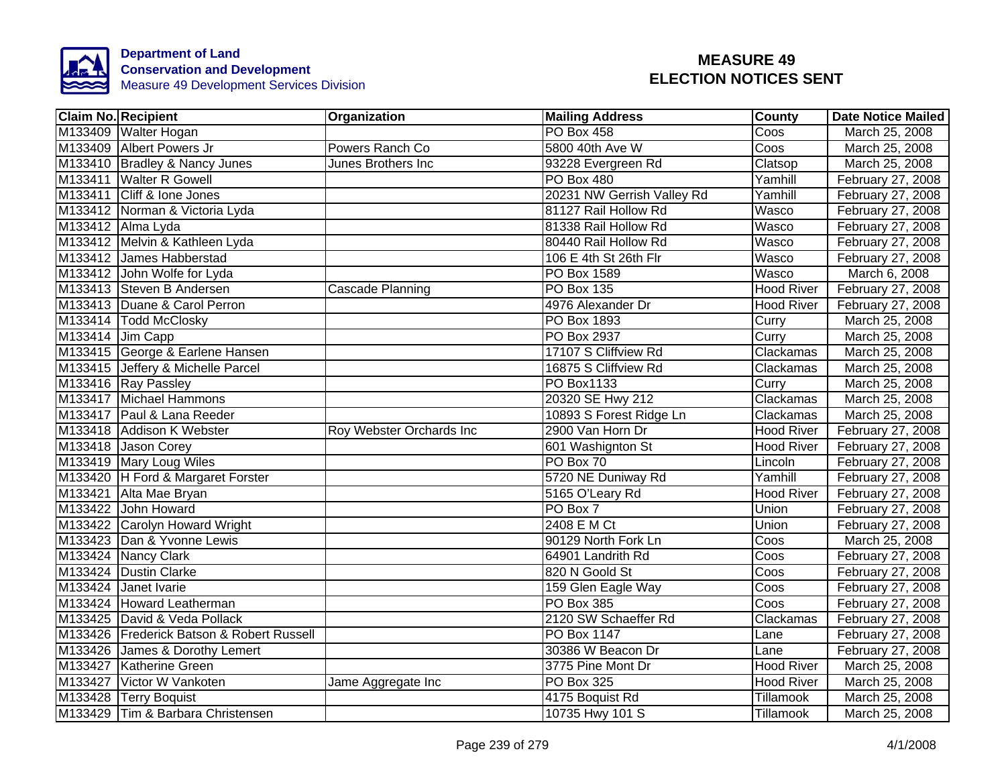

| <b>Claim No. Recipient</b>                | <b>Organization</b>      | <b>Mailing Address</b>     | <b>County</b>     | <b>Date Notice Mailed</b> |
|-------------------------------------------|--------------------------|----------------------------|-------------------|---------------------------|
| M133409 Walter Hogan                      |                          | PO Box 458                 | Coos              | March 25, 2008            |
| M133409 Albert Powers Jr                  | Powers Ranch Co          | 5800 40th Ave W            | Coos              | March 25, 2008            |
| M133410 Bradley & Nancy Junes             | Junes Brothers Inc       | 93228 Evergreen Rd         | Clatsop           | March 25, 2008            |
| M133411 Walter R Gowell                   |                          | PO Box 480                 | Yamhill           | February 27, 2008         |
| M133411 Cliff & Ione Jones                |                          | 20231 NW Gerrish Valley Rd | Yamhill           | February 27, 2008         |
| M133412 Norman & Victoria Lyda            |                          | 81127 Rail Hollow Rd       | <b>Wasco</b>      | February 27, 2008         |
| M133412 Alma Lyda                         |                          | 81338 Rail Hollow Rd       | <b>Wasco</b>      | February 27, 2008         |
| M133412 Melvin & Kathleen Lyda            |                          | 80440 Rail Hollow Rd       | <b>Wasco</b>      | February 27, 2008         |
| M133412 James Habberstad                  |                          | 106 E 4th St 26th Flr      | <b>Wasco</b>      | February 27, 2008         |
| M133412 John Wolfe for Lyda               |                          | PO Box 1589                | Wasco             | March 6, 2008             |
| M133413 Steven B Andersen                 | Cascade Planning         | $\overline{PO}$ Box 135    | Hood River        | February 27, 2008         |
| M133413 Duane & Carol Perron              |                          | 4976 Alexander Dr          | <b>Hood River</b> | February 27, 2008         |
| M133414   Todd McClosky                   |                          | <b>PO Box 1893</b>         | Curry             | March 25, 2008            |
| M133414 Jim Capp                          |                          | PO Box 2937                | Curry             | March 25, 2008            |
| M133415 George & Earlene Hansen           |                          | 17107 S Cliffview Rd       | Clackamas         | March 25, 2008            |
| M133415 Jeffery & Michelle Parcel         |                          | 16875 S Cliffview Rd       | Clackamas         | March 25, 2008            |
| M133416 Ray Passley                       |                          | <b>PO Box1133</b>          | Curry             | March 25, 2008            |
| M133417 Michael Hammons                   |                          | 20320 SE Hwy 212           | Clackamas         | March 25, 2008            |
| M133417 Paul & Lana Reeder                |                          | 10893 S Forest Ridge Ln    | Clackamas         | March 25, 2008            |
| M133418 Addison K Webster                 | Roy Webster Orchards Inc | 2900 Van Horn Dr           | <b>Hood River</b> | February 27, 2008         |
| M133418 Jason Corey                       |                          | 601 Washignton St          | <b>Hood River</b> | February 27, 2008         |
| M133419 Mary Loug Wiles                   |                          | PO Box 70                  | Lincoln           | February 27, 2008         |
| M133420 H Ford & Margaret Forster         |                          | 5720 NE Duniway Rd         | Yamhill           | February 27, 2008         |
| M133421 Alta Mae Bryan                    |                          | 5165 O'Leary Rd            | <b>Hood River</b> | February 27, 2008         |
| M133422 John Howard                       |                          | PO Box 7                   | Union             | February 27, 2008         |
| M133422 Carolyn Howard Wright             |                          | 2408 E M Ct                | Union             | February 27, 2008         |
| M133423 Dan & Yvonne Lewis                |                          | 90129 North Fork Ln        | Coos              | March 25, 2008            |
| M133424 Nancy Clark                       |                          | 64901 Landrith Rd          | Coos              | February 27, 2008         |
| M133424 Dustin Clarke                     |                          | 820 N Goold St             | Coos              | February 27, 2008         |
| M133424 Janet Ivarie                      |                          | 159 Glen Eagle Way         | Coos              | February 27, 2008         |
| M133424 Howard Leatherman                 |                          | PO Box 385                 | Coos              | February 27, 2008         |
| M133425 David & Veda Pollack              |                          | 2120 SW Schaeffer Rd       | Clackamas         | February 27, 2008         |
| M133426 Frederick Batson & Robert Russell |                          | PO Box 1147                | Lane              | February 27, 2008         |
| M133426 James & Dorothy Lemert            |                          | 30386 W Beacon Dr          | Lane              | February 27, 2008         |
| M133427 Katherine Green                   |                          | 3775 Pine Mont Dr          | <b>Hood River</b> | March 25, 2008            |
| M133427 Victor W Vankoten                 | Jame Aggregate Inc       | PO Box 325                 | <b>Hood River</b> | March 25, 2008            |
| M133428 Terry Boquist                     |                          | 4175 Boquist Rd            | Tillamook         | March 25, 2008            |
| M133429 Tim & Barbara Christensen         |                          | 10735 Hwy 101 S            | Tillamook         | March 25, 2008            |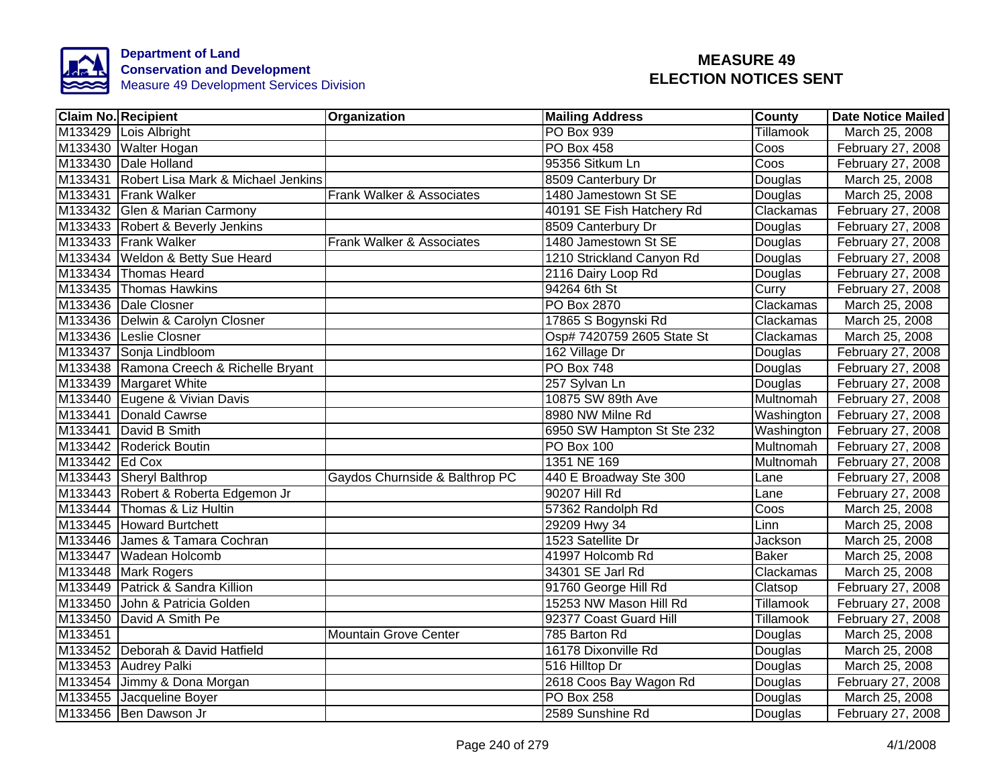

|                | <b>Claim No. Recipient</b>                 | Organization                   | <b>Mailing Address</b>     | County       | <b>Date Notice Mailed</b> |
|----------------|--------------------------------------------|--------------------------------|----------------------------|--------------|---------------------------|
|                | M133429 Lois Albright                      |                                | PO Box 939                 | Tillamook    | March 25, 2008            |
|                | M133430 Walter Hogan                       |                                | <b>PO Box 458</b>          | Coos         | February 27, 2008         |
|                | M133430 Dale Holland                       |                                | 95356 Sitkum Ln            | Coos         | February 27, 2008         |
|                | M133431 Robert Lisa Mark & Michael Jenkins |                                | 8509 Canterbury Dr         | Douglas      | March 25, 2008            |
|                | M133431 Frank Walker                       | Frank Walker & Associates      | 1480 Jamestown St SE       | Douglas      | March 25, 2008            |
|                | M133432 Glen & Marian Carmony              |                                | 40191 SE Fish Hatchery Rd  | Clackamas    | February 27, 2008         |
|                | M133433 Robert & Beverly Jenkins           |                                | 8509 Canterbury Dr         | Douglas      | February 27, 2008         |
|                | M133433 Frank Walker                       | Frank Walker & Associates      | 1480 Jamestown St SE       | Douglas      | February 27, 2008         |
|                | M133434 Weldon & Betty Sue Heard           |                                | 1210 Strickland Canyon Rd  | Douglas      | February 27, 2008         |
|                | M133434 Thomas Heard                       |                                | 2116 Dairy Loop Rd         | Douglas      | February 27, 2008         |
|                | M133435 Thomas Hawkins                     |                                | 94264 6th St               | Curry        | February 27, 2008         |
|                | M133436 Dale Closner                       |                                | PO Box 2870                | Clackamas    | March 25, 2008            |
|                | M133436 Delwin & Carolyn Closner           |                                | 17865 S Bogynski Rd        | Clackamas    | March 25, 2008            |
|                | M133436 Leslie Closner                     |                                | Osp# 7420759 2605 State St | Clackamas    | March 25, 2008            |
|                | M133437 Sonja Lindbloom                    |                                | 162 Village Dr             | Douglas      | February 27, 2008         |
|                | M133438 Ramona Creech & Richelle Bryant    |                                | <b>PO Box 748</b>          | Douglas      | February 27, 2008         |
|                | M133439 Margaret White                     |                                | 257 Sylvan Ln              | Douglas      | February 27, 2008         |
|                | M133440 Eugene & Vivian Davis              |                                | 10875 SW 89th Ave          | Multnomah    | February 27, 2008         |
|                | M133441 Donald Cawrse                      |                                | 8980 NW Milne Rd           | Washington   | February 27, 2008         |
|                | M133441 David B Smith                      |                                | 6950 SW Hampton St Ste 232 | Washington   | February 27, 2008         |
|                | M133442 Roderick Boutin                    |                                | <b>PO Box 100</b>          | Multnomah    | February 27, 2008         |
| M133442 Ed Cox |                                            |                                | 1351 NE 169                | Multnomah    | February 27, 2008         |
|                | M133443 Sheryl Balthrop                    | Gaydos Churnside & Balthrop PC | 440 E Broadway Ste 300     | Lane         | February 27, 2008         |
|                | M133443 Robert & Roberta Edgemon Jr        |                                | 90207 Hill Rd              | Lane         | February 27, 2008         |
|                | M133444 Thomas & Liz Hultin                |                                | 57362 Randolph Rd          | Coos         | March 25, 2008            |
|                | M133445 Howard Burtchett                   |                                | 29209 Hwy 34               | Linn         | March 25, 2008            |
|                | M133446 James & Tamara Cochran             |                                | 1523 Satellite Dr          | Jackson      | March 25, 2008            |
|                | M133447 Wadean Holcomb                     |                                | 41997 Holcomb Rd           | <b>Baker</b> | March 25, 2008            |
|                | M133448 Mark Rogers                        |                                | 34301 SE Jarl Rd           | Clackamas    | March 25, 2008            |
|                | M133449 Patrick & Sandra Killion           |                                | 91760 George Hill Rd       | Clatsop      | February 27, 2008         |
|                | M133450 John & Patricia Golden             |                                | 15253 NW Mason Hill Rd     | Tillamook    | February 27, 2008         |
|                | M133450 David A Smith Pe                   |                                | 92377 Coast Guard Hill     | Tillamook    | February 27, 2008         |
| M133451        |                                            | <b>Mountain Grove Center</b>   | 785 Barton Rd              | Douglas      | March 25, 2008            |
|                | M133452 Deborah & David Hatfield           |                                | 16178 Dixonville Rd        | Douglas      | March 25, 2008            |
|                | M133453 Audrey Palki                       |                                | 516 Hilltop Dr             | Douglas      | March 25, 2008            |
|                | M133454 Jimmy & Dona Morgan                |                                | 2618 Coos Bay Wagon Rd     | Douglas      | February 27, 2008         |
|                | M133455 Jacqueline Boyer                   |                                | PO Box 258                 | Douglas      | March 25, 2008            |
|                | M133456 Ben Dawson Jr                      |                                | 2589 Sunshine Rd           | Douglas      | February 27, 2008         |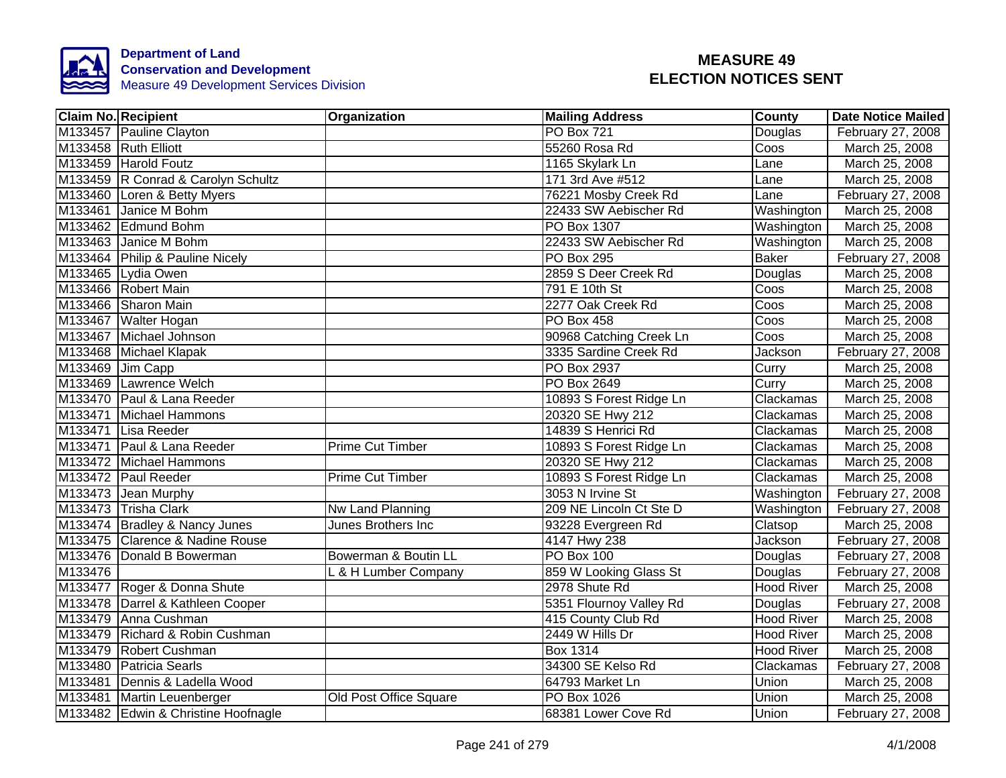

|                  | <b>Claim No. Recipient</b>          | Organization            | <b>Mailing Address</b>  | County            | <b>Date Notice Mailed</b> |
|------------------|-------------------------------------|-------------------------|-------------------------|-------------------|---------------------------|
|                  | M133457 Pauline Clayton             |                         | <b>PO Box 721</b>       | Douglas           | February 27, 2008         |
|                  | M133458 Ruth Elliott                |                         | 55260 Rosa Rd           | Coos              | March 25, 2008            |
|                  | M133459 Harold Foutz                |                         | 1165 Skylark Ln         | Lane              | March 25, 2008            |
|                  | M133459 R Conrad & Carolyn Schultz  |                         | 171 3rd Ave #512        | Lane              | March 25, 2008            |
|                  | M133460 Loren & Betty Myers         |                         | 76221 Mosby Creek Rd    | Lane              | February 27, 2008         |
|                  | M133461 Janice M Bohm               |                         | 22433 SW Aebischer Rd   | Washington        | March 25, 2008            |
|                  | M133462 Edmund Bohm                 |                         | PO Box 1307             | Washington        | March 25, 2008            |
|                  | M133463 Janice M Bohm               |                         | 22433 SW Aebischer Rd   | Washington        | March 25, 2008            |
|                  | M133464 Philip & Pauline Nicely     |                         | PO Box 295              | <b>Baker</b>      | February 27, 2008         |
|                  | M133465 Lydia Owen                  |                         | 2859 S Deer Creek Rd    | Douglas           | March 25, 2008            |
|                  | M133466 Robert Main                 |                         | 791 E 10th St           | Coos              | March 25, 2008            |
|                  | M133466 Sharon Main                 |                         | 2277 Oak Creek Rd       | Coos              | March 25, 2008            |
|                  | M133467 Walter Hogan                |                         | PO Box 458              | Coos              | March 25, 2008            |
|                  | M133467 Michael Johnson             |                         | 90968 Catching Creek Ln | Coos              | March 25, 2008            |
|                  | M133468 Michael Klapak              |                         | 3335 Sardine Creek Rd   | Jackson           | February 27, 2008         |
| M133469 Jim Capp |                                     |                         | <b>PO Box 2937</b>      | Curry             | March 25, 2008            |
|                  | M133469 Lawrence Welch              |                         | <b>PO Box 2649</b>      | Curry             | March 25, 2008            |
|                  | M133470 Paul & Lana Reeder          |                         | 10893 S Forest Ridge Ln | Clackamas         | March 25, 2008            |
|                  | M133471 Michael Hammons             |                         | 20320 SE Hwy 212        | Clackamas         | March 25, 2008            |
|                  | M133471 Lisa Reeder                 |                         | 14839 S Henrici Rd      | Clackamas         | March 25, 2008            |
|                  | M133471 Paul & Lana Reeder          | <b>Prime Cut Timber</b> | 10893 S Forest Ridge Ln | Clackamas         | March 25, 2008            |
|                  | M133472 Michael Hammons             |                         | 20320 SE Hwy 212        | Clackamas         | March 25, 2008            |
|                  | M133472 Paul Reeder                 | Prime Cut Timber        | 10893 S Forest Ridge Ln | Clackamas         | March 25, 2008            |
|                  | M133473 Jean Murphy                 |                         | 3053 N Irvine St        | Washington        | February 27, 2008         |
|                  | M133473 Trisha Clark                | Nw Land Planning        | 209 NE Lincoln Ct Ste D | Washington        | February 27, 2008         |
|                  | M133474 Bradley & Nancy Junes       | Junes Brothers Inc      | 93228 Evergreen Rd      | Clatsop           | March 25, 2008            |
|                  | M133475 Clarence & Nadine Rouse     |                         | 4147 Hwy 238            | Jackson           | February 27, 2008         |
|                  | M133476 Donald B Bowerman           | Bowerman & Boutin LL    | <b>PO Box 100</b>       | Douglas           | February 27, 2008         |
| M133476          |                                     | L & H Lumber Company    | 859 W Looking Glass St  | Douglas           | February 27, 2008         |
|                  | M133477 Roger & Donna Shute         |                         | 2978 Shute Rd           | Hood River        | March 25, 2008            |
|                  | M133478 Darrel & Kathleen Cooper    |                         | 5351 Flournoy Valley Rd | Douglas           | February 27, 2008         |
|                  | M133479 Anna Cushman                |                         | 415 County Club Rd      | <b>Hood River</b> | March 25, 2008            |
|                  | M133479 Richard & Robin Cushman     |                         | 2449 W Hills Dr         | <b>Hood River</b> | March 25, 2008            |
|                  | M133479 Robert Cushman              |                         | Box 1314                | <b>Hood River</b> | March 25, 2008            |
|                  | M133480 Patricia Searls             |                         | 34300 SE Kelso Rd       | Clackamas         | February 27, 2008         |
|                  | M133481 Dennis & Ladella Wood       |                         | 64793 Market Ln         | Union             | March 25, 2008            |
|                  | M133481 Martin Leuenberger          | Old Post Office Square  | PO Box 1026             | Union             | March 25, 2008            |
|                  | M133482 Edwin & Christine Hoofnagle |                         | 68381 Lower Cove Rd     | Union             | February 27, 2008         |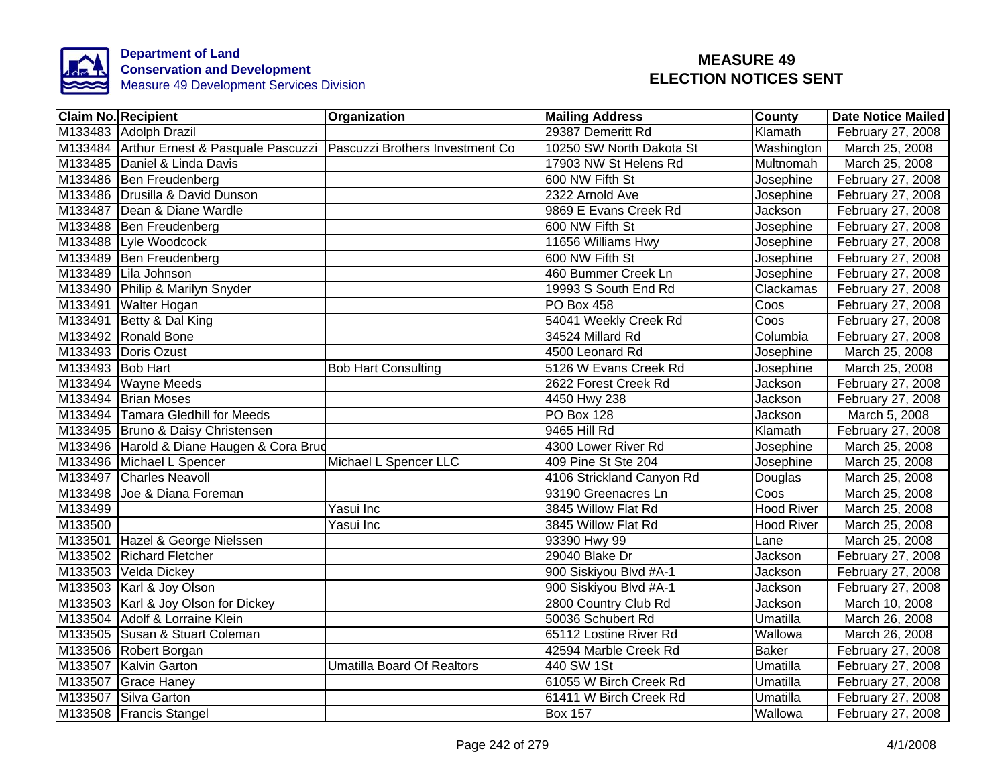

| <b>Claim No. Recipient</b>                                                | Organization                      | <b>Mailing Address</b>    | <b>County</b>     | <b>Date Notice Mailed</b> |
|---------------------------------------------------------------------------|-----------------------------------|---------------------------|-------------------|---------------------------|
| M133483 Adolph Drazil                                                     |                                   | 29387 Demeritt Rd         | Klamath           | February 27, 2008         |
| M133484 Arthur Ernest & Pasquale Pascuzzi Pascuzzi Brothers Investment Co |                                   | 10250 SW North Dakota St  | Washington        | March 25, 2008            |
| M133485 Daniel & Linda Davis                                              |                                   | 17903 NW St Helens Rd     | Multnomah         | March 25, 2008            |
| M133486 Ben Freudenberg                                                   |                                   | 600 NW Fifth St           | Josephine         | February 27, 2008         |
| M133486 Drusilla & David Dunson                                           |                                   | 2322 Arnold Ave           | Josephine         | February 27, 2008         |
| M133487 Dean & Diane Wardle                                               |                                   | 9869 E Evans Creek Rd     | Jackson           | February 27, 2008         |
| M133488 Ben Freudenberg                                                   |                                   | 600 NW Fifth St           | Josephine         | February 27, 2008         |
| M133488 Lyle Woodcock                                                     |                                   | 11656 Williams Hwy        | Josephine         | February 27, 2008         |
| M133489 Ben Freudenberg                                                   |                                   | 600 NW Fifth St           | Josephine         | February 27, 2008         |
| M133489 Lila Johnson                                                      |                                   | 460 Bummer Creek Ln       | Josephine         | February 27, 2008         |
| M133490 Philip & Marilyn Snyder                                           |                                   | 19993 S South End Rd      | Clackamas         | February 27, 2008         |
| M133491 Walter Hogan                                                      |                                   | <b>PO Box 458</b>         | Coos              | February 27, 2008         |
| M133491 Betty & Dal King                                                  |                                   | 54041 Weekly Creek Rd     | Coos              | February 27, 2008         |
| M133492 Ronald Bone                                                       |                                   | 34524 Millard Rd          | Columbia          | February 27, 2008         |
| M133493 Doris Ozust                                                       |                                   | 4500 Leonard Rd           | Josephine         | March 25, 2008            |
| M133493 Bob Hart                                                          | <b>Bob Hart Consulting</b>        | 5126 W Evans Creek Rd     | Josephine         | March 25, 2008            |
| M133494 Wayne Meeds                                                       |                                   | 2622 Forest Creek Rd      | Jackson           | February 27, 2008         |
| M133494 Brian Moses                                                       |                                   | 4450 Hwy 238              | Jackson           | February 27, 2008         |
| M133494 Tamara Gledhill for Meeds                                         |                                   | <b>PO Box 128</b>         | Jackson           | March 5, 2008             |
| M133495 Bruno & Daisy Christensen                                         |                                   | 9465 Hill Rd              | Klamath           | February 27, 2008         |
| M133496 Harold & Diane Haugen & Cora Brud                                 |                                   | 4300 Lower River Rd       | Josephine         | March 25, 2008            |
| M133496 Michael L Spencer                                                 | Michael L Spencer LLC             | 409 Pine St Ste 204       | Josephine         | March 25, 2008            |
| M133497 Charles Neavoll                                                   |                                   | 4106 Strickland Canyon Rd | Douglas           | March 25, 2008            |
| M133498 Joe & Diana Foreman                                               |                                   | 93190 Greenacres Ln       | Coos              | March 25, 2008            |
| M133499                                                                   | Yasui Inc                         | 3845 Willow Flat Rd       | <b>Hood River</b> | March 25, 2008            |
| M133500                                                                   | Yasui Inc                         | 3845 Willow Flat Rd       | <b>Hood River</b> | March 25, 2008            |
| M133501 Hazel & George Nielssen                                           |                                   | 93390 Hwy 99              | Lane              | March 25, 2008            |
| M133502 Richard Fletcher                                                  |                                   | 29040 Blake Dr            | Jackson           | February 27, 2008         |
| M133503 Velda Dickey                                                      |                                   | 900 Siskiyou Blvd #A-1    | Jackson           | February 27, 2008         |
| M133503 Karl & Joy Olson                                                  |                                   | 900 Siskiyou Blvd #A-1    | Jackson           | February 27, 2008         |
| M133503 Karl & Joy Olson for Dickey                                       |                                   | 2800 Country Club Rd      | Jackson           | March 10, 2008            |
| M133504 Adolf & Lorraine Klein                                            |                                   | 50036 Schubert Rd         | Umatilla          | March 26, 2008            |
| M133505 Susan & Stuart Coleman                                            |                                   | 65112 Lostine River Rd    | Wallowa           | March 26, 2008            |
| M133506 Robert Borgan                                                     |                                   | 42594 Marble Creek Rd     | <b>Baker</b>      | February 27, 2008         |
| M133507 Kalvin Garton                                                     | <b>Umatilla Board Of Realtors</b> | 440 SW 1St                | Umatilla          | February 27, 2008         |
| M133507 Grace Haney                                                       |                                   | 61055 W Birch Creek Rd    | Umatilla          | February 27, 2008         |
| M133507 Silva Garton                                                      |                                   | 61411 W Birch Creek Rd    | Umatilla          | February 27, 2008         |
| M133508   Francis Stangel                                                 |                                   | <b>Box 157</b>            | Wallowa           | February 27, 2008         |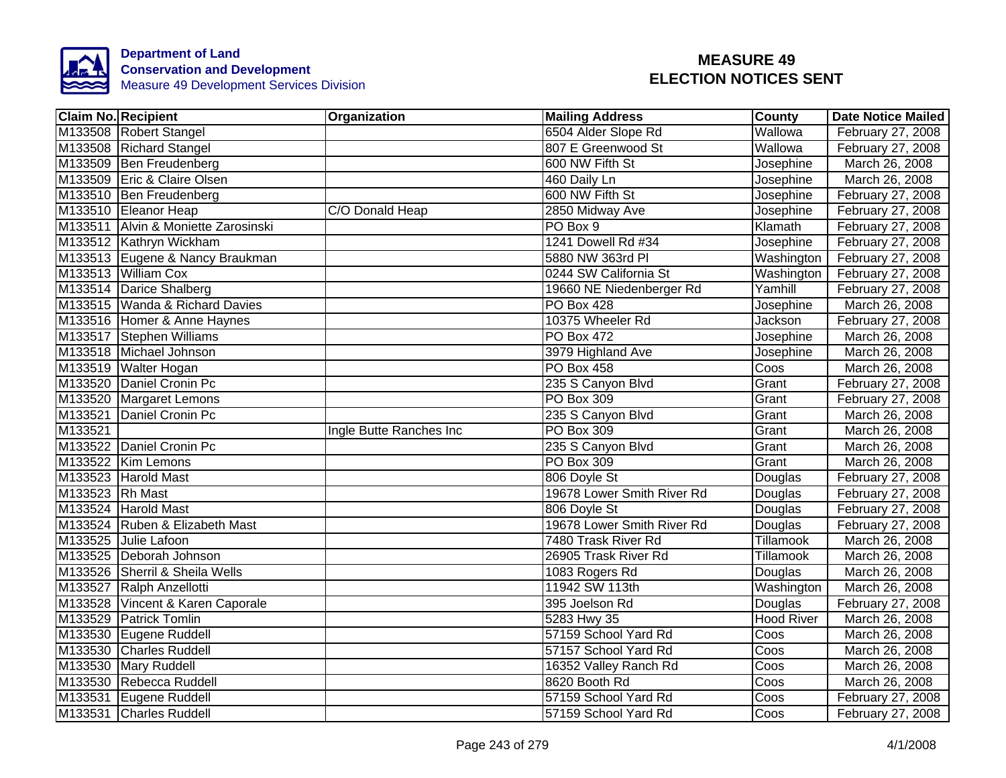

|                 | <b>Claim No. Recipient</b>          | Organization            | <b>Mailing Address</b>     | County            | <b>Date Notice Mailed</b> |
|-----------------|-------------------------------------|-------------------------|----------------------------|-------------------|---------------------------|
|                 | M133508 Robert Stangel              |                         | 6504 Alder Slope Rd        | Wallowa           | February 27, 2008         |
|                 | M133508 Richard Stangel             |                         | 807 E Greenwood St         | Wallowa           | February 27, 2008         |
|                 | M133509 Ben Freudenberg             |                         | 600 NW Fifth St            | Josephine         | March 26, 2008            |
|                 | M133509 Eric & Claire Olsen         |                         | 460 Daily Ln               | Josephine         | March 26, 2008            |
|                 | M133510 Ben Freudenberg             |                         | 600 NW Fifth St            | Josephine         | February 27, 2008         |
|                 | M133510 Eleanor Heap                | C/O Donald Heap         | 2850 Midway Ave            | Josephine         | February 27, 2008         |
|                 | M133511 Alvin & Moniette Zarosinski |                         | PO Box 9                   | Klamath           | February 27, 2008         |
|                 | M133512 Kathryn Wickham             |                         | 1241 Dowell Rd #34         | Josephine         | February 27, 2008         |
|                 | M133513 Eugene & Nancy Braukman     |                         | 5880 NW 363rd Pl           | Washington        | February 27, 2008         |
|                 | M133513 William Cox                 |                         | 0244 SW California St      | Washington        | February 27, 2008         |
|                 | M133514 Darice Shalberg             |                         | 19660 NE Niedenberger Rd   | Yamhill           | February 27, 2008         |
|                 | M133515 Wanda & Richard Davies      |                         | <b>PO Box 428</b>          | Josephine         | March 26, 2008            |
|                 | M133516 Homer & Anne Haynes         |                         | 10375 Wheeler Rd           | Jackson           | February 27, 2008         |
|                 | M133517 Stephen Williams            |                         | <b>PO Box 472</b>          | Josephine         | March 26, 2008            |
|                 | M133518 Michael Johnson             |                         | 3979 Highland Ave          | Josephine         | March 26, 2008            |
|                 | M133519 Walter Hogan                |                         | PO Box 458                 | Coos              | March 26, 2008            |
|                 | M133520 Daniel Cronin Pc            |                         | 235 S Canyon Blvd          | Grant             | February 27, 2008         |
|                 | M133520 Margaret Lemons             |                         | <b>PO Box 309</b>          | Grant             | February 27, 2008         |
|                 | M133521 Daniel Cronin Pc            |                         | 235 S Canyon Blvd          | Grant             | March 26, 2008            |
| M133521         |                                     | Ingle Butte Ranches Inc | PO Box 309                 | Grant             | March 26, 2008            |
|                 | M133522 Daniel Cronin Pc            |                         | 235 S Canyon Blvd          | Grant             | March 26, 2008            |
|                 | M133522 Kim Lemons                  |                         | <b>PO Box 309</b>          | Grant             | March 26, 2008            |
|                 | M133523 Harold Mast                 |                         | 806 Doyle St               | Douglas           | February 27, 2008         |
| M133523 Rh Mast |                                     |                         | 19678 Lower Smith River Rd | Douglas           | February 27, 2008         |
|                 | M133524 Harold Mast                 |                         | 806 Doyle St               | Douglas           | February 27, 2008         |
|                 | M133524 Ruben & Elizabeth Mast      |                         | 19678 Lower Smith River Rd | Douglas           | February 27, 2008         |
|                 | M133525 Julie Lafoon                |                         | 7480 Trask River Rd        | Tillamook         | March 26, 2008            |
|                 | M133525 Deborah Johnson             |                         | 26905 Trask River Rd       | Tillamook         | March 26, 2008            |
|                 | M133526 Sherril & Sheila Wells      |                         | 1083 Rogers Rd             | Douglas           | March 26, 2008            |
|                 | M133527 Ralph Anzellotti            |                         | 11942 SW 113th             | Washington        | March 26, 2008            |
|                 | M133528 Vincent & Karen Caporale    |                         | 395 Joelson Rd             | Douglas           | February 27, 2008         |
|                 | M133529 Patrick Tomlin              |                         | 5283 Hwy 35                | <b>Hood River</b> | March 26, 2008            |
|                 | M133530 Eugene Ruddell              |                         | 57159 School Yard Rd       | Coos              | March 26, 2008            |
|                 | M133530 Charles Ruddell             |                         | 57157 School Yard Rd       | Coos              | March 26, 2008            |
|                 | M133530 Mary Ruddell                |                         | 16352 Valley Ranch Rd      | Coos              | March 26, 2008            |
|                 | M133530 Rebecca Ruddell             |                         | 8620 Booth Rd              | Coos              | March 26, 2008            |
|                 | M133531 Eugene Ruddell              |                         | 57159 School Yard Rd       | Coos              | February 27, 2008         |
|                 | M133531 Charles Ruddell             |                         | 57159 School Yard Rd       | Coos              | February 27, 2008         |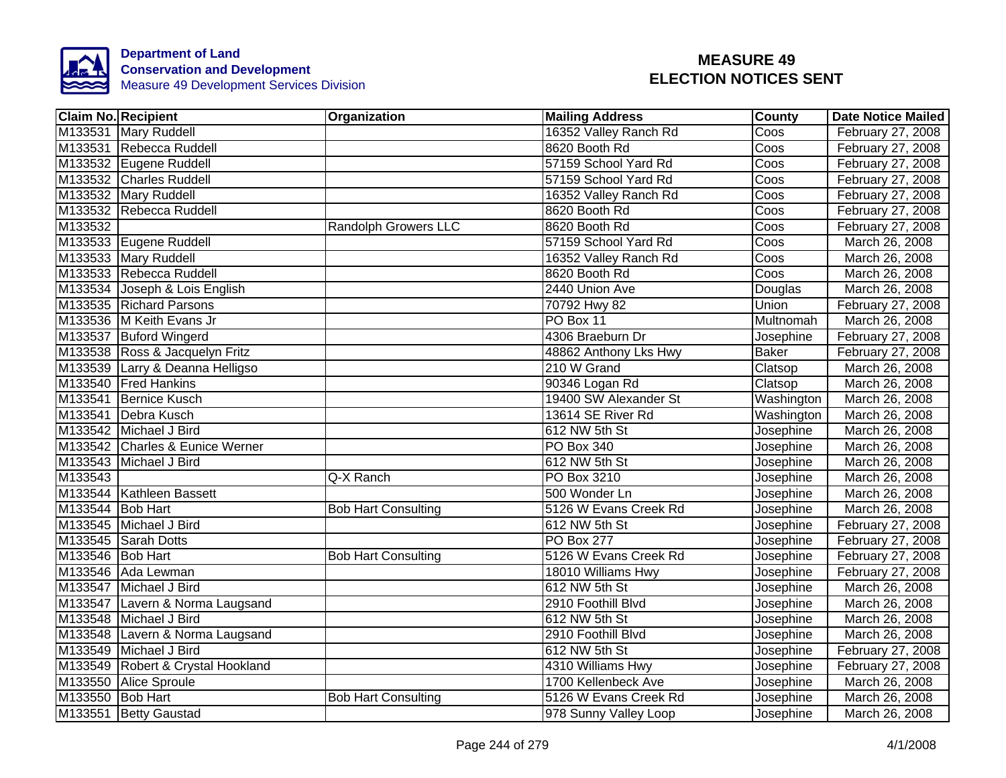

|                  | <b>Claim No. Recipient</b>        | <b>Organization</b>         | <b>Mailing Address</b> | County       | Date Notice Mailed |
|------------------|-----------------------------------|-----------------------------|------------------------|--------------|--------------------|
|                  | M133531 Mary Ruddell              |                             | 16352 Valley Ranch Rd  | Coos         | February 27, 2008  |
|                  | M133531 Rebecca Ruddell           |                             | 8620 Booth Rd          | Coos         | February 27, 2008  |
|                  | M133532 Eugene Ruddell            |                             | 57159 School Yard Rd   | Coos         | February 27, 2008  |
|                  | M133532 Charles Ruddell           |                             | 57159 School Yard Rd   | Coos         | February 27, 2008  |
|                  | M133532 Mary Ruddell              |                             | 16352 Valley Ranch Rd  | Coos         | February 27, 2008  |
|                  | M133532 Rebecca Ruddell           |                             | 8620 Booth Rd          | Coos         | February 27, 2008  |
| M133532          |                                   | <b>Randolph Growers LLC</b> | 8620 Booth Rd          | Coos         | February 27, 2008  |
|                  | M133533 Eugene Ruddell            |                             | 57159 School Yard Rd   | Coos         | March 26, 2008     |
|                  | M133533 Mary Ruddell              |                             | 16352 Valley Ranch Rd  | Coos         | March 26, 2008     |
|                  | M133533 Rebecca Ruddell           |                             | 8620 Booth Rd          | Coos         | March 26, 2008     |
|                  | M133534 Joseph & Lois English     |                             | 2440 Union Ave         | Douglas      | March 26, 2008     |
|                  | M133535 Richard Parsons           |                             | 70792 Hwy 82           | Union        | February 27, 2008  |
|                  | M133536 M Keith Evans Jr          |                             | PO Box 11              | Multnomah    | March 26, 2008     |
|                  | M133537 Buford Wingerd            |                             | 4306 Braeburn Dr       | Josephine    | February 27, 2008  |
|                  | M133538 Ross & Jacquelyn Fritz    |                             | 48862 Anthony Lks Hwy  | <b>Baker</b> | February 27, 2008  |
|                  | M133539 Larry & Deanna Helligso   |                             | 210 W Grand            | Clatsop      | March 26, 2008     |
|                  | M133540 Fred Hankins              |                             | 90346 Logan Rd         | Clatsop      | March 26, 2008     |
|                  | M133541 Bernice Kusch             |                             | 19400 SW Alexander St  | Washington   | March 26, 2008     |
|                  | M133541 Debra Kusch               |                             | 13614 SE River Rd      | Washington   | March 26, 2008     |
|                  | M133542 Michael J Bird            |                             | 612 NW 5th St          | Josephine    | March 26, 2008     |
|                  | M133542 Charles & Eunice Werner   |                             | <b>PO Box 340</b>      | Josephine    | March 26, 2008     |
|                  | M133543 Michael J Bird            |                             | 612 NW 5th St          | Josephine    | March 26, 2008     |
| M133543          |                                   | Q-X Ranch                   | PO Box 3210            | Josephine    | March 26, 2008     |
|                  | M133544 Kathleen Bassett          |                             | 500 Wonder Ln          | Josephine    | March 26, 2008     |
| M133544 Bob Hart |                                   | <b>Bob Hart Consulting</b>  | 5126 W Evans Creek Rd  | Josephine    | March 26, 2008     |
|                  | M133545 Michael J Bird            |                             | 612 NW 5th St          | Josephine    | February 27, 2008  |
|                  | M133545 Sarah Dotts               |                             | <b>PO Box 277</b>      | Josephine    | February 27, 2008  |
| M133546 Bob Hart |                                   | <b>Bob Hart Consulting</b>  | 5126 W Evans Creek Rd  | Josephine    | February 27, 2008  |
|                  | M133546 Ada Lewman                |                             | 18010 Williams Hwy     | Josephine    | February 27, 2008  |
|                  | M133547 Michael J Bird            |                             | 612 NW 5th St          | Josephine    | March 26, 2008     |
|                  | M133547 Lavern & Norma Laugsand   |                             | 2910 Foothill Blvd     | Josephine    | March 26, 2008     |
|                  | M133548 Michael J Bird            |                             | 612 NW 5th St          | Josephine    | March 26, 2008     |
|                  | M133548 Lavern & Norma Laugsand   |                             | 2910 Foothill Blvd     | Josephine    | March 26, 2008     |
|                  | M133549 Michael J Bird            |                             | 612 NW 5th St          | Josephine    | February 27, 2008  |
|                  | M133549 Robert & Crystal Hookland |                             | 4310 Williams Hwy      | Josephine    | February 27, 2008  |
|                  | M133550 Alice Sproule             |                             | 1700 Kellenbeck Ave    | Josephine    | March 26, 2008     |
| M133550 Bob Hart |                                   | <b>Bob Hart Consulting</b>  | 5126 W Evans Creek Rd  | Josephine    | March 26, 2008     |
|                  | M133551 Betty Gaustad             |                             | 978 Sunny Valley Loop  | Josephine    | March 26, 2008     |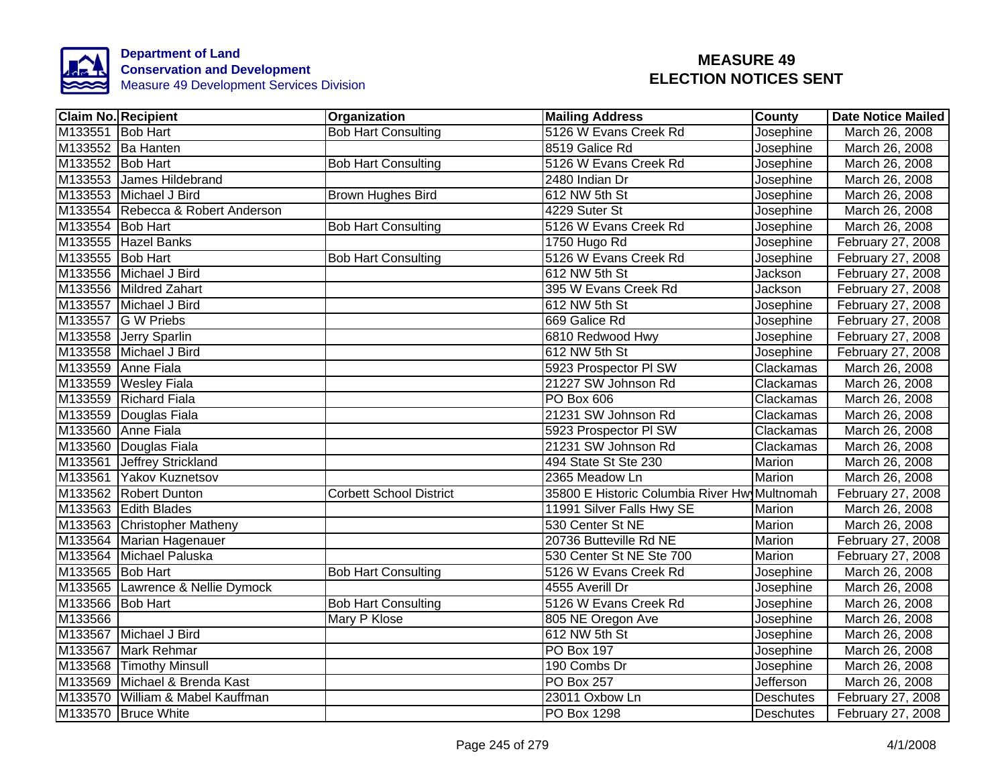

|                  | <b>Claim No. Recipient</b>        | Organization                   | <b>Mailing Address</b>                       | <b>County</b>    | <b>Date Notice Mailed</b> |
|------------------|-----------------------------------|--------------------------------|----------------------------------------------|------------------|---------------------------|
| M133551 Bob Hart |                                   | <b>Bob Hart Consulting</b>     | 5126 W Evans Creek Rd                        | Josephine        | March 26, 2008            |
|                  | M133552 Ba Hanten                 |                                | 8519 Galice Rd                               | Josephine        | March 26, 2008            |
| M133552 Bob Hart |                                   | <b>Bob Hart Consulting</b>     | 5126 W Evans Creek Rd                        | Josephine        | March 26, 2008            |
|                  | M133553 James Hildebrand          |                                | 2480 Indian Dr                               | Josephine        | March 26, 2008            |
|                  | M133553 Michael J Bird            | <b>Brown Hughes Bird</b>       | 612 NW 5th St                                | Josephine        | March 26, 2008            |
|                  | M133554 Rebecca & Robert Anderson |                                | 4229 Suter St                                | Josephine        | March 26, 2008            |
| M133554 Bob Hart |                                   | <b>Bob Hart Consulting</b>     | 5126 W Evans Creek Rd                        | Josephine        | March 26, 2008            |
|                  | M133555 Hazel Banks               |                                | 1750 Hugo Rd                                 | Josephine        | February 27, 2008         |
| M133555 Bob Hart |                                   | <b>Bob Hart Consulting</b>     | 5126 W Evans Creek Rd                        | Josephine        | February 27, 2008         |
|                  | M133556 Michael J Bird            |                                | 612 NW 5th St                                | Jackson          | February 27, 2008         |
|                  | M133556 Mildred Zahart            |                                | 395 W Evans Creek Rd                         | Jackson          | February 27, 2008         |
|                  | M133557 Michael J Bird            |                                | 612 NW 5th St                                | Josephine        | February 27, 2008         |
|                  | M133557 G W Priebs                |                                | 669 Galice Rd                                | Josephine        | February 27, 2008         |
|                  | M133558 Jerry Sparlin             |                                | 6810 Redwood Hwy                             | Josephine        | February 27, 2008         |
|                  | M133558 Michael J Bird            |                                | 612 NW 5th St                                | Josephine        | February 27, 2008         |
|                  | M133559 Anne Fiala                |                                | 5923 Prospector PI SW                        | Clackamas        | March 26, 2008            |
|                  | M133559 Wesley Fiala              |                                | 21227 SW Johnson Rd                          | Clackamas        | March 26, 2008            |
|                  | M133559 Richard Fiala             |                                | <b>PO Box 606</b>                            | Clackamas        | March 26, 2008            |
|                  | M133559 Douglas Fiala             |                                | 21231 SW Johnson Rd                          | Clackamas        | March 26, 2008            |
|                  | M133560 Anne Fiala                |                                | 5923 Prospector PI SW                        | Clackamas        | March 26, 2008            |
|                  | M133560 Douglas Fiala             |                                | 21231 SW Johnson Rd                          | Clackamas        | March 26, 2008            |
|                  | M133561 Jeffrey Strickland        |                                | 494 State St Ste 230                         | <b>Marion</b>    | March 26, 2008            |
|                  | M133561 Yakov Kuznetsov           |                                | 2365 Meadow Ln                               | <b>Marion</b>    | March 26, 2008            |
|                  | M133562 Robert Dunton             | <b>Corbett School District</b> | 35800 E Historic Columbia River Hw Multnomah |                  | February 27, 2008         |
|                  | M133563 Edith Blades              |                                | 11991 Silver Falls Hwy SE                    | Marion           | March 26, 2008            |
|                  | M133563 Christopher Matheny       |                                | 530 Center St NE                             | <b>Marion</b>    | March 26, 2008            |
|                  | M133564 Marian Hagenauer          |                                | 20736 Butteville Rd NE                       | <b>Marion</b>    | February 27, 2008         |
|                  | M133564 Michael Paluska           |                                | 530 Center St NE Ste 700                     | Marion           | February 27, 2008         |
| M133565 Bob Hart |                                   | <b>Bob Hart Consulting</b>     | 5126 W Evans Creek Rd                        | Josephine        | March 26, 2008            |
|                  | M133565 Lawrence & Nellie Dymock  |                                | 4555 Averill Dr                              | Josephine        | March 26, 2008            |
| M133566 Bob Hart |                                   | <b>Bob Hart Consulting</b>     | 5126 W Evans Creek Rd                        | Josephine        | March 26, 2008            |
| M133566          |                                   | Mary P Klose                   | 805 NE Oregon Ave                            | Josephine        | March 26, 2008            |
|                  | M133567 Michael J Bird            |                                | 612 NW 5th St                                | Josephine        | March 26, 2008            |
|                  | M133567 Mark Rehmar               |                                | <b>PO Box 197</b>                            | Josephine        | March 26, 2008            |
|                  | M133568 Timothy Minsull           |                                | 190 Combs Dr                                 | Josephine        | March 26, 2008            |
|                  | M133569 Michael & Brenda Kast     |                                | <b>PO Box 257</b>                            | Jefferson        | March 26, 2008            |
|                  | M133570 William & Mabel Kauffman  |                                | 23011 Oxbow Ln                               | Deschutes        | February 27, 2008         |
|                  | M133570 Bruce White               |                                | PO Box 1298                                  | <b>Deschutes</b> | February 27, 2008         |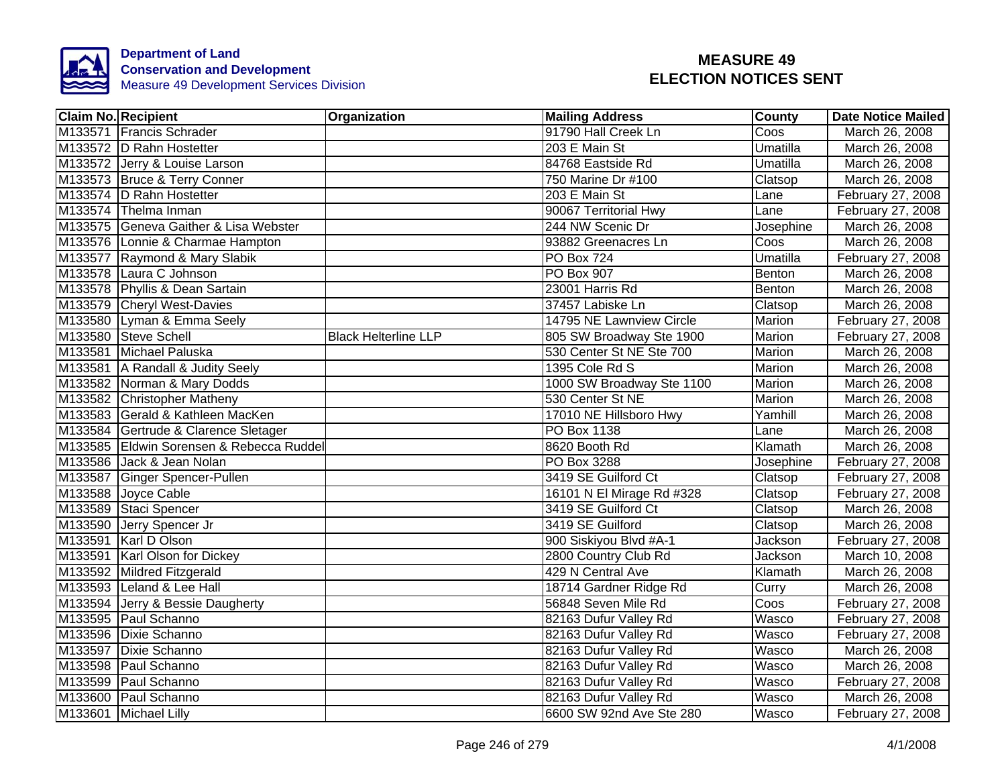

| <b>Claim No. Recipient</b>               | Organization                | <b>Mailing Address</b>    | County        | <b>Date Notice Mailed</b> |
|------------------------------------------|-----------------------------|---------------------------|---------------|---------------------------|
| M133571 Francis Schrader                 |                             | 91790 Hall Creek Ln       | Coos          | March 26, 2008            |
| M133572 D Rahn Hostetter                 |                             | 203 E Main St             | Umatilla      | March 26, 2008            |
| M133572 Jerry & Louise Larson            |                             | 84768 Eastside Rd         | Umatilla      | March 26, 2008            |
| M133573 Bruce & Terry Conner             |                             | 750 Marine Dr #100        | Clatsop       | March 26, 2008            |
| M133574 D Rahn Hostetter                 |                             | 203 E Main St             | Lane          | February 27, 2008         |
| M133574 Thelma Inman                     |                             | 90067 Territorial Hwy     | Lane          | February 27, 2008         |
| M133575 Geneva Gaither & Lisa Webster    |                             | 244 NW Scenic Dr          | Josephine     | March 26, 2008            |
| M133576 Lonnie & Charmae Hampton         |                             | 93882 Greenacres Ln       | Coos          | March 26, 2008            |
| M133577 Raymond & Mary Slabik            |                             | PO Box 724                | Umatilla      | February 27, 2008         |
| M133578 Laura C Johnson                  |                             | PO Box 907                | Benton        | March 26, 2008            |
| M133578 Phyllis & Dean Sartain           |                             | 23001 Harris Rd           | Benton        | March 26, 2008            |
| M133579 Cheryl West-Davies               |                             | 37457 Labiske Ln          | Clatsop       | March 26, 2008            |
| M133580 Lyman & Emma Seely               |                             | 14795 NE Lawnview Circle  | Marion        | February 27, 2008         |
| M133580 Steve Schell                     | <b>Black Helterline LLP</b> | 805 SW Broadway Ste 1900  | Marion        | February 27, 2008         |
| M133581 Michael Paluska                  |                             | 530 Center St NE Ste 700  | Marion        | March 26, 2008            |
| M133581 A Randall & Judity Seely         |                             | 1395 Cole Rd S            | <b>Marion</b> | March 26, 2008            |
| M133582 Norman & Mary Dodds              |                             | 1000 SW Broadway Ste 1100 | <b>Marion</b> | March 26, 2008            |
| M133582 Christopher Matheny              |                             | 530 Center St NE          | <b>Marion</b> | March 26, 2008            |
| M133583 Gerald & Kathleen MacKen         |                             | 17010 NE Hillsboro Hwy    | Yamhill       | March 26, 2008            |
| M133584 Gertrude & Clarence Sletager     |                             | PO Box 1138               | Lane          | March 26, 2008            |
| M133585 Eldwin Sorensen & Rebecca Ruddel |                             | 8620 Booth Rd             | Klamath       | March 26, 2008            |
| M133586 Jack & Jean Nolan                |                             | PO Box 3288               | Josephine     | February 27, 2008         |
| M133587 Ginger Spencer-Pullen            |                             | 3419 SE Guilford Ct       | Clatsop       | February 27, 2008         |
| M133588 Joyce Cable                      |                             | 16101 N El Mirage Rd #328 | Clatsop       | February 27, 2008         |
| M133589 Staci Spencer                    |                             | 3419 SE Guilford Ct       | Clatsop       | March 26, 2008            |
| M133590 Jerry Spencer Jr                 |                             | 3419 SE Guilford          | Clatsop       | March 26, 2008            |
| M133591 Karl D Olson                     |                             | 900 Siskiyou Blvd #A-1    | Jackson       | February 27, 2008         |
| M133591 Karl Olson for Dickey            |                             | 2800 Country Club Rd      | Jackson       | March 10, 2008            |
| M133592 Mildred Fitzgerald               |                             | 429 N Central Ave         | Klamath       | March 26, 2008            |
| M133593 Leland & Lee Hall                |                             | 18714 Gardner Ridge Rd    | Curry         | March 26, 2008            |
| M133594 Jerry & Bessie Daugherty         |                             | 56848 Seven Mile Rd       | Coos          | February 27, 2008         |
| M133595 Paul Schanno                     |                             | 82163 Dufur Valley Rd     | Wasco         | February 27, 2008         |
| M133596 Dixie Schanno                    |                             | 82163 Dufur Valley Rd     | Wasco         | February 27, 2008         |
| M133597 Dixie Schanno                    |                             | 82163 Dufur Valley Rd     | Wasco         | March 26, 2008            |
| M133598 Paul Schanno                     |                             | 82163 Dufur Valley Rd     | Wasco         | March 26, 2008            |
| M133599 Paul Schanno                     |                             | 82163 Dufur Valley Rd     | Wasco         | February 27, 2008         |
| M133600 Paul Schanno                     |                             | 82163 Dufur Valley Rd     | Wasco         | March 26, 2008            |
| M133601 Michael Lilly                    |                             | 6600 SW 92nd Ave Ste 280  | Wasco         | February 27, 2008         |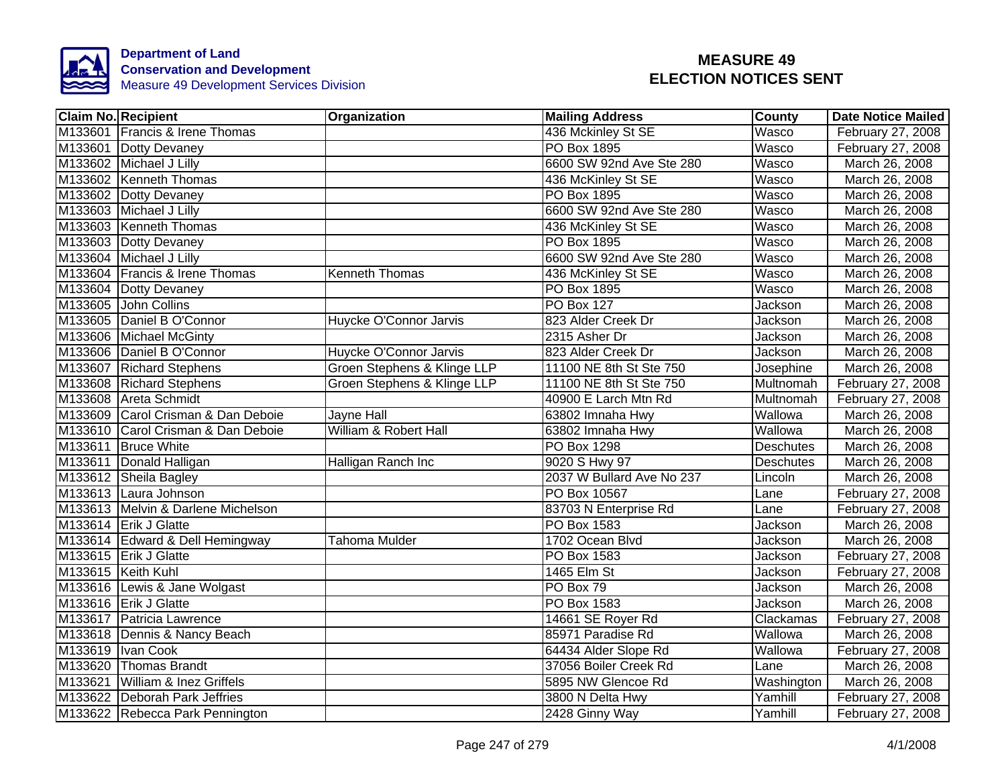

| <b>Claim No. Recipient</b>         | <b>Organization</b>         | <b>Mailing Address</b>    | County           | <b>Date Notice Mailed</b> |
|------------------------------------|-----------------------------|---------------------------|------------------|---------------------------|
| M133601 Francis & Irene Thomas     |                             | 436 Mckinley St SE        | Wasco            | February 27, 2008         |
| M133601 Dotty Devaney              |                             | <b>PO Box 1895</b>        | Wasco            | February 27, 2008         |
| M133602 Michael J Lilly            |                             | 6600 SW 92nd Ave Ste 280  | Wasco            | March 26, 2008            |
| M133602 Kenneth Thomas             |                             | 436 McKinley St SE        | Wasco            | March 26, 2008            |
| M133602 Dotty Devaney              |                             | PO Box 1895               | Wasco            | March 26, 2008            |
| M133603 Michael J Lilly            |                             | 6600 SW 92nd Ave Ste 280  | Wasco            | March 26, 2008            |
| M133603 Kenneth Thomas             |                             | 436 McKinley St SE        | Wasco            | March 26, 2008            |
| M133603 Dotty Devaney              |                             | <b>PO Box 1895</b>        | Wasco            | March 26, 2008            |
| M133604 Michael J Lilly            |                             | 6600 SW 92nd Ave Ste 280  | <b>Wasco</b>     | March 26, 2008            |
| M133604 Francis & Irene Thomas     | <b>Kenneth Thomas</b>       | 436 McKinley St SE        | Wasco            | March 26, 2008            |
| M133604 Dotty Devaney              |                             | PO Box 1895               | Wasco            | March 26, 2008            |
| M133605 John Collins               |                             | <b>PO Box 127</b>         | Jackson          | March 26, 2008            |
| M133605 Daniel B O'Connor          | Huycke O'Connor Jarvis      | 823 Alder Creek Dr        | Jackson          | March 26, 2008            |
| M133606 Michael McGinty            |                             | 2315 Asher Dr             | Jackson          | March 26, 2008            |
| M133606 Daniel B O'Connor          | Huycke O'Connor Jarvis      | 823 Alder Creek Dr        | Jackson          | March 26, 2008            |
| M133607 Richard Stephens           | Groen Stephens & Klinge LLP | 11100 NE 8th St Ste 750   | Josephine        | March 26, 2008            |
| M133608 Richard Stephens           | Groen Stephens & Klinge LLP | 11100 NE 8th St Ste 750   | Multnomah        | February 27, 2008         |
| M133608 Areta Schmidt              |                             | 40900 E Larch Mtn Rd      | Multnomah        | February 27, 2008         |
| M133609 Carol Crisman & Dan Deboie | <b>Jayne Hall</b>           | 63802 Imnaha Hwy          | Wallowa          | March 26, 2008            |
| M133610 Carol Crisman & Dan Deboie | William & Robert Hall       | 63802 Imnaha Hwy          | Wallowa          | March 26, 2008            |
| M133611 Bruce White                |                             | PO Box 1298               | <b>Deschutes</b> | March 26, 2008            |
| M133611 Donald Halligan            | Halligan Ranch Inc          | 9020 S Hwy 97             | <b>Deschutes</b> | March 26, 2008            |
| M133612 Sheila Bagley              |                             | 2037 W Bullard Ave No 237 | Lincoln          | March 26, 2008            |
| M133613 Laura Johnson              |                             | PO Box 10567              | Lane             | February 27, 2008         |
| M133613 Melvin & Darlene Michelson |                             | 83703 N Enterprise Rd     | Lane             | February 27, 2008         |
| M133614 Erik J Glatte              |                             | <b>PO Box 1583</b>        | <b>Jackson</b>   | March 26, 2008            |
| M133614 Edward & Dell Hemingway    | Tahoma Mulder               | 1702 Ocean Blvd           | Jackson          | March 26, 2008            |
| M133615 Erik J Glatte              |                             | PO Box 1583               | Jackson          | February 27, 2008         |
| M133615 Keith Kuhl                 |                             | 1465 Elm St               | Jackson          | February 27, 2008         |
| M133616 Lewis & Jane Wolgast       |                             | PO Box 79                 | Jackson          | March 26, 2008            |
| M133616 Erik J Glatte              |                             | PO Box 1583               | Jackson          | March 26, 2008            |
| M133617 Patricia Lawrence          |                             | 14661 SE Royer Rd         | Clackamas        | February 27, 2008         |
| M133618   Dennis & Nancy Beach     |                             | 85971 Paradise Rd         | Wallowa          | March 26, 2008            |
| M133619  Ivan Cook                 |                             | 64434 Alder Slope Rd      | Wallowa          | February 27, 2008         |
| M133620 Thomas Brandt              |                             | 37056 Boiler Creek Rd     | Lane             | March 26, 2008            |
| M133621 William & Inez Griffels    |                             | 5895 NW Glencoe Rd        | Washington       | March 26, 2008            |
| M133622 Deborah Park Jeffries      |                             | 3800 N Delta Hwy          | Yamhill          | February 27, 2008         |
| M133622 Rebecca Park Pennington    |                             | 2428 Ginny Way            | Yamhill          | February 27, 2008         |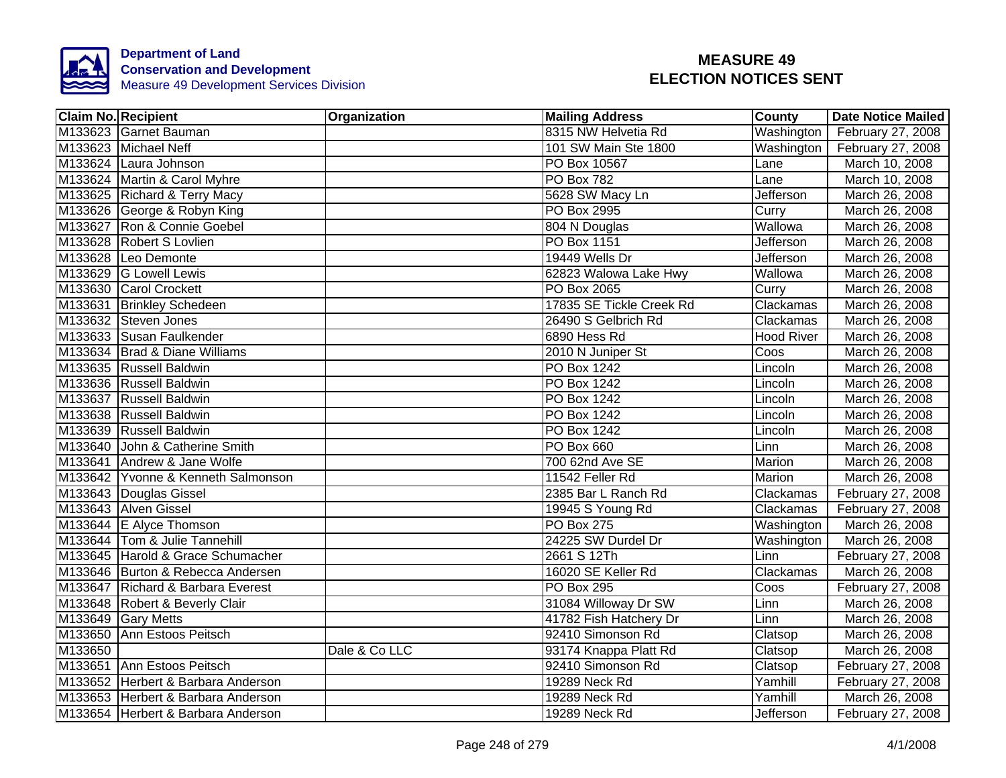

|         | <b>Claim No. Recipient</b>         | Organization  | <b>Mailing Address</b>   | County     | <b>Date Notice Mailed</b> |
|---------|------------------------------------|---------------|--------------------------|------------|---------------------------|
|         | M133623 Garnet Bauman              |               | 8315 NW Helvetia Rd      | Washington | February 27, 2008         |
|         | M133623 Michael Neff               |               | 101 SW Main Ste 1800     | Washington | February 27, 2008         |
|         | M133624 Laura Johnson              |               | PO Box 10567             | Lane       | March 10, 2008            |
|         | M133624 Martin & Carol Myhre       |               | PO Box 782               | Lane       | March 10, 2008            |
|         | M133625 Richard & Terry Macy       |               | 5628 SW Macy Ln          | Jefferson  | March 26, 2008            |
|         | M133626 George & Robyn King        |               | PO Box 2995              | Curry      | March 26, 2008            |
|         | M133627 Ron & Connie Goebel        |               | 804 N Douglas            | Wallowa    | March 26, 2008            |
|         | M133628 Robert S Lovlien           |               | PO Box 1151              | Jefferson  | March 26, 2008            |
|         | M133628 Leo Demonte                |               | 19449 Wells Dr           | Jefferson  | March 26, 2008            |
|         | M133629 G Lowell Lewis             |               | 62823 Walowa Lake Hwy    | Wallowa    | March 26, 2008            |
|         | M133630 Carol Crockett             |               | PO Box 2065              | Curry      | March 26, 2008            |
|         | M133631 Brinkley Schedeen          |               | 17835 SE Tickle Creek Rd | Clackamas  | March 26, 2008            |
|         | M133632 Steven Jones               |               | 26490 S Gelbrich Rd      | Clackamas  | March 26, 2008            |
|         | M133633 Susan Faulkender           |               | 6890 Hess Rd             | Hood River | March 26, 2008            |
|         | M133634 Brad & Diane Williams      |               | 2010 N Juniper St        | Coos       | March 26, 2008            |
|         | M133635 Russell Baldwin            |               | <b>PO Box 1242</b>       | Lincoln    | March 26, 2008            |
|         | M133636 Russell Baldwin            |               | <b>PO Box 1242</b>       | Lincoln    | March 26, 2008            |
|         | M133637 Russell Baldwin            |               | <b>PO Box 1242</b>       | Lincoln    | March 26, 2008            |
|         | M133638 Russell Baldwin            |               | PO Box 1242              | Lincoln    | March 26, 2008            |
|         | M133639 Russell Baldwin            |               | <b>PO Box 1242</b>       | Lincoln    | March 26, 2008            |
|         | M133640 John & Catherine Smith     |               | PO Box 660               | Linn       | March 26, 2008            |
|         | M133641 Andrew & Jane Wolfe        |               | 700 62nd Ave SE          | Marion     | March 26, 2008            |
|         | M133642 Yvonne & Kenneth Salmonson |               | 11542 Feller Rd          | Marion     | March 26, 2008            |
|         | M133643 Douglas Gissel             |               | 2385 Bar L Ranch Rd      | Clackamas  | February 27, 2008         |
|         | M133643 Alven Gissel               |               | 19945 S Young Rd         | Clackamas  | February 27, 2008         |
|         | M133644 E Alyce Thomson            |               | <b>PO Box 275</b>        | Washington | March 26, 2008            |
|         | M133644 Tom & Julie Tannehill      |               | 24225 SW Durdel Dr       | Washington | March 26, 2008            |
|         | M133645 Harold & Grace Schumacher  |               | 2661 S 12Th              | Linn       | February 27, 2008         |
|         | M133646 Burton & Rebecca Andersen  |               | 16020 SE Keller Rd       | Clackamas  | March 26, 2008            |
|         | M133647 Richard & Barbara Everest  |               | <b>PO Box 295</b>        | Coos       | February 27, 2008         |
|         | M133648 Robert & Beverly Clair     |               | 31084 Willoway Dr SW     | Linn       | March 26, 2008            |
|         | M133649 Gary Metts                 |               | 41782 Fish Hatchery Dr   | Linn       | March 26, 2008            |
|         | M133650 Ann Estoos Peitsch         |               | 92410 Simonson Rd        | Clatsop    | March 26, 2008            |
| M133650 |                                    | Dale & Co LLC | 93174 Knappa Platt Rd    | Clatsop    | March 26, 2008            |
|         | M133651 Ann Estoos Peitsch         |               | 92410 Simonson Rd        | Clatsop    | February 27, 2008         |
|         | M133652 Herbert & Barbara Anderson |               | 19289 Neck Rd            | Yamhill    | February 27, 2008         |
|         | M133653 Herbert & Barbara Anderson |               | 19289 Neck Rd            | Yamhill    | March 26, 2008            |
|         | M133654 Herbert & Barbara Anderson |               | 19289 Neck Rd            | Jefferson  | February 27, 2008         |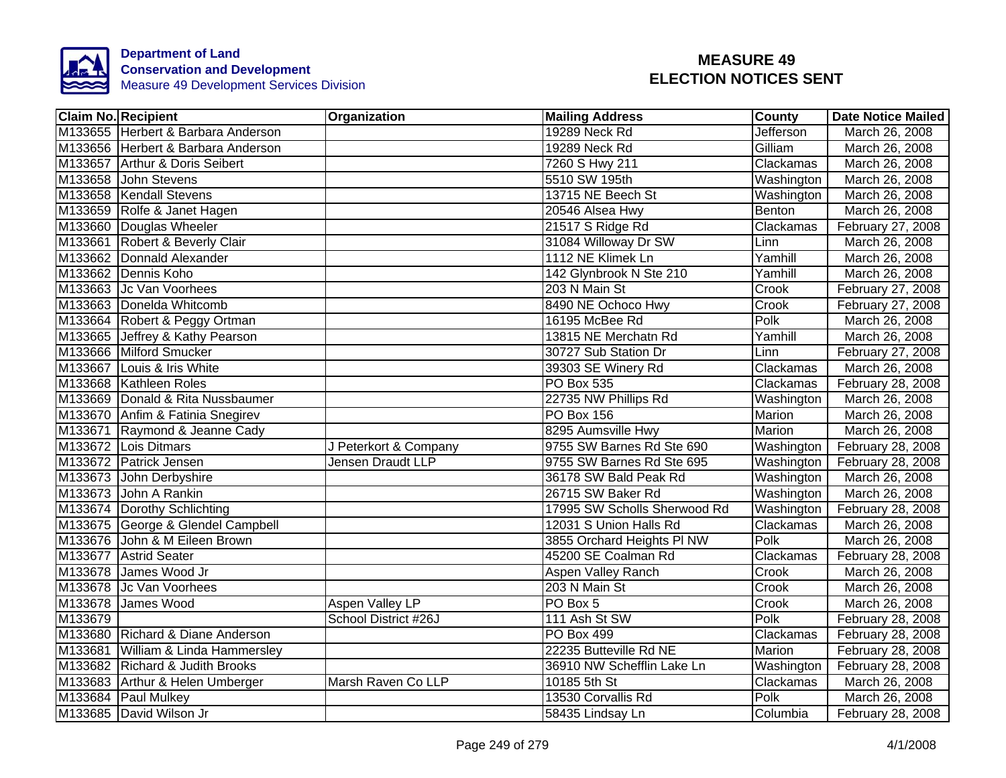

|         | <b>Claim No. Recipient</b>         | Organization          | <b>Mailing Address</b>       | County     | <b>Date Notice Mailed</b> |
|---------|------------------------------------|-----------------------|------------------------------|------------|---------------------------|
|         | M133655 Herbert & Barbara Anderson |                       | 19289 Neck Rd                | Jefferson  | March 26, 2008            |
|         | M133656 Herbert & Barbara Anderson |                       | 19289 Neck Rd                | Gilliam    | March 26, 2008            |
|         | M133657 Arthur & Doris Seibert     |                       | 7260 S Hwy 211               | Clackamas  | March 26, 2008            |
|         | M133658 John Stevens               |                       | 5510 SW 195th                | Washington | March 26, 2008            |
|         | M133658 Kendall Stevens            |                       | 13715 NE Beech St            | Washington | March 26, 2008            |
|         | M133659 Rolfe & Janet Hagen        |                       | 20546 Alsea Hwy              | Benton     | March 26, 2008            |
|         | M133660 Douglas Wheeler            |                       | 21517 S Ridge Rd             | Clackamas  | February 27, 2008         |
|         | M133661 Robert & Beverly Clair     |                       | 31084 Willoway Dr SW         | Linn       | March 26, 2008            |
|         | M133662 Donnald Alexander          |                       | 1112 NE Klimek Ln            | Yamhill    | March 26, 2008            |
|         | M133662 Dennis Koho                |                       | 142 Glynbrook N Ste 210      | Yamhill    | March 26, 2008            |
|         | M133663 Jc Van Voorhees            |                       | 203 N Main St                | Crook      | February 27, 2008         |
|         | M133663 Donelda Whitcomb           |                       | 8490 NE Ochoco Hwy           | Crook      | February 27, 2008         |
|         | M133664 Robert & Peggy Ortman      |                       | 16195 McBee Rd               | Polk       | March 26, 2008            |
|         | M133665 Jeffrey & Kathy Pearson    |                       | 13815 NE Merchatn Rd         | Yamhill    | March 26, 2008            |
|         | M133666 Milford Smucker            |                       | 30727 Sub Station Dr         | Linn       | February 27, 2008         |
|         | M133667 Louis & Iris White         |                       | 39303 SE Winery Rd           | Clackamas  | March 26, 2008            |
|         | M133668 Kathleen Roles             |                       | <b>PO Box 535</b>            | Clackamas  | February 28, 2008         |
|         | M133669 Donald & Rita Nussbaumer   |                       | 22735 NW Phillips Rd         | Washington | March 26, 2008            |
|         | M133670 Anfim & Fatinia Snegirev   |                       | <b>PO Box 156</b>            | Marion     | March 26, 2008            |
|         | M133671 Raymond & Jeanne Cady      |                       | 8295 Aumsville Hwy           | Marion     | March 26, 2008            |
|         | M133672 Lois Ditmars               | J Peterkort & Company | 9755 SW Barnes Rd Ste 690    | Washington | February 28, 2008         |
|         | M133672 Patrick Jensen             | Jensen Draudt LLP     | 9755 SW Barnes Rd Ste 695    | Washington | February 28, 2008         |
|         | M133673 John Derbyshire            |                       | 36178 SW Bald Peak Rd        | Washington | March 26, 2008            |
|         | M133673 John A Rankin              |                       | 26715 SW Baker Rd            | Washington | March 26, 2008            |
|         | M133674 Dorothy Schlichting        |                       | 17995 SW Scholls Sherwood Rd | Washington | February 28, 2008         |
|         | M133675 George & Glendel Campbell  |                       | 12031 S Union Halls Rd       | Clackamas  | March 26, 2008            |
|         | M133676 John & M Eileen Brown      |                       | 3855 Orchard Heights PI NW   | Polk       | March 26, 2008            |
|         | M133677 Astrid Seater              |                       | 45200 SE Coalman Rd          | Clackamas  | February 28, 2008         |
|         | M133678 James Wood Jr              |                       | Aspen Valley Ranch           | Crook      | March 26, 2008            |
|         | M133678 Jc Van Voorhees            |                       | 203 N Main St                | Crook      | March 26, 2008            |
|         | M133678 James Wood                 | Aspen Valley LP       | PO Box 5                     | Crook      | March 26, 2008            |
| M133679 |                                    | School District #26J  | 111 Ash St SW                | Polk       | February 28, 2008         |
|         | M133680 Richard & Diane Anderson   |                       | PO Box 499                   | Clackamas  | February 28, 2008         |
|         | M133681 William & Linda Hammersley |                       | 22235 Butteville Rd NE       | Marion     | February 28, 2008         |
|         | M133682 Richard & Judith Brooks    |                       | 36910 NW Schefflin Lake Ln   | Washington | February 28, 2008         |
|         | M133683 Arthur & Helen Umberger    | Marsh Raven Co LLP    | 10185 5th St                 | Clackamas  | March 26, 2008            |
|         | M133684 Paul Mulkey                |                       | 13530 Corvallis Rd           | Polk       | March 26, 2008            |
|         | M133685 David Wilson Jr            |                       | 58435 Lindsay Ln             | Columbia   | February 28, 2008         |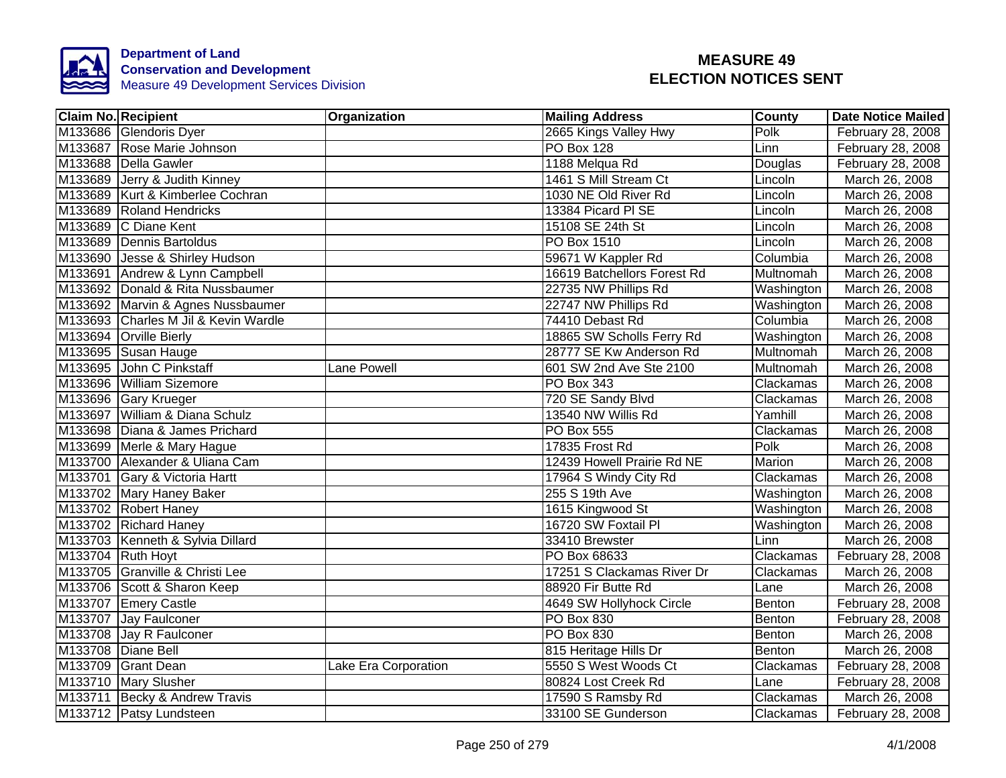

| <b>Claim No. Recipient</b>           | Organization         | <b>Mailing Address</b>      | <b>County</b>    | <b>Date Notice Mailed</b> |
|--------------------------------------|----------------------|-----------------------------|------------------|---------------------------|
| M133686 Glendoris Dyer               |                      | 2665 Kings Valley Hwy       | Polk             | February 28, 2008         |
| M133687 Rose Marie Johnson           |                      | <b>PO Box 128</b>           | Linn             | February 28, 2008         |
| M133688 Della Gawler                 |                      | 1188 Melqua Rd              | Douglas          | February 28, 2008         |
| M133689 Jerry & Judith Kinney        |                      | 1461 S Mill Stream Ct       | Lincoln          | March 26, 2008            |
| M133689 Kurt & Kimberlee Cochran     |                      | 1030 NE Old River Rd        | Lincoln          | March 26, 2008            |
| M133689 Roland Hendricks             |                      | 13384 Picard PI SE          | Lincoln          | March 26, 2008            |
| M133689 C Diane Kent                 |                      | 15108 SE 24th St            | Lincoln          | March 26, 2008            |
| M133689 Dennis Bartoldus             |                      | PO Box 1510                 | Lincoln          | March 26, 2008            |
| M133690 Jesse & Shirley Hudson       |                      | 59671 W Kappler Rd          | Columbia         | March 26, 2008            |
| M133691 Andrew & Lynn Campbell       |                      | 16619 Batchellors Forest Rd | Multnomah        | March 26, 2008            |
| M133692 Donald & Rita Nussbaumer     |                      | 22735 NW Phillips Rd        | Washington       | March 26, 2008            |
| M133692 Marvin & Agnes Nussbaumer    |                      | 22747 NW Phillips Rd        | Washington       | March 26, 2008            |
| M133693 Charles M Jil & Kevin Wardle |                      | 74410 Debast Rd             | Columbia         | March 26, 2008            |
| M133694 Orville Bierly               |                      | 18865 SW Scholls Ferry Rd   | Washington       | March 26, 2008            |
| M133695 Susan Hauge                  |                      | 28777 SE Kw Anderson Rd     | Multnomah        | March 26, 2008            |
| M133695 John C Pinkstaff             | Lane Powell          | 601 SW 2nd Ave Ste 2100     | Multnomah        | March 26, 2008            |
| M133696 William Sizemore             |                      | <b>PO Box 343</b>           | <b>Clackamas</b> | March 26, 2008            |
| M133696 Gary Krueger                 |                      | 720 SE Sandy Blvd           | Clackamas        | March 26, 2008            |
| M133697 William & Diana Schulz       |                      | 13540 NW Willis Rd          | Yamhill          | March 26, 2008            |
| M133698 Diana & James Prichard       |                      | <b>PO Box 555</b>           | Clackamas        | March 26, 2008            |
| M133699 Merle & Mary Hague           |                      | 17835 Frost Rd              | Polk             | March 26, 2008            |
| M133700 Alexander & Uliana Cam       |                      | 12439 Howell Prairie Rd NE  | <b>Marion</b>    | March 26, 2008            |
| M133701 Gary & Victoria Hartt        |                      | 17964 S Windy City Rd       | Clackamas        | March 26, 2008            |
| M133702 Mary Haney Baker             |                      | 255 S 19th Ave              | Washington       | March 26, 2008            |
| M133702 Robert Haney                 |                      | 1615 Kingwood St            | Washington       | March 26, 2008            |
| M133702 Richard Haney                |                      | 16720 SW Foxtail Pl         | Washington       | March 26, 2008            |
| M133703 Kenneth & Sylvia Dillard     |                      | 33410 Brewster              | Linn             | March 26, 2008            |
| M133704 Ruth Hoyt                    |                      | PO Box 68633                | Clackamas        | February 28, 2008         |
| M133705 Granville & Christi Lee      |                      | 17251 S Clackamas River Dr  | Clackamas        | March 26, 2008            |
| M133706 Scott & Sharon Keep          |                      | 88920 Fir Butte Rd          | Lane             | March 26, 2008            |
| M133707 Emery Castle                 |                      | 4649 SW Hollyhock Circle    | Benton           | February 28, 2008         |
| M133707 Jay Faulconer                |                      | PO Box 830                  | Benton           | February 28, 2008         |
| M133708 Jay R Faulconer              |                      | PO Box 830                  | Benton           | March 26, 2008            |
| M133708 Diane Bell                   |                      | 815 Heritage Hills Dr       | Benton           | March 26, 2008            |
| M133709 Grant Dean                   | Lake Era Corporation | 5550 S West Woods Ct        | Clackamas        | February 28, 2008         |
| M133710 Mary Slusher                 |                      | 80824 Lost Creek Rd         | Lane             | February 28, 2008         |
| M133711 Becky & Andrew Travis        |                      | 17590 S Ramsby Rd           | Clackamas        | March 26, 2008            |
| M133712   Patsy Lundsteen            |                      | 33100 SE Gunderson          | Clackamas        | February 28, 2008         |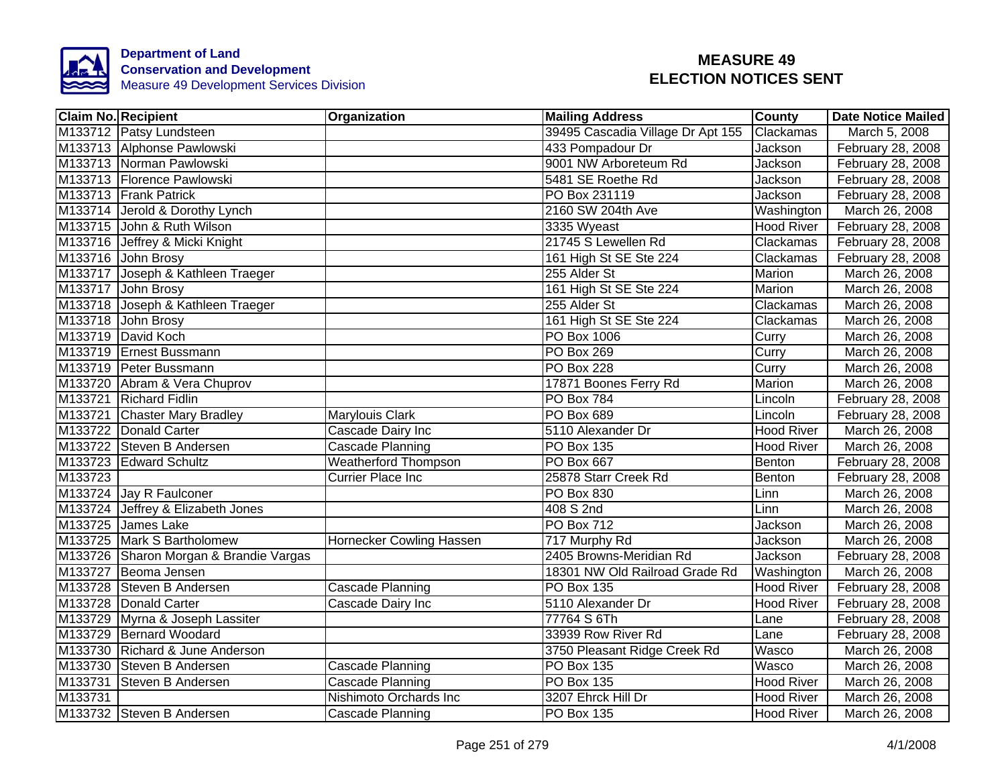

|         | <b>Claim No. Recipient</b>             | <b>Organization</b>         | <b>Mailing Address</b>            | <b>County</b>     | <b>Date Notice Mailed</b> |
|---------|----------------------------------------|-----------------------------|-----------------------------------|-------------------|---------------------------|
|         | M133712 Patsy Lundsteen                |                             | 39495 Cascadia Village Dr Apt 155 | Clackamas         | March 5, 2008             |
|         | M133713 Alphonse Pawlowski             |                             | 433 Pompadour Dr                  | Jackson           | February 28, 2008         |
|         | M133713 Norman Pawlowski               |                             | 9001 NW Arboreteum Rd             | <b>Jackson</b>    | February 28, 2008         |
|         | M133713 Florence Pawlowski             |                             | 5481 SE Roethe Rd                 | Jackson           | February 28, 2008         |
|         | M133713 Frank Patrick                  |                             | PO Box 231119                     | Jackson           | February 28, 2008         |
|         | M133714 Jerold & Dorothy Lynch         |                             | 2160 SW 204th Ave                 | Washington        | March 26, 2008            |
|         | M133715 John & Ruth Wilson             |                             | 3335 Wyeast                       | <b>Hood River</b> | February 28, 2008         |
|         | M133716 Jeffrey & Micki Knight         |                             | 21745 S Lewellen Rd               | Clackamas         | February 28, 2008         |
|         | M133716 John Brosy                     |                             | 161 High St SE Ste 224            | Clackamas         | February 28, 2008         |
|         | M133717 Joseph & Kathleen Traeger      |                             | 255 Alder St                      | Marion            | March 26, 2008            |
|         | M133717 John Brosy                     |                             | 161 High St SE Ste 224            | Marion            | March 26, 2008            |
|         | M133718 Joseph & Kathleen Traeger      |                             | 255 Alder St                      | Clackamas         | March 26, 2008            |
|         | M133718 John Brosy                     |                             | 161 High St SE Ste 224            | Clackamas         | March 26, 2008            |
|         | M133719 David Koch                     |                             | PO Box 1006                       | Curry             | March 26, 2008            |
|         | M133719 Ernest Bussmann                |                             | PO Box 269                        | Curry             | March 26, 2008            |
|         | M133719 Peter Bussmann                 |                             | PO Box 228                        | Curry             | March 26, 2008            |
|         | M133720 Abram & Vera Chuprov           |                             | 17871 Boones Ferry Rd             | Marion            | March 26, 2008            |
|         | M133721 Richard Fidlin                 |                             | <b>PO Box 784</b>                 | Lincoln           | February 28, 2008         |
|         | M133721 Chaster Mary Bradley           | Marylouis Clark             | <b>PO Box 689</b>                 | Lincoln           | February 28, 2008         |
|         | M133722 Donald Carter                  | Cascade Dairy Inc           | 5110 Alexander Dr                 | <b>Hood River</b> | March 26, 2008            |
|         | M133722 Steven B Andersen              | Cascade Planning            | PO Box 135                        | <b>Hood River</b> | March 26, 2008            |
|         | M133723 Edward Schultz                 | <b>Weatherford Thompson</b> | <b>PO Box 667</b>                 | Benton            | February 28, 2008         |
| M133723 |                                        | <b>Currier Place Inc</b>    | 25878 Starr Creek Rd              | Benton            | February 28, 2008         |
|         | M133724 Jay R Faulconer                |                             | <b>PO Box 830</b>                 | Linn              | March 26, 2008            |
|         | M133724 Jeffrey & Elizabeth Jones      |                             | 408 S 2nd                         | Linn              | March 26, 2008            |
|         | M133725 James Lake                     |                             | PO Box 712                        | Jackson           | March 26, 2008            |
|         | M133725 Mark S Bartholomew             | Hornecker Cowling Hassen    | 717 Murphy Rd                     | Jackson           | March 26, 2008            |
|         | M133726 Sharon Morgan & Brandie Vargas |                             | 2405 Browns-Meridian Rd           | <b>Jackson</b>    | February 28, 2008         |
|         | M133727 Beoma Jensen                   |                             | 18301 NW Old Railroad Grade Rd    | Washington        | March 26, 2008            |
|         | M133728 Steven B Andersen              | Cascade Planning            | PO Box 135                        | <b>Hood River</b> | February 28, 2008         |
|         | M133728 Donald Carter                  | Cascade Dairy Inc           | 5110 Alexander Dr                 | <b>Hood River</b> | February 28, 2008         |
|         | M133729 Myrna & Joseph Lassiter        |                             | 77764 S 6Th                       | Lane              | February 28, 2008         |
|         | M133729 Bernard Woodard                |                             | 33939 Row River Rd                | Lane              | February 28, 2008         |
|         | M133730 Richard & June Anderson        |                             | 3750 Pleasant Ridge Creek Rd      | Wasco             | March 26, 2008            |
|         | M133730 Steven B Andersen              | Cascade Planning            | PO Box 135                        | <b>Wasco</b>      | March 26, 2008            |
|         | M133731 Steven B Andersen              | Cascade Planning            | PO Box 135                        | Hood River        | March 26, 2008            |
| M133731 |                                        | Nishimoto Orchards Inc      | 3207 Ehrck Hill Dr                | <b>Hood River</b> | March 26, 2008            |
|         | M133732 Steven B Andersen              | Cascade Planning            | <b>PO Box 135</b>                 | <b>Hood River</b> | March 26, 2008            |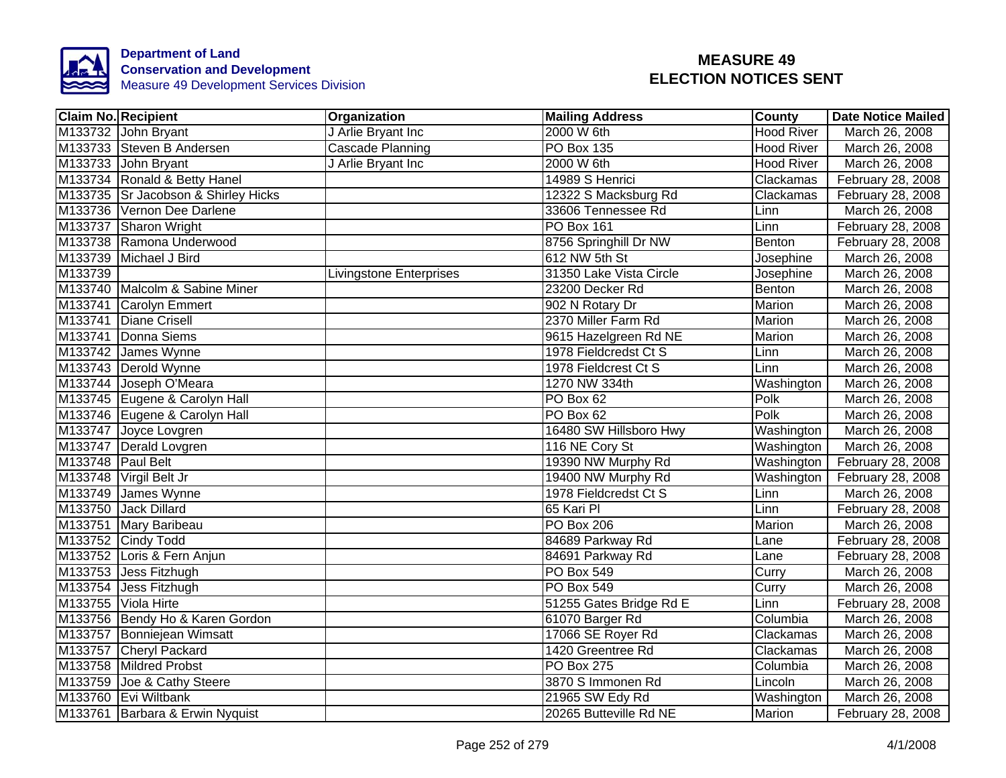

|                   | <b>Claim No. Recipient</b>          | Organization                   | <b>Mailing Address</b>  | County            | <b>Date Notice Mailed</b> |
|-------------------|-------------------------------------|--------------------------------|-------------------------|-------------------|---------------------------|
|                   | M133732 John Bryant                 | J Arlie Bryant Inc             | 2000 W 6th              | <b>Hood River</b> | March 26, 2008            |
|                   | M133733 Steven B Andersen           | <b>Cascade Planning</b>        | <b>PO Box 135</b>       | <b>Hood River</b> | March 26, 2008            |
|                   | M133733 John Bryant                 | J Arlie Bryant Inc             | 2000 W 6th              | <b>Hood River</b> | March 26, 2008            |
|                   | M133734 Ronald & Betty Hanel        |                                | 14989 S Henrici         | Clackamas         | February 28, 2008         |
|                   | M133735 Sr Jacobson & Shirley Hicks |                                | 12322 S Macksburg Rd    | Clackamas         | February 28, 2008         |
|                   | M133736 Vernon Dee Darlene          |                                | 33606 Tennessee Rd      | Linn              | March 26, 2008            |
|                   | M133737 Sharon Wright               |                                | <b>PO Box 161</b>       | Linn              | February 28, 2008         |
|                   | M133738 Ramona Underwood            |                                | 8756 Springhill Dr NW   | Benton            | February 28, 2008         |
|                   | M133739 Michael J Bird              |                                | 612 NW 5th St           | Josephine         | March 26, 2008            |
| M133739           |                                     | <b>Livingstone Enterprises</b> | 31350 Lake Vista Circle | Josephine         | March 26, 2008            |
|                   | M133740 Malcolm & Sabine Miner      |                                | 23200 Decker Rd         | Benton            | March 26, 2008            |
|                   | M133741 Carolyn Emmert              |                                | 902 N Rotary Dr         | Marion            | March 26, 2008            |
|                   | M133741 Diane Crisell               |                                | 2370 Miller Farm Rd     | Marion            | March 26, 2008            |
|                   | M133741 Donna Siems                 |                                | 9615 Hazelgreen Rd NE   | Marion            | March 26, 2008            |
|                   | M133742 James Wynne                 |                                | 1978 Fieldcredst Ct S   | Linn              | March 26, 2008            |
|                   | M133743 Derold Wynne                |                                | 1978 Fieldcrest Ct S    | Linn              | March 26, 2008            |
|                   | M133744 Joseph O'Meara              |                                | 1270 NW 334th           | Washington        | March 26, 2008            |
|                   | M133745 Eugene & Carolyn Hall       |                                | PO Box 62               | Polk              | March 26, 2008            |
|                   | M133746 Eugene & Carolyn Hall       |                                | PO Box 62               | Polk              | March 26, 2008            |
|                   | M133747 Joyce Lovgren               |                                | 16480 SW Hillsboro Hwy  | Washington        | March 26, 2008            |
|                   | M133747 Derald Lovgren              |                                | 116 NE Cory St          | Washington        | March 26, 2008            |
| M133748 Paul Belt |                                     |                                | 19390 NW Murphy Rd      | Washington        | February 28, 2008         |
|                   | M133748 Virgil Belt Jr              |                                | 19400 NW Murphy Rd      | Washington        | February 28, 2008         |
|                   | M133749 James Wynne                 |                                | 1978 Fieldcredst Ct S   | Linn              | March 26, 2008            |
|                   | M133750 Jack Dillard                |                                | 65 Kari Pl              | Linn              | February 28, 2008         |
|                   | M133751 Mary Baribeau               |                                | <b>PO Box 206</b>       | <b>Marion</b>     | March 26, 2008            |
|                   | M133752 Cindy Todd                  |                                | 84689 Parkway Rd        | Lane              | February 28, 2008         |
|                   | M133752 Loris & Fern Anjun          |                                | 84691 Parkway Rd        | Lane              | February 28, 2008         |
|                   | M133753 Jess Fitzhugh               |                                | <b>PO Box 549</b>       | Curry             | March 26, 2008            |
|                   | M133754 Jess Fitzhugh               |                                | <b>PO Box 549</b>       | Curry             | March 26, 2008            |
|                   | M133755 Viola Hirte                 |                                | 51255 Gates Bridge Rd E | Linn              | February 28, 2008         |
|                   | M133756 Bendy Ho & Karen Gordon     |                                | 61070 Barger Rd         | Columbia          | March 26, 2008            |
|                   | M133757 Bonniejean Wimsatt          |                                | 17066 SE Royer Rd       | Clackamas         | March 26, 2008            |
|                   | M133757 Cheryl Packard              |                                | 1420 Greentree Rd       | Clackamas         | March 26, 2008            |
|                   | M133758 Mildred Probst              |                                | PO Box 275              | Columbia          | March 26, 2008            |
|                   | M133759 Joe & Cathy Steere          |                                | 3870 S Immonen Rd       | Lincoln           | March 26, 2008            |
|                   | M133760 Evi Wiltbank                |                                | 21965 SW Edy Rd         | Washington        | March 26, 2008            |
|                   | M133761 Barbara & Erwin Nyquist     |                                | 20265 Butteville Rd NE  | Marion            | February 28, 2008         |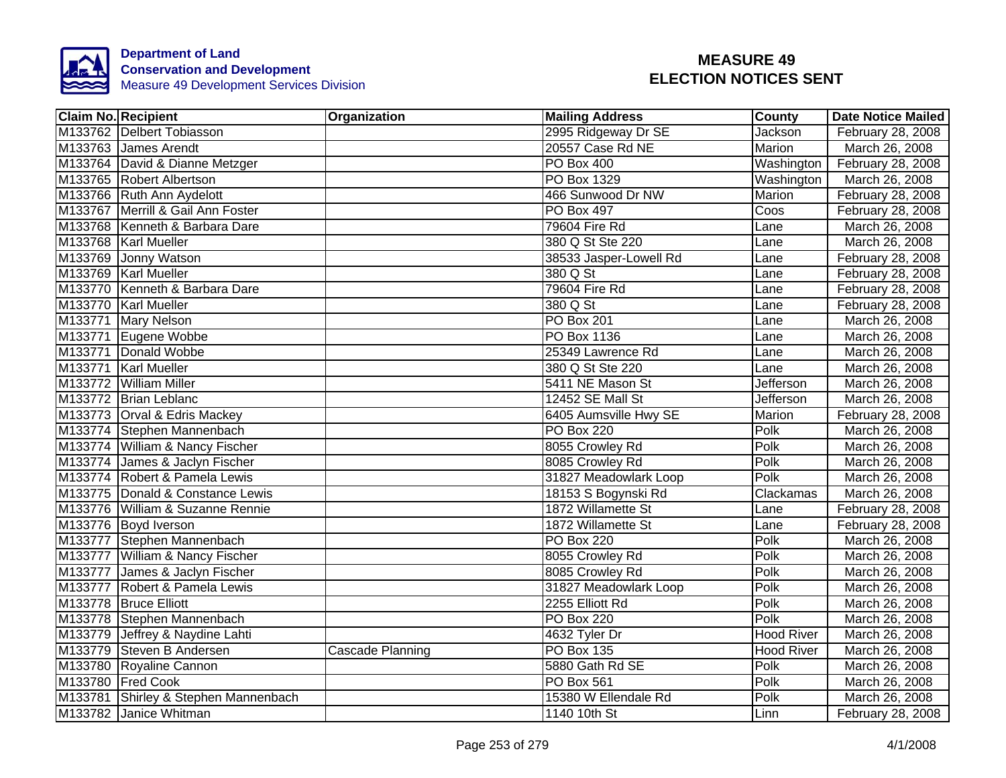

| <b>Claim No. Recipient</b>           | Organization     | <b>Mailing Address</b> | <b>County</b>     | Date Notice Mailed             |
|--------------------------------------|------------------|------------------------|-------------------|--------------------------------|
| M133762 Delbert Tobiasson            |                  | 2995 Ridgeway Dr SE    | Jackson           | February 28, 2008              |
| M133763 James Arendt                 |                  | 20557 Case Rd NE       | Marion            | March 26, 2008                 |
| M133764 David & Dianne Metzger       |                  | PO Box 400             |                   | Washington   February 28, 2008 |
| M133765 Robert Albertson             |                  | PO Box 1329            | Washington        | March 26, 2008                 |
| M133766 Ruth Ann Aydelott            |                  | 466 Sunwood Dr NW      | Marion            | February 28, 2008              |
| M133767 Merrill & Gail Ann Foster    |                  | PO Box 497             | Coos              | February 28, 2008              |
| M133768 Kenneth & Barbara Dare       |                  | 79604 Fire Rd          | Lane              | March 26, 2008                 |
| M133768 Karl Mueller                 |                  | 380 Q St Ste 220       | Lane              | March 26, 2008                 |
| M133769 Jonny Watson                 |                  | 38533 Jasper-Lowell Rd | Lane              | February 28, 2008              |
| M133769 Karl Mueller                 |                  | 380 Q St               | Lane              | February 28, 2008              |
| M133770 Kenneth & Barbara Dare       |                  | 79604 Fire Rd          | Lane              | February 28, 2008              |
| M133770 Karl Mueller                 |                  | 380 Q St               | Lane              | February 28, 2008              |
| M133771 Mary Nelson                  |                  | PO Box 201             | Lane              | March 26, 2008                 |
| M133771 Eugene Wobbe                 |                  | PO Box 1136            | Lane              | March 26, 2008                 |
| M133771 Donald Wobbe                 |                  | 25349 Lawrence Rd      | Lane              | March 26, 2008                 |
| M133771 Karl Mueller                 |                  | 380 Q St Ste 220       | Lane              | March 26, 2008                 |
| M133772 William Miller               |                  | 5411 NE Mason St       | <b>Jefferson</b>  | March 26, 2008                 |
| M133772 Brian Leblanc                |                  | 12452 SE Mall St       | <b>Jefferson</b>  | March 26, 2008                 |
| M133773 Orval & Edris Mackey         |                  | 6405 Aumsville Hwy SE  | Marion            | February 28, 2008              |
| M133774 Stephen Mannenbach           |                  | PO Box 220             | Polk              | March 26, 2008                 |
| M133774 William & Nancy Fischer      |                  | 8055 Crowley Rd        | Polk              | March 26, 2008                 |
| M133774 James & Jaclyn Fischer       |                  | 8085 Crowley Rd        | Polk              | March 26, 2008                 |
| M133774 Robert & Pamela Lewis        |                  | 31827 Meadowlark Loop  | Polk              | March 26, 2008                 |
| M133775 Donald & Constance Lewis     |                  | 18153 S Bogynski Rd    | Clackamas         | March 26, 2008                 |
| M133776 William & Suzanne Rennie     |                  | 1872 Willamette St     | Lane              | February 28, 2008              |
| M133776 Boyd Iverson                 |                  | 1872 Willamette St     | Lane              | February 28, 2008              |
| M133777 Stephen Mannenbach           |                  | <b>PO Box 220</b>      | Polk              | March 26, 2008                 |
| M133777 William & Nancy Fischer      |                  | 8055 Crowley Rd        | Polk              | March 26, 2008                 |
| M133777 James & Jaclyn Fischer       |                  | 8085 Crowley Rd        | Polk              | March 26, 2008                 |
| M133777 Robert & Pamela Lewis        |                  | 31827 Meadowlark Loop  | Polk              | March 26, 2008                 |
| M133778 Bruce Elliott                |                  | 2255 Elliott Rd        | Polk              | March 26, 2008                 |
| M133778 Stephen Mannenbach           |                  | <b>PO Box 220</b>      | Polk              | March 26, 2008                 |
| M133779 Jeffrey & Naydine Lahti      |                  | 4632 Tyler Dr          | <b>Hood River</b> | March 26, 2008                 |
| M133779 Steven B Andersen            | Cascade Planning | PO Box 135             | <b>Hood River</b> | March 26, 2008                 |
| M133780 Royaline Cannon              |                  | 5880 Gath Rd SE        | Polk              | March 26, 2008                 |
| M133780 Fred Cook                    |                  | PO Box 561             | Polk              | March 26, 2008                 |
| M133781 Shirley & Stephen Mannenbach |                  | 15380 W Ellendale Rd   | Polk              | March 26, 2008                 |
| M133782 Janice Whitman               |                  | 1140 10th St           | Linn              | February 28, 2008              |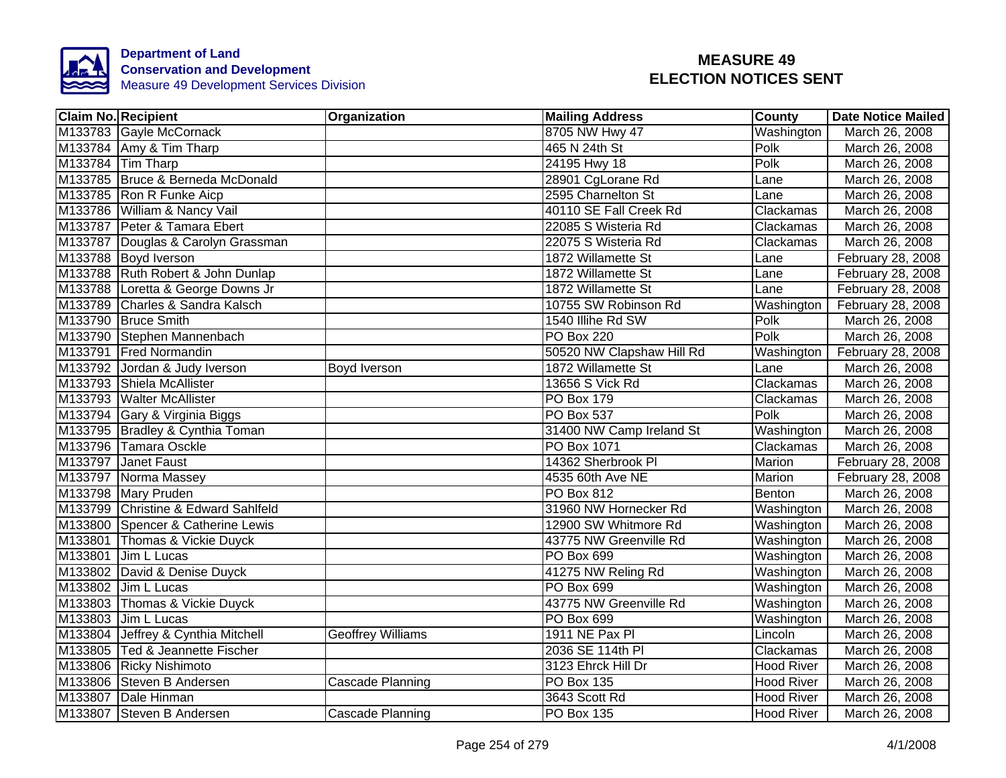

| <b>Claim No. Recipient</b>          | Organization             | <b>Mailing Address</b>    | <b>County</b>     | <b>Date Notice Mailed</b> |
|-------------------------------------|--------------------------|---------------------------|-------------------|---------------------------|
| M133783 Gayle McCornack             |                          | 8705 NW Hwy 47            | Washington        | March 26, 2008            |
| M133784 Amy & Tim Tharp             |                          | 465 N 24th St             | Polk              | March 26, 2008            |
| M133784 Tim Tharp                   |                          | 24195 Hwy 18              | Polk              | March 26, 2008            |
| M133785 Bruce & Berneda McDonald    |                          | 28901 CgLorane Rd         | Lane              | March 26, 2008            |
| M133785 Ron R Funke Aicp            |                          | 2595 Charnelton St        | Lane              | March 26, 2008            |
| M133786 William & Nancy Vail        |                          | 40110 SE Fall Creek Rd    | Clackamas         | March 26, 2008            |
| M133787 Peter & Tamara Ebert        |                          | 22085 S Wisteria Rd       | Clackamas         | March 26, 2008            |
| M133787 Douglas & Carolyn Grassman  |                          | 22075 S Wisteria Rd       | Clackamas         | March 26, 2008            |
| M133788 Boyd Iverson                |                          | 1872 Willamette St        | Lane              | February 28, 2008         |
| M133788 Ruth Robert & John Dunlap   |                          | 1872 Willamette St        | Lane              | February 28, 2008         |
| M133788 Loretta & George Downs Jr   |                          | 1872 Willamette St        | Lane              | February 28, 2008         |
| M133789 Charles & Sandra Kalsch     |                          | 10755 SW Robinson Rd      | Washington        | February 28, 2008         |
| M133790 Bruce Smith                 |                          | 1540 Illihe Rd SW         | Polk              | March 26, 2008            |
| M133790 Stephen Mannenbach          |                          | <b>PO Box 220</b>         | Polk              | March 26, 2008            |
| M133791 Fred Normandin              |                          | 50520 NW Clapshaw Hill Rd | Washington        | February 28, 2008         |
| M133792 Jordan & Judy Iverson       | Boyd Iverson             | 1872 Willamette St        | Lane              | March 26, 2008            |
| M133793 Shiela McAllister           |                          | 13656 S Vick Rd           | Clackamas         | March 26, 2008            |
| M133793 Walter McAllister           |                          | <b>PO Box 179</b>         | Clackamas         | March 26, 2008            |
| M133794 Gary & Virginia Biggs       |                          | <b>PO Box 537</b>         | Polk              | March 26, 2008            |
| M133795 Bradley & Cynthia Toman     |                          | 31400 NW Camp Ireland St  | Washington        | March 26, 2008            |
| M133796 Tamara Osckle               |                          | <b>PO Box 1071</b>        | Clackamas         | March 26, 2008            |
| M133797 Janet Faust                 |                          | 14362 Sherbrook Pl        | Marion            | February 28, 2008         |
| M133797 Norma Massey                |                          | 4535 60th Ave NE          | Marion            | February 28, 2008         |
| M133798 Mary Pruden                 |                          | <b>PO Box 812</b>         | Benton            | March 26, 2008            |
| M133799 Christine & Edward Sahlfeld |                          | 31960 NW Hornecker Rd     | Washington        | March 26, 2008            |
| M133800 Spencer & Catherine Lewis   |                          | 12900 SW Whitmore Rd      | Washington        | March 26, 2008            |
| M133801 Thomas & Vickie Duyck       |                          | 43775 NW Greenville Rd    | Washington        | March 26, 2008            |
| M133801 Jim L Lucas                 |                          | PO Box 699                | Washington        | March 26, 2008            |
| M133802 David & Denise Duyck        |                          | 41275 NW Reling Rd        | Washington        | March 26, 2008            |
| M133802 Jim L Lucas                 |                          | PO Box 699                | Washington        | March 26, 2008            |
| M133803 Thomas & Vickie Duyck       |                          | 43775 NW Greenville Rd    | Washington        | March 26, 2008            |
| M133803 Jim L Lucas                 |                          | PO Box 699                | Washington        | March 26, 2008            |
| M133804 Jeffrey & Cynthia Mitchell  | <b>Geoffrey Williams</b> | 1911 NE Pax PI            | Lincoln           | March 26, 2008            |
| M133805 Ted & Jeannette Fischer     |                          | 2036 SE 114th PI          | Clackamas         | March 26, 2008            |
| M133806 Ricky Nishimoto             |                          | 3123 Ehrck Hill Dr        | <b>Hood River</b> | March 26, 2008            |
| M133806 Steven B Andersen           | Cascade Planning         | PO Box 135                | <b>Hood River</b> | March 26, 2008            |
| M133807 Dale Hinman                 |                          | 3643 Scott Rd             | <b>Hood River</b> | March 26, 2008            |
| M133807 Steven B Andersen           | Cascade Planning         | PO Box 135                | <b>Hood River</b> | March 26, 2008            |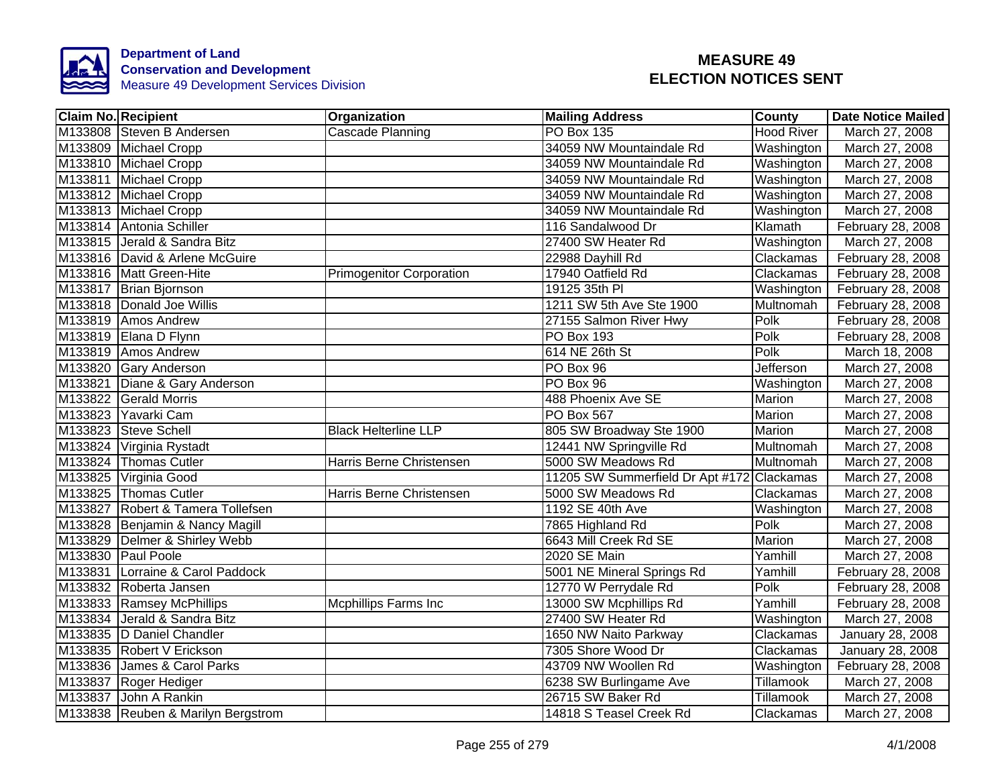

| <b>Claim No. Recipient</b>         | Organization                    | <b>Mailing Address</b>                     | County            | <b>Date Notice Mailed</b> |
|------------------------------------|---------------------------------|--------------------------------------------|-------------------|---------------------------|
| M133808 Steven B Andersen          | Cascade Planning                | <b>PO Box 135</b>                          | <b>Hood River</b> | March 27, 2008            |
| M133809 Michael Cropp              |                                 | 34059 NW Mountaindale Rd                   | Washington        | March 27, 2008            |
| M133810 Michael Cropp              |                                 | 34059 NW Mountaindale Rd                   | Washington        | March 27, 2008            |
| M133811 Michael Cropp              |                                 | 34059 NW Mountaindale Rd                   | Washington        | March 27, 2008            |
| M133812 Michael Cropp              |                                 | 34059 NW Mountaindale Rd                   | Washington        | March 27, 2008            |
| M133813 Michael Cropp              |                                 | 34059 NW Mountaindale Rd                   | Washington        | March 27, 2008            |
| M133814 Antonia Schiller           |                                 | 116 Sandalwood Dr                          | Klamath           | February 28, 2008         |
| M133815 Jerald & Sandra Bitz       |                                 | 27400 SW Heater Rd                         | Washington        | March 27, 2008            |
| M133816 David & Arlene McGuire     |                                 | 22988 Dayhill Rd                           | Clackamas         | February 28, 2008         |
| M133816 Matt Green-Hite            | <b>Primogenitor Corporation</b> | 17940 Oatfield Rd                          | Clackamas         | February 28, 2008         |
| M133817 Brian Bjornson             |                                 | 19125 35th PI                              | Washington        | February 28, 2008         |
| M133818 Donald Joe Willis          |                                 | 1211 SW 5th Ave Ste 1900                   | Multnomah         | February 28, 2008         |
| M133819 Amos Andrew                |                                 | 27155 Salmon River Hwy                     | Polk              | February 28, 2008         |
| M133819 Elana D Flynn              |                                 | <b>PO Box 193</b>                          | Polk              | February 28, 2008         |
| M133819 Amos Andrew                |                                 | 614 NE 26th St                             | Polk              | March 18, 2008            |
| M133820 Gary Anderson              |                                 | PO Box 96                                  | Jefferson         | March 27, 2008            |
| M133821 Diane & Gary Anderson      |                                 | PO Box 96                                  | Washington        | March 27, 2008            |
| M133822 Gerald Morris              |                                 | 488 Phoenix Ave SE                         | Marion            | March 27, 2008            |
| M133823 Yavarki Cam                |                                 | <b>PO Box 567</b>                          | Marion            | March 27, 2008            |
| M133823 Steve Schell               | <b>Black Helterline LLP</b>     | 805 SW Broadway Ste 1900                   | Marion            | March 27, 2008            |
| M133824 Virginia Rystadt           |                                 | 12441 NW Springville Rd                    | Multnomah         | March 27, 2008            |
| M133824 Thomas Cutler              | Harris Berne Christensen        | 5000 SW Meadows Rd                         | Multnomah         | March 27, 2008            |
| M133825 Virginia Good              |                                 | 11205 SW Summerfield Dr Apt #172 Clackamas |                   | March 27, 2008            |
| M133825 Thomas Cutler              | Harris Berne Christensen        | 5000 SW Meadows Rd                         | Clackamas         | March 27, 2008            |
| M133827 Robert & Tamera Tollefsen  |                                 | 1192 SE 40th Ave                           | Washington        | March 27, 2008            |
| M133828 Benjamin & Nancy Magill    |                                 | 7865 Highland Rd                           | Polk              | March 27, 2008            |
| M133829 Delmer & Shirley Webb      |                                 | 6643 Mill Creek Rd SE                      | Marion            | March 27, 2008            |
| M133830 Paul Poole                 |                                 | <b>2020 SE Main</b>                        | Yamhill           | March 27, 2008            |
| M133831 Lorraine & Carol Paddock   |                                 | 5001 NE Mineral Springs Rd                 | Yamhill           | February 28, 2008         |
| M133832 Roberta Jansen             |                                 | 12770 W Perrydale Rd                       | Polk              | February 28, 2008         |
| M133833 Ramsey McPhillips          | <b>Mcphillips Farms Inc</b>     | 13000 SW Mcphillips Rd                     | Yamhill           | February 28, 2008         |
| M133834 Jerald & Sandra Bitz       |                                 | 27400 SW Heater Rd                         | Washington        | March 27, 2008            |
| M133835  D Daniel Chandler         |                                 | 1650 NW Naito Parkway                      | Clackamas         | January 28, 2008          |
| M133835 Robert V Erickson          |                                 | 7305 Shore Wood Dr                         | Clackamas         | January 28, 2008          |
| M133836 James & Carol Parks        |                                 | 43709 NW Woollen Rd                        | Washington        | February 28, 2008         |
| M133837 Roger Hediger              |                                 | 6238 SW Burlingame Ave                     | Tillamook         | March 27, 2008            |
| M133837 John A Rankin              |                                 | 26715 SW Baker Rd                          | Tillamook         | March 27, 2008            |
| M133838 Reuben & Marilyn Bergstrom |                                 | 14818 S Teasel Creek Rd                    | Clackamas         | March 27, 2008            |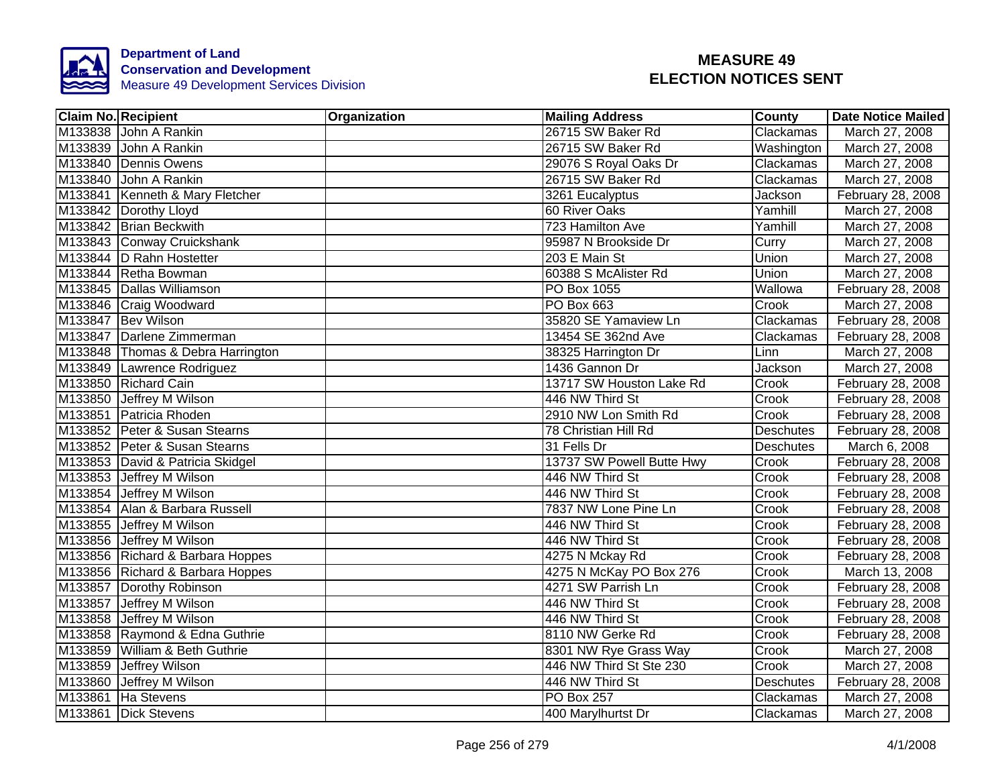

| <b>Claim No. Recipient</b>        | <b>Organization</b> | <b>Mailing Address</b>    | <b>County</b>       | <b>Date Notice Mailed</b> |
|-----------------------------------|---------------------|---------------------------|---------------------|---------------------------|
| M133838 John A Rankin             |                     | 26715 SW Baker Rd         | Clackamas           | March 27, 2008            |
| M133839 John A Rankin             |                     | 26715 SW Baker Rd         | Washington          | March 27, 2008            |
| M133840 Dennis Owens              |                     | 29076 S Royal Oaks Dr     | Clackamas           | March 27, 2008            |
| M133840 John A Rankin             |                     | 26715 SW Baker Rd         | Clackamas           | March 27, 2008            |
| M133841 Kenneth & Mary Fletcher   |                     | 3261 Eucalyptus           | Jackson             | February 28, 2008         |
| M133842 Dorothy Lloyd             |                     | 60 River Oaks             | Yamhill             | March 27, 2008            |
| M133842 Brian Beckwith            |                     | 723 Hamilton Ave          | Yamhill             | March 27, 2008            |
| M133843 Conway Cruickshank        |                     | 95987 N Brookside Dr      | Curry               | March 27, 2008            |
| M133844 D Rahn Hostetter          |                     | 203 E Main St             | Union               | March 27, 2008            |
| M133844 Retha Bowman              |                     | 60388 S McAlister Rd      | <b>Union</b>        | March 27, 2008            |
| M133845 Dallas Williamson         |                     | PO Box 1055               | Wallowa             | February 28, 2008         |
| M133846 Craig Woodward            |                     | PO Box 663                | Crook               | March 27, 2008            |
| M133847 Bev Wilson                |                     | 35820 SE Yamaview Ln      | Clackamas           | February 28, 2008         |
| M133847 Darlene Zimmerman         |                     | 13454 SE 362nd Ave        | Clackamas           | February 28, 2008         |
| M133848 Thomas & Debra Harrington |                     | 38325 Harrington Dr       | Linn                | March 27, 2008            |
| M133849 Lawrence Rodriguez        |                     | 1436 Gannon Dr            | Jackson             | March 27, 2008            |
| M133850 Richard Cain              |                     | 13717 SW Houston Lake Rd  | Crook               | February 28, 2008         |
| M133850 Jeffrey M Wilson          |                     | 446 NW Third St           | Crook               | February 28, 2008         |
| M133851 Patricia Rhoden           |                     | 2910 NW Lon Smith Rd      | Crook               | February 28, 2008         |
| M133852 Peter & Susan Stearns     |                     | 78 Christian Hill Rd      | Deschutes           | February 28, 2008         |
| M133852 Peter & Susan Stearns     |                     | 31 Fells Dr               | Deschutes           | March 6, 2008             |
| M133853 David & Patricia Skidgel  |                     | 13737 SW Powell Butte Hwy | Crook               | February 28, 2008         |
| M133853 Jeffrey M Wilson          |                     | 446 NW Third St           | $\overline{C}$ rook | February 28, 2008         |
| M133854 Jeffrey M Wilson          |                     | 446 NW Third St           | Crook               | February 28, 2008         |
| M133854 Alan & Barbara Russell    |                     | 7837 NW Lone Pine Ln      | Crook               | February 28, 2008         |
| M133855 Jeffrey M Wilson          |                     | 446 NW Third St           | Crook               | February 28, 2008         |
| M133856 Jeffrey M Wilson          |                     | 446 NW Third St           | Crook               | February 28, 2008         |
| M133856 Richard & Barbara Hoppes  |                     | 4275 N Mckay Rd           | Crook               | February 28, 2008         |
| M133856 Richard & Barbara Hoppes  |                     | 4275 N McKay PO Box 276   | Crook               | March 13, 2008            |
| M133857 Dorothy Robinson          |                     | 4271 SW Parrish Ln        | Crook               | February 28, 2008         |
| M133857 Jeffrey M Wilson          |                     | 446 NW Third St           | Crook               | February 28, 2008         |
| M133858 Jeffrey M Wilson          |                     | 446 NW Third St           | Crook               | February 28, 2008         |
| M133858 Raymond & Edna Guthrie    |                     | 8110 NW Gerke Rd          | Crook               | February 28, 2008         |
| M133859 William & Beth Guthrie    |                     | 8301 NW Rye Grass Way     | Crook               | March 27, 2008            |
| M133859 Jeffrey Wilson            |                     | 446 NW Third St Ste 230   | Crook               | March 27, 2008            |
| M133860 Jeffrey M Wilson          |                     | 446 NW Third St           | <b>Deschutes</b>    | February 28, 2008         |
| M133861 Ha Stevens                |                     | PO Box 257                | Clackamas           | March 27, 2008            |
| M133861 Dick Stevens              |                     | 400 Marylhurtst Dr        | Clackamas           | March 27, 2008            |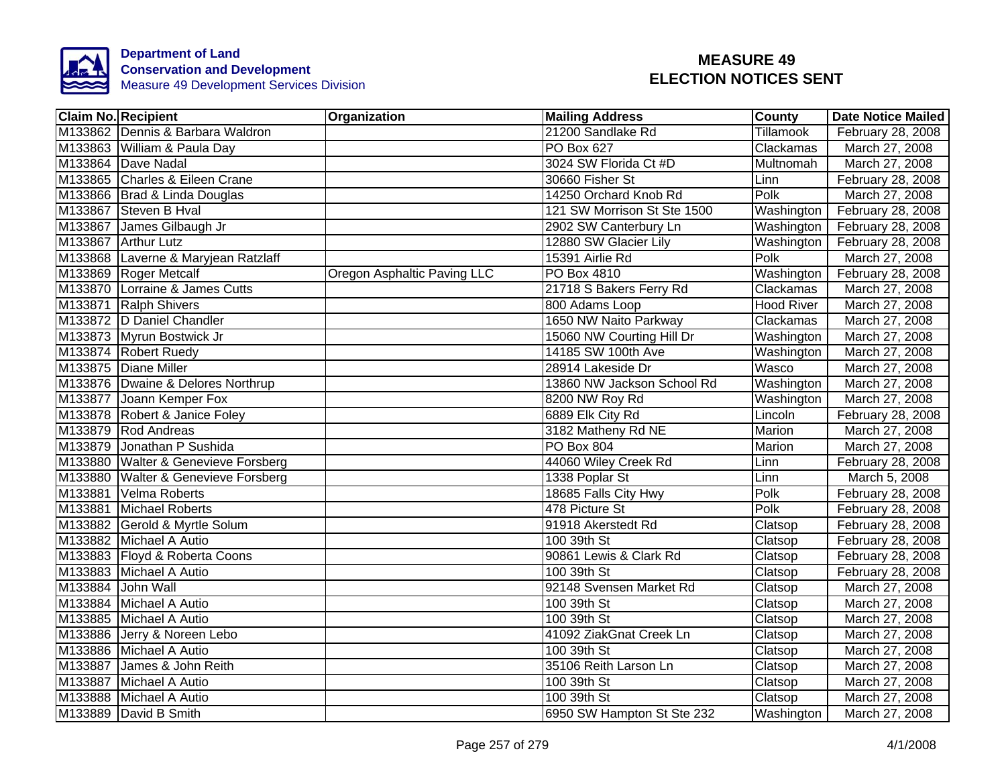

| <b>Claim No. Recipient</b>          | Organization                | <b>Mailing Address</b>      | <b>County</b>    | <b>Date Notice Mailed</b> |
|-------------------------------------|-----------------------------|-----------------------------|------------------|---------------------------|
| M133862 Dennis & Barbara Waldron    |                             | 21200 Sandlake Rd           | <b>Tillamook</b> | February 28, 2008         |
| M133863 William & Paula Day         |                             | <b>PO Box 627</b>           | Clackamas        | March 27, 2008            |
| M133864 Dave Nadal                  |                             | 3024 SW Florida Ct #D       | Multnomah        | March 27, 2008            |
| M133865 Charles & Eileen Crane      |                             | 30660 Fisher St             | Linn             | February 28, 2008         |
| M133866   Brad & Linda Douglas      |                             | 14250 Orchard Knob Rd       | Polk             | March 27, 2008            |
| M133867 Steven B Hval               |                             | 121 SW Morrison St Ste 1500 | Washington       | February 28, 2008         |
| M133867 James Gilbaugh Jr           |                             | 2902 SW Canterbury Ln       | Washington       | February 28, 2008         |
| M133867 Arthur Lutz                 |                             | 12880 SW Glacier Lily       | Washington       | February 28, 2008         |
| M133868 Laverne & Maryjean Ratzlaff |                             | 15391 Airlie Rd             | Polk             | March 27, 2008            |
| M133869 Roger Metcalf               | Oregon Asphaltic Paving LLC | PO Box 4810                 | Washington       | February 28, 2008         |
| M133870 Lorraine & James Cutts      |                             | 21718 S Bakers Ferry Rd     | Clackamas        | March 27, 2008            |
| M133871 Ralph Shivers               |                             | 800 Adams Loop              | Hood River       | March 27, 2008            |
| M133872 D Daniel Chandler           |                             | 1650 NW Naito Parkway       | Clackamas        | March 27, 2008            |
| M133873 Myrun Bostwick Jr           |                             | 15060 NW Courting Hill Dr   | Washington       | March 27, 2008            |
| M133874 Robert Ruedy                |                             | 14185 SW 100th Ave          | Washington       | March 27, 2008            |
| M133875 Diane Miller                |                             | 28914 Lakeside Dr           | Wasco            | March 27, 2008            |
| M133876 Dwaine & Delores Northrup   |                             | 13860 NW Jackson School Rd  | Washington       | March 27, 2008            |
| M133877 Joann Kemper Fox            |                             | 8200 NW Roy Rd              | Washington       | March 27, 2008            |
| M133878 Robert & Janice Foley       |                             | 6889 Elk City Rd            | Lincoln          | February 28, 2008         |
| M133879 Rod Andreas                 |                             | 3182 Matheny Rd NE          | Marion           | March 27, 2008            |
| M133879 Jonathan P Sushida          |                             | <b>PO Box 804</b>           | Marion           | March 27, 2008            |
| M133880 Walter & Genevieve Forsberg |                             | 44060 Wiley Creek Rd        | Linn             | February 28, 2008         |
| M133880 Walter & Genevieve Forsberg |                             | 1338 Poplar St              | Linn             | March 5, 2008             |
| M133881 Velma Roberts               |                             | 18685 Falls City Hwy        | Polk             | February 28, 2008         |
| M133881 Michael Roberts             |                             | 478 Picture St              | Polk             | February 28, 2008         |
| M133882 Gerold & Myrtle Solum       |                             | 91918 Akerstedt Rd          | Clatsop          | February 28, 2008         |
| M133882 Michael A Autio             |                             | 100 39th St                 | Clatsop          | February 28, 2008         |
| M133883 Floyd & Roberta Coons       |                             | 90861 Lewis & Clark Rd      | Clatsop          | February 28, 2008         |
| M133883 Michael A Autio             |                             | 100 39th St                 | Clatsop          | February 28, 2008         |
| M133884 John Wall                   |                             | 92148 Svensen Market Rd     | Clatsop          | March 27, 2008            |
| M133884 Michael A Autio             |                             | 100 39th St                 | Clatsop          | March 27, 2008            |
| M133885 Michael A Autio             |                             | 100 39th St                 | Clatsop          | March 27, 2008            |
| M133886 Jerry & Noreen Lebo         |                             | 41092 ZiakGnat Creek Ln     | Clatsop          | March 27, 2008            |
| M133886 Michael A Autio             |                             | 100 39th St                 | Clatsop          | March 27, 2008            |
| M133887 James & John Reith          |                             | 35106 Reith Larson Ln       | Clatsop          | March 27, 2008            |
| M133887 Michael A Autio             |                             | 100 39th St                 | Clatsop          | March 27, 2008            |
| M133888 Michael A Autio             |                             | 100 39th St                 | Clatsop          | March 27, 2008            |
| M133889 David B Smith               |                             | 6950 SW Hampton St Ste 232  | Washington       | March 27, 2008            |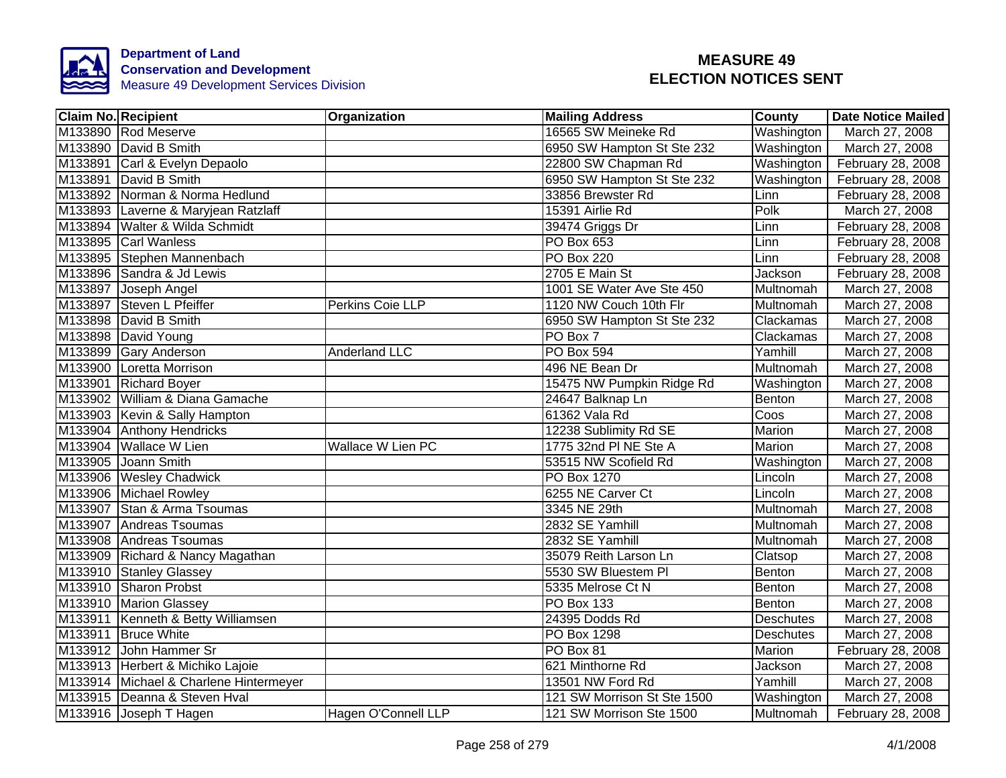

| <b>Claim No. Recipient</b>             | Organization             | <b>Mailing Address</b>      | <b>County</b>    | <b>Date Notice Mailed</b> |
|----------------------------------------|--------------------------|-----------------------------|------------------|---------------------------|
| M133890 Rod Meserve                    |                          | 16565 SW Meineke Rd         | Washington       | March 27, 2008            |
| M133890 David B Smith                  |                          | 6950 SW Hampton St Ste 232  | Washington       | March 27, 2008            |
| M133891 Carl & Evelyn Depaolo          |                          | 22800 SW Chapman Rd         | Washington       | February 28, 2008         |
| M133891 David B Smith                  |                          | 6950 SW Hampton St Ste 232  | Washington       | February 28, 2008         |
| M133892 Norman & Norma Hedlund         |                          | 33856 Brewster Rd           | Linn             | February 28, 2008         |
| M133893 Laverne & Maryjean Ratzlaff    |                          | 15391 Airlie Rd             | Polk             | March 27, 2008            |
| M133894 Walter & Wilda Schmidt         |                          | 39474 Griggs Dr             | Linn             | February 28, 2008         |
| M133895 Carl Wanless                   |                          | PO Box 653                  | Linn             | February 28, 2008         |
| M133895 Stephen Mannenbach             |                          | <b>PO Box 220</b>           | Linn             | February 28, 2008         |
| M133896 Sandra & Jd Lewis              |                          | 2705 E Main St              | Jackson          | February 28, 2008         |
| M133897 Joseph Angel                   |                          | 1001 SE Water Ave Ste 450   | Multnomah        | March 27, 2008            |
| M133897 Steven L Pfeiffer              | Perkins Coie LLP         | 1120 NW Couch 10th Flr      | Multnomah        | March 27, 2008            |
| M133898 David B Smith                  |                          | 6950 SW Hampton St Ste 232  | Clackamas        | March 27, 2008            |
| M133898 David Young                    |                          | PO Box 7                    | Clackamas        | March 27, 2008            |
| M133899 Gary Anderson                  | <b>Anderland LLC</b>     | PO Box 594                  | Yamhill          | March 27, 2008            |
| M133900 Loretta Morrison               |                          | 496 NE Bean Dr              | Multnomah        | March 27, 2008            |
| M133901 Richard Boyer                  |                          | 15475 NW Pumpkin Ridge Rd   | Washington       | March 27, 2008            |
| M133902 William & Diana Gamache        |                          | 24647 Balknap Ln            | Benton           | March 27, 2008            |
| M133903 Kevin & Sally Hampton          |                          | 61362 Vala Rd               | Coos             | March 27, 2008            |
| M133904 Anthony Hendricks              |                          | 12238 Sublimity Rd SE       | Marion           | March 27, 2008            |
| M133904 Wallace W Lien                 | <b>Wallace W Lien PC</b> | 1775 32nd PI NE Ste A       | Marion           | March 27, 2008            |
| M133905 Joann Smith                    |                          | 53515 NW Scofield Rd        | Washington       | March 27, 2008            |
| M133906 Wesley Chadwick                |                          | <b>PO Box 1270</b>          | Lincoln          | March 27, 2008            |
| M133906 Michael Rowley                 |                          | 6255 NE Carver Ct           | Lincoln          | March 27, 2008            |
| M133907 Stan & Arma Tsoumas            |                          | 3345 NE 29th                | <b>Multnomah</b> | March 27, 2008            |
| M133907 Andreas Tsoumas                |                          | 2832 SE Yamhill             | <b>Multnomah</b> | March 27, 2008            |
| M133908 Andreas Tsoumas                |                          | 2832 SE Yamhill             | Multnomah        | March 27, 2008            |
| M133909 Richard & Nancy Magathan       |                          | 35079 Reith Larson Ln       | Clatsop          | March 27, 2008            |
| M133910 Stanley Glassey                |                          | 5530 SW Bluestem PI         | Benton           | March 27, 2008            |
| M133910 Sharon Probst                  |                          | 5335 Melrose Ct N           | Benton           | March 27, 2008            |
| M133910 Marion Glassey                 |                          | PO Box 133                  | Benton           | March 27, 2008            |
| M133911 Kenneth & Betty Williamsen     |                          | 24395 Dodds Rd              | <b>Deschutes</b> | March 27, 2008            |
| M133911 Bruce White                    |                          | PO Box 1298                 | Deschutes        | March 27, 2008            |
| M133912 John Hammer Sr                 |                          | PO Box 81                   | Marion           | February 28, 2008         |
| M133913 Herbert & Michiko Lajoie       |                          | 621 Minthorne Rd            | Jackson          | March 27, 2008            |
| M133914 Michael & Charlene Hintermeyer |                          | 13501 NW Ford Rd            | Yamhill          | March 27, 2008            |
| M133915 Deanna & Steven Hval           |                          | 121 SW Morrison St Ste 1500 | Washington       | March 27, 2008            |
| M133916 Joseph T Hagen                 | Hagen O'Connell LLP      | 121 SW Morrison Ste 1500    | Multnomah        | February 28, 2008         |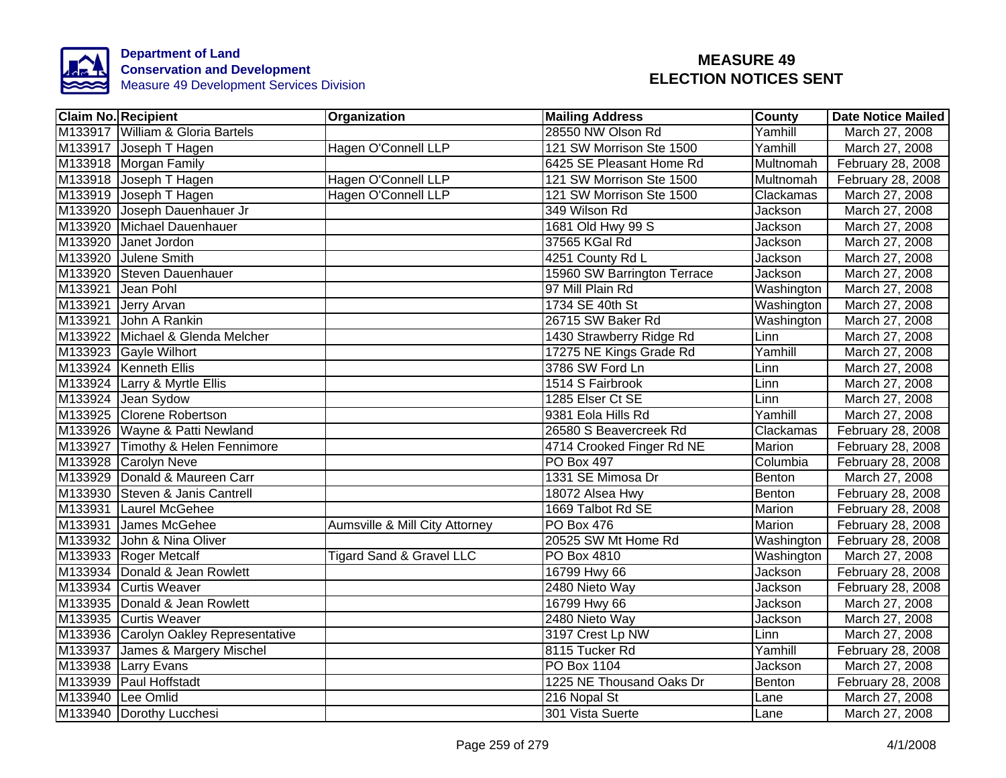

| <b>Claim No. Recipient</b>            | Organization                   | <b>Mailing Address</b>      | County        | <b>Date Notice Mailed</b> |
|---------------------------------------|--------------------------------|-----------------------------|---------------|---------------------------|
| M133917 William & Gloria Bartels      |                                | 28550 NW Olson Rd           | Yamhill       | March 27, 2008            |
| M133917 Joseph T Hagen                | Hagen O'Connell LLP            | 121 SW Morrison Ste 1500    | Yamhill       | March 27, 2008            |
| M133918 Morgan Family                 |                                | 6425 SE Pleasant Home Rd    | Multnomah     | February 28, 2008         |
| M133918 Joseph T Hagen                | Hagen O'Connell LLP            | 121 SW Morrison Ste 1500    | Multnomah     | February 28, 2008         |
| M133919 Joseph T Hagen                | Hagen O'Connell LLP            | 121 SW Morrison Ste 1500    | Clackamas     | March 27, 2008            |
| M133920 Joseph Dauenhauer Jr          |                                | 349 Wilson Rd               | Jackson       | March 27, 2008            |
| M133920 Michael Dauenhauer            |                                | 1681 Old Hwy 99 S           | Jackson       | March 27, 2008            |
| M133920 Janet Jordon                  |                                | 37565 KGal Rd               | Jackson       | March 27, 2008            |
| M133920 Julene Smith                  |                                | 4251 County Rd L            | Jackson       | March 27, 2008            |
| M133920 Steven Dauenhauer             |                                | 15960 SW Barrington Terrace | Jackson       | March 27, 2008            |
| M133921 Jean Pohl                     |                                | 97 Mill Plain Rd            | Washington    | March 27, 2008            |
| M133921 Jerry Arvan                   |                                | 1734 SE 40th St             | Washington    | March 27, 2008            |
| M133921 John A Rankin                 |                                | 26715 SW Baker Rd           | Washington    | March 27, 2008            |
| M133922 Michael & Glenda Melcher      |                                | 1430 Strawberry Ridge Rd    | Linn          | March 27, 2008            |
| M133923 Gayle Wilhort                 |                                | 17275 NE Kings Grade Rd     | Yamhill       | March 27, 2008            |
| M133924 Kenneth Ellis                 |                                | 3786 SW Ford Ln             | Linn          | March 27, 2008            |
| M133924 Larry & Myrtle Ellis          |                                | 1514 S Fairbrook            | Linn          | March 27, 2008            |
| M133924 Jean Sydow                    |                                | 1285 Elser Ct SE            | Linn          | March 27, 2008            |
| M133925 Clorene Robertson             |                                | 9381 Eola Hills Rd          | Yamhill       | March 27, 2008            |
| M133926 Wayne & Patti Newland         |                                | 26580 S Beavercreek Rd      | Clackamas     | February 28, 2008         |
| M133927 Timothy & Helen Fennimore     |                                | 4714 Crooked Finger Rd NE   | Marion        | February 28, 2008         |
| M133928 Carolyn Neve                  |                                | <b>PO Box 497</b>           | Columbia      | February 28, 2008         |
| M133929 Donald & Maureen Carr         |                                | 1331 SE Mimosa Dr           | Benton        | March 27, 2008            |
| M133930 Steven & Janis Cantrell       |                                | 18072 Alsea Hwy             | Benton        | February 28, 2008         |
| M133931 Laurel McGehee                |                                | 1669 Talbot Rd SE           | <b>Marion</b> | February 28, 2008         |
| M133931 James McGehee                 | Aumsville & Mill City Attorney | <b>PO Box 476</b>           | <b>Marion</b> | February 28, 2008         |
| M133932 John & Nina Oliver            |                                | 20525 SW Mt Home Rd         | Washington    | February 28, 2008         |
| M133933 Roger Metcalf                 | Tigard Sand & Gravel LLC       | PO Box 4810                 | Washington    | March 27, 2008            |
| M133934 Donald & Jean Rowlett         |                                | 16799 Hwy 66                | Jackson       | February 28, 2008         |
| M133934 Curtis Weaver                 |                                | 2480 Nieto Way              | Jackson       | February 28, 2008         |
| M133935 Donald & Jean Rowlett         |                                | 16799 Hwy 66                | Jackson       | March 27, 2008            |
| M133935 Curtis Weaver                 |                                | 2480 Nieto Way              | Jackson       | March 27, 2008            |
| M133936 Carolyn Oakley Representative |                                | 3197 Crest Lp NW            | Linn          | March 27, 2008            |
| M133937 James & Margery Mischel       |                                | 8115 Tucker Rd              | Yamhill       | February 28, 2008         |
| M133938 Larry Evans                   |                                | PO Box 1104                 | Jackson       | March 27, 2008            |
| M133939 Paul Hoffstadt                |                                | 1225 NE Thousand Oaks Dr    | Benton        | February 28, 2008         |
| M133940 Lee Omlid                     |                                | 216 Nopal St                | Lane          | March 27, 2008            |
| M133940 Dorothy Lucchesi              |                                | 301 Vista Suerte            | Lane          | March 27, 2008            |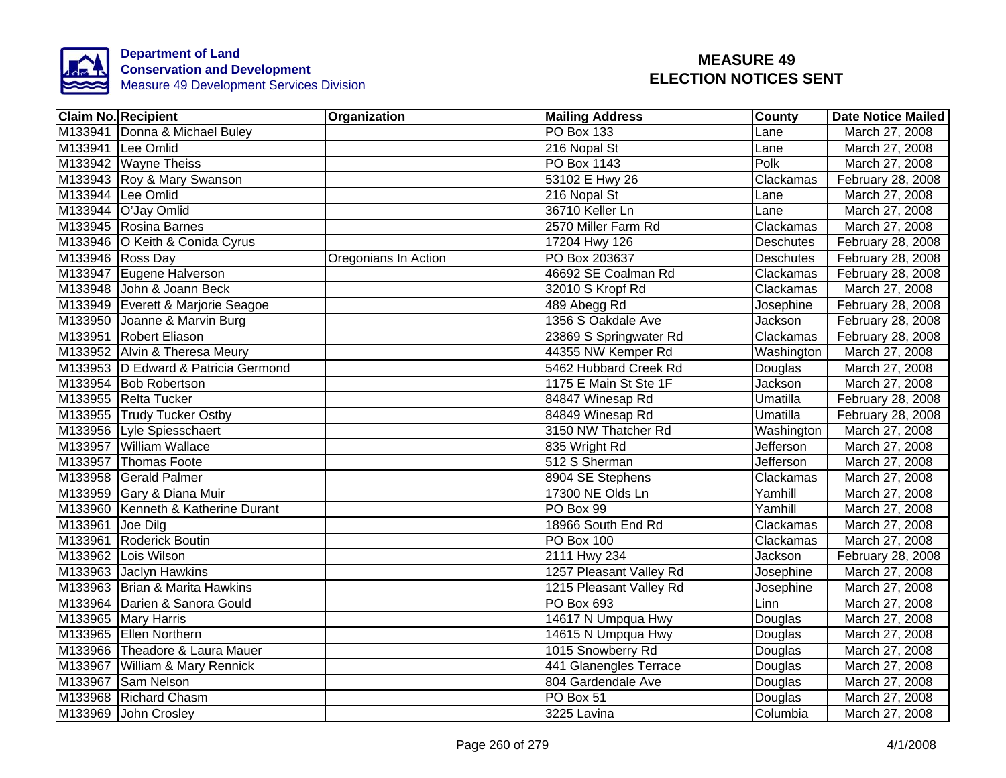

|                  | <b>Claim No. Recipient</b>          | Organization         | <b>Mailing Address</b>  | County           | <b>Date Notice Mailed</b> |
|------------------|-------------------------------------|----------------------|-------------------------|------------------|---------------------------|
|                  | M133941 Donna & Michael Buley       |                      | <b>PO Box 133</b>       | Lane             | March 27, 2008            |
|                  | M133941 Lee Omlid                   |                      | 216 Nopal St            | Lane             | March 27, 2008            |
|                  | M133942 Wayne Theiss                |                      | <b>PO Box 1143</b>      | Polk             | March 27, 2008            |
|                  | M133943 Roy & Mary Swanson          |                      | 53102 E Hwy 26          | Clackamas        | February 28, 2008         |
|                  | M133944 Lee Omlid                   |                      | 216 Nopal St            | Lane             | March 27, 2008            |
|                  | M133944 O'Jay Omlid                 |                      | 36710 Keller Ln         | Lane             | March 27, 2008            |
|                  | M133945 Rosina Barnes               |                      | 2570 Miller Farm Rd     | Clackamas        | March 27, 2008            |
|                  | M133946 O Keith & Conida Cyrus      |                      | 17204 Hwy 126           | Deschutes        | February 28, 2008         |
| M133946 Ross Day |                                     | Oregonians In Action | PO Box 203637           | <b>Deschutes</b> | February 28, 2008         |
|                  | M133947 Eugene Halverson            |                      | 46692 SE Coalman Rd     | Clackamas        | February 28, 2008         |
|                  | M133948 John & Joann Beck           |                      | 32010 S Kropf Rd        | Clackamas        | March 27, 2008            |
|                  | M133949 Everett & Marjorie Seagoe   |                      | 489 Abegg Rd            | Josephine        | February 28, 2008         |
|                  | M133950 Joanne & Marvin Burg        |                      | 1356 S Oakdale Ave      | Jackson          | February 28, 2008         |
|                  | M133951 Robert Eliason              |                      | 23869 S Springwater Rd  | Clackamas        | February 28, 2008         |
|                  | M133952 Alvin & Theresa Meury       |                      | 44355 NW Kemper Rd      | Washington       | March 27, 2008            |
|                  | M133953 D Edward & Patricia Germond |                      | 5462 Hubbard Creek Rd   | Douglas          | March 27, 2008            |
|                  | M133954 Bob Robertson               |                      | 1175 E Main St Ste 1F   | Jackson          | March 27, 2008            |
|                  | M133955 Relta Tucker                |                      | 84847 Winesap Rd        | Umatilla         | February 28, 2008         |
|                  | M133955 Trudy Tucker Ostby          |                      | 84849 Winesap Rd        | Umatilla         | February 28, 2008         |
|                  | M133956 Lyle Spiesschaert           |                      | 3150 NW Thatcher Rd     | Washington       | March 27, 2008            |
|                  | M133957 William Wallace             |                      | 835 Wright Rd           | Jefferson        | March 27, 2008            |
|                  | M133957 Thomas Foote                |                      | 512 S Sherman           | <b>Jefferson</b> | March 27, 2008            |
|                  | M133958 Gerald Palmer               |                      | 8904 SE Stephens        | Clackamas        | March 27, 2008            |
|                  | M133959 Gary & Diana Muir           |                      | 17300 NE Olds Ln        | Yamhill          | March 27, 2008            |
|                  | M133960 Kenneth & Katherine Durant  |                      | PO Box 99               | Yamhill          | March 27, 2008            |
| M133961 Joe Dilg |                                     |                      | 18966 South End Rd      | Clackamas        | March 27, 2008            |
|                  | M133961 Roderick Boutin             |                      | <b>PO Box 100</b>       | Clackamas        | March 27, 2008            |
|                  | M133962 Lois Wilson                 |                      | 2111 Hwy 234            | Jackson          | February 28, 2008         |
|                  | M133963 Jaclyn Hawkins              |                      | 1257 Pleasant Valley Rd | Josephine        | March 27, 2008            |
|                  | M133963 Brian & Marita Hawkins      |                      | 1215 Pleasant Valley Rd | Josephine        | March 27, 2008            |
|                  | M133964 Darien & Sanora Gould       |                      | PO Box 693              | Linn             | March 27, 2008            |
|                  | M133965 Mary Harris                 |                      | 14617 N Umpqua Hwy      | Douglas          | March 27, 2008            |
|                  | M133965 Ellen Northern              |                      | 14615 N Umpqua Hwy      | Douglas          | March 27, 2008            |
|                  | M133966 Theadore & Laura Mauer      |                      | 1015 Snowberry Rd       | Douglas          | March 27, 2008            |
|                  | M133967 William & Mary Rennick      |                      | 441 Glanengles Terrace  | Douglas          | March 27, 2008            |
|                  | M133967 Sam Nelson                  |                      | 804 Gardendale Ave      | Douglas          | March 27, 2008            |
|                  | M133968 Richard Chasm               |                      | PO Box 51               | Douglas          | March 27, 2008            |
|                  | M133969 John Crosley                |                      | 3225 Lavina             | Columbia         | March 27, 2008            |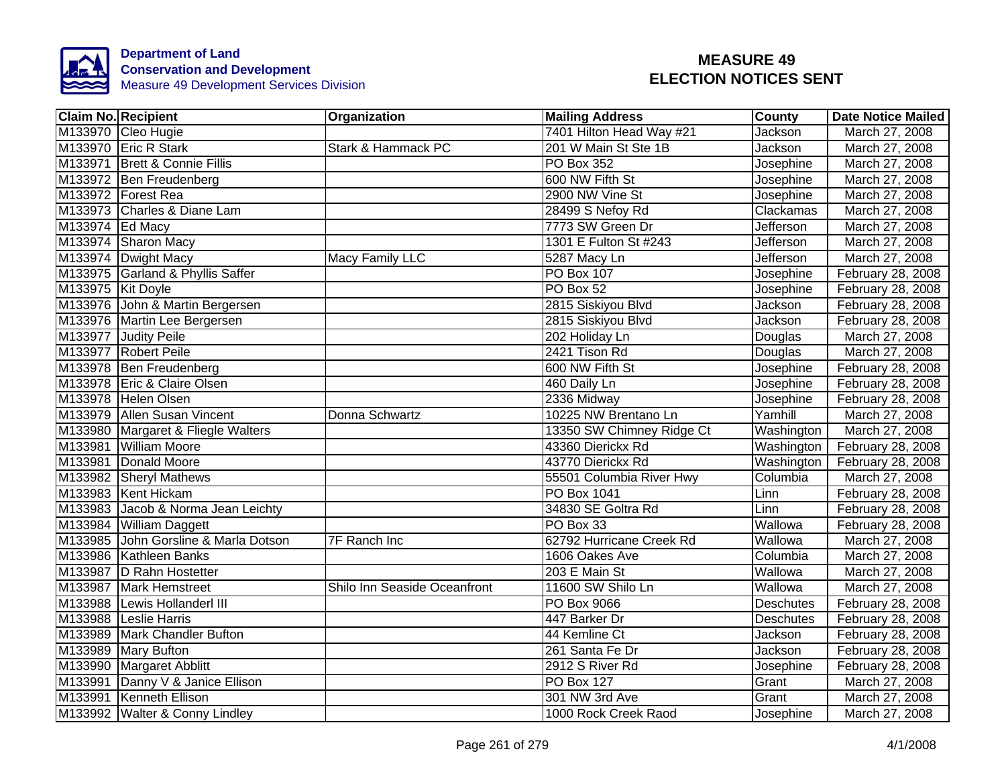

| <b>Claim No. Recipient</b>           | Organization                 | <b>Mailing Address</b>    | County           | <b>Date Notice Mailed</b> |
|--------------------------------------|------------------------------|---------------------------|------------------|---------------------------|
| M133970 Cleo Hugie                   |                              | 7401 Hilton Head Way #21  | Jackson          | March 27, 2008            |
| M133970 Eric R Stark                 | Stark & Hammack PC           | 201 W Main St Ste 1B      | Jackson          | March 27, 2008            |
| M133971 Brett & Connie Fillis        |                              | <b>PO Box 352</b>         | Josephine        | March 27, 2008            |
| M133972 Ben Freudenberg              |                              | 600 NW Fifth St           | Josephine        | March 27, 2008            |
| M133972 Forest Rea                   |                              | 2900 NW Vine St           | Josephine        | March 27, 2008            |
| M133973 Charles & Diane Lam          |                              | 28499 S Nefoy Rd          | Clackamas        | March 27, 2008            |
| M133974 Ed Macy                      |                              | 7773 SW Green Dr          | Jefferson        | March 27, 2008            |
| M133974 Sharon Macy                  |                              | 1301 E Fulton St #243     | <b>Jefferson</b> | March 27, 2008            |
| M133974 Dwight Macy                  | <b>Macy Family LLC</b>       | 5287 Macy Ln              | Jefferson        | March 27, 2008            |
| M133975 Garland & Phyllis Saffer     |                              | PO Box 107                | Josephine        | February 28, 2008         |
| M133975 Kit Doyle                    |                              | PO Box 52                 | Josephine        | February 28, 2008         |
| M133976 John & Martin Bergersen      |                              | 2815 Siskiyou Blvd        | Jackson          | February 28, 2008         |
| M133976 Martin Lee Bergersen         |                              | 2815 Siskiyou Blvd        | Jackson          | February 28, 2008         |
| M133977 Judity Peile                 |                              | 202 Holiday Ln            | Douglas          | March 27, 2008            |
| M133977 Robert Peile                 |                              | 2421 Tison Rd             | Douglas          | March 27, 2008            |
| M133978 Ben Freudenberg              |                              | 600 NW Fifth St           | Josephine        | February 28, 2008         |
| M133978 Eric & Claire Olsen          |                              | 460 Daily Ln              | Josephine        | February 28, 2008         |
| M133978 Helen Olsen                  |                              | 2336 Midway               | Josephine        | February 28, 2008         |
| M133979 Allen Susan Vincent          | Donna Schwartz               | 10225 NW Brentano Ln      | Yamhill          | March 27, 2008            |
| M133980 Margaret & Fliegle Walters   |                              | 13350 SW Chimney Ridge Ct | Washington       | March 27, 2008            |
| M133981 William Moore                |                              | 43360 Dierickx Rd         | Washington       | February 28, 2008         |
| M133981 Donald Moore                 |                              | 43770 Dierickx Rd         | Washington       | February 28, 2008         |
| M133982 Sheryl Mathews               |                              | 55501 Columbia River Hwy  | Columbia         | March 27, 2008            |
| M133983 Kent Hickam                  |                              | <b>PO Box 1041</b>        | Linn             | February 28, 2008         |
| M133983 Jacob & Norma Jean Leichty   |                              | 34830 SE Goltra Rd        | Linn             | February 28, 2008         |
| M133984 William Daggett              |                              | PO Box 33                 | Wallowa          | February 28, 2008         |
| M133985 John Gorsline & Marla Dotson | <b>7F Ranch Inc</b>          | 62792 Hurricane Creek Rd  | Wallowa          | March 27, 2008            |
| M133986 Kathleen Banks               |                              | 1606 Oakes Ave            | Columbia         | March 27, 2008            |
| M133987 D Rahn Hostetter             |                              | 203 E Main St             | Wallowa          | March 27, 2008            |
| M133987 Mark Hemstreet               | Shilo Inn Seaside Oceanfront | 11600 SW Shilo Ln         | Wallowa          | March 27, 2008            |
| M133988 Lewis Hollanderl III         |                              | PO Box 9066               | Deschutes        | February 28, 2008         |
| M133988 Leslie Harris                |                              | 447 Barker Dr             | <b>Deschutes</b> | February 28, 2008         |
| M133989 Mark Chandler Bufton         |                              | 44 Kemline Ct             | Jackson          | February 28, 2008         |
| M133989 Mary Bufton                  |                              | 261 Santa Fe Dr           | Jackson          | February 28, 2008         |
| M133990 Margaret Abblitt             |                              | 2912 S River Rd           | Josephine        | February 28, 2008         |
| M133991 Danny V & Janice Ellison     |                              | <b>PO Box 127</b>         | Grant            | March 27, 2008            |
| M133991 Kenneth Ellison              |                              | 301 NW 3rd Ave            | Grant            | March 27, 2008            |
| M133992 Walter & Conny Lindley       |                              | 1000 Rock Creek Raod      | Josephine        | March 27, 2008            |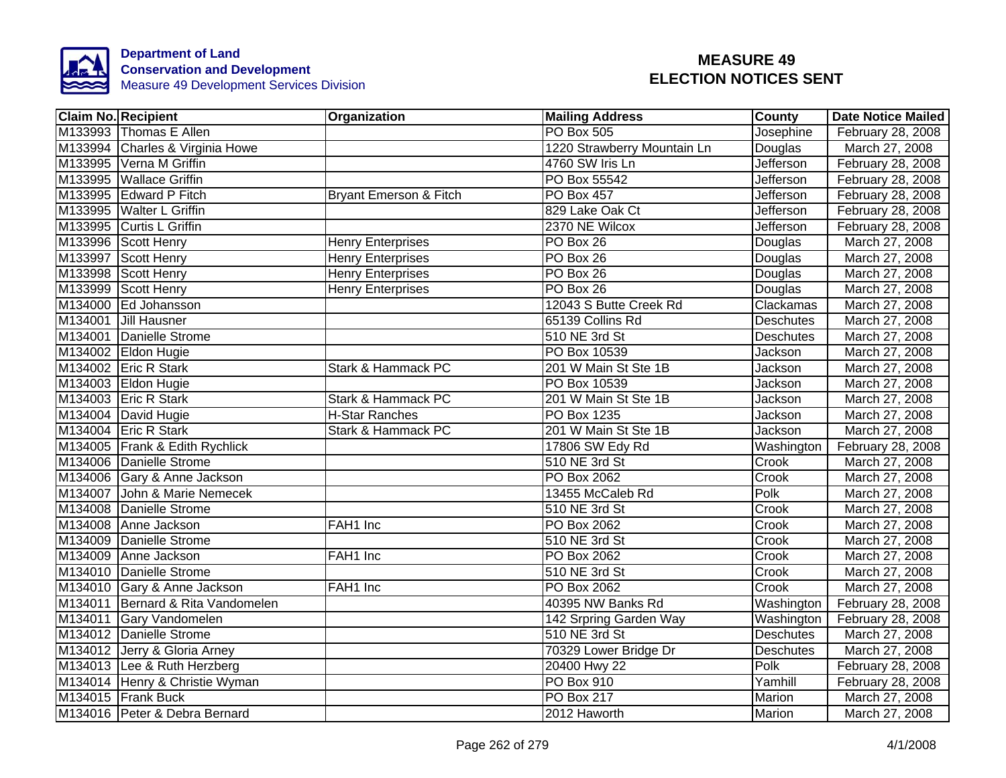

| <b>Claim No. Recipient</b>        | Organization                  | <b>Mailing Address</b>      | <b>County</b>    | <b>Date Notice Mailed</b> |
|-----------------------------------|-------------------------------|-----------------------------|------------------|---------------------------|
| M133993 Thomas E Allen            |                               | <b>PO Box 505</b>           | Josephine        | February 28, 2008         |
| M133994 Charles & Virginia Howe   |                               | 1220 Strawberry Mountain Ln | Douglas          | March 27, 2008            |
| M133995 Verna M Griffin           |                               | 4760 SW Iris Ln             | <b>Jefferson</b> | February 28, 2008         |
| M133995 Wallace Griffin           |                               | PO Box 55542                | <b>Jefferson</b> | February 28, 2008         |
| M133995 Edward P Fitch            | Bryant Emerson & Fitch        | PO Box 457                  | Jefferson        | February 28, 2008         |
| M133995 Walter L Griffin          |                               | 829 Lake Oak Ct             | Jefferson        | February 28, 2008         |
| M133995 Curtis L Griffin          |                               | 2370 NE Wilcox              | Jefferson        | February 28, 2008         |
| M133996 Scott Henry               | <b>Henry Enterprises</b>      | PO Box 26                   | Douglas          | March 27, 2008            |
| M133997 Scott Henry               | <b>Henry Enterprises</b>      | PO Box 26                   | Douglas          | March 27, 2008            |
| M133998 Scott Henry               | <b>Henry Enterprises</b>      | PO Box 26                   | Douglas          | March 27, 2008            |
| M133999 Scott Henry               | <b>Henry Enterprises</b>      | PO Box 26                   | Douglas          | March 27, 2008            |
| M134000 Ed Johansson              |                               | 12043 S Butte Creek Rd      | Clackamas        | March 27, 2008            |
| M134001 Jill Hausner              |                               | 65139 Collins Rd            | Deschutes        | March 27, 2008            |
| M134001 Danielle Strome           |                               | 510 NE 3rd St               | Deschutes        | March 27, 2008            |
| M134002 Eldon Hugie               |                               | PO Box 10539                | Jackson          | March 27, 2008            |
| M134002 Eric R Stark              | <b>Stark &amp; Hammack PC</b> | 201 W Main St Ste 1B        | Jackson          | March 27, 2008            |
| M134003 Eldon Hugie               |                               | PO Box 10539                | Jackson          | March 27, 2008            |
| M134003 Eric R Stark              | <b>Stark &amp; Hammack PC</b> | 201 W Main St Ste 1B        | Jackson          | March 27, 2008            |
| M134004 David Hugie               | <b>H-Star Ranches</b>         | <b>PO Box 1235</b>          | Jackson          | March 27, 2008            |
| M134004 Eric R Stark              | Stark & Hammack PC            | 201 W Main St Ste 1B        | Jackson          | March 27, 2008            |
| M134005 Frank & Edith Rychlick    |                               | 17806 SW Edy Rd             | Washington       | February 28, 2008         |
| M134006 Danielle Strome           |                               | 510 NE 3rd St               | Crook            | March 27, 2008            |
| M134006 Gary & Anne Jackson       |                               | <b>PO Box 2062</b>          | Crook            | March 27, 2008            |
| M134007 John & Marie Nemecek      |                               | 13455 McCaleb Rd            | Polk             | March 27, 2008            |
| M134008 Danielle Strome           |                               | 510 NE 3rd St               | Crook            | March 27, 2008            |
| M134008 Anne Jackson              | FAH1 Inc                      | <b>PO Box 2062</b>          | Crook            | March 27, 2008            |
| M134009 Danielle Strome           |                               | 510 NE 3rd St               | Crook            | March 27, 2008            |
| M134009 Anne Jackson              | FAH1 Inc                      | PO Box 2062                 | Crook            | March 27, 2008            |
| M134010 Danielle Strome           |                               | 510 NE 3rd St               | Crook            | March 27, 2008            |
| M134010 Gary & Anne Jackson       | FAH1 Inc                      | <b>PO Box 2062</b>          | Crook            | March 27, 2008            |
| M134011 Bernard & Rita Vandomelen |                               | 40395 NW Banks Rd           | Washington       | February 28, 2008         |
| M134011 Gary Vandomelen           |                               | 142 Srpring Garden Way      | Washington       | February 28, 2008         |
| M134012 Danielle Strome           |                               | 510 NE 3rd St               | <b>Deschutes</b> | March 27, 2008            |
| M134012 Jerry & Gloria Arney      |                               | 70329 Lower Bridge Dr       | Deschutes        | March 27, 2008            |
| M134013 Lee & Ruth Herzberg       |                               | 20400 Hwy 22                | Polk             | February 28, 2008         |
| M134014 Henry & Christie Wyman    |                               | PO Box 910                  | Yamhill          | February 28, 2008         |
| M134015 Frank Buck                |                               | <b>PO Box 217</b>           | Marion           | March 27, 2008            |
| M134016 Peter & Debra Bernard     |                               | 2012 Haworth                | Marion           | March 27, 2008            |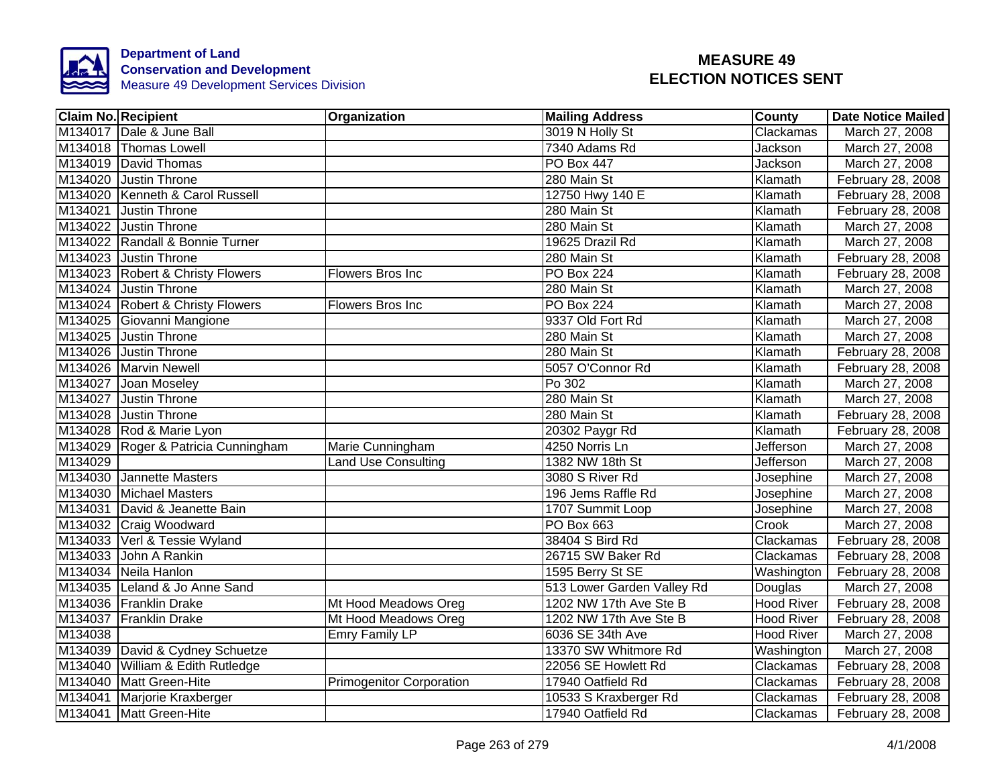

|         | <b>Claim No. Recipient</b>          | Organization                    | <b>Mailing Address</b>     | <b>County</b>     | <b>Date Notice Mailed</b> |
|---------|-------------------------------------|---------------------------------|----------------------------|-------------------|---------------------------|
|         | M134017 Dale & June Ball            |                                 | 3019 N Holly St            | Clackamas         | March 27, 2008            |
|         | M134018 Thomas Lowell               |                                 | 7340 Adams Rd              | Jackson           | March 27, 2008            |
|         | M134019 David Thomas                |                                 | <b>PO Box 447</b>          | Jackson           | March 27, 2008            |
|         | M134020 Justin Throne               |                                 | 280 Main St                | Klamath           | February 28, 2008         |
|         | M134020 Kenneth & Carol Russell     |                                 | 12750 Hwy 140 E            | Klamath           | February 28, 2008         |
|         | M134021 Justin Throne               |                                 | 280 Main St                | Klamath           | February 28, 2008         |
|         | M134022 Justin Throne               |                                 | 280 Main St                | Klamath           | March 27, 2008            |
|         | M134022 Randall & Bonnie Turner     |                                 | 19625 Drazil Rd            | Klamath           | March 27, 2008            |
|         | M134023 Justin Throne               |                                 | 280 Main St                | Klamath           | February 28, 2008         |
|         | M134023 Robert & Christy Flowers    | Flowers Bros Inc                | <b>PO Box 224</b>          | Klamath           | February 28, 2008         |
|         | M134024 Justin Throne               |                                 | 280 Main St                | Klamath           | March 27, 2008            |
|         | M134024 Robert & Christy Flowers    | Flowers Bros Inc                | <b>PO Box 224</b>          | Klamath           | March 27, 2008            |
|         | M134025 Giovanni Mangione           |                                 | 9337 Old Fort Rd           | Klamath           | March 27, 2008            |
|         | M134025 Justin Throne               |                                 | 280 Main St                | Klamath           | March 27, 2008            |
|         | M134026 Justin Throne               |                                 | 280 Main St                | Klamath           | February 28, 2008         |
|         | M134026 Marvin Newell               |                                 | 5057 O'Connor Rd           | Klamath           | February 28, 2008         |
|         | M134027 Joan Moseley                |                                 | Po 302                     | Klamath           | March 27, 2008            |
|         | M134027 Justin Throne               |                                 | 280 Main St                | Klamath           | March 27, 2008            |
|         | M134028 Justin Throne               |                                 | 280 Main St                | Klamath           | February 28, 2008         |
|         | M134028 Rod & Marie Lyon            |                                 | 20302 Paygr Rd             | Klamath           | February 28, 2008         |
|         | M134029 Roger & Patricia Cunningham | Marie Cunningham                | 4250 Norris Ln             | <b>Jefferson</b>  | March 27, 2008            |
| M134029 |                                     | <b>Land Use Consulting</b>      | 1382 NW 18th St            | Jefferson         | March 27, 2008            |
|         | M134030 Jannette Masters            |                                 | 3080 S River Rd            | Josephine         | March 27, 2008            |
|         | M134030 Michael Masters             |                                 | 196 Jems Raffle Rd         | Josephine         | March 27, 2008            |
|         | M134031 David & Jeanette Bain       |                                 | 1707 Summit Loop           | Josephine         | March 27, 2008            |
|         | M134032 Craig Woodward              |                                 | <b>PO Box 663</b>          | Crook             | March 27, 2008            |
|         | M134033 Verl & Tessie Wyland        |                                 | 38404 S Bird Rd            | Clackamas         | February 28, 2008         |
|         | M134033 John A Rankin               |                                 | 26715 SW Baker Rd          | Clackamas         | February 28, 2008         |
|         | M134034 Neila Hanlon                |                                 | 1595 Berry St SE           | Washington        | February 28, 2008         |
|         | M134035 Leland & Jo Anne Sand       |                                 | 513 Lower Garden Valley Rd | Douglas           | March 27, 2008            |
|         | M134036 Franklin Drake              | Mt Hood Meadows Oreg            | 1202 NW 17th Ave Ste B     | <b>Hood River</b> | February 28, 2008         |
|         | M134037 Franklin Drake              | Mt Hood Meadows Oreg            | 1202 NW 17th Ave Ste B     | <b>Hood River</b> | February 28, 2008         |
| M134038 |                                     | <b>Emry Family LP</b>           | 6036 SE 34th Ave           | <b>Hood River</b> | March 27, 2008            |
|         | M134039 David & Cydney Schuetze     |                                 | 13370 SW Whitmore Rd       | Washington        | March 27, 2008            |
|         | M134040 William & Edith Rutledge    |                                 | 22056 SE Howlett Rd        | Clackamas         | February 28, 2008         |
|         | M134040 Matt Green-Hite             | <b>Primogenitor Corporation</b> | 17940 Oatfield Rd          | Clackamas         | February 28, 2008         |
|         | M134041 Marjorie Kraxberger         |                                 | 10533 S Kraxberger Rd      | Clackamas         | February 28, 2008         |
|         | M134041 Matt Green-Hite             |                                 | 17940 Oatfield Rd          | Clackamas         | February 28, 2008         |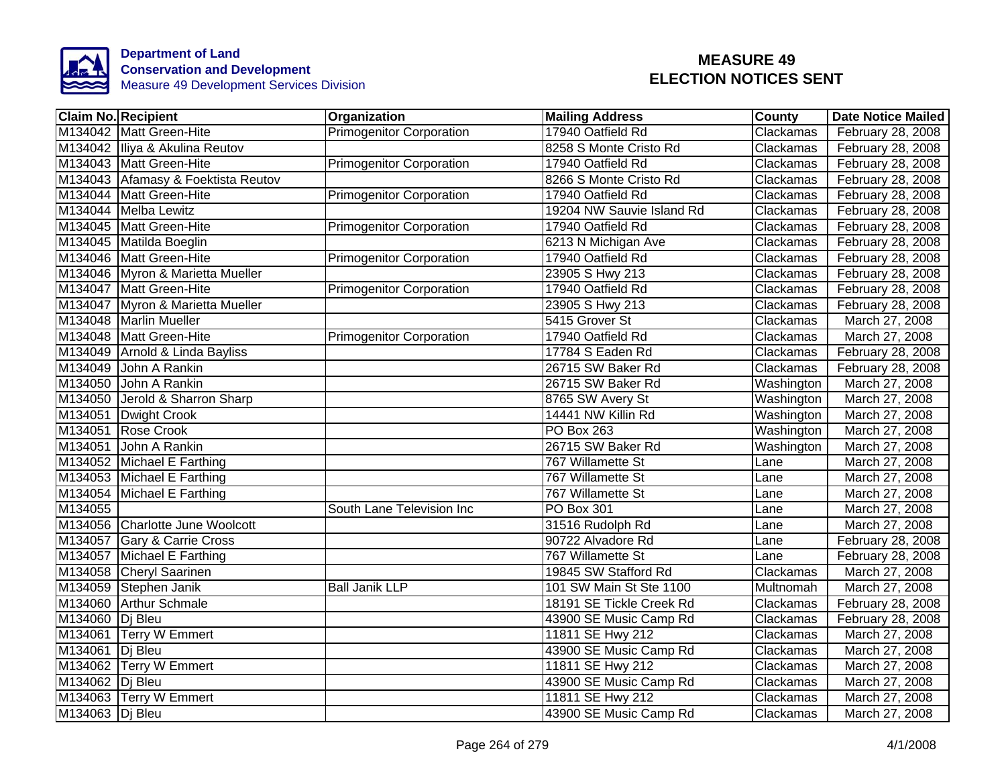

| <b>Claim No. Recipient</b>         | <b>Organization</b>             | <b>Mailing Address</b>    | <b>County</b> | <b>Date Notice Mailed</b> |
|------------------------------------|---------------------------------|---------------------------|---------------|---------------------------|
| M134042 Matt Green-Hite            | <b>Primogenitor Corporation</b> | 17940 Oatfield Rd         | Clackamas     | February 28, 2008         |
| M134042 Iliya & Akulina Reutov     |                                 | 8258 S Monte Cristo Rd    | Clackamas     | February 28, 2008         |
| M134043 Matt Green-Hite            | <b>Primogenitor Corporation</b> | 17940 Oatfield Rd         | Clackamas     | February 28, 2008         |
| M134043 Afamasy & Foektista Reutov |                                 | 8266 S Monte Cristo Rd    | Clackamas     | February 28, 2008         |
| M134044 Matt Green-Hite            | <b>Primogenitor Corporation</b> | 17940 Oatfield Rd         | Clackamas     | February 28, 2008         |
| M134044 Melba Lewitz               |                                 | 19204 NW Sauvie Island Rd | Clackamas     | February 28, 2008         |
| M134045   Matt Green-Hite          | <b>Primogenitor Corporation</b> | 17940 Oatfield Rd         | Clackamas     | February 28, 2008         |
| M134045 Matilda Boeglin            |                                 | 6213 N Michigan Ave       | Clackamas     | February 28, 2008         |
| M134046 Matt Green-Hite            | <b>Primogenitor Corporation</b> | 17940 Oatfield Rd         | Clackamas     | February 28, 2008         |
| M134046 Myron & Marietta Mueller   |                                 | 23905 S Hwy 213           | Clackamas     | February 28, 2008         |
| M134047 Matt Green-Hite            | <b>Primogenitor Corporation</b> | 17940 Oatfield Rd         | Clackamas     | February 28, 2008         |
| M134047 Myron & Marietta Mueller   |                                 | 23905 S Hwy 213           | Clackamas     | February 28, 2008         |
| M134048 Marlin Mueller             |                                 | 5415 Grover St            | Clackamas     | March 27, 2008            |
| M134048 Matt Green-Hite            | <b>Primogenitor Corporation</b> | 17940 Oatfield Rd         | Clackamas     | March 27, 2008            |
| M134049 Arnold & Linda Bayliss     |                                 | 17784 S Eaden Rd          | Clackamas     | February 28, 2008         |
| M134049<br>John A Rankin           |                                 | 26715 SW Baker Rd         | Clackamas     | February 28, 2008         |
| M134050<br>John A Rankin           |                                 | 26715 SW Baker Rd         | Washington    | March 27, 2008            |
| M134050<br>Jerold & Sharron Sharp  |                                 | 8765 SW Avery St          | Washington    | March 27, 2008            |
| M134051 Dwight Crook               |                                 | 14441 NW Killin Rd        | Washington    | March 27, 2008            |
| M134051 Rose Crook                 |                                 | <b>PO Box 263</b>         | Washington    | March 27, 2008            |
| M134051<br>John A Rankin           |                                 | 26715 SW Baker Rd         | Washington    | March 27, 2008            |
| M134052 Michael E Farthing         |                                 | 767 Willamette St         | Lane          | March 27, 2008            |
| M134053 Michael E Farthing         |                                 | 767 Willamette St         | Lane          | March 27, 2008            |
| M134054 Michael E Farthing         |                                 | 767 Willamette St         | Lane          | March 27, 2008            |
| M134055                            | South Lane Television Inc       | PO Box 301                | Lane          | March 27, 2008            |
| M134056 Charlotte June Woolcott    |                                 | 31516 Rudolph Rd          | Lane          | March 27, 2008            |
| M134057 Gary & Carrie Cross        |                                 | 90722 Alvadore Rd         | Lane          | February 28, 2008         |
| M134057 Michael E Farthing         |                                 | 767 Willamette St         | Lane          | February 28, 2008         |
| M134058 Cheryl Saarinen            |                                 | 19845 SW Stafford Rd      | Clackamas     | March 27, 2008            |
| M134059 Stephen Janik              | <b>Ball Janik LLP</b>           | 101 SW Main St Ste 1100   | Multnomah     | March 27, 2008            |
| M134060 Arthur Schmale             |                                 | 18191 SE Tickle Creek Rd  | Clackamas     | February 28, 2008         |
| M134060   Dj Bleu                  |                                 | 43900 SE Music Camp Rd    | Clackamas     | February 28, 2008         |
| M134061 Terry W Emmert             |                                 | 11811 SE Hwy 212          | Clackamas     | March 27, 2008            |
| M134061 Dj Bleu                    |                                 | 43900 SE Music Camp Rd    | Clackamas     | March 27, 2008            |
| M134062 Terry W Emmert             |                                 | 11811 SE Hwy 212          | Clackamas     | March 27, 2008            |
| M134062 Dj Bleu                    |                                 | 43900 SE Music Camp Rd    | Clackamas     | March 27, 2008            |
| M134063 Terry W Emmert             |                                 | 11811 SE Hwy 212          | Clackamas     | March 27, 2008            |
| M134063 Di Bleu                    |                                 | 43900 SE Music Camp Rd    | Clackamas     | March 27, 2008            |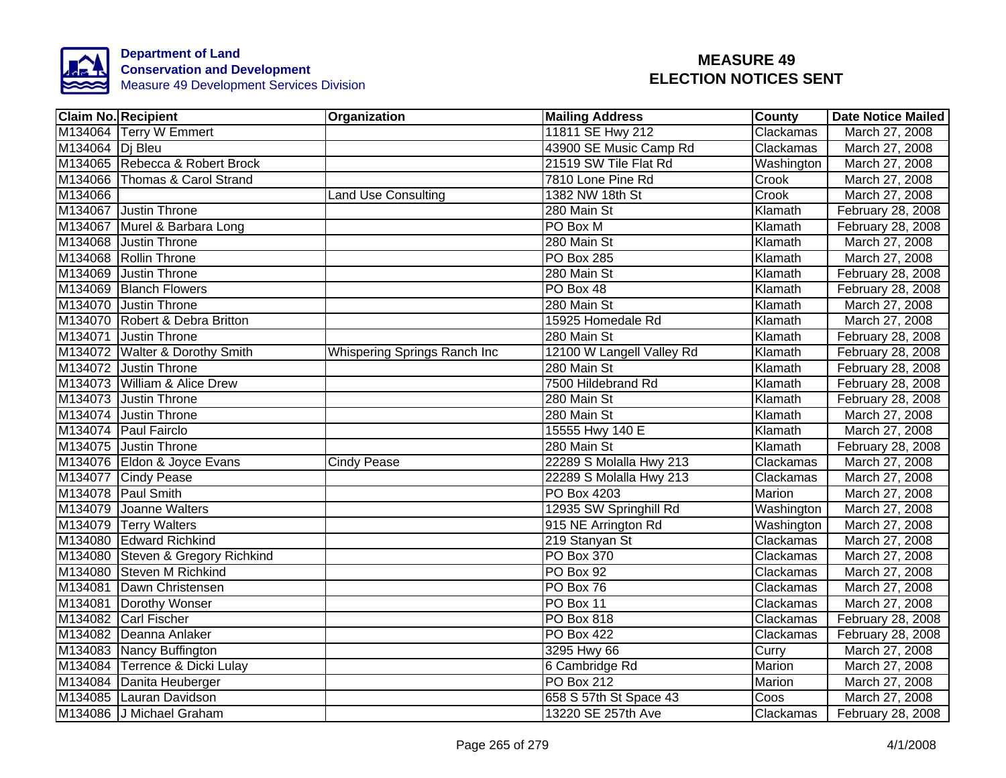

|                 | <b>Claim No. Recipient</b>        | Organization                 | <b>Mailing Address</b>    | County     | <b>Date Notice Mailed</b> |
|-----------------|-----------------------------------|------------------------------|---------------------------|------------|---------------------------|
|                 | M134064 Terry W Emmert            |                              | 11811 SE Hwy 212          | Clackamas  | March 27, 2008            |
| M134064 Di Bleu |                                   |                              | 43900 SE Music Camp Rd    | Clackamas  | March 27, 2008            |
|                 | M134065 Rebecca & Robert Brock    |                              | 21519 SW Tile Flat Rd     | Washington | March 27, 2008            |
|                 | M134066 Thomas & Carol Strand     |                              | 7810 Lone Pine Rd         | Crook      | March 27, 2008            |
| M134066         |                                   | <b>Land Use Consulting</b>   | 1382 NW 18th St           | Crook      | March 27, 2008            |
|                 | M134067 Justin Throne             |                              | 280 Main St               | Klamath    | February 28, 2008         |
|                 | M134067 Murel & Barbara Long      |                              | PO Box M                  | Klamath    | February 28, 2008         |
|                 | M134068 Justin Throne             |                              | 280 Main St               | Klamath    | March 27, 2008            |
|                 | M134068 Rollin Throne             |                              | <b>PO Box 285</b>         | Klamath    | March 27, 2008            |
|                 | M134069 Justin Throne             |                              | 280 Main St               | Klamath    | February 28, 2008         |
|                 | M134069 Blanch Flowers            |                              | PO Box 48                 | Klamath    | February 28, 2008         |
|                 | M134070 Justin Throne             |                              | 280 Main St               | Klamath    | March 27, 2008            |
|                 | M134070 Robert & Debra Britton    |                              | 15925 Homedale Rd         | Klamath    | March 27, 2008            |
|                 | M134071 Justin Throne             |                              | 280 Main St               | Klamath    | February 28, 2008         |
|                 | M134072 Walter & Dorothy Smith    | Whispering Springs Ranch Inc | 12100 W Langell Valley Rd | Klamath    | February 28, 2008         |
|                 | M134072 Justin Throne             |                              | 280 Main St               | Klamath    | February 28, 2008         |
|                 | M134073 William & Alice Drew      |                              | 7500 Hildebrand Rd        | Klamath    | February 28, 2008         |
|                 | M134073 Justin Throne             |                              | 280 Main St               | Klamath    | February 28, 2008         |
|                 | M134074 Justin Throne             |                              | 280 Main St               | Klamath    | March 27, 2008            |
|                 | M134074 Paul Fairclo              |                              | 15555 Hwy 140 E           | Klamath    | March 27, 2008            |
|                 | M134075 Justin Throne             |                              | 280 Main St               | Klamath    | February 28, 2008         |
|                 | M134076 Eldon & Joyce Evans       | <b>Cindy Pease</b>           | 22289 S Molalla Hwy 213   | Clackamas  | March 27, 2008            |
|                 | M134077 Cindy Pease               |                              | 22289 S Molalla Hwy 213   | Clackamas  | March 27, 2008            |
|                 | M134078 Paul Smith                |                              | <b>PO Box 4203</b>        | Marion     | March 27, 2008            |
|                 | M134079 Joanne Walters            |                              | 12935 SW Springhill Rd    | Washington | March 27, 2008            |
|                 | M134079 Terry Walters             |                              | 915 NE Arrington Rd       | Washington | March 27, 2008            |
|                 | M134080 Edward Richkind           |                              | 219 Stanyan St            | Clackamas  | March 27, 2008            |
|                 | M134080 Steven & Gregory Richkind |                              | PO Box 370                | Clackamas  | March 27, 2008            |
|                 | M134080 Steven M Richkind         |                              | PO Box 92                 | Clackamas  | March 27, 2008            |
|                 | M134081 Dawn Christensen          |                              | PO Box 76                 | Clackamas  | March 27, 2008            |
|                 | M134081 Dorothy Wonser            |                              | PO Box 11                 | Clackamas  | March 27, 2008            |
|                 | M134082 Carl Fischer              |                              | PO Box 818                | Clackamas  | February 28, 2008         |
|                 | M134082 Deanna Anlaker            |                              | <b>PO Box 422</b>         | Clackamas  | February 28, 2008         |
|                 | M134083 Nancy Buffington          |                              | 3295 Hwy 66               | Curry      | March 27, 2008            |
|                 | M134084 Terrence & Dicki Lulay    |                              | 6 Cambridge Rd            | Marion     | March 27, 2008            |
|                 | M134084 Danita Heuberger          |                              | <b>PO Box 212</b>         | Marion     | March 27, 2008            |
|                 | M134085 Lauran Davidson           |                              | 658 S 57th St Space 43    | Coos       | March 27, 2008            |
|                 | M134086 J Michael Graham          |                              | 13220 SE 257th Ave        | Clackamas  | February 28, 2008         |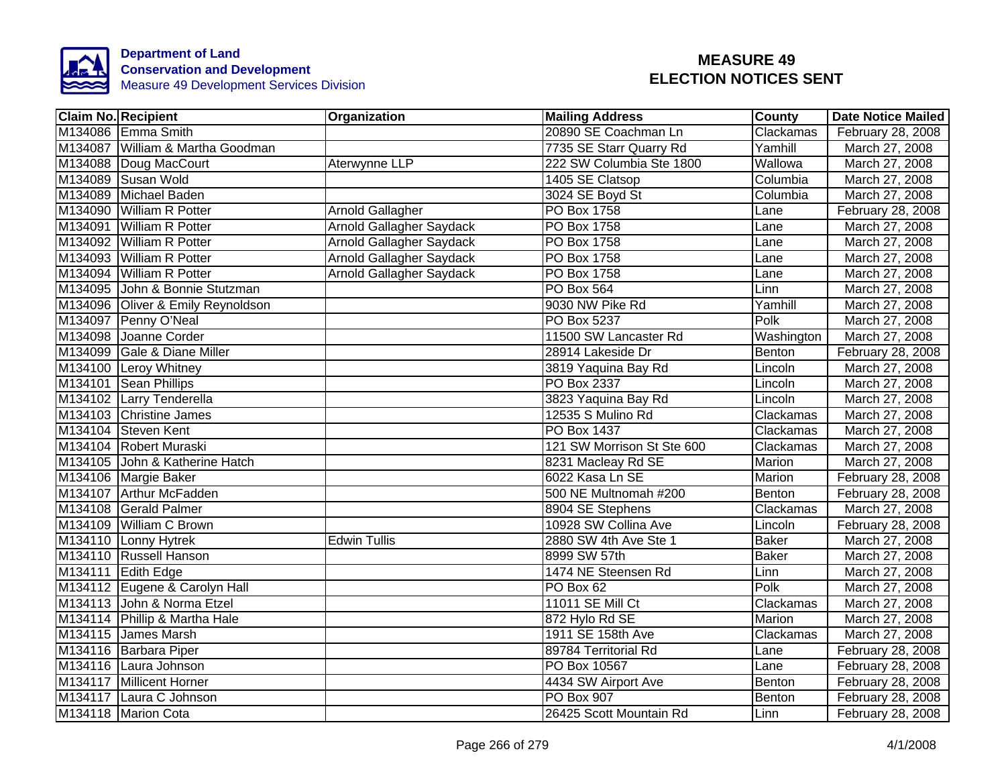

| <b>Claim No. Recipient</b>        | Organization             | <b>Mailing Address</b>     | <b>County</b> | <b>Date Notice Mailed</b> |
|-----------------------------------|--------------------------|----------------------------|---------------|---------------------------|
| M134086 Emma Smith                |                          | 20890 SE Coachman Ln       | Clackamas     | February 28, 2008         |
| M134087 William & Martha Goodman  |                          | 7735 SE Starr Quarry Rd    | Yamhill       | March 27, 2008            |
| M134088 Doug MacCourt             | Aterwynne LLP            | 222 SW Columbia Ste 1800   | Wallowa       | March 27, 2008            |
| M134089 Susan Wold                |                          | 1405 SE Clatsop            | Columbia      | March 27, 2008            |
| M134089 Michael Baden             |                          | 3024 SE Boyd St            | Columbia      | March 27, 2008            |
| M134090 William R Potter          | Arnold Gallagher         | PO Box 1758                | Lane          | February 28, 2008         |
| M134091 William R Potter          | Arnold Gallagher Saydack | PO Box 1758                | Lane          | March 27, 2008            |
| M134092 William R Potter          | Arnold Gallagher Saydack | PO Box 1758                | Lane          | March 27, 2008            |
| M134093 William R Potter          | Arnold Gallagher Saydack | PO Box 1758                | Lane          | March 27, 2008            |
| M134094 William R Potter          | Arnold Gallagher Saydack | PO Box 1758                | Lane          | March 27, 2008            |
| M134095 John & Bonnie Stutzman    |                          | PO Box 564                 | Linn          | March 27, 2008            |
| M134096 Oliver & Emily Reynoldson |                          | 9030 NW Pike Rd            | Yamhill       | March 27, 2008            |
| M134097 Penny O'Neal              |                          | PO Box 5237                | Polk          | March 27, 2008            |
| M134098 Joanne Corder             |                          | 11500 SW Lancaster Rd      | Washington    | March 27, 2008            |
| M134099 Gale & Diane Miller       |                          | 28914 Lakeside Dr          | Benton        | February 28, 2008         |
| M134100 Leroy Whitney             |                          | 3819 Yaquina Bay Rd        | Lincoln       | March 27, 2008            |
| M134101 Sean Phillips             |                          | PO Box 2337                | Lincoln       | March 27, 2008            |
| M134102 Larry Tenderella          |                          | 3823 Yaquina Bay Rd        | Lincoln       | March 27, 2008            |
| M134103 Christine James           |                          | 12535 S Mulino Rd          | Clackamas     | March 27, 2008            |
| M134104 Steven Kent               |                          | <b>PO Box 1437</b>         | Clackamas     | March 27, 2008            |
| M134104 Robert Muraski            |                          | 121 SW Morrison St Ste 600 | Clackamas     | March 27, 2008            |
| M134105 John & Katherine Hatch    |                          | 8231 Macleay Rd SE         | <b>Marion</b> | March 27, 2008            |
| M134106 Margie Baker              |                          | 6022 Kasa Ln SE            | Marion        | February 28, 2008         |
| M134107 Arthur McFadden           |                          | 500 NE Multnomah #200      | Benton        | February 28, 2008         |
| M134108 Gerald Palmer             |                          | 8904 SE Stephens           | Clackamas     | March 27, 2008            |
| M134109 William C Brown           |                          | 10928 SW Collina Ave       | Lincoln       | February 28, 2008         |
| M134110 Lonny Hytrek              | <b>Edwin Tullis</b>      | 2880 SW 4th Ave Ste 1      | <b>Baker</b>  | March 27, 2008            |
| M134110 Russell Hanson            |                          | 8999 SW 57th               | <b>Baker</b>  | March 27, 2008            |
| M134111 Edith Edge                |                          | 1474 NE Steensen Rd        | Linn          | March 27, 2008            |
| M134112 Eugene & Carolyn Hall     |                          | PO Box 62                  | Polk          | March 27, 2008            |
| M134113 John & Norma Etzel        |                          | 11011 SE Mill Ct           | Clackamas     | March 27, 2008            |
| M134114 Phillip & Martha Hale     |                          | 872 Hylo Rd SE             | Marion        | March 27, 2008            |
| M134115 James Marsh               |                          | 1911 SE 158th Ave          | Clackamas     | March 27, 2008            |
| M134116 Barbara Piper             |                          | 89784 Territorial Rd       | Lane          | February 28, 2008         |
| M134116 Laura Johnson             |                          | PO Box 10567               | Lane          | February 28, 2008         |
| M134117 Millicent Horner          |                          | 4434 SW Airport Ave        | Benton        | February 28, 2008         |
| M134117 Laura C Johnson           |                          | <b>PO Box 907</b>          | Benton        | February 28, 2008         |
| M134118 Marion Cota               |                          | 26425 Scott Mountain Rd    | Linn          | February 28, 2008         |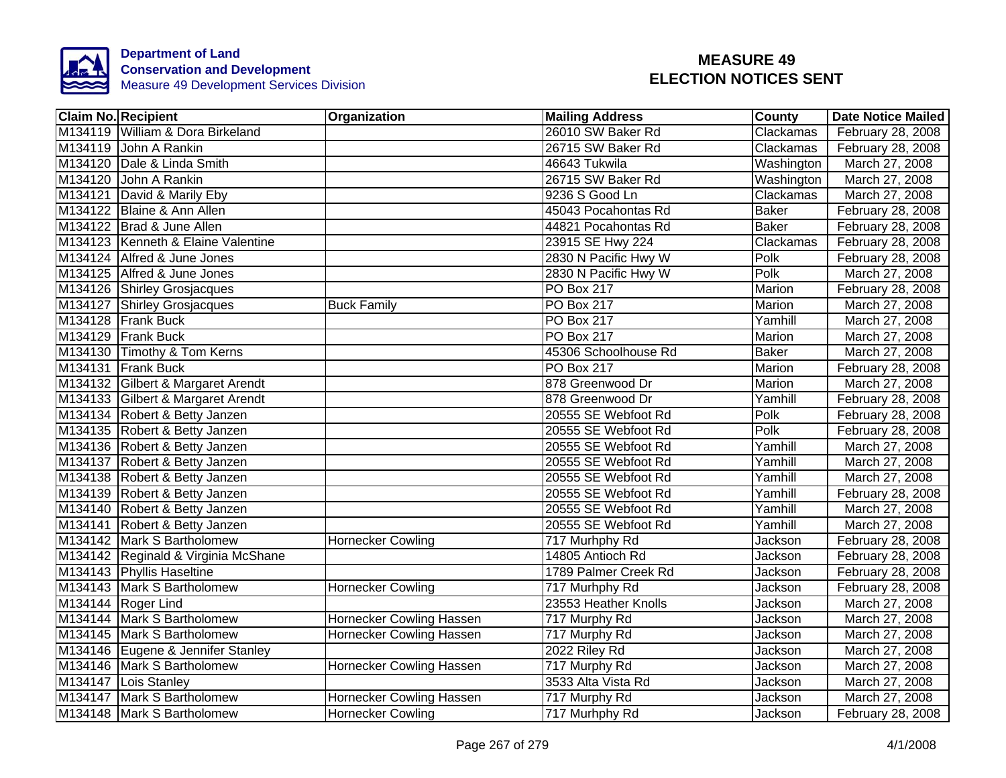

| <b>Claim No. Recipient</b>          | Organization                    | <b>Mailing Address</b> | County       | <b>Date Notice Mailed</b> |
|-------------------------------------|---------------------------------|------------------------|--------------|---------------------------|
| M134119 William & Dora Birkeland    |                                 | 26010 SW Baker Rd      | Clackamas    | February 28, 2008         |
| M134119 John A Rankin               |                                 | 26715 SW Baker Rd      | Clackamas    | February 28, 2008         |
| M134120 Dale & Linda Smith          |                                 | 46643 Tukwila          | Washington   | March 27, 2008            |
| M134120 John A Rankin               |                                 | 26715 SW Baker Rd      | Washington   | March 27, 2008            |
| M134121 David & Marily Eby          |                                 | 9236 S Good Ln         | Clackamas    | March 27, 2008            |
| M134122 Blaine & Ann Allen          |                                 | 45043 Pocahontas Rd    | <b>Baker</b> | February 28, 2008         |
| M134122 Brad & June Allen           |                                 | 44821 Pocahontas Rd    | <b>Baker</b> | February 28, 2008         |
| M134123 Kenneth & Elaine Valentine  |                                 | 23915 SE Hwy 224       | Clackamas    | February 28, 2008         |
| M134124 Alfred & June Jones         |                                 | 2830 N Pacific Hwy W   | Polk         | February 28, 2008         |
| M134125 Alfred & June Jones         |                                 | 2830 N Pacific Hwy W   | Polk         | March 27, 2008            |
| M134126 Shirley Grosjacques         |                                 | PO Box 217             | Marion       | February 28, 2008         |
| M134127 Shirley Grosjacques         | <b>Buck Family</b>              | PO Box 217             | Marion       | March 27, 2008            |
| M134128 Frank Buck                  |                                 | PO Box 217             | Yamhill      | March 27, 2008            |
| M134129 Frank Buck                  |                                 | PO Box 217             | Marion       | March 27, 2008            |
| M134130 Timothy & Tom Kerns         |                                 | 45306 Schoolhouse Rd   | <b>Baker</b> | March 27, 2008            |
| M134131 Frank Buck                  |                                 | <b>PO Box 217</b>      | Marion       | February 28, 2008         |
| M134132 Gilbert & Margaret Arendt   |                                 | 878 Greenwood Dr       | Marion       | March 27, 2008            |
| M134133 Gilbert & Margaret Arendt   |                                 | 878 Greenwood Dr       | Yamhill      | February 28, 2008         |
| M134134 Robert & Betty Janzen       |                                 | 20555 SE Webfoot Rd    | Polk         | February 28, 2008         |
| M134135 Robert & Betty Janzen       |                                 | 20555 SE Webfoot Rd    | Polk         | February 28, 2008         |
| M134136 Robert & Betty Janzen       |                                 | 20555 SE Webfoot Rd    | Yamhill      | March 27, 2008            |
| M134137 Robert & Betty Janzen       |                                 | 20555 SE Webfoot Rd    | Yamhill      | March 27, 2008            |
| M134138 Robert & Betty Janzen       |                                 | 20555 SE Webfoot Rd    | Yamhill      | March 27, 2008            |
| M134139 Robert & Betty Janzen       |                                 | 20555 SE Webfoot Rd    | Yamhill      | February 28, 2008         |
| M134140 Robert & Betty Janzen       |                                 | 20555 SE Webfoot Rd    | Yamhill      | March 27, 2008            |
| M134141 Robert & Betty Janzen       |                                 | 20555 SE Webfoot Rd    | Yamhill      | March 27, 2008            |
| M134142 Mark S Bartholomew          | <b>Hornecker Cowling</b>        | 717 Murhphy Rd         | Jackson      | February 28, 2008         |
| M134142 Reginald & Virginia McShane |                                 | 14805 Antioch Rd       | Jackson      | February 28, 2008         |
| M134143 Phyllis Haseltine           |                                 | 1789 Palmer Creek Rd   | Jackson      | February 28, 2008         |
| M134143 Mark S Bartholomew          | Hornecker Cowling               | 717 Murhphy Rd         | Jackson      | February 28, 2008         |
| M134144 Roger Lind                  |                                 | 23553 Heather Knolls   | Jackson      | March 27, 2008            |
| M134144 Mark S Bartholomew          | Hornecker Cowling Hassen        | 717 Murphy Rd          | Jackson      | March 27, 2008            |
| M134145 Mark S Bartholomew          | <b>Hornecker Cowling Hassen</b> | 717 Murphy Rd          | Jackson      | March 27, 2008            |
| M134146 Eugene & Jennifer Stanley   |                                 | 2022 Riley Rd          | Jackson      | March 27, 2008            |
| M134146 Mark S Bartholomew          | Hornecker Cowling Hassen        | 717 Murphy Rd          | Jackson      | March 27, 2008            |
| M134147 Lois Stanley                |                                 | 3533 Alta Vista Rd     | Jackson      | March 27, 2008            |
| M134147 Mark S Bartholomew          | Hornecker Cowling Hassen        | 717 Murphy Rd          | Jackson      | March 27, 2008            |
| M134148 Mark S Bartholomew          | <b>Hornecker Cowling</b>        | 717 Murhphy Rd         | Jackson      | February 28, 2008         |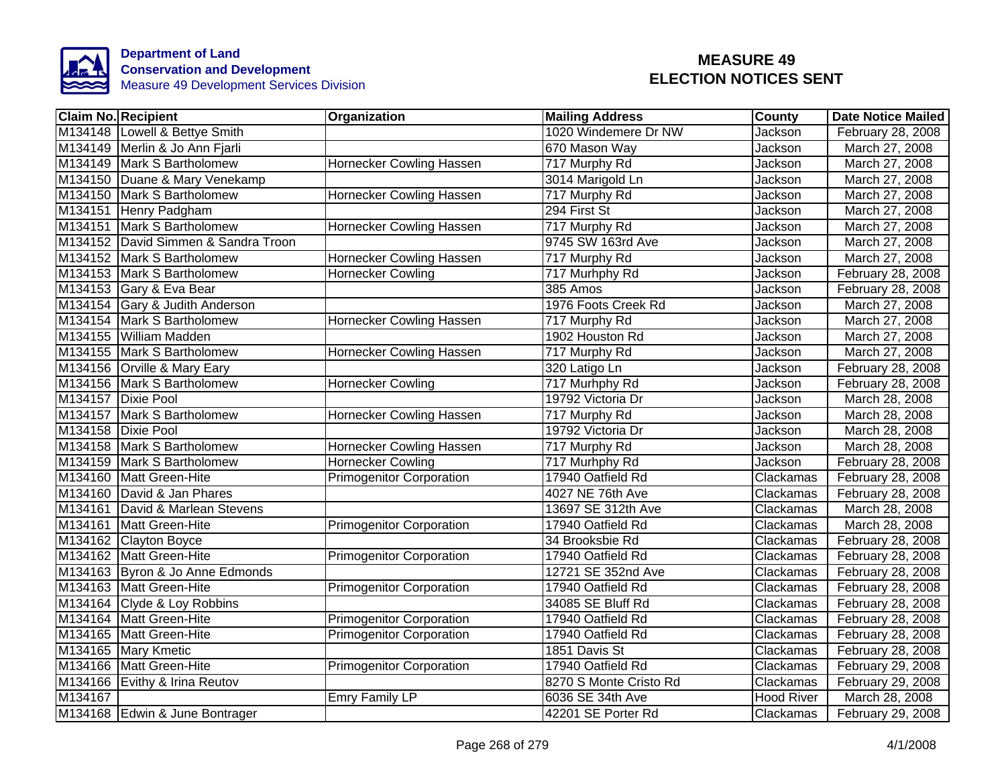

| <b>Claim No. Recipient</b>          | Organization                    | <b>Mailing Address</b> | County            | <b>Date Notice Mailed</b> |
|-------------------------------------|---------------------------------|------------------------|-------------------|---------------------------|
| M134148 Lowell & Bettye Smith       |                                 | 1020 Windemere Dr NW   | Jackson           | February 28, 2008         |
| M134149 Merlin & Jo Ann Fjarli      |                                 | 670 Mason Way          | Jackson           | March 27, 2008            |
| M134149 Mark S Bartholomew          | Hornecker Cowling Hassen        | 717 Murphy Rd          | Jackson           | March 27, 2008            |
| M134150 Duane & Mary Venekamp       |                                 | 3014 Marigold Ln       | Jackson           | March 27, 2008            |
| M134150 Mark S Bartholomew          | Hornecker Cowling Hassen        | 717 Murphy Rd          | Jackson           | March 27, 2008            |
| M134151 Henry Padgham               |                                 | 294 First St           | Jackson           | March 27, 2008            |
| M134151<br>Mark S Bartholomew       | Hornecker Cowling Hassen        | 717 Murphy Rd          | Jackson           | March 27, 2008            |
| M134152 David Simmen & Sandra Troon |                                 | 9745 SW 163rd Ave      | Jackson           | March 27, 2008            |
| M134152 Mark S Bartholomew          | Hornecker Cowling Hassen        | 717 Murphy Rd          | Jackson           | March 27, 2008            |
| M134153 Mark S Bartholomew          | <b>Hornecker Cowling</b>        | 717 Murhphy Rd         | Jackson           | February 28, 2008         |
| M134153 Gary & Eva Bear             |                                 | 385 Amos               | Jackson           | February 28, 2008         |
| M134154 Gary & Judith Anderson      |                                 | 1976 Foots Creek Rd    | Jackson           | March 27, 2008            |
| M134154 Mark S Bartholomew          | Hornecker Cowling Hassen        | 717 Murphy Rd          | Jackson           | March 27, 2008            |
| M134155 William Madden              |                                 | 1902 Houston Rd        | Jackson           | March 27, 2008            |
| M134155 Mark S Bartholomew          | <b>Hornecker Cowling Hassen</b> | 717 Murphy Rd          | Jackson           | March 27, 2008            |
| M134156 Orville & Mary Eary         |                                 | 320 Latigo Ln          | Jackson           | February 28, 2008         |
| M134156 Mark S Bartholomew          | <b>Hornecker Cowling</b>        | 717 Murhphy Rd         | Jackson           | February 28, 2008         |
| M134157 Dixie Pool                  |                                 | 19792 Victoria Dr      | Jackson           | March 28, 2008            |
| M134157 Mark S Bartholomew          | Hornecker Cowling Hassen        | 717 Murphy Rd          | Jackson           | March 28, 2008            |
| M134158 Dixie Pool                  |                                 | 19792 Victoria Dr      | Jackson           | March 28, 2008            |
| M134158 Mark S Bartholomew          | Hornecker Cowling Hassen        | 717 Murphy Rd          | Jackson           | March 28, 2008            |
| M134159 Mark S Bartholomew          | Hornecker Cowling               | 717 Murhphy Rd         | Jackson           | February 28, 2008         |
| M134160 Matt Green-Hite             | <b>Primogenitor Corporation</b> | 17940 Oatfield Rd      | Clackamas         | February 28, 2008         |
| M134160 David & Jan Phares          |                                 | 4027 NE 76th Ave       | Clackamas         | February 28, 2008         |
| M134161 David & Marlean Stevens     |                                 | 13697 SE 312th Ave     | Clackamas         | March 28, 2008            |
| M134161 Matt Green-Hite             | <b>Primogenitor Corporation</b> | 17940 Oatfield Rd      | Clackamas         | March 28, 2008            |
| M134162 Clayton Boyce               |                                 | 34 Brooksbie Rd        | Clackamas         | February 28, 2008         |
| M134162 Matt Green-Hite             | <b>Primogenitor Corporation</b> | 17940 Oatfield Rd      | Clackamas         | February 28, 2008         |
| M134163 Byron & Jo Anne Edmonds     |                                 | 12721 SE 352nd Ave     | Clackamas         | February 28, 2008         |
| M134163 Matt Green-Hite             | <b>Primogenitor Corporation</b> | 17940 Oatfield Rd      | Clackamas         | February 28, 2008         |
| M134164 Clyde & Loy Robbins         |                                 | 34085 SE Bluff Rd      | Clackamas         | February 28, 2008         |
| M134164 Matt Green-Hite             | <b>Primogenitor Corporation</b> | 17940 Oatfield Rd      | Clackamas         | February 28, 2008         |
| M134165 Matt Green-Hite             | <b>Primogenitor Corporation</b> | 17940 Oatfield Rd      | Clackamas         | February 28, 2008         |
| M134165 Mary Kmetic                 |                                 | 1851 Davis St          | Clackamas         | February 28, 2008         |
| M134166 Matt Green-Hite             | <b>Primogenitor Corporation</b> | 17940 Oatfield Rd      | Clackamas         | February 29, 2008         |
| M134166 Evithy & Irina Reutov       |                                 | 8270 S Monte Cristo Rd | Clackamas         | February 29, 2008         |
| M134167                             | Emry Family LP                  | 6036 SE 34th Ave       | <b>Hood River</b> | March 28, 2008            |
| M134168 Edwin & June Bontrager      |                                 | 42201 SE Porter Rd     | Clackamas         | February 29, 2008         |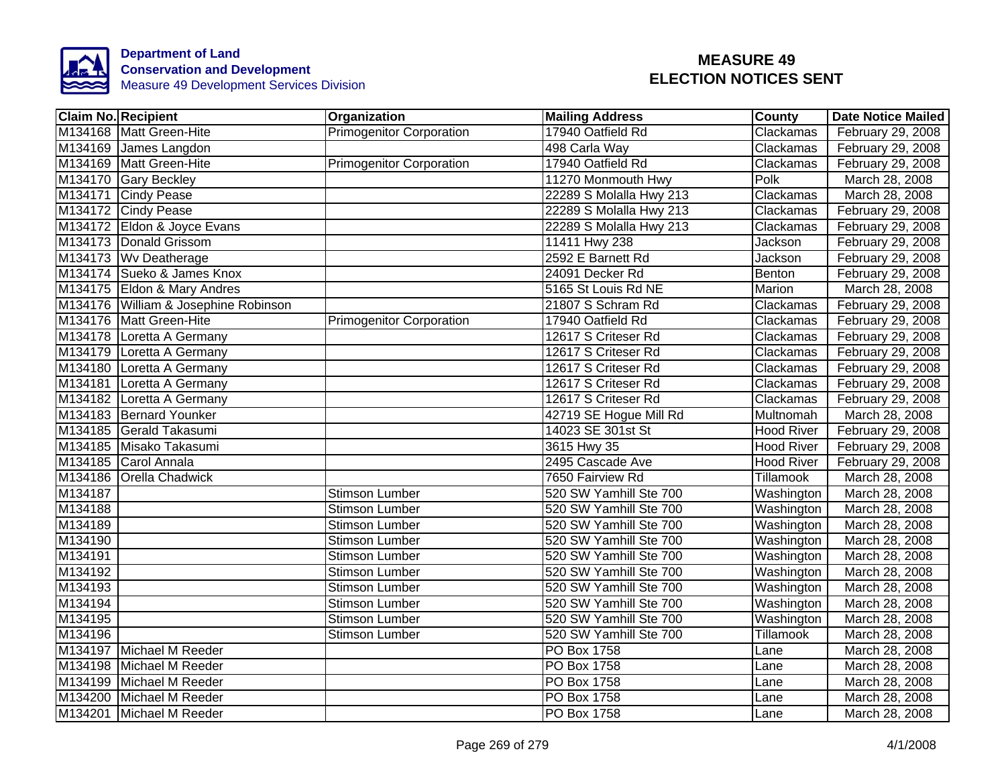

|         | <b>Claim No. Recipient</b>           | Organization                    | <b>Mailing Address</b>  | <b>County</b>     | <b>Date Notice Mailed</b> |
|---------|--------------------------------------|---------------------------------|-------------------------|-------------------|---------------------------|
|         | M134168 Matt Green-Hite              | <b>Primogenitor Corporation</b> | 17940 Oatfield Rd       | Clackamas         | February 29, 2008         |
|         | M134169 James Langdon                |                                 | 498 Carla Way           | Clackamas         | February 29, 2008         |
|         | M134169 Matt Green-Hite              | <b>Primogenitor Corporation</b> | 17940 Oatfield Rd       | Clackamas         | February 29, 2008         |
|         | M134170 Gary Beckley                 |                                 | 11270 Monmouth Hwy      | Polk              | March 28, 2008            |
|         | M134171 Cindy Pease                  |                                 | 22289 S Molalla Hwy 213 | Clackamas         | March 28, 2008            |
|         | M134172 Cindy Pease                  |                                 | 22289 S Molalla Hwy 213 | Clackamas         | February 29, 2008         |
|         | M134172 Eldon & Joyce Evans          |                                 | 22289 S Molalla Hwy 213 | Clackamas         | February 29, 2008         |
|         | M134173 Donald Grissom               |                                 | 11411 Hwy 238           | Jackson           | February 29, 2008         |
|         | M134173 Wv Deatherage                |                                 | 2592 E Barnett Rd       | Jackson           | February 29, 2008         |
|         | M134174 Sueko & James Knox           |                                 | 24091 Decker Rd         | Benton            | February 29, 2008         |
|         | M134175 Eldon & Mary Andres          |                                 | 5165 St Louis Rd NE     | Marion            | March 28, 2008            |
|         | M134176 William & Josephine Robinson |                                 | 21807 S Schram Rd       | Clackamas         | February 29, 2008         |
|         | M134176 Matt Green-Hite              | <b>Primogenitor Corporation</b> | 17940 Oatfield Rd       | Clackamas         | February 29, 2008         |
|         | M134178 Loretta A Germany            |                                 | 12617 S Criteser Rd     | Clackamas         | February 29, 2008         |
|         | M134179 Loretta A Germany            |                                 | 12617 S Criteser Rd     | Clackamas         | February 29, 2008         |
|         | M134180 Loretta A Germany            |                                 | 12617 S Criteser Rd     | Clackamas         | February 29, 2008         |
|         | M134181 Loretta A Germany            |                                 | 12617 S Criteser Rd     | Clackamas         | February 29, 2008         |
|         | M134182 Loretta A Germany            |                                 | 12617 S Criteser Rd     | Clackamas         | February 29, 2008         |
|         | M134183 Bernard Younker              |                                 | 42719 SE Hogue Mill Rd  | Multnomah         | March 28, 2008            |
|         | M134185 Gerald Takasumi              |                                 | 14023 SE 301st St       | <b>Hood River</b> | February 29, 2008         |
|         | M134185 Misako Takasumi              |                                 | 3615 Hwy 35             | <b>Hood River</b> | February 29, 2008         |
|         | M134185 Carol Annala                 |                                 | 2495 Cascade Ave        | <b>Hood River</b> | February 29, 2008         |
|         | M134186 Orella Chadwick              |                                 | 7650 Fairview Rd        | Tillamook         | March 28, 2008            |
| M134187 |                                      | <b>Stimson Lumber</b>           | 520 SW Yamhill Ste 700  | Washington        | March 28, 2008            |
| M134188 |                                      | <b>Stimson Lumber</b>           | 520 SW Yamhill Ste 700  | Washington        | March 28, 2008            |
| M134189 |                                      | <b>Stimson Lumber</b>           | 520 SW Yamhill Ste 700  | Washington        | March 28, 2008            |
| M134190 |                                      | <b>Stimson Lumber</b>           | 520 SW Yamhill Ste 700  | Washington        | March 28, 2008            |
| M134191 |                                      | <b>Stimson Lumber</b>           | 520 SW Yamhill Ste 700  | Washington        | March 28, 2008            |
| M134192 |                                      | <b>Stimson Lumber</b>           | 520 SW Yamhill Ste 700  | Washington        | March 28, 2008            |
| M134193 |                                      | <b>Stimson Lumber</b>           | 520 SW Yamhill Ste 700  | Washington        | March 28, 2008            |
| M134194 |                                      | <b>Stimson Lumber</b>           | 520 SW Yamhill Ste 700  | Washington        | March 28, 2008            |
| M134195 |                                      | <b>Stimson Lumber</b>           | 520 SW Yamhill Ste 700  | Washington        | March 28, 2008            |
| M134196 |                                      | <b>Stimson Lumber</b>           | 520 SW Yamhill Ste 700  | Tillamook         | March 28, 2008            |
|         | M134197 Michael M Reeder             |                                 | PO Box 1758             | Lane              | March 28, 2008            |
|         | M134198 Michael M Reeder             |                                 | PO Box 1758             | Lane              | March 28, 2008            |
|         | M134199 Michael M Reeder             |                                 | PO Box 1758             | Lane              | March 28, 2008            |
|         | M134200 Michael M Reeder             |                                 | PO Box 1758             | Lane              | March 28, 2008            |
|         | M134201 Michael M Reeder             |                                 | PO Box 1758             | Lane              | March 28, 2008            |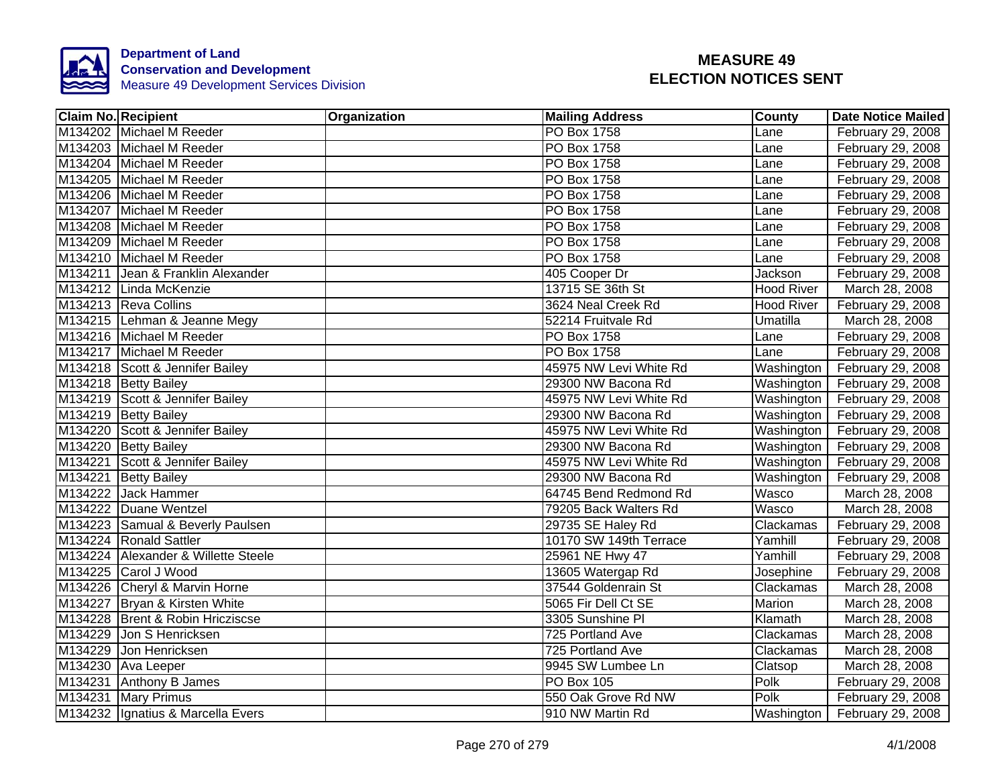

| <b>Claim No. Recipient</b>          | <b>Organization</b> | <b>Mailing Address</b> | <b>County</b>     | <b>Date Notice Mailed</b>      |
|-------------------------------------|---------------------|------------------------|-------------------|--------------------------------|
| M134202 Michael M Reeder            |                     | <b>PO Box 1758</b>     | Lane              | February 29, 2008              |
| M134203 Michael M Reeder            |                     | <b>PO Box 1758</b>     | Lane              | February 29, 2008              |
| M134204 Michael M Reeder            |                     | <b>PO Box 1758</b>     | Lane              | February 29, 2008              |
| M134205 Michael M Reeder            |                     | PO Box 1758            | Lane              | February 29, 2008              |
| M134206 Michael M Reeder            |                     | PO Box 1758            | Lane              | February 29, 2008              |
| M134207 Michael M Reeder            |                     | PO Box 1758            | Lane              | February 29, 2008              |
| M134208 Michael M Reeder            |                     | PO Box 1758            | Lane              | February 29, 2008              |
| M134209 Michael M Reeder            |                     | PO Box 1758            | Lane              | February 29, 2008              |
| M134210 Michael M Reeder            |                     | <b>PO</b> Box 1758     | Lane              | February 29, 2008              |
| M134211 Jean & Franklin Alexander   |                     | 405 Cooper Dr          | Jackson           | February 29, 2008              |
| M134212 Linda McKenzie              |                     | 13715 SE 36th St       | Hood River        | March 28, 2008                 |
| M134213 Reva Collins                |                     | 3624 Neal Creek Rd     | <b>Hood River</b> | February 29, 2008              |
| M134215 Lehman & Jeanne Megy        |                     | 52214 Fruitvale Rd     | Umatilla          | March 28, 2008                 |
| M134216 Michael M Reeder            |                     | PO Box 1758            | Lane              | February 29, 2008              |
| M134217 Michael M Reeder            |                     | <b>PO Box 1758</b>     | Lane              | February 29, 2008              |
| M134218 Scott & Jennifer Bailey     |                     | 45975 NW Levi White Rd | Washington        | February 29, 2008              |
| M134218 Betty Bailey                |                     | 29300 NW Bacona Rd     | Washington        | February 29, 2008              |
| M134219 Scott & Jennifer Bailey     |                     | 45975 NW Levi White Rd | Washington        | February 29, 2008              |
| M134219 Betty Bailey                |                     | 29300 NW Bacona Rd     | Washington        | February 29, 2008              |
| M134220 Scott & Jennifer Bailey     |                     | 45975 NW Levi White Rd | Washington        | February 29, 2008              |
| M134220 Betty Bailey                |                     | 29300 NW Bacona Rd     | Washington        | February 29, 2008              |
| M134221 Scott & Jennifer Bailey     |                     | 45975 NW Levi White Rd | Washington        | February 29, 2008              |
| M134221 Betty Bailey                |                     | 29300 NW Bacona Rd     | Washington        | February 29, 2008              |
| M134222 Jack Hammer                 |                     | 64745 Bend Redmond Rd  | Wasco             | March 28, 2008                 |
| M134222 Duane Wentzel               |                     | 79205 Back Walters Rd  | Wasco             | March 28, 2008                 |
| M134223 Samual & Beverly Paulsen    |                     | 29735 SE Haley Rd      | Clackamas         | February 29, 2008              |
| M134224 Ronald Sattler              |                     | 10170 SW 149th Terrace | Yamhill           | February 29, 2008              |
| M134224 Alexander & Willette Steele |                     | 25961 NE Hwy 47        | Yamhill           | February 29, 2008              |
| M134225 Carol J Wood                |                     | 13605 Watergap Rd      | Josephine         | February 29, 2008              |
| M134226 Cheryl & Marvin Horne       |                     | 37544 Goldenrain St    | Clackamas         | March 28, 2008                 |
| M134227 Bryan & Kirsten White       |                     | 5065 Fir Dell Ct SE    | Marion            | March 28, 2008                 |
| M134228 Brent & Robin Hricziscse    |                     | 3305 Sunshine PI       | Klamath           | March 28, 2008                 |
| M134229 Jon S Henricksen            |                     | 725 Portland Ave       | Clackamas         | March 28, 2008                 |
| M134229 Jon Henricksen              |                     | 725 Portland Ave       | Clackamas         | March 28, 2008                 |
| M134230 Ava Leeper                  |                     | 9945 SW Lumbee Ln      | Clatsop           | March 28, 2008                 |
| M134231 Anthony B James             |                     | <b>PO Box 105</b>      | Polk              | February 29, 2008              |
| M134231 Mary Primus                 |                     | 550 Oak Grove Rd NW    | Polk              | February 29, 2008              |
| M134232 Ignatius & Marcella Evers   |                     | 910 NW Martin Rd       |                   | Washington   February 29, 2008 |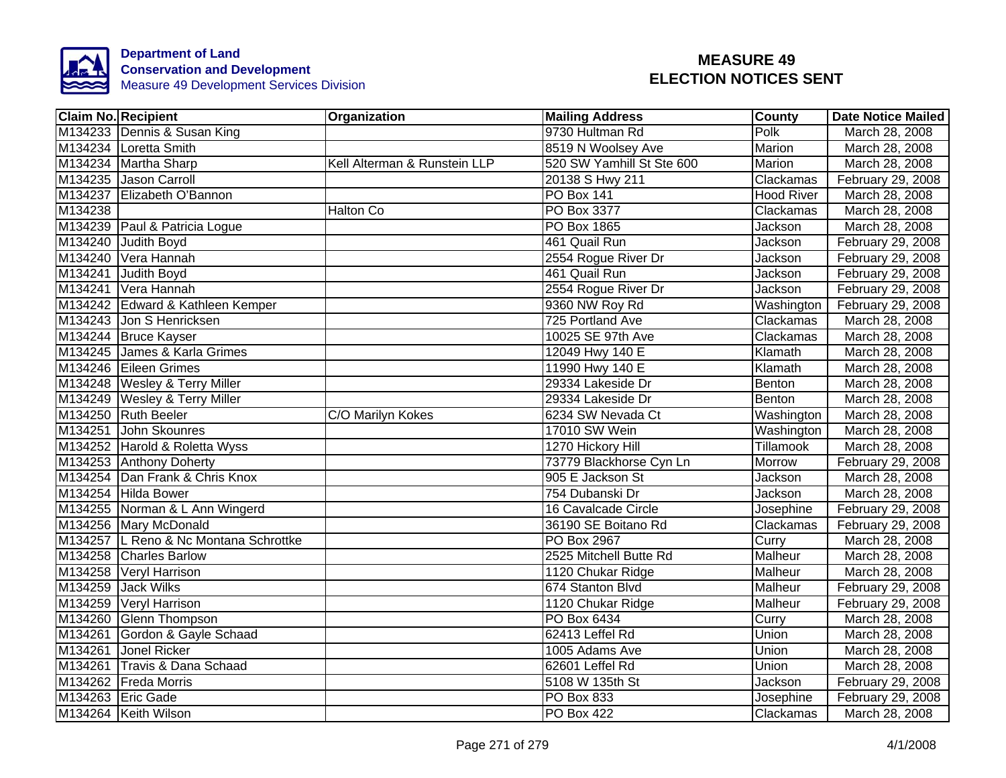

|         | <b>Claim No. Recipient</b>            | Organization                 | <b>Mailing Address</b>    | <b>County</b>     | Date Notice Mailed |
|---------|---------------------------------------|------------------------------|---------------------------|-------------------|--------------------|
|         | M134233 Dennis & Susan King           |                              | 9730 Hultman Rd           | Polk              | March 28, 2008     |
|         | M134234 Loretta Smith                 |                              | 8519 N Woolsey Ave        | Marion            | March 28, 2008     |
|         | M134234 Martha Sharp                  | Kell Alterman & Runstein LLP | 520 SW Yamhill St Ste 600 | <b>Marion</b>     | March 28, 2008     |
|         | M134235 Jason Carroll                 |                              | 20138 S Hwy 211           | Clackamas         | February 29, 2008  |
|         | M134237 Elizabeth O'Bannon            |                              | <b>PO Box 141</b>         | <b>Hood River</b> | March 28, 2008     |
| M134238 |                                       | Halton Co                    | PO Box 3377               | Clackamas         | March 28, 2008     |
|         | M134239 Paul & Patricia Logue         |                              | PO Box 1865               | Jackson           | March 28, 2008     |
|         | M134240 Judith Boyd                   |                              | 461 Quail Run             | Jackson           | February 29, 2008  |
|         | M134240 Vera Hannah                   |                              | 2554 Rogue River Dr       | Jackson           | February 29, 2008  |
|         | M134241 Judith Boyd                   |                              | 461 Quail Run             | Jackson           | February 29, 2008  |
|         | M134241 Vera Hannah                   |                              | 2554 Rogue River Dr       | Jackson           | February 29, 2008  |
|         | M134242 Edward & Kathleen Kemper      |                              | 9360 NW Roy Rd            | Washington        | February 29, 2008  |
|         | M134243 Jon S Henricksen              |                              | 725 Portland Ave          | Clackamas         | March 28, 2008     |
|         | M134244 Bruce Kayser                  |                              | 10025 SE 97th Ave         | Clackamas         | March 28, 2008     |
|         | M134245 James & Karla Grimes          |                              | 12049 Hwy 140 E           | Klamath           | March 28, 2008     |
|         | M134246 Eileen Grimes                 |                              | 11990 Hwy 140 E           | Klamath           | March 28, 2008     |
|         | M134248 Wesley & Terry Miller         |                              | 29334 Lakeside Dr         | <b>Benton</b>     | March 28, 2008     |
|         | M134249 Wesley & Terry Miller         |                              | 29334 Lakeside Dr         | Benton            | March 28, 2008     |
|         | M134250 Ruth Beeler                   | C/O Marilyn Kokes            | 6234 SW Nevada Ct         | Washington        | March 28, 2008     |
|         | M134251 John Skounres                 |                              | 17010 SW Wein             | Washington        | March 28, 2008     |
|         | M134252 Harold & Roletta Wyss         |                              | 1270 Hickory Hill         | Tillamook         | March 28, 2008     |
|         | M134253 Anthony Doherty               |                              | 73779 Blackhorse Cyn Ln   | Morrow            | February 29, 2008  |
|         | M134254 Dan Frank & Chris Knox        |                              | 905 E Jackson St          | Jackson           | March 28, 2008     |
|         | M134254 Hilda Bower                   |                              | 754 Dubanski Dr           | Jackson           | March 28, 2008     |
|         | M134255 Norman & L Ann Wingerd        |                              | 16 Cavalcade Circle       | Josephine         | February 29, 2008  |
|         | M134256 Mary McDonald                 |                              | 36190 SE Boitano Rd       | Clackamas         | February 29, 2008  |
|         | M134257 L Reno & Nc Montana Schrottke |                              | PO Box 2967               | Curry             | March 28, 2008     |
|         | M134258 Charles Barlow                |                              | 2525 Mitchell Butte Rd    | Malheur           | March 28, 2008     |
|         | M134258 Veryl Harrison                |                              | 1120 Chukar Ridge         | Malheur           | March 28, 2008     |
|         | M134259 Jack Wilks                    |                              | 674 Stanton Blvd          | Malheur           | February 29, 2008  |
|         | M134259 Veryl Harrison                |                              | 1120 Chukar Ridge         | Malheur           | February 29, 2008  |
|         | M134260 Glenn Thompson                |                              | PO Box 6434               | Curry             | March 28, 2008     |
|         | M134261 Gordon & Gayle Schaad         |                              | 62413 Leffel Rd           | Union             | March 28, 2008     |
|         | M134261 Jonel Ricker                  |                              | 1005 Adams Ave            | Union             | March 28, 2008     |
|         | M134261 Travis & Dana Schaad          |                              | 62601 Leffel Rd           | Union             | March 28, 2008     |
|         | M134262 Freda Morris                  |                              | 5108 W 135th St           | <b>Jackson</b>    | February 29, 2008  |
|         | M134263 Eric Gade                     |                              | PO Box 833                | Josephine         | February 29, 2008  |
|         | M134264 Keith Wilson                  |                              | <b>PO Box 422</b>         | Clackamas         | March 28, 2008     |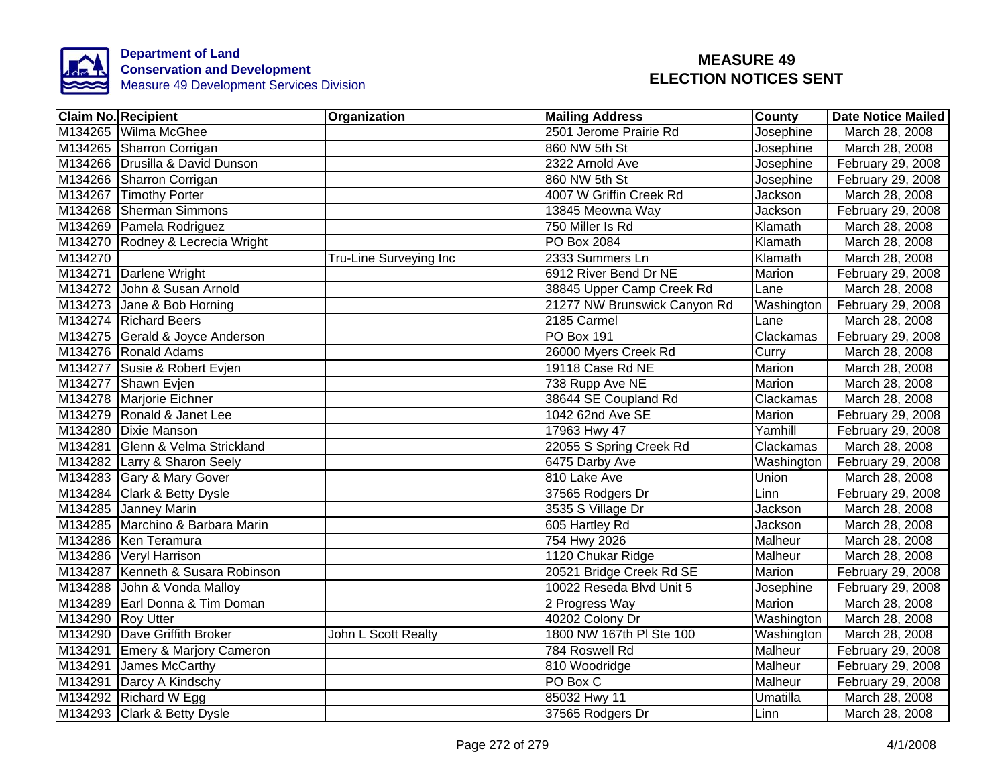

|                   | Claim No. Recipient               | <b>Organization</b>    | <b>Mailing Address</b>       | <b>County</b> | Date Notice Mailed |
|-------------------|-----------------------------------|------------------------|------------------------------|---------------|--------------------|
|                   | M134265 Wilma McGhee              |                        | 2501 Jerome Prairie Rd       | Josephine     | March 28, 2008     |
|                   | M134265 Sharron Corrigan          |                        | 860 NW 5th St                | Josephine     | March 28, 2008     |
|                   | M134266 Drusilla & David Dunson   |                        | 2322 Arnold Ave              | Josephine     | February 29, 2008  |
|                   | M134266 Sharron Corrigan          |                        | 860 NW 5th St                | Josephine     | February 29, 2008  |
|                   | M134267 Timothy Porter            |                        | 4007 W Griffin Creek Rd      | Jackson       | March 28, 2008     |
|                   | M134268 Sherman Simmons           |                        | 13845 Meowna Way             | Jackson       | February 29, 2008  |
|                   | M134269 Pamela Rodriguez          |                        | 750 Miller Is Rd             | Klamath       | March 28, 2008     |
|                   | M134270 Rodney & Lecrecia Wright  |                        | PO Box 2084                  | Klamath       | March 28, 2008     |
| M134270           |                                   | Tru-Line Surveying Inc | 2333 Summers Ln              | Klamath       | March 28, 2008     |
|                   | M134271 Darlene Wright            |                        | 6912 River Bend Dr NE        | Marion        | February 29, 2008  |
|                   | M134272 John & Susan Arnold       |                        | 38845 Upper Camp Creek Rd    | Lane          | March 28, 2008     |
|                   | M134273 Jane & Bob Horning        |                        | 21277 NW Brunswick Canyon Rd | Washington    | February 29, 2008  |
|                   | M134274 Richard Beers             |                        | 2185 Carmel                  | Lane          | March 28, 2008     |
|                   | M134275 Gerald & Joyce Anderson   |                        | PO Box 191                   | Clackamas     | February 29, 2008  |
|                   | M134276 Ronald Adams              |                        | 26000 Myers Creek Rd         | Curry         | March 28, 2008     |
|                   | M134277 Susie & Robert Evjen      |                        | 19118 Case Rd NE             | Marion        | March 28, 2008     |
|                   | M134277 Shawn Evjen               |                        | 738 Rupp Ave NE              | Marion        | March 28, 2008     |
|                   | M134278 Marjorie Eichner          |                        | 38644 SE Coupland Rd         | Clackamas     | March 28, 2008     |
|                   | M134279 Ronald & Janet Lee        |                        | 1042 62nd Ave SE             | Marion        | February 29, 2008  |
|                   | M134280 Dixie Manson              |                        | 17963 Hwy 47                 | Yamhill       | February 29, 2008  |
|                   | M134281 Glenn & Velma Strickland  |                        | 22055 S Spring Creek Rd      | Clackamas     | March 28, 2008     |
|                   | M134282 Larry & Sharon Seely      |                        | 6475 Darby Ave               | Washington    | February 29, 2008  |
|                   | M134283 Gary & Mary Gover         |                        | 810 Lake Ave                 | Union         | March 28, 2008     |
|                   | M134284 Clark & Betty Dysle       |                        | 37565 Rodgers Dr             | Linn          | February 29, 2008  |
|                   | M134285 Janney Marin              |                        | 3535 S Village Dr            | Jackson       | March 28, 2008     |
|                   | M134285 Marchino & Barbara Marin  |                        | 605 Hartley Rd               | Jackson       | March 28, 2008     |
|                   | M134286 Ken Teramura              |                        | 754 Hwy 2026                 | Malheur       | March 28, 2008     |
|                   | M134286 Veryl Harrison            |                        | 1120 Chukar Ridge            | Malheur       | March 28, 2008     |
|                   | M134287 Kenneth & Susara Robinson |                        | 20521 Bridge Creek Rd SE     | Marion        | February 29, 2008  |
|                   | M134288 John & Vonda Malloy       |                        | 10022 Reseda Blvd Unit 5     | Josephine     | February 29, 2008  |
|                   | M134289 Earl Donna & Tim Doman    |                        | 2 Progress Way               | Marion        | March 28, 2008     |
| M134290 Roy Utter |                                   |                        | 40202 Colony Dr              | Washington    | March 28, 2008     |
|                   | M134290 Dave Griffith Broker      | John L Scott Realty    | 1800 NW 167th PI Ste 100     | Washington    | March 28, 2008     |
|                   | M134291 Emery & Marjory Cameron   |                        | 784 Roswell Rd               | Malheur       | February 29, 2008  |
|                   | M134291 James McCarthy            |                        | 810 Woodridge                | Malheur       | February 29, 2008  |
|                   | M134291 Darcy A Kindschy          |                        | PO Box C                     | Malheur       | February 29, 2008  |
|                   | M134292 Richard W Egg             |                        | 85032 Hwy 11                 | Umatilla      | March 28, 2008     |
|                   | M134293 Clark & Betty Dysle       |                        | 37565 Rodgers Dr             | Linn          | March 28, 2008     |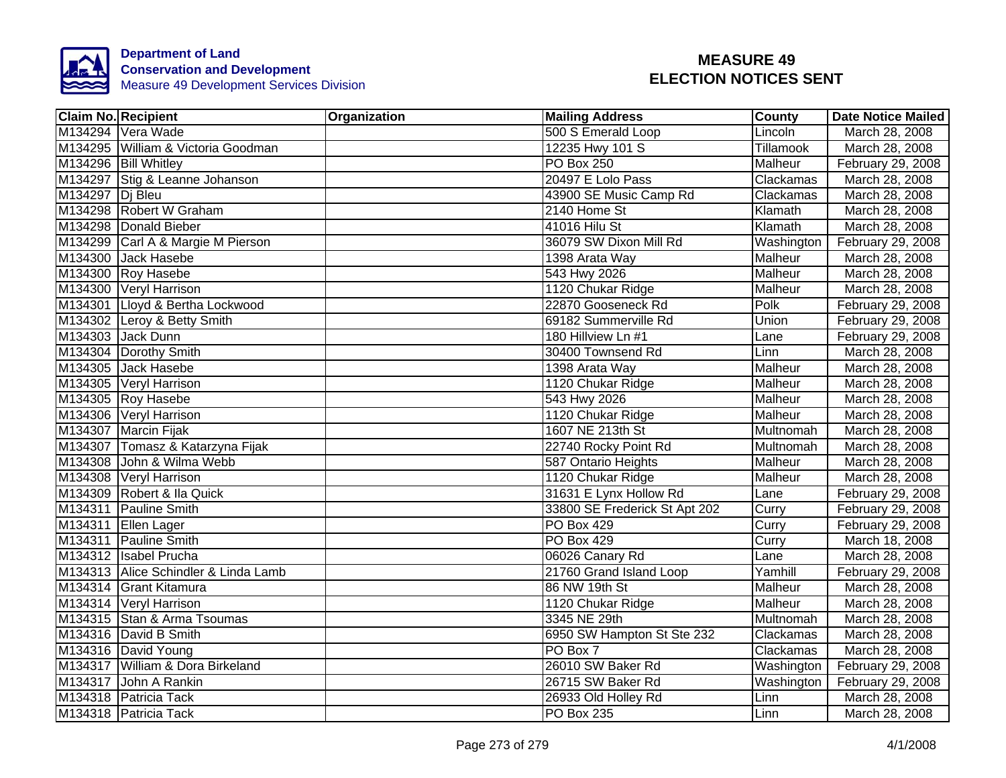

| <b>Claim No. Recipient</b>           | Organization | <b>Mailing Address</b>        | County         | <b>Date Notice Mailed</b> |
|--------------------------------------|--------------|-------------------------------|----------------|---------------------------|
| M134294 Vera Wade                    |              | 500 S Emerald Loop            | Lincoln        | March 28, 2008            |
| M134295 William & Victoria Goodman   |              | 12235 Hwy 101 S               | Tillamook      | March 28, 2008            |
| M134296 Bill Whitley                 |              | <b>PO Box 250</b>             | <b>Malheur</b> | February 29, 2008         |
| M134297 Stig & Leanne Johanson       |              | 20497 E Lolo Pass             | Clackamas      | March 28, 2008            |
| M134297 Dj Bleu                      |              | 43900 SE Music Camp Rd        | Clackamas      | March 28, 2008            |
| M134298 Robert W Graham              |              | 2140 Home St                  | Klamath        | March 28, 2008            |
| M134298 Donald Bieber                |              | 41016 Hilu St                 | Klamath        | March 28, 2008            |
| M134299 Carl A & Margie M Pierson    |              | 36079 SW Dixon Mill Rd        | Washington     | February 29, 2008         |
| M134300 Jack Hasebe                  |              | 1398 Arata Way                | Malheur        | March 28, 2008            |
| M134300 Roy Hasebe                   |              | 543 Hwy 2026                  | Malheur        | March 28, 2008            |
| M134300 Veryl Harrison               |              | 1120 Chukar Ridge             | Malheur        | March 28, 2008            |
| M134301 Lloyd & Bertha Lockwood      |              | 22870 Gooseneck Rd            | Polk           | February 29, 2008         |
| M134302 Leroy & Betty Smith          |              | 69182 Summerville Rd          | Union          | February 29, 2008         |
| M134303 Jack Dunn                    |              | 180 Hillview Ln #1            | Lane           | February 29, 2008         |
| M134304 Dorothy Smith                |              | 30400 Townsend Rd             | Linn           | March 28, 2008            |
| M134305 Jack Hasebe                  |              | 1398 Arata Way                | <b>Malheur</b> | March 28, 2008            |
| M134305 Veryl Harrison               |              | 1120 Chukar Ridge             | Malheur        | March 28, 2008            |
| M134305 Roy Hasebe                   |              | 543 Hwy 2026                  | Malheur        | March 28, 2008            |
| M134306 Veryl Harrison               |              | 1120 Chukar Ridge             | Malheur        | March 28, 2008            |
| M134307 Marcin Fijak                 |              | 1607 NE 213th St              | Multnomah      | March 28, 2008            |
| M134307 Tomasz & Katarzyna Fijak     |              | 22740 Rocky Point Rd          | Multnomah      | March 28, 2008            |
| M134308 John & Wilma Webb            |              | 587 Ontario Heights           | <b>Malheur</b> | March 28, 2008            |
| M134308 Veryl Harrison               |              | 1120 Chukar Ridge             | Malheur        | March 28, 2008            |
| M134309 Robert & Ila Quick           |              | 31631 E Lynx Hollow Rd        | Lane           | February 29, 2008         |
| M134311 Pauline Smith                |              | 33800 SE Frederick St Apt 202 | Curry          | February 29, 2008         |
| M134311 Ellen Lager                  |              | PO Box 429                    | Curry          | February 29, 2008         |
| M134311 Pauline Smith                |              | <b>PO Box 429</b>             | Curry          | March 18, 2008            |
| M134312 Isabel Prucha                |              | 06026 Canary Rd               | Lane           | March 28, 2008            |
| M134313 Alice Schindler & Linda Lamb |              | 21760 Grand Island Loop       | Yamhill        | February 29, 2008         |
| M134314 Grant Kitamura               |              | 86 NW 19th St                 | Malheur        | March 28, 2008            |
| M134314 Veryl Harrison               |              | 1120 Chukar Ridge             | Malheur        | March 28, 2008            |
| M134315 Stan & Arma Tsoumas          |              | 3345 NE 29th                  | Multnomah      | March 28, 2008            |
| M134316 David B Smith                |              | 6950 SW Hampton St Ste 232    | Clackamas      | March 28, 2008            |
| M134316 David Young                  |              | PO Box 7                      | Clackamas      | March 28, 2008            |
| M134317 William & Dora Birkeland     |              | 26010 SW Baker Rd             | Washington     | February 29, 2008         |
| M134317 John A Rankin                |              | 26715 SW Baker Rd             | Washington     | February 29, 2008         |
| M134318 Patricia Tack                |              | 26933 Old Holley Rd           | Linn           | March 28, 2008            |
| M134318 Patricia Tack                |              | PO Box 235                    | Linn           | March 28, 2008            |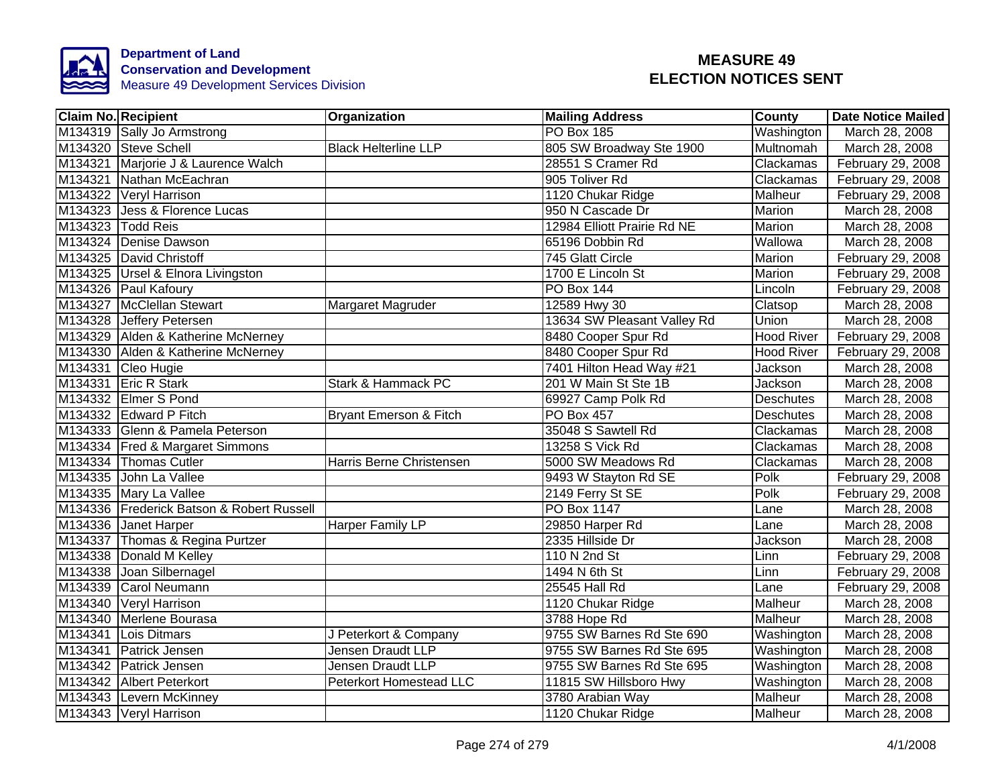

|         | <b>Claim No. Recipient</b>                | Organization                      | <b>Mailing Address</b>      | County            | <b>Date Notice Mailed</b> |
|---------|-------------------------------------------|-----------------------------------|-----------------------------|-------------------|---------------------------|
|         | M134319 Sally Jo Armstrong                |                                   | <b>PO Box 185</b>           | Washington        | March 28, 2008            |
|         | M134320 Steve Schell                      | <b>Black Helterline LLP</b>       | 805 SW Broadway Ste 1900    | Multnomah         | March 28, 2008            |
|         | M134321 Marjorie J & Laurence Walch       |                                   | 28551 S Cramer Rd           | Clackamas         | February 29, 2008         |
|         | M134321 Nathan McEachran                  |                                   | 905 Toliver Rd              | Clackamas         | February 29, 2008         |
|         | M134322 Veryl Harrison                    |                                   | 1120 Chukar Ridge           | Malheur           | February 29, 2008         |
|         | M134323 Jess & Florence Lucas             |                                   | 950 N Cascade Dr            | Marion            | March 28, 2008            |
|         | M134323 Todd Reis                         |                                   | 12984 Elliott Prairie Rd NE | Marion            | March 28, 2008            |
|         | M134324 Denise Dawson                     |                                   | 65196 Dobbin Rd             | Wallowa           | March 28, 2008            |
|         | M134325 David Christoff                   |                                   | 745 Glatt Circle            | Marion            | February 29, 2008         |
|         | M134325 Ursel & Elnora Livingston         |                                   | 1700 E Lincoln St           | Marion            | February 29, 2008         |
|         | M134326 Paul Kafoury                      |                                   | <b>PO Box 144</b>           | Lincoln           | February 29, 2008         |
|         | M134327 McClellan Stewart                 | Margaret Magruder                 | 12589 Hwy 30                | Clatsop           | March 28, 2008            |
|         | M134328 Jeffery Petersen                  |                                   | 13634 SW Pleasant Valley Rd | Union             | March 28, 2008            |
|         | M134329 Alden & Katherine McNerney        |                                   | 8480 Cooper Spur Rd         | Hood River        | February 29, 2008         |
|         | M134330 Alden & Katherine McNerney        |                                   | 8480 Cooper Spur Rd         | <b>Hood River</b> | February 29, 2008         |
|         | M134331 Cleo Hugie                        |                                   | 7401 Hilton Head Way #21    | Jackson           | March 28, 2008            |
|         | M134331 Eric R Stark                      | Stark & Hammack PC                | 201 W Main St Ste 1B        | Jackson           | March 28, 2008            |
|         | M134332 Elmer S Pond                      |                                   | 69927 Camp Polk Rd          | <b>Deschutes</b>  | March 28, 2008            |
|         | M134332 Edward P Fitch                    | <b>Bryant Emerson &amp; Fitch</b> | <b>PO Box 457</b>           | Deschutes         | March 28, 2008            |
|         | M134333 Glenn & Pamela Peterson           |                                   | 35048 S Sawtell Rd          | Clackamas         | March 28, 2008            |
|         | M134334 Fred & Margaret Simmons           |                                   | 13258 S Vick Rd             | Clackamas         | March 28, 2008            |
|         | M134334 Thomas Cutler                     | Harris Berne Christensen          | 5000 SW Meadows Rd          | Clackamas         | March 28, 2008            |
|         | M134335 John La Vallee                    |                                   | 9493 W Stayton Rd SE        | Polk              | February 29, 2008         |
|         | M134335 Mary La Vallee                    |                                   | 2149 Ferry St SE            | Polk              | February 29, 2008         |
|         | M134336 Frederick Batson & Robert Russell |                                   | <b>PO Box 1147</b>          | Lane              | March 28, 2008            |
|         | M134336 Janet Harper                      | <b>Harper Family LP</b>           | 29850 Harper Rd             | Lane              | March 28, 2008            |
|         | M134337 Thomas & Regina Purtzer           |                                   | 2335 Hillside Dr            | Jackson           | March 28, 2008            |
|         | M134338 Donald M Kelley                   |                                   | 110 N 2nd St                | Linn              | February 29, 2008         |
|         | M134338 Joan Silbernagel                  |                                   | 1494 N 6th St               | Linn              | February 29, 2008         |
| M134339 | <b>Carol Neumann</b>                      |                                   | 25545 Hall Rd               | Lane              | February 29, 2008         |
| M134340 | Veryl Harrison                            |                                   | 1120 Chukar Ridge           | Malheur           | March 28, 2008            |
| M134340 | Merlene Bourasa                           |                                   | 3788 Hope Rd                | Malheur           | March 28, 2008            |
|         | M134341 Lois Ditmars                      | J Peterkort & Company             | 9755 SW Barnes Rd Ste 690   | Washington        | March 28, 2008            |
|         | M134341 Patrick Jensen                    | Jensen Draudt LLP                 | 9755 SW Barnes Rd Ste 695   | Washington        | March 28, 2008            |
|         | M134342 Patrick Jensen                    | Jensen Draudt LLP                 | 9755 SW Barnes Rd Ste 695   | Washington        | March 28, 2008            |
|         | M134342 Albert Peterkort                  | <b>Peterkort Homestead LLC</b>    | 11815 SW Hillsboro Hwy      | Washington        | March 28, 2008            |
|         | M134343 Levern McKinney                   |                                   | 3780 Arabian Way            | Malheur           | March 28, 2008            |
|         | M134343 Veryl Harrison                    |                                   | 1120 Chukar Ridge           | Malheur           | March 28, 2008            |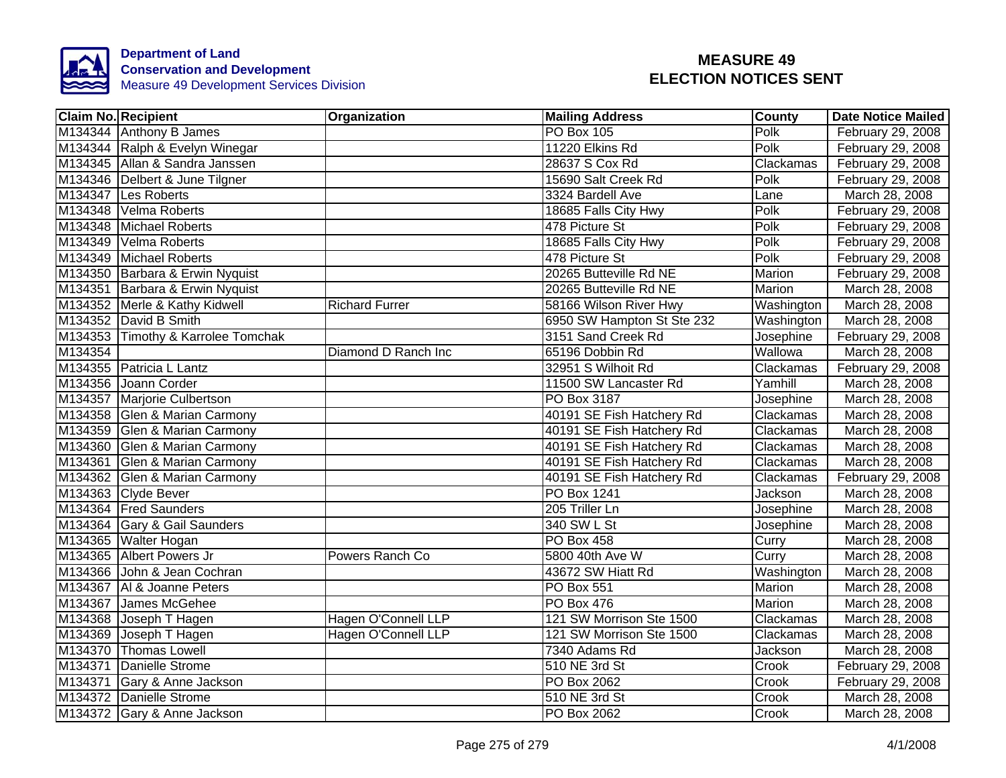

|         | <b>Claim No. Recipient</b>         | Organization          | <b>Mailing Address</b>     | <b>County</b> | <b>Date Notice Mailed</b> |
|---------|------------------------------------|-----------------------|----------------------------|---------------|---------------------------|
|         | M134344 Anthony B James            |                       | <b>PO Box 105</b>          | Polk          | February 29, 2008         |
|         | M134344 Ralph & Evelyn Winegar     |                       | 11220 Elkins Rd            | Polk          | February 29, 2008         |
|         | M134345 Allan & Sandra Janssen     |                       | 28637 S Cox Rd             | Clackamas     | February 29, 2008         |
|         | M134346 Delbert & June Tilgner     |                       | 15690 Salt Creek Rd        | Polk          | February 29, 2008         |
|         | M134347 Les Roberts                |                       | 3324 Bardell Ave           | Lane          | March 28, 2008            |
|         | M134348 Velma Roberts              |                       | 18685 Falls City Hwy       | Polk          | February 29, 2008         |
|         | M134348 Michael Roberts            |                       | 478 Picture St             | Polk          | February 29, 2008         |
|         | M134349 Velma Roberts              |                       | 18685 Falls City Hwy       | Polk          | February 29, 2008         |
|         | M134349 Michael Roberts            |                       | 478 Picture St             | Polk          | February 29, 2008         |
|         | M134350 Barbara & Erwin Nyquist    |                       | 20265 Butteville Rd NE     | Marion        | February 29, 2008         |
|         | M134351 Barbara & Erwin Nyquist    |                       | 20265 Butteville Rd NE     | Marion        | March 28, 2008            |
|         | M134352 Merle & Kathy Kidwell      | <b>Richard Furrer</b> | 58166 Wilson River Hwy     | Washington    | March 28, 2008            |
|         | M134352 David B Smith              |                       | 6950 SW Hampton St Ste 232 | Washington    | March 28, 2008            |
|         | M134353 Timothy & Karrolee Tomchak |                       | 3151 Sand Creek Rd         | Josephine     | February 29, 2008         |
| M134354 |                                    | Diamond D Ranch Inc   | 65196 Dobbin Rd            | Wallowa       | March 28, 2008            |
|         | M134355 Patricia L Lantz           |                       | 32951 S Wilhoit Rd         | Clackamas     | February 29, 2008         |
|         | M134356 Joann Corder               |                       | 11500 SW Lancaster Rd      | Yamhill       | March 28, 2008            |
|         | M134357 Marjorie Culbertson        |                       | PO Box 3187                | Josephine     | March 28, 2008            |
|         | M134358 Glen & Marian Carmony      |                       | 40191 SE Fish Hatchery Rd  | Clackamas     | March 28, 2008            |
|         | M134359 Glen & Marian Carmony      |                       | 40191 SE Fish Hatchery Rd  | Clackamas     | March 28, 2008            |
|         | M134360 Glen & Marian Carmony      |                       | 40191 SE Fish Hatchery Rd  | Clackamas     | March 28, 2008            |
|         | M134361 Glen & Marian Carmony      |                       | 40191 SE Fish Hatchery Rd  | Clackamas     | March 28, 2008            |
|         | M134362 Glen & Marian Carmony      |                       | 40191 SE Fish Hatchery Rd  | Clackamas     | February 29, 2008         |
|         | M134363 Clyde Bever                |                       | <b>PO Box 1241</b>         | Jackson       | March 28, 2008            |
|         | M134364 Fred Saunders              |                       | 205 Triller Ln             | Josephine     | March 28, 2008            |
|         | M134364 Gary & Gail Saunders       |                       | 340 SW L St                | Josephine     | March 28, 2008            |
|         | M134365 Walter Hogan               |                       | PO Box 458                 | Curry         | March 28, 2008            |
|         | M134365 Albert Powers Jr           | Powers Ranch Co       | 5800 40th Ave W            | Curry         | March 28, 2008            |
|         | M134366 John & Jean Cochran        |                       | 43672 SW Hiatt Rd          | Washington    | March 28, 2008            |
|         | M134367   Al & Joanne Peters       |                       | PO Box 551                 | Marion        | March 28, 2008            |
|         | M134367 James McGehee              |                       | <b>PO Box 476</b>          | Marion        | March 28, 2008            |
|         | M134368 Joseph T Hagen             | Hagen O'Connell LLP   | 121 SW Morrison Ste 1500   | Clackamas     | March 28, 2008            |
|         | M134369 Joseph T Hagen             | Hagen O'Connell LLP   | 121 SW Morrison Ste 1500   | Clackamas     | March 28, 2008            |
|         | M134370 Thomas Lowell              |                       | 7340 Adams Rd              | Jackson       | March 28, 2008            |
|         | M134371 Danielle Strome            |                       | 510 NE 3rd St              | Crook         | February 29, 2008         |
|         | M134371 Gary & Anne Jackson        |                       | PO Box 2062                | Crook         | February 29, 2008         |
|         | M134372 Danielle Strome            |                       | 510 NE 3rd St              | Crook         | March 28, 2008            |
|         | M134372 Gary & Anne Jackson        |                       | PO Box 2062                | Crook         | March 28, 2008            |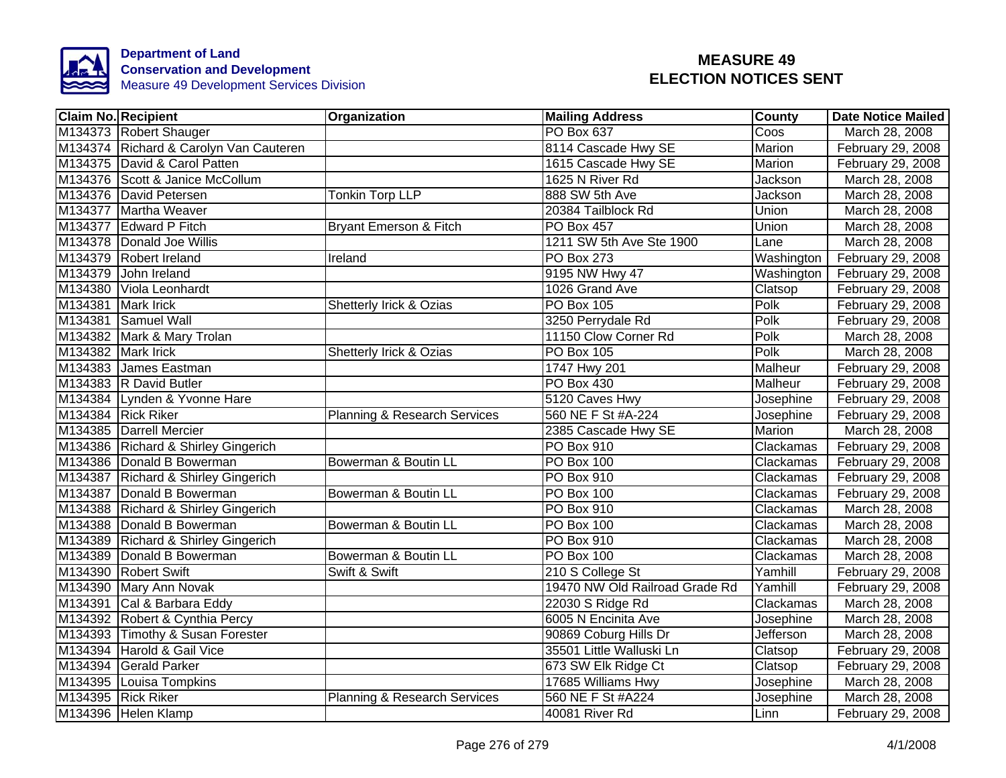

|                    | <b>Claim No. Recipient</b>             | Organization                 | <b>Mailing Address</b>         | <b>County</b>  | <b>Date Notice Mailed</b> |
|--------------------|----------------------------------------|------------------------------|--------------------------------|----------------|---------------------------|
|                    | M134373 Robert Shauger                 |                              | <b>PO Box 637</b>              | Coos           | March 28, 2008            |
|                    | M134374 Richard & Carolyn Van Cauteren |                              | 8114 Cascade Hwy SE            | Marion         | February 29, 2008         |
|                    | M134375 David & Carol Patten           |                              | 1615 Cascade Hwy SE            | Marion         | February 29, 2008         |
|                    | M134376 Scott & Janice McCollum        |                              | 1625 N River Rd                | Jackson        | March 28, 2008            |
|                    | M134376 David Petersen                 | Tonkin Torp LLP              | 888 SW 5th Ave                 | Jackson        | March 28, 2008            |
|                    | M134377 Martha Weaver                  |                              | 20384 Tailblock Rd             | Union          | March 28, 2008            |
|                    | M134377 Edward P Fitch                 | Bryant Emerson & Fitch       | PO Box 457                     | Union          | March 28, 2008            |
|                    | M134378 Donald Joe Willis              |                              | 1211 SW 5th Ave Ste 1900       | Lane           | March 28, 2008            |
|                    | M134379 Robert Ireland                 | Ireland                      | PO Box 273                     | Washington     | February 29, 2008         |
|                    | M134379 John Ireland                   |                              | 9195 NW Hwy 47                 | Washington     | February 29, 2008         |
|                    | M134380 Viola Leonhardt                |                              | 1026 Grand Ave                 | Clatsop        | February 29, 2008         |
| M134381 Mark Irick |                                        | Shetterly Irick & Ozias      | PO Box 105                     | Polk           | February 29, 2008         |
|                    | M134381 Samuel Wall                    |                              | 3250 Perrydale Rd              | Polk           | February 29, 2008         |
|                    | M134382 Mark & Mary Trolan             |                              | 11150 Clow Corner Rd           | Polk           | March 28, 2008            |
| M134382 Mark Irick |                                        | Shetterly Irick & Ozias      | PO Box 105                     | Polk           | March 28, 2008            |
|                    | M134383 James Eastman                  |                              | 1747 Hwy 201                   | Malheur        | February 29, 2008         |
|                    | M134383 R David Butler                 |                              | <b>PO Box 430</b>              | <b>Malheur</b> | February 29, 2008         |
|                    | M134384 Lynden & Yvonne Hare           |                              | 5120 Caves Hwy                 | Josephine      | February 29, 2008         |
|                    | M134384 Rick Riker                     | Planning & Research Services | 560 NE F St #A-224             | Josephine      | February 29, 2008         |
|                    | M134385 Darrell Mercier                |                              | 2385 Cascade Hwy SE            | Marion         | March 28, 2008            |
|                    | M134386 Richard & Shirley Gingerich    |                              | <b>PO Box 910</b>              | Clackamas      | February 29, 2008         |
|                    | M134386 Donald B Bowerman              | Bowerman & Boutin LL         | PO Box 100                     | Clackamas      | February 29, 2008         |
|                    | M134387 Richard & Shirley Gingerich    |                              | <b>PO Box 910</b>              | Clackamas      | February 29, 2008         |
|                    | M134387 Donald B Bowerman              | Bowerman & Boutin LL         | PO Box 100                     | Clackamas      | February 29, 2008         |
|                    | M134388 Richard & Shirley Gingerich    |                              | PO Box 910                     | Clackamas      | March 28, 2008            |
|                    | M134388 Donald B Bowerman              | Bowerman & Boutin LL         | PO Box 100                     | Clackamas      | March 28, 2008            |
|                    | M134389 Richard & Shirley Gingerich    |                              | PO Box 910                     | Clackamas      | March 28, 2008            |
|                    | M134389   Donald B Bowerman            | Bowerman & Boutin LL         | PO Box 100                     | Clackamas      | March 28, 2008            |
|                    | M134390 Robert Swift                   | Swift & Swift                | 210 S College St               | Yamhill        | February 29, 2008         |
|                    | M134390 Mary Ann Novak                 |                              | 19470 NW Old Railroad Grade Rd | Yamhill        | February 29, 2008         |
|                    | M134391 Cal & Barbara Eddy             |                              | 22030 S Ridge Rd               | Clackamas      | March 28, 2008            |
|                    | M134392 Robert & Cynthia Percy         |                              | 6005 N Encinita Ave            | Josephine      | March 28, 2008            |
|                    | M134393 Timothy & Susan Forester       |                              | 90869 Coburg Hills Dr          | Jefferson      | March 28, 2008            |
|                    | M134394 Harold & Gail Vice             |                              | 35501 Little Walluski Ln       | Clatsop        | February 29, 2008         |
|                    | M134394 Gerald Parker                  |                              | 673 SW Elk Ridge Ct            | Clatsop        | February 29, 2008         |
|                    | M134395 Louisa Tompkins                |                              | 17685 Williams Hwy             | Josephine      | March 28, 2008            |
|                    | M134395 Rick Riker                     | Planning & Research Services | 560 NE F St #A224              | Josephine      | March 28, 2008            |
|                    | M134396 Helen Klamp                    |                              | 40081 River Rd                 | Linn           | February 29, 2008         |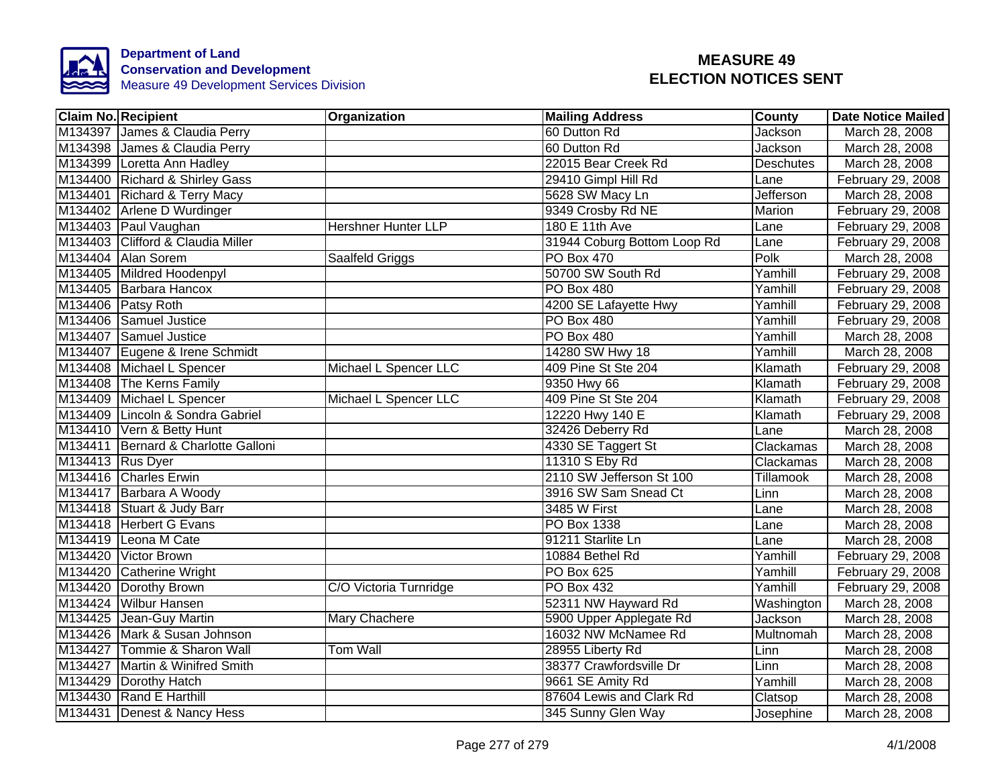

| <b>Claim No. Recipient</b>          | Organization           | <b>Mailing Address</b>      | County           | <b>Date Notice Mailed</b> |
|-------------------------------------|------------------------|-----------------------------|------------------|---------------------------|
| M134397 James & Claudia Perry       |                        | 60 Dutton Rd                | Jackson          | March 28, 2008            |
| M134398 James & Claudia Perry       |                        | 60 Dutton Rd                | Jackson          | March 28, 2008            |
| M134399 Loretta Ann Hadley          |                        | 22015 Bear Creek Rd         | <b>Deschutes</b> | March 28, 2008            |
| M134400 Richard & Shirley Gass      |                        | 29410 Gimpl Hill Rd         | Lane             | February 29, 2008         |
| M134401 Richard & Terry Macy        |                        | 5628 SW Macy Ln             | Jefferson        | March 28, 2008            |
| M134402 Arlene D Wurdinger          |                        | 9349 Crosby Rd NE           | Marion           | February 29, 2008         |
| M134403 Paul Vaughan                | Hershner Hunter LLP    | 180 E 11th Ave              | Lane             | February 29, 2008         |
| M134403 Clifford & Claudia Miller   |                        | 31944 Coburg Bottom Loop Rd | Lane             | February 29, 2008         |
| M134404 Alan Sorem                  | Saalfeld Griggs        | PO Box 470                  | Polk             | March 28, 2008            |
| M134405 Mildred Hoodenpyl           |                        | 50700 SW South Rd           | Yamhill          | February 29, 2008         |
| M134405 Barbara Hancox              |                        | PO Box 480                  | Yamhill          | February 29, 2008         |
| M134406 Patsy Roth                  |                        | 4200 SE Lafayette Hwy       | Yamhill          | February 29, 2008         |
| M134406 Samuel Justice              |                        | PO Box 480                  | Yamhill          | February 29, 2008         |
| M134407 Samuel Justice              |                        | PO Box 480                  | Yamhill          | March 28, 2008            |
| M134407 Eugene & Irene Schmidt      |                        | 14280 SW Hwy 18             | Yamhill          | March 28, 2008            |
| M134408 Michael L Spencer           | Michael L Spencer LLC  | 409 Pine St Ste 204         | Klamath          | February 29, 2008         |
| M134408 The Kerns Family            |                        | 9350 Hwy 66                 | Klamath          | February 29, 2008         |
| M134409 Michael L Spencer           | Michael L Spencer LLC  | 409 Pine St Ste 204         | Klamath          | February 29, 2008         |
| M134409 Lincoln & Sondra Gabriel    |                        | 12220 Hwy 140 E             | Klamath          | February 29, 2008         |
| M134410 Vern & Betty Hunt           |                        | 32426 Deberry Rd            | Lane             | March 28, 2008            |
| M134411 Bernard & Charlotte Galloni |                        | 4330 SE Taggert St          | Clackamas        | March 28, 2008            |
| M134413 Rus Dyer                    |                        | 11310 S Eby Rd              | Clackamas        | March 28, 2008            |
| M134416 Charles Erwin               |                        | 2110 SW Jefferson St 100    | <b>Tillamook</b> | March 28, 2008            |
| M134417 Barbara A Woody             |                        | 3916 SW Sam Snead Ct        | Linn             | March 28, 2008            |
| M134418 Stuart & Judy Barr          |                        | 3485 W First                | Lane             | March 28, 2008            |
| M134418 Herbert G Evans             |                        | PO Box 1338                 | Lane             | March 28, 2008            |
| M134419 Leona M Cate                |                        | 91211 Starlite Ln           | Lane             | March 28, 2008            |
| M134420 Victor Brown                |                        | 10884 Bethel Rd             | Yamhill          | February 29, 2008         |
| M134420 Catherine Wright            |                        | PO Box 625                  | Yamhill          | February 29, 2008         |
| M134420 Dorothy Brown               | C/O Victoria Turnridge | PO Box 432                  | Yamhill          | February 29, 2008         |
| M134424 Wilbur Hansen               |                        | 52311 NW Hayward Rd         | Washington       | March 28, 2008            |
| M134425 Jean-Guy Martin             | Mary Chachere          | 5900 Upper Applegate Rd     | Jackson          | March 28, 2008            |
| M134426 Mark & Susan Johnson        |                        | 16032 NW McNamee Rd         | Multnomah        | March 28, 2008            |
| M134427 Tommie & Sharon Wall        | <b>Tom Wall</b>        | 28955 Liberty Rd            | Linn             | March 28, 2008            |
| M134427 Martin & Winifred Smith     |                        | 38377 Crawfordsville Dr     | Linn             | March 28, 2008            |
| M134429 Dorothy Hatch               |                        | 9661 SE Amity Rd            | Yamhill          | March 28, 2008            |
| M134430 Rand E Harthill             |                        | 87604 Lewis and Clark Rd    | Clatsop          | March 28, 2008            |
| M134431 Denest & Nancy Hess         |                        | 345 Sunny Glen Way          | Josephine        | March 28, 2008            |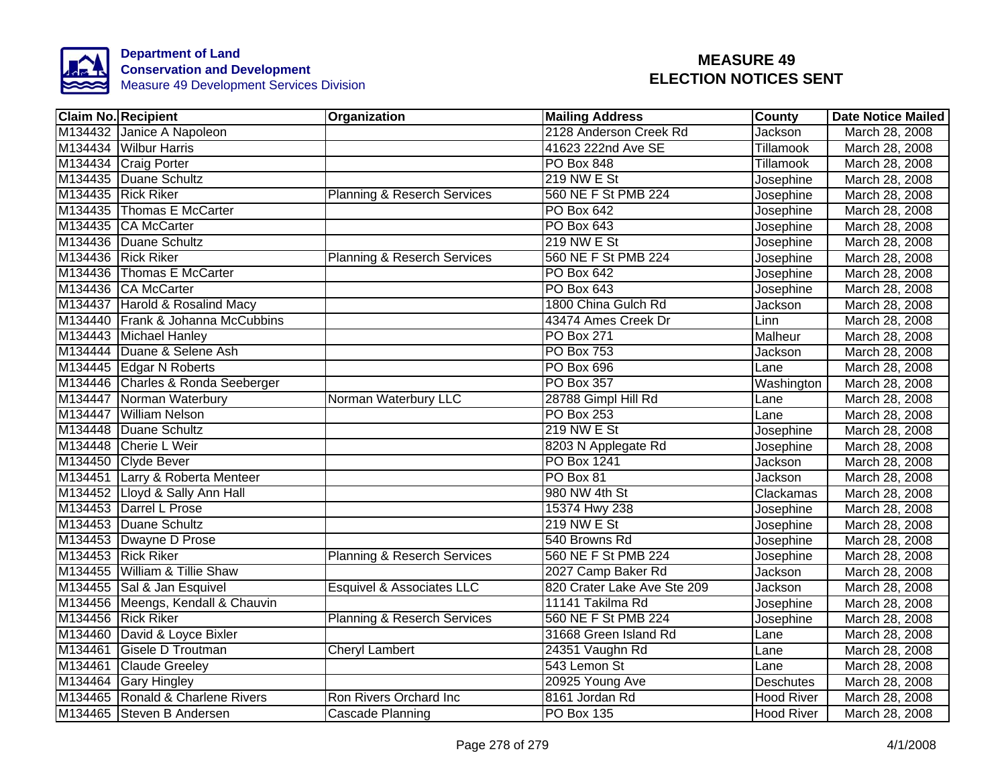

| <b>Claim No. Recipient</b>        | <b>Organization</b>                    | Mailing Address             | County            | Date Notice Mailed |
|-----------------------------------|----------------------------------------|-----------------------------|-------------------|--------------------|
| M134432 Janice A Napoleon         |                                        | 2128 Anderson Creek Rd      | Jackson           | March 28, 2008     |
| M134434 Wilbur Harris             |                                        | 41623 222nd Ave SE          | Tillamook         | March 28, 2008     |
| M134434 Craig Porter              |                                        | PO Box 848                  | Tillamook         | March 28, 2008     |
| M134435 Duane Schultz             |                                        | <b>219 NW E St</b>          | Josephine         | March 28, 2008     |
| M134435 Rick Riker                | Planning & Reserch Services            | 560 NE F St PMB 224         | Josephine         | March 28, 2008     |
| M134435 Thomas E McCarter         |                                        | <b>PO Box 642</b>           | Josephine         | March 28, 2008     |
| M134435 CA McCarter               |                                        | <b>PO Box 643</b>           | Josephine         | March 28, 2008     |
| M134436 Duane Schultz             |                                        | 219 NW E St                 | Josephine         | March 28, 2008     |
| M134436 Rick Riker                | <b>Planning &amp; Reserch Services</b> | 560 NE F St PMB 224         | Josephine         | March 28, 2008     |
| M134436 Thomas E McCarter         |                                        | <b>PO Box 642</b>           | Josephine         | March 28, 2008     |
| M134436 CA McCarter               |                                        | PO Box 643                  | Josephine         | March 28, 2008     |
| M134437 Harold & Rosalind Macy    |                                        | 1800 China Gulch Rd         | Jackson           | March 28, 2008     |
| M134440 Frank & Johanna McCubbins |                                        | 43474 Ames Creek Dr         | Linn              | March 28, 2008     |
| M134443 Michael Hanley            |                                        | PO Box 271                  | Malheur           | March 28, 2008     |
| M134444 Duane & Selene Ash        |                                        | <b>PO Box 753</b>           | Jackson           | March 28, 2008     |
| M134445 Edgar N Roberts           |                                        | PO Box 696                  | Lane              | March 28, 2008     |
| M134446 Charles & Ronda Seeberger |                                        | <b>PO Box 357</b>           | Washington        | March 28, 2008     |
| M134447 Norman Waterbury          | Norman Waterbury LLC                   | 28788 Gimpl Hill Rd         | Lane              | March 28, 2008     |
| M134447 William Nelson            |                                        | <b>PO Box 253</b>           | Lane              | March 28, 2008     |
| M134448 Duane Schultz             |                                        | 219 NW E St                 | Josephine         | March 28, 2008     |
| M134448 Cherie L Weir             |                                        | 8203 N Applegate Rd         | Josephine         | March 28, 2008     |
| M134450 Clyde Bever               |                                        | <b>PO Box 1241</b>          | Jackson           | March 28, 2008     |
| M134451 Larry & Roberta Menteer   |                                        | PO Box 81                   | <b>Jackson</b>    | March 28, 2008     |
| M134452 Lloyd & Sally Ann Hall    |                                        | 980 NW 4th St               | Clackamas         | March 28, 2008     |
| M134453 Darrel L Prose            |                                        | 15374 Hwy 238               | Josephine         | March 28, 2008     |
| M134453 Duane Schultz             |                                        | 219 NW E St                 | Josephine         | March 28, 2008     |
| M134453 Dwayne D Prose            |                                        | 540 Browns Rd               | Josephine         | March 28, 2008     |
| M134453 Rick Riker                | <b>Planning &amp; Reserch Services</b> | 560 NE F St PMB 224         | Josephine         | March 28, 2008     |
| M134455 William & Tillie Shaw     |                                        | 2027 Camp Baker Rd          | Jackson           | March 28, 2008     |
| M134455 Sal & Jan Esquivel        | Esquivel & Associates LLC              | 820 Crater Lake Ave Ste 209 | Jackson           | March 28, 2008     |
| M134456 Meengs, Kendall & Chauvin |                                        | 11141 Takilma Rd            | Josephine         | March 28, 2008     |
| M134456 Rick Riker                | <b>Planning &amp; Reserch Services</b> | 560 NE F St PMB 224         | Josephine         | March 28, 2008     |
| M134460 David & Loyce Bixler      |                                        | 31668 Green Island Rd       | Lane              | March 28, 2008     |
| M134461 Gisele D Troutman         | <b>Cheryl Lambert</b>                  | 24351 Vaughn Rd             | Lane              | March 28, 2008     |
| M134461 Claude Greeley            |                                        | 543 Lemon St                | Lane              | March 28, 2008     |
| M134464 Gary Hingley              |                                        | 20925 Young Ave             | Deschutes         | March 28, 2008     |
| M134465 Ronald & Charlene Rivers  | Ron Rivers Orchard Inc                 | 8161 Jordan Rd              | <b>Hood River</b> | March 28, 2008     |
| M134465 Steven B Andersen         | Cascade Planning                       | PO Box 135                  | <b>Hood River</b> | March 28, 2008     |